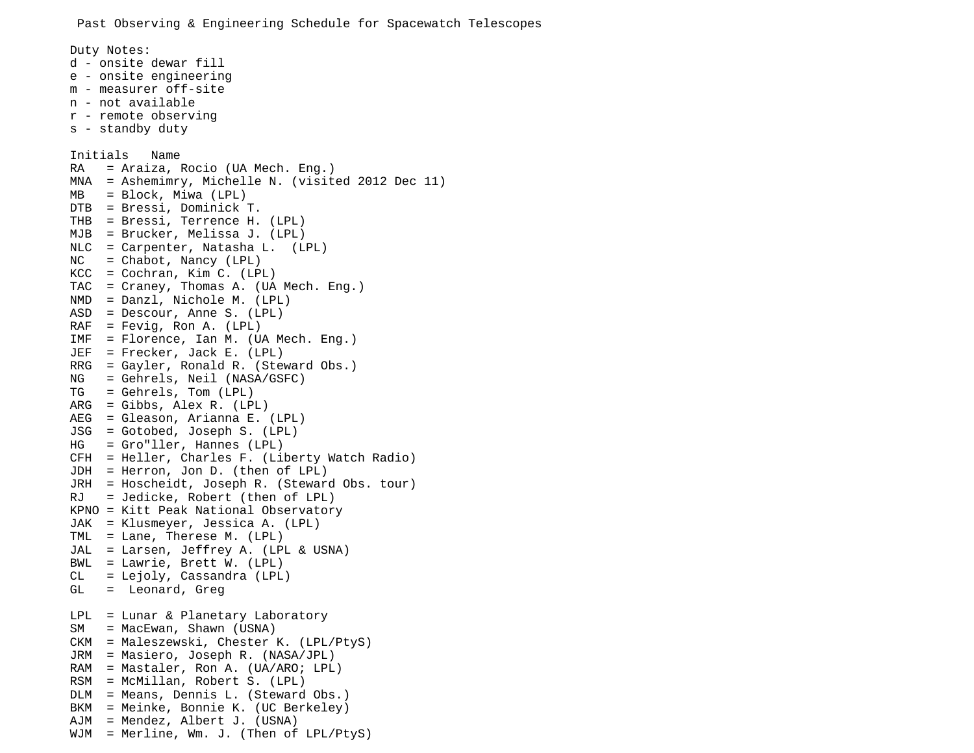Duty Notes: d - onsite dewar fill e - onsite engineering m - measurer off-site n - not available r - remote observing s - standby duty Initials Name RA = Araiza, Rocio (UA Mech. Eng.) MNA = Ashemimry, Michelle N. (visited 2012 Dec 11) MB = Block, Miwa (LPL) DTB = Bressi, Dominick T. THB = Bressi, Terrence H. (LPL) MJB = Brucker, Melissa J. (LPL) NLC = Carpenter, Natasha L. (LPL)  $NC = Chabot, Nancy (LPL)$ KCC = Cochran, Kim C. (LPL) TAC = Craney, Thomas A. (UA Mech. Eng.) NMD = Danzl, Nichole M. (LPL) ASD = Descour, Anne S. (LPL)  $RAF = Fevig, Ron A. (LPL)$ IMF = Florence, Ian M. (UA Mech. Eng.) JEF = Frecker, Jack E. (LPL) RRG = Gayler, Ronald R. (Steward Obs.) NG = Gehrels, Neil (NASA/GSFC) TG = Gehrels, Tom (LPL) ARG = Gibbs, Alex R. (LPL) AEG = Gleason, Arianna E. (LPL) JSG = Gotobed, Joseph S. (LPL) HG = Gro"ller, Hannes (LPL) CFH = Heller, Charles F. (Liberty Watch Radio) JDH = Herron, Jon D. (then of LPL) JRH = Hoscheidt, Joseph R. (Steward Obs. tour) RJ = Jedicke, Robert (then of LPL) KPNO = Kitt Peak National Observatory JAK = Klusmeyer, Jessica A. (LPL) TML = Lane, Therese M. (LPL) JAL = Larsen, Jeffrey A. (LPL & USNA) BWL = Lawrie, Brett W. (LPL) CL = Lejoly, Cassandra (LPL) GL = Leonard, Greg  $LPL = Lunar & Planetary Laboratory$ SM = MacEwan, Shawn (USNA) CKM = Maleszewski, Chester K. (LPL/PtyS) JRM = Masiero, Joseph R. (NASA/JPL) RAM = Mastaler, Ron A. (UA/ARO; LPL) RSM = McMillan, Robert S. (LPL) DLM = Means, Dennis L. (Steward Obs.) BKM = Meinke, Bonnie K. (UC Berkeley) AJM = Mendez, Albert J. (USNA) WJM = Merline, Wm. J. (Then of LPL/PtyS)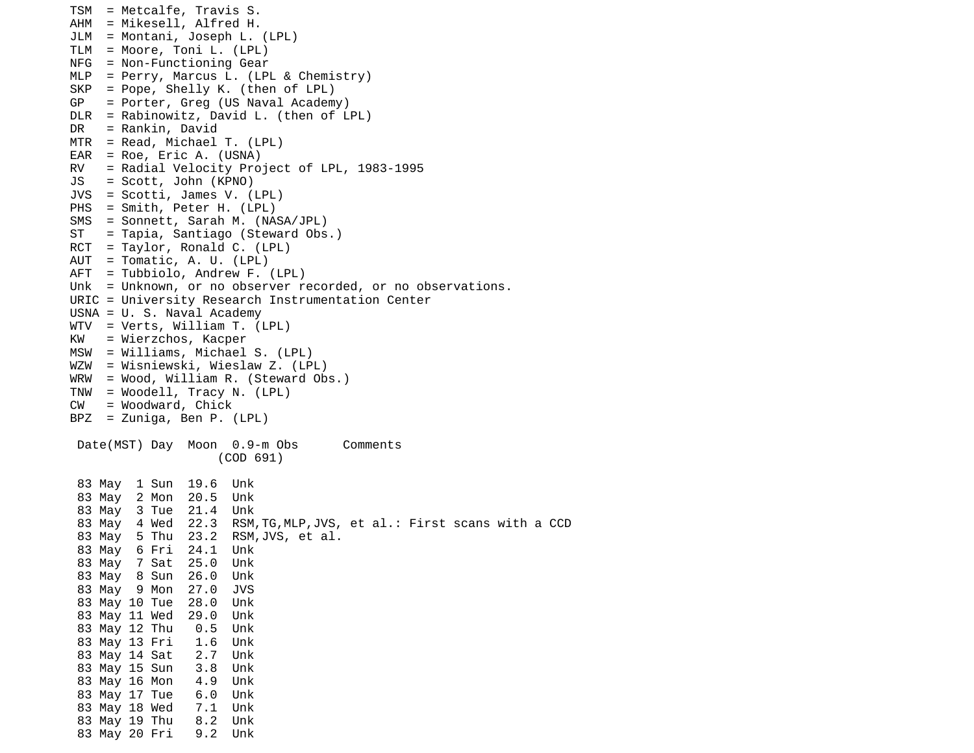```
TSM = Metcalfe, Travis S.
AHM = Mikesell, Alfred H.
JLM = Montani, Joseph L. (LPL)
TLM = Moore, Toni L. (LPL)
NFG = Non-Functioning Gear
MLP = Perry, Marcus L. (LPL & Chemistry)
SKP = Pope, Shelly K. (then of LPL)
GP = Porter, Greg (US Naval Academy)
DLR = Rabinowitz, David L. (then of LPL)DR = Rankin, David
MTR = Read, Michael T. (LPL)
EAR = Roe, Eric A. (USNA)
RV = Radial Velocity Project of LPL, 1983-1995
JS = Scott, John (KPNO)
JVS = Scotti, James V. (LPL)
PHS = Smith, Peter H. (LPL)
SMS = Sonnett, Sarah M. (NASA/JPL)
ST = Tapia, Santiago (Steward Obs.)
RCT = Taylor, Ronald C. (LPL)
AUT = Tomatic, A. U. (LPL)
AFT = Tubbiolo, Andrew F. (LPL)
Unk = Unknown, or no observer recorded, or no observations.
URIC = University Research Instrumentation Center
USNA = U. S. Naval Academy
WTV = Verts, William T. (LPL)
KW = Wierzchos, Kacper 
MSW = Williams, Michael S. (LPL)
WZW = Wisniewski, Wieslaw Z. (LPL)
WRW = Wood, William R. (Steward Obs.)
TNW = Woodell, Tracy N. (LPL)
CW = Woodward, Chick
BPZ = Zuniga, Ben P. (LPL)
 Date(MST) Day Moon 0.9-m Obs Comments
                    (COD 691) 
  83 May 1 Sun 19.6 Unk 
  83 May 2 Mon 20.5 Unk 
  83 May 3 Tue 21.4 Unk 
  83 May 4 Wed 22.3 RSM,TG,MLP,JVS, et al.: First scans with a CCD
  83 May 5 Thu 23.2 RSM,JVS, et al.
  83 May 6 Fri 24.1 Unk 
  83 May 7 Sat 25.0 Unk 
  83 May 8 Sun 26.0 Unk 
  83 May 9 Mon 27.0 JVS 
  83 May 10 Tue 28.0 Unk 
  83 May 11 Wed 29.0 Unk 
  83 May 12 Thu 0.5 Unk 
  83 May 13 Fri 1.6 Unk 
  83 May 14 Sat 2.7 Unk 
  83 May 15 Sun 3.8 Unk 
  83 May 16 Mon 4.9 Unk 
  83 May 17 Tue 6.0 Unk 
  83 May 18 Wed 7.1 Unk 
  83 May 19 Thu 8.2 Unk 
  83 May 20 Fri 9.2 Unk
```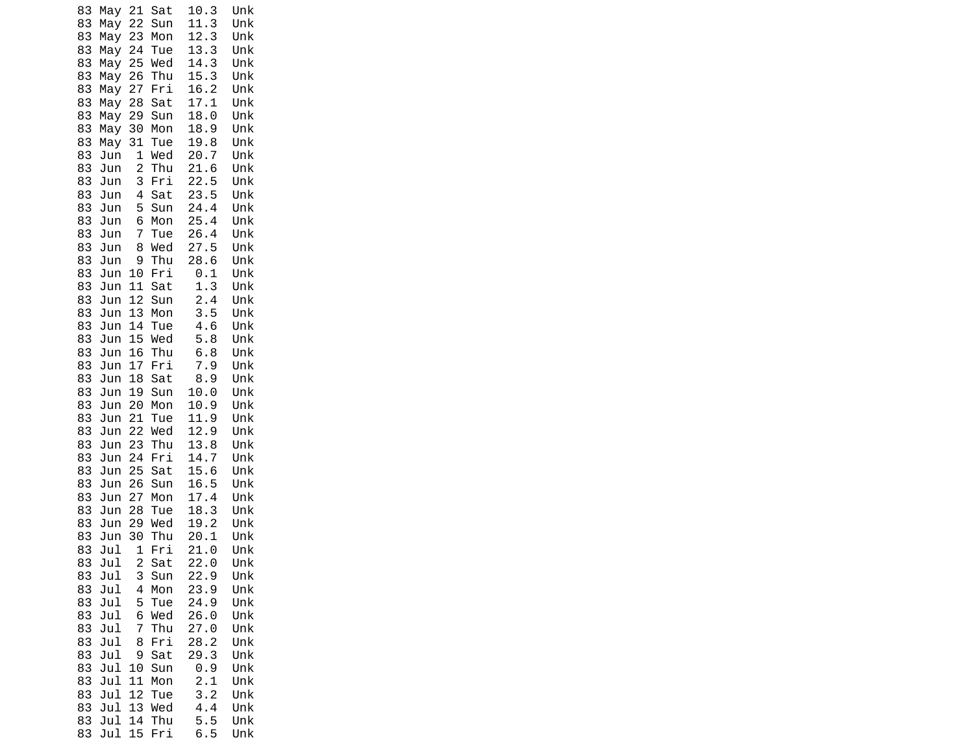| 83       | May        | 21                      | Sat        | 10.3         | Unk        |
|----------|------------|-------------------------|------------|--------------|------------|
| 83       | May        | 22                      | Sun        | 11.3         | Unk        |
| 83       | May        | 23                      | Mon        | 12.3         | Unk        |
| 83       | May        | 24                      | Tue        | 13.3         | Unk        |
| 83       | May        | 25                      | Wed        | 14.3         | Unk        |
| 83       | May        | 26                      | Thu        | 15.3         | Unk        |
| 83       | May        | 27                      | Fri        | 16.2         | Unk        |
| 83       | May        | 28                      | Sat        | 17.1         | Unk        |
| 83<br>83 | May        | 29                      | Sun        | 18.0         | Unk<br>Unk |
| 83       | May        | 30                      | Mon<br>Tue | 18.9<br>19.8 | Unk        |
| 83       | May<br>Jun | 31<br>1                 | Wed        | 20.7         | Unk        |
| 83       | Jun        | $\overline{c}$          | Thu        | 21.6         | Unk        |
| 83       | Jun        | 3                       | Fri        | 22.5         | Unk        |
| 83       | Jun        | 4                       | Sat        | 23.5         | Unk        |
| 83       | Jun        | 5                       | Sun        | 24.4         | Unk        |
| 83       | Jun        | 6                       | Mon        | 25.4         | Unk        |
| 83       | Jun        | 7                       | Tue        | 26.4         | Unk        |
| 83       | Jun        | 8                       | Wed        | 27.5         | Unk        |
| 83       | Jun        | 9                       | Thu        | 28.6         | Unk        |
| 83       | Jun        | 10                      | Fri        | 0.1          | Unk        |
| 83       | Jun        | 11                      | Sat        | 1.3          | Unk        |
| 83       | Jun        | 12                      | Sun        | 2.4          | Unk        |
| 83       | Jun        | 13                      | Mon        | 3.5          | Unk        |
| 83       | Jun        | 14                      | Tue        | 4.6          | Unk        |
| 83       | Jun        | 15                      | Wed        | 5.8          | Unk        |
| 83       | Jun        | 16                      | Thu        | 6.8          | Unk        |
| 83       | Jun        | 17                      | Fri        | 7.9          | Unk        |
| 83<br>83 | Jun<br>Jun | 18<br>19                | Sat<br>Sun | 8.9<br>10.0  | Unk<br>Unk |
| 83       | Jun        | 20                      | Mon        | 10.9         | Unk        |
| 83       | Jun        | 21                      | Tue        | 11.9         | Unk        |
| 83       | Jun        | 22                      | Wed        | 12.9         | Unk        |
| 83       | Jun        | 23                      | Thu        | 13.8         | Unk        |
| 83       | Jun        | 24                      | Fri        | 14.7         | Unk        |
| 83       | Jun        | 25                      | Sat        | 15.6         | Unk        |
| 83       | Jun        | 26                      | Sun        | 16.5         | Unk        |
| 83       | Jun        | 27                      | Mon        | 17.4         | Unk        |
| 83       | Jun        | 28                      | Tue        | 18.<br>3     | Unk        |
| 83       | Jun        | 29                      | Wed        | 19.2         | Unk        |
| 83       | Jun        | 30                      | Thu        | 20.1         | Unk        |
| 83       | Jul        | 1                       | Fri        | 21.<br>0     | Unk        |
| 83       | Jul        | $\overline{\mathbf{c}}$ | Sat        | 22.0         | Unk        |
| 83<br>83 | Jul<br>Jul | 3<br>4                  | Sun<br>Mon | 22.9<br>23.9 | Unk<br>Unk |
| 83       | Jul        | 5                       | Tue        | 24.9         | Unk        |
| 83       | Jul        | 6                       | Wed        | 26.0         | Unk        |
| 83       | Jul        | 7                       | Thu        | 27.0         | Unk        |
| 83       | Jul        | 8                       | Fri        | 28.2         | Unk        |
| 83       | Jul        | 9                       | Sat        | 29.3         | Unk        |
| 83       | Jul        | 10                      | Sun        | 0.9          | Unk        |
| 83       | Jul        | 11                      | Mon        | 2.1          | Unk        |
| 83       | Jul        | 12                      | Tue        | 3.2          | Unk        |
| 83       | Jul        | 13                      | Wed        | 4.4          | Unk        |
| 83       | Jul        | 14                      | Thu        | 5.5          | Unk        |
| 83       | Jul        | 15                      | Fri        | 6.5          | Unk        |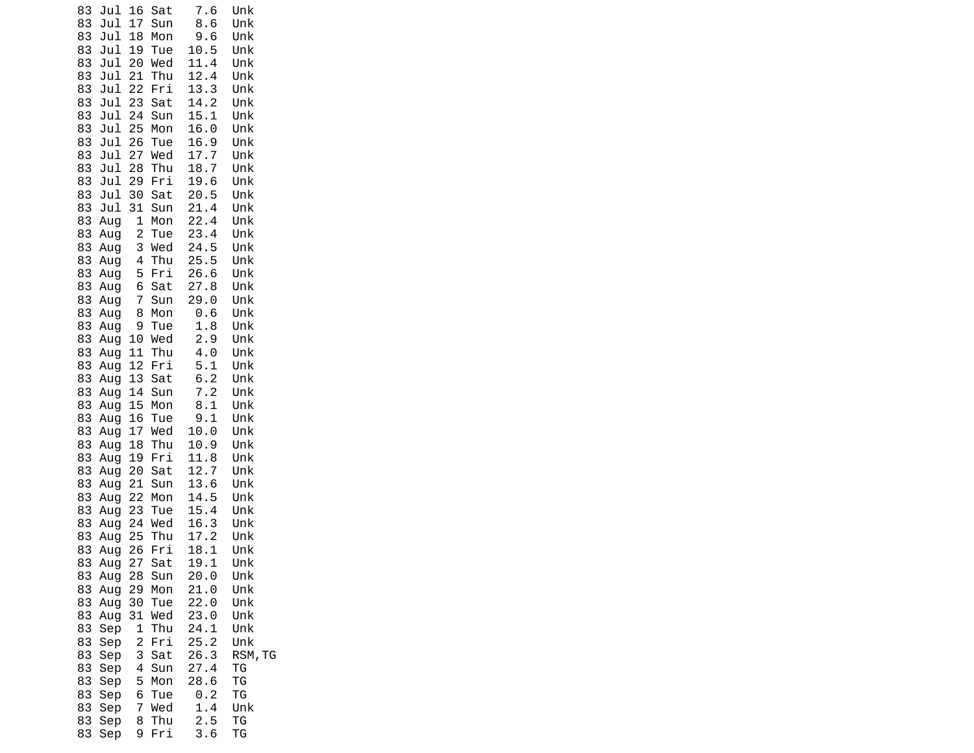| Jul<br>83<br>Jul<br>83 | 16<br>17       | Sat<br>Sun | 7.6<br>8.6          | Unk<br>Unk |  |
|------------------------|----------------|------------|---------------------|------------|--|
| Jul<br>83              | 18             | Mon        | 9.6                 | Unk        |  |
| 83<br>Jul              | 19             | Tue        | 10.5                | Unk        |  |
| 83<br>Jul              | 20             | Wed        | 11.4                | Unk        |  |
| 83<br>Jul              | 21             | Thu        | 12.4                | Unk        |  |
| 83<br>Jul              | 22             | Fri        | 13.3                | Unk        |  |
| 83<br>Jul              | 23             | Sat        | 14.2                | Unk        |  |
| 83<br>Jul              | 24             | Sun        | 15.1                | Unk        |  |
| 83<br>Jul              | 25             | Mon        | 16.0                | Unk        |  |
| 83<br>Jul              | 26             | Tue        | 16.9                | Unk        |  |
| 83<br>Jul              | 27             | Wed        | 17.7                | Unk        |  |
| 83<br>Jul              | 28             | Thu        | 18.7                | Unk        |  |
| 83<br>Jul              | 29             | Fri        | 19.6                | Unk        |  |
| 83<br>Jul              | 30             | Sat        | 20.5                | Unk        |  |
| 83<br>Jul              | 31<br>1        | Sun        | 21.4<br>22.4        | Unk        |  |
| 83<br>Aug<br>83        | $\overline{c}$ | Mon<br>Tue | 23.4                | Unk<br>Unk |  |
| Aug<br>83<br>Aug       | 3              | Wed        | 24.5                | Unk        |  |
| 83<br>Aug              | 4              | Thu        | 25.5                | Unk        |  |
| 83<br>Aug              | 5              | Fri        | 26.6                | Unk        |  |
| 83<br>Aug              | 6              | Sat        | 27.8                | Unk        |  |
| 83<br>Aug              | 7              | Sun        | 29.0                | Unk        |  |
| 83<br>Aug              | 8              | Mon        | 0.6                 | Unk        |  |
| 83<br>Aug              | 9              | Tue        | 1.8                 | Unk        |  |
| 83<br>Aug              | 10             | Wed        | 2.9                 | Unk        |  |
| 83<br>Aug              | 11             | Thu        | 4.0                 | Unk        |  |
| 83<br>Aug              | 12             | Fri        | 5.1                 | Unk        |  |
| 83<br>Aug              | 13             | Sat        | 6.2                 | Unk        |  |
| 83<br>Aug              | 14             | Sun        | 7.2                 | Unk        |  |
| 83<br>Aug              | 15             | Mon        | 8.1                 | Unk        |  |
| 83<br>Aug              | 16             | Tue        | 9.1                 | Unk        |  |
| 83<br>Aug<br>83        | 17<br>18       | Wed<br>Thu | 10.0<br>10.9        | Unk        |  |
| Aug<br>83              | 19             | Fri        | 11.8                | Unk<br>Unk |  |
| Aug<br>83<br>Aug       | 20             | Sat        | 12.7                | Unk        |  |
| 83<br>Aug              | 21             | Sun        | 13.6                | Unk        |  |
| 83<br>Aug              | 22             | Mon        | 14.5                | Unk        |  |
| 83<br>Aug              | 23             | Tue        | 15.4                | Unk        |  |
| 83<br>Aug              | 24             | Wed        | 16.3                | Unk        |  |
| 83<br>Aug              | 25             | Thu        | 17.2                | Unk        |  |
| 83<br>Aug              | 26             | Fri        | 18.<br>$\mathbf{1}$ | Unk        |  |
| 83<br>Aug              | 27             | Sat        | 19.1                | Unk        |  |
| 83<br>Aug              | 28             | Sun        | 20.0                | Unk        |  |
| 83<br>Aug              | 29             | Mon        | 21.0                | Unk        |  |
| 83<br>Aug              | 30             | Tue        | 22.0                | Unk        |  |
| 83<br>Aug              | 31             | Wed        | 23.0                | Unk        |  |
| 83<br>Sep              | 1              | Thu        | 24.1                | Unk        |  |
| 83<br>Sep              | 2              | Fri        | 25.2                | Unk        |  |
| 83<br>Sep              | 3              | Sat<br>Sun | 26.3                | RSM, TG    |  |
| 83<br>Sep<br>83        | 4<br>5         | Mon        | 27.4<br>28.6        | ТG<br>ΤG   |  |
| Sep<br>83<br>Sep       | 6              | Tue        | 0.2                 | ΤG         |  |
| 83<br>Sep              | 7              | Wed        | 1.4                 | Unk        |  |
| 83<br>Sep              | 8              | Thu        | 2.5                 | ΤG         |  |
| 83<br>Sep              | 9              | Fri        | 3.6                 | ТG         |  |
|                        |                |            |                     |            |  |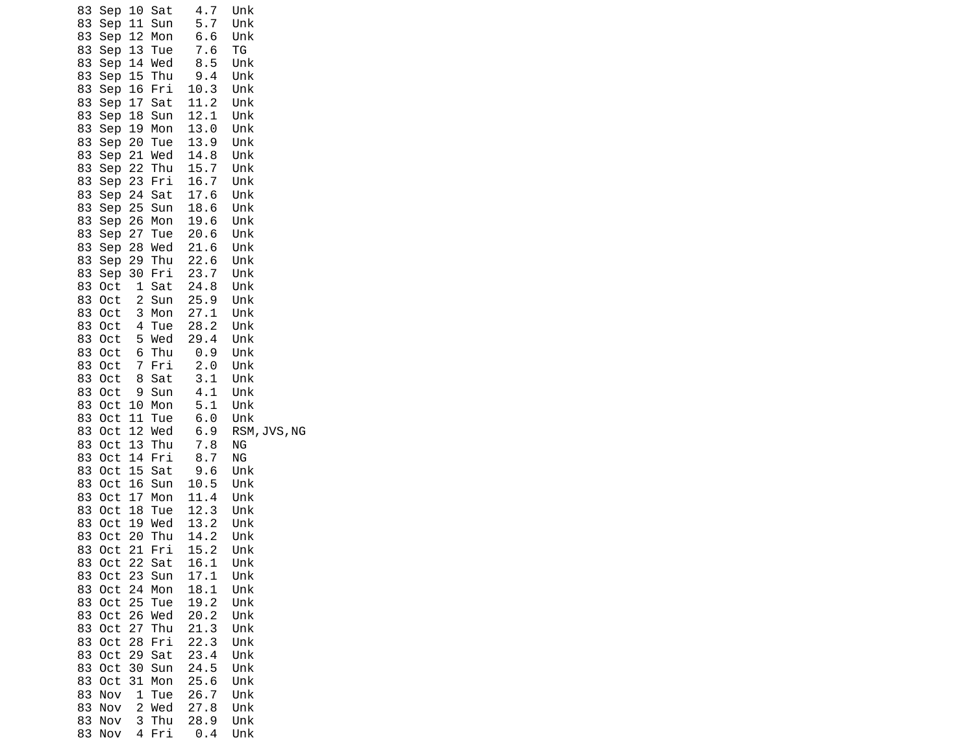| 83<br>Sep<br>Sep<br>83<br>83<br>Sep<br>83<br>Sep<br>83<br>Sep<br>83<br>Sep<br>Sep 16<br>83<br>83<br>Sep<br>83<br>Sep<br>83<br>Sep<br>83<br>Sep<br>Sep 21<br>83<br>83<br>Sep<br>83<br>Sep 23<br>83<br>Sep 24<br>Sep 25<br>83                                                                                                                                                                                                                                                                                             | 10<br>Sat<br>11<br>Sun<br>12<br>Mon<br>13<br>Tue<br>14<br>Wed<br>15<br>Thu<br>Fri<br>17<br>Sat<br>Sun<br>18<br>Mon<br>19<br>20<br>Tue<br>Wed<br>22<br>Thu<br>Fri<br>Sat<br>Sun                                                                                                                                                                                                                                                                                                                                          | 4.7<br>5.7<br>6.6<br>7.6<br>8.5<br>9.4<br>10.3<br>11.2<br>12.1<br>13.0<br>13.9<br>14.8<br>15.7<br>16.7<br>17.6<br>18.6                                                                                                                                                                                    | Unk<br>Unk<br>Unk<br>ТG<br>Unk<br>Unk<br>Unk<br>Unk<br>Unk<br>Unk<br>Unk<br>Unk<br>Unk<br>Unk<br>Unk<br>Unk                                                                                                                                                                          |
|-------------------------------------------------------------------------------------------------------------------------------------------------------------------------------------------------------------------------------------------------------------------------------------------------------------------------------------------------------------------------------------------------------------------------------------------------------------------------------------------------------------------------|-------------------------------------------------------------------------------------------------------------------------------------------------------------------------------------------------------------------------------------------------------------------------------------------------------------------------------------------------------------------------------------------------------------------------------------------------------------------------------------------------------------------------|-----------------------------------------------------------------------------------------------------------------------------------------------------------------------------------------------------------------------------------------------------------------------------------------------------------|--------------------------------------------------------------------------------------------------------------------------------------------------------------------------------------------------------------------------------------------------------------------------------------|
| 83<br>Sep<br>83<br>Sep<br>83<br>Sep<br>83<br>Sep<br>83<br>Oct<br>83<br>0ct<br>83<br>0ct<br>83<br>0ct<br>83<br>Oct<br>83<br>0ct<br>83<br>0ct<br>83<br>0ct<br>83<br>0ct<br>83<br>Oct<br>83<br>0ct<br>83<br>0ct<br>83<br>0ct<br>83<br>0ct<br>83<br>Oct<br>83<br>0ct<br>83<br>0ct<br>83<br>0ct<br>83<br>Oct<br>83<br>0ct<br>83<br>Oct<br>0ct<br>83<br>83<br>0ct<br>83<br>0ct<br>83<br>0ct<br>83<br>0ct<br>83<br>0ct<br>83<br>0ct<br>83<br>0ct<br>83<br>0ct<br>83<br>0ct<br>83<br>Nov<br>83<br>Nov<br>83<br>Nov<br>83<br>Nov | 27<br>Tue<br>Wed<br>28<br>Thu<br>29<br>Fri<br>30<br>1<br>Sat<br>2<br>Sun<br>3<br>Mon<br>4<br>Tue<br>5<br>Wed<br>Thu<br>6<br>Fri<br>7<br>8<br>Sat<br>Sun<br>9<br>10<br>Mon<br>11<br>Tue<br>12<br>Wed<br>13<br>Thu<br>14<br>Fri<br>15<br>Sat<br>16<br>Sun<br>17<br>Mon<br>18<br>Tue<br>19<br>Wed<br>20<br>Thu<br>21<br>Fri<br>22<br>Sat<br>23<br>Sun<br>24<br>Mon<br>25<br>Tue<br>26<br>Wed<br>27<br>Thu<br>Fri<br>28<br>29<br>Sat<br>30<br>Sun<br>31<br>Mon<br>1<br>Tue<br>$\overline{c}$<br>Wed<br>3<br>Thu<br>4<br>Fri | 20.6<br>21.6<br>22.6<br>23.7<br>24.8<br>25.9<br>27.1<br>28.2<br>29.4<br>0.9<br>2.0<br>3.1<br>4.1<br>5.1<br>6.0<br>6.9<br>7.8<br>8.7<br>9.6<br>10.5<br>11.4<br>12.3<br>13.2<br>14.2<br>15.2<br>16.1<br>17.1<br>18.1<br>19.2<br>20.2<br>21.3<br>22.3<br>23.4<br>24.5<br>25.6<br>26.7<br>27.8<br>28.9<br>0.4 | Unk<br>Unk<br>Unk<br>Unk<br>Unk<br>Unk<br>Unk<br>Unk<br>Unk<br>Unk<br>Unk<br>Unk<br>Unk<br>Unk<br>Unk<br>RSM, JVS, NG<br>ΝG<br>ΝG<br>Unk<br>Unk<br>Unk<br>Unk<br>Unk<br>Unk<br>Unk<br>Unk<br>Unk<br>Unk<br>Unk<br>Unk<br>Unk<br>Unk<br>Unk<br>Unk<br>Unk<br>Unk<br>Unk<br>Unk<br>Unk |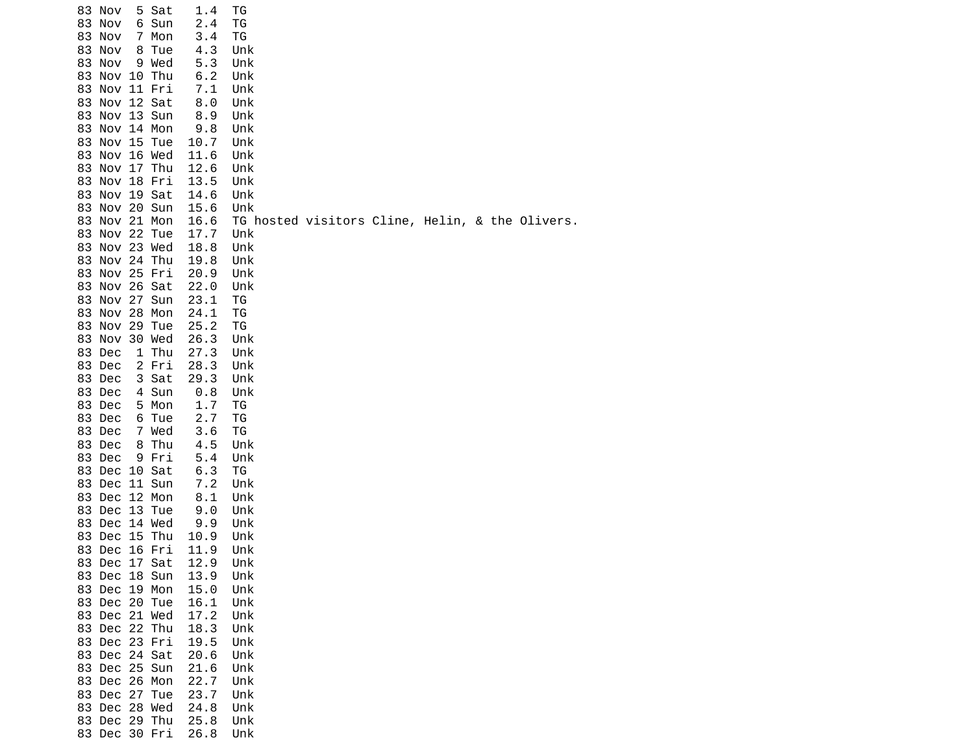| 83 Nov           |               | 5 Sat | 1.4        | ТG                                              |  |  |  |  |
|------------------|---------------|-------|------------|-------------------------------------------------|--|--|--|--|
| 83               | Nov           | 6 Sun | 2.4        | ΤG                                              |  |  |  |  |
| 83 Nov           |               | 7 Mon | 3.4        | ΤG                                              |  |  |  |  |
| 83 Nov           |               | 8 Tue | 4.3        | Unk                                             |  |  |  |  |
| 83 Nov           |               | 9 Wed | 5.3        | Unk                                             |  |  |  |  |
|                  | 83 Nov 10 Thu |       | 6.2        | Unk                                             |  |  |  |  |
|                  | 83 Nov 11 Fri |       | 7.1        | Unk                                             |  |  |  |  |
|                  | 83 Nov 12 Sat |       | 8.0        | Unk                                             |  |  |  |  |
|                  |               |       |            |                                                 |  |  |  |  |
|                  | 83 Nov 13 Sun |       | 8.9        | Unk                                             |  |  |  |  |
|                  | 83 Nov 14 Mon |       | 9.8        | Unk                                             |  |  |  |  |
|                  | 83 Nov 15 Tue |       | 10.7       | Unk                                             |  |  |  |  |
|                  | 83 Nov 16 Wed |       | 11.6       | Unk                                             |  |  |  |  |
|                  | 83 Nov 17 Thu |       | 12.6       | Unk                                             |  |  |  |  |
|                  | 83 Nov 18 Fri |       | 13.5       | Unk                                             |  |  |  |  |
|                  | 83 Nov 19 Sat |       | 14.6       | Unk                                             |  |  |  |  |
|                  | 83 Nov 20 Sun |       | 15.6       | Unk                                             |  |  |  |  |
|                  | 83 Nov 21 Mon |       | 16.6       | TG hosted visitors Cline, Helin, & the Olivers. |  |  |  |  |
|                  | 83 Nov 22 Tue |       | 17.7       | Unk                                             |  |  |  |  |
|                  | 83 Nov 23 Wed |       | 18.8       | Unk                                             |  |  |  |  |
|                  | 83 Nov 24 Thu |       | 19.8       | Unk                                             |  |  |  |  |
|                  | 83 Nov 25 Fri |       | 20.9       | Unk                                             |  |  |  |  |
|                  | 83 Nov 26 Sat |       | 22.0       | Unk                                             |  |  |  |  |
|                  | 83 Nov 27 Sun |       | 23.1       | ΤG                                              |  |  |  |  |
|                  | 83 Nov 28 Mon |       | 24.1       | ΤG                                              |  |  |  |  |
|                  | 83 Nov 29 Tue |       | 25.2       | ΤG                                              |  |  |  |  |
|                  | 83 Nov 30 Wed |       | 26.3       | Unk                                             |  |  |  |  |
| 83 Dec           |               | 1 Thu | 27.3       | Unk                                             |  |  |  |  |
| 83 Dec           |               | 2 Fri | 28.3       | Unk                                             |  |  |  |  |
| 83 Dec           |               | 3 Sat | 29.3       | Unk                                             |  |  |  |  |
|                  |               |       |            |                                                 |  |  |  |  |
| 83 Dec<br>83 Dec |               | 4 Sun | 0.8<br>1.7 | Unk                                             |  |  |  |  |
|                  |               | 5 Mon |            | ΤG                                              |  |  |  |  |
| 83 Dec           |               | 6 Tue | 2.7        | ΤG                                              |  |  |  |  |
| 83 Dec           |               | 7 Wed | 3.6        | TG                                              |  |  |  |  |
| 83 Dec           |               | 8 Thu | 4.5        | Unk                                             |  |  |  |  |
| 83 Dec           |               | 9 Fri | 5.4        | Unk                                             |  |  |  |  |
|                  | 83 Dec 10 Sat |       | 6.3        | ΤG                                              |  |  |  |  |
|                  | 83 Dec 11 Sun |       | 7.2        | Unk                                             |  |  |  |  |
|                  | 83 Dec 12 Mon |       | 8.1        | Unk                                             |  |  |  |  |
|                  | 83 Dec 13 Tue |       | 9.0        | Unk                                             |  |  |  |  |
|                  | 83 Dec 14 Wed |       | 9.9        | Unk                                             |  |  |  |  |
|                  | 83 Dec 15 Thu |       | 10.9       | Unk                                             |  |  |  |  |
|                  | 83 Dec 16 Fri |       | 11.9       | Unk                                             |  |  |  |  |
|                  | 83 Dec 17 Sat |       | 12.9       | Unk                                             |  |  |  |  |
|                  | 83 Dec 18 Sun |       | 13.9       | Unk                                             |  |  |  |  |
|                  | 83 Dec 19 Mon |       | 15.0       | Unk                                             |  |  |  |  |
|                  | 83 Dec 20 Tue |       | 16.1       | Unk                                             |  |  |  |  |
|                  | 83 Dec 21 Wed |       | 17.2       | Unk                                             |  |  |  |  |
|                  | 83 Dec 22 Thu |       | 18.3       | Unk                                             |  |  |  |  |
|                  | 83 Dec 23 Fri |       | 19.5       | Unk                                             |  |  |  |  |
|                  | 83 Dec 24 Sat |       | 20.6       | Unk                                             |  |  |  |  |
|                  | 83 Dec 25 Sun |       | 21.6       | Unk                                             |  |  |  |  |
|                  | 83 Dec 26 Mon |       | 22.7       | Unk                                             |  |  |  |  |
|                  | 83 Dec 27 Tue |       | 23.7       | Unk                                             |  |  |  |  |
|                  | 83 Dec 28 Wed |       | 24.8       | Unk                                             |  |  |  |  |
|                  | 83 Dec 29 Thu |       | 25.8       | Unk                                             |  |  |  |  |
|                  | 83 Dec 30 Fri |       | 26.8       | Unk                                             |  |  |  |  |
|                  |               |       |            |                                                 |  |  |  |  |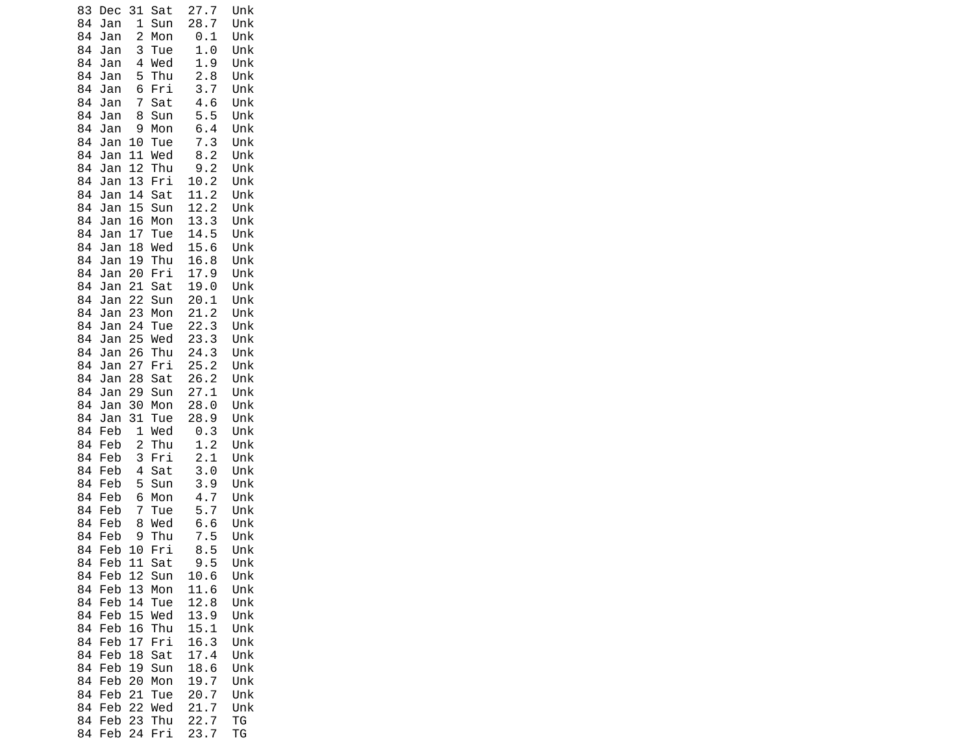| 83       | Dec        | 31                  | Sat        | 27.<br>7              | Unk        |
|----------|------------|---------------------|------------|-----------------------|------------|
| 84       | Jan        | 1                   | Sun        | 28.<br>$\overline{7}$ | Unk        |
| 84       | Jan        | 2                   | Mon        | 0.1                   | Unk        |
| 84       | Jan        | 3                   | Tue        | 1.0                   | Unk        |
| 84<br>84 | Jan<br>Jan | 4<br>5              | Wed<br>Thu | 1.9<br>2.8            | Unk<br>Unk |
| 84       | Jan        | 6                   | Fri        | 3.7                   | Unk        |
| 84       | Jan        | 7                   | Sat        | 4.6                   | Unk        |
| 84       | Jan        | 8                   | Sun        | 5.5                   | Unk        |
| 84       | Jan        | 9                   | Mon        | 6.4                   | Unk        |
| 84       | Jan        | 10                  | Tue        | 7.3                   | Unk        |
| 84       | Jan        | 11                  | Wed        | 8.2                   | Unk        |
| 84       | Jan        | 12                  | Thu        | 9.2                   | Unk        |
| 84       | Jan        | 13                  | Fri        | 10.2                  | Unk        |
| 84       | Jan        | 14                  | Sat        | 11.2                  | Unk        |
| 84       | Jan        | 15                  | Sun        | 12.2                  | Unk        |
| 84       | Jan        | 16                  | Mon        | 13.3                  | Unk        |
| 84       | Jan        | 17                  | Tue        | 14.5                  | Unk        |
| 84<br>84 | Jan        | 18<br>19            | Wed<br>Thu | 15.6<br>16.8          | Unk<br>Unk |
| 84       | Jan<br>Jan | 20                  | Fri        | 17.9                  | Unk        |
| 84       | Jan        | 21                  | Sat        | 19.0                  | Unk        |
| 84       | Jan        | 22                  | Sun        | 20.1                  | Unk        |
| 84       | Jan        | 23                  | Mon        | 21.2                  | Unk        |
| 84       | Jan        | 24                  | Tue        | 22.3                  | Unk        |
| 84       | Jan        | 25                  | Wed        | 23.3                  | Unk        |
| 84       | Jan        | 26                  | Thu        | 24.3                  | Unk        |
| 84       | Jan        | 27                  | Fri        | 25.2                  | Unk        |
| 84       | Jan        | 28                  | Sat        | 26.2                  | Unk        |
| 84       | Jan        | 29                  | Sun        | 27.<br>$\mathbf{1}$   | Unk        |
| 84       | Jan        | 30                  | Mon        | 28.0                  | Unk        |
| 84       | Jan        | 31                  | Tue        | 28.9                  | Unk        |
| 84<br>84 | Feb<br>Feb | 1<br>$\overline{c}$ | Wed<br>Thu | 0.3<br>1.2            | Unk<br>Unk |
| 84       | Feb        | 3                   | Fri        | 2.1                   | Unk        |
| 84       | Feb        | 4                   | Sat        | 3.0                   | Unk        |
| 84       | Feb        | 5                   | Sun        | 9<br>З.               | Unk        |
| 84       | Feb        | 6                   | Mon        | 4.<br>$\overline{7}$  | Unk        |
| 84       | Feb        | 7                   | Tue        | 5.7                   | Unk        |
| 84       | Feb        | 8                   | Wed        | 6.6                   | Unk        |
| 84       | Feb        | 9                   | Thu        | 7.5                   | Unk        |
| 84       | Feb        | 10                  | Fri        | 8<br>5                | Unk        |
| 84       | Feb        | 11                  | Sat        | 9.5                   | Unk        |
| 84       | Feb        | 12                  | Sun        | 10.6                  | Unk        |
| 84       | Feb        | 13                  | Mon        | 11.6                  | Unk        |
| 84<br>84 | Feb<br>Feb | 14<br>15            | Tue<br>Wed | 12.8<br>13.<br>9      | Unk<br>Unk |
| 84       | Feb        | 16                  | Thu        | 15.1                  | Unk        |
| 84       | Feb        | 17                  | Fri        | 16.3                  | Unk        |
| 84       | Feb        | 18                  | Sat        | 17.4                  | Unk        |
| 84       | Feb        | 19                  | Sun        | 18.6                  | Unk        |
| 84       | Feb        | 20                  | Mon        | 19.<br>7              | Unk        |
| 84       | Feb        | 21                  | Tue        | 20.<br>7              | Unk        |
| 84       | Feb        | 22                  | Wed        | 21.<br>7              | Unk        |
| 84       | Feb        | 23                  | Thu        | 22.7                  | ΤG         |
| 84       | Feb        | 24                  | Fri        | 23.7                  | ΤG         |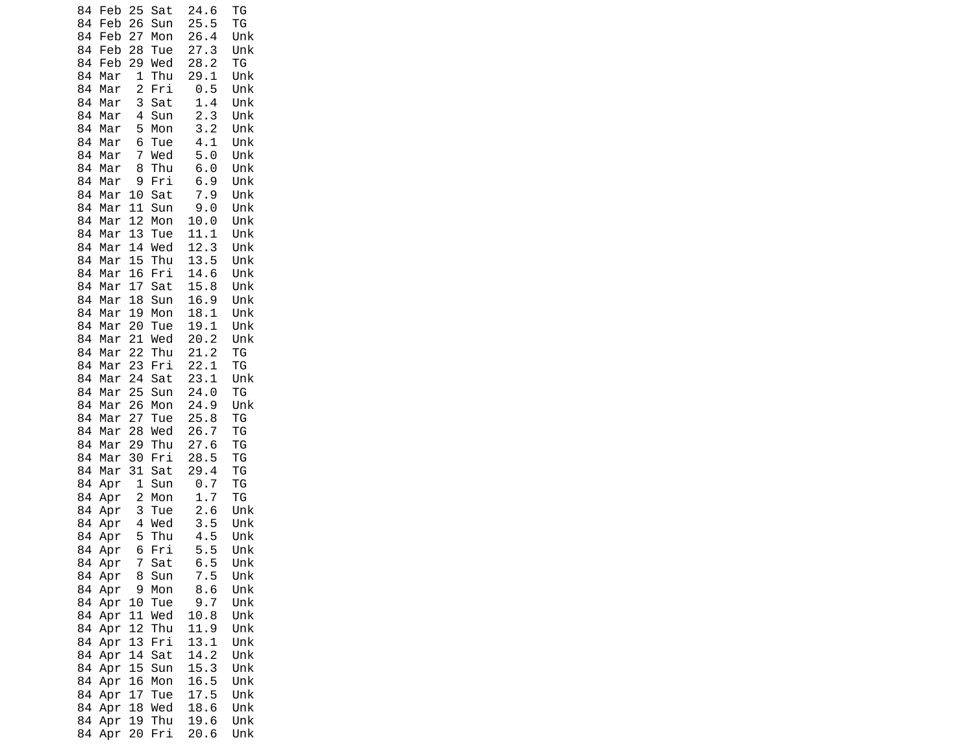| 84       | Feb        | 25             | Sat        | 24.6         | ТG         |
|----------|------------|----------------|------------|--------------|------------|
| 84<br>84 | Feb<br>Feb | 26<br>27       | Sun<br>Mon | 25.5<br>26.4 | ΤG<br>Unk  |
| 84       | Feb        | 28             | Tue        | 27.3         | Unk        |
| 84       | Feb        | 29             | Wed        | 28.2         | ΤG         |
| 84       | Mar        | 1              | Thu        | 29.1         | Unk        |
| 84       | Mar        | $\overline{c}$ | Fri        | 0.5          | Unk        |
| 84       | Mar        | 3              | Sat        | 1.4          | Unk        |
| 84       | Mar        | 4              | Sun        | 2.3          | Unk        |
| 84       | Mar        | 5              | Mon        | 3.2          | Unk        |
| 84       | Mar        | 6              | Tue        | 4.1          | Unk        |
| 84<br>84 | Mar<br>Mar | 7<br>8         | Wed<br>Thu | 5.0<br>6.0   | Unk<br>Unk |
| 84       | Mar        | 9              | Fri        | 6.9          | Unk        |
| 84       | Mar        | 10             | Sat        | 7.9          | Unk        |
| 84       | Mar        | 11             | Sun        | 9.0          | Unk        |
| 84       | Mar        | 12             | Mon        | 10.0         | Unk        |
| 84       | Mar        | 13             | Tue        | 11.1         | Unk        |
| 84       | Mar        | 14             | Wed        | 12.3         | Unk        |
| 84       | Mar        | 15             | Thu        | 13.5         | Unk        |
| 84       | Mar        | 16             | Fri        | 14.6<br>15.8 | Unk<br>Unk |
| 84<br>84 | Mar<br>Mar | 17<br>18       | Sat<br>Sun | 16.9         | Unk        |
| 84       | Mar        | 19             | Mon        | 18.1         | Unk        |
| 84       | Mar        | 20             | Tue        | 19.<br>1     | Unk        |
| 84       | Mar        | 21             | Wed        | 20.2         | Unk        |
| 84       | Mar        | 22             | Thu        | 21.2         | ΤG         |
| 84       | Mar        | 23             | Fri        | 22.1         | TG         |
| 84       | Mar        | 24             | Sat        | 23.1         | Unk        |
| 84       | Mar        | 25             | Sun        | 24.0         | TG         |
| 84<br>84 | Mar<br>Mar | 26<br>27       | Mon<br>Tue | 24.9<br>25.8 | Unk<br>ТG  |
| 84       | Mar        | 28             | Wed        | 26.7         | ΤG         |
| 84       | Mar        | 29             | Thu        | 27.6         | ΤG         |
| 84       | Mar        | 30             | Fri        | 28.<br>5     | TG         |
| 84       | Mar        | 31             | Sat        | 29.4         | ΤG         |
| 84       | Apr        | 1              | Sun        | 0.7          | TG         |
| 84       | Apr        | $\overline{c}$ | Mon        | 1.<br>7      | ΤG         |
| 84       | Apr        | 3<br>4         | Tue<br>Wed | 2.6<br>3.5   | Unk        |
| 84<br>84 | Apr<br>Apr | 5              | Thu        | 4.5          | Unk<br>Unk |
| 84       | Apr        | 6              | Fri        | 5.<br>5      | Unk        |
| 84       | Apr        | 7              | Sat        | 6.5          | Unk        |
| 84       | Apr        | 8              | Sun        | 7.5          | Unk        |
| 84       | Apr        | 9              | Mon        | 8.6          | Unk        |
| 84       | Apr        | 10             | Tue        | 9.7          | Unk        |
| 84       | Apr        | 11             | Wed        | 10.8         | Unk        |
| 84       | Apr        | 12             | Thu        | 11.9         | Unk        |
| 84       | Apr        | 13             | Fri        | 13.1         | Unk        |
| 84<br>84 | Apr<br>Apr | 14<br>15       | Sat<br>Sun | 14.2<br>15.3 | Unk<br>Unk |
| 84       | Apr        | 16             | Mon        | 16.5         | Unk        |
| 84       | Apr        | 17             | Tue        | 17.<br>5     | Unk        |
| 84       | Apr        | 18             | Wed        | 18.6         | Unk        |
| 84       | Apr        | 19             | Thu        | 19.6         | Unk        |
| 84       | Apr        | 20             | Fri        | 20.6         | Unk        |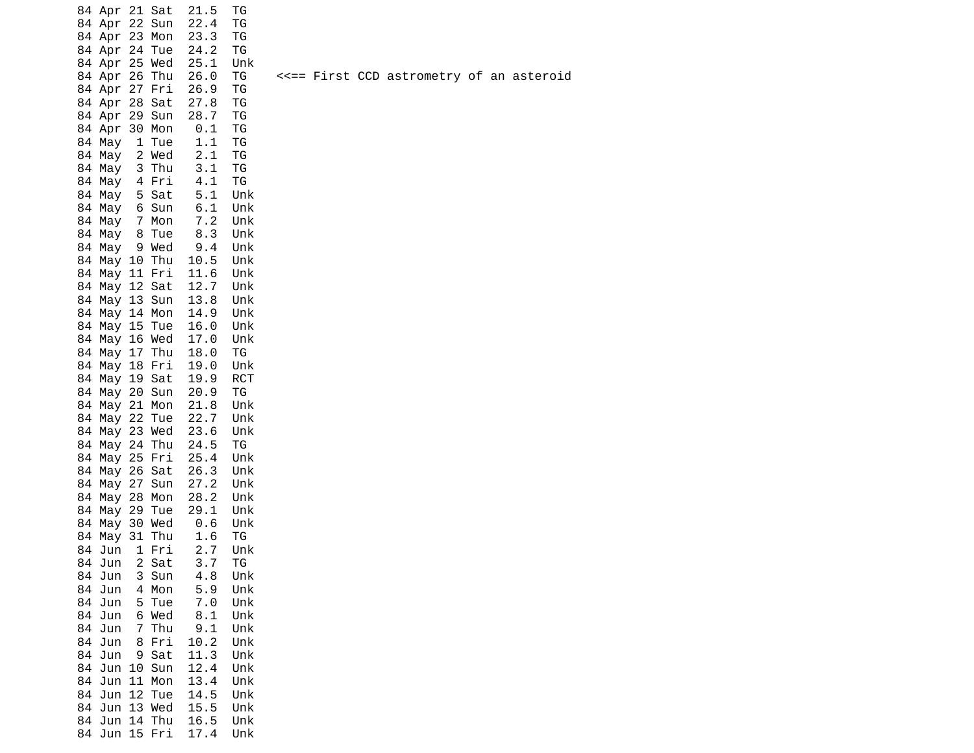| 84<br>Apr   | 21           | Sat | 21.5 | ТG        |           |
|-------------|--------------|-----|------|-----------|-----------|
| 84<br>Apr   | 22           | Sun | 22.4 | ТG        |           |
| 84<br>Apr   | 23           | Mon | 23.3 | ТG        |           |
| 84<br>Apr   | 24           | Tue | 24.2 | ΤG        |           |
| 84<br>Apr   | 25           | Wed | 25.1 | Unk       |           |
| 84<br>Apr   | 26           | Thu | 26.0 | ТG        | F<br><<== |
| 84<br>Apr   | 27           | Fri | 26.9 | ΤG        |           |
| 84<br>Apr   | 28           | Sat | 27.8 | TG        |           |
| 84<br>Apr   | 29           | Sun | 28.7 | ТG        |           |
| 84<br>Apr   | 30           | Mon | 0.1  | ТG        |           |
| 84<br>May   | 1            | Tue | 1.1  | ТG        |           |
| 84<br>May   | 2            | Wed | 2.1  | TG        |           |
| 84<br>May   | 3            | Thu | 3.1  | TG        |           |
| 84<br>May   | 4            | Fri | 4.1  | ΤG        |           |
| 84<br>May   | 5            | Sat | 5.1  | Unk       |           |
| 84<br>May   | 6            | Sun | 6.1  | Unk       |           |
| 84<br>May   | 7            | Mon | 7.2  | Unk       |           |
| 84<br>May   | 8            | Tue | 8.3  | Unk       |           |
| 84<br>May   | 9            | Wed | 9.4  | Unk       |           |
| 84<br>May   | 10           | Thu | 10.5 | Unk       |           |
| 84<br>May   | 11           | Fri | 11.6 | Unk       |           |
| 84<br>May   | 12           | Sat | 12.7 | Unk       |           |
| 84<br>May   | 13           | Sun | 13.8 | Unk       |           |
| 84<br>May   | 14           | Mon | 14.9 | Unk       |           |
| 84<br>May   | 15           | Tue | 16.0 | Unk       |           |
| 84<br>May   | 16           | Wed | 17.0 | Unk       |           |
| 84<br>May   | 17           | Thu | 18.0 | ΤG        |           |
| May<br>84   | 18           | Fri | 19.0 | Unk       |           |
| 84<br>May   | 19           | Sat | 19.9 | RCT       |           |
| 84<br>May   | 20           | Sun | 20.9 | ТG        |           |
| 84<br>May   | 21           | Mon | 21.8 | Unk       |           |
| 84<br>May   | 22           | Tue | 22.7 | Unk       |           |
| 84<br>May   | 23           | Wed | 23.6 | Unk       |           |
| 84<br>May   | 24           | Thu | 24.5 | ТG        |           |
| 84<br>May   | 25           | Fri | 25.4 | Unk       |           |
| 84<br>May   | 26           | Sat | 26.3 | Unk       |           |
| 84<br>May   | 27           | Sun | 27.2 | Unk       |           |
| 84<br>May   | 28           | Mon | 28.2 | Unk       |           |
| 84<br>May   | 29           | Tue | 29.1 | Unk       |           |
| 84<br>May   | 30           | Wed | 0.6  | Unk       |           |
| 84<br>May   | 31           | Thu | 1.6  | <b>TG</b> |           |
| 84 -<br>Jun | $\mathbf{1}$ | Fri | 2.7  | Unk       |           |
| 84<br>Jun   | 2            | Sat | 3.7  | ТG        |           |
| 84<br>Jun   | 3            | Sun | 4.8  | Unk       |           |
| 84<br>Jun   | 4            | Mon | 5.9  | Unk       |           |
| 84<br>Jun   | 5            | Tue | 7.0  | Unk       |           |
| 84<br>Jun   | 6            | Wed | 8.1  | Unk       |           |
| 84<br>Jun   | 7            | Thu | 9.1  | Unk       |           |
| 84<br>Jun   | 8            | Fri | 10.2 | Unk       |           |
| 84<br>Jun   | 9            | Sat | 11.3 | Unk       |           |
| 84<br>Jun   | 10           | Sun | 12.4 | Unk       |           |
| 84<br>Jun   | 11           | Mon | 13.4 | Unk       |           |
| 84<br>Jun   | 12           | Tue | 14.5 | Unk       |           |
| 84<br>Jun   | 13           | Wed | 15.5 | Unk       |           |
| 84<br>Jun   | 14           | Thu | 16.5 | Unk       |           |
| 84<br>Jun   | 15           | Fri | 17.4 | Unk       |           |

First CCD astrometry of an asteroid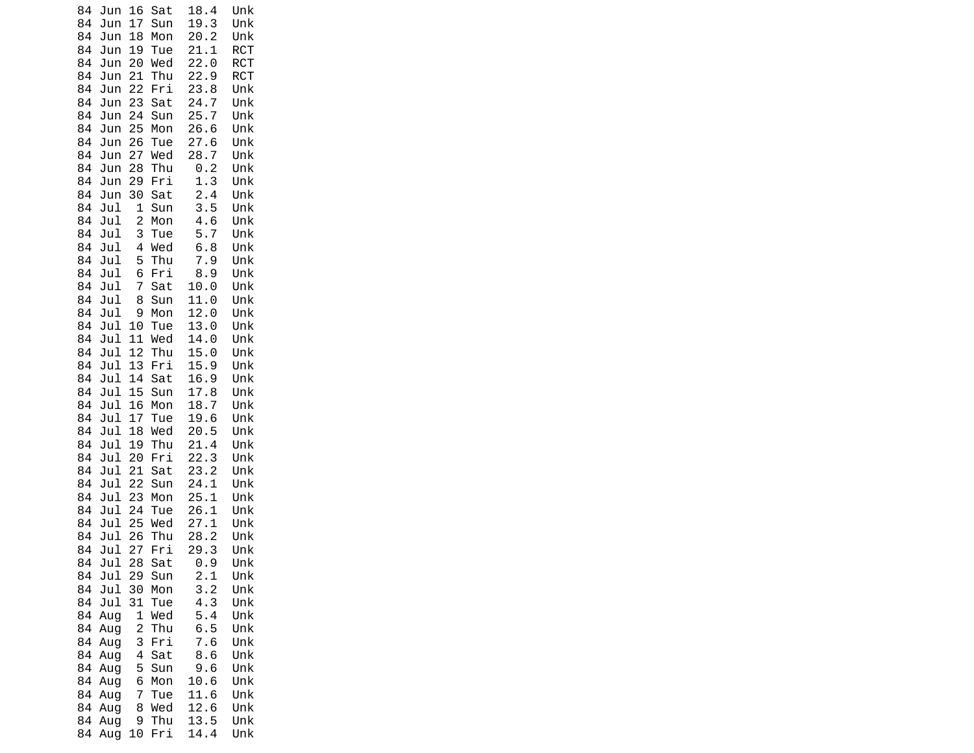| 84       | Jun        | 16                  | Sat        | 18.4             | Unk               |
|----------|------------|---------------------|------------|------------------|-------------------|
| 84       | Jun        | 17                  | Sun        | 19.3             | Unk               |
| 84       | Jun        | 18                  | Mon        | 20.2             | Unk               |
| 84       | Jun        | 19                  | Tue<br>Wed | 21.1             | <b>RCT</b>        |
| 84<br>84 | Jun<br>Jun | 20<br>21            | Thu        | 22.0<br>22.9     | RCT<br><b>RCT</b> |
| 84       | Jun        | 22                  | Fri        | 23.8             | Unk               |
| 84       | Jun        | 23                  | Sat        | 24.7             | Unk               |
| 84       | Jun        | 24                  | Sun        | 25.7             | Unk               |
| 84       | Jun        | 25                  | Mon        | 26.6             | Unk               |
| 84       | Jun        | 26                  | Tue        | 27.6             | Unk               |
| 84       | Jun        | 27                  | Wed        | 28.7             | Unk               |
| 84       | Jun        | 28                  | Thu        | 0.2              | Unk               |
| 84       | Jun        | 29                  | Fri        | 1.3              | Unk               |
| 84       | Jun        | 30                  | Sat        | 2.4              | Unk               |
| 84       | Jul        | $\overline{1}$      | Sun        | 3.5              | Unk               |
| 84       | Jul        | $\overline{c}$      | Mon        | 4.6              | Unk               |
| 84       | Jul        | 3                   | Tue        | 5.7              | Unk               |
| 84       | Jul        | 4                   | Wed        | 6.8              | Unk               |
| 84<br>84 | Jul        | 5<br>6              | Thu<br>Fri | 7.9<br>8.9       | Unk<br>Unk        |
| 84       | Jul<br>Jul | 7                   | Sat        | 10.0             | Unk               |
| 84       | Jul        | 8                   | Sun        | 11.0             | Unk               |
| 84       | Jul        | 9                   | Mon        | 12.0             | Unk               |
| 84       | Jul        | 10                  | Tue        | 13.0             | Unk               |
| 84       | Jul        | 11                  | Wed        | 14.0             | Unk               |
| 84       | Jul        | 12                  | Thu        | 15.0             | Unk               |
| 84       | Jul        | 13                  | Fri        | 15.9             | Unk               |
| 84       | Jul        | 14                  | Sat        | 16.9             | Unk               |
| 84       | Jul        | 15                  | Sun        | 17.8             | Unk               |
| 84       | Jul        | 16                  | Mon        | 18.7             | Unk               |
| 84       | Jul        | 17                  | Tue        | 19.6             | Unk               |
| 84       | Jul        | 18                  | Wed        | 20.5             | Unk               |
| 84<br>84 | Jul<br>Jul | 19<br>20            | Thu        | 21.4<br>22.<br>3 | Unk<br>Unk        |
| 84       | Jul        | 21                  | Fri<br>Sat | 23.2             | Unk               |
| 84       | Jul        | 22                  | Sun        | 24.1             | Unk               |
| 84       | Jul        | 23                  | Mon        | 25.1             | Unk               |
| 84       | Jul        | 24                  | Tue        | 26.<br>1         | Unk               |
| 84       | Jul        | 25                  | Wed        | 27.1             | Unk               |
| 84       | Jul        | 26                  | Thu        | 28.2             | Unk               |
| 84       | Jul        | 27                  | Fri        | 29.<br>3         | Unk               |
| 84       | Jul        | 28                  | Sat        | 0.9              | Unk               |
| 84       | Jul        | 29                  | Sun        | 2.1              | Unk               |
| 84       | Jul        | 30                  | Mon        | 3.2              | Unk               |
| 84       | Jul        | 31                  | Tue        | 4.3              | Unk               |
| 84       | Aug        | 1                   | Wed        | 5.4              | Unk               |
| 84<br>84 | Aug<br>Aug | $\overline{c}$<br>3 | Thu<br>Fri | 6.5<br>7.6       | Unk<br>Unk        |
| 84       | Aug        | 4                   | Sat        | 8.6              | Unk               |
| 84       | Aug        | 5                   | Sun        | 9.6              | Unk               |
| 84       | Aug        | 6                   | Mon        | 10.6             | Unk               |
| 84       | Aug        | 7                   | Tue        | 11.6             | Unk               |
| 84       | Aug        | 8                   | Wed        | 12.6             | Unk               |
| 84       | Aug        | 9                   | Thu        | 13.5             | Unk               |
| 84       | Aug        | 10                  | Fri        | 14.4             | Unk               |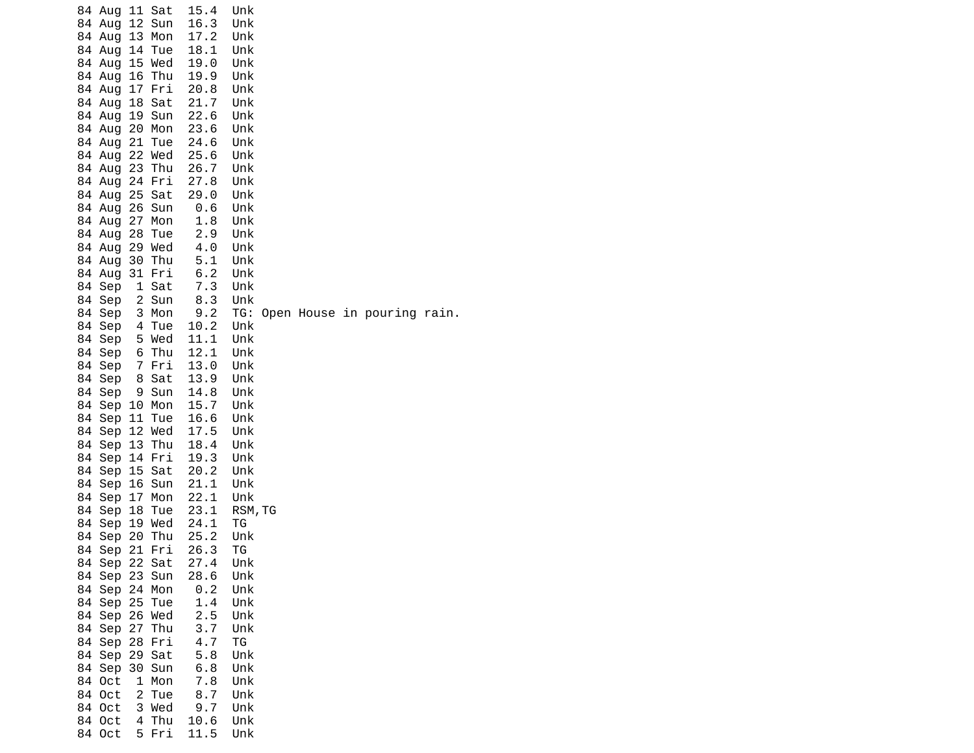|  | 84 Aug 11 Sat<br>84 Aug 12 Sun<br>84 Aug 13 Mon<br>84 Aug 14 Tue<br>84 Aug 15 Wed<br>84 Aug<br>84 Aug 17 Fri<br>84 Aug 18 Sat<br>84 Aug 19 Sun<br>84 Aug<br>84 Aug<br>84 Aug 22 Wed<br>84 Aug 23 Thu<br>84 Aug 24 Fri<br>84 Aug<br>84 Aug 26 Sun | 16 Thu<br>20 Mon<br>21 Tue<br>25 Sat | 15.4<br>16.3<br>17.2<br>18.1<br>19.0<br>19.9<br>20.8<br>21.7<br>22.6<br>23.6<br>24.6<br>25.6<br>26.7<br>27.8<br>29.0<br>0.6 | Unk<br>Unk<br>Unk<br>Unk<br>Unk<br>Unk<br>Unk<br>Unk<br>Unk<br>Unk<br>Unk<br>Unk<br>Unk<br>Unk<br>Unk<br>Unk |  |                             |  |
|--|--------------------------------------------------------------------------------------------------------------------------------------------------------------------------------------------------------------------------------------------------|--------------------------------------|-----------------------------------------------------------------------------------------------------------------------------|--------------------------------------------------------------------------------------------------------------|--|-----------------------------|--|
|  | 84 Aug 27 Mon<br>84 Aug 28 Tue                                                                                                                                                                                                                   |                                      | 1.8<br>2.9                                                                                                                  | Unk<br>Unk                                                                                                   |  |                             |  |
|  | 84 Aug<br>84 Aug                                                                                                                                                                                                                                 | 29 Wed<br>30 Thu                     | 4.0<br>5.1                                                                                                                  | Unk<br>Unk                                                                                                   |  |                             |  |
|  | 84 Aug                                                                                                                                                                                                                                           | 31 Fri                               | 6.2                                                                                                                         | Unk                                                                                                          |  |                             |  |
|  | 84 Sep<br>84 Sep                                                                                                                                                                                                                                 | 1 Sat<br>2 Sun                       | 7.3<br>8.3                                                                                                                  | Unk<br>Unk                                                                                                   |  |                             |  |
|  | 84 Sep                                                                                                                                                                                                                                           | 3 Mon                                | 9.2                                                                                                                         | TG:                                                                                                          |  | Open House in pouring rain. |  |
|  | 84 Sep                                                                                                                                                                                                                                           | 4 Tue<br>5 Wed                       | 10.2<br>11.1                                                                                                                | Unk                                                                                                          |  |                             |  |
|  | 84 Sep<br>84 Sep                                                                                                                                                                                                                                 | 6 Thu                                | 12.1                                                                                                                        | Unk<br>Unk                                                                                                   |  |                             |  |
|  | 84 Sep                                                                                                                                                                                                                                           | 7 Fri                                | 13.0                                                                                                                        | Unk                                                                                                          |  |                             |  |
|  | 84 Sep                                                                                                                                                                                                                                           | 8 Sat                                | 13.9                                                                                                                        | Unk                                                                                                          |  |                             |  |
|  | 84 Sep                                                                                                                                                                                                                                           | 9 Sun                                | 14.8                                                                                                                        | Unk                                                                                                          |  |                             |  |
|  | 84 Sep 10 Mon<br>84 Sep 11 Tue                                                                                                                                                                                                                   |                                      | 15.7<br>16.6                                                                                                                | Unk<br>Unk                                                                                                   |  |                             |  |
|  | 84 Sep 12 Wed                                                                                                                                                                                                                                    |                                      | 17.5                                                                                                                        | Unk                                                                                                          |  |                             |  |
|  | 84 Sep 13 Thu                                                                                                                                                                                                                                    |                                      | 18.4                                                                                                                        | Unk                                                                                                          |  |                             |  |
|  | 84 Sep 14 Fri                                                                                                                                                                                                                                    |                                      | 19.3                                                                                                                        | Unk                                                                                                          |  |                             |  |
|  | 84 Sep 15 Sat<br>84 Sep 16 Sun                                                                                                                                                                                                                   |                                      | 20.2<br>21.1                                                                                                                | Unk<br>Unk                                                                                                   |  |                             |  |
|  | 84 Sep                                                                                                                                                                                                                                           | 17 Mon                               | 22.1                                                                                                                        | Unk                                                                                                          |  |                             |  |
|  | 84 Sep                                                                                                                                                                                                                                           | 18 Tue                               | 23.1                                                                                                                        | RSM, TG                                                                                                      |  |                             |  |
|  | 84 Sep 19 Wed<br>84 Sep 20 Thu                                                                                                                                                                                                                   |                                      | 24.1<br>25.2                                                                                                                | ΤG                                                                                                           |  |                             |  |
|  | 84 Sep 21 Fri                                                                                                                                                                                                                                    |                                      | 26.3                                                                                                                        | Unk<br>TG.                                                                                                   |  |                             |  |
|  | 84 Sep 22 Sat                                                                                                                                                                                                                                    |                                      | 27.4                                                                                                                        | Unk                                                                                                          |  |                             |  |
|  | 84 Sep 23 Sun                                                                                                                                                                                                                                    |                                      | 28.6                                                                                                                        | Unk                                                                                                          |  |                             |  |
|  | 84 Sep 24 Mon<br>84 Sep 25 Tue                                                                                                                                                                                                                   |                                      | 0.2<br>1.4                                                                                                                  | Unk<br>Unk                                                                                                   |  |                             |  |
|  | 84 Sep 26 Wed                                                                                                                                                                                                                                    |                                      | 2.5                                                                                                                         | Unk                                                                                                          |  |                             |  |
|  | 84 Sep 27 Thu                                                                                                                                                                                                                                    |                                      | 3.7                                                                                                                         | Unk                                                                                                          |  |                             |  |
|  | 84 Sep 28 Fri<br>84 Sep 29 Sat                                                                                                                                                                                                                   |                                      | 4.7<br>5.8                                                                                                                  | TG                                                                                                           |  |                             |  |
|  | 84 Sep 30 Sun                                                                                                                                                                                                                                    |                                      | 6.8                                                                                                                         | Unk<br>Unk                                                                                                   |  |                             |  |
|  | 84 Oct                                                                                                                                                                                                                                           | 1 Mon                                | 7.8                                                                                                                         | Unk                                                                                                          |  |                             |  |
|  | 84 Oct                                                                                                                                                                                                                                           | 2 Tue                                | 8.7                                                                                                                         | Unk                                                                                                          |  |                             |  |
|  | 84 Oct<br>84 Oct 4 Thu                                                                                                                                                                                                                           | 3 Wed                                | 9.7<br>10.6                                                                                                                 | Unk<br>Unk                                                                                                   |  |                             |  |
|  |                                                                                                                                                                                                                                                  | 84 Oct 5 Fri                         | 11.5                                                                                                                        | Unk                                                                                                          |  |                             |  |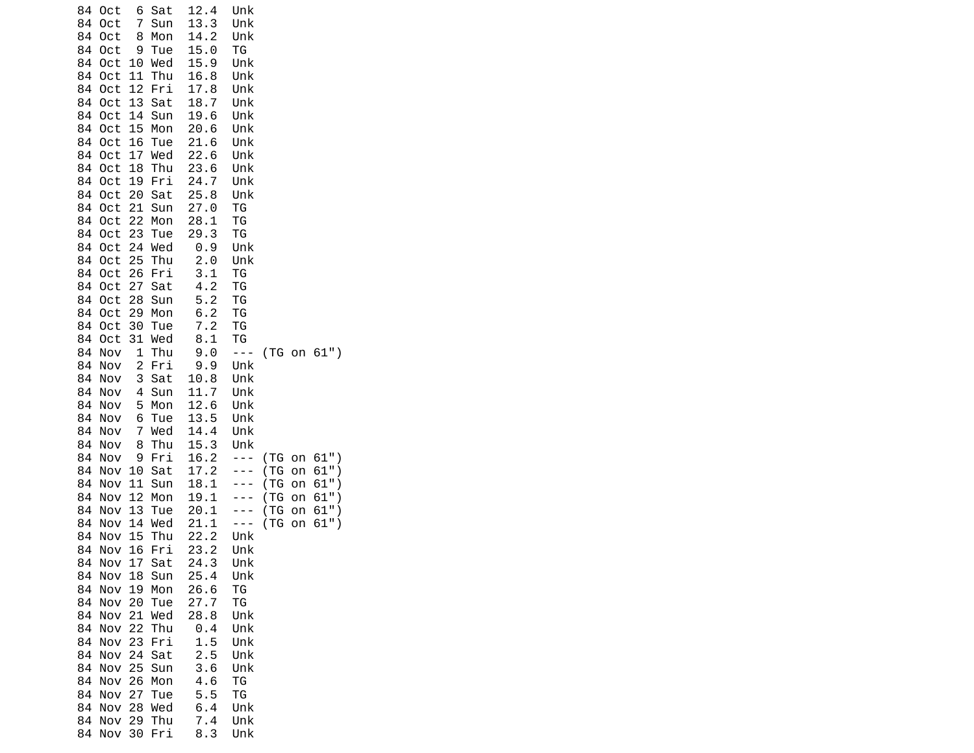| 84<br>84<br>84<br>84<br>84<br>84<br>84<br>84<br>84<br>84<br>84<br>84<br>84<br>84<br>84<br>84<br>84<br>84<br>84<br>84<br>84<br>84<br>84<br>84 | 0ct<br>0ct<br>0ct<br>0ct<br>0ct<br>Oct<br>Oct<br>Oct<br>0ct<br>Oct<br>Oct<br>Oct<br>0ct<br>0ct<br>Oct<br>Oct<br>0ct<br>0ct<br>Oct<br>Oct<br>0ct<br>0ct<br>Oct | 6<br>7<br>8<br>9<br>10<br>11<br>12<br>13<br>14<br>15<br>16<br>17<br>18<br>19<br>20<br>21<br>22<br>23<br>24<br>25<br>26<br>27<br>28<br>29 | Sat<br>Sun<br>Mon<br>Tue<br>Wed<br>Thu<br>Fri<br>Sat<br>Sun<br>Mon<br>Tue<br>Wed<br>Thu<br>Fri<br>Sat<br>Sun<br>Mon<br>Tue<br>Wed<br>Thu<br>Fri<br>Sat<br>Sun | 12.4<br>13.3<br>14.2<br>15.0<br>15.9<br>16.8<br>17.8<br>18.7<br>19.6<br>20.6<br>21.6<br>22.6<br>23.6<br>24.7<br>25.8<br>27.0<br>28.1<br>29.3<br>0.9<br>2.0<br>3.1<br>4.2<br>5.2<br>6.2 | Unk<br>Unk<br>Unk<br>ТG<br>Unk<br>Unk<br>Unk<br>Unk<br>Unk<br>Unk<br>Unk<br>Unk<br>Unk<br>Unk<br>Unk<br>ΤG<br>TG<br>ΤG<br>Unk<br>Unk<br><b>TG</b><br>TG<br>TG<br><b>TG</b>         |                                         |                                  |                                                    |
|----------------------------------------------------------------------------------------------------------------------------------------------|---------------------------------------------------------------------------------------------------------------------------------------------------------------|------------------------------------------------------------------------------------------------------------------------------------------|---------------------------------------------------------------------------------------------------------------------------------------------------------------|----------------------------------------------------------------------------------------------------------------------------------------------------------------------------------------|------------------------------------------------------------------------------------------------------------------------------------------------------------------------------------|-----------------------------------------|----------------------------------|----------------------------------------------------|
| 84<br>84<br>84<br>84<br>84<br>84<br>84<br>84<br>84<br>84                                                                                     | Oct<br>Oct<br>0ct<br>Nov<br>Nov<br>Nov<br>Nov<br>Nov<br>Nov<br>Nov<br>Nov                                                                                     | 30<br>31<br>1<br>$\overline{\mathbf{c}}$<br>3<br>4<br>5<br>6<br>7<br>8                                                                   | Mon<br>Tue<br>Wed<br>Thu<br>Fri<br>Sat<br>Sun<br>Mon<br>Tue<br>Wed<br>Thu                                                                                     | 7.2<br>8.1<br>9.0<br>9.9<br>10.8<br>11.7<br>12.6<br>13.5<br>14.4<br>15.3                                                                                                               | TG<br>ТG<br>$- - -$<br>Unk<br>Unk<br>Unk<br>Unk<br>Unk<br>Unk<br>Unk                                                                                                               |                                         |                                  | (TG on 61")                                        |
| 84<br>84<br>84<br>84<br>84<br>84<br>84<br>84<br>84<br>84<br>84<br>84<br>84<br>84<br>84<br>84<br>84<br>84<br>84<br>84<br>84<br>84             | Nov<br>Nov<br>Nov<br>Nov<br>Nov<br>Nov<br>Nov<br>Nov<br>Nov<br>Nov<br>Nov<br>Nov<br>Nov<br>Nov<br>Nov<br>Nov<br>Nov<br>Nov<br>Nov<br>Nov<br>Nov<br>Nov        | 9<br>10<br>11<br>12<br>13<br>14<br>15<br>16<br>17<br>18<br>19<br>20<br>21<br>22<br>23<br>24<br>25<br>26<br>27<br>28<br>29<br>30          | Fri<br>Sat<br>Sun<br>Mon<br>Tue<br>Wed<br>Thu<br>Fri<br>Sat<br>Sun<br>Mon<br>Tue<br>Wed<br>Thu<br>Fri<br>Sat<br>Sun<br>Mon<br>Tue<br>Wed<br>Thu<br>Fri        | 16.2<br>17.2<br>18.1<br>19.1<br>20.1<br>21.1<br>22.2<br>23.2<br>24.3<br>25.4<br>26.6<br>27.7<br>28.8<br>0.4<br>1.5<br>2.5<br>3.6<br>4.6<br>5.5<br>6.4<br>7.4<br>8.3                    | $- - -$<br>$- - -$<br>$\sim$ $\sim$<br>$\sim$ $\sim$<br>- - -<br>- - -<br>Unk<br>Unk<br>Unk<br>Unk<br>ТG<br>ΤG<br>Unk<br>Unk<br>Unk<br>Unk<br>Unk<br>ТG<br>ΤG<br>Unk<br>Unk<br>Unk | (TG<br>(TG<br>(TG)<br>(TG<br>(TG<br>(TG | on<br>on<br>on<br>on<br>on<br>on | $61"$ )<br>$61"$ )<br>61"<br>61"<br>61"<br>$61"$ ) |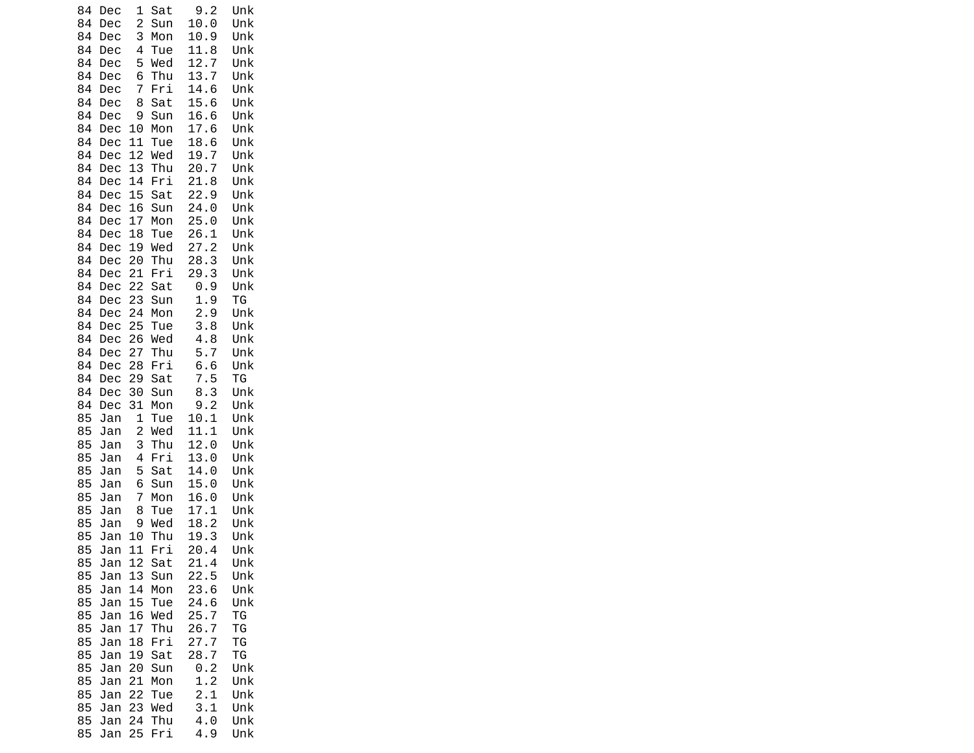| 84       | Dec        | 1              | Sat        | 9.2                   | Unk        |
|----------|------------|----------------|------------|-----------------------|------------|
| 84       | Dec        | 2              | Sun        | 10.0                  | Unk        |
| 84       | Dec        | 3              | Mon        | 10.9                  | Unk        |
| 84       | Dec        | 4              | Tue        | 11.8                  | Unk        |
| 84       | Dec        | 5              | Wed        | 12.<br>$\overline{7}$ | Unk        |
| 84       | Dec        | 6              | Thu        | 13.<br>7              | Unk        |
| 84       | Dec        | 7              | Fri        | 14.6                  | Unk        |
| 84       | Dec        | 8              | Sat        | 15.6                  | Unk        |
| 84       | Dec        | 9              | Sun        | 16.6                  | Unk        |
| 84       | Dec        | 10             | Mon        | 17.6                  | Unk        |
| 84       | Dec        | 11             | Tue        | 18.6                  | Unk        |
| 84       | Dec        | 12             | Wed        | 19.7                  | Unk        |
| 84       | Dec        | 13             | Thu        | 20.7                  | Unk        |
| 84       | Dec        | 14             | Fri        | 21.8                  | Unk        |
| 84       | Dec        | 15             | Sat        | 22.9                  | Unk        |
| 84       | Dec        | 16             | Sun        | 24.0                  | Unk        |
| 84       | Dec        | 17             | Mon        | 25.0                  | Unk        |
| 84       | Dec        | 18             | Tue        | 26.1                  | Unk        |
| 84       | Dec        | 19             | Wed        | 27.2                  | Unk        |
| 84       | Dec        | 20             | Thu        | 28.<br>3              | Unk        |
| 84       | Dec        | 21             | Fri        | 29.3                  | Unk        |
| 84       | Dec        | 22             | Sat        | 0.9                   | Unk        |
| 84       | Dec        | 23             | Sun        | 1.9                   | ΤG         |
| 84       | Dec        | 24             | Mon        | 2.9                   | Unk        |
| 84       | Dec        | 25             | Tue        | 3.8                   | Unk        |
| 84<br>84 | Dec        | 26<br>27       | Wed<br>Thu | 4.8<br>5.7            | Unk<br>Unk |
| 84       | Dec        | 28             | Fri        |                       | Unk        |
| 84       | Dec        | 29             | Sat        | 6.6<br>7.<br>5        | ΤG         |
| 84       | Dec<br>Dec | 30             | Sun        | 8.3                   | Unk        |
| 84       | Dec        | 31             | Mon        | 9.2                   | Unk        |
| 85       | Jan        | $\mathbf 1$    | Tue        | 10.1                  | Unk        |
| 85       | Jan        | $\overline{c}$ | Wed        | 11.1                  | Unk        |
| 85       | Jan        | 3              | Thu        | 12.0                  | Unk        |
| 85       | Jan        | 4              | Fri        | 13.0                  | Unk        |
| 85       | Jan        | 5              | Sat        | 14.0                  | Unk        |
| 85       | Jan        | 6              | Sun        | 15.0                  | Unk        |
| 85       | Jan        | 7              | Mon        | 16.0                  | Unk        |
| 85       | Jan        | 8              | Tue        | 17.<br>$\mathbf{1}$   | Unk        |
| 85       | Jan        | 9              | Wed        | 18.2                  | Unk        |
| 85       | Jan        | 10             | Thu        | 19.3                  | Unk        |
| 85       | Jan        | 11             | Fri        | 20.4                  | Unk        |
| 85       | Jan        | 12             | Sat        | 21.4                  | Unk        |
| 85       | Jan        | 13             | Sun        | 22.5                  | Unk        |
| 85       | Jan        | 14             | Mon        | 23.6                  | Unk        |
| 85       | Jan        | 15             | Tue        | 24.6                  | Unk        |
| 85       | Jan        | 16             | Wed        | 25.<br>7              | ΤG         |
| 85       | Jan        | 17             | Thu        | 26.<br>7              | ΤG         |
| 85       | Jan        | 18             | Fri        | 27.<br>7              | TG         |
| 85       | Jan        | 19             | Sat        | 28.7                  | TG         |
| 85       | Jan        | 20             | Sun        | 0.2                   | Unk        |
| 85       | Jan        | 21             | Mon        | 1.2                   | Unk        |
| 85       | Jan        | 22             | Tue        | 2.1                   | Unk        |
| 85       | Jan        | 23             | Wed        | 3.1                   | Unk        |
| 85       | Jan        | 24             | Thu        | 4.0                   | Unk        |
| 85       | Jan        | 25             | Fri        | 4.9                   | Unk        |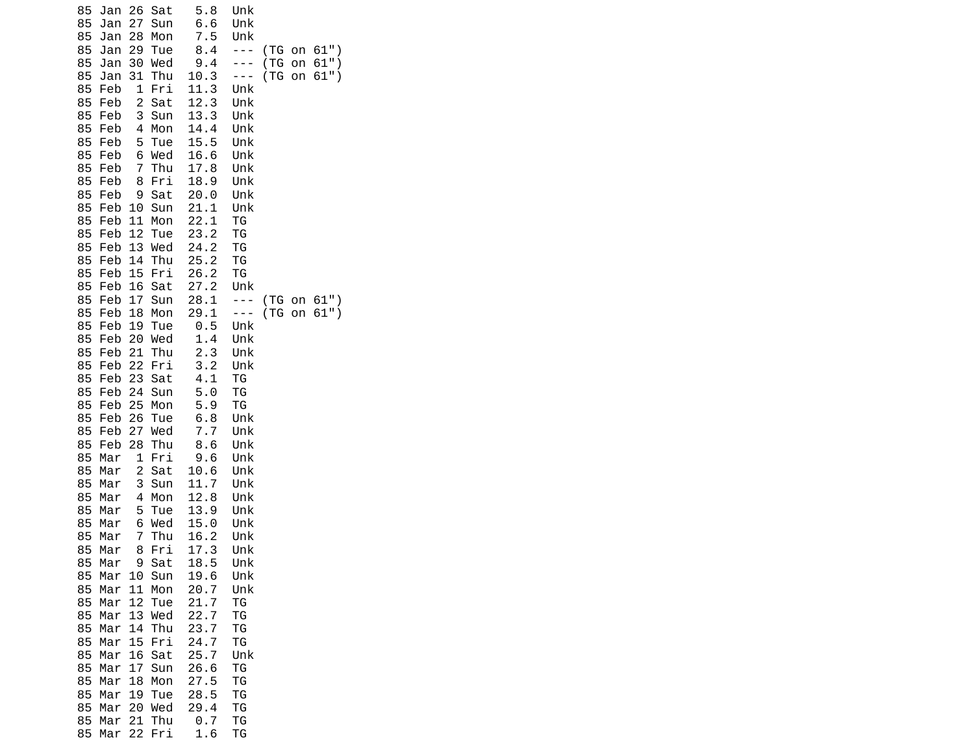| 85<br>Jan<br>85<br>Jan<br>85<br>Jan<br>85<br>Jan | 26<br>Sat<br>27<br>Sun<br>28<br>Mon<br>29<br>Tue | 5.8<br>6.6<br>7.5<br>8.4     | Unk<br>Unk<br>Unk<br>- - -   | (TG         | on       | $61"$ )            |
|--------------------------------------------------|--------------------------------------------------|------------------------------|------------------------------|-------------|----------|--------------------|
| 85<br>Jan<br>85<br>Jan<br>85<br>Feb              | 30<br>Wed<br>31<br>Thu<br>1<br>Fri               | 9.4<br>10.3<br>11.3          | - - -<br>- - -<br>Unk        | (TG)<br>(TG | on<br>on | $61"$ )<br>$61"$ ) |
| 85<br>Feb<br>85<br>Feb<br>85<br>Feb<br>85<br>Feb | 2<br>Sat<br>3<br>Sun<br>4<br>Mon<br>5<br>Tue     | 12.3<br>13.3<br>14.4<br>15.5 | Unk<br>Unk<br>Unk<br>Unk     |             |          |                    |
| 85<br>Feb<br>85<br>Feb<br>85<br>Feb              | 6<br>Wed<br>7<br>Thu<br>8<br>Fri                 | 16.6<br>17.8<br>18.9         | Unk<br>Unk<br>Unk            |             |          |                    |
| 85<br>Feb<br>85<br>Feb<br>85<br>Feb              | 9<br>Sat<br>10<br>Sun<br>11<br>Mon               | 20.0<br>21.1<br>22.1         | Unk<br>Unk<br>ΤG             |             |          |                    |
| 85<br>Feb<br>85<br>Feb<br>85<br>Feb              | 12<br>Tue<br>13<br>Wed<br>14<br>Thu              | 23.2<br>24.2<br>25.2         | ΤG<br><b>TG</b><br>TG        |             |          |                    |
| 85<br>Feb<br>85<br>Feb<br>85<br>Feb              | 15<br>Fri<br>16<br>Sat<br>17<br>Sun              | 26.2<br>27.2<br>28.1         | TG<br>Unk<br>$\sim$ $ \sim$  | (TG)        | on       | $61"$ )            |
| 85<br>Feb<br>85<br>Feb<br>85<br>Feb<br>85<br>Feb | 18<br>Mon<br>19<br>Tue<br>20<br>Wed<br>21<br>Thu | 29.1<br>0.5<br>1.4<br>2.3    | $- - -$<br>Unk<br>Unk<br>Unk | ( T G )     | on       | $61"$ )            |
| 85<br>Feb<br>85<br>Feb<br>85<br>Feb              | 22<br>Fri<br>23<br>Sat<br>24<br>Sun              | 3.2<br>4.1<br>5.0            | Unk<br>TG<br>TG              |             |          |                    |
| 85<br>Feb<br>85<br>Feb<br>85<br>Feb              | 25<br>Mon<br>26<br>Tue<br>27<br>Wed              | 5.9<br>6.8<br>7.7            | TG<br>Unk<br>Unk             |             |          |                    |
| 85<br>Feb<br>85<br>Mar<br>85<br>Mar              | 28<br>Thu<br>1<br>Fri<br>2<br>Sat                | 8.6<br>9.6<br>10.6           | Unk<br>Unk<br>Unk            |             |          |                    |
| 85<br>Mar<br>85<br>Mar<br>85<br>Mar<br>85<br>Mar | 3<br>Sun<br>4<br>Mon<br>5<br>Tue<br>6<br>Wed     | 11.7<br>12.8<br>13.9<br>15.0 | Unk<br>Unk<br>Unk<br>Unk     |             |          |                    |
| 85<br>Mar<br>85<br>Mar<br>85<br>Mar              | 7<br>Thu<br>8<br>Fri<br>Sat<br>9                 | 16.2<br>17.3<br>18.5         | Unk<br>Unk<br>Unk            |             |          |                    |
| 85<br>Mar<br>85<br>Mar<br>85<br>Mar              | 10<br>Sun<br>Mon<br>11<br>12<br>Tue              | 19.6<br>20.7<br>21.7         | Unk<br>Unk<br>ΤG             |             |          |                    |
| 85<br>Mar<br>85<br>Mar<br>85<br>Mar              | 13<br>Wed<br>14<br>Thu<br>15<br>Fri              | 22.7<br>23.7<br>24.7         | ТG<br>ΤG<br>ΤG               |             |          |                    |
| 85<br>Mar<br>85<br>Mar<br>85<br>Mar<br>85<br>Mar | 16<br>Sat<br>17<br>Sun<br>18<br>Mon<br>19<br>Tue | 25.7<br>26.6<br>27.5<br>28.5 | Unk<br>ТG<br>TG<br>ΤG        |             |          |                    |
| 85<br>Mar<br>85<br>Mar<br>85<br>Mar              | 20<br>Wed<br>21<br>Thu<br>Fri<br>22              | 29.4<br>0.7<br>1.6           | ΤG<br>TG<br>ΤG               |             |          |                    |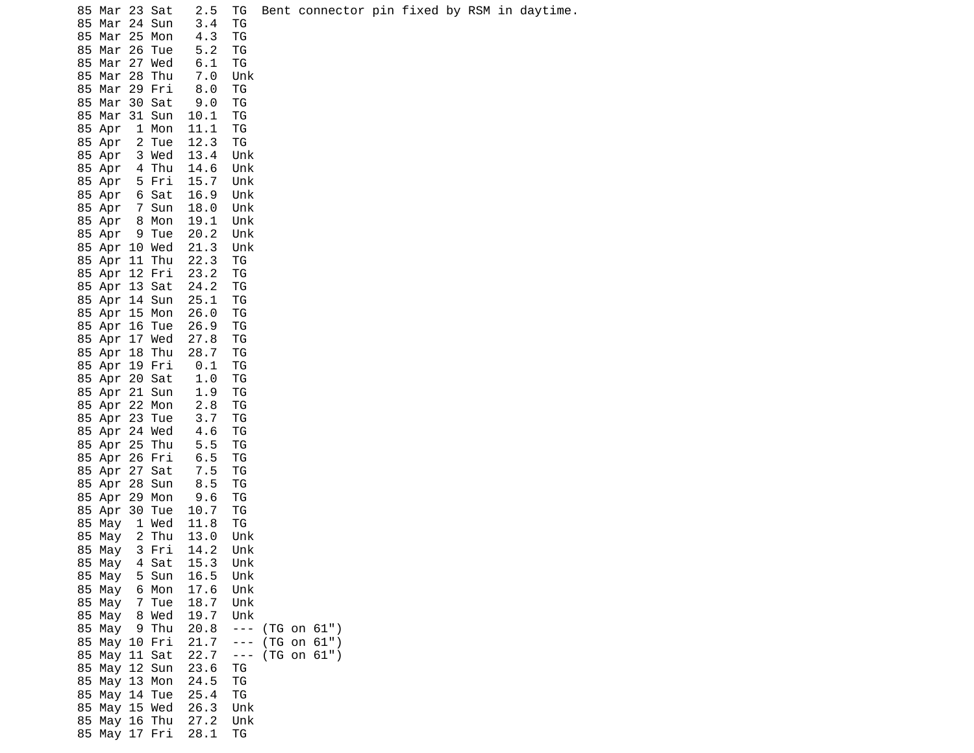| 85 Mar 23 Sat                     | 2.5          | TG                    |             |  |  |  | Bent connector pin fixed by RSM in daytime. |
|-----------------------------------|--------------|-----------------------|-------------|--|--|--|---------------------------------------------|
| 85 Mar 24 Sun                     | 3.4          | ТG                    |             |  |  |  |                                             |
| 85<br>Mar 25 Mon                  | 4.3          | ΤG                    |             |  |  |  |                                             |
| 85<br>Mar 26 Tue                  | 5.2          | ΤG                    |             |  |  |  |                                             |
| Mar 27 Wed<br>85                  | 6.1          | TG                    |             |  |  |  |                                             |
| 85 Mar 28 Thu                     | 7.0          | Unk                   |             |  |  |  |                                             |
| 85 Mar 29 Fri                     | 8.0          | ΤG                    |             |  |  |  |                                             |
| 85<br>Mar 30 Sat<br>85 Mar 31 Sun | 9.0<br>10.1  | ΤG<br>ТG              |             |  |  |  |                                             |
| 85 Apr<br>1 Mon                   | 11.1         | ΤG                    |             |  |  |  |                                             |
| 2 Tue<br>85 Apr                   | 12.3         | ΤG                    |             |  |  |  |                                             |
| 85 Apr<br>3 Wed                   | 13.4         | Unk                   |             |  |  |  |                                             |
| 4 Thu<br>85 Apr                   | 14.6         | Unk                   |             |  |  |  |                                             |
| 85 Apr<br>5 Fri                   | 15.7         | Unk                   |             |  |  |  |                                             |
| 6 Sat<br>85 Apr                   | 16.9         | Unk                   |             |  |  |  |                                             |
| 7 Sun<br>85 Apr                   | 18.0         | Unk                   |             |  |  |  |                                             |
| 85 Apr<br>8 Mon                   | 19.1         | Unk                   |             |  |  |  |                                             |
| 85 Apr 9 Tue                      | 20.2         | Unk                   |             |  |  |  |                                             |
| 85 Apr 10 Wed<br>85 Apr 11 Thu    | 21.3<br>22.3 | Unk<br>ΤG             |             |  |  |  |                                             |
| 85 Apr 12 Fri                     | 23.2         | ΤG                    |             |  |  |  |                                             |
| 85 Apr 13 Sat                     | 24.2         | ΤG                    |             |  |  |  |                                             |
| 85 Apr 14 Sun                     | 25.1         | ΤG                    |             |  |  |  |                                             |
| 85 Apr 15 Mon                     | 26.0         | ΤG                    |             |  |  |  |                                             |
| 85 Apr 16 Tue                     | 26.9         | ΤG                    |             |  |  |  |                                             |
| 85 Apr 17 Wed                     | 27.8         | ΤG                    |             |  |  |  |                                             |
| 85 Apr 18 Thu                     | 28.7         | ΤG                    |             |  |  |  |                                             |
| 85 Apr 19 Fri                     | 0.1          | TG                    |             |  |  |  |                                             |
| 85 Apr 20 Sat<br>85 Apr 21 Sun    | 1.0<br>1.9   | ΤG<br>ΤG              |             |  |  |  |                                             |
| 85 Apr 22 Mon                     | 2.8          | ΤG                    |             |  |  |  |                                             |
| 85 Apr 23 Tue                     | 3.7          | ΤG                    |             |  |  |  |                                             |
| 85 Apr 24 Wed                     | 4.6          | ΤG                    |             |  |  |  |                                             |
| 85 Apr 25 Thu                     | 5.5          | ΤG                    |             |  |  |  |                                             |
| 85 Apr 26 Fri                     | 6.5          | ΤG                    |             |  |  |  |                                             |
| 85 Apr 27 Sat                     | 7.5          | ΤG                    |             |  |  |  |                                             |
| 85 Apr 28 Sun                     | 8.5          | ТG                    |             |  |  |  |                                             |
| 85 Apr 29 Mon<br>85 Apr 30 Tue    | 9.6<br>10.7  | ΤG<br>ΤG              |             |  |  |  |                                             |
| 85 May<br>1 Wed                   | 11.8         | TG                    |             |  |  |  |                                             |
| 2 Thu<br>85<br>May                | 13.0         | Unk                   |             |  |  |  |                                             |
| 85 May                            | 3 Fri 14.2   | Unk                   |             |  |  |  |                                             |
| 4 Sat<br>85 May                   | 15.3         | Unk                   |             |  |  |  |                                             |
| 85 May 5 Sun                      | 16.5         | Unk                   |             |  |  |  |                                             |
| 85 May<br>6 Mon                   | 17.6         | Unk                   |             |  |  |  |                                             |
| 85 May<br>7 Tue<br>85 May 8 Wed   | 18.7<br>19.7 | Unk                   |             |  |  |  |                                             |
| 85 May 9 Thu                      | 20.8         | Unk<br>$\sim$ $ \sim$ | (TG on 61") |  |  |  |                                             |
| 85 May 10 Fri                     | 21.7         | $  -$                 | (TG on 61") |  |  |  |                                             |
| 85 May 11 Sat                     | 22.7         | $\sim$ $ \sim$        | (TG on 61") |  |  |  |                                             |
| 85 May 12 Sun                     | 23.6         | ΤG                    |             |  |  |  |                                             |
| 85 May 13 Mon                     | 24.5         | ΤG                    |             |  |  |  |                                             |
| 85 May 14 Tue                     | 25.4         | ΤG                    |             |  |  |  |                                             |
| 85 May 15 Wed                     | 26.3         | Unk                   |             |  |  |  |                                             |
| 85 May 16 Thu<br>85 May 17 Fri    | 27.2<br>28.1 | Unk<br>TG             |             |  |  |  |                                             |
|                                   |              |                       |             |  |  |  |                                             |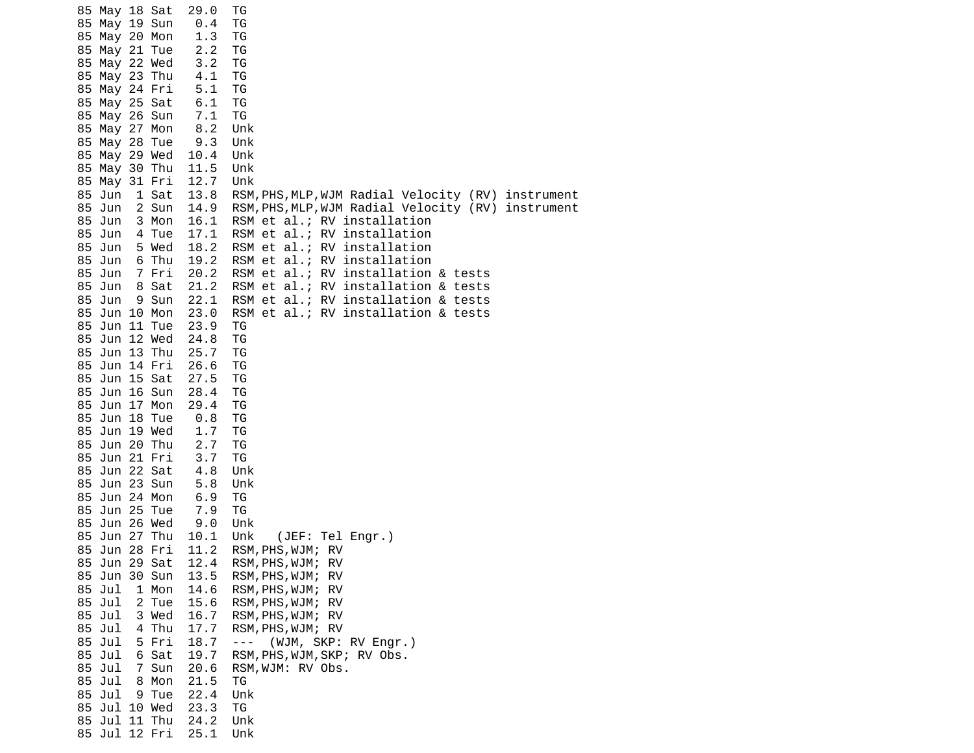|                                                                                              | 85 May 18 Sat<br>85 May 19 Sun<br>85 May 20 Mon<br>85 May 21 Tue<br>85 May 22 Wed<br>85 May 23 Thu<br>85 May 24 Fri<br>85 May 25 Sat<br>85 May 26 Sun<br>85 May 27 Mon<br>85 May 28 Tue<br>85 May 29 Wed<br>85 May 30 Thu                                                                  |                                                                               | 29.0<br>0.4<br>1.3<br>2.2<br>3.2<br>4.1<br>5.1<br>6.1<br>7.1<br>8.2<br>9.3<br>10.4<br>11.5                                                                                                           | ТG<br>TG<br>TG<br>ΤG<br>ΤG<br>ΤG<br>TG<br>TG<br>ΤG<br>Unk<br>Unk<br>Unk<br>Unk                                                                                                                                                                                                                                                                                                                                                                                                                         |
|----------------------------------------------------------------------------------------------|--------------------------------------------------------------------------------------------------------------------------------------------------------------------------------------------------------------------------------------------------------------------------------------------|-------------------------------------------------------------------------------|------------------------------------------------------------------------------------------------------------------------------------------------------------------------------------------------------|--------------------------------------------------------------------------------------------------------------------------------------------------------------------------------------------------------------------------------------------------------------------------------------------------------------------------------------------------------------------------------------------------------------------------------------------------------------------------------------------------------|
| 85 Jun<br>85 Jun<br>85 Jun<br>85 Jun<br>85 Jun<br>85 Jun<br>85 Jun<br>85 Jun<br>85 Jun<br>85 | 85 May 31 Fri<br>85 Jun 10 Mon<br>85 Jun 11 Tue<br>85 Jun 12 Wed<br>85 Jun 13 Thu<br>85 Jun 14 Fri<br>85 Jun 15 Sat<br>85 Jun 16 Sun<br>85 Jun 17 Mon<br>85 Jun 18 Tue<br>85 Jun 19 Wed<br>85 Jun 20 Thu<br>85 Jun 21 Fri<br>85 Jun 22 Sat<br>85 Jun 23 Sun<br>85 Jun 24 Mon<br>Jun 25 Tue | 1 Sat<br>2 Sun<br>3 Mon<br>4 Tue<br>5 Wed<br>6 Thu<br>7 Fri<br>8 Sat<br>9 Sun | 12.7<br>13.8<br>14.9<br>16.1<br>17.1<br>18.2<br>19.2<br>20.2<br>21.2<br>22.1<br>23.0<br>23.9<br>24.8<br>25.7<br>26.6<br>27.5<br>28.4<br>29.4<br>0.8<br>1.7<br>2.7<br>3.7<br>4.8<br>5.8<br>6.9<br>7.9 | Unk<br>RSM, PHS, MLP, WJM Radial Velocity (RV) instrument<br>RSM, PHS, MLP, WJM Radial Velocity (RV) instrument<br>RSM et al.; RV installation<br>RSM et al.; RV installation<br>RSM et al.;<br>RV installation<br>RSM et al.; RV installation<br>RSM et al.; RV installation & tests<br>RSM et al.; RV installation & tests<br>RSM et al.; RV installation & tests<br>RSM et al.; RV installation & tests<br>TG<br>TG<br>ΤG<br>ΤG<br>ΤG<br>TG<br>TG<br>TG<br>ΤG<br>TG<br>ΤG<br>Unk<br>Unk<br>ΤG<br>TG |
| 85<br>85 Jul<br>85 Jul<br>85 Jul<br>85 Jul<br>85 Jul<br>85 Jul<br>85 Jul<br>85 Jul<br>85 Jul | Jun 26 Wed<br>85 Jun 27 Thu<br>85 Jun 28 Fri<br>85 Jun 29 Sat<br>85 Jun 30 Sun<br>85 Jul 10 Wed<br>85 Jul 11 Thu<br>85 Jul 12 Fri                                                                                                                                                          | 1 Mon<br>2 Tue<br>3 Wed<br>4 Thu<br>5 Fri<br>6 Sat<br>7 Sun<br>8 Mon<br>9 Tue | 9.0<br>10.1<br>11.2<br>12.4<br>13.5<br>14.6<br>15.6<br>16.7<br>17.7<br>18.7<br>19.7<br>20.6<br>21.5<br>22.4<br>23.3<br>24.2<br>25.1                                                                  | Unk<br>Unk<br>(JEF: Tel Engr.)<br>RSM, PHS, WJM; RV<br>RSM, PHS, WJM;<br>RV<br>RSM, PHS, WJM;<br>RV<br>RSM, PHS, WJM;<br>RV<br>RSM, PHS, WJM;<br>RV<br>RSM, PHS, WJM;<br>RV<br>RSM, PHS, WJM; RV<br>(WJM, SKP: RV Engr.)<br>$\sim$ $ \sim$<br>RSM, PHS, WJM, SKP; RV Obs.<br>RSM, WJM: RV Obs.<br>ΤG<br>Unk<br>ΤG<br>Unk<br>Unk                                                                                                                                                                        |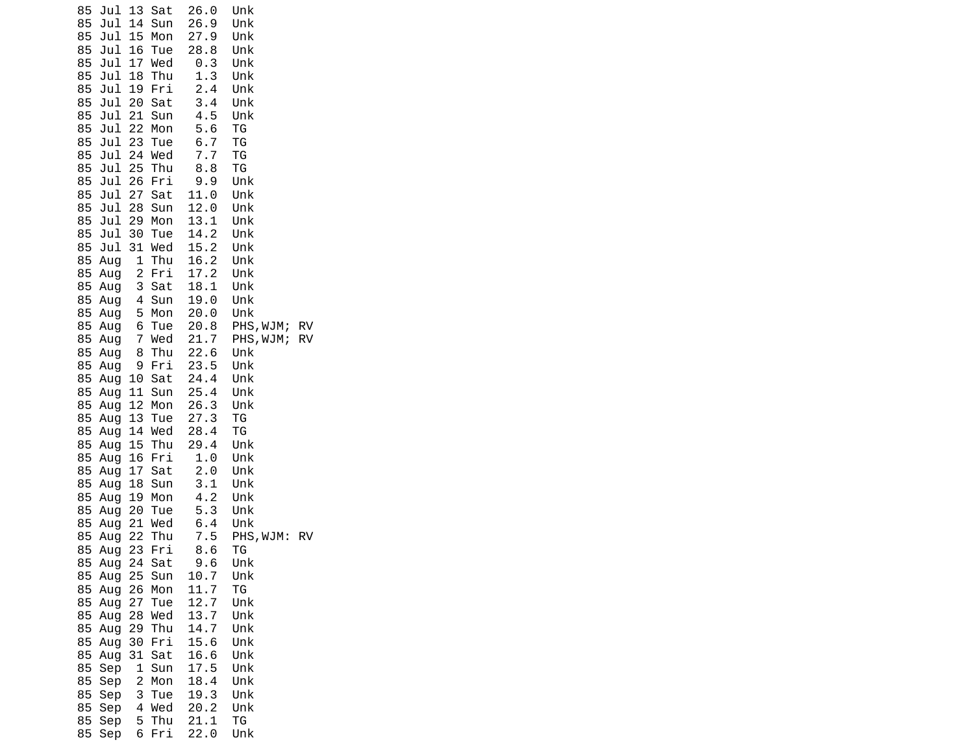| Jul<br>85              | 13                           | Sat        | 26.0         | Unk              |           |
|------------------------|------------------------------|------------|--------------|------------------|-----------|
| 85<br>Jul              | 14<br>15                     | Sun        | 26.9         | Unk              |           |
| 85<br>Jul<br>85<br>Jul | 16                           | Mon<br>Tue | 27.9<br>28.8 | Unk<br>Unk       |           |
| 85<br>Jul              | 17                           | Wed        | 0.3          | Unk              |           |
| 85<br>Jul              | 18                           | Thu        | 1.3          | Unk              |           |
| 85<br>Jul              | 19                           | Fri        | 2.4          | Unk              |           |
| 85<br>Jul              | 20                           | Sat        | 3.4          | Unk              |           |
| 85<br>Jul<br>85<br>Jul | 21<br>22                     | Sun<br>Mon | 4.5<br>5.6   | Unk<br>TG        |           |
| 85<br>Jul              | 23                           | Tue        | 6.7          | ТG               |           |
| 85<br>Jul 24           |                              | Wed        | 7.7          | ТG               |           |
| 85<br>Jul              | 25                           | Thu        | 8.8          | ТG               |           |
| 85<br>Jul              | 26                           | Fri        | 9.9          | Unk              |           |
| 85<br>Jul<br>Jul       | 27<br>28                     | Sat        | 11.0<br>12.0 | Unk              |           |
| 85<br>85<br>Jul        | 29                           | Sun<br>Mon | 13.1         | Unk<br>Unk       |           |
| 85<br>Jul              | 30                           | Tue        | 14.2         | Unk              |           |
| 85<br>Jul              | 31                           | Wed        | 15.2         | Unk              |           |
| 85<br>Aug              | 1                            | Thu        | 16.2         | Unk              |           |
| 85<br>Aug              | $\overline{\mathbf{c}}$      | Fri<br>Sat | 17.2<br>18.1 | Unk<br>Unk       |           |
| 85<br>Aug<br>85<br>Aug | 3<br>4                       | Sun        | 19.0         | Unk              |           |
| 85<br>Aug              | 5                            | Mon        | 20.0         | Unk              |           |
| 85<br>Aug              | 6                            | Tue        | 20.8         | PHS, WJM;        | <b>RV</b> |
| 85<br>Aug              | $\overline{7}$               | Wed        | 21.7         | PHS, WJM;        | <b>RV</b> |
| 85<br>Aug              | 8                            | Thu        | 22.6         | Unk              |           |
| 85<br>Aug<br>85<br>Aug | 9<br>10                      | Fri<br>Sat | 23.5<br>24.4 | Unk<br>Unk       |           |
| 85<br>Aug              | 11                           | Sun        | 25.4         | Unk              |           |
| 85<br>Aug              | 12                           | Mon        | 26.3         | Unk              |           |
| 85<br>Aug              | 13                           | Tue        | 27.3         | ΤG               |           |
| 85<br>Aug              | 14                           | Wed        | 28.4         | ТG               |           |
| 85<br>Aug<br>85<br>Aug | 15<br>16                     | Thu<br>Fri | 29.4<br>1.0  | Unk<br>Unk       |           |
| 85<br>Aug              | 17                           | Sat        | 2.0          | Unk              |           |
| 85<br>Aug              | 18                           | Sun        | 3.1          | Unk              |           |
| 85<br>Aug              | 19                           | Mon        | 4.2          | Unk              |           |
| 85<br>Aug              | 20                           | Tue        | 5.3          | Unk              |           |
| 85<br>Aug<br>85<br>Aug | 21<br>22                     | Wed<br>Thu | 6.4<br>7.5   | Unk<br>PHS, WJM: | <b>RV</b> |
| 85<br>Aug              | 23                           | Fri        | 8.6          | ΤG               |           |
| 85<br>Aug              | 24                           | Sat        | 9.6          | Unk              |           |
| 85<br>Aug              | 25                           | Sun        | 10.7         | Unk              |           |
| 85<br>Aug<br>85        | 26                           | Mon        | 11.7<br>12.7 | ТG<br>Unk        |           |
| Aug<br>85<br>Aug       | 27<br>28                     | Tue<br>Wed | 13.7         | Unk              |           |
| 85<br>Aug              | 29                           | Thu        | 14.7         | Unk              |           |
| 85<br>Aug              | 30                           | Fri        | 15.6         | Unk              |           |
| 85<br>Aug              | 31                           | Sat        | 16.6         | Unk              |           |
| 85<br>Sep              | 1                            | Sun        | 17.5         | Unk              |           |
| 85<br>Sep<br>85<br>Sep | $\overline{\mathbf{c}}$<br>3 | Mon<br>Tue | 18.4<br>19.3 | Unk<br>Unk       |           |
| 85<br>Sep              | 4                            | Wed        | 20.2         | Unk              |           |
| 85<br>Sep              | 5                            | Thu        | 21.1         | ΤG               |           |
| 85<br>Sep              | 6                            | Fri        | 22.0         | Unk              |           |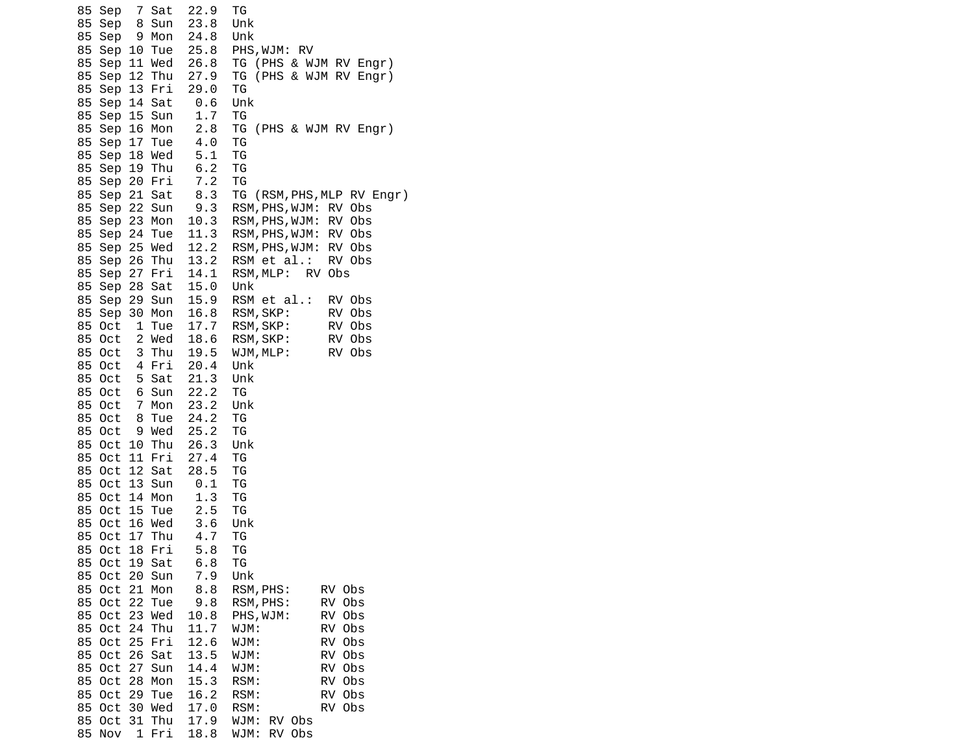| 85<br>85 | Sep<br>Sep               | 8              | 7 Sat<br>Sun  | 22.9<br>23.8 | ТG<br>Unk                                         |
|----------|--------------------------|----------------|---------------|--------------|---------------------------------------------------|
| 85       | Sep                      | 9              | Mon           | 24.8         | Unk                                               |
| 85       | Sep 10                   |                | Tue           | 25.8         | PHS,WJM: RV                                       |
| 85       |                          |                | Sep 11 Wed    | 26.8         | TG<br>(PHS & WJM RV Engr)                         |
| 85       | Sep 12 Thu               |                |               | 27.9         | (PHS & WJM RV Engr)<br>TG                         |
| 85<br>85 | Sep 13 Fri               |                |               | 29.0<br>0.6  | ТG                                                |
| 85       | Sep 14 Sat<br>Sep 15     |                | Sun           | 1.7          | Unk<br>ТG                                         |
| 85       | Sep 16 Mon               |                |               | 2.8          | (PHS & WJM RV Engr)<br>ΤG                         |
| 85       | Sep 17 Tue               |                |               | 4.0          | ΤG                                                |
| 85       | Sep 18 Wed               |                |               | 5.1          | TG                                                |
| 85       | Sep 19 Thu               |                |               | 6.2          | ΤG                                                |
| 85       | Sep 20 Fri               |                |               | 7.2          | ΤG                                                |
| 85       | Sep 21 Sat               |                |               | 8.3          | TG<br>(RSM, PHS, MLP RV Engr)                     |
| 85<br>85 | Sep 22 Sun<br>Sep 23 Mon |                |               | 9.3<br>10.3  | RSM, PHS, WJM: RV Obs<br>RSM, PHS, WJM:<br>RV Obs |
| 85       | Sep 24                   |                | Tue           | 11.3         | RSM, PHS, WJM:<br>RV Obs                          |
| 85       | Sep 25 Wed               |                |               | 12.2         | RV Obs<br>RSM, PHS, WJM:                          |
| 85       | Sep                      |                | 26 Thu        | 13.2         | RV Obs<br>RSM et al.:                             |
| 85       | Sep 27 Fri               |                |               | 14.1         | 0bs<br>RSM, MLP:<br><b>RV</b>                     |
| 85       | Sep 28 Sat               |                |               | 15.0         | Unk                                               |
| 85       | Sep                      | 29             | Sun           | 15.9         | RSM et al.:<br>RV Obs                             |
| 85<br>85 | Sep 30 Mon<br>0ct        | $\mathbf{1}$   | Tue           | 16.8<br>17.7 | RSM, SKP:<br>RV Obs<br>RSM, SKP:<br>RV Obs        |
| 85       | 0ct                      |                | 2 Wed         | 18.6         | RSM, SKP:<br>RV Obs                               |
| 85       | 0ct                      | 3              | Thu           | 19.5         | WJM, MLP:<br>RV Obs                               |
| 85       | 0ct                      |                | 4 Fri         | 20.4         | Unk                                               |
| 85       | 0ct                      | 5              | Sat           | 21.3         | Unk                                               |
| 85       | 0ct                      | - 6            | Sun           | 22.2         | ΤG                                                |
| 85       | 0ct                      | $\overline{7}$ | Mon           | 23.2         | Unk                                               |
| 85<br>85 | 0ct<br>0ct               | 8<br>9         | Tue<br>Wed    | 24.2<br>25.2 | ТG<br>TG                                          |
| 85       | Oct 10                   |                | Thu           | 26.3         | Unk                                               |
| 85       | Oct                      |                | 11 Fri        | 27.4         | ΤG                                                |
| 85       | Oct                      |                | 12 Sat        | 28.5         | ΤG                                                |
| 85       | 0ct                      | 13             | Sun           | 0.1          | ΤG                                                |
| 85       | 0ct                      | 14             | Mon           | 1.3          | ΤG                                                |
| 85       | 0ct                      | 15             | Tue           | 2.5          | TG                                                |
| 85<br>85 | Oct<br>0ct               | 17             | 16 Wed<br>Thu | 3.6<br>4.7   | Unk<br>ТG                                         |
| 85       | Oct 18 Fri               |                |               | 5.8          | ТG                                                |
| 85       | 0ct                      |                | 19 Sat        | 6.8          | ΤG                                                |
| 85       | Oct                      |                | 20 Sun        | 7.9          | Unk                                               |
| 85       | 0ct                      | 21             | Mon           | 8.8          | RV Obs<br>RSM, PHS:                               |
| 85       | 0ct                      | 22             | Tue           | 9.8          | RV<br>0bs<br>RSM, PHS:                            |
| 85       | 0ct                      | 23             | Wed           | 10.8         | PHS, WJM:<br>RV<br>0bs                            |
| 85<br>85 | 0ct<br>0ct               | 24<br>25       | Thu<br>Fri    | 11.7<br>12.6 | WJM:<br>RV<br>Obs<br>WJM:<br>RV<br>0bs            |
| 85       | 0ct                      | 26             | Sat           | 13.5         | RV<br>Obs<br>WJM:                                 |
| 85       | 0ct                      | 27             | Sun           | 14.4         | RV<br>0bs<br>WJM:                                 |
| 85       | 0ct                      | 28             | Mon           | 15.3         | RSM:<br>RV<br>Obs                                 |
| 85       | 0ct                      | 29             | Tue           | 16.2         | RSM:<br>RV<br>0bs                                 |
| 85       | 0ct                      |                | 30 Wed        | 17.0         | RSM:<br>RV Obs                                    |
| 85       | 0ct                      | 31             | Thu           | 17.9         | 0 <sub>bs</sub><br>WJM:<br>RV.                    |
| 85       | Nov                      | 1              | Fri           | 18.8         | 0bs<br>WJM:<br><b>RV</b>                          |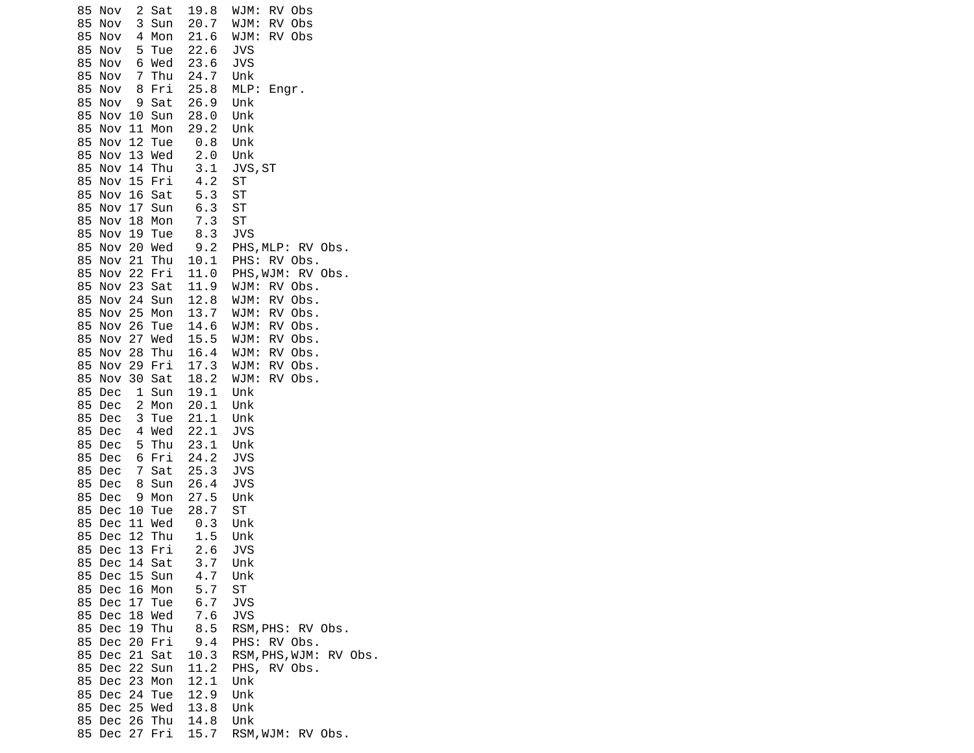85 Nov 2 Sat 19.8 WJM: RV Obs 85 Nov 3 Sun 20.7 WJM: RV Obs 4 Mon 21.6<br>5 Tue 22.6 85 Nov 5 Tue 22.6 JVS 85 Nov 6 Wed 23.6<br>85 Nov 7 Thu 24.7 85 Nov 7 Thu 24.7 Unk 8 Fri 25.8 MLP: Engr. 85 Nov 9 Sat 26.9 Unk 85 Nov 10 Sun 28.0 Unk 85 Nov 11 Mon 29.2 Unk 85 Nov 12 Tue 85 Nov 13 Wed 2.0 Unk 85 Nov 14 Thu 3.1 JVS,ST 85 Nov 15 Fri 85 Nov 16 Sat 5.3 ST 85 Nov 17 Sun 6.3 ST 85 Nov 18 Mon 7.3 ST 85 Nov 19 Tue 85 Nov 20 Wed 9.2 PHS,MLP: RV Obs. 85 Nov 21 Thu 10.1 PHS: RV Obs. 85 Nov 22 Fri 11.0 PHS,WJM: RV Obs. 85 Nov 23 Sat 11.9 WJM: RV Obs. 85 Nov 24 Sun 12.8 WJM: RV Obs. 85 Nov 25 Mon 13.7 WJM: RV Obs. 85 Nov 26 Tue 14.6 WJM: RV Obs. 85 Nov 27 Wed 15.5 WJM: RV Obs. 85 Nov 28 Thu 16.4 WJM: RV Obs. 85 Nov 29 Fri 17.3 WJM: RV Obs. 85 Nov 30 Sat 18.2 WJM: RV Obs. 85 Dec 1 Sun 19.1 Unk 2 Mon 20.1 Unk<br>3 Tue 21.1 Unk 85 Dec 3 Tue 21.1 Unk 4 Wed 22.1 JVS 85 Dec 5 Thu 23.1 Unk 85 Dec 6 Fri 24.2 JVS 7 Sat 85 Dec 8 Sun 26.4 JVS 85 Dec 9 Mon 27.5 Unk 85 Dec 10 Tue 28.7 ST 85 Dec 11 Wed 0.3 Unk 85 Dec 12 Thu 1.5 Unk 85 Dec 13 Fri 2.6 JVS 85 Dec 14 Sat 85 Dec 15 Sun 4.7 Unk 85 Dec 16 Mon 5.7 ST 85 Dec 17 Tue 6.7<br>85 Dec 18 Wed 7.6 85 Dec 18 Wed 7.6 JVS 8.5 RSM, PHS: RV Obs. 85 Dec 20 Fri 9.4 PHS: RV Obs. RSM, PHS, WJM: RV Obs. 85 Dec 22 Sun 11.2 PHS, RV Obs. 85 Dec 23 Mon 12.1 Unk 85 Dec 24 Tue 12.9 Unk 85 Dec 25 Wed 13.8 Unk 85 Dec 26 Thu 14.8 85 Dec 27 Fri 15.7 RSM,WJM: RV Obs.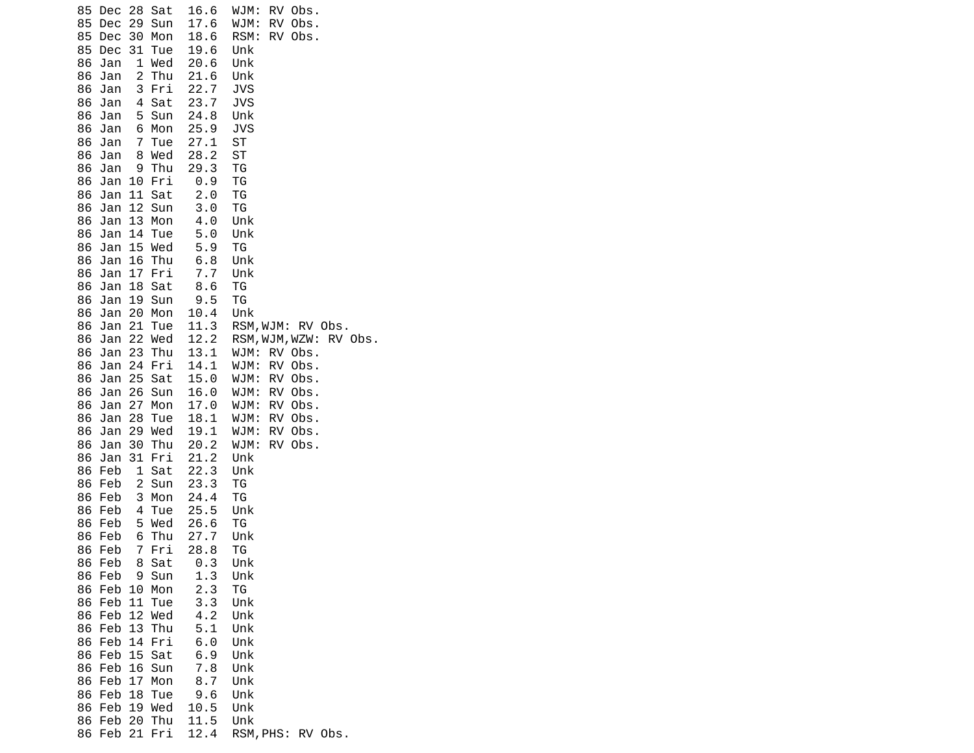| 85<br>28<br>Sat<br>Dec                           | 16.6         | WJM:<br>RV -<br>Obs.      |
|--------------------------------------------------|--------------|---------------------------|
| 29<br>85<br>Dec<br>Sun                           | 17.6         | RV<br>WJM:<br>Obs.        |
| 85<br>Dec<br>30<br>Mon                           | 18.6         | RV<br>RSM:<br>Obs.        |
| 85<br>Dec<br>31<br>Tue                           | 19.6         | Unk                       |
| 86<br>1<br>Wed<br>Jan                            | 20.6         | Unk                       |
| 2<br>86<br>Thu<br>Jan                            | 21.6         | Unk                       |
| 86<br>3<br>Fri<br>Jan                            | 22.7         | JVS                       |
| Sat<br>86<br>Jan<br>4                            | 23.7         | JVS                       |
| 86<br>5<br>Sun<br>Jan                            | 24.8         | Unk                       |
| Mon<br>86<br>Jan<br>6                            | 25.9         | <b>JVS</b>                |
| $\overline{7}$<br>86<br>Tue<br>Jan               | 27.1         | <b>ST</b>                 |
| Wed<br>86<br>Jan<br>8                            | 28.2         | <b>ST</b>                 |
| 86<br>Thu<br>Jan<br>9                            | 29.3         | ТG                        |
| 86<br>Fri<br>Jan<br>10                           | 0.9          | TG                        |
| 86<br>Jan<br>11<br>Sat                           | 2.0          | TG                        |
| 86<br>12<br>Jan<br>Sun                           | 3.0          | ΤG                        |
| 13<br>86<br>Jan<br>Mon<br>86                     | 4.0          | Unk                       |
| Jan<br>14<br>Tue<br>15<br>Wed<br>86<br>Jan       | 5.0<br>5.9   | Unk<br>TG                 |
| 86<br>16<br>Thu<br>Jan                           | 6.8          | Unk                       |
| 17<br>86<br>Jan<br>Fri                           | 7.7          | Unk                       |
| 86<br>18<br>Sat<br>Jan                           | 8.6          | TG                        |
| 86<br>Jan<br>19<br>Sun                           | 9.5          | TG                        |
| 86<br>Jan<br>20<br>Mon                           | 10.4         | Unk                       |
| 21<br>86<br>Jan<br>Tue                           | 11.3         | RSM, WJM:<br>RV Obs.      |
| 22<br>Wed<br>86<br>Jan                           | 12.2         | RSM, WJM, WZW:<br>RV Obs. |
| 23<br>86<br>Jan<br>Thu                           | 13.1         | WJM:<br>RV Obs.           |
| 86<br>Fri<br>Jan<br>24                           | 14.1         | RV<br>Obs.<br>WJM:        |
| 86<br>25<br>Sat<br>Jan                           | 15.0         | WJM:<br>RV<br>Obs.        |
| 26<br>86<br>Sun<br>Jan                           | 16.0         | WJM:<br>RV<br>Obs.        |
| 27<br>86<br>Jan<br>Mon                           | 17.0         | RV<br>WJM:<br>Obs.        |
| 86<br>Jan<br>28<br>Tue                           | 18.1         | RV<br>Obs.<br>WJM:        |
| 86<br>29<br>Wed<br>Jan                           | 19.1         | RV<br>Obs.<br>WJM:        |
| 86<br>30<br>Thu<br>Jan<br>31                     | 20.2<br>21.2 | WJM:<br>RV<br>Obs.<br>Unk |
| 86<br>Jan<br>Fri<br>86<br>1<br>Feb<br>Sat        | 22.3         | Unk                       |
| 86<br>2<br>Feb<br>Sun                            | 23.3         | ΤG                        |
| 86<br>3<br>Feb<br>Mon                            | 24.4         | ΤG                        |
| 86<br>Feb<br>4<br>Tue                            | 25.5         | Unk                       |
| 86<br>Feb<br>5<br>Wed                            | 26.6         | ТG                        |
| 86<br>Feb<br>6<br>Thu                            | 27.7         | Unk                       |
| 7<br>Fri<br>86<br>Feb                            | 28.8         | ТG                        |
| Feb<br>Sat<br>86<br>8                            | 0.3          | Unk                       |
| Feb<br>86<br>9<br>Sun                            | 1.3          | Unk                       |
| 86<br>Feb<br>10<br>Mon                           | 2.3          | ΤG                        |
| 86<br>11<br>Feb<br>Tue                           | 3.3          | Unk                       |
| 12<br>86<br>Feb<br>Wed                           | 4.2          | Unk                       |
| 13<br>86<br>Feb<br>Thu<br>Feb<br>14<br>Fri<br>86 | 5.1<br>6.0   | Unk<br>Unk                |
| 86<br>Feb<br>15<br>Sat                           | 6.9          | Unk                       |
| 86<br>Feb<br>16<br>Sun                           | 7.8          | Unk                       |
| 17<br>86<br>Feb<br>Mon                           | 8.7          | Unk                       |
| 18<br>86<br>Feb<br>Tue                           | 9.6          | Unk                       |
| 86<br>Feb<br>19<br>Wed                           | 10.5         | Unk                       |
| 86<br>Feb<br>Thu<br>20                           | 11.5         | Unk                       |
| 21<br>86<br>Feb<br>Fri                           | 12.4         | RSM, PHS: RV Obs.         |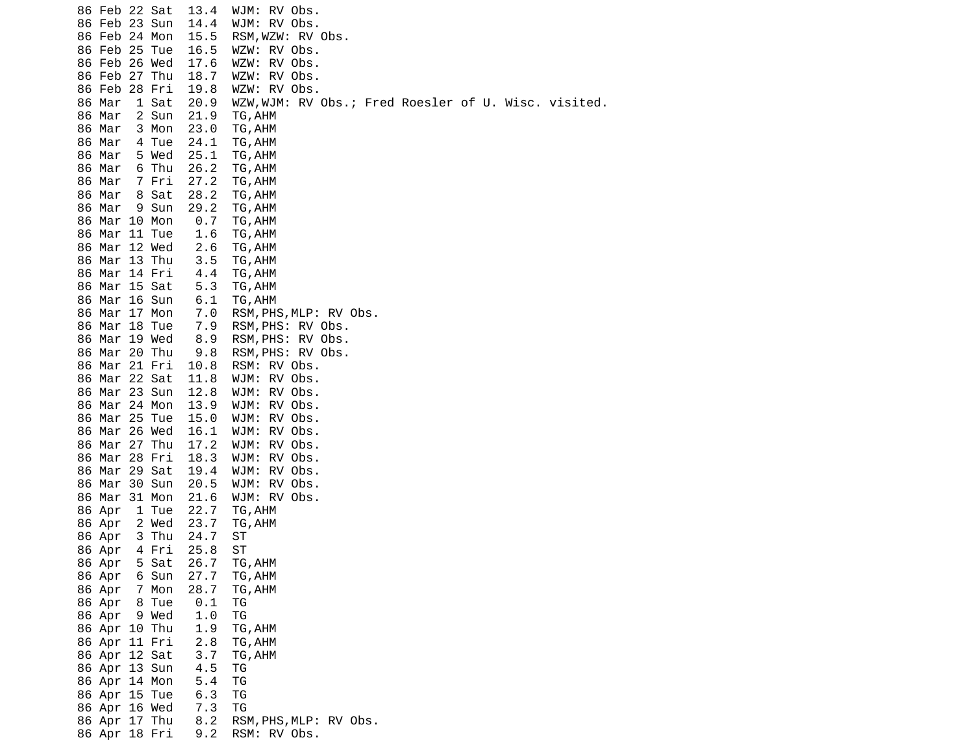| 86 Feb 22 Sat          |       | 13.4        | WJM: RV Obs.                                         |
|------------------------|-------|-------------|------------------------------------------------------|
| 86 Feb 23 Sun          |       | 14.4        | WJM: RV Obs.                                         |
| 86 Feb 24 Mon          |       | 15.5        | RSM, WZW: RV Obs.                                    |
| 86 Feb 25 Tue          |       | 16.5        | WZW: RV Obs.                                         |
| 86 Feb 26 Wed          |       | 17.6        | WZW: RV Obs.                                         |
| 86 Feb 27 Thu          |       | 18.7        | WZW: RV Obs.                                         |
| 86 Feb 28 Fri          |       | 19.8        | WZW: RV Obs.                                         |
| 86 Mar                 | 1 Sat | 20.9        | WZW, WJM: RV Obs.; Fred Roesler of U. Wisc. visited. |
| 86 Mar                 | 2 Sun | 21.9        | TG, AHM                                              |
| 86 Mar                 | 3 Mon | 23.0        |                                                      |
|                        |       |             | TG, AHM                                              |
| 86 Mar                 | 4 Tue | 24.1        | TG, AHM                                              |
| 86 Mar                 | 5 Wed | 25.1        | TG, AHM                                              |
| 86 Mar                 | 6 Thu | 26.2        | TG, AHM                                              |
| 86 Mar                 | 7 Fri | 27.2        | TG, AHM                                              |
| 86 Mar                 | 8 Sat | 28.2        | TG, AHM                                              |
| 86 Mar                 | 9 Sun | 29.2        | TG, AHM                                              |
| 86 Mar 10 Mon          |       | 0.7         | TG, AHM                                              |
| 86 Mar 11 Tue          |       | 1.6         | TG, AHM                                              |
| 86 Mar 12 Wed          |       | 2.6         | TG, AHM                                              |
| 86 Mar 13 Thu          |       | 3.5         | TG, AHM                                              |
| 86 Mar 14 Fri          |       | 4.4         | TG, AHM                                              |
| 86 Mar 15 Sat          |       | 5.3         | TG, AHM                                              |
| 86 Mar 16 Sun          |       | 6.1         | TG, AHM                                              |
| 86 Mar 17 Mon          |       | 7.0         | RSM, PHS, MLP: RV Obs.                               |
| 86 Mar 18 Tue          |       | 7.9         | RSM, PHS: RV Obs.                                    |
| 86 Mar 19 Wed          |       | 8.9         | RSM, PHS: RV Obs.                                    |
| 86 Mar 20 Thu          |       | 9.8         | RSM, PHS: RV Obs.                                    |
| 86 Mar 21 Fri          |       | 10.8        | RSM: RV Obs.                                         |
| 86 Mar 22 Sat          |       | 11.8        | WJM: RV Obs.                                         |
| 86 Mar 23 Sun          |       | 12.8        | WJM: RV Obs.                                         |
| 86 Mar 24 Mon          |       | 13.9        | WJM: RV Obs.                                         |
| 86 Mar 25 Tue          |       | 15.0        | WJM:<br>RV Obs.                                      |
| 86 Mar 26 Wed          |       | 16.1        | WJM: RV Obs.                                         |
| 86 Mar 27 Thu          |       | 17.2        | WJM: RV Obs.                                         |
| 86 Mar 28 Fri          |       | 18.3        | WJM:<br>RV Obs.                                      |
| 86 Mar 29 Sat          |       | 19.4        | WJM: RV Obs.                                         |
| 86 Mar 30 Sun          |       | 20.5        | WJM: RV Obs.                                         |
| 86 Mar 31 Mon          |       | 21.6        | WJM: RV Obs.                                         |
| 86 Apr                 | 1 Tue | 22.7        | TG, AHM                                              |
| 86 Apr                 | 2 Wed | 23.7        | TG, AHM                                              |
| 86 Apr                 | 3 Thu | 24.7        | ST                                                   |
| 86 Apr                 | 4 Fri | 25.8        | ST                                                   |
| 86 Apr                 | 5 Sat | 26.7        | TG, AHM                                              |
|                        | 6 Sun | 27.7        |                                                      |
| 86 Apr                 | 7 Mon |             | TG, AHM                                              |
| 86 Apr<br>86 Apr 8 Tue |       | 28.7<br>0.1 | TG, AHM                                              |
|                        |       |             | ТG                                                   |
| 86 Apr 9 Wed           |       | 1.0         | TG                                                   |
| 86 Apr 10 Thu          |       | 1.9         | TG, AHM                                              |
| 86 Apr 11 Fri          |       | 2.8         | TG, AHM                                              |
| 86 Apr 12 Sat          |       | 3.7         | TG, AHM                                              |
| 86 Apr 13 Sun          |       | 4.5         | ΤG                                                   |
| 86 Apr 14 Mon          |       | 5.4         | TG                                                   |
| 86 Apr 15 Tue          |       | 6.3         | ΤG                                                   |
| 86 Apr 16 Wed          |       | 7.3         | TG                                                   |
| 86 Apr 17 Thu          |       | 8.2         | RSM, PHS, MLP: RV Obs.                               |
| 86 Apr 18 Fri          |       | 9.2         | RSM: RV Obs.                                         |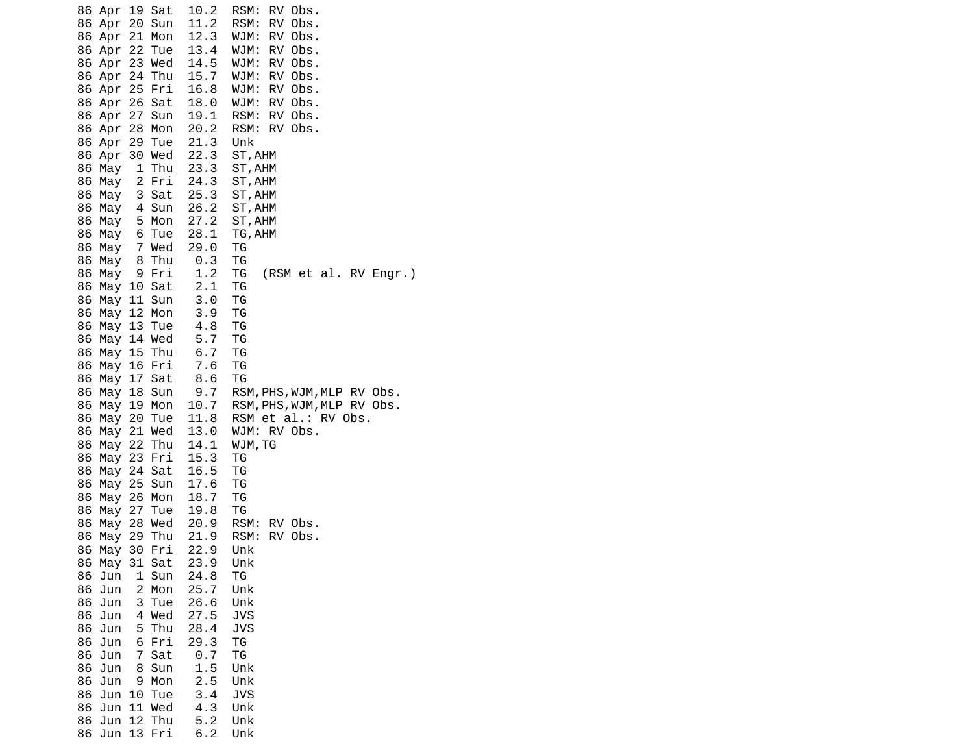86 Apr 19 Sat 10.2 RSM: RV Obs. 86 Apr 20 Sun 11.2 RSM: RV Obs. 86 Apr 21 Mon 12.3 WJM: RV Obs. 86 Apr 22 Tue 13.4 WJM: RV Obs. 86 Apr 23 Wed 14.5 WJM: RV Obs. 86 Apr 24 Thu 15.7 WJM: RV Obs. 86 Apr 25 Fri 16.8 WJM: RV Obs. 86 Apr 26 Sat 18.0 WJM: RV Obs. 86 Apr 27 Sun 19.1 RSM: RV Obs. 86 Apr 28 Mon 20.2 RSM: RV Obs. 86 Apr 29 Tue 21.3 Unk 86 Apr 30 Wed 22.3 ST,AHM 86 May 1 Thu 23.3 ST,AHM 86 May 2 Fri 24.3 ST,AHM 86 May 3 Sat 25.3 ST,AHM 86 May 4 Sun 26.2 ST,AHM 86 May 5 Mon 27.2 ST,AHM 86 May 6 Tue 28.1 TG,AHM 86 May 7 Wed 29.0 TG 86 May 8 Thu 0.3 TG  $(RSM et al. RV Engr.)$  86 May 10 Sat 2.1 TG 86 May 11 Sun 3.0 TG 86 May 12 Mon 3.9 TG 86 May 13 Tue 86 May 14 Wed 5.7 TG 86 May 15 Thu 6.7 TG 86 May 16 Fri 7.6 TG 86 May 17 Sat 86 May 18 Sun 9.7 RSM,PHS,WJM,MLP RV Obs.<br>86 May 19 Mon 10.7 RSM,PHS,WJM,MLP RV Obs. RSM, PHS, WJM, MLP RV Obs. 86 May 20 Tue 11.8 RSM et al.: RV Obs. 86 May 21 Wed 13.0 WJM: RV Obs. 86 May 22 Thu 14.1 WJM,TG 86 May 23 Fri 15.3 TG 86 May 24 Sat 16.5 TG 86 May 25 Sun 17.6 TG 86 May 26 Mon 18.7 TG 86 May 27 Tue 19.8 TG 86 May 28 Wed 20.9 86 May 29 Thu 21.9 RSM: RV Obs. 86 May 30 Fri 22.9 Unk 86 May 31 Sat 23.9 Unk 86 Jun 1 Sun 24.8 TG 86 Jun 2 Mon 25.7 Unk 86 Jun 3 Tue 86 Jun 4 Wed 27.5 JVS 86 Jun 5 Thu 28.4 JVS 86 Jun 6 Fri 29.3 TG 86 Jun 7 Sat 86 Jun 8 Sun 1.5 Unk 86 Jun 9 Mon 86 Jun 10 Tue 3.4 JVS 86 Jun 11 Wed 86 Jun 12 Thu 5.2 Unk 86 Jun 13 Fri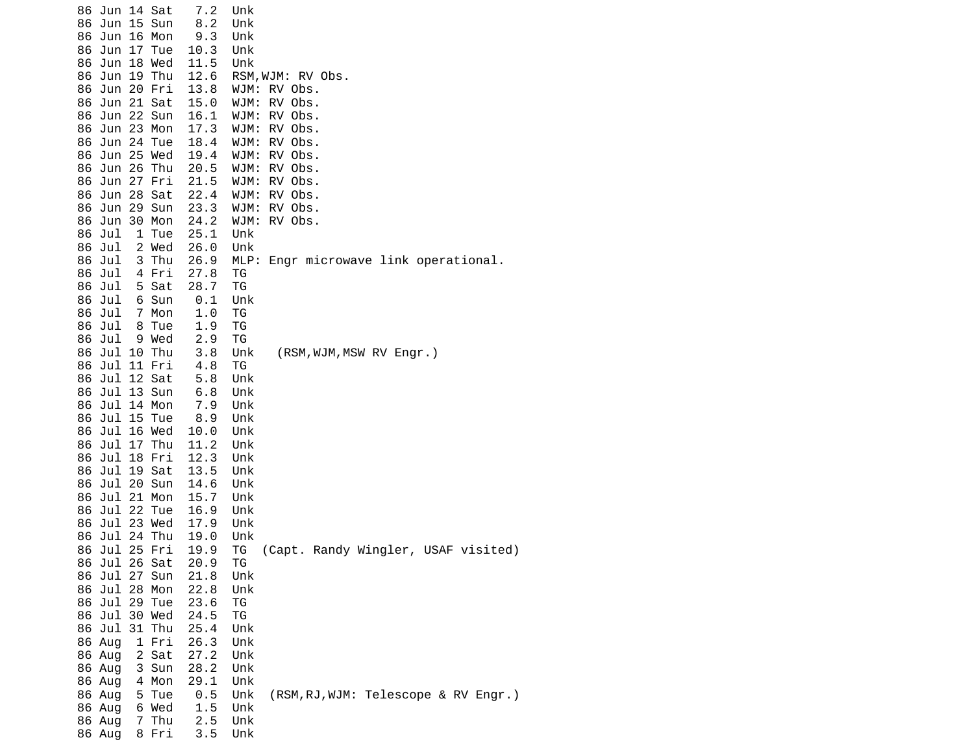| 86 Jun 17 Tue<br>10.3<br>Unk<br>86 Jun 18 Wed<br>11.5<br>Unk<br>12.6<br>86 Jun 19 Thu<br>RSM, WJM: RV Obs. |  |
|------------------------------------------------------------------------------------------------------------|--|
|                                                                                                            |  |
|                                                                                                            |  |
| 86 Jun 20 Fri<br>13.8<br>WJM: RV Obs.                                                                      |  |
| 86 Jun 21 Sat<br>15.0<br>WJM:<br>RV Obs.                                                                   |  |
| RV Obs.<br>86 Jun 22 Sun<br>16.1<br>WJM:<br>86 Jun 23 Mon<br>17.3                                          |  |
| WJM:<br>RV Obs.<br>86 Jun 24 Tue<br>18.4<br>RV Obs.<br>WJM:                                                |  |
| 86 Jun 25 Wed<br>19.4<br>WJM:<br>RV Obs.                                                                   |  |
| 86 Jun 26 Thu<br>20.5<br>WJM:<br>RV Obs.                                                                   |  |
| 86 Jun 27 Fri<br>21.5<br>WJM:<br>RV Obs.                                                                   |  |
| 86 Jun 28 Sat<br>22.4<br>WJM:<br>RV Obs.                                                                   |  |
| 86 Jun 29 Sun<br>23.3<br>WJM: RV Obs.<br>86 Jun 30 Mon<br>24.2<br>WJM:<br>RV Obs.                          |  |
| 86 Jul<br>1 Tue<br>25.1<br>Unk                                                                             |  |
| 2 Wed<br>86 Jul<br>26.0<br>Unk                                                                             |  |
| 86 Jul<br>3 Thu<br>26.9<br>MLP: Engr microwave link operational.                                           |  |
| 27.8<br>86 Jul<br>4 Fri<br>ΤG                                                                              |  |
| 5 Sat<br>28.7<br>86 Jul<br>ТG<br>86 Jul<br>6 Sun<br>0.1<br>Unk                                             |  |
| 1.0<br>86 Jul<br>7 Mon<br>ТG                                                                               |  |
| 8 Tue<br>86 Jul<br>1.9<br>ΤG                                                                               |  |
| 2.9<br>86 Jul<br>9 Wed<br>ΤG                                                                               |  |
| 86 Jul 10 Thu<br>(RSM, WJM, MSW RV Engr.)<br>3.8<br>Unk                                                    |  |
| 86 Jul 11 Fri<br>4.8<br>ΤG<br>86 Jul 12 Sat<br>5.8<br>Unk                                                  |  |
| 86 Jul 13 Sun<br>6.8<br>Unk                                                                                |  |
| 86 Jul 14 Mon<br>7.9<br>Unk                                                                                |  |
| 86 Jul 15 Tue<br>8.9<br>Unk                                                                                |  |
| 86 Jul 16 Wed<br>10.0<br>Unk                                                                               |  |
| 11.2<br>86 Jul 17 Thu<br>Unk                                                                               |  |
| 86 Jul 18 Fri<br>12.3<br>Unk<br>86 Jul 19 Sat<br>13.5<br>Unk                                               |  |
| 86 Jul 20 Sun<br>14.6<br>Unk                                                                               |  |
| 86 Jul 21 Mon<br>15.7<br>Unk                                                                               |  |
| 86 Jul 22 Tue<br>16.9<br>Unk                                                                               |  |
| 86 Jul 23 Wed<br>17.9<br>Unk                                                                               |  |
| 86 Jul 24 Thu<br>19.0<br>Unk<br>86 Jul 25 Fri<br>(Capt. Randy Wingler, USAF visited)<br>19.9<br>ТG         |  |
| 86 Jul 26 Sat<br>20.9<br>ТG                                                                                |  |
| Jul 27<br>21.8<br>86<br>Sun<br>Unk                                                                         |  |
| Jul 28<br>Mon<br>22.8<br>Unk<br>86                                                                         |  |
| 86 Jul 29 Tue<br>23.6<br>ΤG                                                                                |  |
| 86 Jul 30 Wed<br>24.5<br>ΤG<br>86 Jul<br>31 Thu<br>25.4<br>Unk                                             |  |
| 86 Aug<br>1 Fri<br>26.3<br>Unk                                                                             |  |
| 86 Aug<br>2 Sat<br>27.2<br>Unk                                                                             |  |
| Unk<br>86 Aug<br>3 Sun<br>28.2                                                                             |  |
| 29.1<br>Unk<br>86 Aug<br>4 Mon                                                                             |  |
| 0.5<br>(RSM, RJ, WJM: Telescope & RV Engr.)<br>5 Tue<br>Unk<br>86 Aug<br>Unk<br>86 Aug<br>6 Wed<br>1.5     |  |
| 2.5<br>Unk<br>86 Aug<br>Thu<br>7                                                                           |  |
| 3.5<br>Unk<br>86 Aug<br>8 Fri                                                                              |  |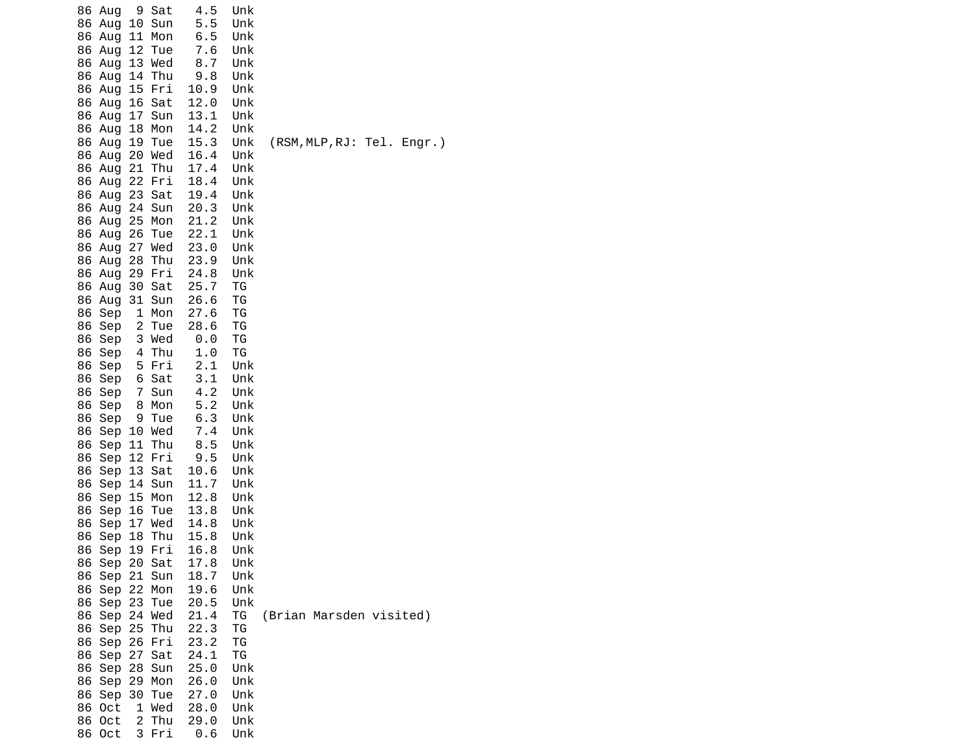|    | 86 Aug        |                | 9 Sat      | 4.5  | Unk |                            |
|----|---------------|----------------|------------|------|-----|----------------------------|
|    | 86 Aug        | 10             | Sun        | 5.5  | Unk |                            |
|    | 86 Aug        |                | 11 Mon     | 6.5  | Unk |                            |
|    | 86 Aug        | 12             | Tue        | 7.6  | Unk |                            |
|    | 86 Aug        |                | 13 Wed     | 8.7  | Unk |                            |
|    | 86 Aug        |                | 14 Thu     | 9.8  | Unk |                            |
|    | 86 Aug        | 15             | Fri        | 10.9 | Unk |                            |
|    | 86 Aug        |                | 16 Sat     | 12.0 | Unk |                            |
|    | 86 Aug        |                | 17 Sun     | 13.1 | Unk |                            |
|    | 86 Aug        |                | 18 Mon     | 14.2 | Unk |                            |
|    | 86 Aug        |                | 19 Tue     | 15.3 | Unk | (RSM, MLP, RJ: Tel. Engr.) |
|    | 86 Aug        |                | 20 Wed     | 16.4 | Unk |                            |
|    | 86 Aug        | 21             | Thu        | 17.4 | Unk |                            |
|    | 86 Aug        |                | 22 Fri     | 18.4 | Unk |                            |
|    | 86 Aug        |                | 23 Sat     | 19.4 | Unk |                            |
|    | 86 Aug        | 24             | Sun        | 20.3 | Unk |                            |
|    | 86 Aug        |                | 25 Mon     | 21.2 | Unk |                            |
|    | 86 Aug        | 26             | Tue        | 22.1 | Unk |                            |
|    | 86 Aug        |                | 27 Wed     | 23.0 | Unk |                            |
|    | 86 Aug        |                | 28 Thu     | 23.9 | Unk |                            |
|    | 86 Aug        |                | 29 Fri     | 24.8 | Unk |                            |
|    | 86 Aug        |                | 30 Sat     | 25.7 | ΤG  |                            |
|    | 86 Aug        |                | 31 Sun     | 26.6 | ΤG  |                            |
| 86 | Sep           |                | 1 Mon      | 27.6 | ΤG  |                            |
| 86 | Sep           |                | 2 Tue      | 28.6 | ΤG  |                            |
| 86 | Sep           |                | 3 Wed      | 0.0  | ΤG  |                            |
| 86 | Sep           |                | 4 Thu      | 1.0  | ΤG  |                            |
| 86 | Sep           |                | 5 Fri      | 2.1  | Unk |                            |
| 86 | Sep           |                | 6 Sat      | 3.1  | Unk |                            |
| 86 | Sep           | $\overline{7}$ | Sun        | 4.2  | Unk |                            |
| 86 | Sep           |                | 8 Mon      | 5.2  | Unk |                            |
| 86 | Sep           | 9              | Tue        | 6.3  | Unk |                            |
| 86 |               |                | Sep 10 Wed | 7.4  | Unk |                            |
| 86 | Sep           |                | 11 Thu     | 8.5  | Unk |                            |
| 86 | Sep 12        |                | Fri        | 9.5  | Unk |                            |
| 86 | Sep           |                | 13 Sat     | 10.6 | Unk |                            |
| 86 | Sep           |                | 14 Sun     | 11.7 | Unk |                            |
| 86 | Sep           |                | 15 Mon     | 12.8 | Unk |                            |
| 86 | Sep 16        |                | Tue        | 13.8 | Unk |                            |
| 86 | Sep           |                | 17 Wed     | 14.8 | Unk |                            |
| 86 | Sep           |                | 18 Thu     | 15.8 | Unk |                            |
| 86 | Sep           |                | 19 Fri     | 16.8 | Unk |                            |
|    | 86 Sep 20 Sat |                |            | 17.8 | Unk |                            |
|    | 86 Sep 21 Sun |                |            | 18.7 | Unk |                            |
|    | 86 Sep 22 Mon |                |            | 19.6 | Unk |                            |
|    | 86 Sep 23 Tue |                |            | 20.5 | Unk |                            |
|    | 86 Sep 24 Wed |                |            | 21.4 | ΤG  | (Brian Marsden visited)    |
|    | 86 Sep 25 Thu |                |            | 22.3 | ТG  |                            |
|    | 86 Sep 26 Fri |                |            | 23.2 | ТG  |                            |
|    | 86 Sep        |                | 27 Sat     | 24.1 | TG  |                            |
|    | 86 Sep 28 Sun |                |            | 25.0 | Unk |                            |
|    | 86 Sep 29 Mon |                |            | 26.0 | Unk |                            |
|    | 86 Sep 30 Tue |                |            | 27.0 | Unk |                            |
|    | 86 Oct        |                | 1 Wed      | 28.0 | Unk |                            |
|    | 86 Oct        |                | 2 Thu      | 29.0 | Unk |                            |
|    | 86 Oct        |                | 3 Fri      | 0.6  | Unk |                            |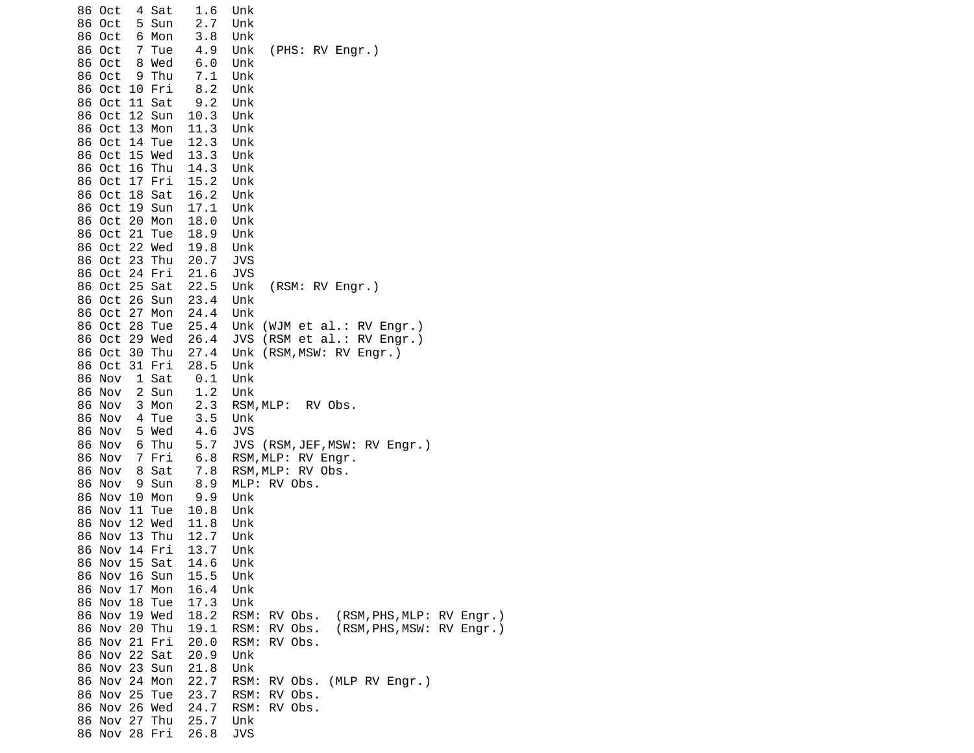| 86 Oct        |    | 4 Sat  | 1.6  | Unk                                          |
|---------------|----|--------|------|----------------------------------------------|
| 86 Oct        |    | 5 Sun  | 2.7  | Unk                                          |
| 86 Oct        |    | 6 Mon  | 3.8  | Unk                                          |
| 86 Oct        | 7  | Tue    | 4.9  | (PHS: RV Engr.)<br>Unk                       |
| 86 Oct        |    | 8 Wed  | 6.0  | Unk                                          |
| 86 Oct        |    | 9 Thu  | 7.1  | Unk                                          |
| 86 Oct        |    | 10 Fri | 8.2  | Unk                                          |
| 86 Oct        |    | 11 Sat | 9.2  | Unk                                          |
| 86 Oct 12 Sun |    |        | 10.3 | Unk                                          |
| 86 Oct 13 Mon |    |        | 11.3 | Unk                                          |
| 86 Oct 14 Tue |    |        | 12.3 | Unk                                          |
| 86 Oct 15 Wed |    |        | 13.3 | Unk                                          |
| 86 Oct 16 Thu |    |        | 14.3 | Unk                                          |
| 86 Oct        |    | 17 Fri | 15.2 | Unk                                          |
| 86 Oct        |    | 18 Sat | 16.2 | Unk                                          |
| 86 Oct        |    | 19 Sun | 17.1 | Unk                                          |
| 86 Oct 20 Mon |    |        | 18.0 | Unk                                          |
| 86 Oct 21 Tue |    |        | 18.9 | Unk                                          |
| 86 Oct 22 Wed |    |        | 19.8 | Unk                                          |
| 86 Oct 23 Thu |    |        | 20.7 | <b>JVS</b>                                   |
| 86 Oct 24 Fri |    |        | 21.6 | <b>JVS</b>                                   |
| 86 Oct 25 Sat |    |        | 22.5 | (RSM: RV Engr.)<br>Unk                       |
| 86 Oct        |    | 26 Sun | 23.4 | Unk                                          |
| 86 Oct 27 Mon |    |        | 24.4 | Unk                                          |
| 86 Oct 28 Tue |    |        | 25.4 | Unk (WJM et al.: RV Engr.)                   |
| 86 Oct 29 Wed |    |        | 26.4 | JVS (RSM et al.: RV Engr.)                   |
| 86 Oct 30 Thu |    |        | 27.4 | Unk (RSM, MSW: RV Engr.)                     |
| 86 Oct        |    | 31 Fri | 28.5 | Unk                                          |
| 86 Nov        |    | 1 Sat  | 0.1  | Unk                                          |
| 86 Nov        |    | 2 Sun  | 1.2  | Unk                                          |
| 86 Nov        |    | 3 Mon  | 2.3  | RSM, MLP: RV Obs.                            |
| 86 Nov        | -4 | Tue    | 3.5  | Unk                                          |
| 86 Nov        |    | 5 Wed  | 4.6  | <b>JVS</b>                                   |
| 86 Nov        |    | 6 Thu  | 5.7  | JVS (RSM, JEF, MSW: RV Engr.)                |
| 86 Nov        |    | 7 Fri  | 6.8  | RSM, MLP: RV Engr.                           |
| 86 Nov        |    | 8 Sat  | 7.8  | RSM, MLP: RV Obs.                            |
| 86 Nov        |    | 9 Sun  | 8.9  | MLP: RV Obs.                                 |
| 86 Nov 10 Mon |    |        | 9.9  | Unk                                          |
| 86 Nov 11 Tue |    |        | 10.8 | Unk                                          |
| 86 Nov 12 Wed |    |        | 11.8 | Unk                                          |
| 86 Nov 13 Thu |    |        | 12.7 | Unk                                          |
| 86 Nov 14 Fri |    |        | 13.7 | Unk                                          |
| 86 Nov 15 Sat |    |        | 14.6 | Unk                                          |
| 86 Nov 16 Sun |    |        | 15.5 | Unk                                          |
| 86 Nov 17 Mon |    |        | 16.4 | Unk                                          |
| 86 Nov 18 Tue |    |        | 17.3 | Unk                                          |
| 86 Nov 19 Wed |    |        | 18.2 | RSM:<br>(RSM, PHS, MLP: RV Engr.)<br>RV Obs. |
| 86 Nov 20 Thu |    |        | 19.1 | (RSM, PHS, MSW: RV Engr.)<br>RSM:<br>RV Obs. |
| 86 Nov 21 Fri |    |        | 20.0 | RV Obs.<br>RSM:                              |
| 86 Nov 22 Sat |    |        | 20.9 | Unk                                          |
| 86 Nov 23 Sun |    |        | 21.8 | Unk                                          |
| 86 Nov 24 Mon |    |        | 22.7 | RSM:<br>RV Obs. (MLP RV Engr.)               |
| 86 Nov 25 Tue |    |        | 23.7 | RSM:<br>RV Obs.                              |
| 86 Nov 26 Wed |    |        | 24.7 | RSM:<br>RV Obs.                              |
| 86 Nov 27 Thu |    |        | 25.7 | Unk                                          |
| 86 Nov 28 Fri |    |        | 26.8 | <b>JVS</b>                                   |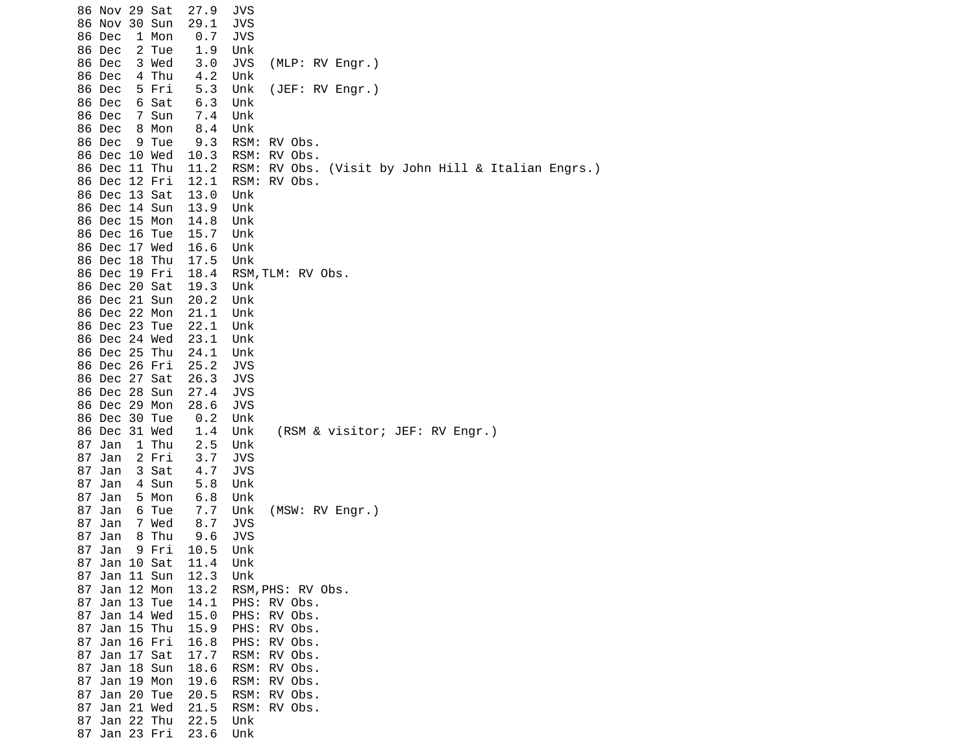|    | 86 Nov 29 Sat<br>86 Nov 30 Sun     | 27.9<br>29.1 | JVS<br><b>JVS</b>                                  |
|----|------------------------------------|--------------|----------------------------------------------------|
|    | 86 Dec<br>1 Mon                    | 0.7          | <b>JVS</b>                                         |
|    | 86 Dec<br>2 Tue                    | 1.9          | Unk                                                |
|    | 86 Dec<br>3 Wed                    | 3.0          | (MLP: RV Engr.)<br>JVS                             |
|    | 4 Thu<br>86 Dec                    | 4.2          | Unk                                                |
|    | 86 Dec<br>5 Fri<br>6 Sat<br>86 Dec | 5.3<br>6.3   | (JEF: RV Engr.)<br>Unk<br>Unk                      |
|    | 86 Dec<br>7 Sun                    | 7.4          | Unk                                                |
|    | 86 Dec<br>8 Mon                    | 8.4          | Unk                                                |
|    | 86 Dec<br>9 Tue                    | 9.3          | RSM: RV Obs.                                       |
|    | 86 Dec 10 Wed                      | 10.3         | RSM: RV Obs.                                       |
|    | 86 Dec 11 Thu                      | 11.2         | RSM: RV Obs. (Visit by John Hill & Italian Engrs.) |
|    | 86 Dec 12 Fri                      | 12.1         | RSM: RV Obs.                                       |
|    | 86 Dec 13 Sat                      | 13.0         | Unk                                                |
|    | 86 Dec 14 Sun                      | 13.9         | Unk                                                |
|    | 86 Dec 15 Mon                      | 14.8         | Unk                                                |
|    | 86 Dec 16 Tue                      | 15.7         | Unk                                                |
|    | 86 Dec 17 Wed                      | 16.6         | Unk                                                |
|    | 86 Dec 18 Thu                      | 17.5         | Unk                                                |
|    | 86 Dec 19 Fri<br>86 Dec 20 Sat     | 18.4<br>19.3 | RSM, TLM: RV Obs.<br>Unk                           |
|    | 86 Dec 21 Sun                      | 20.2         | Unk                                                |
|    | 86 Dec 22 Mon                      | 21.1         | Unk                                                |
|    | 86 Dec 23 Tue                      | 22.1         | Unk                                                |
|    | 86 Dec 24 Wed                      | 23.1         | Unk                                                |
|    | 86 Dec 25 Thu                      | 24.1         | Unk                                                |
|    | 86 Dec 26 Fri                      | 25.2         | JVS                                                |
|    | 86 Dec 27 Sat                      | 26.3         | <b>JVS</b>                                         |
|    | 86 Dec 28 Sun                      | 27.4         | <b>JVS</b>                                         |
|    | 86 Dec 29 Mon                      | 28.6         | <b>JVS</b>                                         |
|    | 86 Dec 30 Tue                      | 0.2          | Unk                                                |
|    | 86 Dec 31 Wed                      | 1.4          | (RSM & visitor; JEF: RV Engr.)<br>Unk              |
|    | 87 Jan<br>1 Thu<br>2 Fri           | 2.5<br>3.7   | Unk<br><b>JVS</b>                                  |
| 87 | 87 Jan<br>3 Sat<br>Jan             | 4.7          | <b>JVS</b>                                         |
|    | 87 Jan<br>4 Sun                    | 5.8          | Unk                                                |
|    | 87 Jan<br>5 Mon                    | 6.8          | Unk                                                |
| 87 | Jan<br>6 Tue                       | 7.7          | (MSW: RV Engr.)<br>Unk                             |
|    | 87 Jan<br>7 Wed                    | 8.7          | JVS                                                |
|    | 8 Thu<br>87 Jan                    | 9.6          | <b>JVS</b>                                         |
|    | 9 Fri<br>87 Jan                    | 10.5         | Unk                                                |
|    | 87 Jan 10 Sat                      | 11.4         | Unk                                                |
|    | 87 Jan 11 Sun                      | 12.3         | Unk                                                |
|    | 87 Jan 12 Mon                      | 13.2         | RSM, PHS: RV Obs.                                  |
|    | 87 Jan 13 Tue                      | 14.1         | PHS: RV Obs.                                       |
|    | 87 Jan 14 Wed<br>87 Jan 15 Thu     | 15.0<br>15.9 | PHS: RV Obs.<br>PHS: RV Obs.                       |
|    | 87 Jan 16 Fri                      | 16.8         | PHS: RV Obs.                                       |
|    | 87 Jan 17 Sat                      | 17.7         | RSM: RV Obs.                                       |
|    | 87 Jan 18 Sun                      | 18.6         | RSM: RV Obs.                                       |
|    | 87 Jan 19 Mon                      | 19.6         | RSM: RV Obs.                                       |
|    | 87 Jan 20 Tue                      | 20.5         | RSM: RV Obs.                                       |
|    | 87 Jan 21 Wed                      | 21.5         | RSM: RV Obs.                                       |
|    | 87 Jan 22 Thu                      | 22.5         | Unk                                                |
|    | 87 Jan 23 Fri                      | 23.6         | Unk                                                |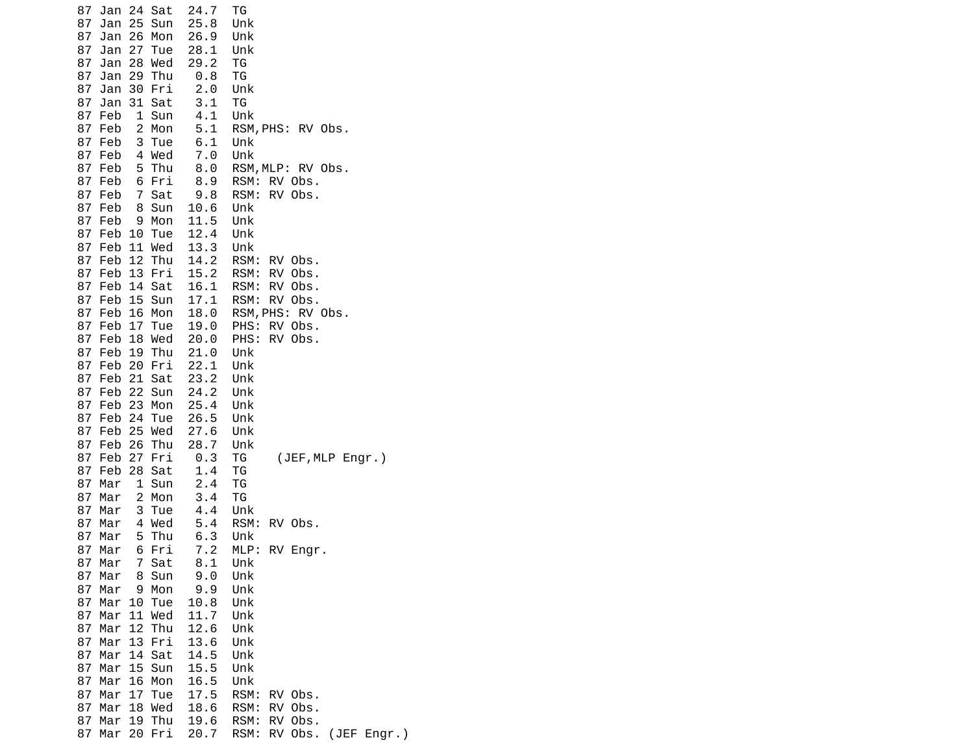| 24<br>87<br>Jan<br>Sat              | 24.7 | ТG                             |
|-------------------------------------|------|--------------------------------|
| 87<br>Jan<br>25<br>Sun              | 25.8 | Unk                            |
| Mon<br>87<br>Jan<br>26              | 26.9 | Unk                            |
| 27<br>87<br>Jan<br>Tue              | 28.1 | Unk                            |
| 87<br>28<br>Wed<br>Jan              | 29.2 | ΤG                             |
| 87<br>Jan<br>29<br>Thu              | 0.8  | ΤG                             |
| 87<br>Jan<br>30 Fri                 | 2.0  | Unk                            |
| 31 Sat<br>87<br>Jan                 | 3.1  | TG                             |
| 87<br>1<br>Sun<br>Feb               | 4.1  | Unk                            |
| $\overline{c}$<br>Mon<br>87<br>Feb  | 5.1  | RSM, PHS: RV Obs.              |
| 3<br>Tue<br>87<br>Feb               | 6.1  | Unk                            |
| Wed<br>87<br>Feb<br>4               | 7.0  | Unk                            |
| 87<br>5<br>Thu<br>Feb               | 8.0  | RSM, MLP: RV Obs.              |
| 87<br>6<br>Fri<br>Feb               | 8.9  | RSM:<br>RV Obs.                |
| 87<br>$\overline{7}$<br>Feb<br>Sat  | 9.8  | RV Obs.<br>RSM:                |
| 87<br>Feb<br>8<br>Sun               | 10.6 | Unk                            |
| 87<br>9<br>Mon<br>Feb               | 11.5 | Unk                            |
| 87<br>Feb 10<br>Tue                 | 12.4 | Unk                            |
| 87 Feb 11 Wed                       | 13.3 | Unk                            |
| 87<br>Feb<br>12<br>Thu              | 14.2 | RSM:<br>RV Obs.                |
| 13 Fri<br>87<br>Feb                 | 15.2 | RSM:<br>RV<br>Obs.             |
| 87<br>14 Sat<br>Feb                 | 16.1 | RSM:<br>RV Obs.                |
| Feb 15 Sun<br>87                    | 17.1 | RSM:<br>RV Obs.                |
| 87<br>Feb 16<br>Mon                 | 18.0 | RSM, PHS: RV Obs.              |
| 87<br>17<br>Feb<br>Tue              | 19.0 | PHS:<br>RV Obs.                |
| 18 Wed<br>87<br>Feb                 | 20.0 | PHS:<br>RV Obs.                |
| 87<br>19 Thu<br>Feb                 | 21.0 | Unk                            |
| Feb 20 Fri<br>87                    | 22.1 | Unk                            |
| 21<br>Sat<br>87<br>Feb              | 23.2 | Unk                            |
| 87<br>22<br>Feb<br>Sun              | 24.2 | Unk                            |
| 23 Mon<br>87<br>Feb                 | 25.4 | Unk                            |
| Feb 24 Tue<br>87                    | 26.5 | Unk                            |
| 25<br>87<br>Wed<br>Feb              | 27.6 | Unk                            |
| 87<br>26<br>Thu<br>Feb              | 28.7 | Unk                            |
| 87<br>27<br>Fri<br>Feb              | 0.3  | (JEF, MLP Engr.)<br>ΤG         |
| 28<br>87<br>Sat<br>Feb              | 1.4  | ΤG                             |
| 1<br>87<br>Sun<br>Mar               | 2.4  | TG                             |
| $\overline{c}$<br>87<br>Mar<br>Mon  | 3.4  | ΤG                             |
| 87<br>3<br>Mar<br>Tue               | 4.4  | Unk                            |
| 87<br>Wed<br>Mar<br>-4              | 5.4  | RSM:<br>RV Obs.                |
| $5\overline{5}$<br>Thu<br>87<br>Mar | 6.3  | Unk                            |
| 87<br>6<br>Fri<br>Mar               | 7.2  | MLP:<br>RV Engr.               |
| 87<br>7<br>Sat<br>Mar               | 8.1  | Unk                            |
| 87<br>Mar<br>Sun<br>8               | 9.0  | Unk                            |
| 87<br>9<br>Mon<br>Mar               | 9.9  | Unk                            |
| 87<br>Tue<br>Mar<br>10              | 10.8 | Unk                            |
| 87<br>11<br>Wed<br>Mar              | 11.7 | Unk                            |
| Thu<br>87<br>Mar<br>12              | 12.6 | Unk                            |
| 87<br>Mar<br>13<br>Fri              | 13.6 | Unk                            |
| Sat<br>87<br>Mar<br>14              | 14.5 | Unk                            |
| 87<br>15<br>Sun<br>Mar              | 15.5 | Unk                            |
| 87<br>16<br>Mon<br>Mar              | 16.5 | Unk                            |
| 87<br>17<br>Mar<br>Tue              | 17.5 | RSM:<br>RV Obs.                |
| 87<br>Mar<br>18<br>Wed              | 18.6 | RSM:<br>RV<br>Obs.             |
| 87<br>19 Thu<br>Mar                 | 19.6 | RSM:<br>RV<br>Obs.             |
| 87<br>20<br>Fri<br>Mar              | 20.7 | Obs. (JEF Engr.)<br>RSM:<br>RV |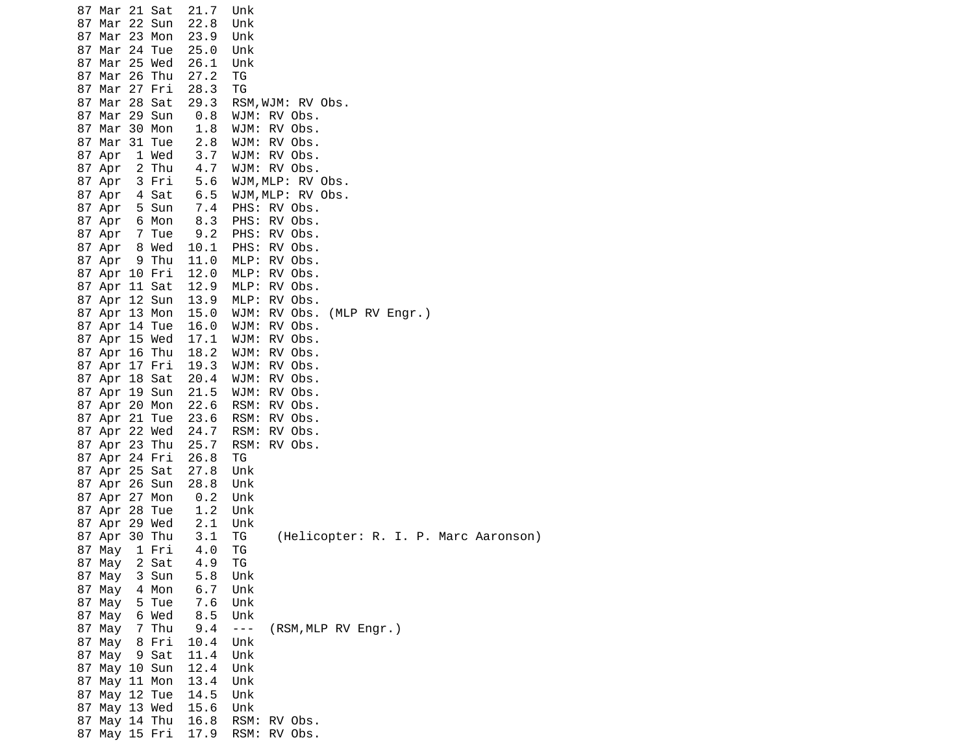| 87 Mar 21 Sat |       | 21.7 | Unk                                        |
|---------------|-------|------|--------------------------------------------|
| 87 Mar 22 Sun |       | 22.8 | Unk                                        |
| 87 Mar 23 Mon |       | 23.9 | Unk                                        |
| 87 Mar 24 Tue |       | 25.0 | Unk                                        |
| 87 Mar 25 Wed |       | 26.1 |                                            |
|               |       |      | Unk                                        |
| 87 Mar 26 Thu |       | 27.2 | ΤG                                         |
| 87 Mar 27 Fri |       | 28.3 | ТG                                         |
| 87 Mar 28 Sat |       | 29.3 | RSM, WJM: RV Obs.                          |
| 87 Mar 29 Sun |       | 0.8  | WJM: RV Obs.                               |
| 87 Mar 30 Mon |       | 1.8  | WJM: RV Obs.                               |
| 87 Mar 31 Tue |       | 2.8  | WJM: RV Obs.                               |
| 87 Apr        | 1 Wed | 3.7  | WJM: RV Obs.                               |
| 87 Apr        | 2 Thu | 4.7  | WJM: RV Obs.                               |
|               | 3 Fri |      |                                            |
| 87 Apr        |       | 5.6  | WJM, MLP: RV Obs.                          |
| 87 Apr        | 4 Sat | 6.5  | WJM, MLP: RV Obs.                          |
| 87 Apr        | 5 Sun | 7.4  | PHS: RV Obs.                               |
| 87 Apr        | 6 Mon | 8.3  | PHS: RV Obs.                               |
| 87 Apr        | 7 Tue | 9.2  | PHS: RV Obs.                               |
| 87 Apr        | 8 Wed | 10.1 | PHS: RV Obs.                               |
| 87 Apr        | 9 Thu | 11.0 | MLP: RV Obs.                               |
| 87 Apr 10 Fri |       | 12.0 | MLP: RV Obs.                               |
| 87 Apr 11 Sat |       | 12.9 | MLP: RV Obs.                               |
| 87 Apr 12 Sun |       | 13.9 | MLP: RV Obs.                               |
|               |       |      |                                            |
| 87 Apr 13 Mon |       | 15.0 | WJM: RV Obs. (MLP RV Engr.)                |
| 87 Apr 14 Tue |       | 16.0 | WJM: RV Obs.                               |
| 87 Apr 15 Wed |       | 17.1 | WJM: RV Obs.                               |
| 87 Apr 16 Thu |       | 18.2 | WJM: RV Obs.                               |
| 87 Apr 17 Fri |       | 19.3 | WJM: RV Obs.                               |
| 87 Apr 18 Sat |       | 20.4 | WJM: RV Obs.                               |
| 87 Apr 19 Sun |       | 21.5 | WJM: RV Obs.                               |
| 87 Apr 20 Mon |       | 22.6 | RSM: RV Obs.                               |
| 87 Apr 21 Tue |       | 23.6 | RSM: RV Obs.                               |
| 87 Apr 22 Wed |       |      |                                            |
|               |       | 24.7 | RSM: RV Obs.                               |
| 87 Apr 23 Thu |       | 25.7 | RSM: RV Obs.                               |
| 87 Apr 24 Fri |       | 26.8 | ТG                                         |
| 87 Apr 25 Sat |       | 27.8 | Unk                                        |
| 87 Apr 26 Sun |       | 28.8 | Unk                                        |
| 87 Apr 27 Mon |       | 0.2  | Unk                                        |
| 87 Apr 28 Tue |       | 1.2  | Unk                                        |
| 87 Apr 29 Wed |       | 2.1  | Unk                                        |
| 87 Apr 30 Thu |       | 3.1  | ΤG<br>(Helicopter: R. I. P. Marc Aaronson) |
| 87 May        | 1 Fri | 4.0  | ТG                                         |
|               | 2 Sat |      | ТG                                         |
| 87 May        |       | 4.9  |                                            |
| 87 May        | 3 Sun | 5.8  | Unk                                        |
| 87 May        | 4 Mon | 6.7  | Unk                                        |
| 87 May        | 5 Tue | 7.6  | Unk                                        |
| 87 May        | 6 Wed | 8.5  | Unk                                        |
| 87 May        | 7 Thu | 9.4  | $  -$<br>(RSM, MLP RV Engr.)               |
| 87 May        | 8 Fri | 10.4 | Unk                                        |
| 87 May        | 9 Sat | 11.4 | Unk                                        |
| 87 May 10 Sun |       | 12.4 | Unk                                        |
| 87 May 11 Mon |       | 13.4 | Unk                                        |
|               |       |      |                                            |
| 87 May 12 Tue |       | 14.5 | Unk                                        |
| 87 May 13 Wed |       | 15.6 | Unk                                        |
| 87 May 14 Thu |       | 16.8 | RSM: RV Obs.                               |
| 87 May 15 Fri |       | 17.9 | RSM: RV Obs.                               |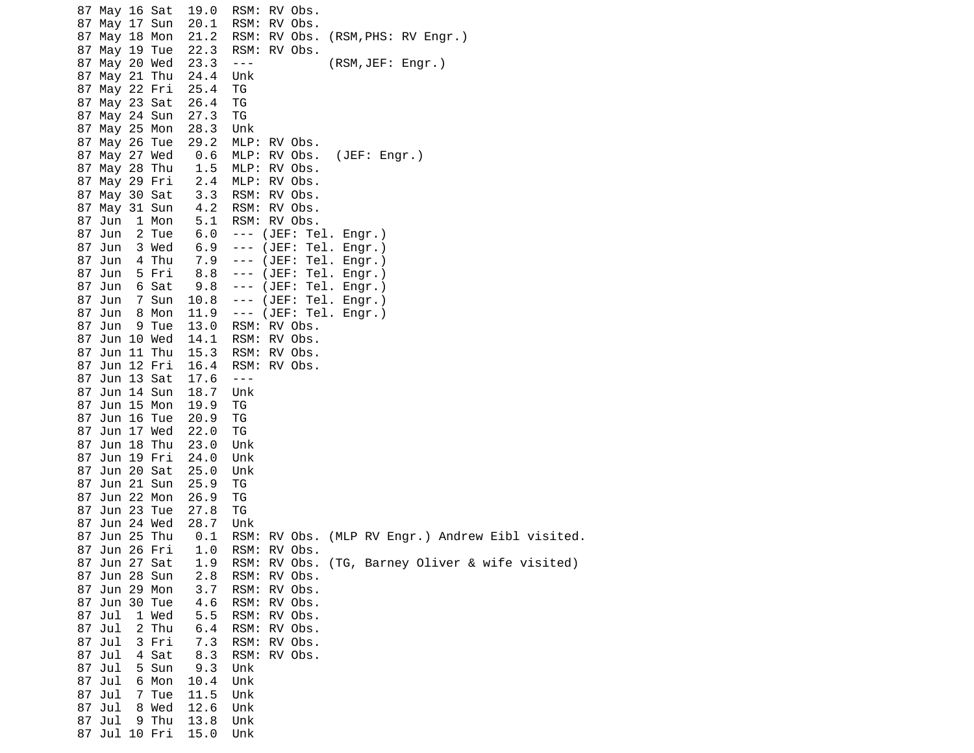87 May 16 Sat 19.0 RSM: RV Obs. 87 May 17 Sun 20.1 RSM: RV Obs. 87 May 18 Mon 21.2 RSM: RV Obs. (RSM,PHS: RV Engr.) 87 May 19 Tue 22.3 RSM: RV Obs. 87 May 20 Wed 23.3 --- (RSM,JEF: Engr.) 87 May 21 Thu 24.4 Unk 87 May 22 Fri 25.4 TG 87 May 23 Sat 26.4 TG 87 May 24 Sun 27.3 TG 87 May 25 Mon 28.3 Unk 29.2 MLP: RV Obs. 87 May 27 Wed 0.6 MLP: RV Obs. (JEF: Engr.) 87 May 28 Thu 1.5 MLP: RV Obs. 2.4 MLP: RV Obs. 87 May 30 Sat 3.3 RSM: RV Obs. 87 May 31 Sun 4.2 RSM: RV Obs. 87 Jun 1 Mon 5.1 RSM: RV Obs. 87 Jun 2 Tue 6.0 --- (JEF: Tel. Engr.) 87 Jun 3 Wed 6.9 --- (JEF: Tel. Engr.) 87 Jun 4 Thu 7.9 --- (JEF: Tel. Engr.) 87 Jun 5 Fri 8.8 --- (JEF: Tel. Engr.) 87 Jun 6 Sat 9.8 --- (JEF: Tel. Engr.) 87 Jun 7 Sun 10.8 --- (JEF: Tel. Engr.) 87 Jun 8 Mon 11.9 --- (JEF: Tel. Engr.) 87 Jun 9 Tue 13.0 87 Jun 10 Wed 14.1 RSM: RV Obs. 87 Jun 11 Thu 15.3 RSM: RV Obs. 87 Jun 12 Fri 16.4 RSM: RV Obs. 87 Jun 13 Sat 17.6 --- 87 Jun 14 Sun 18.7 Unk 87 Jun 15 Mon 19.9 TG 87 Jun 16 Tue 20.9 TG 87 Jun 17 Wed 22.0 TG 87 Jun 18 Thu 23.0 Unk 87 Jun 19 Fri 24.0 Unk 87 Jun 20 Sat 25.0 Unk 87 Jun 21 Sun 25.9 TG 87 Jun 22 Mon 26.9 TG 87 Jun 23 Tue 27.8 TG 87 Jun 24 Wed 28.7 Unk 87 Jun 25 Thu 0.1 RSM: RV Obs. (MLP RV Engr.) Andrew Eibl visited. 87 Jun 26 Fri 1.0 RSM: RV Obs. RSM: RV Obs. (TG, Barney Oliver & wife visited) 87 Jun 28 Sun 2.8 RSM: RV Obs. 87 Jun 29 Mon 3.7 RSM: RV Obs. 87 Jun 30 Tue 4.6 87 Jul 1 Wed 5.5 RSM: RV Obs. 87 Jul 2 Thu 6.4 RSM: RV Obs. 87 Jul 3 Fri 7.3 RSM: RV Obs. 8.3 RSM: RV Obs. 87 Jul 5 Sun 9.3 Unk 87 Jul 6 Mon 10.4 Unk 87 Jul 7 Tue 11.5 Unk 87 Jul 8 Wed 12.6 Unk 87 Jul 9 Thu 13.8 Unk 87 Jul 10 Fri 15.0 Unk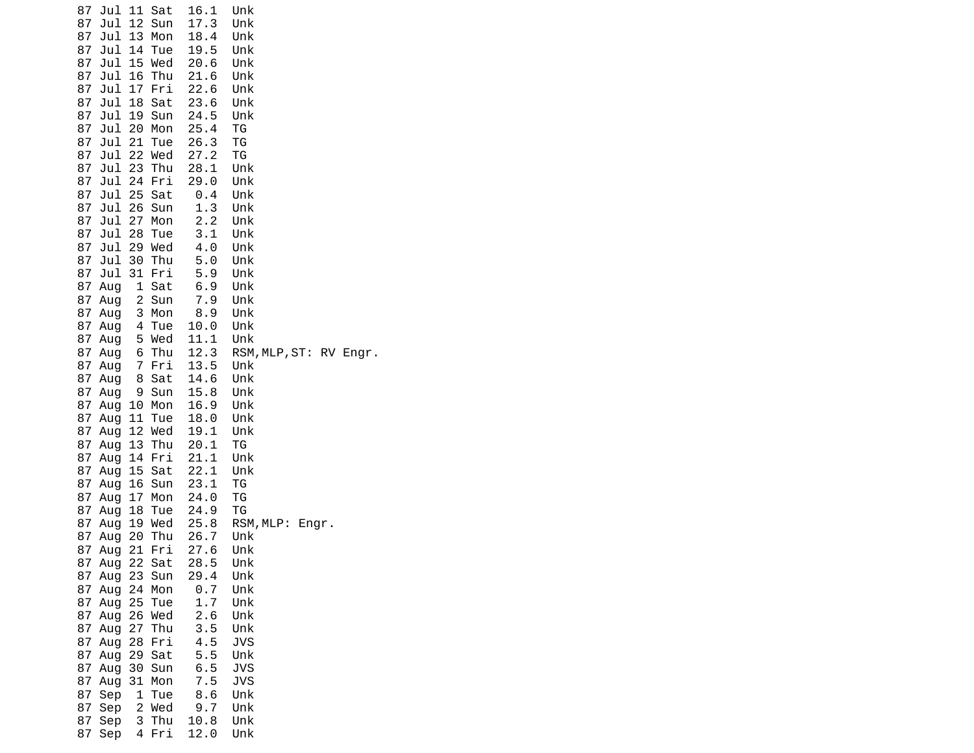| 87 | Jul 11 Sat             |        | 16.1        | Unk                    |
|----|------------------------|--------|-------------|------------------------|
| 87 | Jul 12 Sun             |        | 17.3        | Unk                    |
| 87 | Jul 13                 | Mon    | 18.4        | Unk                    |
| 87 | Jul<br>14              | Tue    | 19.5        | Unk                    |
| 87 | Jul 15 Wed             |        | 20.6        | Unk                    |
| 87 | Jul 16                 | Thu    | 21.6        | Unk                    |
| 87 | Jul 17                 | Fri    | 22.6        | Unk                    |
| 87 | Jul                    | 18 Sat | 23.6        | Unk                    |
| 87 | Jul                    | 19 Sun | 24.5        | Unk                    |
| 87 | Jul 20 Mon             |        | 25.4        | ΤG                     |
| 87 | Jul 21                 | Tue    | 26.3        | ΤG                     |
| 87 | Jul 22 Wed             |        | 27.2        | ΤG                     |
| 87 | $Jul$ 23               | Thu    | 28.1        | Unk                    |
| 87 | Jul 24 Fri             |        | 29.0        | Unk                    |
| 87 | Jul 25 Sat             |        | $\theta$ .4 | Unk                    |
| 87 | Jul 26 Sun             |        | 1.3         | Unk                    |
| 87 | Jul 27                 | Mon    | 2.2         | Unk                    |
| 87 | Jul<br>28              | Tue    | 3.1         | Unk                    |
| 87 | Jul 29 Wed             |        | 4.0         | Unk                    |
| 87 | Jul 30 Thu             |        | 5.0         | Unk                    |
| 87 | Jul 31 Fri             |        | 5.9         | Unk                    |
| 87 | Aug                    | 1 Sat  | 6.9         | Unk                    |
|    | 87 Aug                 | 2 Sun  | 7.9         | Unk                    |
|    | 87 Aug                 | 3 Mon  | 8.9         | Unk                    |
|    | 87 Aug                 | 4 Tue  | 10.0        | Unk                    |
|    | 87 Aug                 | 5 Wed  | 11.1        | Unk                    |
|    | 87 Aug                 | 6 Thu  | 12.3        | RSM, MLP, ST: RV Engr. |
|    | 87 Aug                 | 7 Fri  | 13.5        | Unk                    |
|    | 87 Aug                 | 8 Sat  | 14.6        | Unk                    |
|    | 87 Aug                 | 9 Sun  | 15.8        | Unk                    |
|    | 87 Aug                 | 10 Mon | 16.9        | Unk                    |
|    | 87 Aug<br>11           | Tue    | 18.0        | Unk                    |
|    | 87 Aug                 | 12 Wed | 19.1        | Unk                    |
|    | 87 Aug                 | 13 Thu | 20.1        | ΤG                     |
|    | 87 Aug                 | 14 Fri | 21.1        | Unk                    |
| 87 | Aug                    | 15 Sat | 22.1        | Unk                    |
|    | 87 Aug                 | 16 Sun | 23.1        | TG                     |
|    | 87 Aug                 | 17 Mon | 24.0        | ΤG                     |
|    | 87 Aug<br>18           | Tue    | 24.9        | TG                     |
|    | 87 Aug                 | 19 Wed | 25.8        | RSM, MLP: Engr.        |
|    | 20<br>87 Aug           | Thu    | 26.7        | Unk                    |
|    | 87 Aug                 | 21 Fri | 27.6        | Unk                    |
|    | 87 Aug 22 Sat          |        | 28.5        | Unk                    |
|    | 87 Aug 23 Sun          |        | 29.4        | Unk                    |
|    | 87 Aug                 | 24 Mon | 0.7         | Unk                    |
|    | 87 Aug                 | 25 Tue | 1.7         | Unk                    |
|    | 87 Aug 26 Wed          |        | 2.6         | Unk                    |
|    | 87 Aug 27 Thu          |        | 3.5         | Unk                    |
|    | 87 Aug                 | 28 Fri | 4.5         | <b>JVS</b>             |
|    | 87 Aug                 | 29 Sat | 5.5         | Unk                    |
|    | 87 Aug                 | 30 Sun | 6.5         | <b>JVS</b>             |
|    | 87 Aug                 | 31 Mon | 7.5         | <b>JVS</b>             |
|    | 87 Sep<br>$\mathbf{1}$ | Tue    | 8.6         | Unk                    |
|    | 87 Sep                 | 2 Wed  | 9.7         | Unk                    |
|    | 87 Sep                 | 3 Thu  | 10.8        | Unk                    |
| 87 | Sep                    | 4 Fri  | 12.0        | Unk                    |
|    |                        |        |             |                        |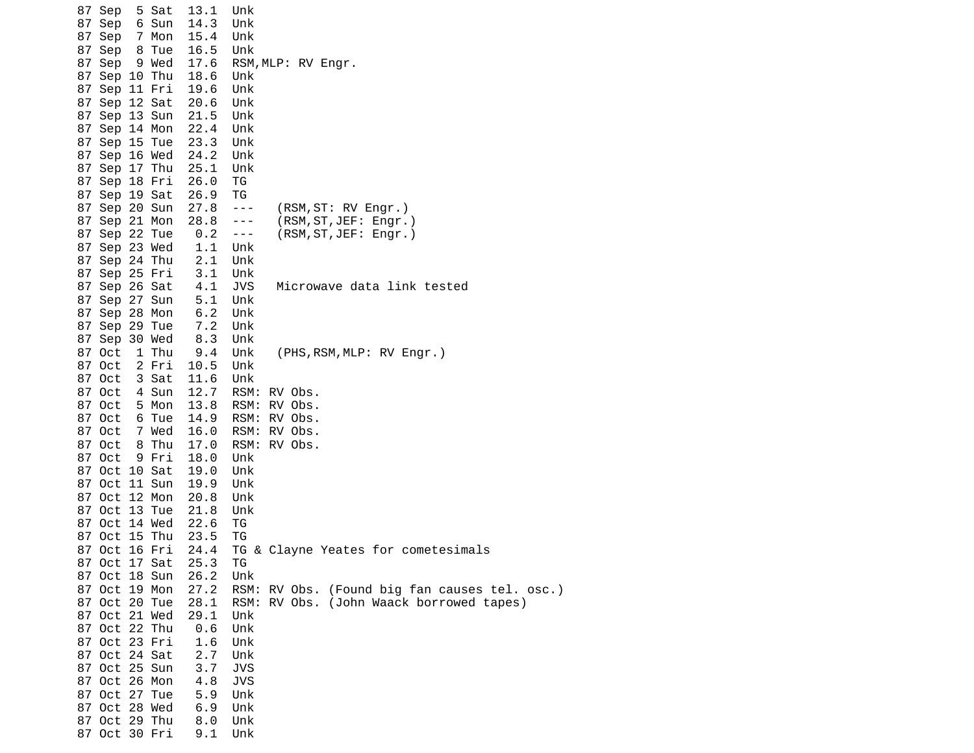|  | 87 Sep                  | 5 Sat | 13.1       | Unk            |                                          |
|--|-------------------------|-------|------------|----------------|------------------------------------------|
|  | 87 Sep                  | 6 Sun | 14.3       | Unk            |                                          |
|  | 87 Sep                  | 7 Mon | 15.4       | Unk            |                                          |
|  | 87 Sep                  | 8 Tue | 16.5       | Unk            |                                          |
|  | 87 Sep                  | 9 Wed | 17.6       |                | RSM, MLP: RV Engr.                       |
|  | 87 Sep 10 Thu           |       | 18.6       | Unk            |                                          |
|  | 87 Sep 11 Fri           |       | 19.6       | Unk            |                                          |
|  | 87 Sep 12 Sat           |       | 20.6       | Unk            |                                          |
|  | 87 Sep 13 Sun           |       | 21.5       | Unk            |                                          |
|  | 87 Sep 14 Mon           |       | 22.4       | Unk            |                                          |
|  | 87 Sep 15 Tue           |       | 23.3       | Unk            |                                          |
|  | 87 Sep 16 Wed           |       | 24.2       | Unk            |                                          |
|  | 87 Sep 17 Thu           |       | 25.1       | Unk            |                                          |
|  | 87 Sep 18 Fri           |       | 26.0       | ΤG             |                                          |
|  | 87 Sep 19 Sat           |       | 26.9       | ТG             |                                          |
|  | 87 Sep 20 Sun           |       | 27.8       | $\sim$ $ \sim$ | (RSM, ST: RV Engr.)                      |
|  | 87 Sep 21 Mon           |       | 28.8       | $- - -$        | (RSM, ST, JEF: Engr.)                    |
|  | 87 Sep 22 Tue           |       | 0.2        | $\sim$ $ \sim$ | (RSM, ST, JEF: Engr.)                    |
|  | 87 Sep 23 Wed           |       | 1.1        | Unk            |                                          |
|  | 87 Sep 24 Thu           |       | 2.1        | Unk            |                                          |
|  | 87 Sep 25 Fri           |       | 3.1        | Unk            |                                          |
|  | 87 Sep 26 Sat           |       | 4.1        | <b>JVS</b>     | Microwave data link tested               |
|  | 87 Sep 27 Sun           |       | 5.1        | Unk            |                                          |
|  | 87 Sep 28 Mon           |       | 6.2<br>7.2 | Unk            |                                          |
|  | 87 Sep 29 Tue           |       |            | Unk            |                                          |
|  | 87 Sep 30 Wed<br>87 Oct | 1 Thu | 8.3<br>9.4 | Unk<br>Unk     | (PHS, RSM, MLP: RV Engr.)                |
|  | 87 Oct                  | 2 Fri | 10.5       | Unk            |                                          |
|  | 87 Oct                  | 3 Sat | 11.6       | Unk            |                                          |
|  | 87 Oct                  | 4 Sun | 12.7       |                | RSM: RV Obs.                             |
|  | 87 Oct                  | 5 Mon | 13.8       | RSM:           | RV Obs.                                  |
|  | 87 Oct                  | 6 Tue | 14.9       | RSM:           | RV Obs.                                  |
|  | 87 Oct                  | 7 Wed | 16.0       | RSM:           | RV Obs.                                  |
|  | 87 Oct                  | 8 Thu | 17.0       |                | RSM: RV Obs.                             |
|  | 87 Oct                  | 9 Fri | 18.0       | Unk            |                                          |
|  | 87 Oct 10 Sat           |       | 19.0       | Unk            |                                          |
|  | 87 Oct 11 Sun           |       | 19.9       | Unk            |                                          |
|  | 87 Oct 12 Mon           |       | 20.8       | Unk            |                                          |
|  | 87 Oct 13 Tue           |       | 21.8       | Unk            |                                          |
|  | 87 Oct 14 Wed           |       | 22.6       | ΤG             |                                          |
|  | 87 Oct 15 Thu           |       | 23.5       | ΤG             |                                          |
|  | 87 Oct 16 Fri           |       | 24.4       |                | TG & Clayne Yeates for cometesimals      |
|  | 87 Oct 17 Sat           |       | 25.3       | ΤG             |                                          |
|  | 87 Oct 18 Sun           |       | 26.2       | Unk            |                                          |
|  | 87 Oct 19 Mon           |       | 27.2       | RSM:           | RV Obs. (Found big fan causes tel. osc.) |
|  | 87 Oct 20 Tue           |       | 28.1       | RSM:           | RV Obs. (John Waack borrowed tapes)      |
|  | 87 Oct 21 Wed           |       | 29.1       | Unk            |                                          |
|  | 87 Oct 22 Thu           |       | 0.6        | Unk            |                                          |
|  | 87 Oct 23 Fri           |       | 1.6        | Unk            |                                          |
|  | 87 Oct 24 Sat           |       | 2.7        | Unk            |                                          |
|  | 87 Oct 25 Sun           |       | 3.7        | <b>JVS</b>     |                                          |
|  | 87 Oct 26 Mon           |       | 4.8        | <b>JVS</b>     |                                          |
|  | 87 Oct 27 Tue           |       | 5.9        | Unk            |                                          |
|  | 87 Oct 28 Wed           |       | 6.9        | Unk            |                                          |
|  | 87 Oct 29 Thu           |       | 8.0        | Unk            |                                          |
|  | 87 Oct 30 Fri           |       | 9.1        | Unk            |                                          |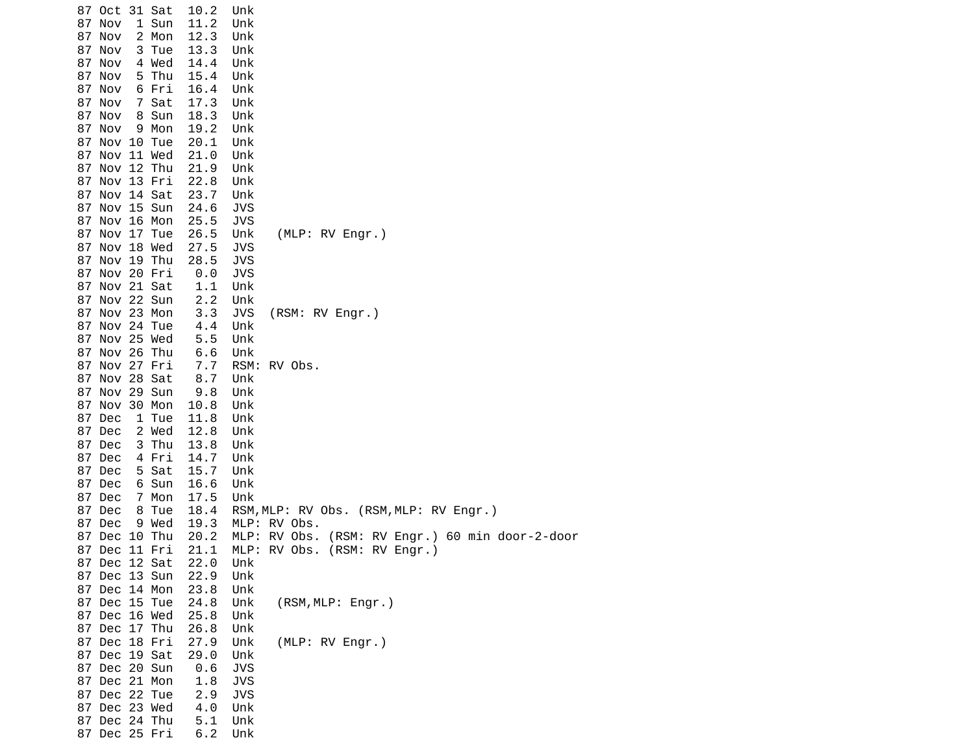| 87 Oct 31 Sat   | 10.2 | Unk                                                |
|-----------------|------|----------------------------------------------------|
| 87 Nov<br>1 Sun | 11.2 | Unk                                                |
| 87 Nov<br>2 Mon | 12.3 | Unk                                                |
| 87 Nov<br>3 Tue | 13.3 | Unk                                                |
| 87 Nov<br>4 Wed | 14.4 | Unk                                                |
| 5 Thu<br>87 Nov | 15.4 | Unk                                                |
| 87 Nov<br>6 Fri | 16.4 | Unk                                                |
| 87 Nov<br>7 Sat | 17.3 | Unk                                                |
| 87 Nov<br>8 Sun | 18.3 | Unk                                                |
| 87 Nov<br>9 Mon | 19.2 | Unk                                                |
| 87 Nov 10 Tue   | 20.1 | Unk                                                |
| 87 Nov 11 Wed   | 21.0 | Unk                                                |
| 87 Nov 12 Thu   | 21.9 | Unk                                                |
| 87 Nov 13 Fri   | 22.8 | Unk                                                |
| 87 Nov 14 Sat   | 23.7 | Unk                                                |
| 87 Nov 15 Sun   | 24.6 | JVS                                                |
| 87 Nov 16 Mon   | 25.5 | JVS                                                |
| 87 Nov 17 Tue   | 26.5 | Unk<br>(MLP: RV Engr.)                             |
| 87 Nov 18 Wed   | 27.5 | <b>JVS</b>                                         |
| 87 Nov 19 Thu   | 28.5 | <b>JVS</b>                                         |
| 87 Nov 20 Fri   | 0.0  | JVS                                                |
| 87 Nov 21 Sat   | 1.1  | Unk                                                |
| 87 Nov 22 Sun   | 2.2  | Unk                                                |
| 87 Nov 23 Mon   | 3.3  | JVS<br>(RSM: RV Engr.)                             |
| 87 Nov 24 Tue   | 4.4  | Unk                                                |
| 87 Nov 25 Wed   | 5.5  | Unk                                                |
| 87 Nov 26 Thu   | 6.6  | Unk                                                |
| 87 Nov 27 Fri   | 7.7  | RV Obs.<br>RSM:                                    |
| 87 Nov 28 Sat   | 8.7  | Unk                                                |
| 87 Nov 29 Sun   | 9.8  | Unk                                                |
| 87 Nov 30 Mon   | 10.8 | Unk                                                |
| 87 Dec<br>1 Tue | 11.8 | Unk                                                |
| 87 Dec<br>2 Wed | 12.8 | Unk                                                |
| 87 Dec<br>3 Thu | 13.8 | Unk                                                |
| 87 Dec<br>4 Fri | 14.7 | Unk                                                |
| 87 Dec<br>5 Sat | 15.7 | Unk                                                |
| 87 Dec<br>6 Sun | 16.6 | Unk                                                |
| 87 Dec<br>7 Mon | 17.5 | Unk                                                |
| 87 Dec<br>8 Tue | 18.4 | RSM, MLP: RV Obs. (RSM, MLP: RV Engr.)             |
| 87 Dec<br>9 Wed | 19.3 | MLP: RV Obs.                                       |
| 87 Dec 10 Thu   | 20.2 | MLP: RV Obs.<br>(RSM: RV Engr.) 60 min door-2-door |
| 87 Dec 11 Fri   | 21.1 | MLP:<br>(RSM: RV Engr.)<br>RV Obs.                 |
| 87 Dec 12 Sat   | 22.0 | Unk                                                |
| 87 Dec 13 Sun   | 22.9 | Unk                                                |
| 87 Dec 14 Mon   | 23.8 | Unk                                                |
| 87 Dec 15 Tue   | 24.8 | Unk<br>(RSM, MLP: Engr.)                           |
| 87 Dec 16 Wed   | 25.8 | Unk                                                |
| 87 Dec 17 Thu   | 26.8 | Unk                                                |
| 87 Dec 18 Fri   | 27.9 | (MLP: RV Engr.)<br>Unk                             |
| 87 Dec 19 Sat   | 29.0 | Unk                                                |
| 87 Dec 20 Sun   | 0.6  | <b>JVS</b>                                         |
| 87 Dec 21 Mon   | 1.8  | <b>JVS</b>                                         |
| 87 Dec 22 Tue   | 2.9  | <b>JVS</b>                                         |
| 87 Dec 23 Wed   | 4.0  | Unk                                                |
| 87 Dec 24 Thu   | 5.1  | Unk                                                |
| 87 Dec 25 Fri   | 6.2  | Unk                                                |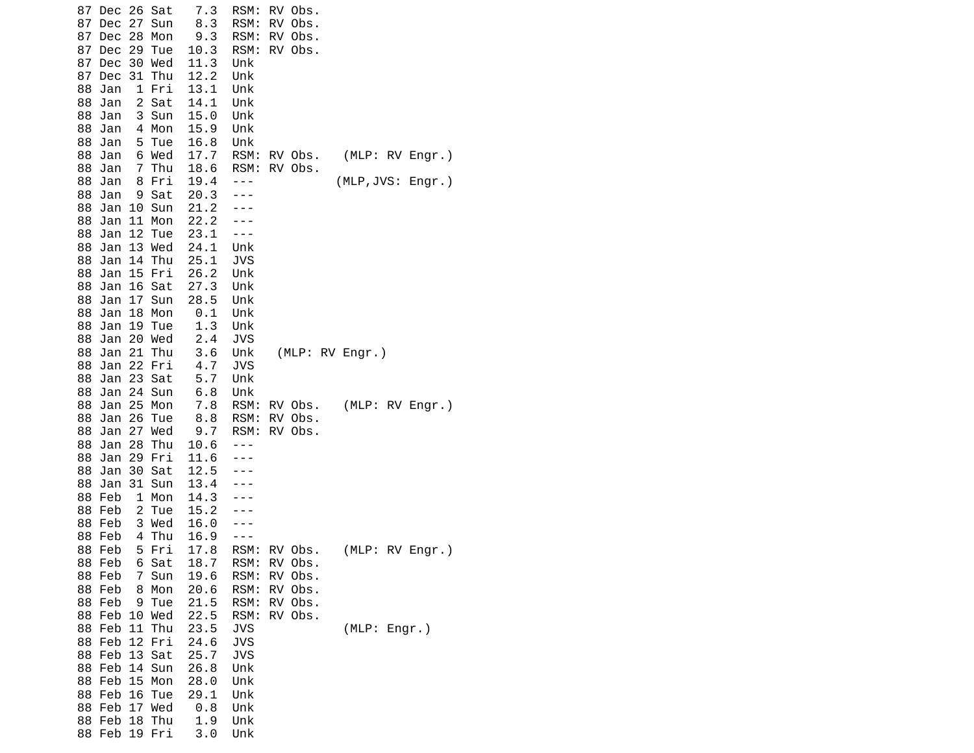| 7.3<br>26 Sat<br>RSM:<br>87 Dec                 | RV Obs.                    |
|-------------------------------------------------|----------------------------|
| 87<br>Dec<br>27<br>Sun<br>8.3<br>RSM:           | RV Obs.                    |
| 87<br>Dec<br>28<br>Mon<br>9.3<br>RSM:           | RV Obs.                    |
| 87<br>Dec<br>29 Tue<br>10.3<br>RSM:             | RV Obs.                    |
| 30 Wed<br>11.3<br>87<br>Dec<br>Unk              |                            |
| 87<br>Dec<br>31 Thu<br>12.2<br>Unk              |                            |
| 1 Fri<br>13.1<br>88<br>Jan<br>Unk               |                            |
| 2 Sat<br>88<br>Jan<br>14.1<br>Unk               |                            |
| 3 Sun<br>15.0<br>Unk<br>88<br>Jan               |                            |
| 15.9<br>88<br>4 Mon<br>Unk<br>Jan               |                            |
| Unk<br>88<br>5 Tue                              |                            |
| Jan<br>16.8                                     | (MLP: RV Engr.)            |
| 17.7<br>88<br>Jan<br>6 Wed<br>RSM:              | RV Obs.                    |
| 7 Thu<br>RSM:<br>88<br>Jan<br>18.6              | RV Obs.                    |
| 19.4<br>88<br>Jan<br>8 Fri                      | (MLP, JVS: Engr.)          |
| 20.3<br>88<br>Jan<br>9 Sat                      |                            |
| 10 Sun<br>88<br>Jan<br>21.2                     |                            |
| 88<br>Jan<br>11<br>Mon<br>22.2                  |                            |
| 12<br>23.1<br>88<br>Jan<br>Tue                  |                            |
| 13 Wed<br>24.1<br>Unk<br>88<br>Jan              |                            |
| 14 Thu<br>25.1<br><b>JVS</b><br>88<br>Jan       |                            |
| 15 Fri<br>88<br>Jan<br>26.2<br>Unk              |                            |
| 27.3<br>Unk<br>88<br>Jan<br>16 Sat              |                            |
| 17 Sun<br>28.5<br>88<br>Jan<br>Unk              |                            |
| 18<br>0.1<br>88<br>Jan<br>Mon<br>Unk            |                            |
| 19 Tue<br>88<br>Jan<br>1.3<br>Unk               |                            |
| 2.4<br>88<br>Jan<br>20 Wed<br>JVS               |                            |
| 3.6<br>21<br>88<br>Jan<br>Thu<br>Unk            | (MLP: RV Engr.)            |
| 4.7<br>22 Fri<br><b>JVS</b><br>88<br>Jan        |                            |
| 23<br>5.7<br>Unk<br>88<br>Jan<br>Sat            |                            |
| 24 Sun<br>$6.8$<br>Unk<br>88<br>Jan             |                            |
| 88<br>Jan<br>25 Mon<br>7.8<br>RSM:              | (MLP: RV Engr.)<br>RV Obs. |
| 26<br>8.8<br>RSM:<br>88<br>Jan<br>Tue           | RV Obs.                    |
| 27<br>9.7<br>RSM:<br>88<br>Jan<br>Wed           | RV Obs.                    |
| 28<br>88<br>Jan<br>Thu<br>10.6                  |                            |
| 88<br>Jan<br>29 Fri<br>11.6                     |                            |
| 88<br>Jan<br>30 Sat<br>12.5                     |                            |
| 31 Sun<br>13.4<br>88<br>Jan                     |                            |
| 14.3<br>88<br>Feb<br>1 Mon                      |                            |
| Feb<br>88                                       |                            |
| 2 Tue<br>15.2<br>3 Wed<br>88                    |                            |
| Feb<br>16.0                                     |                            |
| 4 Thu<br>88 Feb<br>16.9                         |                            |
| 5 Fri<br>17.8<br>RSM:<br>88 Feb                 | (MLP: RV Engr.)<br>RV Obs. |
| 88 Feb<br>18.7<br>RSM:<br>6 Sat                 | RV Obs.                    |
| Feb<br>RSM:<br>88<br>7<br>Sun<br>19.6           | RV Obs.                    |
| 88 Feb<br>Mon<br>20.6<br>RSM:<br>8              | RV Obs.                    |
| 88 Feb<br>9 Tue<br>21.5<br>RSM:                 | RV Obs.                    |
| 22.5<br>88 Feb<br>10 Wed<br>RSM:                | RV Obs.                    |
| 88 Feb<br>11 Thu<br>23.5<br><b>JVS</b>          | (MLP: Engr.)               |
| 88 Feb<br>12 Fri<br>24.6<br><b>JVS</b>          |                            |
| 13 Sat<br>88 Feb<br><b>JVS</b><br>25.7          |                            |
| 26.8<br>88 Feb<br>14 Sun<br>Unk                 |                            |
| 88 Feb<br>15 <sub>1</sub><br>Mon<br>28.0<br>Unk |                            |
| Feb<br>16<br>29.1<br>Unk<br>88<br>Tue           |                            |
| 88 Feb<br>17 Wed<br>0.8<br>Unk                  |                            |
| 88 Feb 18 Thu<br>1.9<br>Unk                     |                            |
| 88 Feb 19 Fri<br>3.0<br>Unk                     |                            |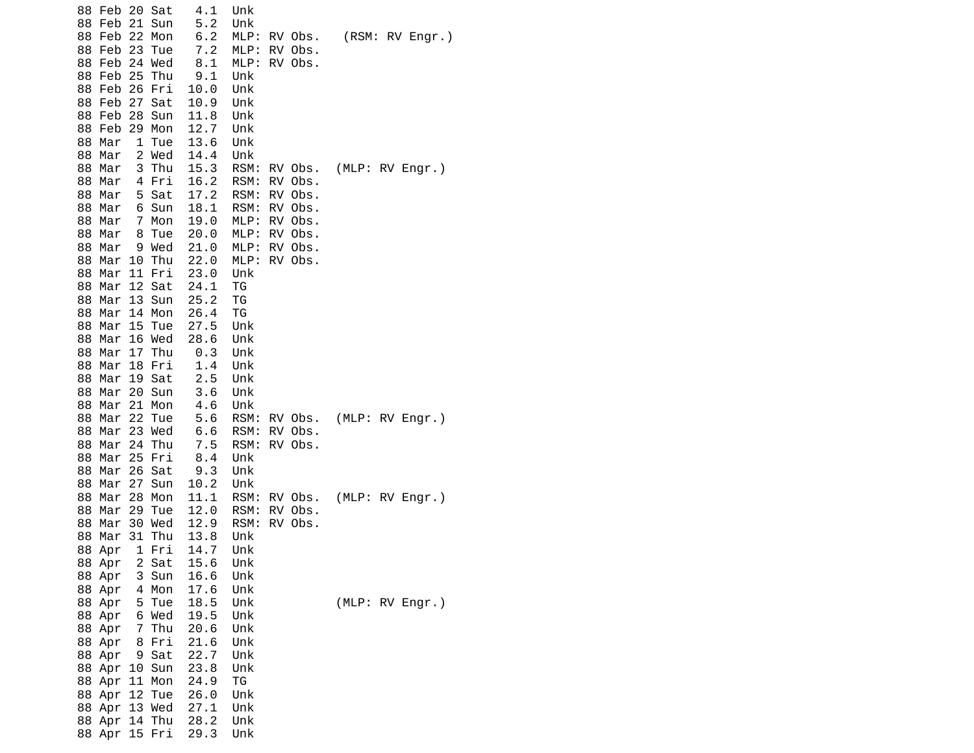| 88 Feb 20 Sat<br>21 Sun<br>88 Feb<br>88 Feb<br>22<br>Mon<br>23<br>88 Feb<br>Tue<br>24 Wed<br>88 Feb<br>25<br>88 Feb<br>Thu<br>88 Feb<br>26<br>Fri<br>88 Feb<br>27<br>Sat<br>28 Sun<br>88 Feb<br>29 Mon<br>88 Feb<br>88 Mar<br>1 Tue<br>2 Wed<br>88 Mar                                                                                                                                                             | 4.1<br>Unk<br>5.2<br>Unk<br>6.2<br>MLP:<br>7.2<br>MLP:<br>8.1<br>MLP:<br>9.1<br>Unk<br>10.0<br>Unk<br>10.9<br>Unk<br>11.8<br>Unk<br>12.7<br>Unk<br>13.6<br>Unk<br>14.4<br>Unk                                                                                                             | RV Obs.<br>RV Obs.<br>RV Obs.                                                        | (RSM: RV Engr.) |
|--------------------------------------------------------------------------------------------------------------------------------------------------------------------------------------------------------------------------------------------------------------------------------------------------------------------------------------------------------------------------------------------------------------------|-------------------------------------------------------------------------------------------------------------------------------------------------------------------------------------------------------------------------------------------------------------------------------------------|--------------------------------------------------------------------------------------|-----------------|
| 3 Thu<br>88 Mar<br>88 Mar<br>4 Fri<br>88<br>Mar<br>5 Sat<br>88 Mar<br>6 Sun<br>7 Mon<br>88 Mar<br>88<br>8 Tue<br>Mar<br>9 Wed<br>88 Mar<br>Thu<br>88<br>Mar<br>10<br>88<br>Mar<br>11<br>Fri<br>12 Sat<br>88<br>Mar<br>13 Sun<br>88 Mar<br>Mar 14 Mon<br>88<br>Mar 15<br>88<br>Tue<br>Mar 16 Wed<br>88<br>17 Thu<br>88<br>Mar<br>18<br>88<br>Mar<br>Fri<br>88<br>Mar<br>19 Sat<br>Mar 20 Sun<br>88<br>88 Mar 21 Mon | 15.3<br>RSM:<br>16.2<br>RSM:<br>17.2<br>RSM:<br>18.1<br>RSM:<br>19.0<br>MLP:<br>20.0<br>MLP:<br>21.0<br>MLP:<br>22.0<br>MLP:<br>23.0<br>Unk<br>24.1<br>ТG<br>25.2<br>TG<br>26.4<br>ΤG<br>27.5<br>Unk<br>28.6<br>Unk<br>0.3<br>Unk<br>1.4<br>Unk<br>2.5<br>Unk<br>Unk<br>3.6<br>4.6<br>Unk | RV Obs.<br>RV Obs.<br>RV Obs.<br>RV Obs.<br>RV Obs.<br>RV Obs.<br>RV Obs.<br>RV Obs. | (MLP: RV Engr.) |
| 22 Tue<br>88 Mar<br>23 Wed<br>88<br>Mar<br>24<br>88<br>Mar<br>Thu<br>Mar 25 Fri<br>88<br>26 Sat<br>88<br>Mar<br>27<br>Sun<br>88<br>Mar                                                                                                                                                                                                                                                                             | 5.6<br>RSM:<br>6.6<br>RSM:<br>$7.5$<br>RSM:<br>8.4<br>Unk<br>9.3<br>Unk<br>10.2<br>Unk                                                                                                                                                                                                    | RV Obs.<br>RV Obs.<br>RV Obs.                                                        | (MLP: RV Engr.) |
| 28<br>88<br>Mar<br>Mon<br>Mar<br>29<br>88<br>Tue<br>30 Wed<br>88 Mar<br>31 Thu<br>88<br>Mar<br>88 Apr<br>1 Fri<br>2 Sat<br>88 Apr<br>3 Sun<br>88 Apr<br>4 Mon<br>88 Apr                                                                                                                                                                                                                                            | 11.1<br>RSM:<br>12.0<br>RSM:<br>RSM:<br>12.9<br>13.8<br>Unk<br>14.7<br>Unk<br>15.6<br>Unk<br>16.6<br>Unk<br>17.6<br>Unk                                                                                                                                                                   | RV Obs.<br>RV Obs.<br>RV Obs.                                                        | (MLP: RV Engr.) |
| 88 Apr<br>5 Tue<br>6 Wed<br>88 Apr<br>7 Thu<br>88 Apr<br>8 Fri<br>88 Apr<br>9 Sat<br>88 Apr<br>88 Apr 10 Sun<br>88 Apr<br>11 Mon<br>88 Apr<br>12 Tue<br>88 Apr 13 Wed<br>88 Apr 14 Thu<br>88 Apr 15 Fri                                                                                                                                                                                                            | 18.5<br>Unk<br>19.5<br>Unk<br>20.6<br>Unk<br>21.6<br>Unk<br>22.7<br>Unk<br>23.8<br>Unk<br>24.9<br>ΤG<br>Unk<br>26.0<br>27.1<br>Unk<br>28.2<br>Unk<br>29.3<br>Unk                                                                                                                          |                                                                                      | (MLP: RV Engr.) |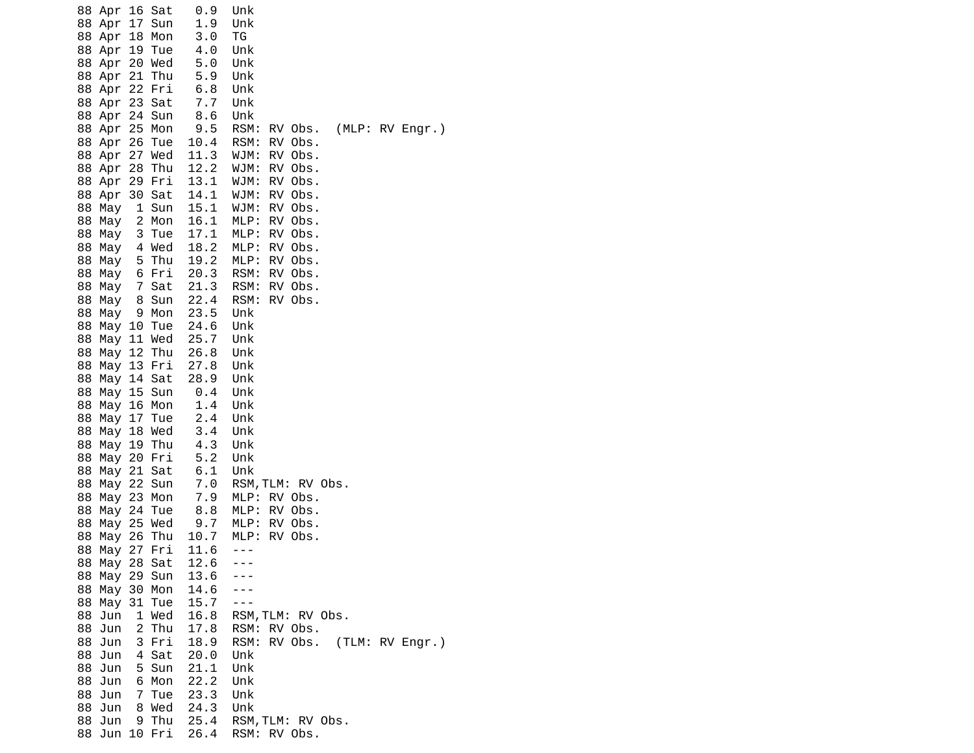| 16 Sat<br>88 Apr<br>17<br>88 Apr<br>Sun          | 0.9<br>1.9   | Unk<br>Unk                           |
|--------------------------------------------------|--------------|--------------------------------------|
| 88 Apr<br>18<br>Mon                              | 3.0          | ΤG                                   |
| 19<br>88 Apr<br>Tue<br>20 Wed<br>88 Apr          | 4.0<br>5.0   | Unk<br>Unk                           |
| 21<br>Thu<br>88 Apr                              | 5.9          | Unk                                  |
| 22<br>Fri<br>88 Apr                              | 6.8          | Unk                                  |
| 23 Sat<br>88 Apr                                 | 7.7          | Unk                                  |
| 24<br>88 Apr<br>Sun                              | 8.6          | Unk                                  |
| 25<br>Mon<br>88 Apr                              | 9.5          | RSM:<br>(MLP: RV Engr.)<br>RV Obs.   |
| 26<br>Tue<br>88 Apr<br>27 Wed<br>88 Apr          | 10.4<br>11.3 | RSM:<br>RV Obs.<br>WJM:<br>RV Obs.   |
| 28<br>Thu<br>88 Apr                              | 12.2         | RV Obs.<br>WJM:                      |
| 29 Fri<br>88 Apr                                 | 13.1         | WJM:<br>RV Obs.                      |
| 30<br>88 Apr<br>Sat                              | 14.1         | RV Obs.<br>WJM:                      |
| $\mathbf{1}$<br>88<br>May<br>Sun                 | 15.1         | RV Obs.<br>WJM:                      |
| 88<br>2<br>Mon<br>May                            | 16.1         | RV Obs.<br>MLP:<br>MLP:<br>RV Obs.   |
| 88 May<br>3<br>Tue<br>4 Wed<br>88 May            | 17.1<br>18.2 | MLP:<br>RV Obs.                      |
| 88<br>5<br>Thu<br>May                            | 19.2         | MLP:<br>RV Obs.                      |
| Fri<br>88<br>May<br>-6                           | 20.3         | RSM:<br>RV Obs.                      |
| 88<br>7<br>Sat<br>May                            | 21.3         | RSM:<br>RV Obs.                      |
| 88<br>8<br>Sun<br>May                            | 22.4         | RSM:<br>RV Obs.                      |
| 88<br>9<br>Mon<br>May<br>88<br>10<br>Tue<br>May  | 23.5<br>24.6 | Unk<br>Unk                           |
| 11 Wed<br>88<br>May                              | 25.7         | Unk                                  |
| 88 May<br>12 Thu                                 | 26.8         | Unk                                  |
| 13 Fri<br>88 May                                 | 27.8         | Unk                                  |
| 14<br>Sat<br>88<br>May                           | 28.9         | Unk                                  |
| 88<br>15<br>Sun<br>May                           | 0.4<br>1.4   | Unk                                  |
| 88<br>May 16<br>Mon<br>17<br>88<br>May<br>Tue    | 2.4          | Unk<br>Unk                           |
| 18<br>88<br>Wed<br>May                           | 3.4          | Unk                                  |
| 88<br>19<br>Thu<br>May                           | 4.3          | Unk                                  |
| Fri<br>88<br>May<br>20                           | 5.2          | Unk                                  |
| 21<br>Sat<br>88<br>May                           | 6.1          | Unk                                  |
| 22<br>88<br>Sun<br>May<br>88<br>23<br>May<br>Mon | $7.0$<br>7.9 | RSM, TLM: RV Obs.<br>MLP:<br>RV Obs. |
| 88<br>24<br>Tue<br>May                           | 8.8          | MLP:<br>RV Obs.                      |
| 88<br>25 Wed<br>May                              | 9.7          | MLP:<br>RV Obs.                      |
| 26<br>88<br>Thu<br>May                           | 10.7         | MLP:<br>RV Obs.                      |
| 27<br>88<br>Fri<br>May                           | 11.6         | ---                                  |
| 88 May 28 Sat<br>88 May                          | 12.6         |                                      |
| 29 Sun<br>30 Mon<br>88 May                       | 13.6<br>14.6 |                                      |
| 88 May 31 Tue                                    | 15.7         |                                      |
| 1 Wed<br>88 Jun                                  | 16.8         | RSM, TLM: RV Obs.                    |
| 88<br>2 Thu<br>Jun                               | 17.8         | RV Obs.<br>RSM:                      |
| 3 Fri<br>88 Jun                                  | 18.9         | RV Obs.<br>(TLM: RV Engr.)<br>RSM:   |
| 4 Sat<br>88 Jun<br>5 Sun<br>88 Jun               | 20.0<br>21.1 | Unk                                  |
| 88<br>Jun<br>6 Mon                               | 22.2         | Unk<br>Unk                           |
| 88<br>Jun<br>Tue<br>7                            | 23.3         | Unk                                  |
| 8 Wed<br>88 Jun                                  | 24.3         | Unk                                  |
| 9 Thu<br>88 Jun                                  | 25.4         | RSM, TLM: RV Obs.                    |
| 88 Jun 10 Fri                                    | 26.4         | RSM: RV Obs.                         |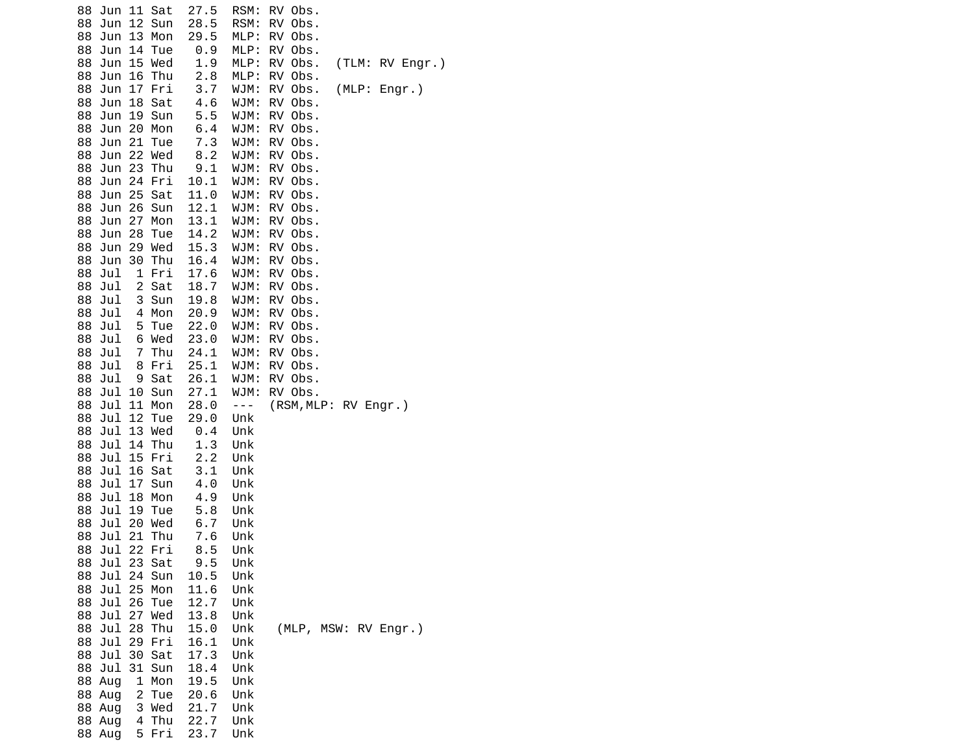| 11 Sat<br>88<br>Jun<br>12<br>88<br>Sun<br>Jun                    | 27.5<br>28.5 | RSM:<br>RSM: | RV Obs.<br>Obs.<br>RV                    |
|------------------------------------------------------------------|--------------|--------------|------------------------------------------|
| 13<br>88<br>Jun<br>Mon<br>88<br>Jun<br>14<br>Tue                 | 29.5<br>0.9  | MLP:<br>MLP: | RV<br>Obs.<br>RV<br>Obs.                 |
| 15<br>88<br>Jun<br>Wed                                           | 1.9          | MLP:         | (TLM: RV Engr.)<br>RV<br>Obs.            |
| 16<br>Thu<br>88<br>Jun                                           | 2.8          | MLP:         | RV<br>Obs.                               |
| 17<br>Fri<br>88<br>Jun<br>88<br>Jun<br>18<br>Sat                 | 3.7<br>4.6   | WJM:<br>WJM: | (MLP: Engr.)<br>RV<br>Obs.<br>RV<br>Obs. |
| 88<br>Jun<br>19<br>Sun                                           | 5.5          | WJM:         | RV<br>Obs.                               |
| 20<br>88<br>Jun<br>Mon                                           | 6.4          | WJM:         | RV<br>Obs.                               |
| 21<br>88<br>Jun<br>Tue<br>22                                     | 7.3          | WJM:         | RV<br>Obs.                               |
| 88<br>Jun<br>Wed<br>88<br>Jun<br>23<br>Thu                       | 8.2<br>9.1   | WJM:<br>WJM: | RV<br>Obs.<br>RV<br>Obs.                 |
| 88<br>Jun<br>24<br>Fri                                           | 10.1         | WJM:         | RV Obs.                                  |
| 25<br>Sat<br>88<br>Jun                                           | 11.0         | WJM:         | RV<br>Obs.                               |
| 26<br>88<br>Jun<br>Sun                                           | 12.1         | WJM:         | RV<br>Obs.                               |
| 27<br>88<br>Jun<br>Mon<br>88<br>Jun<br>28<br>Tue                 | 13.1<br>14.2 | WJM:<br>WJM: | RV<br>Obs.<br>RV<br>Obs.                 |
| 29<br>88<br>Jun<br>Wed                                           | 15.3         | WJM:         | RV Obs.                                  |
| 30<br>Thu<br>88<br>Jun                                           | 16.4         | WJM:         | RV<br>Obs.                               |
| $\mathbf 1$<br>88<br>Jul<br>Fri                                  | 17.6         | WJM:         | RV<br>Obs.                               |
| Jul<br>2<br>Sat<br>88<br>88<br>Jul<br>3<br>Sun                   | 18.7<br>19.8 | WJM:<br>WJM: | RV<br>Obs.<br>RV<br>Obs.                 |
| Jul<br>4<br>Mon<br>88                                            | 20.9         | WJM:         | RV<br>Obs.                               |
| 5<br>88<br>Jul<br>Tue                                            | 22.0         | WJM:         | RV<br>Obs.                               |
| Wed<br>88<br>Jul<br>6                                            | 23.0         | WJM:         | <b>RV</b><br>Obs.                        |
| 7<br>88<br>Jul<br>Thu<br>Jul<br>Fri<br>88<br>8                   | 24.1<br>25.1 | WJM:<br>WJM: | RV<br>Obs.<br>RV Obs.                    |
| Sat<br>88<br>Jul<br>9                                            | 26.1         | WJM:         | RV Obs.                                  |
| Jul<br>10<br>Sun<br>88                                           | 27.1         | WJM:         | RV Obs.                                  |
| 11<br>88<br>Jul<br>Mon                                           | 28.0         | $- - -$      | (RSM, MLP: RV Engr.)                     |
| 12<br>88<br>Jul<br>Tue<br>13<br>Wed<br>88<br>Jul                 | 29.0<br>0.4  | Unk<br>Unk   |                                          |
| 14<br>88<br>Jul<br>Thu                                           | 1.3          | Unk          |                                          |
| 15<br>88<br>Jul<br>Fri                                           | 2.2          | Unk          |                                          |
| 88<br>Jul<br>16<br>Sat                                           | 3.1          | Unk          |                                          |
| Jul<br>17<br>88<br>Sun<br>Jul<br>18<br>88<br>Mon                 | 4.0<br>4.9   | Unk<br>Unk   |                                          |
| Jul<br>19<br>88<br>Tue                                           | 5.8          | Unk          |                                          |
| 20<br>88<br>Jul<br>Wed                                           | 6.7          | Unk          |                                          |
| 21<br>Thu<br>88<br>Jul<br>22                                     | 7.6          | Unk          |                                          |
| 88<br>Jul<br>Fri<br>Jul 23 Sat<br>88                             | 8.5<br>9.5   | Unk<br>Unk   |                                          |
| Jul 24<br>88<br>Sun                                              | 10.5         | Unk          |                                          |
| Jul 25<br>Mon<br>88                                              | 11.6         | Unk          |                                          |
| Jul 26<br>88<br>Tue<br>27<br>88<br>Jul<br>Wed                    | 12.7<br>13.8 | Unk<br>Unk   |                                          |
| 28<br>88<br>Jul<br>Thu                                           | 15.0         | Unk          | (MLP, MSW: RV Engr.)                     |
| Jul 29<br>Fri<br>88                                              | 16.1         | Unk          |                                          |
| Jul<br>Sat<br>88<br>30                                           | 17.3         | Unk          |                                          |
| 88 Jul<br>31<br>Sun                                              | 18.4         | Unk          |                                          |
| 88 Aug<br>$\mathbf{1}$<br>Mon<br>$\overline{c}$<br>88 Aug<br>Tue | 19.5<br>20.6 | Unk<br>Unk   |                                          |
| 3<br>Wed<br>88 Aug                                               | 21.7         | Unk          |                                          |
| Thu<br>88 Aug<br>4                                               | 22.7         | Unk          |                                          |
| 5<br>Fri<br>88 Aug                                               | 23.7         | Unk          |                                          |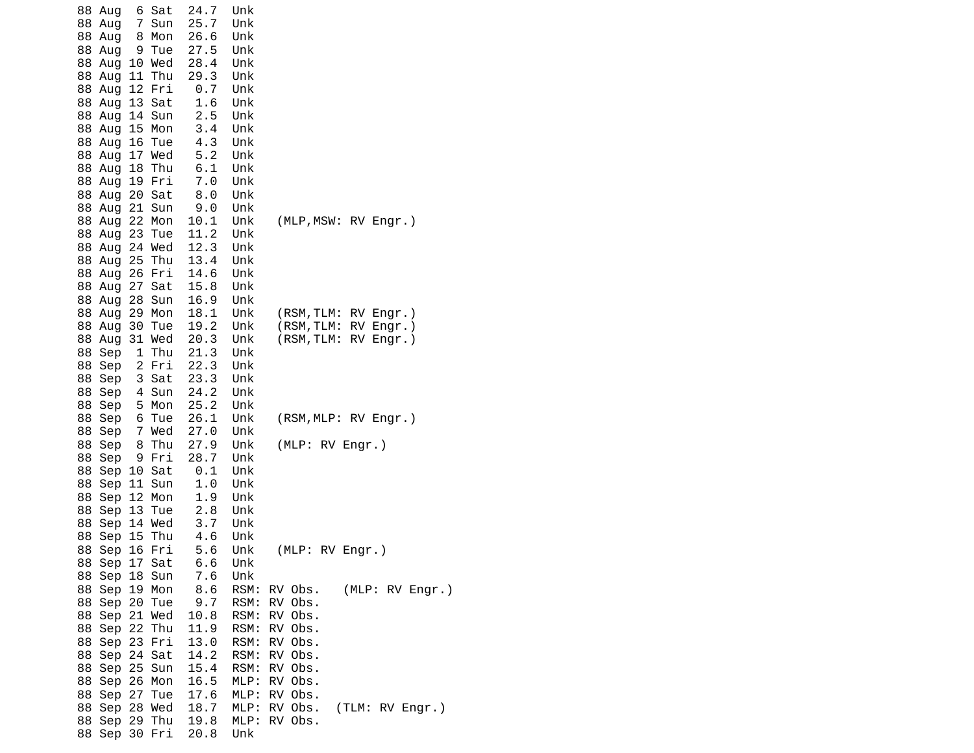| 6 Sat<br>88 Aug                 | 24.7<br>Unk  |                            |
|---------------------------------|--------------|----------------------------|
| Sun<br>88 Aug<br>$\overline{7}$ | 25.7<br>Unk  |                            |
| 8 Mon<br>88 Aug                 | 26.6<br>Unk  |                            |
| 9 Tue<br>88 Aug                 | 27.5<br>Unk  |                            |
| 88 Aug<br>10 Wed                | 28.4<br>Unk  |                            |
| 11<br>Thu<br>88 Aug             | 29.3<br>Unk  |                            |
| 12 Fri<br>88 Aug                | 0.7<br>Unk   |                            |
| 88 Aug<br>13 Sat                | 1.6<br>Unk   |                            |
| 14 Sun<br>88 Aug                | 2.5<br>Unk   |                            |
| 88 Aug 15 Mon                   | 3.4<br>Unk   |                            |
| 88 Aug<br>16 Tue                | 4.3<br>Unk   |                            |
| 17 Wed<br>88 Aug                | 5.2<br>Unk   |                            |
| 18 Thu<br>88 Aug                | 6.1<br>Unk   |                            |
| 88 Aug 19 Fri                   | 7.0<br>Unk   |                            |
| 20 Sat<br>88 Aug                | 8.0<br>Unk   |                            |
| 21 Sun<br>88 Aug                | 9.0<br>Unk   |                            |
| Mon<br>88 Aug<br>22             | 10.1<br>Unk  | (MLP, MSW: RV Engr.)       |
| 88 Aug<br>23 Tue                | 11.2<br>Unk  |                            |
| 88 Aug 24 Wed                   | 12.3<br>Unk  |                            |
| 25 Thu<br>88 Aug                | 13.4<br>Unk  |                            |
| 26 Fri<br>88 Aug                | 14.6<br>Unk  |                            |
| 27 Sat<br>88 Aug                | 15.8<br>Unk  |                            |
| 28 Sun<br>88 Aug                | 16.9<br>Unk  |                            |
| 29 Mon<br>88 Aug                | 18.1<br>Unk  | (RSM, TLM:<br>RV Engr.)    |
| 30 Tue<br>88 Aug                | 19.2<br>Unk  | RV Engr.)<br>(RSM, TLM:    |
| 31 Wed<br>88 Aug                | 20.3<br>Unk  | (RSM, TLM:<br>RV Engr.)    |
| 88 Sep<br>1 Thu                 | 21.3<br>Unk  |                            |
| 2 Fri<br>88 Sep                 | 22.3<br>Unk  |                            |
| 88 Sep<br>3 Sat                 | 23.3<br>Unk  |                            |
| 4 Sun<br>88 Sep                 | 24.2<br>Unk  |                            |
| 5 Mon<br>88 Sep                 | 25.2<br>Unk  |                            |
| 88 Sep<br>6 Tue                 | 26.1<br>Unk  | (RSM, MLP: RV Engr.)       |
| 7 Wed<br>88 Sep                 | 27.0<br>Unk  |                            |
| Sep<br>8 Thu<br>88              | 27.9<br>Unk  | (MLP: RV Engr.)            |
| 88<br>9 Fri<br>Sep              | 28.7<br>Unk  |                            |
| 10 Sat<br>88<br>Sep             | 0.1<br>Unk   |                            |
| Sep 11 Sun<br>88                | 1.0<br>Unk   |                            |
| Sep 12 Mon<br>88                | 1.9<br>Unk   |                            |
| Sep 13 Tue<br>88                | 2.8<br>Unk   |                            |
| 14 Wed<br>88<br>Sep             | 3.7<br>Unk   |                            |
| 88 Sep<br>15 Thu                | 4.6<br>Unk   |                            |
| 88 Sep 16 Fri                   | 5.6<br>Unk   | (MLP: RV Engr.)            |
| 88 Sep 17 Sat                   | 6.6<br>Unk   |                            |
| 88 Sep 18 Sun                   | 7.6<br>Unk   |                            |
| 88 Sep 19 Mon                   | 8.6<br>RSM:  | (MLP: RV Engr.)<br>RV Obs. |
| 88 Sep 20 Tue                   | 9.7<br>RSM:  | RV Obs.                    |
| 88 Sep 21 Wed                   | 10.8<br>RSM: | RV Obs.                    |
| 88 Sep 22 Thu                   | 11.9<br>RSM: | RV Obs.                    |
| 88 Sep 23 Fri                   | 13.0<br>RSM: | RV Obs.                    |
| 88 Sep 24 Sat                   | 14.2<br>RSM: | RV Obs.                    |
| 88 Sep 25 Sun                   | 15.4<br>RSM: | RV Obs.                    |
| 88 Sep 26 Mon                   | 16.5<br>MLP: | RV Obs.                    |
| 88 Sep 27 Tue                   | 17.6<br>MLP: | RV Obs.                    |
| 88 Sep 28 Wed                   | 18.7<br>MLP: | RV Obs.<br>(TLM: RV Engr.) |
| 88 Sep 29 Thu                   | 19.8<br>MLP: | RV Obs.                    |
| 88 Sep 30 Fri                   | 20.8<br>Unk  |                            |
|                                 |              |                            |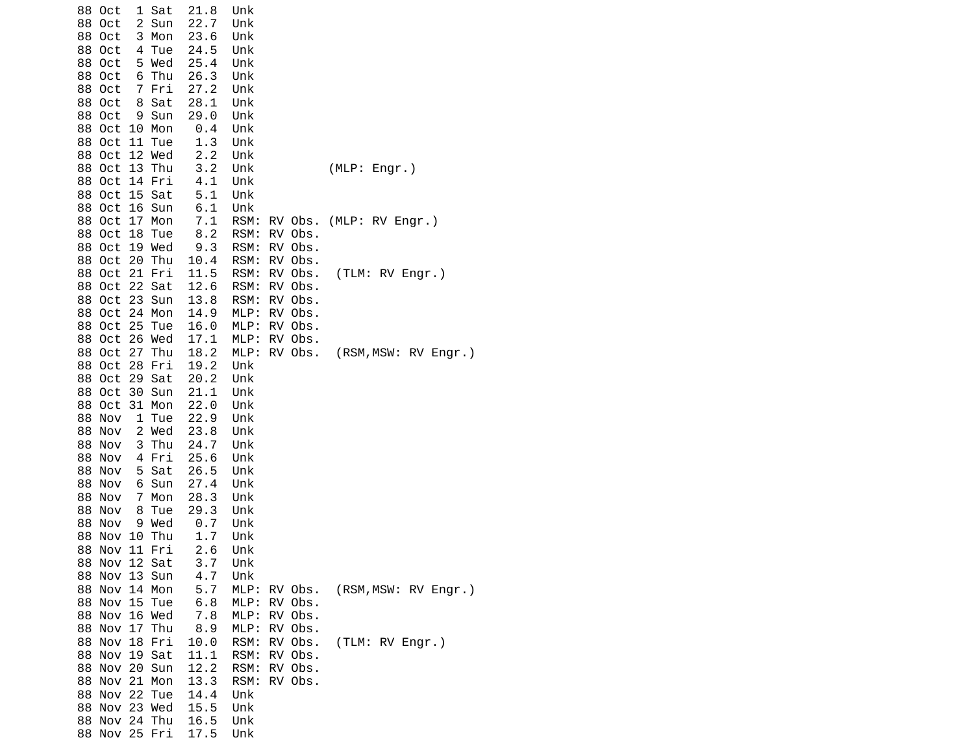| 88 Oct<br>1 Sat                            | 21.8         | Unk          |                    |                      |
|--------------------------------------------|--------------|--------------|--------------------|----------------------|
| 88<br>Oct<br>$\mathbf{2}$<br>Sun           | 22.7         | Unk          |                    |                      |
| 3 Mon<br>88 Oct                            | 23.6         | Unk          |                    |                      |
| 88 Oct<br>4 Tue                            | 24.5         | Unk          |                    |                      |
| 5 Wed<br>88 Oct<br>Oct                     | 25.4<br>26.3 | Unk          |                    |                      |
| 88<br>6 Thu<br>88<br>Oct<br>7 Fri          | 27.2         | Unk<br>Unk   |                    |                      |
| 88 Oct<br>8 Sat                            | 28.1         | Unk          |                    |                      |
| 88 Oct<br>9 Sun                            | 29.0         | Unk          |                    |                      |
| 88 Oct<br>10 Mon                           | 0.4          | Unk          |                    |                      |
| Oct<br>11 Tue<br>88                        | 1.3          | Unk          |                    |                      |
| 88 Oct<br>12 Wed                           | 2.2          | Unk          |                    |                      |
| 13 Thu<br>88 Oct                           | 3.2          | Unk          |                    | (MLP: Engr.)         |
| 14 Fri<br>88 Oct                           | 4.1          | Unk          |                    |                      |
| 15 Sat<br>88<br>Oct                        | 5.1          | Unk          |                    |                      |
| 88<br>Oct<br>16 Sun                        | 6.1          | Unk          |                    |                      |
| 17 Mon<br>88<br>Oct                        | 7.1          | RSM:         | RV Obs.            | (MLP: RV Engr.)      |
| 88 Oct<br>18<br>Tue                        | 8.2          | RSM:         | RV Obs.            |                      |
| 19 Wed<br>88 Oct                           | 9.3          | RSM:         | RV Obs.            |                      |
| 20<br>88<br>Oct<br>Thu                     | 10.4         | RSM:         | RV Obs.            |                      |
| 21 Fri<br>88 Oct                           | 11.5         | RSM:         | RV Obs.            | (TLM: RV Engr.)      |
| 22 Sat<br>88<br>Oct                        | 12.6         | RSM:         | RV Obs.            |                      |
| 23 Sun<br>88 Oct                           | 13.8         | RSM:         | RV Obs.            |                      |
| 24 Mon<br>88<br>Oct                        | 14.9         | MLP:         | RV Obs.            |                      |
| 25<br>88<br>Oct<br>Tue<br>88 Oct<br>26 Wed | 16.0         | MLP:         | RV Obs.<br>RV Obs. |                      |
| 27<br>88 Oct<br>Thu                        | 17.1<br>18.2 | MLP:<br>MLP: | RV Obs.            | (RSM, MSW: RV Engr.) |
| 28<br>88 Oct<br>Fri                        | 19.2         | Unk          |                    |                      |
| 88<br>Oct<br>29 Sat                        | 20.2         | Unk          |                    |                      |
| Oct<br>88<br>30 Sun                        | 21.1         | Unk          |                    |                      |
| 88 Oct<br>31 Mon                           | 22.0         | Unk          |                    |                      |
| 88 Nov<br>1 Tue                            | 22.9         | Unk          |                    |                      |
| 2 Wed<br>88 Nov                            | 23.8         | Unk          |                    |                      |
| 88<br>Nov<br>3<br>Thu                      | 24.7         | Unk          |                    |                      |
| 88<br>Nov<br>4 Fri                         | 25.6         | Unk          |                    |                      |
| 5 Sat<br>88<br>Nov                         | 26.5         | Unk          |                    |                      |
| 88 Nov<br>6 Sun                            | 27.4         | Unk          |                    |                      |
| 88<br>Nov<br>7 Mon                         | 28.3         | Unk          |                    |                      |
| 88<br>Nov<br>8<br>Tue                      | 29.3         | Unk          |                    |                      |
| 88<br>Nov<br>9 Wed                         | 0.7          | Unk          |                    |                      |
| 88<br>Nov<br>10 Thu                        | 1.7          | Unk          |                    |                      |
| 11 Fri<br>88 Nov<br>88 Nov 12 Sat          | 2.6<br>3.7   | Unk<br>Unk   |                    |                      |
| 88 Nov 13 Sun                              | 4.7          | Unk          |                    |                      |
| 88 Nov 14 Mon                              | 5.7          | MLP: RV Obs. |                    | (RSM, MSW: RV Engr.) |
| 88 Nov 15 Tue                              | 6.8          | MLP:         | RV Obs.            |                      |
| 88 Nov 16 Wed                              | 7.8          | MLP:         | RV Obs.            |                      |
| 88 Nov 17 Thu                              | 8.9          | MLP:         | RV Obs.            |                      |
| 88 Nov 18 Fri                              | 10.0         | RSM:         | RV Obs.            | (TLM: RV Engr.)      |
| 88 Nov 19 Sat                              | 11.1         | RSM:         | RV Obs.            |                      |
| 88 Nov 20 Sun                              | 12.2         | RSM:         | RV Obs.            |                      |
| 88 Nov 21 Mon                              | 13.3         | RSM:         | RV Obs.            |                      |
| 88 Nov 22 Tue                              | 14.4         | Unk          |                    |                      |
| 88 Nov 23 Wed                              | 15.5         | Unk          |                    |                      |
| 88 Nov 24 Thu                              | 16.5         | Unk          |                    |                      |
| 88 Nov 25 Fri                              | 17.5         | Unk          |                    |                      |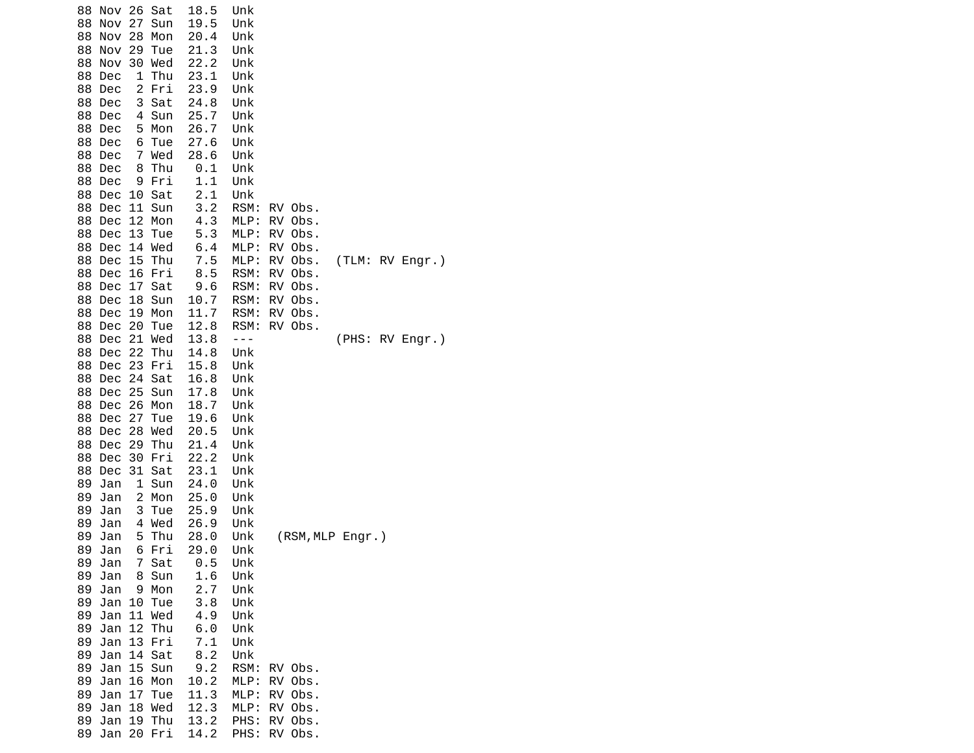| 26 Sat<br>88<br>Nov<br>27<br>88<br>Nov<br>Sun<br>28<br>Mon<br>88<br>Nov<br>29<br>88<br>Nov<br>Tue<br>30<br>88<br>Nov<br>Wed<br>88<br>Dec<br>1<br>Thu<br>$\overline{c}$<br>88<br>Dec<br>Fri<br>3<br>Sat<br>88<br>Dec<br>Sun<br>88<br>Dec<br>4<br>88<br>Dec<br>5<br>Mon<br>88<br>Dec<br>6<br>Tue<br>88<br>7<br>Wed<br>Dec<br>88<br>8<br>Thu<br>Dec | 18.5<br>19.5<br>20.4<br>21.3<br>22.2<br>23.1<br>23.9<br>24.8<br>25.7<br>26.7<br>27.6<br>28.6<br>0.1 | Unk<br>Unk<br>Unk<br>Unk<br>Unk<br>Unk<br>Unk<br>Unk<br>Unk<br>Unk<br>Unk<br>Unk<br>Unk |                            |
|--------------------------------------------------------------------------------------------------------------------------------------------------------------------------------------------------------------------------------------------------------------------------------------------------------------------------------------------------|-----------------------------------------------------------------------------------------------------|-----------------------------------------------------------------------------------------|----------------------------|
| 88<br>Dec<br>9<br>Fri<br>88<br>Dec 10<br>Sat                                                                                                                                                                                                                                                                                                     | 1.1<br>2.1                                                                                          | Unk<br>Unk                                                                              |                            |
| 88<br>Dec<br>11 Sun<br>88 Dec<br>12 <sub>2</sub><br>Mon                                                                                                                                                                                                                                                                                          | 3.2<br>4.3                                                                                          | RSM:<br>MLP:                                                                            | RV Obs.<br>RV Obs.         |
| 88<br>13<br>Dec<br>Tue<br>88<br>Dec<br>14<br>Wed                                                                                                                                                                                                                                                                                                 | 5.3<br>$6.4\,$                                                                                      | MLP:<br>MLP:                                                                            | RV Obs.<br>RV Obs.         |
| 88<br>Dec<br>15<br>Thu                                                                                                                                                                                                                                                                                                                           | $7.5$                                                                                               | MLP:                                                                                    | RV Obs.<br>(TLM: RV Engr.) |
| 16 Fri<br>88<br>Dec<br>88 Dec<br>17 <sub>2</sub><br>Sat                                                                                                                                                                                                                                                                                          | 8.5<br>9.6                                                                                          | RSM:<br>RSM:                                                                            | RV Obs.<br>RV Obs.         |
| 18<br>88<br>Dec<br>Sun                                                                                                                                                                                                                                                                                                                           | 10.7                                                                                                | RSM:                                                                                    | RV Obs.                    |
| 19<br>Mon<br>88<br>Dec<br>88 Dec<br>20<br>Tue                                                                                                                                                                                                                                                                                                    | 11.7<br>12.8                                                                                        | RSM:<br>RSM:                                                                            | RV Obs.<br>RV Obs.         |
| 21 Wed<br>88 Dec<br>Thu                                                                                                                                                                                                                                                                                                                          | 13.8                                                                                                | $- - -$                                                                                 | (PHS: RV Engr.)            |
| 22<br>88 Dec<br>Dec 23<br>Fri<br>88                                                                                                                                                                                                                                                                                                              | 14.8<br>15.8                                                                                        | Unk<br>Unk                                                                              |                            |
| 88<br>Dec<br>24<br>Sat                                                                                                                                                                                                                                                                                                                           | 16.8                                                                                                | Unk                                                                                     |                            |
| 25 Sun<br>88<br>Dec                                                                                                                                                                                                                                                                                                                              | 17.8                                                                                                | Unk                                                                                     |                            |
| 26<br>88<br>Dec<br>Mon<br>27<br>88<br>Dec<br>Tue                                                                                                                                                                                                                                                                                                 | 18.7<br>19.6                                                                                        | Unk<br>Unk                                                                              |                            |
| 28<br>Wed<br>88<br>Dec                                                                                                                                                                                                                                                                                                                           | 20.5                                                                                                | Unk                                                                                     |                            |
| Thu<br>88<br>Dec<br>29                                                                                                                                                                                                                                                                                                                           | 21.4                                                                                                | Unk                                                                                     |                            |
| 30 Fri<br>88<br>Dec                                                                                                                                                                                                                                                                                                                              | 22.2                                                                                                | Unk                                                                                     |                            |
| 31<br>Sat<br>88<br>Dec<br>$\mathbf{1}$<br>89<br>Jan<br>Sun                                                                                                                                                                                                                                                                                       | 23.1<br>24.0                                                                                        | Unk<br>Unk                                                                              |                            |
| 89<br>Jan<br>2<br>Mon                                                                                                                                                                                                                                                                                                                            | 25.0                                                                                                | Unk                                                                                     |                            |
| 3<br>89<br>Jan<br>Tue                                                                                                                                                                                                                                                                                                                            | 25.9                                                                                                | Unk                                                                                     |                            |
| 89<br>Jan<br>4<br>Wed<br>5<br>Thu<br>89<br>Jan                                                                                                                                                                                                                                                                                                   | 26.9<br>28.0                                                                                        | Unk<br>Unk                                                                              | (RSM, MLP Engr.)           |
| 89 Jan<br>6 Fri                                                                                                                                                                                                                                                                                                                                  | 29.0                                                                                                | Unk                                                                                     |                            |
| 7 Sat<br>89 Jan                                                                                                                                                                                                                                                                                                                                  | $\theta$ .5                                                                                         | Unk                                                                                     |                            |
| 8 Sun<br>89<br>Jan                                                                                                                                                                                                                                                                                                                               | 1.6                                                                                                 | Unk                                                                                     |                            |
| 9 Mon<br>89<br>Jan<br>89<br>Jan 10<br>Tue                                                                                                                                                                                                                                                                                                        | 2.7<br>3.8                                                                                          | Unk<br>Unk                                                                              |                            |
| 89<br>11 Wed<br>Jan                                                                                                                                                                                                                                                                                                                              | 4.9                                                                                                 | Unk                                                                                     |                            |
| 89<br>Jan<br>12 Thu                                                                                                                                                                                                                                                                                                                              | 6.0                                                                                                 | Unk                                                                                     |                            |
| 89<br>Jan 13 Fri<br>89<br>Jan 14 Sat                                                                                                                                                                                                                                                                                                             | 7.1<br>8.2                                                                                          | Unk                                                                                     |                            |
| Jan 15 Sun<br>89                                                                                                                                                                                                                                                                                                                                 | 9.2                                                                                                 | Unk<br>RSM:                                                                             | RV Obs.                    |
| Jan<br>16 Mon<br>89                                                                                                                                                                                                                                                                                                                              | 10.2                                                                                                | MLP:                                                                                    | RV Obs.                    |
| 89<br>Jan<br>17 Tue                                                                                                                                                                                                                                                                                                                              | 11.3                                                                                                | MLP:                                                                                    | RV Obs.                    |
| 89<br>Jan 18 Wed<br>19 Thu<br>89<br>Jan                                                                                                                                                                                                                                                                                                          | 12.3<br>13.2                                                                                        | MLP:<br>PHS:                                                                            | RV Obs.<br>RV Obs.         |
| 89<br>Jan 20 Fri                                                                                                                                                                                                                                                                                                                                 | 14.2                                                                                                | PHS:                                                                                    | RV Obs.                    |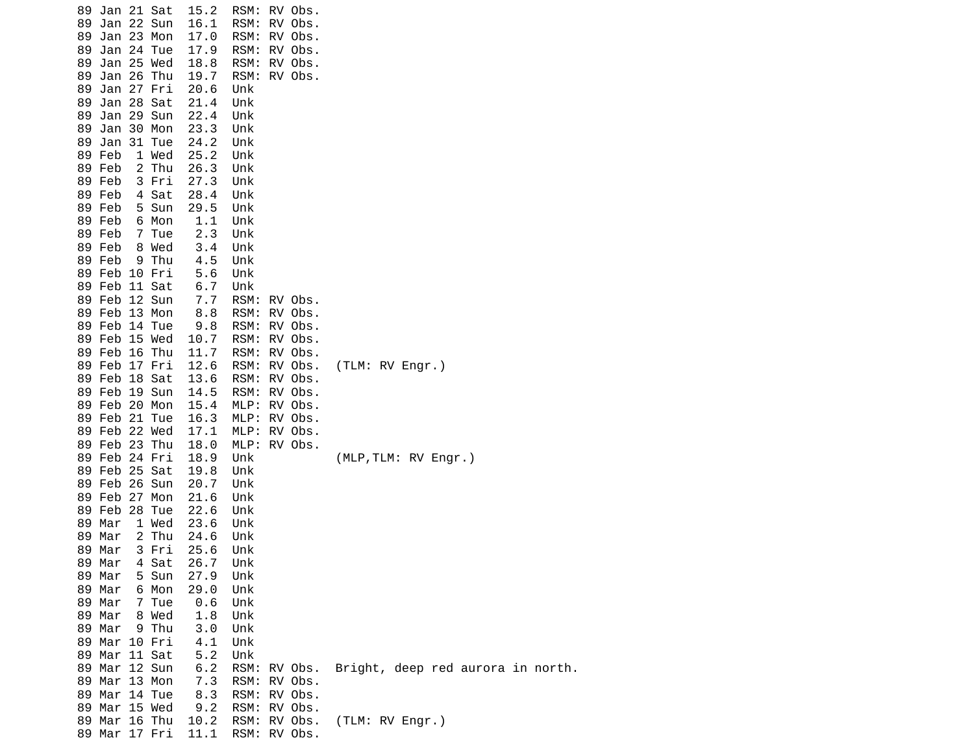| 89 | 89 Jan 21 Sat<br>Jan 22 Sun        | 15.2<br>16.1 | RSM: RV Obs.<br>RSM: | RV Obs.      |                                   |
|----|------------------------------------|--------------|----------------------|--------------|-----------------------------------|
|    | 89 Jan 23 Mon                      | 17.0         | RSM:                 | RV Obs.      |                                   |
| 89 | Jan 24 Tue                         | 17.9         | RSM:                 | RV Obs.      |                                   |
| 89 | Jan 25 Wed                         | 18.8         | RSM:                 | RV Obs.      |                                   |
| 89 | Jan 26 Thu                         | 19.7         | RSM:                 | RV Obs.      |                                   |
|    | 89 Jan 27 Fri                      | 20.6         | Unk                  |              |                                   |
|    | 89 Jan 28 Sat                      | 21.4         | Unk                  |              |                                   |
|    | 89 Jan 29 Sun                      | 22.4         | Unk                  |              |                                   |
| 89 | Jan 30 Mon                         | 23.3         | Unk                  |              |                                   |
| 89 | Jan 31 Tue                         | 24.2         | Unk                  |              |                                   |
|    | 89 Feb<br>1 Wed                    | 25.2         | Unk                  |              |                                   |
|    | 89 Feb<br>2 Thu                    | 26.3         | Unk                  |              |                                   |
|    | 89 Feb<br>3 Fri<br>89 Feb<br>4 Sat | 27.3         | Unk<br>Unk           |              |                                   |
|    | 5 Sun<br>89 Feb                    | 28.4<br>29.5 | Unk                  |              |                                   |
|    | 89 Feb<br>6 Mon                    | 1.1          | Unk                  |              |                                   |
|    | 89 Feb<br>7 Tue                    | 2.3          | Unk                  |              |                                   |
|    | 89 Feb<br>8 Wed                    | 3.4          | Unk                  |              |                                   |
|    | 89 Feb<br>9 Thu                    | 4.5          | Unk                  |              |                                   |
|    | 89 Feb 10 Fri                      | 5.6          | Unk                  |              |                                   |
|    | 89 Feb 11 Sat                      | 6.7          | Unk                  |              |                                   |
|    | 89 Feb 12 Sun                      | 7.7          | RSM:                 | RV Obs.      |                                   |
|    | 89 Feb 13 Mon                      | 8.8          |                      | RSM: RV Obs. |                                   |
|    | 89 Feb 14 Tue                      | 9.8          | RSM:                 | RV Obs.      |                                   |
|    | 89 Feb 15 Wed                      | 10.7         | RSM: RV Obs.         |              |                                   |
|    | 89 Feb 16 Thu                      | 11.7         | RSM:                 | RV Obs.      |                                   |
|    | 89 Feb 17 Fri                      | 12.6         | RSM:                 | RV Obs.      | (TLM: RV Engr.)                   |
|    | 89 Feb 18 Sat                      | 13.6         | RSM:                 | RV Obs.      |                                   |
|    | 89 Feb 19 Sun                      | 14.5         | RSM: RV Obs.         |              |                                   |
|    | 89 Feb 20 Mon<br>89 Feb 21 Tue     | 15.4         | MLP: RV Obs.<br>MLP: | RV Obs.      |                                   |
|    | 89 Feb 22 Wed                      | 16.3<br>17.1 | $MLP$ :              | RV Obs.      |                                   |
|    | 89 Feb 23 Thu                      | 18.0         | MLP: RV Obs.         |              |                                   |
|    | 89 Feb 24 Fri                      | 18.9         | Unk                  |              | (MLP, TLM: RV Engr.)              |
|    | 89 Feb 25 Sat                      | 19.8         | Unk                  |              |                                   |
|    | 89 Feb 26 Sun                      | 20.7         | Unk                  |              |                                   |
|    | 89 Feb 27 Mon                      | 21.6         | Unk                  |              |                                   |
|    | 89 Feb 28 Tue                      | 22.6         | Unk                  |              |                                   |
|    | 89 Mar<br>1 Wed                    | 23.6         | Unk                  |              |                                   |
|    | 89 Mar<br>2 Thu                    | 24.6         | Unk                  |              |                                   |
|    | 89 Mar<br>3 Fri                    | 25.6         | Unk                  |              |                                   |
|    | 4 Sat<br>89 Mar                    | 26.7         | Unk                  |              |                                   |
|    | 5 Sun<br>89 Mar                    | 27.9         | Unk                  |              |                                   |
|    | 6 Mon<br>89 Mar                    | 29.0         | Unk                  |              |                                   |
|    | 89 Mar<br>7 Tue                    | 0.6          | Unk                  |              |                                   |
|    | 89 Mar<br>8 Wed                    | 1.8          | Unk                  |              |                                   |
|    | 89 Mar<br>9 Thu<br>89 Mar 10 Fri   | 3.0          | Unk<br>Unk           |              |                                   |
|    | 11 Sat<br>89 Mar                   | 4.1<br>5.2   | Unk                  |              |                                   |
|    | 89 Mar 12 Sun                      | 6.2          | RSM:                 | RV Obs.      | Bright, deep red aurora in north. |
|    | 89 Mar 13 Mon                      | 7.3          | RSM:                 | RV Obs.      |                                   |
|    | 89 Mar 14 Tue                      | 8.3          |                      | RSM: RV Obs. |                                   |
|    | 89 Mar 15 Wed                      | $9.2$        | RSM:                 | RV Obs.      |                                   |
|    | 89 Mar 16 Thu                      | 10.2         | RSM:                 | RV Obs.      | (TLM: RV Engr.)                   |
|    | 89 Mar 17 Fri                      | 11.1         |                      | RSM: RV Obs. |                                   |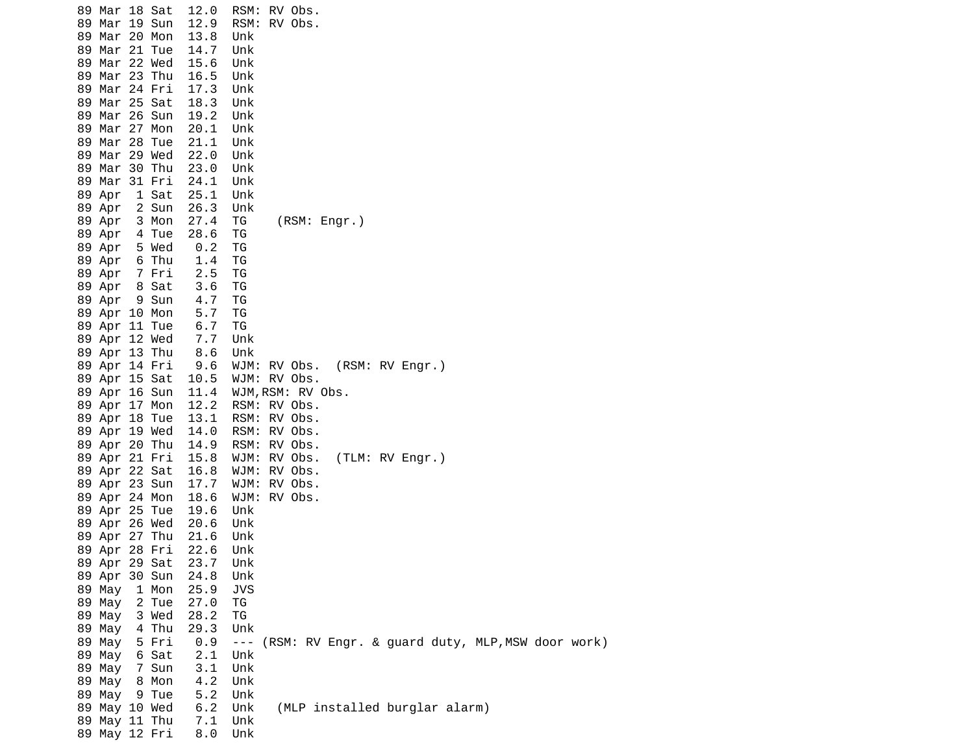| 89 Mar 18 Sat<br>89 Mar 19 Sun     | 12.0<br>12.9                                                   | RSM: RV Obs.<br>RSM: RV Obs.                                |
|------------------------------------|----------------------------------------------------------------|-------------------------------------------------------------|
| 89 Mar 20 Mon<br>89 Mar 21 Tue     | 13.8<br>14.7                                                   | Unk<br>Unk                                                  |
| 89 Mar 22 Wed                      | 15.6                                                           | Unk                                                         |
| 89 Mar 23 Thu                      | 16.5                                                           | Unk                                                         |
| 89 Mar 24 Fri                      | 17.3                                                           | Unk                                                         |
| 89 Mar 25 Sat                      | 18.3                                                           | Unk                                                         |
| 89 Mar 26 Sun                      | 19.2                                                           | Unk                                                         |
| 89 Mar 27 Mon                      | 20.1                                                           | Unk                                                         |
| 89 Mar 28 Tue<br>89 Mar 29 Wed     | 21.1<br>22.0                                                   | Unk                                                         |
| 89 Mar 30 Thu                      | 23.0                                                           | Unk<br>Unk                                                  |
| 89 Mar 31 Fri                      | 24.1                                                           | Unk                                                         |
| 89 Apr<br>1 Sat                    | 25.1                                                           | Unk                                                         |
| 2 Sun<br>89 Apr                    | 26.3                                                           | Unk                                                         |
| 3 Mon<br>89 Apr                    | 27.4                                                           | ΤG<br>(RSM: Engr.)                                          |
| 89 Apr<br>4 Tue                    | 28.6                                                           | ΤG                                                          |
| 5 Wed<br>89 Apr                    | 0.2                                                            | TG                                                          |
| 6 Thu<br>89 Apr                    | 1.4                                                            | ΤG                                                          |
| 89 Apr<br>7 Fri<br>8 Sat<br>89 Apr | 2.5<br>3.6                                                     | ΤG<br>ΤG                                                    |
| 9 Sun<br>89 Apr                    | 4.7                                                            | ΤG                                                          |
| 89 Apr 10 Mon                      | $5.7$                                                          | TG                                                          |
| 89 Apr 11 Tue                      | $\begin{array}{c} 5 \cdot \textit{7} \\ 6 \cdot 7 \end{array}$ | TG                                                          |
| 89 Apr 12 Wed                      | 7.7                                                            | Unk                                                         |
| 89 Apr 13 Thu                      | 8.6                                                            | Unk                                                         |
| 89 Apr 14 Fri                      | 9.6                                                            | WJM: RV Obs. (RSM: RV Engr.)                                |
| 89 Apr 15 Sat                      | 10.5                                                           | WJM: RV Obs.                                                |
| 89 Apr 16 Sun<br>89 Apr 17 Mon     | 12.2                                                           | 11.4 WJM,RSM: RV Obs.<br>RSM: RV Obs.                       |
| 89 Apr 18 Tue                      | 13.1                                                           | RSM: RV Obs.                                                |
| 89 Apr 19 Wed                      | 14.0                                                           | RSM: RV Obs.                                                |
| 89 Apr 20 Thu                      |                                                                | 14.9 RSM: RV Obs.                                           |
| 89 Apr 21 Fri                      | 15.8                                                           | (TLM: RV Engr.)<br>WJM: RV Obs.                             |
| 89 Apr 22 Sat                      | 16.8                                                           | WJM: RV Obs.                                                |
| 89 Apr 23 Sun                      | 17.7                                                           | WJM: RV Obs.                                                |
| 89 Apr 24 Mon                      | 18.6                                                           | WJM: RV Obs.                                                |
| 89 Apr 25 Tue<br>89 Apr 26 Wed     | 19.6<br>20.6                                                   | Unk<br>Unk                                                  |
| 89 Apr 27 Thu                      | 21.6                                                           | Unk                                                         |
| 89 Apr 28 Fri                      | 22.6                                                           | Unk                                                         |
| 89 Apr 29 Sat                      | 23.7                                                           | Unk                                                         |
| 89 Apr 30 Sun                      | 24.8                                                           | Unk                                                         |
| 89 May<br>1 Mon                    | 25.9                                                           | <b>JVS</b>                                                  |
| 89 May<br>2 Tue                    | 27.0                                                           | TG                                                          |
| 89 May<br>3 Wed                    | 28.2                                                           | TG                                                          |
| 89 May<br>4 Thu<br>89 May<br>5 Fri | 29.3<br>0.9                                                    | Unk<br>--- (RSM: RV Engr. & guard duty, MLP, MSW door work) |
| 89 May<br>6 Sat                    | 2.1                                                            | Unk                                                         |
| 89 May<br>7 Sun                    | 3.1                                                            | Unk                                                         |
| 89 May<br>8 Mon                    | 4.2                                                            | Unk                                                         |
| 89 May<br>9 Tue                    | 5.2                                                            | Unk                                                         |
| 89 May 10 Wed                      | 6.2                                                            | (MLP installed burglar alarm)<br>Unk                        |
| 89 May 11 Thu                      | 7.1                                                            | Unk                                                         |
| 89 May 12 Fri                      | 8.0                                                            | Unk                                                         |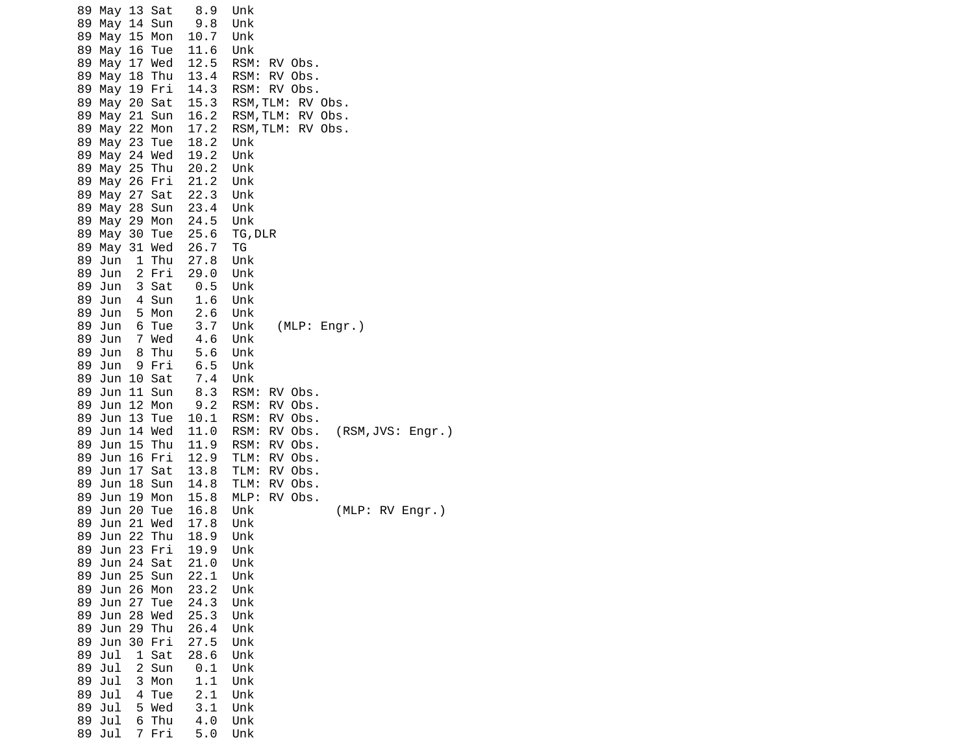| 89 May 13 Sat<br>89 May 14 Sun<br>89<br>May 15 Mon<br>89<br>May 16 Tue<br>89<br>May 17 Wed<br>89 May 18 Thu<br>89 May 19 Fri<br>89 May 20 Sat<br>May 21 Sun<br>89.<br>89 May 22 Mon<br>89 May 23 Tue<br>89 May 24 Wed<br>89 May 25 Thu<br>89 May 26 Fri<br>89 May 27 Sat | 8.9<br>Unk<br>9.8<br>Unk<br>10.7<br>Unk<br>11.6<br>Unk<br>12.5<br>RSM:<br>13.4<br>RSM:<br>14.3<br>15.3<br>16.2<br>RSM, TLM:<br>17.2<br>18.2<br>Unk<br>19.2<br>Unk<br>20.2<br>Unk<br>21.2<br>Unk<br>22.3<br>Unk | RV Obs.<br>RV Obs.<br>RSM: RV Obs.<br>RSM, TLM:<br>RV Obs.<br>RV Obs.<br>RSM, TLM:<br>RV Obs. |                   |
|--------------------------------------------------------------------------------------------------------------------------------------------------------------------------------------------------------------------------------------------------------------------------|----------------------------------------------------------------------------------------------------------------------------------------------------------------------------------------------------------------|-----------------------------------------------------------------------------------------------|-------------------|
| 89 May 28 Sun<br>May 29 Mon<br>89.                                                                                                                                                                                                                                       | 23.4<br>Unk<br>24.5<br>Unk                                                                                                                                                                                     |                                                                                               |                   |
| 89<br>May<br>30 Tue<br>89 May 31 Wed                                                                                                                                                                                                                                     | 25.6<br>TG, DLR<br>26.7<br>ΤG                                                                                                                                                                                  |                                                                                               |                   |
| 1 Thu<br>89 Jun<br>2 Fri<br>89 Jun                                                                                                                                                                                                                                       | 27.8<br>Unk<br>29.0<br>Unk                                                                                                                                                                                     |                                                                                               |                   |
| 89<br>Jun<br>3 Sat<br>89 Jun<br>4 Sun                                                                                                                                                                                                                                    | 0.5<br>Unk<br>1.6<br>Unk                                                                                                                                                                                       |                                                                                               |                   |
| 89 Jun<br>5 Mon<br>89 Jun<br>6 Tue                                                                                                                                                                                                                                       | 2.6<br>Unk<br>3.7<br>Unk                                                                                                                                                                                       | (MLP: Engr.)                                                                                  |                   |
| 7 Wed<br>89<br>Jun                                                                                                                                                                                                                                                       | 4.6<br>Unk                                                                                                                                                                                                     |                                                                                               |                   |
| 89<br>Jun<br>8<br>Thu<br>89<br>Jun<br>9 Fri                                                                                                                                                                                                                              | 5.6<br>Unk<br>6.5<br>Unk                                                                                                                                                                                       |                                                                                               |                   |
| 10 Sat<br>89 Jun<br>11 Sun<br>89 Jun                                                                                                                                                                                                                                     | 7.4<br>Unk<br>8.3<br>RSM:                                                                                                                                                                                      | RV Obs.                                                                                       |                   |
| 89<br>12 Mon<br>Jun                                                                                                                                                                                                                                                      | 9.2<br>RSM:                                                                                                                                                                                                    | RV Obs.                                                                                       |                   |
| Jun<br>13<br>Tue<br>89.<br>14 Wed<br>89<br>Jun                                                                                                                                                                                                                           | 10.1<br>RSM:<br>11.0<br>RSM:                                                                                                                                                                                   | RV Obs.<br>RV Obs.                                                                            | (RSM, JVS: Engr.) |
| 15 Thu<br>89 Jun<br>16 Fri<br>89<br>Jun                                                                                                                                                                                                                                  | 11.9<br>RSM:<br>12.9<br>TLM:                                                                                                                                                                                   | RV Obs.<br>RV Obs.                                                                            |                   |
| 89<br>Jun<br>17<br>Sat<br>Jun<br>18 Sun<br>89                                                                                                                                                                                                                            | 13.8<br>TLM:<br>14.8<br>TLM:                                                                                                                                                                                   | RV Obs.<br>RV Obs.                                                                            |                   |
| 19 Mon<br>89 Jun                                                                                                                                                                                                                                                         | 15.8<br>MLP:                                                                                                                                                                                                   | RV Obs.                                                                                       |                   |
| 20 Tue<br>89 Jun<br>Jun 21 Wed<br>89                                                                                                                                                                                                                                     | 16.8<br>Unk<br>17.8<br>Unk                                                                                                                                                                                     |                                                                                               | (MLP: RV Engr.)   |
| 22<br>89<br>Jun<br>Thu<br>23 Fri<br>89<br>Jun                                                                                                                                                                                                                            | 18.9<br>Unk<br>19.9<br>Unk                                                                                                                                                                                     |                                                                                               |                   |
| Jun 24 Sat<br>89<br>25<br>89<br>Jun<br>Sun                                                                                                                                                                                                                               | 21.0<br>Unk<br>22.1<br>Unk                                                                                                                                                                                     |                                                                                               |                   |
| 89<br>26<br>Jun<br>Mon                                                                                                                                                                                                                                                   | 23.2<br>Unk                                                                                                                                                                                                    |                                                                                               |                   |
| Jun<br>27<br>89<br>Tue<br>89<br>Jun<br>28 Wed                                                                                                                                                                                                                            | 24.3<br>Unk<br>25.3<br>Unk                                                                                                                                                                                     |                                                                                               |                   |
| 29 Thu<br>89<br>Jun<br>30 Fri<br>89<br>Jun                                                                                                                                                                                                                               | 26.4<br>Unk<br>27.5<br>Unk                                                                                                                                                                                     |                                                                                               |                   |
| 89<br>Jul<br>1<br>Sat                                                                                                                                                                                                                                                    | 28.6<br>Unk                                                                                                                                                                                                    |                                                                                               |                   |
| Jul<br>89<br>2<br>Sun<br>89<br>Jul<br>3<br>Mon                                                                                                                                                                                                                           | 0.1<br>Unk<br>1.1<br>Unk                                                                                                                                                                                       |                                                                                               |                   |
| 89<br>Jul<br>4<br>Tue<br>89<br>Jul<br>5 Wed                                                                                                                                                                                                                              | 2.1<br>Unk<br>3.1<br>Unk                                                                                                                                                                                       |                                                                                               |                   |
| Thu<br>89<br>Jul<br>6                                                                                                                                                                                                                                                    | 4.0<br>Unk                                                                                                                                                                                                     |                                                                                               |                   |
| 89 Jul<br>7 Fri                                                                                                                                                                                                                                                          | 5.0<br>Unk                                                                                                                                                                                                     |                                                                                               |                   |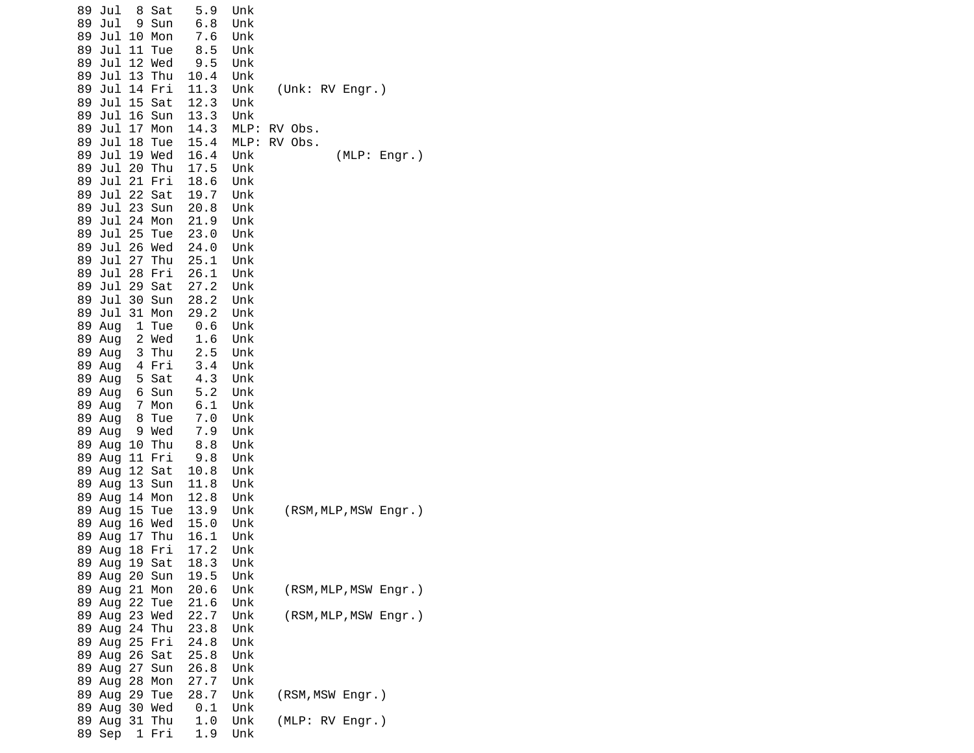| Jul<br>8<br>Sat<br>89              | 5.9   | Unk  |                       |
|------------------------------------|-------|------|-----------------------|
| 89<br>Jul<br>9<br>Sun              | 6.8   | Unk  |                       |
| 10<br>89<br>Jul<br>Mon             | 7.6   | Unk  |                       |
| 11<br>89<br>Jul<br>Tue             | 8.5   | Unk  |                       |
| Jul<br>12<br>89<br>Wed             | 9.5   | Unk  |                       |
| 13<br>89<br>Jul<br>Thu             | 10.4  | Unk  |                       |
| 14<br>Fri<br>89<br>Jul             | 11.3  | Unk  | (Unk: RV Engr.)       |
| 15<br>89<br>Jul<br>Sat             | 12.3  | Unk  |                       |
| 89<br>Jul<br>16<br>Sun             | 13.3  | Unk  |                       |
| 17<br>89<br>Jul<br>Mon             | 14.3  | MLP: | RV Obs.               |
| Jul<br>18<br>89<br>Tue             | 15.4  | MLP: | RV Obs.               |
| 19 Wed<br>89<br>Jul                | 16.4  | Unk  | (MLP: Engr.)          |
| 20<br>89<br>Jul<br>Thu             | 17.5  | Unk  |                       |
| Jul<br>21<br>Fri<br>89             | 18.6  | Unk  |                       |
| 22<br>Sat<br>89<br>Jul             | 19.7  | Unk  |                       |
| 23<br>89<br>Jul<br>Sun             | 20.8  | Unk  |                       |
| 89<br>Jul<br>24<br>Mon             | 21.9  | Unk  |                       |
| 25<br>Jul<br>89<br>Tue             | 23.0  | Unk  |                       |
| 26                                 | 24.0  |      |                       |
| 89<br>Jul<br>Wed<br>27             |       | Unk  |                       |
| 89<br>Jul<br>Thu                   | 25.1  | Unk  |                       |
| 89<br>Jul<br>28<br>Fri             | 26.1  | Unk  |                       |
| Jul<br>29<br>89<br>Sat             | 27.2  | Unk  |                       |
| 30 Sun<br>89<br>Jul                | 28.2  | Unk  |                       |
| 31<br>89<br>Jul<br>Mon             | 29.2  | Unk  |                       |
| 89<br>1<br>Tue<br>Aug              | 0.6   | Unk  |                       |
| 89<br>$\overline{c}$<br>Wed<br>Aug | 1.6   | Unk  |                       |
| 3<br>89<br>Thu<br>Aug              | 2.5   | Unk  |                       |
| Fri<br>89 Aug<br>4                 | 3.4   | Unk  |                       |
| 89 Aug<br>5<br>Sat                 | 4.3   | Unk  |                       |
| 89 Aug<br>6<br>Sun                 | 5.2   | Unk  |                       |
| 89 Aug<br>7<br>Mon                 | 6.1   | Unk  |                       |
| 89 Aug<br>8<br>Tue                 | $7.0$ | Unk  |                       |
| 9 Wed<br>89 Aug                    | 7.9   | Unk  |                       |
| 89 Aug 10<br>Thu                   | 8.8   | Unk  |                       |
| 89<br>11 Fri<br>Aug                | 9.8   | Unk  |                       |
| 89<br>12 Sat<br>Aug                | 10.8  | Unk  |                       |
| 13 Sun<br>89 Aug                   | 11.8  | Unk  |                       |
| 14<br>89 Aug<br>Mon                | 12.8  | Unk  |                       |
| 15<br>89<br>Tue<br>Aug             | 13.9  | Unk  | (RSM, MLP, MSW Engr.) |
| 89<br>16 Wed<br>Aug                | 15.0  | Unk  |                       |
| 17 Thu<br>89<br>Aug                | 16.1  | Unk  |                       |
| 18 Fri<br>89 Aug                   | 17.2  | Unk  |                       |
| 89 Aug 19 Sat                      | 18.3  | Unk  |                       |
| 89 Aug 20 Sun                      | 19.5  | Unk  |                       |
| 89 Aug 21 Mon                      | 20.6  | Unk  | (RSM, MLP, MSW Engr.) |
| 89 Aug 22 Tue                      | 21.6  | Unk  |                       |
| 89 Aug 23 Wed                      | 22.7  | Unk  | (RSM, MLP, MSW Engr.) |
| 89 Aug 24<br>Thu                   | 23.8  | Unk  |                       |
| 89 Aug 25 Fri                      | 24.8  | Unk  |                       |
| 89 Aug 26 Sat                      | 25.8  | Unk  |                       |
| 27 Sun<br>89 Aug                   | 26.8  | Unk  |                       |
| 89 Aug 28<br>Mon                   | 27.7  | Unk  |                       |
| 89 Aug 29 Tue                      | 28.7  | Unk  | (RSM, MSW Engr.)      |
| 89 Aug 30 Wed                      | 0.1   | Unk  |                       |
| 89 Aug<br>31 Thu                   | 1.0   | Unk  | (MLP: RV Engr.)       |
| 1 Fri<br>89 Sep                    | 1.9   | Unk  |                       |
|                                    |       |      |                       |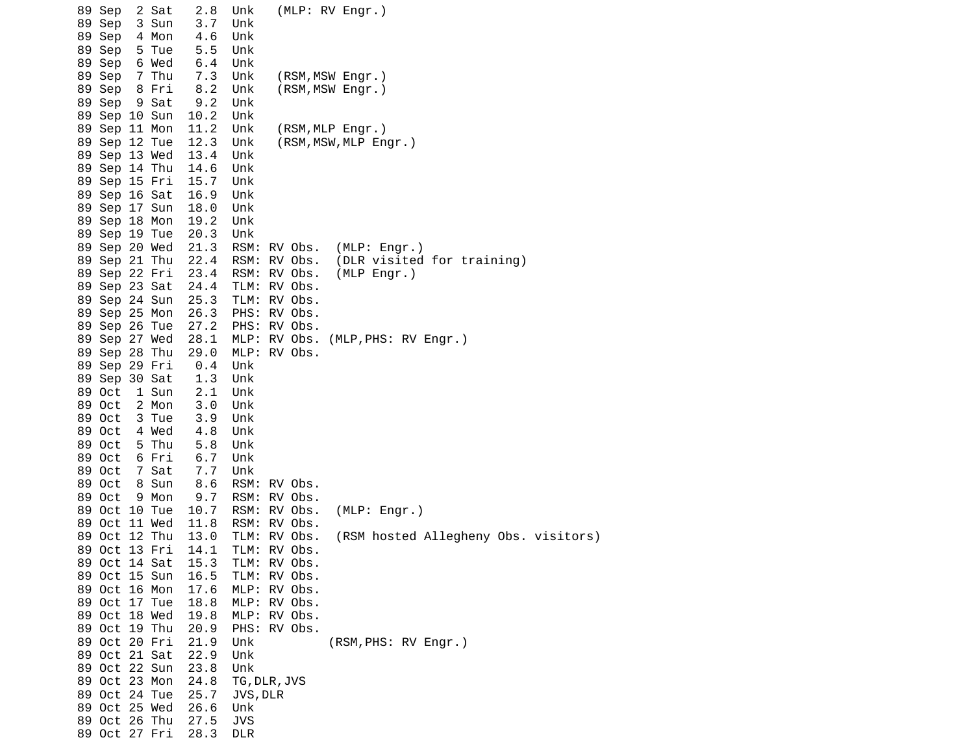| 89 Sep<br>2 Sat<br>89 Sep<br>3 Sun<br>4 Mon<br>89 Sep<br>5 Tue<br>89 Sep | 2.8<br>3.7<br>4.6<br>5.5 | (MLP: RV Engr.)<br>Unk<br>Unk<br>Unk<br>Unk             |
|--------------------------------------------------------------------------|--------------------------|---------------------------------------------------------|
| 89 Sep<br>6 Wed<br>7 Thu<br>89 Sep                                       | 6.4<br>7.3               | Unk<br>Unk<br>(RSM, MSW Engr.)                          |
| 89 Sep<br>8 Fri                                                          | 8.2                      | Unk<br>(RSM, MSW Engr.)                                 |
| 89 Sep<br>9 Sat                                                          | 9.2                      | Unk                                                     |
| 89 Sep 10 Sun<br>89 Sep 11 Mon                                           | 10.2<br>11.2             | Unk<br>Unk<br>(RSM, MLP Engr.)                          |
| 89 Sep 12 Tue                                                            | 12.3                     | Unk<br>(RSM, MSW, MLP Engr.)                            |
| 89 Sep 13 Wed                                                            | 13.4                     | Unk                                                     |
| 89 Sep 14 Thu                                                            | 14.6<br>15.7             | Unk<br>Unk                                              |
| 89 Sep 15 Fri<br>89 Sep 16 Sat                                           | 16.9                     | Unk                                                     |
| 89 Sep 17 Sun                                                            | 18.0                     | Unk                                                     |
| 89 Sep 18 Mon                                                            | 19.2                     | Unk                                                     |
| 89 Sep 19 Tue                                                            | 20.3<br>21.3             | Unk<br>RSM: RV Obs.<br>(MLP: Engr.)                     |
| 89 Sep 20 Wed<br>89 Sep 21 Thu                                           | 22.4                     | (DLR visited for training)<br>RSM: RV Obs.              |
| 89 Sep 22 Fri                                                            | 23.4                     | RSM: RV Obs.<br>(MLP Engr.)                             |
| 89 Sep 23 Sat                                                            | 24.4                     | TLM: RV Obs.                                            |
| 89 Sep 24 Sun<br>89 Sep 25 Mon                                           | 25.3<br>26.3             | TLM: RV Obs.<br>PHS:<br>RV Obs.                         |
| 89 Sep 26 Tue                                                            | 27.2                     | PHS: RV Obs.                                            |
| 89 Sep 27 Wed                                                            | 28.1                     | MLP: RV Obs.<br>(MLP, PHS: RV Engr.)                    |
| 89 Sep 28 Thu                                                            | 29.0                     | MLP: RV Obs.                                            |
| 89 Sep 29 Fri<br>89 Sep 30 Sat                                           | 0.4<br>1.3               | Unk<br>Unk                                              |
| 89 Oct<br>1 Sun                                                          | 2.1                      | Unk                                                     |
| 89 Oct<br>2 Mon                                                          | 3.0                      | Unk                                                     |
| 89 Oct<br>3 Tue                                                          | 3.9                      | Unk                                                     |
| 89 Oct<br>4 Wed<br>89 Oct<br>5 Thu                                       | 4.8<br>5.8               | Unk<br>Unk                                              |
| 89 Oct<br>6 Fri                                                          | 6.7                      | Unk                                                     |
| 89 Oct<br>7 Sat                                                          | 7.7                      | Unk                                                     |
| 89 Oct<br>8 Sun                                                          | 8.6                      | RSM: RV Obs.                                            |
| 89 Oct<br>9 Mon<br>89 Oct 10 Tue                                         | 9.7<br>10.7              | RSM: RV Obs.<br>RSM: RV Obs.<br>(MLP: Engr.)            |
| 89 Oct 11 Wed                                                            | 11.8                     | RSM: RV Obs.                                            |
| 89 Oct 12 Thu                                                            | 13.0                     | (RSM hosted Allegheny Obs. visitors)<br>TLM:<br>RV Obs. |
| 89 Oct 13 Fri                                                            | 14.1                     | TLM:<br>RV Obs.                                         |
| 89 Oct 14 Sat<br>89 Oct 15 Sun                                           | 15.3<br>16.5             | TLM: RV Obs.<br>TLM: RV Obs.                            |
| 89 Oct 16 Mon                                                            | 17.6                     | MLP: RV Obs.                                            |
| 89 Oct 17 Tue                                                            | 18.8                     | MLP: RV Obs.                                            |
| 89 Oct 18 Wed                                                            | 19.8                     | MLP: RV Obs.                                            |
| 89 Oct 19 Thu<br>89 Oct 20 Fri                                           | 20.9<br>21.9             | PHS: RV Obs.<br>(RSM, PHS: RV Engr.)<br>Unk             |
| 89 Oct 21 Sat                                                            | 22.9                     | Unk                                                     |
| 89 Oct 22 Sun                                                            | 23.8                     | Unk                                                     |
| 89 Oct 23 Mon                                                            | 24.8                     | TG, DLR, JVS                                            |
| 89 Oct 24 Tue<br>89 Oct 25 Wed                                           | 25.7<br>26.6             | JVS, DLR<br>Unk                                         |
| 89 Oct 26 Thu                                                            | 27.5                     | <b>JVS</b>                                              |
| 89 Oct 27 Fri                                                            | 28.3                     | <b>DLR</b>                                              |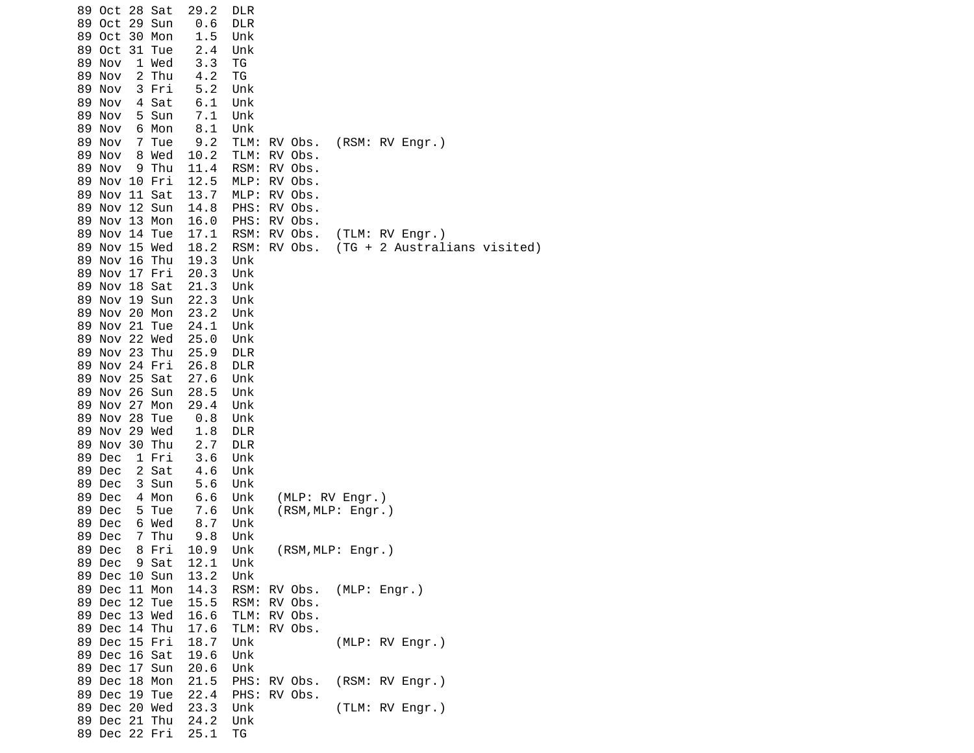| 89 Oct 28 Sat<br>89 Oct 29 Sun<br>89 Oct 30 Mon<br>89 Oct 31 Tue<br>89 Nov<br>1 Wed<br>89 Nov<br>2 Thu<br>89 Nov<br>3 Fri<br>4 Sat<br>89 Nov<br>5 Sun<br>89 Nov | 29.2<br><b>DLR</b><br>0.6<br><b>DLR</b><br>1.5<br>Unk<br>2.4<br>Unk<br>3.3<br>ΤG<br>4.2<br>ΤG<br>5.2<br>Unk<br>6.1<br>Unk<br>7.1<br>Unk |                                              |                                                     |                                                 |
|-----------------------------------------------------------------------------------------------------------------------------------------------------------------|-----------------------------------------------------------------------------------------------------------------------------------------|----------------------------------------------|-----------------------------------------------------|-------------------------------------------------|
| 6 Mon<br>89 Nov<br>89 Nov<br>7 Tue<br>89 Nov<br>8 Wed<br>89 Nov<br>9 Thu<br>89 Nov 10 Fri<br>89 Nov 11 Sat                                                      | 8.1<br>Unk<br>9.2<br>10.2<br>11.4<br>12.5<br>13.7                                                                                       | TLM:<br>TLM:<br>RSM:<br>MLP:<br>MLP:         | RV Obs.<br>RV Obs.<br>RV Obs.<br>RV Obs.<br>RV Obs. | (RSM: RV Engr.)                                 |
| 89 Nov 12 Sun<br>89 Nov 13 Mon<br>Nov 14 Tue<br>89<br>89 Nov 15 Wed<br>89 Nov 16 Thu<br>89 Nov 17 Fri                                                           | 14.8<br>16.0<br>17.1<br>18.2<br>19.3<br>Unk<br>20.3                                                                                     | PHS:<br>PHS: RV Obs.<br>RSM:<br>RSM:         | RV Obs.<br>RV Obs.<br>RV Obs.                       | (TLM: RV Engr.)<br>(TG + 2 Australians visited) |
| 89 Nov 18 Sat<br>89 Nov 19 Sun<br>89 Nov 20 Mon<br>89 Nov 21 Tue<br>89 Nov 22 Wed                                                                               | Unk<br>21.3<br>Unk<br>22.3<br>Unk<br>23.2<br>Unk<br>24.1<br>Unk<br>25.0<br>Unk                                                          |                                              |                                                     |                                                 |
| 89 Nov 23 Thu<br>89 Nov 24 Fri<br>89 Nov 25 Sat<br>89 Nov 26 Sun<br>89 Nov 27 Mon                                                                               | 25.9<br><b>DLR</b><br>26.8<br><b>DLR</b><br>27.6<br>Unk<br>28.5<br>Unk                                                                  |                                              |                                                     |                                                 |
| 89 Nov 28 Tue<br>89 Nov 29 Wed<br>89 Nov 30 Thu<br>89 Dec<br>1 Fri                                                                                              | 29.4<br>Unk<br>0.8<br>Unk<br>1.8<br><b>DLR</b><br>2.7<br><b>DLR</b><br>3.6<br>Unk                                                       |                                              |                                                     |                                                 |
| 2 Sat<br>89 Dec<br>89 Dec<br>3 Sun<br>89 Dec<br>4 Mon<br>89 Dec<br>5 Tue                                                                                        | 4.6<br>Unk<br>5.6<br>Unk<br>6.6<br>Unk<br>7.6<br>Unk                                                                                    |                                              | (MLP: RV Engr.)<br>(RSM, MLP: Engr.)                |                                                 |
| 89 Dec<br>6 Wed<br>89 Dec<br>7 Thu<br>89 Dec<br>8 Fri<br>89 Dec 9 Sat<br>89 Dec 10 Sun                                                                          | 8.7<br>Unk<br>9.8<br>Unk<br>10.9<br>Unk<br>12.1<br>13.2<br>Unk                                                                          | Unk                                          | (RSM, MLP: Engr.)                                   |                                                 |
| 89 Dec 11 Mon<br>89 Dec 12 Tue<br>89 Dec 13 Wed<br>89 Dec 14 Thu                                                                                                | 14.3<br>15.5<br>16.6<br>17.6                                                                                                            | RSM: RV Obs.<br>TLM: RV Obs.<br>TLM: RV Obs. |                                                     | RSM: RV Obs. (MLP: Engr.)                       |
| 89 Dec 15 Fri<br>89 Dec 16 Sat<br>89 Dec 17 Sun<br>89 Dec 18 Mon                                                                                                | 18.7<br>Unk<br>19.6<br>20.6<br>Unk<br>21.5                                                                                              | Unk<br>PHS: RV Obs.                          |                                                     | (MLP: RV Engr.)<br>(RSM: RV Engr.)              |
| 89 Dec 19 Tue<br>89 Dec 20 Wed<br>89 Dec 21 Thu<br>89 Dec 22 Fri                                                                                                | 22.4<br>23.3<br>Unk<br>24.2<br>Unk<br>25.1<br>TG                                                                                        | PHS: RV Obs.                                 |                                                     | (TLM: RV Engr.)                                 |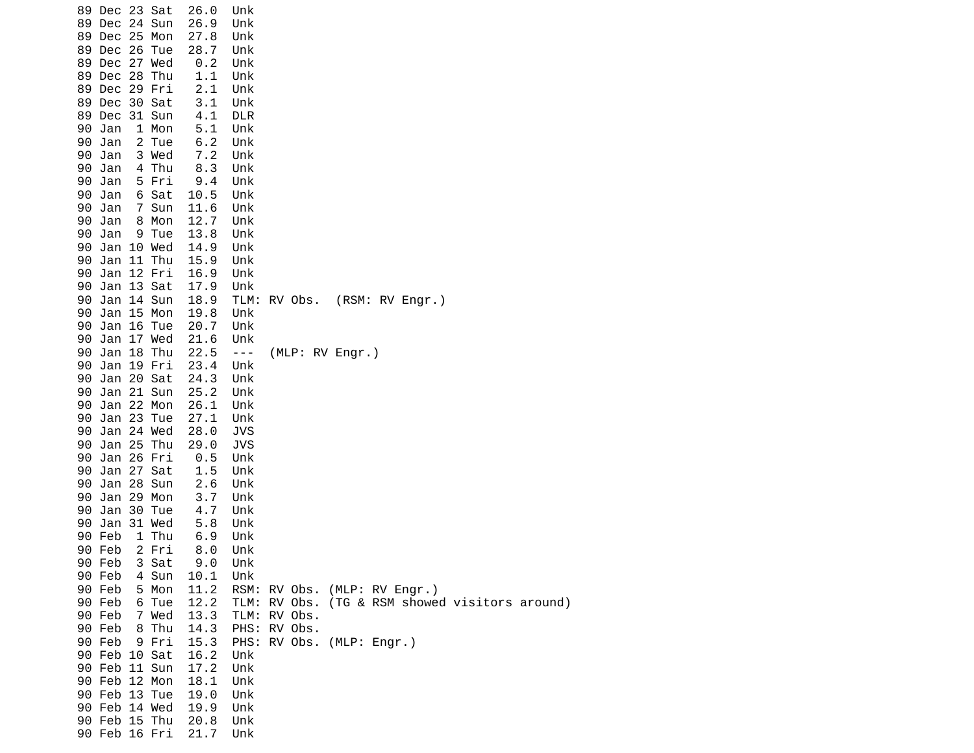| 89 Dec 23 Sat |  |               | 26.0 | Unk            |              |                              |                 |                                                |  |
|---------------|--|---------------|------|----------------|--------------|------------------------------|-----------------|------------------------------------------------|--|
| 89 Dec 24 Sun |  |               | 26.9 | Unk            |              |                              |                 |                                                |  |
| 89 Dec 25 Mon |  |               | 27.8 | Unk            |              |                              |                 |                                                |  |
| 89 Dec 26 Tue |  |               | 28.7 | Unk            |              |                              |                 |                                                |  |
| 89 Dec 27 Wed |  |               | 0.2  | Unk            |              |                              |                 |                                                |  |
| 89 Dec 28 Thu |  |               | 1.1  | Unk            |              |                              |                 |                                                |  |
| 89 Dec 29 Fri |  |               | 2.1  | Unk            |              |                              |                 |                                                |  |
| 89 Dec 30 Sat |  |               | 3.1  | Unk            |              |                              |                 |                                                |  |
| 89 Dec 31 Sun |  |               | 4.1  | <b>DLR</b>     |              |                              |                 |                                                |  |
| 90 Jan        |  | 1 Mon         | 5.1  | Unk            |              |                              |                 |                                                |  |
| 90 Jan        |  | 2 Tue         | 6.2  | Unk            |              |                              |                 |                                                |  |
| 90 Jan        |  | 3 Wed         | 7.2  | Unk            |              |                              |                 |                                                |  |
| 90 Jan        |  | 4 Thu         | 8.3  | Unk            |              |                              |                 |                                                |  |
| 90 Jan        |  | 5 Fri         | 9.4  | Unk            |              |                              |                 |                                                |  |
| 90 Jan        |  | 6 Sat         | 10.5 | Unk            |              |                              |                 |                                                |  |
| 90 Jan        |  | 7 Sun         | 11.6 | Unk            |              |                              |                 |                                                |  |
| 90 Jan        |  | 8 Mon         | 12.7 | Unk            |              |                              |                 |                                                |  |
| 90 Jan        |  | 9 Tue         | 13.8 | Unk            |              |                              |                 |                                                |  |
| 90 Jan 10 Wed |  |               | 14.9 | Unk            |              |                              |                 |                                                |  |
| 90 Jan 11 Thu |  |               | 15.9 | Unk            |              |                              |                 |                                                |  |
| 90 Jan 12 Fri |  |               | 16.9 | Unk            |              |                              |                 |                                                |  |
| 90 Jan 13 Sat |  |               | 17.9 | Unk            |              |                              |                 |                                                |  |
| 90 Jan 14 Sun |  |               | 18.9 |                | TLM: RV Obs. |                              | (RSM: RV Engr.) |                                                |  |
| 90 Jan 15 Mon |  |               | 19.8 | Unk            |              |                              |                 |                                                |  |
| 90 Jan 16 Tue |  |               | 20.7 | Unk            |              |                              |                 |                                                |  |
| 90 Jan 17 Wed |  |               | 21.6 | Unk            |              |                              |                 |                                                |  |
| 90 Jan 18 Thu |  |               | 22.5 | $\sim$ $ \sim$ |              | (MLP: RV Engr.)              |                 |                                                |  |
| 90 Jan 19 Fri |  |               | 23.4 | Unk            |              |                              |                 |                                                |  |
| 90 Jan 20 Sat |  |               | 24.3 | Unk            |              |                              |                 |                                                |  |
| 90            |  | Jan 21 Sun    | 25.2 | Unk            |              |                              |                 |                                                |  |
| 90 Jan 22 Mon |  |               | 26.1 | Unk            |              |                              |                 |                                                |  |
| 90 Jan 23 Tue |  |               | 27.1 | Unk            |              |                              |                 |                                                |  |
| 90 Jan 24 Wed |  |               | 28.0 | <b>JVS</b>     |              |                              |                 |                                                |  |
| 90 Jan 25 Thu |  |               | 29.0 | JVS            |              |                              |                 |                                                |  |
| 90 Jan 26 Fri |  |               | 0.5  | Unk            |              |                              |                 |                                                |  |
| 90 Jan 27 Sat |  |               | 1.5  | Unk            |              |                              |                 |                                                |  |
| 90 Jan 28 Sun |  |               | 2.6  | Unk            |              |                              |                 |                                                |  |
| 90 Jan 29 Mon |  |               | 3.7  | Unk            |              |                              |                 |                                                |  |
| 90            |  | Jan 30 Tue    | 4.7  | Unk            |              |                              |                 |                                                |  |
| 90 Jan 31 Wed |  |               | 5.8  | Unk            |              |                              |                 |                                                |  |
| 90 Feb        |  | 1 Thu         | 6.9  | Unk            |              |                              |                 |                                                |  |
| 90 Feb        |  | 2 Fri         | 8.0  | Unk            |              |                              |                 |                                                |  |
| 90 Feb        |  | 3 Sat         | 9.0  | Unk            |              |                              |                 |                                                |  |
| 90 Feb        |  | 4 Sun         | 10.1 | Unk            |              |                              |                 |                                                |  |
| 90 Feb        |  | 5 Mon         | 11.2 |                |              | RSM: RV Obs. (MLP: RV Engr.) |                 |                                                |  |
| 90 Feb        |  | 6 Tue         | 12.2 |                |              |                              |                 | TLM: RV Obs. (TG & RSM showed visitors around) |  |
| 90 Feb        |  | 7 Wed         | 13.3 | TLM: RV Obs.   |              |                              |                 |                                                |  |
| 90 Feb        |  | 8 Thu         | 14.3 | PHS: RV Obs.   |              |                              |                 |                                                |  |
| 90 Feb        |  | 9 Fri         | 15.3 |                |              | PHS: RV Obs. (MLP: Engr.)    |                 |                                                |  |
| 90 Feb 10 Sat |  |               | 16.2 | Unk            |              |                              |                 |                                                |  |
| 90 Feb 11 Sun |  |               | 17.2 | Unk            |              |                              |                 |                                                |  |
| 90 Feb 12 Mon |  |               | 18.1 | Unk            |              |                              |                 |                                                |  |
| 90 Feb 13 Tue |  |               | 19.0 | Unk            |              |                              |                 |                                                |  |
|               |  | 90 Feb 14 Wed | 19.9 | Unk            |              |                              |                 |                                                |  |
|               |  | 90 Feb 15 Thu | 20.8 | Unk            |              |                              |                 |                                                |  |
|               |  | 90 Feb 16 Fri | 21.7 | Unk            |              |                              |                 |                                                |  |
|               |  |               |      |                |              |                              |                 |                                                |  |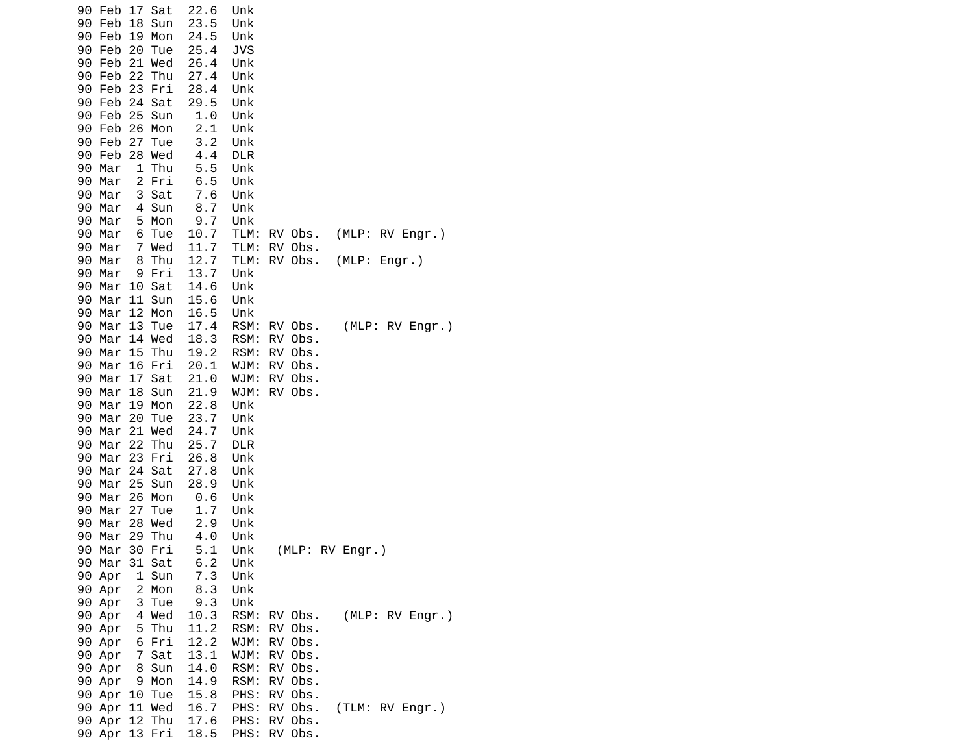| Feb 17<br>Sat<br>90                           | 22.6<br>Unk                                                |
|-----------------------------------------------|------------------------------------------------------------|
| 90<br>Feb<br>18<br>Sun<br>Feb<br>19 Mon<br>90 | 23.5<br>Unk<br>24.5<br>Unk                                 |
| 90 Feb<br>20 Tue                              | <b>JVS</b><br>25.4                                         |
| 21 Wed<br>90 Feb                              | 26.4<br>Unk                                                |
| 90 Feb 22<br>Thu                              | 27.4<br>Unk                                                |
| Feb<br>23 Fri<br>90                           | 28.4<br>Unk                                                |
| 90 Feb<br>24 Sat                              | 29.5<br>Unk                                                |
| 25 Sun<br>90 Feb                              | 1.0<br>Unk                                                 |
| 90 Feb<br>26 Mon<br>90 Feb<br>27              | 2.1<br>Unk<br>Unk<br>3.2                                   |
| Tue<br>90 Feb<br>28 Wed                       | 4.4<br><b>DLR</b>                                          |
| $\mathbf{1}$<br>Thu<br>90 Mar                 | 5.5<br>Unk                                                 |
| 2 Fri<br>90 Mar                               | $6.5\,$<br>Unk                                             |
| 3 Sat<br>90<br>Mar                            | 7.6<br>Unk                                                 |
| 90<br>Mar<br>4 Sun                            | 8.7<br>Unk                                                 |
| 5 Mon<br>90<br>Mar                            | 9.7<br>Unk                                                 |
| Mar<br>6 Tue<br>90<br>90 Mar                  | (MLP: RV Engr.)<br>10.7<br>TLM:<br>RV Obs.<br>11.7         |
| 7 Wed<br>8<br>Thu<br>90<br>Mar                | TLM:<br>RV Obs.<br>(MLP: Engr.)<br>12.7<br>TLM:<br>RV Obs. |
| 90<br>Mar<br>9 Fri                            | 13.7<br>Unk                                                |
| Mar 10 Sat<br>90                              | 14.6<br>Unk                                                |
| 11 Sun<br>90 Mar                              | 15.6<br>Unk                                                |
| 12 Mon<br>90<br>Mar                           | 16.5<br>Unk                                                |
| Mar<br>13<br>90<br>Tue                        | (MLP: RV Engr.)<br>17.4<br>RSM:<br>RV Obs.                 |
| Mar<br>14 Wed<br>90<br>15<br>Thu<br>90<br>Mar | 18.3<br>RSM:<br>RV Obs.<br>19.2<br>RSM:<br>RV Obs.         |
| 90 Mar<br>16 Fri                              | 20.1<br>WJM:<br>RV Obs.                                    |
| 90<br>Mar<br>17<br>Sat                        | 21.0<br>WJM:<br>RV Obs.                                    |
| Mar<br>90<br>18 Sun                           | 21.9<br>RV Obs.<br>WJM:                                    |
| 90<br>Mar 19 Mon                              | 22.8<br>Unk                                                |
| 90 Mar<br>20 Tue                              | 23.7<br>Unk                                                |
| 21<br>Mar<br>Wed<br>90                        | 24.7<br>Unk                                                |
| Mar<br>22<br>90<br>Thu                        | 25.7<br><b>DLR</b>                                         |
| Mar<br>90<br>23 Fri<br>24 Sat<br>90<br>Mar    | 26.8<br>Unk<br>27.8<br>Unk                                 |
| 25 Sun<br>Mar<br>90                           | 28.9<br>Unk                                                |
| 26<br>90<br>Mar<br>Mon                        | 0.6<br>Unk                                                 |
| Mar<br>27<br>90<br>Tue                        | 1.7<br>Unk                                                 |
| 28 Wed<br>90<br>Mar                           | 2.9<br>Unk                                                 |
| Mar<br>29<br>Thu<br>90                        | 4.0<br>Unk                                                 |
| 30 Fri<br>90 Mar                              | 5.1<br>(MLP: RV Engr.)<br>Unk<br>6.2<br>Unk                |
| 90 Mar 31 Sat<br>90 Apr<br>1 Sun              | 7.3<br>Unk                                                 |
| 2 Mon<br>90 Apr                               | 8.3<br>Unk                                                 |
| 90 Apr<br>3 Tue                               | 9.3<br>Unk                                                 |
| 4 Wed<br>90 Apr                               | (MLP: RV Engr.)<br>10.3<br>RSM:<br>RV Obs.                 |
| 5 Thu<br>90 Apr                               | 11.2<br>RSM:<br>RV Obs.                                    |
| 6 Fri<br>90 Apr                               | 12.2<br>RV Obs.<br>WJM:                                    |
| 7 Sat<br>90 Apr                               | RV Obs.<br>13.1<br>WJM:                                    |
| 8 Sun<br>90 Apr<br>90 Apr<br>9 Mon            | 14.0<br>RSM:<br>RV Obs.<br>14.9<br>RV Obs.<br>RSM:         |
| 90 Apr<br>10 Tue                              | RV Obs.<br>15.8<br>PHS:                                    |
| 90 Apr 11 Wed                                 | 16.7<br>RV Obs.<br>(TLM: RV Engr.)<br>PHS:                 |
| 90 Apr 12 Thu                                 | 17.6<br>RV Obs.<br>PHS:                                    |
| 90 Apr 13 Fri                                 | 18.5<br>PHS:<br>RV Obs.                                    |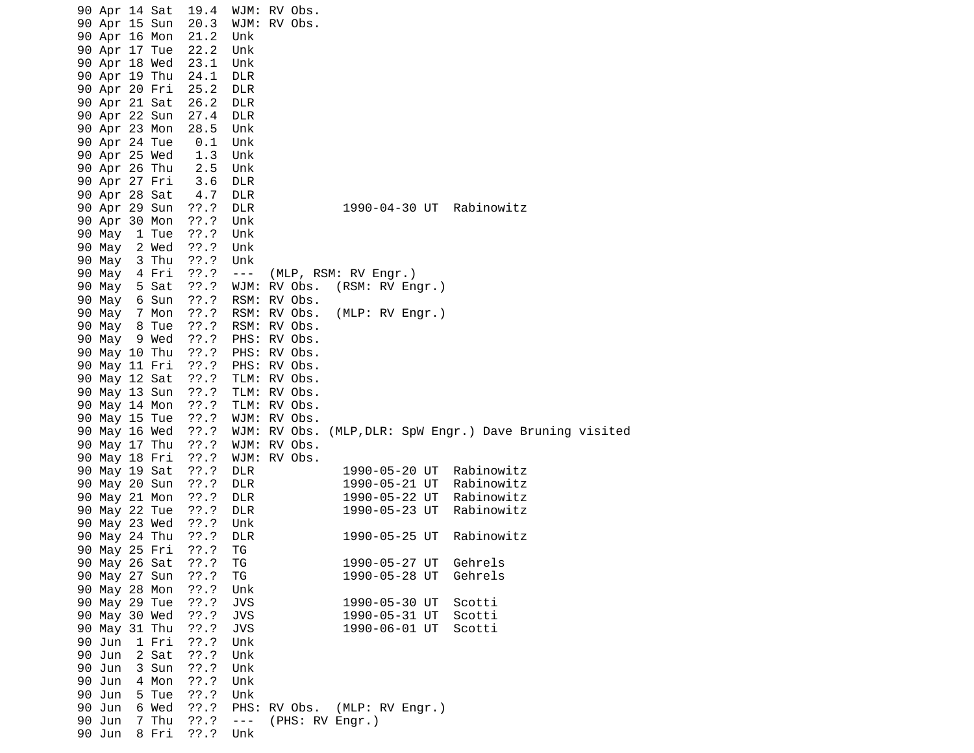| 90 Apr 14 Sat |       | 19.4       | WJM: RV Obs.   |                         |                 |  |                                                         |
|---------------|-------|------------|----------------|-------------------------|-----------------|--|---------------------------------------------------------|
| 90 Apr 15 Sun |       | 20.3       | WJM: RV Obs.   |                         |                 |  |                                                         |
| 90 Apr 16 Mon |       | 21.2       | Unk            |                         |                 |  |                                                         |
| 90 Apr 17 Tue |       | 22.2       | Unk            |                         |                 |  |                                                         |
| 90 Apr 18 Wed |       | 23.1       | Unk            |                         |                 |  |                                                         |
| 90 Apr 19 Thu |       | 24.1       | <b>DLR</b>     |                         |                 |  |                                                         |
| 90 Apr 20 Fri |       | 25.2       | <b>DLR</b>     |                         |                 |  |                                                         |
| 90 Apr 21 Sat |       | 26.2       | <b>DLR</b>     |                         |                 |  |                                                         |
| 90 Apr 22 Sun |       | 27.4       | <b>DLR</b>     |                         |                 |  |                                                         |
| 90 Apr 23 Mon |       | 28.5       | Unk            |                         |                 |  |                                                         |
| 90 Apr 24 Tue |       | 0.1        | Unk            |                         |                 |  |                                                         |
| 90 Apr 25 Wed |       | 1.3        | Unk            |                         |                 |  |                                                         |
| 90 Apr 26 Thu |       | 2.5        | Unk            |                         |                 |  |                                                         |
| 90 Apr 27 Fri |       | 3.6        | <b>DLR</b>     |                         |                 |  |                                                         |
| 90 Apr 28 Sat |       | 4.7        | <b>DLR</b>     |                         |                 |  |                                                         |
| 90 Apr 29 Sun |       | ??'.?      | <b>DLR</b>     |                         | 1990-04-30 UT   |  | Rabinowitz                                              |
| 90 Apr 30 Mon |       | $??\.?$    | Unk            |                         |                 |  |                                                         |
| 90 May        | 1 Tue | ??'.?      | Unk            |                         |                 |  |                                                         |
| 90 May        | 2 Wed | ??'.?      | Unk            |                         |                 |  |                                                         |
| 90 May        | 3 Thu | ??.?       | Unk            |                         |                 |  |                                                         |
| 90 May        | 4 Fri | ??'.?      | $\sim$ $ \sim$ | (MLP, RSM: RV Engr.)    |                 |  |                                                         |
| 90 May        | 5 Sat | $??\.?$    |                | WJM: RV Obs.            | (RSM: RV Engr.) |  |                                                         |
| 90 May        | 6 Sun | $??\ .?$   |                | RSM: RV Obs.            |                 |  |                                                         |
| 90 May        | 7 Mon | ??'.?      |                | RSM: RV Obs.            | (MLP: RV Engr.) |  |                                                         |
| 90 May 8 Tue  |       | ??'.?      |                | RSM: RV Obs.            |                 |  |                                                         |
| 90 May        | 9 Wed | ??'.?      |                | PHS: RV Obs.            |                 |  |                                                         |
| 90 May 10 Thu |       | $??\cdot?$ |                | PHS: RV Obs.            |                 |  |                                                         |
| 90 May 11 Fri |       | ??'.?      | PHS: RV Obs.   |                         |                 |  |                                                         |
| 90 May 12 Sat |       | ??'.?      |                | TLM: RV Obs.            |                 |  |                                                         |
| 90 May 13 Sun |       | ??'.?      | TLM: RV Obs.   |                         |                 |  |                                                         |
| 90 May 14 Mon |       | ??.?       | TLM: RV Obs.   |                         |                 |  |                                                         |
| 90 May 15 Tue |       | ??.?       | WJM: RV Obs.   |                         |                 |  |                                                         |
| 90 May 16 Wed |       | $??\ .?$   |                |                         |                 |  | WJM: RV Obs. (MLP, DLR: SpW Engr.) Dave Bruning visited |
| 90 May 17 Thu |       | ??.?       |                | WJM: RV Obs.            |                 |  |                                                         |
| 90 May 18 Fri |       | ??'.?      |                | WJM: RV Obs.            |                 |  |                                                         |
| 90 May 19 Sat |       | ??'.?      | <b>DLR</b>     |                         | 1990-05-20 UT   |  | Rabinowitz                                              |
| 90 May 20 Sun |       | ??'.?      | <b>DLR</b>     |                         | 1990-05-21 UT   |  | Rabinowitz                                              |
| 90 May 21 Mon |       | ??'.?      | <b>DLR</b>     |                         | 1990-05-22 UT   |  | Rabinowitz                                              |
| 90 May 22 Tue |       | ??'.?      | <b>DLR</b>     |                         | 1990-05-23 UT   |  | Rabinowitz                                              |
| 90 May 23 Wed |       | ??'.?      | Unk            |                         |                 |  |                                                         |
| 90 May 24 Thu |       | ??'.?      | <b>DLR</b>     |                         | 1990-05-25 UT   |  | Rabinowitz                                              |
| 90 May 25 Fri |       | ??'.?      | ΤG             |                         |                 |  |                                                         |
| 90 May 26 Sat |       | 77.7       | ΤG             |                         | 1990-05-27 UT   |  | Gehrels                                                 |
| 90 May 27 Sun |       | ??'.?      | TG             |                         | 1990-05-28 UT   |  | Gehrels                                                 |
| 90 May 28 Mon |       | ??'.?      | Unk            |                         |                 |  |                                                         |
| 90 May 29 Tue |       | 77.7       | <b>JVS</b>     |                         | 1990-05-30 UT   |  | Scotti                                                  |
| 90 May 30 Wed |       | ??'.?      | <b>JVS</b>     |                         | 1990-05-31 UT   |  | Scotti                                                  |
| 90 May 31 Thu |       | ??'.?      | <b>JVS</b>     |                         | 1990-06-01 UT   |  | Scotti                                                  |
| 90 Jun        | 1 Fri | ??'.?      | Unk            |                         |                 |  |                                                         |
| 90 Jun        | 2 Sat | ??'.?      | Unk            |                         |                 |  |                                                         |
| 90 Jun        | 3 Sun | ??.?       | Unk            |                         |                 |  |                                                         |
| 90 Jun        | 4 Mon | ??'.?      | Unk            |                         |                 |  |                                                         |
| 90 Jun        | 5 Tue | ??'.?      | Unk            |                         |                 |  |                                                         |
| 90 Jun        | 6 Wed | ??'.?      | PHS:           | RV Obs. (MLP: RV Engr.) |                 |  |                                                         |
| 90 Jun        | 7 Thu | ??'.?      | $\sim$ $ \sim$ | (PHS: RV Engr.)         |                 |  |                                                         |
| 90 Jun        | 8 Fri | ??'.?      | Unk            |                         |                 |  |                                                         |
|               |       |            |                |                         |                 |  |                                                         |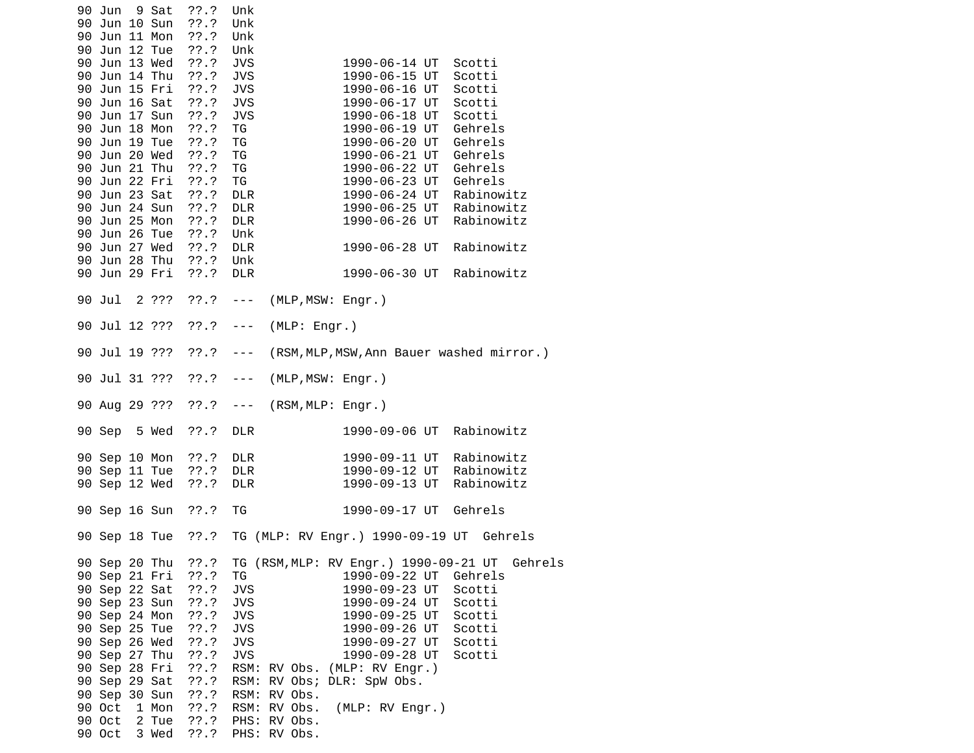|  | 90 Jun<br>90 Jun 10 Sun        | 9 Sat          | ??.?<br>??'.?          | Unk<br>Unk               |                              |                                               |                          |         |
|--|--------------------------------|----------------|------------------------|--------------------------|------------------------------|-----------------------------------------------|--------------------------|---------|
|  | 90 Jun 11 Mon<br>90 Jun 12 Tue |                | ??'.?<br>??'.?         | Unk<br>Unk               |                              |                                               |                          |         |
|  | 90 Jun 13 Wed                  |                | ??'.?                  | <b>JVS</b>               |                              | 1990-06-14 UT                                 | Scotti                   |         |
|  | 90 Jun 14 Thu                  |                | ??'.?                  | <b>JVS</b>               |                              | 1990-06-15 UT                                 | Scotti                   |         |
|  | 90 Jun 15 Fri                  |                | ??'.?                  | <b>JVS</b>               |                              | 1990-06-16 UT                                 | Scotti                   |         |
|  | 90 Jun 16 Sat<br>90 Jun 17 Sun |                | ??'.?<br>??'.?         | <b>JVS</b><br><b>JVS</b> |                              | 1990-06-17 UT<br>1990-06-18 UT                | Scotti<br>Scotti         |         |
|  | 90 Jun 18 Mon                  |                | ??'.?                  | ΤG                       |                              | 1990-06-19 UT                                 | Gehrels                  |         |
|  | 90 Jun 19 Tue                  |                | ??'.?                  | TG                       |                              | 1990-06-20 UT                                 | Gehrels                  |         |
|  | 90 Jun 20 Wed                  |                | ??'.?                  | TG                       |                              | 1990-06-21 UT                                 | Gehrels                  |         |
|  | 90 Jun 21 Thu                  |                | ??'.?                  | TG                       |                              | 1990-06-22 UT                                 | Gehrels                  |         |
|  | 90 Jun 22 Fri<br>90 Jun 23 Sat |                | ??'.?<br>??'.?         | TG                       |                              | 1990-06-23 UT                                 | Gehrels                  |         |
|  | 90 Jun 24 Sun                  |                | ??'.?                  | <b>DLR</b><br><b>DLR</b> |                              | 1990-06-24 UT<br>1990-06-25 UT                | Rabinowitz<br>Rabinowitz |         |
|  | 90 Jun 25 Mon                  |                | ??'.?                  | <b>DLR</b>               |                              | 1990-06-26 UT                                 | Rabinowitz               |         |
|  | 90 Jun 26 Tue                  |                | ??'.?                  | Unk                      |                              |                                               |                          |         |
|  | 90 Jun 27 Wed                  |                | ??'.?                  | <b>DLR</b>               |                              | 1990-06-28 UT                                 | Rabinowitz               |         |
|  | 90 Jun 28 Thu<br>90 Jun 29 Fri |                | $??\ .?$<br>$??\.?$    | Unk<br><b>DLR</b>        |                              | 1990-06-30 UT                                 | Rabinowitz               |         |
|  | 90 Jul                         | 2 ???          | $??\ .?$               | $\sim$ $ \sim$           | (MLP, MSW: Engr.)            |                                               |                          |         |
|  | 90 Jul 12 ???                  |                | $??\ .?$               | $\sim$ $\sim$ $\sim$     | (MLP: Engr.)                 |                                               |                          |         |
|  | 90 Jul 19 ???                  |                | $??\ .?$               | $- - -$                  |                              | (RSM, MLP, MSW, Ann Bauer washed mirror.)     |                          |         |
|  |                                | 90 Jul 31 ???  | $??\ .?$               | ---                      | (MLP, MSW: Engr.)            |                                               |                          |         |
|  |                                |                | 90 Aug 29 ??? ??.? --- |                          | (RSM, MLP: Engr.)            |                                               |                          |         |
|  | 90 Sep 5 Wed                   |                | ??'.?                  | <b>DLR</b>               |                              | 1990-09-06 UT                                 | Rabinowitz               |         |
|  | 90 Sep 10 Mon                  |                | $??\.?$                | <b>DLR</b>               |                              | 1990-09-11 UT                                 | Rabinowitz               |         |
|  | 90 Sep 12 Wed                  | 90 Sep 11 Tue  | $??\ .?$<br>??'.?      | <b>DLR</b><br><b>DLR</b> |                              | 1990-09-12 UT<br>1990-09-13 UT                | Rabinowitz<br>Rabinowitz |         |
|  |                                |                |                        |                          |                              |                                               |                          |         |
|  | 90 Sep 16 Sun                  |                | ??'.?                  | TG                       |                              | 1990-09-17 UT                                 | Gehrels                  |         |
|  |                                |                | 90 Sep 18 Tue ??.?     |                          |                              | TG (MLP: RV Engr.) 1990-09-19 UT Gehrels      |                          |         |
|  | 90 Sep 20 Thu                  |                | 77.7                   |                          |                              | TG (RSM, MLP: RV Engr.) 1990-09-21 UT         |                          | Gehrels |
|  | 90 Sep 21 Fri<br>90 Sep 22 Sat |                | 77.7<br>$??\ .?$       | ТG<br><b>JVS</b>         |                              | 1990-09-22 UT<br>1990-09-23 UT                | Gehrels<br>Scotti        |         |
|  | 90 Sep 23 Sun                  |                | ??'.?                  | <b>JVS</b>               |                              | 1990-09-24 UT                                 | Scotti                   |         |
|  | 90 Sep 24 Mon                  |                | ??'.?                  | <b>JVS</b>               |                              | 1990-09-25 UT                                 | Scotti                   |         |
|  | 90 Sep 25 Tue                  |                | ??'.?                  | <b>JVS</b>               |                              | 1990-09-26 UT                                 | Scotti                   |         |
|  | 90 Sep 26 Wed<br>90 Sep 27 Thu |                | ??'.?                  | JVS<br><b>JVS</b>        |                              | 1990-09-27 UT                                 | Scotti                   |         |
|  | 90 Sep 28 Fri                  |                | ??'.?<br>??'.?         |                          |                              | 1990-09-28 UT<br>RSM: RV Obs. (MLP: RV Engr.) | Scotti                   |         |
|  | 90 Sep 29 Sat                  |                | ??'.?                  | RSM:                     |                              | RV Obs; DLR: SpW Obs.                         |                          |         |
|  | 90 Sep 30 Sun                  |                | ??'.?                  | RSM:                     | RV Obs.                      |                                               |                          |         |
|  | 90 Oct<br>90 Oct               | 1 Mon<br>2 Tue | $??\ .?$<br>$??\, ?$   |                          | RSM: RV Obs.<br>PHS: RV Obs. | (MLP: RV Engr.)                               |                          |         |
|  | 90 Oct                         | 3 Wed          | ??'.?                  |                          | PHS: RV Obs.                 |                                               |                          |         |
|  |                                |                |                        |                          |                              |                                               |                          |         |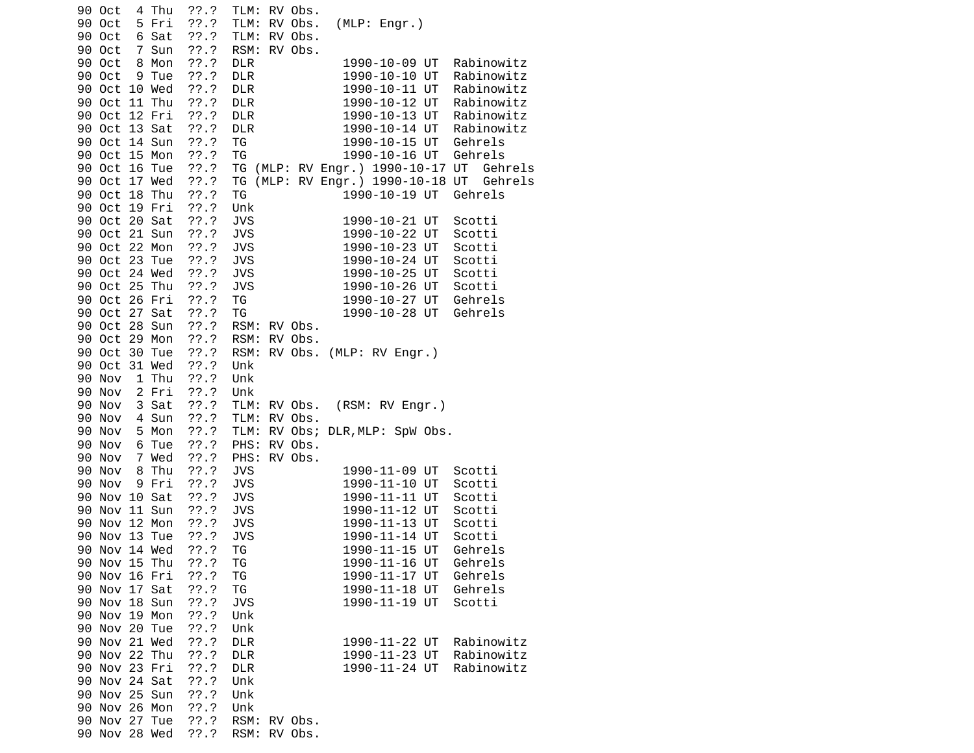90 Oct 4 Thu ??.? TLM: RV Obs. 90 Oct 5 Fri ??.? TLM: RV Obs. (MLP: Engr.) 90 Oct 6 Sat ??.? TLM: RV Obs. 90 Oct 7 Sun ??.? RSM: RV Obs. 1990-10-09 UT Rabinowitz<br>1990-10-10 UT Rabinowitz 90 Oct 9 Tue ??.? DLR<br>90 Oct 10 Wed ??.? DLR 1990-10-11 UT Rabinowitz 90 Oct 11 Thu ??.? DLR 1990-10-12 UT Rabinowitz 90 Oct 12 Fri ??.? DLR 1990-10-13 UT Rabinowitz 1990-10-14 UT Rabinowitz<br>1990-10-15 UT Gehrels 90 Oct 14 Sun ??.? TG 90 Oct 15 Mon ??.? TG 1990-10-16 UT Gehrels 90 Oct 16 Tue ??.? TG (MLP: RV Engr.) 1990-10-17 UT Gehrels 90 Oct 17 Wed ??.? TG (MLP: RV Engr.) 1990-10-18 UT Gehrels 90 Oct 18 Thu ??.? TG 1990-10-19 UT Gehrels 90 Oct 19 Fri ??.? Unk 90 Oct 20 Sat ??.? JVS 1990-10-21 UT Scotti 1990-10-22 UT Scotti 90 Oct 22 Mon ??.? JVS 1990-10-23 UT Scotti 90 Oct 23 Tue ??.? JVS 1990-10-24 UT Scotti 90 Oct 24 Wed ??.? JVS 1990-10-25 UT Scotti 90 Oct 25 Thu ??.? JVS 1990-10-26 UT Scotti 90 Oct 26 Fri ??.? TG 1990-10-27 UT Gehrels 90 Oct 27 Sat ??.? TG 1990-10-28 UT Gehrels 90 Oct 28 Sun ??.? RSM: RV Obs. 90 Oct 29 Mon ??.? RSM: RV Obs. 90 Oct 30 Tue ??.? RSM: RV Obs. (MLP: RV Engr.) 90 Oct 31 Wed ??.? Unk 90 Nov 1 Thu ??.? Unk 90 Nov 2 Fri ??.? Unk 90 Nov 3 Sat ??.? TLM: RV Obs. (RSM: RV Engr.) 90 Nov 4 Sun ??.? TLM: RV Obs. 90 Nov 5 Mon ??.? TLM: RV Obs; DLR,MLP: SpW Obs. 90 Nov 6 Tue ??.? PHS: RV Obs. 90 Nov 7 Wed ??.? PHS: RV Obs. JVS 1990-11-09 UT Scotti 90 Nov 9 Fri ??.? JVS 1990-11-10 UT Scotti 90 Nov 10 Sat ??.? JVS 1990-11-11 UT Scotti 90 Nov 11 Sun ??.? JVS 90 Nov 12 Mon ??.? JVS 1990-11-13 UT Scotti 90 Nov 13 Tue ??.? JVS 90 Nov 14 Wed ??.? TG 1990-11-15 UT Gehrels 90 Nov 15 Thu ??.? TG 1990-11-16 UT Gehrels 90 Nov 16 Fri ??.? TG 90 Nov 17 Sat ??.? TG 1990-11-18 UT Gehrels 1990-11-19 UT Scotti 90 Nov 19 Mon ??.? Unk 90 Nov 20 Tue 90 Nov 21 Wed ??.? DLR 1990-11-22 UT Rabinowitz 90 Nov 22 Thu ??.? DLR 1990-11-23 UT Rabinowitz 1990-11-24 UT Rabinowitz 90 Nov 24 Sat ??.? Unk 90 Nov 25 Sun ??.? Unk 90 Nov 26 Mon ??.? Unk ??.? RSM: RV Obs. 90 Nov 28 Wed ??.? RSM: RV Obs.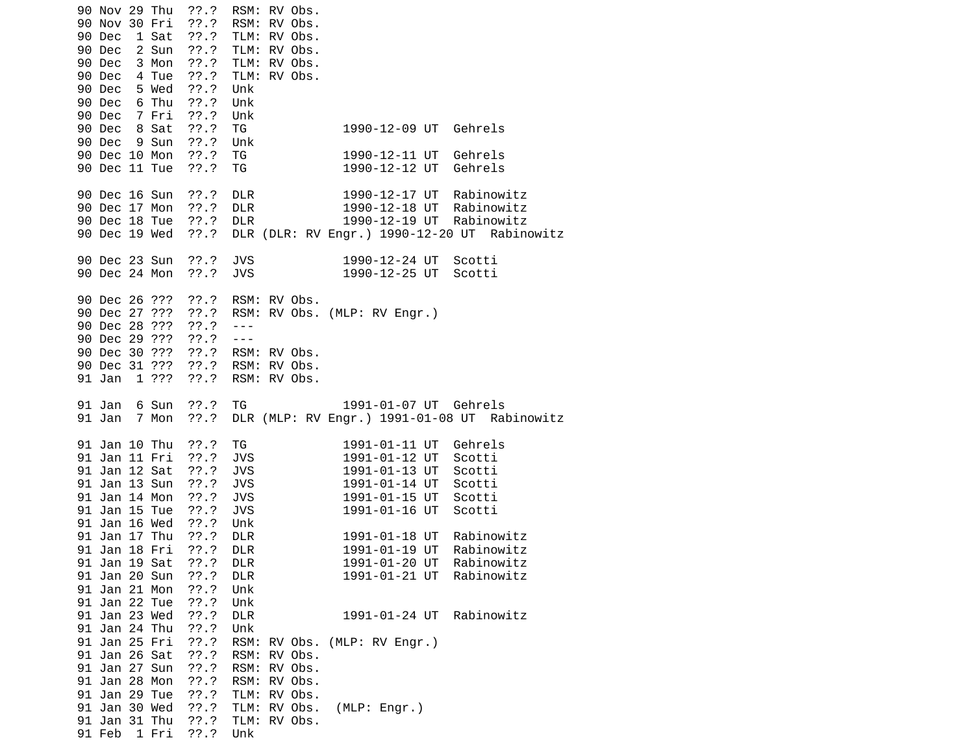90 Nov 29 Thu ??.? RSM: RV Obs. 90 Nov 30 Fri ??.? RSM: RV Obs. 90 Dec 1 Sat ??.? TLM: RV Obs. 90 Dec 2 Sun ??.? TLM: RV Obs. 90 Dec 3 Mon ??.? TLM: RV Obs. 90 Dec 4 Tue ??.? TLM: RV Obs. 5 Wed ??.? Unk 90 Dec 6 Thu ??.? Unk 90 Dec 7 Fri ??.? Unk 90 Dec 8 Sat ??.? TG 1990-12-09 UT Gehrels 90 Dec 9 Sun 90 Dec 10 Mon ??.? TG 1990-12-11 UT Gehrels 90 Dec 11 Tue ??.? TG 1990-12-12 UT Gehrels 90 Dec 16 Sun ??.? DLR 1990-12-17 UT Rabinowitz 90 Dec 17 Mon ??.? DLR 1990-12-18 UT Rabinowitz 90 Dec 18 Tue ??.? DLR 1990-12-19 UT Rabinowitz 90 Dec 19 Wed ??.? DLR (DLR: RV Engr.) 1990-12-20 UT Rabinowitz 90 Dec 23 Sun ??.? JVS 1990-12-24 UT Scotti 1990-12-25 UT Scotti 90 Dec 26 ??? ??.? RSM: RV Obs. 90 Dec 27 ??? ??.? RSM: RV Obs. (MLP: RV Engr.) 90 Dec 28 ??? ??.? --- 90 Dec 29 ??? ??.? --- 90 Dec 30 ??? ??.? RSM: RV Obs. 90 Dec 31 ???<br>91 Jan 1 ??? ??.? RSM: RV Obs. 91 Jan 6 Sun ??.? TG 1991-01-07 UT Gehrels 91 Jan 7 Mon ??.? DLR (MLP: RV Engr.) 1991-01-08 UT Rabinowitz 91 Jan 10 Thu ??.? TG 1991-01-11 UT Gehrels 91 Jan 11 Fri ??.? JVS 1991-01-12 UT Scotti 91 Jan 12 Sat ??.? 91 Jan 13 Sun ??.? JVS 1991-01-14 UT Scotti 91 Jan 14 Mon ??.? JVS 1991-01-15 UT Scotti 1991-01-16 UT Scotti 91 Jan 16 Wed ??.? Unk 91 Jan 17 Thu ??.? DLR 1991-01-18 UT Rabinowitz 91 Jan 18 Fri ??.? DLR 1991-01-19 UT Rabinowitz 1991-01-20 UT Rabinowitz<br>1991-01-21 UT Rabinowitz 91 Jan 20 Sun ??.? DLR 91 Jan 21 Mon ??.? Unk 91 Jan 22 Tue ??.?<br>91 Jan 23 Wed ??.? DLR 1991-01-24 UT Rabinowitz 91 Jan 24 Thu ??.? Unk 91 Jan 25 Fri ??.? RSM: RV Obs. (MLP: RV Engr.) 91 Jan 26 Sat ??.? 91 Jan 27 Sun ??.? RSM: RV Obs. 91 Jan 28 Mon ??.? RSM: RV Obs. 91 Jan 29 Tue ??.? TLM: RV Obs. 91 Jan 30 Wed ??.? TLM: RV Obs. (MLP: Engr.) 91 Jan 31 Thu ??.? TLM: RV Obs. 91 Feb 1 Fri ??.? Unk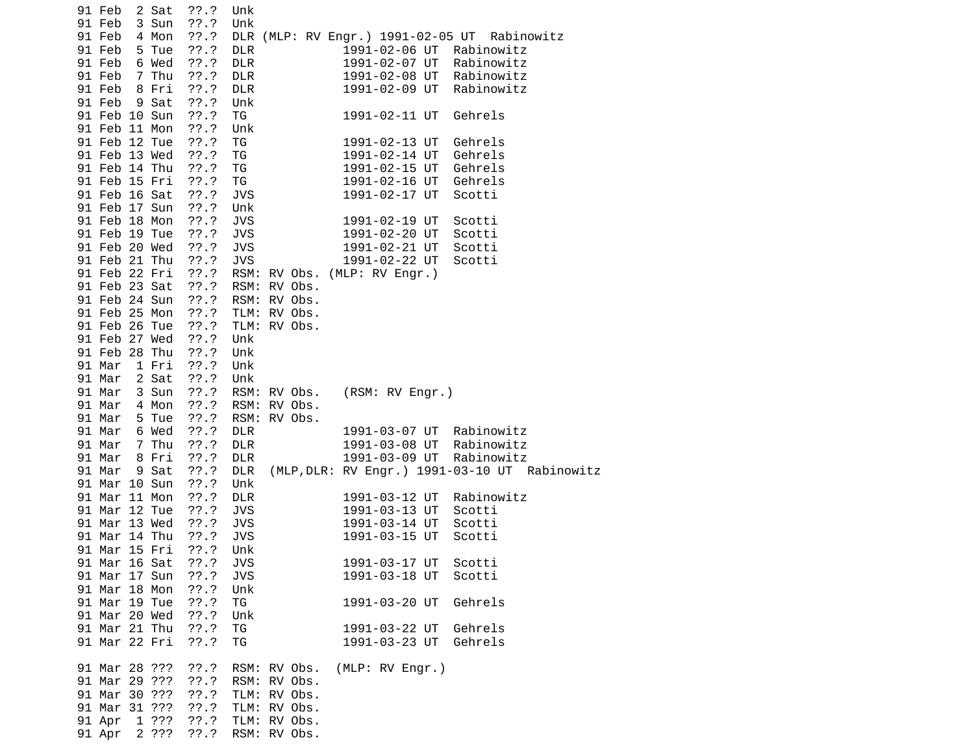| 91 Feb        |       | 2 Sat | $??\ .?$ | Unk        |              |                              |  |                                               |  |
|---------------|-------|-------|----------|------------|--------------|------------------------------|--|-----------------------------------------------|--|
| 91 Feb        |       | 3 Sun | ??.?     | Unk        |              |                              |  |                                               |  |
| 91 Feb        |       | 4 Mon | ??'.?    |            |              |                              |  | DLR (MLP: RV Engr.) 1991-02-05 UT Rabinowitz  |  |
| 91 Feb        | 5 Tue |       | ??'.?    | <b>DLR</b> |              | 1991-02-06 UT                |  | Rabinowitz                                    |  |
| 91 Feb        |       | 6 Wed | ??.?     | <b>DLR</b> |              | 1991-02-07 UT                |  | Rabinowitz                                    |  |
| 91 Feb        |       | 7 Thu | ??'.?    | DLR        |              | 1991-02-08 UT                |  | Rabinowitz                                    |  |
| 91 Feb        |       | 8 Fri | ??'.?    | <b>DLR</b> |              | 1991-02-09 UT                |  | Rabinowitz                                    |  |
| 91 Feb        |       | 9 Sat | ??'.?    | Unk        |              |                              |  |                                               |  |
| 91 Feb 10 Sun |       |       | $??\.?$  | TG         |              | 1991-02-11 UT                |  | Gehrels                                       |  |
| 91 Feb 11 Mon |       |       | ??'.?    | Unk        |              |                              |  |                                               |  |
| 91 Feb 12 Tue |       |       | ??'.?    | TG         |              | 1991-02-13 UT                |  | Gehrels                                       |  |
| 91 Feb 13 Wed |       |       | ??'.?    | ΤG         |              | 1991-02-14 UT                |  | Gehrels                                       |  |
| 91 Feb 14 Thu |       |       | ??'.?    | TG         |              | 1991-02-15 UT                |  | Gehrels                                       |  |
| 91 Feb 15 Fri |       |       | ??'.?    | TG         |              | 1991-02-16 UT                |  | Gehrels                                       |  |
| 91 Feb 16 Sat |       |       | ??'.?    | <b>JVS</b> |              | 1991-02-17 UT                |  | Scotti                                        |  |
| 91 Feb 17 Sun |       |       | ??'.?    | Unk        |              |                              |  |                                               |  |
| 91 Feb 18 Mon |       |       | $??\.?$  | <b>JVS</b> |              | 1991-02-19 UT                |  | Scotti                                        |  |
| 91 Feb 19 Tue |       |       | ??'.?    | <b>JVS</b> |              | 1991-02-20 UT                |  | Scotti                                        |  |
| 91 Feb 20 Wed |       |       | ??'.?    | <b>JVS</b> |              | 1991-02-21 UT                |  | Scotti                                        |  |
| 91 Feb 21 Thu |       |       | ??'.?    | <b>JVS</b> |              | 1991-02-22 UT                |  | Scotti                                        |  |
| 91 Feb 22 Fri |       |       | ??'.?    |            |              | RSM: RV Obs. (MLP: RV Engr.) |  |                                               |  |
| 91 Feb 23 Sat |       |       |          |            |              |                              |  |                                               |  |
| 91 Feb 24 Sun |       |       | ??'.?    |            | RSM: RV Obs. |                              |  |                                               |  |
|               |       |       | ??'.?    |            | RSM: RV Obs. |                              |  |                                               |  |
| 91 Feb 25 Mon |       |       | $??\ .?$ |            | TLM: RV Obs. |                              |  |                                               |  |
| 91 Feb 26 Tue |       |       | ??'.?    |            | TLM: RV Obs. |                              |  |                                               |  |
| 91 Feb 27 Wed |       |       | ??.?     | Unk        |              |                              |  |                                               |  |
| 91 Feb 28 Thu |       |       | $??\.?$  | Unk        |              |                              |  |                                               |  |
| 91 Mar        |       | 1 Fri | ??'.?    | Unk        |              |                              |  |                                               |  |
| 91 Mar        |       | 2 Sat | ??'.?    | Unk        |              |                              |  |                                               |  |
| 91 Mar        |       | 3 Sun | ??'.?    |            | RSM: RV Obs. | (RSM: RV Engr.)              |  |                                               |  |
| 91 Mar        |       | 4 Mon | ??'.?    |            | RSM: RV Obs. |                              |  |                                               |  |
| 91 Mar        |       | 5 Tue | ??'.?    |            | RSM: RV Obs. |                              |  |                                               |  |
| 91 Mar        |       | 6 Wed | ??'.?    | DLR        |              | 1991-03-07 UT                |  | Rabinowitz                                    |  |
| 91 Mar        |       | 7 Thu | ??'.?    | <b>DLR</b> |              | 1991-03-08 UT                |  | Rabinowitz                                    |  |
| 91 Mar        |       | 8 Fri | ??'.?    | <b>DLR</b> |              | 1991-03-09 UT                |  | Rabinowitz                                    |  |
| 91 Mar        |       | 9 Sat | ??'.?    | <b>DLR</b> |              |                              |  | (MLP, DLR: RV Engr.) 1991-03-10 UT Rabinowitz |  |
| 91 Mar 10 Sun |       |       | ??'.?    | Unk        |              |                              |  |                                               |  |
| 91 Mar 11 Mon |       |       | ??'.?    | <b>DLR</b> |              | 1991-03-12 UT                |  | Rabinowitz                                    |  |
| 91 Mar 12 Tue |       |       | ??'.?    | <b>JVS</b> |              | 1991-03-13 UT                |  | Scotti                                        |  |
| 91 Mar 13 Wed |       |       | ??'.?    | <b>JVS</b> |              | 1991-03-14 UT                |  | Scotti                                        |  |
| 91 Mar 14 Thu |       |       | ??'.?    | JVS        |              | 1991-03-15 UT                |  | Scotti                                        |  |
| 91 Mar 15 Fri |       |       | ??'.?    | Unk        |              |                              |  |                                               |  |
| 91 Mar 16 Sat |       |       | ??'.?    | <b>JVS</b> |              | 1991-03-17 UT                |  | Scotti                                        |  |
| 91 Mar 17 Sun |       |       | ??'.?    | <b>JVS</b> |              | 1991-03-18 UT                |  | Scotti                                        |  |
| 91 Mar 18 Mon |       |       | ??'.?    | Unk        |              |                              |  |                                               |  |
| 91 Mar 19 Tue |       |       | ??'.?    | ΤG         |              | 1991-03-20 UT                |  | Gehrels                                       |  |
| 91 Mar 20 Wed |       |       | ??'.?    | Unk        |              |                              |  |                                               |  |
| 91 Mar 21 Thu |       |       | ??'.?    | TG         |              | 1991-03-22 UT                |  | Gehrels                                       |  |
| 91 Mar 22 Fri |       |       | ??'.?    | TG         |              | 1991-03-23 UT                |  | Gehrels                                       |  |
| 91 Mar 28 ??? |       |       | ??'.?    |            | RSM: RV Obs. | (MLP: RV Engr.)              |  |                                               |  |
| 91 Mar 29 ??? |       |       | ??'.?    |            | RSM: RV Obs. |                              |  |                                               |  |
| 91 Mar 30 ??? |       |       | ??'.?    |            | TLM: RV Obs. |                              |  |                                               |  |
| 91 Mar 31 ??? |       |       | ??'.?    |            | TLM: RV Obs. |                              |  |                                               |  |
| 91 Apr        |       | 1 ??? | ??'.?    |            | TLM: RV Obs. |                              |  |                                               |  |
| 91 Apr 2 ???  |       |       | ??'.?    |            | RSM: RV Obs. |                              |  |                                               |  |
|               |       |       |          |            |              |                              |  |                                               |  |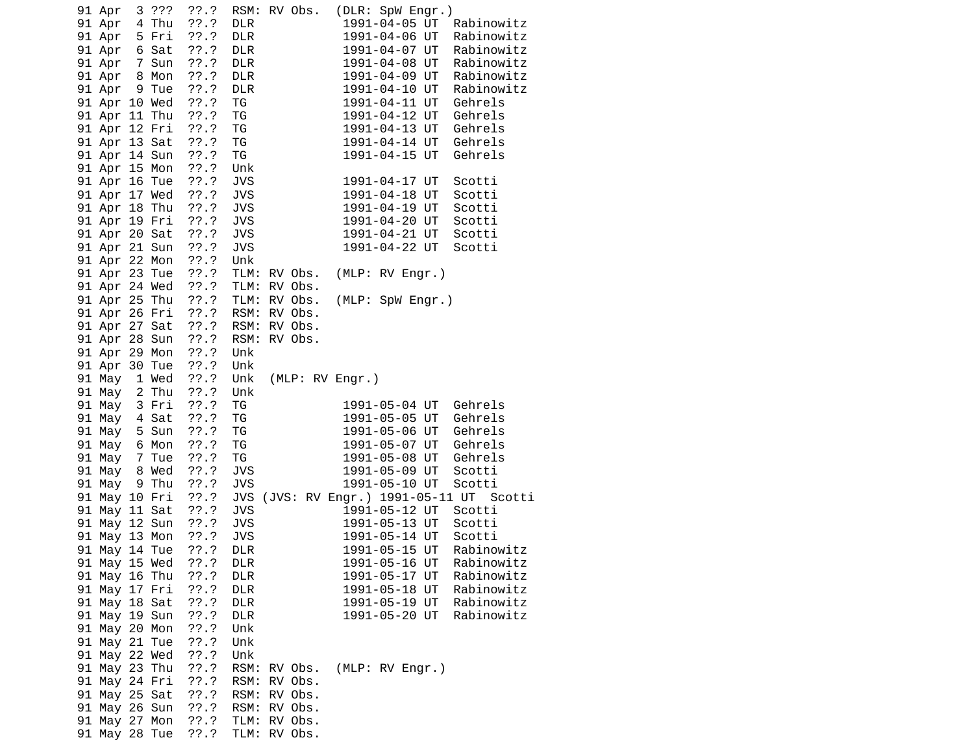|  | 91 Apr        | 3 ???                                        | ??'.?      | RSM: RV Obs. |                 | (DLR: SpW Engr.) |  |                                |                                          |
|--|---------------|----------------------------------------------|------------|--------------|-----------------|------------------|--|--------------------------------|------------------------------------------|
|  | 91 Apr 4 Thu  |                                              | $??\ .?$   | <b>DLR</b>   |                 |                  |  |                                | 1991-04-05 UT Rabinowitz                 |
|  | 91 Apr 5 Fri  |                                              | ??.?       | <b>DLR</b>   |                 |                  |  | 1991-04-06 UT                  | Rabinowitz                               |
|  |               |                                              | ??'.?      | <b>DLR</b>   |                 |                  |  | 1991-04-07 UT                  | Rabinowitz                               |
|  |               |                                              | ??'.?      | <b>DLR</b>   |                 |                  |  | 1991-04-08 UT                  | Rabinowitz                               |
|  |               | 91 Apr 6 Sat<br>91 Apr 7 Sun<br>91 Apr 8 Mon | ??'.?      | <b>DLR</b>   |                 |                  |  | 1991-04-09 UT                  | Rabinowitz                               |
|  |               | 91 Apr 9 Tue                                 | ??.?       | <b>DLR</b>   |                 | 1991-04-10 UT    |  |                                | Rabinowitz                               |
|  |               | 91 Apr 10 Wed                                | ??.?       | TG           |                 | 1991-04-11 UT    |  |                                | Gehrels                                  |
|  |               | 91 Apr 11 Thu                                | ??.?       | TG           |                 |                  |  | 1991-04-12 UT                  | Gehrels                                  |
|  |               | 91 Apr 12 Fri                                | 77.7       | TG           |                 |                  |  | 1991-04-13 UT                  | Gehrels                                  |
|  |               | 91 Apr 13 Sat                                | ??'.?      | TG           |                 |                  |  | 1991-04-14 UT                  | Gehrels                                  |
|  |               | 91 Apr 14 Sun                                | ??.?       | TG           |                 | 1991-04-15 UT    |  |                                | Gehrels                                  |
|  |               | 91 Apr 15 Mon                                | ??.?       | Unk          |                 |                  |  |                                |                                          |
|  |               | 91 Apr 16 Tue                                | $??\ .?$   | <b>JVS</b>   |                 |                  |  | 1991-04-17 UT                  | Scotti                                   |
|  |               | 91 Apr 17 Wed                                | 77.7       | <b>JVS</b>   |                 | 1991-04-18 UT    |  |                                | Scotti                                   |
|  |               | 91 Apr 18 Thu                                | $??\ .?$   | <b>JVS</b>   |                 | 1991-04-19 UT    |  |                                | Scotti                                   |
|  |               | 91 Apr 19 Fri                                | ??.?       | <b>JVS</b>   |                 | 1991-04-20 UT    |  |                                | Scotti                                   |
|  |               | 91 Apr 20 Sat                                |            | <b>JVS</b>   |                 |                  |  | 1991-04-21 UT                  | Scotti                                   |
|  |               | 91 Apr 21 Sun                                | ???<br>??? | <b>JVS</b>   |                 | 1991-04-22 UT    |  |                                | Scotti                                   |
|  |               | 91 Apr 22 Mon                                | ??'.?      | Unk          |                 |                  |  |                                |                                          |
|  |               | 91 Apr 23 Tue                                | $??\ .?$   | TLM: RV Obs. |                 | (MLP: RV Engr.)  |  |                                |                                          |
|  |               | 91 Apr 24 Wed                                | $??\ .?$   | TLM: RV Obs. |                 |                  |  |                                |                                          |
|  |               | 91 Apr 25 Thu                                | ??.?       | TLM: RV Obs. |                 | (MLP: SpW Engr.) |  |                                |                                          |
|  |               | 91 Apr 26 Fri                                | 77.7       | RSM: RV Obs. |                 |                  |  |                                |                                          |
|  |               | 91 Apr 27 Sat                                | ??'.?      | RSM: RV Obs. |                 |                  |  |                                |                                          |
|  |               | 91 Apr 28 Sun                                | $??\ .?$   | RSM: RV Obs. |                 |                  |  |                                |                                          |
|  |               | 91 Apr 29 Mon                                | $??\ .?$   | Unk          |                 |                  |  |                                |                                          |
|  |               | 91 Apr 30 Tue                                | $??\ .?$   | Unk          |                 |                  |  |                                |                                          |
|  |               | 91 May 1 Wed                                 | ??'.?      | Unk          | (MLP: RV Engr.) |                  |  |                                |                                          |
|  | 91 May 2 Thu  |                                              | ??.?       | Unk          |                 |                  |  |                                |                                          |
|  | 91 May 3 Fri  |                                              | ??.?       | TG           |                 |                  |  | 1991-05-04 UT                  | Gehrels                                  |
|  | 91 May 4 Sat  |                                              | ??.?       | TG           |                 |                  |  | 1991-05-05 UT                  | Gehrels                                  |
|  | 91 May 5 Sun  |                                              | $??\.?$    | TG           |                 |                  |  | 1991-05-06 UT                  | Gehrels                                  |
|  | 91 May 6 Mon  |                                              | $??\ .?$   | ΤG           |                 |                  |  | 1991-05-07 UT                  | Gehrels                                  |
|  | 91 May 7 Tue  |                                              | ??.?       | TG           |                 |                  |  | 1991-05-08 UT                  | Gehrels                                  |
|  | 91 May 8 Wed  |                                              | ??.?       | <b>JVS</b>   |                 | 1991-05-09 UT    |  |                                | Scotti                                   |
|  |               | 91 May 9 Thu                                 | ??.?       | <b>JVS</b>   |                 |                  |  | 1991-05-10 UT                  | Scotti                                   |
|  |               | 91 May 10 Fri                                | 77.7       |              |                 |                  |  |                                | JVS (JVS: RV Engr.) 1991-05-11 UT Scotti |
|  |               | 91 May 11 Sat                                | ??'.?      | <b>JVS</b>   |                 |                  |  | 1991-05-12 UT                  | Scotti                                   |
|  |               | 91 May 12 Sun                                | $??\ .?$   | <b>JVS</b>   |                 |                  |  | 1991-05-13 UT                  | Scotti                                   |
|  |               | 91 May 13 Mon                                | $??\ .?$   | <b>JVS</b>   |                 |                  |  |                                | Scotti                                   |
|  |               | 91 May 14 Tue                                | ??'.?      | <b>DLR</b>   |                 |                  |  | 1991-05-14 UT<br>1991-05-15 UT | Rabinowitz                               |
|  | 91 May 15 Wed |                                              | ??.?       | <b>DLR</b>   |                 | 1991-05-16 UT    |  |                                | Rabinowitz                               |
|  | 91 May 16 Thu |                                              | ??'.?      | <b>DLR</b>   |                 | 1991-05-17 UT    |  |                                | Rabinowitz                               |
|  | 91 May 17 Fri |                                              | ??.?       | <b>DLR</b>   |                 | 1991-05-18 UT    |  |                                | Rabinowitz                               |
|  | 91 May 18 Sat |                                              | ??.?       | <b>DLR</b>   |                 | 1991-05-19 UT    |  |                                | Rabinowitz                               |
|  | 91 May 19 Sun |                                              | ??'.?      | <b>DLR</b>   |                 | 1991-05-20 UT    |  |                                | Rabinowitz                               |
|  | 91 May 20 Mon |                                              | ??'.?      | Unk          |                 |                  |  |                                |                                          |
|  | 91 May 21 Tue |                                              | ??.?       | Unk          |                 |                  |  |                                |                                          |
|  | 91 May 22 Wed |                                              | $??\ .?$   | Unk          |                 |                  |  |                                |                                          |
|  | 91 May 23 Thu |                                              | ??'.?      | RSM:         | RV Obs.         | (MLP: RV Engr.)  |  |                                |                                          |
|  | 91 May 24 Fri |                                              | $??\ .?$   | RSM:         | RV Obs.         |                  |  |                                |                                          |
|  | 91 May 25 Sat |                                              | ??.?       | RSM:         | RV Obs.         |                  |  |                                |                                          |
|  | 91 May 26 Sun |                                              | ??.?       | RSM:         | RV Obs.         |                  |  |                                |                                          |
|  | 91 May 27 Mon |                                              | ??.?       | TLM: RV Obs. |                 |                  |  |                                |                                          |
|  | 91 May 28 Tue |                                              | $??\.?$    | TLM: RV Obs. |                 |                  |  |                                |                                          |
|  |               |                                              |            |              |                 |                  |  |                                |                                          |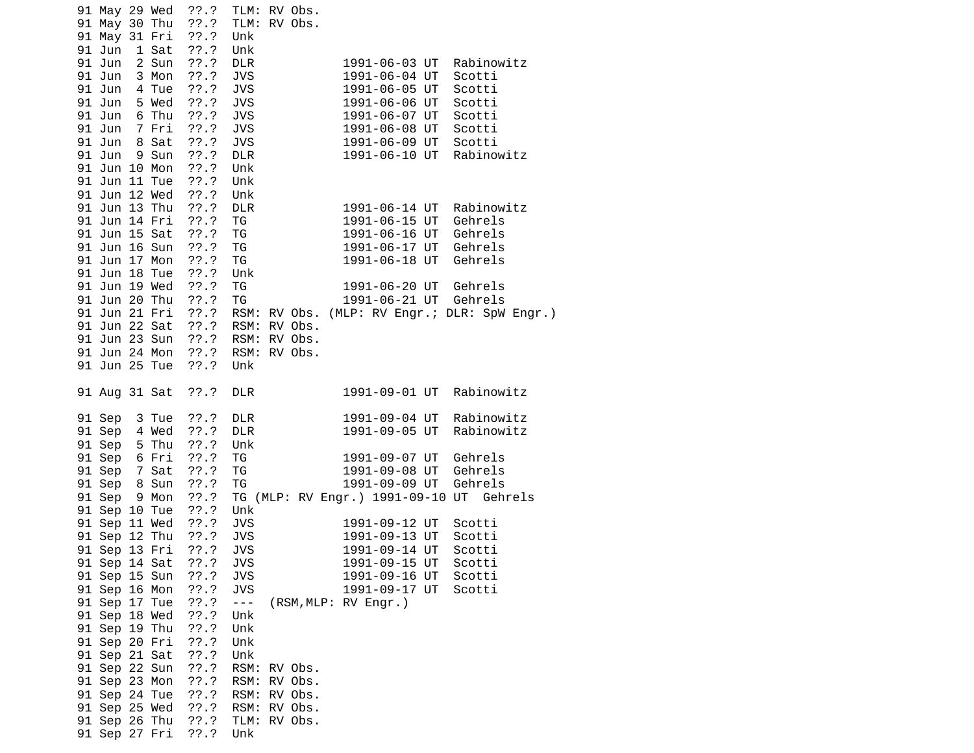| 91 May 29 Wed ??.? TLM: RV Obs.<br>91 May 30 Thu ??.?<br>91 May 31 Fri<br>??'.?<br>91 Jun 1 Sat<br>??.?<br>??'.?<br>91 Jun 2 Sun<br>$??\ .?$<br>91 Jun 3 Mon<br>91 Jun 4 Tue<br>??'.?<br>91 Jun 5 Wed<br>$??\ .?$<br>91 Jun 6 Thu<br>$??\ .?$<br>91 Jun 7 Fri<br>$??\ .?$<br>8 Sat<br>$??\ .?$<br>91 Jun<br>??'.?<br>91 Jun<br>9 Sun<br>91 Jun 10 Mon<br>??'.?<br>91 Jun 11 Tue<br>$??\ .?$<br>91 Jun 12 Wed<br>$??\ .?$<br>91 Jun 13 Thu<br>$??\ .?$<br>91 Jun 14 Fri<br>$??\ .?$<br>91 Jun 15 Sat<br>$??\ .?$<br>91 Jun 16 Sun<br>??'.?<br>91 Jun 17 Mon<br>??'.?<br>91 Jun 18 Tue<br>??'.?<br>91 Jun 19 Wed<br>??'.?<br>91 Jun 20 Thu<br>??'.?<br>91 Jun 21 Fri<br>$??\,$<br>91 Jun 22 Sat | TLM: RV Obs.<br>Unk<br>Unk<br><b>DLR</b><br><b>JVS</b><br><b>JVS</b><br><b>JVS</b><br><b>JVS</b><br><b>JVS</b><br><b>JVS</b><br><b>DLR</b><br>Unk<br>Unk<br>Unk<br>DLR<br>TG<br>TG<br>TG<br>TG<br>Unk<br>TG<br>TG<br>??.? RSM: RV Obs. | 1991-06-03 UT<br>1991-06-04 UT Scotti<br>1991-06-05 UT Scotti<br>1991-06-06 UT<br>1991-06-07 UT<br>1991-06-08 UT Scotti<br>1991-06-09 UT Scotti<br>1991-06-10 UT<br>1991-06-14 UT<br>1991-06-15 UT<br>1991-06-16 UT<br>1991-06-17 UT<br>1991-06-18 UT Gehrels<br>1991-06-20 UT Gehrels<br>1991-06-21 UT Gehrels<br>RSM: RV Obs. (MLP: RV Engr.; DLR: SpW Engr.) | Rabinowitz<br>Scotti<br>Scotti<br>Rabinowitz<br>Rabinowitz<br>Gehrels<br>Gehrels<br>Gehrels |
|-----------------------------------------------------------------------------------------------------------------------------------------------------------------------------------------------------------------------------------------------------------------------------------------------------------------------------------------------------------------------------------------------------------------------------------------------------------------------------------------------------------------------------------------------------------------------------------------------------------------------------------------------------------------------------------------------|----------------------------------------------------------------------------------------------------------------------------------------------------------------------------------------------------------------------------------------|-----------------------------------------------------------------------------------------------------------------------------------------------------------------------------------------------------------------------------------------------------------------------------------------------------------------------------------------------------------------|---------------------------------------------------------------------------------------------|
| 91 Jun 23 Sun<br>91 Jun 24 Mon ??.?                                                                                                                                                                                                                                                                                                                                                                                                                                                                                                                                                                                                                                                           | ??.? RSM: RV Obs.<br>RSM: RV Obs.                                                                                                                                                                                                      |                                                                                                                                                                                                                                                                                                                                                                 |                                                                                             |
| 91 Jun 25 Tue<br>??'.?                                                                                                                                                                                                                                                                                                                                                                                                                                                                                                                                                                                                                                                                        | Unk                                                                                                                                                                                                                                    |                                                                                                                                                                                                                                                                                                                                                                 |                                                                                             |
| $??\ .?$<br>91 Aug 31 Sat                                                                                                                                                                                                                                                                                                                                                                                                                                                                                                                                                                                                                                                                     | <b>DLR</b>                                                                                                                                                                                                                             | 1991-09-01 UT Rabinowitz                                                                                                                                                                                                                                                                                                                                        |                                                                                             |
| $??\ .?$<br>91 Sep 3 Tue<br>$??\ .?$<br>91 Sep 4 Wed<br>$??\ .?$                                                                                                                                                                                                                                                                                                                                                                                                                                                                                                                                                                                                                              | <b>DLR</b><br><b>DLR</b><br>Unk                                                                                                                                                                                                        | 1991-09-04 UT<br>1991-09-05 UT                                                                                                                                                                                                                                                                                                                                  | Rabinowitz<br>Rabinowitz                                                                    |
| 91 Sep 5 Thu<br>91 Sep 6 Fri<br>??'.?<br>91 Sep 7 Sat                                                                                                                                                                                                                                                                                                                                                                                                                                                                                                                                                                                                                                         | TG                                                                                                                                                                                                                                     | 1991-09-07 UT<br>1991-09-08 UT                                                                                                                                                                                                                                                                                                                                  | Gehrels                                                                                     |
| ??'.?<br>91 Sep 8 Sun<br>??'.?                                                                                                                                                                                                                                                                                                                                                                                                                                                                                                                                                                                                                                                                | TG<br>ΤG                                                                                                                                                                                                                               | 1991-09-09 UT                                                                                                                                                                                                                                                                                                                                                   | Gehrels<br>Gehrels                                                                          |
| ??'.?<br>91 Sep 9 Mon<br>$??\cdot?$                                                                                                                                                                                                                                                                                                                                                                                                                                                                                                                                                                                                                                                           |                                                                                                                                                                                                                                        | TG (MLP: RV Engr.) 1991-09-10 UT Gehrels                                                                                                                                                                                                                                                                                                                        |                                                                                             |
| 91 Sep 10 Tue<br>77.7<br>91 Sep 11 Wed                                                                                                                                                                                                                                                                                                                                                                                                                                                                                                                                                                                                                                                        | Unk<br><b>JVS</b>                                                                                                                                                                                                                      | 1991-09-12 UT                                                                                                                                                                                                                                                                                                                                                   | Scotti                                                                                      |
| ??'.?<br>91 Sep 12 Thu                                                                                                                                                                                                                                                                                                                                                                                                                                                                                                                                                                                                                                                                        | <b>JVS</b>                                                                                                                                                                                                                             | 1991-09-13 UT                                                                                                                                                                                                                                                                                                                                                   | Scotti                                                                                      |
| 77.7<br>91 Sep 13 Fri<br>91 Sep 14 Sat<br>$??\ .?$                                                                                                                                                                                                                                                                                                                                                                                                                                                                                                                                                                                                                                            | <b>JVS</b><br><b>JVS</b>                                                                                                                                                                                                               | 1991-09-14 UT<br>1991-09-15 UT                                                                                                                                                                                                                                                                                                                                  | Scotti<br>Scotti                                                                            |
| 91 Sep 15 Sun<br>??'.?                                                                                                                                                                                                                                                                                                                                                                                                                                                                                                                                                                                                                                                                        | <b>JVS</b>                                                                                                                                                                                                                             | 1991-09-16 UT                                                                                                                                                                                                                                                                                                                                                   | Scotti                                                                                      |
| 91 Sep 16 Mon<br>??'.?                                                                                                                                                                                                                                                                                                                                                                                                                                                                                                                                                                                                                                                                        | <b>JVS</b>                                                                                                                                                                                                                             | 1991-09-17 UT                                                                                                                                                                                                                                                                                                                                                   | Scotti                                                                                      |
| 77.7<br>91 Sep 17 Tue<br>91 Sep 18 Wed                                                                                                                                                                                                                                                                                                                                                                                                                                                                                                                                                                                                                                                        | $\sim$ $ \sim$<br>Unk                                                                                                                                                                                                                  | (RSM, MLP: RV Engr.)                                                                                                                                                                                                                                                                                                                                            |                                                                                             |
| ??'.?<br>91 Sep 19 Thu<br>??'.?                                                                                                                                                                                                                                                                                                                                                                                                                                                                                                                                                                                                                                                               | Unk                                                                                                                                                                                                                                    |                                                                                                                                                                                                                                                                                                                                                                 |                                                                                             |
| 91 Sep 20 Fri<br>??'.?                                                                                                                                                                                                                                                                                                                                                                                                                                                                                                                                                                                                                                                                        | Unk                                                                                                                                                                                                                                    |                                                                                                                                                                                                                                                                                                                                                                 |                                                                                             |
| 91 Sep 21 Sat<br>??'.?                                                                                                                                                                                                                                                                                                                                                                                                                                                                                                                                                                                                                                                                        | Unk                                                                                                                                                                                                                                    |                                                                                                                                                                                                                                                                                                                                                                 |                                                                                             |
| 91 Sep 22 Sun<br>$??\ .?$                                                                                                                                                                                                                                                                                                                                                                                                                                                                                                                                                                                                                                                                     | RSM: RV Obs.<br>RSM: RV Obs.                                                                                                                                                                                                           |                                                                                                                                                                                                                                                                                                                                                                 |                                                                                             |
| ??'.?<br>91 Sep 23 Mon<br>??'.?<br>91 Sep 24 Tue                                                                                                                                                                                                                                                                                                                                                                                                                                                                                                                                                                                                                                              | RSM: RV Obs.                                                                                                                                                                                                                           |                                                                                                                                                                                                                                                                                                                                                                 |                                                                                             |
| 77.7<br>91 Sep 25 Wed                                                                                                                                                                                                                                                                                                                                                                                                                                                                                                                                                                                                                                                                         | RSM: RV Obs.                                                                                                                                                                                                                           |                                                                                                                                                                                                                                                                                                                                                                 |                                                                                             |
| $??\.?$<br>91 Sep 26 Thu                                                                                                                                                                                                                                                                                                                                                                                                                                                                                                                                                                                                                                                                      | TLM: RV Obs.                                                                                                                                                                                                                           |                                                                                                                                                                                                                                                                                                                                                                 |                                                                                             |
| ??'.?<br>91 Sep 27 Fri                                                                                                                                                                                                                                                                                                                                                                                                                                                                                                                                                                                                                                                                        | Unk                                                                                                                                                                                                                                    |                                                                                                                                                                                                                                                                                                                                                                 |                                                                                             |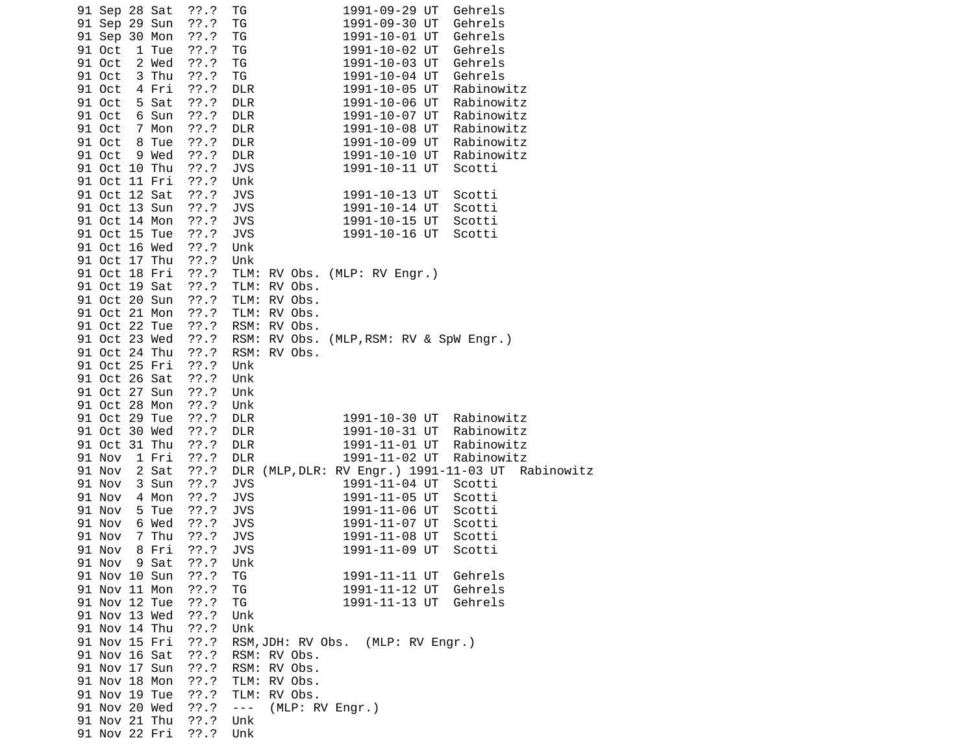| 91 Sep 28 Sat |       | ??.?       | 1991-09-29 UT<br>TG<br>Gehrels                    |
|---------------|-------|------------|---------------------------------------------------|
| 91 Sep 29 Sun |       | $??\ .?$   | ΤG<br>1991-09-30 UT<br>Gehrels                    |
| 91 Sep 30 Mon |       | $??\cdot?$ | ΤG<br>1991-10-01 UT<br>Gehrels                    |
| 91 Oct        | 1 Tue | $??\ .?$   | ΤG<br>1991-10-02 UT<br>Gehrels                    |
| 91 Oct 2 Wed  |       | $??\cdot?$ | TG<br>1991-10-03 UT<br>Gehrels                    |
| 91 Oct        | 3 Thu | ??'.?      | TG<br>1991-10-04 UT Gehrels                       |
| 91 Oct 4 Fri  |       | ??'.?      | 1991-10-05 UT<br><b>DLR</b><br>Rabinowitz         |
| 91 Oct 5 Sat  |       | ??'.?      | 1991-10-06 UT<br><b>DLR</b><br>Rabinowitz         |
| 91 Oct        | 6 Sun | ??'.?      | 1991-10-07 UT<br>Rabinowitz<br><b>DLR</b>         |
| 91 Oct 7 Mon  |       | ??'.?      | <b>DLR</b><br>1991-10-08 UT<br>Rabinowitz         |
| 91 Oct        | 8 Tue | ??'.?      | <b>DLR</b><br>1991-10-09 UT Rabinowitz            |
| 91 Oct        | 9 Wed | $??\ .?$   | <b>DLR</b><br>1991-10-10 UT Rabinowitz            |
| 91 Oct 10 Thu |       | $??\ .?$   | <b>JVS</b><br>Scotti<br>1991-10-11 UT             |
| 91 Oct 11 Fri |       | ??.?       | Unk                                               |
| 91 Oct 12 Sat |       | ??.?       | <b>JVS</b><br>1991-10-13 UT<br>Scotti             |
| 91 Oct 13 Sun |       | $??\cdot?$ | <b>JVS</b><br>1991-10-14 UT<br>Scotti             |
| 91 Oct 14 Mon |       | ??.?       | <b>JVS</b><br>1991-10-15 UT<br>Scotti             |
| 91 Oct 15 Tue |       | ??.?       | <b>JVS</b><br>1991-10-16 UT<br>Scotti             |
| 91 Oct 16 Wed |       | ??.?       | Unk                                               |
| 91 Oct 17 Thu |       | ??'.?      | Unk                                               |
| 91 Oct 18 Fri |       | $??\ .?$   | TLM: RV Obs. (MLP: RV Engr.)                      |
| 91 Oct 19 Sat |       | $??\ .?$   | TLM: RV Obs.                                      |
| 91 Oct 20 Sun |       | ??.?       | TLM: RV Obs.                                      |
| 91 Oct 21 Mon |       | $??\ .?$   | TLM: RV Obs.                                      |
| 91 Oct 22 Tue |       | $??\ .?$   | RSM: RV Obs.                                      |
| 91 Oct 23 Wed |       | ??.?       | RSM: RV Obs. (MLP, RSM: RV & SpW Engr.)           |
| 91 Oct 24 Thu |       | ??.?       | RSM: RV Obs.                                      |
| 91 Oct 25 Fri |       | ??.?       | Unk                                               |
| 91 Oct 26 Sat |       | ??.?       | Unk                                               |
| 91 Oct 27 Sun |       | $??\ .?$   | Unk                                               |
| 91 Oct 28 Mon |       | ??.?       | Unk                                               |
| 91 Oct 29 Tue |       | ??.?       | <b>DLR</b><br>1991-10-30 UT Rabinowitz            |
| 91 Oct 30 Wed |       | ??.?       | 1991-10-31 UT Rabinowitz<br><b>DLR</b>            |
| 91 Oct 31 Thu |       | ??'.?      | 1991-11-01 UT Rabinowitz<br><b>DLR</b>            |
| 91 Nov        | 1 Fri | $??\.?$    | 1991-11-02 UT Rabinowitz<br><b>DLR</b>            |
| 91 Nov        | 2 Sat | ??'.?      | DLR (MLP, DLR: RV Engr.) 1991-11-03 UT Rabinowitz |
| 91 Nov        | 3 Sun | $??\ .?$   | 1991-11-04 UT<br><b>JVS</b><br>Scotti             |
| 91 Nov        | 4 Mon | $??\ .?$   | <b>JVS</b><br>1991-11-05 UT<br>Scotti             |
| 91 Nov        | 5 Tue | ??'.?      | <b>JVS</b><br>1991-11-06 UT<br>Scotti             |
| 91 Nov        | 6 Wed | $??\cdot?$ | <b>JVS</b><br>1991-11-07 UT<br>Scotti             |
| 91 Nov        | 7 Thu | ??'.?      | <b>JVS</b><br>1991-11-08 UT<br>Scotti             |
| 91 Nov        | 8 Fri | $??\.?$    | <b>JVS</b><br>1991-11-09 UT<br>Scotti             |
| 91 Nov 9 Sat  |       | ??'.?      | Unk                                               |
| 91 Nov 10 Sun |       | $??\.?$    | 1991-11-11 UT Gehrels<br>TG                       |
| 91 Nov 11 Mon |       | ??.?       | TG<br>1991-11-12 UT Gehrels                       |
| 91 Nov 12 Tue |       |            | TG<br>1991-11-13 UT<br>Gehrels                    |
|               |       | $??\ .?$   |                                                   |
| 91 Nov 13 Wed |       | ??.?       | Unk                                               |
| 91 Nov 14 Thu |       | $??\cdot?$ | Unk                                               |
| 91 Nov 15 Fri |       | $??\cdot?$ | RSM, JDH: RV Obs. (MLP: RV Engr.)                 |
| 91 Nov 16 Sat |       | ??'.?      | RSM: RV Obs.                                      |
| 91 Nov 17 Sun |       | ??.?       | RSM: RV Obs.                                      |
| 91 Nov 18 Mon |       | ??.?       | TLM: RV Obs.                                      |
| 91 Nov 19 Tue |       | ??.?       | TLM: RV Obs.                                      |
| 91 Nov 20 Wed |       | ??.?       | (MLP: RV Engr.)<br>$\sim$ $ \sim$                 |
| 91 Nov 21 Thu |       | ??.?       | Unk                                               |
| 91 Nov 22 Fri |       | ??'.?      | Unk                                               |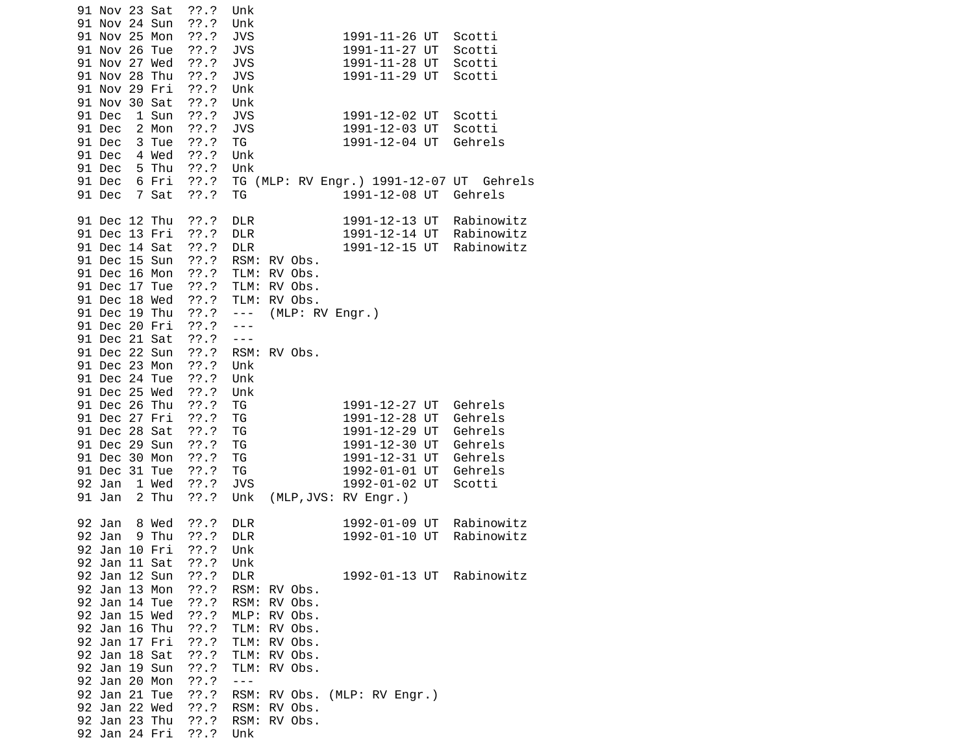| 91 Nov 23 Sat<br>??.?<br>91 Nov 24 Sun<br>??'.?<br>91 Nov 25 Mon<br>??'.?<br>91 Nov 26 Tue<br>??.?<br>??'.?<br>91 Nov 27 Wed<br>91 Nov 28 Thu<br>$??\ .?$<br>91 Nov 29 Fri<br>$??\cdot?$<br>91 Nov 30 Sat<br>$??\cdot?$<br>??'.?<br>91 Dec<br>1 Sun<br>2 Mon<br>??'.?<br>91 Dec<br>91 Dec<br>3 Tue<br>$??\.?$<br>91 Dec<br>4 Wed<br>$??\ .?$<br>5 Thu<br>$??\ .?$<br>91 Dec<br>$??\ .?$<br>91 Dec<br>6 Fri<br>??'.?<br>91 Dec<br>7 Sat                           | Unk<br>Unk<br><b>JVS</b><br>1991-11-26 UT<br>Scotti<br><b>JVS</b><br>1991-11-27 UT<br>Scotti<br><b>JVS</b><br>1991-11-28 UT<br>Scotti<br><b>JVS</b><br>1991-11-29 UT<br>Scotti<br>Unk<br>Unk<br><b>JVS</b><br>1991-12-02 UT<br>Scotti<br><b>JVS</b><br>1991-12-03 UT<br>Scotti<br>TG<br>1991-12-04 UT<br>Gehrels<br>Unk<br>Unk<br>TG (MLP: RV Engr.) 1991-12-07 UT Gehrels<br>1991-12-08 UT<br>Gehrels<br>ТG |
|------------------------------------------------------------------------------------------------------------------------------------------------------------------------------------------------------------------------------------------------------------------------------------------------------------------------------------------------------------------------------------------------------------------------------------------------------------------|--------------------------------------------------------------------------------------------------------------------------------------------------------------------------------------------------------------------------------------------------------------------------------------------------------------------------------------------------------------------------------------------------------------|
| 91 Dec 12 Thu<br>??'.?<br>91 Dec 13 Fri<br>??'.?<br>??'.?<br>91 Dec 14 Sat<br>$??\.?$<br>91 Dec 15 Sun<br>91 Dec 16 Mon<br>??.?<br>91 Dec 17 Tue<br>??.?<br>??'.?<br>91 Dec 18 Wed<br>$??\ .?$<br>91 Dec 19 Thu<br>$??\cdot?$<br>91 Dec 20 Fri<br>$??\ .?$<br>91 Dec 21 Sat<br>$??\ .?$<br>91 Dec 22 Sun<br>??'.?<br>91 Dec 23 Mon<br>91 Dec 24 Tue<br>$??\ .?$                                                                                                  | <b>DLR</b><br>1991-12-13 UT<br>Rabinowitz<br><b>DLR</b><br>1991-12-14 UT<br>Rabinowitz<br><b>DLR</b><br>1991-12-15 UT<br>Rabinowitz<br>RSM: RV Obs.<br>TLM: RV Obs.<br>TLM: RV Obs.<br>TLM: RV Obs.<br>(MLP: RV Engr.)<br>$\sim$ $\sim$ $\sim$ $\sim$<br>$- - -$<br>$- - -$<br>RSM: RV Obs.<br>Unk<br>Unk                                                                                                    |
| 91 Dec 25 Wed<br>??.?<br>91 Dec 26 Thu<br>$??\cdot?$<br>91 Dec 27 Fri<br>$??\ .?$<br>91 Dec 28 Sat<br>??'.?<br>91 Dec 29 Sun<br>$??\ .?$<br>91 Dec 30 Mon<br>??'.?<br>??'.?<br>91 Dec 31 Tue<br>??'.?<br>92 Jan 1 Wed<br>2 Thu<br>91 Jan<br>??'.?                                                                                                                                                                                                                | Unk<br>TG<br>1991-12-27 UT<br>Gehrels<br>1991-12-28 UT<br>ΤG<br>Gehrels<br>1991-12-29 UT<br>TG<br>Gehrels<br>TG<br>1991-12-30 UT<br>Gehrels<br>TG<br>1991-12-31 UT<br>Gehrels<br>ΤG<br>1992-01-01 UT<br>Gehrels<br>1992-01-02 UT<br><b>JVS</b><br>Scotti<br>(MLP, JVS: RV Engr.)<br>Unk                                                                                                                      |
| 8 Wed<br>??'.?<br>92 Jan<br>9 Thu<br>??'.?<br>92 Jan<br>92 Jan 10 Fri<br>??'.?<br>92 Jan 11 Sat<br>??.?<br>??'.?<br>92 Jan 12 Sun<br>92 Jan 13 Mon<br>$??\ .?$<br>??'.?<br>92 Jan 14 Tue<br>92 Jan 15 Wed<br>??'.?<br>92 Jan 16 Thu<br>??'.?<br>92 Jan 17 Fri<br>??'.?<br>92 Jan 18 Sat<br>??'.?<br>??'.?<br>92 Jan 19 Sun<br>92 Jan 20 Mon<br>??.?<br>92 Jan 21 Tue<br>??'.?<br>92 Jan 22 Wed<br>$??\ .?$<br>92 Jan 23 Thu<br>$??\.?$<br>??'.?<br>92 Jan 24 Fri | <b>DLR</b><br>Rabinowitz<br>1992-01-09 UT<br><b>DLR</b><br>1992-01-10 UT<br>Rabinowitz<br>Unk<br>Unk<br>Rabinowitz<br><b>DLR</b><br>1992-01-13 UT<br>RSM: RV Obs.<br>RSM:<br>RV Obs.<br>MLP: RV Obs.<br>TLM:<br>RV Obs.<br>TLM:<br>RV Obs.<br>TLM: RV Obs.<br>TLM: RV Obs.<br>$ -$<br>(MLP: RV Engr.)<br>RSM:<br>RV Obs.<br>RSM: RV Obs.<br>RSM: RV Obs.<br>Unk                                              |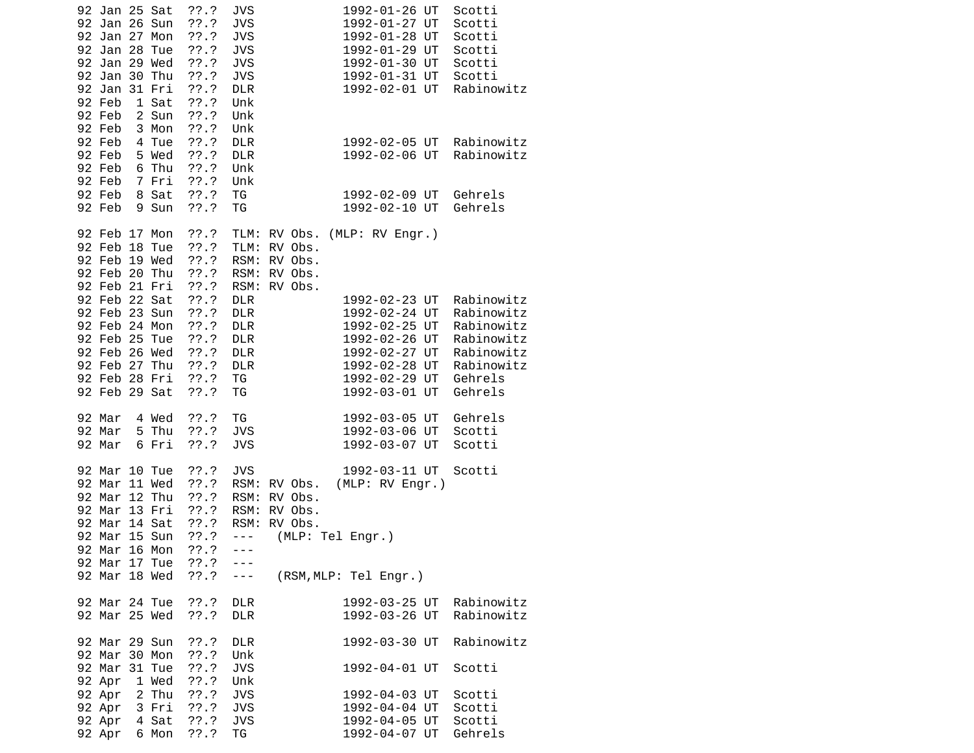| 92 Jan 25 Sat<br>92 Jan 26 Sun   |                | ??'.?<br>??'.?    | <b>JVS</b><br><b>JVS</b> |                              |  | 1992-01-26 UT<br>1992-01-27 UT |                                | Scotti<br>Scotti         |
|----------------------------------|----------------|-------------------|--------------------------|------------------------------|--|--------------------------------|--------------------------------|--------------------------|
| 92 Jan 27 Mon                    |                | ??.?              | <b>JVS</b>               |                              |  |                                | 1992-01-28 UT                  | Scotti                   |
| 92 Jan 28 Tue<br>92 Jan 29 Wed   |                | ??.?<br>??.?      | <b>JVS</b><br><b>JVS</b> |                              |  |                                | 1992-01-29 UT<br>1992-01-30 UT | Scotti<br>Scotti         |
| 92 Jan 30 Thu                    |                | $??\ .?$          | <b>JVS</b>               |                              |  |                                | 1992-01-31 UT                  | Scotti                   |
| 92 Jan 31 Fri                    |                | ??.?              | <b>DLR</b>               |                              |  |                                | 1992-02-01 UT                  | Rabinowitz               |
| 92 Feb                           | 1 Sat          | $??\ .?$          | Unk                      |                              |  |                                |                                |                          |
| 92 Feb<br>92 Feb                 | 2 Sun<br>3 Mon | $??\ .?$<br>??'.? | Unk<br>Unk               |                              |  |                                |                                |                          |
| 92 Feb                           | 4 Tue          | $??\.?$           | <b>DLR</b>               |                              |  |                                | 1992-02-05 UT                  | Rabinowitz               |
| 92 Feb                           | 5 Wed          | ??.?              | <b>DLR</b>               |                              |  |                                | 1992-02-06 UT                  | Rabinowitz               |
| 92 Feb                           | 6 Thu          | $??\ .?$          | Unk                      |                              |  |                                |                                |                          |
| 92 Feb<br>92 Feb                 | 7 Fri<br>8 Sat | ??.?<br>$??\ .?$  | Unk<br>TG                |                              |  |                                | 1992-02-09 UT                  | Gehrels                  |
| 92 Feb                           | 9 Sun          | ??.?              | ΤG                       |                              |  |                                | 1992-02-10 UT                  | Gehrels                  |
|                                  |                |                   |                          |                              |  |                                |                                |                          |
| 92 Feb 17 Mon                    |                | ??.?              |                          | TLM: RV Obs. (MLP: RV Engr.) |  |                                |                                |                          |
| 92 Feb 18 Tue<br>92 Feb 19 Wed   |                | $??\ .?$<br>??'.? | TLM:<br>RSM:             | RV Obs.<br>RV Obs.           |  |                                |                                |                          |
| 92 Feb 20 Thu                    |                | $??\ .?$          | RSM:                     | RV Obs.                      |  |                                |                                |                          |
| 92 Feb 21 Fri                    |                | ??.?              | RSM:                     | RV Obs.                      |  |                                |                                |                          |
| 92 Feb 22 Sat                    |                | ??.?              | <b>DLR</b>               |                              |  |                                | 1992-02-23 UT                  | Rabinowitz               |
| 92 Feb 23 Sun<br>92 Feb 24 Mon   |                | ??'.?<br>$??\ .?$ | <b>DLR</b><br><b>DLR</b> |                              |  |                                | 1992-02-24 UT<br>1992-02-25 UT | Rabinowitz<br>Rabinowitz |
| 92 Feb 25 Tue                    |                | $??\ .?$          | <b>DLR</b>               |                              |  |                                | 1992-02-26 UT                  | Rabinowitz               |
| 92 Feb 26 Wed                    |                | ??.?              | <b>DLR</b>               |                              |  | 1992-02-27 UT                  |                                | Rabinowitz               |
| 92 Feb 27 Thu                    |                | $??\ .?$          | <b>DLR</b>               |                              |  | 1992-02-28 UT                  |                                | Rabinowitz               |
| 92 Feb 28 Fri<br>92 Feb 29 Sat   |                | $??\ .?$<br>??'.? | TG<br>ΤG                 |                              |  | 1992-03-01 UT                  | 1992-02-29 UT                  | Gehrels<br>Gehrels       |
|                                  |                |                   |                          |                              |  |                                |                                |                          |
| 92 Mar                           | 4 Wed          | ??.?              | TG                       |                              |  | 1992-03-05 UT                  |                                | Gehrels                  |
| 92 Mar                           | 5 Thu          | ??'.?             | <b>JVS</b>               |                              |  | 1992-03-06 UT                  |                                | Scotti                   |
| 92 Mar                           | 6 Fri          | ??'.?             | <b>JVS</b>               |                              |  | 1992-03-07 UT                  |                                | Scotti                   |
| 92 Mar 10 Tue                    |                | ??'.?             | <b>JVS</b>               |                              |  |                                | 1992-03-11 UT                  | Scotti                   |
| 92 Mar 11 Wed                    |                | ??'.?             |                          | RSM: RV Obs.                 |  |                                | (MLP: RV Engr.)                |                          |
| 92 Mar 12 Thu                    |                | ??'.?             | RSM:                     | RV Obs.                      |  |                                |                                |                          |
| 92 Mar 13 Fri<br>92 Mar 14 Sat   |                | $??\ .?$<br>??.?  | RSM:                     | RV Obs.<br>RSM: RV Obs.      |  |                                |                                |                          |
| 92 Mar 15 Sun                    |                | ??.?              | $\sim$ $\sim$ $\sim$     | (MLP: Tel Engr.)             |  |                                |                                |                          |
| 92 Mar 16 Mon                    |                | ??'.?             | $- - -$                  |                              |  |                                |                                |                          |
| 92 Mar 17 Tue                    |                | ??'.?<br>??'.?    | $- - -$                  |                              |  |                                |                                |                          |
| 92 Mar 18 Wed                    |                |                   | $- - -$                  | (RSM, MLP: Tel Engr.)        |  |                                |                                |                          |
| 92 Mar 24 Tue                    |                | ??.?              | <b>DLR</b>               |                              |  |                                | 1992-03-25 UT                  | Rabinowitz               |
| 92 Mar 25 Wed                    |                | $??\ .?$          | <b>DLR</b>               |                              |  | 1992-03-26 UT                  |                                | Rabinowitz               |
| 92 Mar 29 Sun                    |                | ??.?              | <b>DLR</b>               |                              |  | 1992-03-30 UT                  |                                | Rabinowitz               |
| 92 Mar 30 Mon                    |                | ??.?              | Unk                      |                              |  |                                |                                |                          |
| 92 Mar 31 Tue                    |                | $??\ .?$          | <b>JVS</b>               |                              |  | 1992-04-01 UT                  |                                | Scotti                   |
| 92 Apr 1 Wed                     |                | $??\ .?$          | Unk                      |                              |  |                                |                                |                          |
| $92$ Apr $2$ Thu<br>92 Apr 3 Fri |                | ??'.?<br>??.?     | <b>JVS</b><br><b>JVS</b> |                              |  | 1992-04-03 UT                  | 1992-04-04 UT                  | Scotti<br>Scotti         |
| 92 Apr 4 Sat                     |                | ??.?              | <b>JVS</b>               |                              |  |                                | 1992-04-05 UT                  | Scotti                   |
| 92 Apr                           | 6 Mon          | $??\ .?$          | ΤG                       |                              |  | 1992-04-07 UT                  |                                | Gehrels                  |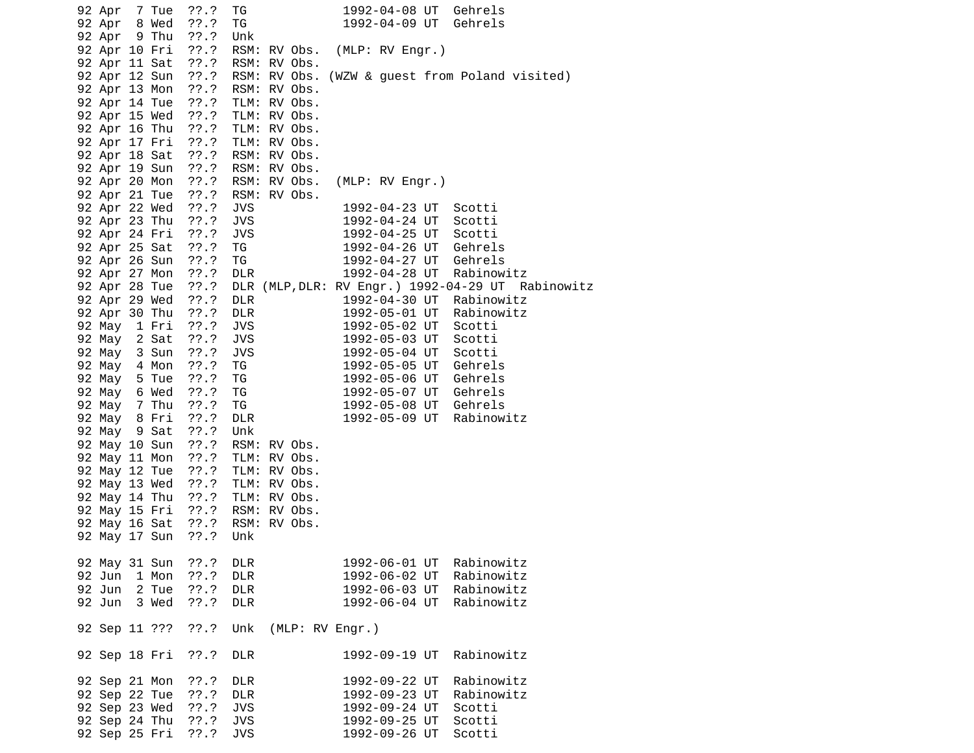|  | 92 Apr 7 Tue                   |                                | ??.?                            | TG                       |  | 1992-04-08 UT   |  | Gehrels                                              |
|--|--------------------------------|--------------------------------|---------------------------------|--------------------------|--|-----------------|--|------------------------------------------------------|
|  | 92 Apr 8 Wed<br>92 Apr 9 Thu   |                                | ??.?<br>??.?                    | TG<br>Unk                |  |                 |  | 1992-04-09 UT Gehrels                                |
|  | 92 Apr 10 Fri                  |                                | ??.?                            | RSM: RV Obs.             |  | (MLP: RV Engr.) |  |                                                      |
|  | 92 Apr 11 Sat                  |                                | ??.? RSM: RV Obs.               |                          |  |                 |  |                                                      |
|  |                                | 92 Apr 12 Sun                  |                                 |                          |  |                 |  | ??.? RSM: RV Obs. (WZW & guest from Poland visited)  |
|  |                                | 92 Apr 13 Mon<br>92 Apr 14 Tue | ??.? RSM: RV Obs.<br>??.?       | TLM: RV Obs.             |  |                 |  |                                                      |
|  |                                | 92 Apr 15 Wed                  | $??\ .?$                        | TLM: RV Obs.             |  |                 |  |                                                      |
|  |                                | 92 Apr 16 Thu                  | ??.? TLM: RV Obs.               |                          |  |                 |  |                                                      |
|  |                                | 92 Apr 17 Fri                  | ??.? TLM: RV Obs.               |                          |  |                 |  |                                                      |
|  |                                | 92 Apr 18 Sat                  | ??.? RSM: RV Obs.               |                          |  |                 |  |                                                      |
|  |                                | 92 Apr 19 Sun                  | ??.?                            | RSM: RV Obs.             |  |                 |  |                                                      |
|  | 92 Apr 20 Mon                  |                                | ??.? RSM: RV Obs.               |                          |  | (MLP: RV Engr.) |  |                                                      |
|  | 92 Apr 22 Wed                  | 92 Apr 21 Tue                  | ??.? RSM: RV Obs.<br>$??\ .?$   | <b>JVS</b>               |  | 1992-04-23 UT   |  | Scotti                                               |
|  |                                | 92 Apr 23 Thu                  | ??.?                            | <b>JVS</b>               |  | 1992-04-24 UT   |  | Scotti                                               |
|  | 92 Apr 24 Fri                  |                                | $??\ .?$                        | <b>JVS</b>               |  | 1992-04-25 UT   |  | Scotti                                               |
|  | 92 Apr 25 Sat                  |                                | ??'.?                           | TG                       |  |                 |  | 1992-04-26 UT Gehrels                                |
|  | 92 Apr 26 Sun                  |                                | $??\cdot?$                      | TG                       |  |                 |  | 1992-04-27 UT Gehrels                                |
|  | 92 Apr 27 Mon                  |                                | ??.?                            | <b>DLR</b>               |  |                 |  | 1992-04-28 UT Rabinowitz                             |
|  | 92 Apr 28 Tue                  |                                | $??\ .?$                        |                          |  |                 |  | DLR (MLP, DLR: RV Engr.) 1992-04-29 UT Rabinowitz    |
|  | 92 Apr 29 Wed<br>92 Apr 30 Thu |                                | $??\ .?$<br>$??\cdot?$          | <b>DLR</b><br><b>DLR</b> |  |                 |  | 1992-04-30 UT Rabinowitz<br>1992-05-01 UT Rabinowitz |
|  | 92 May 1 Fri                   |                                | ??.?                            | <b>JVS</b>               |  |                 |  | 1992-05-02 UT Scotti                                 |
|  | 92 May 2 Sat                   |                                | $??\ .?$                        | <b>JVS</b>               |  |                 |  | 1992-05-03 UT Scotti                                 |
|  | 92 May 3 Sun                   |                                | ??.?                            | <b>JVS</b>               |  | 1992-05-04 UT   |  | Scotti                                               |
|  | 92 May 4 Mon                   |                                | ??.?                            | TG                       |  |                 |  | 1992-05-05 UT Gehrels<br>1992-05-05 UT Gehrels       |
|  | 92 May 5 Tue                   |                                | ??'.?                           | TG                       |  |                 |  | 1992-05-06 UT Gehrels                                |
|  | 92 May 6 Wed                   |                                | ??.?                            | TG                       |  |                 |  | 1992-05-07 UT Gehrels                                |
|  | 92 May 7 Thu                   |                                | ??.?                            | TG                       |  |                 |  | 1992-05-08 UT Gehrels                                |
|  | 92 May 8 Fri<br>92 May 9 Sat   |                                | ??.?<br>??.?                    | <b>DLR</b><br>Unk        |  | 1992-05-09 UT   |  | Rabinowitz                                           |
|  | 92 May 10 Sun                  |                                | ??.? RSM: RV Obs.               |                          |  |                 |  |                                                      |
|  | 92 May 11 Mon                  |                                | ??.?                            | TLM: RV Obs.             |  |                 |  |                                                      |
|  | 92 May 12 Tue                  |                                | ??.?                            | TLM: RV Obs.             |  |                 |  |                                                      |
|  | 92 May 13 Wed                  |                                | $??\ .?$                        | TLM: RV Obs.             |  |                 |  |                                                      |
|  |                                | 92 May 14 Thu                  | ??.? TLM: RV Obs.               |                          |  |                 |  |                                                      |
|  |                                |                                | 92 May 15 Fri ??.? RSM: RV Obs. |                          |  |                 |  |                                                      |
|  | 92 May 17 Sun                  | 92 May 16 Sat                  | ??.? RSM: RV Obs.<br>$??\ .?$   | Unk                      |  |                 |  |                                                      |
|  |                                |                                |                                 |                          |  |                 |  |                                                      |
|  | 92 May 31 Sun                  |                                | $??\ .?$                        | <b>DLR</b>               |  | 1992-06-01 UT   |  | Rabinowitz                                           |
|  | 92 Jun                         | 1 Mon                          | $??\ .?$                        | <b>DLR</b>               |  | 1992-06-02 UT   |  | Rabinowitz                                           |
|  | 92 Jun                         | 2 Tue                          | ??'.?                           | <b>DLR</b>               |  | 1992-06-03 UT   |  | Rabinowitz                                           |
|  | 92 Jun                         | 3 Wed                          | ??'.?                           | <b>DLR</b>               |  | 1992-06-04 UT   |  | Rabinowitz                                           |
|  |                                | 92 Sep 11 ???                  | ??.?                            | Unk                      |  | (MLP: RV Engr.) |  |                                                      |
|  |                                |                                |                                 |                          |  |                 |  |                                                      |
|  | 92 Sep 18 Fri                  |                                | $??\ .?$                        | <b>DLR</b>               |  | 1992-09-19 UT   |  | Rabinowitz                                           |
|  | 92 Sep 21 Mon                  |                                | ??.?                            | DLR                      |  | 1992-09-22 UT   |  | Rabinowitz                                           |
|  | 92 Sep 22 Tue                  |                                | ??'.?                           | <b>DLR</b>               |  | 1992-09-23 UT   |  | Rabinowitz                                           |
|  | 92 Sep 23 Wed                  |                                | $??\ .?$                        | <b>JVS</b>               |  | 1992-09-24 UT   |  | Scotti                                               |
|  | 92 Sep 24 Thu                  |                                | $??\ .?$                        | <b>JVS</b>               |  | 1992-09-25 UT   |  | Scotti                                               |
|  | 92 Sep 25 Fri                  |                                | ??'.?                           | <b>JVS</b>               |  | 1992-09-26 UT   |  | Scotti                                               |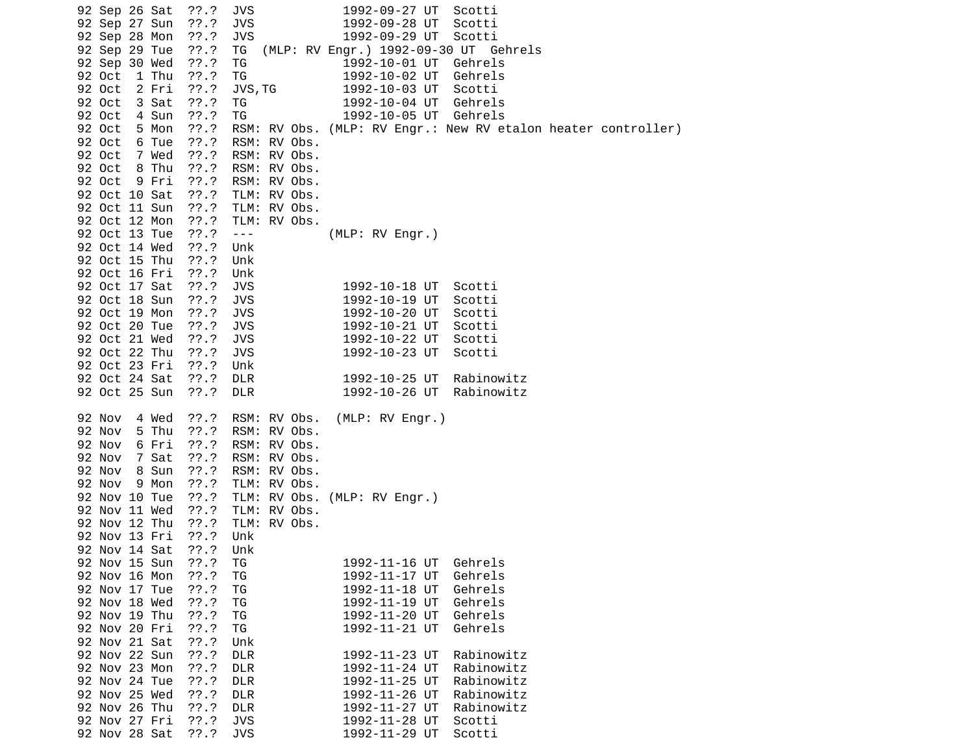| 92 Sep 26 Sat   | $??\.?$   | JVS                     | 1992-09-27 UT                         | Scotti                                                        |  |
|-----------------|-----------|-------------------------|---------------------------------------|---------------------------------------------------------------|--|
| 92 Sep 27 Sun   | ??'.?     | <b>JVS</b>              | 1992-09-28 UT                         | Scotti                                                        |  |
| 92 Sep 28 Mon   | ??'.?     | <b>JVS</b>              | 1992-09-29 UT                         | Scotti                                                        |  |
| 92 Sep 29 Tue   | $??\ .?$  | TG                      | (MLP: RV Engr.) 1992-09-30 UT Gehrels |                                                               |  |
| 92 Sep 30 Wed   | ??'.?     | ΤG                      | 1992-10-01 UT                         | Gehrels                                                       |  |
| 92 Oct<br>1 Thu | ??.?      | TG                      | 1992-10-02 UT                         | Gehrels                                                       |  |
| 92 Oct<br>2 Fri | ??'.?     | JVS, TG                 | 1992-10-03 UT                         | Scotti                                                        |  |
| 92 Oct<br>3 Sat | $??\.?$   | ΤG                      | 1992-10-04 UT                         | Gehrels                                                       |  |
| 92 Oct<br>4 Sun | ??'.?     | TG                      | 1992-10-05 UT Gehrels                 |                                                               |  |
| 92 Oct<br>5 Mon | ??'.?     |                         |                                       | RSM: RV Obs. (MLP: RV Engr.: New RV etalon heater controller) |  |
| 92 Oct<br>6 Tue | ??'.?     | RSM: RV Obs.            |                                       |                                                               |  |
| 92 Oct<br>7 Wed | ??'.?     | RSM: RV Obs.            |                                       |                                                               |  |
| 8 Thu<br>92 Oct | ??.?      | RSM: RV Obs.            |                                       |                                                               |  |
| 92 Oct<br>9 Fri | ??'.?     | RSM: RV Obs.            |                                       |                                                               |  |
| 92 Oct 10 Sat   | $??\, .?$ | TLM: RV Obs.            |                                       |                                                               |  |
| 92 Oct 11 Sun   | ??'.?     | TLM: RV Obs.            |                                       |                                                               |  |
| 92 Oct 12 Mon   | ??.?      | TLM: RV Obs.            |                                       |                                                               |  |
| 92 Oct 13 Tue   | $??\.?$   | $\perp$ $\perp$ $\perp$ | (MLP: RV Engr.)                       |                                                               |  |
| 92 Oct 14 Wed   | $??\ .?$  | Unk                     |                                       |                                                               |  |
| 92 Oct 15 Thu   | ??'.?     | Unk                     |                                       |                                                               |  |
| 92 Oct 16 Fri   | ??'.?     | Unk                     |                                       |                                                               |  |
| 92 Oct 17 Sat   | ??'.?     | <b>JVS</b>              | 1992-10-18 UT                         | Scotti                                                        |  |
| 92 Oct 18 Sun   | ??'.?     | <b>JVS</b>              | 1992-10-19 UT                         | Scotti                                                        |  |
| 92 Oct 19 Mon   | ??'.?     | <b>JVS</b>              | 1992-10-20 UT                         | Scotti                                                        |  |
| 92 Oct 20 Tue   | ??'.?     | <b>JVS</b>              | 1992-10-21 UT                         | Scotti                                                        |  |
| 92 Oct 21 Wed   | $??\.?$   | <b>JVS</b>              | 1992-10-22 UT                         | Scotti                                                        |  |
| 92 Oct 22 Thu   | $??\ .?$  | <b>JVS</b>              | 1992-10-23 UT                         | Scotti                                                        |  |
| 92 Oct 23 Fri   | $??\.?$   | Unk                     |                                       |                                                               |  |
| 92 Oct 24 Sat   | ??'.?     | <b>DLR</b>              | 1992-10-25 UT                         | Rabinowitz                                                    |  |
| 92 Oct 25 Sun   | ??'.?     | <b>DLR</b>              | 1992-10-26 UT                         | Rabinowitz                                                    |  |
|                 |           |                         |                                       |                                                               |  |
| 92 Nov<br>4 Wed | ??'.?     | RSM: RV Obs.            | (MLP: RV Engr.)                       |                                                               |  |
| 92 Nov<br>5 Thu | ??'.?     | RSM: RV Obs.            |                                       |                                                               |  |
| 92 Nov<br>6 Fri | ??'.?     | RSM: RV Obs.            |                                       |                                                               |  |
| 92 Nov<br>7 Sat | ??'.?     | RSM: RV Obs.            |                                       |                                                               |  |
| 92 Nov<br>8 Sun | $??\.?$   | RSM: RV Obs.            |                                       |                                                               |  |
| 92 Nov<br>9 Mon | $??\ .?$  | TLM: RV Obs.            |                                       |                                                               |  |
| 92 Nov 10 Tue   | $??\.?$   |                         | TLM: RV Obs. (MLP: RV Engr.)          |                                                               |  |
| 92 Nov 11 Wed   | $??\.?$   | TLM: RV Obs.            |                                       |                                                               |  |
| 92 Nov 12 Thu   | ??'.?     | TLM: RV Obs.            |                                       |                                                               |  |
| 92 Nov 13 Fri   | ??'.?     | Unk                     |                                       |                                                               |  |
| 92 Nov 14 Sat   | ??'.?     | Unk                     |                                       |                                                               |  |
| 92 Nov 15 Sun   | ??'.?     | ΤG                      | 1992-11-16 UT                         | Gehrels                                                       |  |
| 92 Nov 16 Mon   | ??'.?     | ΤG                      | 1992-11-17 UT                         | Gehrels                                                       |  |
| 92 Nov 17 Tue   | ??'.?     | TG                      | 1992-11-18 UT                         | Gehrels                                                       |  |
| 92 Nov 18 Wed   | ??'.?     | TG                      | 1992-11-19 UT                         | Gehrels                                                       |  |
| 92 Nov 19 Thu   | ??'.?     | TG                      | 1992-11-20 UT                         | Gehrels                                                       |  |
| 92 Nov 20 Fri   | ??'.?     | TG                      | 1992-11-21 UT                         | Gehrels                                                       |  |
| 92 Nov 21 Sat   | ??'.?     | Unk                     |                                       |                                                               |  |
| 92 Nov 22 Sun   | ??'.?     | <b>DLR</b>              | 1992-11-23 UT                         | Rabinowitz                                                    |  |
| 92 Nov 23 Mon   | ??'.?     | <b>DLR</b>              | 1992-11-24 UT                         | Rabinowitz                                                    |  |
| 92 Nov 24 Tue   | ??.?      | <b>DLR</b>              | 1992-11-25 UT                         | Rabinowitz                                                    |  |
| 92 Nov 25 Wed   | ??'.?     | <b>DLR</b>              | 1992-11-26 UT                         | Rabinowitz                                                    |  |
| 92 Nov 26 Thu   | ??'.?     | <b>DLR</b>              | 1992-11-27 UT                         | Rabinowitz                                                    |  |
| 92 Nov 27 Fri   | 77.7      | <b>JVS</b>              | 1992-11-28 UT                         | Scotti                                                        |  |
| 92 Nov 28 Sat   | 77.7      | <b>JVS</b>              | 1992-11-29 UT                         | Scotti                                                        |  |
|                 |           |                         |                                       |                                                               |  |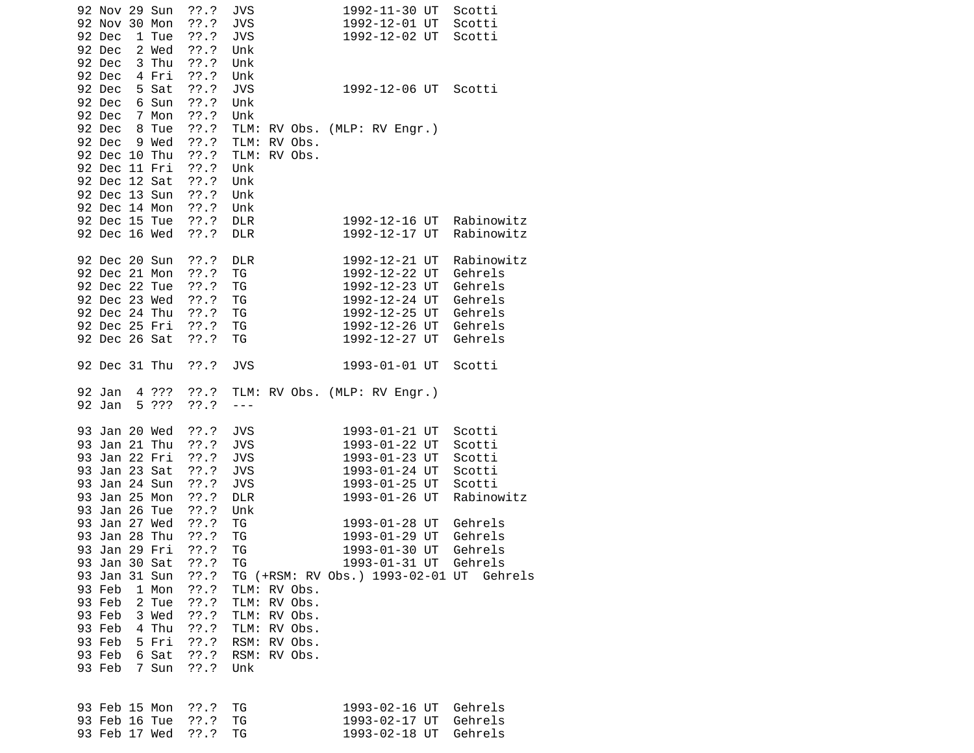| 92 Nov 29 Sun<br>92 Nov 30 Mon<br>92 Dec<br>92 Dec<br>92 Dec<br>92 Dec                                                        | 1 Tue<br>2 Wed<br>3 Thu<br>4 Fri | $??\ .?$<br>??'.?<br>??'.?<br>$??\ .?$<br>$??\cdot?$<br>$??\.?$                      | <b>JVS</b><br><b>JVS</b><br><b>JVS</b><br>Unk<br>Unk<br>Unk                      |                                                              | 1992-11-30 UT<br>Scotti<br>1992-12-01 UT<br>Scotti<br>1992-12-02 UT<br>Scotti                                                                                                                       |  |
|-------------------------------------------------------------------------------------------------------------------------------|----------------------------------|--------------------------------------------------------------------------------------|----------------------------------------------------------------------------------|--------------------------------------------------------------|-----------------------------------------------------------------------------------------------------------------------------------------------------------------------------------------------------|--|
| 92 Dec<br>92 Dec<br>92 Dec<br>92 Dec                                                                                          | 5 Sat<br>6 Sun<br>7 Mon<br>8 Tue | ??'.?<br>??.?<br>$??\ .?$<br>$??\cdot?$                                              | <b>JVS</b><br>Unk<br>Unk                                                         |                                                              | 1992-12-06 UT<br>Scotti<br>TLM: RV Obs. (MLP: RV Engr.)                                                                                                                                             |  |
| 92 Dec<br>92 Dec 10 Thu<br>92 Dec 11 Fri<br>92 Dec 12 Sat<br>92 Dec 13 Sun<br>92 Dec 14 Mon<br>92 Dec 15 Tue<br>92 Dec 16 Wed | 9 Wed                            | ??'.?<br>$??\ .?$<br>$??\cdot?$<br>$??\ .?$<br>$??\ .?$<br>$??\ .?$<br>??.?<br>??'.? | Unk<br>Unk<br>Unk<br>Unk<br><b>DLR</b><br><b>DLR</b>                             | TLM: RV Obs.<br>TLM: RV Obs.                                 | Rabinowitz<br>1992-12-16 UT<br>Rabinowitz<br>1992-12-17 UT                                                                                                                                          |  |
| 92 Dec 20 Sun<br>92 Dec 21 Mon<br>92 Dec 22 Tue<br>92 Dec 23 Wed<br>92 Dec 24 Thu<br>92 Dec 25 Fri<br>92 Dec 26 Sat           |                                  | $??\ .?$<br>??'.?<br>??.?<br>??.?<br>??.?<br>??'.?<br>$??\ .?$                       | <b>DLR</b><br>ΤG<br>ΤG<br>ΤG<br>ΤG<br>ΤG<br>ΤG                                   |                                                              | 1992-12-21 UT<br>Rabinowitz<br>1992-12-22 UT<br>Gehrels<br>1992-12-23 UT<br>Gehrels<br>1992-12-24 UT<br>Gehrels<br>1992-12-25 UT<br>Gehrels<br>1992-12-26 UT<br>Gehrels<br>1992-12-27 UT<br>Gehrels |  |
| 92 Dec 31 Thu                                                                                                                 |                                  | ??.?                                                                                 | <b>JVS</b>                                                                       |                                                              | 1993-01-01 UT<br>Scotti                                                                                                                                                                             |  |
| 92 Jan<br>92 Jan                                                                                                              | 5 ???                            | 4 ??? ??.?<br>??'.?                                                                  | $- - -$                                                                          |                                                              | TLM: RV Obs. (MLP: RV Engr.)                                                                                                                                                                        |  |
| 93 Jan 20 Wed<br>93 Jan 21 Thu<br>93 Jan 22 Fri<br>93 Jan 23 Sat<br>93 Jan 24 Sun<br>93 Jan 25 Mon<br>93 Jan 26 Tue           |                                  | ??.?<br>??'.?<br>??'.?<br>$??\cdot?$<br>$??\ .?$<br>??'.?<br>??.?                    | <b>JVS</b><br><b>JVS</b><br><b>JVS</b><br><b>JVS</b><br><b>JVS</b><br><b>DLR</b> |                                                              | 1993-01-21 UT<br>Scotti<br>1993-01-22 UT<br>Scotti<br>1993-01-23 UT<br>Scotti<br>1993-01-24 UT<br>Scotti<br>1993-01-25 UT<br>Scotti<br>1993-01-26 UT<br>Rabinowitz                                  |  |
| 93 Jan 27 Wed<br>93 Jan 28 Thu<br>93 Jan 29 Fri<br>93 Jan 30 Sat<br>93 Jan 31 Sun<br>93 Feb<br>93 Feb<br>93 Feb<br>93 Feb     | 1 Mon<br>2 Tue<br>3 Wed<br>4 Thu | ??.?<br>$??\cdot?$<br>$??\.?$<br>??'.?<br>??'.?<br>$??\ .?$<br>??.?<br>??.?<br>??'.? | Unk<br>ТG<br>ΤG<br>TG<br>ΤG                                                      | TLM: RV Obs.<br>TLM: RV Obs.<br>TLM: RV Obs.<br>TLM: RV Obs. | 1993-01-28 UT<br>Gehrels<br>Gehrels<br>1993-01-29 UT<br>1993-01-30 UT<br>Gehrels<br>1993-01-31 UT Gehrels<br>TG (+RSM: RV Obs.) 1993-02-01 UT Gehrels                                               |  |
| 93 Feb<br>93 Feb<br>93 Feb                                                                                                    | 5 Fri<br>6 Sat<br>7 Sun          | $??\cdot?$<br>$??\ .?$<br>$??\ .?$                                                   | RSM: RV Obs.<br>Unk                                                              | RSM: RV Obs.                                                 |                                                                                                                                                                                                     |  |
| 93 Feb 15 Mon<br>93 Feb 16 Tue<br>93 Feb 17 Wed                                                                               |                                  | ??.?<br>??.?<br>??'.?                                                                | ТG<br>TG<br>ΤG                                                                   |                                                              | Gehrels<br>1993-02-16 UT<br>Gehrels<br>1993-02-17 UT<br>1993-02-18 UT<br>Gehrels                                                                                                                    |  |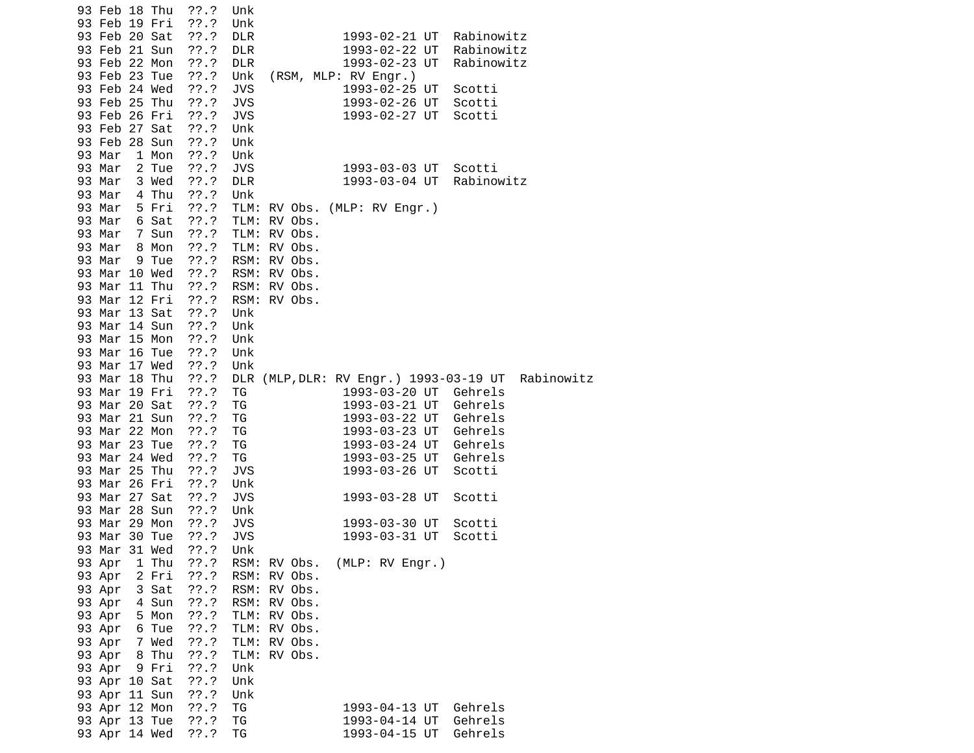| 93 Feb 18 Thu                  | $??\.?$        | Unk             |                                        |            |
|--------------------------------|----------------|-----------------|----------------------------------------|------------|
| 93 Feb 19 Fri                  | ??'.?          | Unk             |                                        |            |
| 93 Feb 20 Sat                  | ??'.?          | <b>DLR</b>      | 1993-02-21 UT                          | Rabinowitz |
| 93 Feb 21 Sun                  | ??.?           | <b>DLR</b>      | 1993-02-22 UT                          | Rabinowitz |
| 93 Feb 22 Mon                  | $??\cdot?$     | <b>DLR</b>      | 1993-02-23 UT                          | Rabinowitz |
| 93 Feb 23 Tue                  | ??'.?          | Unk             | (RSM, MLP: RV Engr.)                   |            |
| 93 Feb 24 Wed                  | ??.?           | <b>JVS</b>      | 1993-02-25 UT                          | Scotti     |
| 93 Feb 25 Thu                  | $??\ .?$       | <b>JVS</b>      | 1993-02-26 UT                          | Scotti     |
| 93 Feb 26 Fri                  | $??\ .?$       | <b>JVS</b>      | 1993-02-27 UT                          | Scotti     |
| 93 Feb 27 Sat                  | $??\ .?$       | Unk             |                                        |            |
| 93 Feb 28 Sun                  | ??'.?          | Unk             |                                        |            |
| 93 Mar<br>1 Mon                | ??'.?          | Unk             |                                        |            |
| 93 Mar<br>2 Tue                | $??\ .?$       | <b>JVS</b>      | 1993-03-03 UT                          | Scotti     |
| 93 Mar<br>3 Wed                | $??\cdot?$     | <b>DLR</b>      | 1993-03-04 UT                          | Rabinowitz |
| 93 Mar<br>4 Thu                | ??'.?          | Unk             |                                        |            |
| 93 Mar<br>5 Fri                | ??'.?          |                 | TLM: RV Obs. (MLP: RV Engr.)           |            |
| 93 Mar<br>6 Sat                | ??'.?          | TLM:<br>RV Obs. |                                        |            |
| 93 Mar<br>7 Sun                | ??'.?          | TLM: RV Obs.    |                                        |            |
| 93 Mar<br>8 Mon                | ??'.?          | TLM: RV Obs.    |                                        |            |
| 93 Mar<br>9 Tue                | ??'.?          | RSM: RV Obs.    |                                        |            |
| 93 Mar 10 Wed                  | ??.?           | RSM: RV Obs.    |                                        |            |
| 93 Mar 11 Thu                  | ??.?           | RSM: RV Obs.    |                                        |            |
| 93 Mar 12 Fri                  | ??.?           | RSM: RV Obs.    |                                        |            |
| 93 Mar 13 Sat                  | $??\ .?$       | Unk             |                                        |            |
| 93 Mar 14 Sun                  | $??\ .?$       | Unk             |                                        |            |
| 93 Mar 15 Mon                  | $??\cdot?$     | Unk             |                                        |            |
| 93 Mar 16 Tue                  | ??.?           | Unk             |                                        |            |
| 93 Mar 17 Wed                  | ??.?           | Unk             |                                        |            |
| 93 Mar 18 Thu                  | $??\ .?$       |                 | DLR (MLP, DLR: RV Engr.) 1993-03-19 UT | Rabinowitz |
| 93 Mar 19 Fri                  | $??\.?$        | ΤG              | 1993-03-20 UT Gehrels                  |            |
| 93 Mar 20 Sat                  | $??\ .?$       | TG              | 1993-03-21 UT Gehrels                  |            |
| 93 Mar 21 Sun                  | ??'.?          | TG              | 1993-03-22 UT Gehrels                  |            |
| 93 Mar 22 Mon                  | $??\.?$        | TG              | 1993-03-23 UT Gehrels                  |            |
| 93 Mar 23 Tue                  | ??'.?          | ΤG              | 1993-03-24 UT                          | Gehrels    |
| 93 Mar 24 Wed                  | $??\.?$        | TG              | 1993-03-25 UT                          | Gehrels    |
| 93 Mar 25 Thu                  | ??.?           | JVS             | 1993-03-26 UT                          | Scotti     |
| 93 Mar 26 Fri                  | $??\.?$        | Unk             |                                        |            |
| 93 Mar 27 Sat                  | ??'.?          | JVS             | 1993-03-28 UT                          | Scotti     |
| 93 Mar 28 Sun                  | ??'.?          | Unk             |                                        |            |
| 93 Mar 29 Mon                  | ??'.?          | <b>JVS</b>      | 1993-03-30 UT                          | Scotti     |
| 93 Mar 30 Tue                  | $??\ .?$       | <b>JVS</b>      | 1993-03-31 UT                          | Scotti     |
| 93 Mar 31 Wed                  | ??'.?          | Unk             |                                        |            |
| 93 Apr<br>1 Thu                | ??.?           | RSM: RV Obs.    | (MLP: RV Engr.)                        |            |
| 93 Apr<br>2 Fri                | ??'.?          | RSM: RV Obs.    |                                        |            |
| 93 Apr<br>3 Sat                | ??'.?          | RSM:<br>RV Obs. |                                        |            |
| 93 Apr<br>4 Sun                | $??\.?$        | RSM: RV Obs.    |                                        |            |
| 93 Apr<br>5 Mon                | ??'.?          | TLM: RV Obs.    |                                        |            |
| 93 Apr<br>6 Tue                | 77.7           | TLM: RV Obs.    |                                        |            |
| 7 Wed<br>93 Apr                | ??'.?          | TLM:<br>RV Obs. |                                        |            |
| 93 Apr<br>8 Thu                | ??'.?          | TLM:<br>RV Obs. |                                        |            |
| 93 Apr<br>9 Fri                | ??'.?<br>??'.? | Unk             |                                        |            |
| 93 Apr 10 Sat<br>93 Apr 11 Sun | ??'.?          | Unk             |                                        |            |
| 93 Apr 12 Mon                  | ??.?           | Unk             |                                        | Gehrels    |
| 93 Apr 13 Tue                  | ??.?           | ΤG<br>TG        | 1993-04-13 UT<br>1993-04-14 UT         | Gehrels    |
| 93 Apr 14 Wed                  | 77.7           | ΤG              | 1993-04-15 UT                          | Gehrels    |
|                                |                |                 |                                        |            |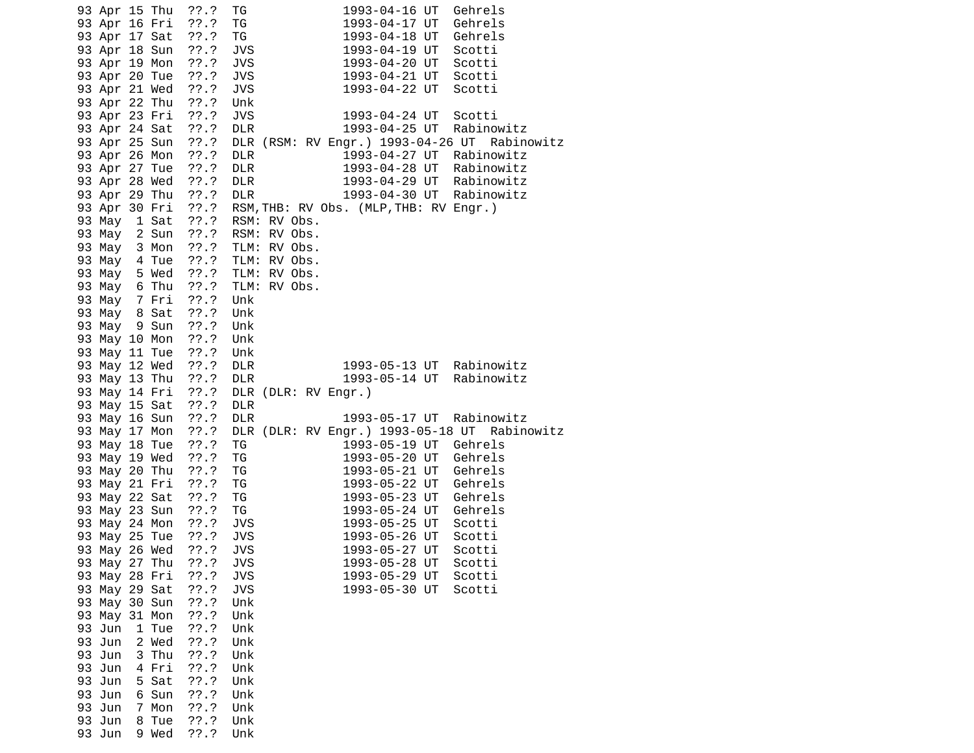|        |        | 93 Apr 15 Thu  | $??\, .?$             | 1993-04-16 UT<br>Gehrels<br>TG.                                         |
|--------|--------|----------------|-----------------------|-------------------------------------------------------------------------|
|        |        |                | 93 Apr 16 Fri ??.?    | ΤG<br>1993-04-17 UT<br>Gehrels                                          |
|        |        |                | 93 Apr 17 Sat ??.?    | TG<br>Gehrels                                                           |
|        |        |                | 93 Apr 18 Sun ??.?    | JVS<br>Scotti                                                           |
|        |        |                | 93 Apr 19 Mon ??.?    | 1993-04-18 UT<br>1993-04-19 UT<br>1993-04-20 UT<br><b>JVS</b><br>Scotti |
|        |        |                |                       | $1993 - 04 - 21$ UT                                                     |
|        |        |                | 93 Apr 20 Tue ??.?    | <b>JVS</b><br>Scotti                                                    |
|        |        |                | 93 Apr 21 Wed ??.?    | 1993-04-22 UT<br><b>JVS</b><br>Scotti                                   |
|        |        |                | 93 Apr 22 Thu ??.?    | Unk                                                                     |
|        |        |                | 93 Apr 23 Fri ??.?    | <b>JVS</b><br>1993-04-24 UT<br>Scotti                                   |
|        |        |                | 93 Apr 24 Sat ??.?    | 1993-04-25 UT<br><b>DLR</b><br>Rabinowitz                               |
|        |        |                | 93 Apr 25 Sun ??.?    | DLR (RSM: RV Engr.) 1993-04-26 UT Rabinowitz                            |
|        |        | 93 Apr 26 Mon  | ??.?                  | <b>DLR</b><br>1993-04-27 UT Rabinowitz                                  |
|        |        |                | 93 Apr 27 Tue ??.?    | <b>DLR</b>                                                              |
|        |        |                | 93 Apr 28 Wed ??.?    | 1993-04-28 UT Rabinowitz<br>1993-04-29 UT Rabinowitz<br>DLR             |
|        |        |                | 93 Apr 29 Thu ??.?    | 1993-04-30 UT Rabinowitz<br><b>DLR</b>                                  |
|        |        |                | 93 Apr 30 Fri ??.?    | RSM, THB: RV Obs. (MLP, THB: RV Engr.)                                  |
|        |        |                | 93 May 1 Sat ??.?     | RSM: RV Obs.                                                            |
|        |        |                |                       |                                                                         |
|        |        |                |                       | 93 May 2 Sun ??.? RSM: RV Obs.                                          |
|        |        |                |                       | 93 May 3 Mon ??.? TLM: RV Obs.                                          |
|        |        |                | 93 May 4 Tue ??.?     | TLM: RV Obs.                                                            |
|        |        |                |                       | 93 May 5 Wed ??.? TLM: RV Obs.                                          |
|        |        |                |                       | 93 May 6 Thu ??.? TLM: RV Obs.                                          |
|        |        |                | 93 May 7 Fri ??.? Unk |                                                                         |
|        |        |                | 93 May 8 Sat ??.?     | Unk                                                                     |
|        |        |                | 93 May 9 Sun ??.?     | Unk                                                                     |
|        |        | 93 May 10 Mon  | ??.?                  | Unk                                                                     |
|        |        |                | 93 May 11 Tue ??.?    | Unk                                                                     |
|        |        |                | 93 May 12 Wed ??.?    | 1993-05-13 UT Rabinowitz<br><b>DLR</b>                                  |
|        |        |                | 93 May 13 Thu ??.?    | 1993-05-14 UT<br><b>DLR</b><br>Rabinowitz                               |
|        |        |                | 93 May 14 Fri ??.?    | DLR (DLR: RV Engr.)                                                     |
|        |        |                | 93 May 15 Sat ??.?    | <b>DLR</b>                                                              |
|        |        |                | 93 May 16 Sun ??.?    | 1993-05-17 UT Rabinowitz<br><b>DLR</b>                                  |
|        |        |                | 93 May 17 Mon ??.?    | DLR (DLR: RV Engr.) 1993-05-18 UT Rabinowitz                            |
|        |        | 93 May 18 Tue  | $??\ .?$              | 1993-05-19 UT Gehrels<br>ТG                                             |
|        |        | 93 May 19 Wed  | ??.?                  | TG<br>Gehrels<br>1993-05-20 UT                                          |
|        |        | 93 May 20 Thu  | ??.?                  | TG<br>1993-05-21 UT<br>Gehrels                                          |
|        |        |                |                       | 1993-05-22 UT                                                           |
|        |        |                | 93 May 21 Fri ??.?    | TG<br>Gehrels<br>1993-05-23 UT                                          |
|        |        |                | 93 May 22 Sat ??.?    | ΤG<br>Gehrels                                                           |
|        |        |                | 93 May 23 Sun ??.?    | 1993-05-24 UT<br>TG<br>Gehrels                                          |
|        |        | 93 May 24 Mon  | ??.?                  | 1993-05-25 UT<br>JVS<br>Scotti                                          |
|        |        |                |                       | 1993-05-26 UT<br>1993-05-27 בדו<br>Scotti                               |
|        |        | 93 May 26 Wed  | 77.7                  | <b>JVS</b><br>Scotti                                                    |
|        |        | 93 May 27 Thu  | 77.7                  | <b>JVS</b><br>1993-05-28 UT<br>Scotti                                   |
|        |        | 93 May 28 Fri  | 77.7                  | <b>JVS</b><br>Scotti<br>1993-05-29 UT                                   |
|        |        | 93 May 29 Sat  | ??'.?                 | <b>JVS</b><br>1993-05-30 UT<br>Scotti                                   |
|        |        | 93 May 30 Sun  | 77.7                  | Unk                                                                     |
|        |        | 93 May 31 Mon  | ??'.?                 | Unk                                                                     |
| 93 Jun |        | 1 Tue          | ??'.?                 | Unk                                                                     |
| 93 Jun |        | 2 Wed          | 77.7                  | Unk                                                                     |
| 93 Jun |        | 3 Thu          | ??'.?                 | Unk                                                                     |
| 93 Jun |        | 4 Fri          | ??'.?                 | Unk                                                                     |
| 93 Jun |        | 5 Sat          | ??'.?                 | Unk                                                                     |
| 93 Jun |        | 6 Sun          | 77.7                  | Unk                                                                     |
|        |        |                |                       |                                                                         |
| 93 Jun |        | 7 Mon<br>8 Tue | ??'.?<br>??'.?        | Unk<br>Unk                                                              |
|        |        |                |                       |                                                                         |
| 93 Jun | 93 Jun | 9 Wed          | ??'.?                 | Unk                                                                     |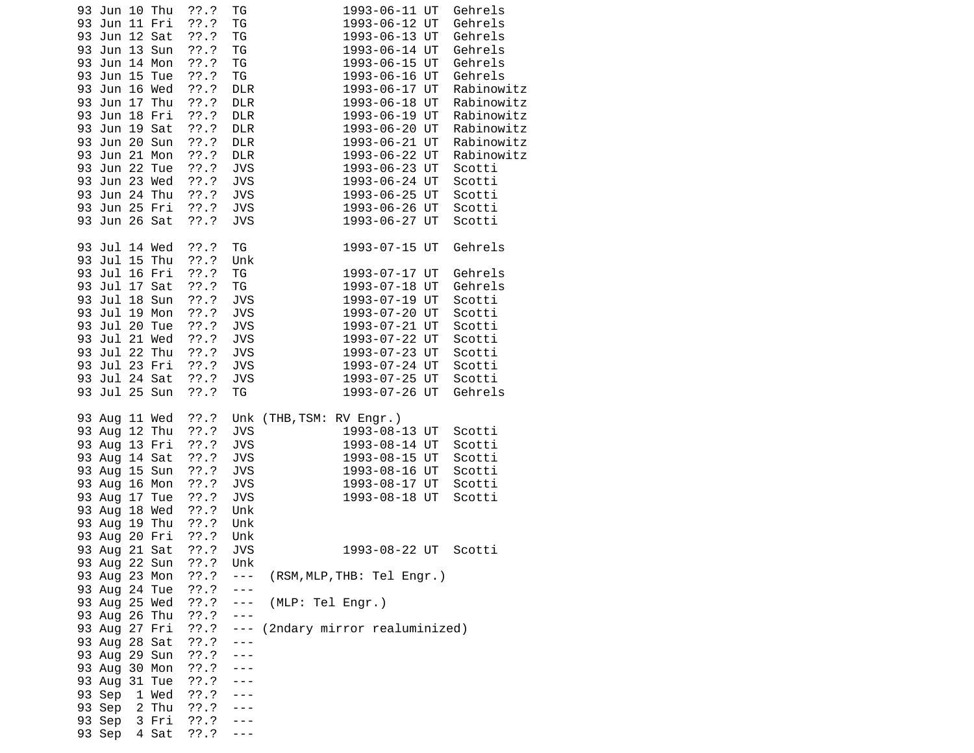| 93 Jun 10 Thu<br>93 Jun 11 Fri<br>93 Jun 12 Sat<br>93 Jun 13 Sun<br>93 Jun 14 Mon<br>93 Jun 15 Tue<br>93 Jun 16 Wed<br>93 Jun 17 Thu<br>93 Jun 18 Fri<br>93 Jun 19 Sat<br>93 Jun 20 Sun<br>93 Jun 21 Mon<br>93 Jun 22 Tue<br>93 Jun 23 Wed<br>93 Jun 24 Thu<br>93 Jun 25 Fri<br>93 Jun 26 Sat                  | ??'.?<br>??'.?<br>??'.?<br>$??\cdot?$<br>$??\ .?$<br>$??\cdot?$<br>??'.?<br>$??\ .?$<br>??'.?<br>$??\cdot?$<br>$??\ .?$<br>$??\cdot?$<br>$??\ .?$<br>$??\cdot?$<br>??.?<br>$??\ .?$<br>??'.? | TG<br>TG<br>TG<br>TG<br>TG<br>${\tt TG}$<br><b>DLR</b><br><b>DLR</b><br><b>DLR</b><br><b>DLR</b><br><b>DLR</b><br><b>DLR</b><br><b>JVS</b><br><b>JVS</b><br><b>JVS</b><br><b>JVS</b><br><b>JVS</b> | 1993-06-11 UT<br>Gehrels<br>1993-06-12 UT<br>Gehrels<br>1993-06-13 UT<br>Gehrels<br>1993-06-14 UT<br>Gehrels<br>1993-06-15 UT<br>Gehrels<br>Gehrels<br>1993-06-16 UT<br>1993-06-17 UT<br>Rabinowitz<br>1993-06-18 UT<br>Rabinowitz<br>Rabinowitz<br>1993-06-19 UT<br>1993-06-20 UT<br>Rabinowitz<br>Rabinowitz<br>1993-06-21 UT<br>1993-06-22 UT<br>Rabinowitz<br>1993-06-23 UT<br>Scotti<br>1993-06-24 UT<br>Scotti<br>1993-06-25 UT<br>Scotti<br>1993-06-26 UT<br>Scotti<br>1993-06-27 UT<br>Scotti |
|----------------------------------------------------------------------------------------------------------------------------------------------------------------------------------------------------------------------------------------------------------------------------------------------------------------|----------------------------------------------------------------------------------------------------------------------------------------------------------------------------------------------|----------------------------------------------------------------------------------------------------------------------------------------------------------------------------------------------------|-------------------------------------------------------------------------------------------------------------------------------------------------------------------------------------------------------------------------------------------------------------------------------------------------------------------------------------------------------------------------------------------------------------------------------------------------------------------------------------------------------|
| 93 Jul 14 Wed<br>93 Jul 15 Thu<br>93 Jul 16 Fri<br>93 Jul 17 Sat<br>93 Jul 18 Sun<br>93 Jul 19 Mon<br>93 Jul 20 Tue<br>93 Jul 21 Wed<br>93 Jul 22 Thu<br>93 Jul 23 Fri<br>93 Jul 24 Sat<br>93 Jul 25 Sun                                                                                                       | $??\ .?$<br>??'.?<br>??'.?<br>??'.?<br>$??\ .?$<br>$??\cdot?$<br>??'.?<br>$??\ .?$<br>??'.?<br>??.?<br>$??\ .?$<br>??'.?                                                                     | ΤG<br>Unk<br>TG<br>TG<br><b>JVS</b><br><b>JVS</b><br><b>JVS</b><br><b>JVS</b><br><b>JVS</b><br><b>JVS</b><br><b>JVS</b><br>TG                                                                      | Gehrels<br>1993-07-15 UT<br>Gehrels<br>1993-07-17 UT<br>1993-07-18 UT<br>Gehrels<br>1993-07-19 UT<br>Scotti<br>Scotti<br>1993-07-20 UT<br>1993-07-21 UT<br>Scotti<br>1993-07-22 UT<br>Scotti<br>1993-07-23 UT<br>Scotti<br>1993-07-24 UT<br>Scotti<br>1993-07-25 UT<br>Scotti<br>Gehrels<br>1993-07-26 UT                                                                                                                                                                                             |
| 93 Aug 11 Wed<br>93 Aug 12 Thu<br>93 Aug 13 Fri<br>93 Aug 14 Sat<br>93 Aug 15 Sun<br>93 Aug 16 Mon<br>93 Aug 17 Tue<br>93 Aug 18 Wed<br>93 Aug 19 Thu<br>93 Aug 20 Fri<br>93 Aug 21 Sat<br>93 Aug 22 Sun<br>93 Aug 23 Mon<br>93 Aug 24 Tue<br>93 Aug 25 Wed<br>93 Aug 26 Thu<br>93 Aug 27 Fri<br>93 Aug 28 Sat | ??.?<br>$??\cdot?$<br>??.?<br>??.?<br>$??\cdot?$<br>??'.?<br>??.?<br>??'.?<br>$??\cdot?$<br>$??\cdot$<br>$??\, .?$<br>??.?<br>??.?<br>??.?<br>77.7<br>$??\ .?$<br>??.?<br>??.?               | <b>JVS</b><br><b>JVS</b><br><b>JVS</b><br><b>JVS</b><br><b>JVS</b><br><b>JVS</b><br>Unk<br>Unk<br>Unk<br>JVS<br>Unk<br>$\sim$ $ \sim$<br>$\sim$ $ \sim$<br>$- - -$<br>$\sim$ $ \sim$<br>$- - -$    | Unk (THB, TSM: RV Engr.)<br>1993-08-13 UT<br>Scotti<br>1993-08-14 UT<br>Scotti<br>1993-08-15 UT<br>Scotti<br>1993-08-16 UT<br>Scotti<br>1993-08-17 UT<br>Scotti<br>1993-08-18 UT<br>Scotti<br>1993-08-22 UT<br>Scotti<br>(RSM, MLP, THB: Tel Engr.)<br>(MLP: Tel Engr.)<br>(2ndary mirror realuminized)                                                                                                                                                                                               |
| 93 Aug 29 Sun<br>93 Aug 30 Mon<br>93 Aug 31 Tue<br>93 Sep<br>1 Wed<br>93 Sep 2 Thu<br>93 Sep 3 Fri<br>93 Sep 4 Sat                                                                                                                                                                                             | ??.?<br>$??\ .?$<br>??.?<br>??.?<br>$??\ .?$<br>??'.?<br>$??\.?$                                                                                                                             | $- - -$                                                                                                                                                                                            |                                                                                                                                                                                                                                                                                                                                                                                                                                                                                                       |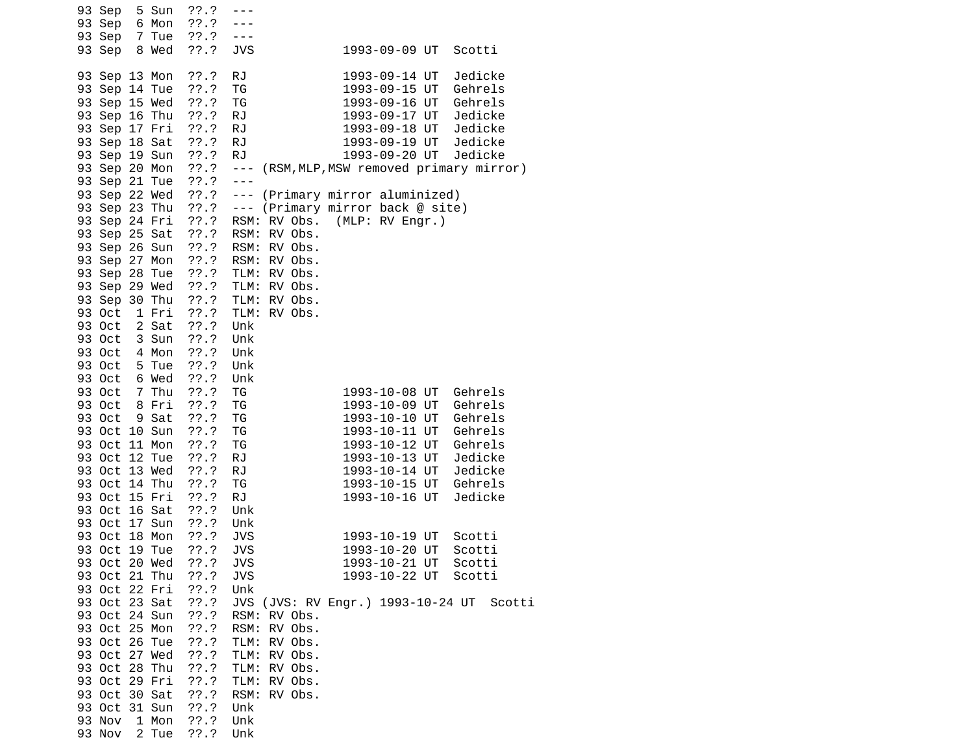| 93 Sep<br>5 Sun<br>93 Sep<br>6 Mon<br>93 Sep<br>7 Tue<br>8 Wed<br>93 Sep                                                                                                                                                                                                                                       | ??'.?<br>$- - -$<br>$??\ .?$<br>??'.?<br>$- - -$<br>$??\ .?$<br><b>JVS</b>                                                                                                                                                                                                                           |                                                             | 1993-09-09 UT                                                                                                                                                                                                   | Scotti                                                                                                              |
|----------------------------------------------------------------------------------------------------------------------------------------------------------------------------------------------------------------------------------------------------------------------------------------------------------------|------------------------------------------------------------------------------------------------------------------------------------------------------------------------------------------------------------------------------------------------------------------------------------------------------|-------------------------------------------------------------|-----------------------------------------------------------------------------------------------------------------------------------------------------------------------------------------------------------------|---------------------------------------------------------------------------------------------------------------------|
| 93 Sep 13 Mon<br>93 Sep 14 Tue<br>93 Sep 15 Wed<br>93 Sep 16 Thu<br>93 Sep 17 Fri<br>93 Sep 18 Sat<br>93 Sep 19 Sun<br>93 Sep 20 Mon                                                                                                                                                                           | <b>RJ</b><br>??.?<br>??'.?<br>TG<br>$??\cdot$<br>ΤG<br>??.?<br><b>RJ</b><br>$??\ .?$<br><b>RJ</b><br>$??\ .?$<br><b>RJ</b><br>??'.?<br><b>RJ</b><br>$??\cdot$<br>$\sim$ $ \sim$                                                                                                                      | (RSM, MLP, MSW removed primary mirror)                      | 1993-09-14 UT<br>1993-09-15 UT<br>1993-09-16 UT<br>1993-09-17 UT<br>1993-09-18 UT<br>1993-09-19 UT<br>1993-09-20 UT                                                                                             | Jedicke<br>Gehrels<br>Gehrels<br>Jedicke<br>Jedicke<br>Jedicke<br>Jedicke                                           |
| 93 Sep 21 Tue<br>93 Sep 22 Wed<br>93 Sep 23 Thu ??.? --- (Primary mirror back @ site)<br>93 Sep 24 Fri ??.?<br>93 Sep 25 Sat ??.?<br>93 Sep 26 Sun<br>93 Sep 27 Mon ??.?<br>93 Sep 28 Tue<br>93 Sep 29 Wed<br>93 Sep 30 Thu<br>93 Oct 1 Fri<br>93 Oct 2 Sat<br>93 Oct<br>3 Sun<br>93 Oct 4 Mon<br>93 Oct 5 Tue | $??\ .?$<br>$- - -$<br>??.?<br>$\omega = \omega$<br>RSM: RV Obs.<br>RSM: RV Obs.<br>??.?<br>RSM: RV Obs.<br>??.? TLM: RV Obs.<br>$??\, .?$<br>TLM: RV Obs.<br>??.?<br>TLM: RV Obs.<br>$??\ .?$<br>TLM: RV Obs.<br>$??\cdot?$<br>Unk<br>$??\ .?$<br>Unk<br>??.?<br>Unk<br>$??\cdot?$<br>Unk<br>??'.?  | (Primary mirror aluminized)<br>RSM: RV Obs. (MLP: RV Engr.) |                                                                                                                                                                                                                 |                                                                                                                     |
| 93 Oct 6 Wed<br>93 Oct 7 Thu<br>93 Oct 8 Fri<br>93 Oct<br>9 Sat<br>93 Oct 10 Sun<br>93 Oct 11 Mon<br>93 Oct 12 Tue<br>93 Oct 13 Wed<br>93 Oct 14 Thu<br>93 Oct 15 Fri<br>93 Oct 16 Sat<br>93 Oct 17 Sun<br>93 Oct 18 Mon<br>93 Oct 19 Tue<br>93 Oct 20 Wed                                                     | Unk<br>??'.?<br>TG<br>??'.?<br>TG<br>$??\ .?$<br>TG<br>$??\ .?$<br>TG<br>??.?<br>TG<br>??'.?<br><b>RJ</b><br>??.?<br><b>RJ</b><br>??'.?<br>TG<br>$??\ .?$<br><b>RJ</b><br>??'.?<br>Unk<br>??'.?<br>Unk<br>$??\.?$<br><b>JVS</b><br>77.7<br>JVS<br><b>JVS</b><br>??.?                                 |                                                             | 1993-10-08 UT<br>1993-10-09 UT<br>1993-10-10 UT<br>1993-10-11 UT<br>1993-10-12 UT<br>1993-10-13 UT<br>1993-10-14 UT<br>1993-10-15 UT<br>1993-10-16 UT<br>1993-10-19 UT<br>1993-10-20 UT<br>1993-10-21 UT Scotti | Gehrels<br>Gehrels<br>Gehrels<br>Gehrels<br>Gehrels<br>Jedicke<br>Jedicke<br>Gehrels<br>Jedicke<br>Scotti<br>Scotti |
| 93 Oct 21 Thu<br>93 Oct 22 Fri<br>93 Oct 23 Sat<br>93 Oct 24 Sun<br>93 Oct 25 Mon<br>93 Oct 26 Tue<br>93 Oct 27 Wed<br>93 Oct 28 Thu<br>93 Oct 29 Fri<br>93 Oct 30 Sat<br>93 Oct 31 Sun<br>93 Nov<br>1 Mon<br>93 Nov<br>2 Tue                                                                                  | $??\ .?$<br><b>JVS</b><br>??'.?<br>Unk<br>$??\cdot?$<br>??.?<br>RSM: RV Obs.<br>RSM: RV Obs.<br>$??\ .?$<br>$??\cdot?$<br>TLM: RV Obs.<br>??.?<br>TLM: RV Obs.<br>$??\ .?$<br>TLM: RV Obs.<br>$??\ .?$<br>TLM: RV Obs.<br>??'.?<br>RSM: RV Obs.<br>??'.?<br>Unk<br>$??\cdot?$<br>Unk<br>??'.?<br>Unk | JVS (JVS: RV Engr.) 1993-10-24 UT Scotti                    | 1993-10-22 UT                                                                                                                                                                                                   | Scotti                                                                                                              |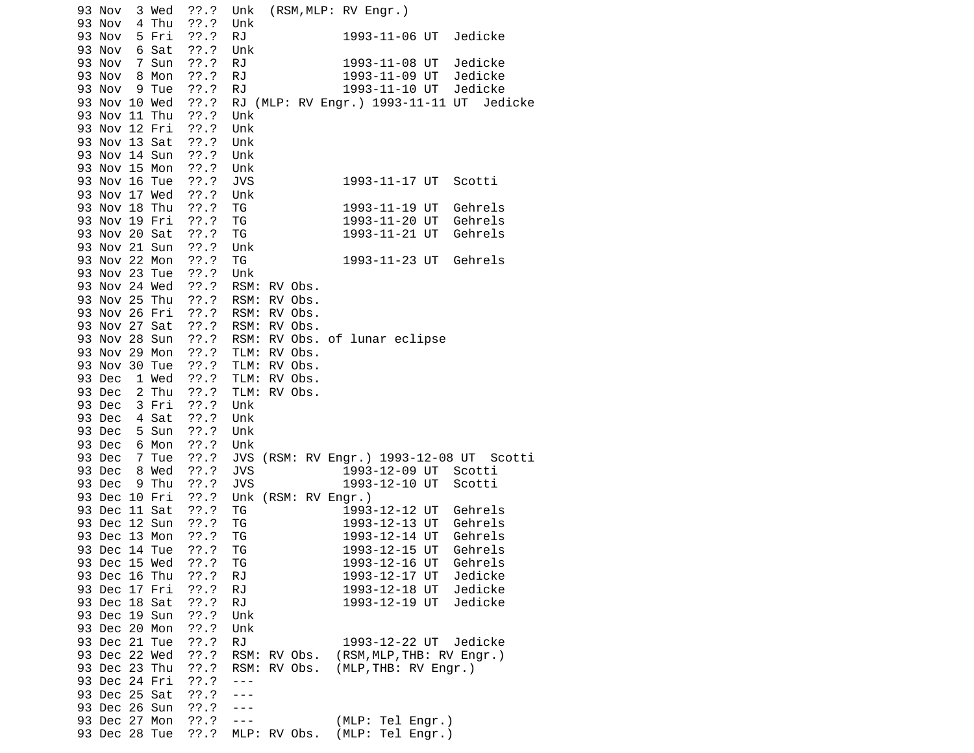| ??.?<br>93 Nov<br>3 Wed         | (RSM,MLP: RV Engr.)<br>Unk                   |
|---------------------------------|----------------------------------------------|
| 93 Nov<br>4 Thu<br>??'.?        | Unk                                          |
| 93 Nov<br>5 Fri<br>$??\ .?$     | <b>RJ</b><br>1993-11-06 UT<br>Jedicke        |
| 93 Nov<br>6 Sat<br>??.?         | Unk                                          |
| $??\ .?$<br>93 Nov<br>7 Sun     | <b>RJ</b><br>1993-11-08 UT<br>Jedicke        |
| 93 Nov 8 Mon<br>$??\ .?$        | 1993-11-09 UT Jedicke<br><b>RJ</b>           |
| 93 Nov<br>??.?<br>9 Tue         | <b>RJ</b><br>1993-11-10 UT<br>Jedicke        |
| 93 Nov 10 Wed<br>$??\ .?$       | RJ (MLP: RV Engr.) 1993-11-11 UT<br>Jedicke  |
| ??'.?<br>93 Nov 11 Thu          | Unk                                          |
| 93 Nov 12 Fri<br>$??\cdot$      | Unk                                          |
| 93 Nov 13 Sat<br>$??\ .?$       | Unk                                          |
| 93 Nov 14 Sun<br>??.?           | Unk                                          |
| 93 Nov 15 Mon<br>$??\cdot?$     |                                              |
| ??'.?                           | Unk<br>Scotti                                |
| 93 Nov 16 Tue                   | <b>JVS</b><br>1993-11-17 UT                  |
| $??\ .?$<br>93 Nov 17 Wed       | Unk                                          |
| 93 Nov 18 Thu<br>??.?           | ΤG<br>1993-11-19 UT<br>Gehrels               |
| 93 Nov 19 Fri<br>$??\ .?$       | ΤG<br>1993-11-20 UT<br>Gehrels               |
| 93 Nov 20 Sat<br>$??\ .?$       | TG<br>1993-11-21 UT<br>Gehrels               |
| ??'.?<br>93 Nov 21 Sun          | Unk                                          |
| 93 Nov 22 Mon<br>??.?           | Gehrels<br>TG<br>1993-11-23 UT               |
| 93 Nov 23 Tue<br>$??\ .?$       | Unk                                          |
| 93 Nov 24 Wed ??.?              | RSM: RV Obs.                                 |
| 93 Nov 25 Thu ??.?              | RSM: RV Obs.                                 |
| 93 Nov 26 Fri ??.?              | RSM: RV Obs.                                 |
| 93 Nov 27 Sat ??.?              | RSM: RV Obs.                                 |
| ??.?<br>93 Nov 28 Sun           | RSM: RV Obs. of lunar eclipse                |
| 93 Nov 29 Mon ??.? TLM: RV Obs. |                                              |
| ??'.?<br>93 Nov 30 Tue          | TLM: RV Obs.                                 |
| ??.?<br>93 Dec 1 Wed            | TLM: RV Obs.                                 |
| 93 Dec 2 Thu<br>??.?            | TLM:<br>RV Obs.                              |
| ??.?                            | Unk                                          |
| 93 Dec 3 Fri<br>??'.?           |                                              |
| 93 Dec 4 Sat                    | Unk                                          |
| $??\ .?$<br>93 Dec<br>5 Sun     | Unk                                          |
| 93 Dec<br>$??\cdot?$<br>6 Mon   | Unk                                          |
| 93 Dec<br>7 Tue<br>$??\ .?$     | JVS (RSM: RV Engr.) 1993-12-08 UT Scotti     |
| 93 Dec 8 Wed<br>??.?            | <b>JVS</b><br>1993-12-09 UT Scotti           |
| ??'.?<br>93 Dec<br>9 Thu        | <b>JVS</b><br>1993-12-10 UT<br>Scotti        |
| $??\ .?$<br>93 Dec 10 Fri       | Unk (RSM: RV Engr.)                          |
| 93 Dec 11 Sat<br>$??\ .?$       | TG<br>1993-12-12 UT Gehrels                  |
| 93 Dec 12 Sun<br>??.?           | 1993-12-13 UT Gehrels<br>ΤG                  |
| 93 Dec 13 Mon ??.?              | 1993-12-14 UT Gehrels<br>TG                  |
| 93 Dec 14 Tue<br>$??\ .?$       | 1993-12-15 UT<br>TG<br>Gehrels               |
| 93 Dec 15 Wed<br>??'.?          | 1993-12-16 UT<br>Gehrels<br>ТG               |
| 93 Dec 16 Thu<br>77.7           | Jedicke<br>RJ<br>1993-12-17 UT               |
| 93 Dec 17 Fri<br>??'.?          | Jedicke<br><b>RJ</b><br>1993-12-18 UT        |
| ??'.?<br>93 Dec 18 Sat          | RJ<br>1993-12-19 UT<br>Jedicke               |
| ??'.?<br>93 Dec 19 Sun          | Unk                                          |
| 93 Dec 20 Mon<br>??'.?          | Unk                                          |
| 93 Dec 21 Tue<br>??'.?          | <b>RJ</b><br>1993-12-22 UT<br>Jedicke        |
| 93 Dec 22 Wed<br>??'.?          | RSM:<br>RV Obs.<br>(RSM, MLP, THB: RV Engr.) |
| 93 Dec 23 Thu<br>??'.?          | (MLP, THB: RV Engr.)<br>RSM: RV Obs.         |
| 93 Dec 24 Fri<br>??'.?          | ---                                          |
| 93 Dec 25 Sat                   |                                              |
| ??'.?                           |                                              |
| 93 Dec 26 Sun<br>??'.?          | $- - -$                                      |
| 93 Dec 27 Mon<br>$??\, .?$      | (MLP: Tel Engr.)<br>$- - -$                  |
| 93 Dec 28 Tue<br>$??\ .?$       | (MLP: Tel Engr.)<br>MLP: RV Obs.             |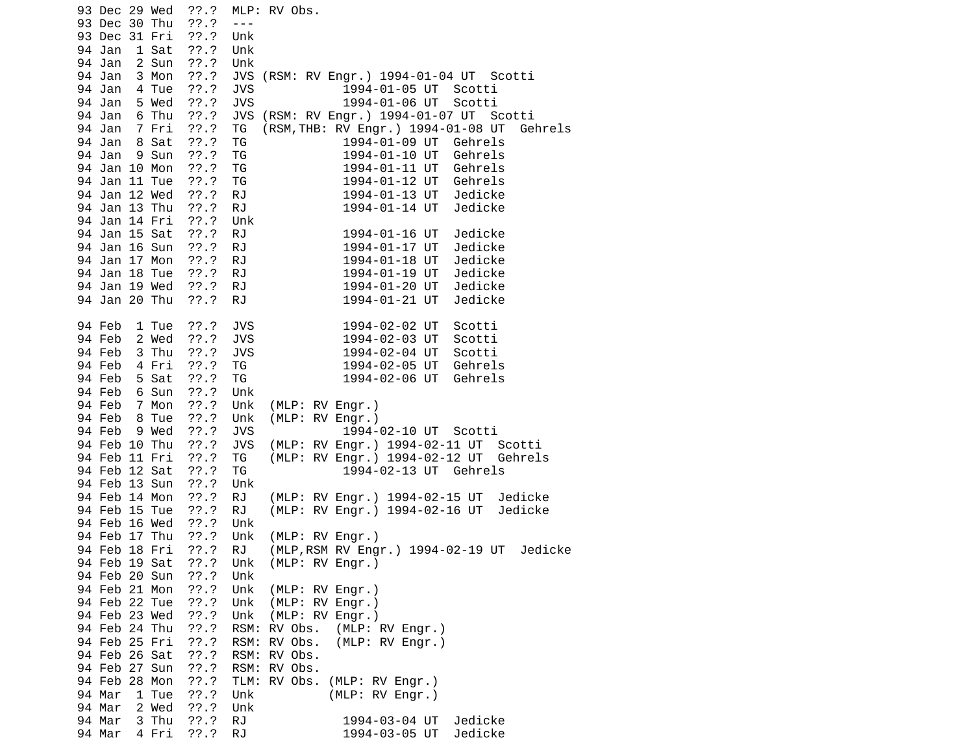| ??'.?<br>93 Dec 29 Wed        | MLP: RV Obs.                                              |
|-------------------------------|-----------------------------------------------------------|
| ??'.?<br>93 Dec 30 Thu        | $- - -$                                                   |
| 93 Dec 31 Fri<br>??.?         | Unk                                                       |
| 94 Jan<br>1 Sat<br>$??\ .?$   | Unk                                                       |
| ??'.?<br>2 Sun<br>94 Jan      | Unk                                                       |
| $??\cdot?$<br>94 Jan<br>3 Mon | JVS (RSM: RV Engr.) 1994-01-04 UT Scotti                  |
| 94 Jan<br>??.?<br>4 Tue       | <b>JVS</b><br>1994-01-05 UT Scotti                        |
| $??\ .?$<br>94 Jan<br>5 Wed   | <b>JVS</b><br>1994-01-06 UT<br>Scotti                     |
| 6 Thu<br>$??\cdot?$<br>94 Jan | (RSM: RV Engr.) 1994-01-07 UT Scotti<br><b>JVS</b>        |
| $??\ .?$<br>7 Fri<br>94 Jan   | (RSM, THB: RV Engr.) 1994-01-08 UT Gehrels<br>ΤG          |
| $??\cdot?$<br>94 Jan          |                                                           |
| 8 Sat                         | ΤG<br>1994-01-09 UT Gehrels                               |
| 94 Jan<br>9 Sun<br>$??\ .?$   | ΤG<br>1994-01-10 UT<br>Gehrels                            |
| 94 Jan 10 Mon<br>$??\cdot?$   | TG<br>1994-01-11 UT<br>Gehrels                            |
| 94 Jan 11 Tue<br>$??\cdot?$   | TG<br>1994-01-12 UT Gehrels                               |
| ??'.?<br>94 Jan 12 Wed        | <b>RJ</b><br>1994-01-13 UT<br>Jedicke                     |
| 94 Jan 13 Thu<br>??.?         | <b>RJ</b><br>1994-01-14 UT<br>Jedicke                     |
| 94 Jan 14 Fri<br>??.?         | Unk                                                       |
| $??\cdot?$<br>94 Jan 15 Sat   | <b>RJ</b><br>1994-01-16 UT<br>Jedicke                     |
| ??'.?<br>94 Jan 16 Sun        | <b>RJ</b><br>1994-01-17 UT<br>Jedicke                     |
| 94 Jan 17 Mon<br>??.?         | <b>RJ</b><br>1994-01-18 UT<br>Jedicke                     |
| 94 Jan 18 Tue<br>??.?         | <b>RJ</b><br>1994-01-19 UT<br>Jedicke                     |
| 94 Jan 19 Wed<br>??.?         | <b>RJ</b><br>1994-01-20 UT<br>Jedicke                     |
| 94 Jan 20 Thu<br>??.?         | <b>RJ</b><br>1994-01-21 UT<br>Jedicke                     |
|                               |                                                           |
| $??\cdot?$<br>94 Feb<br>1 Tue | <b>JVS</b><br>1994-02-02 UT<br>Scotti                     |
| 94 Feb<br>2 Wed<br>$??\ .?$   | <b>JVS</b><br>Scotti<br>1994-02-03 UT                     |
| 3 Thu<br>$??\cdot?$<br>94 Feb | <b>JVS</b><br>1994-02-04 UT<br>Scotti                     |
| ??'.?<br>94 Feb<br>4 Fri      | TG<br>1994-02-05 UT<br>Gehrels                            |
| $??\cdot?$<br>94 Feb<br>5 Sat | TG<br>1994-02-06 UT<br>Gehrels                            |
| 94 Feb<br>6 Sun<br>$??\.?$    | Unk                                                       |
| 94 Feb<br>7 Mon<br>$??\ .?$   | Unk<br>(MLP: RV Engr.)                                    |
| 94 Feb<br>8 Tue<br>??.?       | (MLP: RV Engr.)<br>Unk                                    |
| ??'.?<br>94 Feb<br>9 Wed      | <b>JVS</b><br>1994-02-10 UT Scotti                        |
| 94 Feb 10 Thu<br>$??\cdot?$   | <b>JVS</b><br>(MLP: RV Engr.) 1994-02-11 UT<br>Scotti     |
| 94 Feb 11 Fri<br>??.?         | (MLP: RV Engr.) 1994-02-12 UT<br>Gehrels<br>ΤG            |
| 94 Feb 12 Sat<br>??.?         | 1994-02-13 UT Gehrels<br>ΤG                               |
| 94 Feb 13 Sun<br>??'.?        | Unk                                                       |
| ??'.?<br>94 Feb 14 Mon        | <b>RJ</b><br>(MLP: RV Engr.) 1994-02-15 UT Jedicke        |
| 94 Feb 15 Tue<br>$??\ .?$     | (MLP: RV Engr.) 1994-02-16 UT<br><b>RJ</b><br>Jedicke     |
| 94 Feb 16 Wed ??.?            | Unk                                                       |
| 94 Feb 17 Thu ??.?            | Unk<br>(MLP: RV Engr.)                                    |
| ??'.?<br>94 Feb 18 Fri        | (MLP, RSM RV Engr.) 1994-02-19 UT<br><b>RJ</b><br>Jedicke |
| ??.?<br>94 Feb 19 Sat         | (MLP: RV Engr.)<br>Unk                                    |
| 94 Feb 20 Sun<br>77.7         | Unk                                                       |
| 94 Feb 21 Mon                 |                                                           |
| ??'.?                         | Unk<br>(MLP: RV Engr.)                                    |
| 94 Feb 22 Tue<br>??'.?        | Unk<br>(MLP: RV Engr.)                                    |
| 94 Feb 23 Wed<br>??'.?        | (MLP: RV Engr.)<br>Unk                                    |
| 94 Feb 24 Thu<br>??'.?        | RSM:<br>RV Obs. (MLP: RV Engr.)                           |
| 94 Feb 25 Fri<br>??'.?        | RSM:<br>RV Obs.<br>(MLP: RV Engr.)                        |
| 94 Feb 26 Sat<br>??'.?        | RSM:<br>RV Obs.                                           |
| 94 Feb 27 Sun<br>??'.?        | RSM: RV Obs.                                              |
| 94 Feb 28 Mon<br>??'.?        | TLM:<br>RV Obs.<br>(MLP: RV Engr.)                        |
| 94 Mar<br>$??\.?$<br>1 Tue    | (MLP: RV Engr.)<br>Unk                                    |
| 94 Mar<br>2 Wed<br>??'.?      | Unk                                                       |
| 94 Mar<br>3 Thu<br>$??\cdot?$ | <b>RJ</b><br>Jedicke<br>1994-03-04 UT                     |
| ??.?<br>4 Fri<br>94 Mar       | Jedicke<br><b>RJ</b><br>1994-03-05 UT                     |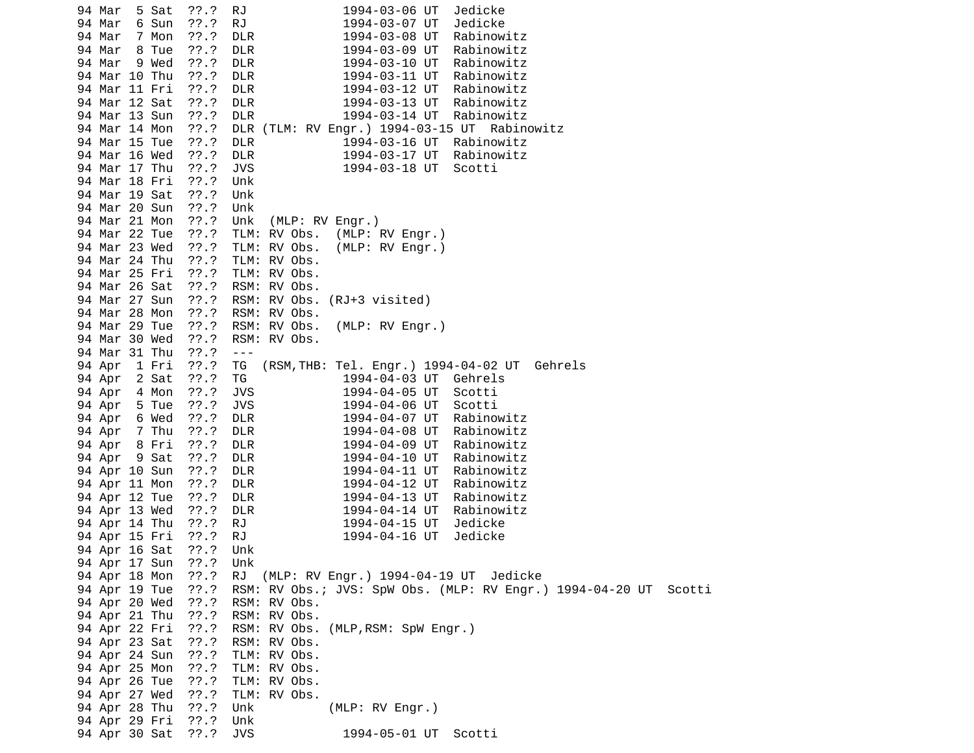94 Mar 5 Sat ??.? RJ 1994-03-06 UT Jedicke 94 Mar 6 Sun ??.? RJ 1994-03-07 UT Jedicke 94 Mar 7 Mon ??.? DLR 1994-03-08 UT Rabinowitz 94 Mar 8 Tue ??.? DLR 1994-03-09 UT Rabinowitz 94 Mar 9 Wed ??.? 94 Mar 10 Thu ??.? DLR 1994-03-11 UT Rabinowitz 94 Mar 11 Fri ??.? DLR 1994-03-12 UT Rabinowitz 94 Mar 12 Sat ??.? DLR 1994-03-13 UT Rabinowitz DLR 1994-03-14 UT Rabinowitz 94 Mar 14 Mon ??.? DLR (TLM: RV Engr.) 1994-03-15 UT Rabinowitz 1994-03-16 UT Rabinowitz 94 Mar 16 Wed ??.? DLR 1994-03-17 UT Rabinowitz 94 Mar 17 Thu ??.? JVS 1994-03-18 UT Scotti 94 Mar 18 Fri ??.? Unk 94 Mar 19 Sat ??.? Unk 94 Mar 20 Sun ??.? Unk 94 Mar 21 Mon ??.? Unk (MLP: RV Engr.) 94 Mar 22 Tue ??.? TLM: RV Obs. (MLP: RV Engr.) 94 Mar 23 Wed ??.? TLM: RV Obs. (MLP: RV Engr.) 94 Mar 24 Thu ??.? TLM: RV Obs. 94 Mar 25 Fri ??.? TLM: RV Obs. 94 Mar 26 Sat ??.? RSM: RV Obs. 94 Mar 27 Sun ??.? RSM: RV Obs. (RJ+3 visited) 94 Mar 28 Mon ??.? RSM: RV Obs. 94 Mar 29 Tue ??.? RSM: RV Obs. (MLP: RV Engr.) 94 Mar 30 Wed ??.? RSM: RV Obs. 94 Mar 31 Thu ??.? --- (RSM,THB: Tel. Engr.) 1994-04-02 UT Gehrels 94 Apr 2 Sat ??.? TG 1994-04-03 UT Gehrels 94 Apr 4 Mon ??.? JVS 1994-04-05 UT Scotti 94 Apr 5 Tue ??.? JVS 1994-04-06 UT Scotti 94 Apr 6 Wed ??.? DLR 1994-04-07 UT Rabinowitz 94 Apr 7 Thu ??.? DLR 1994-04-08 UT Rabinowitz 94 Apr 8 Fri ??.? DLR 1994-04-09 UT Rabinowitz 1994-04-10 UT Rabinowitz 94 Apr 10 Sun ??.? DLR 1994-04-11 UT Rabinowitz 94 Apr 11 Mon ??.? DLR 1994-04-12 UT Rabinowitz 94 Apr 12 Tue ??.? DLR 1994-04-13 UT Rabinowitz 94 Apr 13 Wed ??.? DLR 1994-04-14 UT 94 Apr 14 Thu ??.? RJ 1994-04-15 UT Jedicke 94 Apr 15 Fri ??.? RJ 1994-04-16 UT Jedicke 94 Apr 16 Sat ??.? Unk 94 Apr 17 Sun ??.? Unk RJ (MLP: RV Engr.) 1994-04-19 UT Jedicke 94 Apr 19 Tue ??.? RSM: RV Obs.; JVS: SpW Obs. (MLP: RV Engr.) 1994-04-20 UT Scotti 94 Apr 20 Wed ??.? 94 Apr 21 Thu ??.? RSM: RV Obs. 94 Apr 22 Fri ??.? RSM: RV Obs. (MLP,RSM: SpW Engr.) 94 Apr 23 Sat ??.? RSM: RV Obs. 94 Apr 24 Sun ??.? TLM: RV Obs. 94 Apr 25 Mon ??.? TLM: RV Obs. 94 Apr 26 Tue ??.? TLM: RV Obs. 94 Apr 27 Wed ??.? TLM: RV Obs. 94 Apr 28 Thu ??.? Unk (MLP: RV Engr.) 94 Apr 29 Fri ??.? Unk 94 Apr 30 Sat ??.? JVS 1994-05-01 UT Scotti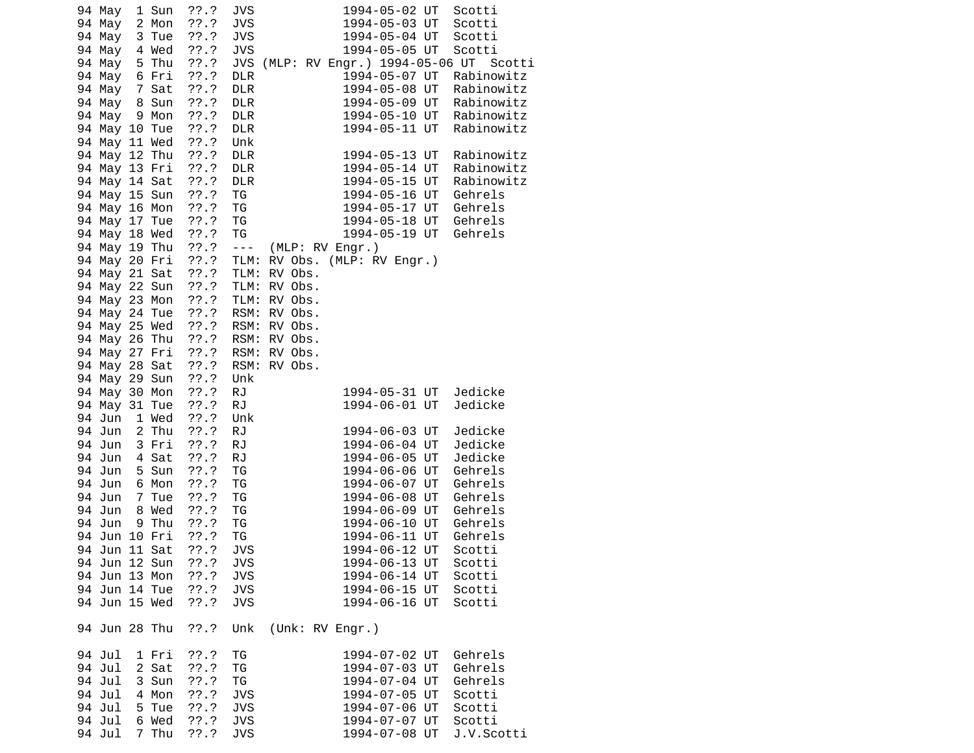| 2 Mon<br>??'.?<br>94 May<br>JVS<br>1994-05-03 UT                                                 | Scotti                   |
|--------------------------------------------------------------------------------------------------|--------------------------|
|                                                                                                  |                          |
| <b>JVS</b><br>1994-05-04 UT<br>94 May<br>3 Tue<br>??.?                                           | Scotti                   |
| 4 Wed<br>$??\cdot?$<br><b>JVS</b><br>1994-05-05 UT<br>94 May                                     | Scotti                   |
| $??\cdot?$<br>JVS (MLP: RV Engr.) 1994-05-06 UT Scotti<br>94 May 5 Thu                           |                          |
| 77.7<br>94 May 6 Fri<br>1994-05-07 UT<br><b>DLR</b>                                              | Rabinowitz               |
| 94 May 7 Sat<br>$??\ .?$<br><b>DLR</b><br>1994-05-08 UT<br>94 May 8 Sun<br>1994-05-09 UT         | Rabinowitz               |
| ??.?<br><b>DLR</b><br>94 May 9 Mon<br>??.?<br><b>DLR</b><br>1994-05-10 UT                        | Rabinowitz<br>Rabinowitz |
| 77.7<br><b>DLR</b><br>1994-05-11 UT<br>94 May 10 Tue                                             | Rabinowitz               |
| ??'.?<br>94 May 11 Wed<br>Unk                                                                    |                          |
| $??\ .?$<br>94 May 12 Thu<br><b>DLR</b><br>1994-05-13 UT                                         | Rabinowitz               |
| 94 May 13 Fri<br>$??\ .?$<br><b>DLR</b><br>1994-05-14 UT                                         | Rabinowitz               |
| 94 May 14 Sat<br>$??\ .?$<br><b>DLR</b><br>1994-05-15 UT                                         | Rabinowitz               |
| ??'.?<br>94 May 15 Sun<br>TG<br>1994-05-16 UT                                                    | Gehrels                  |
| ??'.?<br>94 May 16 Mon<br>TG<br>1994-05-17 UT                                                    | Gehrels                  |
| TG<br>94 May 17 Tue<br>??.?<br>1994-05-18 UT                                                     | Gehrels                  |
| TG<br>94 May 18 Wed<br>1994-05-19 UT                                                             | Gehrels                  |
| ???<br>???<br>$\sim$ $\sim$ $\sim$<br>94 May 19 Thu<br>(MLP: RV Engr.)                           |                          |
| ??'.?<br>94 May 20 Fri<br>TLM:<br>RV Obs. (MLP: RV Engr.)                                        |                          |
| $??\ .?$<br>94 May 21 Sat<br>TLM:<br>RV Obs.                                                     |                          |
| TLM: RV Obs.<br>94 May 22 Sun<br>??.?                                                            |                          |
| 94 May 23 Mon<br>??.?<br>TLM: RV Obs.                                                            |                          |
| ??'.?<br>94 May 24 Tue<br>RSM: RV Obs.                                                           |                          |
| ??'.?<br>94 May 25 Wed<br>RSM: RV Obs.                                                           |                          |
| $??\ .?$<br>RSM: RV Obs.<br>94 May 26 Thu                                                        |                          |
| ??'.?<br>94 May 27 Fri<br>RSM: RV Obs.                                                           |                          |
| $??\ .?$<br>RSM: RV Obs.<br>94 May 28 Sat                                                        |                          |
| 77.7<br>94 May 29 Sun<br>Unk                                                                     |                          |
| $??\ .?$<br>94 May 30 Mon<br><b>RJ</b><br>1994-05-31 UT                                          | Jedicke                  |
| 94 May 31 Tue<br><b>RJ</b><br>1994-06-01 UT<br>??.?                                              | Jedicke                  |
| Unk<br>94 Jun 1 Wed<br>??.?                                                                      |                          |
| 94 Jun 2 Thu<br>??.?<br><b>RJ</b><br>1994-06-03 UT<br>$??\ .?$                                   | Jedicke                  |
| <b>RJ</b><br>94 Jun 3 Fri<br>1994-06-04 UT<br>94 Jun 4 Sat<br>??.?<br><b>RJ</b><br>1994-06-05 UT | Jedicke<br>Jedicke       |
| 94 Jun<br>5 Sun<br>$??\ .?$<br>TG<br>1994-06-06 UT                                               | Gehrels                  |
| 94 Jun<br>6 Mon<br>$??\.?$<br>TG<br>1994-06-07 UT                                                | Gehrels                  |
| 94 Jun<br>7 Tue<br>$??\ .?$<br>TG<br>1994-06-08 UT                                               | Gehrels                  |
| 94 Jun<br>8 Wed<br>??.?<br>ΤG<br>1994-06-09 UT                                                   | Gehrels                  |
| 94 Jun<br>9 Thu<br>TG<br>1994-06-10 UT<br>??.?                                                   | Gehrels                  |
| 94 Jun 10 Fri<br>??.?<br>TG<br>1994-06-11 UT                                                     | Gehrels                  |
| 94 Jun 11 Sat<br>??'.?<br><b>JVS</b><br>1994-06-12 UT                                            | Scotti                   |
| ??.?<br><b>JVS</b><br>1994-06-13 UT<br>94 Jun 12 Sun                                             | Scotti                   |
| 94 Jun 13 Mon<br>??'.?<br><b>JVS</b><br>1994-06-14 UT                                            | Scotti                   |
| 94 Jun 14 Tue<br>??'.?<br><b>JVS</b><br>1994-06-15 UT                                            | Scotti                   |
| 94 Jun 15 Wed<br>??'.?<br><b>JVS</b><br>1994-06-16 UT                                            | Scotti                   |
|                                                                                                  |                          |
| Unk<br>94 Jun 28 Thu<br>77.7<br>(Unk: RV Engr.)                                                  |                          |
| 94 Jul<br>??'.?<br>ΤG<br>1994-07-02 UT<br>1 Fri                                                  | Gehrels                  |
| 94 Jul<br>2 Sat<br>??'.?<br>ΤG<br>1994-07-03 UT                                                  | Gehrels                  |
| TG<br>94 Jul<br>3 Sun<br>??'.?<br>1994-07-04 UT                                                  | Gehrels                  |
| 94 Jul<br>4 Mon<br>??'.?<br><b>JVS</b><br>1994-07-05 UT                                          | Scotti                   |
| <b>JVS</b><br>94 Jul<br>5 Tue<br>??'.?<br>1994-07-06 UT                                          | Scotti                   |
| 94 Jul<br>6 Wed<br>??'.?<br><b>JVS</b><br>1994-07-07 UT                                          | Scotti                   |
| 7 Thu<br>94 Jul<br>??'.?<br><b>JVS</b><br>1994-07-08 UT                                          | J.V.Scotti               |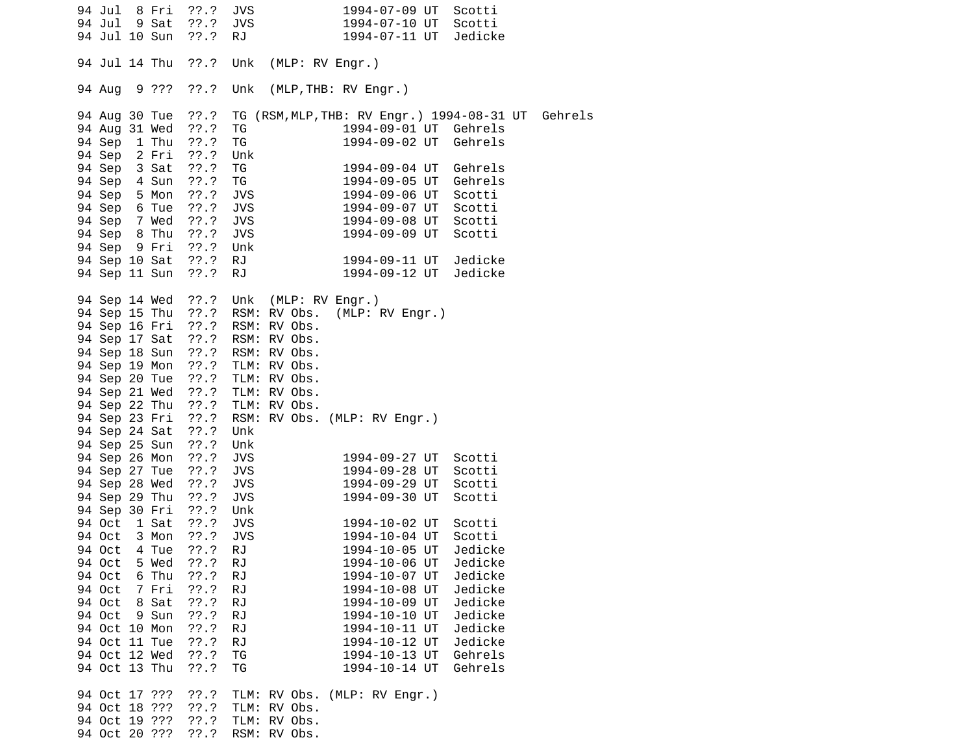| 94 Jul<br>94 Jul<br>94 Jul 10 Sun                                                                                                                                                                                | 8 Fri<br>9 Sat                                     | $??\ .?$<br>$??\ .?$<br>??.?                                                                                                | JVS<br><b>JVS</b><br>RJ.                                                                               |                                                                                                                                                                                                                     | 1994-07-09 UT<br>1994-07-10 UT<br>1994-07-11 UT                                                                                                                                                               | Scotti<br>Scotti<br>Jedicke                                                                                          |  |
|------------------------------------------------------------------------------------------------------------------------------------------------------------------------------------------------------------------|----------------------------------------------------|-----------------------------------------------------------------------------------------------------------------------------|--------------------------------------------------------------------------------------------------------|---------------------------------------------------------------------------------------------------------------------------------------------------------------------------------------------------------------------|---------------------------------------------------------------------------------------------------------------------------------------------------------------------------------------------------------------|----------------------------------------------------------------------------------------------------------------------|--|
| 94 Jul 14 Thu                                                                                                                                                                                                    |                                                    | ??.?                                                                                                                        | Unk                                                                                                    | (MLP: RV Engr.)                                                                                                                                                                                                     |                                                                                                                                                                                                               |                                                                                                                      |  |
| 94 Aug                                                                                                                                                                                                           | 9 ???                                              | ??'.?                                                                                                                       | Unk                                                                                                    | (MLP, THB: RV Engr.)                                                                                                                                                                                                |                                                                                                                                                                                                               |                                                                                                                      |  |
| 94 Aug 30 Tue<br>94 Aug 31 Wed<br>94 Sep 1 Thu<br>94 Sep 2 Fri<br>94 Sep 3 Sat<br>94 Sep 4 Sun<br>94 Sep 5 Mon<br>94 Sep 6 Tue<br>94 Sep 7 Wed<br>94 Sep 8 Thu<br>94 Sep 9 Fri<br>94 Sep 10 Sat<br>94 Sep 11 Sun |                                                    | ??.?<br>??'.?<br>??.?<br>??.?<br>??.?<br>$??\cdot$<br>$??\ .?$<br>$??\ .?$<br>??.?<br>$??\ .?$<br>??'.?<br>$??\ .?$<br>??.? | ΤG<br>TG<br>Unk<br>TG<br>TG<br><b>JVS</b><br><b>JVS</b><br><b>JVS</b><br><b>JVS</b><br>Unk<br>RJ<br>RJ |                                                                                                                                                                                                                     | 1994-09-01 UT Gehrels<br>1994-09-02 UT Gehrels<br>1994-09-04 UT Gehrels<br>1994-09-05 UT Gehrels<br>1994-09-06 UT Scotti<br>1994-09-07 UT<br>1994-09-08 UT<br>1994-09-09 UT<br>1994-09-11 UT<br>1994-09-12 UT | TG (RSM, MLP, THB: RV Engr.) 1994-08-31 UT Gehrels<br>Scotti<br>Scotti<br>Scotti<br>Jedicke<br>Jedicke               |  |
| 94 Sep 16 Fri<br>94 Sep 17 Sat<br>94 Sep 18 Sun<br>94 Sep 19 Mon ??.? TLM: RV Obs.<br>94 Sep 21 Wed ??.?<br>94 Sep 22 Thu<br>94 Sep 23 Fri<br>94 Sep 24 Sat<br>94 Sep 25 Sun                                     |                                                    | $??\ .?$<br>??.?<br>??'.?<br>??'.?<br>??.?                                                                                  | Unk<br>Unk                                                                                             | 94 Sep 14 Wed ??.? Unk (MLP: RV Engr.)<br>94 Sep 15 Thu ??.? RSM: RV Obs. (MLP: RV Engr.)<br>RSM: RV Obs.<br>RSM: RV Obs.<br>??.? RSM: RV Obs.<br>TLM: RV Obs.<br>??.? TLM: RV Obs.<br>RSM: RV Obs. (MLP: RV Engr.) |                                                                                                                                                                                                               |                                                                                                                      |  |
| 94 Sep 26 Mon<br>94 Sep 27 Tue<br>94 Sep 28 Wed<br>94 Sep 29 Thu<br>94 Sep 30 Fri<br>94 Oct 1 Sat                                                                                                                |                                                    | $??\ .?$<br>??.?<br>??.?<br>??.?<br>??.?<br>??.?                                                                            | JVS<br><b>JVS</b><br><b>JVS</b><br><b>JVS</b><br>Unk<br>JVS                                            |                                                                                                                                                                                                                     | 1994-09-27 UT<br>1994-09-28 UT<br>1994-09-29 UT<br>1994-09-30 UT<br>1994-10-02 UT                                                                                                                             | Scotti<br>Scotti<br>Scotti<br>Scotti<br>Scotti                                                                       |  |
| 94 Oct 3 Mon<br>94 Oct<br>94 Oct<br>94 Oct<br>94 Oct<br>94 Oct<br>94 Oct<br>94 Oct 10 Mon<br>94 Oct 11 Tue<br>94 Oct 12 Wed<br>94 Oct 13 Thu                                                                     | 4 Tue<br>5 Wed<br>6 Thu<br>7 Fri<br>8 Sat<br>9 Sun | ??.?<br>??'.?<br>??.?<br>77.7<br>??'.?<br>??'.?<br>??'.?<br>$??\.?$<br>??'.?<br>??'.?<br>??'.?                              | <b>JVS</b><br><b>RJ</b><br>RJ<br>RJ<br><b>RJ</b><br>RJ<br>RJ<br><b>RJ</b><br>RJ<br>TG<br>TG            |                                                                                                                                                                                                                     | 1994-10-04 UT<br>1994-10-05 UT<br>1994-10-06 UT<br>1994-10-07 UT<br>1994-10-08 UT<br>1994-10-09 UT<br>1994-10-10 UT<br>1994-10-11 UT<br>1994-10-12 UT<br>1994-10-13 UT<br>1994-10-14 UT                       | Scotti<br>Jedicke<br>Jedicke<br>Jedicke<br>Jedicke<br>Jedicke<br>Jedicke<br>Jedicke<br>Jedicke<br>Gehrels<br>Gehrels |  |
| 94 Oct 17 ???<br>94 Oct 18 ???<br>94 Oct 19 ???<br>94 Oct 20 ???                                                                                                                                                 |                                                    | $??\.?$<br>??'.?<br>??'.?<br>??'.?                                                                                          |                                                                                                        | TLM: RV Obs. (MLP: RV Engr.)<br>TLM: RV Obs.<br>TLM: RV Obs.<br>RSM: RV Obs.                                                                                                                                        |                                                                                                                                                                                                               |                                                                                                                      |  |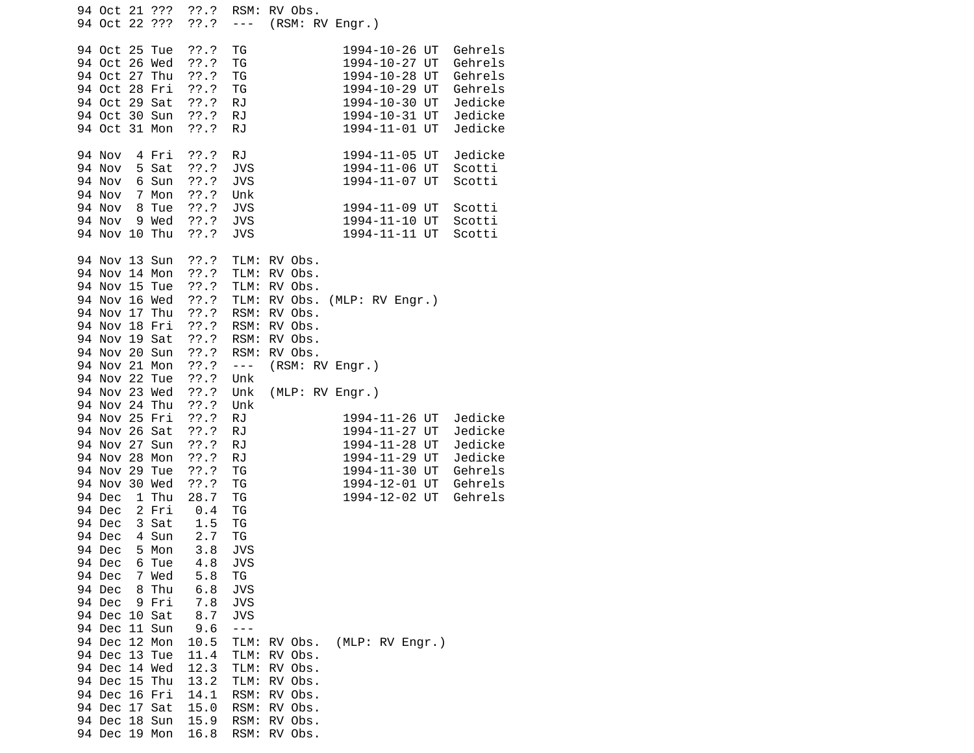| 94 Oct 21 ???<br>94 Oct 22 ???                                                                                              | ??'.?<br>??'.?<br>$- - -$                                                                                                     | RSM: RV Obs.<br>(RSM: RV Engr.)                                                                                                                                                                  |
|-----------------------------------------------------------------------------------------------------------------------------|-------------------------------------------------------------------------------------------------------------------------------|--------------------------------------------------------------------------------------------------------------------------------------------------------------------------------------------------|
| 94 Oct 25 Tue<br>94 Oct 26 Wed<br>94 Oct 27 Thu<br>94 Oct 28 Fri<br>94 Oct<br>29 Sat<br>94 Oct 30 Sun<br>94 Oct 31 Mon      | ??.?<br>ТG<br>??'.?<br>ΤG<br>??'.?<br>TG<br>$??\.?$<br>TG<br>??'.?<br><b>RJ</b><br><b>RJ</b><br>$??\.?$<br>??'.?<br><b>RJ</b> | 1994-10-26 UT<br>Gehrels<br>1994-10-27 UT<br>Gehrels<br>1994-10-28 UT<br>Gehrels<br>1994-10-29 UT<br>Gehrels<br>1994-10-30 UT<br>Jedicke<br>Jedicke<br>1994-10-31 UT<br>Jedicke<br>1994-11-01 UT |
| 94 Nov<br>4 Fri<br>5 Sat<br>94 Nov<br>94 Nov<br>6 Sun<br>94 Nov<br>$7^{\circ}$<br>Mon<br>94 Nov<br>8 Tue<br>94 Nov<br>9 Wed | RJ<br>$??\.?$<br>??'.?<br><b>JVS</b><br>??'.?<br><b>JVS</b><br>??'.?<br>Unk<br>$??\.?$<br><b>JVS</b><br>??'.?<br><b>JVS</b>   | 1994-11-05 UT<br>Jedicke<br>1994-11-06 UT<br>Scotti<br>1994-11-07 UT<br>Scotti<br>1994-11-09 UT<br>Scotti<br>Scotti<br>1994-11-10 UT                                                             |
| 94 Nov 10 Thu<br>94 Nov 13 Sun                                                                                              | $??\.?$<br><b>JVS</b><br>??'.?                                                                                                | 1994-11-11 UT<br>Scotti<br>TLM:<br>RV Obs.                                                                                                                                                       |
| 94 Nov 14 Mon<br>94 Nov 15 Tue<br>94 Nov 16 Wed<br>94 Nov 17 Thu<br>94 Nov 18 Fri<br>94 Nov 19 Sat                          | ??'.?<br>??.?<br>??'.?<br>??.?<br>??'.?<br>??'.?                                                                              | TLM:<br>RV Obs.<br>RV Obs.<br>TLM:<br>(MLP: RV Engr.)<br>TLM:<br>RV Obs.<br>RSM:<br>RV Obs.<br>RSM:<br>RV Obs.<br>RSM:<br>RV Obs.                                                                |
| 94 Nov 20 Sun<br>94 Nov 21 Mon                                                                                              | ??.?<br>??.?<br>$\omega = \omega$                                                                                             | RSM:<br>RV Obs.<br>(RSM: RV Engr.)                                                                                                                                                               |
| 94 Nov 22 Tue<br>94 Nov 23 Wed<br>94 Nov 24 Thu                                                                             | ??'.?<br>Unk<br>??'.?<br>Unk<br>??'.?<br>Unk                                                                                  | (MLP: RV Engr.)                                                                                                                                                                                  |
| 94 Nov 25 Fri<br>94 Nov 26 Sat<br>94 Nov 27<br>Sun<br>94 Nov 28<br>Mon                                                      | $??\.?$<br><b>RJ</b><br>77.7<br><b>RJ</b><br>??'.?<br><b>RJ</b><br>$??\.?$<br><b>RJ</b>                                       | 1994-11-26 UT<br>Jedicke<br>Jedicke<br>1994-11-27 UT<br>1994-11-28 UT<br>Jedicke<br>1994-11-29 UT<br>Jedicke                                                                                     |
| 94 Nov 29 Tue<br>30 Wed<br>94 Nov<br>94 Dec<br>1 Thu                                                                        | ??'.?<br>ΤG<br>TG<br>$??\.?$<br>28.7<br>TG                                                                                    | 1994-11-30 UT<br>Gehrels<br>1994-12-01 UT<br>Gehrels<br>1994-12-02 UT<br>Gehrels                                                                                                                 |
| 2 Fri<br>94 Dec<br>94 Dec<br>3 Sat<br>94 Dec<br>4 Sun<br>94 Dec<br>5 Mon                                                    | 0.4<br>ΤG<br>ΤG<br>1.5<br>2.7<br>TG<br>3.8<br>JVS                                                                             |                                                                                                                                                                                                  |
| 94 Dec<br>6 Tue<br>94 Dec<br>Wed<br>7                                                                                       | 4.8<br><b>JVS</b><br>5.8<br>ΤG                                                                                                |                                                                                                                                                                                                  |
| 94 Dec<br>8 Thu<br>94 Dec<br>9 Fri<br>94 Dec 10 Sat                                                                         | <b>JVS</b><br>6.8<br>7.8<br><b>JVS</b><br>8.7<br><b>JVS</b>                                                                   |                                                                                                                                                                                                  |
| 94 Dec 11 Sun<br>94 Dec 12 Mon<br>94 Dec 13 Tue<br>94 Dec 14 Wed                                                            | 9.6<br>$- - -$<br>10.5<br>11.4<br>12.3                                                                                        | (MLP: RV Engr.)<br>TLM:<br>RV Obs.<br>TLM:<br>RV Obs.<br>TLM:<br>RV Obs.                                                                                                                         |
| 94 Dec 15 Thu<br>94 Dec 16 Fri<br>94 Dec 17 Sat<br>94 Dec 18 Sun                                                            | 13.2<br>14.1<br>15.0<br>15.9                                                                                                  | TLM:<br>RV Obs.<br>RSM:<br>RV Obs.<br>RSM:<br>RV Obs.<br>RSM:<br>RV Obs.                                                                                                                         |
| 94 Dec 19 Mon                                                                                                               | 16.8                                                                                                                          | RSM:<br>RV Obs.                                                                                                                                                                                  |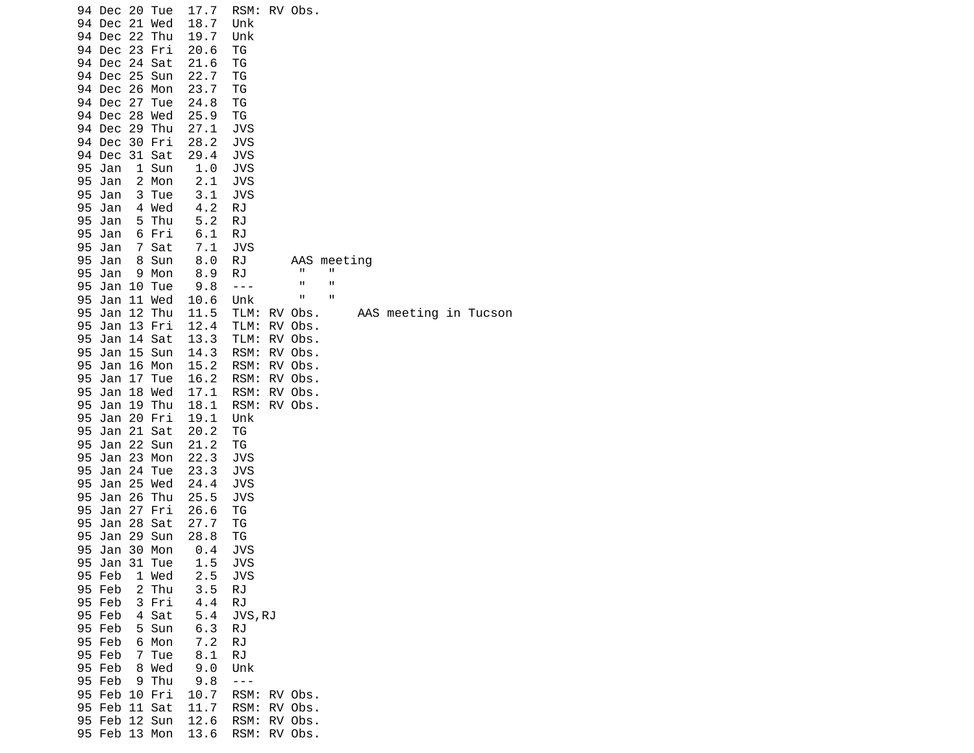| 94 Dec 20 Tue<br>Dec 21 Wed<br>94<br>94<br>Dec 22<br>Thu<br>94 Dec 23 Fri<br>94 Dec 24<br>Sat | 17.7<br>18.7<br>19.7<br>20.6<br>21.6 | RSM: RV Obs.<br>Unk<br>Unk<br>ТG<br>ΤG   |
|-----------------------------------------------------------------------------------------------|--------------------------------------|------------------------------------------|
| 94 Dec 25<br>Sun                                                                              | 22.7                                 | ΤG                                       |
| 94 Dec 26<br>Mon<br>94 Dec 27<br>Tue                                                          | 23.7<br>24.8                         | ΤG<br>TG                                 |
| 94 Dec<br>28<br>Wed                                                                           | 25.9                                 | TG                                       |
| 94 Dec 29 Thu                                                                                 | 27.1                                 | <b>JVS</b>                               |
| 94 Dec 30 Fri                                                                                 | 28.2                                 | <b>JVS</b>                               |
| 94<br>Dec 31 Sat                                                                              | 29.4                                 | <b>JVS</b>                               |
| 95<br>Jan<br>1 Sun<br>2 Mon<br>95<br>Jan                                                      | 1.0<br>2.1                           | <b>JVS</b><br><b>JVS</b>                 |
| 95<br>Jan<br>3<br>Tue                                                                         | 3.1                                  | JVS                                      |
| 95<br>Jan<br>4 Wed                                                                            | 4.2                                  | RJ                                       |
| 95<br>Jan<br>Thu<br>5.                                                                        | 5.2                                  | RJ                                       |
| 95<br>Jan<br>6 Fri                                                                            | 6.1                                  | <b>RJ</b>                                |
| 95<br>$\overline{7}$<br>Sat<br>Jan<br>95<br>Jan<br>8<br>Sun                                   | 7.1<br>8.0                           | <b>JVS</b><br><b>RJ</b><br>AAS meeting   |
| 95<br>Jan<br>9 Mon                                                                            | 8.9                                  | п<br>П<br>RJ                             |
| 95<br>Jan<br>10<br>Tue                                                                        | 9.8                                  | П<br>П<br>$- - -$                        |
| 95<br>11 Wed<br>Jan                                                                           | 10.6                                 | П<br>П<br>Unk                            |
| 12 Thu<br>95<br>Jan<br>Jan 13 Fri                                                             | 11.5                                 | TLM:<br>RV Obs.<br>AAS meeting in Tucson |
| 95<br>95<br>Jan 14 Sat                                                                        | 12.4<br>13.3                         | TLM:<br>RV Obs.<br>TLM:<br>RV Obs.       |
| Jan 15 Sun<br>95                                                                              | 14.3                                 | RSM:<br>RV Obs.                          |
| 95<br>Jan 16 Mon                                                                              | 15.2                                 | RSM:<br>RV Obs.                          |
| Jan 17 Tue<br>95                                                                              | 16.2                                 | RV Obs.<br>RSM:                          |
| Jan 18 Wed<br>95                                                                              | 17.1                                 | RSM:<br>RV Obs.                          |
| 95<br>Jan 19 Thu<br>Jan 20 Fri<br>95                                                          | 18.1<br>19.1                         | RSM:<br>RV Obs.<br>Unk                   |
| Jan 21<br>95<br>Sat                                                                           | 20.2                                 | ΤG                                       |
| Jan 22<br>95<br>Sun                                                                           | 21.2                                 | ΤG                                       |
| 95<br>Jan 23 Mon                                                                              | 22.3                                 | JVS                                      |
| Jan 24<br>95<br>Tue<br>Jan 25 Wed<br>95                                                       | 23.3<br>24.4                         | <b>JVS</b><br><b>JVS</b>                 |
| 95<br>Jan 26<br>Thu                                                                           | 25.5                                 | <b>JVS</b>                               |
| Jan 27 Fri<br>95                                                                              | 26.6                                 | ΤG                                       |
| 95<br>Jan 28 Sat                                                                              | 27.7                                 | TG                                       |
| Jan 29 Sun<br>95                                                                              | 28.8                                 | ΤG                                       |
| 95<br>Jan 30 Mon<br>95 Jan 31 Tue                                                             | 0.4<br>1.5                           | JVS<br><b>JVS</b>                        |
| 95 Feb<br>1 Wed                                                                               | 2.5                                  | JVS                                      |
| 95 Feb<br>$\overline{2}$<br>Thu                                                               | 3.5                                  | RJ                                       |
| 95 Feb<br>3 Fri                                                                               | 4.4                                  | <b>RJ</b>                                |
| 95 Feb<br>4 Sat                                                                               | 5.4                                  | JVS, RJ                                  |
| 95 Feb<br>5 Sun<br>95 Feb<br>6 Mon                                                            | 6.3<br>7.2                           | <b>RJ</b><br><b>RJ</b>                   |
| 95 Feb<br>Tue<br>7                                                                            | 8.1                                  | <b>RJ</b>                                |
| 95 Feb<br>8 Wed                                                                               | 9.0                                  | Unk                                      |
| 95 Feb<br>9 Thu                                                                               | 9.8                                  | $- - -$                                  |
| 95 Feb<br>10 Fri                                                                              | 10.7                                 | RSM:<br>RV Obs.                          |
| 95 Feb<br>11 Sat<br>95 Feb 12 Sun                                                             | 11.7<br>12.6                         | RSM:<br>RV Obs.<br>RSM:<br>RV Obs.       |
| 95 Feb 13 Mon                                                                                 | 13.6                                 | RSM:<br>RV Obs.                          |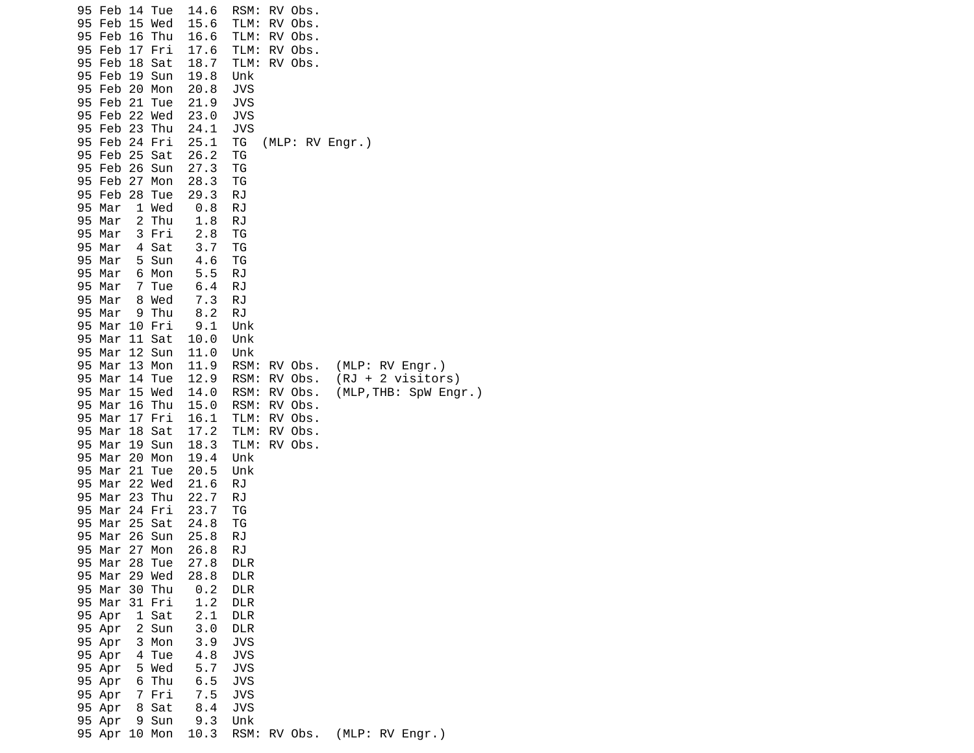| 95<br>95<br>Feb<br>95<br>Feb<br>95<br>Feb<br>Feb<br>95        | Feb 14 Tue<br>15 Wed<br>16<br>Thu<br>17 Fri<br>18<br>Sat | 14.6<br>15.6<br>16.6<br>17.6<br>18.7 | RSM:<br>RV Obs.<br>TLM:<br>RV Obs.<br>RV Obs.<br>TLM:<br>RV Obs.<br>TLM:<br>TLM:<br>RV Obs.                                             |
|---------------------------------------------------------------|----------------------------------------------------------|--------------------------------------|-----------------------------------------------------------------------------------------------------------------------------------------|
| 95<br>Feb<br>Feb<br>95<br>Feb<br>95<br>95<br>Feb              | 19<br>Sun<br>20 Mon<br>21<br>Tue<br>22 Wed               | 19.8<br>20.8<br>21.9<br>23.0         | Unk<br><b>JVS</b><br><b>JVS</b><br><b>JVS</b>                                                                                           |
| Feb 23<br>95<br>95<br>Feb<br>95<br>Feb<br>Feb<br>95           | Thu<br>24 Fri<br>25 Sat<br>26 Sun                        | 24.1<br>25.1<br>26.2<br>27.3         | <b>JVS</b><br>(MLP: RV Engr.)<br>TG<br>ΤG<br>TG                                                                                         |
| Feb<br>95<br>95<br>Feb<br>95<br>Mar<br>Mar<br>95              | 27<br>Mon<br>28<br>Tue<br>1 Wed<br>2 Thu                 | 28.3<br>29.3<br>0.8<br>1.8           | ΤG<br>RJ<br>RJ<br><b>RJ</b>                                                                                                             |
| Mar<br>95<br>95 Mar<br>95<br>Mar<br>95<br>Mar                 | 3 Fri<br>4 Sat<br>5 Sun<br>6 Mon                         | 2.8<br>3.7<br>4.6<br>5.5             | TG<br>ΤG<br>ΤG<br>RJ                                                                                                                    |
| 95<br>Mar<br>95<br>Mar<br>95<br>Mar<br>95<br>Mar<br>Mar<br>95 | 7 Tue<br>8 Wed<br>9 Thu<br>10 Fri<br>11 Sat              | 6.4<br>7.3<br>8.2<br>9.1<br>10.0     | RJ<br>RJ<br>RJ<br>Unk<br>Unk                                                                                                            |
| 95<br>Mar<br>Mar<br>95<br>95<br>Mar<br>Mar<br>95              | 12 Sun<br>13 Mon<br>14<br>Tue<br>15 Wed                  | 11.0<br>11.9<br>12.9<br>14.0         | Unk<br>RSM:<br>(MLP: RV Engr.)<br>RV Obs.<br>RSM:<br>$(RJ + 2 \text{ visitors})$<br>RV Obs.<br>RSM:<br>RV Obs.<br>(MLP, THB: SpW Engr.) |
| 95<br>Mar<br>95<br>Mar<br>95<br>Mar<br>Mar<br>95              | 16<br>Thu<br>17 Fri<br>18<br>Sat<br>19 Sun               | 15.0<br>16.1<br>17.2<br>18.3         | RV Obs.<br>RSM:<br>TLM:<br>RV Obs.<br>TLM:<br>RV Obs.<br>RV Obs.<br>TLM:                                                                |
| Mar<br>95<br>95<br>Mar<br>95<br>Mar<br>95<br>Mar              | 20 Mon<br>21<br>Tue<br>22 Wed<br>23<br>Thu               | 19.4<br>20.5<br>21.6<br>22.7         | Unk<br>Unk<br>RJ<br>RJ                                                                                                                  |
| Mar<br>95<br>95<br>Mar<br>Mar<br>95<br>95 Mar                 | 24 Fri<br>25 Sat<br>26<br>Sun<br>27<br>Mon               | 23.7<br>24.8<br>25.8<br>26.8         | ΤG<br>TG<br>RJ<br><b>RJ</b>                                                                                                             |
| 95 Mar<br>95<br>Mar<br>95 Mar<br>95 Mar<br>95 Apr             | 28<br>Tue<br>29 Wed<br>Thu<br>30<br>31 Fri<br>1 Sat      | 27.8<br>28.8<br>0.2<br>1.2<br>2.1    | <b>DLR</b><br><b>DLR</b><br><b>DLR</b><br><b>DLR</b><br><b>DLR</b>                                                                      |
| 95 Apr<br>95 Apr<br>95 Apr<br>95 Apr                          | 2 Sun<br>3 Mon<br>4 Tue<br>5 Wed                         | 3.0<br>3.9<br>4.8<br>5.7             | <b>DLR</b><br><b>JVS</b><br><b>JVS</b><br><b>JVS</b>                                                                                    |
| 95 Apr<br>95 Apr<br>95 Apr<br>95 Apr                          | 6 Thu<br>7 Fri<br>8 Sat<br>9 Sun                         | 6.5<br>7.5<br>8.4<br>9.3             | <b>JVS</b><br><b>JVS</b><br><b>JVS</b><br>Unk                                                                                           |
| 95 Apr                                                        | 10 Mon                                                   | 10.3                                 | RSM:<br>RV Obs.<br>(MLP: RV Engr.)                                                                                                      |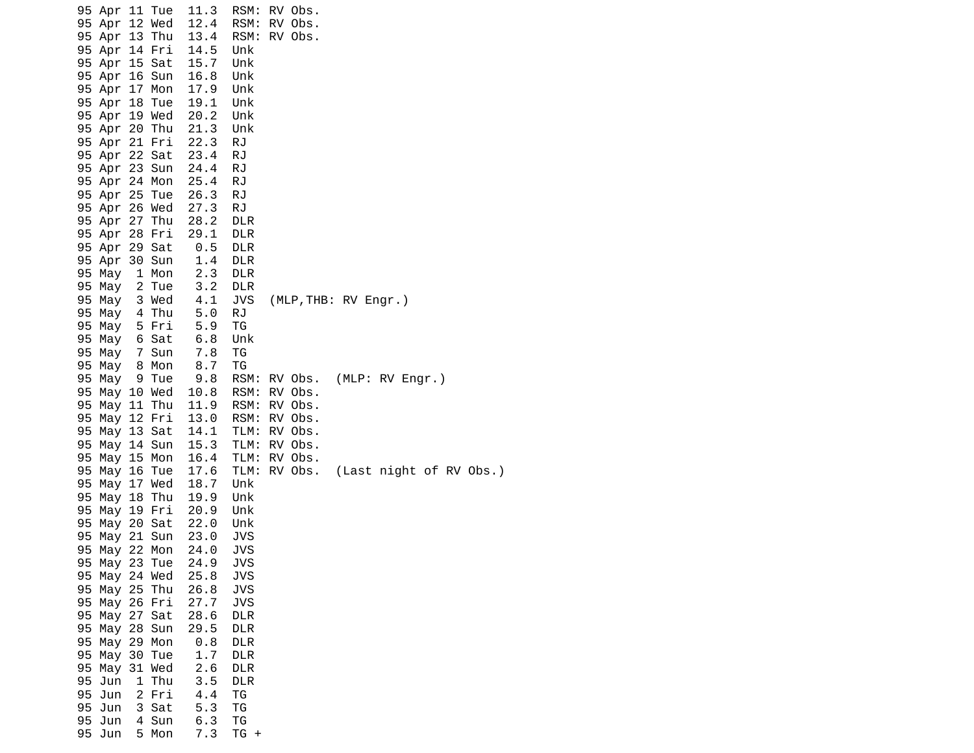| 95 Apr 11 Tue |       | 11.3           | RSM:       | RV Obs.                         |                 |  |
|---------------|-------|----------------|------------|---------------------------------|-----------------|--|
| 95 Apr 12 Wed |       | 12.4           | RSM:       | RV Obs.                         |                 |  |
| 95 Apr 13 Thu |       | 13.4           | RSM:       | RV Obs.                         |                 |  |
| 95 Apr 14 Fri |       | 14.5           | Unk        |                                 |                 |  |
| 95 Apr 15 Sat |       | 15.7           | Unk        |                                 |                 |  |
| 95 Apr 16 Sun |       | 16.8           | Unk        |                                 |                 |  |
| 95 Apr 17 Mon |       | 17.9           | Unk        |                                 |                 |  |
| 95 Apr 18 Tue |       | 19.1           | Unk        |                                 |                 |  |
| 95 Apr 19 Wed |       | 20.2           | Unk        |                                 |                 |  |
| 95 Apr 20 Thu |       | 21.3           | Unk        |                                 |                 |  |
| 95 Apr 21 Fri |       | 22.3           | RJ         |                                 |                 |  |
| 95 Apr 22 Sat |       | 23.4           | RJ         |                                 |                 |  |
| 95 Apr 23 Sun |       | 24.4           | RJ         |                                 |                 |  |
| 95 Apr 24 Mon |       | 25.4           | RJ         |                                 |                 |  |
| 95 Apr 25 Tue |       | 26.3           | <b>RJ</b>  |                                 |                 |  |
| 95 Apr 26 Wed |       | 27.3           | RJ         |                                 |                 |  |
| 95 Apr 27 Thu |       | 28.2           | <b>DLR</b> |                                 |                 |  |
| 95 Apr 28 Fri |       | 29.1           | <b>DLR</b> |                                 |                 |  |
| 95 Apr 29 Sat |       |                | <b>DLR</b> |                                 |                 |  |
| 95 Apr 30 Sun |       | $0.5 \ \, 1.4$ | <b>DLR</b> |                                 |                 |  |
| 95 May        | 1 Mon | 2.3            | <b>DLR</b> |                                 |                 |  |
| 95 May        | 2 Tue | 3.2            | <b>DLR</b> |                                 |                 |  |
| 95 May        | 3 Wed | 4.1            | <b>JVS</b> | (MLP, THB: RV Engr.)            |                 |  |
| 95 May 4 Thu  |       | 5.0            | RJ         |                                 |                 |  |
| 95 May 5 Fri  |       | 5.9            | TG         |                                 |                 |  |
| 95 May 6 Sat  |       | 6.8            | Unk        |                                 |                 |  |
| 95 May        | 7 Sun | 7.8            | TG         |                                 |                 |  |
| 95 May 8 Mon  |       |                | TG         |                                 |                 |  |
| 95 May        | 9 Tue | 8.7<br>9.8     | RSM:       | RV Obs.                         | (MLP: RV Engr.) |  |
| 95 May 10 Wed |       | 10.8           | RSM:       | RV Obs.                         |                 |  |
| 95 May 11 Thu |       | 11.9           | RSM:       | RV Obs.                         |                 |  |
| 95 May 12 Fri |       | 13.0           | RSM:       | RV Obs.                         |                 |  |
| 95 May 13 Sat |       | 14.1           | TLM:       | RV Obs.                         |                 |  |
| 95 May 14 Sun |       | 15.3           | TLM:       | RV Obs.                         |                 |  |
| 95 May 15 Mon |       | 16.4           | TLM:       | RV Obs.                         |                 |  |
| 95 May 16 Tue |       | 17.6           | TLM:       | RV Obs. (Last night of RV Obs.) |                 |  |
| 95 May 17 Wed |       | 18.7           | Unk        |                                 |                 |  |
| 95 May 18 Thu |       | 19.9           | Unk        |                                 |                 |  |
| 95 May 19 Fri |       | 20.9           | Unk        |                                 |                 |  |
| 95 May 20 Sat |       | 22.0           | Unk        |                                 |                 |  |
| 95 May 21 Sun |       | 23.0           | <b>JVS</b> |                                 |                 |  |
| 95 May 22 Mon |       | 24.0           | <b>JVS</b> |                                 |                 |  |
| 95 May 23 Tue |       | 24.9           | <b>JVS</b> |                                 |                 |  |
| 95 May 24 Wed |       | 25.8           | <b>JVS</b> |                                 |                 |  |
| 95 May 25 Thu |       | 26.8           | <b>JVS</b> |                                 |                 |  |
| 95 May 26 Fri |       | 27.7           | <b>JVS</b> |                                 |                 |  |
| 95 May 27 Sat |       | 28.6           | <b>DLR</b> |                                 |                 |  |
| 95 May 28 Sun |       | 29.5           | <b>DLR</b> |                                 |                 |  |
| 95 May 29 Mon |       | 0.8            | <b>DLR</b> |                                 |                 |  |
| 95 May 30 Tue |       | 1.7            | <b>DLR</b> |                                 |                 |  |
| 95 May 31 Wed |       | 2.6            | <b>DLR</b> |                                 |                 |  |
| 95 Jun        | 1 Thu | 3.5            | <b>DLR</b> |                                 |                 |  |
| 95 Jun        | 2 Fri | 4.4            | ΤG         |                                 |                 |  |
| 95 Jun        | 3 Sat | 5.3            | ΤG         |                                 |                 |  |
| 95 Jun        | 4 Sun | 6.3            | TG         |                                 |                 |  |
| 95 Jun        | 5 Mon | 7.3            | $TG +$     |                                 |                 |  |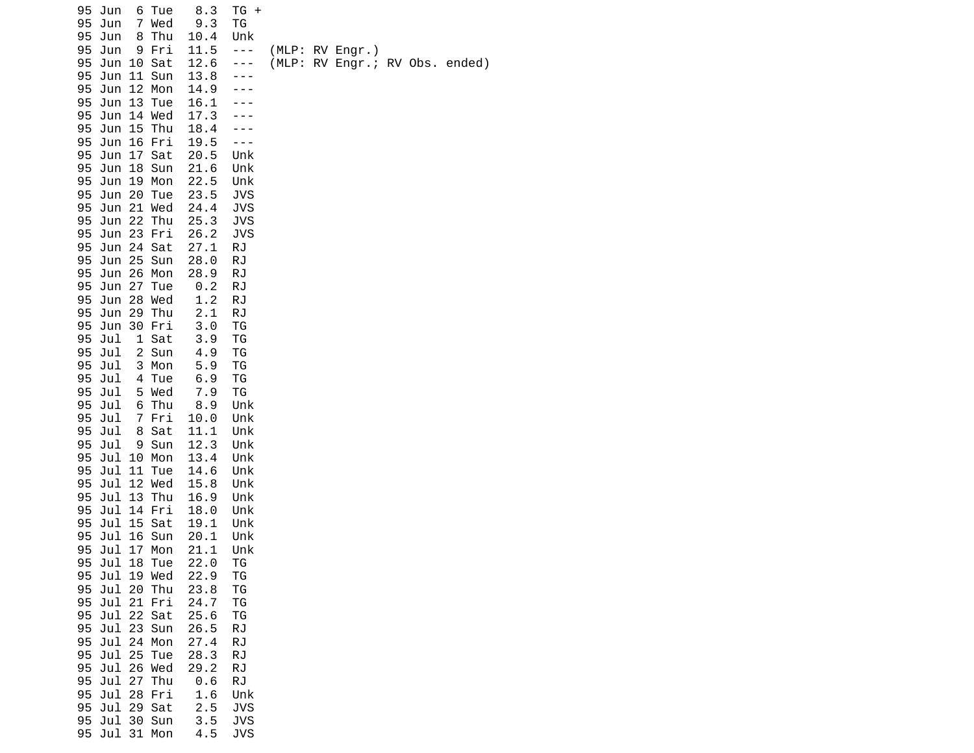|          | 95 Jun                      |   | 6 Tue                    | 8.3          | $TG +$            |  |                                |  |  |
|----------|-----------------------------|---|--------------------------|--------------|-------------------|--|--------------------------------|--|--|
| 95       | 95 Jun<br>Jun               | 8 | 7 Wed<br>Thu             | 9.3<br>10.4  | ΤG<br>Unk         |  |                                |  |  |
| 95       | Jun                         |   | 9 Fri                    | 11.5         | $- - -$           |  | (MLP: RV Engr.)                |  |  |
| 95       | Jun 10 Sat                  |   |                          | 12.6         | ---               |  | (MLP: RV Engr.; RV Obs. ended) |  |  |
| 95       | Jun 11 Sun                  |   |                          | 13.8         |                   |  |                                |  |  |
| 95       |                             |   | Jun 12 Mon               | 14.9         |                   |  |                                |  |  |
| 95<br>95 | Jun 14 Wed                  |   | Jun 13 Tue               | 16.1<br>17.3 |                   |  |                                |  |  |
| 95       | Jun 15 Thu                  |   |                          | 18.4         |                   |  |                                |  |  |
| 95       | Jun 16 Fri                  |   |                          | 19.5         |                   |  |                                |  |  |
| 95       | Jun 17 Sat                  |   |                          | 20.5         | Unk               |  |                                |  |  |
| 95       |                             |   | Jun 18 Sun               | 21.6         | Unk               |  |                                |  |  |
| 95<br>95 | Jun 19 Mon<br>Jun 20 Tue    |   |                          | 22.5<br>23.5 | Unk<br><b>JVS</b> |  |                                |  |  |
| 95       |                             |   | Jun 21 Wed               | 24.4         | <b>JVS</b>        |  |                                |  |  |
| 95       |                             |   | Jun 22 Thu               | 25.3         | JVS               |  |                                |  |  |
| 95       |                             |   | Jun 23 Fri               | 26.2         | JVS               |  |                                |  |  |
| 95       | Jun 24 Sat                  |   |                          | 27.1         | <b>RJ</b>         |  |                                |  |  |
| 95<br>95 | Jun 25 Sun<br>Jun 26 Mon    |   |                          | 28.0<br>28.9 | RJ<br>RJ          |  |                                |  |  |
| 95       |                             |   | Jun 27 Tue               | 0.2          | RJ                |  |                                |  |  |
| 95       | Jun 28 Wed                  |   |                          | 1.2          | RJ                |  |                                |  |  |
| 95       | Jun 29 Thu                  |   |                          | 2.1          | <b>RJ</b>         |  |                                |  |  |
|          | 95 Jun 30 Fri               |   |                          | 3.0          | ΤG                |  |                                |  |  |
| 95<br>95 | Jul<br>Jul                  |   | 1 Sat<br>2 Sun           | 3.9<br>4.9   | TG<br>TG          |  |                                |  |  |
| 95       | Jul                         |   | 3 Mon                    | 5.9          | ΤG                |  |                                |  |  |
| 95       | Jul                         |   | 4 Tue                    | 6.9          | ΤG                |  |                                |  |  |
|          | 95 Jul                      |   | 5 Wed                    | 7.9          | TG                |  |                                |  |  |
| 95       | Jul                         | 6 | Thu                      | 8.9          | Unk               |  |                                |  |  |
| 95<br>95 | Jul<br>Jul                  |   | 7 Fri<br>8 Sat           | 10.0<br>11.1 | Unk<br>Unk        |  |                                |  |  |
| 95       | Jul                         |   | 9 Sun                    | 12.3         | Unk               |  |                                |  |  |
| 95       |                             |   | Jul 10 Mon               | 13.4         | Unk               |  |                                |  |  |
| 95       | Jul                         |   | 11 Tue                   | 14.6         | Unk               |  |                                |  |  |
| 95       | Jul 12 Wed                  |   |                          | 15.8         | Unk               |  |                                |  |  |
| 95       | Jul 13 Thu<br>95 Jul 14 Fri |   |                          | 16.9<br>18.0 | Unk<br>Unk        |  |                                |  |  |
| 95       | Jul 15 Sat                  |   |                          | 19.1         | Unk               |  |                                |  |  |
| 95       |                             |   | Jul 16 Sun               | 20.1         | Unk               |  |                                |  |  |
| 95       | Jul                         |   | 17 Mon                   | 21.1         | Unk               |  |                                |  |  |
| 95       | Jul 18 Tue                  |   |                          | 22.0         | ΤG                |  |                                |  |  |
| 95<br>95 |                             |   | Jul 19 Wed<br>Jul 20 Thu | 22.9<br>23.8 | ΤG<br>TG          |  |                                |  |  |
| 95       | Jul 21 Fri                  |   |                          | 24.7         | TG                |  |                                |  |  |
| 95       | Jul 22 Sat                  |   |                          | 25.6         | TG                |  |                                |  |  |
| 95       | Jul 23 Sun                  |   |                          | 26.5         | <b>RJ</b>         |  |                                |  |  |
| 95       |                             |   | Jul 24 Mon               | 27.4         | <b>RJ</b>         |  |                                |  |  |
| 95<br>95 |                             |   | Jul 25 Tue<br>Jul 26 Wed | 28.3<br>29.2 | <b>RJ</b><br>RJ   |  |                                |  |  |
| 95       | Jul 27 Thu                  |   |                          | 0.6          | <b>RJ</b>         |  |                                |  |  |
|          | 95 Jul 28 Fri               |   |                          | 1.6          | Unk               |  |                                |  |  |
| 95       | Jul 29 Sat                  |   |                          | 2.5          | <b>JVS</b>        |  |                                |  |  |
|          | 95 Jul 30 Sun               |   |                          | 3.5          | <b>JVS</b>        |  |                                |  |  |
|          | 95 Jul 31 Mon               |   |                          | 4.5          | <b>JVS</b>        |  |                                |  |  |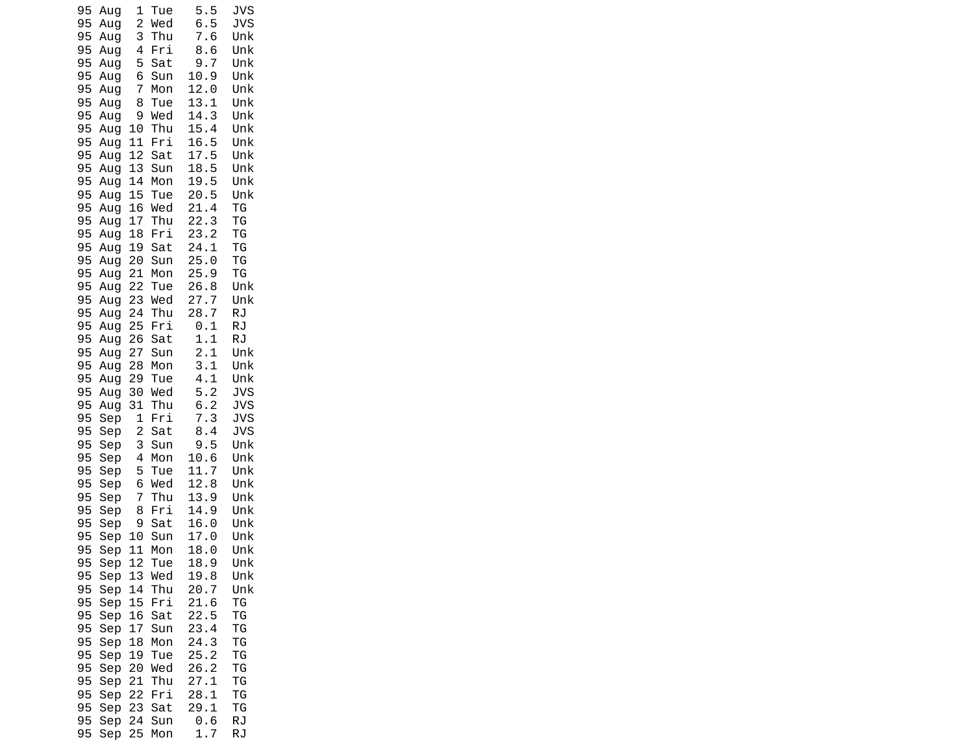| 95       | Aug        | 1              | Tue        | 5.5                         | <b>JVS</b> |
|----------|------------|----------------|------------|-----------------------------|------------|
| 95       | Aug        | $\overline{c}$ | Wed        | 6.5                         | <b>JVS</b> |
| 95       | Aug        | 3              | Thu        | 7.6                         | Unk        |
| 95<br>95 | Aug<br>Aug | 4<br>5         | Fri        | 8.6<br>9.<br>$\overline{7}$ | Unk<br>Unk |
| 95       | Aug        | 6              | Sat<br>Sun | 10.9                        | Unk        |
| 95       | Aug        | 7              | Mon        | 12.0                        | Unk        |
| 95       | Aug        | 8              | Tue        | 13.1                        | Unk        |
| 95       | Aug        | 9              | Wed        | 14.3                        | Unk        |
| 95       | Aug        | 10             | Thu        | 15.4                        | Unk        |
| 95       | Aug        | 11             | Fri        | 16.<br>5                    | Unk        |
| 95       | Aug        | 12             | Sat        | 17.5                        | Unk        |
| 95<br>95 | Aug<br>Aug | 13<br>14       | Sun<br>Mon | 18.5<br>19.5                | Unk<br>Unk |
| 95       | Aug        | 15             | Tue        | 20.5                        | Unk        |
| 95       | Aug        | 16             | Wed        | 21.4                        | ΤG         |
| 95       | Aug        | 17             | Thu        | 22.3                        | ΤG         |
| 95       | Aug        | 18             | Fri        | 23.2                        | TG         |
| 95       | Aug        | 19             | Sat        | 24.1                        | ΤG         |
| 95       | Aug        | 20             | Sun        | 25.0                        | TG         |
| 95<br>95 | Aug<br>Aug | 21<br>22       | Mon<br>Tue | 25.9<br>26.8                | TG<br>Unk  |
| 95       | Aug        | 23             | Wed        | 27.<br>7                    | Unk        |
| 95       | Aug        | 24             | Thu        | 28.<br>$\overline{7}$       | RJ         |
| 95       | Aug        | 25             | Fri        | 0.<br>1                     | RJ         |
| 95       | Aug        | 26             | Sat        | 1.1                         | RJ         |
| 95       | Aug        | 27             | Sun        | 2.1                         | Unk        |
| 95<br>95 | Aug        | 28<br>29       | Mon        | 3.1<br>4.1                  | Unk<br>Unk |
| 95       | Aug<br>Aug | 30             | Tue<br>Wed | 5.2                         | <b>JVS</b> |
| 95       | Aug        | 31             | Thu        | 6.2                         | <b>JVS</b> |
| 95       | Sep        | 1              | Fri        | 7.3                         | <b>JVS</b> |
| 95       | Sep        | $\overline{c}$ | Sat        | 8.4                         | <b>JVS</b> |
| 95       | Sep        | 3              | Sun        | 9.5                         | Unk        |
| 95       | Sep        | 4              | Mon        | 10.6                        | Unk        |
| 95<br>95 | Sep<br>Sep | 5<br>6         | Tue<br>Wed | 11.7<br>12.8                | Unk<br>Unk |
| 95       | Sep        | 7              | Thu        | 13.9                        | Unk        |
| 95       | Sep        | 8              | Fri        | 14.9                        | Unk        |
| 95       | Sep        | 9              | Sat        | 16.0                        | Unk        |
| 95       | Sep        | 10             | Sun        | 17.0                        | Unk        |
| 95       | Sep        | 11             | Mon        | 18.<br>$\Theta$             | Unk        |
| 95<br>95 | Sep<br>Sep | 12<br>13       | Tue<br>Wed | 18.9<br>19.8                | Unk<br>Unk |
| 95       | Sep        | 14             | Thu        | 20.7                        | Unk        |
| 95       | Sep        | 15             | Fri        | 21.6                        | ΤG         |
| 95       | Sep        | 16             | Sat        | 22.5                        | ΤG         |
| 95       | Sep        | 17             | Sun        | 23.4                        | ΤG         |
| 95       | Sep        | 18             | Mon        | 24.3                        | ΤG         |
| 95       | Sep        | 19             | Tue        | 25.2                        | ΤG         |
| 95<br>95 | Sep<br>Sep | 20<br>21       | Wed<br>Thu | 26.2<br>27.1                | ΤG<br>ΤG   |
| 95       | Sep        | 22             | Fri        | 28.1                        | ΤG         |
| 95       | Sep        | 23             | Sat        | 29.1                        | TG         |
| 95       | Sep        | 24             | Sun        | 0.6                         | RJ         |
| 95       | Sep        | 25             | Mon        | 1.7                         | RJ         |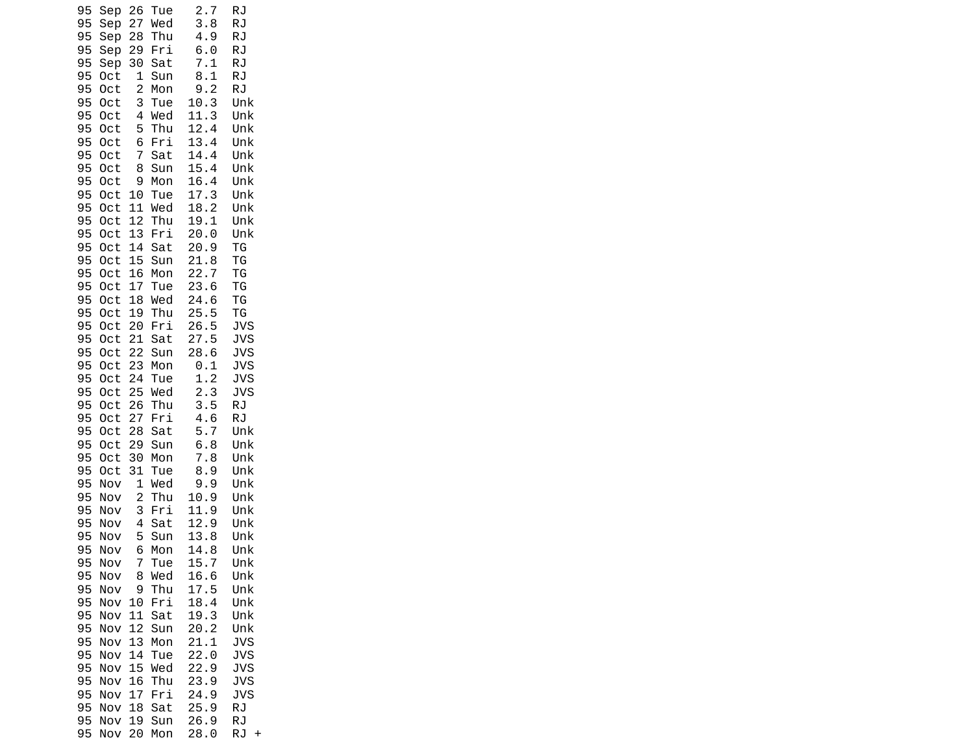| 22.7<br>95<br>16<br>ΤG<br>0ct<br>Mon<br>95<br>23.6<br>17<br>TG<br>0ct<br>Tue<br>24.6<br>95<br>18<br>Wed<br>TG<br>0ct<br>25.5<br>95<br>0ct<br>19<br>Thu<br>ΤG<br>20<br>Fri<br>26.5<br><b>JVS</b><br>95<br>0ct<br>21<br>27.5<br><b>JVS</b><br>95<br>0ct<br>Sat<br>28.6<br>95<br>22<br><b>JVS</b><br>0ct<br>Sun<br>95<br><b>JVS</b><br>0ct<br>23<br>Mon<br>0.1<br>1.2<br><b>JVS</b><br>95<br>24<br>0ct<br>Tue<br>2.3<br>25<br><b>JVS</b><br>95<br>0ct<br>Wed<br>3.5<br>95<br>26<br>Thu<br>RJ<br>0ct<br>4.6<br>95<br>27<br>Fri<br>RJ<br>0ct<br>5.7<br>95<br>28<br>Sat<br>Unk<br>0ct<br>6.8<br>95<br>29<br>0ct<br>Sun<br>Unk<br>7.8<br>95<br>30<br>Unk<br>0ct<br>Mon<br>8.9<br>95<br>31<br>Unk<br>0ct<br>Tue<br>95<br>Wed<br>9.9<br>Unk<br>Nov<br>1<br>95<br>$\overline{c}$<br>Thu<br>10.9<br>Unk<br>Nov<br>95<br>3<br>Fri<br>11.9<br>Unk<br>Nov<br>12.9<br>95<br>4<br>Unk<br>Sat<br>Nov<br>95<br>5<br>13.8<br>Unk<br>Nov<br>Sun<br>95<br>Nov<br>Mon<br>14.<br>8<br>Unk<br>6<br>95<br>15.7<br>Unk<br>Nov<br>Tue<br>7<br>95<br>Nov<br>8<br>Wed<br>16.6<br>Unk<br>95<br>17.5<br>Nov<br>9<br>Thu<br>Unk<br>18.4<br>95<br>Nov<br>10<br>Fri<br>Unk<br>95<br>11<br>19.3<br>Nov<br>Sat<br>Unk<br>12<br>20.2<br>95<br>Nov<br>Sun<br>Unk<br>13<br>21.1<br>95<br>Nov<br>Mon<br><b>JVS</b><br>95<br>14<br>Nov<br>Tue<br>22.0<br>JVS<br>15<br>95<br>Nov<br>Wed<br><b>JVS</b><br>22.9<br>95<br>16<br>23.9<br><b>JVS</b><br>Nov<br>Thu<br>95<br>17<br>Fri<br>24.9<br><b>JVS</b><br>Nov | 95<br>Sep<br>95<br>Sep<br>Sep<br>95<br>95<br>Sep<br>95<br>Sep<br>95<br>0ct<br>95<br>0ct<br>95<br>0ct<br>95<br>0ct<br>95<br>0ct<br>95<br>0ct<br>95<br>0ct<br>95<br>0ct<br>95<br>0ct<br>95<br>0ct<br>95<br>0ct<br>95<br>0ct<br>95<br>0ct<br>95<br>0ct<br>95<br>0ct | 26<br>27<br>28<br>29<br>30<br>1<br>$\overline{c}$<br>3<br>4<br>5<br>6<br>7<br>8<br>9<br>10<br>11<br>12<br>13<br>14<br>15 | Tue<br>Wed<br>Thu<br>Fri<br>Sat<br>Sun<br>Mon<br>Tue<br>Wed<br>Thu<br>Fri<br>Sat<br>Sun<br>Mon<br>Tue<br>Wed<br>Thu<br>Fri<br>Sat<br>Sun | 2.7<br>3.8<br>4.9<br>6.0<br>7.1<br>8.1<br>9.2<br>10.3<br>11.3<br>12.4<br>13.4<br>14.4<br>15.4<br>16.4<br>17.3<br>18.2<br>19.1<br>20.0<br>20.9<br>21.8 | <b>RJ</b><br>RJ<br><b>RJ</b><br>RJ<br>RJ<br>RJ<br><b>RJ</b><br>Unk<br>Unk<br>Unk<br>Unk<br>Unk<br>Unk<br>Unk<br>Unk<br>Unk<br>Unk<br>Unk<br>ΤG<br>TG |
|---------------------------------------------------------------------------------------------------------------------------------------------------------------------------------------------------------------------------------------------------------------------------------------------------------------------------------------------------------------------------------------------------------------------------------------------------------------------------------------------------------------------------------------------------------------------------------------------------------------------------------------------------------------------------------------------------------------------------------------------------------------------------------------------------------------------------------------------------------------------------------------------------------------------------------------------------------------------------------------------------------------------------------------------------------------------------------------------------------------------------------------------------------------------------------------------------------------------------------------------------------------------------------------------------------------------------------------------------------------------------------------------------------------------------------------------------------------------|------------------------------------------------------------------------------------------------------------------------------------------------------------------------------------------------------------------------------------------------------------------|--------------------------------------------------------------------------------------------------------------------------|------------------------------------------------------------------------------------------------------------------------------------------|-------------------------------------------------------------------------------------------------------------------------------------------------------|------------------------------------------------------------------------------------------------------------------------------------------------------|
|                                                                                                                                                                                                                                                                                                                                                                                                                                                                                                                                                                                                                                                                                                                                                                                                                                                                                                                                                                                                                                                                                                                                                                                                                                                                                                                                                                                                                                                                     | 95<br>Nov                                                                                                                                                                                                                                                        | 18                                                                                                                       | Sat                                                                                                                                      | 25.9                                                                                                                                                  | RJ                                                                                                                                                   |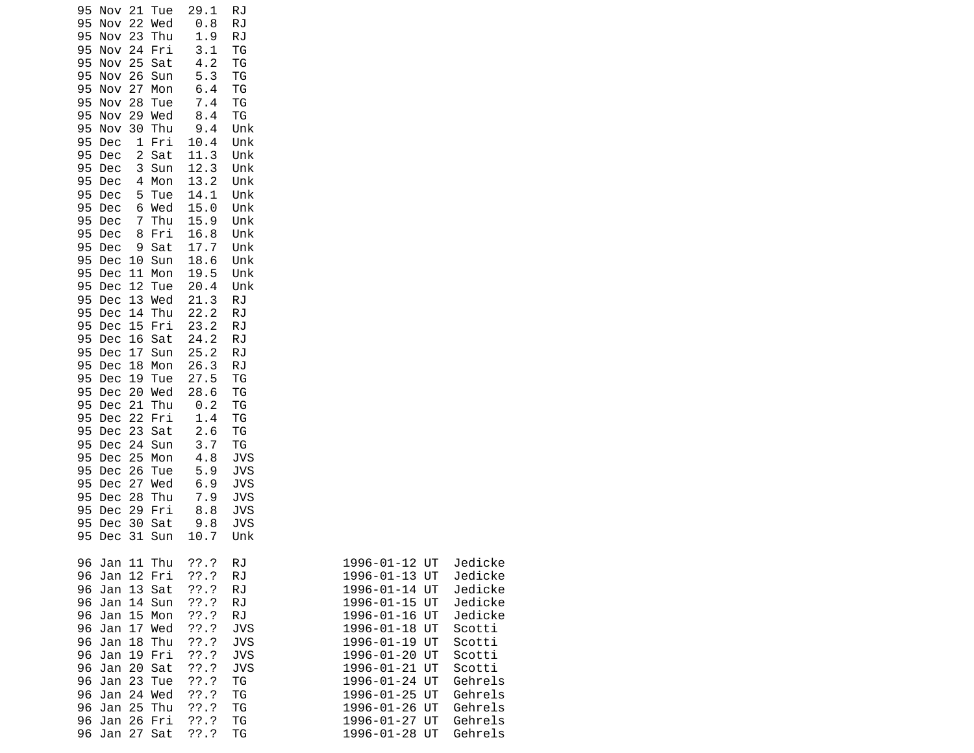| 21 Tue<br>95<br>Nov               | 29.1         | RJ         |                          |
|-----------------------------------|--------------|------------|--------------------------|
| 22 Wed<br>95<br>Nov               | 0.8          | RJ         |                          |
| <b>Nov 23</b><br>Thu<br>95        | 1.9          | <b>RJ</b>  |                          |
| Nov 24<br>95<br>Fri               | 3.1          | TG         |                          |
| <b>Nov 25</b><br>95<br>Sat        | 4.2          | ΤG         |                          |
| 95<br>Nov 26<br>Sun               | 5.3          | TG         |                          |
| Nov<br>27<br>95<br>Mon            | 6.4          | TG         |                          |
| 28<br>95<br>Nov<br>Tue            | 7.4          | ΤG         |                          |
| 29<br>Wed<br>95<br>Nov            | 8.4          | ΤG         |                          |
| 95<br>Nov<br>30<br>Thu            | 9.4          | Unk        |                          |
| 95<br>Dec<br>1<br>Fri             | 10.4         | Unk        |                          |
| 2<br>Sat<br>95<br>Dec             | 11.3         | Unk        |                          |
| 95<br>3<br>Sun<br>Dec             | 12.3         | Unk        |                          |
| 95<br>Dec<br>4<br>Mon             | 13.2         | Unk        |                          |
| 95<br>Dec<br>5<br>Tue             | 14.1         | Unk        |                          |
| 6 Wed<br>95<br>Dec                | 15.0         | Unk        |                          |
| 95<br>Thu<br>Dec<br>7             | 15.9         | Unk        |                          |
| 95<br>8<br>Fri<br>Dec<br>Sat<br>9 | 16.8         | Unk        |                          |
| 95<br>Dec<br>95<br>Dec<br>10 Sun  | 17.7<br>18.6 | Unk<br>Unk |                          |
| 95<br>Dec<br>11 Mon               | 19.5         | Unk        |                          |
| 95<br>Dec<br>12<br>Tue            | 20.4         | Unk        |                          |
| 13 Wed<br>95<br>Dec               | 21.3         | RJ         |                          |
| Thu<br>95<br>Dec<br>14            | 22.2         | <b>RJ</b>  |                          |
| 95<br>Dec<br>15<br>Fri            | 23.2         | RJ         |                          |
| 16<br>Sat<br>95<br>Dec            | 24.2         | <b>RJ</b>  |                          |
| 17<br>Sun<br>95<br>Dec            | 25.2         | <b>RJ</b>  |                          |
| 95<br>Dec<br>18<br>Mon            | 26.3         | <b>RJ</b>  |                          |
| 95<br>Dec<br>19<br>Tue            | 27.5         | ΤG         |                          |
| 20 Wed<br>95<br>Dec               | 28.6         | TG         |                          |
| 95<br>21<br>Dec<br>Thu            | 0.2          | TG         |                          |
| 22 Fri<br>95<br>Dec               | 1.4          | TG         |                          |
| 23<br>95<br>Dec<br>Sat            | 2.6          | TG         |                          |
| 95<br>Dec<br>24 Sun               | 3.7          | ΤG         |                          |
| 25 Mon<br>95<br>Dec               | 4.8          | <b>JVS</b> |                          |
| 26<br>95<br>Dec<br>Tue            | 5.9          | <b>JVS</b> |                          |
| 27<br>95<br>Dec<br>Wed            | 6.9          | <b>JVS</b> |                          |
| 95<br>Dec<br>28<br>Thu            | 7.9          | JVS        |                          |
| 95<br>Dec<br>29<br>Fri<br>30 Sat  | 8.8          | JVS        |                          |
| 95<br>Dec<br>95 Dec<br>31 Sun     | 9.8          | JVS        |                          |
|                                   | 10.7         | Unk        |                          |
| Jan 11 Thu<br>96                  | ??.?         | RJ         | Jedicke<br>1996-01-12 UT |
| 12 Fri<br>96<br>Jan               | ??'.?        | RJ         | Jedicke<br>1996-01-13 UT |
| 13 Sat<br>96<br>Jan               | ??'.?        | <b>RJ</b>  | Jedicke<br>1996-01-14 UT |
| 96<br>14 Sun<br>Jan               | ??'.?        | <b>RJ</b>  | Jedicke<br>1996-01-15 UT |
| 15<br>Mon<br>96<br>Jan            | $??\.?$      | <b>RJ</b>  | Jedicke<br>1996-01-16 UT |
| 96<br>Jan<br>17<br>Wed            | ??'.?        | <b>JVS</b> | 1996-01-18 UT<br>Scotti  |
| 18<br>Thu<br>96<br>Jan            | ??'.?        | <b>JVS</b> | 1996-01-19 UT<br>Scotti  |
| 19 Fri<br>Jan<br>96               | ??'.?        | <b>JVS</b> | 1996-01-20 UT<br>Scotti  |
| 20<br>96<br>Jan<br>Sat            | $??\.?$      | <b>JVS</b> | 1996-01-21 UT<br>Scotti  |
| Jan<br>23<br>96<br>Tue            | ??'.?        | TG         | Gehrels<br>1996-01-24 UT |
| 96<br>24 Wed<br>Jan               | 77.7         | ΤG         | Gehrels<br>1996-01-25 UT |
| 25<br>Thu<br>96<br>Jan            | $??\.?$      | ΤG         | 1996-01-26 UT<br>Gehrels |
| 26 Fri<br>96<br>Jan               | 77.7         | ΤG         | 1996-01-27 UT<br>Gehrels |

| Jan 11 Thu<br>96.    | ??.?     | RJ         | 1996-01-12 UT    | Jedicke |
|----------------------|----------|------------|------------------|---------|
| 12 Fri<br>96.<br>Jan | $??\ .?$ | RJ         | 1996-01-13 UT    | Jedicke |
| Jan 13 Sat<br>96.    | 72.7     | RJ         | 1996-01-14 UT    | Jedicke |
| Jan 14 Sun<br>96.    | ??.?     | RJ.        | 1996-01-15 UT    | Jedicke |
| Jan 15 Mon<br>96.    | $??\ .?$ | RJ         | 1996-01-16 UT    | Jedicke |
| Jan 17 Wed<br>96.    | 77.7     | JVS        | 1996-01-18 UT    | Scotti  |
| Jan 18 Thu<br>96.    | $??\.?$  | JVS        | 1996-01-19 UT    | Scotti  |
| Jan 19 Fri<br>96.    | 72.7     | <b>JVS</b> | 1996-01-20 UT    | Scotti  |
| Jan 20 Sat<br>96.    | ??.?     | JVS        | 1996-01-21 UT    | Scotti  |
| Jan 23 Tue<br>96.    | 72.7     | ТG         | 1996-01-24 UT    | Gehrels |
| Jan 24 Wed<br>96.    | $??\ .?$ | ΤG         | 1996-01-25 UT    | Gehrels |
| Jan 25 Thu<br>96.    | 72.7     | TG         | 1996-01-26 UT    | Gehrels |
| Jan 26 Fri<br>96.    | ??.?     | TG         | 1996-01-27 UT    | Gehrels |
| Jan 27 Sat<br>96.    | ??.?     | TG         | 1996-01-28<br>UT | Gehrels |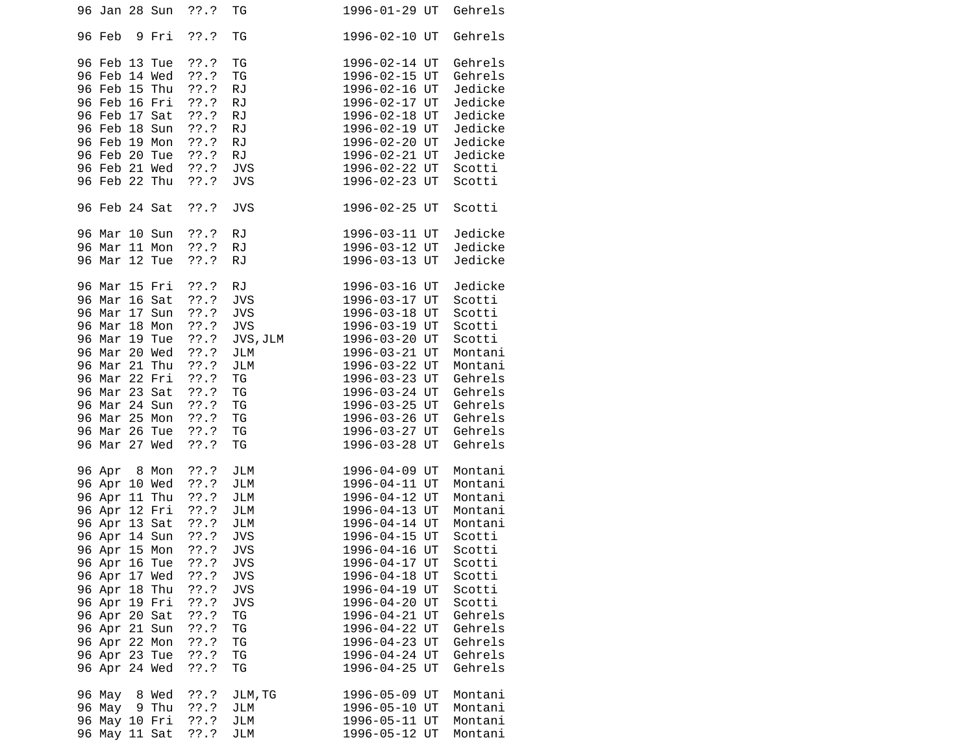| 96 Jan 28 Sun                                                                                                                                                                                                                                                                       | ??.?                                                                                                                                          | ТG                                                                                                                                         | 1996-01-29 UT                                                                                                                                                                                                                                                                | Gehrels                                                                                                                                                                |
|-------------------------------------------------------------------------------------------------------------------------------------------------------------------------------------------------------------------------------------------------------------------------------------|-----------------------------------------------------------------------------------------------------------------------------------------------|--------------------------------------------------------------------------------------------------------------------------------------------|------------------------------------------------------------------------------------------------------------------------------------------------------------------------------------------------------------------------------------------------------------------------------|------------------------------------------------------------------------------------------------------------------------------------------------------------------------|
| 96 Feb<br>9 Fri                                                                                                                                                                                                                                                                     | ??'.?                                                                                                                                         | TG                                                                                                                                         | 1996-02-10 UT                                                                                                                                                                                                                                                                | Gehrels                                                                                                                                                                |
| 96 Feb 13 Tue<br>96 Feb 14 Wed<br>96 Feb 15 Thu<br>96 Feb 16 Fri<br>96 Feb 17 Sat<br>96 Feb 18 Sun<br>96 Feb 19 Mon<br>96 Feb 20 Tue<br>96 Feb 21 Wed<br>96 Feb 22 Thu                                                                                                              | ??'.?<br>??'.?<br>??'.?<br>$??\.?$<br>??'.?<br>??'.?<br>??'.?<br>??'.?<br>??.?<br>$??\ .?$                                                    | TG<br>TG<br><b>RJ</b><br><b>RJ</b><br><b>RJ</b><br><b>RJ</b><br><b>RJ</b><br><b>RJ</b><br><b>JVS</b><br><b>JVS</b>                         | 1996-02-14 UT<br>1996-02-15 UT<br>1996-02-16 UT<br>1996-02-17 UT<br>1996-02-18 UT<br>1996-02-19 UT<br>1996-02-20 UT<br>1996-02-21 UT<br>1996-02-22 UT<br>1996-02-23 UT                                                                                                       | Gehrels<br>Gehrels<br>Jedicke<br>Jedicke<br>Jedicke<br>Jedicke<br>Jedicke<br>Jedicke<br>Scotti<br>Scotti                                                               |
| 96 Feb 24 Sat                                                                                                                                                                                                                                                                       | ??'.?                                                                                                                                         | <b>JVS</b>                                                                                                                                 | 1996-02-25 UT                                                                                                                                                                                                                                                                | Scotti                                                                                                                                                                 |
| 96 Mar 10 Sun<br>96 Mar 11 Mon<br>96 Mar 12 Tue                                                                                                                                                                                                                                     | 77.7<br>??'.?<br>??'.?                                                                                                                        | <b>RJ</b><br><b>RJ</b><br><b>RJ</b>                                                                                                        | 1996-03-11 UT<br>1996-03-12 UT<br>1996-03-13 UT                                                                                                                                                                                                                              | Jedicke<br>Jedicke<br>Jedicke                                                                                                                                          |
| 96 Mar 15 Fri<br>96 Mar 16 Sat<br>96 Mar 17 Sun<br>96 Mar 18 Mon<br>96 Mar 19 Tue<br>96 Mar 20 Wed<br>96 Mar 21 Thu<br>96 Mar 22 Fri<br>96 Mar 23 Sat<br>96 Mar 24 Sun<br>96 Mar 25 Mon<br>96 Mar 26 Tue<br>96 Mar 27 Wed                                                           | ??'.?<br>??'.?<br>??'.?<br>$??\ .?$<br>$??\ .?$<br>$??\.?$<br>??'.?<br>??'.?<br>??'.?<br>??'.?<br>??'.?<br>??'.?<br>??.?                      | <b>RJ</b><br><b>JVS</b><br><b>JVS</b><br><b>JVS</b><br>JVS, JLM<br>JLM<br>JLM<br>TG<br>TG<br>TG<br>TG<br>TG<br>TG                          | 1996-03-16 UT<br>1996-03-17 UT<br>1996-03-18 UT<br>1996-03-19 UT<br>1996-03-20 UT<br>1996-03-21 UT<br>1996-03-22 UT<br>1996-03-23 UT<br>1996-03-24 UT<br>1996-03-25 UT<br>1996-03-26 UT<br>1996-03-27 UT<br>1996-03-28 UT                                                    | Jedicke<br>Scotti<br>Scotti<br>Scotti<br>Scotti<br>Montani<br>Montani<br>Gehrels<br>Gehrels<br>Gehrels<br>Gehrels<br>Gehrels<br>Gehrels                                |
| 96 Apr<br>8 Mon<br>96 Apr 10 Wed<br>96 Apr 11 Thu<br>96 Apr 12 Fri<br>96 Apr 13 Sat ??.?<br>96 Apr 14 Sun<br>96 Apr 15 Mon<br>96 Apr 16 Tue<br>96 Apr 17 Wed<br>96 Apr 18 Thu<br>96 Apr 19 Fri<br>96 Apr 20 Sat<br>96 Apr 21 Sun<br>96 Apr 22 Mon<br>96 Apr 23 Tue<br>96 Apr 24 Wed | ??'.?<br>$??\.?$<br>??'.?<br>??.?<br>$??\, .?$<br>??'.?<br>77.7<br>77.7<br>??'.?<br>$??\ .?$<br>??'.?<br>??'.?<br>$??\.?$<br>$??\.?$<br>??'.? | JLM<br>JLM<br><b>JLM</b><br>JLM<br>JLM<br><b>JVS</b><br><b>JVS</b><br>JVS<br>JVS<br><b>JVS</b><br><b>JVS</b><br>TG<br>ΤG<br>ΤG<br>ΤG<br>TG | 1996-04-09 UT<br>1996-04-11 UT<br>1996-04-12 UT<br>1996-04-13 UT<br>1996-04-14 UT<br>1996-04-15 UT<br>1996-04-16 UT<br>1996-04-17 UT<br>1996-04-18 UT<br>1996-04-19 UT<br>1996-04-20 UT<br>1996-04-21 UT<br>1996-04-22 UT<br>1996-04-23 UT<br>1996-04-24 UT<br>1996-04-25 UT | Montani<br>Montani<br>Montani<br>Montani<br>Montani<br>Scotti<br>Scotti<br>Scotti<br>Scotti<br>Scotti<br>Scotti<br>Gehrels<br>Gehrels<br>Gehrels<br>Gehrels<br>Gehrels |
| 96 May 8 Wed<br>96 May<br>9 Thu<br>96 May 10 Fri<br>96 May 11 Sat                                                                                                                                                                                                                   | $??\.?$<br>$??\.?$<br>??.?<br>??'.?                                                                                                           | JLM, TG<br>JLM<br>JLM<br>JLM                                                                                                               | 1996-05-09 UT<br>1996-05-10 UT<br>1996-05-11 UT<br>1996-05-12 UT                                                                                                                                                                                                             | Montani<br>Montani<br>Montani<br>Montani                                                                                                                               |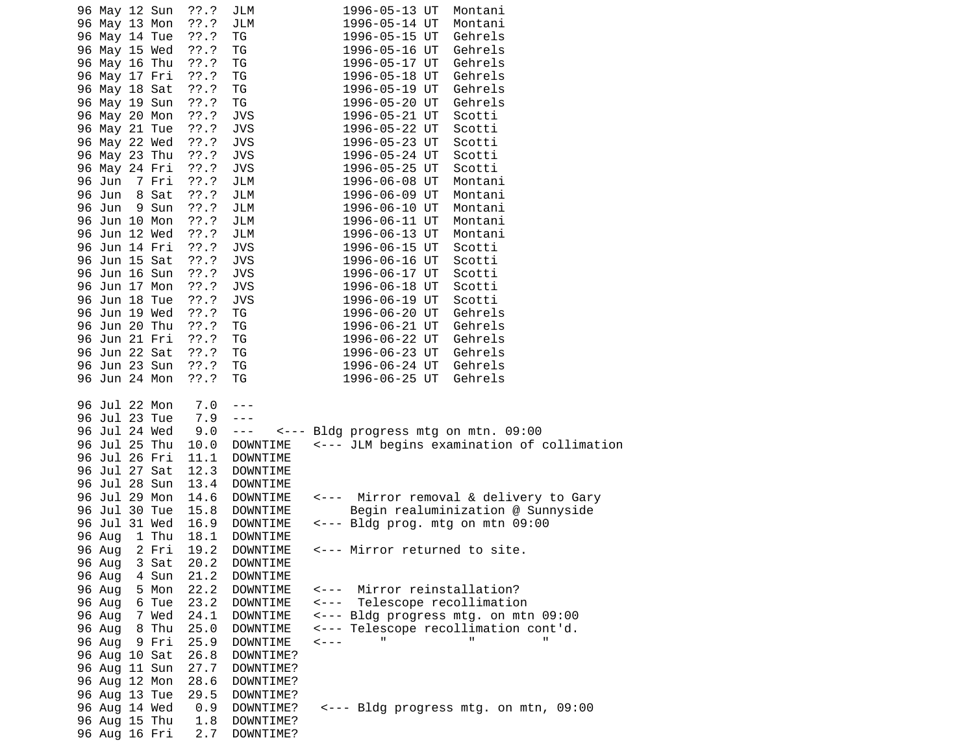| 96 May 12 Sun<br>96 May 13 Mon<br>96 May 14 Tue<br>96 May 15 Wed<br>96 May 16 Thu<br>96 May 17 Fri<br>96 May 18 Sat<br>96 May 19 Sun<br>96 May 20 Mon<br>96 May 21 Tue<br>96 May 22 Wed<br>96 May 23 Thu<br>96 May 24 Fri<br>96 Jun<br>7 Fri<br>96 Jun 8 Sat<br>96 Jun 9 Sun<br>96 Jun 10 Mon<br>96 Jun 12 Wed<br>96 Jun 14 Fri<br>96 Jun 15 Sat<br>96 Jun 16 Sun<br>96 Jun 17 Mon<br>96 Jun 18 Tue<br>96 Jun 19 Wed<br>96 Jun 20 Thu<br>96 Jun 21 Fri<br>96 Jun 22 Sat<br>96 Jun 23 Sun<br>96 Jun 24 Mon | $??\.?$<br>$??\ .?$<br>??'.?<br>$??\ .?$<br>$??\ .?$<br>$??\ .?$<br>??'.?<br>??.?<br>??'.?<br>??'.?<br>$??\ .?$<br>$??\ .?$<br>$??\ .?$<br>$??\.?$<br>??'.?<br>$??\ .?$<br>??'.?<br>$??\.?$<br>$??\.?$<br>$??\ .?$<br>$??\ .?$<br>??'.?<br>$??\ .?$<br>??'.?<br>$??\cdot?$<br>??'.?<br>??'.?<br>$??\ .?$<br>??'.? | JLM<br>JLM<br>TG<br>ΤG<br>ΤG<br>TG<br>TG<br>TG<br><b>JVS</b><br><b>JVS</b><br><b>JVS</b><br><b>JVS</b><br><b>JVS</b><br>JLM<br>JLM<br>JLM<br>JLM<br>JLM<br><b>JVS</b><br><b>JVS</b><br><b>JVS</b><br><b>JVS</b><br><b>JVS</b><br>ΤG<br>TG<br>TG<br>ΤG<br>TG<br>TG            | 1996-05-13 UT<br>Montani<br>1996-05-14 UT<br>Montani<br>1996-05-15 UT<br>Gehrels<br>1996-05-16 UT<br>Gehrels<br>Gehrels<br>1996-05-17 UT<br>Gehrels<br>1996-05-18 UT<br>Gehrels<br>1996-05-19 UT<br>1996-05-20 UT<br>Gehrels<br>1996-05-21 UT<br>Scotti<br>1996-05-22 UT<br>Scotti<br>1996-05-23 UT<br>Scotti<br>1996-05-24 UT<br>Scotti<br>1996-05-25 UT<br>Scotti<br>Montani<br>1996-06-08 UT<br>1996-06-09 UT<br>Montani<br>1996-06-10 UT<br>Montani<br>1996-06-11 UT<br>Montani<br>1996-06-13 UT<br>Montani<br>1996-06-15 UT<br>Scotti<br>1996-06-16 UT<br>Scotti<br>1996-06-17 UT<br>Scotti<br>1996-06-18 UT<br>Scotti<br>1996-06-19 UT<br>Scotti<br>Gehrels<br>1996-06-20 UT<br>1996-06-21 UT<br>Gehrels<br>1996-06-22 UT<br>Gehrels<br>1996-06-23 UT<br>Gehrels<br>Gehrels<br>1996-06-24 UT<br>Gehrels<br>1996-06-25 UT |
|-----------------------------------------------------------------------------------------------------------------------------------------------------------------------------------------------------------------------------------------------------------------------------------------------------------------------------------------------------------------------------------------------------------------------------------------------------------------------------------------------------------|-------------------------------------------------------------------------------------------------------------------------------------------------------------------------------------------------------------------------------------------------------------------------------------------------------------------|------------------------------------------------------------------------------------------------------------------------------------------------------------------------------------------------------------------------------------------------------------------------------|--------------------------------------------------------------------------------------------------------------------------------------------------------------------------------------------------------------------------------------------------------------------------------------------------------------------------------------------------------------------------------------------------------------------------------------------------------------------------------------------------------------------------------------------------------------------------------------------------------------------------------------------------------------------------------------------------------------------------------------------------------------------------------------------------------------------------------|
| 96 Jul 22 Mon<br>96 Jul 23 Tue<br>96 Jul 24 Wed<br>96 Jul 25 Thu<br>96 Jul 26 Fri<br>96 Jul 27 Sat<br>96 Jul 28 Sun<br>96 Jul 29 Mon<br>96 Jul 30 Tue<br>96 Jul 31 Wed<br>1 Thu<br>96 Aug<br>96 Aug 2 Fri<br>3 Sat<br>96 Aug<br>4 Sun<br>96 Aug<br>96 Aug<br>5 Mon<br>6 Tue<br>96 Aug<br>7 Wed<br>96 Aug<br>8 Thu<br>96 Aug<br>96 Aug 9 Fri<br>96 Aug 10 Sat<br>96 Aug 11 Sun                                                                                                                             | 7.0<br>7.9<br>9.0<br>10.0<br>11.1<br>12.3<br>13.4<br>14.6<br>15.8<br>16.9<br>18.1<br>19.2<br>20.2<br>21.2<br>22.2<br>23.2<br>24.1<br>25.0<br>25.9<br>26.8<br>27.7                                                                                                                                                 | - - -<br>---<br>$\sim$ $\sim$ $\sim$<br>DOWNTIME<br>DOWNTIME<br>DOWNTIME<br>DOWNTIME<br>DOWNTIME<br><b>DOWNTIME</b><br>DOWNTIME<br>DOWNTIME<br>DOWNTIME<br><b>DOWNTIME</b><br>DOWNTIME<br>DOWNTIME<br>DOWNTIME<br>DOWNTIME<br>DOWNTIME<br>DOWNTIME<br>DOWNTIME?<br>DOWNTIME? | <--- Bldg progress mtg on mtn. 09:00<br><--- JLM begins examination of collimation<br>Mirror removal & delivery to Gary<br><---<br>Begin realuminization @ Sunnyside<br>$\leq$ --- Bldg prog. mtg on mtn 09:00<br><--- Mirror returned to site.<br>Mirror reinstallation?<br><----<br>$\leq - - -$<br>Telescope recollimation<br><--- Bldg progress mtg. on mtn 09:00<br><--- Telescope recollimation cont'd.<br>$\leftarrow - -$                                                                                                                                                                                                                                                                                                                                                                                              |
| 96 Aug 12 Mon<br>96 Aug 13 Tue<br>96 Aug 14 Wed<br>96 Aug 15 Thu<br>96 Aug 16 Fri                                                                                                                                                                                                                                                                                                                                                                                                                         | 28.6<br>29.5<br>0.9<br>1.8<br>2.7                                                                                                                                                                                                                                                                                 | DOWNTIME?<br>DOWNTIME?<br>DOWNTIME?<br>DOWNTIME?<br>DOWNTIME?                                                                                                                                                                                                                | <--- Bldg progress mtg. on mtn, 09:00                                                                                                                                                                                                                                                                                                                                                                                                                                                                                                                                                                                                                                                                                                                                                                                          |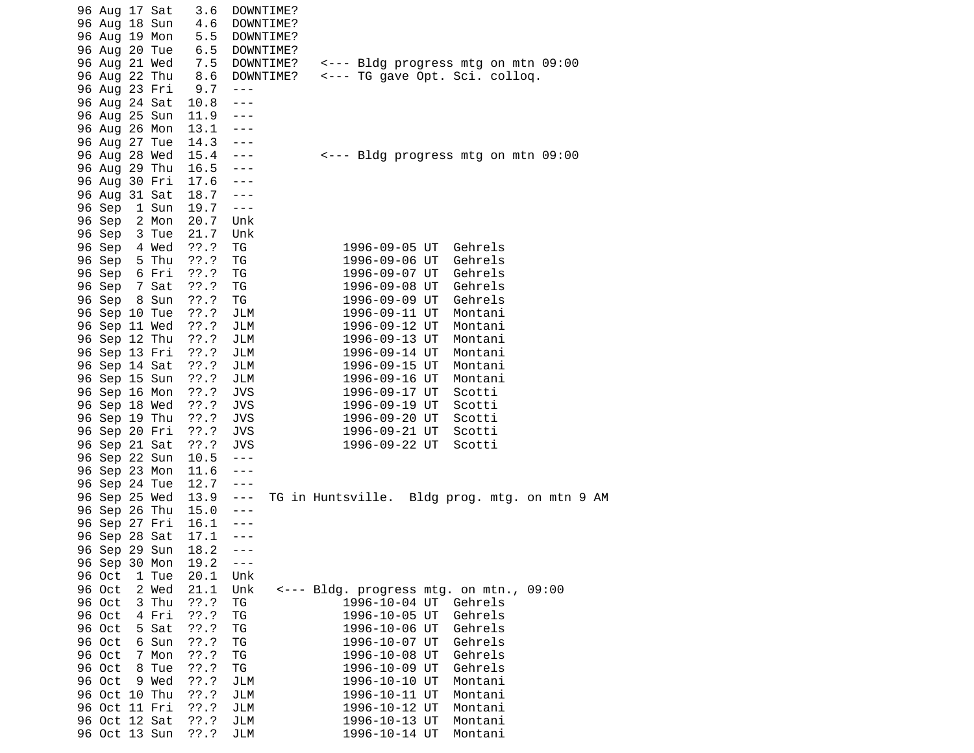| 96 Aug 17 Sat |       | 3.6     | DOWNTIME?  |                                               |  |
|---------------|-------|---------|------------|-----------------------------------------------|--|
| 96 Aug 18 Sun |       | 4.6     | DOWNTIME?  |                                               |  |
| 96 Aug 19 Mon |       | 5.5     | DOWNTIME?  |                                               |  |
| 96 Aug 20 Tue |       | 6.5     | DOWNTIME?  |                                               |  |
| 96 Aug 21 Wed |       | 7.5     | DOWNTIME?  | <--- Bldg progress mtg on mtn 09:00           |  |
| 96 Aug 22 Thu |       | 8.6     | DOWNTIME?  | <--- TG gave Opt. Sci. colloq.                |  |
| 96 Aug 23 Fri |       | 9.7     | $- - -$    |                                               |  |
| 96 Aug 24 Sat |       | 10.8    | ---        |                                               |  |
| 96 Aug 25 Sun |       | 11.9    | ---        |                                               |  |
| 96 Aug 26 Mon |       | 13.1    | ---        |                                               |  |
| 96 Aug 27 Tue |       | 14.3    | ---        |                                               |  |
| 96 Aug 28 Wed |       | 15.4    | ---        | <--- Bldg progress mtg on mtn 09:00           |  |
| 96 Aug 29 Thu |       | 16.5    | ---        |                                               |  |
| 96 Aug 30 Fri |       | 17.6    | $- - -$    |                                               |  |
| 96 Aug 31 Sat |       | 18.7    | $- - -$    |                                               |  |
| 96 Sep        | 1 Sun | 19.7    | $- - -$    |                                               |  |
| 96 Sep        | 2 Mon | 20.7    | Unk        |                                               |  |
| 96 Sep        | 3 Tue | 21.7    | Unk        |                                               |  |
| 96 Sep        | 4 Wed | ??'.?   | TG         | Gehrels<br>1996-09-05 UT                      |  |
| 96 Sep        | 5 Thu | ??'.?   | ΤG         | 1996-09-06 UT<br>Gehrels                      |  |
| 96 Sep        | 6 Fri | ??'.?   | ΤG         | 1996-09-07 UT<br>Gehrels                      |  |
| 96 Sep        | 7 Sat | ??'.?   | ΤG         | 1996-09-08 UT<br>Gehrels                      |  |
| 96 Sep        | 8 Sun | ??'.?   | ΤG         | 1996-09-09 UT<br>Gehrels                      |  |
| 96 Sep 10 Tue |       | ??'.?   | JLM        | 1996-09-11 UT<br>Montani                      |  |
| 96 Sep 11 Wed |       | ??'.?   | JLM        | 1996-09-12 UT<br>Montani                      |  |
| 96 Sep 12 Thu |       | ??'.?   | JLM        | 1996-09-13 UT<br>Montani                      |  |
| 96 Sep 13 Fri |       | $??\.?$ | JLM        | 1996-09-14 UT<br>Montani                      |  |
| 96 Sep 14 Sat |       | ??'.?   | JLM        | 1996-09-15 UT<br>Montani                      |  |
| 96 Sep 15 Sun |       | ??'.?   | JLM        | 1996-09-16 UT<br>Montani                      |  |
| 96 Sep 16 Mon |       | ??'.?   | <b>JVS</b> | 1996-09-17 UT<br>Scotti                       |  |
| 96 Sep 18 Wed |       | $??\.?$ | <b>JVS</b> | Scotti<br>1996-09-19 UT                       |  |
| 96 Sep 19 Thu |       | ??'.?   | <b>JVS</b> | 1996-09-20 UT<br>Scotti                       |  |
| 96 Sep 20 Fri |       | ??'.?   | <b>JVS</b> | 1996-09-21 UT<br>Scotti                       |  |
| 96 Sep 21 Sat |       | ??'.?   | <b>JVS</b> | 1996-09-22 UT<br>Scotti                       |  |
| 96 Sep 22 Sun |       | 10.5    | $- - -$    |                                               |  |
| 96 Sep 23 Mon |       | 11.6    | ---        |                                               |  |
| 96 Sep 24 Tue |       | 12.7    | ---        |                                               |  |
| 96 Sep 25 Wed |       | 13.9    | ---        | TG in Huntsville. Bldg prog. mtg. on mtn 9 AM |  |
| 96 Sep 26 Thu |       | 15.0    | ---        |                                               |  |
| 96 Sep 27 Fri |       | 16.1    | - - -      |                                               |  |
| 96 Sep 28 Sat |       | 17.1    | - - -      |                                               |  |
| 96 Sep 29 Sun |       | 18.2    | ---        |                                               |  |
| 96 Sep 30 Mon |       | 19.2    | $- - -$    |                                               |  |
| 96 Oct        | 1 Tue | 20.1    | Unk        |                                               |  |
| 96 Oct        | 2 Wed | 21.1    | Unk        | <--- Bldg. progress mtg. on mtn., 09:00       |  |
| 96 Oct        | 3 Thu | 77.7    | ΤG         | 1996-10-04 UT<br>Gehrels                      |  |
| 96 Oct        | 4 Fri | ??'.?   | ΤG         | Gehrels<br>1996-10-05 UT                      |  |
| 96 Oct        | 5 Sat | ??'.?   | ΤG         | 1996-10-06 UT<br>Gehrels                      |  |
| 96 Oct        | 6 Sun | ??'.?   | ΤG         | Gehrels<br>1996-10-07 UT                      |  |
| 96 Oct        | 7 Mon | 77.7    | ΤG         | Gehrels<br>1996-10-08 UT                      |  |
| 96 Oct        | 8 Tue | ??'.?   | ΤG         | 1996-10-09 UT<br>Gehrels                      |  |
| 96 Oct        | 9 Wed | ??'.?   | JLM        | 1996-10-10 UT<br>Montani                      |  |
| 96 Oct 10 Thu |       | ??'.?   | JLM        | 1996-10-11 UT<br>Montani                      |  |
| 96 Oct 11 Fri |       | ??'.?   | JLM        | Montani<br>1996-10-12 UT                      |  |
| 96 Oct 12 Sat |       | 77.7    | JLM        | 1996-10-13 UT<br>Montani                      |  |
|               |       | ??'.?   | JLM        | 1996-10-14 UT                                 |  |
| 96 Oct 13 Sun |       |         |            | Montani                                       |  |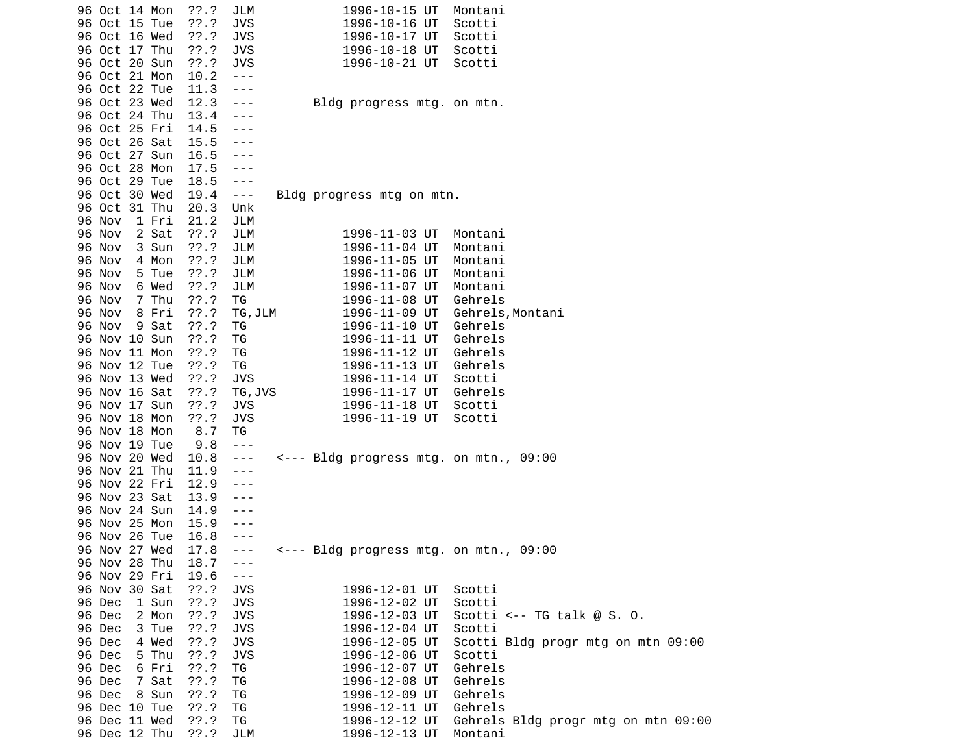| 96 Oct 14 Mon   | ??.?     | JLM                     | 1996-10-15 UT                          | Montani                             |
|-----------------|----------|-------------------------|----------------------------------------|-------------------------------------|
| 96 Oct 15 Tue   | ??'.?    | <b>JVS</b>              | 1996-10-16 UT                          | Scotti                              |
| 96 Oct 16 Wed   | ??'.?    | <b>JVS</b>              | 1996-10-17 UT                          | Scotti                              |
| 96 Oct 17 Thu   | ??'.?    | <b>JVS</b>              | 1996-10-18 UT                          | Scotti                              |
| 96 Oct 20 Sun   | ??'.?    | <b>JVS</b>              | 1996-10-21 UT                          | Scotti                              |
| 96 Oct 21 Mon   | 10.2     | $  -$                   |                                        |                                     |
| 96 Oct 22 Tue   | 11.3     | ---                     |                                        |                                     |
| 96 Oct 23 Wed   | 12.3     | ---                     | Bldg progress mtg. on mtn.             |                                     |
| 96 Oct 24 Thu   | 13.4     | ---                     |                                        |                                     |
| 96 Oct 25 Fri   | 14.5     | ---                     |                                        |                                     |
| 96 Oct 26 Sat   | 15.5     | ---                     |                                        |                                     |
| 96 Oct 27 Sun   | 16.5     | - - -                   |                                        |                                     |
| 96 Oct 28 Mon   | 17.5     | ---                     |                                        |                                     |
| 96 Oct 29 Tue   | 18.5     | $\sim$ $\sim$ $\sim$    |                                        |                                     |
| 96 Oct 30 Wed   | 19.4     | $\sim$ $ -$             | Bldg progress mtg on mtn.              |                                     |
| 96 Oct 31 Thu   | 20.3     | Unk                     |                                        |                                     |
| 96 Nov<br>1 Fri | 21.2     | JLM                     |                                        |                                     |
| 96 Nov<br>2 Sat | ??'.?    | JLM                     | 1996-11-03 UT                          | Montani                             |
| 3 Sun<br>96 Nov | ??'.?    | JLM                     | 1996-11-04 UT                          | Montani                             |
| 96 Nov<br>4 Mon | ??'.?    | JLM                     | 1996-11-05 UT                          | Montani                             |
| 96 Nov<br>5 Tue | ??'.?    | JLM                     | 1996-11-06 UT                          | Montani                             |
| 96 Nov<br>6 Wed | ??.?     | JLM                     | 1996-11-07 UT                          | Montani                             |
| 7 Thu<br>96 Nov | ??'.?    | TG                      | 1996-11-08 UT                          | Gehrels                             |
| 8 Fri<br>96 Nov | 77.7     | TG, JLM                 | 1996-11-09 UT                          | Gehrels, Montani                    |
| 9 Sat<br>96 Nov | ??'.?    | ΤG                      | 1996-11-10 UT                          | Gehrels                             |
| 96 Nov 10 Sun   | ??'.?    | ΤG                      | 1996-11-11 UT                          | Gehrels                             |
| 96 Nov 11 Mon   | 77.7     | ΤG                      | 1996-11-12 UT                          | Gehrels                             |
| 96 Nov 12 Tue   | 77.7     | TG                      | 1996-11-13 UT                          | Gehrels                             |
| 96 Nov 13 Wed   | ??'.?    | <b>JVS</b>              | 1996-11-14 UT                          | Scotti                              |
| 96 Nov 16 Sat   | ??'.?    | TG, JVS                 | 1996-11-17 UT                          | Gehrels                             |
| 96 Nov 17 Sun   | $??\ .?$ | <b>JVS</b>              | 1996-11-18 UT                          | Scotti                              |
| 96 Nov 18 Mon   | ??'.?    | <b>JVS</b>              | 1996-11-19 UT                          | Scotti                              |
| 96 Nov 18 Mon   | 8.7      | TG                      |                                        |                                     |
| 96 Nov 19 Tue   | 9.8      | $- - -$                 |                                        |                                     |
| 96 Nov 20 Wed   | 10.8     | $- - -$                 | <--- Bldg progress mtg. on mtn., 09:00 |                                     |
| 96 Nov 21 Thu   | 11.9     | ---                     |                                        |                                     |
| 96 Nov 22 Fri   | 12.9     | ---                     |                                        |                                     |
| 96 Nov 23 Sat   | 13.9     | ---                     |                                        |                                     |
| 96 Nov 24 Sun   | 14.9     | ---                     |                                        |                                     |
| 96 Nov 25 Mon   | 15.9     | ---                     |                                        |                                     |
| 96 Nov 26 Tue   | 16.8     | - - -                   |                                        |                                     |
| 96 Nov 27 Wed   | 17.8     | $- - -$                 | <--- Bldg progress mtg. on mtn., 09:00 |                                     |
| 96 Nov 28 Thu   | 18.7     | $- - -$                 |                                        |                                     |
| 96 Nov 29 Fri   | 19.6     | $\perp$ $\perp$ $\perp$ |                                        |                                     |
| 96 Nov 30 Sat   | ??'.?    | <b>JVS</b>              | 1996-12-01 UT                          | Scotti                              |
| 96 Dec<br>1 Sun | ??'.?    | <b>JVS</b>              | 1996-12-02 UT                          | Scotti                              |
| 2 Mon<br>96 Dec | ??'.?    | <b>JVS</b>              | 1996-12-03 UT                          | Scotti <-- TG talk $@S. 0.$         |
| 96 Dec<br>3 Tue | ??'.?    | <b>JVS</b>              | 1996-12-04 UT                          | Scotti                              |
| 96 Dec<br>4 Wed | ??'.?    | <b>JVS</b>              | 1996-12-05 UT                          | Scotti Bldg progr mtg on mtn 09:00  |
| 96 Dec<br>5 Thu | ??'.?    | <b>JVS</b>              | 1996-12-06 UT                          | Scotti                              |
| 96 Dec<br>6 Fri | ??'.?    | TG                      | 1996-12-07 UT                          | Gehrels                             |
| 96 Dec<br>7 Sat | ??'.?    | TG                      | 1996-12-08 UT                          | Gehrels                             |
| 96 Dec<br>8 Sun | ??'.?    | ΤG                      | 1996-12-09 UT                          | Gehrels                             |
| 96 Dec 10 Tue   | ??'.?    | ΤG                      | 1996-12-11 UT                          | Gehrels                             |
| 96 Dec 11 Wed   | ??'.?    | TG                      | 1996-12-12 UT                          | Gehrels Bldg progr mtg on mtn 09:00 |
| 96 Dec 12 Thu   | ??'.?    | JLM                     | 1996-12-13 UT                          | Montani                             |
|                 |          |                         |                                        |                                     |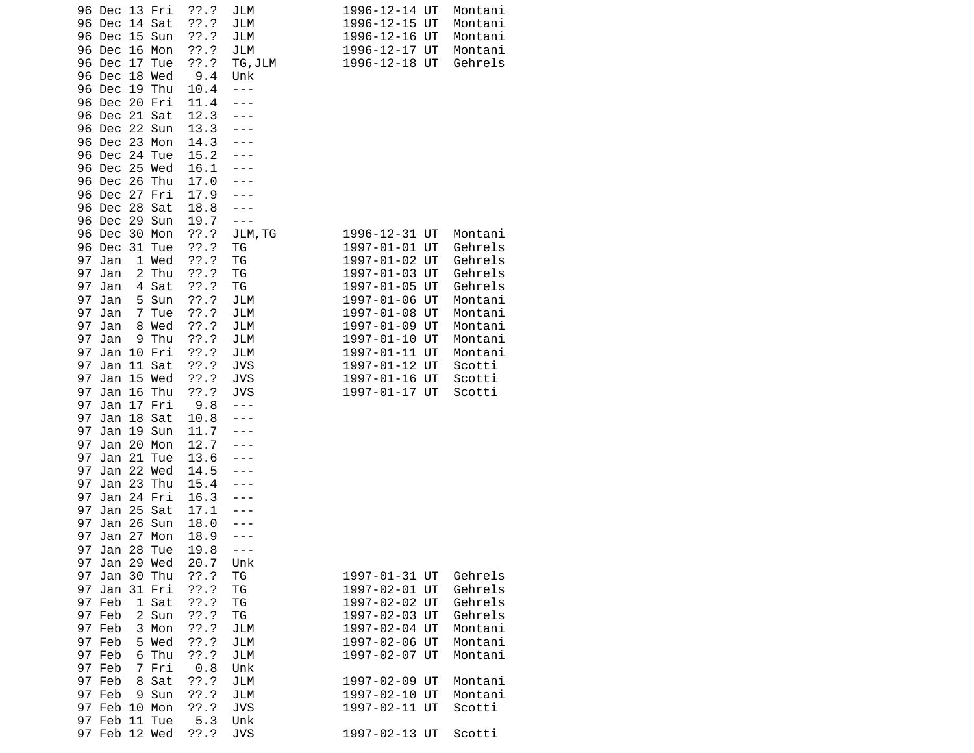| 96 Dec 13 Fri<br>14 Sat<br>96 Dec<br>15 Sun<br>96 Dec<br>16 Mon<br>96 Dec<br>Dec<br>17<br>96<br>Tue     | $??\ .?$<br>??'.?<br>??'.?<br>??'.?<br>??'.? | JLM<br>JLM<br>JLM<br>JLM<br>TG, JLM           | 1996-12-14 UT<br>1996-12-15 UT<br>1996-12-16 UT<br>1996-12-17 UT<br>1996-12-18 UT | Montani<br>Montani<br>Montani<br>Montani<br>Gehrels |  |
|---------------------------------------------------------------------------------------------------------|----------------------------------------------|-----------------------------------------------|-----------------------------------------------------------------------------------|-----------------------------------------------------|--|
| 18 Wed<br>96 Dec<br>96 Dec<br>19 Thu<br>96 Dec<br>20 Fri<br>21 Sat<br>96 Dec<br>22 Sun<br>96 Dec        | 9.4<br>10.4<br>11.4<br>12.3<br>13.3          | Unk<br>$- - -$<br>---                         |                                                                                   |                                                     |  |
| 96 Dec<br>23 Mon<br>24 Tue<br>96 Dec<br>25 Wed<br>96 Dec                                                | 14.3<br>15.2<br>16.1                         |                                               |                                                                                   |                                                     |  |
| 96 Dec<br>26<br>Thu<br>96 Dec<br>27 Fri<br>28 Sat<br>96 Dec                                             | 17.0<br>17.9<br>18.8                         |                                               |                                                                                   |                                                     |  |
| 29 Sun<br>96 Dec<br>30<br>96 Dec<br>Mon<br>96 Dec<br>31<br>Tue                                          | 19.7<br>??'.?<br>$??\.?$                     | $- - -$<br>JLM, TG<br>ТG                      | 1996-12-31 UT<br>1997-01-01 UT                                                    | Montani<br>Gehrels                                  |  |
| 97<br>Jan<br>1 Wed<br>$\overline{c}$<br>Thu<br>97<br>Jan<br>97<br>Sat<br>Jan<br>4<br>97<br>Jan<br>5 Sun | ??'.?<br>??'.?<br>??.?<br>??'.?              | ΤG<br>ΤG<br>ΤG<br>JLM                         | 1997-01-02 UT<br>1997-01-03 UT<br>1997-01-05 UT<br>1997-01-06 UT                  | Gehrels<br>Gehrels<br>Gehrels<br>Montani            |  |
| 97<br>Tue<br>Jan<br>7<br>97<br>8 Wed<br>Jan<br>97<br>9 Thu<br>Jan                                       | 77.7<br>??'.?<br>??'.?                       | JLM<br>JLM<br>JLM                             | 1997-01-08 UT<br>1997-01-09 UT<br>1997-01-10 UT                                   | Montani<br>Montani<br>Montani                       |  |
| 97<br>Jan<br>10 Fri<br>97<br>Jan<br>11 Sat<br>97<br>15 Wed<br>Jan                                       | ??'.?<br>??'.?<br>??'.?                      | JLM<br><b>JVS</b><br><b>JVS</b>               | 1997-01-11 UT<br>1997-01-12 UT<br>1997-01-16 UT                                   | Montani<br>Scotti<br>Scotti                         |  |
| 97<br>Jan<br>16 Thu<br>97<br>Jan<br>17 Fri<br>97<br>18<br>Jan<br>Sat                                    | ??'.?<br>9.8<br>10.8                         | <b>JVS</b><br>---                             | 1997-01-17 UT                                                                     | Scotti                                              |  |
| 97<br>Jan<br>19 Sun<br>20 Mon<br>97<br>Jan<br>21<br>97<br>Jan<br>Tue                                    | 11.7<br>12.7<br>13.6                         |                                               |                                                                                   |                                                     |  |
| 22 Wed<br>97<br>Jan<br>97<br>23<br>Thu<br>Jan<br>97<br>Jan<br>24 Fri<br>25 Sat<br>97                    | 14.5<br>15.4<br>16.3<br>17.1                 |                                               |                                                                                   |                                                     |  |
| Jan<br>26 Sun<br>97<br>Jan<br>97<br>27<br>Jan<br>Mon<br>97 Jan 28 Tue                                   | 18.0<br>18.9<br>19.8                         |                                               |                                                                                   |                                                     |  |
| 97 Jan 29 Wed<br>97<br>Jan 30 Thu<br>31 Fri<br>97<br>Jan                                                | 20.7<br>77.7<br>??'.?                        | Unk<br>ΤG<br>TG                               | 1997-01-31 UT<br>1997-02-01 UT                                                    | Gehrels<br>Gehrels                                  |  |
| 97 Feb<br>1 Sat<br>97 Feb<br>2 Sun<br>97 Feb<br>3 Mon                                                   | $??\.?$<br>??'.?<br>$??\.?$                  | ΤG<br>TG<br>JLM                               | 1997-02-02 UT<br>1997-02-03 UT<br>1997-02-04 UT                                   | Gehrels<br>Gehrels<br>Montani                       |  |
| 5 Wed<br>97 Feb<br>97 Feb<br>6 Thu<br>97 Feb<br>7 Fri                                                   | ??'.?<br>??'.?<br>0.8                        | JLM<br>JLM<br>Unk                             | 1997-02-06 UT<br>1997-02-07 UT                                                    | Montani<br>Montani                                  |  |
| 97 Feb<br>8 Sat<br>97 Feb<br>9 Sun<br>97 Feb<br>10 Mon<br>97 Feb<br>11 Tue                              | ??'.?<br>??'.?<br>??'.?<br>5.3               | <b>JLM</b><br><b>JLM</b><br><b>JVS</b><br>Unk | 1997-02-09 UT<br>1997-02-10 UT<br>1997-02-11 UT                                   | Montani<br>Montani<br>Scotti                        |  |
| 97 Feb 12 Wed                                                                                           | ??'.?                                        | <b>JVS</b>                                    | 1997-02-13 UT                                                                     | Scotti                                              |  |

| 1996-12-14 | UT | Montani |
|------------|----|---------|
| 1996-12-15 | UT | Montani |
| 1996-12-16 | UT | Montani |
| 1996-12-17 | UT | Montani |
| 1996-12-18 | UT | Gehrels |
|            |    |         |
| 1996-12-31 | UT | Montani |
| 1997-01-01 | UT | Gehrels |
| 1997-01-02 | UT | Gehrels |
| 1997-01-03 | UT | Gehrels |
| 1997-01-05 | UT | Gehrels |
| 1997-01-06 | UT | Montani |
| 1997-01-08 | UT | Montani |
| 1997-01-09 | UT | Montani |
| 1997-01-10 | UT | Montani |
| 1997-01-11 | UT | Montani |
| 1997-01-12 | UT | Scotti  |
| 1997-01-16 | UT | Scotti  |
| 1997-01-17 | UT | Scotti  |
|            |    |         |
| 1997-01-31 | UT | Gehrels |
| 1997-02-01 | UT | Gehrels |
| 1997-02-02 | UT | Gehrels |
| 1997-02-03 | UT | Gehrels |
| 1997-02-04 | UT | Montani |
| 1997-02-06 | UT | Montani |
| 1997-02-07 | UT | Montani |
| 1997-02-09 | UT | Montani |
| 1997-02-10 | UT | Montani |
| 1997-02-11 | UT | Scotti  |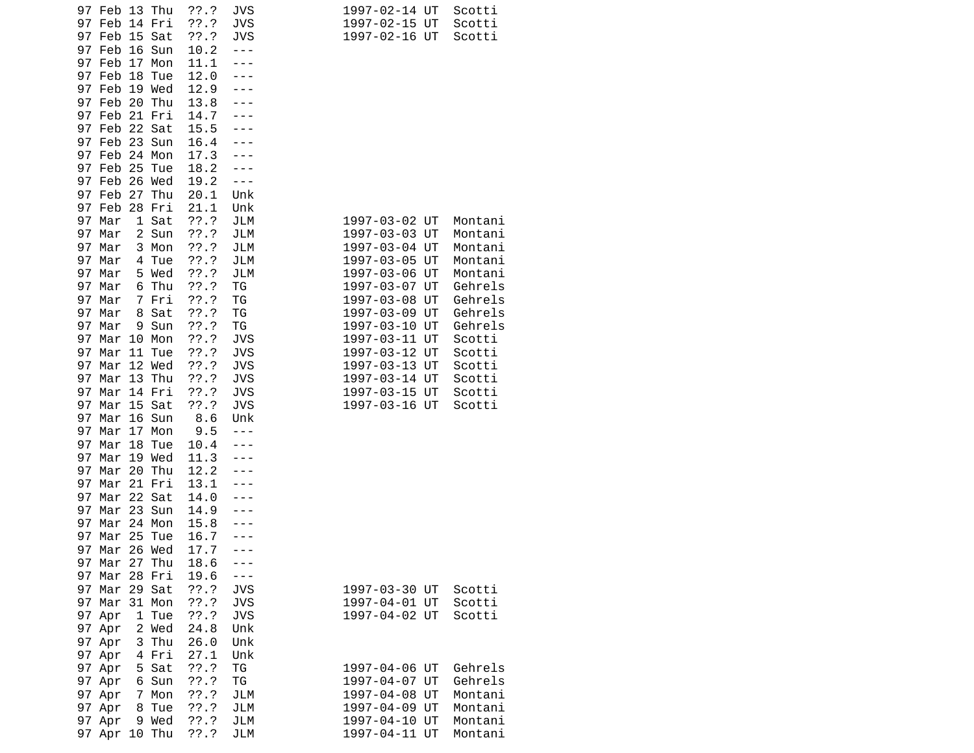|          | 97 Feb 13 Thu<br>97 Feb | 14 Fri        | ??.?<br>$??\.?$ | <b>JVS</b><br><b>JVS</b> | 1997-02-14 UT<br>1997-02-15 UT | Scotti<br>Scotti   |
|----------|-------------------------|---------------|-----------------|--------------------------|--------------------------------|--------------------|
| 97       | Feb                     | 15 Sat        | ??'.?           | JVS                      | 1997-02-16 UT                  | Scotti             |
| 97<br>97 | Feb                     | 16 Sun        | 10.2            | ---                      |                                |                    |
| 97       | Feb<br>17<br>Feb<br>18  | Mon<br>Tue    | 11.1<br>12.0    |                          |                                |                    |
| 97       | Feb                     | 19 Wed        | 12.9            |                          |                                |                    |
|          | 97 Feb                  | 20 Thu        | 13.8            |                          |                                |                    |
|          | 97 Feb                  | 21 Fri        | 14.7            |                          |                                |                    |
|          | 97 Feb                  | 22 Sat        | 15.5            |                          |                                |                    |
|          | 97 Feb                  | 23 Sun        | 16.4            |                          |                                |                    |
|          | 97 Feb                  | 24 Mon        | 17.3            |                          |                                |                    |
| 97       | 25<br>Feb<br>97 Feb     | Tue           | 18.2            |                          |                                |                    |
|          | 97 Feb<br>27            | 26 Wed<br>Thu | 19.2<br>20.1    | ---<br>Unk               |                                |                    |
| 97       | Feb                     | 28 Fri        | 21.1            | Unk                      |                                |                    |
| 97       | Mar                     | 1 Sat         | ??'.?           | JLM                      | 1997-03-02 UT                  | Montani            |
| 97       | Mar                     | 2 Sun         | ??'.?           | JLM                      | 1997-03-03 UT                  | Montani            |
| 97       | Mar<br>3                | Mon           | ??'.?           | JLM                      | 1997-03-04 UT                  | Montani            |
| 97       | Mar<br>4                | Tue           | ??'.?           | <b>JLM</b>               | 1997-03-05 UT                  | Montani            |
| 97       | Mar                     | 5 Wed         | $??\.?$         | <b>JLM</b>               | 1997-03-06 UT                  | Montani            |
| 97       | Mar<br>6                | Thu           | 77.7            | TG                       | 1997-03-07 UT                  | Gehrels            |
| 97       | Mar<br>7                | Fri           | ??'.?           | TG                       | 1997-03-08 UT                  | Gehrels            |
| 97<br>97 | Mar<br>8<br>Mar<br>9    | Sat<br>Sun    | ??'.?<br>77.7   | TG<br>ΤG                 | 1997-03-09 UT<br>1997-03-10 UT | Gehrels<br>Gehrels |
| 97       | Mar                     | 10 Mon        | ??'.?           | <b>JVS</b>               | 1997-03-11 UT                  | Scotti             |
| 97       | Mar<br>11               | Tue           | ??'.?           | <b>JVS</b>               | 1997-03-12 UT                  | Scotti             |
| 97       | Mar                     | 12 Wed        | $??\.?$         | <b>JVS</b>               | 1997-03-13 UT                  | Scotti             |
| 97       | Mar                     | 13 Thu        | 77.7            | <b>JVS</b>               | 1997-03-14 UT                  | Scotti             |
| 97       | Mar                     | 14 Fri        | ??'.?           | <b>JVS</b>               | 1997-03-15 UT                  | Scotti             |
| 97       | Mar                     | 15 Sat        | ??.?            | <b>JVS</b>               | 1997-03-16 UT                  | Scotti             |
| 97       | Mar                     | 16 Sun        | 8.6             | Unk                      |                                |                    |
| 97       | Mar<br>17               | Mon           | 9.5             |                          |                                |                    |
| 97<br>97 | Mar<br>18<br>Mar        | Tue<br>19 Wed | 10.4<br>11.3    |                          |                                |                    |
| 97       | 20<br>Mar               | Thu           | 12.2            |                          |                                |                    |
| 97       | Mar                     | 21 Fri        | 13.1            |                          |                                |                    |
| 97       | Mar                     | 22 Sat        | 14.0            |                          |                                |                    |
| 97       | Mar                     | 23 Sun        | 14.9            |                          |                                |                    |
| 97       | Mar                     | 24 Mon        | 15.8            |                          |                                |                    |
| 97       | Mar 25 Tue              |               | 16.7            |                          |                                |                    |
| 97       | Mar 26 Wed              |               | 17.7            |                          |                                |                    |
|          | 97 Mar 27 Thu           |               | 18.6            |                          |                                |                    |
|          | 97 Mar<br>97 Mar 29 Sat | 28 Fri        | 19.6<br>??.?    | - - -                    |                                |                    |
|          | 97 Mar                  | 31 Mon        | ??'.?           | <b>JVS</b><br><b>JVS</b> | 1997-03-30 UT<br>1997-04-01 UT | Scotti<br>Scotti   |
|          | 97 Apr<br>1             | Tue           | ??'.?           | <b>JVS</b>               | 1997-04-02 UT                  | Scotti             |
|          | 97 Apr                  | 2 Wed         | 24.8            | Unk                      |                                |                    |
|          | 3<br>97 Apr             | Thu           | 26.0            | Unk                      |                                |                    |
|          | 97 Apr                  | 4 Fri         | 27.1            | Unk                      |                                |                    |
|          | 97 Apr                  | 5 Sat         | ??'.?           | ΤG                       | 1997-04-06 UT                  | Gehrels            |
|          | 97 Apr                  | 6 Sun         | 77.7            | ΤG                       | 1997-04-07 UT                  | Gehrels            |
|          | 97 Apr                  | 7 Mon         | ??'.?           | JLM                      | 1997-04-08 UT                  | Montani            |
|          | 8<br>97 Apr             | Tue           | ??.?            | JLM                      | 1997-04-09 UT                  | Montani            |
|          | 97 Apr                  | 9 Wed         | ??'.?           | JLM                      | 1997-04-10 UT                  | Montani            |
|          | 97 Apr 10 Thu           |               | 77.7            | JLM                      | 1997-04-11 UT                  | Montani            |

| 1997-03-02                | UT | Montani |
|---------------------------|----|---------|
| L997-03-03                | UT | Montani |
| L997-03-04                | UT | Montani |
| L997-03-05                | UT | Montani |
| L997-03-06                | UT | Montani |
| 1997-03-07                | UT | Gehrels |
| L997-03-08                | UT | Gehrels |
| L997-03-09                | UT | Gehrels |
| 1997-03-10                | UT | Gehrels |
| L997-03-11                | UT | Scotti  |
| 1997-03-12                | UT | Scotti  |
| 1997-03-13                | UT | Scotti  |
| 1997-03-14                | UT | Scotti  |
| L997-03-15                | UT | Scotti  |
| 1997-03-16                | UT | Scotti  |
| 1997-03-30                | UT | Scotti  |
| 1997-04-01                | UT | Scotti  |
| L997-04-02                | UT | Scotti  |
| 1997-04-06                | UT | Gehrels |
| L997-04-07                | UT | Gehrels |
| L997-04-08                | UT | Montani |
| L997-04-09                | UT | Montani |
| 1997-04-10                | UT | Montani |
| 1997-04- <mark>1</mark> 1 | UT | Montani |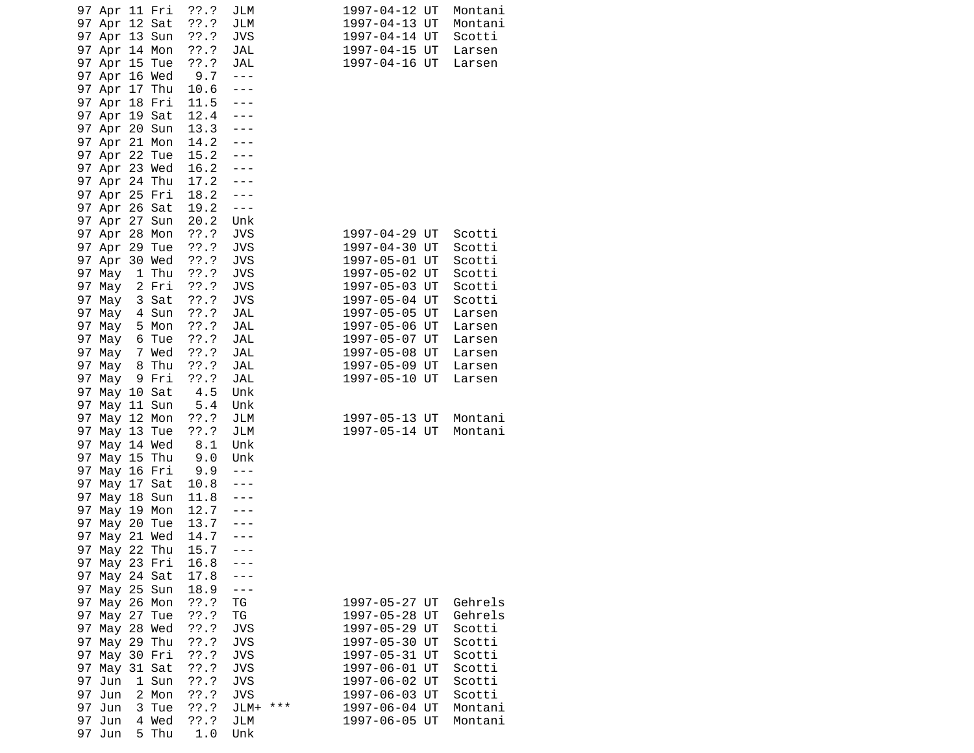| 97 Apr 11 Fri<br>97 Apr 12 Sat |        |                | $??\ .?$<br>$??\cdot?$ | JLM<br>JLM               |       | 1997-04-12 UT<br>1997-04-13 UT | Montani<br>Montani |
|--------------------------------|--------|----------------|------------------------|--------------------------|-------|--------------------------------|--------------------|
| 97 Apr 13 Sun                  |        |                | ??'.?                  | <b>JVS</b>               |       | 1997-04-14 UT                  | Scotti             |
| 97 Apr 14 Mon                  |        |                | $??\ .?$               | JAL                      |       | 1997-04-15 UT                  | Larsen             |
| 97 Apr 15 Tue<br>97 Apr 16 Wed |        |                | ??'.?<br>9.7           | JAL<br>$- - -$           |       | 1997-04-16 UT                  | Larsen             |
| 97 Apr 17 Thu                  |        |                | 10.6                   | ---                      |       |                                |                    |
| 97 Apr 18 Fri                  |        |                | 11.5                   | $- - -$                  |       |                                |                    |
| 97 Apr 19 Sat                  |        |                | 12.4                   |                          |       |                                |                    |
| 97 Apr 20 Sun                  |        |                | 13.3                   |                          |       |                                |                    |
| 97 Apr 21 Mon                  |        |                | 14.2                   |                          |       |                                |                    |
| 97 Apr 22 Tue                  |        |                | 15.2                   |                          |       |                                |                    |
| 97 Apr 23 Wed                  |        |                | 16.2                   |                          |       |                                |                    |
| 97 Apr 24 Thu                  |        |                | 17.2                   |                          |       |                                |                    |
| 97 Apr 25 Fri                  |        |                | 18.2                   | ---                      |       |                                |                    |
| 97 Apr 26 Sat                  |        |                | 19.2                   | $- - -$                  |       |                                |                    |
| 97 Apr 27 Sun                  |        |                | 20.2                   | Unk                      |       |                                |                    |
| 97 Apr 28 Mon                  |        |                | ??'.?                  | <b>JVS</b>               |       | 1997-04-29 UT                  | Scotti             |
| 97 Apr 29 Tue                  |        |                | $??\ .?$               | <b>JVS</b>               |       | 1997-04-30 UT                  | Scotti             |
| 97 Apr                         | 30 Wed |                | $??\ .?$               | <b>JVS</b>               |       | 1997-05-01 UT                  | Scotti             |
| 97 May                         | 1 Thu  |                | ??'.?                  | <b>JVS</b>               |       | 1997-05-02 UT                  | Scotti             |
| 97 May                         |        | 2 Fri          | ??'.?                  | <b>JVS</b>               |       | 1997-05-03 UT                  | Scotti             |
| 97 May                         |        | 3 Sat          | ??'.?                  | <b>JVS</b>               |       | 1997-05-04 UT                  | Scotti             |
| 97 May                         | 4 Sun  |                | ??'.?                  | <b>JAL</b>               |       | 1997-05-05 UT                  | Larsen             |
| 97 May                         | 5 Mon  |                | $??\ .?$               | JAL                      |       | 1997-05-06 UT                  | Larsen             |
| 97 May                         |        | 6 Tue          | ??'.?                  | JAL                      |       | 1997-05-07 UT                  | Larsen             |
| 97 May 7 Wed                   |        |                | $??\.?$                | JAL                      |       | 1997-05-08 UT                  | Larsen             |
| 97<br>May 8<br>97              |        | Thu            | ??'.?                  | JAL                      |       | 1997-05-09 UT                  | Larsen             |
| May<br>97 May 10 Sat           | 9 Fri  |                | ??'.?                  | JAL<br>Unk               |       | 1997-05-10 UT                  | Larsen             |
| 97 May 11 Sun                  |        |                | $4.5$<br>5.4           | Unk                      |       |                                |                    |
| 97<br>May 12 Mon               |        |                | $??\ .?$               | JLM                      |       | 1997-05-13 UT                  | Montani            |
| 97<br>May 13 Tue               |        |                | 77.7                   | JLM                      |       | 1997-05-14 UT                  | Montani            |
| May 14 Wed<br>97               |        |                | 8.1                    | Unk                      |       |                                |                    |
| May 15 Thu<br>97               |        |                | 9.0                    | Unk                      |       |                                |                    |
| 97 May 16 Fri                  |        |                | 9.9                    | $- - -$                  |       |                                |                    |
| 97<br>May 17 Sat               |        |                | 10.8                   | ---                      |       |                                |                    |
| 97<br>May 18 Sun               |        |                | 11.8                   |                          |       |                                |                    |
| 97<br>May 19 Mon               |        |                | 12.7                   |                          |       |                                |                    |
| May 20 Tue<br>97               |        |                | 13.7                   |                          |       |                                |                    |
| 97<br>May 21 Wed               |        |                | 14.7                   | ---                      |       |                                |                    |
| May 22 Thu<br>97               |        |                | 15.7                   |                          |       |                                |                    |
| May 23 Fri<br>97               |        |                | 16.8                   |                          |       |                                |                    |
| 97<br>May 24 Sat               |        |                | 17.8                   |                          |       |                                |                    |
| 97<br>May 25 Sun               |        |                | 18.9                   | ---                      |       |                                |                    |
| 97<br>May 26 Mon               |        |                | ??'.?                  | ΤG                       |       | 1997-05-27 UT                  | Gehrels            |
| May 27<br>97                   |        | Tue            | 77.7                   | ΤG                       |       | 1997-05-28 UT                  | Gehrels            |
| 97<br>May 28 Wed               |        |                | ??'.?                  | <b>JVS</b>               |       | 1997-05-29 UT                  | Scotti             |
| May 29 Thu<br>97               |        |                | ??.?                   | <b>JVS</b>               |       | 1997-05-30 UT                  | Scotti             |
| 97<br>May 30 Fri               |        |                | ??'.?                  | JVS                      |       | 1997-05-31 UT                  | Scotti             |
| 97<br>May 31 Sat               |        |                | $??\.?$                | JVS                      |       | 1997-06-01 UT                  | Scotti             |
| 97<br>Jun<br>97                |        | 1 Sun<br>2 Mon | ??.?                   | <b>JVS</b><br><b>JVS</b> |       | 1997-06-02 UT<br>1997-06-03 UT | Scotti             |
| Jun<br>97                      | 3      | Tue            | ??.?<br>??.?           |                          | $***$ |                                | Scotti             |
| Jun<br>97<br>Jun               | 4      | Wed            | ??'.?                  | JLM+<br>JLM              |       | 1997-06-04 UT<br>1997-06-05 UT | Montani<br>Montani |
| 97<br>Jun                      | 5      | Thu            | 1.0                    | Unk                      |       |                                |                    |
|                                |        |                |                        |                          |       |                                |                    |

| Montani<br>Montani<br>Scotti<br>Larsen<br>Larsen                   | Scotti<br>Scotti<br>Scotti<br>Scotti<br>Scotti<br>Scotti<br>Larsen<br>Larsen<br>Larsen<br>Larsen<br>Larsen<br>Larsen                                                 | Montani<br>Montani       | Gehrels<br>Gehrels<br>Scotti<br>Scotti<br>Scotti<br>Scotti<br>Scotti<br>Scotti<br>Montani<br>Montani                                     |
|--------------------------------------------------------------------|----------------------------------------------------------------------------------------------------------------------------------------------------------------------|--------------------------|------------------------------------------------------------------------------------------------------------------------------------------|
| UT<br>UT<br>UT<br>UT<br>UT                                         | UT<br>UT<br>UT<br>UT<br>UT<br>UT<br>UT<br>UT<br>UT<br>UT<br>UT<br>UT                                                                                                 | UT<br>UT                 | UT<br>UT<br>UT<br>UT<br>UT<br>UT<br>UT<br>UT<br>UT<br>UT                                                                                 |
|                                                                    |                                                                                                                                                                      |                          |                                                                                                                                          |
|                                                                    |                                                                                                                                                                      |                          |                                                                                                                                          |
| 1997-04-12<br>1997-04-13<br>1997-04-14<br>1997-04-15<br>1997-04-16 | 1997-04-29<br>1997-04-30<br>1997-05-01<br>1997-05-02<br>1997-05-03<br>1997-05-04<br>1997-05-05<br>1997-05-06<br>1997-05-07<br>1997-05-08<br>1997-05-09<br>1997-05-10 | 1997-05-13<br>1997-05-14 | 1997-05-27<br>1997-05-28<br>1997-05-29<br>1997-05-30<br>1997-05-31<br>1997-06-01<br>1997-06-02<br>1997-06-03<br>1997-06-04<br>1997-06-05 |
|                                                                    |                                                                                                                                                                      |                          |                                                                                                                                          |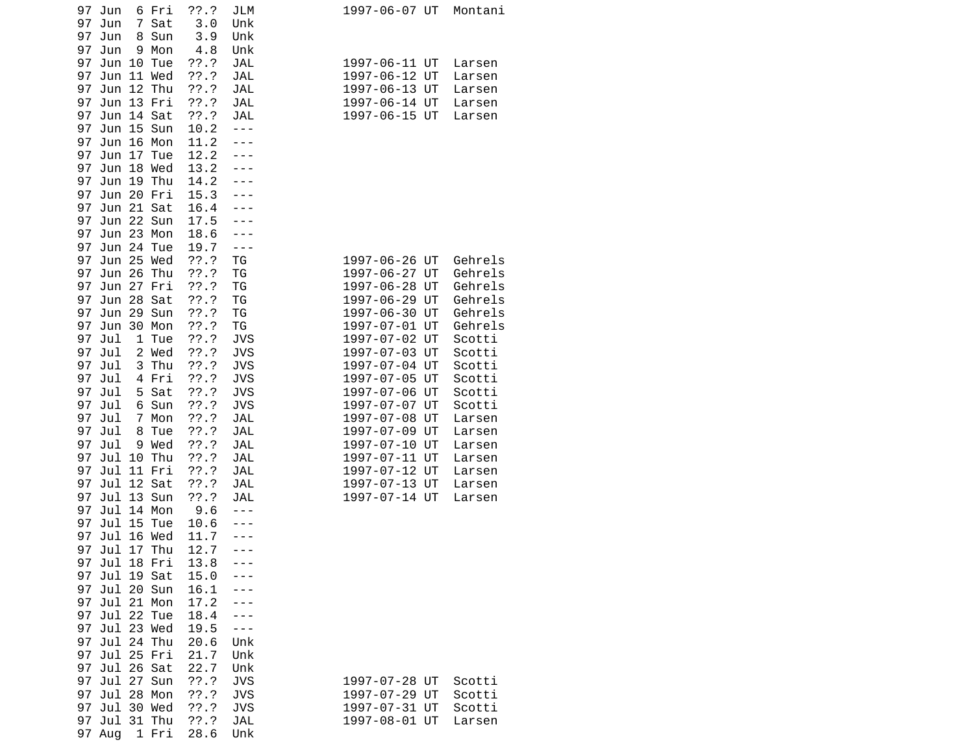| Jun<br>6 Fri<br>97     | $??\.?$ | JLM        | 1997-06-07 UT<br>Montani |
|------------------------|---------|------------|--------------------------|
| 97<br>7<br>Sat<br>Jun  | 3.0     | Unk        |                          |
| 97<br>Jun<br>8<br>Sun  | 3.9     | Unk        |                          |
| 97<br>Jun<br>Mon<br>9  | 4.8     | Unk        |                          |
| 97<br>Jun<br>10 Tue    | ??'.?   | <b>JAL</b> | 1997-06-11 UT<br>Larsen  |
| 97<br>Jun<br>11 Wed    | ??'.?   | JAL        | 1997-06-12 UT<br>Larsen  |
| 12 Thu<br>97<br>Jun    | 77.7    | JAL        | 1997-06-13 UT<br>Larsen  |
| 97<br>13 Fri<br>Jun    | ??'.?   | JAL        | 1997-06-14 UT<br>Larsen  |
| 97<br>Jun<br>14 Sat    | 77.7    | JAL        | 1997-06-15 UT<br>Larsen  |
| 15 Sun<br>97<br>Jun    | 10.2    | $- - -$    |                          |
| 16 Mon<br>97<br>Jun    | 11.2    |            |                          |
| 97<br>17<br>Tue<br>Jun | 12.2    |            |                          |
| 97<br>Jun<br>18 Wed    | 13.2    |            |                          |
| 97<br>19 Thu<br>Jun    | 14.2    |            |                          |
| 20 Fri<br>97<br>Jun    | 15.3    |            |                          |
| 21 Sat<br>97<br>Jun    | 16.4    |            |                          |
| Jun 22 Sun<br>97       | 17.5    |            |                          |
| 97<br>Jun 23 Mon       | 18.6    |            |                          |
| 97<br>Jun 24 Tue       | 19.7    | ---        |                          |
| Jun 25 Wed<br>97       | ??'.?   | TG         | 1997-06-26 UT<br>Gehrels |
| 97<br>26 Thu<br>Jun    | ??'.?   | ΤG         | 1997-06-27 UT<br>Gehrels |
| 97<br>Jun<br>27<br>Fri | $??\.?$ | ΤG         | 1997-06-28 UT<br>Gehrels |
| 97<br>Jun<br>28 Sat    | 77.7    | ΤG         | 1997-06-29 UT<br>Gehrels |
| 29 Sun<br>97<br>Jun    | ??'.?   | ΤG         | 1997-06-30 UT<br>Gehrels |
| 97<br>30 Mon<br>Jun    | ??.?    | ΤG         | 1997-07-01 UT<br>Gehrels |
| 97                     | ??'.?   |            |                          |
| Jul<br>1 Tue           |         | <b>JVS</b> | 1997-07-02 UT<br>Scotti  |
| 97<br>Jul<br>2 Wed     | 77.7    | <b>JVS</b> | 1997-07-03 UT<br>Scotti  |
| 3 Thu<br>97<br>Jul     | ??'.?   | <b>JVS</b> | 1997-07-04 UT<br>Scotti  |
| 97<br>Jul<br>4 Fri     | ??'.?   | <b>JVS</b> | 1997-07-05 UT<br>Scotti  |
| Sat<br>97<br>Jul<br>5  | 77.7    | <b>JVS</b> | 1997-07-06 UT<br>Scotti  |
| 97<br>Jul<br>6<br>Sun  | ??'.?   | <b>JVS</b> | 1997-07-07 UT<br>Scotti  |
| 97<br>Jul<br>7<br>Mon  | 77.7    | <b>JAL</b> | 1997-07-08 UT<br>Larsen  |
| 97<br>Jul<br>8<br>Tue  | ??'.?   | JAL        | 1997-07-09 UT<br>Larsen  |
| 97<br>Jul<br>9 Wed     | 77.7    | JAL        | 1997-07-10 UT<br>Larsen  |
| 97<br>Jul<br>10<br>Thu | ??'.?   | <b>JAL</b> | 1997-07-11 UT<br>Larsen  |
| 97<br>Jul<br>11 Fri    | ??'.?   | JAL        | 1997-07-12 UT<br>Larsen  |
| 97<br>Jul<br>12 Sat    | 77.7    | <b>JAL</b> | 1997-07-13 UT<br>Larsen  |
| 13 Sun<br>97<br>Jul    | ??'.?   | JAL        | 1997-07-14 UT<br>Larsen  |
| Jul 14 Mon<br>97       | 9.6     |            |                          |
| 97<br>Jul 15<br>Tue    | 10.6    |            |                          |
| 16 Wed<br>97<br>Jul    | 11.7    |            |                          |
| 17 Thu<br>97<br>Jul    | 12.7    | - - -      |                          |
| Jul 18 Fri<br>97       | 13.8    |            |                          |
| 97<br>Jul 19 Sat       | 15.0    |            |                          |
| 97<br>Jul 20 Sun       | 16.1    |            |                          |
| Jul 21 Mon<br>97       | 17.2    |            |                          |
| 97<br>Jul 22 Tue       | 18.4    |            |                          |
| Jul 23 Wed<br>97       | 19.5    |            |                          |
| 97<br>Jul 24 Thu       | 20.6    | Unk        |                          |
| 97<br>Jul 25 Fri       | 21.7    | Unk        |                          |
| 97<br>Jul<br>26 Sat    | 22.7    | Unk        |                          |
| Jul 27<br>97<br>Sun    | ??'.?   | <b>JVS</b> | 1997-07-28 UT<br>Scotti  |
| 97<br>Jul 28<br>Mon    | ??.?    | <b>JVS</b> | 1997-07-29 UT<br>Scotti  |
| 97<br>Jul 30 Wed       | ??'.?   | <b>JVS</b> | 1997-07-31 UT<br>Scotti  |
| Jul<br>31 Thu<br>97    | ??.?    | JAL        | 1997-08-01 UT<br>Larsen  |
| 97<br>Aug<br>1 Fri     | 28.6    | Unk        |                          |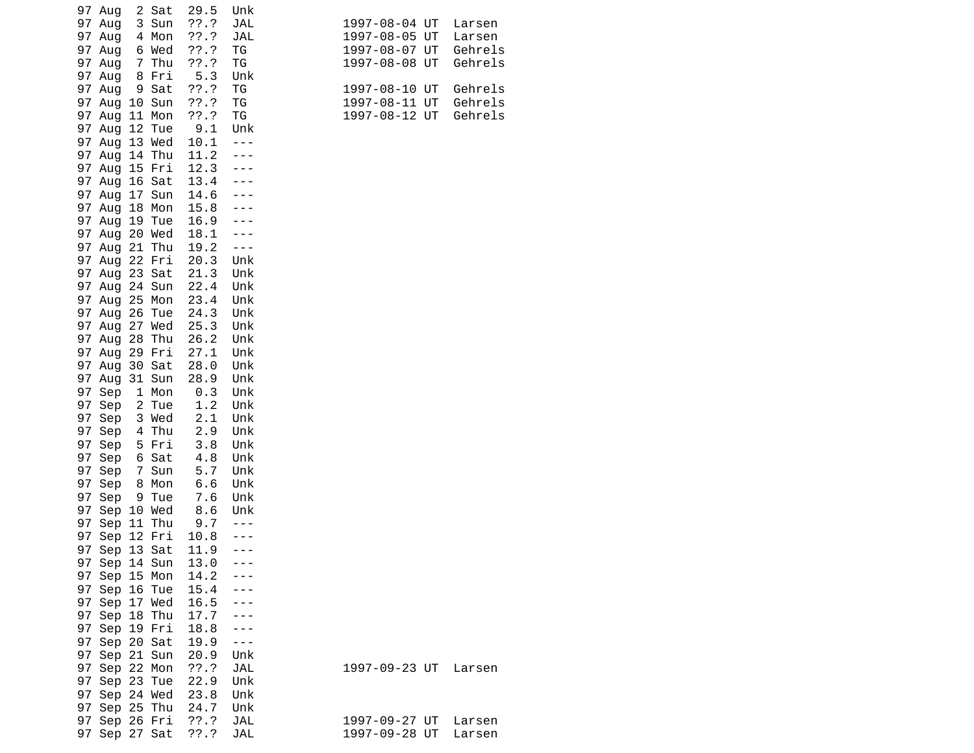|    | 97 Aug        |                | 2 Sat  | 29.5  | Unk        |                          |
|----|---------------|----------------|--------|-------|------------|--------------------------|
|    | 97 Aug        |                | 3 Sun  | ??'.? | JAL        | 1997-08-04 UT<br>Larsen  |
|    | 97 Aug        |                | 4 Mon  | ??'.? | JAL        | 1997-08-05 UT<br>Larsen  |
|    | 97 Aug        |                | 6 Wed  | ??'.? | ТG         | 1997-08-07 UT<br>Gehrels |
|    |               |                |        |       |            |                          |
|    | 97 Aug        |                | 7 Thu  | ??'.? | TG         | 1997-08-08 UT<br>Gehrels |
|    | 97 Aug        |                | 8 Fri  | 5.3   | Unk        |                          |
|    | 97 Aug        |                | 9 Sat  | ??'.? | TG         | Gehrels<br>1997-08-10 UT |
|    | 97 Aug        |                | 10 Sun | ??'.? | TG         | 1997-08-11 UT<br>Gehrels |
|    | 97 Aug        |                | 11 Mon | 77.7  | ΤG         | Gehrels<br>1997-08-12 UT |
|    | 97 Aug        |                | 12 Tue | 9.1   | Unk        |                          |
|    | 97 Aug        |                | 13 Wed | 10.1  | $- - -$    |                          |
|    | 97 Aug        |                | 14 Thu | 11.2  |            |                          |
|    | 97 Aug        |                | 15 Fri | 12.3  |            |                          |
|    | 97 Aug        |                | 16 Sat | 13.4  |            |                          |
|    | 97 Aug        |                | 17 Sun | 14.6  |            |                          |
|    | 97 Aug        |                | 18 Mon | 15.8  |            |                          |
|    | 97 Aug        | 19             | Tue    | 16.9  |            |                          |
|    | 97 Aug        |                | 20 Wed | 18.1  |            |                          |
|    |               |                | 21 Thu |       | $- - -$    |                          |
|    | 97 Aug        |                |        | 19.2  |            |                          |
|    | 97 Aug 22 Fri |                |        | 20.3  | Unk        |                          |
|    | 97 Aug        |                | 23 Sat | 21.3  | Unk        |                          |
|    | 97 Aug        |                | 24 Sun | 22.4  | Unk        |                          |
|    | 97 Aug        |                | 25 Mon | 23.4  | Unk        |                          |
|    | 97 Aug        |                | 26 Tue | 24.3  | Unk        |                          |
|    | 97 Aug 27 Wed |                |        | 25.3  | Unk        |                          |
|    | 97 Aug 28     |                | Thu    | 26.2  | Unk        |                          |
|    | 97 Aug        |                | 29 Fri | 27.1  | Unk        |                          |
|    | 97 Aug        |                | 30 Sat | 28.0  | Unk        |                          |
|    | 97 Aug        |                | 31 Sun | 28.9  | Unk        |                          |
|    | 97 Sep        |                | 1 Mon  | 0.3   | Unk        |                          |
|    | 97 Sep        |                | 2 Tue  | 1.2   | Unk        |                          |
|    | 97 Sep        |                | 3 Wed  | 2.1   | Unk        |                          |
|    | 97 Sep        |                | 4 Thu  | 2.9   | Unk        |                          |
|    |               |                | 5 Fri  | 3.8   |            |                          |
|    | 97 Sep        |                |        |       | Unk        |                          |
|    | 97 Sep        |                | 6 Sat  | 4.8   | Unk        |                          |
|    | 97 Sep        | $\overline{7}$ | Sun    | 5.7   | Unk        |                          |
|    | 97 Sep        |                | 8 Mon  | 6.6   | Unk        |                          |
|    | 97 Sep        |                | 9 Tue  | 7.6   | Unk        |                          |
|    | 97 Sep 10 Wed |                |        | 8.6   | Unk        |                          |
|    | 97 Sep        |                | 11 Thu | 9.7   | $- - -$    |                          |
|    | 97 Sep 12 Fri |                |        | 10.8  |            |                          |
| 97 | Sep           |                | 13 Sat | 11.9  | $- - -$    |                          |
|    | 97 Sep 14 Sun |                |        | 13.0  |            |                          |
|    | 97 Sep 15 Mon |                |        | 14.2  |            |                          |
|    | 97 Sep 16 Tue |                |        | 15.4  |            |                          |
|    | 97 Sep 17 Wed |                |        | 16.5  |            |                          |
|    | 97 Sep 18 Thu |                |        | 17.7  |            |                          |
|    | 97 Sep 19 Fri |                |        | 18.8  |            |                          |
|    |               |                |        |       |            |                          |
|    | 97 Sep 20 Sat |                |        | 19.9  | ---        |                          |
|    | 97 Sep 21 Sun |                |        | 20.9  | Unk        |                          |
|    | 97 Sep 22 Mon |                |        | 77.7  | <b>JAL</b> | 1997-09-23 UT<br>Larsen  |
|    | 97 Sep 23 Tue |                |        | 22.9  | Unk        |                          |
|    | 97 Sep 24 Wed |                |        | 23.8  | Unk        |                          |
|    | 97 Sep 25 Thu |                |        | 24.7  | Unk        |                          |
|    | 97 Sep 26 Fri |                |        | ??'.? | JAL        | 1997-09-27 UT<br>Larsen  |
|    | 97 Sep 27 Sat |                |        | ??'.? | <b>JAL</b> | 1997-09-28 UT<br>Larsen  |
|    |               |                |        |       |            |                          |

| 1997-08-04 UT<br>1997-08-05 UT<br>1997-08-07<br>1997-08-08 | ШT<br>ШT | Larsen<br>Larsen<br>Gehrels<br>Gehrels |
|------------------------------------------------------------|----------|----------------------------------------|
| 1997-08-10<br>1997-08-11 UT<br>1997-08-12                  | ШT<br>ШT | Gehrels<br>Gehrels<br>Gehrels          |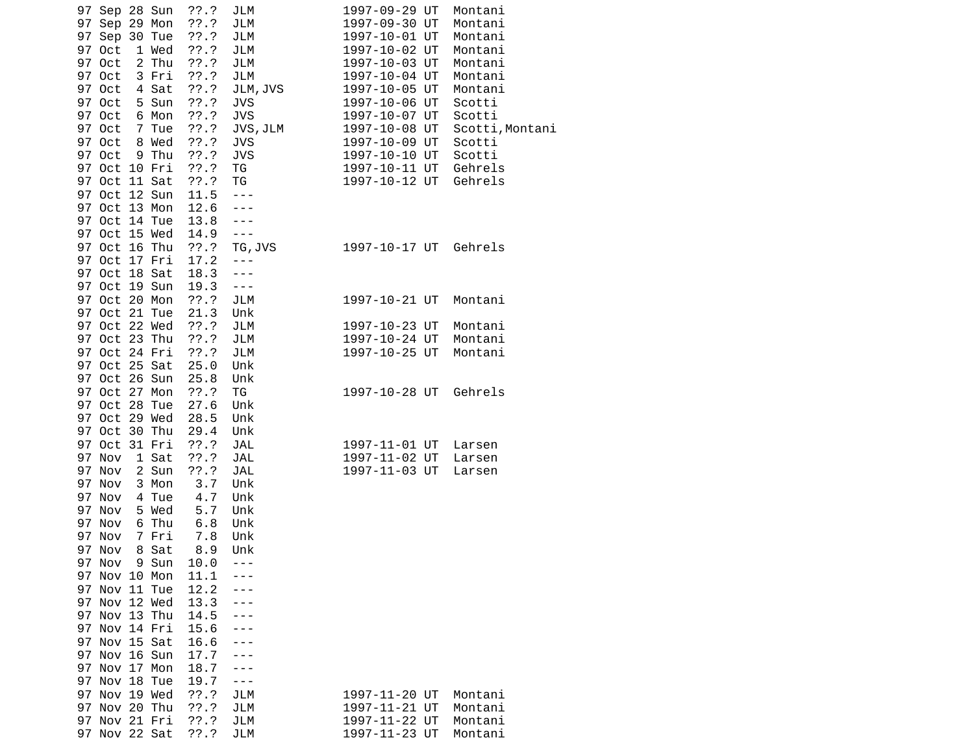|    | 97 Sep 28 Sun<br>97 Sep 29 Mon<br>97 Sep 30 Tue |                | ??'.?<br>??'.?<br>??'.? | JLM<br>JLM<br>JLM           | 1997-09-29 UT<br>1997-09-30 UT<br>1997-10-01 UT | Montani<br>Montani<br>Montani |
|----|-------------------------------------------------|----------------|-------------------------|-----------------------------|-------------------------------------------------|-------------------------------|
|    | 97 Oct                                          | 1 Wed          | ??'.?                   | <b>JLM</b>                  | 1997-10-02 UT                                   | Montani                       |
|    | 97 Oct                                          | 2 Thu          | ??'.?                   | JLM                         | 1997-10-03 UT                                   | Montani                       |
|    | 97 Oct                                          | 3 Fri          | ??'.?                   | JLM                         | 1997-10-04 UT                                   | Montani                       |
|    | 97 Oct<br>97 Oct                                | 4 Sat<br>5 Sun | ??'.?<br>??'.?          | JLM, JVS<br><b>JVS</b>      | 1997-10-05 UT<br>1997-10-06 UT                  | Montani<br>Scotti             |
|    | 97 Oct                                          | 6 Mon          | ??'.?                   | <b>JVS</b>                  | 1997-10-07 UT                                   | Scotti                        |
|    | 97 Oct                                          | 7 Tue          | ??'.?                   | JVS, JLM                    | 1997-10-08 UT                                   | Scotti, Montani               |
|    | 97 Oct                                          | 8 Wed          | ??'.?                   | <b>JVS</b>                  | 1997-10-09 UT                                   | Scotti                        |
|    | 97 Oct                                          | 9 Thu          | 77.7                    | <b>JVS</b>                  | 1997-10-10 UT                                   | Scotti                        |
|    | 97 Oct 10 Fri                                   |                | ??'.?                   | TG                          | 1997-10-11 UT                                   | Gehrels                       |
|    | 97 Oct 11 Sat<br>97 Oct 12 Sun                  |                | $??\, .?$<br>11.5       | ΤG<br>$\sim$ $\sim$ $\sim$  | 1997-10-12 UT                                   | Gehrels                       |
|    | 97 Oct 13 Mon                                   |                | 12.6                    | $- - -$                     |                                                 |                               |
|    | 97 Oct 14 Tue                                   |                | 13.8                    | $- - -$                     |                                                 |                               |
|    | 97 Oct 15 Wed                                   |                | 14.9                    | $- - -$                     |                                                 |                               |
|    | 97 Oct 16 Thu                                   |                | $??\ .?$                | TG, JVS                     | 1997-10-17 UT                                   | Gehrels                       |
|    | 97 Oct 17 Fri                                   |                | 17.2                    | $- - -$                     |                                                 |                               |
|    | 97 Oct 18 Sat                                   |                | 18.3                    | $- - -$                     |                                                 |                               |
|    | 97 Oct 19 Sun<br>97 Oct 20 Mon                  |                | 19.3<br>??'.?           | $\sim$ $\sim$ $\sim$<br>JLM | 1997-10-21 UT                                   | Montani                       |
|    | 97 Oct 21 Tue                                   |                | 21.3                    | Unk                         |                                                 |                               |
|    |                                                 | 97 Oct 22 Wed  | $??\.?$                 | JLM                         | 1997-10-23 UT                                   | Montani                       |
|    | 97 Oct 23 Thu                                   |                | ??'.?                   | JLM                         | 1997-10-24 UT                                   | Montani                       |
|    | 97 Oct 24 Fri                                   |                | ??'.?                   | JLM                         | 1997-10-25 UT                                   | Montani                       |
|    | 97 Oct 25 Sat                                   |                | 25.0                    | Unk                         |                                                 |                               |
|    | 97 Oct 26 Sun<br>97 Oct 27 Mon                  |                | 25.8                    | Unk                         |                                                 | Gehrels                       |
|    | 97 Oct 28 Tue                                   |                | $??\ .?$<br>27.6        | TG<br>Unk                   | 1997-10-28 UT                                   |                               |
|    |                                                 | 97 Oct 29 Wed  | 28.5                    | Unk                         |                                                 |                               |
|    | 97 Oct 30 Thu                                   |                | 29.4                    | Unk                         |                                                 |                               |
|    | 97 Oct 31 Fri                                   |                | ??'.?                   | JAL                         | 1997-11-01 UT                                   | Larsen                        |
|    | 97 Nov                                          | 1 Sat          | ??'.?                   | <b>JAL</b>                  | 1997-11-02 UT                                   | Larsen                        |
|    | 97 Nov                                          | 2 Sun          | 77.7                    | JAL                         | 1997-11-03 UT                                   | Larsen                        |
|    | 97 Nov<br>97 Nov                                | 3 Mon          | 3.7                     | Unk                         |                                                 |                               |
|    | 97 Nov                                          | 4 Tue<br>5 Wed | 4.7<br>5.7              | Unk<br>Unk                  |                                                 |                               |
|    | 97 Nov                                          | 6 Thu          | 6.8                     | Unk                         |                                                 |                               |
|    | 97 Nov                                          | 7 Fri          | 7.8                     | Unk                         |                                                 |                               |
|    | 97 Nov                                          | 8 Sat          | 8.9                     | Unk                         |                                                 |                               |
|    | 97 Nov                                          | 9 Sun          | 10.0                    |                             |                                                 |                               |
| 97 | Nov 10 Mon                                      |                | 11.1                    |                             |                                                 |                               |
| 97 | Nov 11 Tue<br>97 Nov 12 Wed                     |                | 12.2<br>13.3            |                             |                                                 |                               |
| 97 | Nov 13 Thu                                      |                | 14.5                    |                             |                                                 |                               |
| 97 | Nov 14 Fri                                      |                | 15.6                    |                             |                                                 |                               |
|    | 97 Nov 15 Sat                                   |                | 16.6                    |                             |                                                 |                               |
|    | 97 Nov 16 Sun                                   |                | 17.7                    |                             |                                                 |                               |
|    | 97 Nov 17 Mon                                   |                | 18.7                    |                             |                                                 |                               |
| 97 | Nov 18 Tue                                      |                | 19.7                    | ---                         |                                                 |                               |
| 97 | Nov 19 Wed                                      |                | $??\.?$                 | JLM                         | 1997-11-20 UT                                   | Montani                       |
|    | 97 Nov 20 Thu<br>97 Nov 21 Fri                  |                | 77.7<br>??.?            | JLM<br>JLM                  | 1997-11-21 UT<br>1997-11-22 UT                  | Montani<br>Montani            |
|    | 97 Nov 22 Sat                                   |                | ??'.?                   | JLM                         | 1997-11-23 UT                                   | Montani                       |
|    |                                                 |                |                         |                             |                                                 |                               |

| 1997-09-29<br>1997-09-30<br>1997-10-01<br>1997-10-02<br>1997-10-03<br>1997-10-04<br>1997-10-05<br>1997-10-06<br>1997-10-07<br>1997-10-08<br>1997-10-09<br>1997-10-10<br>1997-10-11<br>1997-10-12 | UT<br>UT<br>UT<br>UT<br>UT<br>UT<br>UT<br>UT<br>UT<br>UT<br>UT<br>UT<br>UT<br>UT | Montani<br>Montani<br>Montani<br>Montani<br>Montani<br>Montani<br>Montani<br>Scotti<br>Scotti<br>Scotti,Monta<br>Scotti<br>Scotti<br>Gehrels<br>Gehrels |
|--------------------------------------------------------------------------------------------------------------------------------------------------------------------------------------------------|----------------------------------------------------------------------------------|---------------------------------------------------------------------------------------------------------------------------------------------------------|
| 1997-10-17 UT                                                                                                                                                                                    |                                                                                  | Gehrels                                                                                                                                                 |
| 1997-10-21 UT                                                                                                                                                                                    |                                                                                  | Montani                                                                                                                                                 |
| 1997-10-23<br>1997-10-24<br>1997-10-25                                                                                                                                                           | UT<br>UT<br>UT                                                                   | Montani<br>Montani<br>Montani                                                                                                                           |
| 1997-10-28 UT                                                                                                                                                                                    |                                                                                  | Gehrels                                                                                                                                                 |
| 1997-11-01<br>1997-11-02<br>1997-11-03                                                                                                                                                           | UT<br>UT<br>UT                                                                   | Larsen<br>Larsen<br>Larsen                                                                                                                              |
|                                                                                                                                                                                                  |                                                                                  |                                                                                                                                                         |
|                                                                                                                                                                                                  |                                                                                  |                                                                                                                                                         |
| 1997-11-20<br>1997-11-21                                                                                                                                                                         | UT<br>UT                                                                         | Montani<br>Montani                                                                                                                                      |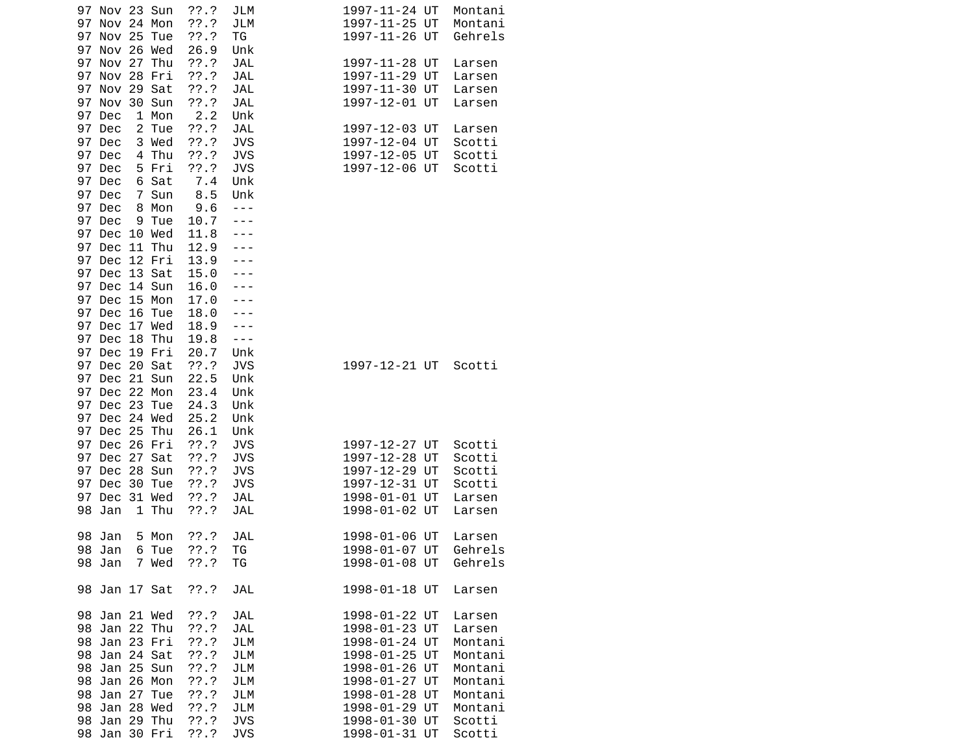| 97 Nov 23 Sun<br>97<br>Nov 24 Mon    |                 | ??.?<br>$??\.?$    | JLM<br>JLM               |  | 1997-11-24 UT<br>1997-11-25 UT | Montani<br>Montani    |
|--------------------------------------|-----------------|--------------------|--------------------------|--|--------------------------------|-----------------------|
| 97<br><b>Nov 25</b><br>97 Nov 26 Wed | Tue             | ??'.?<br>26.9      | ΤG<br>Unk                |  | 1997-11-26 UT                  | Gehrels               |
| 97 Nov 27 Thu<br>97 Nov 28           | Fri             | 77.7<br>??'.?      | <b>JAL</b><br><b>JAL</b> |  | 1997-11-28 UT<br>1997-11-29 UT | Larsen<br>Larsen      |
| 97<br>Nov 29 Sat                     |                 | ??'.?              | <b>JAL</b>               |  | 1997-11-30 UT                  | Larsen                |
| 97 Nov<br>97 Dec                     | 30 Sun<br>1 Mon | ??'.?<br>2.2       | <b>JAL</b><br>Unk        |  | 1997-12-01 UT                  | Larsen                |
| $\overline{c}$<br>97 Dec             | Tue             | 77.7               | <b>JAL</b>               |  | 1997-12-03 UT                  | Larsen                |
| 97 Dec                               | 3 Wed           | ??'.?              | <b>JVS</b>               |  | 1997-12-04 UT                  | Scotti                |
| 97 Dec<br>97 Dec                     | 4 Thu<br>5 Fri  | ??'.?<br>??'.?     | <b>JVS</b><br><b>JVS</b> |  | 1997-12-05 UT<br>1997-12-06 UT | Scotti<br>Scotti      |
| 97 Dec                               | 6 Sat           | 7.4                | Unk                      |  |                                |                       |
| 97 Dec                               | 7 Sun           | 8.5                | Unk                      |  |                                |                       |
| 97 Dec<br>8                          | Mon             | 9.6                | $- - -$                  |  |                                |                       |
| 97<br>Dec<br>9                       | Tue             | 10.7               |                          |  |                                |                       |
| 97 Dec 10 Wed<br>97 Dec 11 Thu       |                 | 11.8<br>12.9       |                          |  |                                |                       |
| 97 Dec 12 Fri                        |                 | 13.9               |                          |  |                                |                       |
| 97 Dec<br>13 Sat                     |                 | 15.0               |                          |  |                                |                       |
| 97 Dec                               | 14 Sun          | 16.0               |                          |  |                                |                       |
| 97 Dec                               | 15 Mon          | 17.0               |                          |  |                                |                       |
| 97 Dec 16<br>97 Dec 17 Wed           | Tue             | 18.0<br>18.9       |                          |  |                                |                       |
| 97<br>Dec<br>18                      | Thu             | 19.8               | ---                      |  |                                |                       |
| 97 Dec 19 Fri                        |                 | 20.7               | Unk                      |  |                                |                       |
| 97 Dec 20 Sat                        |                 | ??'.?              | <b>JVS</b>               |  | 1997-12-21 UT                  | Scotti                |
| 97 Dec 21 Sun<br>97 Dec 22 Mon       |                 | 22.5<br>23.4       | Unk<br>Unk               |  |                                |                       |
| 97 Dec 23 Tue                        |                 | 24.3               | Unk                      |  |                                |                       |
| 97 Dec 24 Wed                        |                 | 25.2               | Unk                      |  |                                |                       |
| 97 Dec 25 Thu                        |                 | 26.1               | Unk                      |  |                                |                       |
| 97<br>Dec 26 Fri                     |                 | $??\.?$            | <b>JVS</b>               |  | 1997-12-27 UT                  | Scotti                |
| 97<br>Dec<br>27<br>97 Dec            | Sat<br>28 Sun   | ??'.?<br>$??\.?$   | <b>JVS</b><br><b>JVS</b> |  | 1997-12-28 UT<br>1997-12-29 UT | Scotti<br>Scotti      |
| 97 Dec<br>30                         | Tue             | $??\ .?$           | <b>JVS</b>               |  | 1997-12-31 UT                  | Scotti                |
| 97 Dec 31 Wed                        |                 | ??'.?              | JAL                      |  | 1998-01-01 UT                  | Larsen                |
| 98<br>Jan                            | 1 Thu           | ??'.?              | JAL                      |  | 1998-01-02 UT                  | Larsen                |
| 98 Jan                               | 5 Mon           | ??'.?              | JAL                      |  | 1998-01-06 UT                  | Larsen                |
| 98 Jan 6 Tue                         |                 | $??\cdot?$         | TG                       |  |                                | 1998-01-07 UT Gehrels |
| 98 Jan                               | 7 Wed ??.?      |                    | TG                       |  | 1998-01-08 UT                  | Gehrels               |
| 98 Jan 17 Sat                        |                 | $??\cdot?$         | <b>JAL</b>               |  | 1998-01-18 UT                  | Larsen                |
| 98 Jan 21 Wed                        |                 | ??'.?              | JAL                      |  | 1998-01-22 UT                  | Larsen                |
| 98 Jan 22 Thu                        |                 | $??\ .?$           | JAL                      |  | 1998-01-23 UT                  | Larsen                |
| 98 Jan 23 Fri<br>98 Jan 24 Sat       |                 | $??\ .?$<br>??'.?  | JLM<br>JLM               |  | 1998-01-24 UT<br>1998-01-25 UT | Montani<br>Montani    |
| 98 Jan 25 Sun                        |                 | ??'.?              | JLM                      |  | 1998-01-26 UT                  | Montani               |
| 98 Jan 26 Mon                        |                 | ??'.?              | JLM                      |  | 1998-01-27 UT                  | Montani               |
| 98 Jan 27 Tue                        |                 | $??\ .?$           | JLM                      |  | 1998-01-28 UT                  | Montani               |
| 98 Jan 28 Wed                        |                 | $??\ .?$           | JLM                      |  | 1998-01-29 UT                  | Montani               |
| 98 Jan 29 Thu<br>98 Jan 30 Fri       |                 | $??\, .?$<br>??'.? | <b>JVS</b><br><b>JVS</b> |  | 1998-01-30 UT<br>1998-01-31 UT | Scotti<br>Scotti      |
|                                      |                 |                    |                          |  |                                |                       |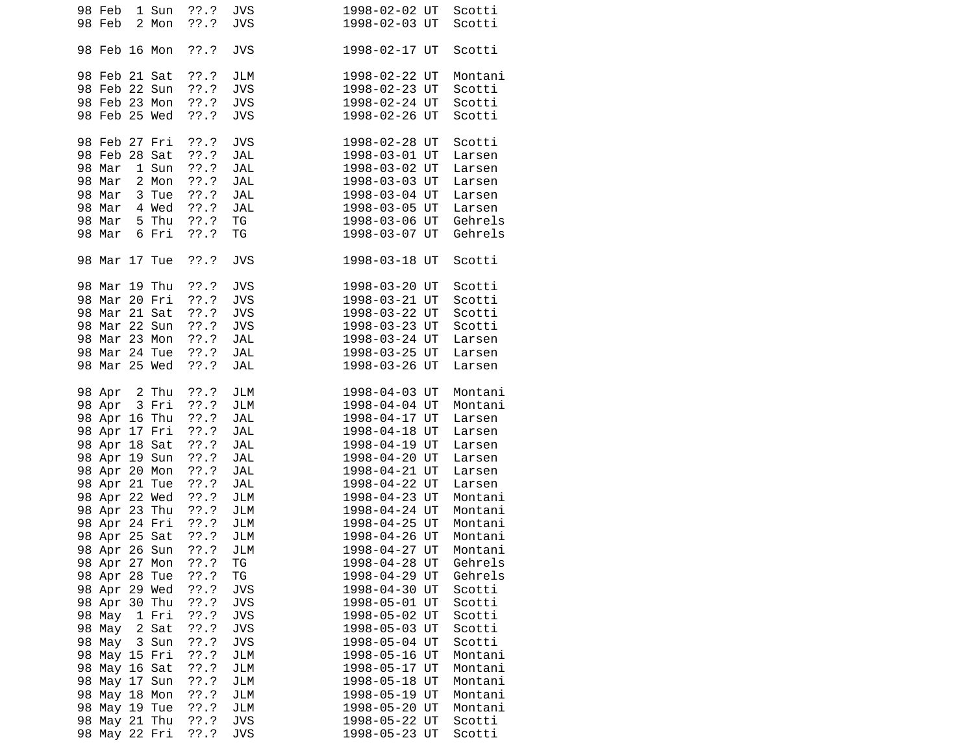| 98 Feb<br>1 Sun<br>98 Feb<br>2 Mon                                                                                                                                                                                                                                                                                                                                                                                                                                      | ??.?<br>??'.?                                                                                                                                                                                                | <b>JVS</b><br><b>JVS</b>                                                                                                                                                                                                   | 1998-02-02 UT<br>1998-02-03 UT                                                                                                                                                                                                                                                                                                                                                                                                                         | Scotti<br>Scotti                                                                                                                                                                                                                                                               |
|-------------------------------------------------------------------------------------------------------------------------------------------------------------------------------------------------------------------------------------------------------------------------------------------------------------------------------------------------------------------------------------------------------------------------------------------------------------------------|--------------------------------------------------------------------------------------------------------------------------------------------------------------------------------------------------------------|----------------------------------------------------------------------------------------------------------------------------------------------------------------------------------------------------------------------------|--------------------------------------------------------------------------------------------------------------------------------------------------------------------------------------------------------------------------------------------------------------------------------------------------------------------------------------------------------------------------------------------------------------------------------------------------------|--------------------------------------------------------------------------------------------------------------------------------------------------------------------------------------------------------------------------------------------------------------------------------|
| 98 Feb 16 Mon                                                                                                                                                                                                                                                                                                                                                                                                                                                           | ??'.?                                                                                                                                                                                                        | <b>JVS</b>                                                                                                                                                                                                                 | 1998-02-17 UT                                                                                                                                                                                                                                                                                                                                                                                                                                          | Scotti                                                                                                                                                                                                                                                                         |
| 98 Feb 21 Sat<br>98 Feb 22 Sun<br>98 Feb 23 Mon<br>98 Feb 25 Wed                                                                                                                                                                                                                                                                                                                                                                                                        | ??.?<br>$??\.?$<br>$??\ .?$<br>??'.?                                                                                                                                                                         | JLM<br><b>JVS</b><br><b>JVS</b><br><b>JVS</b>                                                                                                                                                                              | 1998-02-22 UT<br>1998-02-23 UT<br>1998-02-24 UT<br>1998-02-26 UT                                                                                                                                                                                                                                                                                                                                                                                       | Montani<br>Scotti<br>Scotti<br>Scotti                                                                                                                                                                                                                                          |
| 98 Feb 27 Fri<br>98 Feb 28 Sat<br>1 Sun<br>98 Mar<br>98 Mar<br>2 Mon<br>98 Mar<br>3 Tue<br>4 Wed ??.?<br>98 Mar<br>5 Thu ??.?<br>98 Mar<br>98 Mar<br>6 Fri                                                                                                                                                                                                                                                                                                              | ??.?<br>??'.?<br>??'.?<br>??.?<br>??.?<br>??.?                                                                                                                                                               | <b>JVS</b><br>JAL<br>JAL<br><b>JAL</b><br>JAL<br>JAL<br>TG<br>ΤG                                                                                                                                                           | 1998-02-28 UT<br>1998-03-01 UT<br>1998-03-02 UT<br>1998-03-03 UT<br>1998-03-04 UT<br>1998-03-05 UT<br>1998-03-06 UT<br>1998-03-07 UT                                                                                                                                                                                                                                                                                                                   | Scotti<br>Larsen<br>Larsen<br>Larsen<br>Larsen<br>Larsen<br>Gehrels<br>Gehrels                                                                                                                                                                                                 |
| 98 Mar 17 Tue                                                                                                                                                                                                                                                                                                                                                                                                                                                           | $??\cdot?$                                                                                                                                                                                                   | <b>JVS</b>                                                                                                                                                                                                                 | 1998-03-18 UT                                                                                                                                                                                                                                                                                                                                                                                                                                          | Scotti                                                                                                                                                                                                                                                                         |
| 98 Mar 19 Thu<br>98 Mar 20 Fri ??.?<br>98 Mar 21 Sat<br>98 Mar 22 Sun<br>98 Mar 23 Mon ??.?<br>98 Mar 24 Tue<br>98 Mar 25 Wed                                                                                                                                                                                                                                                                                                                                           | $??\ .?$<br>$??\ .?$<br>$??\cdot?$<br>$??\ .?$<br>$??\, .?$                                                                                                                                                  | <b>JVS</b><br><b>JVS</b><br><b>JVS</b><br><b>JVS</b><br>JAL<br>JAL<br><b>JAL</b>                                                                                                                                           | 1998-03-20 UT<br>1998-03-21 UT<br>1998-03-22 UT<br>1998-03-23 UT<br>1998-03-24 UT<br>1998-03-25 UT<br>1998-03-26 UT                                                                                                                                                                                                                                                                                                                                    | Scotti<br>Scotti<br>Scotti<br>Scotti<br>Larsen<br>Larsen<br>Larsen                                                                                                                                                                                                             |
| 98 Apr 2 Thu<br>3 Fri<br>98 Apr<br>98 Apr 16 Thu<br>98 Apr 17 Fri ??.?<br>98 Apr 18 Sat<br>98 Apr 19 Sun<br>98 Apr 20 Mon<br>98 Apr 21 Tue<br>98 Apr 22 Wed ??.?<br>98 Apr 23 Thu ??.?<br>98 Apr 25 Sat<br>98 Apr 26 Sun<br>98 Apr 27 Mon<br>98 Apr<br>28 Tue<br>98 Apr 29 Wed<br>98 Apr<br>30 Thu<br>98 May<br>1 Fri<br>98 May<br>2 Sat<br>98 May<br>3 Sun<br>98 May 15 Fri<br>98<br>May 16 Sat<br>98 May 17 Sun<br>98 May 18 Mon<br>98 May 19 Tue<br>May 21 Thu<br>98 | $??\ .?$<br>??'.?<br>??.?<br>$??\ .?$<br>$??\.?$<br>$??\ .?$<br>??.?<br>??'.?<br>??'.?<br>77.7<br>77.7<br>77.7<br>$??\.?$<br>??'.?<br>??'.?<br>??'.?<br>??'.?<br>$??\.?$<br>??'.?<br>??'.?<br>??'.?<br>??'.? | JLM<br>JLM<br>JAL<br><b>JAL</b><br><b>JAL</b><br>JAL<br>JAL<br>JAL<br>JLM<br>JLM<br>JLM<br>JLM<br>TG<br>ΤG<br><b>JVS</b><br><b>JVS</b><br><b>JVS</b><br><b>JVS</b><br><b>JVS</b><br>JLM<br>JLM<br>JLM<br>JLM<br>JLM<br>JVS | 1998-04-03 UT<br>1998-04-04 UT<br>1998-04-17 UT<br>1998-04-18 UT<br>1998-04-19 UT<br>1998-04-20 UT<br>1998-04-21 UT<br>1998-04-22 UT<br>1998-04-23 UT<br>1998-04-24 UT<br>1998-04-25 UT<br>1998-04-26 UT<br>1998-04-27 UT<br>1998-04-28 UT<br>1998-04-29 UT<br>1998-04-30 UT<br>1998-05-01 UT<br>1998-05-02 UT<br>1998-05-03 UT<br>1998-05-04 UT<br>1998-05-16 UT<br>1998-05-17 UT<br>1998-05-18 UT<br>1998-05-19 UT<br>1998-05-20 UT<br>1998-05-22 UT | Montani<br>Montani<br>Larsen<br>Larsen<br>Larsen<br>Larsen<br>Larsen<br>Larsen<br>Montani<br>Montani<br>Montani<br>Montani<br>Montani<br>Gehrels<br>Gehrels<br>Scotti<br>Scotti<br>Scotti<br>Scotti<br>Scotti<br>Montani<br>Montani<br>Montani<br>Montani<br>Montani<br>Scotti |
| 98<br>May 22 Fri                                                                                                                                                                                                                                                                                                                                                                                                                                                        | ??.?                                                                                                                                                                                                         | <b>JVS</b>                                                                                                                                                                                                                 | 1998-05-23 UT                                                                                                                                                                                                                                                                                                                                                                                                                                          | Scotti                                                                                                                                                                                                                                                                         |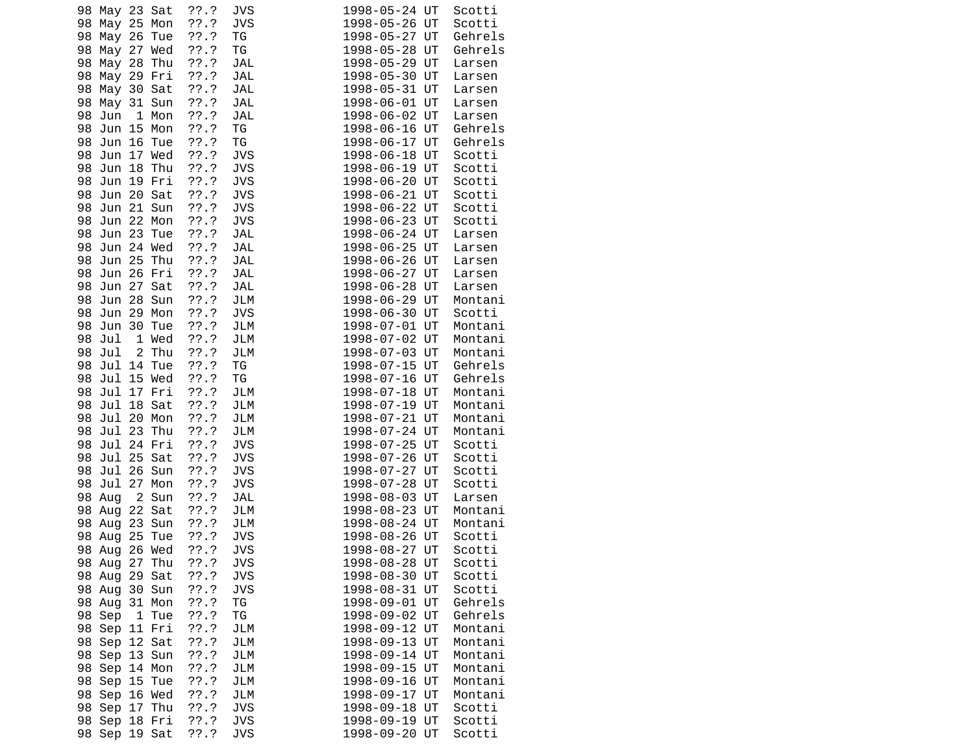| 98 May 23 Sat       | ??'.?   | JVS        | 1998-05-24 UT<br>Scotti  |
|---------------------|---------|------------|--------------------------|
| May 25 Mon<br>98    | ??'.?   | <b>JVS</b> | 1998-05-26 UT<br>Scotti  |
| 98<br>May 26 Tue    | ??'.?   | ΤG         | 1998-05-27 UT<br>Gehrels |
| 98<br>May 27 Wed    | ??'.?   | ΤG         | 1998-05-28 UT<br>Gehrels |
| 98<br>May 28 Thu    | ??.?    | JAL        | 1998-05-29 UT<br>Larsen  |
| 98<br>May 29 Fri    | ??'.?   | JAL        | 1998-05-30 UT<br>Larsen  |
| 98<br>May 30 Sat    | ??'.?   | JAL        | 1998-05-31 UT<br>Larsen  |
| 98<br>May 31 Sun    | $??\.?$ | JAL        | 1998-06-01 UT<br>Larsen  |
| 98<br>Jun<br>1 Mon  | ??'.?   | <b>JAL</b> | 1998-06-02 UT<br>Larsen  |
| Jun 15 Mon<br>98    | ??.?    | TG         | 1998-06-16 UT<br>Gehrels |
| 98 Jun 16 Tue       | ??'.?   | TG         | 1998-06-17 UT<br>Gehrels |
| 98<br>Jun 17 Wed    | ??'.?   | <b>JVS</b> | 1998-06-18 UT<br>Scotti  |
| 98<br>Jun 18 Thu    | ??'.?   | <b>JVS</b> | 1998-06-19 UT<br>Scotti  |
| Jun 19 Fri<br>98    | ??'.?   | <b>JVS</b> | 1998-06-20 UT<br>Scotti  |
| 98 Jun 20 Sat       | ??'.?   | <b>JVS</b> | 1998-06-21 UT<br>Scotti  |
| 98 Jun 21 Sun       | $??\.?$ | <b>JVS</b> | 1998-06-22 UT<br>Scotti  |
| 98<br>Jun 22 Mon    | ??'.?   | <b>JVS</b> | 1998-06-23 UT<br>Scotti  |
| Jun 23 Tue<br>98    | ??'.?   | JAL        | 1998-06-24 UT<br>Larsen  |
| Jun 24 Wed<br>98    | ??'.?   | JAL        | 1998-06-25 UT<br>Larsen  |
| 98 Jun 25 Thu       | ??.?    | <b>JAL</b> | 1998-06-26 UT<br>Larsen  |
| Jun 26 Fri<br>98    | ??'.?   | JAL        | 1998-06-27 UT<br>Larsen  |
| 98<br>Jun 27 Sat    | ??'.?   | <b>JAL</b> | 1998-06-28 UT<br>Larsen  |
| Jun 28 Sun<br>98    | ??'.?   | JLM        | 1998-06-29 UT<br>Montani |
| Jun 29 Mon<br>98    | ??'.?   | <b>JVS</b> | 1998-06-30 UT<br>Scotti  |
| 98 Jun 30 Tue       | ??'.?   | JLM        | 1998-07-01 UT<br>Montani |
| 98<br>Jul<br>1 Wed  | $??\.?$ | JLM        | 1998-07-02 UT<br>Montani |
| 2 Thu<br>98<br>Jul  | ??.?    | JLM        | 1998-07-03 UT<br>Montani |
| Jul 14 Tue<br>98    | ??'.?   | ΤG         | 1998-07-15 UT<br>Gehrels |
| 98 Jul 15 Wed       | ??.?    | ΤG         | 1998-07-16 UT<br>Gehrels |
| Jul 17 Fri<br>98    | ??.?    | JLM        | 1998-07-18 UT<br>Montani |
| Jul 18 Sat<br>98    | ??'.?   | JLM        | Montani<br>1998-07-19 UT |
| Jul 20 Mon<br>98    | ??'.?   | JLM        | 1998-07-21 UT<br>Montani |
| Jul 23 Thu<br>98    | ??'.?   | JLM        | 1998-07-24 UT<br>Montani |
| 98 Jul 24 Fri       | ??'.?   | <b>JVS</b> | 1998-07-25 UT<br>Scotti  |
| Jul 25 Sat<br>98    | $??\.?$ | <b>JVS</b> | 1998-07-26 UT<br>Scotti  |
| 98<br>Jul 26 Sun    | 77.7    | <b>JVS</b> | 1998-07-27 UT<br>Scotti  |
| Jul 27 Mon<br>98    | ??'.?   | <b>JVS</b> | 1998-07-28 UT<br>Scotti  |
| 2 Sun<br>98 Aug     | ??.?    | JAL        | 1998-08-03 UT<br>Larsen  |
| 98 Aug 22 Sat       | ??'.?   | JLM        | 1998-08-23 UT<br>Montani |
| 98<br>Aug 23 Sun    | ??'.?   | JLM        | 1998-08-24 UT<br>Montani |
| 98<br>25 Tue<br>Aug | ??.?    | <b>JVS</b> | 1998-08-26 UT<br>Scotti  |
| 98 Aug<br>26 Wed    | ??'.?   | JVS        | 1998-08-27 UT<br>Scotti  |
| 98 Aug 27 Thu       | 77.7    | JVS        | 1998-08-28 UT<br>Scotti  |
| 98 Aug 29 Sat       | ??.?    | <b>JVS</b> | 1998-08-30 UT<br>Scotti  |
| 98 Aug 30 Sun       | ??.?    | <b>JVS</b> | 1998-08-31 UT<br>Scotti  |
| 98 Aug 31 Mon       | $??\,$  | ΤG         | Gehrels<br>1998-09-01 UT |
| 98 Sep<br>1 Tue     | 77.7    | TG         | Gehrels<br>1998-09-02 UT |
| 98 Sep 11 Fri       | ??.?    | JLM        | 1998-09-12 UT<br>Montani |
| 98 Sep 12 Sat       | ??.?    | JLM        | 1998-09-13 UT<br>Montani |
| 98 Sep 13 Sun       | ??.?    | JLM        | 1998-09-14 UT<br>Montani |
| 98 Sep 14 Mon       | 77.7    | JLM        | 1998-09-15 UT<br>Montani |
| 98 Sep 15 Tue       | 77.7    | JLM        | 1998-09-16 UT<br>Montani |
| 98 Sep 16 Wed       | ??.?    | JLM        | 1998-09-17 UT<br>Montani |
| 98 Sep 17 Thu       | ??.?    | <b>JVS</b> | Scotti<br>1998-09-18 UT  |
| 98 Sep 18 Fri       | 77.7    | <b>JVS</b> | 1998-09-19 UT<br>Scotti  |
| 98 Sep 19 Sat       | 77.7    | <b>JVS</b> | 1998-09-20 UT<br>Scotti  |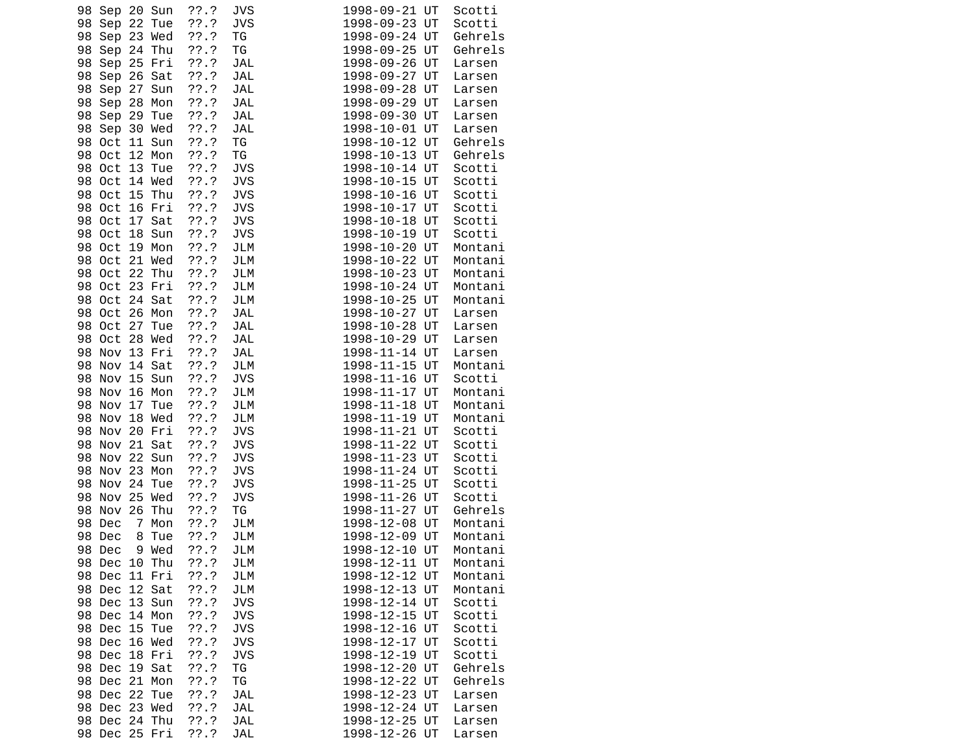| 98 Sep 20 Sun         | ??'.?   | JVS        | 1998-09-21 UT | Scotti  |
|-----------------------|---------|------------|---------------|---------|
| 98 Sep 22 Tue         | ??'.?   | <b>JVS</b> | 1998-09-23 UT | Scotti  |
| 98<br>Sep 23 Wed      | ??'.?   | ΤG         | 1998-09-24 UT | Gehrels |
| 98<br>Sep 24 Thu      | ??.?    | TG         | 1998-09-25 UT | Gehrels |
| 98<br>Sep 25 Fri      | ??.?    | JAL        | 1998-09-26 UT | Larsen  |
| 98 Sep 26 Sat         | ??'.?   | JAL        | 1998-09-27 UT | Larsen  |
| Sep 27 Sun<br>98      | ??'.?   | JAL        | 1998-09-28 UT | Larsen  |
| Sep 28 Mon<br>98      | ??'.?   | JAL        | 1998-09-29 UT | Larsen  |
| 98<br>Sep 29 Tue      | ??'.?   | JAL        | 1998-09-30 UT | Larsen  |
| 98 Sep 30 Wed         | ??.?    | JAL        | 1998-10-01 UT | Larsen  |
| 98 Oct 11 Sun         | ??'.?   | ΤG         | 1998-10-12 UT | Gehrels |
| 98 Oct 12 Mon         | ??'.?   | ΤG         | 1998-10-13 UT | Gehrels |
| 98 Oct 13 Tue         | ??.?    | <b>JVS</b> | 1998-10-14 UT | Scotti  |
| 98 Oct 14 Wed         | ??'.?   | <b>JVS</b> | 1998-10-15 UT | Scotti  |
| 98 Oct 15 Thu         | ??'.?   | <b>JVS</b> | 1998-10-16 UT | Scotti  |
| 98 Oct 16 Fri         | ??'.?   | <b>JVS</b> | 1998-10-17 UT | Scotti  |
| 98 Oct 17 Sat         | ??'.?   | <b>JVS</b> | 1998-10-18 UT | Scotti  |
| 98 Oct 18 Sun         | ??'.?   | <b>JVS</b> | 1998-10-19 UT | Scotti  |
| 98 Oct 19 Mon         | ??'.?   | JLM        | 1998-10-20 UT | Montani |
| 98 Oct 21 Wed         | ??.?    | JLM        | 1998-10-22 UT | Montani |
| 98 Oct 22 Thu         | ??'.?   | JLM        | 1998-10-23 UT | Montani |
| Oct 23 Fri<br>98      | ??'.?   | JLM        | 1998-10-24 UT | Montani |
| 98 Oct 24 Sat         | ??'.?   | JLM        | 1998-10-25 UT | Montani |
| 98 Oct 26 Mon         | ??'.?   | JAL        | 1998-10-27 UT | Larsen  |
| 98 Oct 27 Tue         | ??'.?   | JAL        | 1998-10-28 UT | Larsen  |
| 98 Oct 28 Wed         | ??'.?   | JAL        | 1998-10-29 UT | Larsen  |
| 98 Nov 13 Fri         | ??'.?   | JAL        | 1998-11-14 UT | Larsen  |
| 98<br>Nov 14 Sat      | ??'.?   | JLM        | 1998-11-15 UT | Montani |
| 98 Nov 15 Sun         | ??.?    | <b>JVS</b> | 1998-11-16 UT | Scotti  |
| Nov 16 Mon<br>98      | ??.?    | JLM        | 1998-11-17 UT | Montani |
| 98<br>Nov 17 Tue      | ??.?    | JLM        | 1998-11-18 UT | Montani |
| Nov 18 Wed<br>98      | ??'.?   | JLM        | 1998-11-19 UT | Montani |
| 98 Nov 20 Fri         | ??'.?   | <b>JVS</b> | 1998-11-21 UT | Scotti  |
| 98 Nov 21 Sat         | ??'.?   | <b>JVS</b> | 1998-11-22 UT | Scotti  |
| Nov 22 Sun<br>98      | $??\.?$ | <b>JVS</b> | 1998-11-23 UT | Scotti  |
| Nov 23 Mon<br>98      | 77.7    | <b>JVS</b> | 1998-11-24 UT | Scotti  |
| Nov 24 Tue<br>98      | ??'.?   | <b>JVS</b> | 1998-11-25 UT | Scotti  |
| 98 Nov 25 Wed         | ??.?    | <b>JVS</b> | 1998-11-26 UT | Scotti  |
| Nov 26 Thu<br>98      | ??.?    | ΤG         | 1998-11-27 UT | Gehrels |
| 98<br>Dec<br>7 Mon    | ??'.?   | JLM        | 1998-12-08 UT | Montani |
| 98<br>Dec<br>8<br>Tue | $??\.?$ | JLM        | 1998-12-09 UT | Montani |
| 98<br>9 Wed<br>Dec    | 77.7    | <b>JLM</b> | 1998-12-10 UT | Montani |
| 98 Dec 10 Thu         | ??.?    | JLM        | 1998-12-11 UT | Montani |
| 98 Dec 11 Fri         | ??.?    | JLM        | 1998-12-12 UT | Montani |
| 98 Dec 12 Sat         | 77.7    | JLM        | 1998-12-13 UT | Montani |
| 98 Dec 13 Sun         | ??.?    | <b>JVS</b> | 1998-12-14 UT | Scotti  |
| 98 Dec 14 Mon         | ??.?    | <b>JVS</b> | 1998-12-15 UT | Scotti  |
| 98 Dec 15 Tue         | ??'.?   | <b>JVS</b> | 1998-12-16 UT | Scotti  |
| 98 Dec 16 Wed         | ??'.?   | <b>JVS</b> | 1998-12-17 UT | Scotti  |
| 98 Dec 18 Fri         | 77.7    | <b>JVS</b> | 1998-12-19 UT | Scotti  |
| 98 Dec 19 Sat         | ??'.?   | TG         | 1998-12-20 UT | Gehrels |
| 98 Dec 21 Mon         | ??.?    | ΤG         | 1998-12-22 UT | Gehrels |
| 98 Dec 22 Tue         | ??'.?   | JAL        | 1998-12-23 UT | Larsen  |
| 98 Dec 23 Wed         | ??'.?   | JAL        | 1998-12-24 UT | Larsen  |
| 98 Dec 24 Thu         | ??.?    | JAL        | 1998-12-25 UT | Larsen  |
| 98 Dec 25 Fri         | ??.?    | JAL        | 1998-12-26 UT |         |
|                       |         |            |               | Larsen  |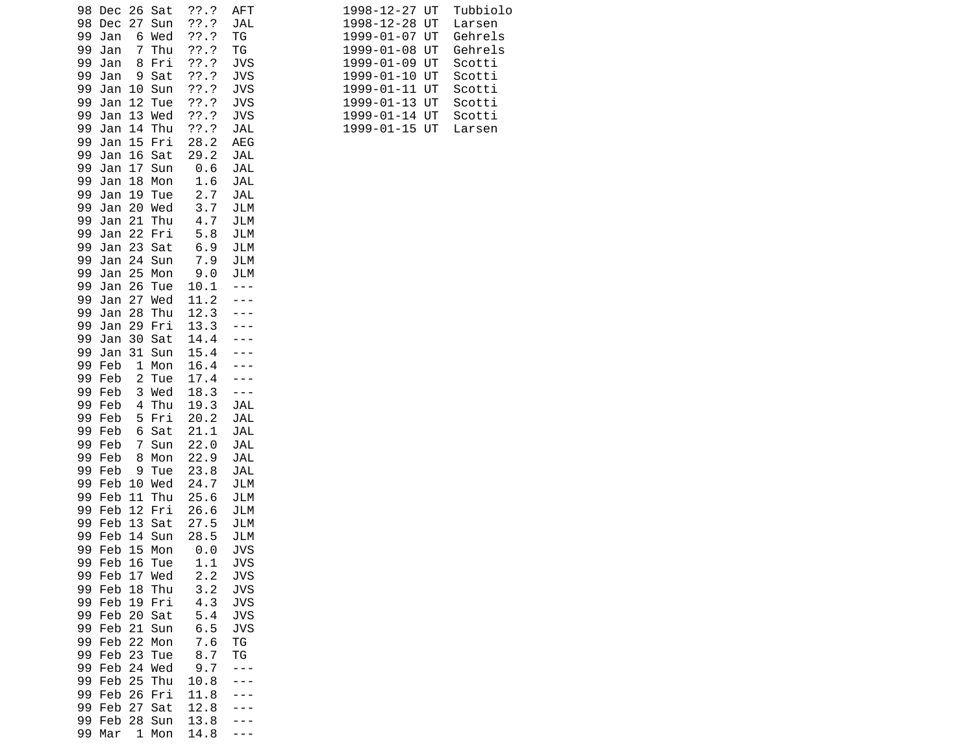| 98 Dec 26 Sat<br>27<br>Sun<br>98<br>Dec<br>Wed<br>99<br>Jan<br>6<br>Thu<br>99<br>Jan<br>7<br>99<br>Fri<br>Jan<br>8 | $??\ .?$<br>??'.?<br>??'.?<br>77.7<br>??'.? | <b>AFT</b><br>JAL<br>ΤG<br>TG<br><b>JVS</b> | Tubbio<br>1998-12-27 UT<br>1998-12-28<br>UT<br>Larsen<br>UT<br>Gehrel<br>1999-01-07<br>Gehrel<br>1999-01-08<br>UT<br>UT<br>1999-01-09<br>Scotti |
|--------------------------------------------------------------------------------------------------------------------|---------------------------------------------|---------------------------------------------|-------------------------------------------------------------------------------------------------------------------------------------------------|
| Sat<br>99<br>Jan<br>9                                                                                              | ??'.?                                       | <b>JVS</b>                                  | 1999-01-10 UT<br>Scotti                                                                                                                         |
| 99<br>10 Sun<br>Jan<br>12                                                                                          | ??'.?                                       | <b>JVS</b>                                  | 1999-01-11 UT<br>Scotti                                                                                                                         |
| 99<br>Jan<br>Tue<br>99<br>13 Wed<br>Jan                                                                            | 77.7<br>77.7                                | JVS<br>JVS                                  | 1999-01-13 UT<br>Scotti<br>1999-01-14 UT<br>Scotti                                                                                              |
| 14<br>Thu<br>99<br>Jan                                                                                             | ??.?                                        | JAL                                         | 1999-01-15 UT<br>Larsen                                                                                                                         |
| 15<br>Fri<br>99<br>Jan                                                                                             | 28.2                                        | <b>AEG</b>                                  |                                                                                                                                                 |
| 99<br>Jan<br>16<br>Sat<br>99<br>17<br>Jan<br>Sun                                                                   | 29.2<br>0.6                                 | JAL<br>JAL                                  |                                                                                                                                                 |
| 99<br>Jan<br>18<br>Mon                                                                                             | 1.6                                         | JAL                                         |                                                                                                                                                 |
| Jan<br>19<br>99<br>Tue<br>20 Wed<br>99<br>Jan                                                                      | 2.7<br>3.7                                  | JAL<br>JLM                                  |                                                                                                                                                 |
| 21<br>99<br>Jan<br>Thu                                                                                             | 4.7                                         | JLM                                         |                                                                                                                                                 |
| 99<br>Jan<br>22 Fri                                                                                                | 5.8                                         | JLM                                         |                                                                                                                                                 |
| 23 Sat<br>99<br>Jan<br>99<br>Jan<br>24 Sun                                                                         | 6.9<br>7.9                                  | JLM<br>JLM                                  |                                                                                                                                                 |
| 99<br>25 Mon<br>Jan                                                                                                | 9.0                                         | JLM                                         |                                                                                                                                                 |
| 99<br>26<br>Jan<br>Tue                                                                                             | 10.1                                        |                                             |                                                                                                                                                 |
| 99<br>Jan<br>27<br>Wed<br>Jan<br>28<br>Thu<br>99                                                                   | 11.2<br>12.3                                |                                             |                                                                                                                                                 |
| 29<br>99<br>Jan<br>Fri                                                                                             | 13.3                                        |                                             |                                                                                                                                                 |
| 30<br>99<br>Jan<br>Sat<br>Jan                                                                                      | 14.4<br>15.4                                |                                             |                                                                                                                                                 |
| 99<br>31 Sun<br>99<br>Feb<br>1<br>Mon                                                                              | 16.4                                        |                                             |                                                                                                                                                 |
| 2<br>Tue<br>99 Feb                                                                                                 | 17.4                                        |                                             |                                                                                                                                                 |
| 99 Feb<br>3 Wed<br>Thu<br>99 Feb<br>4                                                                              | 18.3<br>19.3                                | $- - -$<br>JAL                              |                                                                                                                                                 |
| 99 Feb<br>Fri<br>5                                                                                                 | 20.2                                        | JAL                                         |                                                                                                                                                 |
| 99 Feb<br>Sat<br>6                                                                                                 | 21.1                                        | JAL                                         |                                                                                                                                                 |
| 7<br>Sun<br>99 Feb<br>99 Feb<br>8<br>Mon                                                                           | 22.0<br>22.9                                | JAL<br>JAL                                  |                                                                                                                                                 |
| 99 Feb<br>9<br>Tue                                                                                                 | 23.8                                        | JAL                                         |                                                                                                                                                 |
| 99<br>Feb<br>10 Wed                                                                                                | 24.7                                        | JLM                                         |                                                                                                                                                 |
| 99 Feb<br>11<br>Thu<br>12<br>99 Feb<br>Fri                                                                         | 25.6<br>26.6                                | JLM<br>JLM                                  |                                                                                                                                                 |
| 99 Feb<br>13<br>Sat                                                                                                | 27.5                                        | JLM                                         |                                                                                                                                                 |
| 99 Feb<br>14<br>Sun                                                                                                | 28.5                                        | JLM                                         |                                                                                                                                                 |
| 15 Mon<br>99<br>Feb<br>99 Feb 16 Tue                                                                               | 0.0<br>1.1                                  | <b>JVS</b><br><b>JVS</b>                    |                                                                                                                                                 |
| Feb<br>17 Wed<br>99                                                                                                | 2.2                                         | <b>JVS</b>                                  |                                                                                                                                                 |
| 99 Feb<br>18<br>Thu                                                                                                | 3.2                                         | <b>JVS</b>                                  |                                                                                                                                                 |
| 99 Feb<br>19 Fri<br>99 Feb 20 Sat                                                                                  | 4.3<br>5.4                                  | JVS<br><b>JVS</b>                           |                                                                                                                                                 |
| 99 Feb 21 Sun                                                                                                      | 6.5                                         | <b>JVS</b>                                  |                                                                                                                                                 |
| 99 Feb 22 Mon<br>99 Feb<br>23<br>Tue                                                                               | 7.6<br>8.7                                  | ΤG<br>ТG                                    |                                                                                                                                                 |
| 99 Feb<br>24 Wed                                                                                                   | 9.7                                         | ---                                         |                                                                                                                                                 |
| 25<br>99 Feb<br>Thu                                                                                                | 10.8                                        |                                             |                                                                                                                                                 |
| 99 Feb 26<br>Fri<br>99 Feb<br>27<br>Sat                                                                            | 11.8<br>12.8                                |                                             |                                                                                                                                                 |
| 99 Feb<br>28 Sun                                                                                                   | 13.8                                        |                                             |                                                                                                                                                 |
| 99 Mar<br>1 Mon                                                                                                    | 14.8                                        |                                             |                                                                                                                                                 |

| 98 Dec 26 Sat     |       | ??.?          | AFT  | 1998-12-27 UT | Tubbiolo |
|-------------------|-------|---------------|------|---------------|----------|
| 98 Dec 27 Sun     |       | 72.7          | JAL  | 1998-12-28 UT | Larsen   |
| Jan<br>99         | 6 Wed | ??.?          | ΤG   | 1999-01-07 UT | Gehrels  |
| Jan<br>99.        | 7 Thu | ??.?          | TG   | 1999-01-08 UT | Gehrels  |
| Jan<br>99.        | 8 Fri | 72.7          | JVS. | 1999-01-09 UT | Scotti   |
| 99 Jan            | 9 Sat | ??.?          | JVS. | 1999-01-10 UT | Scotti   |
| Jan 10 Sun<br>99. |       | ??'.?         | JVS. | 1999-01-11 UT | Scotti   |
| Jan 12 Tue<br>99. |       | ??.?          | JVS. | 1999-01-13 UT | Scotti   |
| 99 Jan 13 Wed     |       | ??'.?         | JVS. | 1999-01-14 UT | Scotti   |
| 99 Jan 14 Thu     |       | ??.?          | JAL  | 1999-01-15 UT | Larsen   |
| 99 Jan 15 Fri     |       | 28.2          | AEG. |               |          |
| Jan 16 Sat<br>99. |       | 29.2          | JAL  |               |          |
| 00 J-- 17 0.1-    |       | $\sim$ $\sim$ | .    |               |          |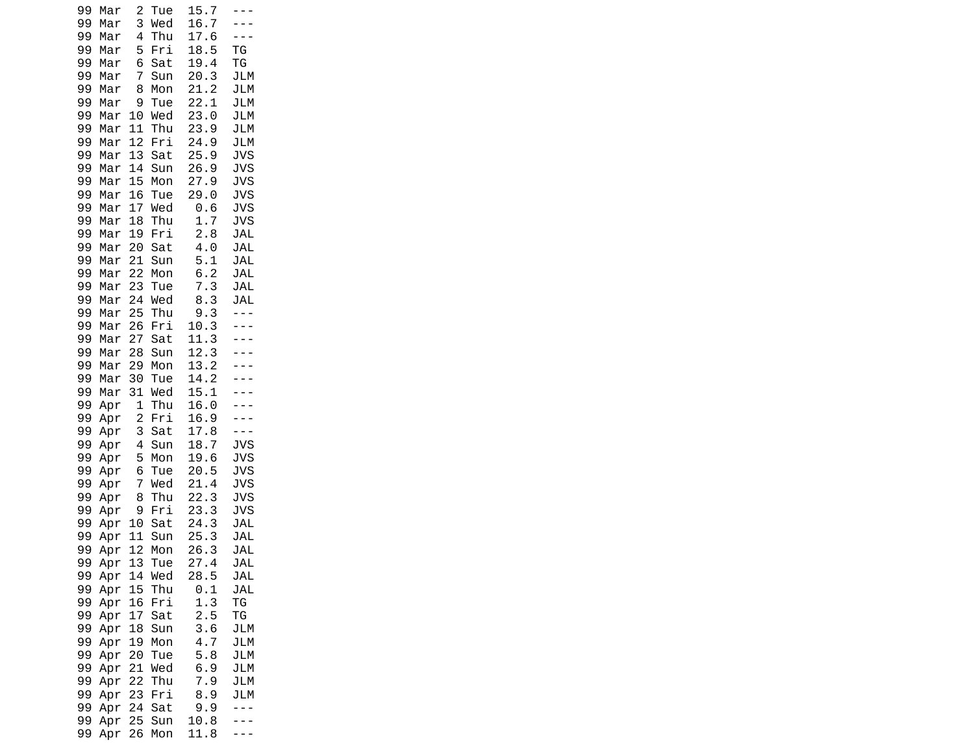| 99<br>99 | Mar<br>Mar | $\overline{c}$<br>3 | Tue<br>Wed | 15.7<br>16.7         | $\overline{a}$<br>$\overline{\phantom{a}}$ |
|----------|------------|---------------------|------------|----------------------|--------------------------------------------|
| 99       | Mar        | 4                   | Thu        | 17.6                 | $ -$                                       |
| 99       | Mar        | 5                   | Fri        | 18.5                 | TG                                         |
| 99<br>99 | Mar<br>Mar | 6<br>7              | Sat<br>Sun | 19.4<br>20.3         | ΤG<br>JLM                                  |
| 99       | Mar        | 8                   | Mon        | 21.2                 | JLM                                        |
| 99       | Mar        | 9                   | Tue        | 22.1                 | JLM                                        |
| 99       | Mar        | 10                  | Wed<br>Thu | 23.0                 | JLM<br>JLM                                 |
| 99<br>99 | Mar<br>Mar | 11<br>12            | Fri        | 23.9<br>24.9         | JLM                                        |
| 99       | Mar        | 13                  | Sat        | 25.9                 | <b>JVS</b>                                 |
| 99       | Mar        | 14                  | Sun        | 26.9                 | <b>JVS</b>                                 |
| 99<br>99 | Mar<br>Mar | 15<br>16            | Mon<br>Tue | 27.9<br>29.0         | <b>JVS</b><br><b>JVS</b>                   |
| 99       | Mar        | 17                  | Wed        | 0.6                  | <b>JVS</b>                                 |
| 99       | Mar        | 18                  | Thu        | 1.7                  | <b>JVS</b>                                 |
| 99<br>99 | Mar<br>Mar | 19<br>20            | Fri<br>Sat | 2.8<br>4.0           | <b>JAL</b><br>JAL                          |
| 99       | Mar        | 21                  | Sun        | 5.1                  | JAL                                        |
| 99       | Mar        | 22                  | Mon        | 6.2                  | <b>JAL</b>                                 |
| 99<br>99 | Mar        | 23<br>24            | Tue<br>Wed | 7.3<br>8.3           | <b>JAL</b><br><b>JAL</b>                   |
| 99       | Mar<br>Mar | 25                  | Thu        | 9.3                  | - - -                                      |
| 99       | Mar        | 26                  | Fri        | 10.<br>3             | $\mathbb{Z}^2$                             |
| 99<br>99 | Mar        | 27<br>28            | Sat        | 11.<br>3<br>12.3     | - - -                                      |
| 99       | Mar<br>Mar | 29                  | Sun<br>Mon | 13.2                 | $\overline{a}$<br>$\overline{\phantom{a}}$ |
| 99       | Mar        | 30                  | Tue        | 14.2                 |                                            |
| 99<br>99 | Mar        | 31<br>1             | Wed<br>Thu | 15.<br>1<br>16.0     |                                            |
| 99       | Apr<br>Apr | $\overline{c}$      | Fri        | 16.9                 |                                            |
| 99       | Apr        | 3                   | Sat        | 17.8                 | - - -                                      |
| 99<br>99 | Apr        | 4<br>5              | Sun        | 18.<br>7<br>19.<br>6 | JVS<br><b>JVS</b>                          |
| 99       | Apr<br>Apr | 6                   | Mon<br>Tue | 20.5                 | <b>JVS</b>                                 |
| 99       | Apr        | $\overline{7}$      | Wed        | 21.4                 | <b>JVS</b>                                 |
| 99       | Apr        | 8<br>9              | Thu        | 22.3                 | JVS                                        |
| 99<br>99 | Apr<br>Apr | 10                  | Fri<br>Sat | 23.<br>3<br>24.3     | JVS<br><b>JAL</b>                          |
| 99       | Apr        | 11                  | Sun        | 25.3                 | <b>JAL</b>                                 |
| 99       | Apr        | 12                  | Mon        | 26.3                 | JAL                                        |
| 99<br>99 | Apr<br>Apr | 13<br>14            | Tue<br>Wed | 27.4<br>28.5         | JAL<br>JAL                                 |
| 99       | Apr        | 15                  | Thu        | 0.1                  | JAL                                        |
| 99       | Apr        | 16                  | Fri        | 1.3                  | ТG                                         |
| 99<br>99 | Apr<br>Apr | 17<br>18            | Sat<br>Sun | 2.5<br>3.6           | ΤG<br>JLM                                  |
| 99       | Apr        | 19                  | Mon        | 4.7                  | JLM                                        |
| 99       | Apr        | 20                  | Tue        | 5.8                  | JLM                                        |
| 99<br>99 | Apr<br>Apr | 21<br>22            | Wed<br>Thu | 6.9<br>7.9           | JLM<br>JLM                                 |
| 99       | Apr        | 23                  | Fri        | 8.9                  | JLM                                        |
| 99       | Apr        | 24                  | Sat        | 9.9                  | - - -                                      |
| 99<br>99 | Apr<br>Apr | 25<br>26            | Sun<br>Mon | 10.8<br>11.8         |                                            |
|          |            |                     |            |                      |                                            |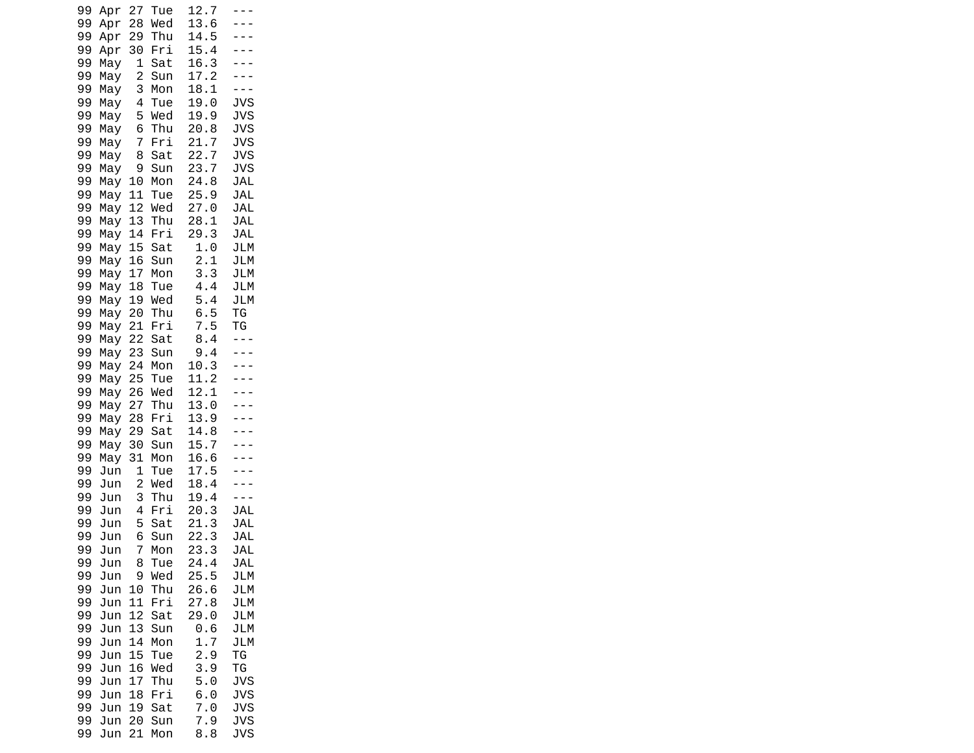| 99<br>Apr<br>99<br>Apr | 27<br>28                     | Tue<br>Wed | 12.7<br>13.6                      | $ -$                     |  |
|------------------------|------------------------------|------------|-----------------------------------|--------------------------|--|
| 99<br>Apr              | 29                           | Thu        | 14.5<br>15.4                      |                          |  |
| 99<br>Apr<br>99<br>May | 30<br>1                      | Fri<br>Sat | 16.3                              |                          |  |
| 99<br>May<br>99<br>May | $\overline{c}$<br>3          | Sun<br>Mon | 17.2<br>18.1                      | $\sim$ $\sim$            |  |
| 99<br>May<br>99<br>May | 4<br>5                       | Tue<br>Wed | 19.0<br>19.9                      | <b>JVS</b><br><b>JVS</b> |  |
| 99<br>May              | 6                            | Thu        | 20.8                              | <b>JVS</b>               |  |
| 99<br>May<br>99<br>May | 7<br>8                       | Fri<br>Sat | 21.<br>7<br>22.<br>$\overline{7}$ | <b>JVS</b><br><b>JVS</b> |  |
| 99<br>May<br>99<br>May | 9<br>10                      | Sun<br>Mon | 23.<br>7<br>24.8                  | <b>JVS</b><br>JAL        |  |
| 99<br>May              | 11                           | Tue        | 25.9                              | <b>JAL</b>               |  |
| 99<br>May<br>99<br>May | 12<br>13                     | Wed<br>Thu | 27.0<br>28.1                      | <b>JAL</b><br>JAL        |  |
| 99<br>May<br>99<br>May | 14<br>15                     | Fri<br>Sat | 29.3<br>1.0                       | JAL<br>JLM               |  |
| 99<br>May<br>99        | 16                           | Sun        | 2.1<br>3.3                        | <b>JLM</b><br>JLM        |  |
| May<br>99<br>May       | 17<br>18                     | Mon<br>Tue | 4.4                               | JLM                      |  |
| 99<br>May<br>99<br>May | 19<br>20                     | Wed<br>Thu | 5.4<br>6.5                        | <b>JLM</b><br>ТG         |  |
| 99<br>May<br>99<br>May | 21<br>22                     | Fri<br>Sat | 7.5<br>8.4                        | ΤG<br>$\sim$ $\sim$      |  |
| 99<br>May              | 23                           | Sun        | 9.4                               |                          |  |
| 99<br>May<br>99<br>May | 24<br>25                     | Mon<br>Tue | 10.3<br>11.2                      |                          |  |
| 99<br>May<br>99<br>May | 26<br>27                     | Wed<br>Thu | 12.1<br>13.0                      |                          |  |
| 99<br>May<br>99<br>May | 28<br>29                     | Fri<br>Sat | 13.9<br>14.8                      |                          |  |
| 99<br>May              | 30                           | Sun        | 15.<br>7                          |                          |  |
| 99<br>May<br>99<br>Jun | 31<br>1                      | Mon<br>Tue | 16.6<br>17.5                      |                          |  |
| 99<br>Jun<br>99<br>Jun | $\overline{\mathbf{c}}$<br>3 | Wed<br>Thu | 18.4<br>19.4                      |                          |  |
| 99<br>Jun<br>99<br>Jun | 4<br>5                       | Fri<br>Sat | 20.3<br>21.3                      | JAL<br>JAL               |  |
| 99<br>Jun              | 6                            | Sun        | 22.3                              | <b>JAL</b>               |  |
| 99<br>Jun<br>99<br>Jun | 7<br>8                       | Mon<br>Tue | 23.3<br>24.4                      | <b>JAL</b><br><b>JAL</b> |  |
| 99<br>Jun<br>99<br>Jun | 9<br>10                      | Wed<br>Thu | 25.5<br>26.6                      | JLM<br>JLM               |  |
| 99<br>Jun<br>99<br>Jun | 11<br>12                     | Fri<br>Sat | 27.8<br>29.0                      | JLM<br>JLM               |  |
| 99<br>Jun              | 13                           | Sun        | 0.6                               | JLM                      |  |
| 99<br>Jun<br>99<br>Jun | 14<br>15                     | Mon<br>Tue | 1.7<br>2.9                        | <b>JLM</b><br>ТG         |  |
| 99<br>Jun<br>99<br>Jun | 16<br>17                     | Wed<br>Thu | 3.9<br>5.0                        | ΤG<br><b>JVS</b>         |  |
| 99<br>Jun              | 18                           | Fri        | 6.0                               | <b>JVS</b>               |  |
| 99<br>Jun<br>99<br>Jun | 19<br>20                     | Sat<br>Sun | 7.0<br>7.9                        | <b>JVS</b><br><b>JVS</b> |  |
| 99<br>Jun              | 21                           | Mon        | 8.8                               | <b>JVS</b>               |  |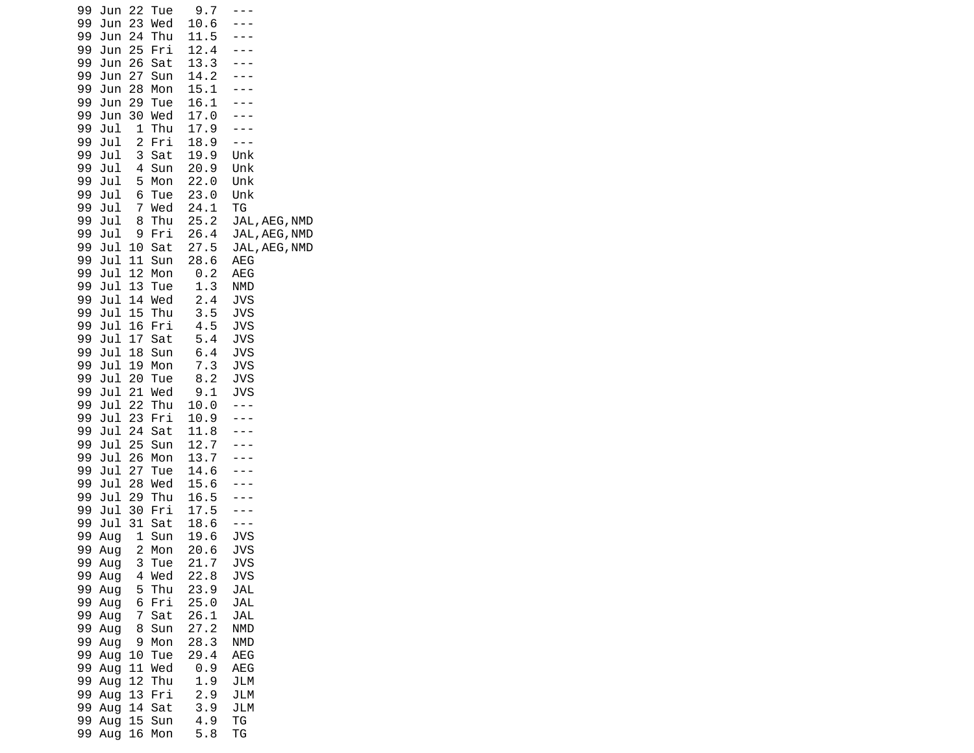| 99<br>Jun<br>99<br>Jun | 22<br>23                     | Tue<br>Wed | 9.7<br>10.6  |                                |
|------------------------|------------------------------|------------|--------------|--------------------------------|
| 99<br>Jun<br>99<br>Jun | 24<br>25                     | Thu<br>Fri | 11.5<br>12.4 |                                |
| 99<br>Jun              | 26                           | Sat        | 13.3         |                                |
| 99<br>Jun<br>99<br>Jun | 27<br>28                     | Sun<br>Mon | 14.2<br>15.1 | ---                            |
| 99<br>Jun              | 29                           | Tue        | 16.1         |                                |
| 99<br>Jun<br>99<br>Jul | 30<br>1                      | Wed<br>Thu | 17.0<br>17.9 |                                |
| 99<br>Jul<br>99        | $\overline{\mathbf{c}}$<br>3 | Fri        | 18.9<br>19.9 | - - -<br>Unk                   |
| Jul<br>99<br>Jul       | 4                            | Sat<br>Sun | 20.9         | Unk                            |
| 99<br>Jul<br>Jul       | 5<br>6                       | Mon        | 22.0<br>23.0 | Unk<br>Unk                     |
| 99<br>99<br>Jul        | 7                            | Tue<br>Wed | 24.1         | ТG                             |
| 99<br>Jul<br>99<br>Jul | 8<br>9                       | Thu<br>Fri | 25.2<br>26.4 | JAL, AEG, NMD<br>JAL, AEG, NMD |
| 99<br>Jul              | 10                           | Sat        | 27.5         | JAL, AEG, NMD                  |
| 99<br>Jul<br>99<br>Jul | 11<br>12                     | Sun<br>Mon | 28.6<br>0.2  | <b>AEG</b><br>AEG              |
| 99<br>Jul              | 13                           | Tue        | 1.3          | NMD                            |
| 99<br>Jul<br>99<br>Jul | 14<br>15                     | Wed<br>Thu | 2.4<br>3.5   | <b>JVS</b><br>JVS              |
| Jul<br>99              | 16                           | Fri        | 4.5          | <b>JVS</b>                     |
| 99<br>Jul<br>99<br>Jul | 17<br>18                     | Sat<br>Sun | 5.4<br>6.4   | <b>JVS</b><br><b>JVS</b>       |
| 99<br>Jul              | 19<br>20                     | Mon        | 7.3          | <b>JVS</b>                     |
| 99<br>Jul<br>99<br>Jul | 21                           | Tue<br>Wed | 8.2<br>9.1   | <b>JVS</b><br><b>JVS</b>       |
| 99<br>Jul<br>99<br>Jul | 22<br>23                     | Thu<br>Fri | 10.0<br>10.9 | - - -                          |
| 99<br>Jul              | 24                           | Sat        | 11.8         | $- - -$                        |
| Jul<br>99<br>99<br>Jul | 25<br>26                     | Sun<br>Mon | 12.7<br>13.7 | ---                            |
| 99<br>Jul              | 27                           | Tue        | 14.6         |                                |
| 99<br>Jul<br>99<br>Jul | 28<br>29                     | Wed<br>Thu | 15.6<br>16.5 |                                |
| 99<br>Jul              | 30                           | Fri        | 17.5         |                                |
| 99<br>Jul<br>99<br>Aug | 31<br>1                      | Sat<br>Sun | 18.6<br>19.6 | $- - -$<br><b>JVS</b>          |
| 99<br>Aug<br>99<br>Aug | $\overline{c}$               | Mon<br>Tue | 20.6<br>21.7 | <b>JVS</b><br><b>JVS</b>       |
| 99<br>Aug              | 3<br>4                       | Wed        | 22.8         | JVS                            |
| 99<br>Aug<br>99<br>Aug | 5<br>6                       | Thu<br>Fri | 23.9<br>25.0 | JAL<br>JAL                     |
| 99<br>Aug              | 7                            | Sat        | 26.1         | JAL                            |
| 99<br>Aug<br>99<br>Aug | 8<br>9                       | Sun<br>Mon | 27.2<br>28.3 | NMD<br>NMD                     |
| 99<br>Aug              | 10                           | Tue        | 29.4         | AEG                            |
| 99<br>Aug<br>99<br>Aug | 11<br>12                     | Wed<br>Thu | 0.9<br>1.9   | AEG<br>JLM                     |
| 99<br>Aug              | 13                           | Fri        | 2.9          | JLM                            |
| 99<br>Aug<br>99<br>Aug | 14<br>15                     | Sat<br>Sun | 3.9<br>4.9   | JLM<br>ТG                      |
| 99<br>Aug              | 16                           | Mon        | 5.8          | ΤG                             |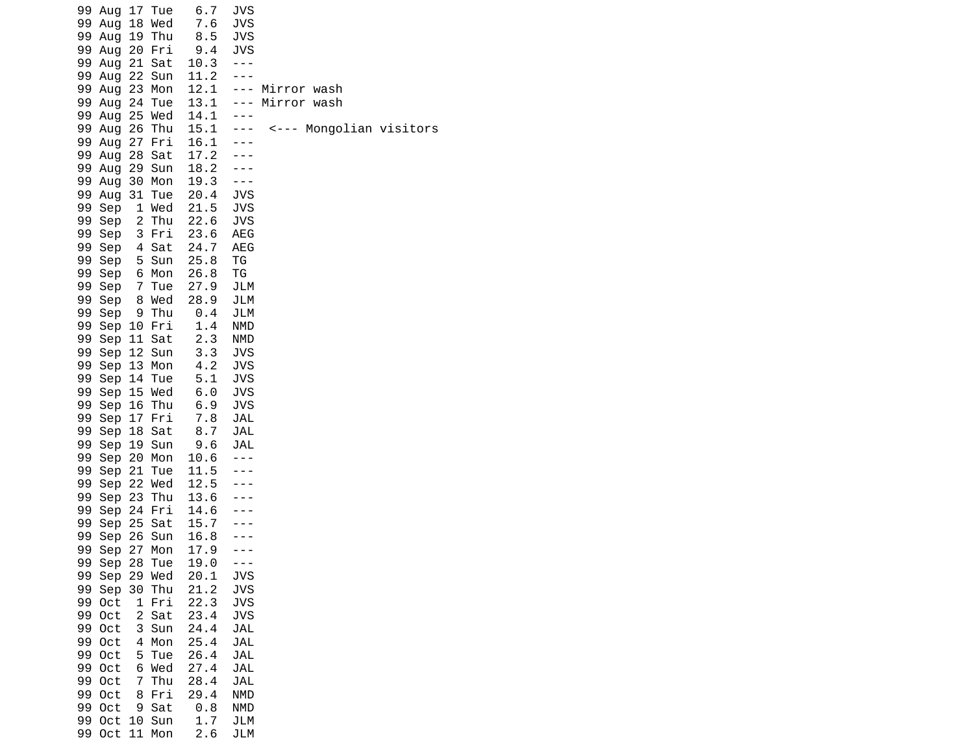| 17 Tue<br>99<br>Aug<br>99<br>Aug<br>18<br>Wed<br>99<br>19 Thu<br>Aug<br>20 Fri<br>99 Aug<br>21 Sat<br>99<br>Aug<br>99<br>22<br>Aug<br>Sun | 6.7<br>7.6<br>8.5<br>9.4<br>10.3<br>11.2 | JVS<br>JVS<br><b>JVS</b><br>JVS<br>$- - -$<br>$- - -$ |                                    |
|-------------------------------------------------------------------------------------------------------------------------------------------|------------------------------------------|-------------------------------------------------------|------------------------------------|
| 99<br>Aug<br>23<br>Mon<br>24 Tue<br>99 Aug<br>99 Aug<br>25 Wed                                                                            | 12.1<br>13.1<br>14.1                     | $- - -$                                               | --- Mirror wash<br>--- Mirror wash |
| 99<br>26<br>Thu<br>Aug<br>99<br>27<br>Fri<br>Aug                                                                                          | 15.1<br>16.1                             | $- - -$                                               | <--- Mongolian visitors            |
| 28 Sat<br>99<br>Aug<br>29 Sun<br>99 Aug<br>99<br>30 Mon<br>Aug                                                                            | 17.2<br>18.2<br>19.3                     | $- - -$                                               |                                    |
| 99<br>31<br>Tue<br>Aug<br>99<br>Sep<br>1 Wed                                                                                              | 20.4<br>21.5                             | <b>JVS</b><br><b>JVS</b>                              |                                    |
| 99<br>2 Thu<br>Sep<br>99<br>3 Fri<br>Sep<br>99<br>4 Sat<br>Sep                                                                            | 22.6<br>23.6<br>24.7                     | <b>JVS</b><br>AEG<br>AEG                              |                                    |
| 99<br>Sep<br>5 Sun<br>99<br>Sep<br>6 Mon<br>99<br>Sep<br>7 Tue                                                                            | 25.8<br>26.8<br>27.9                     | ΤG<br>ΤG<br>JLM                                       |                                    |
| 99<br>Sep<br>8 Wed<br>99<br>Sep<br>9 Thu                                                                                                  | 28.9<br>0.4                              | JLM<br>JLM                                            |                                    |
| 99<br>Sep<br>10 Fri<br>99<br>Sep<br>11 Sat<br>99<br>Sep 12 Sun                                                                            | 1.4<br>2.3<br>3.3                        | <b>NMD</b><br><b>NMD</b><br><b>JVS</b>                |                                    |
| Sep 13 Mon<br>99<br>99<br>Sep<br>14<br>Tue<br>99<br>Sep<br>15 Wed                                                                         | 4.2<br>5.1<br>6.0                        | <b>JVS</b><br><b>JVS</b><br><b>JVS</b>                |                                    |
| 99<br>Sep<br>16 Thu<br>99<br>17 Fri<br>Sep                                                                                                | 6.9<br>7.8                               | <b>JVS</b><br><b>JAL</b>                              |                                    |
| 99<br>18 Sat<br>Sep<br>99<br>Sep<br>19 Sun<br>20 Mon<br>99<br>Sep                                                                         | 8.7<br>9.6<br>10.6                       | JAL<br>JAL<br>$- - -$                                 |                                    |
| Sep 21<br>99<br>Tue<br>22 Wed<br>99<br>Sep<br>99<br>23<br>Thu<br>Sep                                                                      | 11.5<br>12.5<br>13.6                     |                                                       |                                    |
| 99<br>Sep<br>24 Fri<br>25 Sat<br>99<br>Sep                                                                                                | 14.6<br>15.7                             |                                                       |                                    |
| 26 Sun<br>99<br>Sep<br>99 Sep 27<br>Mon<br>Sep<br>28 Tue<br>99                                                                            | 16.8<br>17.9<br>19.0                     | $- - -$                                               |                                    |
| 99<br>Sep<br>29 Wed<br>99 Sep 30 Thu<br>99<br>1 Fri<br>0ct                                                                                | 20.1<br>21.2<br>22.3                     | <b>JVS</b><br><b>JVS</b><br><b>JVS</b>                |                                    |
| 99<br>2 Sat<br>0ct<br>99<br>0ct<br>3 Sun                                                                                                  | 23.4<br>24.4                             | <b>JVS</b><br>JAL                                     |                                    |
| 99<br>4 Mon<br>Oct<br>99<br><b>Oct</b><br>5 Tue<br>99<br>6 Wed<br>0ct                                                                     | 25.4<br>26.4<br>27.4                     | <b>JAL</b><br>JAL<br>JAL                              |                                    |
| 99<br>0ct<br>7 Thu<br>99<br>0ct<br>8 Fri<br>99<br>Oct<br>9 Sat                                                                            | 28.4<br>29.4<br>0.8                      | JAL<br>NMD<br>NMD                                     |                                    |
| 99<br>Oct<br>10 Sun<br>99<br>11 Mon<br>0ct                                                                                                | 1.7<br>2.6                               | JLM<br>JLM                                            |                                    |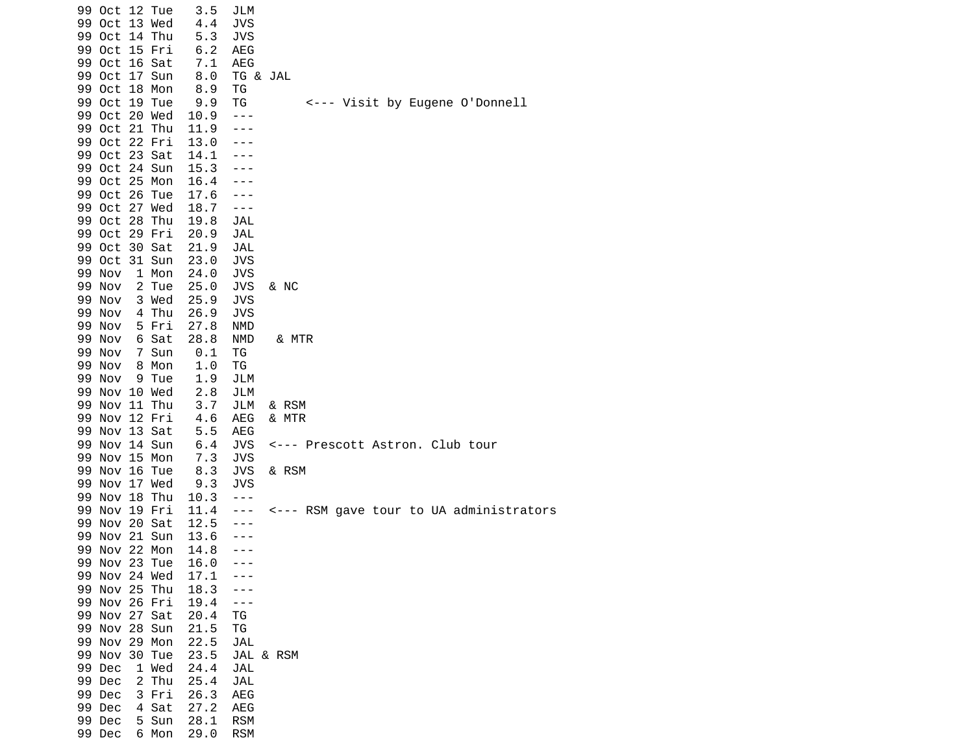| <--- Visit by Eugene O'Donnell          |
|-----------------------------------------|
|                                         |
|                                         |
|                                         |
|                                         |
|                                         |
|                                         |
|                                         |
|                                         |
|                                         |
|                                         |
|                                         |
|                                         |
|                                         |
|                                         |
|                                         |
|                                         |
|                                         |
|                                         |
|                                         |
|                                         |
|                                         |
|                                         |
|                                         |
|                                         |
|                                         |
|                                         |
|                                         |
|                                         |
|                                         |
| <--- Prescott Astron. Club tour         |
|                                         |
|                                         |
|                                         |
|                                         |
| <--- RSM gave tour to UA administrators |
|                                         |
|                                         |
|                                         |
|                                         |
|                                         |
|                                         |
|                                         |
|                                         |
|                                         |
|                                         |
|                                         |
|                                         |
|                                         |
|                                         |
|                                         |
|                                         |
|                                         |
|                                         |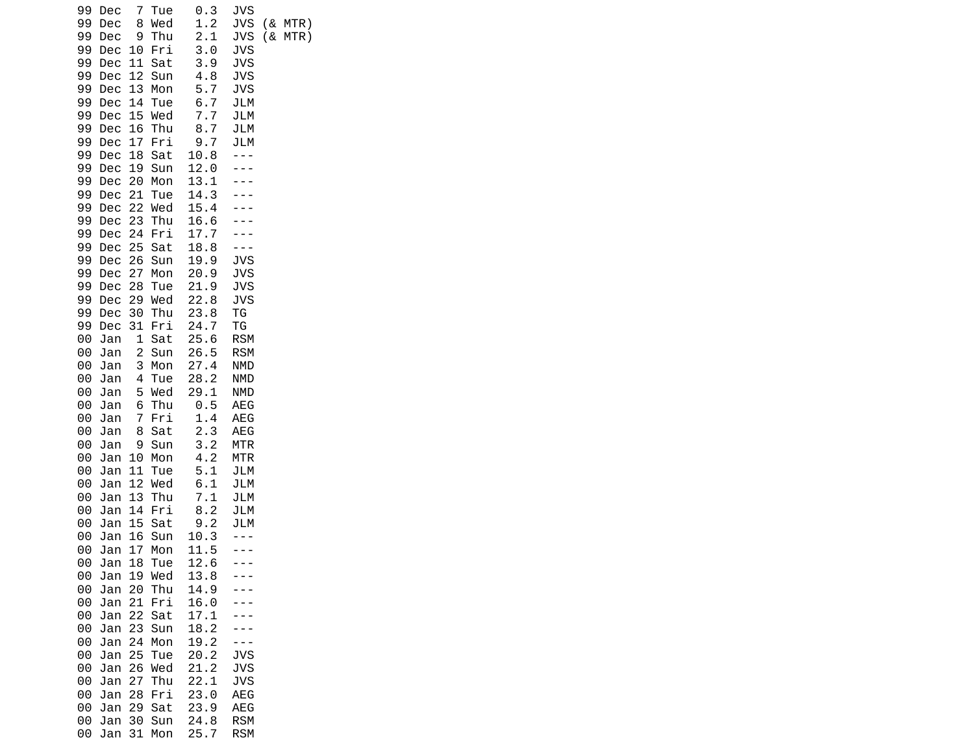| 99<br>Dec<br>99<br>Dec<br>99<br>Dec                                                                               | Tue<br>7<br>Wed<br>8<br>9<br>Thu                                                                        | 0.3<br>1.2<br>2.1                                                 | JVS<br><b>JVS</b><br><b>JVS</b>                                    | ( &<br>MTR)<br>(&<br>MTR) |
|-------------------------------------------------------------------------------------------------------------------|---------------------------------------------------------------------------------------------------------|-------------------------------------------------------------------|--------------------------------------------------------------------|---------------------------|
| 99<br>Dec<br>99<br>Dec<br>99<br>Dec                                                                               | 10<br>Fri<br>11<br>Sat<br>12<br>Sun                                                                     | 3.0<br>3.9<br>4.8                                                 | <b>JVS</b><br><b>JVS</b><br><b>JVS</b>                             |                           |
| 99<br>Dec<br>99<br>Dec<br>99<br>Dec                                                                               | 13<br>Mon<br>14<br>Tue<br>15<br>Wed                                                                     | 5.7<br>6.7<br>7.7                                                 | <b>JVS</b><br><b>JLM</b><br>JLM                                    |                           |
| 99<br>Dec<br>99<br>Dec                                                                                            | 16<br>Thu<br>17<br>Fri                                                                                  | 8.7<br>9.7                                                        | <b>JLM</b><br>JLM                                                  |                           |
| 99<br>Dec<br>99<br>Dec<br>99<br>Dec                                                                               | 18<br>Sat<br>19<br>Sun<br>20<br>Mon                                                                     | 10.8<br>12.0<br>13.1                                              |                                                                    |                           |
| 99<br>Dec<br>99<br>Dec<br>99<br>Dec                                                                               | 21<br>Tue<br>22<br>Wed<br>23<br>Thu                                                                     | 14.3<br>15.4<br>16.6                                              |                                                                    |                           |
| 99<br>Dec<br>99<br>Dec<br>99                                                                                      | 24<br>Fri<br>25<br>Sat<br>26<br>Sun                                                                     | 17.7<br>18.8<br>19.9                                              | $- - -$<br><b>JVS</b>                                              |                           |
| Dec<br>99<br>Dec<br>99<br>Dec                                                                                     | 27<br>Mon<br>28<br>Tue                                                                                  | 20.9<br>21.9                                                      | <b>JVS</b><br><b>JVS</b>                                           |                           |
| 99<br>Dec<br>99<br>Dec<br>99<br>Dec                                                                               | 29<br>Wed<br>30<br>Thu<br>31<br>Fri                                                                     | 22.8<br>23.8<br>24.7                                              | <b>JVS</b><br>ТG<br>ΤG                                             |                           |
| 00<br>Jan<br>00<br>Jan                                                                                            | 1<br>Sat<br>2<br>Sun                                                                                    | 25.6<br>26.5                                                      | <b>RSM</b><br><b>RSM</b>                                           |                           |
| 00<br>Jan<br>00<br>Jan                                                                                            | 4<br>Tue<br>5<br>Wed                                                                                    | 28.2<br>29.1                                                      | <b>NMD</b><br><b>NMD</b>                                           |                           |
| 00<br>Jan<br>00<br>Jan                                                                                            | 7<br>Fri<br>8<br>Sat                                                                                    | 1.4<br>2.3                                                        | AEG<br>AEG                                                         |                           |
| 00<br>Jan<br>00<br>Jan                                                                                            | 10<br>Mon<br>11<br>Tue                                                                                  | 4.2<br>5.1                                                        | <b>MTR</b><br>JLM                                                  |                           |
| 00<br>Jan<br>00<br>Jan                                                                                            | 12<br>Wed<br>13<br>Thu                                                                                  | 6.1<br>7.1                                                        | JLM<br>JLM                                                         |                           |
| 00<br>Jan<br>00<br>Jan                                                                                            | 15<br>Sat<br>Sun<br>16                                                                                  | 9.2<br>10.3                                                       | JLM                                                                |                           |
| 00<br>Jan<br>00<br>Jan                                                                                            | 18<br>Tue<br>19<br>Wed                                                                                  | 12.6<br>13.8                                                      |                                                                    |                           |
| 00<br>Jan<br>00<br>Jan                                                                                            | 21<br>Fri<br>22<br>Sat                                                                                  | 16.0<br>17.1                                                      |                                                                    |                           |
| 00<br>Jan<br>00<br>Jan                                                                                            | 23<br>Sun<br>24<br>Mon<br>Tue                                                                           | 18.2<br>19.2                                                      | $ -$                                                               |                           |
| 00<br>Jan<br>00<br>Jan                                                                                            | 26<br>Wed<br>Thu<br>27                                                                                  | 21.2<br>22.1                                                      | <b>JVS</b><br><b>JVS</b>                                           |                           |
| 00<br>Jan<br>00<br>Jan                                                                                            | 29<br>Sat<br>30<br>Sun                                                                                  | 23.9<br>24.8                                                      | AEG<br><b>RSM</b>                                                  |                           |
| 00<br>Jan<br>00<br>Jan<br>00<br>Jan<br>00<br>Jan<br>00<br>Jan<br>00<br>Jan<br>00<br>Jan<br>00<br>Jan<br>00<br>Jan | 3<br>Mon<br>Thu<br>6<br>Sun<br>9<br>14<br>Fri<br>17<br>Mon<br>20<br>Thu<br>25<br>28<br>Fri<br>31<br>Mon | 27.4<br>0.5<br>3.2<br>8.2<br>11.5<br>14.9<br>20.2<br>23.0<br>25.7 | NMD<br>AEG<br><b>MTR</b><br>JLM<br><b>JVS</b><br>AEG<br><b>RSM</b> |                           |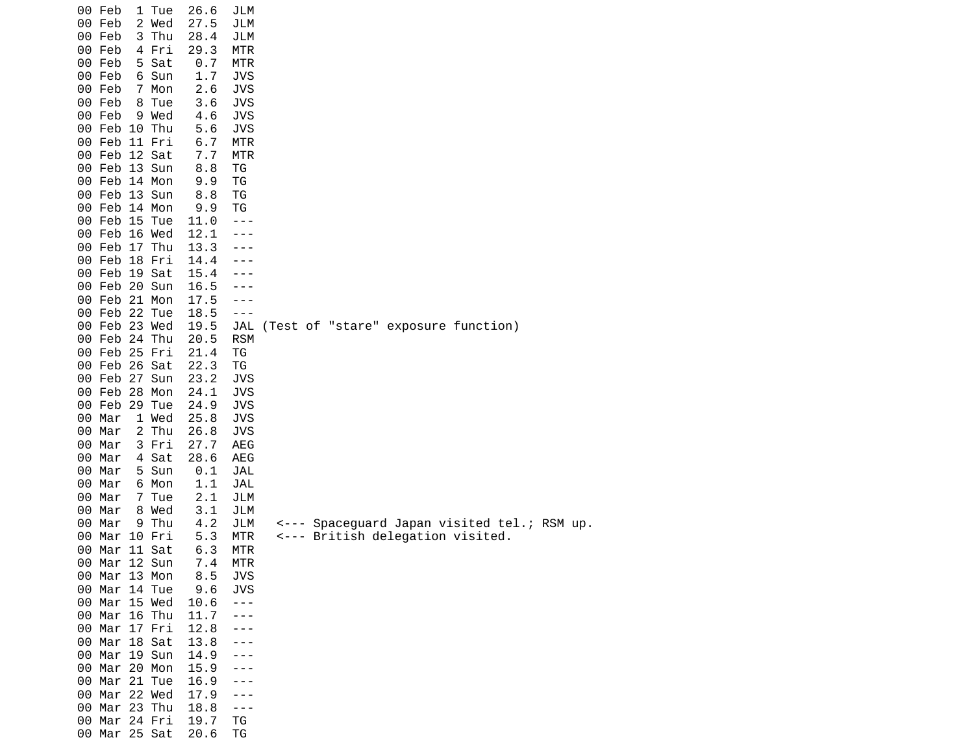|    | 00 Feb        | 1              | Tue    | 26.6  | JLM        |                                             |
|----|---------------|----------------|--------|-------|------------|---------------------------------------------|
|    | 00 Feb        |                | 2 Wed  | 27.5  | JLM        |                                             |
|    | 00 Feb        | 3              | Thu    | 28.4  | JLM        |                                             |
|    | 00 Feb        |                | 4 Fri  | 29.3  | MTR        |                                             |
|    | 00 Feb        |                | Sat    | $0.7$ |            |                                             |
|    |               | 5              |        |       | MTR        |                                             |
|    | 00 Feb        |                | 6 Sun  | 1.7   | JVS        |                                             |
|    | 00 Feb        |                | 7 Mon  | 2.6   | JVS        |                                             |
|    | 00 Feb        | 8              | Tue    | 3.6   | <b>JVS</b> |                                             |
|    | 00 Feb        | 9              | Wed    | 4.6   | <b>JVS</b> |                                             |
|    | 00 Feb 10 Thu |                |        | 5.6   | <b>JVS</b> |                                             |
|    | 00 Feb        |                | 11 Fri | 6.7   | <b>MTR</b> |                                             |
|    | 00 Feb 12 Sat |                |        | 7.7   | MTR        |                                             |
|    |               |                |        |       |            |                                             |
|    | 00 Feb 13 Sun |                |        | 8.8   | ТG         |                                             |
|    | 00 Feb 14 Mon |                |        | 9.9   | ΤG         |                                             |
|    | 00 Feb 13 Sun |                |        | 8.8   | ΤG         |                                             |
|    | 00 Feb 14 Mon |                |        | 9.9   | ΤG         |                                             |
|    | 00 Feb 15 Tue |                |        | 11.0  | - - -      |                                             |
|    | 00 Feb 16 Wed |                |        | 12.1  |            |                                             |
|    | 00 Feb 17 Thu |                |        | 13.3  |            |                                             |
|    | 00 Feb 18 Fri |                |        | 14.4  |            |                                             |
|    | 00 Feb 19 Sat |                |        |       |            |                                             |
|    |               |                |        | 15.4  |            |                                             |
|    | 00 Feb 20 Sun |                |        | 16.5  |            |                                             |
|    | 00 Feb 21 Mon |                |        | 17.5  | ---        |                                             |
|    | 00 Feb 22 Tue |                |        | 18.5  | - - -      |                                             |
|    | 00 Feb 23 Wed |                |        | 19.5  | JAL        | (Test of "stare" exposure function)         |
|    | 00 Feb 24 Thu |                |        | 20.5  | <b>RSM</b> |                                             |
|    | 00 Feb 25 Fri |                |        | 21.4  | ΤG         |                                             |
|    | 00 Feb 26     |                | Sat    | 22.3  | ΤG         |                                             |
|    | 00 Feb 27 Sun |                |        | 23.2  | JVS        |                                             |
|    |               |                |        |       |            |                                             |
|    | 00 Feb 28     |                | Mon    | 24.1  | <b>JVS</b> |                                             |
|    | 00 Feb 29 Tue |                |        | 24.9  | <b>JVS</b> |                                             |
| 00 | Mar           |                | 1 Wed  | 25.8  | <b>JVS</b> |                                             |
| 00 | Mar           |                | 2 Thu  | 26.8  | <b>JVS</b> |                                             |
| 00 | Mar           |                | 3 Fri  | 27.7  | AEG        |                                             |
| 00 | Mar           | 4              | Sat    | 28.6  | AEG        |                                             |
| 00 | Mar           | 5.             | Sun    | 0.1   | JAL        |                                             |
| 00 | Mar           | 6              | Mon    | 1.1   | <b>JAL</b> |                                             |
| 00 | Mar           | $\overline{7}$ |        | 2.1   | JLM        |                                             |
|    |               |                | Tue    |       |            |                                             |
| 00 | Mar           | 8              | Wed    | 3.1   | JLM        |                                             |
| 00 | Mar           | 9              | Thu    | 4.2   | JLM        | <--- Spaceguard Japan visited tel.; RSM up. |
| 00 | Mar           |                | 10 Fri | 5.3   | MTR        | British delegation visited.<br><---         |
| 00 | Mar 11 Sat    |                |        | 6.3   | MTR        |                                             |
|    | 00 Mar 12 Sun |                |        | 7.4   | <b>MTR</b> |                                             |
| 00 | Mar 13 Mon    |                |        | 8.5   | <b>JVS</b> |                                             |
| 00 | Mar 14 Tue    |                |        | 9.6   | <b>JVS</b> |                                             |
|    | 00 Mar 15 Wed |                |        | 10.6  | ---        |                                             |
| 00 | Mar 16 Thu    |                |        | 11.7  |            |                                             |
|    |               |                |        |       |            |                                             |
| 00 | Mar 17 Fri    |                |        | 12.8  |            |                                             |
|    | 00 Mar 18 Sat |                |        | 13.8  |            |                                             |
|    | 00 Mar 19 Sun |                |        | 14.9  |            |                                             |
|    | 00 Mar 20 Mon |                |        | 15.9  |            |                                             |
| 00 | Mar 21 Tue    |                |        | 16.9  |            |                                             |
| 00 | Mar 22 Wed    |                |        | 17.9  |            |                                             |
|    | 00 Mar 23 Thu |                |        | 18.8  | $- - -$    |                                             |
|    | 00 Mar 24 Fri |                |        | 19.7  | TG         |                                             |
|    |               |                |        |       |            |                                             |
|    | 00 Mar 25 Sat |                |        | 20.6  | TG         |                                             |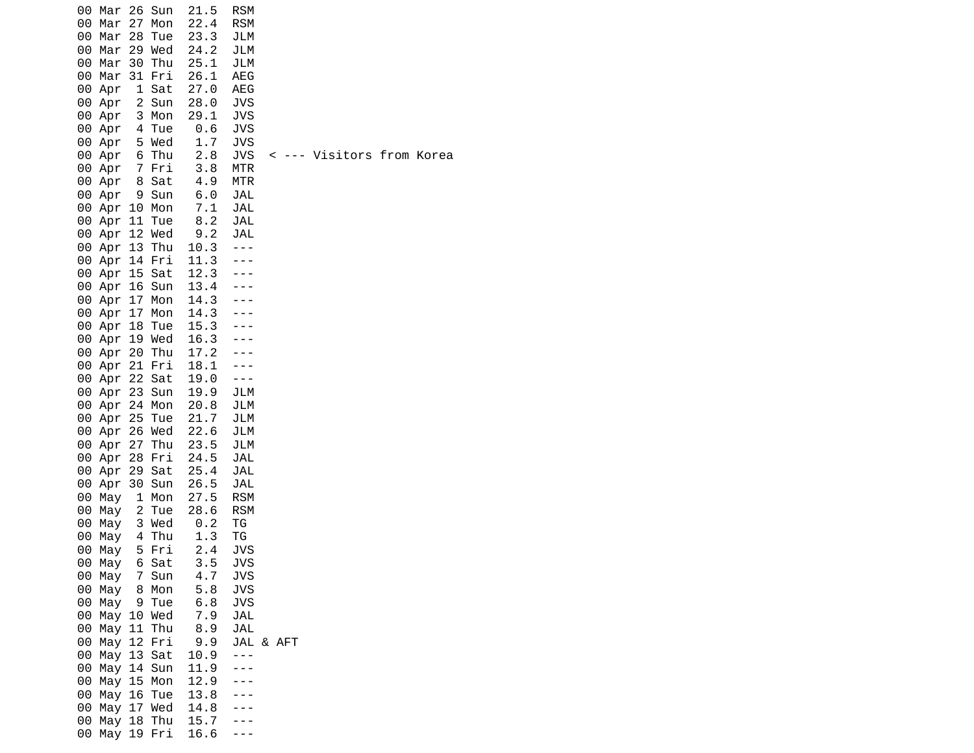| 00<br>00<br>00<br>00 | Mar<br>Mar<br>Mar<br>00 Mar<br>Mar 30<br>00 Mar 31 Fri<br>00 Apr | 27<br>28<br>29 | 26 Sun<br>Mon<br>Tue<br>Wed<br>Thu<br>1 Sat | 21.5<br>22.4<br>23.3<br>24.2<br>25.1<br>26.1<br>27.0 | <b>RSM</b><br><b>RSM</b><br>JLM<br>JLM<br>JLM<br>AEG<br>AEG |  |                           |  |  |
|----------------------|------------------------------------------------------------------|----------------|---------------------------------------------|------------------------------------------------------|-------------------------------------------------------------|--|---------------------------|--|--|
|                      | 00 Apr<br>00 Apr                                                 |                | 2 Sun<br>3 Mon                              | 28.0<br>29.1                                         | JVS<br><b>JVS</b>                                           |  |                           |  |  |
|                      | 00 Apr 4                                                         |                | Tue                                         | 0.6                                                  | <b>JVS</b>                                                  |  |                           |  |  |
|                      | 00 Apr 5 Wed                                                     |                |                                             | 1.7                                                  | JVS                                                         |  |                           |  |  |
|                      | 00 Apr 6 Thu<br>00 Apr 7 Fri                                     |                |                                             | 2.8<br>3.8                                           | <b>JVS</b><br>MTR                                           |  | < --- Visitors from Korea |  |  |
|                      | 00 Apr 8 Sat                                                     |                |                                             | 4.9                                                  | <b>MTR</b>                                                  |  |                           |  |  |
|                      | 00 Apr 9 Sun                                                     |                |                                             | 6.0                                                  | JAL                                                         |  |                           |  |  |
|                      | 00 Apr 10 Mon                                                    |                |                                             | 7.1                                                  | JAL                                                         |  |                           |  |  |
|                      | 00 Apr 11 Tue                                                    |                |                                             | 8.2                                                  | JAL                                                         |  |                           |  |  |
|                      | 00 Apr 12 Wed<br>00 Apr 13                                       |                | Thu                                         | 9.2<br>10.3                                          | <b>JAL</b><br>$- - -$                                       |  |                           |  |  |
|                      | 00 Apr 14 Fri                                                    |                |                                             | 11.3                                                 |                                                             |  |                           |  |  |
|                      | 00 Apr 15 Sat                                                    |                |                                             | 12.3<br>13.4                                         |                                                             |  |                           |  |  |
|                      | 00 Apr 16 Sun                                                    |                |                                             |                                                      |                                                             |  |                           |  |  |
|                      | 00 Apr 17<br>00 Apr 17                                           |                | Mon<br>Mon                                  | 14.3<br>14.3                                         |                                                             |  |                           |  |  |
|                      | 00 Apr 18                                                        |                | Tue                                         | 15.3                                                 |                                                             |  |                           |  |  |
|                      | 00 Apr 19 Wed                                                    |                |                                             | 16.3                                                 |                                                             |  |                           |  |  |
|                      | 00 Apr 20 Thu                                                    |                |                                             | 17.2                                                 |                                                             |  |                           |  |  |
|                      | 00 Apr 21 Fri                                                    |                |                                             | 18.1                                                 |                                                             |  |                           |  |  |
|                      | 00 Apr 22 Sat<br>00 Apr 23 Sun                                   |                |                                             | 19.0                                                 | $- - -$<br>JLM                                              |  |                           |  |  |
|                      | 00 Apr 24 Mon                                                    |                |                                             | 19.9<br>20.8                                         | JLM                                                         |  |                           |  |  |
|                      | 00 Apr 25                                                        |                | Tue                                         | 21.7                                                 | JLM                                                         |  |                           |  |  |
|                      | 00 Apr 26 Wed                                                    |                |                                             | 22.6                                                 | JLM                                                         |  |                           |  |  |
|                      | 00 Apr 27 Thu                                                    |                |                                             | 23.5                                                 | JLM                                                         |  |                           |  |  |
|                      | 00 Apr<br>00 Apr                                                 |                | 28 Fri<br>29 Sat                            | 24.5<br>25.4                                         | JAL<br>JAL                                                  |  |                           |  |  |
|                      | 00 Apr                                                           |                | 30 Sun                                      | 26.5                                                 | JAL                                                         |  |                           |  |  |
| 00                   | May                                                              |                | 1 Mon                                       | 27.5                                                 | <b>RSM</b>                                                  |  |                           |  |  |
| 00                   | May                                                              | 2              | Tue                                         | 28.6                                                 | <b>RSM</b>                                                  |  |                           |  |  |
| 00                   | May                                                              | 4              | 3 Wed                                       | $0.2$<br>1.3                                         | TG                                                          |  |                           |  |  |
| 00<br>00             | May<br>May                                                       |                | Thu<br>5 Fri                                | 2.4                                                  | ΤG<br>JVS                                                   |  |                           |  |  |
|                      | 00 May  6 Sat                                                    |                |                                             | 3.5                                                  | <b>JVS</b>                                                  |  |                           |  |  |
|                      | 00 May 7 Sun                                                     |                |                                             | 4.7                                                  | <b>JVS</b>                                                  |  |                           |  |  |
|                      | 00 May 8 Mon                                                     |                |                                             | 5.8                                                  | <b>JVS</b>                                                  |  |                           |  |  |
| 00<br>00             | May                                                              |                | 9 Tue<br>May 10 Wed                         | 6.8<br>7.9                                           | <b>JVS</b><br>JAL                                           |  |                           |  |  |
| 00                   |                                                                  |                | May 11 Thu                                  | 8.9                                                  | JAL                                                         |  |                           |  |  |
|                      | 00 May 12 Fri                                                    |                |                                             | 9.9                                                  | JAL & AFT                                                   |  |                           |  |  |
|                      | 00 May 13 Sat                                                    |                |                                             | 10.9                                                 | $- - -$                                                     |  |                           |  |  |
| 00                   |                                                                  |                | May 14 Sun                                  | 11.9                                                 |                                                             |  |                           |  |  |
| 00<br>00             |                                                                  |                | May 15 Mon<br>May 16 Tue                    | 12.9<br>13.8                                         |                                                             |  |                           |  |  |
|                      | 00 May 17 Wed                                                    |                |                                             | 14.8                                                 |                                                             |  |                           |  |  |
| 00                   |                                                                  |                |                                             | May 18 Thu 15.7                                      |                                                             |  |                           |  |  |
| 00                   |                                                                  |                | May 19 Fri                                  | 16.6                                                 |                                                             |  |                           |  |  |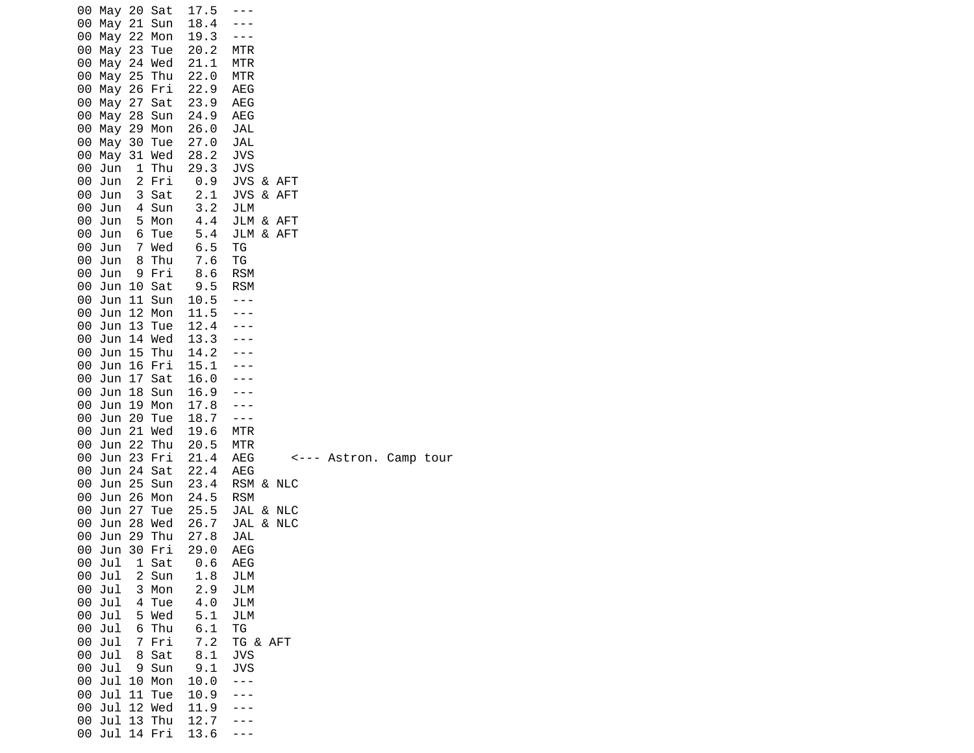| 00 May 20 Sat<br>00<br>May<br>00<br>May<br>00<br>May<br>00<br>May<br>00<br>May<br>00<br>May<br>00<br>May<br>00<br>May<br>00<br>May<br>00<br>May<br>00<br>May<br>00<br>Jun<br>00<br>Jun<br>00<br>Jun<br>00<br>Jun<br>00<br>Jun<br>00<br>Jun<br>00<br>Jun<br>00<br>Jun<br>00<br>Jun<br>00<br>Jun<br>00<br>Jun<br>00<br>Jun<br>00<br>Jun<br>00<br>Jun<br>00<br>Jun<br>00<br>Jun<br>Jun<br>00<br>00<br>Jun<br>00<br>Jun<br>Jun<br>00<br>00<br>Jun<br>00<br>Jun<br>00<br>Jun<br>00<br>Jun<br>00<br>Jun<br>00<br>Jun<br>00<br>Jun<br>00<br>Jun<br>00<br>Jun<br>00<br>Jun<br>Jul<br>00<br>Jul<br>00<br>Jul<br>00<br>Jul<br>00<br>Jul<br>00<br>Jul<br>00<br>Jul<br>00<br>Jul<br>00<br>Jul<br>00<br>Jul<br>00<br>Jul<br>00<br>Jul<br>00<br>00<br>Jul | 21<br>22<br>23<br>25<br>26<br>27<br>28<br>29<br>30<br>1<br>$\overline{c}$<br>3<br>4<br>5<br>6<br>7<br>8<br>9<br>10<br>11<br>12<br>13<br>15<br>16<br>17<br>18<br>19<br>20<br>21<br>22<br>23<br>24<br>25<br>26<br>27<br>28<br>29<br>30<br>1<br>2<br>3<br>4<br>5<br>6<br>7<br>8<br>9<br>10<br>11<br>12<br>13 | Sun<br>Mon<br>Tue<br>24 Wed<br>Thu<br>Fri<br>Sat<br>Sun<br>Mon<br>Tue<br>31 Wed<br>Thu<br>Fri<br>Sat<br>Sun<br>Mon<br>Tue<br>Wed<br>Thu<br>Fri<br>Sat<br>Sun<br>Mon<br>Tue<br>14 Wed<br>Thu<br>Fri<br>Sat<br>Sun<br>Mon<br>Tue<br>Wed<br>Thu<br>Fri<br>Sat<br>Sun<br>Mon<br>Tue<br>Wed<br>Thu<br>Fri<br>Sat<br>Sun<br>Mon<br>Tue<br>Wed<br>Thu<br>Fri<br>Sat<br>Sun<br>Mon<br>Tue<br>Wed<br>Thu | 17.5<br>18.4<br>19.3<br>20.2<br>21.1<br>22.0<br>22.9<br>23.9<br>24.9<br>26.0<br>27.0<br>28.2<br>29.3<br>0.9<br>2.1<br>3.2<br>4.4<br>5.4<br>6.5<br>7.6<br>8.6<br>9.5<br>10.5<br>11.5<br>12.4<br>13.3<br>14.2<br>15.1<br>16.0<br>16.9<br>17.8<br>18.7<br>19.6<br>20.5<br>21.4<br>22.4<br>23.4<br>24.5<br>25.5<br>26.7<br>27.8<br>29.0<br>0.6<br>1.8<br>2.9<br>4.0<br>5.1<br>6.1<br>7.2<br>8.1<br>9.1<br>10.0<br>10.9<br>11.9<br>12.7 | MTR<br>MTR<br>MTR<br><b>AEG</b><br><b>AEG</b><br>AEG<br><b>JAL</b><br>JAL<br><b>JVS</b><br>JVS<br>JVS & AFT<br>JVS<br>& AFT<br>JLM<br>JLM & AFT<br>JLM & AFT<br>ΤG<br>TG<br><b>RSM</b><br><b>RSM</b><br>$- - -$<br><b>MTR</b><br>MTR<br>AEG<br>Astron. Camp tour<br><---<br>AEG<br>RSM & NLC<br><b>RSM</b><br>JAL & NLC<br>JAL & NLC<br>JAL<br>AEG<br><b>AEG</b><br>JLM<br>JLM<br>JLM<br>JLM<br>ΤG<br>TG & AFT<br>JVS<br><b>JVS</b> |
|---------------------------------------------------------------------------------------------------------------------------------------------------------------------------------------------------------------------------------------------------------------------------------------------------------------------------------------------------------------------------------------------------------------------------------------------------------------------------------------------------------------------------------------------------------------------------------------------------------------------------------------------------------------------------------------------------------------------------------------------|-----------------------------------------------------------------------------------------------------------------------------------------------------------------------------------------------------------------------------------------------------------------------------------------------------------|-------------------------------------------------------------------------------------------------------------------------------------------------------------------------------------------------------------------------------------------------------------------------------------------------------------------------------------------------------------------------------------------------|------------------------------------------------------------------------------------------------------------------------------------------------------------------------------------------------------------------------------------------------------------------------------------------------------------------------------------------------------------------------------------------------------------------------------------|-------------------------------------------------------------------------------------------------------------------------------------------------------------------------------------------------------------------------------------------------------------------------------------------------------------------------------------------------------------------------------------------------------------------------------------|
| 00<br>Jul                                                                                                                                                                                                                                                                                                                                                                                                                                                                                                                                                                                                                                                                                                                                   |                                                                                                                                                                                                                                                                                                           | 14 Fri                                                                                                                                                                                                                                                                                                                                                                                          | 13.6                                                                                                                                                                                                                                                                                                                                                                                                                               |                                                                                                                                                                                                                                                                                                                                                                                                                                     |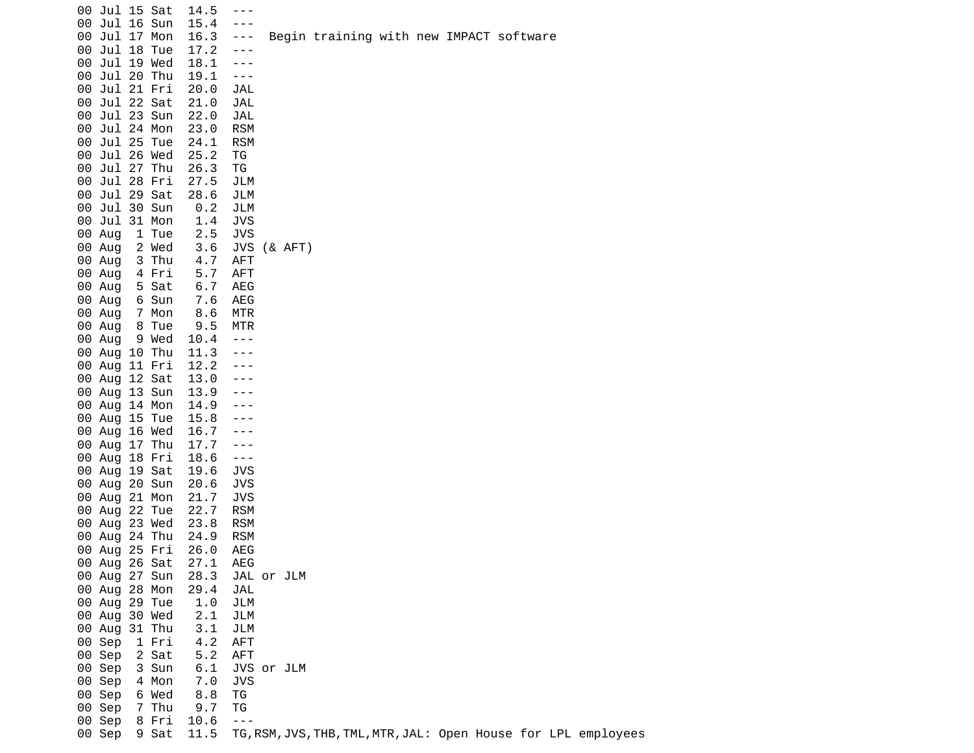| 00 Jul 15 Sat<br>00 Jul 16 Sun<br>00 Jul 17 Mon<br>00 Jul 18 Tue<br>00 Jul 19 Wed<br>00 Jul 20 Thu<br>00 Jul 21 Fri<br>00 Jul 22 Sat<br>00 Jul 23 Sun<br>00 Jul 24 Mon<br>00 Jul 25 Tue | 14.5<br>$- - -$<br>15.4<br>$- - -$<br>16.3<br>$- - -$<br>17.2<br>$- - -$<br>18.1<br>$- - -$<br>19.1<br>$- - -$<br>20.0<br><b>JAL</b><br>21.0<br>JAL<br>22.0<br>JAL<br><b>RSM</b><br>23.0<br>24.1<br><b>RSM</b> |             | Begin training with new IMPACT software |  |                                                                |
|-----------------------------------------------------------------------------------------------------------------------------------------------------------------------------------------|----------------------------------------------------------------------------------------------------------------------------------------------------------------------------------------------------------------|-------------|-----------------------------------------|--|----------------------------------------------------------------|
| 00 Jul 26 Wed<br>00 Jul 27 Thu<br>00 Jul 28 Fri<br>00 Jul 29 Sat<br>00 Jul 30 Sun<br>00 Jul 31 Mon<br>00 Aug<br>1 Tue<br>00 Aug<br>2 Wed                                                | 25.2<br>ΤG<br>26.3<br>ΤG<br>27.5<br>JLM<br>28.6<br>JLM<br>0.2<br>JLM<br>1.4<br><b>JVS</b><br>2.5<br><b>JVS</b><br>3.6                                                                                          | JVS (& AFT) |                                         |  |                                                                |
| 00 Aug<br>3 Thu<br>00 Aug<br>4 Fri<br>00 Aug<br>5 Sat<br>6 Sun<br>00 Aug<br>00 Aug<br>7 Mon<br>8 Tue<br>00 Aug<br>00 Aug 9 Wed<br>00 Aug 10 Thu<br>00 Aug 11 Fri                        | 4.7<br><b>AFT</b><br>5.7<br>AFT<br>6.7<br>AEG<br>AEG<br>7.6<br>8.6<br>MTR<br>9.5<br><b>MTR</b><br>10.4<br>$- - -$<br>11.3<br>$- - -$<br>12.2                                                                   |             |                                         |  |                                                                |
| 00 Aug 12 Sat<br>00 Aug 13 Sun<br>00 Aug 14 Mon<br>00 Aug 15 Tue<br>00 Aug 16 Wed<br>00 Aug 17 Thu<br>00 Aug 18 Fri<br>00 Aug 19 Sat                                                    | 13.0<br>---<br>13.9<br>---<br>14.9<br>---<br>15.8<br>---<br>16.7<br>- - -<br>17.7<br>$- - -$<br>18.6<br>$- - -$<br><b>JVS</b><br>19.6                                                                          |             |                                         |  |                                                                |
| 00 Aug 20 Sun<br>00 Aug 21 Mon<br>00 Aug 22 Tue<br>00 Aug 23 Wed<br>00 Aug 24 Thu<br>00 Aug 25 Fri<br>00 Aug 26 Sat<br>00 Aug 27 Sun                                                    | 20.6<br><b>JVS</b><br>21.7<br>JVS<br>22.7<br><b>RSM</b><br>23.8<br><b>RSM</b><br><b>RSM</b><br>24.9<br>26.0<br>AEG<br>AEG<br>27.1<br>28.3                                                                      | JAL or JLM  |                                         |  |                                                                |
| 00 Aug 28 Mon<br>00 Aug 29 Tue<br>00 Aug 30 Wed<br>00 Aug 31 Thu<br>00 Sep<br>1 Fri<br>00 Sep<br>2 Sat<br>00 Sep<br>3 Sun<br>00 Sep<br>4 Mon<br>00 Sep<br>6 Wed                         | 29.4<br>JAL<br>1.0<br>JLM<br>2.1<br>JLM<br>3.1<br>JLM<br>4.2<br><b>AFT</b><br>5.2<br><b>AFT</b><br>6.1<br>7.0<br>JVS<br>8.8<br>TG                                                                              | JVS or JLM  |                                         |  |                                                                |
| 7 Thu<br>00 Sep<br>00 Sep<br>8 Fri<br>00 Sep<br>9 Sat                                                                                                                                   | 9.7<br>ΤG<br>10.6<br>$- - -$<br>11.5                                                                                                                                                                           |             |                                         |  | TG, RSM, JVS, THB, TML, MTR, JAL: Open House for LPL employees |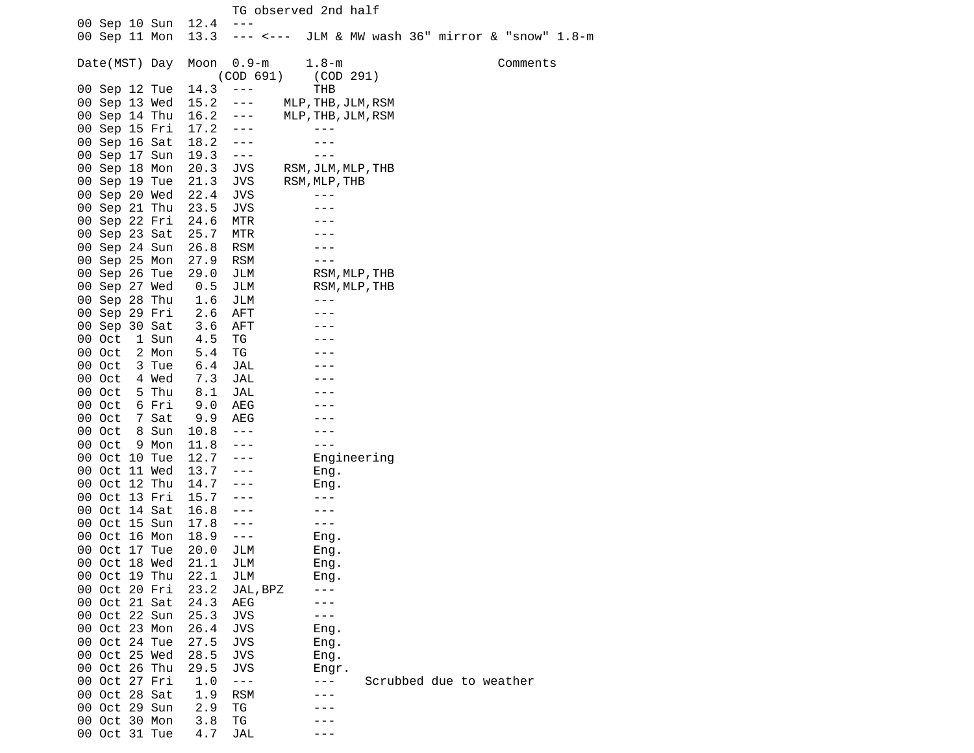|                                |                                | TG observed 2nd half                    |
|--------------------------------|--------------------------------|-----------------------------------------|
| 00 Sep 10 Sun                  | 12.4<br>$- - -$                |                                         |
| 00 Sep 11 Mon                  | 13.3<br>--- <---               | JLM & MW wash 36" mirror & "snow" 1.8-m |
|                                |                                |                                         |
| Date(MST) Day                  | Moon<br>$0.9 - m$<br>(COD 691) | $1.8 - m$<br>Comments                   |
| 00 Sep 12 Tue                  | 14.3<br>$  -$                  | (COD 291)<br>THB                        |
| 00 Sep 13 Wed                  | 15.2<br>---                    | MLP, THB, JLM, RSM                      |
| 00 Sep 14 Thu                  | 16.2<br>$- - -$                | MLP, THB, JLM, RSM                      |
| 00 Sep 15 Fri                  | 17.2<br>$- - -$                |                                         |
| 00 Sep 16 Sat                  | 18.2<br>$- - -$                |                                         |
| 00 Sep 17 Sun                  | 19.3<br>$\sim$ $ \sim$         | ---                                     |
| 00 Sep 18 Mon                  | 20.3<br><b>JVS</b>             | RSM, JLM, MLP, THB                      |
| 00 Sep 19 Tue                  | 21.3<br><b>JVS</b>             | RSM, MLP, THB                           |
| 00 Sep 20 Wed                  | 22.4<br><b>JVS</b>             |                                         |
| 00 Sep 21 Thu                  | 23.5<br><b>JVS</b>             |                                         |
| 00 Sep 22 Fri                  | 24.6<br>MTR                    |                                         |
| 00 Sep 23 Sat                  | 25.7<br>MTR                    |                                         |
| 00 Sep 24 Sun                  | 26.8<br><b>RSM</b>             |                                         |
| 00 Sep 25 Mon                  | 27.9<br><b>RSM</b>             |                                         |
| 00 Sep 26 Tue                  | 29.0<br>JLM                    | RSM, MLP, THB                           |
| 00 Sep 27 Wed                  | 0.5<br>JLM                     | RSM, MLP, THB                           |
| 00 Sep 28 Thu                  | 1.6<br>JLM                     | $- - -$                                 |
| 00 Sep 29 Fri                  | 2.6<br>AFT                     | $- - -$                                 |
| 00 Sep 30 Sat                  | 3.6<br><b>AFT</b>              |                                         |
| 1 Sun<br>00 Oct                | ΤG<br>4.5                      |                                         |
| 00 Oct<br>2 Mon                | ΤG<br>5.4                      |                                         |
| 00 Oct<br>3 Tue                | JAL<br>6.4                     |                                         |
| 00 Oct<br>4 Wed                | 7.3<br>JAL                     |                                         |
| 5 Thu<br>00 Oct                | 8.1<br>JAL                     |                                         |
| 00 Oct<br>6 Fri                | 9.0<br>AEG                     |                                         |
| 7 Sat<br>00 Oct                | 9.9<br>AEG                     |                                         |
| 00 Oct<br>8 Sun                | 10.8<br>$- - -$                |                                         |
| 00 Oct<br>9 Mon                | 11.8<br>$- - -$                | - - -                                   |
| 00 Oct 10 Tue                  | 12.7<br>$- - -$                | Engineering                             |
| 00 Oct 11 Wed                  | 13.7<br>$- - -$                | Eng.                                    |
| 00 Oct 12 Thu                  | 14.7<br>---                    | Eng.                                    |
| 00 Oct 13 Fri                  | 15.7<br>---                    |                                         |
| 00 Oct 14 Sat                  | 16.8<br>- -                    |                                         |
| 00 Oct 15 Sun                  | 17.8<br>---                    | - - -                                   |
| 00 Oct 16 Mon                  | 18.9<br>---                    | Eng.                                    |
| 00 Oct 17 Tue                  | 20.0<br>JLM                    | Eng.                                    |
| 00 Oct 18 Wed                  | 21.1<br>JLM                    | Eng.                                    |
| 00 Oct 19 Thu                  | 22.1<br>JLM                    | Eng.                                    |
| 00 Oct 20 Fri                  | 23.2<br>JAL, BPZ               |                                         |
| 00 Oct 21 Sat                  | 24.3<br>AEG                    |                                         |
| 00 Oct 22 Sun                  | <b>JVS</b><br>25.3             | - - -                                   |
| 00 Oct 23 Mon                  | 26.4<br><b>JVS</b>             | Eng.                                    |
| 00 Oct 24 Tue                  | 27.5<br>JVS                    | Eng.                                    |
| 00 Oct 25 Wed                  | 28.5<br>JVS                    | Eng.                                    |
| 00 Oct 26 Thu                  | 29.5<br><b>JVS</b>             | Engr.                                   |
| 00 Oct 27 Fri                  | 1.0<br>$- - -$                 | Scrubbed due to weather<br>- - -        |
| 00 Oct 28 Sat<br>00 Oct 29 Sun | 1.9<br><b>RSM</b>              |                                         |
|                                | 2.9<br>ΤG                      |                                         |
| 00 Oct 30 Mon<br>00 Oct 31 Tue | 3.8<br>ТG<br>JAL               |                                         |
|                                | 4.7                            |                                         |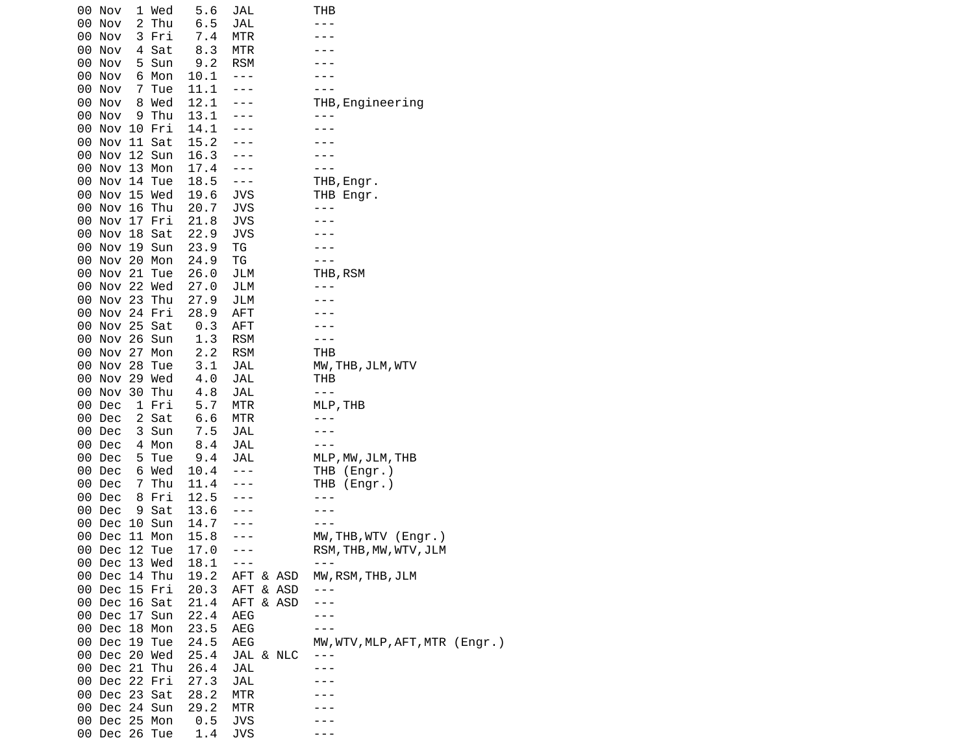|     | 00 Nov                         | 1 Wed          | 5.6          | JAL                  |           | THB                            |  |
|-----|--------------------------------|----------------|--------------|----------------------|-----------|--------------------------------|--|
|     | 00 Nov<br>00 Nov               | 2 Thu<br>3 Fri | 6.5<br>7.4   | JAL<br><b>MTR</b>    |           |                                |  |
|     | 00 Nov                         | 4 Sat          | 8.3          | MTR                  |           |                                |  |
|     | 00 Nov                         | 5 Sun          | 9.2          | <b>RSM</b>           |           |                                |  |
|     | 00 Nov                         | 6 Mon          | 10.1         | $- - -$              |           |                                |  |
|     | 00 Nov                         | 7 Tue          | 11.1         | $- - -$              |           |                                |  |
|     | 00 Nov                         | 8 Wed          | 12.1         | $- - -$              |           | THB, Engineering               |  |
|     | 00 Nov                         | 9 Thu          | 13.1         |                      |           |                                |  |
|     | 00 Nov 10 Fri                  |                | 14.1         |                      |           |                                |  |
|     | 00 Nov 11 Sat                  |                | 15.2         |                      |           |                                |  |
|     | 00 Nov 12 Sun                  |                | 16.3         |                      |           |                                |  |
|     | 00 Nov 13 Mon                  |                | 17.4         |                      |           |                                |  |
|     | 00 Nov 14 Tue                  |                | 18.5         | $- - -$              |           | THB, Engr.                     |  |
|     | 00 Nov 15 Wed                  |                | 19.6         | JVS                  |           | THB Engr.                      |  |
|     | 00 Nov 16 Thu                  |                | 20.7         | JVS                  |           |                                |  |
|     | 00 Nov 17 Fri<br>00 Nov 18 Sat |                | 21.8<br>22.9 | JVS<br><b>JVS</b>    |           |                                |  |
|     | 00 Nov 19 Sun                  |                | 23.9         | ΤG                   |           |                                |  |
|     | 00 Nov 20 Mon                  |                | 24.9         | TG                   |           |                                |  |
|     | 00 Nov 21 Tue                  |                | 26.0         | JLM                  |           | THB, RSM                       |  |
|     | 00 Nov 22 Wed                  |                | 27.0         | JLM                  |           |                                |  |
|     | 00 Nov 23 Thu                  |                | 27.9         | JLM                  |           |                                |  |
|     | 00 Nov 24 Fri                  |                | 28.9         | <b>AFT</b>           |           |                                |  |
|     | 00 Nov 25 Sat                  |                | 0.3          | <b>AFT</b>           |           |                                |  |
|     | 00 Nov 26 Sun                  |                | 1.3          | <b>RSM</b>           |           | - - -                          |  |
|     | 00 Nov 27 Mon                  |                | 2.2          | <b>RSM</b>           |           | THB                            |  |
|     | 00 Nov 28 Tue                  |                | 3.1          | JAL                  |           | MW, THB, JLM, WTV              |  |
|     | 00 Nov 29 Wed                  |                | 4.0          | JAL                  |           | тнв                            |  |
|     | 00 Nov 30 Thu                  |                | 4.8          | JAL                  |           | $- - -$                        |  |
|     | 00 Dec                         | 1 Fri          | 5.7          | MTR                  |           | MLP, THB                       |  |
|     | 00 Dec<br>00 Dec               | 2 Sat<br>3 Sun | 6.6<br>7.5   | MTR<br>JAL           |           |                                |  |
|     | 00 Dec                         | 4 Mon          | 8.4          | JAL                  |           |                                |  |
|     | 00 Dec                         | 5 Tue          | 9.4          | JAL                  |           | MLP, MW, JLM, THB              |  |
|     | 00 Dec                         | 6 Wed          | 10.4         | $- - -$              |           | THB (Engr.)                    |  |
|     | 00 Dec                         | 7 Thu          | 11.4         |                      |           | THB (Engr.)                    |  |
|     | 00 Dec                         | 8 Fri          | 12.5         |                      |           |                                |  |
|     | 00 Dec                         | 9 Sat          | 13.6         |                      |           |                                |  |
|     | 00 Dec                         | 10 Sun         | 14.7         |                      |           |                                |  |
|     | 00 Dec 11 Mon                  |                | 15.8         |                      |           | MW, THB, WTV (Engr.)           |  |
| 00. | Dec 12 Tue                     |                | 17.0         |                      |           | RSM, THB, MW, WTV, JLM         |  |
|     | 00 Dec 13 Wed                  |                | 18.1         | $\sim$ $\sim$ $\sim$ |           |                                |  |
|     | 00 Dec 14 Thu                  |                | 19.2         |                      | AFT & ASD | MW, RSM, THB, JLM              |  |
|     | 00 Dec 15 Fri                  |                | 20.3         |                      | AFT & ASD |                                |  |
|     | 00 Dec 16 Sat<br>00 Dec 17 Sun |                | 21.4         |                      | AFT & ASD |                                |  |
|     | 00 Dec 18 Mon                  |                | 22.4<br>23.5 | AEG<br>AEG           |           |                                |  |
|     | 00 Dec 19 Tue                  |                | 24.5         | AEG                  |           | MW, WTV, MLP, AFT, MTR (Engr.) |  |
|     | 00 Dec 20 Wed                  |                | 25.4         |                      | JAL & NLC | ---                            |  |
|     | 00 Dec 21 Thu                  |                | 26.4         | JAL                  |           |                                |  |
|     | 00 Dec 22 Fri                  |                | 27.3         | <b>JAL</b>           |           |                                |  |
|     | 00 Dec 23 Sat                  |                | 28.2         | MTR                  |           |                                |  |
|     | 00 Dec 24 Sun                  |                | 29.2         | MTR                  |           |                                |  |
|     | 00 Dec 25 Mon                  |                | 0.5          | <b>JVS</b>           |           |                                |  |
|     | 00 Dec 26 Tue                  |                | 1.4          | <b>JVS</b>           |           |                                |  |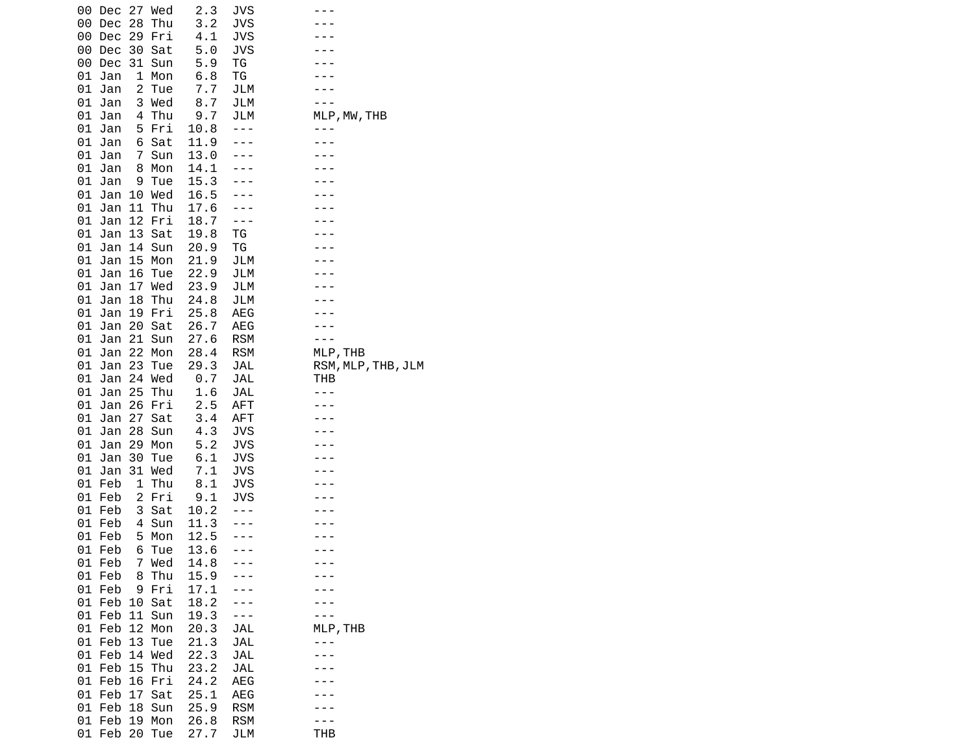| 27<br>Wed<br>00<br>Dec                 | 2.3          | JVS               |                    |
|----------------------------------------|--------------|-------------------|--------------------|
| 28<br>00<br>Thu<br>Dec                 | 3.2          | <b>JVS</b>        |                    |
| 00<br>Dec<br>29<br>Fri                 | 4.1          | JVS               |                    |
| 00<br>Dec<br>30<br>Sat                 | 5.0          | JVS               |                    |
| 00<br>Dec<br>31<br>Sun                 | 5.9          | ТG                |                    |
| 01<br>1<br>Jan<br>Mon                  | 6.8          | ΤG                |                    |
| $\overline{c}$<br>01<br>Jan<br>Tue     | 7.7          | JLM               |                    |
| 01<br>Jan<br>3<br>Wed                  | 8.7          | JLM               |                    |
| Thu<br>01<br>Jan<br>4                  | 9.7          | JLM               | MLP, MW, THB       |
| 01<br>5<br>Jan<br>Fri                  | 10.8         |                   |                    |
| 01<br>6<br>Jan<br>Sat                  | 11.9         |                   |                    |
| 01<br>Jan<br>Sun<br>7                  | 13.0         |                   |                    |
| 01<br>Jan<br>8<br>Mon                  | 14.1         |                   |                    |
| 01<br>Jan<br>9<br>Tue                  | 15.3         |                   |                    |
| 01<br>Jan<br>10<br>Wed                 | 16.5         |                   |                    |
| 01<br>11<br>Thu<br>Jan                 | 17.6         |                   |                    |
| 12<br>01<br>Jan<br>Fri                 | 18.7         |                   |                    |
| 01<br>Jan<br>13<br>Sat                 | 19.8         | TG                |                    |
| 01<br>Jan<br>14<br>Sun                 | 20.9         | ΤG                |                    |
| 01<br>15<br>Jan<br>Mon                 | 21.9         | JLM               |                    |
| 01<br>Jan<br>16<br>Tue                 | 22.9         | JLM               |                    |
| 01<br>Jan<br>17<br>Wed                 | 23.9         | JLM               |                    |
| 01<br>Jan<br>18<br>Thu                 | 24.8         | JLM               |                    |
| 01<br>19<br>Fri<br>Jan                 | 25.8         | AEG               |                    |
| 01<br>Jan<br>20<br>Sat                 | 26.7         | AEG               |                    |
| 21<br>01<br>Jan<br>Sun                 | 27.6         | <b>RSM</b>        |                    |
| 22<br>Mon<br>01<br>Jan                 | 28.4         | <b>RSM</b>        | MLP, THB           |
| 23<br>01<br>Jan<br>Tue                 | 29.3         | JAL               | RSM, MLP, THB, JLM |
|                                        |              |                   |                    |
| 01<br>24<br>Wed<br>Jan                 | 0.7          | JAL               | тнв                |
| 25<br>01<br>Jan<br>Thu                 | 1.6          | JAL               |                    |
| 01<br>Jan<br>26<br>Fri                 | 2.5          | AFT               |                    |
| 01<br>Jan<br>27<br>Sat                 | 3.4          | AFT               |                    |
| 28<br>01<br>Jan<br>Sun                 | 4.3          | <b>JVS</b>        |                    |
| 01<br>Jan<br>29<br>Mon                 | 5.2          | JVS               |                    |
| 01<br>Jan<br>30<br>Tue                 | 6.1          | JVS               |                    |
| 01<br>31<br>Wed<br>Jan                 | 7.1          | <b>JVS</b>        |                    |
| 1<br>Thu<br>01<br>Feb                  | 8.1          | JVS               |                    |
| 01<br>2<br>Feb<br>Fri                  | 9.1          | <b>JVS</b>        |                    |
| 01<br>Feb<br>3<br>Sat                  | 10.2         |                   |                    |
| 01<br>Feb<br>Sun<br>4                  | 11.3         |                   |                    |
| 5<br>01<br>Feb<br>Mon                  | 12.5         |                   |                    |
| 01<br>Feb<br>6<br>Tue                  | 13.6         |                   |                    |
| Wed<br>01 Feb<br>7                     | 14.8         |                   |                    |
| Feb<br>Thu<br>01<br>8                  | 15.9         |                   |                    |
| Feb<br>Fri<br>01<br>9                  | 17.1         |                   |                    |
| 01<br>Feb<br>10<br>Sat                 | 18.2         |                   |                    |
| Feb<br>11<br>01<br>Sun                 | 19.3         |                   |                    |
| Feb<br>12<br>01<br>Mon                 | 20.3         | JAL               | MLP, THB           |
| Feb<br>13<br>01<br>Tue                 | 21.3         | JAL               |                    |
| Feb<br>14<br>Wed<br>01                 | 22.3         | <b>JAL</b>        |                    |
| Feb<br>15<br>Thu<br>01                 | 23.2         | JAL               |                    |
| 16<br>01 Feb<br>Fri                    | 24.2         | AEG               |                    |
| 01<br>Feb<br>17<br>Sat                 | 25.1         | <b>AEG</b>        |                    |
| Feb<br>01<br>18<br>Sun                 | 25.9         | <b>RSM</b>        |                    |
| 01<br>Feb<br>19<br>Mon<br>01 Feb<br>20 | 26.8<br>27.7 | <b>RSM</b><br>JLM | THB                |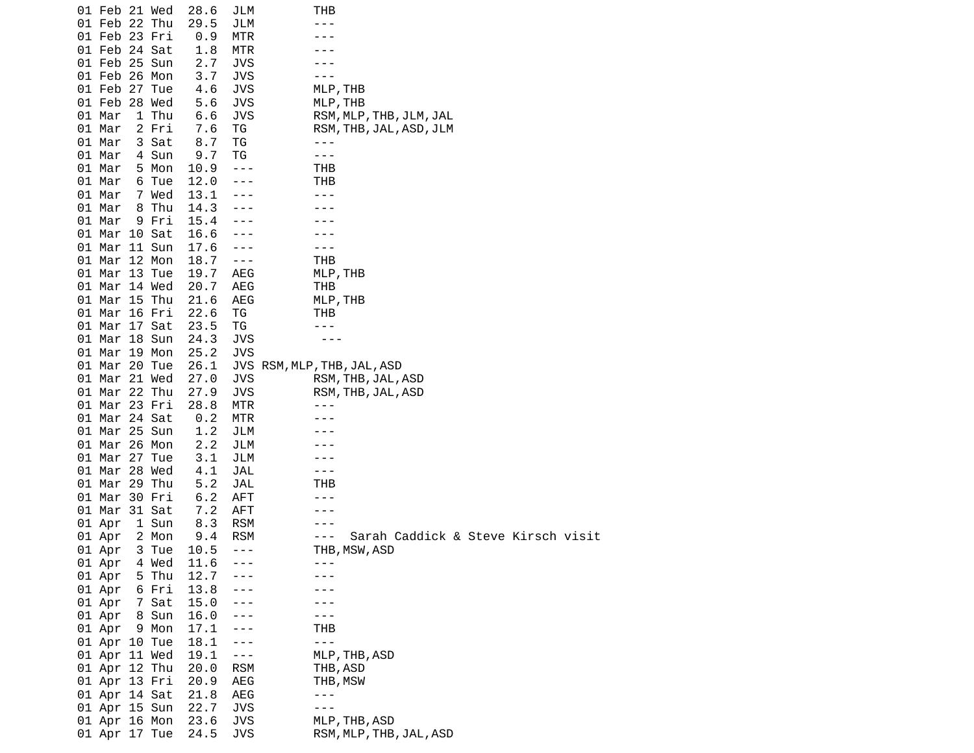| 01 Feb 21 Wed          |       | 28.6         | JLM            | тнв                                         |
|------------------------|-------|--------------|----------------|---------------------------------------------|
| 01 Feb 22 Thu          |       | 29.5         | JLM            |                                             |
| 01 Feb 23 Fri          |       | 0.9          | MTR            |                                             |
| 01 Feb 24 Sat          |       | 1.8          | MTR            |                                             |
| 01 Feb 25 Sun          |       | 2.7          | JVS            |                                             |
| 01 Feb 26 Mon          |       | 3.7          | JVS            |                                             |
| 01 Feb 27 Tue          |       | 4.6          | JVS            | MLP, THB                                    |
| 01 Feb 28 Wed          |       | 5.6          | <b>JVS</b>     | MLP, THB                                    |
| 01 Mar                 | 1 Thu | 6.6          | JVS            | RSM, MLP, THB, JLM, JAL                     |
| 01 Mar                 | 2 Fri | 7.6          | ΤG             | RSM, THB, JAL, ASD, JLM                     |
| 01 Mar                 | 3 Sat | 8.7          | ΤG             | $- - -$                                     |
| 01 Mar                 | 4 Sun | 9.7          | TG             | - - -                                       |
| 01 Mar                 | 5 Mon | 10.9         | $- - -$        | THB                                         |
| 01 Mar                 | 6 Tue | 12.0         |                | THB                                         |
| 01 Mar                 | 7 Wed | 13.1         |                |                                             |
| 01 Mar                 | 8 Thu | 14.3         |                |                                             |
| 01 Mar                 | 9 Fri | 15.4         |                |                                             |
| 01 Mar 10 Sat          |       | 16.6         |                |                                             |
| 01 Mar 11 Sun          |       | 17.6         |                |                                             |
| 01 Mar 12 Mon          |       | 18.7         | $\sim$ $ \sim$ | THB                                         |
| 01 Mar 13 Tue          |       | 19.7         | AEG            | MLP, THB                                    |
| 01 Mar 14 Wed          |       | 20.7         | AEG            | THB                                         |
| 01 Mar 15 Thu          |       | 21.6         | AEG            | MLP, THB                                    |
| 01 Mar 16 Fri          |       | 22.6         | ΤG             | тнв                                         |
| 01 Mar 17 Sat          |       | 23.5         | ΤG             |                                             |
| 01 Mar 18 Sun          |       | 24.3         | JVS            |                                             |
| 01 Mar 19 Mon          |       | 25.2         | <b>JVS</b>     |                                             |
| 01 Mar 20 Tue          |       | 26.1         |                | JVS RSM, MLP, THB, JAL, ASD                 |
| 01 Mar 21 Wed          |       | 27.0         | JVS            | RSM, THB, JAL, ASD                          |
| 01 Mar 22 Thu          |       | 27.9         | <b>JVS</b>     | RSM, THB, JAL, ASD                          |
| 01 Mar 23 Fri          |       | 28.8         | MTR            | - - -                                       |
| 01 Mar 24 Sat          |       | 0.2          | MTR            |                                             |
| 01 Mar 25 Sun          |       | 1.2          | JLM            |                                             |
| 01 Mar 26 Mon          |       | 2.2          | JLM            |                                             |
| 01 Mar 27 Tue          |       | 3.1          | JLM            |                                             |
| 01 Mar 28 Wed          |       | 4.1          | JAL            | - - -                                       |
| 01 Mar 29 Thu          |       | 5.2          | JAL            | тнв                                         |
| 01 Mar 30 Fri          |       | 6.2          | <b>AFT</b>     |                                             |
| 01 Mar 31 Sat          |       | 7.2          | AFT            |                                             |
| 01 Apr                 | 1 Sun | 8.3          | <b>RSM</b>     |                                             |
| 01 Apr                 | 2 Mon | 9.4          | <b>RSM</b>     | Sarah Caddick & Steve Kirsch visit<br>- - - |
| 01 Apr                 | 3 Tue | 10.5         | $- - -$        | THB, MSW, ASD                               |
| 01 Apr                 | 4 Wed | 11.6         | $- - -$        | ---                                         |
| 01 Apr                 | 5 Thu | 12.7         |                |                                             |
|                        | 6 Fri | 13.8         |                |                                             |
| 01 Apr<br>01 Apr 7 Sat |       | 15.0         |                |                                             |
|                        |       | 16.0         |                |                                             |
| 01 Apr                 | 8 Sun |              |                |                                             |
| 01 Apr 9 Mon           |       | 17.1<br>18.1 | ---            | THB<br>$- - -$                              |
| 01 Apr 10 Tue          |       |              | $- - -$        |                                             |
| 01 Apr 11 Wed          |       | 19.1         | $- - -$        | MLP, THB, ASD                               |
| 01 Apr 12 Thu          |       | 20.0         | <b>RSM</b>     | THB, ASD                                    |
| 01 Apr 13 Fri          |       | 20.9         | AEG            | THB, MSW                                    |
| 01 Apr 14 Sat          |       | 21.8         | AEG            | $- - -$                                     |
| 01 Apr 15 Sun          |       | 22.7         | <b>JVS</b>     | ---                                         |
| 01 Apr 16 Mon          |       | 23.6         | JVS            | MLP, THB, ASD                               |
| 01 Apr 17 Tue          |       | 24.5         | JVS            | RSM, MLP, THB, JAL, ASD                     |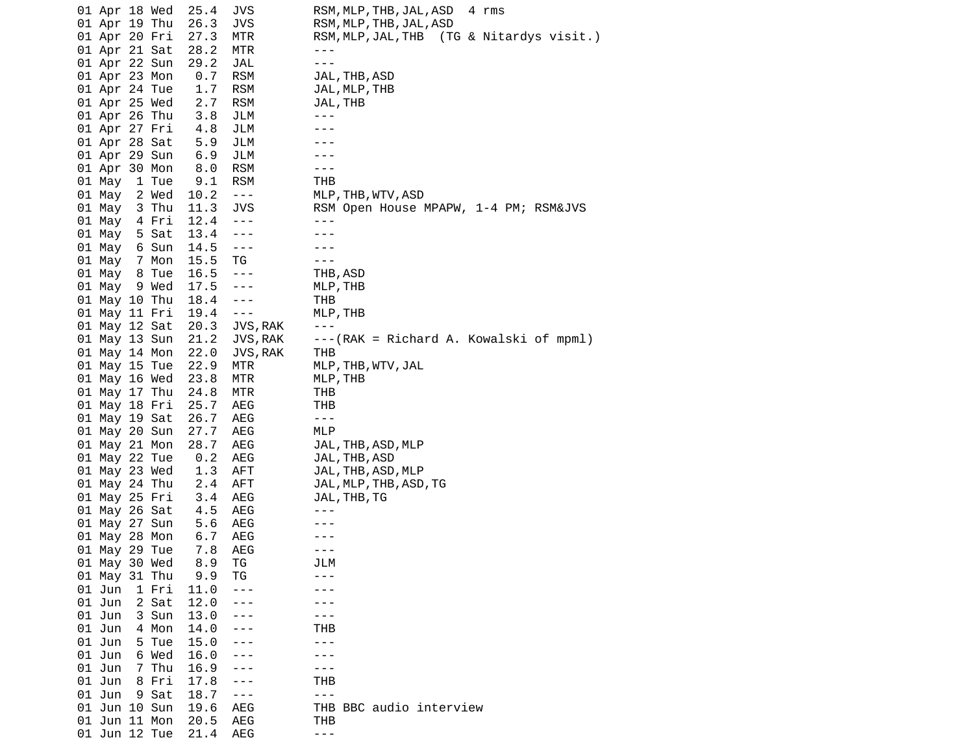| 01 Apr 18 Wed   | 25.4 | JVS                  | RSM, MLP, THB, JAL, ASD<br>4 rms       |
|-----------------|------|----------------------|----------------------------------------|
| 01 Apr 19 Thu   | 26.3 | JVS                  | RSM, MLP, THB, JAL, ASD                |
| 01 Apr 20 Fri   | 27.3 | MTR                  | RSM,MLP,JAL,THB (TG & Nitardys visit.) |
| 01 Apr 21 Sat   | 28.2 | MTR                  | $- - -$                                |
| 01 Apr 22 Sun   | 29.2 | JAL                  | $- - -$                                |
| 01 Apr 23 Mon   | 0.7  | <b>RSM</b>           | JAL, THB, ASD                          |
| 01 Apr 24 Tue   | 1.7  | <b>RSM</b>           | JAL, MLP, THB                          |
| 01 Apr 25 Wed   | 2.7  | <b>RSM</b>           | JAL, THB                               |
| 01 Apr 26 Thu   | 3.8  | JLM                  | $- - -$                                |
| 01 Apr 27 Fri   | 4.8  | JLM                  |                                        |
| 01 Apr 28 Sat   | 5.9  | JLM                  |                                        |
| 01 Apr 29 Sun   | 6.9  | JLM                  |                                        |
| 01 Apr 30 Mon   | 8.0  | <b>RSM</b>           | $- - -$                                |
| 01 May 1 Tue    | 9.1  | <b>RSM</b>           | THB                                    |
| 01 May 2 Wed    | 10.2 | $\sim$ $\sim$ $\sim$ | MLP, THB, WTV, ASD                     |
| 01 May 3 Thu    | 11.3 | <b>JVS</b>           | RSM Open House MPAPW, 1-4 PM; RSM&JVS  |
| 01 May 4 Fri    | 12.4 | $\sim$ $ \sim$       | $- - -$                                |
| 5 Sat<br>01 May | 13.4 | $- - -$              | - - -                                  |
| 01 May 6 Sun    | 14.5 | $- - -$              |                                        |
| 01 May 7 Mon    | 15.5 | ТG                   |                                        |
| 01 May 8 Tue    | 16.5 | $- - -$              | THB, ASD                               |
| 01 May 9 Wed    | 17.5 | $- - -$              | MLP, THB                               |
| 01 May 10 Thu   | 18.4 | $- - -$              | THB                                    |
| 01 May 11 Fri   | 19.4 | $  -$                | MLP, THB                               |
| 01 May 12 Sat   | 20.3 | JVS, RAK             | $- - -$                                |
| 01 May 13 Sun   | 21.2 | JVS, RAK             | ---(RAK = Richard A. Kowalski of mpml) |
| 01 May 14 Mon   | 22.0 | JVS, RAK             | тнв                                    |
| 01 May 15 Tue   | 22.9 | MTR                  |                                        |
| 01 May 16 Wed   | 23.8 |                      | MLP, THB, WTV, JAL<br>MLP, THB         |
|                 |      | MTR                  |                                        |
| 01 May 17 Thu   | 24.8 | MTR                  | THB<br>THB                             |
| 01 May 18 Fri   | 25.7 | AEG                  | $\sim$ $\sim$ $\sim$                   |
| 01 May 19 Sat   | 26.7 | AEG                  |                                        |
| 01 May 20 Sun   | 27.7 | AEG                  | MLP                                    |
| 01 May 21 Mon   | 28.7 | AEG                  | JAL, THB, ASD, MLP                     |
| 01 May 22 Tue   | 0.2  | AEG                  | JAL, THB, ASD                          |
| 01 May 23 Wed   | 1.3  | AFT                  | JAL, THB, ASD, MLP                     |
| 01 May 24 Thu   | 2.4  | AFT                  | JAL, MLP, THB, ASD, TG                 |
| 01 May 25 Fri   | 3.4  | AEG                  | JAL, THB, TG                           |
| 01 May 26 Sat   | 4.5  | AEG                  | $- - -$                                |
| 01 May 27 Sun   | 5.6  | AEG                  |                                        |
| 01 May 28 Mon   | 6.7  | AEG                  |                                        |
| 01 May 29 Tue   | 7.8  | AEG                  | $- - -$                                |
| 01 May 30 Wed   | 8.9  | ТG                   | JLM                                    |
| 01 May 31 Thu   | 9.9  | ΤG                   |                                        |
| 01 Jun<br>1 Fri | 11.0 | ---                  |                                        |
| 01 Jun<br>2 Sat | 12.0 |                      |                                        |
| 01 Jun<br>3 Sun | 13.0 |                      | - - -                                  |
| 01 Jun<br>4 Mon | 14.0 |                      | тнв                                    |
| 01 Jun<br>5 Tue | 15.0 |                      | $- - -$                                |
| 01 Jun<br>6 Wed | 16.0 |                      |                                        |
| 01 Jun<br>7 Thu | 16.9 |                      |                                        |
| 01 Jun<br>8 Fri | 17.8 |                      | THB                                    |
| 01 Jun<br>9 Sat | 18.7 |                      | $- - -$                                |
| 01 Jun 10 Sun   | 19.6 | AEG                  | THB BBC audio interview                |
| 01 Jun 11 Mon   | 20.5 | AEG                  | THB                                    |
| 01 Jun 12 Tue   | 21.4 | AEG                  | $- - -$                                |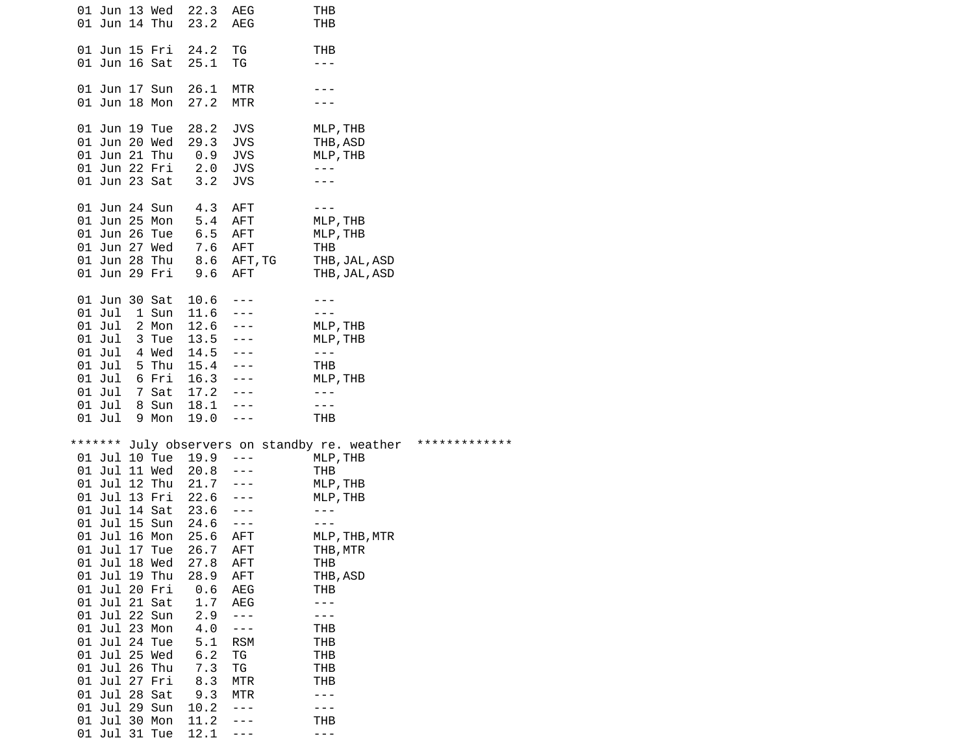| 01 Jun 13 Wed<br>01 Jun 14 Thu                                                                                                                                                                                                                                                                                 |                                                                                   | 22.3<br>23.2                                                                                                                                                                        | AEG<br>AEG                                                                                                                                                                  | THB<br>THB                                                                                                                                                                                                        |                           |
|----------------------------------------------------------------------------------------------------------------------------------------------------------------------------------------------------------------------------------------------------------------------------------------------------------------|-----------------------------------------------------------------------------------|-------------------------------------------------------------------------------------------------------------------------------------------------------------------------------------|-----------------------------------------------------------------------------------------------------------------------------------------------------------------------------|-------------------------------------------------------------------------------------------------------------------------------------------------------------------------------------------------------------------|---------------------------|
| 01 Jun 15 Fri<br>01 Jun 16 Sat                                                                                                                                                                                                                                                                                 |                                                                                   | 24.2<br>25.1                                                                                                                                                                        | ΤG<br>ΤG                                                                                                                                                                    | THB<br>- - -                                                                                                                                                                                                      |                           |
| 01 Jun 17 Sun<br>01 Jun 18 Mon                                                                                                                                                                                                                                                                                 |                                                                                   | 26.1<br>27.2                                                                                                                                                                        | MTR<br><b>MTR</b>                                                                                                                                                           |                                                                                                                                                                                                                   |                           |
| 01 Jun 19 Tue<br>01 Jun 20 Wed<br>01 Jun 21 Thu<br>01 Jun 22 Fri<br>01 Jun 23 Sat                                                                                                                                                                                                                              |                                                                                   | 28.2<br>29.3<br>$\theta.9$<br>2.0<br>3.2                                                                                                                                            | JVS<br><b>JVS</b><br>JVS<br><b>JVS</b><br><b>JVS</b>                                                                                                                        | MLP, THB<br>THB, ASD<br>MLP, THB<br>---                                                                                                                                                                           |                           |
| 01 Jun 24 Sun<br>01 Jun 25 Mon<br>01 Jun 26 Tue<br>01 Jun 27 Wed                                                                                                                                                                                                                                               | 01 Jun 28 Thu<br>01 Jun 29 Fri                                                    | 4.3<br>5.4<br>6.5<br>7.6 AFT<br>8.6 AFT,TG<br>9.6                                                                                                                                   | AFT<br>AFT<br>AFT<br>AFT                                                                                                                                                    | $- - -$<br>MLP, THB<br>MLP, THB<br>THB<br>THB, JAL, ASD<br>THB, JAL, ASD                                                                                                                                          |                           |
| 01 Jun 30 Sat<br>01 Jul<br>01 Jul<br>01 Jul<br>01 Jul<br>01 Jul<br>01 Jul<br>01 Jul<br>01 Jul<br>01 Jul                                                                                                                                                                                                        | 1 Sun<br>2 Mon<br>3 Tue<br>4 Wed<br>5 Thu<br>6 Fri<br>7 Sat<br>8 Sun<br>9 Mon     | 10.6<br>11.6<br>$12.6 - -$<br>$13.5 - -$<br>$14.5 - -$<br>$15.4 - -$<br>$16.3 - -$<br>$17.2 - -$<br>18.1<br>19.0                                                                    | $- - - -$<br>$- - -$<br>$\sim$ $  -$<br>$- - -$                                                                                                                             | MLP, THB<br>MLP, THB<br>$\frac{1}{2}$<br>THB<br>MLP, THB<br>$- - -$<br>$- - -$<br><b>THB</b>                                                                                                                      |                           |
| * * * * * * *<br>01 Jul 12 Thu<br>01 Jul 15 Sun<br>01 Jul 16 Mon<br>01 Jul 18 Wed<br>01 Jul 19 Thu<br>01 Jul 20 Fri<br>01 Jul 21 Sat<br>01 Jul 22 Sun<br>01 Jul 23 Mon<br>01 Jul 24 Tue<br>01 Jul 25 Wed<br>01 Jul 26 Thu<br>01 Jul 27 Fri<br>01 Jul 28 Sat<br>01 Jul 29 Sun<br>01 Jul 30 Mon<br>01 Jul 31 Tue | 01 Jul 10 Tue<br>01 Jul 11 Wed<br>01 Jul 13 Fri<br>01 Jul 14 Sat<br>01 Jul 17 Tue | 19.9<br>$20.8 - -$<br>$21.7$ ---<br>22.6 ---<br>23.6<br>24.6<br>25.6<br>26.7<br>27.8<br>28.9<br>0.6<br>1.7<br>2.9<br>4.0<br>5.1<br>6.2<br>7.3<br>8.3<br>9.3<br>10.2<br>11.2<br>12.1 | $\sim$ $ \sim$<br>$\sim$ $  -$<br>$- - - -$<br><b>AFT</b><br><b>AFT</b><br>AFT<br>AFT<br>AEG<br><b>AEG</b><br>- - -<br>- - -<br><b>RSM</b><br>ΤG<br>ΤG<br><b>MTR</b><br>MTR | July observers on standby re. weather<br>MLP, THB<br>THB<br>MLP, THB<br>MLP, THB<br>---<br>MLP, THB, MTR<br>THB, MTR<br>THB<br>THB, ASD<br>THB<br>THB<br>THB<br>THB<br>THB<br><b>THB</b><br>- - -<br>THB<br>- - - | * * * * * * * * * * * * * |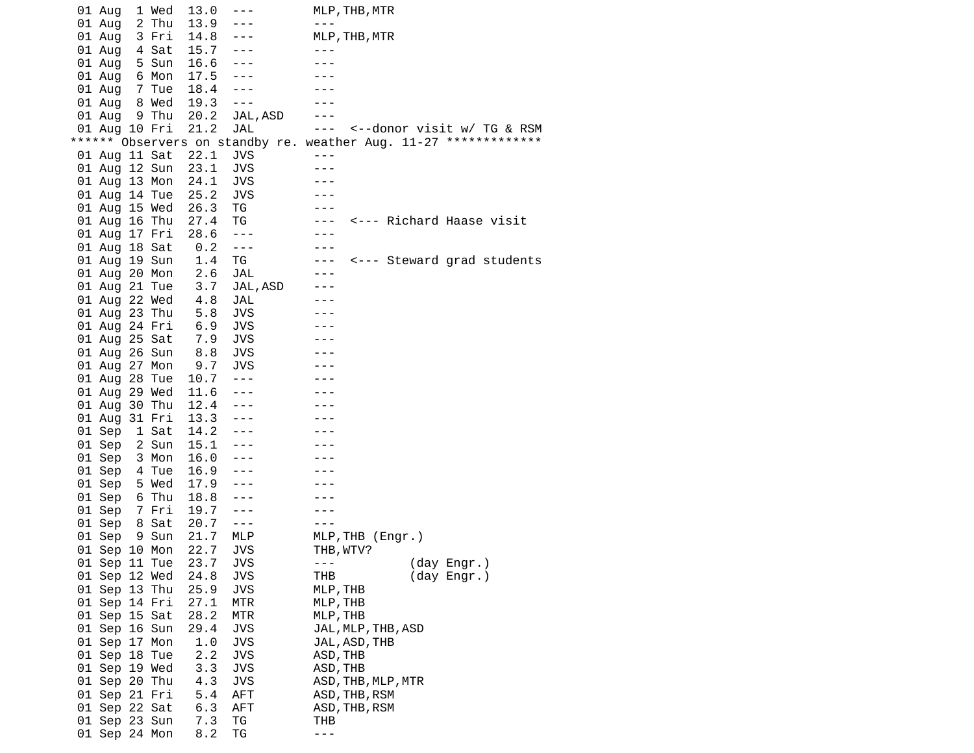| 01 Aug        | 1 Wed  | 13.0 | ---        | MLP, THB, MTR                                                     |
|---------------|--------|------|------------|-------------------------------------------------------------------|
| 01 Aug        | 2 Thu  | 13.9 | ---        | $- - -$                                                           |
| 01 Aug        | 3 Fri  | 14.8 | $- - -$    | MLP, THB, MTR                                                     |
| 01 Aug        | 4 Sat  | 15.7 | $- - -$    |                                                                   |
| 01 Aug        | 5 Sun  | 16.6 | $- - -$    |                                                                   |
| 01 Aug        | 6 Mon  | 17.5 | $- - -$    |                                                                   |
| 01 Aug        | 7 Tue  | 18.4 | $- - -$    |                                                                   |
| 01 Aug        | 8 Wed  | 19.3 | ---        |                                                                   |
|               |        |      |            |                                                                   |
| 01 Aug        | 9 Thu  | 20.2 | JAL, ASD   |                                                                   |
| 01 Aug 10 Fri |        | 21.2 | <b>JAL</b> | <--donor visit w/ TG & RSM<br>$- - -$                             |
|               |        |      |            | ****** Observers on standby re. weather Aug. 11-27 ************** |
| 01 Aug 11 Sat |        | 22.1 | JVS        | $- - -$                                                           |
| 01 Aug 12 Sun |        | 23.1 | <b>JVS</b> |                                                                   |
| 01 Aug 13 Mon |        | 24.1 | <b>JVS</b> |                                                                   |
| 01 Aug 14 Tue |        | 25.2 | <b>JVS</b> |                                                                   |
| 01 Aug 15 Wed |        | 26.3 | ТG         |                                                                   |
| 01 Aug 16 Thu |        | 27.4 | ТG         | <--- Richard Haase visit<br>$- - -$                               |
| 01 Aug 17 Fri |        | 28.6 | $- - -$    |                                                                   |
| 01 Aug 18 Sat |        | 0.2  | $- - -$    | - - -                                                             |
| 01 Aug 19 Sun |        | 1.4  | ТG         | <--- Steward grad students<br>$- - -$                             |
| 01 Aug 20 Mon |        | 2.6  | JAL        | - - -                                                             |
| 01 Aug 21 Tue |        | 3.7  | JAL, ASD   |                                                                   |
| 01 Aug 22 Wed |        | 4.8  | JAL        |                                                                   |
| 01 Aug 23 Thu |        | 5.8  | JVS        |                                                                   |
| 01 Aug 24 Fri |        | 6.9  | JVS        |                                                                   |
|               |        | 7.9  | <b>JVS</b> |                                                                   |
| 01 Aug 25 Sat |        |      |            |                                                                   |
| 01 Aug 26 Sun |        | 8.8  | JVS        |                                                                   |
| 01 Aug 27 Mon |        | 9.7  | JVS        |                                                                   |
| 01 Aug 28 Tue |        | 10.7 | $- - -$    |                                                                   |
| 01 Aug 29 Wed |        | 11.6 | $- - -$    |                                                                   |
| 01 Aug        | 30 Thu | 12.4 | $- - -$    |                                                                   |
| 01 Aug 31 Fri |        | 13.3 | $- - -$    |                                                                   |
| 01 Sep        | 1 Sat  | 14.2 | $- - -$    |                                                                   |
| 01 Sep        | 2 Sun  | 15.1 | $- - -$    |                                                                   |
| 01 Sep        | 3 Mon  | 16.0 | $- - -$    |                                                                   |
| 01 Sep        | 4 Tue  | 16.9 | $- - -$    |                                                                   |
| 01 Sep        | 5 Wed  | 17.9 | ---        |                                                                   |
| 01 Sep        | 6 Thu  | 18.8 | ---        |                                                                   |
| 01 Sep        | 7 Fri  | 19.7 | $- - -$    |                                                                   |
| 01 Sep        | 8 Sat  | 20.7 | $- - -$    |                                                                   |
| 01 Sep        | 9 Sun  | 21.7 | <b>MLP</b> | MLP,THB (Engr.)                                                   |
| 01 Sep 10 Mon |        | 22.7 | JVS        | THB, WTV?                                                         |
| 01 Sep 11 Tue |        | 23.7 | <b>JVS</b> | (day Engr.)<br>$- - -$                                            |
| 01 Sep 12 Wed |        | 24.8 | <b>JVS</b> | THB<br>(day Engr.)                                                |
| 01 Sep 13 Thu |        | 25.9 | <b>JVS</b> | MLP, THB                                                          |
| 01 Sep 14 Fri |        | 27.1 | MTR        | MLP, THB                                                          |
|               |        |      |            | MLP, THB                                                          |
| 01 Sep 15 Sat |        | 28.2 | MTR        |                                                                   |
| 01 Sep 16 Sun |        | 29.4 | JVS        | JAL, MLP, THB, ASD                                                |
| 01 Sep 17 Mon |        | 1.0  | <b>JVS</b> | JAL, ASD, THB                                                     |
| 01 Sep 18 Tue |        | 2.2  | <b>JVS</b> | ASD, THB                                                          |
| 01 Sep 19 Wed |        | 3.3  | <b>JVS</b> | ASD, THB                                                          |
| 01 Sep 20 Thu |        | 4.3  | JVS        | ASD, THB, MLP, MTR                                                |
| 01 Sep 21 Fri |        | 5.4  | AFT        | ASD, THB, RSM                                                     |
| 01 Sep 22 Sat |        | 6.3  | AFT        | ASD, THB, RSM                                                     |
| 01 Sep 23 Sun |        | 7.3  | ΤG         | тнв                                                               |
| 01 Sep 24 Mon |        | 8.2  | ΤG         | $- - -$                                                           |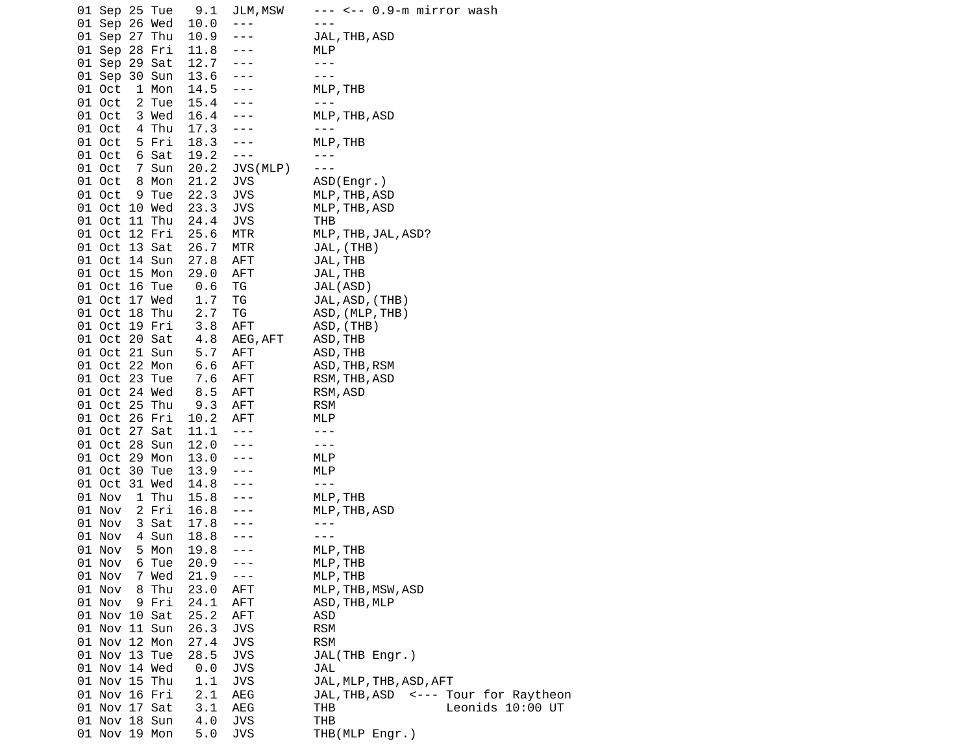| 01 Sep 25 Tue   | 9.1  | JLM, MSW             | --- <-- 0.9-m mirror wash            |
|-----------------|------|----------------------|--------------------------------------|
| 01 Sep 26 Wed   | 10.0 | $- - -$              |                                      |
| 01 Sep 27 Thu   | 10.9 | $- - -$              | JAL, THB, ASD                        |
| 01 Sep 28 Fri   | 11.8 | $- - -$              | MLP                                  |
| 01 Sep 29 Sat   | 12.7 | $- - -$              | $- - -$                              |
| 01 Sep 30 Sun   | 13.6 | $\sim$ $\sim$ $\sim$ | $- - -$                              |
| 1 Mon<br>01 Oct | 14.5 | $- - - -$            | MLP, THB                             |
| 01 Oct<br>2 Tue | 15.4 |                      | $- - -$                              |
| 01 Oct<br>3 Wed | 16.4 | $- - -$              | MLP, THB, ASD                        |
| 4 Thu<br>01 Oct | 17.3 | $- - - -$            |                                      |
| 01 Oct<br>5 Fri | 18.3 | $- - -$              | MLP, THB                             |
| 01 Oct<br>6 Sat | 19.2 | $- - -$              | $- - -$                              |
| 7 Sun<br>01 Oct | 20.2 | JVS(MLP)             | $- - -$                              |
| 01 Oct<br>8 Mon | 21.2 | <b>JVS</b>           | ASD(Engr.)                           |
| 01 Oct<br>9 Tue | 22.3 | <b>JVS</b>           | MLP, THB, ASD                        |
| 01 Oct 10 Wed   | 23.3 | JVS                  | MLP, THB, ASD                        |
| 01 Oct 11 Thu   | 24.4 | JVS                  | THB                                  |
| 01 Oct 12 Fri   | 25.6 | MTR                  | MLP, THB, JAL, ASD?                  |
| 01 Oct 13 Sat   | 26.7 | MTR                  | JAL, (THB)                           |
| 01 Oct 14 Sun   | 27.8 | AFT                  | JAL, THB                             |
| 01 Oct 15 Mon   | 29.0 | AFT                  | JAL, THB                             |
| 01 Oct 16 Tue   | 0.6  | ТG                   | JAL(ASD)                             |
| 01 Oct 17 Wed   | 1.7  | TG                   | JAL, ASD, (THB)                      |
| 01 Oct 18 Thu   | 2.7  | ΤG                   | ASD, (MLP, THB)                      |
| 01 Oct 19 Fri   | 3.8  | AFT                  | ASD, (THB)                           |
| 01 Oct 20 Sat   | 4.8  | AEG, AFT             | ASD, THB                             |
| 01 Oct 21 Sun   | 5.7  | AFT                  | ASD, THB                             |
| 01 Oct 22 Mon   | 6.6  | AFT                  |                                      |
| 01 Oct 23 Tue   | 7.6  |                      | ASD, THB, RSM<br>RSM, THB, ASD       |
| 01 Oct 24 Wed   |      | AFT                  |                                      |
| 01 Oct 25 Thu   | 8.5  | AFT<br>AFT           | RSM, ASD<br><b>RSM</b>               |
|                 | 9.3  |                      |                                      |
| 01 Oct 26 Fri   | 10.2 | AFT                  | MLP                                  |
| 01 Oct 27 Sat   | 11.1 | $\sim$ $\sim$ $\sim$ | $- - -$                              |
| 01 Oct 28 Sun   | 12.0 | $- - - -$            | $- - -$                              |
| 01 Oct 29 Mon   | 13.0 | $- - -$              | MLP                                  |
| 01 Oct 30 Tue   | 13.9 |                      | MLP                                  |
| 01 Oct 31 Wed   | 14.8 | $- - -$              | $- - -$                              |
| 01 Nov<br>1 Thu | 15.8 | $- - -$              | MLP, THB                             |
| 2 Fri<br>01 Nov | 16.8 | $- - -$              | MLP, THB, ASD                        |
| 01 Nov<br>3 Sat | 17.8 | ---                  | ---                                  |
| 01 Nov<br>4 Sun | 18.8 |                      | $- - -$                              |
| 01 Nov<br>5 Mon | 19.8 | $- - -$              | MLP, THB                             |
| 01 Nov<br>6 Tue | 20.9 |                      | MLP, THB                             |
| 01 Nov<br>7 Wed | 21.9 | $- - -$              | MLP, THB                             |
| 01 Nov<br>8 Thu | 23.0 | AFT                  | MLP, THB, MSW, ASD                   |
| 01 Nov<br>9 Fri | 24.1 | AFT                  | ASD, THB, MLP                        |
| 01 Nov 10 Sat   | 25.2 | AFT                  | ASD                                  |
| 01 Nov 11 Sun   | 26.3 | <b>JVS</b>           | <b>RSM</b>                           |
| 01 Nov 12 Mon   | 27.4 | <b>JVS</b>           | <b>RSM</b>                           |
| 01 Nov 13 Tue   | 28.5 | <b>JVS</b>           | JAL(THB Engr.)                       |
| 01 Nov 14 Wed   | 0.0  | <b>JVS</b>           | JAL                                  |
| 01 Nov 15 Thu   | 1.1  | <b>JVS</b>           | JAL, MLP, THB, ASD, AFT              |
| 01 Nov 16 Fri   | 2.1  | AEG                  | JAL, THB, ASD <--- Tour for Raytheon |
| 01 Nov 17 Sat   | 3.1  | AEG                  | Leonids 10:00 UT<br>THB              |
| 01 Nov 18 Sun   | 4.0  | <b>JVS</b>           | <b>THB</b>                           |
| 01 Nov 19 Mon   | 5.0  | <b>JVS</b>           | THB(MLP Engr.)                       |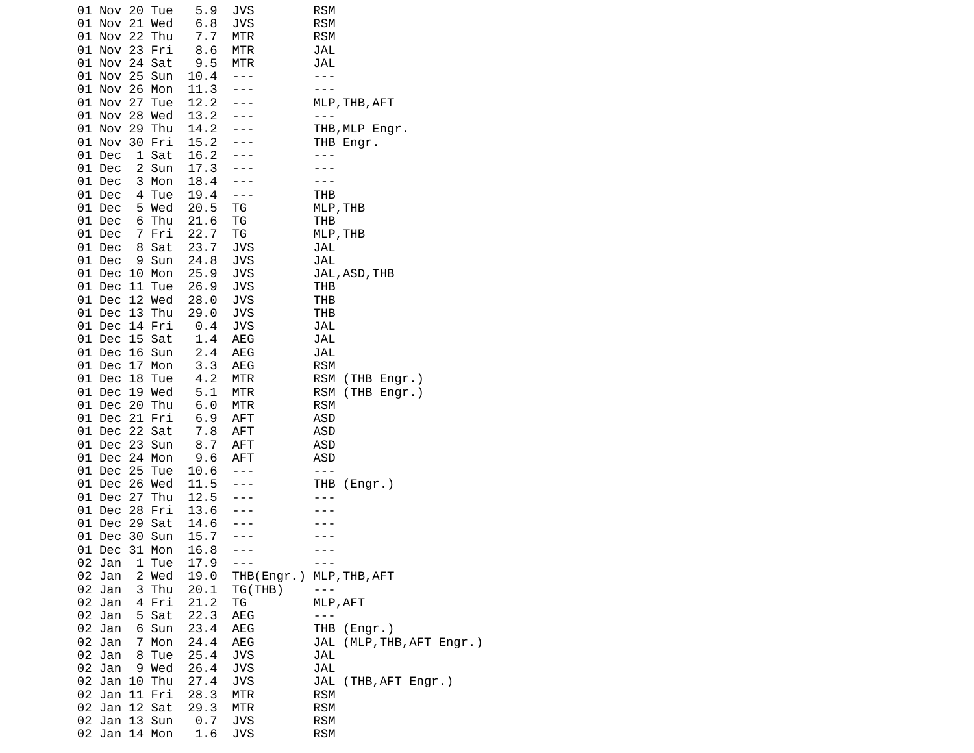|    | 01 Nov 20 Tue                  |        | 5.9          | JVS               | <b>RSM</b>                            |
|----|--------------------------------|--------|--------------|-------------------|---------------------------------------|
|    | 01 Nov 21 Wed<br>01 Nov 22 Thu |        | 6.8<br>7.7   | JVS               | <b>RSM</b>                            |
|    | 01 Nov 23 Fri                  |        |              | MTR               | <b>RSM</b>                            |
|    |                                |        | 8.6          | MTR               | JAL                                   |
|    | 01 Nov 24 Sat<br>01 Nov 25 Sun |        | 9.5<br>10.4  | MTR<br>$- - -$    | JAL<br>---                            |
|    | 01 Nov 26 Mon                  |        | 11.3         | $- - -$           | $- - -$                               |
|    | 01 Nov 27 Tue                  |        | 12.2         | $- - -$           | MLP, THB, AFT                         |
|    | 01 Nov 28 Wed                  |        | 13.2         |                   | - - -                                 |
|    | 01 Nov 29 Thu                  |        | 14.2         |                   | THB,MLP Engr.                         |
|    | 01 Nov 30 Fri                  |        | 15.2         |                   | THB Engr.                             |
|    | 01 Dec                         | 1 Sat  | 16.2         |                   | - - -                                 |
|    | 01 Dec                         | 2 Sun  | 17.3         |                   |                                       |
|    | 01 Dec                         | 3 Mon  | 18.4         |                   |                                       |
|    | 01 Dec                         | 4 Tue  | 19.4         | $- - -$           | THB                                   |
|    | 01 Dec                         | 5 Wed  | 20.5         | ΤG                | MLP, THB                              |
|    | 01 Dec                         | 6 Thu  | 21.6         | TG                | THB                                   |
|    | 01 Dec                         | 7 Fri  | 22.7         | ΤG                | MLP, THB                              |
|    | 01 Dec                         | 8 Sat  | 23.7         | <b>JVS</b>        | JAL                                   |
|    | 01 Dec                         | 9 Sun  | 24.8         | <b>JVS</b>        | JAL                                   |
|    | 01 Dec 10 Mon                  |        | 25.9         | <b>JVS</b>        | JAL, ASD, THB                         |
|    | 01 Dec 11 Tue                  |        | 26.9         | <b>JVS</b>        | <b>THB</b>                            |
|    | 01 Dec 12 Wed                  |        | 28.0         | <b>JVS</b>        | THB                                   |
|    | 01 Dec 13 Thu                  |        | 29.0         | <b>JVS</b>        | THB                                   |
|    | 01 Dec 14 Fri                  |        | 0.4          | <b>JVS</b>        | JAL                                   |
|    | 01 Dec 15 Sat                  |        | 1.4          | AEG               | JAL                                   |
|    | 01 Dec 16 Sun                  |        | 2.4          | AEG               | JAL                                   |
|    | 01 Dec 17 Mon                  |        | 3.3          | AEG               | <b>RSM</b>                            |
|    | 01 Dec 18 Tue                  |        | 4.2          | MTR               | <b>RSM</b><br>(THB Engr.)             |
|    | 01 Dec 19 Wed                  |        | 5.1          | MTR               | (THB Engr.)<br>RSM                    |
|    | 01 Dec 20 Thu                  |        | 6.0          | MTR               | <b>RSM</b>                            |
|    | 01 Dec 21 Fri                  |        | 6.9          | <b>AFT</b>        | <b>ASD</b>                            |
|    | 01 Dec 22 Sat                  |        | 7.8          | AFT               | <b>ASD</b>                            |
|    | 01 Dec 23 Sun                  |        | 8.7          | <b>AFT</b>        | ASD                                   |
|    | 01 Dec 24 Mon                  |        | 9.6          | AFT               | <b>ASD</b>                            |
|    | 01 Dec 25 Tue                  |        | 10.6         | $- - -$           | $- - -$                               |
|    | 01 Dec 26 Wed                  |        | 11.5         | $- - -$           | THB (Engr.)                           |
|    | 01 Dec 27 Thu                  |        | 12.5         |                   |                                       |
|    | 01 Dec 28 Fri                  |        | 13.6         |                   |                                       |
|    | 01 Dec 29 Sat                  |        | 14.6         |                   |                                       |
|    | 01 Dec 30 Sun                  |        | 15.7         |                   |                                       |
|    | 01 Dec 31                      | Mon    | 16.8         |                   |                                       |
|    | 02 Jan                         | 1 Tue  | 17.9         | $- - -$           |                                       |
|    | 02 Jan                         | 2 Wed  | 19.0         | THB(Engr.)        | MLP, THB, AFT                         |
|    | 02 Jan                         | 3 Thu  | 20.1         | TG(THB)           | ---                                   |
|    | 02 Jan                         | 4 Fri  | 21.2         | ΤG                | MLP, AFT                              |
| 02 | Jan                            | 5 Sat  | 22.3         | AEG               | $- - -$                               |
|    | 02 Jan                         | 6 Sun  | 23.4         | AEG               | THB (Engr.)                           |
|    | 02 Jan                         | 7 Mon  | 24.4         | AEG               | JAL (MLP, THB, AFT Engr.)             |
|    | 02 Jan                         | 8 Tue  | 25.4         | <b>JVS</b>        | JAL                                   |
| 02 | Jan                            | 9 Wed  | 26.4         | <b>JVS</b>        | JAL                                   |
|    | 02 Jan 10 Thu<br>02 Jan        | 11 Fri | 27.4<br>28.3 | <b>JVS</b><br>MTR | JAL<br>(THB, AFT Engr.)<br><b>RSM</b> |
|    | 02 Jan 12 Sat                  |        | 29.3         | MTR               | <b>RSM</b>                            |
|    | 02 Jan 13 Sun                  |        | 0.7          | <b>JVS</b>        | <b>RSM</b>                            |
|    | 02 Jan 14 Mon                  |        | 1.6          | JVS               | <b>RSM</b>                            |
|    |                                |        |              |                   |                                       |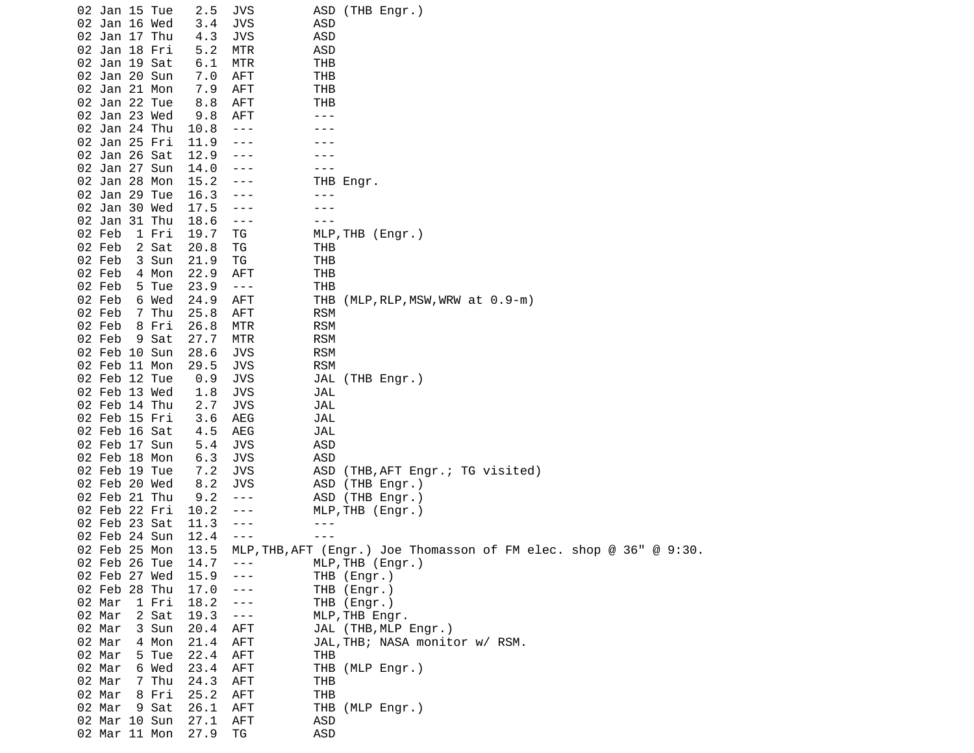| 02 Jan 15 Tue |       | 2.5  | JVS        |            | ASD (THB Engr.)                                                   |
|---------------|-------|------|------------|------------|-------------------------------------------------------------------|
| 02 Jan 16 Wed |       | 3.4  | <b>JVS</b> | ASD        |                                                                   |
| 02 Jan 17 Thu |       | 4.3  | <b>JVS</b> | <b>ASD</b> |                                                                   |
| 02 Jan 18 Fri |       | 5.2  | MTR        | ASD        |                                                                   |
|               |       |      |            |            |                                                                   |
| 02 Jan 19 Sat |       | 6.1  | MTR        | <b>THB</b> |                                                                   |
| 02 Jan 20 Sun |       | 7.0  | <b>AFT</b> | THB        |                                                                   |
| 02 Jan 21 Mon |       | 7.9  | <b>AFT</b> | <b>THB</b> |                                                                   |
| 02 Jan 22 Tue |       | 8.8  | <b>AFT</b> | <b>THB</b> |                                                                   |
| 02 Jan 23 Wed |       | 9.8  | <b>AFT</b> | ---        |                                                                   |
| 02 Jan 24 Thu |       | 10.8 | $- - -$    |            |                                                                   |
| 02 Jan 25 Fri |       | 11.9 |            |            |                                                                   |
| 02 Jan 26 Sat |       | 12.9 | ---        |            |                                                                   |
| 02 Jan 27 Sun |       | 14.0 | - - -      | - - -      |                                                                   |
| 02 Jan 28 Mon |       | 15.2 | ---        |            | THB Engr.                                                         |
| 02 Jan 29 Tue |       | 16.3 | - - -      | - - -      |                                                                   |
| 02 Jan 30 Wed |       | 17.5 | - - -      |            |                                                                   |
| 02 Jan 31 Thu |       | 18.6 | $- - -$    | $- - -$    |                                                                   |
| 02 Feb        | 1 Fri | 19.7 | ΤG         |            | MLP, THB (Engr.)                                                  |
| 02 Feb        | 2 Sat | 20.8 | ΤG         | THB        |                                                                   |
| 02 Feb        | 3 Sun | 21.9 | ΤG         | THB        |                                                                   |
| 02 Feb        | 4 Mon | 22.9 | <b>AFT</b> | <b>THB</b> |                                                                   |
| 02 Feb        | 5 Tue | 23.9 | $- - -$    | <b>THB</b> |                                                                   |
| 02 Feb        | 6 Wed | 24.9 | AFT        | THB        | $(MLP, RLP, MSW, WRW at 0.9-m)$                                   |
| 02 Feb        | 7 Thu | 25.8 | <b>AFT</b> | <b>RSM</b> |                                                                   |
| 02 Feb        | 8 Fri | 26.8 | MTR        | <b>RSM</b> |                                                                   |
| 02 Feb        | 9 Sat | 27.7 | MTR        | <b>RSM</b> |                                                                   |
| 02 Feb 10 Sun |       | 28.6 | <b>JVS</b> | <b>RSM</b> |                                                                   |
| 02 Feb 11 Mon |       |      |            | <b>RSM</b> |                                                                   |
| 02 Feb 12 Tue |       | 29.5 | <b>JVS</b> |            |                                                                   |
|               |       | 0.9  | <b>JVS</b> |            | JAL (THB Engr.)                                                   |
| 02 Feb 13 Wed |       | 1.8  | JVS        | JAL        |                                                                   |
| 02 Feb 14 Thu |       | 2.7  | <b>JVS</b> | JAL        |                                                                   |
| 02 Feb 15 Fri |       | 3.6  | AEG        | JAL        |                                                                   |
| 02 Feb 16 Sat |       | 4.5  | AEG        | JAL        |                                                                   |
| 02 Feb 17 Sun |       | 5.4  | <b>JVS</b> | ASD        |                                                                   |
| 02 Feb 18 Mon |       | 6.3  | <b>JVS</b> | <b>ASD</b> |                                                                   |
| 02 Feb 19 Tue |       | 7.2  | <b>JVS</b> | ASD        | (THB, AFT Engr.; TG visited)                                      |
| 02 Feb 20 Wed |       | 8.2  | JVS        |            | ASD (THB Engr.)                                                   |
| 02 Feb 21 Thu |       | 9.2  | $- - -$    |            | ASD (THB Engr.)                                                   |
| 02 Feb 22 Fri |       | 10.2 | - - -      |            | MLP, THB (Engr.)                                                  |
| 02 Feb 23 Sat |       | 11.3 | ---        | $- - -$    |                                                                   |
| 02 Feb 24 Sun |       | 12.4 | $- - -$    | ---        |                                                                   |
| 02 Feb 25 Mon |       | 13.5 |            |            | MLP, THB, AFT (Engr.) Joe Thomasson of FM elec. shop @ 36" @ 9:30 |
| 02 Feb 26 Tue |       | 14.7 | $- - -$    |            | MLP, THB (Engr.)                                                  |
| 02 Feb 27 Wed |       | 15.9 | - - -      |            | THB (Engr.)                                                       |
| 02 Feb 28 Thu |       | 17.0 | $- - -$    |            | THB (Engr.)                                                       |
| 02 Mar        | 1 Fri | 18.2 | ---        |            | THB (Engr.)                                                       |
| 02 Mar        | 2 Sat | 19.3 | $- - -$    |            | MLP, THB Engr.                                                    |
| 02 Mar        | 3 Sun | 20.4 | <b>AFT</b> |            | JAL (THB, MLP Engr.)                                              |
| 02 Mar        | 4 Mon | 21.4 | <b>AFT</b> |            | JAL, THB; NASA monitor w/ RSM.                                    |
| 02 Mar        | 5 Tue | 22.4 | AFT        | THB        |                                                                   |
| 02 Mar        | 6 Wed | 23.4 | <b>AFT</b> |            | THB (MLP Engr.)                                                   |
| 02 Mar        | 7 Thu | 24.3 | AFT        | THB        |                                                                   |
| 02 Mar        | 8 Fri | 25.2 | AFT        | <b>THB</b> |                                                                   |
| 02 Mar        | 9 Sat | 26.1 | <b>AFT</b> |            | THB (MLP Engr.)                                                   |
| 02 Mar 10 Sun |       | 27.1 | AFT        | ASD        |                                                                   |
| 02 Mar 11 Mon |       | 27.9 | ΤG         | <b>ASD</b> |                                                                   |
|               |       |      |            |            |                                                                   |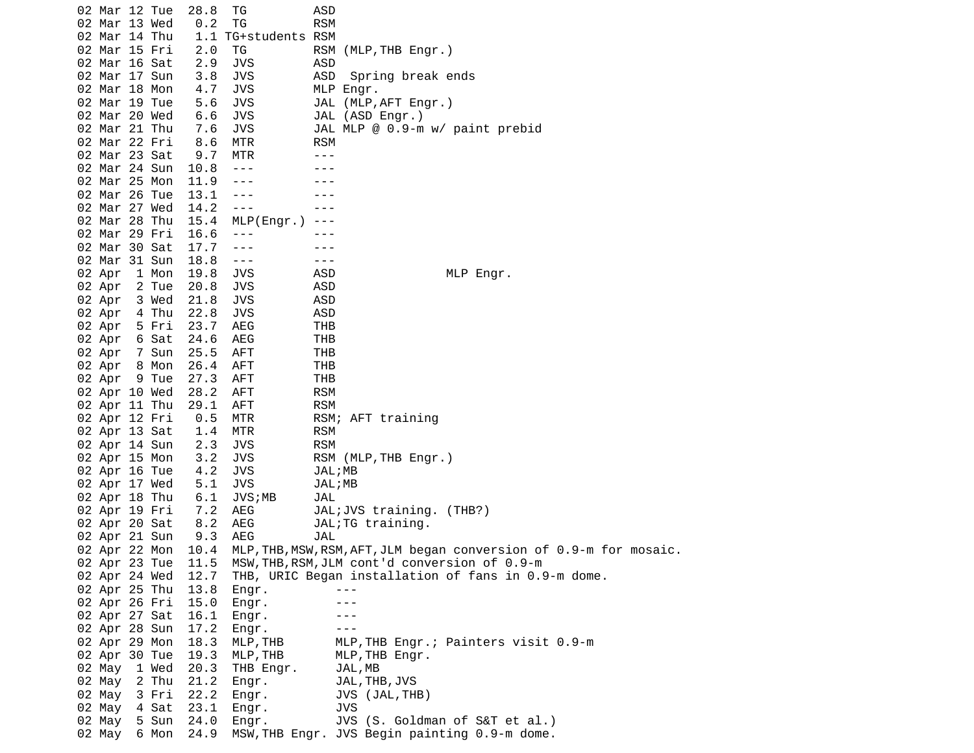02 Mar 12 Tue 28.8 TG ASD 02 Mar 13 Wed 0.2 TG RSM 02 Mar 14 Thu 1.1 TG+students RSM 02 Mar 15 Fri 2.0 TG RSM (MLP,THB Engr.)<br>02 Mar 16 Sat 2.9 JVS ASD 02 Mar 16 Sat 2.9 JVS ASD 02 Mar 17 Sun 3.8 JVS ASD Spring break ends 02 Mar 18 Mon 4.7 JVS 02 Mar 19 Tue 5.6 JVS JAL (MLP,AFT Engr.) 02 Mar 20 Wed 6.6 JVS JAL (ASD Engr.) 02 Mar 21 Thu 7.6 JVS JAL MLP @ 0.9-m w/ paint prebid 02 Mar 22 Fri 8.6 MTR RSM 02 Mar 23 Sat 9.7 MTR ---02 Mar 24 Sun 10.8 --- -- ---02 Mar 25 Mon 11.9 --- - ---02 Mar 26 Tue 13.1 --- -- ---02 Mar 27 Wed 14.2 --- -- --- 02 Mar 28 Thu 15.4 MLP(Engr.) --- 02 Mar 29 Fri 16.6 --- - ---02 Mar 30 Sat 17.7 --- -- ---02 Mar 31 Sun 18.8 --- -- ---02 Apr 1 Mon 19.8 JVS ASD MLP Engr. 02 Apr 2 Tue 20.8 JVS ASD 02 Apr 3 Wed 21.8 JVS ASD 02 Apr 4 Thu 22.8 JVS ASD 02 Apr 5 Fri 23.7 AEG THB 02 Apr 6 Sat 24.6 AEG THB 02 Apr 7 Sun 25.5 AFT THB 02 Apr 8 Mon 26.4 AFT 02 Apr 9 Tue 27.3 AFT THB 02 Apr 10 Wed 28.2 AFT RSM 02 Apr 11 Thu 02 Apr 12 Fri 0.5 MTR RSM; AFT training 02 Apr 13 Sat 1.4 MTR RSM 02 Apr 14 Sun 2.3 JVS RSM 02 Apr 15 Mon 3.2 JVS RSM (MLP, THB Engr.) 02 Apr 16 Tue 4.2 JVS JAL;MB 02 Apr 17 Wed 5.1 JVS JAL;MB 02 Apr 18 Thu 6.1 JVS;MB JAL JAL;JVS training. (THB?) 02 Apr 20 Sat 8.2 AEG JAL;TG training.<br>02 Apr 21 Sun 9.3 AEG JAL 02 Apr 21 Sun 9.3 AEG JAL 02 Apr 22 Mon 10.4 MLP,THB,MSW,RSM,AFT,JLM began conversion of 0.9-m for mosaic.<br>02 Apr 23 Tue 11.5 MSW,THB,RSM,JLM cont'd conversion of 0.9-m 02 Apr 23 Tue 11.5 MSW,THB,RSM,JLM cont'd conversion of 0.9-m 02 Apr 24 Wed 12.7 THB, URIC Began installation of fans in 0.9-m dome. 02 Apr 25 Thu 13.8 Engr. --- 02 Apr 26 Fri 15.0 Engr. --- 02 Apr 27 Sat 16.1 Engr. ---02 Apr 28 Sun 17.2 Engr. --- 02 Apr 29 Mon 18.3 MLP,THB MLP,THB Engr.; Painters visit 0.9-m 02 Apr 30 Tue 19.3 MLP, THB MLP, THB Engr. 02 May 1 Wed 20.3 THB Engr. JAL,MB 02 May 2 Thu 21.2 Engr. JAL,THB,JVS 02 May 3 Fri 22.2 Engr. JVS (JAL,THB)<br>02 May 4 Sat 23.1 Engr. JVS 02 May 4 Sat 23.1 Engr. 02 May 5 Sun 24.0 Engr. JVS (S. Goldman of S&T et al.) 02 May 6 Mon 24.9 MSW,THB Engr. JVS Begin painting 0.9-m dome.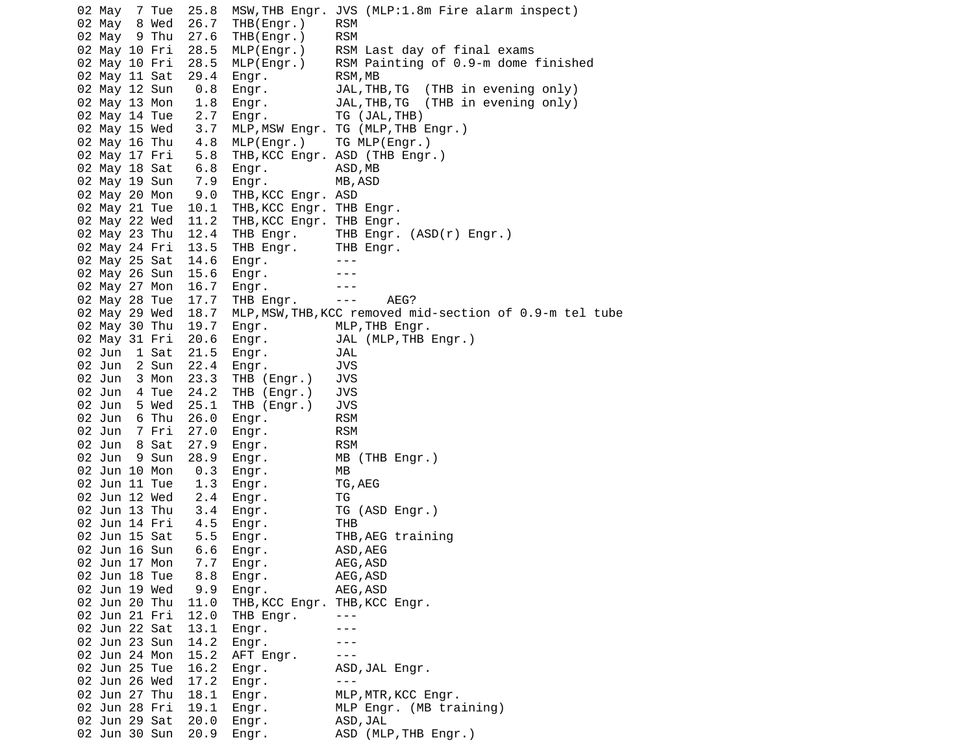02 May 7 Tue 25.8 MSW,THB Engr. JVS (MLP:1.8m Fire alarm inspect) 02 May 8 Wed 26.7 THB(Engr.) RSM 02 May 9 Thu 27.6 THB(Engr.) RSM 02 May 10 Fri 28.5 MLP(Engr.) RSM Last day of final exams RSM Painting of  $0.9$ -m dome finished 02 May 11 Sat 29.4 Engr. RSM,MB 0.8 Engr. JAL,THB,TG (THB in evening only) 02 May 13 Mon 1.8 Engr. JAL,THB,TG (THB in evening only) 02 May 14 Tue 2.7 Engr. TG (JAL, THB) 02 May 15 Wed 3.7 MLP,MSW Engr. TG (MLP,THB Engr.)<br>02 May 16 Thu 4.8 MLP(Engr.) TG MLP(Engr.) 02 May 16 Thu  $4.8$  MLP(Engr.) 02 May 17 Fri 5.8 THB,KCC Engr. ASD (THB Engr.) 02 May 18 Sat 6.8 Engr. ASD,MB 02 May 19 Sun 7.9 Engr. MB,ASD 02 May 20 Mon 9.0 THB,KCC Engr. ASD 02 May 21 Tue 10.1 THB, KCC Engr. THB Engr. 02 May 22 Wed 11.2 THB,KCC Engr. THB Engr. 02 May 23 Thu 12.4 THB Engr. THB Engr. (ASD(r) Engr.) 02 May 24 Fri 13.5 THB Engr. THB Engr. 02 May 25 Sat 14.6 Engr. ---02 May 26 Sun 15.6 Engr. --- 02 May 27 Mon 16.7 Engr. --- 02 May 28 Tue 17.7 THB Engr. --- AEG? 02 May 29 Wed 18.7 MLP,MSW,THB,KCC removed mid-section of 0.9-m tel tube 02 May 30 Thu 19.7 Engr. MLP, THB Engr. 02 May 31 Fri 20.6 Engr. JAL (MLP,THB Engr.) 02 Jun 1 Sat 21.5 Engr. JAL 02 Jun 2 Sun 22.4 Engr. JVS 02 Jun 3 Mon 23.3 THB (Engr.) JVS 02 Jun 4 Tue 24.2 THB (Engr.) JVS 02 Jun 5 Wed 25.1 THB (Engr.) JVS 02 Jun 6 Thu 26.0 Engr. RSM  $02$  Jun  $7$  Fri  $27.0$  Engr. 02 Jun 8 Sat 27.9 Engr. RSM<br>02 Jun 9 Sun 28.9 Engr. MB (THB Engr.) 02 Jun 9 Sun 28.9 Engr. 02 Jun 10 Mon 0.3 Engr. MB 02 Jun 11 Tue 1.3 Engr. TG,AEG 02 Jun 12 Wed 2.4 Engr. TG 02 Jun 13 Thu 3.4 Engr. TG (ASD Engr.) 02 Jun 14 Fri 4.5 Engr. THB 02 Jun 15 Sat 5.5 Engr. THB,AEG training 02 Jun 16 Sun 6.6 Engr. ASD,AEG 02 Jun 17 Mon 7.7 Engr. 02 Jun 18 Tue 8.8 Engr. AEG, ASD 02 Jun 19 Wed 9.9 Engr. AEG, ASD 02 Jun 20 Thu 11.0 THB, KCC Engr. THB, KCC Engr. 02 Jun 21 Fri 12.0 THB Engr. --- 02 Jun 22 Sat 13.1 Engr. --- 02 Jun 23 Sun 14.2 Engr. --- 02 Jun 24 Mon 15.2 AFT Engr. --- 02 Jun 25 Tue 16.2 Engr. ASD,JAL Engr. 02 Jun 26 Wed 17.2 Engr. ---02 Jun 27 Thu 18.1 Engr. MLP,MTR,KCC Engr.<br>02 Jun 28 Fri 19.1 Engr. MLP Engr. (MB training)  $02$  Jun 28 Fri 19.1 Engr. 02 Jun 29 Sat 20.0 Engr. ASD,JAL 02 Jun 30 Sun 20.9 Engr. ASD (MLP,THB Engr.)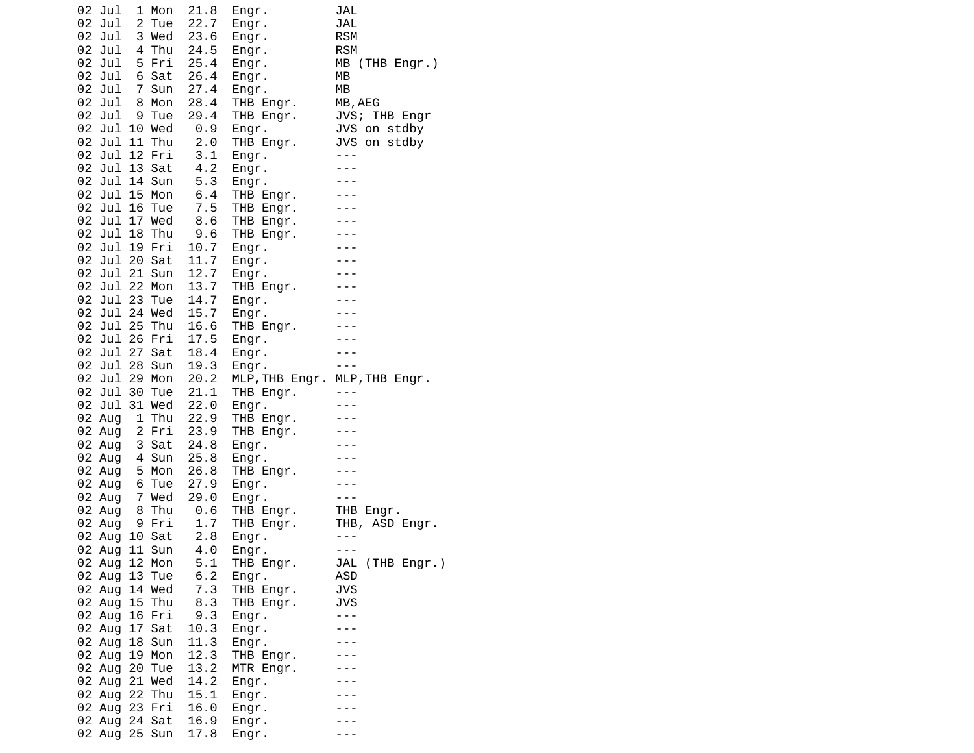| 02 Jul                         | 1 Mon          | 21.8         | Engr.                         | JAL                          |
|--------------------------------|----------------|--------------|-------------------------------|------------------------------|
| 02 Jul                         | 2 Tue          | 22.7         | Engr.                         | JAL                          |
| 02 Jul                         | 3 Wed          | 23.6         | Engr.                         | <b>RSM</b>                   |
| 02 Jul                         | 4 Thu          | 24.5         | Engr.                         | <b>RSM</b>                   |
| 02 Jul<br>02 Jul               | 5 Fri<br>6 Sat | 25.4<br>26.4 | Engr.                         | MB (THB Engr.)<br>MВ         |
| 02 Jul                         | 7 Sun          | 27.4         | Engr.<br>Engr.                | МB                           |
| 02 Jul                         | 8 Mon          | 28.4         | THB Engr.                     | MB, AEG                      |
| 02 Jul                         | 9 Tue          | 29.4         | THB Engr.                     | JVS; THB Engr                |
| 02 Jul 10 Wed                  |                | 0.9          | Engr.                         | JVS on stdby                 |
| 02 Jul 11 Thu                  |                | 2.0          | THB Engr.                     | JVS on stdby<br>JVS on stdby |
| 02 Jul 12 Fri                  |                | 3.1          | Engr.                         | $- - -$                      |
| 02 Jul 13 Sat                  |                | 4.2          | Engr.                         | $- - -$                      |
| 02 Jul 14 Sun                  |                | 5.3          | Engr.                         | $- - -$                      |
| 02 Jul 15 Mon                  |                | 6.4          | THB Engr.                     | $- - -$                      |
| 02 Jul 16 Tue<br>02 Jul 17 Wed |                | 7.5<br>8.6   | THB Engr.<br>THB Engr.        | $- - -$<br>$- - -$           |
| 02 Jul 18 Thu                  |                | 9.6          | THB Engr.                     |                              |
| 02 Jul 19 Fri                  |                | 10.7         | Engr.                         |                              |
| 02 Jul 20 Sat                  |                | 11.7         | Engr.                         |                              |
| 02 Jul 21 Sun                  |                | 12.7         | Engr.                         | $- - -$                      |
| 02 Jul 22 Mon                  |                | 13.7         | THB Engr.                     |                              |
| 02 Jul 23 Tue                  |                | 14.7         | Engr.                         |                              |
| 02 Jul 24 Wed                  |                | 15.7         | Engr.                         |                              |
| 02 Jul 25 Thu<br>02 Jul 26 Fri |                | 16.6<br>17.5 | THB Engr.                     | $- - -$<br>$- - -$           |
| 02 Jul 27 Sat                  |                | 18.4         | Engr.<br>Engr.                | $- - -$                      |
| 02 Jul 28 Sun                  |                | 19.3         | Engr.                         | $- - -$                      |
| 02 Jul 29 Mon                  |                | 20.2         | MLP, THB Engr. MLP, THB Engr. |                              |
| 02 Jul 30 Tue                  |                | 21.1         | THB Engr.                     | $- - -$                      |
| 02 Jul 31 Wed                  |                | 22.0         | Engr.                         |                              |
| 02 Aug                         | 1 Thu          | 22.9         | THB Engr.                     |                              |
| 02 Aug                         | 2 Fri          | 23.9         | THB Engr.                     |                              |
| 02 Aug                         | 3 Sat          | 24.8<br>25.8 | Engr.                         | $- - -$<br>$- - -$           |
| 02 Aug<br>02 Aug               | 4 Sun<br>5 Mon | 26.8         | Engr.<br>THB Engr.            |                              |
| 02 Aug                         | 6 Tue          | 27.9         | Engr.                         |                              |
| 02 Aug                         | 7 Wed          | 29.0         | Engr.                         | $- - -$                      |
| 02 Aug                         | 8 Thu          | 0.6          | THB Engr.                     | THB Engr.<br>THB, ASD Engr.  |
| 02 Aug                         | 9 Fri          | 1.7          | THB Engr.                     |                              |
| 02 Aug 10 Sat                  |                | 2.8          | Engr.                         |                              |
| 02 Aug                         | Sun<br>11      | 4.0          | Engr.                         | $- - -$                      |
| 02 Aug 12 Mon                  |                | 5.1          | THB Engr.                     | JAL (THB Engr.)<br>ASD       |
| 02 Aug 13 Tue<br>02 Aug 14 Wed |                | 6.2<br>7.3   | Engr.<br>THB Engr.            | <b>JVS</b>                   |
| 02 Aug                         | 15 Thu         | 8.3          | THB Engr.                     | <b>JVS</b>                   |
| 02 Aug                         | 16 Fri         | 9.3          | Engr.                         | $- - -$                      |
| 02 Aug 17 Sat                  |                | 10.3         | Engr.                         |                              |
| 02 Aug                         | 18 Sun         | 11.3         | Engr.                         |                              |
| 02 Aug                         | 19 Mon         | 12.3         | THB Engr.                     |                              |
| 02 Aug<br>20                   | Tue            | 13.2         | MTR Engr.                     |                              |
| 02 Aug 21 Wed                  |                | 14.2         | Engr.                         |                              |
| 02 Aug 22 Thu<br>02 Aug 23 Fri |                | 15.1<br>16.0 | Engr.<br>Engr.                |                              |
| 02 Aug                         | 24 Sat         | 16.9         | Engr.                         |                              |
| 02 Aug                         | 25 Sun         | 17.8         | Engr.                         |                              |
|                                |                |              |                               |                              |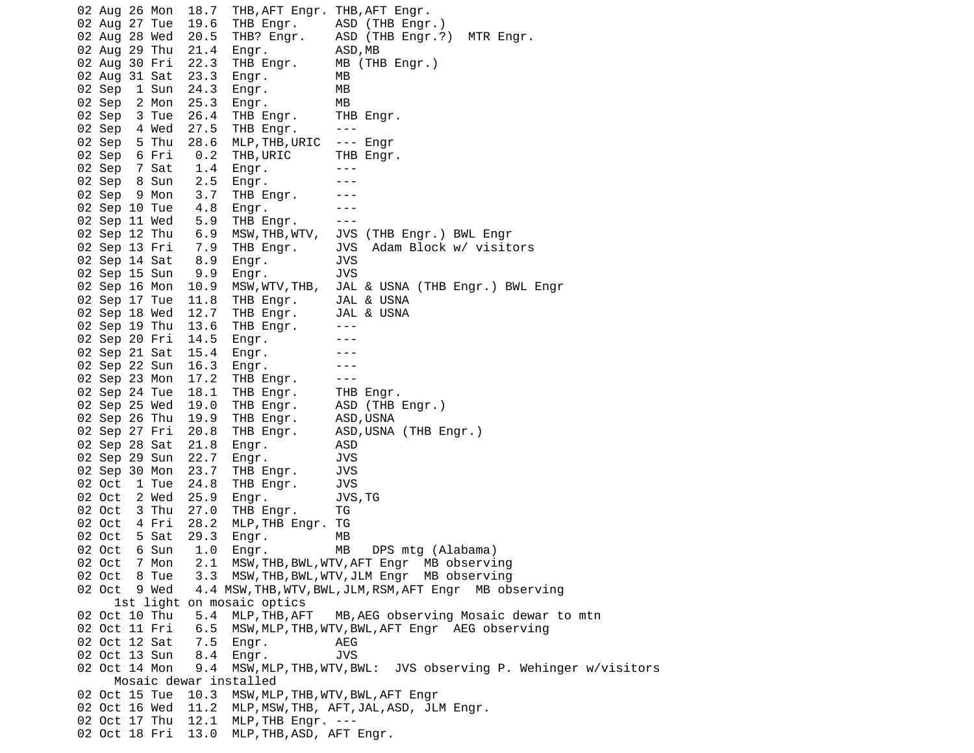02 Aug 26 Mon 18.7 THB,AFT Engr. THB,AFT Engr.<br>02 Aug 27 Tue 19.6 THB Engr. ASD (THB Engr 02 Aug 27 Tue 19.6 THB Engr. ASD (THB Engr.) 02 Aug 28 Wed 20.5 THB? Engr. ASD (THB Engr.?) MTR Engr. 02 Aug 29 Thu 21.4 Engr. ASD,MB<br>02 Aug 30 Fri 22.3 THB Engr. MB (THB Engr.) 02 Aug 30 Fri 22.3 02 Aug 31 Sat 23.3 Engr. MB 02 Sep 1 Sun 24.3 Engr. MB 02 Sep 2 Mon 25.3 Engr. MB 02 Sep 3 Tue 26.4 THB Engr. THB Engr. 02 Sep 4 Wed 27.5 THB Engr. --- 02 Sep 5 Thu 28.6 MLP,THB,URIC --- Engr 02 Sep 6 Fri 0.2 THB,URIC THB Engr. 02 Sep 7 Sat 1.4 Engr. ---  $02$  Sep 8 Sun  $2.5$  Engr. 02 Sep 9 Mon 3.7 THB Engr. ---<br>02 Sep 10 Tue 4.8 Engr. ---- 02 Sep 10 Tue 4.8 Engr. --- 02 Sep 11 Wed 5.9 THB Engr. --- 02 Sep 12 Thu 6.9 MSW,THB,WTV, JVS (THB Engr.) BWL Engr 02 Sep 13 Fri 7.9 THB Engr. JVS Adam Block w/ visitors 02 Sep 14 Sat 8.9 Engr. JVS 02 Sep 15 Sun 9.9 Engr. JVS 02 Sep 16 Mon 10.9 MSW,WTV,THB, JAL & USNA (THB Engr.) BWL Engr 02 Sep 17 Tue 11.8 THB Engr. JAL & USNA 02 Sep 18 Wed 12.7 THB Engr. JAL & USNA 02 Sep 19 Thu 13.6 THB Engr. ---02 Sep 20 Fri 14.5 Engr. --- 02 Sep 21 Sat 15.4 Engr. --- 02 Sep 22 Sun 16.3 Engr. ---02 Sep 23 Mon 17.2 THB Engr. ---<br>02 Sep 24 Tue 18.1 THB Engr. THB Engr. 02 Sep 24 Tue 18.1 THB Engr. 02 Sep 25 Wed 19.0 THB Engr. ASD (THB Engr.) 02 Sep 26 Thu 19.9 THB Engr. ASD,USNA<br>02 Sep 27 Fri 20.8 THB Engr. ASD,USNA (THB Engr.)  $02$  Sep 27 Fri 20.8 THB Engr. 02 Sep 28 Sat 21.8 Engr. ASD 02 Sep 29 Sun 22.7 Engr. JVS 02 Sep 30 Mon 23.7 THB Engr. JVS 02 Oct 1 Tue 24.8 THB Engr. JVS 02 Oct 2 Wed 25.9 Engr. JVS,TG 02 Oct 3 Thu 27.0 THB Engr. TG 02 Oct 4 Fri 28.2 MLP,THB Engr. TG 02 Oct 5 Sat 29.3 Engr. MB 02 Oct 6 Sun 1.0 Engr. MB DPS mtg (Alabama) 02 Oct 7 Mon 2.1 MSW,THB,BWL,WTV,AFT Engr MB observing 02 Oct 8 Tue 3.3 MSW,THB,BWL,WTV,JLM Engr MB observing 02 Oct 9 Wed 4.4 MSW,THB,WTV,BWL,JLM,RSM,AFT Engr MB observing 1st light on mosaic optics 02 Oct 10 Thu 5.4 MLP,THB,AFT MB,AEG observing Mosaic dewar to mtn 02 Oct 11 Fri 6.5 MSW,MLP,THB,WTV,BWL,AFT Engr AEG observing 02 Oct 12 Sat 7.5 Engr. AEG 02 Oct 13 Sun 8.4 Engr. JVS 02 Oct 14 Mon 9.4 MSW,MLP,THB,WTV,BWL: JVS observing P. Wehinger w/visitors Mosaic dewar installed 02 Oct 15 Tue 10.3 MSW,MLP,THB,WTV,BWL,AFT Engr 02 Oct 16 Wed 11.2 MLP,MSW,THB, AFT,JAL,ASD, JLM Engr. 02 Oct 17 Thu 12.1 MLP,THB Engr. --- 02 Oct 18 Fri 13.0 MLP,THB,ASD, AFT Engr.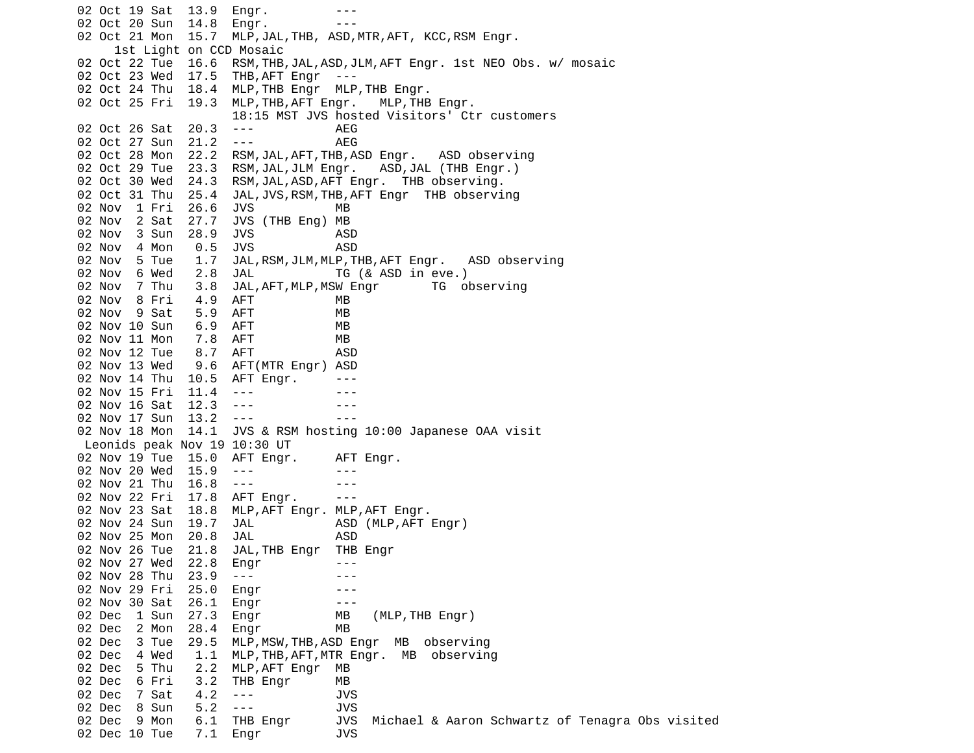02 Oct 19 Sat 13.9 Engr. ---02 Oct 20 Sun 14.8 Engr. ---02 Oct 21 Mon 15.7 MLP, JAL, THB, ASD, MTR, AFT, KCC, RSM Engr. 1st Light on CCD Mosaic 02 Oct 22 Tue 16.6 RSM,THB,JAL,ASD,JLM,AFT Engr. 1st NEO Obs. w/ mosaic 02 Oct 23 Wed 17.5 THB,AFT Engr --- 02 Oct 24 Thu 18.4 MLP,THB Engr MLP,THB Engr. 02 Oct 25 Fri 19.3 MLP,THB,AFT Engr. MLP,THB Engr. 18:15 MST JVS hosted Visitors' Ctr customers 02 Oct 26 Sat 20.3 --- AEG 02 Oct 27 Sun 21.2 --- 02 Oct 28 Mon 22.2 RSM,JAL,AFT,THB,ASD Engr. ASD observing 02 Oct 29 Tue 23.3 RSM,JAL,JLM Engr. ASD,JAL (THB Engr.) 02 Oct 30 Wed 24.3 RSM,JAL,ASD,AFT Engr. THB observing. 02 Oct 31 Thu 25.4 JAL,JVS,RSM,THB,AFT Engr THB observing 02 Nov 1 Fri 26.6 JVS MB 02 Nov 2 Sat 27.7 JVS (THB Eng) MB 02 Nov 3 Sun 28.9 JVS ASD 02 Nov 4 Mon 0.5 JVS ASD<br>02 Nov 5 Tue 1.7 JAL,RSM,JLM,MLP,T 02 Nov 5 Tue 1.7 JAL,RSM,JLM,MLP,THB,AFT Engr. ASD observing 02 Nov 6 Wed 2.8 JAL TG (& ASD in eve.) 02 Nov 7 Thu 3.8 JAL,AFT,MLP,MSW Engr TG observing 02 Nov 8 Fri 4.9 AFT MB 02 Nov 9 Sat 5.9 AFT MB 02 Nov 10 Sun 6.9 AFT MB 02 Nov 11 Mon 7.8 AFT MB 02 Nov 12 Tue 8.7 AFT ASD 02 Nov 13 Wed 9.6 AFT(MTR Engr) ASD 02 Nov 14 Thu 10.5 AFT Engr. ---02 Nov 15 Fri 11.4 --- -- -- ---02 Nov 16 Sat 12.3 ---02 Nov 17 Sun 13.2 --- 02 Nov 18 Mon 14.1 JVS & RSM hosting 10:00 Japanese OAA visit Leonids peak Nov 19 10:30 UT 02 Nov 19 Tue 15.0 AFT Engr. AFT Engr. 02 Nov 20 Wed 15.9 --- --- 02 Nov 21 Thu 16.8 --- -- -- --- 02 Nov 22 Fri 17.8 AFT Engr. --- 02 Nov 23 Sat 18.8 MLP,AFT Engr. MLP,AFT Engr. 02 Nov 24 Sun 19.7 JAL ASD (MLP, AFT Engr) 02 Nov 25 Mon 20.8 JAL ASD 02 Nov 26 Tue 21.8 JAL,THB Engr THB Engr 02 Nov 27 Wed 22.8 Engr ---02 Nov 28 Thu 23.9 --- 02 Nov 29 Fri 25.0 Engr --- 02 Nov 30 Sat 26.1 Engr 02 Dec 1 Sun 27.3 Engr MB (MLP,THB Engr)<br>02 Dec 2 Mon 28.4 Enar MB 02 Dec 2 Mon 28.4 Engr 02 Dec 3 Tue 29.5 MLP,MSW,THB,ASD Engr MB observing 02 Dec 4 Wed 1.1 MLP,THB,AFT,MTR Engr. MB observing 02 Dec 5 Thu 2.2 MLP,AFT Engr MB 02 Dec 6 Fri 3.2 THB Engr MB 02 Dec 7 Sat 4.2 --- JVS 02 Dec 8 Sun 5.2 --- 02 Dec 9 Mon 6.1 THB Engr JVS Michael & Aaron Schwartz of Tenagra Obs visited 02 Dec 10 Tue 7.1 Engr JVS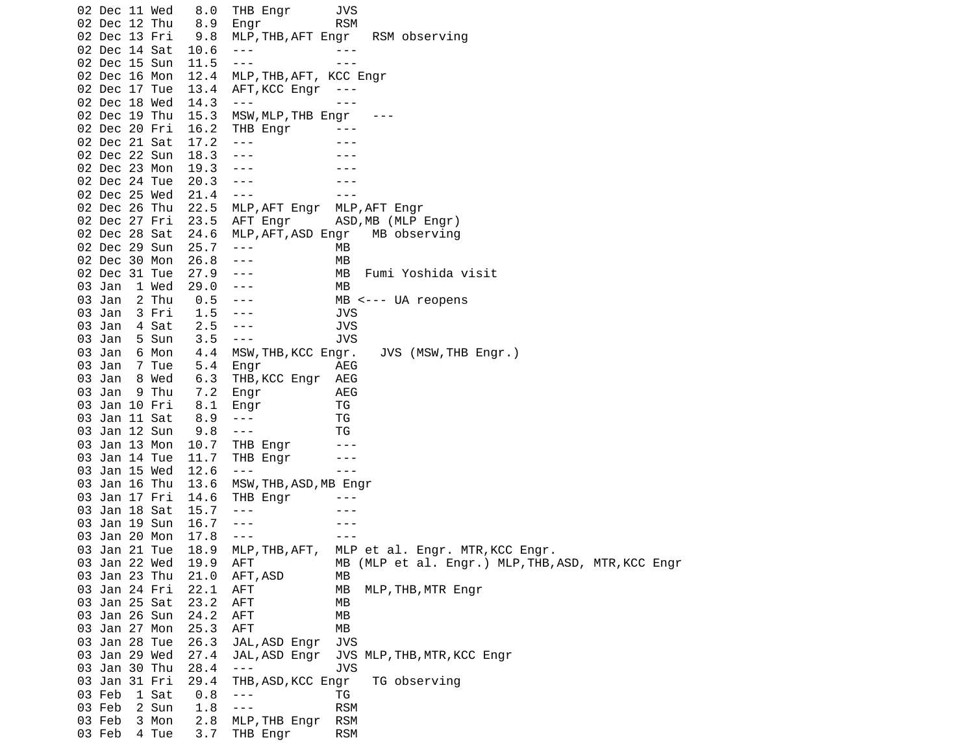02 Dec 11 Wed 8.0 THB Engr JVS 02 Dec 12 Thu 8.9 Engr RSM 02 Dec 13 Fri 9.8 MLP,THB,AFT Engr RSM observing 02 Dec 14 Sat 10.6 ---<br>02 Dec 15 Sun 11.5 --- --- --- ---02 Dec 15 Sun 11.5 ---<br>02 Dec 16 Mon 12.4 MLP MLP, THB, AFT, KCC Engr 02 Dec 17 Tue 13.4 AFT,KCC Engr --- 02 Dec 18 Wed 14.3 --- --- 02 Dec 19 Thu 15.3 MSW, MLP, THB Engr 02 Dec 20 Fri 16.2 THB Engr --- 02 Dec 21 Sat 17.2 ---02 Dec 22 Sun 18.3 ---02 Dec 23 Mon 19.3 ---<br>02 Dec 24 Tue 20.3 ---02 Dec 24 Tue 20.3 --- -- -- ---02 Dec 25 Wed 21.4 --- 02 Dec 26 Thu 22.5 MLP,AFT Engr MLP,AFT Engr 02 Dec 27 Fri 23.5 AFT Engr ASD,MB (MLP Engr) 02 Dec 28 Sat 24.6 MLP,AFT,ASD Engr MB observing 02 Dec 29 Sun 25.7 --- MB 02 Dec 30 Mon 26.8 --- MB 02 Dec 31 Tue 27.9 --- MB Fumi Yoshida visit 03 Jan 1 Wed 29.0 --- MB 03 Jan 2 Thu 0.5 --- MB <--- UA reopens 03 Jan 3 Fri 1.5 --- JVS 03 Jan 4 Sat 2.5 --- JVS 03 Jan 5 Sun 3.5 --- JVS 03 Jan 6 Mon 4.4 MSW,THB,KCC Engr. JVS (MSW,THB Engr.) 03 Jan  $7$  Tue  $5.4$  Engr 03 Jan 8 Wed 6.3 THB,KCC Engr AEG 03 Jan 9 Thu 7.2 Engr AEG 03 Jan 10 Fri 8.1 Engr TG 03 Jan 11 Sat 8.9 --- TG 03 Jan 12 Sun 9.8 --- TG 03 Jan 13 Mon 10.7 THB Engr --- 03 Jan 14 Tue 11.7 THB Engr --- 03 Jan 15 Wed 12.6 ---03 Jan 16 Thu 13.6 MSW, THB, ASD, MB Engr 03 Jan 17 Fri 14.6 THB Engr --- 03 Jan 18 Sat 15.7 --- - - --03 Jan 19 Sun 16.7 --- - -- ---03 Jan 20 Mon 17.8 --- - -- --- 03 Jan 21 Tue 18.9 MLP,THB,AFT, MLP et al. Engr. MTR,KCC Engr. AFT MB (MLP et al. Engr.) MLP, THB, ASD, MTR, KCC Engr 03 Jan 23 Thu 21.0 AFT,ASD MB 03 Jan 24 Fri 22.1 AFT MB MLP,THB,MTR Engr 03 Jan 25 Sat 23.2 AFT 03 Jan 26 Sun 24.2 AFT MB 03 Jan 27 Mon 25.3 AFT MB 03 Jan 28 Tue 26.3 JAL,ASD Engr JVS JAL, ASD Engr JVS MLP, THB, MTR, KCC Engr 03 Jan 30 Thu 28.4 --- JVS 03 Jan 31 Fri 29.4 THB,ASD,KCC Engr TG observing 03 Feb 1 Sat 0.8 --- TG 03 Feb 03 Feb 3 Mon 2.8 MLP,THB Engr RSM 03 Feb 4 Tue 3.7 THB Engr RSM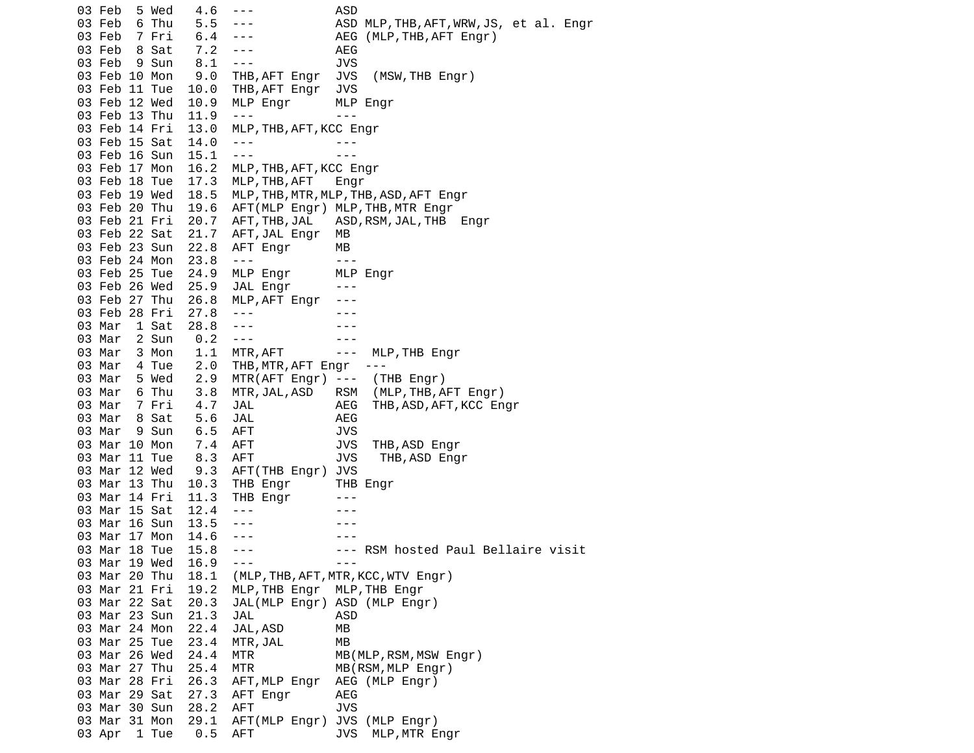03 Feb 5 Wed 4.6 --- ASD 03 Feb 6 Thu 5.5 --- ASD MLP,THB,AFT,WRW,JS, et al. Engr 03 Feb 7 Fri 6.4 --- AEG (MLP,THB,AFT Engr) 03 Feb 8 Sat 7.2 --- AEG 03 Feb 9 Sun 8.1 --- JVS 03 Feb 10 Mon 9.0 THB,AFT Engr JVS (MSW,THB Engr) 03 Feb 11 Tue 10.0 THB,AFT Engr JVS 03 Feb 12 Wed 10.9 MLP Engr MLP Engr 03 Feb 13 Thu 11.9 --- -- --- 03 Feb 14 Fri 13.0 MLP,THB,AFT,KCC Engr 03 Feb 15 Sat 14.0 --- -- ---03 Feb 16 Sun 15.1 --- -- --- 03 Feb 17 Mon 16.2 MLP,THB,AFT,KCC Engr 03 Feb 18 Tue 17.3 MLP,THB,AFT Engr 03 Feb 19 Wed 18.5 MLP,THB,MTR,MLP,THB,ASD,AFT Engr 03 Feb 20 Thu 19.6 AFT(MLP Engr) MLP,THB,MTR Engr 03 Feb 21 Fri 20.7 AFT,THB,JAL ASD,RSM,JAL,THB Engr 03 Feb 22 Sat 21.7 AFT,JAL Engr MB 03 Feb 23 Sun 22.8 AFT Engr MB 03 Feb 24 Mon 23.8 --- -- --- 03 Feb 25 Tue 24.9 MLP Engr MLP Engr 03 Feb 26 Wed 25.9 JAL Engr --- 03 Feb 27 Thu 26.8 MLP,AFT Engr --- 03 Feb 28 Fri 27.8 ---03 Mar 1 Sat 28.8 --- - - --03 Mar 2 Sun 0.2 ---03 Mar 3 Mon 1.1 MTR, AFT --- MLP, THB Engr 03 Mar 4 Tue 2.0 THB,MTR,AFT Engr --- 03 Mar 5 Wed 2.9 MTR(AFT Engr) --- (THB Engr) 03 Mar 6 Thu 3.8 MTR,JAL,ASD RSM (MLP,THB,AFT Engr) 03 Mar 7 Fri 4.7 JAL AEG THB,ASD,AFT,KCC Engr 03 Mar 8 Sat 5.6 JAL 68 AEG 03 Mar 9 Sun 6.5 AFT JVS 03 Mar 10 Mon 7.4 AFT JVS THB,ASD Engr 03 Mar 11 Tue 8.3 AFT JVS THB, ASD Engr 03 Mar 12 Wed 9.3 AFT(THB Engr) JVS 03 Mar 13 Thu 10.3 THB Engr THB Engr 03 Mar 14 Fri 11.3 THB Engr --- 03 Mar 15 Sat 12.4 --- -- -- --- 03 Mar 16 Sun 13.5 --- --- 03 Mar 17 Mon 14.6 --- - -- --03 Mar 18 Tue 15.8 --- --- RSM hosted Paul Bellaire visit<br>03 Mar 19 Wed 16.9 --- ---03 Mar 19 Wed 16.9 --- - - - -- 03 Mar 20 Thu 18.1 (MLP,THB,AFT,MTR,KCC,WTV Engr) 03 Mar 21 Fri 19.2 MLP,THB Engr MLP,THB Engr 20.3 JAL(MLP Engr) ASD (MLP Engr) 03 Mar 23 Sun 21.3 JAL 63 Mar 23 Sun 21.3 JAL 64 03 Mar 24 Mon 22.4 JAL,ASD MB 03 Mar 25 Tue 23.4 MTR,JAL MB 03 Mar 26 Wed 24.4 MTR MB(MLP, RSM, MSW Engr) 03 Mar 27 Thu 25.4 MTR MB(RSM, MLP Engr) 03 Mar 28 Fri 26.3 AFT,MLP Engr AEG (MLP Engr) 03 Mar 29 Sat 27.3 AFT Engr AEG 03 Mar 30 Sun 28.2 AFT JVS 03 Mar 31 Mon 29.1 AFT(MLP Engr) JVS (MLP Engr) 03 Apr 1 Tue 0.5 AFT JVS MLP, MTR Engr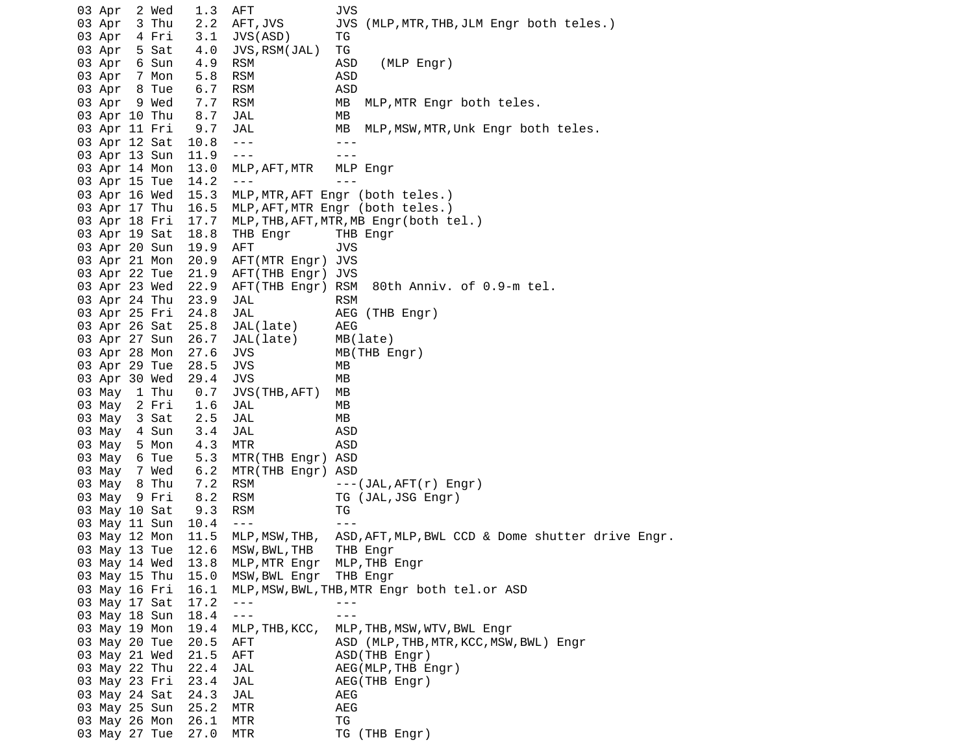03 Apr 2 Wed 1.3 AFT JVS 03 Apr 3 Thu 2.2 AFT,JVS JVS (MLP,MTR,THB,JLM Engr both teles.) 03 Apr 4 Fri 3.1 JVS(ASD) TG 03 Apr 5 Sat 4.0 JVS,RSM(JAL) TG 03 Apr 6 Sun 4.9 RSM ASD (MLP Engr) 03 Apr 7 Mon 5.8 RSM ASD 03 Apr 8 Tue 6.7 RSM 03 Apr 9 Wed 7.7 RSM MB MLP,MTR Engr both teles. 03 Apr 10 Thu 8.7 JAL MB 03 Apr 11 Fri 9.7 JAL MB MLP,MSW,MTR,Unk Engr both teles. 03 Apr 12 Sat 10.8 --- - -- --03 Apr 13 Sun 11.9 --- -- --- 03 Apr 14 Mon 13.0 MLP,AFT,MTR MLP Engr 03 Apr 15 Tue 14.2 --- 03 Apr 16 Wed 15.3 MLP,MTR,AFT Engr (both teles.) 03 Apr 17 Thu 16.5 MLP,AFT,MTR Engr (both teles.) 03 Apr 18 Fri 17.7 MLP,THB,AFT,MTR,MB Engr(both tel.) 03 Apr 19 Sat 18.8 THB Engr THB Engr 03 Apr 20 Sun 19.9 AFT JVS 03 Apr 21 Mon 20.9 AFT(MTR Engr) JVS 03 Apr 22 Tue 21.9 AFT(THB Engr) JVS 03 Apr 23 Wed 22.9 AFT(THB Engr) RSM 80th Anniv. of 0.9-m tel. 03 Apr 24 Thu 23.9 JAL RSM 03 Apr 25 Fri 24.8 JAL AEG (THB Engr) 03 Apr 26 Sat 25.8 JAL(late) AEG 03 Apr 27 Sun 26.7 JAL(late) MB(late) 03 Apr 28 Mon 27.6 JVS MB(THB Engr) 03 Apr 29 Tue 28.5 JVS MB 03 Apr 30 Wed 29.4 JVS MB 03 May 1 Thu 0.7 JVS(THB,AFT) MB 03 May 2 Fri 1.6 JAL MB 03 May 3 Sat 2.5 JAL 03 May 4 Sun 3.4 JAL 63 May 4 Sun 03 May 5 Mon 4.3 MTR ASD<br>03 May 6 Tue 5.3 MTR(THB Engr) ASD 6 Tue 5.3 MTR(THB Engr) ASD 03 May 7 Wed 6.2 MTR(THB Engr) ASD 03 May 8 Thu 7.2 RSM ---(JAL,AFT(r) Engr) 03 May 9 Fri 8.2 RSM TG (JAL,JSG Engr) 03 May 10 Sat 9.3 RSM TG 03 May 11 Sun 10.4 --- -- -- --- 03 May 12 Mon 11.5 MLP,MSW,THB, ASD,AFT,MLP,BWL CCD & Dome shutter drive Engr. 03 May 13 Tue 12.6 MSW,BWL,THB THB Engr 03 May 14 Wed 13.8 MLP,MTR Engr MLP,THB Engr 03 May 15 Thu 15.0 MSW,BWL Engr THB Engr 03 May 16 Fri 16.1 MLP,MSW,BWL,THB,MTR Engr both tel.or ASD 03 May 17 Sat 17.2 ---03 May 18 Sun 18.4 --- 03 May 19 Mon 19.4 MLP,THB,KCC, MLP,THB,MSW,WTV,BWL Engr 03 May 20 Tue 20.5 AFT ASD (MLP,THB,MTR,KCC,MSW,BWL) Engr 03 May 21 Wed 21.5 AFT ASD(THB Engr) 03 May 22 Thu 22.4 JAL **AEG(MLP, THB Engr)**  03 May 23 Fri 23.4 JAL AEG(THB Engr) 03 May 24 Sat 24.3 JAL AEG 03 May 25 Sun 25.2 MTR 03 May 26 Mon 26.1 MTR TG 03 May 27 Tue 27.0 MTR TG (THB Engr)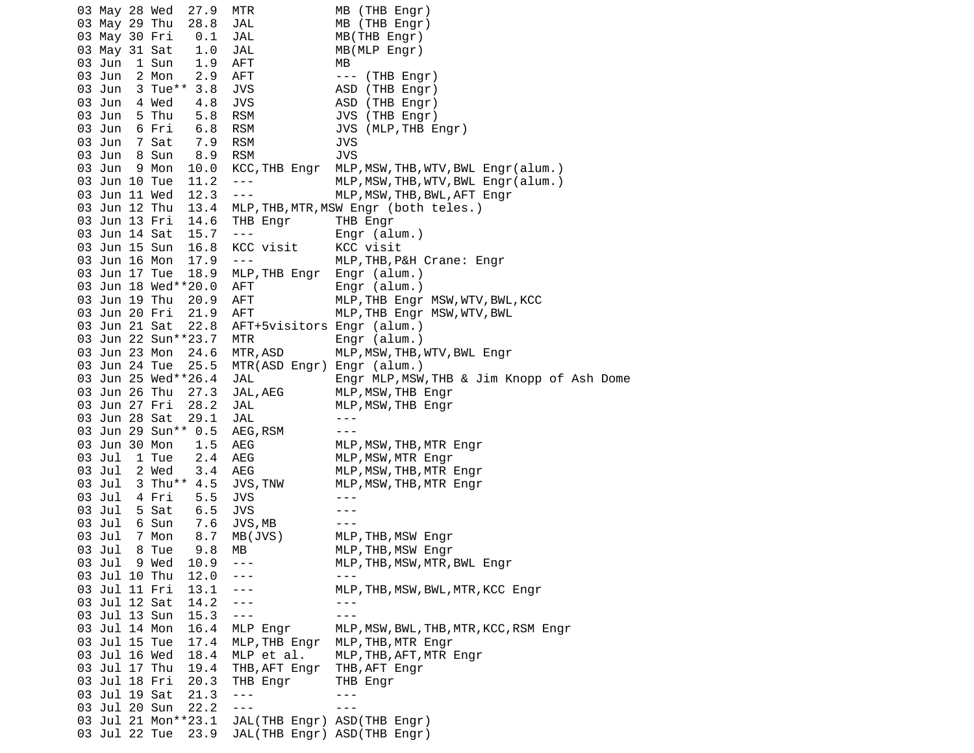03 May 28 Wed 27.9 MTR MB (THB Engr) 03 May 29 Thu 28.8 JAL MB (THB Engr) 03 May 30 Fri 0.1 JAL MB(THB Engr) 03 May 31 Sat 1.0 JAL MB(MLP Engr) 03 Jun 1 Sun 1.9 AFT MB 03 Jun 2 Mon 2.9 AFT --- (THB Engr) 03 Jun 3 Tue<sup>\*\*</sup> 3.8 JVS ASD (THB Engr) 03 Jun 4 Wed 4.8 JVS ASD (THB Engr) 03 Jun 5 Thu 5.8 RSM JVS (THB Engr) 03 Jun 6 Fri 6.8 RSM JVS (MLP,THB Engr) 03 Jun 7 Sat 7.9 RSM 03 Jun 8 Sun 8.9 RSM JVS 03 Jun 9 Mon 10.0 KCC,THB Engr MLP,MSW,THB,WTV,BWL Engr(alum.) 03 Jun 10 Tue 11.2 --- MLP,MSW,THB,WTV,BWL Engr(alum.) 03 Jun 11 Wed 12.3 --- MLP,MSW,THB,BWL,AFT Engr 03 Jun 12 Thu 13.4 MLP,THB,MTR,MSW Engr (both teles.) 03 Jun 13 Fri 14.6 THB Engr THB Engr 03 Jun 14 Sat 15.7 --- Engr (alum.) 03 Jun 15 Sun 16.8 KCC visit KCC visit 03 Jun 16 Mon 17.9 --- MLP,THB,P&H Crane: Engr 03 Jun 17 Tue 18.9 MLP,THB Engr Engr (alum.) 03 Jun 18 Wed\*\*20.0 AFT Engr (alum.) 03 Jun 19 Thu 20.9 AFT MLP, THB Engr MSW, WTV, BWL, KCC 03 Jun 20 Fri 21.9 AFT MLP,THB Engr MSW,WTV,BWL 03 Jun 21 Sat 22.8 AFT+5visitors Engr (alum.) 03 Jun 22 Sun\*\*23.7 MTR Engr (alum.) 03 Jun 23 Mon 24.6 MTR, ASD MLP, MSW, THB, WTV, BWL Engr 03 Jun 24 Tue 25.5 MTR(ASD Engr) Engr (alum.) 03 Jun 25 Wed\*\*26.4 JAL Engr MLP,MSW,THB & Jim Knopp of Ash Dome 03 Jun 26 Thu 27.3 JAL, AEG MLP, MSW, THB Engr 03 Jun 27 Fri 28.2 JAL MLP, MSW, THB Engr 03 Jun 28 Sat 29.1 JAL --- 03 Jun 29 Sun\*\* 0.5 AEG,RSM --- 03 Jun 30 Mon 1.5 AEG MLP,MSW,THB,MTR Engr 03 Jul 1 Tue 2.4 AEG MLP, MSW, MTR Engr 03 Jul 2 Wed 3.4 AEG MLP,MSW,THB,MTR Engr 03 Jul 3 Thu\*\* 4.5 JVS,TNW MLP,MSW,THB,MTR Engr 03 Jul 4 Fri 5.5 JVS --- 03 Jul 5 Sat 6.5 JVS --- 03 Jul 6 Sun 7.6 JVS,MB --- 03 Jul 7 Mon 8.7 MB(JVS) MLP,THB,MSW Engr 03 Jul 8 Tue 9.8 MB MLP,THB,MSW Engr 03 Jul 9 Wed 10.9 --- MLP,THB,MSW,MTR,BWL Engr 03 Jul 10 Thu 12.0 --- -- --- --- 03 Jul 11 Fri 13.1 --- MLP,THB,MSW,BWL,MTR,KCC Engr 03 Jul 12 Sat 14.2 ---03 Jul 13 Sun 15.3 --- - -- ---03 Jul 14 Mon 16.4 MLP Engr MLP, MSW, BWL, THB, MTR, KCC, RSM Engr 03 Jul 15 Tue 17.4 MLP,THB Engr MLP,THB,MTR Engr<br>03 Jul 16 Wed 18.4 MLP et al. MLP,THB,AFT,MTR 03 Jul 16 Wed 18.4 MLP et al. MLP,THB,AFT,MTR Engr 03 Jul 17 Thu 19.4 THB,AFT Engr THB,AFT Engr 03 Jul 18 Fri 20.3 THB Engr THB Engr 03 Jul 19 Sat 21.3 --- --- 03 Jul 20 Sun 22.2 --- --- 03 Jul 21 Mon\*\*23.1 JAL(THB Engr) ASD(THB Engr) 03 Jul 22 Tue 23.9 JAL(THB Engr) ASD(THB Engr)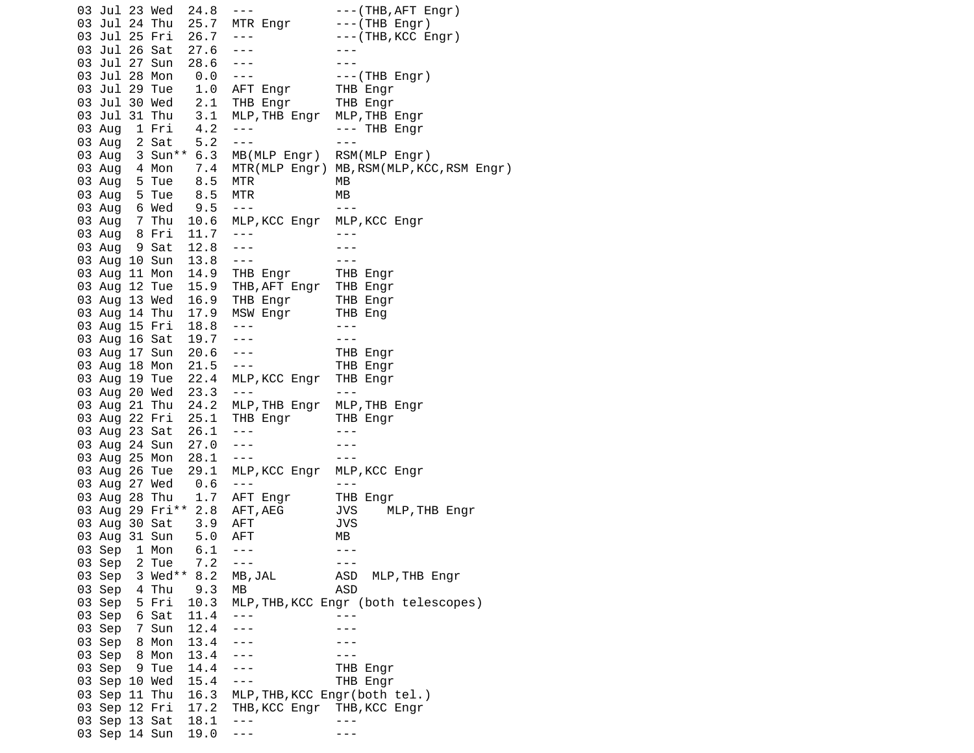03 Jul 23 Wed 24.8 --- - --- ---(THB, AFT Engr) 03 Jul 24 Thu 25.7 MTR Engr ---(THB Engr) 03 Jul 25 Fri 26.7 --- --- -----(THB, KCC Engr) 03 Jul 26 Sat 27.6 ---<br>03 Jul 27 Sun 28.6 --- --- --- --- 03 Jul 27 Sun 28.6 --- --- 03 Jul 28 Mon 0.0 --- ---(THB Engr) 03 Jul 29 Tue 1.0 AFT Engr 03 Jul 30 Wed 2.1 THB Engr THB Engr 03 Jul 31 Thu 3.1 MLP,THB Engr MLP,THB Engr 03 Aug 1 Fri 4.2 --- --- THB Engr<br>03 Aug 2 Sat 5.2 --- ---03 Aug 2 Sat 5.2 --- 03 Aug 3 Sun\*\* 6.3 MB(MLP Engr) RSM(MLP Engr) 03 Aug 4 Mon 7.4 MTR(MLP Engr) MB,RSM(MLP,KCC,RSM Engr) 03 Aug 5 Tue 8.5 MTR MB 03 Aug 5 Tue 8.5 MTR MB 03 Aug 6 Wed 9.5 --- 03 Aug 7 Thu 10.6 MLP,KCC Engr MLP,KCC Engr 03 Aug 8 Fri 11.7 --- - -- ---03 Aug 9 Sat 12.8 --- -- ---03 Aug 10 Sun 13.8 --- -- -- ---03 Aug 11 Mon 14.9 THB Engr THB Engr<br>03 Aug 12 Tue 15.9 THB,AFT Engr THB Engr 03 Aug 12 Tue 15.9 THB,AFT Engr THB Engr 03 Aug 13 Wed 16.9 THB Engr THB Engr 03 Aug 14 Thu 17.9 MSW Engr THB Eng 03 Aug 15 Fri 18.8 --- -- --- ---03 Aug 16 Sat 19.7 --- - -- --- 03 Aug 17 Sun 20.6 --- THB Engr 03 Aug 18 Mon 21.5 --- THB Engr 03 Aug 19 Tue 22.4 MLP,KCC Engr THB Engr 03 Aug 20 Wed 23.3 --- 03 Aug 21 Thu 24.2 MLP,THB Engr MLP,THB Engr 03 Aug 22 Fri 25.1 THB Engr THB Engr 03 Aug 23 Sat 26.1 --- -- ---03 Aug 24 Sun 27.0 --- -- -- ---03 Aug 25 Mon 28.1 --- -- -- --- 03 Aug 26 Tue 29.1 MLP,KCC Engr MLP,KCC Engr 03 Aug 27 Wed 0.6 --- -- -- ---03 Aug 28 Thu 1.7 AFT Engr THB Engr 03 Aug 29 Fri\*\* 2.8 AFT,AEG JVS MLP,THB Engr 03 Aug 30 Sat 3.9 AFT JVS 03 Aug 31 Sun 5.0 AFT MB 03 Sep 1 Mon 6.1 ---<br>03 Sep 2 Tue 7.2 --- --- ---03 Sep 2 Tue 7.2 ---<br>03 Sep 3 Wed\*\* 8.2 MB, 03 Sep 3 Wed<sup>\*\*</sup> 8.2 MB, JAL ASD MLP, THB Engr 03 Sep 4 Thu 9.3 MB ASD 03 Sep 5 Fri 10.3 MLP,THB,KCC Engr (both telescopes) 03 Sep 6 Sat 11.4 ---03 Sep 7 Sun 12.4 --- -- -- --- 03 Sep 8 Mon 13.4 --- --- 03 Sep 8 Mon 13.4 --- 03 Sep 9 Tue 14.4 --- THB Engr 03 Sep 10 Wed 15.4 --- THB Engr 03 Sep 11 Thu 16.3 MLP,THB,KCC Engr(both tel.) 03 Sep 12 Fri 17.2 THB, KCC Engr THB, KCC Engr 03 Sep 13 Sat 18.1 ---03 Sep 14 Sun 19.0 --- - -- ---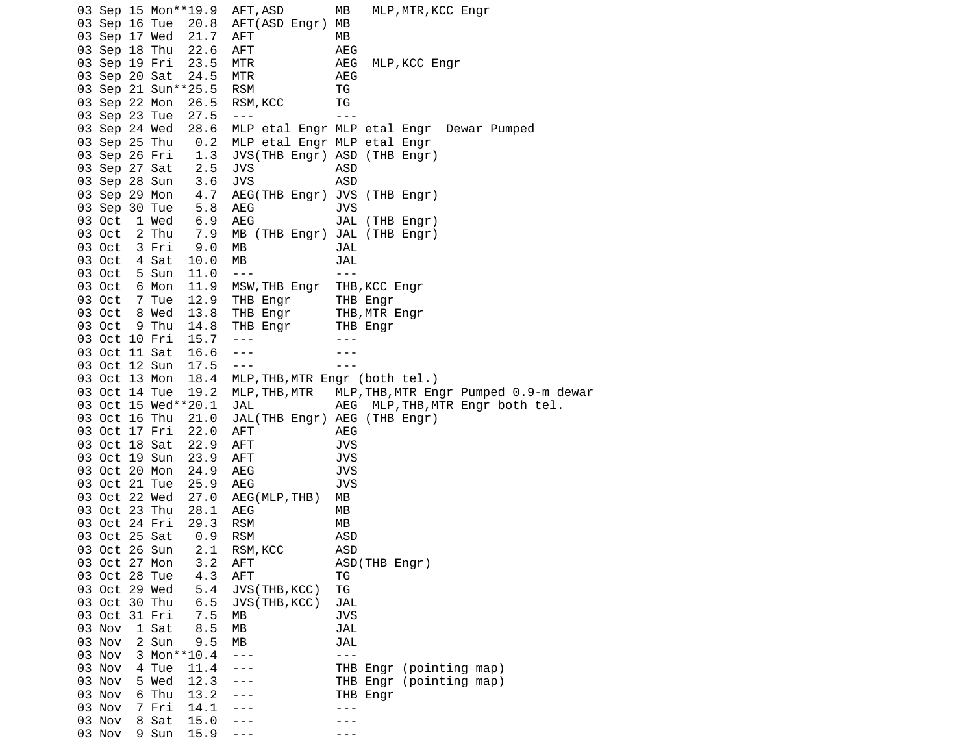03 Sep 15 Mon\*\*19.9 AFT,ASD MB MLP,MTR,KCC Engr 03 Sep 16 Tue 20.8 AFT(ASD Engr) MB 03 Sep 17 Wed 21.7 AFT MB 03 Sep 18 Thu 22.6 AFT AEG 03 Sep 19 Fri 23.5 MTR AEG MLP,KCC Engr 03 Sep 20 Sat 24.5 MTR AEG 03 Sep 21 Sun\*\*25.5 03 Sep 22 Mon 26.5 RSM, KCC TG 03 Sep 23 Tue 27.5 --- 03 Sep 24 Wed 28.6 MLP etal Engr MLP etal Engr Dewar Pumped 0.2 MLP etal Engr MLP etal Engr 03 Sep 26 Fri 1.3 JVS(THB Engr) ASD (THB Engr) 03 Sep 27 Sat 2.5 JVS ASD 03 Sep 28 Sun 3.6 JVS<br>03 Sep 29 Mon 4.7 AEG 4.7 AEG(THB Engr) JVS (THB Engr) 03 Sep 30 Tue 5.8 AEG JVS 03 Oct 1 Wed 6.9 AEG JAL (THB Engr) 7.9 MB (THB Engr) JAL (THB Engr) 03 Oct 3 Fri 9.0 MB JAL 03 Oct 4 Sat 10.0 MB JAL 03 Oct 5 Sun 11.0 --- -- ---03 Oct 6 Mon 11.9 MSW, THB Engr THB, KCC Engr 03 Oct 7 Tue 12.9 THB Engr THB Engr 03 Oct 8 Wed 13.8 THB Engr THB,MTR Engr 03 Oct 9 Thu 14.8 THB Engr THB Engr 03 Oct 10 Fri 15.7 --- -- -- ---03 Oct 11 Sat 16.6 --- -- ---03 Oct 12 Sun 17.5 --- -- --- 03 Oct 13 Mon 18.4 MLP,THB,MTR Engr (both tel.) 03 Oct 14 Tue 19.2 MLP,THB,MTR MLP,THB,MTR Engr Pumped 0.9-m dewar 03 Oct 15 Wed\*\*20.1 JAL AEG MLP,THB,MTR Engr both tel. 03 Oct 16 Thu 21.0 JAL(THB Engr) AEG (THB Engr) 03 Oct 17 Fri 22.0 AFT AEG 03 Oct 18 Sat 22.9 AFT JVS 03 Oct 19 Sun 23.9 AFT JVS 03 Oct 20 Mon 24.9 AEG 03 Oct 21 Tue 25.9 AEG JVS 03 Oct 22 Wed 27.0 AEG(MLP,THB) MB 03 Oct 23 Thu 28.1 AEG 03 Oct 24 Fri 29.3 RSM MB 03 Oct 25 Sat 0.9 RSM 03 Oct 26 Sun 2.1 RSM,KCC ASD 03 Oct 27 Mon 3.2 AFT 03 Oct 28 Tue 4.3 AFT TG 03 Oct 29 Wed 5.4 JVS(THB,KCC) TG<br>03 Oct 30 Thu 6.5 JVS(THB,KCC) JA 03 Oct 30 Thu 6.5 JVS(THB,KCC) JAL 03 Oct 31 Fri 7.5 MB JVS 03 Nov 1 Sat 8.5 MB JAL 03 Nov 2 Sun 9.5 MB JAL  $3$  Mon\*\*10.4 ---  $-$  --- 03 Nov 4 Tue 11.4 --- THB Engr (pointing map) 03 Nov 5 Wed 12.3 --- THB Engr (pointing map) 03 Nov 6 Thu 13.2 --- THB Engr 03 Nov 7 Fri 14.1 --- - --- ---03 Nov 8 Sat 15.0 --- - --03 Nov 9 Sun 15.9 --- - -- ---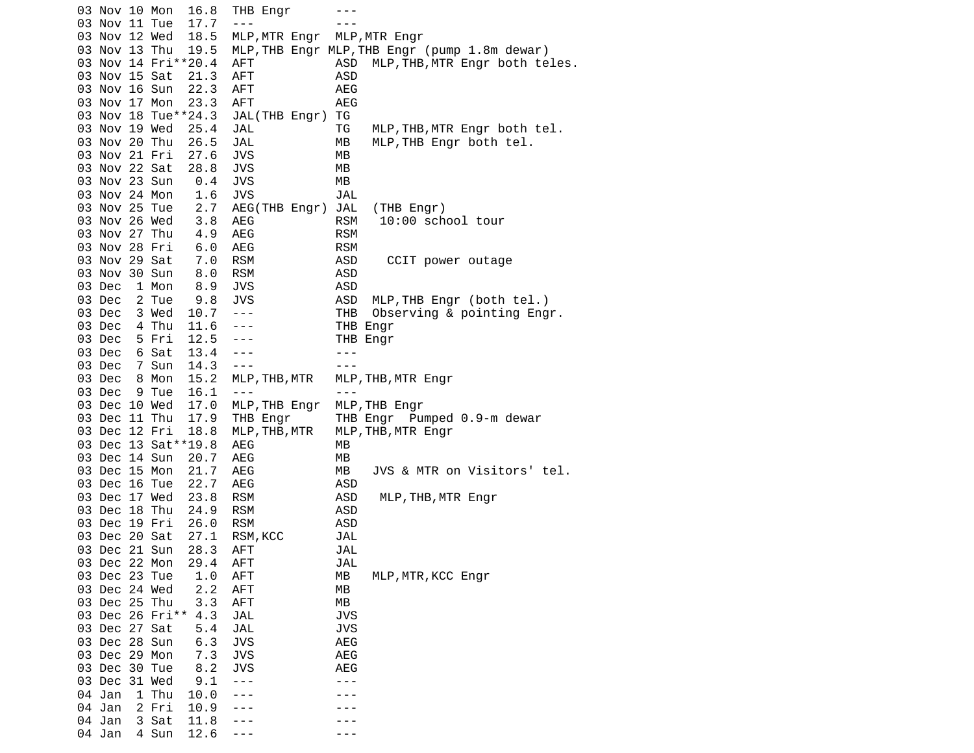03 Nov 10 Mon 16.8 THB Engr --- 03 Nov 11 Tue 17.7 --- 03 Nov 12 Wed 18.5 MLP,MTR Engr MLP,MTR Engr 03 Nov 13 Thu 19.5 MLP,THB Engr MLP,THB Engr (pump 1.8m dewar) AFT ASD MLP, THB, MTR Engr both teles. 03 Nov 15 Sat 21.3 AFT ASD 03 Nov 16 Sun 22.3 AFT 03 Nov 17 Mon 23.3 AFT AEG 03 Nov 18 Tue\*\*24.3 JAL(THB Engr) TG 03 Nov 19 Wed 25.4 JAL TG MLP,THB,MTR Engr both tel.<br>03 Nov 20 Thu 26.5 JAL MB MLP,THB Engr both tel. JAL MB MLP, THB Engr both tel. 03 Nov 21 Fri 27.6 JVS MB 03 Nov 22 Sat 28.8 JVS MB<br>03 Nov 23 Sun 0.4 JVS MB 03 Nov 23 Sun 0.4 JVS 03 Nov 24 Mon 1.6 JVS JAL 03 Nov 25 Tue 2.7 AEG(THB Engr) JAL (THB Engr) 03 Nov 26 Wed 3.8 AEG RSM 10:00 school tour 03 Nov 27 Thu 4.9 AEG RSM 03 Nov 28 Fri 6.0 AEG RSM 03 Nov 29 Sat 7.0 RSM ASD CCIT power outage 03 Nov 30 Sun 8.0 RSM ASD 03 Dec 1 Mon 8.9 JVS ASD 03 Dec 2 Tue 9.8 JVS ASD MLP, THB Engr (both tel.) 03 Dec 3 Wed 10.7 --- THB Observing & pointing Engr. 03 Dec 4 Thu 11.6 --- THB Engr 03 Dec 5 Fri 12.5 --- THB Engr 03 Dec 6 Sat 13.4 --- -- ---03 Dec 7 Sun 14.3 ---<br>03 Dec 8 Mon 15.2 MLP,THB,MTR MLP 03 Dec 8 Mon 15.2 MLP,THB,MTR MLP,THB,MTR Engr 03 Dec 9 Tue 16.1 --- -- --- 03 Dec 10 Wed 17.0 MLP,THB Engr MLP,THB Engr 03 Dec 11 Thu 17.9 THB Engr THB Engr Pumped 0.9-m dewar 03 Dec 12 Fri 18.8 MLP,THB,MTR MLP,THB,MTR Engr 03 Dec 13 Sat<sup>\*\*</sup>19.8 AEG MB 03 Dec 14 Sun 20.7 AEG MB<br>03 Dec 15 Mon 21.7 AEG MB AEG MB JVS & MTR on Visitors' tel. 03 Dec 16 Tue 22.7 AEG ASD 03 Dec 17 Wed 23.8 RSM ASD MLP,THB,MTR Engr<br>03 Dec 18 Thu 24.9 RSM ASD 03 Dec 18 Thu 24.9 03 Dec 19 Fri 26.0 RSM ASD 03 Dec 20 Sat 27.1 RSM,KCC JAL 03 Dec 21 Sun 28.3 AFT JAL 03 Dec 22 Mon 29.4 AFT<br>03 Dec 23 Tue 1.0 AFT 1.0 AFT MB MLP, MTR, KCC Engr 03 Dec 24 Wed 2.2 AFT MB 03 Dec 25 Thu 3.3 AFT MB 03 Dec 26 Fri\*\* 4.3 JAL JVS 03 Dec 27 Sat 5.4 JAL JVS 03 Dec 28 Sun 6.3 JVS AEG 03 Dec 29 Mon 7.3 JVS AEG 03 Dec 30 Tue 8.2 JVS AEG 03 Dec 31 Wed 9.1 --- -- -- --- 04 Jan 1 Thu 10.0 --- --- 04 Jan 2 Fri 10.9 --- -- ---04 Jan 3 Sat 11.8 ---04 Jan 4 Sun 12.6 --- -- ---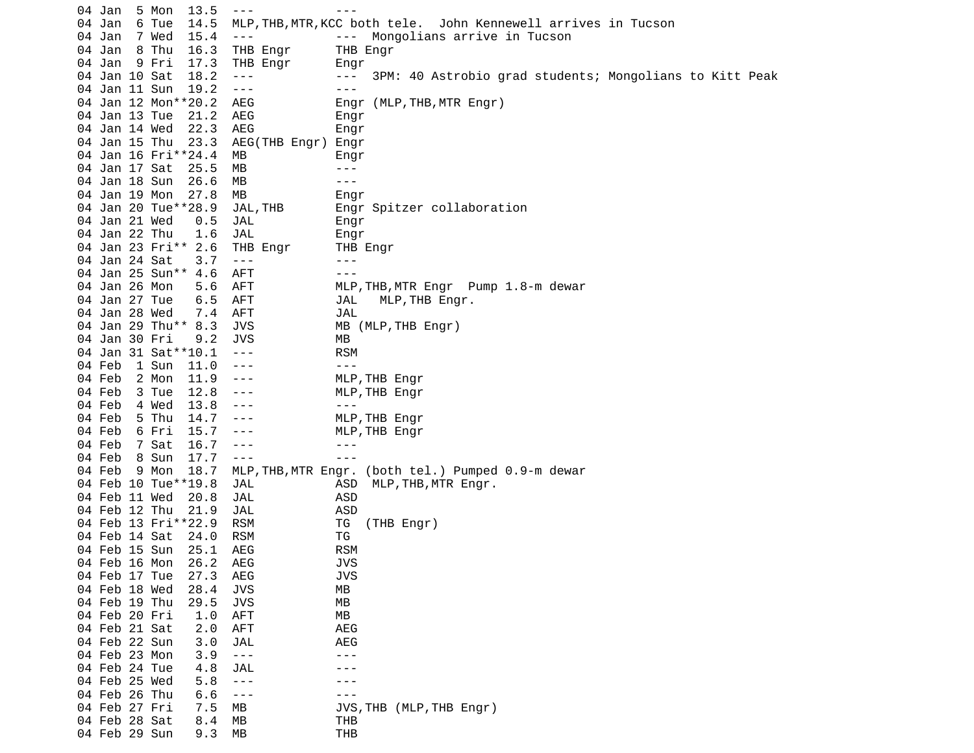|  | 04 Jan                         | 5 Mon                        | 13.5 | $- - - -$                | $- - -$                                                                    |
|--|--------------------------------|------------------------------|------|--------------------------|----------------------------------------------------------------------------|
|  | 04 Jan                         | 6 Tue                        | 14.5 |                          | MLP, THB, MTR, KCC both tele. John Kennewell arrives in Tucson             |
|  | 04 Jan                         | 7 Wed                        | 15.4 | $- - - -$                | Mongolians arrive in Tucson<br>$  -$                                       |
|  | 04 Jan                         | 8 Thu                        | 16.3 | THB Engr                 | THB Engr                                                                   |
|  | 04 Jan                         | 9 Fri                        | 17.3 | THB Engr                 | Engr                                                                       |
|  | 04 Jan 10 Sat                  |                              | 18.2 | $\sim$ $ \sim$           | 3PM: 40 Astrobio grad students; Mongolians to Kitt Peak<br>$\sim$ $  \sim$ |
|  | 04 Jan 11 Sun                  |                              | 19.2 | $\sim$ $ \sim$           | $- - -$                                                                    |
|  |                                | 04 Jan 12 Mon**20.2          |      | AEG                      | Engr (MLP, THB, MTR Engr)                                                  |
|  | 04 Jan 13 Tue                  |                              | 21.2 | AEG                      | Engr                                                                       |
|  | 04 Jan 14 Wed                  |                              | 22.3 | AEG                      | Engr                                                                       |
|  | 04 Jan 15 Thu                  |                              | 23.3 | AEG(THB Engr) Engr       |                                                                            |
|  |                                | 04 Jan 16 Fri**24.4          |      | MВ                       | Engr                                                                       |
|  | 04 Jan 17 Sat                  |                              | 25.5 | MВ                       | - - -                                                                      |
|  | 04 Jan 18 Sun                  |                              | 26.6 | МB                       | $- - -$                                                                    |
|  |                                |                              |      |                          |                                                                            |
|  | 04 Jan 19 Mon                  |                              | 27.8 | МB                       | Engr                                                                       |
|  |                                | 04 Jan 20 Tue**28.9          |      | JAL, THB                 | Engr Spitzer collaboration                                                 |
|  | 04 Jan 21 Wed                  |                              | 0.5  | JAL                      | Engr                                                                       |
|  | 04 Jan 22 Thu                  |                              | 1.6  | JAL                      | Engr                                                                       |
|  |                                | 04 Jan 23 Fri** 2.6          |      | THB Engr                 | THB Engr                                                                   |
|  | 04 Jan 24 Sat                  |                              | 3.7  | $\sim$ $ \sim$           | $- - -$                                                                    |
|  |                                | 04 Jan 25 Sun** 4.6          |      | AFT                      | $- - -$                                                                    |
|  | 04 Jan 26 Mon                  |                              | 5.6  | AFT                      | MLP, THB, MTR Engr Pump 1.8-m dewar                                        |
|  | 04 Jan 27 Tue                  |                              | 6.5  | AFT                      | MLP, THB Engr.<br>JAL                                                      |
|  | 04 Jan 28 Wed                  |                              | 7.4  | AFT                      | JAL                                                                        |
|  |                                | 04 Jan 29 Thu** 8.3          |      | <b>JVS</b>               | MB (MLP, THB Engr)                                                         |
|  | 04 Jan 30 Fri                  |                              | 9.2  | JVS                      | MВ                                                                         |
|  |                                | 04 Jan 31 Sat ** 10.1        |      | $\sim$ $ \sim$           | <b>RSM</b>                                                                 |
|  | 04 Feb                         | 1 Sun                        | 11.0 | $\sim$ $\sim$ $\sim$     | $- - -$                                                                    |
|  | 04 Feb                         | 2 Mon                        | 11.9 | $- - -$                  | MLP, THB Engr                                                              |
|  | 04 Feb                         | 3 Tue                        | 12.8 | $- - -$                  | MLP, THB Engr                                                              |
|  | 04 Feb                         | 4 Wed                        | 13.8 | $- - -$                  | $- - -$                                                                    |
|  | 04 Feb                         | 5 Thu                        | 14.7 | $- - -$                  | MLP, THB Engr                                                              |
|  | 04 Feb                         | 6 Fri                        | 15.7 | $- - -$<br>$- - -$       | MLP, THB Engr<br>$- - -$                                                   |
|  | 04 Feb                         | 7 Sat                        | 16.7 |                          | $- - -$                                                                    |
|  | 04 Feb                         | 8 Sun                        | 17.7 | $\sim$ $\sim$ $\sim$     |                                                                            |
|  | 04 Feb                         | 9 Mon<br>04 Feb 10 Tue**19.8 | 18.7 |                          | MLP, THB, MTR Engr. (both tel.) Pumped 0.9-m dewar                         |
|  | 04 Feb 11 Wed                  |                              |      | JAL                      | ASD<br>MLP, THB, MTR Engr.<br>ASD                                          |
|  | 04 Feb 12 Thu                  |                              | 20.8 | JAL                      | <b>ASD</b>                                                                 |
|  |                                | 04 Feb 13 Fri**22.9          | 21.9 | JAL<br><b>RSM</b>        | ΤG<br>(THB Engr)                                                           |
|  | 04 Feb 14 Sat                  |                              | 24.0 | <b>RSM</b>               | ΤG                                                                         |
|  |                                |                              | 25.1 | AEG                      | <b>RSM</b>                                                                 |
|  | 04 Feb 15 Sun                  |                              |      |                          |                                                                            |
|  | 04 Feb 16 Mon                  |                              | 26.2 | AEG                      | <b>JVS</b>                                                                 |
|  | 04 Feb 17 Tue                  |                              | 27.3 | AEG                      | <b>JVS</b>                                                                 |
|  | 04 Feb 18 Wed<br>04 Feb 19 Thu |                              | 28.4 | <b>JVS</b><br><b>JVS</b> | МB<br>МB                                                                   |
|  |                                |                              | 29.5 |                          |                                                                            |
|  | 04 Feb 20 Fri                  |                              | 1.0  | <b>AFT</b>               | МB                                                                         |
|  | 04 Feb 21 Sat                  |                              | 2.0  | <b>AFT</b>               | AEG                                                                        |
|  | 04 Feb 22 Sun<br>04 Feb 23 Mon |                              | 3.0  | JAL                      | AEG<br>---                                                                 |
|  | 04 Feb 24 Tue                  |                              | 3.9  | $\sim$ $ \sim$           |                                                                            |
|  |                                |                              | 4.8  | <b>JAL</b>               |                                                                            |
|  | 04 Feb 25 Wed                  |                              | 5.8  | $- - -$                  |                                                                            |
|  | 04 Feb 26 Thu                  |                              | 6.6  | $- - -$                  |                                                                            |
|  | 04 Feb 27 Fri                  |                              | 7.5  | МB                       | JVS, THB (MLP, THB Engr)                                                   |
|  | 04 Feb 28 Sat                  |                              | 8.4  | МB                       | THB<br><b>THB</b>                                                          |
|  | 04 Feb 29 Sun                  |                              | 9.3  | МB                       |                                                                            |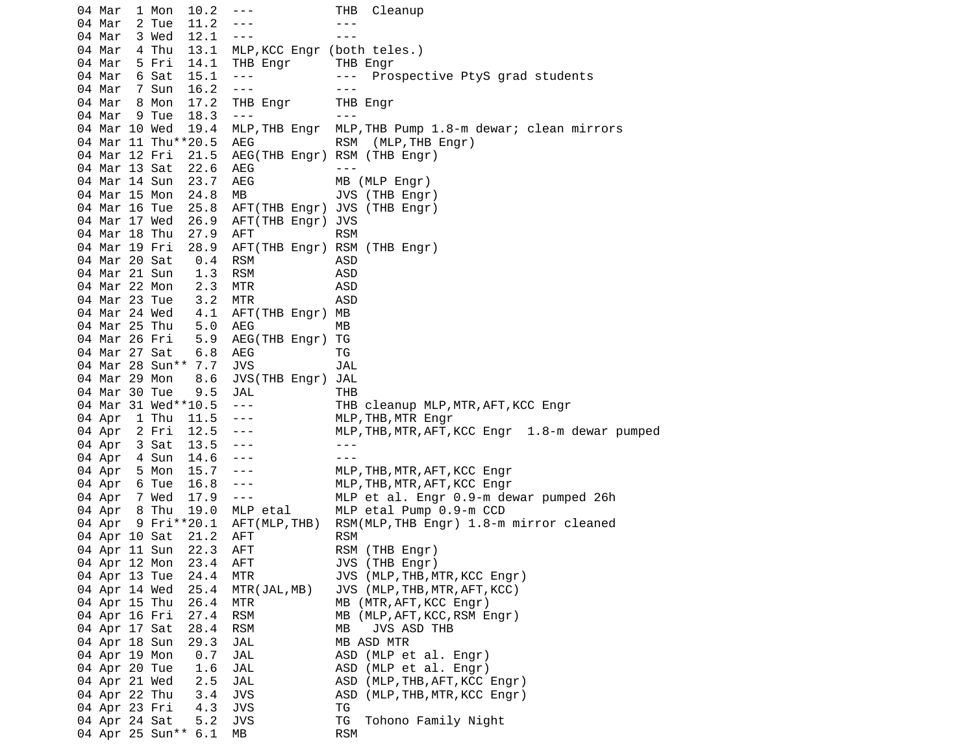04 Mar 1 Mon 10.2 --- THB Cleanup 04 Mar 2 Tue 11.2 --- -- ---04 Mar 3 Wed 12.1 --- -- -- --- 04 Mar 4 Thu 13.1 MLP,KCC Engr (both teles.) 04 Mar 5 Fri 14.1 THB Engr THB Engr 04 Mar 6 Sat 15.1 --- -- -- Prospective PtyS grad students 04 Mar 7 Sun 16.2 --- - -- --- 04 Mar 8 Mon 17.2 THB Engr THB Engr 04 Mar 9 Tue 18.3 --- -- --- 04 Mar 10 Wed 19.4 MLP,THB Engr MLP,THB Pump 1.8-m dewar; clean mirrors 04 Mar 11 Thu\*\*20.5 AEG RSM (MLP, THB Engr) 04 Mar 12 Fri 21.5 AEG(THB Engr) RSM (THB Engr) 04 Mar 13 Sat 22.6 AEG ---<br>04 Mar 14 Sun 23.7 AEG MB (MLP Engr) 04 Mar 14 Sun 23.7 AEG 04 Mar 15 Mon 24.8 MB JVS (THB Engr) 04 Mar 16 Tue 25.8 AFT(THB Engr) JVS (THB Engr) 04 Mar 17 Wed 26.9 AFT(THB Engr) JVS 04 Mar 18 Thu 27.9 AFT RSM 04 Mar 19 Fri 28.9 AFT(THB Engr) RSM (THB Engr) 04 Mar 20 Sat 0.4 RSM ASD 04 Mar 21 Sun 1.3 RSM ASD 04 Mar 22 Mon 2.3 MTR ASD 04 Mar 23 Tue 3.2 MTR ASD 04 Mar 24 Wed 4.1 AFT(THB Engr) MB 04 Mar 25 Thu 5.0 AEG MB 04 Mar 26 Fri 5.9 AEG(THB Engr) TG 04 Mar 27 Sat 6.8 AEG TG 04 Mar 28 Sun\*\* 7.7 JVS JAL 04 Mar 29 Mon 8.6 JVS(THB Engr) JAL 04 Mar 30 Tue 9.5 JAL THB 04 Mar 31 Wed\*\*10.5 --- THB cleanup MLP,MTR,AFT,KCC Engr 04 Apr 1 Thu 11.5 --- MLP,THB,MTR Engr 04 Apr 2 Fri 12.5 --- MLP,THB,MTR,AFT,KCC Engr 1.8-m dewar pumped 04 Apr 3 Sat 13.5 --- - -- --04 Apr 4 Sun 14.6 --- -- --- 04 Apr 5 Mon 15.7 --- MLP,THB,MTR,AFT,KCC Engr 04 Apr 6 Tue 16.8 --- MLP,THB,MTR,AFT,KCC Engr 04 Apr 7 Wed 17.9 --- MLP et al. Engr 0.9-m dewar pumped 26h 04 Apr 8 Thu 19.0 MLP etal MLP etal Pump 0.9-m CCD 04 Apr 9 Fri\*\*20.1 AFT(MLP,THB) RSM(MLP,THB Engr) 1.8-m mirror cleaned 04 Apr 10 Sat 21.2 AFT RSM 04 Apr 11 Sun 22.3 AFT RSM (THB Engr) 04 Apr 12 Mon 23.4 AFT JVS (THB Engr) 04 Apr 13 Tue 24.4 MTR JVS (MLP,THB,MTR,KCC Engr) 04 Apr 14 Wed 25.4 MTR(JAL,MB) JVS (MLP,THB,MTR,AFT,KCC) 04 Apr 15 Thu 26.4 MTR MB (MTR,AFT,KCC Engr) 04 Apr 16 Fri 27.4 RSM MB (MLP, AFT, KCC, RSM Engr) 04 Apr 17 Sat 28.4 RSM MB JVS ASD THB 04 Apr 18 Sun 29.3 JAL MB ASD MTR 04 Apr 19 Mon 0.7 JAL ASD (MLP et al. Engr) 04 Apr 20 Tue 1.6 JAL ASD (MLP et al. Engr) 04 Apr 21 Wed 2.5 JAL ASD (MLP, THB, AFT, KCC Engr) 04 Apr 22 Thu 3.4 JVS ASD (MLP,THB,MTR,KCC Engr)<br>04 Apr 23 Fri 4.3 JVS TG 04 Apr 23 Fri 4.3 JVS TG 04 Apr 24 Sat 5.2 JVS TG Tohono Family Night 04 Apr 25 Sun\*\* 6.1 MB RSM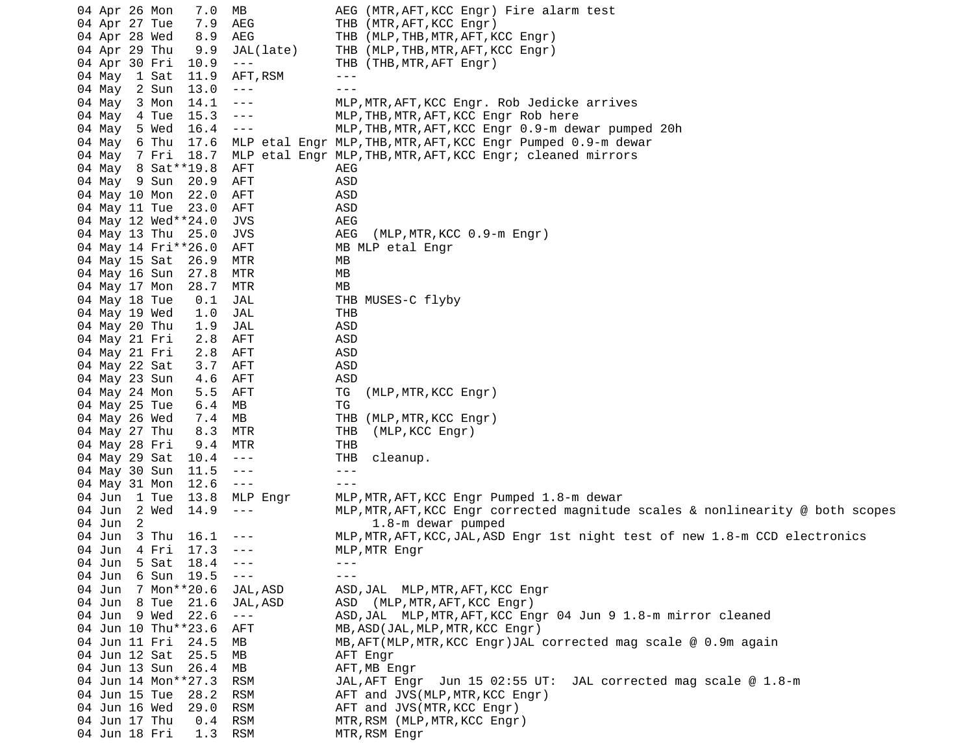| 04 Apr 26 Mon |   |       | 7.0                 | МB                   |            | AEG (MTR, AFT, KCC Engr) Fire alarm test                                        |
|---------------|---|-------|---------------------|----------------------|------------|---------------------------------------------------------------------------------|
| 04 Apr 27 Tue |   |       | 7.9                 | AEG                  | THB        | (MTR, AFT, KCC Engr)                                                            |
| 04 Apr 28 Wed |   |       | 8.9                 | AEG                  | THB        | (MLP, THB, MTR, AFT, KCC Engr)                                                  |
| 04 Apr 29 Thu |   |       | 9.9                 | JAL(late)            | THB        | (MLP, THB, MTR, AFT, KCC Engr)                                                  |
| 04 Apr 30 Fri |   |       | 10.9                | $\sim$ $\sim$ $\sim$ | THB        | (THB, MTR, AFT Engr)                                                            |
| 04 May        |   | 1 Sat | 11.9                | AFT, RSM             | $- - -$    |                                                                                 |
| 04 May        |   | 2 Sun | 13.0                | $  -$                | $- - -$    |                                                                                 |
| 04 May        |   | 3 Mon | 14.1                | ---                  |            | MLP, MTR, AFT, KCC Engr. Rob Jedicke arrives                                    |
| 04 May        |   | 4 Tue | 15.3                | ---                  |            | MLP, THB, MTR, AFT, KCC Engr Rob here                                           |
| 04 May        |   | 5 Wed | 16.4                | $\sim$ $ \sim$       |            | MLP, THB, MTR, AFT, KCC Engr 0.9-m dewar pumped 20h                             |
| 04 May        |   | 6 Thu | 17.6                |                      |            | MLP etal Engr MLP, THB, MTR, AFT, KCC Engr Pumped 0.9-m dewar                   |
| 04 May        |   | 7 Fri | 18.7                |                      |            | MLP etal Engr MLP, THB, MTR, AFT, KCC Engr; cleaned mirrors                     |
| 04 May        |   |       | 8 Sat ** 19.8       | AFT                  | AEG        |                                                                                 |
| 04 May 9 Sun  |   |       | 20.9                | AFT                  | ASD        |                                                                                 |
| 04 May 10 Mon |   |       | 22.0                | AFT                  | <b>ASD</b> |                                                                                 |
| 04 May 11 Tue |   |       | 23.0                | AFT                  | <b>ASD</b> |                                                                                 |
|               |   |       | 04 May 12 Wed**24.0 | JVS                  | AEG        |                                                                                 |
| 04 May 13 Thu |   |       | 25.0                | JVS                  | AEG        | (MLP, MTR, KCC 0.9-m Engr)                                                      |
|               |   |       | 04 May 14 Fri**26.0 | AFT                  |            | MB MLP etal Engr                                                                |
| 04 May 15 Sat |   |       | 26.9                | MTR                  | МB         |                                                                                 |
| 04 May 16 Sun |   |       | 27.8                | MTR                  | MВ         |                                                                                 |
| 04 May 17 Mon |   |       | 28.7                | MTR                  | МB         |                                                                                 |
| 04 May 18 Tue |   |       | 0.1                 | JAL                  |            | THB MUSES-C flyby                                                               |
| 04 May 19 Wed |   |       | 1.0                 | JAL                  | THB        |                                                                                 |
| 04 May 20 Thu |   |       | 1.9                 | JAL                  | ASD        |                                                                                 |
| 04 May 21 Fri |   |       | 2.8                 | AFT                  | ASD        |                                                                                 |
| 04 May 21 Fri |   |       | 2.8                 | AFT                  | ASD        |                                                                                 |
| 04 May 22 Sat |   |       | 3.7                 | AFT                  | <b>ASD</b> |                                                                                 |
| 04 May 23 Sun |   |       | 4.6                 | AFT                  | <b>ASD</b> |                                                                                 |
| 04 May 24 Mon |   |       | 5.5                 | AFT                  | TG         | (MLP, MTR, KCC Engr)                                                            |
| 04 May 25 Tue |   |       | 6.4                 | MВ                   | TG         |                                                                                 |
| 04 May 26 Wed |   |       | 7.4                 | МB                   | THB        | (MLP, MTR, KCC Engr)                                                            |
| 04 May 27 Thu |   |       | 8.3                 | MTR                  | THB        | (MLP, KCC Engr)                                                                 |
| 04 May 28 Fri |   |       | 9.4                 | MTR                  | <b>THB</b> |                                                                                 |
| 04 May 29 Sat |   |       | 10.4                | $  -$                | THB        | cleanup.                                                                        |
| 04 May 30 Sun |   |       | 11.5                | $- - -$              | $- - -$    |                                                                                 |
| 04 May 31 Mon |   |       | 12.6                | $  -$                | $- - -$    |                                                                                 |
| 04 Jun 1 Tue  |   |       | 13.8                | MLP Engr             |            | MLP, MTR, AFT, KCC Engr Pumped 1.8-m dewar                                      |
| 04 Jun        |   | 2 Wed | 14.9                | $- - -$              |            | MLP, MTR, AFT, KCC Engr corrected magnitude scales & nonlinearity @ both scopes |
| 04 Jun        | 2 |       |                     |                      |            | 1.8-m dewar pumped                                                              |
| 04 Jun        |   | 3 Thu | 16.1                | - - -                |            | MLP, MTR, AFT, KCC, JAL, ASD Engr 1st night test of new 1.8-m CCD electronics   |
| 04 Jun        |   | 4 Fri | 17.3                | $- - -$              |            | MLP, MTR Engr                                                                   |
| 04 Jun        |   | 5 Sat | 18.4                | $  -$                | $- - -$    |                                                                                 |
| 04 Jun        |   | 6 Sun | 19.5                | $\sim$ $\sim$ $\sim$ |            |                                                                                 |
| 04 Jun        |   |       | 7 Mon**20.6         | JAL, ASD             |            | ASD, JAL MLP, MTR, AFT, KCC Engr                                                |
| 04 Jun        |   | 8 Tue | 21.6                | JAL, ASD             |            | ASD (MLP, MTR, AFT, KCC Engr)                                                   |
| 04 Jun 9 Wed  |   |       | 22.6                | $\sim$ $\sim$ $\sim$ |            | ASD, JAL MLP, MTR, AFT, KCC Engr 04 Jun 9 1.8-m mirror cleaned                  |
|               |   |       | 04 Jun 10 Thu**23.6 | AFT                  |            | MB, ASD(JAL, MLP, MTR, KCC Engr)                                                |
| 04 Jun 11 Fri |   |       | 24.5                | MB.                  |            | MB, AFT(MLP, MTR, KCC Engr)JAL corrected mag scale @ 0.9m again                 |
| 04 Jun 12 Sat |   |       | 25.5                | MВ                   |            | AFT Engr                                                                        |
| 04 Jun 13 Sun |   |       | 26.4                | MВ                   |            | AFT, MB Engr                                                                    |
|               |   |       | 04 Jun 14 Mon**27.3 | <b>RSM</b>           |            | JAL corrected mag scale @ 1.8-m<br>JAL, AFT Engr Jun 15 02:55 UT:               |
| 04 Jun 15 Tue |   |       | 28.2                | <b>RSM</b>           |            | AFT and JVS(MLP, MTR, KCC Engr)                                                 |
| 04 Jun 16 Wed |   |       | 29.0                | <b>RSM</b>           |            | AFT and JVS(MTR, KCC Engr)                                                      |
| 04 Jun 17 Thu |   |       | 0.4                 | <b>RSM</b>           |            | MTR, RSM (MLP, MTR, KCC Engr)                                                   |
| 04 Jun 18 Fri |   |       | 1.3                 | <b>RSM</b>           |            | MTR, RSM Engr                                                                   |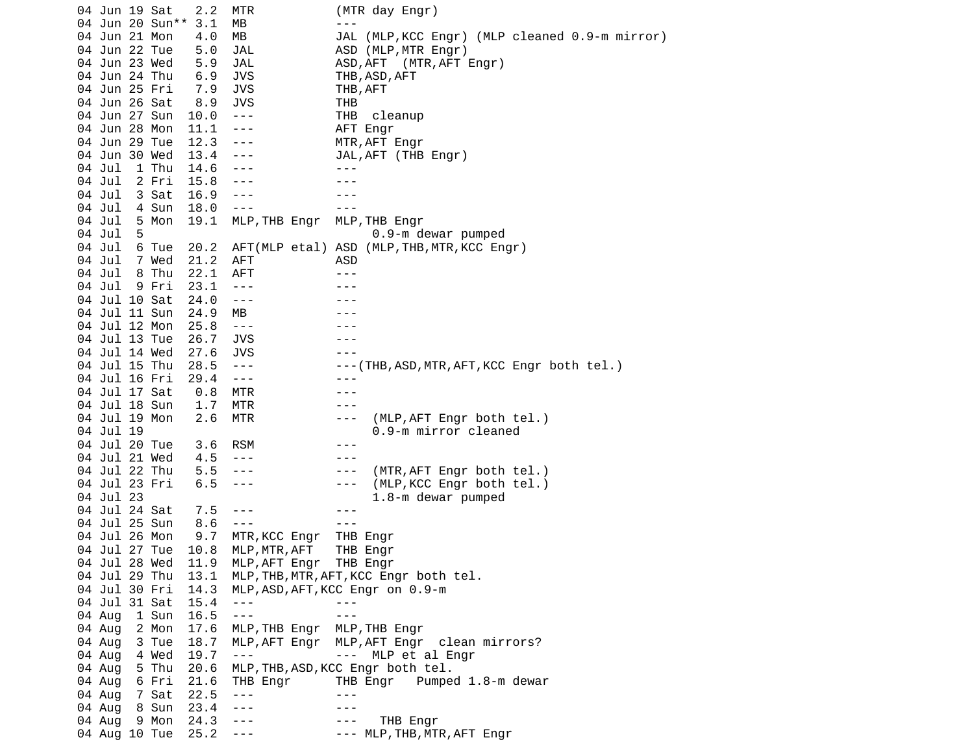04 Jun 19 Sat 2.2 MTR (MTR day Engr) 04 Jun 20 Sun<sup>\*\*</sup> 3.1 MB --- 04 Jun 21 Mon 4.0 MB JAL (MLP,KCC Engr) (MLP cleaned 0.9-m mirror) 04 Jun 22 Tue 5.0 JAL ASD (MLP,MTR Engr) 04 Jun 23 Wed 5.9 JAL ASD,AFT (MTR,AFT Engr) 04 Jun 24 Thu 6.9 JVS THB,ASD,AFT 04 Jun 25 Fri 7.9 JVS THB,AFT 04 Jun 26 Sat 8.9 JVS THB 04 Jun 27 Sun 10.0 --- THB cleanup 04 Jun 28 Mon 11.1 --- AFT Engr 04 Jun 29 Tue 12.3 --- MTR,AFT Engr 04 Jun 30 Wed 13.4 --- JAL,AFT (THB Engr) 04 Jul 1 Thu 14.6 --- -- ---04 Jul 2 Fri 15.8 --- - -- ---04 Jul 3 Sat 16.9 --- - -- ---04 Jul 4 Sun 18.0 --- -- --- 04 Jul 5 Mon 19.1 MLP,THB Engr MLP,THB Engr 04 Jul 5 0.9-m dewar pumped 04 Jul 6 Tue 20.2 AFT(MLP etal) ASD (MLP,THB,MTR,KCC Engr) 04 Jul 7 Wed 21.2 AFT ASD 04 Jul 8 Thu 22.1 AFT ---04 Jul 9 Fri 23.1 --- - -- ---04 Jul 10 Sat 24.0 --- -- ---04 Jul 11 Sun 24.9 MB 04 Jul 12 Mon 25.8 --- -- --- --- 04 Jul 13 Tue 26.7 JVS --- 04 Jul 14 Wed 27.6 JVS --- 28.5 --- ---(THB,ASD,MTR,AFT,KCC Engr both tel.) 04 Jul 16 Fri 29.4 --- --- 04 Jul 17 Sat 0.8 MTR --- 04 Jul 18 Sun 1.7 MTR --- 04 Jul 19 Mon 2.6 MTR --- (MLP,AFT Engr both tel.) 04 Jul 19 0.9-m mirror cleaned 04 Jul 20 Tue 3.6 RSM --- 04 Jul 21 Wed 4.5 --- -- -- ---04 Jul 22 Thu 5.5 --- - -- (MTR, AFT Engr both tel.) 04 Jul 23 Fri 6.5 --- -- -- (MLP, KCC Engr both tel.) 04 Jul 23 1.8-m dewar pumped 04 Jul 24 Sat 7.5 ---04 Jul 25 Sun 8.6 --- - -- --- 04 Jul 26 Mon 9.7 MTR,KCC Engr THB Engr 04 Jul 27 Tue 10.8 MLP,MTR,AFT THB Engr 04 Jul 28 Wed 11.9 MLP,AFT Engr THB Engr 04 Jul 29 Thu 13.1 MLP,THB,MTR,AFT,KCC Engr both tel. 04 Jul 30 Fri 14.3 MLP,ASD,AFT,KCC Engr on 0.9-m 04 Jul 31 Sat 15.4 --- -- -- ---04 Aug 1 Sun 16.5 --- 04 Aug 2 Mon 17.6 MLP,THB Engr MLP,THB Engr 04 Aug 3 Tue 18.7 MLP,AFT Engr MLP,AFT Engr clean mirrors?<br>04 Aug 4 Wed 19.7 --- --- MLP et al Engr 04 Aug 4 Wed 19.7 --- -- -- MLP et al Engr 04 Aug 5 Thu 20.6 MLP,THB,ASD,KCC Engr both tel. 04 Aug 6 Fri 21.6 THB Engr THB Engr Pumped 1.8-m dewar 04 Aug 7 Sat 22.5 ---<br>04 Aug 8 Sun 23.4 --- --- --- ---04 Aug 8 Sun 23.4 --- -- -- --- 04 Aug 9 Mon 24.3 --- --- THB Engr --- MLP, THB, MTR, AFT Engr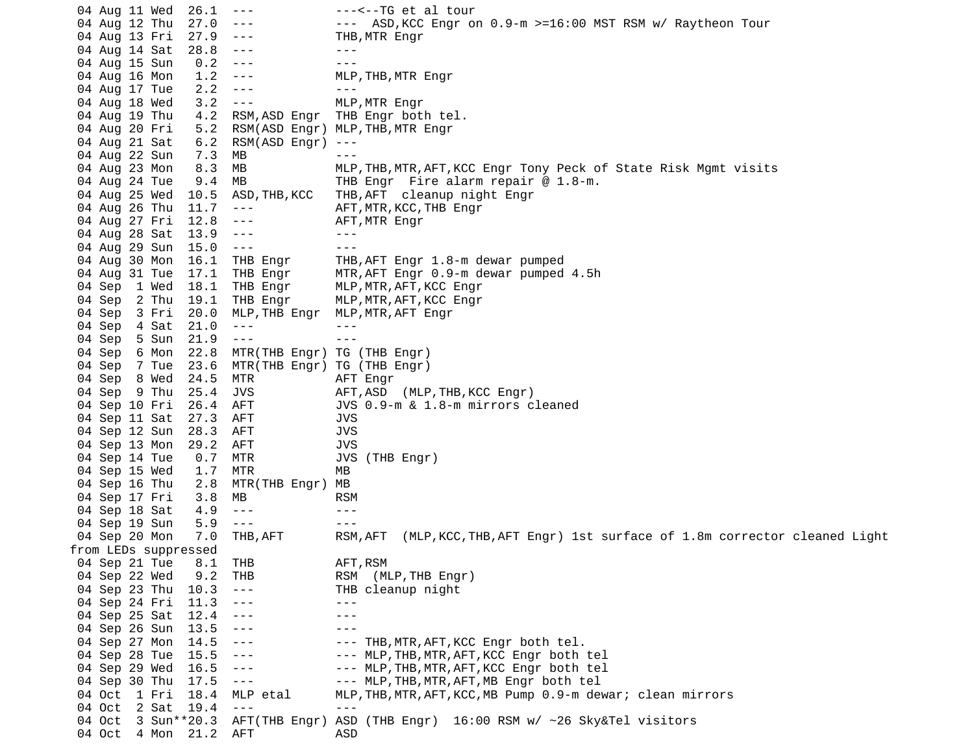04 Aug 11 Wed 26.1 --- --<--TG et al tour 04 Aug 12 Thu 27.0 --- - - - ASD, KCC Engr on 0.9-m >=16:00 MST RSM w/ Raytheon Tour 04 Aug 13 Fri 27.9 --- THB,MTR Engr 04 Aug 14 Sat 28.8 --- - -- --04 Aug 15 Sun 0.2 --- -- --- 04 Aug 16 Mon 1.2 --- MLP,THB,MTR Engr 04 Aug 17 Tue 2.2 --- -- --- 04 Aug 18 Wed 3.2 --- MLP,MTR Engr 4.2 RSM, ASD Engr THB Engr both tel. 04 Aug 20 Fri 5.2 RSM(ASD Engr) MLP,THB,MTR Engr 04 Aug 21 Sat 6.2 RSM(ASD Engr) --- 04 Aug 22 Sun 7.3 MB<br>04 Aug 23 Mon 8.3 MB 04 Aug 23 Mon 8.3 MB MLP,THB,MTR,AFT,KCC Engr Tony Peck of State Risk Mgmt visits 04 Aug 24 Tue 9.4 MB THB Engr Fire alarm repair @ 1.8-m. 04 Aug 25 Wed 10.5 ASD,THB,KCC THB,AFT cleanup night Engr 04 Aug 26 Thu 11.7 --- AFT,MTR,KCC,THB Engr 04 Aug 27 Fri 12.8 ---04 Aug 28 Sat 13.9 --- -- ---04 Aug 29 Sun 15.0 --- - -- --- 04 Aug 30 Mon 16.1 THB Engr THB,AFT Engr 1.8-m dewar pumped 04 Aug 31 Tue 17.1 THB Engr MTR,AFT Engr 0.9-m dewar pumped 4.5h 04 Sep 1 Wed 18.1 THB Engr MLP,MTR,AFT,KCC Engr 04 Sep 2 Thu 19.1 THB Engr MLP, MTR, AFT, KCC Engr<br>04 Sep 3 Fri 20.0 MLP, THB Engr MLP, MTR, AFT Engr 04 Sep 3 Fri 20.0 MLP,THB Engr MLP,MTR,AFT Engr 04 Sep 4 Sat 21.0 --- -- ---04 Sep 5 Sun 21.9 --- -- --- 04 Sep 6 Mon 22.8 MTR(THB Engr) TG (THB Engr) 04 Sep 7 Tue 23.6 MTR(THB Engr) TG (THB Engr) 04 Sep 8 Wed 24.5 MTR AFT Engr 04 Sep 9 Thu 25.4 JVS AFT, ASD (MLP, THB, KCC Engr) 04 Sep 10 Fri 26.4 AFT JVS 0.9-m & 1.8-m mirrors cleaned 04 Sep 11 Sat 27.3 AFT JVS 04 Sep 12 Sun 28.3 AFT JVS 04 Sep 13 Mon 29.2 AFT JVS 04 Sep 14 Tue 0.7 MTR JVS (THB Engr) 04 Sep 15 Wed 1.7 MTR MB 04 Sep 16 Thu 2.8 MTR(THB Engr) MB 04 Sep 17 Fri 3.8 MB RSM 04 Sep 18 Sat 4.9 --- -- ---04 Sep 19 Sun 5.9 --- -- -- --- 04 Sep 20 Mon 7.0 THB,AFT RSM,AFT (MLP,KCC,THB,AFT Engr) 1st surface of 1.8m corrector cleaned Light from LEDs suppressed 04 Sep 21 Tue 8.1 THB AFT,RSM 04 Sep 22 Wed 9.2 THB RSM (MLP,THB Engr) 04 Sep 23 Thu 10.3 --- THB cleanup night 04 Sep 24 Fri 11.3 --- -- --- ---04 Sep 25 Sat 12.4 ---04 Sep 26 Sun 13.5 --- -- -- ---04 Sep 27 Mon 14.5 --- - -- THB,MTR,AFT,KCC Engr both tel. 04 Sep 28 Tue 15.5 --- -- -- MLP, THB, MTR, AFT, KCC Engr both tel 04 Sep 29 Wed 16.5 --- --- -- MLP, THB, MTR, AFT, KCC Engr both tel 04 Sep 30 Thu 17.5 --- -- -- MLP, THB, MTR, AFT, MB Engr both tel 04 Oct 1 Fri 18.4 MLP etal MLP,THB,MTR,AFT,KCC,MB Pump 0.9-m dewar; clean mirrors 04 Oct 2 Sat 19.4 04 Oct 3 Sun\*\*20.3 AFT(THB Engr) ASD (THB Engr) 16:00 RSM w/ ~26 Sky&Tel visitors 04 Oct 4 Mon 21.2 AFT ASD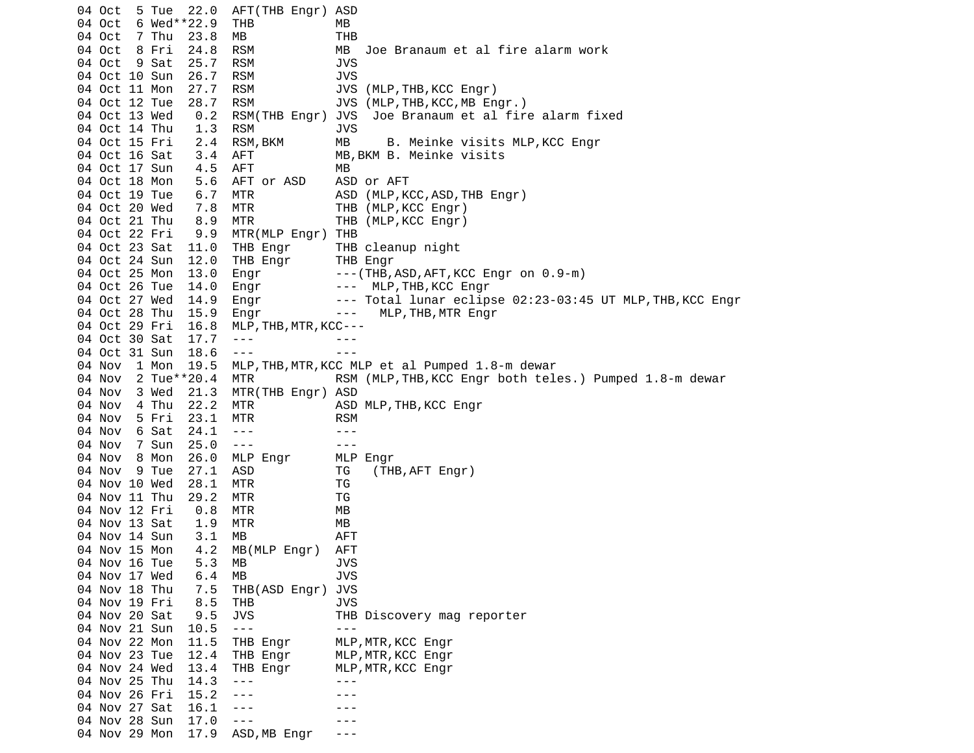04 Oct 5 Tue 22.0 AFT(THB Engr) ASD 04 Oct 6 Wed\*\*22.9 THB MB 04 Oct 7 Thu 23.8 MB THB 04 Oct 8 Fri 24.8 RSM MB Joe Branaum et al fire alarm work 04 Oct 9 Sat 25.7 04 Oct 10 Sun 26.7 RSM JVS RSM JVS (MLP, THB, KCC Engr) 04 Oct 12 Tue 28.7 RSM JVS (MLP,THB,KCC,MB Engr.) 04 Oct 13 Wed 0.2 RSM(THB Engr) JVS Joe Branaum et al fire alarm fixed 04 Oct 14 Thu 1.3 RSM JVS 2.4 RSM, BKM MB B. Meinke visits MLP, KCC Engr 04 Oct 16 Sat 3.4 AFT MB,BKM B. Meinke visits 04 Oct 17 Sun 4.5 AFT MB 04 Oct 18 Mon 5.6 AFT or ASD ASD or AFT 04 Oct 19 Tue 6.7 MTR ASD (MLP, KCC, ASD, THB Engr) 04 Oct 20 Wed 7.8 MTR THB (MLP,KCC Engr) 04 Oct 21 Thu 8.9 MTR THB (MLP,KCC Engr) 9.9 MTR(MLP Engr) THB 04 Oct 23 Sat 11.0 THB Engr THB cleanup night<br>04 Oct 24 Sun 12.0 THB Engr THB Engr 04 Oct 24 Sun 12.0 THB Engr 04 Oct 25 Mon 13.0 Engr ---(THB,ASD,AFT,KCC Engr on 0.9-m) 04 Oct 26 Tue 14.0 Engr --- MLP, THB, KCC Engr 04 Oct 27 Wed 14.9 Engr --- Total lunar eclipse 02:23-03:45 UT MLP, THB, KCC Engr 04 Oct 28 Thu 15.9 Engr --- MLP, THB, MTR Engr 04 Oct 29 Fri 16.8 MLP,THB,MTR,KCC--- 04 Oct 30 Sat 17.7 ---04 Oct 31 Sun 18.6 --- -- --- 04 Nov 1 Mon 19.5 MLP,THB,MTR,KCC MLP et al Pumped 1.8-m dewar 04 Nov 2 Tue\*\*20.4 MTR RSM (MLP, THB, KCC Engr both teles.) Pumped 1.8-m dewar 04 Nov 3 Wed 21.3 MTR(THB Engr) ASD 04 Nov 4 Thu 22.2 MTR ASD MLP,THB,KCC Engr<br>04 Nov 5 Fri 23.1 MTR RSM 04 Nov 5 Fri 23.1 MTR RSM 04 Nov 6 Sat 24.1 --- -- ---04 Nov 7 Sun 25.0 --- -- -- --- 04 Nov 8 Mon 26.0 MLP Engr MLP Engr 04 Nov 9 Tue 27.1 ASD TG (THB, AFT Engr) 04 Nov 10 Wed 28.1 MTR TG 04 Nov 11 Thu 29.2 MTR TG 04 Nov 12 Fri 0.8 MTR MB 04 Nov 13 Sat 1.9 MTR MB 04 Nov 14 Sun 3.1 MB AFT 04 Nov 15 Mon 4.2 MB(MLP Engr) AFT 04 Nov 16 Tue 04 Nov 17 Wed 6.4 MB 3VS 04 Nov 18 Thu 7.5 THB(ASD Engr) JVS 04 Nov 19 Fri 8.5 THB JVS 9.5 JVS THB Discovery mag reporter 04 Nov 21 Sun 10.5 --- -- -- --- 04 Nov 22 Mon 11.5 THB Engr MLP,MTR,KCC Engr 04 Nov 23 Tue 12.4 THB Engr MLP,MTR,KCC Engr<br>04 Nov 24 Wed 13.4 THB Engr MLP,MTR,KCC Engr 04 Nov 24 Wed  $13.4$  THB Engr 04 Nov 25 Thu 14.3 ---04 Nov 26 Fri 15.2 --- -- --- ---04 Nov 27 Sat 16.1 --- - -- --04 Nov 28 Sun 17.0 ---04 Nov 29 Mon 17.9 ASD,MB Engr ---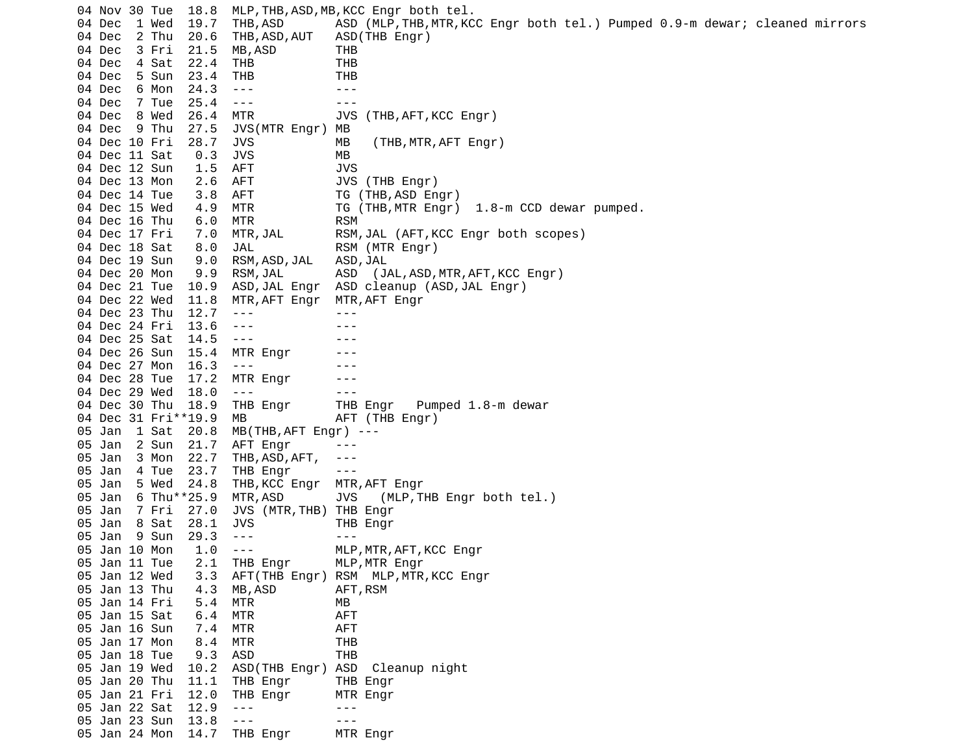04 Nov 30 Tue 18.8 MLP,THB,ASD,MB,KCC Engr both tel. 04 Dec 1 Wed 19.7 THB,ASD ASD (MLP,THB,MTR,KCC Engr both tel.) Pumped 0.9-m dewar; cleaned mirrors 04 Dec 2 Thu 20.6 THB,ASD,AUT ASD(THB Engr) 04 Dec 3 Fri 21.5 MB,ASD THB 04 Dec 4 Sat 22.4 THB THB 04 Dec 5 Sun 23.4 THB THB 04 Dec 6 Mon 24.3 --- -- -- ---04 Dec 7 Tue 25.4 --- -- -- --- 04 Dec 8 Wed 26.4 MTR JVS (THB,AFT,KCC Engr) 04 Dec 9 Thu 27.5 JVS(MTR Engr) MB 04 Dec 10 Fri 28.7 JVS MB (THB, MTR, AFT Engr) 04 Dec 11 Sat 0.3 JVS MB 04 Dec 12 Sun 1.5 AFT JVS 2.6 AFT JVS (THB Engr) 04 Dec 14 Tue 3.8 AFT TG (THB, ASD Engr) 04 Dec 15 Wed 4.9 MTR TG (THB,MTR Engr) 1.8-m CCD dewar pumped. 04 Dec 16 Thu 6.0 MTR RSM 04 Dec 17 Fri 7.0 MTR,JAL RSM,JAL (AFT,KCC Engr both scopes) 04 Dec 18 Sat 8.0 JAL RSM (MTR Engr) 04 Dec 19 Sun 9.0 RSM,ASD,JAL ASD,JAL 04 Dec 20 Mon 9.9 RSM,JAL ASD (JAL,ASD,MTR,AFT,KCC Engr) 04 Dec 21 Tue 10.9 ASD,JAL Engr ASD cleanup (ASD,JAL Engr) 04 Dec 22 Wed 11.8 MTR,AFT Engr MTR,AFT Engr 04 Dec 23 Thu 12.7 ---04 Dec 24 Fri 13.6 --- -- ---04 Dec 25 Sat 14.5 --- -- -- ---04 Dec 26 Sun 15.4 MTR Engr ---04 Dec 27 Mon 16.3 ---04 Dec 28 Tue 17.2 MTR Engr ---04 Dec 29 Wed 18.0 --- - - - - -- 04 Dec 30 Thu 18.9 THB Engr THB Engr Pumped 1.8-m dewar 04 Dec 31 Fri\*\*19.9 MB AFT (THB Engr) 05 Jan 1 Sat 20.8 MB(THB,AFT Engr) --- 05 Jan 2 Sun 21.7 AFT Engr ---05 Jan 3 Mon 22.7 THB, ASD, AFT, ---<br>05 Jan 4 Tue 23.7 THB Engr ---05 Jan  $-4$  Tue  $-23.7$  THB Engr 05 Jan 5 Wed 24.8 THB,KCC Engr MTR,AFT Engr 05 Jan 6 Thu\*\*25.9 MTR,ASD JVS (MLP,THB Engr both tel.)<br>05 Jan 7 Fri 27.0 JVS (MTR,THB) THB Engr 05 Jan 7 Fri 27.0 JVS (MTR, THB) 05 Jan 8 Sat 28.1 JVS THB Engr 05 Jan 9 Sun 29.3 --- - -- --- 05 Jan 10 Mon 1.0 --- MLP,MTR,AFT,KCC Engr 05 Jan 11 Tue 2.1 THB Engr MLP,MTR Engr 05 Jan 12 Wed 3.3 AFT(THB Engr) RSM MLP,MTR,KCC Engr 05 Jan 13 Thu 4.3 MB, ASD AFT, RSM 05 Jan 14 Fri 5.4 MTR MB 05 Jan 15 Sat 6.4 MTR AFT 05 Jan 16 Sun 7.4 MTR AFT 05 Jan 17 Mon 8.4 MTR THB 05 Jan 18 Tue 9.3 ASD THB 05 Jan 19 Wed 10.2 ASD(THB Engr) ASD Cleanup night 05 Jan 20 Thu 11.1 THB Engr THB Engr 05 Jan 21 Fri 12.0 THB Engr MTR Engr<br>05 Jan 22 Sat 12.9 --- ---05 Jan 22 Sat 12.9 ---05 Jan 23 Sun 13.8 --- - -- ---05 Jan 24 Mon 14.7 THB Engr MTR Engr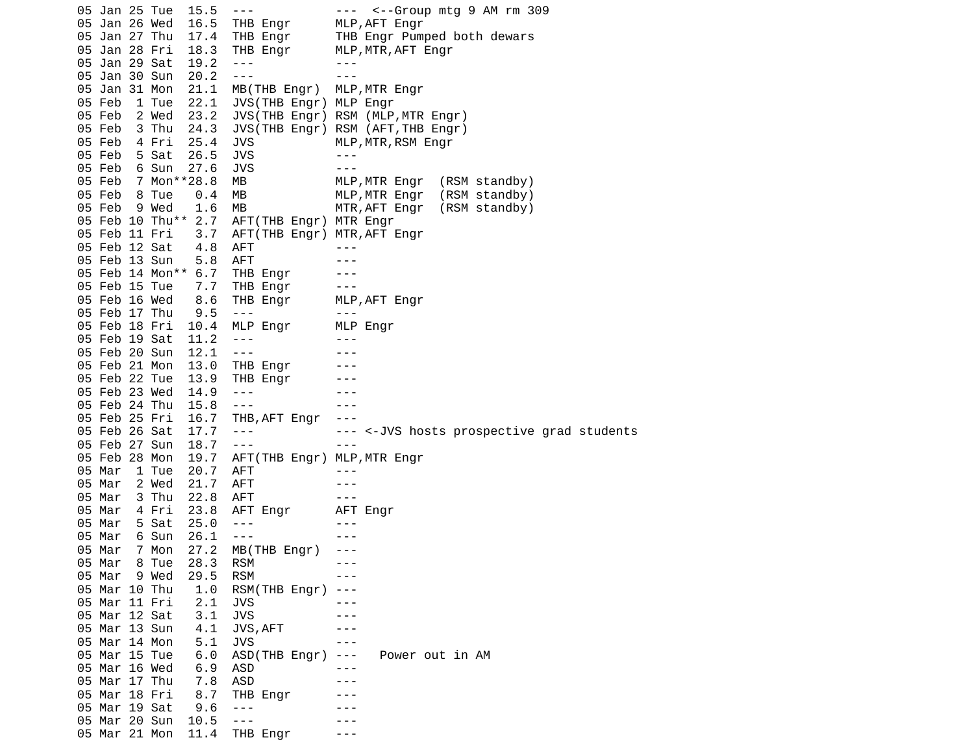05 Jan 25 Tue 15.5 --- -- -- -- <--Group mtg 9 AM rm 309 05 Jan 26 Wed 16.5 THB Engr MLP,AFT Engr 05 Jan 27 Thu 17.4 THB Engr THB Engr Pumped both dewars 05 Jan 28 Fri 18.3 THB Engr MLP,MTR,AFT Engr<br>05 Jan 29 Sat 19.2 --- ---05 Jan 29 Sat 19.2 ---<br>05 Jan 30 Sun 20.2 --- --- --- --- 05 Jan 30 Sun 20.2 --- --- 05 Jan 31 Mon 21.1 MB(THB Engr) MLP,MTR Engr 05 Feb 1 Tue 22.1 JVS(THB Engr) MLP Engr 05 Feb 2 Wed 23.2 JVS(THB Engr) RSM (MLP,MTR Engr) 05 Feb 3 Thu 24.3 JVS(THB Engr) RSM (AFT,THB Engr) 4 Fri 25.4 JVS MLP, MTR, RSM Engr 05 Feb 5 Sat 26.5 JVS ---05 Feb 6 Sun 27.6 JVS ---<br>05 Feb 7 Mon\*\*28.8 MB MLP,MTR Engr 05 Feb 7 Mon\*\*28.8 MB MLP,MTR Engr (RSM standby) 05 Feb 8 Tue 0.4 MB MLP,MTR Engr (RSM standby) 05 Feb 9 Wed 1.6 MB MTR,AFT Engr (RSM standby) 05 Feb 10 Thu\*\* 2.7 AFT(THB Engr) MTR Engr 05 Feb 11 Fri 3.7 AFT(THB Engr) MTR,AFT Engr 05 Feb 12 Sat 4.8 AFT ---05 Feb 13 Sun 5.8 AFT ---05 Feb 14 Mon\*\* 6.7 THB Engr --- 05 Feb 15 Tue 7.7 THB Engr --- 05 Feb 16 Wed 8.6 THB Engr MLP,AFT Engr 05 Feb 17 Thu 9.5 --- --- 05 Feb 18 Fri 10.4 MLP Engr 05 Feb 19 Sat 11.2 ---05 Feb 20 Sun 12.1 --- -- -- --- 05 Feb 21 Mon 13.0 THB Engr --- 05 Feb 22 Tue 13.9 THB Engr 05 Feb 23 Wed 14.9 --- - - - --05 Feb 24 Thu 15.8 --- - -- --- 05 Feb 25 Fri 16.7 THB,AFT Engr --- 05 Feb 26 Sat 17.7 --- --- <-JVS hosts prospective grad students 05 Feb 27 Sun 18.7 --- 05 Feb 28 Mon 19.7 AFT(THB Engr) MLP,MTR Engr 05 Mar 1 Tue 20.7 AFT ---05 Mar 2 Wed 21.7 AFT --- 05 Mar 3 Thu 22.8 AFT --- 05 Mar 4 Fri 23.8 AFT Engr AFT Engr 05 Mar 5 Sat 25.0 --- - --05 Mar 6 Sun 26.1 --- - - -- 05 Mar 7 Mon 27.2 MB(THB Engr) --- 05 Mar 8 Tue 28.3 RSM --- 05 Mar 9 Wed 29.5 RSM --- 05 Mar 10 Thu 1.0 RSM(THB Engr) --- 05 Mar 11 Fri 2.1 JVS --- 05 Mar 12 Sat 3.1 JVS --- 05 Mar 13 Sun 4.1 JVS, AFT ---05 Mar 14 Mon 5.1 JVS --- 05 Mar 15 Tue 6.0 ASD(THB Engr) --- Power out in AM 05 Mar 16 Wed 6.9 ASD ---05 Mar 17 Thu 7.8 ASD --- 05 Mar 18 Fri 8.7 THB Engr --- 05 Mar 19 Sat 9.6 --- - -- ---05 Mar 20 Sun 10.5 --- - - - - --05 Mar 21 Mon 11.4 THB Engr ---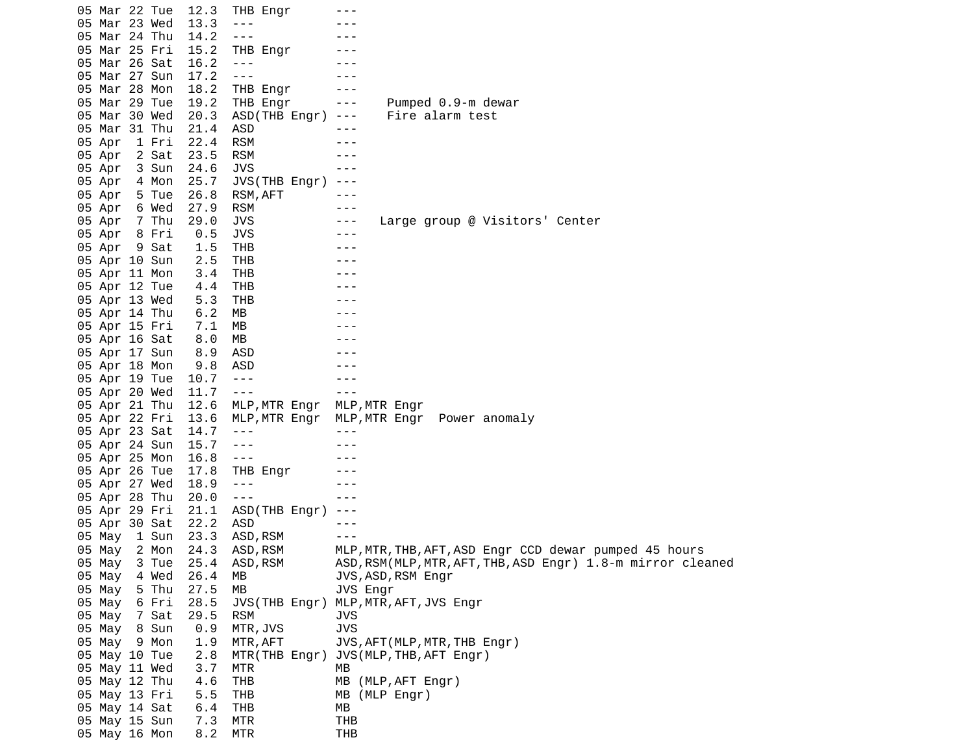05 Mar 22 Tue 12.3 THB Engr --- 05 Mar 23 Wed 13.3 ---05 Mar 24 Thu 14.2 --- 05 Mar 25 Fri 15.2 THB Engr --- 05 Mar 26 Sat 16.2 --- --- 05 Mar 27 Sun 17.2 --- -- ---05 Mar 28 Mon 18.2 THB Engr --- 05 Mar 29 Tue 19.2 THB Engr --- Pumped 0.9-m dewar 05 Mar 30 Wed 20.3 ASD(THB Engr) --- Fire alarm test 05 Mar 31 Thu 21.4 ASD --- 05 Apr 1 Fri 22.4 RSM --- 05 Apr 2 Sat 23.5 RSM --- 05 Apr 3 Sun 24.6 JVS --- 05 Apr 4 Mon 25.7 JVS(THB Engr) --- 05 Apr 5 Tue 26.8 RSM, AFT --- 05 Apr 6 Wed 27.9 RSM --- 05 Apr 7 Thu 29.0 JVS --- Large group @ Visitors' Center 05 Apr 8 Fri 0.5 JVS --- 05 Apr 9 Sat 1.5 THB ---05 Apr 10 Sun 2.5 THB 05 Apr 11 Mon 3.4 THB 05 Apr 12 Tue 4.4 THB ---05 Apr 13 Wed 5.3 THB 05 Apr 14 Thu 6.2 MB 05 Apr 15 Fri 7.1 MB 05 Apr 16 Sat 8.0 MB 05 Apr 17 Sun 8.9 ASD 05 Apr 18 Mon 9.8 ASD 05 Apr 19 Tue 10.7 --- --- 05 Apr 20 Wed 11.7 ---<br>05 Apr 21 Thu 12.6 MLP,MTR Engr MLP 05 Apr 21 Thu 12.6 MLP,MTR Engr MLP,MTR Engr 05 Apr 22 Fri 13.6 MLP,MTR Engr MLP,MTR Engr Power anomaly 05 Apr 23 Sat 14.7 ---05 Apr 24 Sun 15.7 ---05 Apr 25 Mon 16.8 ---<br>05 Apr 26 Tue 17.8 THB Engr --- 05 Apr 26 Tue 17.8 THB Engr --- 05 Apr 27 Wed 18.9 ---05 Apr 28 Thu 20.0 --- -- -- --- 05 Apr 29 Fri 21.1 ASD(THB Engr) --- 05 Apr 30 Sat 22.2 ASD --- 05 May 1 Sun 23.3 ASD,RSM --- 05 May 2 Mon 24.3 ASD,RSM MLP,MTR,THB,AFT,ASD Engr CCD dewar pumped 45 hours<br>05 May 3 Tue 25.4 ASD,RSM ASD,RSM(MLP,MTR,AFT,THB,ASD Engr) 1.8-m mirror cle 05 May 3 Tue 25.4 ASD, RSM ASD, RSM(MLP, MTR, AFT, THB, ASD Engr) 1.8-m mirror cleaned 05 May 4 Wed 26.4 MB JVS, ASD, RSM Engr 05 May 5 Thu 27.5 MB JVS Engr<br>05 May 6 Fri 28.5 JVS(THB Engr) MLP,MTR, 05 May 6 Fri 28.5 JVS(THB Engr) MLP,MTR,AFT,JVS Engr 05 May 7 Sat 29.5 RSM JVS 05 May 8 Sun 0.9 MTR,JVS JVS 05 May 9 Mon 1.9 MTR,AFT JVS,AFT(MLP,MTR,THB Engr) 05 May 10 Tue 2.8 MTR(THB Engr) JVS(MLP,THB,AFT Engr) 05 May 11 Wed 3.7 MTR MB 05 May 12 Thu 4.6 THB MB (MLP, AFT Engr) 05 May 13 Fri 5.5 THB MB (MLP Engr) 05 May 14 Sat 6.4 THB MB 05 May 15 Sun 7.3 MTR THB 05 May 16 Mon 8.2 MTR THB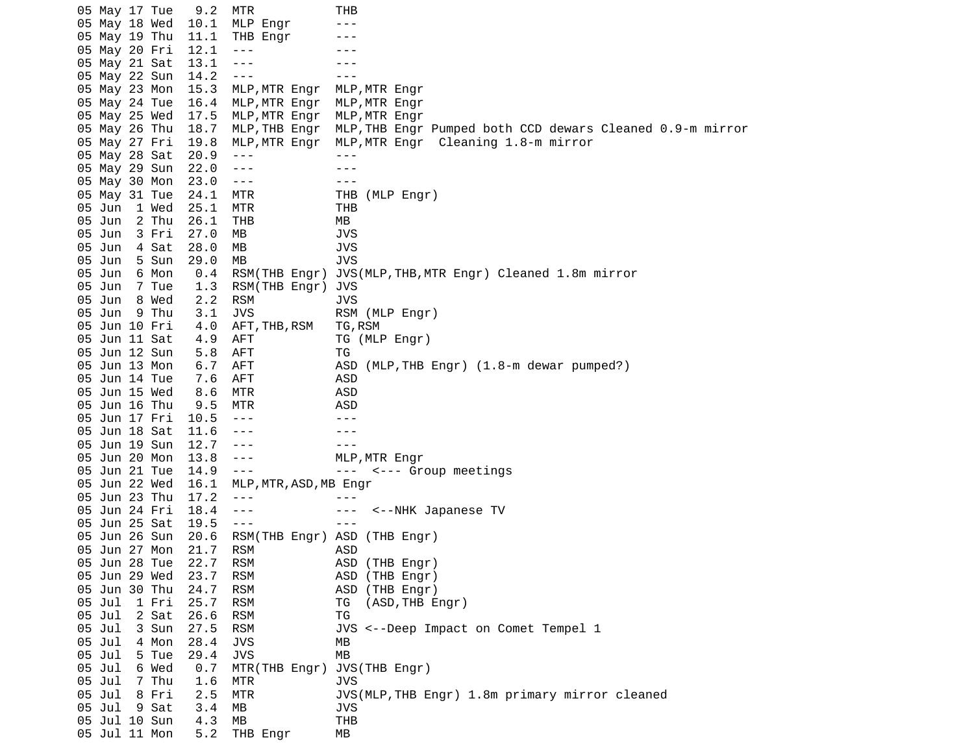05 May 17 Tue 9.2 MTR THB 05 May 18 Wed 10.1 MLP Engr ---05 May 19 Thu 11.1 THB Engr ---05 May 20 Fri 12.1 --- --- --- ---05 May 21 Sat 13.1 ---<br>05 May 22 Sun 14.2 ---05 May 22 Sun 14.2 --- -- --- 05 May 23 Mon 15.3 MLP,MTR Engr MLP,MTR Engr 05 May 24 Tue 16.4 MLP,MTR Engr MLP,MTR Engr 05 May 25 Wed 17.5 MLP,MTR Engr MLP,MTR Engr 05 May 26 Thu 18.7 MLP,THB Engr MLP,THB Engr Pumped both CCD dewars Cleaned 0.9-m mirror<br>05 May 27 Fri 19.8 MLP,MTR Engr MLP,MTR Engr Cleaning 1.8-m mirror 05 May 27 Fri 19.8 MLP,MTR Engr MLP,MTR Engr Cleaning 1.8-m mirror 05 May 28 Sat 20.9 --- - - --05 May 29 Sun 22.0 ---<br>05 May 30 Mon 23.0 --- --- --- ---05 May 30 Mon 23.0 --- - - - - --05 May 31 Tue 24.1 MTR THB (MLP Engr) 05 Jun 1 Wed 25.1 MTR THB 05 Jun 2 Thu 26.1 THB MB 05 Jun 3 Fri 27.0 MB 05 Jun 4 Sat 28.0 MB JVS 05 Jun 5 Sun 29.0 MB JVS 05 Jun 6 Mon 0.4 RSM(THB Engr) JVS(MLP,THB,MTR Engr) Cleaned 1.8m mirror 05 Jun 7 Tue 1.3 RSM(THB Engr) JVS 05 Jun 8 Wed 2.2 RSM JVS 05 Jun 9 Thu 3.1 JVS RSM (MLP Engr) 05 Jun 10 Fri 4.0 AFT,THB,RSM TG,RSM 05 Jun 11 Sat 4.9 AFT TG (MLP Engr) 05 Jun 12 Sun 5.8 AFT TG 05 Jun 13 Mon 6.7 AFT ASD (MLP,THB Engr) (1.8-m dewar pumped?) 05 Jun 14 Tue 7.6 AFT ASD 05 Jun 15 Wed 8.6 MTR ASD 05 Jun 16 Thu 9.5 MTR ASD 05 Jun 17 Fri 10.5 --- -- --- ---05 Jun 18 Sat 11.6 --- - -- --- 05 Jun 19 Sun 12.7 --- --- 05 Jun 20 Mon 13.8 --- MLP,MTR Engr 05 Jun 21 Tue 14.9 --- -- -- -- <--- Group meetings 05 Jun 22 Wed 16.1 MLP,MTR,ASD,MB Engr 05 Jun 23 Thu 17.2 ---<br>05 Jun 24 Fri 18.4 --- --- --- --- 05 Jun 24 Fri 18.4 --- --- <--NHK Japanese TV 05 Jun 25 Sat 19.5 --- --- 05 Jun 26 Sun 20.6 RSM(THB Engr) ASD (THB Engr) 05 Jun 27 Mon 21.7 RSM ASD 05 Jun 28 Tue 22.7 RSM ASD (THB Engr) RSM ASD (THB Engr) 05 Jun 30 Thu 24.7 RSM ASD (THB Engr) TG (ASD, THB Engr) 05 Jul 2 Sat 26.6 RSM TG 05 Jul 3 Sun 27.5 RSM JVS <--Deep Impact on Comet Tempel 1 05 Jul 4 Mon 28.4 JVS MB 05 Jul 5 Tue 29.4 JVS MB 05 Jul 6 Wed 0.7 MTR(THB Engr) JVS(THB Engr) 05 Jul 7 Thu 1.6 MTR JVS 05 Jul 8 Fri 2.5 MTR JVS(MLP,THB Engr) 1.8m primary mirror cleaned<br>05 Jul 9 Sat 3.4 MB JVS 05 Jul 9 Sat 3.4 MB JVS 05 Jul 10 Sun 4.3 MB THB  $05$  Jul 11 Mon  $5.2$  THB Engr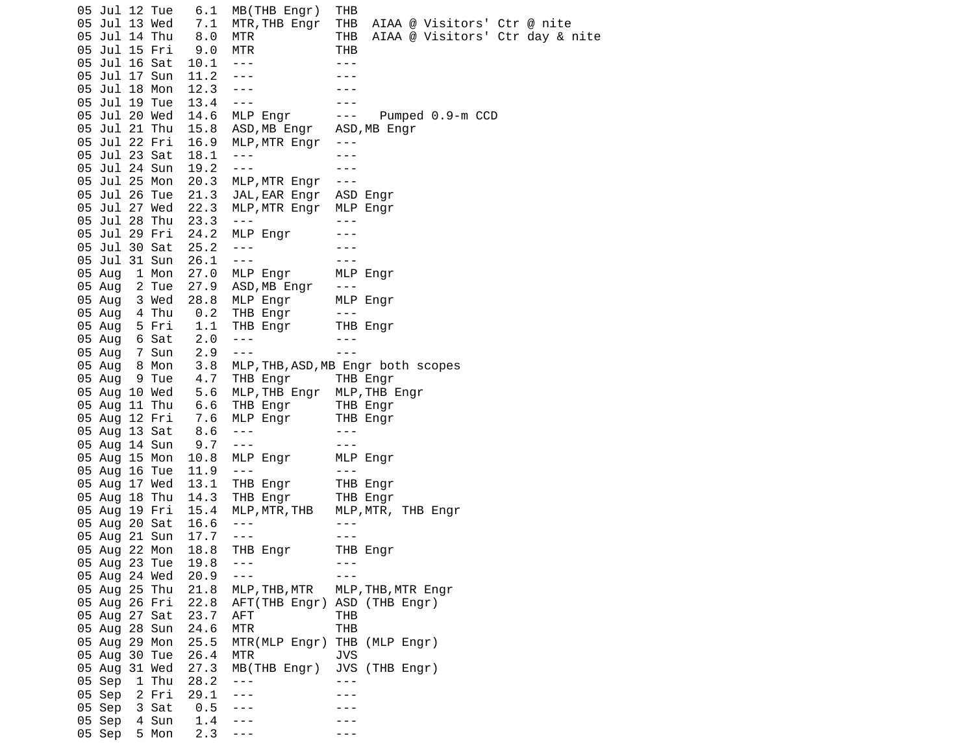05 Jul 12 Tue 6.1 MB(THB Engr) THB 05 Jul 13 Wed 7.1 MTR,THB Engr THB AIAA @ Visitors' Ctr @ nite 05 Jul 14 Thu 8.0 MTR THB AIAA @ Visitors' Ctr day & nite 05 Jul 15 Fri 9.0 MTR THB 05 Jul 16 Sat 10.1 ---<br>05 Jul 17 Sun 11.2 --- --- --- ---05 Jul 17 Sun 11.2 --- -- ---05 Jul 18 Mon 12.3 --- -- ---05 Jul 19 Tue 13.4 --- -- -- --- 05 Jul 20 Wed 14.6 MLP Engr --- Pumped 0.9-m CCD 05 Jul 21 Thu 15.8 ASD, MB Engr ASD, MB Engr<br>05 Jul 22 Fri 16.9 MLP, MTR Engr --- 05 Jul 22 Fri 16.9 MLP,MTR Engr --- 05 Jul 23 Sat 18.1 --- - -- ---05 Jul 24 Sun 19.2 --- -- --- --- 05 Jul 25 Mon 20.3 MLP,MTR Engr --- 05 Jul 26 Tue 21.3 JAL,EAR Engr ASD Engr  $05$  Jul 27 Wed 22.3 MLP, MTR Engr 05 Jul 28 Thu 23.3 --- 05 Jul 29 Fri 24.2 MLP Engr --- 05 Jul 30 Sat 25.2 --- -- -- --- 05 Jul 31 Sun 26.1 --- --- 05 Aug 1 Mon 27.0 MLP Engr 05 Aug 2 Tue 27.9 ASD,MB Engr --- 05 Aug 3 Wed 28.8 MLP Engr MLP Engr 05 Aug 4 Thu 0.2 THB Engr --- 05 Aug 5 Fri 1.1 THB Engr THB Engr 05 Aug 6 Sat 2.0 --- -- ---05 Aug 7 Sun 2.9 --- -- --- 05 Aug 8 Mon 3.8 MLP,THB,ASD,MB Engr both scopes 05 Aug 9 Tue 4.7 THB Engr THB Engr 05 Aug 10 Wed 5.6 MLP,THB Engr MLP,THB Engr 05 Aug 11 Thu 6.6 THB Engr THB Engr 05 Aug 12 Fri 7.6 MLP Engr THB Engr 05 Aug 13 Sat 8.6 --- - - -- 05 Aug 14 Sun 9.7 --- --- 05 Aug 15 Mon 05 Aug 16 Tue 11.9 ---05 Aug 17 Wed 13.1 THB Engr THB Engr 05 Aug 18 Thu 14.3 THB Engr THB Engr<br>05 Aug 19 Fri 15.4 MLP,MTR,THB MLP,MTR, 05 Aug 19 Fri 15.4 MLP,MTR,THB MLP,MTR, THB Engr 05 Aug 20 Sat 16.6 ---<br>05 Aug 21 Sun 17.7 --- --- --- ---05 Aug 21 Sun 17.7 ---05 Aug 22 Mon 18.8 THB Engr THB Engr<br>05 Aug 23 Tue 19.8 ---05 Aug 23 Tue 19.8 ---05 Aug 24 Wed 20.9 --- -- -- --- 05 Aug 25 Thu 21.8 MLP,THB,MTR MLP,THB,MTR Engr 05 Aug 26 Fri 22.8 AFT(THB Engr) ASD (THB Engr) 05 Aug 27 Sat 23.7 AFT THB 05 Aug 28 Sun 24.6 MTR THB 05 Aug 29 Mon 25.5 MTR(MLP Engr) THB (MLP Engr)<br>05 Aug 30 Tue 26.4 MTR JVS 05 Aug 30 Tue 26.4 MTR JVS 05 Aug 31 Wed 27.3 MB(THB Engr) JVS (THB Engr) 05 Sep 1 Thu 28.2 --- -- ---05 Sep 2 Fri 29.1 ---<br>05 Sep 3 Sat 0.5 --- --- --- ---05 Sep 3 Sat 0.5 ---05 Sep 4 Sun 1.4 ---05 Sep 5 Mon 2.3 ---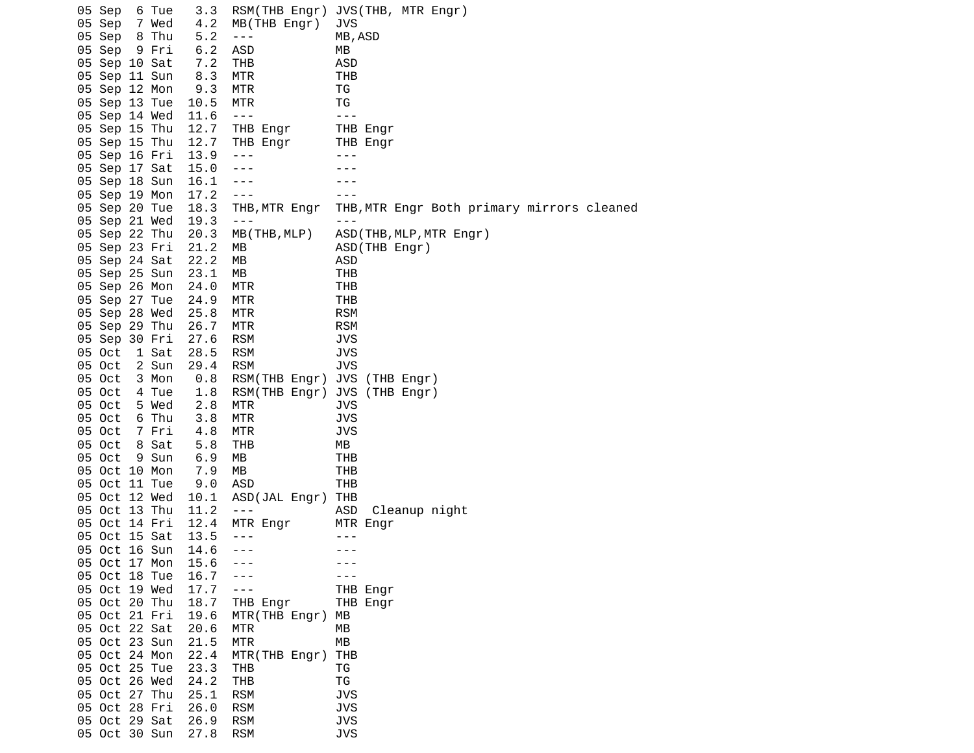05 Sep 6 Tue 3.3 RSM(THB Engr) JVS(THB, MTR Engr) 05 Sep 7 Wed 4.2 MB(THB Engr) JVS 05 Sep 8 Thu 5.2 --- 05 Sep 9 Fri 6.2 ASD MB 05 Sep 10 Sat 7.2 THB ASD 05 Sep 11 Sun 8.3 MTR THB 05 Sep 12 Mon 9.3 05 Sep 13 Tue 10.5 MTR TG 05 Sep 14 Wed 11.6 ---<br>05 Sep 15 Thu 12.7 THB Engr THB Engr 05 Sep 15 Thu 12.7 THB Engr<br>05 Sep 15 Thu 12.7 THB Engr 05 Sep 15 Thu 12.7 THB Engr THB Engr 05 Sep 16 Fri 13.9 --- -- -- ---05 Sep 17 Sat 15.0 --- ---<br>05 Sep 18 Sun 16.1 --- ---05 Sep 18 Sun 16.1 --- -- -- ---05 Sep 19 Mon 17.2 ---<br>05 Sep 20 Tue 18.3 THB,MTR Engr THB 05 Sep 20 Tue 18.3 THB,MTR Engr THB,MTR Engr Both primary mirrors cleaned 05 Sep 21 Wed 19.3 ---<br>05 Sep 22 Thu 20.3 MB(THB,MLP) ASD MB(THB, MLP) ASD(THB, MLP, MTR Engr) 05 Sep 23 Fri 21.2 MB ASD(THB Engr) 05 Sep 24 Sat 22.2 MB ASD 05 Sep 25 Sun 23.1 MB THB 05 Sep 26 Mon 24.0 MTR THB 05 Sep 27 Tue 24.9 MTR THB 05 Sep 28 Wed 25.8 MTR RSM 05 Sep 29 Thu 26.7 MTR RSM 05 Sep 30 Fri 27.6 RSM JVS 05 Oct 1 Sat 28.5 RSM JVS 05 Oct 2 Sun<br>05 Oct 3 Mon 05 Oct 3 Mon 0.8 RSM(THB Engr) JVS (THB Engr) 05 Oct 4 Tue 1.8 RSM(THB Engr) JVS (THB Engr) 05 Oct 5 Wed 2.8 MTR JVS 05 Oct 6 Thu 3.8 MTR 05 Oct 7 Fri 4.8 MTR JVS 05 Oct 8 Sat 5.8 THB MB 05 Oct 9 Sun 6.9 MB THB 05 Oct 10 Mon 7.9 MB THB 05 Oct 11 Tue 9.0 ASD 05 Oct 12 Wed 10.1 ASD(JAL Engr) THB 05 Oct 13 Thu 11.2 --- ASD Cleanup night 05 Oct 14 Fri 12.4 MTR Engr<br>05 Oct 15 Sat 13.5 ---05 Oct 15 Sat 13.5 ---05 Oct 16 Sun 14.6 ---<br>05 Oct 17 Mon 15.6 --- --- --- ---05 Oct 17 Mon 15.6 --- - - - --05 Oct 18 Tue 16.7 --- 05 Oct 19 Wed 17.7 --- THB Engr 05 Oct 20 Thu 18.7 THB Engr 05 Oct 21 Fri 19.6 MTR(THB Engr) MB 05 Oct 22 Sat 20.6 MTR MB 05 Oct 23 Sun 21.5 MTR MB 05 Oct 24 Mon 22.4 MTR(THB Engr) THB 05 Oct 25 Tue 23.3 THB TG 05 Oct 26 Wed 05 Oct 27 Thu 25.1 RSM JVS 05 Oct 28 Fri 05 Oct 29 Sat 26.9 RSM JVS 05 Oct 30 Sun 27.8 RSM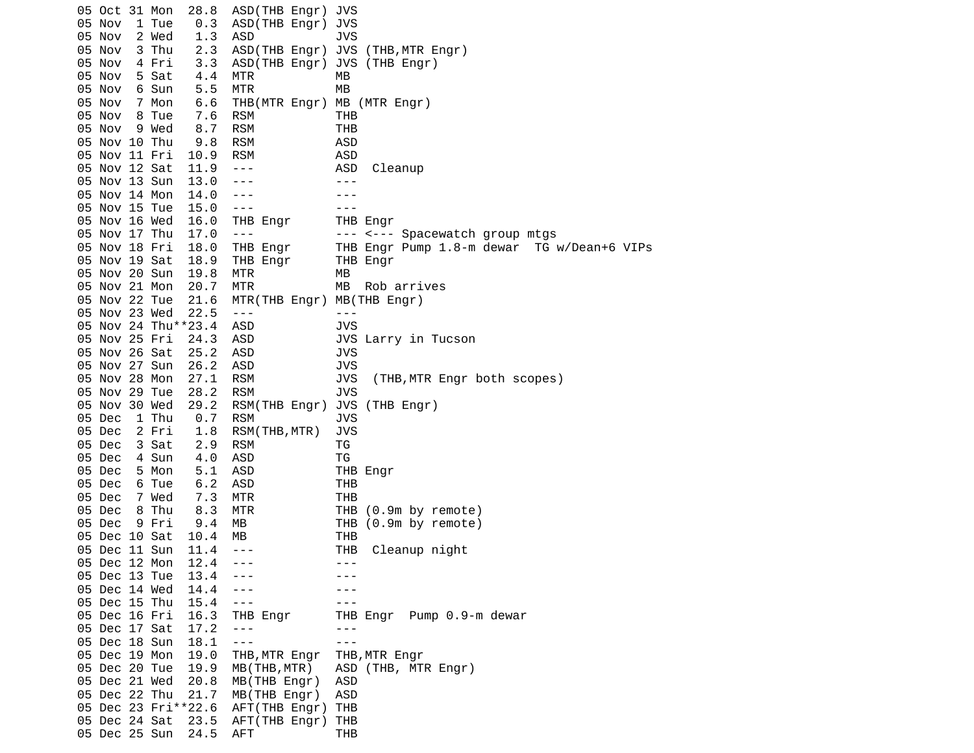05 Oct 31 Mon 28.8 ASD(THB Engr) JVS 05 Nov 1 Tue 0.3 ASD(THB Engr) JVS 05 Nov 2 Wed 1.3 ASD 3VS 05 Nov 3 Thu 2.3 ASD(THB Engr) JVS (THB,MTR Engr)<br>05 Nov 4 Fri 3.3 ASD(THB Engr) JVS (THB Engr) ASD(THB Engr) JVS (THB Engr) 05 Nov 5 Sat 4.4 MTR MB 05 Nov 6 Sun 5.5 MTR 05 Nov 7 Mon 6.6 THB(MTR Engr) MB (MTR Engr) 05 Nov 8 Tue 7.6 RSM THB 05 Nov 9 Wed 8.7 RSM THB 05 Nov 10 Thu 05 Nov 11 Fri 10.9 RSM ASD 05 Nov 12 Sat 11.9 --- ASD Cleanup 05 Nov 13 Sun 13.0 --- - -- ---05 Nov 14 Mon 14.0 ---<br>05 Nov 15 Tue 15.0 --- --- --- ---05 Nov 15 Tue 15.0 ---<br>05 Nov 16 Wed 16.0 THB Engr THB Engr 05 Nov 16 Wed 16.0 THB Engr<br>05 Nov 17 Thu 17.0 ---05 Nov 17 Thu 17.0 --- -- -- -- -- -- Spacewatch group mtgs 05 Nov 18 Fri 18.0 THB Engr THB Engr Pump 1.8-m dewar TG w/Dean+6 VIPs 05 Nov 19 Sat 18.9 THB Engr THB Engr 05 Nov 20 Sun 19.8 MTR MB 05 Nov 21 Mon 20.7 MTR MB Rob arrives 05 Nov 22 Tue 21.6 MTR(THB Engr) MB(THB Engr) 05 Nov 23 Wed 22.5 ---<br>05 Nov 24 Thu\*\*23.4 ASD JVS 05 Nov 24 Thu\*\*23.4 05 Nov 25 Fri 24.3 ASD JVS Larry in Tucson 05 Nov 26 Sat 25.2 ASD JVS 05 Nov 27 Sun 26.2 ASD JVS 05 Nov 28 Mon 27.1 RSM JVS (THB,MTR Engr both scopes) 05 Nov 29 Tue 28.2 RSM JVS 05 Nov 30 Wed 29.2 RSM(THB Engr) JVS (THB Engr) 05 Dec 1 Thu 0.7 RSM JVS 05 Dec 2 Fri 1.8 RSM(THB,MTR) JVS 05 Dec 3 Sat 2.9 RSM TG 05 Dec 4 Sun 4.0 ASD TG 05 Dec 5 Mon 5.1 ASD THB Engr 05 Dec 6 Tue 6.2 ASD THB 05 Dec 7 Wed 7.3 MTR THB 8.3 MTR THB (0.9m by remote) 05 Dec 9 Fri 9.4 MB THB (0.9m by remote) 05 Dec 10 Sat 10.4 MB THB 05 Dec 11 Sun 11.4 --- THB Cleanup night 05 Dec 12 Mon 12.4 ---05 Dec 13 Tue 13.4 --- -- -- ---05 Dec 14 Wed 14.4 ---<br>05 Dec 15 Thu 15.4 --- --- --- ---05 Dec 15 Thu 15.4 ---<br>05 Dec 16 Fri 16.3 THB Engr THB 05 Dec 16 Fri 16.3 THB Engr THB Engr Pump 0.9-m dewar 05 Dec 17 Sat 17.2 ---05 Dec 18 Sun 18.1 ---<br>05 Dec 19 Mon 19.0 THB,MTR Engr THB 05 Dec 19 Mon 19.0 THB,MTR Engr THB,MTR Engr 05 Dec 20 Tue 19.9 MB(THB,MTR) ASD (THB, MTR Engr) 05 Dec 21 Wed 20.8 MB(THB Engr) ASD 05 Dec 22 Thu 21.7 MB(THB Engr) ASD<br>05 Dec 23 Fri\*\*22.6 AFT(THB Engr) THB 05 Dec 23 Fri\*\*22.6 05 Dec 24 Sat 23.5 AFT(THB Engr) THB 05 Dec 25 Sun 24.5 AFT THB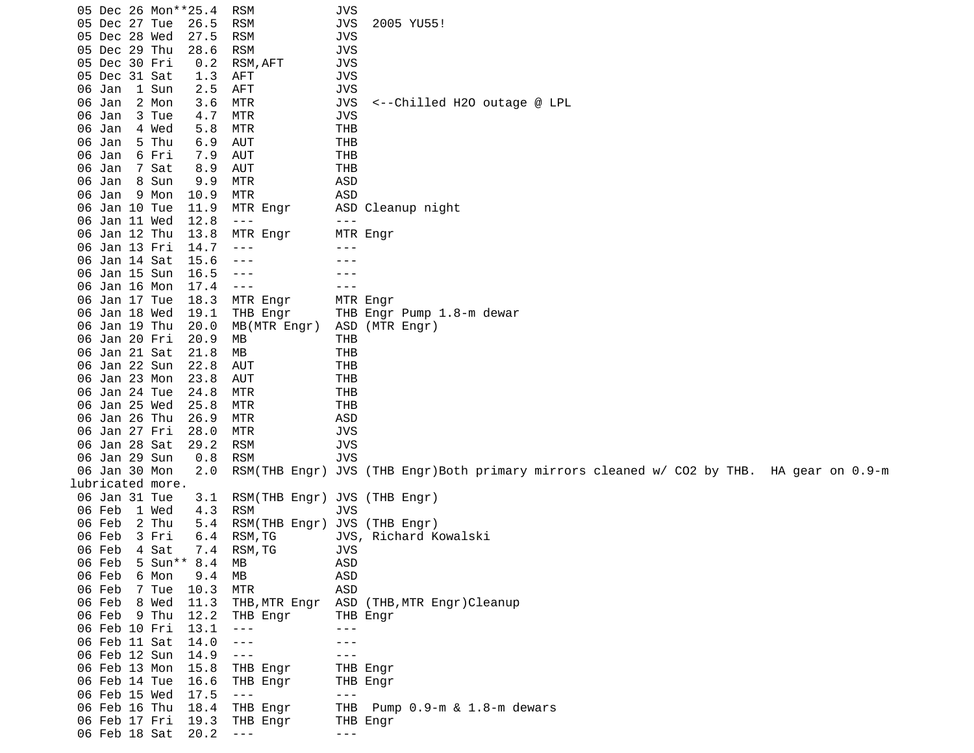05 Dec 26 Mon\*\*25.4 RSM JVS 05 Dec 27 Tue 26.5 RSM JVS 2005 YU55! 05 Dec 28 Wed 27.5 RSM JVS 05 Dec 29 Thu 28.6 RSM JVS 05 Dec 30 Fri 0.2 RSM,AFT JVS 05 Dec 31 Sat 1.3 AFT JVS 06 Jan 1 Sun 2.5 AFT 06 Jan 2 Mon 3.6 MTR JVS <--Chilled H2O outage @ LPL 06 Jan 3 Tue 4.7 MTR JVS 06 Jan 4 Wed 5.8 MTR THB 06 Jan 06 Jan 6 Fri 7.9 AUT THB 06 Jan 7 Sat 8.9 AUT THB 06 Jan 8 Sun 9.9 MTR 06 Jan 9 Mon 10.9 MTR ASD 06 Jan 10 Tue 11.9 MTR Engr ASD Cleanup night 06 Jan 11 Wed 12.8 ---<br>06 Jan 12 Thu 13.8 MTR Engr MTR Engr 06 Jan 12 Thu 13.8 MTR Engr 06 Jan 13 Fri 14.7 --- -- -- ---06 Jan 14 Sat 15.6 --- - -- --06 Jan 15 Sun 16.5 --- - - --06 Jan 16 Mon 17.4 ---06 Jan 17 Tue 18.3 MTR Engr MTR Engr<br>06 Jan 18 Wed 19.1 THB Engr THB Engr 06 Jan 18 Wed 19.1 THB Engr THB Engr Pump 1.8-m dewar<br>06 Jan 19 Thu 20.0 MB(MTR Engr) ASD (MTR Engr) 06 Jan 19 Thu 20.0 06 Jan 20 Fri 20.9 MB THB 06 Jan 21 Sat 21.8 MB THB 06 Jan 22 Sun 22.8 06 Jan 23 Mon 23.8 AUT THB 06 Jan 24 Tue 24.8 MTR THB 06 Jan 25 Wed 25.8 MTR THB 06 Jan 26 Thu 26.9 MTR ASD 06 Jan 27 Fri 28.0 MTR JVS 06 Jan 28 Sat 29.2 RSM JVS 06 Jan 29 Sun 0.8 RSM JVS 06 Jan 30 Mon 2.0 RSM(THB Engr) JVS (THB Engr)Both primary mirrors cleaned w/ CO2 by THB. HA gear on 0.9-m lubricated more. 06 Jan 31 Tue 3.1 RSM(THB Engr) JVS (THB Engr)<br>06 Feb 1 Wed 4.3 RSM JVS 06 Feb 1 Wed 4.3 RSM<br>06 Feb 2 Thu 5.4 RSM 2 Thu 5.4 RSM(THB Engr) JVS (THB Engr)<br>3 Fri 6.4 RSM,TG JVS, Richard K 06 Feb 3 Fri 6.4 RSM,TG JVS, Richard Kowalski 06 Feb 4 Sat 7.4 RSM,TG JVS<br>06 Feb 5 Sun\*\* 8.4 MB ASD 5 Sun\*\* 8.4 MB 06 Feb 6 Mon 9.4 MB ASD 06 Feb 7 Tue 10.3 MTR<br>06 Feb 8 Wed 11.3 THB 06 Feb 8 Wed 11.3 THB,MTR Engr ASD (THB,MTR Engr)Cleanup<br>06 Feb 9 Thu 12.2 THB Engr THB Engr 06 Feb 9 Thu 12.2 THB Engr THB Engr<br>06 Feb 10 Fri 13.1 --- ---06 Feb 10 Fri 13.1 --- -- --- 06 Feb 11 Sat 14.0 --- --- 06 Feb 12 Sun 14.9 --- 06 Feb 13 Mon 15.8 THB Engr THB Engr 06 Feb 14 Tue 16.6 THB Engr THB Engr 06 Feb 15 Wed 17.5 ---<br>06 Feb 16 Thu 18.4 THB Engr THB 18.4 THB Engr THB Pump 0.9-m & 1.8-m dewars<br>19.3 THB Engr THB Engr 06 Feb 17 Fri 19.3 THB Engr THB Engr 06 Feb 18 Sat 20.2 --- -- ---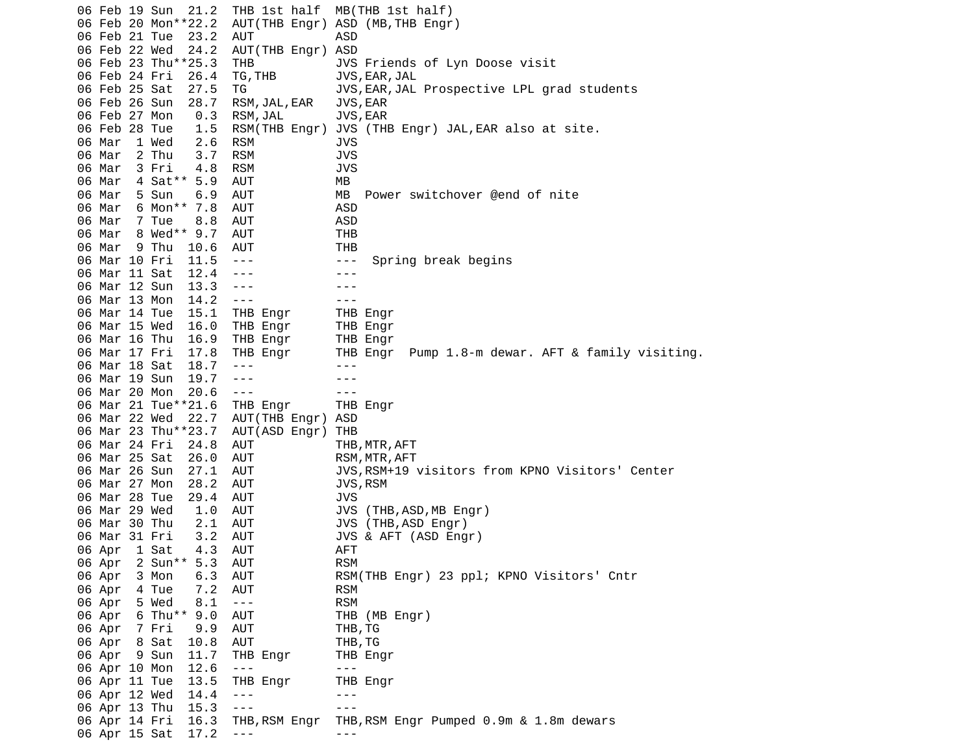06 Feb 19 Sun 21.2 THB 1st half MB(THB 1st half) 06 Feb 20 Mon\*\*22.2 AUT(THB Engr) ASD (MB,THB Engr) 06 Feb 21 Tue 23.2 AUT ASD 06 Feb 22 Wed 24.2 AUT(THB Engr) ASD THB JVS Friends of Lyn Doose visit 06 Feb 24 Fri 26.4 TG,THB JVS,EAR,JAL TG JVS, EAR, JAL Prospective LPL grad students 06 Feb 26 Sun 28.7 RSM,JAL,EAR JVS,EAR 06 Feb 27 Mon 0.3 RSM,JAL JVS,EAR 06 Feb 28 Tue 1.5 RSM(THB Engr) JVS (THB Engr) JAL,EAR also at site. 06 Mar 1 Wed 2.6 RSM 06 Mar 2 Thu 3.7 RSM JVS 06 Mar 3 Fri 4.8 RSM JVS 06 Mar 4 Sat\*\* 5.9 AUT MB 06 Mar 5 Sun 6.9 AUT MB Power switchover @end of nite 06 Mar 6 Mon\*\* 7.8 AUT ASD 06 Mar 7 Tue 8.8 AUT ASD 06 Mar 8 Wed\*\* 9.7 AUT 06 Mar 9 Thu 10.6 AUT THB 06 Mar 10 Fri 11.5 --- --- --- Spring break begins 06 Mar 11 Sat 12.4 --- -- -- ---06 Mar 12 Sun 13.3 --- - - - --06 Mar 13 Mon 14.2 --- -- -- ---06 Mar 14 Tue 15.1 THB Engr THB Engr 06 Mar 15 Wed 16.0 THB Engr THB Engr 06 Mar 16 Thu 16.9 THB Engr THB Engr 06 Mar 17 Fri 17.8 THB Engr THB Engr Pump 1.8-m dewar. AFT & family visiting. 06 Mar 18 Sat 18.7 --- - -- --06 Mar 19 Sun 19.7 --- - -- ---06 Mar 20 Mon 20.6 --- - - - -- 06 Mar 21 Tue\*\*21.6 THB Engr THB Engr 06 Mar 22 Wed 22.7 AUT(THB Engr) ASD 06 Mar 23 Thu\*\*23.7 AUT(ASD Engr) THB 06 Mar 24 Fri 24.8 AUT THB,MTR,AFT 06 Mar 25 Sat 26.0 AUT RSM,MTR,AFT<br>06 Mar 26 Sun 27.1 AUT JVS,RSM+19 JVS, RSM+19 visitors from KPNO Visitors' Center 06 Mar 27 Mon 28.2 AUT JVS,RSM 06 Mar 28 Tue 29.4 AUT JVS 1.0 AUT JVS (THB,ASD,MB Engr) 06 Mar 30 Thu 2.1 AUT JVS (THB,ASD Engr) 06 Mar 31 Fri 3.2 AUT JVS & AFT (ASD Engr) 06 Apr 1 Sat 4.3 AUT AFT 06 Apr 2 Sun\*\* 5.3 AUT 06 Apr 3 Mon 6.3 AUT RSM(THB Engr) 23 ppl; KPNO Visitors' Cntr 06 Apr 4 Tue 7.2 AUT RSM 06 Apr 5 Wed 8.1 --- RSM 06 Apr 6 Thu\*\* 9.0 AUT THB (MB Engr) 06 Apr 7 Fri 9.9 AUT THB,TG 06 Apr 8 Sat 10.8 AUT THB,TG 06 Apr 9 Sun 11.7 THB Engr THB Engr 06 Apr 10 Mon 12.6 --- -- ---06 Apr 11 Tue 13.5 THB Engr THB Engr 06 Apr 12 Wed 14.4 --- ---<br>06 Apr 13 Thu 15.3 --- ---06 Apr 13 Thu 15.3 06 Apr 14 Fri 16.3 THB,RSM Engr THB,RSM Engr Pumped 0.9m & 1.8m dewars 06 Apr 15 Sat 17.2 ---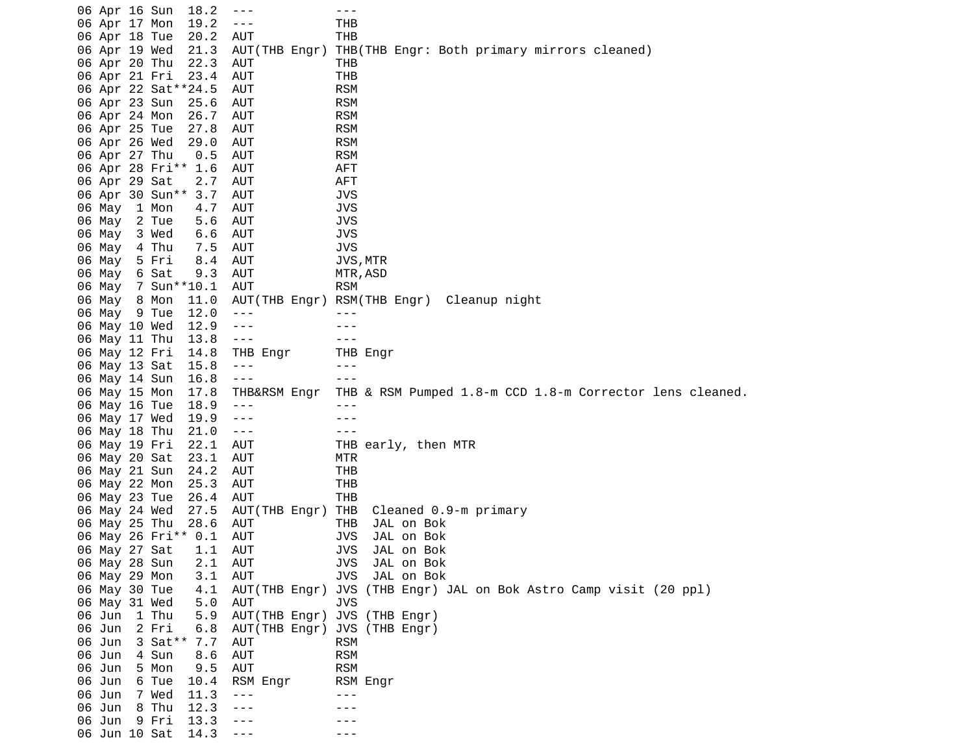06 Apr 16 Sun 18.2 --- -- -- --- 06 Apr 17 Mon 19.2 --- THB 06 Apr 18 Tue 20.2 AUT THB 06 Apr 19 Wed 21.3 AUT(THB Engr) THB(THB Engr: Both primary mirrors cleaned) 06 Apr 20 Thu 22.3 AUT THB 06 Apr 21 Fri 23.4 AUT THB 06 Apr 22 Sat\*\*24.5 AUT 06 Apr 23 Sun 25.6 AUT RSM 06 Apr 24 Mon 26.7 AUT RSM 06 Apr 25 Tue 27.8 AUT RSM<br>06 Apr 26 Wed 29.0 AUT RSM 06 Apr 26 Wed 29.0 AUT 06 Apr 27 Thu 0.5 AUT RSM 06 Apr 28 Fri\*\* 1.6 AUT AFT 06 Apr 29 Sat 2.7 AUT AFT 06 Apr 30 Sun\*\* 3.7 AUT JVS 06 May 1 Mon 4.7 AUT JVS 06 May 2 Tue 5.6 AUT JVS 06 May 3 Wed 6.6 AUT 06 May 4 Thu 7.5 AUT JVS 06 May 5 Fri 8.4 AUT JVS,MTR 06 May 6 Sat 9.3 AUT MTR, ASD 06 May 7 Sun\*\*10.1 AUT RSM 06 May 8 Mon 11.0 AUT(THB Engr) RSM(THB Engr) Cleanup night 06 May 9 Tue 12.0 --- -- ---06 May 10 Wed 12.9 ---06 May 11 Thu 13.8 --- 06 May 12 Fri 14.8 THB Engr THB Engr 06 May 13 Sat 15.8 --- - -- --06 May 14 Sun 16.8 --- - - -- 06 May 15 Mon 17.8 THB&RSM Engr THB & RSM Pumped 1.8-m CCD 1.8-m Corrector lens cleaned. 06 May 16 Tue 18.9 --- --- 06 May 17 Wed 19.9 --- - - --06 May 18 Thu 21.0 --- -- -- --- 06 May 19 Fri 22.1 AUT THB early, then MTR 06 May 20 Sat 23.1 AUT MTR 06 May 21 Sun 24.2 AUT 06 May 22 Mon 25.3 AUT THB 06 May 23 Tue 26.4 AUT THB 06 May 24 Wed 27.5 AUT(THB Engr) THB Cleaned 0.9-m primary 06 May 25 Thu 28.6 AUT THB JAL on Bok 06 May 26 Fri\*\* 0.1 AUT JVS JAL on Bok 06 May 27 Sat 1.1 AUT JVS JAL on Bok 06 May 28 Sun 2.1 AUT 06 May 29 Mon 3.1 AUT JVS JAL on Bok 06 May 30 Tue 4.1 AUT(THB Engr) JVS (THB Engr) JAL on Bok Astro Camp visit (20 ppl) 06 May 31 Wed<br>06 Jun 1 Thu 5.9 AUT(THB Engr) JVS (THB Engr) 06 Jun 2 Fri 6.8 AUT(THB Engr) JVS (THB Engr) 06 Jun 3 Sat\*\* 7.7 AUT RSM 06 Jun 4 Sun 8.6 AUT 06 Jun 5 Mon 9.5 AUT RSM 06 Jun 6 Tue 10.4 RSM Engr RSM Engr 06 Jun 7 Wed 11.3 --- --- 06 Jun 8 Thu 12.3 --- -- ---06 Jun 9 Fri 13.3 --- - -- ---06 Jun 10 Sat 14.3 ---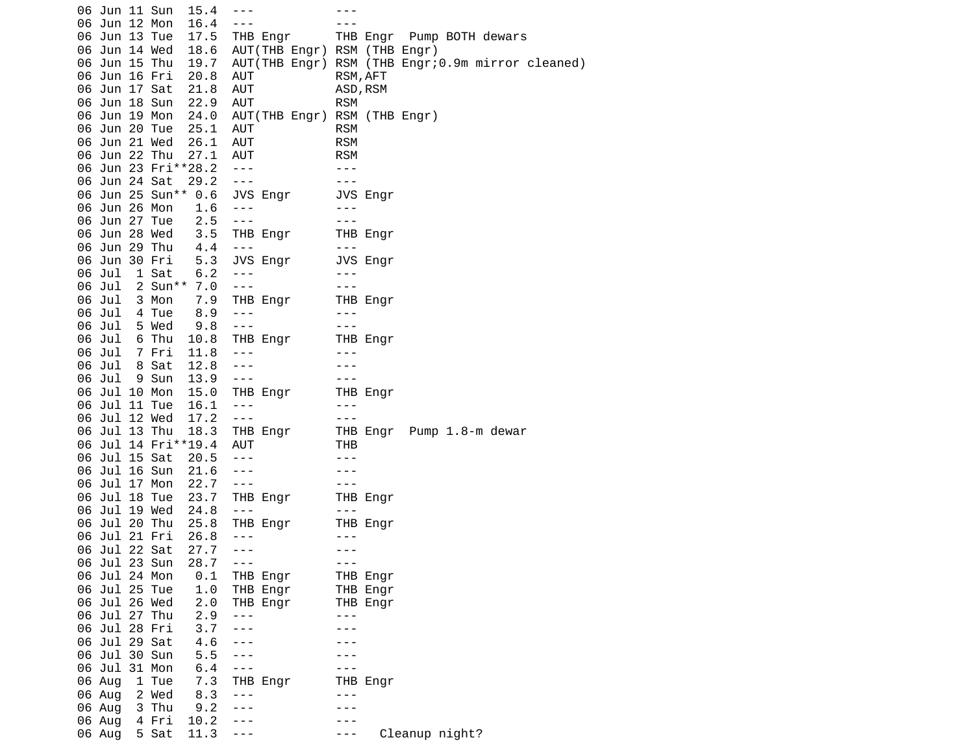|  | 06 Jun 11 Sun |       | 15.4                    | $- - -$              |                                   | $- - -$                     |          |                                                       |
|--|---------------|-------|-------------------------|----------------------|-----------------------------------|-----------------------------|----------|-------------------------------------------------------|
|  | 06 Jun 12 Mon |       | 16.4                    | $- - -$              |                                   |                             |          |                                                       |
|  | 06 Jun 13 Tue |       |                         |                      | 17.5 THB Engr                     |                             |          | THB Engr Pump BOTH dewars                             |
|  | 06 Jun 14 Wed |       |                         |                      | 18.6 AUT(THB Engr) RSM (THB Engr) |                             |          |                                                       |
|  | 06 Jun 15 Thu |       |                         |                      |                                   |                             |          | 19.7 AUT(THB Engr) RSM (THB Engr;0.9m mirror cleaned) |
|  | 06 Jun 16 Fri |       | 20.8                    | AUT                  |                                   | RSM, AFT                    |          |                                                       |
|  | 06 Jun 17 Sat |       | 21.8                    | AUT                  |                                   | ASD, RSM                    |          |                                                       |
|  | 06 Jun 18 Sun |       | 22.9                    | AUT                  |                                   | RSM                         |          |                                                       |
|  | 06 Jun 19 Mon |       |                         |                      | 24.0 AUT(THB Engr) RSM (THB Engr) |                             |          |                                                       |
|  | 06 Jun 20 Tue |       | 25.1                    | <b>AUT</b>           |                                   | <b>RSM</b>                  |          |                                                       |
|  | 06 Jun 21 Wed |       | 26.1                    | AUT                  |                                   | <b>RSM</b>                  |          |                                                       |
|  | 06 Jun 22 Thu |       | 27.1                    | AUT                  |                                   | <b>RSM</b>                  |          |                                                       |
|  |               |       | 06 Jun 23 Fri**28.2 --- |                      |                                   | $\sim$ $  -$                |          |                                                       |
|  | 06 Jun 24 Sat |       | $29.2 - -$              |                      |                                   | $\sim$ $\sim$ $\sim$ $\sim$ |          |                                                       |
|  |               |       | 06 Jun 25 Sun** 0.6     |                      |                                   |                             |          |                                                       |
|  | 06 Jun 26 Mon |       | 1.6                     |                      |                                   |                             |          |                                                       |
|  | 06 Jun 27 Tue |       | 2.5                     | $- - - -$            |                                   |                             |          |                                                       |
|  | 06 Jun 28 Wed |       |                         |                      | THE Engr<br>THE Engr<br>---       |                             |          |                                                       |
|  | 06 Jun 29 Thu |       | $3.5$<br>$4.4$          | $\sim$ $\sim$ $\sim$ |                                   | $  -$                       |          |                                                       |
|  | 06 Jun 30 Fri |       | 5.3                     |                      | JVS Engr<br>---<br>---            |                             |          |                                                       |
|  | 06 Jul        | 1 Sat | 6.2                     |                      |                                   |                             |          |                                                       |
|  |               |       | 06 Jul 2 Sun** 7.0      |                      |                                   |                             |          |                                                       |
|  | 06 Jul 3 Mon  |       | 7.9                     |                      |                                   |                             |          |                                                       |
|  | 06 Jul 4 Tue  |       | 8.9                     |                      | THB Engr<br>THB Engr<br>---       |                             |          |                                                       |
|  | 06 Jul        | 5 Wed | 9.8                     | $\sim$ $\sim$ $\sim$ |                                   | $\sim$ 100                  |          |                                                       |
|  | 06 Jul        | 6 Thu |                         |                      |                                   |                             |          |                                                       |
|  | 06 Jul 7 Fri  |       |                         |                      |                                   |                             |          |                                                       |
|  | 06 Jul        | 8 Sat | 12.8                    |                      |                                   |                             |          |                                                       |
|  | 06 Jul        | 9 Sun | 13.9                    | $\sim$ $\sim$ $\sim$ |                                   | $\sim$ $  -$                |          |                                                       |
|  | 06 Jul 10 Mon |       | 15.0                    |                      | THB Engr<br>---<br>---            |                             |          |                                                       |
|  | 06 Jul 11 Tue |       | 16.1                    |                      |                                   |                             |          |                                                       |
|  | 06 Jul 12 Wed |       | 17.2                    | $\sim$ $ \sim$       |                                   | $\sim$ $\sim$ $\sim$ $\sim$ |          |                                                       |
|  | 06 Jul 13 Thu |       |                         |                      |                                   |                             |          |                                                       |
|  |               |       | 06 Jul 14 Fri**19.4     |                      |                                   |                             |          |                                                       |
|  | 06 Jul 15 Sat |       | 20.5                    | $- - -$              |                                   | $- - -$                     |          |                                                       |
|  | 06 Jul 16 Sun |       | 21.6                    | $\sim$ $\sim$ $\sim$ |                                   | $\frac{1}{2}$               |          |                                                       |
|  | 06 Jul 17 Mon |       | 22.7                    | $\sim$ $ \sim$       |                                   | $\sim$ $ \sim$              |          |                                                       |
|  | 06 Jul 18 Tue |       | 23.7                    |                      | THB Engr THB Engr                 |                             |          |                                                       |
|  | 06 Jul 19 Wed |       | 24.8                    | $\sim$ $\sim$ $\sim$ |                                   | $- - -$                     |          |                                                       |
|  | 06 Jul 20 Thu |       |                         |                      | 25.8 THB Engr     THB Engr        |                             |          |                                                       |
|  |               |       | 06 Jul 21 Fri 26.8      | $\frac{1}{2}$        |                                   | $- - -$                     |          |                                                       |
|  | 06 Jul 22 Sat |       | 27.7                    | $- - -$              |                                   | $- - -$                     |          |                                                       |
|  | 06 Jul 23 Sun |       | 28.7                    | $- - -$              |                                   | $- - -$                     |          |                                                       |
|  | 06 Jul 24 Mon |       | 0.1                     |                      | THB Engr                          |                             | THB Engr |                                                       |
|  | 06 Jul 25 Tue |       | 1.0                     |                      | THB Engr                          |                             | THB Engr |                                                       |
|  | 06 Jul 26 Wed |       | 2.0                     |                      | THB Engr                          |                             | THB Engr |                                                       |
|  | 06 Jul 27 Thu |       | 2.9                     | $- - -$              |                                   | $- - -$                     |          |                                                       |
|  | 06 Jul 28 Fri |       | 3.7                     | ---                  |                                   |                             |          |                                                       |
|  | 06 Jul 29 Sat |       | 4.6                     | ---                  |                                   |                             |          |                                                       |
|  | 06 Jul 30 Sun |       | 5.5                     | $- - -$              |                                   |                             |          |                                                       |
|  | 06 Jul 31 Mon |       | 6.4                     | $- - -$              |                                   |                             |          |                                                       |
|  | 06 Aug        | 1 Tue | 7.3                     |                      | THB Engr                          |                             | THB Engr |                                                       |
|  | 06 Aug        | 2 Wed | 8.3                     | $- - -$              |                                   |                             |          |                                                       |
|  | 06 Aug        | 3 Thu | 9.2                     | $- - -$              |                                   |                             |          |                                                       |
|  | 06 Aug        | 4 Fri | 10.2                    | ---                  |                                   |                             |          |                                                       |
|  | 06 Aug        | 5 Sat | 11.3                    | $- - -$              |                                   |                             |          | Cleanup night?                                        |
|  |               |       |                         |                      |                                   |                             |          |                                                       |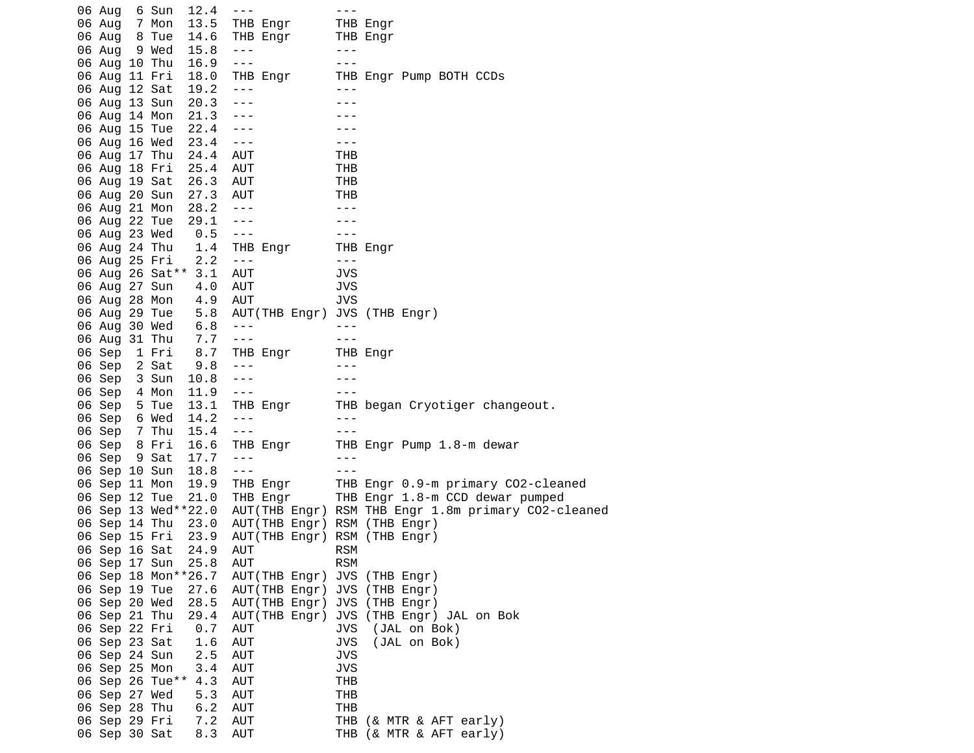06 Aug 6 Sun 12.4 --- 06 Aug 7 Mon 13.5 THB Engr THB Engr 06 Aug 8 Tue 14.6 THB Engr THB Engr 06 Aug 9 Wed 15.8 --- - -- --06 Aug 10 Thu 16.9 --- - -- --- 06 Aug 11 Fri 18.0 THB Engr THB Engr Pump BOTH CCDs 06 Aug 12 Sat 19.2 --- -- ---06 Aug 13 Sun 20.3 --- -- -- ---06 Aug 14 Mon 21.3 ---<br>06 Aug 15 Tue 22.4 --- --- --- ---06 Aug 15 Tue 22.4 ---<br>06 Aug 16 Wed 23.4 --- --- --- ---06 Aug 16 Wed 23.4 ---06 Aug 17 Thu 24.4 AUT THB 06 Aug 18 Fri 25.4 AUT THB 06 Aug 19 Sat 26.3 AUT THB 06 Aug 20 Sun 27.3 AUT THB 06 Aug 21 Mon 28.2 --- -- -- ---06 Aug 22 Tue 29.1 --- -- -- ---06 Aug 23 Wed 0.5 --- -- --- 06 Aug 24 Thu 1.4 THB Engr THB Engr 06 Aug 25 Fri 2.2 --- -- --- --- 06 Aug 26 Sat\*\* 3.1 AUT JVS 06 Aug 27 Sun 4.0 AUT JVS 06 Aug 28 Mon 4.9 AUT JVS 06 Aug 29 Tue 5.8 AUT(THB Engr) JVS (THB Engr) 06 Aug 30 Wed 6.8 --- --- 06 Aug 31 Thu 7.7 --- 06 Sep 1 Fri 8.7 THB Engr THB Engr 06 Sep 2 Sat 9.8 --- -- ---06 Sep 3 Sun 10.8 --- -- ---06 Sep 4 Mon 11.9 ---<br>06 Sep 5 Tue 13.1 THB Engr THB 06 Sep 5 Tue 13.1 THB Engr THB began Cryotiger changeout. 06 Sep 6 Wed 14.2 --- -- ---06 Sep 7 Thu 15.4 --- -- -- --- 06 Sep 8 Fri 16.6 THB Engr THB Engr Pump 1.8-m dewar 06 Sep 9 Sat 17.7 ---<br>06 Sep 10 Sun 18.8 --- --- --- ---06 Sep 10 Sun 18.8 --- 06 Sep 11 Mon 19.9 THB Engr THB Engr 0.9-m primary CO2-cleaned 06 Sep 12 Tue 21.0 THB Engr THB Engr 1.8-m CCD dewar pumped<br>06 Sep 13 Wed\*\*22.0 AUT(THB Engr) RSM THB Engr 1.8m primary CO2-c 06 Sep 13 Wed\*\*22.0 AUT(THB Engr) RSM THB Engr 1.8m primary CO2-cleaned<br>06 Sep 14 Thu 23.0 AUT(THB Engr) RSM (THB Engr) AUT(THB Engr) RSM (THB Engr) 06 Sep 15 Fri 23.9 AUT(THB Engr) RSM (THB Engr) 06 Sep 16 Sat 24.9 AUT RSM 06 Sep 17 Sun 25.8 AUT 06 Sep 18 Mon\*\*26.7 AUT(THB Engr) JVS (THB Engr) 06 Sep 19 Tue 27.6 AUT(THB Engr) JVS (THB Engr) 06 Sep 20 Wed 28.5 AUT(THB Engr) JVS (THB Engr) 29.4 AUT(THB Engr) JVS (THB Engr) JAL on Bok 06 Sep 22 Fri 0.7 AUT JVS (JAL on Bok) 06 Sep 23 Sat 1.6 AUT JVS (JAL on Bok) 06 Sep 24 Sun 2.5 AUT JVS 06 Sep 25 Mon 3.4 AUT JVS 06 Sep 26 Tue\*\* 4.3 AUT 06 Sep 27 Wed 5.3 AUT THB 06 Sep 28 Thu 6.2 AUT THB 06 Sep 29 Fri 7.2 AUT THB (& MTR & AFT early) 8.3 AUT THB (& MTR & AFT early)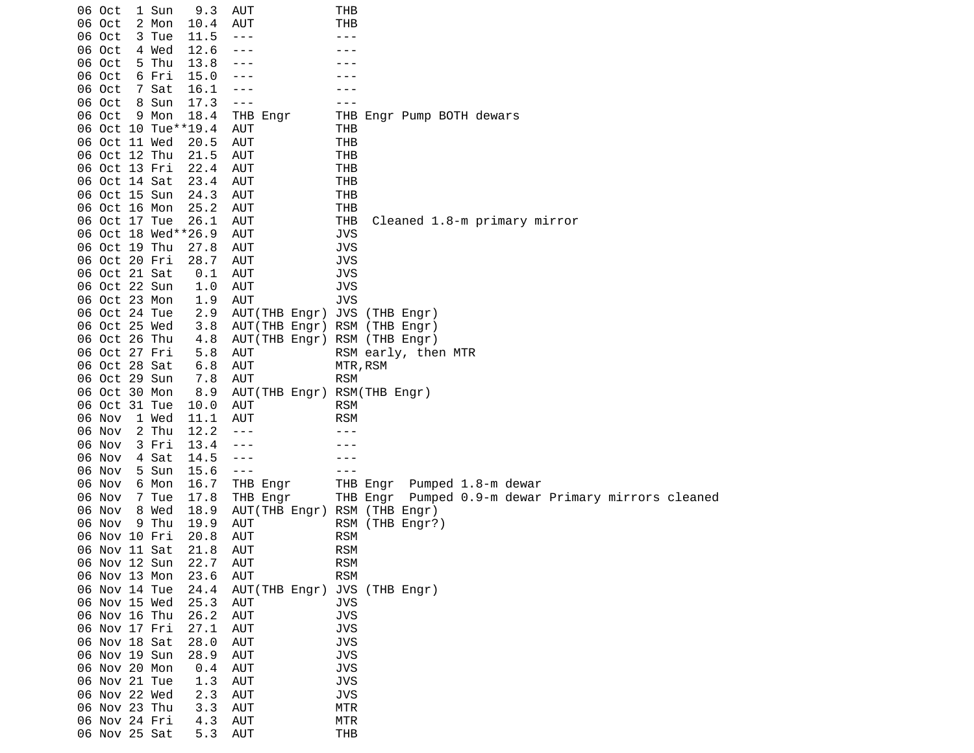| 06 Oct<br>06 Oct               | 1 Sun          | 9.3          | AUT                      | THB                                                          |
|--------------------------------|----------------|--------------|--------------------------|--------------------------------------------------------------|
| 06 Oct                         | 2 Mon<br>3 Tue | 10.4<br>11.5 | AUT<br>$- - -$           | тнв<br>- - -                                                 |
| 06 Oct                         | 4 Wed          | 12.6         | ---                      |                                                              |
| 06 Oct                         | 5 Thu          | 13.8         |                          |                                                              |
| 06 Oct                         | 6 Fri          | 15.0         | - - -                    |                                                              |
| 06 Oct                         | 7 Sat          | 16.1         | ---                      |                                                              |
| 06 Oct                         | 8 Sun          | 17.3         | $- - -$                  |                                                              |
| 06 Oct                         | 9 Mon          | 18.4         | THB Engr                 | THB Engr Pump BOTH dewars                                    |
| 06 Oct 10 Tue**19.4            |                |              | AUT                      | THB                                                          |
| 06 Oct 11 Wed                  |                | 20.5         | AUT                      | <b>THB</b>                                                   |
| 06 Oct 12 Thu                  |                | 21.5         | AUT                      | THB                                                          |
| 06 Oct 13 Fri                  |                | 22.4         | <b>AUT</b>               | <b>THB</b>                                                   |
| 06 Oct 14 Sat                  |                | 23.4         | AUT                      | THB                                                          |
| 06 Oct 15 Sun                  |                | 24.3         | AUT                      | <b>THB</b>                                                   |
| 06 Oct 16 Mon                  |                | 25.2         | AUT                      | <b>THB</b>                                                   |
| 06 Oct 17 Tue                  |                | 26.1         | AUT                      | <b>THB</b><br>Cleaned 1.8-m primary mirror                   |
| 06 Oct 18 Wed**26.9            |                |              | AUT                      | <b>JVS</b>                                                   |
| 06 Oct 19 Thu                  |                | 27.8         | AUT                      | <b>JVS</b>                                                   |
| 06 Oct 20 Fri                  |                | 28.7         | AUT                      | <b>JVS</b>                                                   |
| 06 Oct 21 Sat                  |                | 0.1          | AUT                      | <b>JVS</b>                                                   |
| 06 Oct 22 Sun                  |                | 1.0          | AUT                      | <b>JVS</b>                                                   |
| 06 Oct 23 Mon                  |                | 1.9          | AUT                      | <b>JVS</b>                                                   |
| 06 Oct 24 Tue<br>06 Oct 25 Wed |                | 2.9<br>3.8   | AUT(THB Engr)            | JVS<br>(THB Engr)                                            |
| 06 Oct 26 Thu                  |                | 4.8          |                          | AUT(THB Engr) RSM (THB Engr)<br>AUT(THB Engr) RSM (THB Engr) |
| 06 Oct 27 Fri                  |                | 5.8          | AUT                      | RSM early, then MTR                                          |
| 06 Oct 28 Sat                  |                | 6.8          | AUT                      | MTR, RSM                                                     |
| 06 Oct 29 Sun                  |                | 7.8          | AUT                      | <b>RSM</b>                                                   |
| 06 Oct 30 Mon                  |                | 8.9          | AUT(THB Engr)            | RSM(THB Engr)                                                |
| 06 Oct 31 Tue                  |                | 10.0         | AUT                      | <b>RSM</b>                                                   |
| 06 Nov                         | 1 Wed          | 11.1         | AUT                      | <b>RSM</b>                                                   |
| 06 Nov                         | 2 Thu          | 12.2         | ---                      |                                                              |
| 06 Nov                         | 3 Fri          | 13.4         | ---                      |                                                              |
| 06 Nov                         | 4 Sat          | 14.5         | ---                      |                                                              |
| 06 Nov                         | 5 Sun          | 15.6         | $- - -$                  |                                                              |
| 06 Nov                         | 6 Mon          | 16.7         | THB Engr                 | THB Engr<br>Pumped 1.8-m dewar                               |
| 06 Nov                         | 7 Tue          | 17.8         | THB Engr                 | Pumped 0.9-m dewar Primary mirrors cleaned<br>THB Engr       |
| 06 Nov                         | 8 Wed          | 18.9         | AUT(THB Engr)            | RSM (THB Engr)                                               |
| 06 Nov                         | 9 Thu          | 19.9         | AUT                      | RSM (THB Engr?)                                              |
| 06 Nov 10 Fri                  |                | 20.8         | AUT                      | <b>RSM</b>                                                   |
| 06 Nov 11 Sat                  |                | 21.8         | AUT                      | <b>RSM</b>                                                   |
| 06 Nov 12 Sun                  |                | 22.7         | <b>AUT</b>               | <b>RSM</b>                                                   |
| 06 Nov 13 Mon                  |                | 23.6         | <b>AUT</b>               | <b>RSM</b>                                                   |
| 06 Nov 14 Tue                  |                | 24.4         | AUT(THB Engr)            | JVS (THB Engr)                                               |
| 06 Nov 15 Wed                  |                | 25.3         | <b>AUT</b>               | <b>JVS</b>                                                   |
| 06 Nov 16 Thu                  |                | 26.2         | AUT                      | <b>JVS</b>                                                   |
| 06 Nov 17 Fri<br>06 Nov 18 Sat |                | 27.1         | <b>AUT</b><br><b>AUT</b> | <b>JVS</b><br><b>JVS</b>                                     |
| 06 Nov 19 Sun                  |                | 28.0<br>28.9 | <b>AUT</b>               | <b>JVS</b>                                                   |
| 06 Nov 20 Mon                  |                | 0.4          | AUT                      | <b>JVS</b>                                                   |
| 06 Nov 21 Tue                  |                | 1.3          | AUT                      | <b>JVS</b>                                                   |
| 06 Nov 22 Wed                  |                | 2.3          | <b>AUT</b>               | <b>JVS</b>                                                   |
| 06 Nov 23 Thu                  |                | 3.3          | <b>AUT</b>               | <b>MTR</b>                                                   |
| 06 Nov 24 Fri                  |                | 4.3          | AUT                      | <b>MTR</b>                                                   |
| 06 Nov 25 Sat                  |                | 5.3          | <b>AUT</b>               | <b>THB</b>                                                   |
|                                |                |              |                          |                                                              |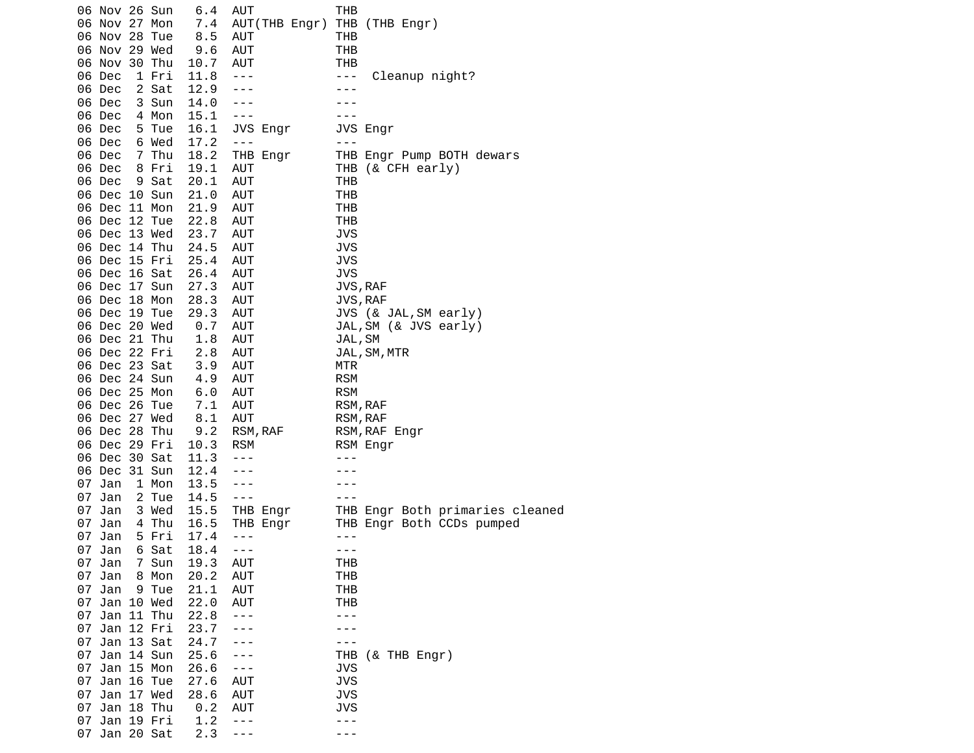|    | 06 Nov 26 Sun |       | 6.4          | AUT           | THB                             |
|----|---------------|-------|--------------|---------------|---------------------------------|
|    | 06 Nov 27 Mon |       | 7.4          | AUT(THB Engr) | THB (THB Engr)                  |
|    | 06 Nov 28 Tue |       | 8.5          | <b>AUT</b>    | THB                             |
|    | 06 Nov 29 Wed |       | 9.6          | <b>AUT</b>    | <b>THB</b>                      |
|    | 06 Nov 30 Thu |       | 10.7         | <b>AUT</b>    | THB                             |
|    | 06 Dec        | 1 Fri | 11.8         | $  -$         | Cleanup night?<br>$- - -$       |
|    | 06 Dec        | 2 Sat | 12.9         | ---           | $- - -$                         |
|    | 06 Dec        | 3 Sun | 14.0         |               |                                 |
|    | 06 Dec        | 4 Mon | 15.1         | $  -$         | - - -                           |
|    | 06 Dec        | 5 Tue | 16.1         | JVS Engr      | JVS Engr                        |
|    | 06 Dec        | 6 Wed | 17.2         | $- - -$       | $- - -$                         |
|    | 06 Dec        | 7 Thu | 18.2         | THB Engr      | THB Engr Pump BOTH dewars       |
|    | 06 Dec        | 8 Fri | 19.1         | AUT           | THB (& CFH early)               |
|    | 06 Dec        | 9 Sat | 20.1         | AUT           | THB                             |
|    | 06 Dec 10 Sun |       | 21.0         | AUT           | THB                             |
|    | 06 Dec 11 Mon |       | 21.9         | AUT           | THB                             |
|    | 06 Dec 12 Tue |       | 22.8         | AUT           | THB                             |
|    | 06 Dec 13 Wed |       | 23.7         | <b>AUT</b>    | <b>JVS</b>                      |
|    | 06 Dec 14 Thu |       | 24.5         | AUT           | <b>JVS</b>                      |
|    | 06 Dec 15 Fri |       | 25.4         | AUT           | JVS                             |
|    | 06 Dec 16 Sat |       | 26.4         | AUT           | JVS                             |
|    | 06 Dec 17 Sun |       | 27.3         | AUT           | JVS, RAF                        |
|    | 06 Dec 18 Mon |       | 28.3         | <b>AUT</b>    | JVS, RAF                        |
|    | 06 Dec 19 Tue |       | 29.3         | AUT           | JVS (& JAL, SM early)           |
|    | 06 Dec 20 Wed |       | 0.7          | AUT           | JAL, SM (& JVS early)           |
|    | 06 Dec 21 Thu |       | 1.8          | <b>AUT</b>    | JAL, SM                         |
|    | 06 Dec 22 Fri |       | 2.8          | AUT           | JAL, SM, MTR                    |
|    | 06 Dec 23 Sat |       | 3.9          | AUT           | MTR                             |
|    | 06 Dec 24 Sun |       | 4.9          | AUT           | <b>RSM</b>                      |
|    | 06 Dec 25 Mon |       | 6.0          | AUT           | <b>RSM</b>                      |
|    | 06 Dec 26 Tue |       | 7.1          | AUT           | RSM, RAF                        |
|    | 06 Dec 27 Wed |       | 8.1          | <b>AUT</b>    | RSM, RAF                        |
|    | 06 Dec 28 Thu |       | 9.2          | RSM, RAF      | RSM, RAF Engr                   |
|    | 06 Dec 29 Fri |       | 10.3         | <b>RSM</b>    | RSM Engr                        |
|    | 06 Dec 30 Sat |       | 11.3         | $- - -$       | $  -$                           |
|    | 06 Dec 31 Sun |       | 12.4         |               |                                 |
|    | 07 Jan        | 1 Mon | 13.5         | $- - -$       |                                 |
|    | 07 Jan        | 2 Tue | 14.5         | $- - -$       |                                 |
| 07 | Jan           |       | 15.5         |               |                                 |
|    | 07 Jan        | 3 Wed |              | THB Engr      | THB Engr Both primaries cleaned |
|    |               | 4 Thu | 16.5         | THB Engr      | THB Engr Both CCDs pumped       |
| 07 | Jan           | 5 Fri | 17.4         | $- - -$       |                                 |
| 07 | Jan           | 6 Sat | 18.4<br>19.3 | $- - -$       | - - -                           |
|    | 07 Jan        | 7 Sun |              | <b>AUT</b>    | THB                             |
| 07 | Jan           | 8 Mon | 20.2         | <b>AUT</b>    | <b>THB</b>                      |
|    | 07 Jan        | 9 Tue | 21.1         | <b>AUT</b>    | <b>THB</b>                      |
|    | 07 Jan 10 Wed |       | 22.0         | <b>AUT</b>    | <b>THB</b>                      |
| 07 | Jan 11 Thu    |       | 22.8         |               | - - -                           |
| 07 | Jan 12 Fri    |       | 23.7         |               |                                 |
| 07 | Jan 13 Sat    |       | 24.7         |               |                                 |
|    | 07 Jan 14 Sun |       | 25.6         |               | THB<br>(& THB Engr)             |
| 07 | Jan 15 Mon    |       | 26.6         | ---           | JVS                             |
|    | 07 Jan 16 Tue |       | 27.6         | <b>AUT</b>    | <b>JVS</b>                      |
| 07 | Jan 17 Wed    |       | 28.6         | <b>AUT</b>    | <b>JVS</b>                      |
|    | 07 Jan 18 Thu |       | 0.2          | AUT           | JVS                             |
|    | 07 Jan 19 Fri |       | 1.2          | - - -         |                                 |
| 07 | Jan 20 Sat    |       | 2.3          | ---           |                                 |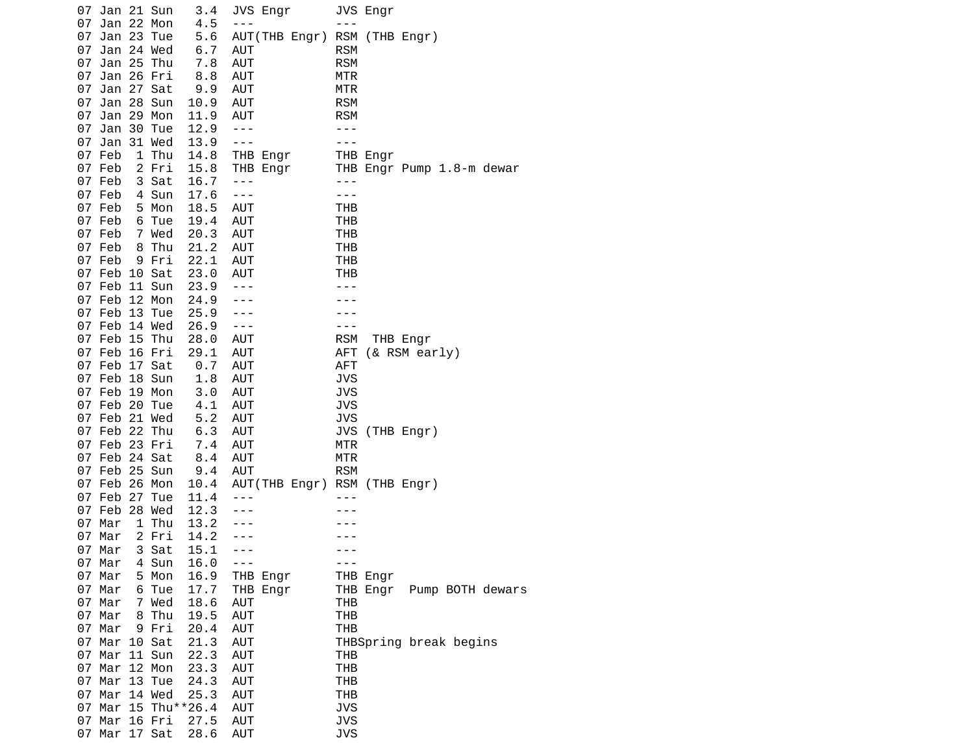|    | 07 Jan 21 Sun                  |                | 3.4                 |                          | JVS Engr      |                          | JVS Engr |                           |
|----|--------------------------------|----------------|---------------------|--------------------------|---------------|--------------------------|----------|---------------------------|
|    | 07 Jan 22 Mon                  |                | 4.5                 | $- - -$                  |               | $- - -$                  |          |                           |
| 07 | Jan 23 Tue                     |                | 5.6                 |                          | AUT(THB Engr) |                          |          | RSM (THB Engr)            |
|    | 07 Jan 24 Wed                  |                | 6.7                 | AUT                      |               | <b>RSM</b>               |          |                           |
|    | 07 Jan 25 Thu                  |                | 7.8                 | <b>AUT</b>               |               | <b>RSM</b>               |          |                           |
|    | 07 Jan 26 Fri                  |                | 8.8                 | AUT                      |               | MTR                      |          |                           |
|    | 07 Jan 27 Sat                  |                | 9.9                 | <b>AUT</b>               |               | <b>MTR</b>               |          |                           |
| 07 | Jan 28 Sun                     |                | 10.9                | <b>AUT</b>               |               | <b>RSM</b>               |          |                           |
|    | 07 Jan 29 Mon                  |                | 11.9                | <b>AUT</b>               |               | <b>RSM</b>               |          |                           |
|    | 07 Jan 30 Tue                  |                | 12.9                | $- - -$                  |               | ---                      |          |                           |
|    | 07 Jan 31 Wed                  |                | 13.9                | $- - -$                  |               |                          |          |                           |
|    | 07 Feb                         | 1 Thu          | 14.8                |                          | THB Engr      |                          | THB Engr |                           |
|    | 07 Feb                         | 2 Fri          | 15.8<br>16.7        | $- - -$                  | THB Engr      | $- - -$                  |          | THB Engr Pump 1.8-m dewar |
|    | 07 Feb<br>07 Feb               | 3 Sat<br>4 Sun | 17.6                | $- - -$                  |               | $- - -$                  |          |                           |
|    | 07 Feb                         | 5 Mon          | 18.5                | <b>AUT</b>               |               | THB                      |          |                           |
|    | 07 Feb                         | 6 Tue          | 19.4                | AUT                      |               | THB                      |          |                           |
|    | 07 Feb                         | 7 Wed          | 20.3                | <b>AUT</b>               |               | THB                      |          |                           |
|    | 07 Feb                         | 8 Thu          | 21.2                | AUT                      |               | THB                      |          |                           |
|    | 07 Feb                         | 9 Fri          | 22.1                | AUT                      |               | <b>THB</b>               |          |                           |
|    | 07 Feb 10 Sat                  |                | 23.0                | AUT                      |               | THB                      |          |                           |
|    | 07 Feb 11 Sun                  |                | 23.9                | $- - -$                  |               |                          |          |                           |
|    | 07 Feb 12 Mon                  |                | 24.9                | ---                      |               |                          |          |                           |
|    | 07 Feb 13 Tue                  |                | 25.9                | $- - -$                  |               |                          |          |                           |
|    | 07 Feb 14 Wed                  |                | 26.9                | $- - -$                  |               | - - -                    |          |                           |
|    | 07 Feb 15 Thu                  |                | 28.0                | AUT                      |               | <b>RSM</b>               |          | THB Engr                  |
|    | 07 Feb 16 Fri                  |                | 29.1                | <b>AUT</b>               |               | AFT                      |          | (& RSM early)             |
|    | 07 Feb 17 Sat<br>07 Feb 18 Sun |                | 0.7<br>1.8          | <b>AUT</b><br><b>AUT</b> |               | <b>AFT</b><br><b>JVS</b> |          |                           |
|    | 07 Feb 19 Mon                  |                | 3.0                 | <b>AUT</b>               |               | <b>JVS</b>               |          |                           |
|    | 07 Feb 20 Tue                  |                | 4.1                 | <b>AUT</b>               |               | <b>JVS</b>               |          |                           |
|    | 07 Feb 21 Wed                  |                | 5.2                 | <b>AUT</b>               |               | <b>JVS</b>               |          |                           |
|    | 07 Feb 22 Thu                  |                | 6.3                 | AUT                      |               | JVS                      |          | (THB Engr)                |
|    | 07 Feb 23 Fri                  |                | 7.4                 | <b>AUT</b>               |               | MTR                      |          |                           |
|    | 07 Feb 24 Sat                  |                | 8.4                 | AUT                      |               | <b>MTR</b>               |          |                           |
|    | 07 Feb 25 Sun                  |                | 9.4                 | <b>AUT</b>               |               | <b>RSM</b>               |          |                           |
|    | 07 Feb 26 Mon                  |                | 10.4                |                          | AUT(THB Engr) |                          |          | RSM (THB Engr)            |
|    | 07 Feb 27 Tue                  |                | 11.4                |                          |               |                          |          |                           |
|    | 07 Feb 28 Wed                  |                | 12.3                |                          |               |                          |          |                           |
|    | 07 Mar                         | 1 Thu          | 13.2                |                          |               |                          |          |                           |
|    | 07 Mar<br>07 Mar               | 2 Fri<br>3 Sat | 14.2<br>15.1        | $- - -$                  |               |                          |          |                           |
|    | 07 Mar                         | 4 Sun          | 16.0                | $- - -$                  |               | - - -                    |          |                           |
|    | 07 Mar                         | 5 Mon          | 16.9                |                          | THB Engr      |                          | THB Engr |                           |
|    | 07 Mar                         | 6 Tue          | 17.7                |                          | THB Engr      |                          | THB Engr | Pump BOTH dewars          |
|    | 07 Mar                         | 7 Wed          | 18.6                | AUT                      |               | THB                      |          |                           |
|    | 07 Mar                         | 8 Thu          | 19.5                | <b>AUT</b>               |               | <b>THB</b>               |          |                           |
|    | 07 Mar                         | 9 Fri          | 20.4                | <b>AUT</b>               |               | <b>THB</b>               |          |                           |
|    | 07 Mar 10 Sat                  |                | 21.3                | <b>AUT</b>               |               |                          |          | THBSpring break begins    |
|    | 07 Mar 11 Sun                  |                | 22.3                | <b>AUT</b>               |               | THB                      |          |                           |
|    | 07 Mar 12 Mon                  |                | 23.3                | <b>AUT</b>               |               | <b>THB</b>               |          |                           |
|    | 07 Mar 13 Tue                  |                | 24.3                | <b>AUT</b>               |               | <b>THB</b>               |          |                           |
|    | 07 Mar 14 Wed                  |                | 25.3                | <b>AUT</b>               |               | <b>THB</b>               |          |                           |
|    |                                |                | 07 Mar 15 Thu**26.4 | <b>AUT</b>               |               | <b>JVS</b>               |          |                           |
|    | 07 Mar 16 Fri<br>07 Mar 17 Sat |                | 27.5                | AUT<br>AUT               |               | <b>JVS</b><br><b>JVS</b> |          |                           |
|    |                                |                | 28.6                |                          |               |                          |          |                           |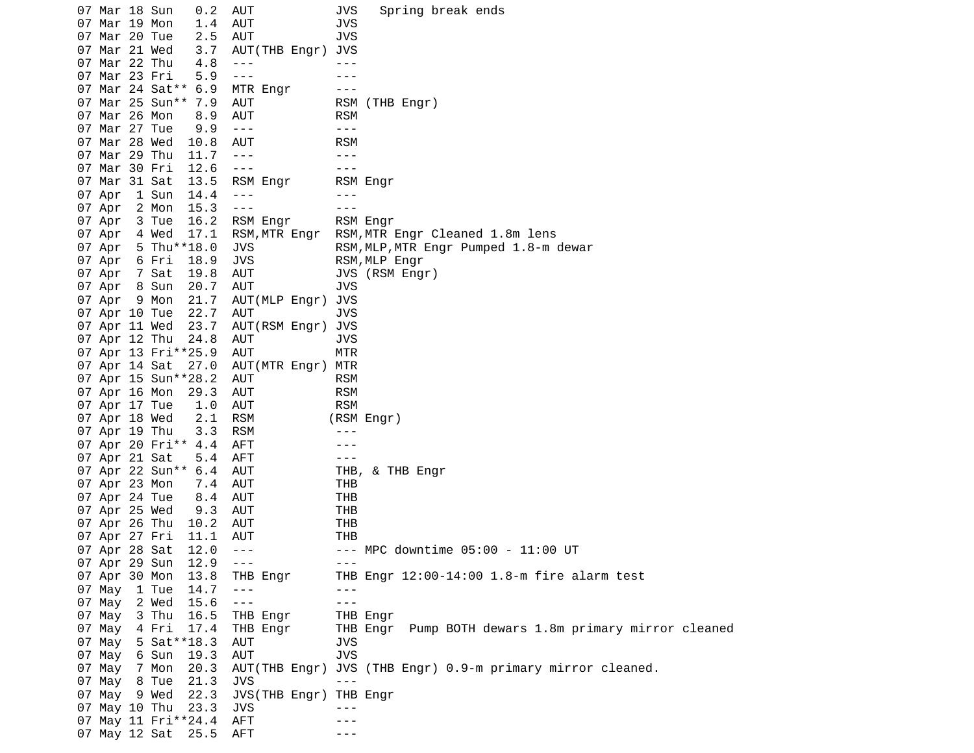07 Mar 18 Sun 0.2 AUT JVS Spring break ends 07 Mar 19 Mon 1.4 AUT JVS 07 Mar 20 Tue 2.5 AUT 07 Mar 21 Wed 3.7 AUT(THB Engr) JVS 07 Mar 22 Thu 4.8 --- --- 07 Mar 23 Fri 5.9 --- - -- ---07 Mar 24 Sat<sup>\*\*</sup> 6.9 MTR Engr ---07 Mar 25 Sun\*\* 7.9 AUT RSM (THB Engr) 07 Mar 26 Mon 8.9 AUT RSM 07 Mar 27 Tue 9.9 ---<br>07 Mar 28 Wed 10.8 AUT RSM 07 Mar 28 Wed 10.8 AUT 07 Mar 29 Thu 11.7 ---07 Mar 30 Fri 12.6 --- - -- ---07 Mar 31 Sat 13.5 RSM Engr RSM Engr 07 Apr 1 Sun 14.4 --- -- ---07 Apr 2 Mon 15.3 ---<br>07 Apr 3 Tue 16.2 RSM Engr RSM Engr 07 Apr 3 Tue 16.2 RSM Engr RSM Engr RSM, MTR Engr RSM, MTR Engr Cleaned 1.8m lens 07 Apr 5 Thu\*\*18.0 JVS RSM, MLP, MTR Engr Pumped 1.8-m dewar 07 Apr 6 Fri 18.9 JVS RSM,MLP Engr 07 Apr 7 Sat 19.8 AUT JVS (RSM Engr) 07 Apr 8 Sun 20.7 AUT JVS 07 Apr 9 Mon 21.7 AUT(MLP Engr) JVS 07 Apr 10 Tue 22.7 AUT JVS 07 Apr 11 Wed 23.7 AUT(RSM Engr) JVS 07 Apr 12 Thu 24.8 AUT JVS 07 Apr 13 Fri\*\*25.9 AUT MTR 07 Apr 14 Sat 27.0 AUT(MTR Engr) MTR 07 Apr 15 Sun\*\*28.2 AUT RSM<br>07 Apr 16 Mon 29.3 AUT RSM 07 Apr 16 Mon 29.3 AUT RSM 07 Apr 17 Tue 1.0 AUT 07 Apr 18 Wed 2.1 RSM (RSM Engr) 07 Apr 19 Thu 3.3 RSM --- 07 Apr 20 Fri\*\* 4.4 AFT --- 07 Apr 21 Sat 5.4 AFT --- 07 Apr 22 Sun\*\* 6.4 AUT THB, & THB Engr 07 Apr 23 Mon 7.4 AUT THB 07 Apr 24 Tue 8.4 AUT THB 07 Apr 25 Wed 07 Apr 26 Thu 10.2 AUT THB 07 Apr 27 Fri 11.1 AUT THB 07 Apr 28 Sat 12.0 --- -- MPC downtime 05:00 - 11:00 UT<br>07 Apr 29 Sun 12.9 --- ---07 Apr 29 Sun 12.9 --- 07 Apr 30 Mon 13.8 THB Engr THB Engr 12:00-14:00 1.8-m fire alarm test 07 May 1 Tue 14.7 ---<br>07 May 2 Wed 15.6 --- --- --- ---07 May 2 Wed 15.6 ---07 May 3 Thu 16.5 THB Engr THB Engr 07 May 4 Fri 17.4 THB Engr THB Engr Pump BOTH dewars 1.8m primary mirror cleaned 07 May 5 Sat\*\*18.3 AUT JVS 07 May 6 Sun 19.3 AUT 07 May 7 Mon 20.3 AUT(THB Engr) JVS (THB Engr) 0.9-m primary mirror cleaned. 07 May 8 Tue 21.3 JVS --- 07 May 9 Wed 22.3 JVS(THB Engr) THB Engr 07 May 10 Thu 23.3 JVS --- 07 May 11  $Fri**24.4$  AFT 07 May 12 Sat 25.5 AFT ---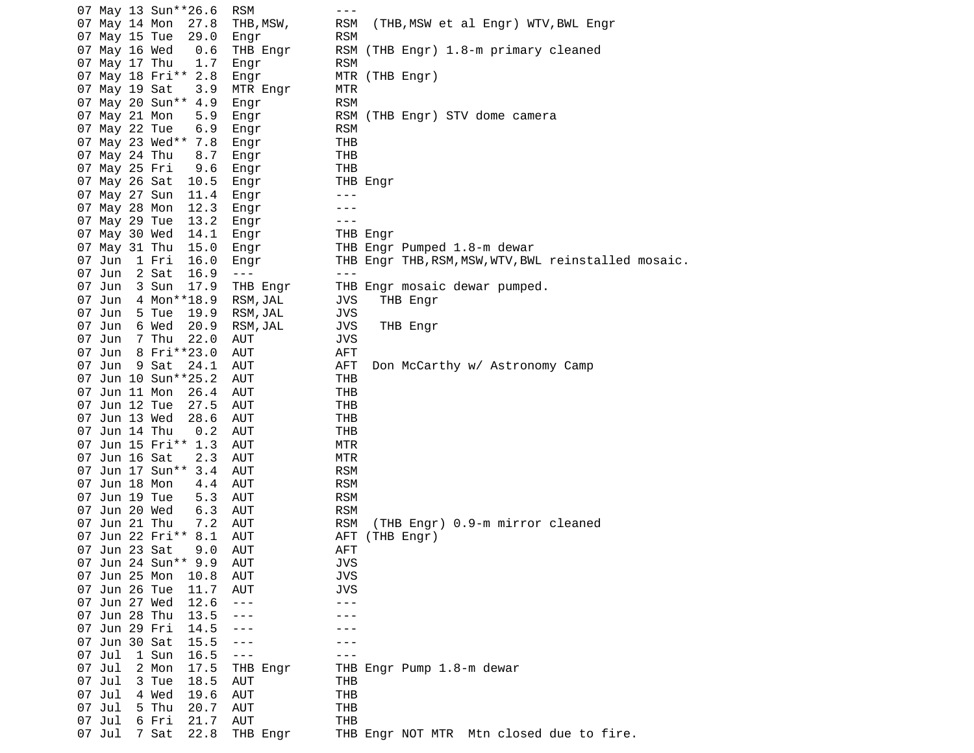| 07 May 13 Sun**26.6     | <b>RSM</b> | $- - -$                                              |
|-------------------------|------------|------------------------------------------------------|
| 07 May 14 Mon<br>27.8   | THB, MSW,  | <b>RSM</b><br>(THB, MSW et al Engr) WTV, BWL Engr    |
| 07 May 15 Tue<br>29.0   | Engr       | <b>RSM</b>                                           |
| 07 May 16 Wed<br>0.6    | THB Engr   | RSM<br>(THB Engr) 1.8-m primary cleaned              |
| 07 May 17 Thu<br>1.7    | Engr       | <b>RSM</b>                                           |
| 07 May 18 Fri** 2.8     | Engr       | MTR (THB Engr)                                       |
| 07 May 19 Sat<br>3.9    | MTR Engr   | MTR                                                  |
| 07 May 20 Sun** 4.9     | Engr       | <b>RSM</b>                                           |
| 07 May 21 Mon<br>5.9    |            | RSM (THB Engr) STV dome camera                       |
| 07 May 22 Tue           | Engr       | <b>RSM</b>                                           |
| 6.9                     | Engr       |                                                      |
| 07 May 23 Wed**<br>7.8  | Engr       | THB                                                  |
| 07 May 24 Thu<br>8.7    | Engr       | <b>THB</b>                                           |
| 9.6<br>07 May 25 Fri    | Engr       | <b>THB</b>                                           |
| 07 May 26 Sat<br>10.5   | Engr       | THB Engr                                             |
| 07 May 27 Sun<br>11.4   | Engr       | $- - -$                                              |
| 07 May 28 Mon<br>12.3   | Engr       |                                                      |
| 13.2<br>07 May 29 Tue   | Engr       | ---                                                  |
| 07 May 30 Wed<br>14.1   | Engr       | THB Engr                                             |
| 07 May 31 Thu<br>15.0   | Engr       | THB Engr Pumped 1.8-m dewar                          |
| 07 Jun<br>1 Fri<br>16.0 | Engr       | THB Engr THB, RSM, MSW, WTV, BWL reinstalled mosaic. |
| 16.9<br>07 Jun<br>2 Sat | $- - -$    | $- - -$                                              |
| 07 Jun<br>3 Sun<br>17.9 | THB Engr   | THB Engr mosaic dewar pumped.                        |
| 07 Jun<br>4 Mon**18.9   | RSM, JAL   | <b>JVS</b><br>THB Engr                               |
| 07 Jun<br>5 Tue<br>19.9 | RSM, JAL   | <b>JVS</b>                                           |
| 07 Jun<br>6 Wed<br>20.9 | RSM, JAL   | <b>JVS</b><br>THB Engr                               |
| 7 Thu<br>22.0<br>07 Jun | AUT        | <b>JVS</b>                                           |
| 07 Jun<br>8 Fri**23.0   | AUT        | <b>AFT</b>                                           |
| 07 Jun<br>9 Sat<br>24.1 | AUT        | <b>AFT</b><br>Don McCarthy w/ Astronomy Camp         |
| 07 Jun 10 Sun**25.2     | <b>AUT</b> | <b>THB</b>                                           |
|                         |            |                                                      |
| 07 Jun 11 Mon<br>26.4   | AUT        | THB                                                  |
| 07 Jun 12 Tue<br>27.5   | <b>AUT</b> | <b>THB</b>                                           |
| 07 Jun 13 Wed<br>28.6   | AUT        | <b>THB</b>                                           |
| 07 Jun 14 Thu<br>0.2    | AUT        | <b>THB</b>                                           |
| 07 Jun 15 Fri** 1.3     | AUT        | MTR                                                  |
| 07 Jun 16 Sat<br>2.3    | AUT        | <b>MTR</b>                                           |
| 07 Jun 17 Sun**<br>3.4  | <b>AUT</b> | <b>RSM</b>                                           |
| 07 Jun 18 Mon<br>4.4    | AUT        | <b>RSM</b>                                           |
| 07 Jun 19 Tue<br>5.3    | <b>AUT</b> | <b>RSM</b>                                           |
| 07 Jun 20 Wed<br>6.3    | AUT        | <b>RSM</b>                                           |
| 07 Jun 21 Thu<br>7.2    | AUT        | <b>RSM</b><br>(THB Engr) 0.9-m mirror cleaned        |
| 07 Jun 22 Fri**<br>8.1  | AUT        | (THB Engr)<br>AFT                                    |
| 07 Jun 23 Sat<br>9.0    | AUT        | AFT                                                  |
| 07 Jun 24 Sun**<br>9.9  | AUT        | <b>JVS</b>                                           |
| 07 Jun 25 Mon<br>10.8   | AUT        | <b>JVS</b>                                           |
| 07 Jun 26 Tue<br>11.7   | AUT        | <b>JVS</b>                                           |
| 07 Jun 27 Wed<br>12.6   | ---        | - - -                                                |
| 07 Jun 28 Thu<br>13.5   | ---        |                                                      |
| 07 Jun 29 Fri<br>14.5   | $- - -$    |                                                      |
| 07 Jun 30 Sat<br>15.5   | - - -      |                                                      |
| 07 Jul<br>1 Sun<br>16.5 | $- - -$    | - - -                                                |
| 07 Jul<br>2 Mon<br>17.5 | THB Engr   | THB Engr Pump 1.8-m dewar                            |
| 07 Jul<br>3 Tue<br>18.5 | AUT        |                                                      |
| 07 Jul<br>4 Wed         |            | THB<br><b>THB</b>                                    |
| 19.6                    | AUT        |                                                      |
| 07 Jul<br>5 Thu<br>20.7 | <b>AUT</b> | <b>THB</b>                                           |
| 07 Jul<br>6 Fri<br>21.7 | AUT        | <b>THB</b>                                           |
| 7 Sat<br>22.8<br>07 Jul | THB Engr   | Mtn closed due to fire.<br>THB Engr NOT MTR          |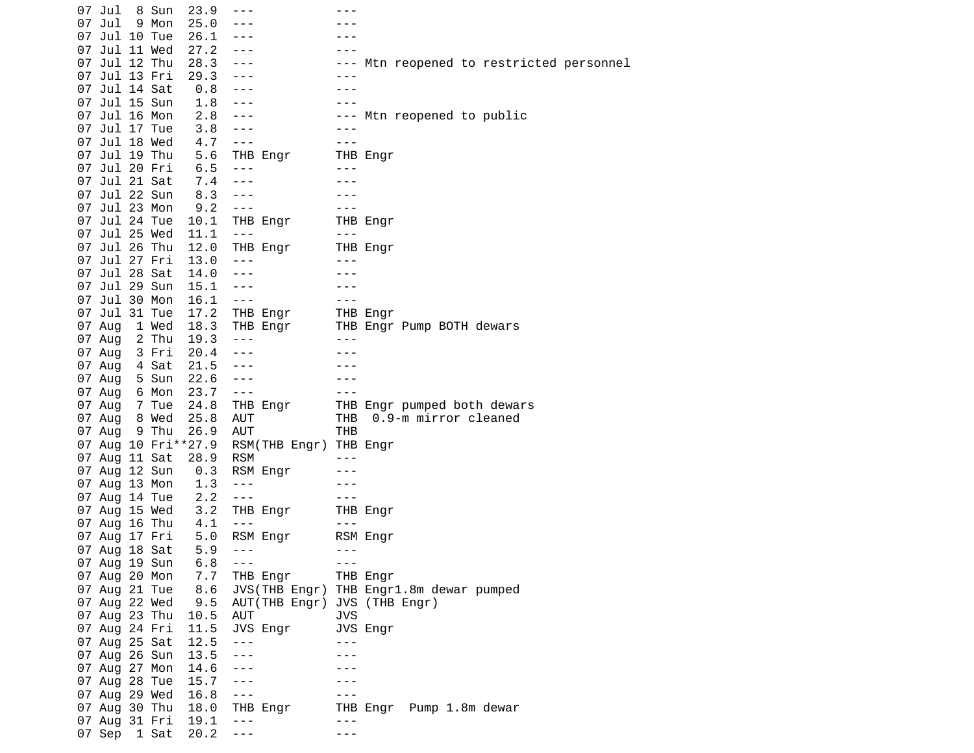|    | 07 Jul        | 8 Sun | 23.9                | ---                                                                                                                                                                                                                                                                                                                                                                                          |                                                                                                                                                                                                                                                                                                                                                                                              |                                          |
|----|---------------|-------|---------------------|----------------------------------------------------------------------------------------------------------------------------------------------------------------------------------------------------------------------------------------------------------------------------------------------------------------------------------------------------------------------------------------------|----------------------------------------------------------------------------------------------------------------------------------------------------------------------------------------------------------------------------------------------------------------------------------------------------------------------------------------------------------------------------------------------|------------------------------------------|
| 07 | Jul           | 9 Mon | 25.0                |                                                                                                                                                                                                                                                                                                                                                                                              |                                                                                                                                                                                                                                                                                                                                                                                              |                                          |
| 07 | Jul 10 Tue    |       | 26.1                | $- - -$                                                                                                                                                                                                                                                                                                                                                                                      |                                                                                                                                                                                                                                                                                                                                                                                              |                                          |
|    | 07 Jul 11 Wed |       | 27.2                | $- - -$                                                                                                                                                                                                                                                                                                                                                                                      |                                                                                                                                                                                                                                                                                                                                                                                              |                                          |
|    | 07 Jul 12 Thu |       | 28.3                | $- - -$                                                                                                                                                                                                                                                                                                                                                                                      |                                                                                                                                                                                                                                                                                                                                                                                              | --- Mtn reopened to restricted personnel |
|    | 07 Jul 13 Fri |       | 29.3                | $\sim$ $\sim$ $\sim$                                                                                                                                                                                                                                                                                                                                                                         |                                                                                                                                                                                                                                                                                                                                                                                              |                                          |
|    | 07 Jul 14 Sat |       | 0.8                 | $- - -$                                                                                                                                                                                                                                                                                                                                                                                      |                                                                                                                                                                                                                                                                                                                                                                                              |                                          |
|    | 07 Jul 15 Sun |       | 1.8                 | $- - -$                                                                                                                                                                                                                                                                                                                                                                                      |                                                                                                                                                                                                                                                                                                                                                                                              |                                          |
|    | 07 Jul 16 Mon |       | 2.8                 | $- - -$                                                                                                                                                                                                                                                                                                                                                                                      |                                                                                                                                                                                                                                                                                                                                                                                              | --- Mtn reopened to public               |
|    | 07 Jul 17 Tue |       | 3.8                 | $\sim$ $\sim$ $\sim$                                                                                                                                                                                                                                                                                                                                                                         |                                                                                                                                                                                                                                                                                                                                                                                              |                                          |
|    | 07 Jul 18 Wed |       | 4.7                 | $\frac{1}{2}$                                                                                                                                                                                                                                                                                                                                                                                |                                                                                                                                                                                                                                                                                                                                                                                              |                                          |
|    | 07 Jul 19 Thu |       | 5.6                 | THB Engr                                                                                                                                                                                                                                                                                                                                                                                     |                                                                                                                                                                                                                                                                                                                                                                                              | THB Engr                                 |
|    | 07 Jul 20 Fri |       | 6.5                 | $\frac{1}{2}$                                                                                                                                                                                                                                                                                                                                                                                | $- - -$                                                                                                                                                                                                                                                                                                                                                                                      |                                          |
|    | 07 Jul 21 Sat |       | 7.4                 | $  -$                                                                                                                                                                                                                                                                                                                                                                                        | $- - -$                                                                                                                                                                                                                                                                                                                                                                                      |                                          |
|    |               |       |                     |                                                                                                                                                                                                                                                                                                                                                                                              |                                                                                                                                                                                                                                                                                                                                                                                              |                                          |
|    | 07 Jul 22 Sun |       | 8.3                 | $- - -$                                                                                                                                                                                                                                                                                                                                                                                      |                                                                                                                                                                                                                                                                                                                                                                                              |                                          |
|    | 07 Jul 23 Mon |       | 9.2                 | $- - -$                                                                                                                                                                                                                                                                                                                                                                                      | $- - -$                                                                                                                                                                                                                                                                                                                                                                                      |                                          |
|    | 07 Jul 24 Tue |       | 10.1                | THB Engr                                                                                                                                                                                                                                                                                                                                                                                     |                                                                                                                                                                                                                                                                                                                                                                                              | THB Engr                                 |
|    | 07 Jul 25 Wed |       | 11.1                | $- - -$                                                                                                                                                                                                                                                                                                                                                                                      | $\frac{1}{2}$                                                                                                                                                                                                                                                                                                                                                                                |                                          |
|    | 07 Jul 26 Thu |       | 12.0                | THB Engr                                                                                                                                                                                                                                                                                                                                                                                     |                                                                                                                                                                                                                                                                                                                                                                                              | THB Engr                                 |
|    | 07 Jul 27 Fri |       | 13.0                | $- - -$                                                                                                                                                                                                                                                                                                                                                                                      | ---                                                                                                                                                                                                                                                                                                                                                                                          |                                          |
|    | 07 Jul 28 Sat |       | 14.0                | $- - -$                                                                                                                                                                                                                                                                                                                                                                                      |                                                                                                                                                                                                                                                                                                                                                                                              |                                          |
|    | 07 Jul 29 Sun |       | 15.1                | $- - -$                                                                                                                                                                                                                                                                                                                                                                                      |                                                                                                                                                                                                                                                                                                                                                                                              |                                          |
|    | 07 Jul 30 Mon |       | 16.1                | $- - -$                                                                                                                                                                                                                                                                                                                                                                                      | $- - -$                                                                                                                                                                                                                                                                                                                                                                                      |                                          |
|    | 07 Jul 31 Tue |       | 17.2                | THB Engr                                                                                                                                                                                                                                                                                                                                                                                     |                                                                                                                                                                                                                                                                                                                                                                                              | THB Engr<br>THB Engr Pump BOTH dewars    |
|    | 07 Aug        | 1 Wed | 18.3                | THB Engr                                                                                                                                                                                                                                                                                                                                                                                     |                                                                                                                                                                                                                                                                                                                                                                                              |                                          |
|    | 07 Aug        | 2 Thu | 19.3                | $- - -$                                                                                                                                                                                                                                                                                                                                                                                      |                                                                                                                                                                                                                                                                                                                                                                                              |                                          |
|    | 07 Aug        | 3 Fri | 20.4                | $- - -$                                                                                                                                                                                                                                                                                                                                                                                      |                                                                                                                                                                                                                                                                                                                                                                                              |                                          |
|    | 07 Aug        | 4 Sat | 21.5                | $\frac{1}{2}$                                                                                                                                                                                                                                                                                                                                                                                |                                                                                                                                                                                                                                                                                                                                                                                              |                                          |
|    | 07 Aug        | 5 Sun | 22.6                | $\frac{1}{2} \frac{1}{2} \frac{1}{2} \frac{1}{2} \frac{1}{2} \frac{1}{2} \frac{1}{2} \frac{1}{2} \frac{1}{2} \frac{1}{2} \frac{1}{2} \frac{1}{2} \frac{1}{2} \frac{1}{2} \frac{1}{2} \frac{1}{2} \frac{1}{2} \frac{1}{2} \frac{1}{2} \frac{1}{2} \frac{1}{2} \frac{1}{2} \frac{1}{2} \frac{1}{2} \frac{1}{2} \frac{1}{2} \frac{1}{2} \frac{1}{2} \frac{1}{2} \frac{1}{2} \frac{1}{2} \frac{$ |                                                                                                                                                                                                                                                                                                                                                                                              |                                          |
|    | 07 Aug        | 6 Mon | 23.7                | $- - -$                                                                                                                                                                                                                                                                                                                                                                                      |                                                                                                                                                                                                                                                                                                                                                                                              |                                          |
|    | 07 Aug        | 7 Tue | 24.8                | THB Engr                                                                                                                                                                                                                                                                                                                                                                                     |                                                                                                                                                                                                                                                                                                                                                                                              | THB Engr pumped both dewars              |
|    | 07 Aug        | 8 Wed | 25.8                | AUT                                                                                                                                                                                                                                                                                                                                                                                          | THB                                                                                                                                                                                                                                                                                                                                                                                          | 0.9-m mirror cleaned                     |
|    | 07 Aug        | 9 Thu | 26.9                | AUT                                                                                                                                                                                                                                                                                                                                                                                          | <b>THB</b>                                                                                                                                                                                                                                                                                                                                                                                   |                                          |
|    |               |       | 07 Aug 10 Fri**27.9 | RSM(THB Engr) THB Engr                                                                                                                                                                                                                                                                                                                                                                       |                                                                                                                                                                                                                                                                                                                                                                                              |                                          |
|    | 07 Aug 11 Sat |       | 28.9                | <b>RSM</b>                                                                                                                                                                                                                                                                                                                                                                                   |                                                                                                                                                                                                                                                                                                                                                                                              |                                          |
|    | 07 Aug 12 Sun |       | 0.3                 | RSM Engr                                                                                                                                                                                                                                                                                                                                                                                     |                                                                                                                                                                                                                                                                                                                                                                                              |                                          |
|    | 07 Aug 13 Mon |       | 1.3                 | $- - -$                                                                                                                                                                                                                                                                                                                                                                                      |                                                                                                                                                                                                                                                                                                                                                                                              |                                          |
|    | 07 Aug 14 Tue |       | 2.2                 | $- - -$                                                                                                                                                                                                                                                                                                                                                                                      |                                                                                                                                                                                                                                                                                                                                                                                              |                                          |
|    | 07 Aug 15 Wed |       | 3.2                 | THB Engr                                                                                                                                                                                                                                                                                                                                                                                     |                                                                                                                                                                                                                                                                                                                                                                                              | THB Engr                                 |
|    | 07 Aug 16 Thu |       | 4.1                 | $- - -$                                                                                                                                                                                                                                                                                                                                                                                      | $\frac{1}{2} \frac{1}{2} \frac{1}{2} \frac{1}{2} \frac{1}{2} \frac{1}{2} \frac{1}{2} \frac{1}{2} \frac{1}{2} \frac{1}{2} \frac{1}{2} \frac{1}{2} \frac{1}{2} \frac{1}{2} \frac{1}{2} \frac{1}{2} \frac{1}{2} \frac{1}{2} \frac{1}{2} \frac{1}{2} \frac{1}{2} \frac{1}{2} \frac{1}{2} \frac{1}{2} \frac{1}{2} \frac{1}{2} \frac{1}{2} \frac{1}{2} \frac{1}{2} \frac{1}{2} \frac{1}{2} \frac{$ |                                          |
|    | 07 Aug 17 Fri |       | 5.0                 | RSM Engr                                                                                                                                                                                                                                                                                                                                                                                     |                                                                                                                                                                                                                                                                                                                                                                                              | RSM Engr                                 |
|    | 07 Aug 18 Sat |       | 5.9                 | $- - -$                                                                                                                                                                                                                                                                                                                                                                                      | $- - -$                                                                                                                                                                                                                                                                                                                                                                                      |                                          |
|    | 07 Aug 19 Sun |       | 6.8                 | $- - -$                                                                                                                                                                                                                                                                                                                                                                                      | $- - -$                                                                                                                                                                                                                                                                                                                                                                                      |                                          |
|    | 07 Aug 20 Mon |       | 7.7                 | THB Engr                                                                                                                                                                                                                                                                                                                                                                                     |                                                                                                                                                                                                                                                                                                                                                                                              | THB Engr                                 |
|    | 07 Aug 21 Tue |       | 8.6                 |                                                                                                                                                                                                                                                                                                                                                                                              |                                                                                                                                                                                                                                                                                                                                                                                              | JVS(THB Engr) THB Engr1.8m dewar pumped  |
|    | 07 Aug 22 Wed |       | 9.5                 | AUT(THB Engr)                                                                                                                                                                                                                                                                                                                                                                                |                                                                                                                                                                                                                                                                                                                                                                                              | JVS (THB Engr)                           |
|    | 07 Aug 23 Thu |       | 10.5                | <b>AUT</b>                                                                                                                                                                                                                                                                                                                                                                                   | <b>JVS</b>                                                                                                                                                                                                                                                                                                                                                                                   |                                          |
|    | 07 Aug 24 Fri |       | 11.5                |                                                                                                                                                                                                                                                                                                                                                                                              |                                                                                                                                                                                                                                                                                                                                                                                              |                                          |
|    |               |       |                     | JVS Engr                                                                                                                                                                                                                                                                                                                                                                                     |                                                                                                                                                                                                                                                                                                                                                                                              | JVS Engr                                 |
|    | 07 Aug 25 Sat |       | 12.5                | $- - -$                                                                                                                                                                                                                                                                                                                                                                                      | $- - -$                                                                                                                                                                                                                                                                                                                                                                                      |                                          |
|    | 07 Aug 26 Sun |       | 13.5                | $- - -$                                                                                                                                                                                                                                                                                                                                                                                      |                                                                                                                                                                                                                                                                                                                                                                                              |                                          |
|    | 07 Aug 27 Mon |       | 14.6                | $- - -$                                                                                                                                                                                                                                                                                                                                                                                      |                                                                                                                                                                                                                                                                                                                                                                                              |                                          |
|    | 07 Aug 28 Tue |       | 15.7                | $- - -$                                                                                                                                                                                                                                                                                                                                                                                      |                                                                                                                                                                                                                                                                                                                                                                                              |                                          |
|    | 07 Aug 29 Wed |       | 16.8                | $- - -$                                                                                                                                                                                                                                                                                                                                                                                      |                                                                                                                                                                                                                                                                                                                                                                                              |                                          |
|    | 07 Aug 30 Thu |       | 18.0                | THB Engr                                                                                                                                                                                                                                                                                                                                                                                     |                                                                                                                                                                                                                                                                                                                                                                                              | THB Engr Pump 1.8m dewar                 |
|    | 07 Aug 31 Fri |       | 19.1                | $- - -$                                                                                                                                                                                                                                                                                                                                                                                      | - - -                                                                                                                                                                                                                                                                                                                                                                                        |                                          |
|    | 07 Sep        | 1 Sat | 20.2                | $- - -$                                                                                                                                                                                                                                                                                                                                                                                      | - - -                                                                                                                                                                                                                                                                                                                                                                                        |                                          |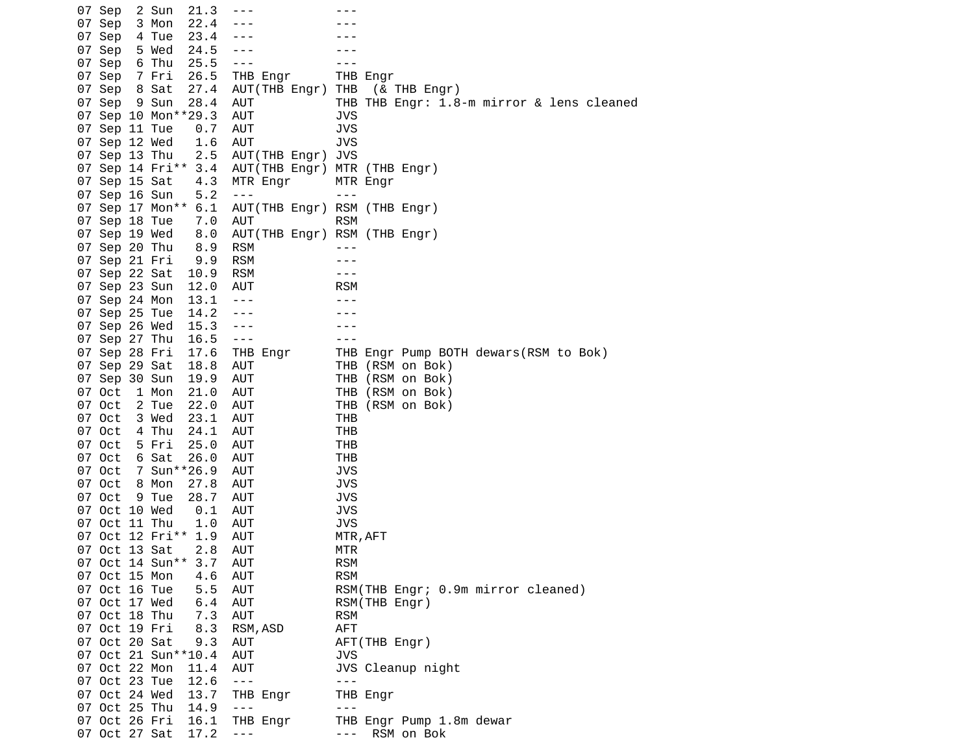07 Sep 2 Sun 21.3 --- --- 07 Sep 3 Mon 22.4 ---<br>07 Sep 4 Tue 23.4 ---07 Sep 4 Tue 23.4 ---07 Sep 5 Wed 24.5 ---<br>07 Sep 6 Thu 25.5 ---07 Sep 6 Thu 25.5 ---07 Sep 7 Fri 26.5 THB Engr THB Engr<br>07 Sep 8 Sat 27.4 AUT(THB Engr) THB (& 27.4 AUT(THB Engr) THB (& THB Engr) 07 Sep 9 Sun 28.4 AUT THB THB Engr: 1.8-m mirror & lens cleaned 07 Sep 10 Mon\*\*29.3 AUT JVS 07 Sep 11 Tue 0.7 AUT JVS 07 Sep 12 Wed 1.6 AUT 07 Sep 13 Thu 2.5 AUT(THB Engr) JVS 07 Sep 14 Fri\*\* 3.4 AUT(THB Engr) MTR (THB Engr) 07 Sep 15 Sat 4.3 MTR Engr MTR Engr 07 Sep 16 Sun 5.2 --- -- --- 07 Sep 17 Mon\*\* 6.1 AUT(THB Engr) RSM (THB Engr) 07 Sep 18 Tue 7.0 AUT RSM 07 Sep 19 Wed 8.0 AUT(THB Engr) RSM (THB Engr) 07 Sep 20 Thu 8.9 RSM --- 07 Sep 21 Fri 9.9 RSM --- 07 Sep 22 Sat 10.9 RSM --- 07 Sep 23 Sun 12.0 AUT RSM 07 Sep 24 Mon 13.1 ---07 Sep 25 Tue 14.2 ---07 Sep 26 Wed 15.3 ---07 Sep 27 Thu 16.5 --- -- --- 07 Sep 28 Fri 17.6 THB Engr THB Engr Pump BOTH dewars(RSM to Bok) 07 Sep 29 Sat 18.8 AUT THB (RSM on Bok) 07 Sep 30 Sun 19.9 AUT THB (RSM on Bok) 07 Oct 1 Mon 21.0 AUT THB (RSM on Bok)<br>07 Oct 2 Tue 22.0 AUT THB (RSM on Bok) 07 Oct 2 Tue 22.0 AUT THB (RSM on Bok) 07 Oct 3 Wed 23.1 AUT THB 07 Oct 4 Thu 24.1 AUT THB 07 Oct 5 Fri 25.0 AUT THB 07 Oct 26.0 AUT THB<br>17 Sun\*\*26.9 AUT JVS 07 Oct 7 Sun\*\*26.9 AUT 07 Oct 8 Mon 27.8 AUT JVS 07 Oct 9 Tue 28.7 AUT JVS 07 Oct 10 Wed 0.1 AUT 07 Oct 11 Thu 1.0 AUT JVS 07 Oct 12 Fri\*\* 1.9 AUT MTR,AFT 07 Oct 13 Sat 2.8 AUT MTR 07 Oct 14 Sun\*\* 3.7 AUT 07 Oct 15 Mon 4.6 AUT RSM 07 Oct 16 Tue 5.5 AUT RSM(THB Engr; 0.9m mirror cleaned) 07 Oct 17 Wed 6.4 AUT RSM(THB Engr) 07 Oct 18 Thu 7.3 AUT RSM 07 Oct 19 Fri 8.3 RSM,ASD AFT 07 Oct 20 Sat 9.3 AUT AFT(THB Engr) 07 Oct 21 Sun\*\*10.4 AUT JVS 07 Oct 22 Mon 11.4 AUT JVS Cleanup night 07 Oct 23 Tue 12.6 --- -- ---07 Oct 24 Wed 13.7 THB Engr THB Engr<br>07 Oct 25 Thu 14.9 ---07 Oct 25 Thu 14.9 --- 07 Oct 26 Fri 16.1 THB Engr THB Engr Pump 1.8m dewar 07 Oct 27 Sat 17.2 --- - -- RSM on Bok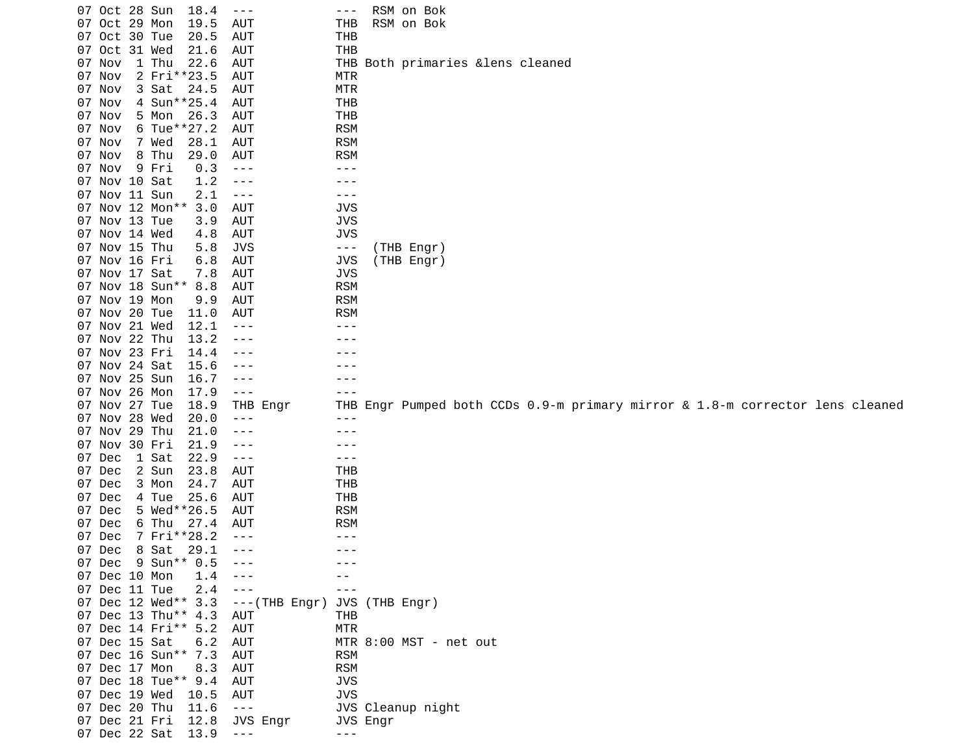|               | 07 Oct 28 Sun | 18.4                | $  -$                | $- - -$    |          | RSM on Bok                        |  |  |                                                                               |  |
|---------------|---------------|---------------------|----------------------|------------|----------|-----------------------------------|--|--|-------------------------------------------------------------------------------|--|
| 07 Oct 29 Mon |               | 19.5                | <b>AUT</b>           | <b>THB</b> |          | RSM on Bok                        |  |  |                                                                               |  |
| 07 Oct 30 Tue |               | 20.5                | AUT                  | THB        |          |                                   |  |  |                                                                               |  |
| 07 Oct 31 Wed |               | 21.6                | <b>AUT</b>           | THB        |          |                                   |  |  |                                                                               |  |
| 07 Nov        | 1 Thu         | 22.6                | <b>AUT</b>           |            |          | THB Both primaries & lens cleaned |  |  |                                                                               |  |
| 07 Nov        |               | 2 Fri**23.5         | AUT                  | MTR        |          |                                   |  |  |                                                                               |  |
| 07 Nov        | 3 Sat         | 24.5                | <b>AUT</b>           | <b>MTR</b> |          |                                   |  |  |                                                                               |  |
| 07 Nov        |               | 4 Sun**25.4         | <b>AUT</b>           | THB        |          |                                   |  |  |                                                                               |  |
| 07 Nov        | 5 Mon         | 26.3                | <b>AUT</b>           | <b>THB</b> |          |                                   |  |  |                                                                               |  |
| 07 Nov        |               | 6 Tue**27.2         | AUT                  | <b>RSM</b> |          |                                   |  |  |                                                                               |  |
| 07 Nov        | 7 Wed         | 28.1                | AUT                  | <b>RSM</b> |          |                                   |  |  |                                                                               |  |
| 07 Nov        | 8 Thu         | 29.0                | <b>AUT</b>           | <b>RSM</b> |          |                                   |  |  |                                                                               |  |
| 07 Nov        | 9 Fri         | 0.3                 | $  -$                | ---        |          |                                   |  |  |                                                                               |  |
| 07 Nov 10 Sat |               | 1.2                 | $- - -$              | - - -      |          |                                   |  |  |                                                                               |  |
| 07 Nov 11 Sun |               | 2.1                 | $\sim$ $ -$          | ---        |          |                                   |  |  |                                                                               |  |
|               |               | 07 Nov 12 Mon** 3.0 | AUT                  | <b>JVS</b> |          |                                   |  |  |                                                                               |  |
| 07 Nov 13 Tue |               | 3.9                 | AUT                  | <b>JVS</b> |          |                                   |  |  |                                                                               |  |
| 07 Nov 14 Wed |               | 4.8                 | <b>AUT</b>           | <b>JVS</b> |          |                                   |  |  |                                                                               |  |
| 07 Nov 15 Thu |               | 5.8                 | <b>JVS</b>           | ---        |          | (THB Engr)                        |  |  |                                                                               |  |
|               | 07 Nov 16 Fri | 6.8                 | <b>AUT</b>           | <b>JVS</b> |          | (THB Engr)                        |  |  |                                                                               |  |
|               | 07 Nov 17 Sat | 7.8                 | <b>AUT</b>           | <b>JVS</b> |          |                                   |  |  |                                                                               |  |
|               |               | 07 Nov 18 Sun** 8.8 | AUT                  | <b>RSM</b> |          |                                   |  |  |                                                                               |  |
| 07 Nov 19 Mon |               | 9.9                 | <b>AUT</b>           | <b>RSM</b> |          |                                   |  |  |                                                                               |  |
| 07 Nov 20 Tue |               | 11.0                | AUT                  | <b>RSM</b> |          |                                   |  |  |                                                                               |  |
|               | 07 Nov 21 Wed | 12.1                | $- - -$              | - - -      |          |                                   |  |  |                                                                               |  |
|               | 07 Nov 22 Thu | 13.2                | - - -                |            |          |                                   |  |  |                                                                               |  |
| 07 Nov 23 Fri |               | 14.4                | - - -                |            |          |                                   |  |  |                                                                               |  |
| 07 Nov 24 Sat |               | 15.6                | - - -                |            |          |                                   |  |  |                                                                               |  |
| 07 Nov 25 Sun |               | 16.7                | $- - -$              |            |          |                                   |  |  |                                                                               |  |
| 07 Nov 26 Mon |               | 17.9                | $\sim$ $ -$          |            |          |                                   |  |  |                                                                               |  |
| 07 Nov 27 Tue |               | 18.9                | THB Engr             |            |          |                                   |  |  | THB Engr Pumped both CCDs 0.9-m primary mirror & 1.8-m corrector lens cleaned |  |
| 07 Nov 28 Wed |               | 20.0                | $- - -$              | $- - -$    |          |                                   |  |  |                                                                               |  |
| 07 Nov 29 Thu |               | 21.0                | ---                  |            |          |                                   |  |  |                                                                               |  |
|               | 07 Nov 30 Fri | 21.9                | $- - -$              |            |          |                                   |  |  |                                                                               |  |
| 07 Dec        | 1 Sat         | 22.9                | $\sim$ $ -$          | ---        |          |                                   |  |  |                                                                               |  |
| 07 Dec        | 2 Sun         | 23.8                | AUT                  | THB        |          |                                   |  |  |                                                                               |  |
| 07 Dec        | 3 Mon         | 24.7                | <b>AUT</b>           | <b>THB</b> |          |                                   |  |  |                                                                               |  |
| 07 Dec        | 4 Tue         | 25.6                | AUT                  | <b>THB</b> |          |                                   |  |  |                                                                               |  |
| 07 Dec        |               | 5 Wed**26.5         | AUT                  | <b>RSM</b> |          |                                   |  |  |                                                                               |  |
| 07 Dec        | 6 Thu         | 27.4                | AUT                  | <b>RSM</b> |          |                                   |  |  |                                                                               |  |
| 07 Dec        |               | 7 Fri**28.2         | $- - -$              | ---        |          |                                   |  |  |                                                                               |  |
| 07 Dec        | 8 Sat         | 29.1                | $- - -$              | $- - -$    |          |                                   |  |  |                                                                               |  |
|               |               | 07 Dec 9 Sun** 0.5  | $\sim$ $\sim$ $\sim$ |            |          |                                   |  |  |                                                                               |  |
| 07 Dec 10 Mon |               | 1.4                 |                      |            |          |                                   |  |  |                                                                               |  |
| 07 Dec 11 Tue |               | 2.4                 | $- - -$              |            |          |                                   |  |  |                                                                               |  |
|               |               | 07 Dec 12 Wed** 3.3 | $--(THE Engr)$       |            |          | JVS (THB Engr)                    |  |  |                                                                               |  |
|               |               | 07 Dec 13 Thu** 4.3 | AUT                  | <b>THB</b> |          |                                   |  |  |                                                                               |  |
|               |               | 07 Dec 14 Fri** 5.2 | <b>AUT</b>           | <b>MTR</b> |          |                                   |  |  |                                                                               |  |
| 07 Dec 15 Sat |               | 6.2                 | AUT                  |            |          | MTR 8:00 MST - net out            |  |  |                                                                               |  |
|               |               | 07 Dec 16 Sun** 7.3 | AUT                  | <b>RSM</b> |          |                                   |  |  |                                                                               |  |
| 07 Dec 17 Mon |               | 8.3                 | <b>AUT</b>           | <b>RSM</b> |          |                                   |  |  |                                                                               |  |
|               |               | 07 Dec 18 Tue** 9.4 | <b>AUT</b>           | <b>JVS</b> |          |                                   |  |  |                                                                               |  |
| 07 Dec 19 Wed |               | 10.5                | AUT                  | <b>JVS</b> |          |                                   |  |  |                                                                               |  |
| 07 Dec 20 Thu |               | 11.6                | $\sim$ $\sim$ $\sim$ |            |          | JVS Cleanup night                 |  |  |                                                                               |  |
| 07 Dec 21 Fri |               | 12.8                | JVS Engr             |            | JVS Engr |                                   |  |  |                                                                               |  |
| 07 Dec 22 Sat |               | 13.9                |                      |            |          |                                   |  |  |                                                                               |  |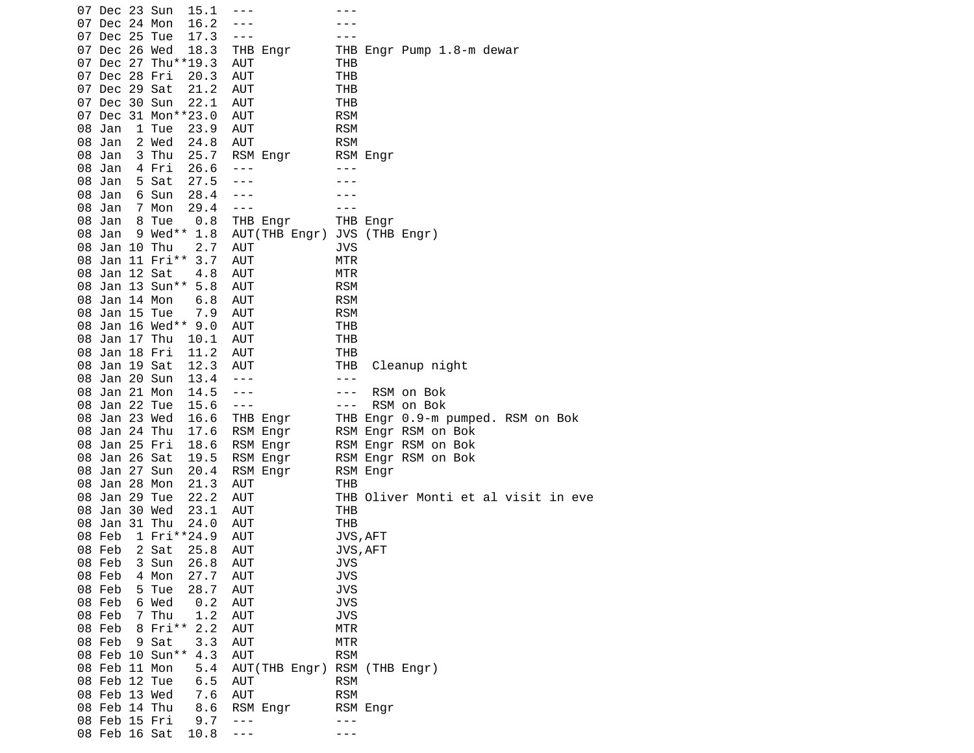|        | 07 Dec 23 Sun |                            | 15.1  |            |                              |                                                                                                                                                                                                                                                                                                                                                                                              |                |            |                                     |  |  |
|--------|---------------|----------------------------|-------|------------|------------------------------|----------------------------------------------------------------------------------------------------------------------------------------------------------------------------------------------------------------------------------------------------------------------------------------------------------------------------------------------------------------------------------------------|----------------|------------|-------------------------------------|--|--|
|        | 07 Dec 24 Mon |                            | 16.2  |            |                              |                                                                                                                                                                                                                                                                                                                                                                                              |                |            |                                     |  |  |
|        | 07 Dec 25 Tue |                            | 17.3  | $- - -$    |                              |                                                                                                                                                                                                                                                                                                                                                                                              |                |            |                                     |  |  |
|        | 07 Dec 26 Wed |                            | 18.3  |            | THB Engr                     |                                                                                                                                                                                                                                                                                                                                                                                              |                |            | THB Engr Pump 1.8-m dewar           |  |  |
|        |               |                            |       |            |                              |                                                                                                                                                                                                                                                                                                                                                                                              |                |            |                                     |  |  |
|        |               | 07 Dec 27 Thu**19.3        |       | AUT        |                              | THB                                                                                                                                                                                                                                                                                                                                                                                          |                |            |                                     |  |  |
|        | 07 Dec 28 Fri |                            | 20.3  | <b>AUT</b> |                              | <b>THB</b>                                                                                                                                                                                                                                                                                                                                                                                   |                |            |                                     |  |  |
|        | 07 Dec 29 Sat |                            | 21.2  | <b>AUT</b> |                              | THB                                                                                                                                                                                                                                                                                                                                                                                          |                |            |                                     |  |  |
|        | 07 Dec 30 Sun |                            | 22.1  | AUT        |                              | THB                                                                                                                                                                                                                                                                                                                                                                                          |                |            |                                     |  |  |
|        |               | 07 Dec 31 Mon**23.0        |       | AUT        |                              | <b>RSM</b>                                                                                                                                                                                                                                                                                                                                                                                   |                |            |                                     |  |  |
| 08 Jan |               | 1 Tue                      | 23.9  | AUT        |                              | <b>RSM</b>                                                                                                                                                                                                                                                                                                                                                                                   |                |            |                                     |  |  |
| 08 Jan |               | 2 Wed                      | 24.8  | <b>AUT</b> |                              | <b>RSM</b>                                                                                                                                                                                                                                                                                                                                                                                   |                |            |                                     |  |  |
| 08 Jan |               | 3 Thu                      | 25.7  |            | RSM Engr                     |                                                                                                                                                                                                                                                                                                                                                                                              | RSM Engr       |            |                                     |  |  |
| 08 Jan |               | 4 Fri                      | 26.6  | $- - -$    |                              | ---                                                                                                                                                                                                                                                                                                                                                                                          |                |            |                                     |  |  |
| 08 Jan |               | 5 Sat                      | 27.5  | - - -      |                              |                                                                                                                                                                                                                                                                                                                                                                                              |                |            |                                     |  |  |
| 08 Jan |               | 6 Sun                      | 28.4  |            |                              |                                                                                                                                                                                                                                                                                                                                                                                              |                |            |                                     |  |  |
| 08 Jan |               | 7 Mon                      | 29.4  | ---        |                              |                                                                                                                                                                                                                                                                                                                                                                                              |                |            |                                     |  |  |
| 08 Jan |               | 8 Tue                      | 0.8   |            | THB Engr                     |                                                                                                                                                                                                                                                                                                                                                                                              | THB Engr       |            |                                     |  |  |
| 08 Jan |               | 9 Wed** 1.8                |       |            | AUT(THB Engr)                |                                                                                                                                                                                                                                                                                                                                                                                              | JVS (THB Engr) |            |                                     |  |  |
|        | 08 Jan 10 Thu |                            | 2.7   | AUT        |                              | <b>JVS</b>                                                                                                                                                                                                                                                                                                                                                                                   |                |            |                                     |  |  |
|        |               | 08 Jan 11 Fri** 3.7        |       | <b>AUT</b> |                              | <b>MTR</b>                                                                                                                                                                                                                                                                                                                                                                                   |                |            |                                     |  |  |
|        | 08 Jan 12 Sat |                            | 4.8   | <b>AUT</b> |                              | MTR                                                                                                                                                                                                                                                                                                                                                                                          |                |            |                                     |  |  |
|        |               | 08 Jan 13 Sun** 5.8        |       | AUT        |                              | <b>RSM</b>                                                                                                                                                                                                                                                                                                                                                                                   |                |            |                                     |  |  |
|        | 08 Jan 14 Mon |                            | 6.8   | <b>AUT</b> |                              | <b>RSM</b>                                                                                                                                                                                                                                                                                                                                                                                   |                |            |                                     |  |  |
|        | 08 Jan 15 Tue |                            | 7.9   | <b>AUT</b> |                              | <b>RSM</b>                                                                                                                                                                                                                                                                                                                                                                                   |                |            |                                     |  |  |
|        |               | 08 Jan 16 Wed** 9.0        |       | AUT        |                              | <b>THB</b>                                                                                                                                                                                                                                                                                                                                                                                   |                |            |                                     |  |  |
|        |               |                            |       |            |                              |                                                                                                                                                                                                                                                                                                                                                                                              |                |            |                                     |  |  |
|        | 08 Jan 17 Thu |                            | 10.1  | <b>AUT</b> |                              | <b>THB</b>                                                                                                                                                                                                                                                                                                                                                                                   |                |            |                                     |  |  |
|        | 08 Jan 18 Fri |                            | 11.2  | AUT        |                              | <b>THB</b>                                                                                                                                                                                                                                                                                                                                                                                   |                |            |                                     |  |  |
|        | 08 Jan 19 Sat |                            | 12.3  | AUT        |                              | THB                                                                                                                                                                                                                                                                                                                                                                                          |                |            | Cleanup night                       |  |  |
|        | 08 Jan 20 Sun |                            | 13.4  | $- - -$    |                              | $- - -$                                                                                                                                                                                                                                                                                                                                                                                      |                |            |                                     |  |  |
|        | 08 Jan 21 Mon |                            | 14.5  | $- - -$    |                              | $\frac{1}{2} \frac{1}{2} \frac{1}{2} \frac{1}{2} \frac{1}{2} \frac{1}{2} \frac{1}{2} \frac{1}{2} \frac{1}{2} \frac{1}{2} \frac{1}{2} \frac{1}{2} \frac{1}{2} \frac{1}{2} \frac{1}{2} \frac{1}{2} \frac{1}{2} \frac{1}{2} \frac{1}{2} \frac{1}{2} \frac{1}{2} \frac{1}{2} \frac{1}{2} \frac{1}{2} \frac{1}{2} \frac{1}{2} \frac{1}{2} \frac{1}{2} \frac{1}{2} \frac{1}{2} \frac{1}{2} \frac{$ |                | RSM on Bok |                                     |  |  |
|        | 08 Jan 22 Tue |                            | 15.6  | $- - -$    |                              | $\sim$ $ \sim$                                                                                                                                                                                                                                                                                                                                                                               |                | RSM on Bok |                                     |  |  |
|        | 08 Jan 23 Wed |                            | 16.6  |            | THB Engr                     |                                                                                                                                                                                                                                                                                                                                                                                              |                |            | THB Engr 0.9-m pumped. RSM on Bok   |  |  |
|        | 08 Jan 24 Thu |                            | 17.6  |            | RSM Engr                     |                                                                                                                                                                                                                                                                                                                                                                                              |                |            | RSM Engr RSM on Bok                 |  |  |
|        | 08 Jan 25 Fri |                            | 18.6  |            | RSM Engr                     |                                                                                                                                                                                                                                                                                                                                                                                              |                |            | RSM Engr RSM on Bok                 |  |  |
|        | 08 Jan 26 Sat |                            | 19.5  |            | RSM Engr                     |                                                                                                                                                                                                                                                                                                                                                                                              |                |            | RSM Engr RSM on Bok                 |  |  |
|        | 08 Jan 27 Sun |                            | 20.4  |            | RSM Engr                     |                                                                                                                                                                                                                                                                                                                                                                                              | RSM Engr       |            |                                     |  |  |
|        | 08 Jan 28 Mon |                            | 21.3  | AUT        |                              | THB                                                                                                                                                                                                                                                                                                                                                                                          |                |            |                                     |  |  |
|        | 08 Jan 29 Tue |                            | 22.2  | AUT        |                              |                                                                                                                                                                                                                                                                                                                                                                                              |                |            | THB Oliver Monti et al visit in eve |  |  |
|        | 08 Jan 30 Wed |                            | 23.1  | AUT        |                              | THB                                                                                                                                                                                                                                                                                                                                                                                          |                |            |                                     |  |  |
|        | 08 Jan 31 Thu |                            | 24.0  | AUT        |                              | <b>THB</b>                                                                                                                                                                                                                                                                                                                                                                                   |                |            |                                     |  |  |
| 08 Feb |               | 1 Fri**24.9                |       | <b>AUT</b> |                              | JVS, AFT                                                                                                                                                                                                                                                                                                                                                                                     |                |            |                                     |  |  |
|        |               | 08  Feb  2  Sat  25.8  AUT |       |            |                              | JVS, AFT                                                                                                                                                                                                                                                                                                                                                                                     |                |            |                                     |  |  |
| 08 Feb |               | 3 Sun                      | 26.8  | AUT        |                              | JVS                                                                                                                                                                                                                                                                                                                                                                                          |                |            |                                     |  |  |
|        | 08 Feb        | 4 Mon                      | 27.7  | <b>AUT</b> |                              | <b>JVS</b>                                                                                                                                                                                                                                                                                                                                                                                   |                |            |                                     |  |  |
| 08 Feb |               | 5 Tue                      | 28.7  | AUT        |                              | <b>JVS</b>                                                                                                                                                                                                                                                                                                                                                                                   |                |            |                                     |  |  |
| 08 Feb |               | 6 Wed                      | 0.2   | <b>AUT</b> |                              | <b>JVS</b>                                                                                                                                                                                                                                                                                                                                                                                   |                |            |                                     |  |  |
| 08 Feb |               | 7 Thu                      | 1.2   | <b>AUT</b> |                              | <b>JVS</b>                                                                                                                                                                                                                                                                                                                                                                                   |                |            |                                     |  |  |
| 08 Feb |               | 8 Fri** 2.2                |       | <b>AUT</b> |                              | <b>MTR</b>                                                                                                                                                                                                                                                                                                                                                                                   |                |            |                                     |  |  |
|        | 08 Feb 9 Sat  |                            | 3.3   | <b>AUT</b> |                              | <b>MTR</b>                                                                                                                                                                                                                                                                                                                                                                                   |                |            |                                     |  |  |
|        |               | 08 Feb 10 Sun** 4.3        |       | <b>AUT</b> |                              | <b>RSM</b>                                                                                                                                                                                                                                                                                                                                                                                   |                |            |                                     |  |  |
|        | 08 Feb 11 Mon |                            | $5.4$ |            | AUT(THB Engr) RSM (THB Engr) |                                                                                                                                                                                                                                                                                                                                                                                              |                |            |                                     |  |  |
|        |               |                            |       |            |                              |                                                                                                                                                                                                                                                                                                                                                                                              |                |            |                                     |  |  |
|        | 08 Feb 12 Tue |                            | 6.5   | AUT        |                              | <b>RSM</b>                                                                                                                                                                                                                                                                                                                                                                                   |                |            |                                     |  |  |
|        | 08 Feb 13 Wed |                            | 7.6   | <b>AUT</b> |                              | <b>RSM</b>                                                                                                                                                                                                                                                                                                                                                                                   |                |            |                                     |  |  |
|        | 08 Feb 14 Thu |                            | 8.6   |            | RSM Engr                     |                                                                                                                                                                                                                                                                                                                                                                                              | RSM Engr       |            |                                     |  |  |
|        | 08 Feb 15 Fri |                            | 9.7   | $- - -$    |                              | - - -                                                                                                                                                                                                                                                                                                                                                                                        |                |            |                                     |  |  |
|        | 08 Feb 16 Sat |                            | 10.8  | - - -      |                              | - - -                                                                                                                                                                                                                                                                                                                                                                                        |                |            |                                     |  |  |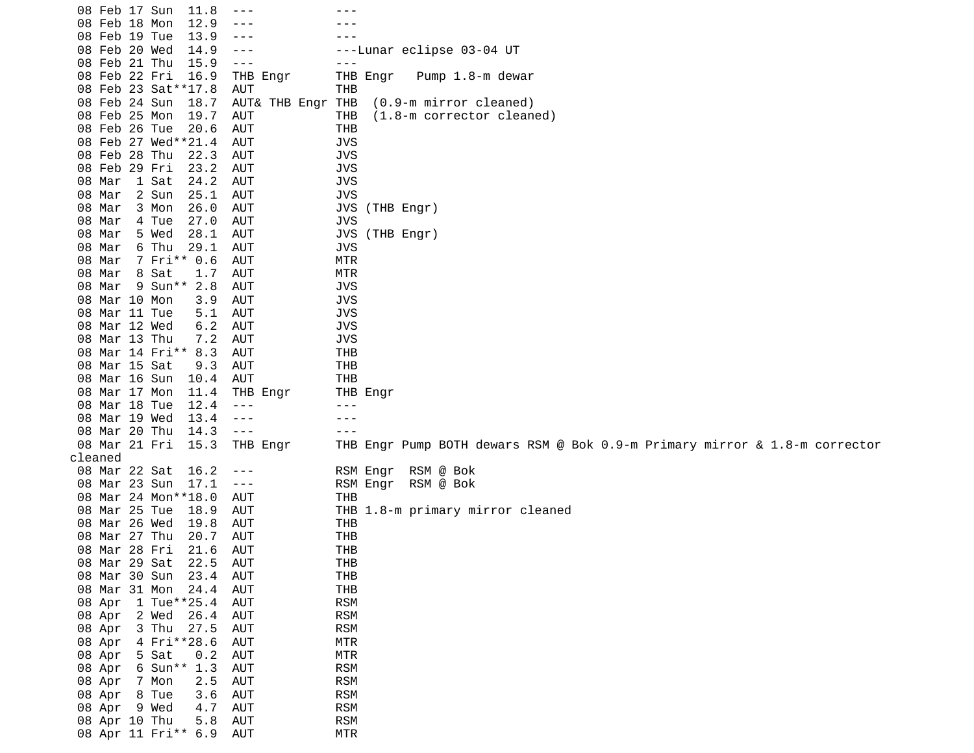| 08 Feb 17 Sun |                       | 11.8         | $- - -$        |          |                   |            |                                                                            |           |                  |  |  |  |  |  |  |
|---------------|-----------------------|--------------|----------------|----------|-------------------|------------|----------------------------------------------------------------------------|-----------|------------------|--|--|--|--|--|--|
| 08 Feb 18 Mon |                       | 12.9         | ---            |          |                   |            |                                                                            |           |                  |  |  |  |  |  |  |
| 08 Feb 19 Tue |                       | 13.9         | ---            |          |                   |            |                                                                            |           |                  |  |  |  |  |  |  |
| 08 Feb 20 Wed |                       | 14.9         | $- - -$        |          |                   |            | ---Lunar eclipse 03-04 UT                                                  |           |                  |  |  |  |  |  |  |
| 08 Feb 21 Thu |                       | 15.9         | $\sim$ $ \sim$ |          |                   | $- - -$    |                                                                            |           |                  |  |  |  |  |  |  |
| 08 Feb 22 Fri |                       | 16.9         |                | THB Engr |                   | THB Engr   |                                                                            |           | Pump 1.8-m dewar |  |  |  |  |  |  |
|               | 08 Feb 23 Sat ** 17.8 |              | AUT            |          |                   | THB        |                                                                            |           |                  |  |  |  |  |  |  |
| 08 Feb 24 Sun |                       | 18.7         |                |          | AUT& THB Engr THB |            | (0.9-m mirror cleaned)                                                     |           |                  |  |  |  |  |  |  |
| 08 Feb 25 Mon |                       | 19.7         | AUT            |          |                   | <b>THB</b> | (1.8-m corrector cleaned)                                                  |           |                  |  |  |  |  |  |  |
| 08 Feb 26 Tue |                       | 20.6         | AUT            |          |                   | THB        |                                                                            |           |                  |  |  |  |  |  |  |
|               | 08 Feb 27 Wed**21.4   |              |                |          |                   |            |                                                                            |           |                  |  |  |  |  |  |  |
| 08 Feb 28 Thu |                       |              | AUT            |          |                   | <b>JVS</b> |                                                                            |           |                  |  |  |  |  |  |  |
|               |                       | 22.3         | AUT            |          |                   | <b>JVS</b> |                                                                            |           |                  |  |  |  |  |  |  |
| 08 Feb 29 Fri |                       | 23.2<br>24.2 | AUT            |          |                   | <b>JVS</b> |                                                                            |           |                  |  |  |  |  |  |  |
| 08 Mar        | 1 Sat                 |              | AUT            |          |                   | <b>JVS</b> |                                                                            |           |                  |  |  |  |  |  |  |
| 08 Mar        | 2 Sun                 | 25.1         | AUT            |          |                   | <b>JVS</b> |                                                                            |           |                  |  |  |  |  |  |  |
| 08 Mar        | 3 Mon                 | 26.0         | AUT            |          |                   |            | JVS (THB Engr)                                                             |           |                  |  |  |  |  |  |  |
| 08 Mar        | 4 Tue                 | 27.0         | AUT            |          |                   | <b>JVS</b> |                                                                            |           |                  |  |  |  |  |  |  |
| 08 Mar        | 5 Wed                 | 28.1         | <b>AUT</b>     |          |                   |            | JVS (THB Engr)                                                             |           |                  |  |  |  |  |  |  |
| 08 Mar        | 6 Thu                 | 29.1         | <b>AUT</b>     |          |                   | <b>JVS</b> |                                                                            |           |                  |  |  |  |  |  |  |
| 08 Mar        | 7 Fri** 0.6           |              | AUT            |          |                   | <b>MTR</b> |                                                                            |           |                  |  |  |  |  |  |  |
| 08 Mar        | 8 Sat                 | 1.7          | AUT            |          |                   | <b>MTR</b> |                                                                            |           |                  |  |  |  |  |  |  |
| 08 Mar        | 9 Sun** 2.8           |              | AUT            |          |                   | <b>JVS</b> |                                                                            |           |                  |  |  |  |  |  |  |
| 08 Mar 10 Mon |                       | 3.9          | AUT            |          |                   | <b>JVS</b> |                                                                            |           |                  |  |  |  |  |  |  |
| 08 Mar 11 Tue |                       | 5.1          | AUT            |          |                   | <b>JVS</b> |                                                                            |           |                  |  |  |  |  |  |  |
| 08 Mar 12 Wed |                       | 6.2          | AUT            |          |                   | <b>JVS</b> |                                                                            |           |                  |  |  |  |  |  |  |
| 08 Mar 13 Thu |                       | 7.2          | <b>AUT</b>     |          |                   | <b>JVS</b> |                                                                            |           |                  |  |  |  |  |  |  |
|               | 08 Mar 14 Fri** 8.3   |              | <b>AUT</b>     |          |                   | <b>THB</b> |                                                                            |           |                  |  |  |  |  |  |  |
| 08 Mar 15 Sat |                       | 9.3          | AUT            |          |                   | <b>THB</b> |                                                                            |           |                  |  |  |  |  |  |  |
| 08 Mar 16 Sun |                       | 10.4         | AUT            |          |                   | <b>THB</b> |                                                                            |           |                  |  |  |  |  |  |  |
| 08 Mar 17 Mon |                       | 11.4         |                | THB Engr |                   | THB Engr   |                                                                            |           |                  |  |  |  |  |  |  |
| 08 Mar 18 Tue |                       | 12.4         | $- - -$        |          |                   | $- - -$    |                                                                            |           |                  |  |  |  |  |  |  |
| 08 Mar 19 Wed |                       | 13.4         | $- - -$        |          |                   | - - -      |                                                                            |           |                  |  |  |  |  |  |  |
| 08 Mar 20 Thu |                       | 14.3         | $\sim$ $ \sim$ |          |                   | - - -      |                                                                            |           |                  |  |  |  |  |  |  |
| 08 Mar 21 Fri |                       | 15.3         |                | THB Engr |                   |            | THB Engr Pump BOTH dewars RSM @ Bok 0.9-m Primary mirror & 1.8-m corrector |           |                  |  |  |  |  |  |  |
| cleaned       |                       |              |                |          |                   |            |                                                                            |           |                  |  |  |  |  |  |  |
| 08 Mar 22 Sat |                       | 16.2         | $- - -$        |          |                   | RSM Engr   |                                                                            | RSM @ Bok |                  |  |  |  |  |  |  |
| 08 Mar 23 Sun |                       | 17.1         |                |          |                   |            |                                                                            | RSM @ Bok |                  |  |  |  |  |  |  |
|               | 08 Mar 24 Mon**18.0   |              | $- - -$        |          |                   |            | RSM Engr                                                                   |           |                  |  |  |  |  |  |  |
|               |                       |              | AUT            |          |                   | THB        |                                                                            |           |                  |  |  |  |  |  |  |
| 08 Mar 25 Tue |                       | 18.9         | AUT            |          |                   |            | THB 1.8-m primary mirror cleaned                                           |           |                  |  |  |  |  |  |  |
| 08 Mar 26 Wed |                       | 19.8         | AUT            |          |                   | <b>THB</b> |                                                                            |           |                  |  |  |  |  |  |  |
| 08 Mar 27 Thu |                       | 20.7         | AUT            |          |                   | <b>THB</b> |                                                                            |           |                  |  |  |  |  |  |  |
| 08 Mar 28 Fri |                       | 21.6         | AUT            |          |                   | <b>THB</b> |                                                                            |           |                  |  |  |  |  |  |  |
| 08 Mar 29 Sat |                       | 22.5         | AUT            |          |                   | THB        |                                                                            |           |                  |  |  |  |  |  |  |
|               | 08 Mar 30 Sun         | 23.4         | <b>AUT</b>     |          |                   | <b>THB</b> |                                                                            |           |                  |  |  |  |  |  |  |
| 08 Mar 31 Mon |                       | 24.4         | AUT            |          |                   | <b>THB</b> |                                                                            |           |                  |  |  |  |  |  |  |
| 08 Apr        | 1 Tue**25.4           |              | AUT            |          |                   | <b>RSM</b> |                                                                            |           |                  |  |  |  |  |  |  |
| 08 Apr        | 2 Wed                 | 26.4         | AUT            |          |                   | <b>RSM</b> |                                                                            |           |                  |  |  |  |  |  |  |
| 08 Apr        | 3 Thu                 | 27.5         | AUT            |          |                   | <b>RSM</b> |                                                                            |           |                  |  |  |  |  |  |  |
| 08 Apr        | 4 Fri**28.6           |              | AUT            |          |                   | <b>MTR</b> |                                                                            |           |                  |  |  |  |  |  |  |
| 08 Apr        | 5 Sat                 | 0.2          | AUT            |          |                   | <b>MTR</b> |                                                                            |           |                  |  |  |  |  |  |  |
| 08 Apr        | 6 Sun** 1.3           |              | AUT            |          |                   | <b>RSM</b> |                                                                            |           |                  |  |  |  |  |  |  |
| 08 Apr        | 7 Mon                 | 2.5          | AUT            |          |                   | <b>RSM</b> |                                                                            |           |                  |  |  |  |  |  |  |
| 08 Apr        | 8 Tue                 | 3.6          | <b>AUT</b>     |          |                   | <b>RSM</b> |                                                                            |           |                  |  |  |  |  |  |  |
| 08 Apr        | 9 Wed                 | 4.7          | AUT            |          |                   | <b>RSM</b> |                                                                            |           |                  |  |  |  |  |  |  |
| 08 Apr 10 Thu |                       | 5.8          | AUT            |          |                   | <b>RSM</b> |                                                                            |           |                  |  |  |  |  |  |  |
|               | 08 Apr 11 Fri** 6.9   |              | AUT            |          |                   | <b>MTR</b> |                                                                            |           |                  |  |  |  |  |  |  |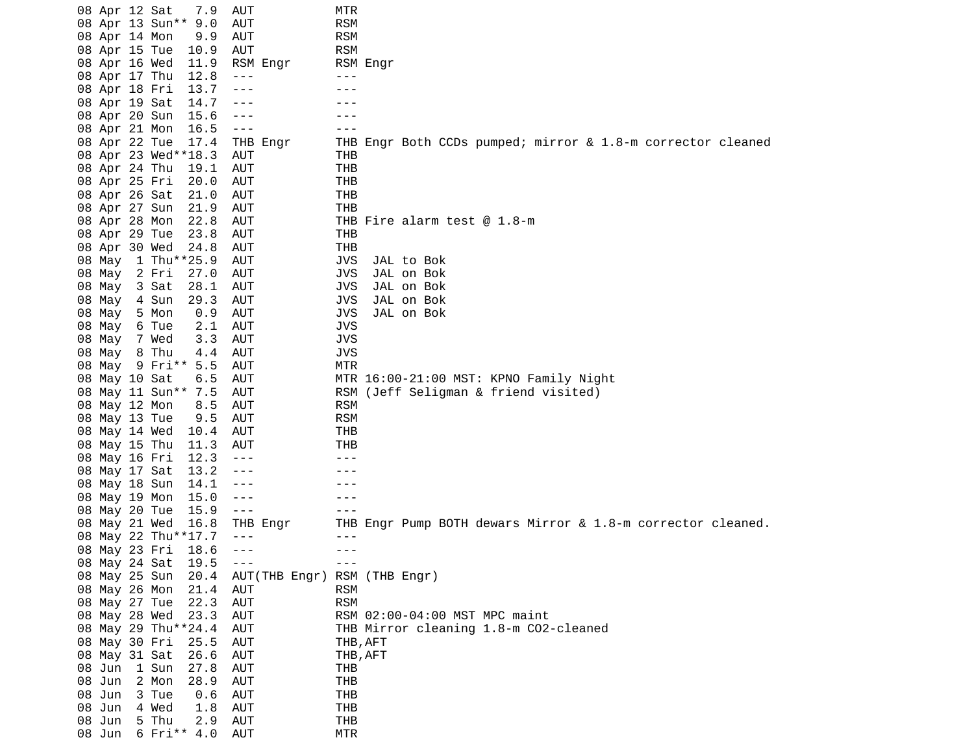|           | 08 Apr 12 Sat<br>7.9  | AUT                  | MTR                                                         |
|-----------|-----------------------|----------------------|-------------------------------------------------------------|
|           | 08 Apr 13 Sun** 9.0   | AUT                  | <b>RSM</b>                                                  |
|           | 08 Apr 14 Mon<br>9.9  | AUT                  | <b>RSM</b>                                                  |
|           | 08 Apr 15 Tue<br>10.9 | AUT                  | <b>RSM</b>                                                  |
|           | 08 Apr 16 Wed<br>11.9 | RSM Engr             | RSM Engr                                                    |
|           | 08 Apr 17 Thu<br>12.8 | $- - -$              | $- - -$                                                     |
|           | 08 Apr 18 Fri<br>13.7 | $- - -$              |                                                             |
|           | 14.7<br>08 Apr 19 Sat | ---                  |                                                             |
|           | 08 Apr 20 Sun<br>15.6 | $- - -$              |                                                             |
|           | 08 Apr 21 Mon<br>16.5 | $- - -$              |                                                             |
|           |                       |                      |                                                             |
|           | 08 Apr 22 Tue<br>17.4 | THB Engr             | THB Engr Both CCDs pumped; mirror & 1.8-m corrector cleaned |
|           | 08 Apr 23 Wed**18.3   | AUT                  | THB                                                         |
|           | 08 Apr 24 Thu<br>19.1 | <b>AUT</b>           | <b>THB</b>                                                  |
|           | 08 Apr 25 Fri<br>20.0 | AUT                  | <b>THB</b>                                                  |
|           | 08 Apr 26 Sat<br>21.0 | AUT                  | <b>THB</b>                                                  |
|           | 08 Apr 27 Sun<br>21.9 | AUT                  | THB                                                         |
|           | 08 Apr 28 Mon<br>22.8 | AUT                  | THB Fire alarm test $@ 1.8-m$                               |
|           | 23.8<br>08 Apr 29 Tue | <b>AUT</b>           | THB                                                         |
|           | 08 Apr 30 Wed<br>24.8 | <b>AUT</b>           | <b>THB</b>                                                  |
| 08 May    | 1 Thu**25.9           | <b>AUT</b>           | <b>JVS</b><br>JAL to Bok                                    |
| 08 May    | 2 Fri<br>27.0         | AUT                  | JVS<br>JAL on Bok                                           |
| 08 May    | 3 Sat<br>28.1         | <b>AUT</b>           | <b>JVS</b><br>JAL on Bok                                    |
| 08 May    | 4 Sun<br>29.3         | AUT                  | <b>JVS</b><br>JAL on Bok                                    |
| 08 May    | 5 Mon<br>0.9          | AUT                  | <b>JVS</b><br>JAL on Bok                                    |
| 08 May    | 6 Tue<br>2.1          | AUT                  | <b>JVS</b>                                                  |
| 08<br>May | 3.3<br>7 Wed          | AUT                  | <b>JVS</b>                                                  |
| 08 May    | 8 Thu<br>4.4          | <b>AUT</b>           | <b>JVS</b>                                                  |
| 08 May    | 9 Fri** 5.5           | AUT                  | <b>MTR</b>                                                  |
|           | 08 May 10 Sat<br>6.5  | AUT                  | MTR 16:00-21:00 MST: KPNO Family Night                      |
| 08        | May 11 Sun** 7.5      | AUT                  | RSM (Jeff Seligman & friend visited)                        |
|           | 08 May 12 Mon<br>8.5  | AUT                  | <b>RSM</b>                                                  |
|           | 08 May 13 Tue<br>9.5  | AUT                  | <b>RSM</b>                                                  |
|           | 08 May 14 Wed<br>10.4 | AUT                  | <b>THB</b>                                                  |
|           | 08 May 15 Thu<br>11.3 | AUT                  | THB                                                         |
|           |                       |                      | $- - -$                                                     |
| 08        | May 16 Fri<br>12.3    | $- - -$              |                                                             |
|           | 13.2<br>08 May 17 Sat | ---                  | - - -                                                       |
|           | 08 May 18 Sun<br>14.1 | ---                  |                                                             |
|           | 08 May 19 Mon<br>15.0 | $- - -$              |                                                             |
|           | 08 May 20 Tue<br>15.9 | $- - -$              |                                                             |
| 08        | May 21 Wed<br>16.8    | THB Engr             | THB Engr Pump BOTH dewars Mirror & 1.8-m corrector cleaned. |
|           | 08 May 22 Thu**17.7   | $- - -$              | $- - -$                                                     |
|           | 08 May 23 Fri<br>18.6 | $- - -$              | $- - -$                                                     |
|           | 08 May 24 Sat<br>19.5 | $\sim$ $\sim$ $\sim$ | $- - -$                                                     |
|           | 08 May 25 Sun<br>20.4 |                      | AUT(THB Engr) RSM (THB Engr)                                |
|           | 08 May 26 Mon<br>21.4 | <b>AUT</b>           | <b>RSM</b>                                                  |
|           | 08 May 27 Tue<br>22.3 | AUT                  | <b>RSM</b>                                                  |
|           | 08 May 28 Wed<br>23.3 | <b>AUT</b>           | RSM 02:00-04:00 MST MPC maint                               |
|           | 08 May 29 Thu**24.4   | <b>AUT</b>           | THB Mirror cleaning 1.8-m CO2-cleaned                       |
|           | 08 May 30 Fri<br>25.5 | <b>AUT</b>           | THB, AFT                                                    |
|           | 08 May 31 Sat<br>26.6 | <b>AUT</b>           | THB, AFT                                                    |
| 08 Jun    | 1 Sun<br>27.8         | <b>AUT</b>           | THB                                                         |
| 08 Jun    | 2 Mon<br>28.9         | <b>AUT</b>           | THB                                                         |
| 08 Jun    | 3 Tue<br>0.6          | AUT                  | THB                                                         |
| 08 Jun    | 4 Wed<br>1.8          | <b>AUT</b>           | <b>THB</b>                                                  |
| 08 Jun    | 5 Thu<br>2.9          | <b>AUT</b>           | THB                                                         |
| 08 Jun    | 6 Fri** 4.0           | <b>AUT</b>           | <b>MTR</b>                                                  |
|           |                       |                      |                                                             |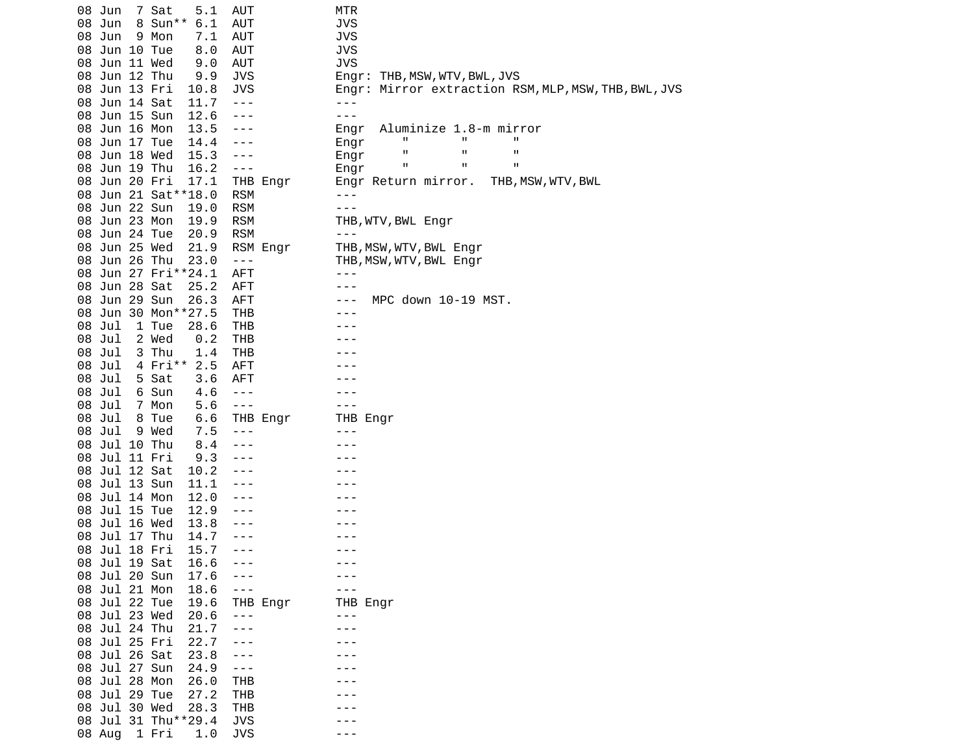| 7 Sat<br>08 Jun<br>AUT<br>5.1           | MTR                                                  |
|-----------------------------------------|------------------------------------------------------|
| 8 Sun**<br>Jun<br>6.1<br>AUT<br>08      | <b>JVS</b>                                           |
| 08 Jun<br>9 Mon<br><b>AUT</b><br>7.1    | <b>JVS</b>                                           |
| <b>AUT</b><br>08 Jun 10 Tue<br>8.0      | <b>JVS</b>                                           |
| 08 Jun 11 Wed<br>9.0<br><b>AUT</b>      | <b>JVS</b>                                           |
| 08 Jun 12 Thu<br>9.9<br><b>JVS</b>      | Engr: THB, MSW, WTV, BWL, JVS                        |
| 08 Jun 13 Fri<br>10.8<br>JVS            | Engr: Mirror extraction RSM, MLP, MSW, THB, BWL, JVS |
| 08 Jun 14 Sat<br>$\sim$ $\sim$ $\sim$   | $- - -$                                              |
| 11.7                                    |                                                      |
| 08 Jun 15 Sun<br>12.6<br>$- - -$        | - - -                                                |
| 08 Jun 16 Mon<br>13.5<br>---            | Aluminize 1.8-m mirror<br>Engr                       |
| 08 Jun 17 Tue<br>14.4<br>$- - -$        | п<br>п<br>Ш<br>Engr                                  |
| 08 Jun 18 Wed<br>15.3<br>$- - -$        | п<br>п<br>п<br>Engr                                  |
| 08 Jun 19 Thu<br>16.2<br>$\sim$ $ -$    | п<br>п<br>п<br>Engr                                  |
| 08 Jun 20 Fri<br>17.1<br>THB Engr       | THB, MSW, WTV, BWL<br>Engr Return mirror.            |
| 08 Jun 21 Sat ** 18.0<br><b>RSM</b>     | $- - -$                                              |
| 08 Jun 22 Sun<br><b>RSM</b><br>19.0     | $- - -$                                              |
| 08 Jun 23 Mon<br><b>RSM</b><br>19.9     | THB, WTV, BWL Engr                                   |
| 08 Jun 24 Tue<br>20.9<br><b>RSM</b>     |                                                      |
| 08 Jun 25 Wed<br>21.9<br>RSM Engr       | THB, MSW, WTV, BWL Engr                              |
| 23.0                                    |                                                      |
| 08 Jun 26 Thu<br>$  -$                  | THB, MSW, WTV, BWL Engr                              |
| 08 Jun 27 Fri**24.1<br><b>AFT</b>       | ---                                                  |
| 08 Jun 28 Sat<br><b>AFT</b><br>25.2     | - - -                                                |
| 08 Jun 29 Sun<br>26.3<br><b>AFT</b>     | MPC down 10-19 MST.<br>---                           |
| 08 Jun 30 Mon**27.5<br>THB              |                                                      |
| 08 Jul<br>1 Tue<br>28.6<br>THB          |                                                      |
| 08 Jul<br>2 Wed<br><b>THB</b><br>0.2    |                                                      |
| 08 Jul<br>3 Thu<br><b>THB</b><br>1.4    |                                                      |
| 4 Fri** 2.5<br>08 Jul<br>AFT            |                                                      |
| 08 Jul<br>5 Sat<br>3.6<br>AFT           |                                                      |
| Jul<br>08<br>6 Sun<br>4.6<br>$- - -$    |                                                      |
| 08 Jul<br>7 Mon<br>5.6<br>$\sim$ $ -$   | - - -                                                |
| 08 Jul<br>8 Tue<br>6.6<br>THB Engr      | THB Engr                                             |
| 08 Jul<br>9 Wed<br>7.5<br>$- - -$       | - - -                                                |
| 08 Jul 10 Thu<br>8.4<br>$- - -$         |                                                      |
| 08 Jul 11 Fri<br>9.3                    |                                                      |
| 08 Jul 12 Sat<br>10.2<br>---            |                                                      |
| 08 Jul 13 Sun<br>11.1                   |                                                      |
| 12.0<br>$- - -$                         |                                                      |
| 08 Jul 14 Mon                           |                                                      |
| Jul 15 Tue<br>08<br>12.9                |                                                      |
| 08 Jul 16 Wed<br>13.8<br>---            |                                                      |
| 08 Jul 17 Thu<br>14.7<br>$- - -$        |                                                      |
| 08 Jul 18 Fri<br>15.7<br>$- - -$        | - - -                                                |
| 08 Jul 19 Sat<br>16.6                   |                                                      |
| 08 Jul 20 Sun<br>17.6                   |                                                      |
| 08 Jul 21 Mon<br>18.6<br>$- - -$        |                                                      |
| 08 Jul 22 Tue<br>19.6<br>THB Engr       | THB Engr                                             |
| 08 Jul 23 Wed<br>20.6<br>$\sim$ $ \sim$ | $- - -$                                              |
| 08 Jul 24 Thu<br>21.7                   |                                                      |
| 08 Jul 25 Fri<br>22.7                   |                                                      |
| 08 Jul 26 Sat<br>23.8                   |                                                      |
| 08 Jul 27 Sun<br>24.9<br>---            |                                                      |
| 08 Jul 28 Mon<br>26.0<br><b>THB</b>     |                                                      |
| 08 Jul 29 Tue<br>27.2<br>THB            |                                                      |
| 08 Jul 30 Wed<br>28.3<br><b>THB</b>     |                                                      |
| 08 Jul 31 Thu**29.4<br><b>JVS</b>       |                                                      |
| <b>JVS</b><br>08 Aug 1 Fri<br>1.0       |                                                      |
|                                         |                                                      |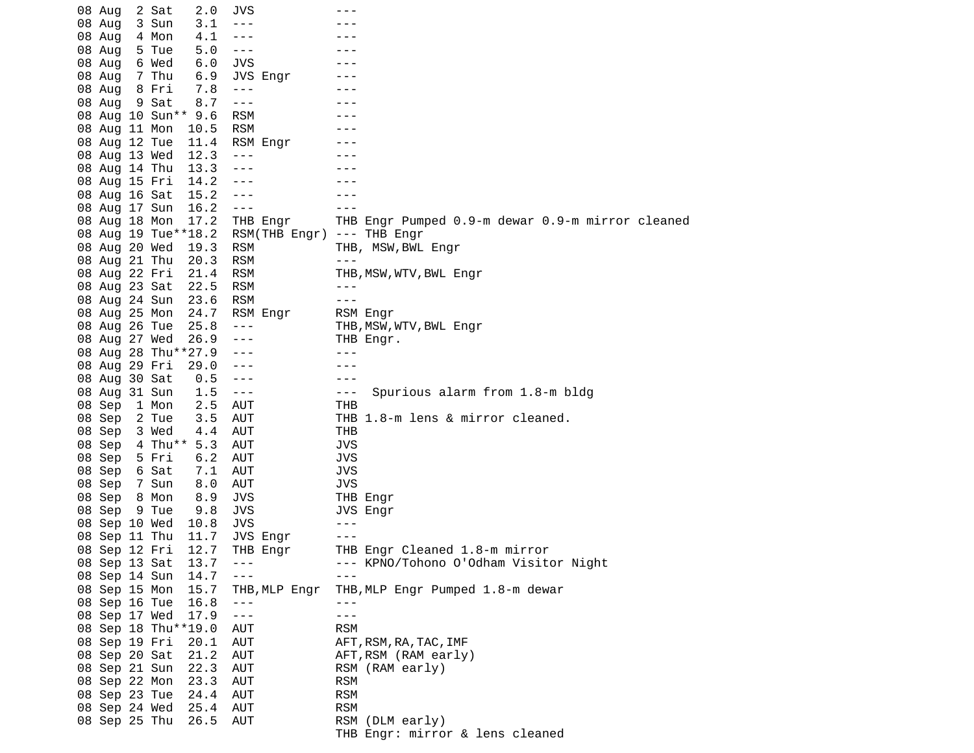| 08 Aug        | 2 Sat   | 2.0                 | JVS            |               |            |                                                  |
|---------------|---------|---------------------|----------------|---------------|------------|--------------------------------------------------|
| 08 Aug        | 3 Sun   | 3.1                 | $- - -$        |               |            |                                                  |
| 08 Aug        | 4 Mon   | 4.1                 | $- - -$        |               |            |                                                  |
| 08 Aug        | 5 Tue   | 5.0                 | $- - -$        |               |            |                                                  |
| 08 Aug        | 6 Wed   | 6.0                 | <b>JVS</b>     |               |            |                                                  |
| 08 Aug        | 7 Thu   | 6.9                 |                | JVS Engr      |            |                                                  |
| 08 Aug        | 8 Fri   | 7.8                 | $- - -$        |               |            |                                                  |
| 08 Aug        | 9 Sat   | 8.7                 | $- - -$        |               |            |                                                  |
|               |         | 08 Aug 10 Sun** 9.6 | <b>RSM</b>     |               |            |                                                  |
| 08 Aug 11 Mon |         | 10.5                | <b>RSM</b>     |               |            |                                                  |
| 08 Aug 12 Tue |         | 11.4                |                | RSM Engr      |            |                                                  |
| 08 Aug 13 Wed |         | 12.3                | $- - -$        |               |            |                                                  |
| 08 Aug 14 Thu |         | 13.3                | $- - -$        |               |            |                                                  |
| 08 Aug 15 Fri |         | 14.2                | $- - -$        |               |            |                                                  |
| 08 Aug 16 Sat |         | 15.2                | $- - -$        |               |            |                                                  |
| 08 Aug 17 Sun |         | 16.2                | $- - -$        |               |            |                                                  |
| 08 Aug 18 Mon |         | 17.2                |                | THB Engr      |            | THB Engr Pumped 0.9-m dewar 0.9-m mirror cleaned |
|               |         | 08 Aug 19 Tue**18.2 |                | RSM(THB Engr) |            | --- THB Engr                                     |
| 08 Aug 20 Wed |         | 19.3                | <b>RSM</b>     |               |            | THB, MSW, BWL Engr                               |
| 08 Aug 21 Thu |         | 20.3                | <b>RSM</b>     |               | - - -      |                                                  |
| 08 Aug 22 Fri |         | 21.4                | <b>RSM</b>     |               |            | THB, MSW, WTV, BWL Engr                          |
| 08 Aug 23 Sat |         | 22.5                | <b>RSM</b>     |               | ---        |                                                  |
| 08 Aug 24 Sun |         | 23.6                | <b>RSM</b>     |               | $- - -$    |                                                  |
| 08 Aug 25 Mon |         | 24.7                |                | RSM Engr      | RSM Engr   |                                                  |
| 08 Aug 26 Tue |         | 25.8                | $- - -$        |               |            | THB, MSW, WTV, BWL Engr                          |
| 08 Aug 27 Wed |         | 26.9                | ---            |               |            | THB Engr.                                        |
|               |         | 08 Aug 28 Thu**27.9 | - - -          |               |            |                                                  |
| 08 Aug 29 Fri |         | 29.0                | $- - -$        |               | - - -      |                                                  |
| 08 Aug 30 Sat |         | 0.5                 | $- - -$        |               | - - -      |                                                  |
| 08 Aug 31 Sun |         | 1.5                 | $- - -$        |               | - - -      | Spurious alarm from 1.8-m bldg                   |
|               |         | 2.5                 | <b>AUT</b>     |               | THB        |                                                  |
| 08 Sep        | 1 Mon   |                     |                |               |            | THB 1.8-m lens & mirror cleaned.                 |
| 08 Sep        | 2 Tue   | 3.5                 | AUT            |               |            |                                                  |
| 08 Sep        | 3 Wed   | 4.4                 | AUT            |               | THB        |                                                  |
| 08 Sep        | 4 Thu** | 5.3                 | <b>AUT</b>     |               | <b>JVS</b> |                                                  |
| 08 Sep        | 5 Fri   | 6.2                 | <b>AUT</b>     |               | JVS        |                                                  |
| 08 Sep        | 6 Sat   | 7.1                 | AUT            |               | <b>JVS</b> |                                                  |
| 08 Sep        | 7 Sun   | 8.0                 | AUT            |               | <b>JVS</b> |                                                  |
| 08 Sep        | 8 Mon   | 8.9                 | JVS            |               | THB Engr   |                                                  |
| 08 Sep        | 9 Tue   | 9.8                 | JVS            |               | JVS Engr   |                                                  |
| 08 Sep 10 Wed |         | 10.8                | JVS            |               | ---        |                                                  |
| 08 Sep 11 Thu |         | 11.7                |                | JVS Engr      | - - -      |                                                  |
| 08 Sep 12 Fri |         | 12.7                |                | THB Engr      |            | THB Engr Cleaned 1.8-m mirror                    |
| 08 Sep 13 Sat |         | 13.7                | $\sim$ $ \sim$ |               |            | --- KPNO/Tohono O'Odham Visitor Night            |
| 08 Sep 14 Sun |         | 14.7                | $- - -$        |               |            |                                                  |
| 08 Sep 15 Mon |         | 15.7                |                | THB, MLP Engr |            | THB, MLP Engr Pumped 1.8-m dewar                 |
| 08 Sep 16 Tue |         | 16.8                | $- - -$        |               | - - -      |                                                  |
| 08 Sep 17 Wed |         | 17.9                | $  -$          |               | $- - -$    |                                                  |
|               |         | 08 Sep 18 Thu**19.0 | AUT            |               | <b>RSM</b> |                                                  |
| 08 Sep 19 Fri |         | 20.1                | AUT            |               |            | AFT, RSM, RA, TAC, IMF                           |
| 08 Sep 20 Sat |         | 21.2                | AUT            |               |            | AFT, RSM (RAM early)                             |
| 08 Sep 21 Sun |         | 22.3                | <b>AUT</b>     |               |            | RSM (RAM early)                                  |
| 08 Sep 22 Mon |         | 23.3                | AUT            |               | <b>RSM</b> |                                                  |
| 08 Sep 23 Tue |         | 24.4                | AUT            |               | <b>RSM</b> |                                                  |
| 08 Sep 24 Wed |         | 25.4                | AUT            |               | <b>RSM</b> |                                                  |
| 08 Sep 25 Thu |         | 26.5                | AUT            |               |            | RSM (DLM early)                                  |
|               |         |                     |                |               |            | THB Engr: mirror & lens cleaned                  |
|               |         |                     |                |               |            |                                                  |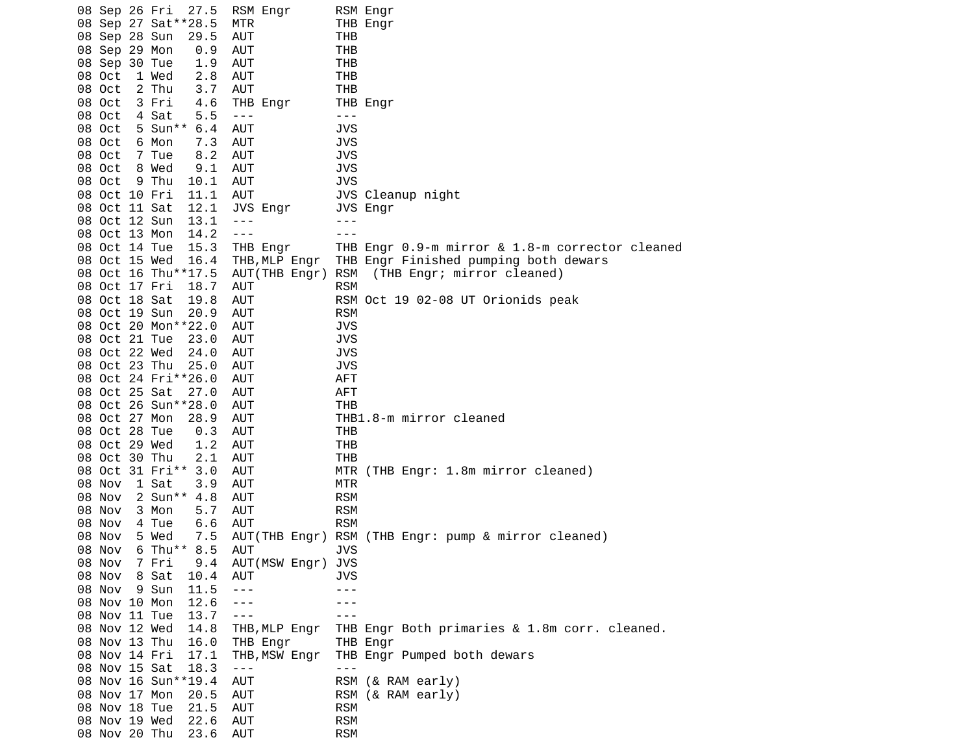| 08 Sep 26 Fri | 27.5                  | RSM Engr                | RSM Engr                                        |
|---------------|-----------------------|-------------------------|-------------------------------------------------|
|               | 08 Sep 27 Sat ** 28.5 | MTR                     | THB Engr                                        |
| 08 Sep 28 Sun | 29.5                  | AUT                     | THB                                             |
| 08 Sep 29 Mon | 0.9                   | AUT                     | <b>THB</b>                                      |
| 08 Sep 30 Tue | 1.9                   | AUT                     | <b>THB</b>                                      |
| 08 Oct        | 1 Wed<br>2.8          | AUT                     | THB                                             |
| 08 Oct        | 2 Thu<br>3.7          | AUT                     | <b>THB</b>                                      |
| 08 Oct        | 3 Fri<br>4.6          | THB Engr                | THB Engr                                        |
| 08 Oct        | 4 Sat<br>5.5          | $- - -$                 | $- - -$                                         |
| 08 Oct        | 5 Sun** 6.4           | AUT                     | <b>JVS</b>                                      |
| 08 Oct        | 6 Mon<br>7.3          | AUT                     | <b>JVS</b>                                      |
| 08 Oct        | 7 Tue<br>8.2          | AUT                     | <b>JVS</b>                                      |
| 08 Oct        | 8 Wed<br>9.1          | AUT                     | <b>JVS</b>                                      |
| 08 Oct        | 9 Thu<br>10.1         | AUT                     | <b>JVS</b>                                      |
| 08 Oct 10 Fri | 11.1                  | AUT                     | JVS Cleanup night                               |
| 08 Oct 11 Sat | 12.1                  | JVS Engr                | JVS Engr                                        |
| 08 Oct 12 Sun | 13.1                  | $- - -$                 | - - -                                           |
|               | 14.2                  | $\perp$ $\perp$ $\perp$ | $- - -$                                         |
| 08 Oct 13 Mon |                       |                         |                                                 |
| 08 Oct 14 Tue | 15.3                  | THB Engr                | THB Engr 0.9-m mirror & 1.8-m corrector cleaned |
| 08 Oct 15 Wed | 16.4                  | THB,MLP Engr            | THB Engr Finished pumping both dewars           |
|               | 08 Oct 16 Thu**17.5   | AUT(THB Engr)           | RSM<br>(THB Engr; mirror cleaned)               |
| 08 Oct 17 Fri | 18.7                  | AUT                     | <b>RSM</b>                                      |
| 08 Oct 18 Sat | 19.8                  | AUT                     | RSM Oct 19 02-08 UT Orionids peak               |
| 08 Oct 19 Sun | 20.9                  | AUT                     | <b>RSM</b>                                      |
|               | 08 Oct 20 Mon**22.0   | AUT                     | <b>JVS</b>                                      |
| 08 Oct 21 Tue | 23.0                  | AUT                     | <b>JVS</b>                                      |
| 08 Oct 22 Wed | 24.0                  | AUT                     | <b>JVS</b>                                      |
| 08 Oct 23 Thu | 25.0                  | AUT                     | <b>JVS</b>                                      |
|               | 08 Oct 24 Fri**26.0   | AUT                     | <b>AFT</b>                                      |
| 08 Oct 25 Sat | 27.0                  | AUT                     | <b>AFT</b>                                      |
|               | 08 Oct 26 Sun**28.0   | AUT                     | <b>THB</b>                                      |
| 08 Oct 27 Mon | 28.9                  | AUT                     | THB1.8-m mirror cleaned                         |
| 08 Oct 28 Tue | 0.3                   | AUT                     | THB                                             |
| 08 Oct 29 Wed | 1.2                   | AUT                     | <b>THB</b>                                      |
| 08 Oct 30 Thu | 2.1                   | AUT                     | THB                                             |
|               | 08 Oct 31 Fri** 3.0   | AUT                     | MTR (THB Engr: 1.8m mirror cleaned)             |
| 08 Nov        | 1 Sat<br>3.9          | AUT                     | <b>MTR</b>                                      |
| 08 Nov        | 2 Sun** 4.8           | AUT                     | <b>RSM</b>                                      |
| 08 Nov        | 3 Mon<br>5.7          | AUT                     | <b>RSM</b>                                      |
| 08 Nov        | 4 Tue<br>6.6          | AUT                     | <b>RSM</b>                                      |
| 08 Nov        | 5 Wed<br>7.5          | AUT(THB Engr)           | RSM (THB Engr: pump & mirror cleaned)           |
| 08 Nov        | 6 Thu** 8.5           | AUT                     | <b>JVS</b>                                      |
| 08 Nov        | 7 Fri<br>9.4          | AUT(MSW Engr)           | <b>JVS</b>                                      |
| 08 Nov        | 8 Sat<br>10.4         | AUT                     | JVS                                             |
| 08 Nov        | 9 Sun<br>11.5         | $- - -$                 | - - -                                           |
| 08 Nov 10 Mon | 12.6                  | $- - -$                 |                                                 |
| 08 Nov 11 Tue | 13.7                  | $- - -$                 |                                                 |
| 08 Nov 12 Wed | 14.8                  |                         |                                                 |
| 08 Nov 13 Thu | 16.0                  | THB, MLP Engr           | THB Engr Both primaries & 1.8m corr. cleaned.   |
|               |                       | THB Engr                | THB Engr                                        |
| 08 Nov 14 Fri | 17.1                  | THB, MSW Engr           | THB Engr Pumped both dewars                     |
| 08 Nov 15 Sat | 18.3                  | $- - -$                 | ---                                             |
|               | 08 Nov 16 Sun**19.4   | AUT                     | RSM (& RAM early)                               |
| 08 Nov 17 Mon | 20.5                  | AUT                     | RSM (& RAM early)                               |
| 08 Nov 18 Tue | 21.5                  | <b>AUT</b>              | <b>RSM</b>                                      |
| 08 Nov 19 Wed | 22.6                  | AUT                     | <b>RSM</b>                                      |
|               | 08 Nov 20 Thu<br>23.6 | AUT                     | <b>RSM</b>                                      |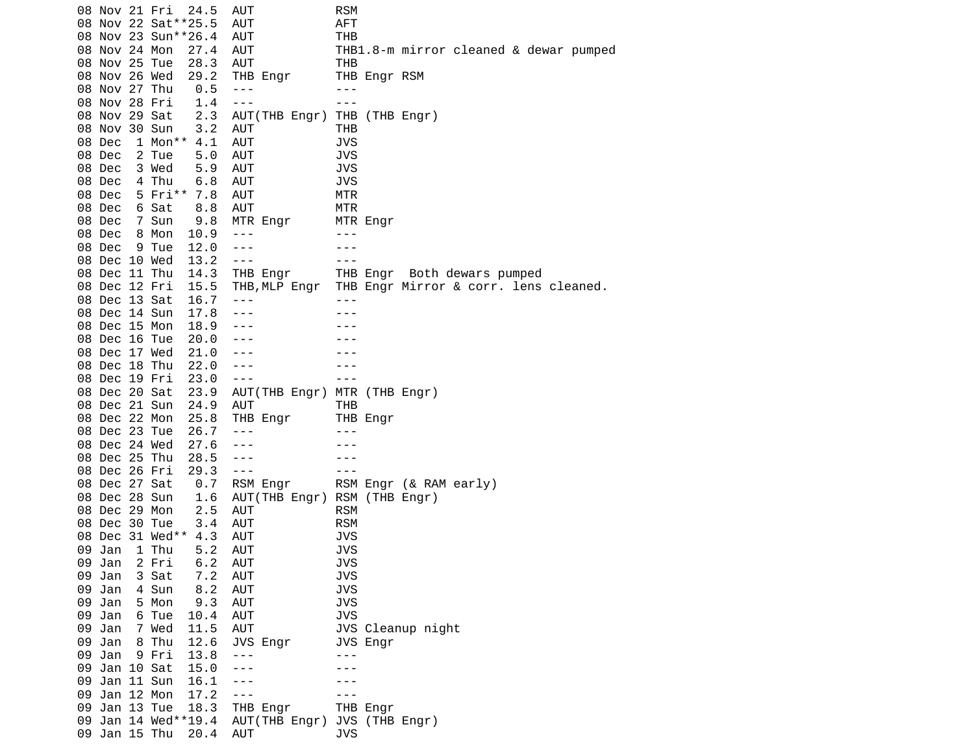08 Nov 21 Fri 24.5 AUT RSM 08 Nov 22 Sat\*\*25.5 AUT AFT 08 Nov 23 Sun\*\*26.4 AUT THB 08 Nov 24 Mon 27.4 AUT THB1.8-m mirror cleaned & dewar pumped 08 Nov 25 Tue 28.3 AUT THB 08 Nov 26 Wed 29.2 THB Engr 08 Nov 27 Thu 0.5 --- --- 08 Nov 28 Fri 1.4 --- -- --- 08 Nov 29 Sat 2.3 AUT(THB Engr) THB (THB Engr) 08 Nov 30 Sun 3.2 AUT THB 1 Mon\*\* 4.1 AUT 08 Dec 2 Tue 5.0 AUT JVS 08 Dec 3 Wed 5.9 AUT JVS 6.8 AUT 08 Dec 5 Fri\*\* 7.8 AUT MTR 08 Dec 6 Sat 8.8 AUT MTR 08 Dec 7 Sun 9.8 MTR Engr MTR Engr 08 Dec 8 Mon 10.9 --- -- ---08 Dec 9 Tue 12.0 --- -- ---08 Dec 10 Wed 13.2 --- -- -- --- 08 Dec 11 Thu 14.3 THB Engr THB Engr Both dewars pumped 08 Dec 12 Fri 15.5 THB,MLP Engr THB Engr Mirror & corr. lens cleaned. 08 Dec 13 Sat 16.7 --- -- -- ---08 Dec 14 Sun 17.8 --- -- -- ---08 Dec 15 Mon 18.9 --- - -- ---08 Dec 16 Tue 20.0 --- -- ---08 Dec 17 Wed 21.0 --- -- ---08 Dec 18 Thu 22.0 --- -- ---08 Dec 19 Fri 23.0 --- -- -- --- 08 Dec 20 Sat 23.9 AUT(THB Engr) MTR (THB Engr) 08 Dec 21 Sun 24.9 AUT THB 08 Dec 22 Mon 25.8 THB Engr 08 Dec 23 Tue 26.7 --- -- -- ---08 Dec 24 Wed 27.6 ---<br>08 Dec 25 Thu 28.5 --- --- --- ---08 Dec 25 Thu 28.5 ---<br>08 Dec 26 Fri 29.3 --- --- --- ---08 Dec 26 Fri 29.3 --- -- -- --- 08 Dec 27 Sat 0.7 RSM Engr RSM Engr (& RAM early) 08 Dec 28 Sun 1.6 AUT(THB Engr) RSM (THB Engr) 08 Dec 29 Mon 2.5 AUT RSM 08 Dec 30 Tue 3.4 AUT RSM 08 Dec 31 Wed\*\* 4.3 AUT JVS 09 Jan 1 Thu 5.2 AUT JVS 6.2 AUT<br>7.2 AUT 09 Jan 3 Sat 7.2 AUT JVS 09 Jan 4 Sun 8.2 AUT JVS 9.3 AUT 09 Jan 6 Tue 10.4 AUT JVS 09 Jan 7 Wed 11.5 AUT JVS Cleanup night 09 Jan 8 Thu 12.6 JVS Engr JVS Engr 09 Jan 9 Fri 13.8 --- - -- ---09 Jan 10 Sat 15.0 --- - -- ---09 Jan 11 Sun 16.1 --- - -- ---09 Jan 12 Mon 17.2 ---09 Jan 13 Tue 18.3 THB Engr THB Engr 09 Jan 14 Wed\*\*19.4 AUT(THB Engr) JVS (THB Engr) 09 Jan 15 Thu 20.4 AUT **JVS**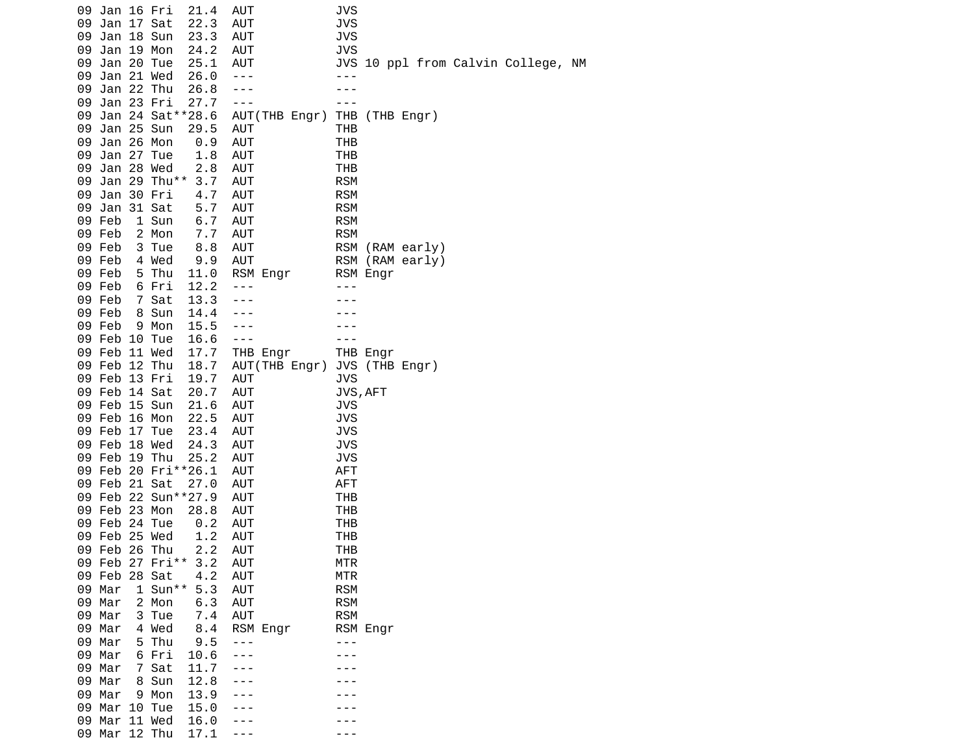|  | 09 Jan 16 Fri |                     | 21.4                  | AUT            |                              | JVS        |                |                 |                                    |  |
|--|---------------|---------------------|-----------------------|----------------|------------------------------|------------|----------------|-----------------|------------------------------------|--|
|  | 09 Jan 17 Sat |                     | 22.3                  | <b>AUT</b>     |                              | <b>JVS</b> |                |                 |                                    |  |
|  | 09 Jan 18 Sun |                     | 23.3                  | <b>AUT</b>     |                              | <b>JVS</b> |                |                 |                                    |  |
|  | 09 Jan 19 Mon |                     | 24.2                  | AUT            |                              | <b>JVS</b> |                |                 |                                    |  |
|  | 09 Jan 20 Tue |                     | 25.1                  | <b>AUT</b>     |                              |            |                |                 | JVS 10 ppl from Calvin College, NM |  |
|  | 09 Jan 21 Wed |                     | 26.0                  | $\sim$ $ \sim$ |                              | $- - -$    |                |                 |                                    |  |
|  |               |                     |                       |                |                              |            |                |                 |                                    |  |
|  | 09 Jan 22 Thu |                     | 26.8                  | - - -          |                              |            |                |                 |                                    |  |
|  | 09 Jan 23 Fri |                     | 27.7                  | $- - -$        |                              |            |                |                 |                                    |  |
|  |               |                     | 09 Jan 24 Sat ** 28.6 |                | AUT(THB Engr)                |            | THB (THB Engr) |                 |                                    |  |
|  | 09 Jan 25 Sun |                     | 29.5                  | <b>AUT</b>     |                              | <b>THB</b> |                |                 |                                    |  |
|  | 09 Jan 26 Mon |                     | 0.9                   | AUT            |                              | THB        |                |                 |                                    |  |
|  | 09 Jan 27 Tue |                     | 1.8                   | AUT            |                              | THB        |                |                 |                                    |  |
|  | 09 Jan 28 Wed |                     | 2.8                   | <b>AUT</b>     |                              | THB        |                |                 |                                    |  |
|  |               |                     | 09 Jan 29 Thu** 3.7   | <b>AUT</b>     |                              | <b>RSM</b> |                |                 |                                    |  |
|  | 09 Jan 30 Fri |                     | 4.7                   | <b>AUT</b>     |                              | <b>RSM</b> |                |                 |                                    |  |
|  | 09 Jan 31 Sat |                     | 5.7                   | AUT            |                              | <b>RSM</b> |                |                 |                                    |  |
|  | 09 Feb        | 1 Sun               | 6.7                   | <b>AUT</b>     |                              | <b>RSM</b> |                |                 |                                    |  |
|  | 09 Feb        | 2 Mon               | 7.7                   | <b>AUT</b>     |                              | <b>RSM</b> |                |                 |                                    |  |
|  |               |                     |                       |                |                              |            |                |                 |                                    |  |
|  | 09 Feb        | 3 Tue               | 8.8                   | AUT            |                              |            |                | RSM (RAM early) |                                    |  |
|  | 09 Feb        | 4 Wed               | 9.9                   | <b>AUT</b>     |                              |            |                | RSM (RAM early) |                                    |  |
|  | 09 Feb        | 5 Thu               | 11.0                  |                | RSM Engr                     |            | RSM Engr       |                 |                                    |  |
|  | 09 Feb        | 6 Fri               | 12.2                  | $- - -$        |                              |            |                |                 |                                    |  |
|  | 09 Feb        | 7 Sat               | 13.3                  | ---            |                              |            |                |                 |                                    |  |
|  | 09 Feb        | 8 Sun               | 14.4                  |                |                              |            |                |                 |                                    |  |
|  | 09 Feb        | 9 Mon               | 15.5                  |                |                              |            |                |                 |                                    |  |
|  | 09 Feb 10 Tue |                     | 16.6                  | $- - -$        |                              |            |                |                 |                                    |  |
|  | 09 Feb 11 Wed |                     | 17.7                  |                | THB Engr                     |            | THB Engr       |                 |                                    |  |
|  | 09 Feb 12 Thu |                     | 18.7                  |                | AUT(THB Engr) JVS (THB Engr) |            |                |                 |                                    |  |
|  | 09 Feb 13 Fri |                     | 19.7                  | AUT            |                              | <b>JVS</b> |                |                 |                                    |  |
|  | 09 Feb 14 Sat |                     | 20.7                  | AUT            |                              |            | JVS, AFT       |                 |                                    |  |
|  | 09 Feb 15 Sun |                     | 21.6                  | <b>AUT</b>     |                              | JVS        |                |                 |                                    |  |
|  | 09 Feb 16 Mon |                     | 22.5                  | <b>AUT</b>     |                              | <b>JVS</b> |                |                 |                                    |  |
|  |               |                     |                       |                |                              |            |                |                 |                                    |  |
|  | 09 Feb 17 Tue |                     | 23.4                  | <b>AUT</b>     |                              | <b>JVS</b> |                |                 |                                    |  |
|  | 09 Feb 18 Wed |                     | 24.3                  | AUT            |                              | <b>JVS</b> |                |                 |                                    |  |
|  | 09 Feb 19 Thu |                     | 25.2                  | <b>AUT</b>     |                              | <b>JVS</b> |                |                 |                                    |  |
|  |               | 09 Feb 20 Fri**26.1 |                       | <b>AUT</b>     |                              | <b>AFT</b> |                |                 |                                    |  |
|  | 09 Feb 21 Sat |                     | 27.0                  | <b>AUT</b>     |                              | AFT        |                |                 |                                    |  |
|  |               |                     | 09 Feb 22 Sun**27.9   | <b>AUT</b>     |                              | THB        |                |                 |                                    |  |
|  | 09 Feb 23 Mon |                     | 28.8                  | AUT            |                              | <b>THB</b> |                |                 |                                    |  |
|  | 09 Feb 24 Tue |                     | 0.2                   | AUT            |                              | THB        |                |                 |                                    |  |
|  | 09 Feb 25 Wed |                     | 1.2                   | AUT            |                              | THB        |                |                 |                                    |  |
|  | 09 Feb 26 Thu |                     | 2.2                   | AUT            |                              | <b>THB</b> |                |                 |                                    |  |
|  |               | 09 Feb 27 Fri**     | 3.2                   | <b>AUT</b>     |                              | <b>MTR</b> |                |                 |                                    |  |
|  | 09 Feb 28 Sat |                     | 4.2                   | <b>AUT</b>     |                              | <b>MTR</b> |                |                 |                                    |  |
|  | 09 Mar        | $1$ Sun**           | 5.3                   | AUT            |                              | <b>RSM</b> |                |                 |                                    |  |
|  |               |                     |                       |                |                              |            |                |                 |                                    |  |
|  | 09 Mar        | 2 Mon               | 6.3                   | <b>AUT</b>     |                              | <b>RSM</b> |                |                 |                                    |  |
|  | 09 Mar        | 3 Tue               | 7.4                   | AUT            |                              | <b>RSM</b> |                |                 |                                    |  |
|  | 09 Mar        | 4 Wed               | 8.4                   |                | RSM Engr                     |            | RSM Engr       |                 |                                    |  |
|  | 09 Mar        | 5 Thu               | 9.5                   | - - -          |                              |            |                |                 |                                    |  |
|  | 09 Mar        | 6 Fri               | 10.6                  |                |                              |            |                |                 |                                    |  |
|  | 09 Mar        | 7 Sat               | 11.7                  |                |                              |            |                |                 |                                    |  |
|  | 09 Mar        | 8 Sun               | 12.8                  |                |                              |            |                |                 |                                    |  |
|  | 09 Mar        | 9 Mon               | 13.9                  |                |                              |            |                |                 |                                    |  |
|  | 09 Mar 10 Tue |                     | 15.0                  |                |                              |            |                |                 |                                    |  |
|  | 09 Mar 11 Wed |                     | 16.0                  |                |                              |            |                |                 |                                    |  |
|  | 09 Mar 12 Thu |                     | 17.1                  |                |                              |            |                |                 |                                    |  |
|  |               |                     |                       |                |                              |            |                |                 |                                    |  |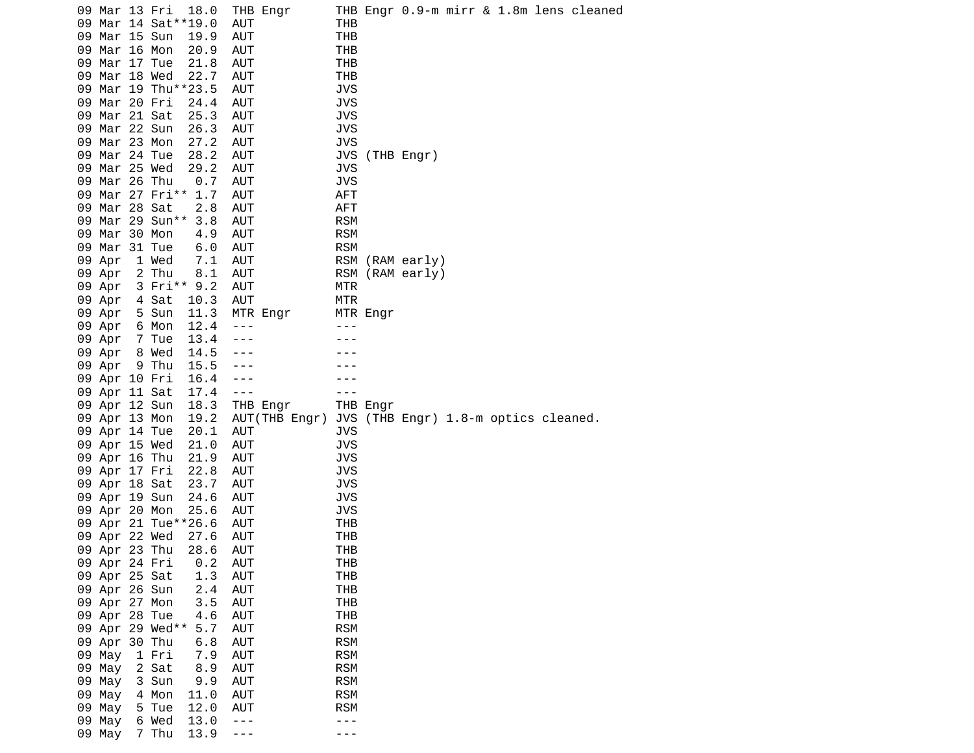|    | 09 Mar 13 Fri                  |                 | 18.0<br>09 Mar 14 Sat**19.0 | AUT        | THB Engr      | THB               |          |                                  |  |  | THB Engr 0.9-m mirr & 1.8m lens cleaned |
|----|--------------------------------|-----------------|-----------------------------|------------|---------------|-------------------|----------|----------------------------------|--|--|-----------------------------------------|
| 09 |                                | Mar 15 Sun      | 19.9                        | AUT        |               | <b>THB</b>        |          |                                  |  |  |                                         |
|    | 09 Mar 16 Mon                  |                 | 20.9                        | AUT        |               | <b>THB</b>        |          |                                  |  |  |                                         |
|    | 09 Mar 17 Tue                  |                 | 21.8                        | AUT        |               | <b>THB</b>        |          |                                  |  |  |                                         |
|    | 09 Mar 18 Wed                  |                 | 22.7                        | AUT        |               | <b>THB</b>        |          |                                  |  |  |                                         |
|    |                                |                 | 09 Mar 19 Thu**23.5         | AUT        |               | <b>JVS</b>        |          |                                  |  |  |                                         |
| 09 | Mar 20 Fri                     |                 | 24.4                        | AUT        |               | JVS               |          |                                  |  |  |                                         |
|    | 09 Mar 21 Sat                  |                 | 25.3                        | AUT        |               | <b>JVS</b>        |          |                                  |  |  |                                         |
|    | 09 Mar 22 Sun                  |                 | 26.3                        | AUT        |               | <b>JVS</b>        |          |                                  |  |  |                                         |
|    | 09 Mar 23 Mon                  |                 | 27.2                        | <b>AUT</b> |               | <b>JVS</b>        |          |                                  |  |  |                                         |
|    | 09 Mar 24 Tue                  |                 | 28.2                        | AUT        |               | JVS               |          | (THB Engr)                       |  |  |                                         |
| 09 | Mar 25 Wed                     |                 | 29.2                        | AUT        |               | JVS               |          |                                  |  |  |                                         |
|    | 09 Mar 26 Thu                  |                 | 0.7                         | AUT        |               | <b>JVS</b>        |          |                                  |  |  |                                         |
|    |                                | 09 Mar 27 Fri** | 1.7                         | AUT        |               | AFT               |          |                                  |  |  |                                         |
|    | 09 Mar 28 Sat                  |                 | 2.8                         | AUT        |               | AFT               |          |                                  |  |  |                                         |
| 09 |                                | Mar 29 Sun**    | 3.8                         | AUT        |               | <b>RSM</b>        |          |                                  |  |  |                                         |
| 09 | Mar 30 Mon                     |                 | 4.9                         | AUT        |               | <b>RSM</b>        |          |                                  |  |  |                                         |
|    | 09 Mar 31 Tue                  |                 | 6.0                         | AUT        |               | <b>RSM</b>        |          |                                  |  |  |                                         |
|    | 09 Apr                         | 1 Wed           | 7.1                         | AUT        |               | <b>RSM</b>        |          | (RAM early)                      |  |  |                                         |
|    | 09 Apr                         | 2 Thu           | 8.1                         | AUT        |               | <b>RSM</b>        |          | (RAM early)                      |  |  |                                         |
|    | 09 Apr                         |                 | 3 Fri** 9.2                 | AUT        |               | MTR               |          |                                  |  |  |                                         |
|    | 09 Apr                         | 4 Sat           | 10.3                        | AUT        |               | <b>MTR</b>        |          |                                  |  |  |                                         |
|    | 09 Apr                         | 5 Sun           | 11.3                        |            | MTR Engr      |                   | MTR Engr |                                  |  |  |                                         |
|    | 09 Apr                         | 6 Mon           | 12.4                        | $- - -$    |               |                   |          |                                  |  |  |                                         |
|    | 09 Apr                         | 7 Tue           | 13.4                        |            |               |                   |          |                                  |  |  |                                         |
|    | 09 Apr                         | 8 Wed           | 14.5                        |            |               |                   |          |                                  |  |  |                                         |
|    | 09 Apr                         | 9 Thu           | 15.5                        |            |               |                   |          |                                  |  |  |                                         |
|    | 09 Apr 10 Fri                  |                 | 16.4                        | ---        |               |                   |          |                                  |  |  |                                         |
|    | 09 Apr 11 Sat                  |                 | 17.4                        | ---        |               |                   |          |                                  |  |  |                                         |
|    | 09 Apr 12 Sun                  |                 | 18.3                        |            | THB Engr      |                   | THB Engr |                                  |  |  |                                         |
|    | 09 Apr 13 Mon                  |                 | 19.2                        |            | AUT(THB Engr) | JVS               |          | (THB Engr) 1.8-m optics cleaned. |  |  |                                         |
|    | 09 Apr 14 Tue                  |                 | 20.1                        | AUT        |               | JVS               |          |                                  |  |  |                                         |
|    | 09 Apr 15 Wed                  |                 | 21.0                        | AUT        |               | <b>JVS</b>        |          |                                  |  |  |                                         |
|    | 09 Apr 16 Thu                  |                 | 21.9                        | AUT        |               | <b>JVS</b>        |          |                                  |  |  |                                         |
|    | 09 Apr 17 Fri                  |                 | 22.8                        | AUT        |               | <b>JVS</b>        |          |                                  |  |  |                                         |
|    | 09 Apr 18 Sat                  |                 | 23.7                        | AUT        |               | <b>JVS</b>        |          |                                  |  |  |                                         |
|    | 09 Apr 19 Sun                  |                 | 24.6                        | AUT        |               | <b>JVS</b>        |          |                                  |  |  |                                         |
|    | 09 Apr 20 Mon                  |                 | 25.6                        | AUT        |               | <b>JVS</b>        |          |                                  |  |  |                                         |
|    |                                |                 | 09 Apr 21 Tue**26.6         | AUT        |               | <b>THB</b><br>THB |          |                                  |  |  |                                         |
|    | 09 Apr 22 Wed<br>09 Apr 23 Thu |                 | 27.6<br>28.6                | AUT<br>AUT |               | <b>THB</b>        |          |                                  |  |  |                                         |
|    | 09 Apr 24 Fri                  |                 | 0.2                         | <b>AUT</b> |               | THB               |          |                                  |  |  |                                         |
|    | 09 Apr 25 Sat                  |                 | 1.3                         | AUT        |               | THB               |          |                                  |  |  |                                         |
|    | 09 Apr 26 Sun                  |                 | 2.4                         | AUT        |               | <b>THB</b>        |          |                                  |  |  |                                         |
|    | 09 Apr 27 Mon                  |                 | 3.5                         | AUT        |               | THB               |          |                                  |  |  |                                         |
|    | 09 Apr 28 Tue                  |                 | 4.6                         | AUT        |               | THB               |          |                                  |  |  |                                         |
|    |                                | 09 Apr 29 Wed** | 5.7                         | <b>AUT</b> |               | <b>RSM</b>        |          |                                  |  |  |                                         |
|    | 09 Apr 30 Thu                  |                 | 6.8                         | AUT        |               | <b>RSM</b>        |          |                                  |  |  |                                         |
|    | 09 May                         | 1 Fri           | 7.9                         | AUT        |               | <b>RSM</b>        |          |                                  |  |  |                                         |
|    | 09 May                         | 2 Sat           | $8.9$                       | AUT        |               | <b>RSM</b>        |          |                                  |  |  |                                         |
|    | 09 May                         | 3 Sun           | 9.9                         | <b>AUT</b> |               | <b>RSM</b>        |          |                                  |  |  |                                         |
|    | 09 May                         | 4 Mon           | 11.0                        | AUT        |               | <b>RSM</b>        |          |                                  |  |  |                                         |
|    | 09 May                         | 5 Tue           | 12.0                        | AUT        |               | <b>RSM</b>        |          |                                  |  |  |                                         |
|    | 09 May                         | 6 Wed           | 13.0                        | $  -$      |               | - - -             |          |                                  |  |  |                                         |
|    | 09 May                         | 7 Thu           | 13.9                        | $- - -$    |               | - - -             |          |                                  |  |  |                                         |
|    |                                |                 |                             |            |               |                   |          |                                  |  |  |                                         |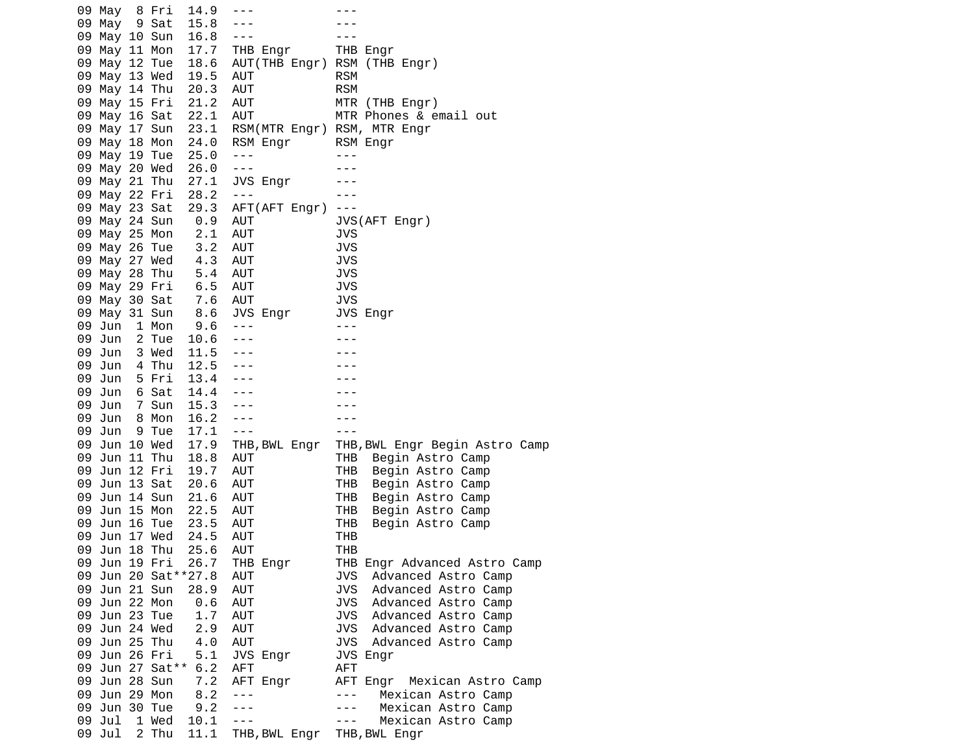| 09 May        | 8 Fri           | 14.9                  | $- - -$           |                                                                                                                                                                                                                                                                                                                                                                                                                                |
|---------------|-----------------|-----------------------|-------------------|--------------------------------------------------------------------------------------------------------------------------------------------------------------------------------------------------------------------------------------------------------------------------------------------------------------------------------------------------------------------------------------------------------------------------------|
| 09 May 9 Sat  |                 | 15.8                  | ---               |                                                                                                                                                                                                                                                                                                                                                                                                                                |
| 09 May 10 Sun |                 | 16.8                  | $- - -$           |                                                                                                                                                                                                                                                                                                                                                                                                                                |
| 09 May 11 Mon |                 | 17.7                  | THB Engr          | THB Engr                                                                                                                                                                                                                                                                                                                                                                                                                       |
| 09 May 12 Tue |                 | 18.6                  |                   | AUT(THB Engr) RSM (THB Engr)                                                                                                                                                                                                                                                                                                                                                                                                   |
| 09 May 13 Wed |                 | 19.5                  | AUT               | <b>RSM</b>                                                                                                                                                                                                                                                                                                                                                                                                                     |
| 09 May 14 Thu |                 | 20.3                  | AUT               | <b>RSM</b>                                                                                                                                                                                                                                                                                                                                                                                                                     |
| 09 May 15 Fri |                 | 21.2                  | AUT               | MTR (THB Engr)                                                                                                                                                                                                                                                                                                                                                                                                                 |
|               |                 |                       | <b>AUT</b>        |                                                                                                                                                                                                                                                                                                                                                                                                                                |
| 09 May 16 Sat |                 | 22.1                  |                   | MTR Phones & email out                                                                                                                                                                                                                                                                                                                                                                                                         |
| 09 May 17 Sun |                 | 23.1                  |                   | RSM(MTR Engr) RSM, MTR Engr                                                                                                                                                                                                                                                                                                                                                                                                    |
| 09 May 18 Mon |                 | 24.0                  | RSM Engr          | RSM Engr                                                                                                                                                                                                                                                                                                                                                                                                                       |
| 09 May 19 Tue |                 | 25.0                  | $- - -$           | - - -                                                                                                                                                                                                                                                                                                                                                                                                                          |
| 09 May 20 Wed |                 | 26.0                  | $- - -$           |                                                                                                                                                                                                                                                                                                                                                                                                                                |
| 09 May 21 Thu |                 | 27.1                  | JVS Engr          |                                                                                                                                                                                                                                                                                                                                                                                                                                |
| 09 May 22 Fri |                 | 28.2                  | $- - -$           |                                                                                                                                                                                                                                                                                                                                                                                                                                |
| 09 May 23 Sat |                 | 29.3                  | AFT(AFT Engr)     | $- - -$                                                                                                                                                                                                                                                                                                                                                                                                                        |
| 09 May 24 Sun |                 | 0.9                   | AUT               | JVS(AFT Engr)                                                                                                                                                                                                                                                                                                                                                                                                                  |
| 09 May 25 Mon |                 | 2.1                   | AUT               | <b>JVS</b>                                                                                                                                                                                                                                                                                                                                                                                                                     |
| 09 May 26 Tue |                 | 3.2                   | <b>AUT</b>        | <b>JVS</b>                                                                                                                                                                                                                                                                                                                                                                                                                     |
| 09 May 27 Wed |                 | 4.3                   | <b>AUT</b>        | <b>JVS</b>                                                                                                                                                                                                                                                                                                                                                                                                                     |
| 09 May 28 Thu |                 | 5.4                   | AUT               | <b>JVS</b>                                                                                                                                                                                                                                                                                                                                                                                                                     |
| 09 May 29 Fri |                 | 6.5                   | AUT               | <b>JVS</b>                                                                                                                                                                                                                                                                                                                                                                                                                     |
| 09 May 30 Sat |                 | 7.6                   | AUT               | JVS                                                                                                                                                                                                                                                                                                                                                                                                                            |
| 09 May 31 Sun |                 | 8.6                   | JVS Engr          | JVS Engr                                                                                                                                                                                                                                                                                                                                                                                                                       |
| 09 Jun        | 1 Mon           | 9.6                   | $- - -$           | $\frac{1}{2}$                                                                                                                                                                                                                                                                                                                                                                                                                  |
| 09 Jun        | 2 Tue           | 10.6                  | $- - -$           |                                                                                                                                                                                                                                                                                                                                                                                                                                |
| 09 Jun        | 3 Wed           | 11.5                  |                   |                                                                                                                                                                                                                                                                                                                                                                                                                                |
| 09 Jun        | 4 Thu           | 12.5                  | - - -             |                                                                                                                                                                                                                                                                                                                                                                                                                                |
| 09 Jun        | 5 Fri           | 13.4                  | - - -             |                                                                                                                                                                                                                                                                                                                                                                                                                                |
| 09 Jun        | 6 Sat           | 14.4                  | - - -             |                                                                                                                                                                                                                                                                                                                                                                                                                                |
| 09 Jun        | 7 Sun           | 15.3                  | $- - -$           |                                                                                                                                                                                                                                                                                                                                                                                                                                |
| 09 Jun        | 8 Mon           | 16.2                  | $- - -$           |                                                                                                                                                                                                                                                                                                                                                                                                                                |
| 09 Jun        | 9 Tue           | 17.1                  | $- - -$           |                                                                                                                                                                                                                                                                                                                                                                                                                                |
| 09 Jun 10 Wed |                 | 17.9                  | THB,BWL Engr      | THB, BWL Engr Begin Astro Camp                                                                                                                                                                                                                                                                                                                                                                                                 |
| 09 Jun 11 Thu |                 | 18.8                  | AUT               | THB<br>Begin Astro Camp                                                                                                                                                                                                                                                                                                                                                                                                        |
| 09 Jun 12 Fri |                 | 19.7                  | AUT               | THB<br>Begin Astro Camp                                                                                                                                                                                                                                                                                                                                                                                                        |
| 09 Jun 13 Sat |                 | 20.6                  | AUT               | THB<br>Begin Astro Camp                                                                                                                                                                                                                                                                                                                                                                                                        |
| 09 Jun 14 Sun |                 | 21.6                  | <b>AUT</b>        | THB<br>Begin Astro Camp                                                                                                                                                                                                                                                                                                                                                                                                        |
| 09 Jun 15 Mon |                 | 22.5                  | <b>AUT</b>        | THB<br>Begin Astro Camp                                                                                                                                                                                                                                                                                                                                                                                                        |
| 09 Jun 16 Tue |                 | 23.5                  | AUT               | THB<br>Begin Astro Camp                                                                                                                                                                                                                                                                                                                                                                                                        |
| 09 Jun 17 Wed |                 | 24.5                  | <b>AUT</b>        | THB                                                                                                                                                                                                                                                                                                                                                                                                                            |
| 09 Jun 18 Thu |                 | 25.6                  | AUT               | THB                                                                                                                                                                                                                                                                                                                                                                                                                            |
| 09 Jun 19 Fri |                 | 26.7                  | THB Engr          | THB Engr Advanced Astro Camp                                                                                                                                                                                                                                                                                                                                                                                                   |
|               |                 | 09 Jun 20 Sat ** 27.8 | AUT               | Advanced Astro Camp<br>JVS                                                                                                                                                                                                                                                                                                                                                                                                     |
| 09 Jun 21 Sun |                 | 28.9                  | <b>AUT</b>        | <b>JVS</b><br>Advanced Astro Camp                                                                                                                                                                                                                                                                                                                                                                                              |
| 09 Jun 22 Mon |                 | 0.6                   | <b>AUT</b>        | JVS<br>Advanced Astro Camp                                                                                                                                                                                                                                                                                                                                                                                                     |
| 09 Jun 23 Tue |                 | 1.7                   | <b>AUT</b>        | JVS<br>Advanced Astro Camp                                                                                                                                                                                                                                                                                                                                                                                                     |
| 09 Jun 24 Wed |                 | 2.9                   | AUT               | <b>JVS</b><br>Advanced Astro Camp                                                                                                                                                                                                                                                                                                                                                                                              |
| 09 Jun 25 Thu |                 | 4.0                   | <b>AUT</b>        | JVS<br>Advanced Astro Camp                                                                                                                                                                                                                                                                                                                                                                                                     |
| 09 Jun 26 Fri |                 | 5.1                   | JVS Engr          | JVS Engr                                                                                                                                                                                                                                                                                                                                                                                                                       |
|               | 09 Jun 27 Sat** | 6.2                   |                   |                                                                                                                                                                                                                                                                                                                                                                                                                                |
| 09 Jun 28 Sun |                 |                       | <b>AFT</b>        | AFT                                                                                                                                                                                                                                                                                                                                                                                                                            |
|               |                 | 7.2<br>8.2            | AFT Engr<br>- - - | Mexican Astro Camp<br>AFT Engr<br>$\frac{1}{2} \frac{1}{2} \frac{1}{2} \frac{1}{2} \frac{1}{2} \frac{1}{2} \frac{1}{2} \frac{1}{2} \frac{1}{2} \frac{1}{2} \frac{1}{2} \frac{1}{2} \frac{1}{2} \frac{1}{2} \frac{1}{2} \frac{1}{2} \frac{1}{2} \frac{1}{2} \frac{1}{2} \frac{1}{2} \frac{1}{2} \frac{1}{2} \frac{1}{2} \frac{1}{2} \frac{1}{2} \frac{1}{2} \frac{1}{2} \frac{1}{2} \frac{1}{2} \frac{1}{2} \frac{1}{2} \frac{$ |
| 09 Jun 29 Mon |                 |                       | $- - -$           | Mexican Astro Camp                                                                                                                                                                                                                                                                                                                                                                                                             |
| 09 Jun 30 Tue |                 | 9.2                   |                   | Mexican Astro Camp<br>$- - -$                                                                                                                                                                                                                                                                                                                                                                                                  |
| 09 Jul        | 1 Wed           | 10.1                  | - - -             | Mexican Astro Camp<br>$- - -$                                                                                                                                                                                                                                                                                                                                                                                                  |
| 09 Jul        | 2 Thu           | 11.1                  | THB,BWL Engr      | THB, BWL Engr                                                                                                                                                                                                                                                                                                                                                                                                                  |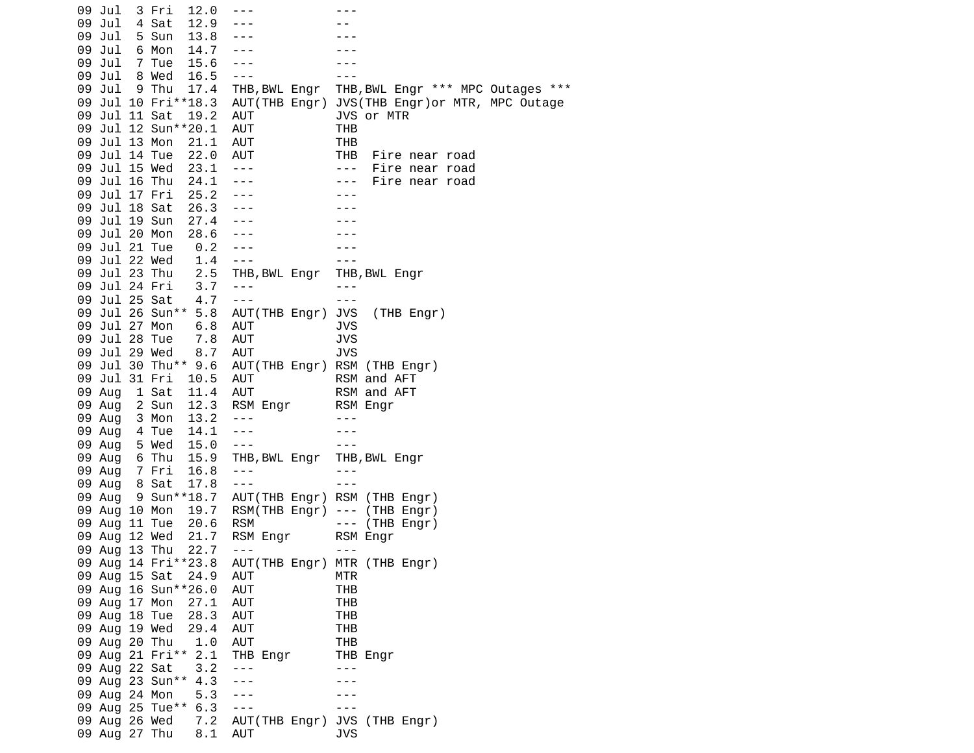|  | 09 Jul        | 3 Fri           | 12.0                |                      |                                        |
|--|---------------|-----------------|---------------------|----------------------|----------------------------------------|
|  | 09 Jul        | 4 Sat           | 12.9                |                      |                                        |
|  | 09 Jul        | 5 Sun           | 13.8                |                      |                                        |
|  | 09 Jul        | 6 Mon           | 14.7                | $- - -$              |                                        |
|  | 09 Jul        | 7 Tue           | 15.6                | $- - -$              |                                        |
|  | 09 Jul        | 8 Wed           | 16.5                | $- - -$              |                                        |
|  | 09 Jul        | 9 Thu           | 17.4                | THB,BWL Engr         | THB, BWL Engr *** MPC Outages<br>$***$ |
|  |               |                 | 09 Jul 10 Fri**18.3 | AUT(THB Engr)        | JVS(THB Engr) or MTR, MPC Outage       |
|  | 09 Jul 11 Sat |                 | 19.2                | AUT                  | JVS or MTR                             |
|  |               |                 | 09 Jul 12 Sun**20.1 | <b>AUT</b>           | THB                                    |
|  | 09 Jul 13 Mon |                 | 21.1                | <b>AUT</b>           | THB                                    |
|  | 09 Jul 14 Tue |                 | 22.0                | AUT                  | THB<br>Fire near road                  |
|  | 09 Jul 15 Wed |                 | 23.1                | $\sim$ $ \sim$       | $\sim$ $\sim$ $\sim$<br>Fire near road |
|  | 09 Jul 16 Thu |                 | 24.1                | $- - -$              | Fire near road<br>$\sim$ $ \sim$       |
|  | 09 Jul 17 Fri |                 | 25.2                | $- - -$              | $- - -$                                |
|  | 09 Jul 18 Sat |                 | 26.3                |                      |                                        |
|  | 09 Jul 19 Sun |                 | 27.4                | $- - -$              |                                        |
|  | 09 Jul 20 Mon |                 | 28.6                | $- - -$              |                                        |
|  | 09 Jul 21 Tue |                 | 0.2                 | $- - -$              |                                        |
|  | 09 Jul 22 Wed |                 | 1.4                 | $- - -$              |                                        |
|  | 09 Jul 23 Thu |                 | 2.5                 | THB, BWL Engr        | THB, BWL Engr                          |
|  | 09 Jul 24 Fri |                 | 3.7                 | $\frac{1}{2}$        | - - -                                  |
|  | 09 Jul 25 Sat |                 | 4.7                 | $- - -$              | - - -                                  |
|  |               |                 | 09 Jul 26 Sun** 5.8 | AUT(THB Engr)        | <b>JVS</b><br>(THB Engr)               |
|  | 09 Jul 27 Mon |                 | 6.8                 | AUT                  | <b>JVS</b>                             |
|  | 09 Jul 28 Tue |                 | 7.8                 | <b>AUT</b>           | <b>JVS</b>                             |
|  | 09 Jul 29 Wed |                 | 8.7                 | AUT                  | <b>JVS</b>                             |
|  |               |                 | 09 Jul 30 Thu** 9.6 |                      | AUT(THB Engr) RSM (THB Engr)           |
|  | 09 Jul 31 Fri |                 | 10.5                | AUT                  | RSM and AFT                            |
|  | 09 Aug        | 1 Sat           | 11.4                | AUT                  | RSM and AFT                            |
|  | 09 Aug        | 2 Sun           | 12.3                | RSM Engr             | RSM Engr                               |
|  | 09 Aug        | 3 Mon           | 13.2                | $- - -$              | $- - -$                                |
|  | 09 Aug        | 4 Tue           | 14.1                | $- - -$              |                                        |
|  | 09 Aug        | 5 Wed           | 15.0                | $\sim$ $\sim$ $\sim$ | $- - -$                                |
|  | 09 Aug        | 6 Thu           | 15.9                | THB, BWL Engr        | THB, BWL Engr                          |
|  | 09 Aug        | 7 Fri           | 16.8                | $- - -$              | $- - -$                                |
|  | 09 Aug        | 8 Sat           | 17.8                | $- - -$              | - - -                                  |
|  | 09 Aug        |                 | 9 Sun**18.7         | AUT(THB Engr)        | RSM (THB Engr)                         |
|  | 09 Aug 10 Mon |                 | 19.7                | RSM(THB Engr)        | $---$ (THB Engr)                       |
|  | 09 Aug 11 Tue |                 | 20.6                | <b>RSM</b>           | $\sim$ $ \sim$<br>(THB Engr)           |
|  | 09 Aug 12 Wed |                 | 21.7                | RSM Engr             | RSM Engr                               |
|  | 09 Aug 13 Thu |                 | 22.7                | $- - -$              | $- - -$                                |
|  |               |                 | 09 Aug 14 Fri**23.8 |                      | AUT(THB Engr) MTR (THB Engr)           |
|  | 09 Aug 15 Sat |                 | 24.9                | AUT                  | MTR                                    |
|  |               |                 | 09 Aug 16 Sun**26.0 | AUT                  | <b>THB</b>                             |
|  | 09 Aug 17 Mon |                 | 27.1                | <b>AUT</b>           | THB                                    |
|  | 09 Aug 18 Tue |                 | 28.3                | <b>AUT</b>           | THB                                    |
|  | 09 Aug 19 Wed |                 | 29.4                | <b>AUT</b>           | THB                                    |
|  | 09 Aug 20 Thu |                 | 1.0                 | AUT                  |                                        |
|  |               |                 |                     |                      | <b>THB</b>                             |
|  |               | 09 Aug 21 Fri** | 2.1<br>3.2          | THB Engr<br>---      | THB Engr<br>- - -                      |
|  | 09 Aug 22 Sat |                 | 4.3                 |                      |                                        |
|  |               | 09 Aug 23 Sun** | 5.3                 |                      |                                        |
|  | 09 Aug 24 Mon |                 |                     |                      |                                        |
|  |               | 09 Aug 25 Tue** | 6.3                 | ---                  |                                        |
|  | 09 Aug 26 Wed |                 | 7.2                 |                      | AUT(THB Engr) JVS (THB Engr)           |
|  | 09 Aug 27 Thu |                 | 8.1                 | AUT                  | <b>JVS</b>                             |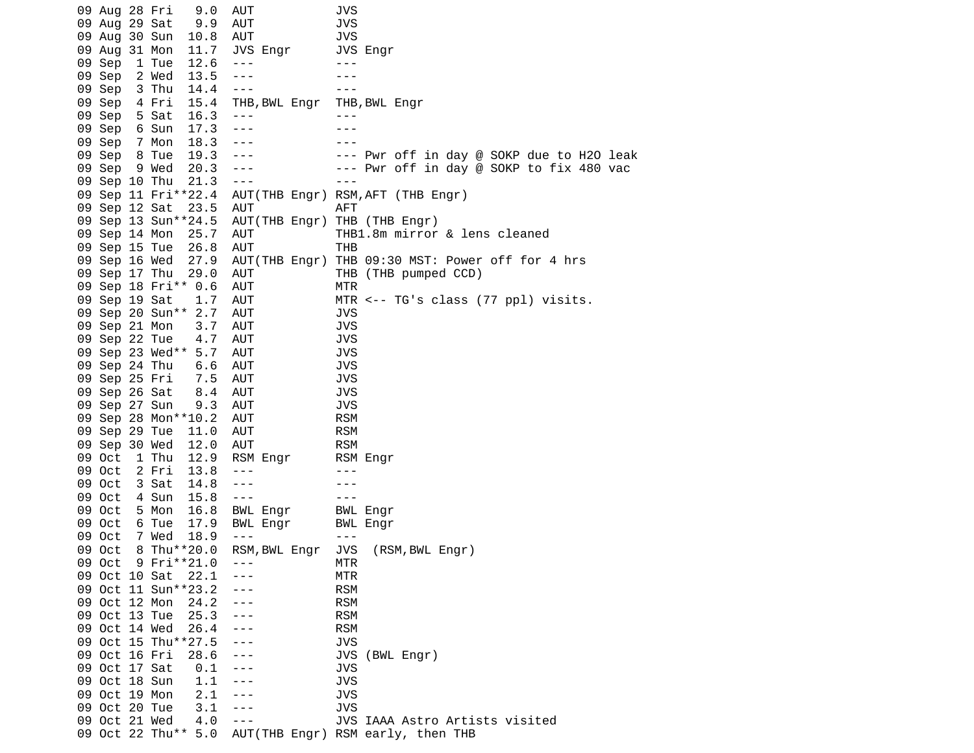|     | 09 Aug 28 Fri |                 | 9.0                 | AUT           | JVS        |                                                  |
|-----|---------------|-----------------|---------------------|---------------|------------|--------------------------------------------------|
|     | 09 Aug 29 Sat |                 | 9.9                 | <b>AUT</b>    | <b>JVS</b> |                                                  |
| 09. | Aug 30 Sun    |                 | 10.8                | <b>AUT</b>    | <b>JVS</b> |                                                  |
|     | 09 Aug 31 Mon |                 | 11.7                | JVS Engr      |            | JVS Engr                                         |
|     | 09 Sep        | 1 Tue           | 12.6                | $- - -$       | $- - -$    |                                                  |
|     | 09 Sep        | 2 Wed           | 13.5                | $- - -$       |            |                                                  |
|     | 09 Sep        | 3 Thu           | 14.4                | $- - -$       |            |                                                  |
|     | 09 Sep        | 4 Fri           | 15.4                | THB, BWL Engr |            | THB, BWL Engr                                    |
|     | 09 Sep        | 5 Sat           | 16.3                | $- - -$       | $- - -$    |                                                  |
|     | 09 Sep        | 6 Sun           | 17.3                | $- - -$       |            |                                                  |
|     | 09 Sep        | 7 Mon           | 18.3                | $- - -$       |            |                                                  |
|     | 09 Sep        | 8 Tue           | 19.3                | $- - -$       |            | --- Pwr off in day @ SOKP due to H2O leak        |
|     | 09 Sep        | 9 Wed           | 20.3                | $- - -$       |            | --- Pwr off in day @ SOKP to fix 480 vac         |
|     | 09 Sep 10 Thu |                 | 21.3                | $- - -$       | $- - -$    |                                                  |
|     |               |                 | 09 Sep 11 Fri**22.4 |               |            | AUT(THB Engr) RSM, AFT (THB Engr)                |
|     | 09 Sep 12 Sat |                 | 23.5                | AUT           | AFT        |                                                  |
|     |               |                 | 09 Sep 13 Sun**24.5 | AUT(THB Engr) |            | THB (THB Engr)                                   |
|     | 09 Sep 14 Mon |                 | 25.7                | AUT           |            | THB1.8m mirror & lens cleaned                    |
|     | 09 Sep 15 Tue |                 | 26.8                | AUT           | THB        |                                                  |
|     | 09 Sep 16 Wed |                 | 27.9                |               |            | AUT(THB Engr) THB 09:30 MST: Power off for 4 hrs |
|     | 09 Sep 17 Thu |                 | 29.0                | <b>AUT</b>    |            | THB (THB pumped CCD)                             |
|     |               |                 | 09 Sep 18 Fri** 0.6 | AUT           | MTR        |                                                  |
|     | 09 Sep 19 Sat |                 | 1.7                 | <b>AUT</b>    |            | MTR $\leq$ -- TG's class (77 ppl) visits.        |
|     |               | 09 Sep 20 Sun** | 2.7                 | AUT           | <b>JVS</b> |                                                  |
|     | 09 Sep 21 Mon |                 | 3.7                 | AUT           | <b>JVS</b> |                                                  |
|     | 09 Sep 22 Tue |                 | 4.7                 | AUT           | JVS        |                                                  |
|     |               |                 | 09 Sep 23 Wed** 5.7 | AUT           | <b>JVS</b> |                                                  |
|     | 09 Sep 24 Thu |                 | 6.6                 | <b>AUT</b>    | <b>JVS</b> |                                                  |
|     | 09 Sep 25 Fri |                 | 7.5                 | <b>AUT</b>    | <b>JVS</b> |                                                  |
|     | 09 Sep 26 Sat |                 | 8.4                 | AUT           | <b>JVS</b> |                                                  |
|     | 09 Sep 27 Sun |                 | 9.3                 | <b>AUT</b>    | JVS        |                                                  |
|     |               |                 | 09 Sep 28 Mon**10.2 | <b>AUT</b>    | <b>RSM</b> |                                                  |
|     | 09 Sep 29 Tue |                 | 11.0                | AUT           | <b>RSM</b> |                                                  |
|     | 09 Sep 30 Wed |                 | 12.0                | <b>AUT</b>    | <b>RSM</b> |                                                  |
|     | 09 Oct        | 1 Thu           | 12.9                | RSM Engr      |            | RSM Engr                                         |
|     | 09 Oct        | 2 Fri           | 13.8                | ---           |            |                                                  |
|     | 09 Oct        | 3 Sat           | 14.8                | $- - -$       |            |                                                  |
|     | 09 Oct        | 4 Sun           | 15.8                | $- - -$       |            |                                                  |
|     | 09 Oct        | 5 Mon           | 16.8                | BWL Engr      |            | BWL Engr                                         |
|     | 09 Oct        | 6 Tue           | 17.9                | BWL Engr      |            |                                                  |
|     | 09 Oct        | 7 Wed           | 18.9                | $- - -$       | $- - -$    | BWL Engr                                         |
|     | 09 Oct        |                 | 8 Thu**20.0         | RSM, BWL Engr | JVS        | (RSM, BWL Engr)                                  |
|     | 09 Oct        |                 | 9 Fri**21.0         |               | MTR        |                                                  |
|     | 09 Oct 10 Sat |                 | 22.1                |               | MTR        |                                                  |
|     |               |                 | 09 Oct 11 Sun**23.2 | ---           | <b>RSM</b> |                                                  |
|     | 09 Oct 12 Mon |                 | 24.2                | $- - -$       | <b>RSM</b> |                                                  |
|     | 09 Oct 13 Tue |                 | 25.3                | $- - -$       | <b>RSM</b> |                                                  |
|     | 09 Oct 14 Wed |                 | 26.4                | ---           | <b>RSM</b> |                                                  |
|     |               |                 | 09 Oct 15 Thu**27.5 |               | <b>JVS</b> |                                                  |
|     | 09 Oct 16 Fri |                 | 28.6                | ---           | JVS        | (BWL Engr)                                       |
|     | 09 Oct 17 Sat |                 | 0.1                 | $- - -$       | JVS        |                                                  |
|     | 09 Oct 18 Sun |                 | 1.1                 | ---           | <b>JVS</b> |                                                  |
|     | 09 Oct 19 Mon |                 | 2.1                 | - - -         | JVS        |                                                  |
|     | 09 Oct 20 Tue |                 | 3.1                 | ---           | JVS        |                                                  |
|     | 09 Oct 21 Wed |                 | 4.0                 | $- - -$       |            | JVS IAAA Astro Artists visited                   |
|     |               |                 | 09 Oct 22 Thu** 5.0 |               |            | AUT(THB Engr) RSM early, then THB                |
|     |               |                 |                     |               |            |                                                  |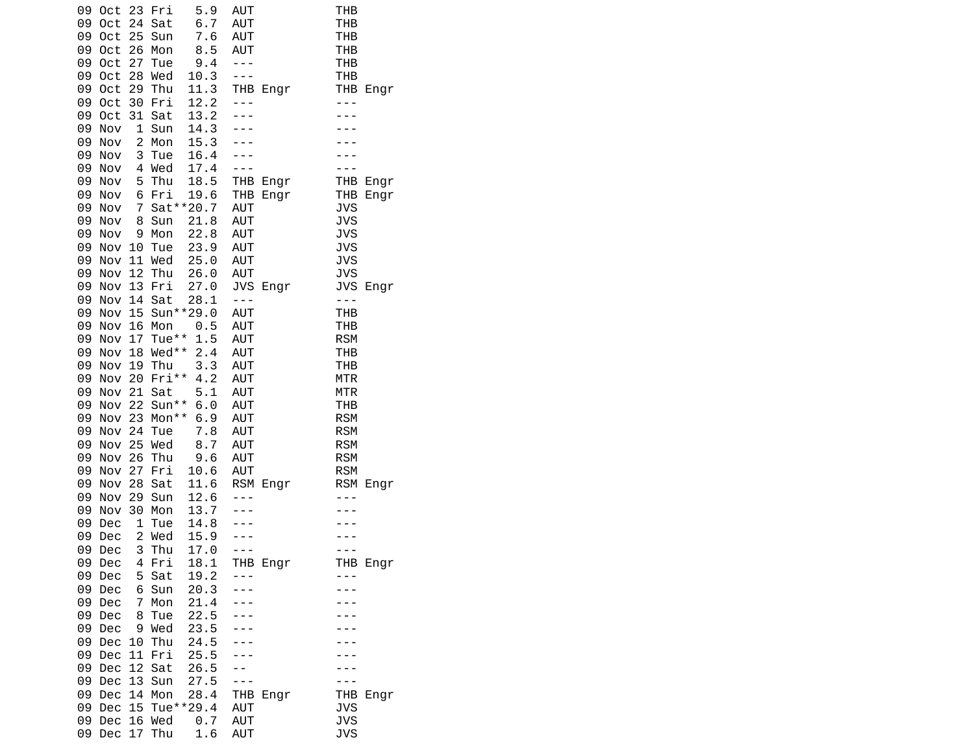| 09<br>Oct        | 23                      | Fri        | 5.9          | AUT        |          | THB        |          |
|------------------|-------------------------|------------|--------------|------------|----------|------------|----------|
| 09<br>0ct        | 24                      | Sat        | 6.7          | AUT        |          | THB        |          |
| 09<br>Oct        | 25                      | Sun        | 7.6          | <b>AUT</b> |          | THB        |          |
| 09<br>0ct        | 26                      | Mon        | 8.5          | <b>AUT</b> |          | THB        |          |
| 09<br>0ct        | 27                      | Tue        | 9.4          | $- - -$    |          | <b>THB</b> |          |
| 09<br>0ct        | 28                      | Wed        | 10.3         | - - -      |          | <b>THB</b> |          |
| 09<br>0ct        | 29                      | Thu        | 11.3         |            | THB Engr | THB        | Engr     |
| 09<br>0ct        | 30                      | Fri        | 12.2         | ---        |          | $- - -$    |          |
| 09<br>0ct        | 31                      | Sat        | 13.2         |            |          |            |          |
| 09<br>Nov        | 1                       | Sun        | 14.3         |            |          |            |          |
| 09<br>Nov        | $\overline{c}$          | Mon        | 15.3         |            |          |            |          |
| 09<br>Nov        | 3                       | Tue        | 16.4         |            |          |            |          |
| 09<br>Nov        |                         | 4 Wed      | 17.4         |            |          |            |          |
| 09<br>Nov        | 5                       | Thu        | 18.5         |            | THB Engr |            | THB Engr |
| 09<br>Nov        | 6                       | Fri        | 19.6         |            | THB Engr | <b>THB</b> | Engr     |
| 09<br>Nov        | $\overline{7}$          |            | Sat ** 20.7  | AUT        |          | <b>JVS</b> |          |
| 09<br>Nov        | 8                       | Sun        | 21.8         | AUT        |          | <b>JVS</b> |          |
| 09<br>Nov        | 9                       | Mon        | 22.8         | AUT        |          | <b>JVS</b> |          |
| 09               | Nov 10                  | Tue        | 23.9         | AUT        |          | <b>JVS</b> |          |
| 09<br>Nov        |                         | 11 Wed     | 25.0         | <b>AUT</b> |          | <b>JVS</b> |          |
| 09<br>Nov        | 12                      | Thu        | 26.0         | <b>AUT</b> |          | <b>JVS</b> |          |
| 09<br>Nov        | 13                      | Fri        | 27.0         |            | JVS Engr | <b>JVS</b> | Engr     |
| 09<br>Nov        | 14                      | Sat        | 28.1         | $- - -$    |          | $- - -$    |          |
| 09<br>Nov        | 15                      |            | Sun**29.0    | <b>AUT</b> |          | <b>THB</b> |          |
| 09<br>Nov        | 16                      | Mon        | 0.5          | <b>AUT</b> |          | THB        |          |
| 09<br>Nov        | 17                      | Tue**      | 1.5          | <b>AUT</b> |          | <b>RSM</b> |          |
| 09<br>Nov        |                         | 18 Wed**   | 2.4          | AUT        |          | <b>THB</b> |          |
| 09<br>Nov        |                         | 19 Thu     | 3.3          | AUT        |          | <b>THB</b> |          |
| 09<br>Nov        | 20                      | Fri**      | 4.2          | <b>AUT</b> |          | <b>MTR</b> |          |
| 09<br>Nov        | 21                      | Sat        | 5.1          | <b>AUT</b> |          | <b>MTR</b> |          |
| 09<br>Nov        | 22                      | Sun**      | 6.0          | AUT        |          | <b>THB</b> |          |
| 09<br>Nov        | 23                      | Mon**      | 6.9          | AUT        |          | <b>RSM</b> |          |
| 09<br>Nov        | 24                      | Tue        | 7.8          | AUT        |          | <b>RSM</b> |          |
| 09<br>Nov        |                         | 25 Wed     | 8.7          | AUT        |          | <b>RSM</b> |          |
| 09<br>Nov        | 26                      | Thu        | 9.6          | AUT        |          | <b>RSM</b> |          |
| 09<br>Nov        | 27                      | Fri        | 10.6         | AUT        |          | <b>RSM</b> |          |
| 09<br>Nov<br>09  | 28<br>29                | Sat<br>Sun | 11.6<br>12.6 |            | RSM Engr | <b>RSM</b> | Engr     |
| Nov<br>09<br>Nov | 30                      | Mon        | 13.7         |            |          |            |          |
| 09<br>Dec        | 1                       | Tue        | 14.8         |            |          |            |          |
| 09<br>Dec        | $\overline{\mathbf{c}}$ | Wed        | 15.9         |            |          |            |          |
| 09<br>Dec        | 3                       | Thu        | 17.0         |            |          |            |          |
| 09<br>Dec        | 4                       | Fri        | 18.1         |            | THB Engr |            | THB Engr |
| 09<br>Dec        | 5                       | Sat        | 19.2         | $ -$       |          |            |          |
| 09<br>Dec        | 6                       | Sun        | 20.3         |            |          |            |          |
| 09<br>Dec        | 7                       | Mon        | 21.4         |            |          |            |          |
| 09<br>Dec        | 8                       | Tue        | 22.5         |            |          |            |          |
| 09<br>Dec        | 9                       | Wed        | 23.5         |            |          |            |          |
| 09<br>Dec        | 10                      | Thu        | 24.5         |            |          |            |          |
| 09<br>Dec        | 11                      | Fri        | 25.5         |            |          |            |          |
| 09<br>Dec        | 12                      | Sat        | 26.5         |            |          |            |          |
| 09<br>Dec        | 13                      | Sun        | 27.5         |            |          |            |          |
| 09<br>Dec        | 14                      | Mon        | 28.4         | THB        | Engr     | THB        | Engr     |
| 09<br>Dec        | 15                      |            | Tue**29.4    | AUT        |          | <b>JVS</b> |          |
| 09<br>Dec        |                         | 16 Wed     | 0.7          | AUT        |          | <b>JVS</b> |          |
| 09<br>Dec        | 17                      | Thu        | 1.6          | AUT        |          | <b>JVS</b> |          |
|                  |                         |            |              |            |          |            |          |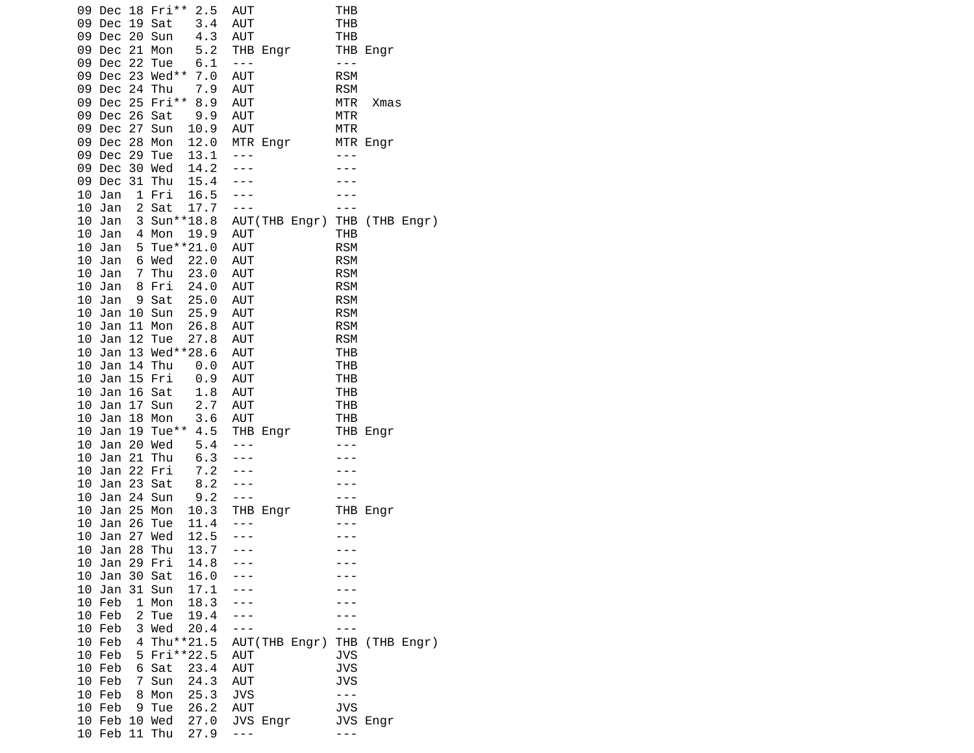| 09 Dec 18 Fri**<br>09<br>Dec<br>Dec 20 Sun<br>09 | 2.5<br>19 Sat<br>3.4<br>4.3        | <b>AUT</b><br><b>AUT</b><br>AUT     | THB<br><b>THB</b><br>THB            |
|--------------------------------------------------|------------------------------------|-------------------------------------|-------------------------------------|
| Dec 21 Mon<br>09<br>09 Dec 22 Tue                | 5.2<br>6.1<br>Dec 23 Wed** 7.0     | THB Engr<br>$\perp$ $\perp$ $\perp$ | THB Engr<br>$- - -$<br><b>RSM</b>   |
| 09<br>09<br>Dec 24 Thu                           | 7.9<br>09 Dec 25 Fri** 8.9         | <b>AUT</b><br><b>AUT</b>            | <b>RSM</b><br><b>MTR</b>            |
| 09 Dec 26 Sat<br>09 Dec 27                       | 9.9                                | AUT<br><b>AUT</b><br>AUT            | Xmas<br><b>MTR</b><br><b>MTR</b>    |
| 09 Dec 28<br>Dec 29 Tue<br>09                    | 10.9<br>Sun<br>12.0<br>Mon<br>13.1 | MTR Engr<br>$- - -$                 | MTR Engr                            |
| 09 Dec                                           | 30 Wed<br>14.2                     |                                     |                                     |
| 09 Dec                                           | 31 Thu<br>15.4                     | $ -$                                |                                     |
| 10 Jan                                           | 1 Fri 16.5                         | $- - -$                             |                                     |
| 10 Jan                                           | 2 Sat<br>17.7                      | $- - -$                             | $- - -$                             |
| 10 Jan<br>10 Jan                                 | 3 Sun**18.8<br>4 Mon<br>19.9       | <b>AUT</b>                          | AUT(THB Engr) THB (THB Engr)<br>THB |
| 10 Jan                                           | 5 Tue**21.0                        | <b>AUT</b>                          | <b>RSM</b>                          |
| 10 Jan                                           | 6 Wed<br>22.0                      | <b>AUT</b>                          | <b>RSM</b>                          |
| 10 Jan<br>$\overline{7}$                         | Thu<br>23.0                        | AUT                                 | <b>RSM</b>                          |
| 10<br>Jan                                        | 8 Fri<br>24.0                      | <b>AUT</b>                          | <b>RSM</b>                          |
| 10 Jan                                           | 9 Sat<br>25.0                      | AUT                                 | <b>RSM</b>                          |
| 10 Jan 10 Sun<br>11<br>10 Jan                    | 25.9<br>Mon<br>26.8                | AUT<br>AUT                          | <b>RSM</b><br><b>RSM</b>            |
| Jan<br>10                                        | 12 Tue<br>27.8                     | AUT                                 | <b>RSM</b>                          |
| 10 Jan                                           | 13 Wed**28.6                       | <b>AUT</b>                          | <b>THB</b>                          |
| 10 Jan 14 Thu                                    | $\Theta$ . $\Theta$                | <b>AUT</b>                          | <b>THB</b>                          |
| 10 Jan 15 Fri                                    | 0.9                                | AUT                                 | <b>THB</b>                          |
| Jan<br>10                                        | 16 Sat<br>1.8                      | <b>AUT</b>                          | THB                                 |
| 10 Jan                                           | 17 Sun<br>2.7<br>3.6<br>18 Mon     | <b>AUT</b><br>AUT                   | THB                                 |
| 10 Jan                                           | 10 Jan 19 Tue** 4.5                | THB Engr                            | THB<br>THB Engr                     |
| Jan 20 Wed<br>10                                 | 5.4                                | $- - -$                             | $- - -$                             |
| 21<br>10<br>Jan                                  | Thu<br>6.3                         |                                     |                                     |
| 10 Jan                                           | 22 Fri<br>7.2                      |                                     |                                     |
| 10 Jan 23 Sat                                    | 8.2                                |                                     |                                     |
| 10 Jan<br>25<br>10                               | 24 Sun<br>9.2<br>10.3<br>Mon       | $\perp$ $\perp$ $\perp$<br>THB Engr | THB Engr                            |
| Jan<br>10<br>Jan                                 | 26 Tue<br>11.4                     | ---                                 |                                     |
| 10 Jan                                           |                                    |                                     |                                     |
| 10 Jan 28 Thu                                    | 27 Wed 12.5<br>28 Thu 13.7<br>13.7 | $- - -$                             |                                     |
| 10 Jan                                           | 14.8<br>29 Fri                     |                                     |                                     |
| 10<br>Jan                                        | 30 Sat<br>16.0                     |                                     |                                     |
| 10 Jan<br>10 Feb                                 | 31 Sun<br>17.1<br>1 Mon<br>18.3    |                                     |                                     |
| $\overline{c}$<br>10 Feb                         | 19.4<br>Tue                        |                                     |                                     |
| 10 Feb                                           | 3 Wed<br>20.4                      |                                     |                                     |
| 10 Feb<br>4                                      | Thu**21.5                          | AUT(THB Engr)                       | THB (THB Engr)                      |
| 10 Feb                                           | 5 Fri**22.5                        | <b>AUT</b>                          | <b>JVS</b>                          |
| 10 Feb<br>6                                      | Sat<br>23.4                        | AUT                                 | <b>JVS</b>                          |
| 10 Feb<br>$\overline{7}$                         | 24.3<br>Sun                        | <b>AUT</b>                          | <b>JVS</b>                          |
| 10 Feb<br>8<br>10 Feb<br>9                       | Mon<br>25.3<br>Tue<br>26.2         | <b>JVS</b><br>AUT                   | $- - -$<br><b>JVS</b>               |
|                                                  | 10 Feb 10 Wed 27.0                 | JVS Engr                            | JVS Engr                            |
| 10 Feb 11 Thu                                    | 27.9                               | ---                                 | - - -                               |
|                                                  |                                    |                                     |                                     |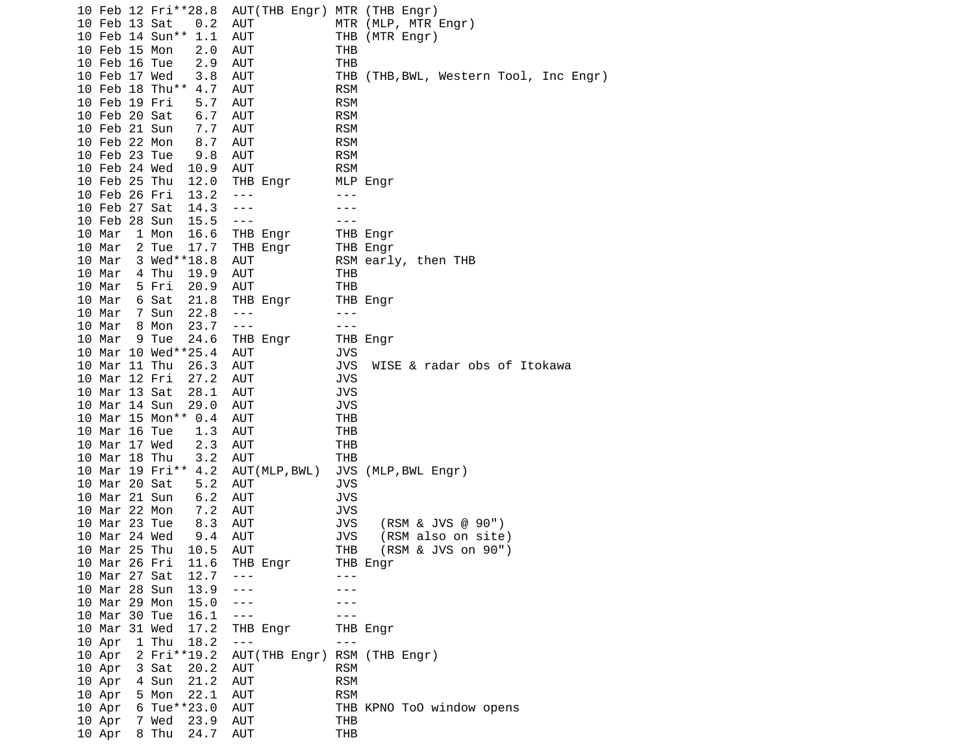|  |                 |       | 10 Feb 12 Fri**28.8 | AUT(THB Engr) MTR (THB Engr) |            |                                        |
|--|-----------------|-------|---------------------|------------------------------|------------|----------------------------------------|
|  | 10 Feb 13 Sat   |       | 0.2                 | <b>AUT</b>                   |            | MTR (MLP, MTR Engr)                    |
|  | 10 Feb 14 Sun** |       | 1.1                 | AUT                          |            | THB (MTR Engr)                         |
|  | 10 Feb 15 Mon   |       | 2.0                 | <b>AUT</b>                   | THB        |                                        |
|  | 10 Feb 16 Tue   |       | 2.9                 | <b>AUT</b>                   | <b>THB</b> |                                        |
|  | 10 Feb 17 Wed   |       | 3.8                 | AUT                          |            | THB (THB, BWL, Western Tool, Inc Engr) |
|  | 10 Feb 18 Thu** |       | 4.7                 | <b>AUT</b>                   | <b>RSM</b> |                                        |
|  | 10 Feb 19 Fri   |       | 5.7                 | <b>AUT</b>                   | <b>RSM</b> |                                        |
|  | 10 Feb 20 Sat   |       | 6.7                 | AUT                          | <b>RSM</b> |                                        |
|  | 10 Feb 21 Sun   |       | 7.7                 | AUT                          | <b>RSM</b> |                                        |
|  | 10 Feb 22 Mon   |       | 8.7                 | AUT                          | <b>RSM</b> |                                        |
|  | 10 Feb 23 Tue   |       | 9.8                 | <b>AUT</b>                   | <b>RSM</b> |                                        |
|  | 10 Feb 24 Wed   |       | 10.9                | <b>AUT</b>                   | <b>RSM</b> |                                        |
|  | 10 Feb 25 Thu   |       | 12.0                | THB Engr                     |            | MLP Engr                               |
|  | 10 Feb 26 Fri   |       | 13.2                | $- - -$                      | $- - -$    |                                        |
|  | 10 Feb 27 Sat   |       | 14.3                | $- - -$                      |            |                                        |
|  | 10 Feb 28 Sun   |       | 15.5                | $- - -$                      |            |                                        |
|  | 10 Mar          | 1 Mon | 16.6                | THB Engr                     |            | THB Engr                               |
|  | 10 Mar          | 2 Tue | 17.7                | THB Engr                     |            | THB Engr                               |
|  | 10 Mar          |       | 3 Wed**18.8         | <b>AUT</b>                   |            | RSM early, then THB                    |
|  | 10 Mar          | 4 Thu | 19.9                | AUT                          | THB        |                                        |
|  | 10 Mar          | 5 Fri | 20.9                | <b>AUT</b>                   | <b>THB</b> |                                        |
|  | 10 Mar          | 6 Sat | 21.8                | THB Engr                     |            | THB Engr                               |
|  | 10 Mar          | 7 Sun | 22.8                | $- - -$                      | $- - -$    |                                        |
|  | 10 Mar          | 8 Mon | 23.7                | $- - -$                      | ---        |                                        |
|  | 10 Mar          | 9 Tue | 24.6                | THB Engr                     |            | THB Engr                               |
|  |                 |       | 10 Mar 10 Wed**25.4 | AUT                          | JVS        |                                        |
|  | 10 Mar 11 Thu   |       | 26.3                | <b>AUT</b>                   | <b>JVS</b> | WISE & radar obs of Itokawa            |
|  | 10 Mar 12 Fri   |       | 27.2                | AUT                          | <b>JVS</b> |                                        |
|  | 10 Mar 13 Sat   |       | 28.1                | <b>AUT</b>                   | <b>JVS</b> |                                        |
|  | 10 Mar 14 Sun   |       | 29.0                | AUT                          | <b>JVS</b> |                                        |
|  |                 |       | 10 Mar 15 Mon** 0.4 | <b>AUT</b>                   | <b>THB</b> |                                        |
|  | 10 Mar 16 Tue   |       | 1.3                 | AUT                          | THB        |                                        |
|  | 10 Mar 17 Wed   |       | 2.3                 | <b>AUT</b>                   | THB        |                                        |
|  | 10 Mar 18 Thu   |       | 3.2                 | <b>AUT</b>                   | THB        |                                        |
|  |                 |       | 10 Mar 19 Fri** 4.2 | AUT (MLP, BWL)               |            | JVS (MLP, BWL Engr)                    |
|  | 10 Mar 20 Sat   |       | 5.2                 | <b>AUT</b>                   | <b>JVS</b> |                                        |
|  | 10 Mar 21 Sun   |       | 6.2                 | AUT                          | <b>JVS</b> |                                        |
|  | 10 Mar 22 Mon   |       | 7.2                 | <b>AUT</b>                   | <b>JVS</b> |                                        |
|  | 10 Mar 23 Tue   |       | 8.3                 | AUT                          | <b>JVS</b> | (RSM & JVS @ 90")                      |
|  | 10 Mar 24 Wed   |       | 9.4                 | <b>AUT</b>                   | <b>JVS</b> | (RSM also on site)                     |
|  | 10 Mar 25 Thu   |       | 10.5                | AUT                          | <b>THB</b> | (RSM & JVS on 90")                     |
|  | 10 Mar 26 Fri   |       | 11.6                | THB Engr                     |            | THB Engr                               |
|  | 10 Mar 27 Sat   |       | 12.7                |                              |            |                                        |
|  | 10 Mar 28 Sun   |       | 13.9                |                              |            |                                        |
|  | 10 Mar 29 Mon   |       | 15.0                | ---                          |            |                                        |
|  | 10 Mar 30 Tue   |       | 16.1                | ---                          |            |                                        |
|  | 10 Mar 31 Wed   |       | 17.2                | THB Engr                     |            | THB Engr                               |
|  | 10 Apr          | 1 Thu | 18.2                | $- - -$                      | ---        |                                        |
|  | 10 Apr          |       | 2 Fri**19.2         | AUT(THB Engr)                |            | RSM (THB Engr)                         |
|  | 10 Apr          | 3 Sat | 20.2                | AUT                          | <b>RSM</b> |                                        |
|  | 10 Apr          | 4 Sun | 21.2                | <b>AUT</b>                   | <b>RSM</b> |                                        |
|  | 10 Apr          | 5 Mon | 22.1                | AUT                          | <b>RSM</b> |                                        |
|  | 10 Apr          |       | 6 Tue**23.0         | <b>AUT</b>                   |            | THB KPNO ToO window opens              |
|  | 10 Apr          | 7 Wed | 23.9                | AUT                          | THB        |                                        |
|  | 10 Apr          | 8 Thu | 24.7                | AUT                          | <b>THB</b> |                                        |
|  |                 |       |                     |                              |            |                                        |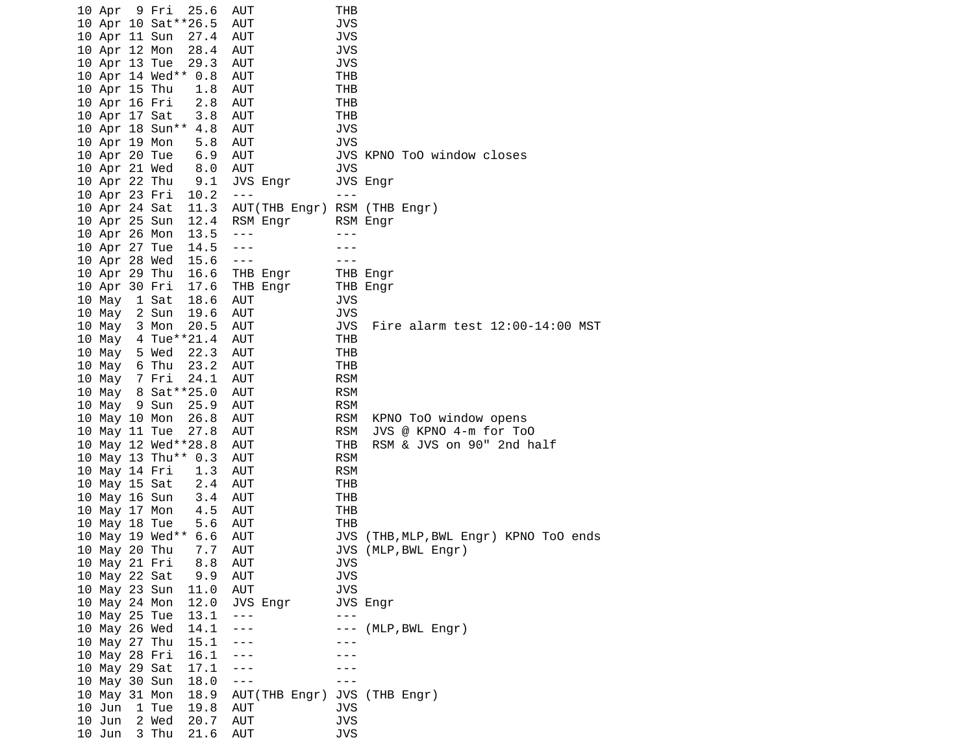| 10 Apr 9 Fri  |       | 25.6                 | AUT                          | THB        |                                  |
|---------------|-------|----------------------|------------------------------|------------|----------------------------------|
|               |       | 10 Apr 10 Sat**26.5  | <b>AUT</b>                   | JVS        |                                  |
| 10 Apr 11 Sun |       | 27.4                 | AUT                          | <b>JVS</b> |                                  |
| 10 Apr 12 Mon |       | 28.4                 | <b>AUT</b>                   | <b>JVS</b> |                                  |
| 10 Apr 13 Tue |       | 29.3                 | AUT                          | <b>JVS</b> |                                  |
|               |       | 10 Apr 14 Wed** 0.8  | <b>AUT</b>                   | THB        |                                  |
| 10 Apr 15 Thu |       | 1.8                  | AUT                          | THB        |                                  |
| 10 Apr 16 Fri |       | 2.8                  | <b>AUT</b>                   | THB        |                                  |
| 10 Apr 17 Sat |       | 3.8                  | <b>AUT</b>                   | <b>THB</b> |                                  |
|               |       | 10 Apr 18 Sun** 4.8  | <b>AUT</b>                   | <b>JVS</b> |                                  |
| 10 Apr 19 Mon |       |                      |                              | <b>JVS</b> |                                  |
|               |       | 5.8                  | AUT                          |            |                                  |
| 10 Apr 20 Tue |       | 6.9                  | <b>AUT</b>                   |            | JVS KPNO ToO window closes       |
| 10 Apr 21 Wed |       | 8.0                  | AUT                          | <b>JVS</b> |                                  |
| 10 Apr 22 Thu |       | 9.1                  | JVS Engr                     |            | JVS Engr                         |
| 10 Apr 23 Fri |       | 10.2                 | $- - -$                      | $- - -$    |                                  |
| 10 Apr 24 Sat |       | 11.3                 | AUT(THB Engr) RSM (THB Engr) |            |                                  |
| 10 Apr 25 Sun |       | 12.4                 | RSM Engr                     |            | RSM Engr                         |
| 10 Apr 26 Mon |       | 13.5                 | $- - -$                      | - - -      |                                  |
| 10 Apr 27 Tue |       | 14.5                 | $- - -$                      |            |                                  |
| 10 Apr 28 Wed |       | 15.6                 | $- - -$                      |            |                                  |
| 10 Apr 29 Thu |       | 16.6                 | THB Engr                     |            | THB Engr                         |
| 10 Apr 30 Fri |       | 17.6                 | THB Engr                     |            | THB Engr                         |
| 10 May        | 1 Sat | 18.6                 | <b>AUT</b>                   | <b>JVS</b> |                                  |
| 10 May        | 2 Sun | 19.6                 | AUT                          | <b>JVS</b> |                                  |
| 10 May        | 3 Mon | 20.5                 | <b>AUT</b>                   | <b>JVS</b> | Fire alarm test 12:00-14:00 MST  |
| 10 May        |       | 4 Tue**21.4          | AUT                          | THB        |                                  |
| 10 May        | 5 Wed | 22.3                 | <b>AUT</b>                   | <b>THB</b> |                                  |
| 10 May        | 6 Thu | 23.2                 | AUT                          | <b>THB</b> |                                  |
| 10 May 7 Fri  |       | 24.1                 | <b>AUT</b>                   | <b>RSM</b> |                                  |
|               |       | 10 May 8 Sat ** 25.0 | AUT                          | <b>RSM</b> |                                  |
| 10 May        | 9 Sun | 25.9                 | <b>AUT</b>                   | <b>RSM</b> |                                  |
| 10 May 10 Mon |       | 26.8                 | <b>AUT</b>                   | <b>RSM</b> | KPNO ToO window opens            |
| 10 May 11 Tue |       | 27.8                 | AUT                          | <b>RSM</b> | JVS @ KPNO 4-m for ToO           |
|               |       | 10 May 12 Wed**28.8  | <b>AUT</b>                   | THB        | RSM & JVS on 90" 2nd half        |
|               |       | 10 May 13 Thu** 0.3  | AUT                          | <b>RSM</b> |                                  |
| 10 May 14 Fri |       | 1.3                  | <b>AUT</b>                   | <b>RSM</b> |                                  |
| 10 May 15 Sat |       | 2.4                  | <b>AUT</b>                   | THB        |                                  |
| 10 May 16 Sun |       | 3.4                  | <b>AUT</b>                   | THB        |                                  |
| 10 May 17 Mon |       | 4.5                  | <b>AUT</b>                   | <b>THB</b> |                                  |
| 10 May 18 Tue |       | 5.6                  | <b>AUT</b>                   | THB        |                                  |
|               |       | 10 May 19 Wed** 6.6  | <b>AUT</b>                   | JVS        | (THB,MLP,BWL Engr) KPNO ToO ends |
| 10 May 20 Thu |       | 7.7                  | AUT                          |            | JVS (MLP, BWL Engr)              |
| 10 May 21 Fri |       | 8.8                  | <b>AUT</b>                   | <b>JVS</b> |                                  |
| 10 May 22 Sat |       | 9.9                  | <b>AUT</b>                   | JVS        |                                  |
| 10 May 23 Sun |       | 11.0                 | AUT                          | <b>JVS</b> |                                  |
| 10 May 24 Mon |       | 12.0                 | JVS Engr                     |            | JVS Engr                         |
|               |       |                      |                              |            |                                  |
| 10 May 25 Tue |       | 13.1                 | $- - -$                      | $- - -$    |                                  |
| 10 May 26 Wed |       | 14.1                 |                              | ---        | (MLP,BWL Engr)                   |
| 10 May 27 Thu |       | 15.1                 |                              |            |                                  |
| 10 May 28 Fri |       | 16.1                 |                              |            |                                  |
| 10 May 29 Sat |       | 17.1                 | - - -                        |            |                                  |
| 10 May 30 Sun |       | 18.0                 | $- - -$                      |            |                                  |
| 10 May 31 Mon |       | 18.9                 | AUT(THB Engr)                |            | JVS (THB Engr)                   |
| 10 Jun        | 1 Tue | 19.8                 | AUT                          | <b>JVS</b> |                                  |
| 10 Jun        | 2 Wed | 20.7                 | <b>AUT</b>                   | <b>JVS</b> |                                  |
| 10 Jun        | 3 Thu | 21.6                 | <b>AUT</b>                   | <b>JVS</b> |                                  |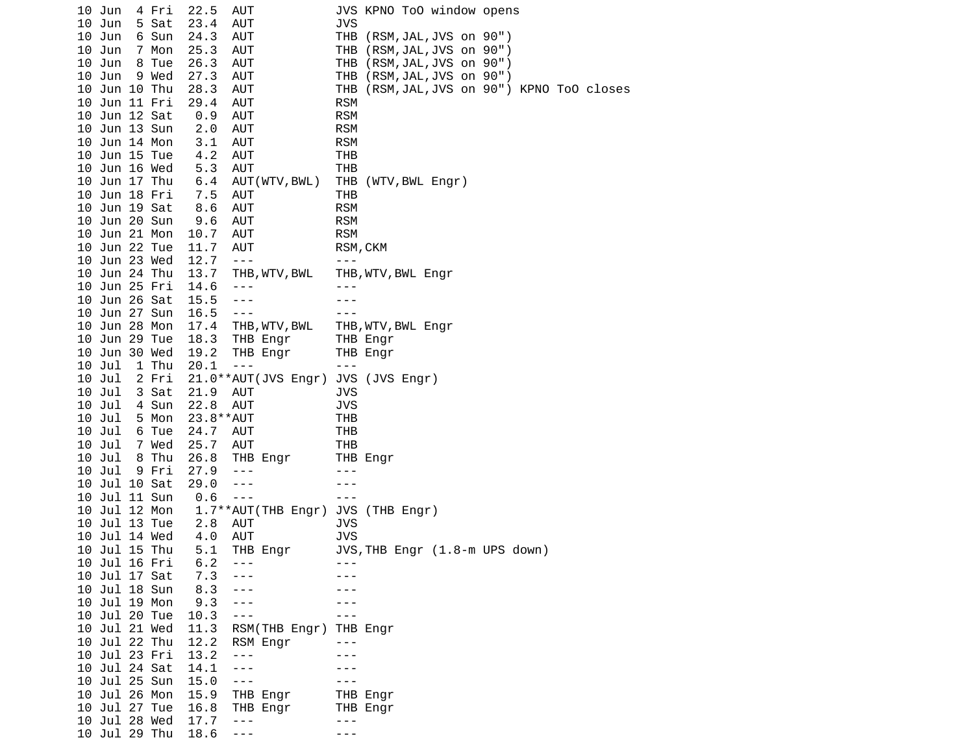| 10 | Jun           | 4 Fri | 22.5         | AUT                  |            | JVS KPNO ToO window opens              |
|----|---------------|-------|--------------|----------------------|------------|----------------------------------------|
|    | 10 Jun        | 5 Sat | 23.4         | <b>AUT</b>           | JVS        |                                        |
|    | 10 Jun        | 6 Sun | 24.3         | AUT                  | THB        | (RSM, JAL, JVS on 90")                 |
|    | 10 Jun        | 7 Mon | 25.3         | AUT                  | THB        | (RSM, JAL, JVS on 90")                 |
|    | 10 Jun        | 8 Tue | 26.3         | AUT                  |            | THB (RSM, JAL, JVS on 90")             |
|    | 10 Jun        | 9 Wed | 27.3         | <b>AUT</b>           | THB        | (RSM, JAL, JVS on 90")                 |
|    | 10 Jun 10 Thu |       | 28.3         | AUT                  | THB        | (RSM, JAL, JVS on 90") KPNO ToO closes |
|    | 10 Jun 11 Fri |       | 29.4         | <b>AUT</b>           | <b>RSM</b> |                                        |
|    | 10 Jun 12 Sat |       | 0.9          | AUT                  | <b>RSM</b> |                                        |
|    | 10 Jun 13 Sun |       | 2.0          | <b>AUT</b>           | <b>RSM</b> |                                        |
|    | 10 Jun 14 Mon |       |              |                      | <b>RSM</b> |                                        |
|    |               |       | 3.1          | AUT                  |            |                                        |
|    | 10 Jun 15 Tue |       | 4.2          | <b>AUT</b>           | <b>THB</b> |                                        |
|    | 10 Jun 16 Wed |       | 5.3          | <b>AUT</b>           | <b>THB</b> |                                        |
|    | 10 Jun 17 Thu |       | 6.4          | AUT (WTV, BWL)       |            | THB (WTV, BWL Engr)                    |
|    | 10 Jun 18 Fri |       | 7.5          | AUT                  | THB        |                                        |
|    | 10 Jun 19 Sat |       | 8.6          | <b>AUT</b>           | <b>RSM</b> |                                        |
|    | 10 Jun 20 Sun |       | 9.6          | AUT                  | <b>RSM</b> |                                        |
|    | 10 Jun 21 Mon |       | 10.7         | AUT                  | <b>RSM</b> |                                        |
|    | 10 Jun 22 Tue |       | 11.7         | AUT                  | RSM, CKM   |                                        |
|    | 10 Jun 23 Wed |       | 12.7         | $\sim$ $\sim$ $\sim$ | $- - -$    |                                        |
|    | 10 Jun 24 Thu |       | 13.7         | THB, WTV, BWL        |            | THB, WTV, BWL Engr                     |
|    | 10 Jun 25 Fri |       | 14.6         | $- - -$              |            |                                        |
|    | 10 Jun 26 Sat |       | 15.5         | ---                  |            |                                        |
|    | 10 Jun 27 Sun |       | 16.5         | $- - -$              |            |                                        |
|    | 10 Jun 28 Mon |       | 17.4         | THB, WTV, BWL        |            | THB, WTV, BWL Engr                     |
|    | 10 Jun 29 Tue |       | 18.3         | THB Engr             |            | THB Engr                               |
|    | 10 Jun 30 Wed |       | 19.2         | THB Engr             |            | THB Engr                               |
|    | 10 Jul        | 1 Thu | 20.1         | $- - -$              | $- - -$    |                                        |
|    | 10 Jul        | 2 Fri |              | 21.0**AUT(JVS Engr)  |            | JVS (JVS Engr)                         |
|    | 10 Jul        | 3 Sat | 21.9         | AUT                  | <b>JVS</b> |                                        |
|    | 10 Jul        | 4 Sun | 22.8         | AUT                  | <b>JVS</b> |                                        |
|    | 10 Jul        | 5 Mon | 23.8 * * AUT |                      | <b>THB</b> |                                        |
|    |               |       |              |                      |            |                                        |
|    | 10 Jul        | 6 Tue | 24.7         | AUT                  | THB        |                                        |
|    | 10 Jul        | 7 Wed | 25.7         | <b>AUT</b>           | THB        |                                        |
|    | 10 Jul        | 8 Thu | 26.8         | THB Engr             |            | THB Engr                               |
|    | 10 Jul        | 9 Fri | 27.9         | $- - -$              | - - -      |                                        |
|    | 10 Jul 10 Sat |       | 29.0         | ---                  |            |                                        |
| 10 | Jul 11 Sun    |       | 0.6          | $- - -$              |            |                                        |
|    | 10 Jul 12 Mon |       |              | 1.7**AUT(THB Engr)   | <b>JVS</b> | (THB Engr)                             |
|    | 10 Jul 13 Tue |       | 2.8          | <b>AUT</b>           | <b>JVS</b> |                                        |
|    | 10 Jul 14 Wed |       | 4.0          | AUT                  | <b>JVS</b> |                                        |
|    | 10 Jul 15 Thu |       | 5.1          | THB Engr             |            | JVS, THB Engr (1.8-m UPS down)         |
|    | 10 Jul 16 Fri |       | 6.2          |                      |            |                                        |
|    | 10 Jul 17 Sat |       | 7.3          |                      |            |                                        |
|    | 10 Jul 18 Sun |       | 8.3          |                      |            |                                        |
|    | 10 Jul 19 Mon |       | 9.3          | ---                  |            |                                        |
|    | 10 Jul 20 Tue |       | 10.3         | $- - -$              |            |                                        |
|    | 10 Jul 21 Wed |       | 11.3         | RSM(THB Engr)        |            | THB Engr                               |
|    | 10 Jul 22 Thu |       | 12.2         | RSM Engr             |            |                                        |
|    | 10 Jul 23 Fri |       | 13.2         | - - -                |            |                                        |
|    | 10 Jul 24 Sat |       | 14.1         | ---                  |            |                                        |
|    | 10 Jul 25 Sun |       | 15.0         | $- - -$              |            |                                        |
|    | 10 Jul 26 Mon |       | 15.9         | THB Engr             |            | THB Engr                               |
|    | 10 Jul 27 Tue |       | 16.8         | THB Engr             |            | THB Engr                               |
|    | 10 Jul 28 Wed |       | 17.7         | $- - -$              |            |                                        |
|    | 10 Jul 29 Thu |       | 18.6         | $- - -$              |            |                                        |
|    |               |       |              |                      |            |                                        |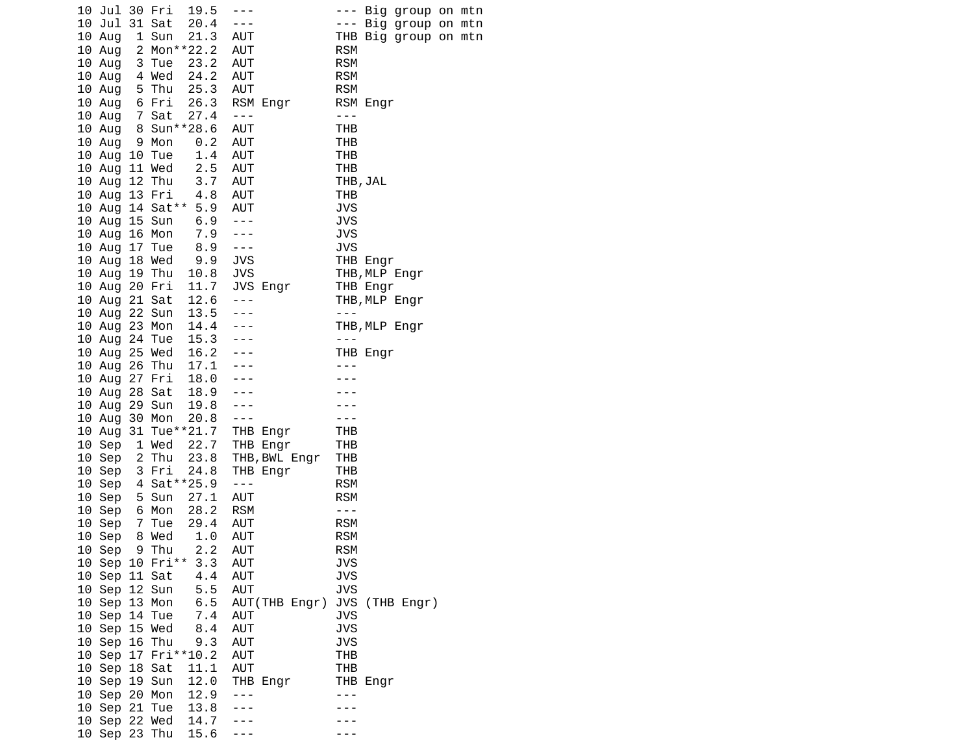| 10 Jul 30 Fri |        | 19.5                | $- - -$              |                   |                      |          | --- Big group on mtn |  |
|---------------|--------|---------------------|----------------------|-------------------|----------------------|----------|----------------------|--|
| 10 Jul        | 31 Sat | 20.4                | $- - -$              |                   | $\sim$ $  \sim$      |          | Big group on mtn     |  |
| $10$ Aug      | 1 Sun  | 21.3                | AUT                  |                   |                      |          | THB Big group on mtn |  |
| 10 Aug        |        | 2 Mon**22.2         | AUT                  |                   | <b>RSM</b>           |          |                      |  |
|               |        |                     |                      |                   |                      |          |                      |  |
| 10 Aug        | 3 Tue  | 23.2                | AUT                  |                   | <b>RSM</b>           |          |                      |  |
| $10$ Aug      | 4 Wed  | 24.2                | AUT                  |                   | <b>RSM</b>           |          |                      |  |
| 10 Aug        | 5 Thu  | 25.3                | AUT                  |                   | <b>RSM</b>           |          |                      |  |
| 10 Aug        | 6 Fri  | 26.3                |                      | RSM Engr          |                      | RSM Engr |                      |  |
| 10 Aug        | 7 Sat  | 27.4                | $\sim$ $ -$          |                   | $\sim$ $\sim$ $\sim$ |          |                      |  |
|               |        |                     |                      |                   |                      |          |                      |  |
| $10$ Aug      |        | 8 Sun**28.6         | AUT                  |                   | THB                  |          |                      |  |
| 10 Aug        | 9 Mon  | 0.2                 | AUT                  |                   | THB                  |          |                      |  |
| 10 Aug 10 Tue |        | 1.4                 | AUT                  |                   | <b>THB</b>           |          |                      |  |
| 10 Aug 11 Wed |        | 2.5                 | AUT                  |                   | THB                  |          |                      |  |
| 10 Aug 12 Thu |        | 3.7                 | AUT                  |                   |                      | THB, JAL |                      |  |
| 10 Aug 13 Fri |        | 4.8                 | AUT                  |                   | THB                  |          |                      |  |
|               |        |                     |                      |                   |                      |          |                      |  |
|               |        | 10 Aug 14 Sat** 5.9 | AUT                  |                   | <b>JVS</b>           |          |                      |  |
| 10 Aug 15 Sun |        | 6.9                 | $\sim$ $\sim$ $\sim$ |                   | <b>JVS</b>           |          |                      |  |
| 10 Aug 16 Mon |        | 7.9                 | $- - -$              |                   | <b>JVS</b>           |          |                      |  |
| 10 Aug 17 Tue |        | 8.9                 | $\sim$ $ \sim$       |                   | <b>JVS</b>           |          |                      |  |
| $10$ Aug      | 18 Wed | 9.9                 | <b>JVS</b>           |                   |                      | THB Engr |                      |  |
|               |        |                     |                      |                   |                      |          |                      |  |
| 10 Aug 19 Thu |        | 10.8                | <b>JVS</b>           |                   |                      |          | THB,MLP Engr         |  |
| 10 Aug 20 Fri |        | 11.7                |                      | JVS Engr          |                      | THB Engr |                      |  |
| 10 Aug 21 Sat |        | 12.6                | $- - -$              |                   |                      |          | THB, MLP Engr        |  |
| 10 Aug 22 Sun |        | 13.5                |                      |                   | $- - -$              |          |                      |  |
| 10 Aug 23 Mon |        | 14.4                | $- - -$              |                   |                      |          | THB, MLP Engr        |  |
| 10 Aug 24 Tue |        | 15.3                | $- - -$              |                   | $- - -$              |          |                      |  |
|               |        | 16.2                | $- - -$              |                   |                      |          |                      |  |
| 10 Aug 25 Wed |        |                     |                      |                   |                      | THB Engr |                      |  |
| 10 Aug 26 Thu |        | 17.1                |                      |                   |                      |          |                      |  |
| 10 Aug 27 Fri |        | 18.0                |                      |                   |                      |          |                      |  |
| 10 Aug 28 Sat |        | 18.9<br>19.8        |                      |                   |                      |          |                      |  |
| 10 Aug 29 Sun |        |                     |                      |                   |                      |          |                      |  |
| 10 Aug 30 Mon |        | 20.8                | $- - -$              |                   |                      |          |                      |  |
|               |        | 10 Aug 31 Tue**21.7 |                      |                   |                      |          |                      |  |
|               |        |                     |                      | THB Engr          | THB                  |          |                      |  |
| 10 Sep        | 1 Wed  | 22.7                |                      | THB Engr          | THB                  |          |                      |  |
| 10 Sep        | 2 Thu  | 23.8                |                      | THB, BWL Engr     | <b>THB</b>           |          |                      |  |
| 10 Sep        | 3 Fri  | 24.8                |                      | THB Engr          | THB                  |          |                      |  |
| 10 Sep        |        | 4 Sat ** 25.9       | $\sim$ $\sim$ $\sim$ |                   | <b>RSM</b>           |          |                      |  |
| 10 Sep        | 5 Sun  | 27.1                | AUT                  |                   | <b>RSM</b>           |          |                      |  |
|               | 6 Mon  |                     | <b>RSM</b>           |                   | $- - -$              |          |                      |  |
| 10 Sep        |        | 28.2                |                      |                   |                      |          |                      |  |
| 10 Sep        | 7 Tue  | 29.4                | AUT                  |                   | <b>RSM</b>           |          |                      |  |
| 10 Sep        | 8 Wed  | 1.0                 | AUT                  |                   | <b>RSM</b>           |          |                      |  |
| 10 Sep        | 9 Thu  | 2.2                 | AUT                  |                   | <b>RSM</b>           |          |                      |  |
|               |        | 10 Sep 10 Fri** 3.3 | AUT                  |                   | <b>JVS</b>           |          |                      |  |
| 10 Sep 11 Sat |        | 4.4 AUT             |                      |                   | <b>JVS</b>           |          |                      |  |
|               |        | 5.5                 | AUT                  |                   | <b>JVS</b>           |          |                      |  |
| 10 Sep 12 Sun |        |                     |                      |                   |                      |          |                      |  |
| 10 Sep 13 Mon |        |                     |                      | 6.5 AUT(THB Engr) |                      |          | JVS (THB Engr)       |  |
| 10 Sep 14 Tue |        | 7.4                 | AUT                  |                   | <b>JVS</b>           |          |                      |  |
| 10 Sep 15 Wed |        | 8.4                 | AUT                  |                   | <b>JVS</b>           |          |                      |  |
| 10 Sep 16 Thu |        | 9.3                 | AUT                  |                   | <b>JVS</b>           |          |                      |  |
|               |        | 10 Sep 17 Fri**10.2 | AUT                  |                   | <b>THB</b>           |          |                      |  |
|               |        |                     | AUT                  |                   |                      |          |                      |  |
| 10 Sep 18 Sat |        | 11.1                |                      |                   | <b>THB</b>           |          |                      |  |
| 10 Sep 19 Sun |        | 12.0                |                      | THB Engr          |                      | THB Engr |                      |  |
| 10 Sep 20 Mon |        |                     | $- - -$              |                   |                      |          |                      |  |
| 10 Sep 21 Tue |        | 12.9<br>13.8        |                      |                   |                      |          |                      |  |
| 10 Sep 22 Wed |        | 14.7                |                      |                   |                      |          |                      |  |
| 10 Sep 23 Thu |        | 15.6                |                      |                   |                      |          |                      |  |
|               |        |                     |                      |                   |                      |          |                      |  |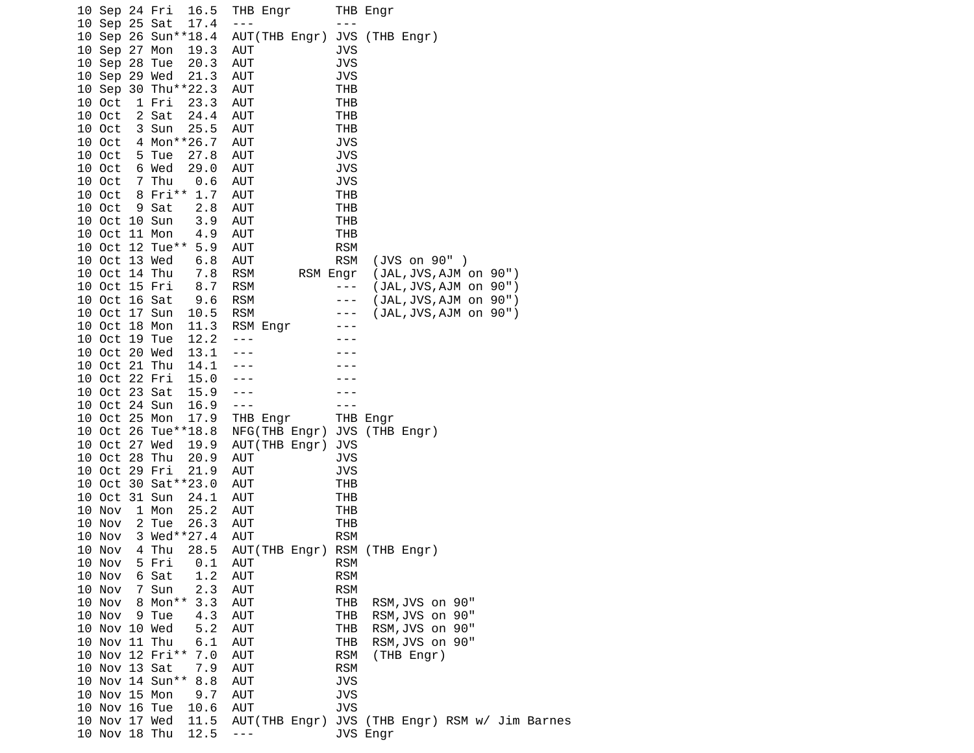|  | 10 Sep 24 Fri |                 | 16.5                | THB Engr      |          |            | THB Engr                         |
|--|---------------|-----------------|---------------------|---------------|----------|------------|----------------------------------|
|  | 10 Sep 25 Sat |                 | 17.4                | $- - -$       |          | ---        |                                  |
|  |               |                 | 10 Sep 26 Sun**18.4 | AUT(THB Engr) |          | <b>JVS</b> | (THB Engr)                       |
|  | 10 Sep 27 Mon |                 | 19.3                | AUT           |          | JVS        |                                  |
|  | 10 Sep 28 Tue |                 | 20.3                | AUT           |          | <b>JVS</b> |                                  |
|  | 10 Sep 29 Wed |                 | 21.3                | AUT           |          | <b>JVS</b> |                                  |
|  |               |                 | 10 Sep 30 Thu**22.3 | AUT           |          | THB        |                                  |
|  | 10 Oct        | 1 Fri           | 23.3                | AUT           |          | THB        |                                  |
|  | 10 Oct        | 2 Sat           | 24.4                | AUT           |          | THB        |                                  |
|  | 10 Oct        | 3 Sun           | 25.5                | AUT           |          | THB        |                                  |
|  | 10 Oct        |                 | 4 Mon**26.7         | AUT           |          | JVS        |                                  |
|  | 10 Oct        | 5 Tue           | 27.8                | <b>AUT</b>    |          | JVS        |                                  |
|  | 10 Oct        | 6 Wed           | 29.0                | <b>AUT</b>    |          | <b>JVS</b> |                                  |
|  | 10 Oct        | 7 Thu           | 0.6                 | AUT           |          | JVS        |                                  |
|  | 10 Oct        | 8 Fri**         | 1.7                 | AUT           |          | THB        |                                  |
|  | 10 Oct        | 9 Sat           | 2.8                 | AUT           |          | THB        |                                  |
|  | 10 Oct 10 Sun |                 | 3.9                 | AUT           |          | THB        |                                  |
|  | 10 Oct 11 Mon |                 | 4.9                 | <b>AUT</b>    |          | THB        |                                  |
|  |               | 10 Oct 12 Tue** | 5.9                 | <b>AUT</b>    |          | <b>RSM</b> |                                  |
|  | 10 Oct 13 Wed |                 | 6.8                 | AUT           |          | <b>RSM</b> | (JVS on 90" )                    |
|  | 10 Oct 14 Thu |                 | 7.8                 | <b>RSM</b>    | RSM Engr |            | (JAL, JVS, AJM on 90")           |
|  | 10 Oct 15 Fri |                 | 8.7                 | <b>RSM</b>    |          | - - -      | (JAL, JVS, AJM on 90")           |
|  | 10 Oct 16 Sat |                 | 9.6                 | <b>RSM</b>    |          | ---        | (JAL, JVS, AJM on 90")           |
|  | 10 Oct 17 Sun |                 | 10.5                | <b>RSM</b>    |          | ---        | (JAL,JVS,AJM on 90")             |
|  | 10 Oct 18 Mon |                 | 11.3                | RSM Engr      |          |            |                                  |
|  | 10 Oct 19 Tue |                 | 12.2                | ---           |          |            |                                  |
|  | 10 Oct 20 Wed |                 | 13.1                |               |          |            |                                  |
|  | 10 Oct 21 Thu |                 | 14.1                |               |          |            |                                  |
|  | 10 Oct 22 Fri |                 | 15.0                |               |          |            |                                  |
|  | 10 Oct 23 Sat |                 | 15.9                |               |          |            |                                  |
|  | 10 Oct 24 Sun |                 | 16.9                | ---           |          |            |                                  |
|  | 10 Oct 25 Mon |                 | 17.9                | THB Engr      |          |            | THB Engr                         |
|  |               |                 | 10 Oct 26 Tue**18.8 | NFG(THB Engr) |          |            | JVS (THB Engr)                   |
|  | 10 Oct 27 Wed |                 | 19.9                | AUT(THB Engr) |          | <b>JVS</b> |                                  |
|  | 10 Oct 28 Thu |                 | 20.9                | AUT           |          | JVS        |                                  |
|  | 10 Oct 29 Fri |                 | 21.9                | AUT           |          | JVS        |                                  |
|  |               |                 | 10 Oct 30 Sat**23.0 | AUT           |          | THB        |                                  |
|  | 10 Oct 31 Sun |                 | 24.1                | AUT           |          | <b>THB</b> |                                  |
|  | 10 Nov        | 1 Mon           | 25.2                | AUT           |          | THB        |                                  |
|  | 10 Nov        | 2 Tue           | 26.3                | AUT           |          | THB        |                                  |
|  | 10 Nov        |                 | 3 Wed**27.4         | AUT           |          | <b>RSM</b> |                                  |
|  | 10 Nov        | 4 Thu           | 28.5                |               |          |            | AUT(THB Engr) RSM (THB Engr)     |
|  | 10 Nov        | 5 Fri           | 0.1                 | AUT           |          | <b>RSM</b> |                                  |
|  | 10 Nov        | 6 Sat           | 1.2                 | AUT           |          | <b>RSM</b> |                                  |
|  | 10 Nov        | 7 Sun           | 2.3                 | AUT           |          | <b>RSM</b> |                                  |
|  | 10 Nov        | 8 Mon**         | 3.3                 | <b>AUT</b>    |          | THB        | RSM, JVS on 90"                  |
|  | 10 Nov        | 9 Tue           | 4.3                 | <b>AUT</b>    |          | THB        | RSM, JVS on 90"                  |
|  | 10 Nov 10 Wed |                 |                     | AUT           |          | <b>THB</b> | RSM, JVS on 90"                  |
|  | 10 Nov 11 Thu |                 | 5.2<br>6.1          | AUT           |          | THB        | RSM, JVS on 90"                  |
|  |               | 10 Nov 12 Fri** | 7.0                 | AUT           |          | <b>RSM</b> |                                  |
|  | 10 Nov 13 Sat |                 | 7.9                 | AUT           |          | <b>RSM</b> | (THB Engr)                       |
|  |               |                 |                     |               |          |            |                                  |
|  | 10 Nov 15 Mon | 10 Nov 14 Sun** | 8.8                 | <b>AUT</b>    |          | <b>JVS</b> |                                  |
|  |               |                 | 9.7                 | AUT           |          | JVS        |                                  |
|  | 10 Nov 16 Tue |                 | 10.6                | AUT           |          | <b>JVS</b> |                                  |
|  | 10 Nov 17 Wed |                 | 11.5                | AUT(THB Engr) |          |            | JVS (THB Engr) RSM w/ Jim Barnes |
|  | 10 Nov 18 Thu |                 | 12.5                | $- - -$       |          |            | JVS Engr                         |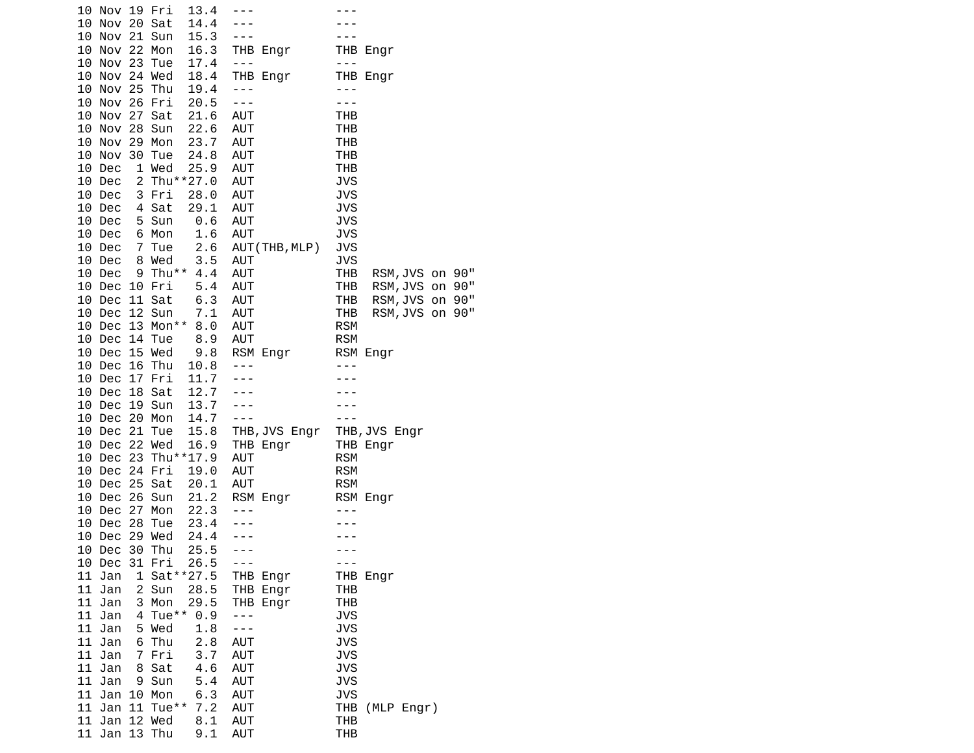| 10 Nov 19 Fri<br>13.4       |                      |                           |
|-----------------------------|----------------------|---------------------------|
| 10 Nov 20 Sat<br>14.4       |                      |                           |
| 10 Nov 21 Sun<br>15.3       | ---                  |                           |
| 10 Nov 22 Mon<br>16.3       | THB Engr             | THB Engr                  |
| 10 Nov 23 Tue<br>17.4       | $\sim$ $\sim$ $\sim$ | $- - -$                   |
| 10 Nov 24 Wed<br>18.4       | THB Engr             | THB Engr                  |
| 19.4<br>10 Nov 25 Thu       | $- - -$              | $- - -$                   |
| 10 Nov 26 Fri<br>20.5       | $  -$                | $- - -$                   |
| 10 Nov 27 Sat<br>21.6       | AUT                  | <b>THB</b>                |
| 10 Nov 28 Sun<br>22.6       | AUT                  | THB                       |
| 23.7<br>10 Nov 29 Mon       | AUT                  | <b>THB</b>                |
| 24.8<br>10 Nov 30 Tue       | AUT                  | <b>THB</b>                |
| 1 Wed<br>25.9<br>10 Dec     | AUT                  | THB                       |
| 2 Thu**27.0<br>10 Dec       | AUT                  | <b>JVS</b>                |
| 3 Fri<br>28.0<br>10 Dec     | AUT                  | <b>JVS</b>                |
| 29.1<br>4 Sat<br>10 Dec     | AUT                  | <b>JVS</b>                |
| 5 Sun<br>10 Dec<br>0.6      | AUT                  | <b>JVS</b>                |
| 10 Dec<br>6 Mon<br>1.6      | AUT                  | <b>JVS</b>                |
| 2.6<br>10 Dec<br>7 Tue      | AUT(THB,MLP)         | <b>JVS</b>                |
| 3.5<br>10 Dec<br>8 Wed      | AUT                  | <b>JVS</b>                |
| 9 Thu** 4.4<br>10 Dec       | AUT                  | THB<br>RSM, JVS on 90"    |
| 10 Dec 10 Fri<br>5.4        | AUT                  | THB<br>RSM, JVS on<br>90" |
| 6.3<br>10 Dec<br>11 Sat     | AUT                  | 90"<br>THB<br>RSM, JVS on |
| 10 Dec 12 Sun<br>7.1        | AUT                  | 90"<br>THB<br>RSM, JVS on |
| 10 Dec 13 Mon** 8.0         | AUT                  | <b>RSM</b>                |
| 10 Dec 14 Tue<br>8.9        | AUT                  | <b>RSM</b>                |
| 10 Dec 15 Wed<br>9.8        | RSM Engr             | RSM Engr                  |
| 16 Thu<br>10 Dec<br>10.8    | $- - -$              |                           |
| 10 Dec 17 Fri<br>11.7       | $- - -$              |                           |
| 12.7<br>10 Dec 18 Sat       |                      |                           |
| 13.7<br>10 Dec 19 Sun       |                      |                           |
| 10 Dec 20 Mon<br>14.7       | $- - -$              |                           |
| 15.8<br>10 Dec 21<br>Tue    | THB,JVS Engr         | THB, JVS Engr             |
| 10 Dec 22 Wed<br>16.9       | THB Engr             | THB Engr                  |
| 10 Dec 23 Thu**17.9         | AUT                  | <b>RSM</b>                |
| 10 Dec 24 Fri<br>19.0       | AUT                  | <b>RSM</b>                |
| 10 Dec 25 Sat<br>20.1       | AUT                  | <b>RSM</b>                |
| 10 Dec 26 Sun<br>21.2       | RSM Engr             | RSM Engr                  |
| 22.3<br>10 Dec 27 Mon       | $- - -$              |                           |
| 23.4<br>10 Dec 28<br>Tue    |                      |                           |
| Dec 29 Wed<br>24.4<br>10    |                      |                           |
| 30<br>Thu<br>25.5<br>10 Dec | $- - -$              |                           |
| 10 Dec 31 Fri<br>26.5       | $- - -$              | - - -                     |
| 1 Sat ** 27.5<br>11 Jan     | THB Engr             | THB Engr                  |
| 11 Jan<br>2 Sun<br>28.5     | THB Engr             | THB                       |
| 3 Mon<br>11 Jan<br>29.5     | THB Engr             | <b>THB</b>                |
| 4 Tue**<br>11 Jan<br>0.9    | - - -                | <b>JVS</b>                |
| 1.8<br>11 Jan<br>5 Wed      | - - -                | <b>JVS</b>                |
| 11 Jan<br>6 Thu<br>2.8      | AUT                  | <b>JVS</b>                |
| 11 Jan<br>7 Fri<br>3.7      | <b>AUT</b>           | <b>JVS</b>                |
| 8 Sat<br>4.6<br>11 Jan      | <b>AUT</b>           | <b>JVS</b>                |
| 11 Jan<br>9 Sun<br>5.4      | <b>AUT</b>           | <b>JVS</b>                |
| 6.3<br>11 Jan<br>10 Mon     | <b>AUT</b>           | <b>JVS</b>                |
| 11 Tue**<br>11 Jan<br>7.2   | <b>AUT</b>           | THB (MLP Engr)            |
| 11 Jan 12 Wed<br>8.1        | <b>AUT</b>           | THB                       |
| 11<br>Jan 13 Thu<br>9.1     | AUT                  | <b>THB</b>                |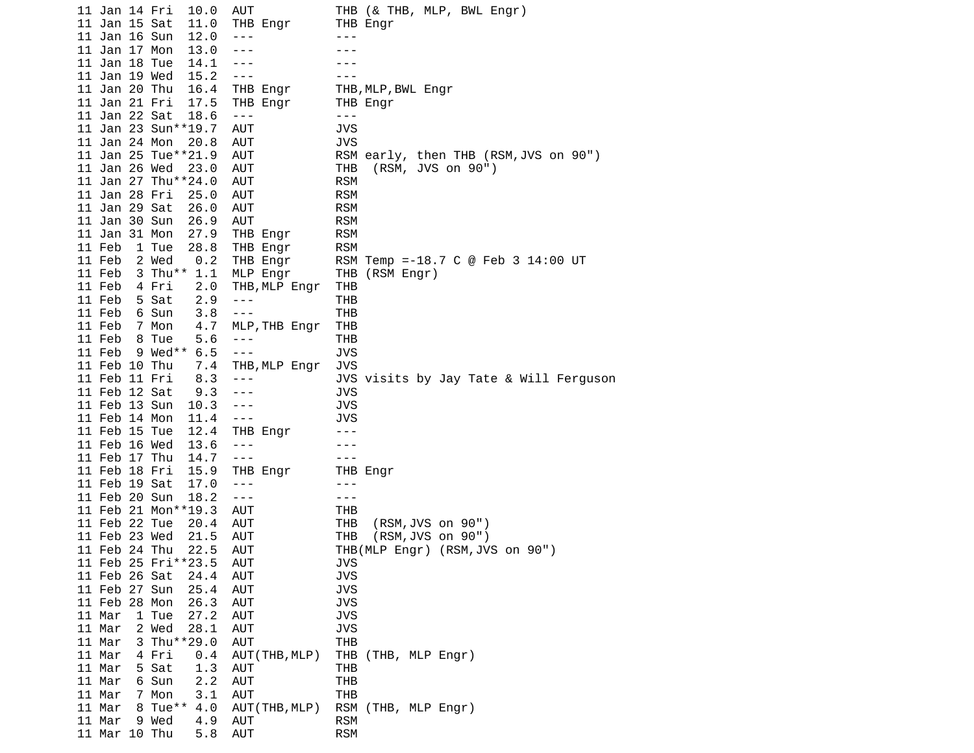| 11 Jan 14 Fri<br>AUT<br>10.0               | THB (& THB, MLP, BWL Engr)             |
|--------------------------------------------|----------------------------------------|
| 11 Jan 15 Sat<br>11.0<br>THB Engr          | THB Engr                               |
| 11 Jan 16 Sun<br>12.0<br>$- - -$           | $- - -$                                |
| 11 Jan 17 Mon<br>13.0<br>- - -             |                                        |
| 11 Jan 18 Tue<br>14.1<br>$- - -$           |                                        |
| 11 Jan 19 Wed<br>15.2<br>$- - -$           |                                        |
| 11 Jan 20 Thu<br>16.4<br>THB Engr          | THB, MLP, BWL Engr                     |
| 11 Jan 21 Fri<br>17.5<br>THB Engr          | THB Engr                               |
| 11 Jan 22 Sat<br>18.6<br>$- - -$           | $- - -$                                |
| 11 Jan 23 Sun**19.7<br>AUT                 | JVS                                    |
| 11 Jan 24 Mon<br>20.8<br>AUT               | JVS                                    |
| 11 Jan 25 Tue**21.9<br>AUT                 | RSM early, then THB (RSM, JVS on 90")  |
| 11 Jan 26 Wed<br>23.0<br>AUT               | THB<br>(RSM, JVS on 90")               |
| 11 Jan 27 Thu**24.0<br>AUT                 | <b>RSM</b>                             |
| 11 Jan 28 Fri<br>25.0<br>AUT               | <b>RSM</b>                             |
| 11 Jan 29 Sat<br><b>AUT</b><br>26.0        | <b>RSM</b>                             |
| 11 Jan 30 Sun<br>26.9<br>AUT               | <b>RSM</b>                             |
| 11 Jan 31 Mon<br>27.9<br>THB Engr          | <b>RSM</b>                             |
| 11 Feb<br>1 Tue<br>28.8<br>THB Engr        | <b>RSM</b>                             |
| 2 Wed<br>0.2<br>11 Feb<br>THB Engr         | RSM Temp =-18.7 C @ Feb 3 14:00 UT     |
| $3$ Thu**<br>1.1<br>11 Feb<br>MLP Engr     | THB<br>(RSM Engr)                      |
| 11 Feb<br>4 Fri<br>2.0<br>THB, MLP Engr    | THB                                    |
| 5 Sat<br>11 Feb<br>2.9<br>$- - -$          | THB                                    |
| 3.8<br>11 Feb<br>6 Sun<br>$- - -$          | <b>THB</b>                             |
| 11 Feb<br>4.7<br>7 Mon<br>MLP, THB Engr    | THB                                    |
| 11 Feb<br>8 Tue<br>5.6<br>$- - -$          | THB                                    |
| 9 Wed $**$<br>11 Feb<br>6.5<br>$  -$       | <b>JVS</b>                             |
| 11 Feb 10 Thu<br>7.4<br>THB,MLP Engr       | <b>JVS</b>                             |
| 8.3<br>11 Feb 11 Fri<br>$- - -$            | JVS visits by Jay Tate & Will Ferguson |
| 11 Feb 12 Sat<br>9.3<br>---                | JVS                                    |
| 11 Feb 13 Sun<br>10.3<br>- - -             | <b>JVS</b>                             |
| 11 Feb 14 Mon<br>11.4<br>$- - -$           | <b>JVS</b>                             |
| 11 Feb 15 Tue<br>12.4<br>THB Engr          |                                        |
| 11 Feb 16 Wed<br>13.6<br>$- - -$           |                                        |
| 11 Feb 17 Thu<br>14.7<br>$- - -$           | ---                                    |
| 11 Feb 18 Fri<br>15.9<br>THB Engr          | THB Engr                               |
| 11 Feb 19 Sat<br>17.0<br>- - -             | $- - -$                                |
| 11 Feb 20 Sun<br>18.2<br>$- - -$           | $- - -$                                |
| 11 Feb 21 Mon**19.3<br>AUT                 | THB                                    |
| 11 Feb 22 Tue<br>20.4<br>AUT               | <b>THB</b><br>(RSM, JVS on 90")        |
| 11 Feb 23 Wed<br>21.5<br>AUT               | THB<br>(RSM, JVS on 90")               |
| 11 Feb 24 Thu<br>22.5<br>AUT               | THB(MLP Engr) (RSM, JVS on 90")        |
| 11 Feb 25 Fri**23.5<br>AUT                 | <b>JVS</b>                             |
| 11 Feb 26 Sat<br>24.4<br><b>AUT</b>        | <b>JVS</b>                             |
| 11 Feb 27 Sun<br>25.4<br><b>AUT</b>        | <b>JVS</b>                             |
| 11 Feb 28 Mon<br>26.3<br>AUT               | <b>JVS</b>                             |
| 1 Tue<br>27.2<br>11 Mar<br><b>AUT</b>      | <b>JVS</b>                             |
| 28.1<br>11 Mar<br>2 Wed<br>AUT             | JVS                                    |
| 3 Thu**29.0<br>11 Mar<br>AUT               | <b>THB</b>                             |
| 11 Mar<br>4 Fri<br>0.4<br>AUT (THB, MLP)   | THB<br>(THB, MLP Engr)                 |
| 11 Mar<br>5 Sat<br>1.3<br><b>AUT</b>       | <b>THB</b>                             |
| 2.2<br>11 Mar<br>6 Sun<br><b>AUT</b>       | <b>THB</b>                             |
| 11 Mar<br>3.1<br>7 Mon<br>AUT              | <b>THB</b>                             |
| 8 Tue**<br>4.0<br>11 Mar<br>AUT (THB, MLP) | RSM (THB, MLP Engr)                    |
| 11 Mar<br>9 Wed<br>4.9<br>AUT              | <b>RSM</b>                             |
| 11 Mar 10 Thu<br>5.8<br>AUT                | <b>RSM</b>                             |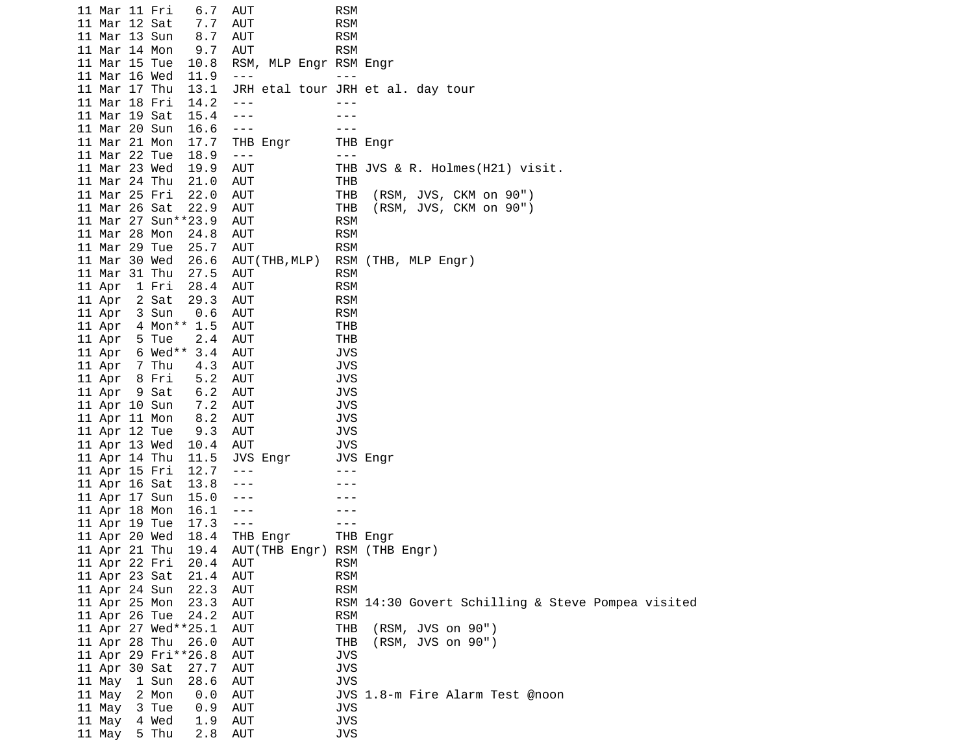11 Mar 11 Fri 6.7 AUT RSM 11 Mar 12 Sat 7.7 AUT RSM 11 Mar 13 Sun 8.7 AUT RSM 11 Mar 14 Mon 9.7 AUT RSM<br>11 Mar 15 Tue 10.8 RSM, MLP Engr RSM 11 Mar 15 Tue 10.8 RSM, MLP Engr RSM Engr 11 Mar 16 Wed 11.9 ---<br>11 Mar 17 Thu 13.1 JRH etal tour JRF JRH etal tour JRH et al. day tour 11 Mar 18 Fri 14.2 ---<br>11 Mar 19 Sat 15.4 --- --- --- ---11 Mar 19 Sat 15.4 11 Mar 20 Sun 16.6 --- --- 11 Mar 21 Mon 17.7 THB Engr 11 Mar 22 Tue 18.9 --- -- -- --- 11 Mar 23 Wed 19.9 AUT THB JVS & R. Holmes(H21) visit. 11 Mar 24 Thu 21.0 AUT THB 11 Mar 25 Fri 22.0 AUT THB (RSM, JVS, CKM on 90") 11 Mar 26 Sat 22.9 AUT THB (RSM, JVS, CKM on 90") 11 Mar 27 Sun\*\*23.9 AUT RSM 11 Mar 28 Mon 24.8 AUT 11 Mar 29 Tue 25.7 AUT RSM 11 Mar 30 Wed 26.6 AUT(THB,MLP) RSM (THB, MLP Engr) 11 Mar 31 Thu 27.5 AUT RSM 11 Apr 1 Fri 28.4 AUT RSM 11 Apr 2 Sat 29.3 AUT RSM 11 Apr 3 Sun 0.6 AUT RSM 11 Apr 4 Mon\*\* 1.5 AUT THB 11 Apr 5 Tue 2.4 AUT THB 11 Apr 6 Wed\*\* 3.4 AUT JVS 11 Apr 7 Thu 4.3 AUT JVS 11 Apr 8 Fri 5.2 AUT JVS 11 Apr 9 Sat 6.2 AUT JVS 11 Apr 10 Sun 7.2 AUT<br>11 Apr 11 Mon 8.2 AUT 11 Apr 11 Mon 8.2 AUT JVS 11 Apr 12 Tue 9.3 AUT JVS 11 Apr 13 Wed 10.4 AUT JVS<br>11 Apr 14 Thu 11.5 JVS Engr JVS 11 Apr 14 Thu 11.5 JVS Engr JVS Engr 11 Apr 15 Fri 12.7 --- -- ---11 Apr 16 Sat 13.8 ---11 Apr 17 Sun 15.0 --- -- ---11 Apr 18 Mon 16.1 --- -- ---11 Apr 19 Tue 17.3 ---<br>11 Apr 20 Wed 18.4 THB Engr THB Engr 11 Apr 20 Wed 18.4 THB Engr 11 Apr 21 Thu 19.4 AUT(THB Engr) RSM (THB Engr) 11 Apr 22 Fri 20.4 AUT 11 Apr 23 Sat 21.4 AUT RSM 11 Apr 24 Sun 22.3 AUT RSM RSM 14:30 Govert Schilling & Steve Pompea visited 11 Apr 26 Tue 24.2 AUT RSM 11 Apr 27 Wed\*\*25.1 AUT THB (RSM, JVS on 90") 11 Apr 28 Thu 26.0 AUT THB (RSM, JVS on 90") 11 Apr 29 Fri\*\*26.8 AUT 11 Apr 30 Sat 27.7 AUT JVS 11 May 1 Sun 28.6 AUT JVS 11 May 2 Mon 0.0 AUT JVS 1.8-m Fire Alarm Test @noon 11 May 3 Tue 0.9 AUT JVS 11 May 4 Wed 1.9 AUT JVS 11 May  $5$  Thu  $2.8$  AUT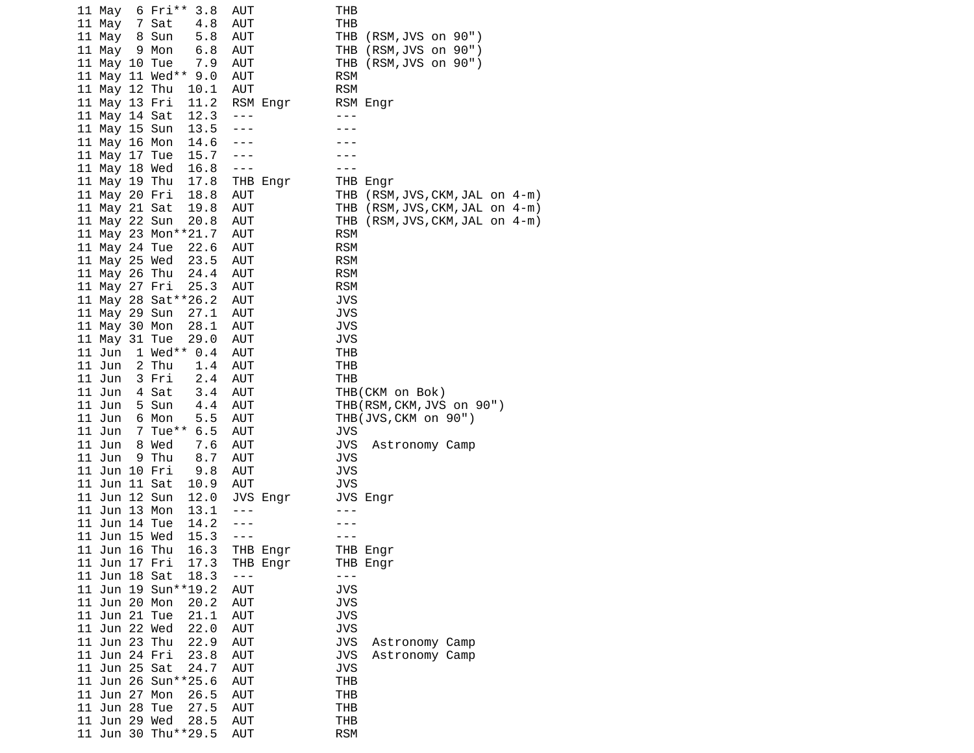| 6 Fri**<br>3.8<br>11 May | AUT        | THB                                |
|--------------------------|------------|------------------------------------|
| 11 May<br>7 Sat<br>4.8   | AUT        | THB                                |
| 11 May<br>8 Sun<br>5.8   | AUT        | THB<br>(RSM, JVS on 90")           |
| 11 May<br>9 Mon<br>6.8   | <b>AUT</b> | THB<br>(RSM,JVS on 90")            |
| 11 May 10 Tue<br>7.9     | AUT        | THB.<br>(RSM, JVS on 90")          |
| 11 May 11 Wed** 9.0      | AUT        | <b>RSM</b>                         |
| 11 May 12 Thu<br>10.1    | AUT        | <b>RSM</b>                         |
| 11 May 13 Fri<br>11.2    | RSM Engr   | RSM Engr                           |
| 12.3<br>11 May 14 Sat    | - - -      | ---                                |
| 13.5<br>11 May 15 Sun    | ---        |                                    |
|                          | $- - -$    |                                    |
| 14.6<br>11 May 16 Mon    |            |                                    |
| 15.7<br>11 May 17 Tue    |            |                                    |
| 16.8<br>11 May 18 Wed    | $- - -$    | ---                                |
| 17.8<br>11 May 19 Thu    | THB Engr   | THB Engr                           |
| 18.8<br>11 May 20 Fri    | AUT        | THB (RSM, JVS, CKM, JAL on 4-m)    |
| 11 May 21 Sat<br>19.8    | AUT        | THB (RSM, JVS, CKM, JAL on 4-m)    |
| 11 May 22 Sun<br>20.8    | AUT        | (RSM, JVS, CKM, JAL on 4-m)<br>THB |
| 11 May 23 Mon**21.7      | AUT        | <b>RSM</b>                         |
| 22.6<br>11 May 24 Tue    | AUT        | <b>RSM</b>                         |
| 23.5<br>11 May 25 Wed    | AUT        | <b>RSM</b>                         |
| 11 May 26 Thu<br>24.4    | AUT        | <b>RSM</b>                         |
| 11 May 27 Fri<br>25.3    | AUT        | <b>RSM</b>                         |
| 11 May 28 Sat ** 26.2    | AUT        | JVS                                |
| 27.1<br>11 May 29 Sun    | AUT        | <b>JVS</b>                         |
| 11 May 30 Mon<br>28.1    | <b>AUT</b> | JVS                                |
| 11 May 31 Tue<br>29.0    | AUT        | JVS                                |
| 1 Wed** $0.4$<br>11 Jun  | AUT        | THB                                |
| 11 Jun<br>2 Thu<br>1.4   | AUT        | THB                                |
| 2.4<br>11 Jun<br>3 Fri   | <b>AUT</b> | THB                                |
| 11 Jun<br>4 Sat<br>3.4   | AUT        | THB(CKM on Bok)                    |
| 11 Jun<br>5 Sun<br>4.4   | AUT        | THB(RSM, CKM, JVS on 90")          |
| 11 Jun<br>6 Mon<br>5.5   | AUT        | THB(JVS, CKM on 90")               |
| 7 Tue**<br>6.5<br>11 Jun | AUT        | JVS                                |
| 8 Wed<br>7.6<br>11 Jun   | AUT        | JVS<br>Astronomy Camp              |
| 11 Jun<br>9 Thu<br>8.7   | AUT        | <b>JVS</b>                         |
| 11 Jun 10 Fri<br>9.8     | AUT        | JVS                                |
| 11 Jun 11 Sat<br>10.9    | AUT        | JVS                                |
| 12.0<br>11 Jun 12 Sun    | JVS Engr   | JVS Engr                           |
| 11 Jun 13 Mon<br>13.1    | $- - -$    | ---                                |
| 11 Jun 14 Tue<br>14.2    | $- - -$    |                                    |
| 15.3<br>11 Jun 15 Wed    | $- - -$    |                                    |
| 11 Jun 16 Thu<br>16.3    | THB Engr   | THB Engr                           |
| 17.3<br>11 Jun 17 Fri    | THB Engr   | THB Engr                           |
| 11 Jun 18 Sat<br>18.3    | $- - -$    | $- - -$                            |
| 11 Jun 19 Sun**19.2      | <b>AUT</b> | <b>JVS</b>                         |
| 11 Jun 20 Mon<br>20.2    | AUT        | <b>JVS</b>                         |
| 11 Jun 21 Tue<br>21.1    | <b>AUT</b> | <b>JVS</b>                         |
| 11 Jun 22 Wed<br>22.0    | <b>AUT</b> | <b>JVS</b>                         |
| 11 Jun 23 Thu<br>22.9    | AUT        | <b>JVS</b><br>Astronomy Camp       |
| 11 Jun 24 Fri<br>23.8    | <b>AUT</b> | <b>JVS</b><br>Astronomy Camp       |
| 11 Jun 25 Sat<br>24.7    | <b>AUT</b> | <b>JVS</b>                         |
| 11 Jun 26 Sun**25.6      | <b>AUT</b> | THB                                |
| 11 Jun 27 Mon<br>26.5    | AUT        | <b>THB</b>                         |
| 11 Jun 28 Tue<br>27.5    | <b>AUT</b> | THB                                |
| 11 Jun 29 Wed<br>28.5    | AUT        | <b>THB</b>                         |
| 11 Jun 30 Thu**29.5      | AUT        | <b>RSM</b>                         |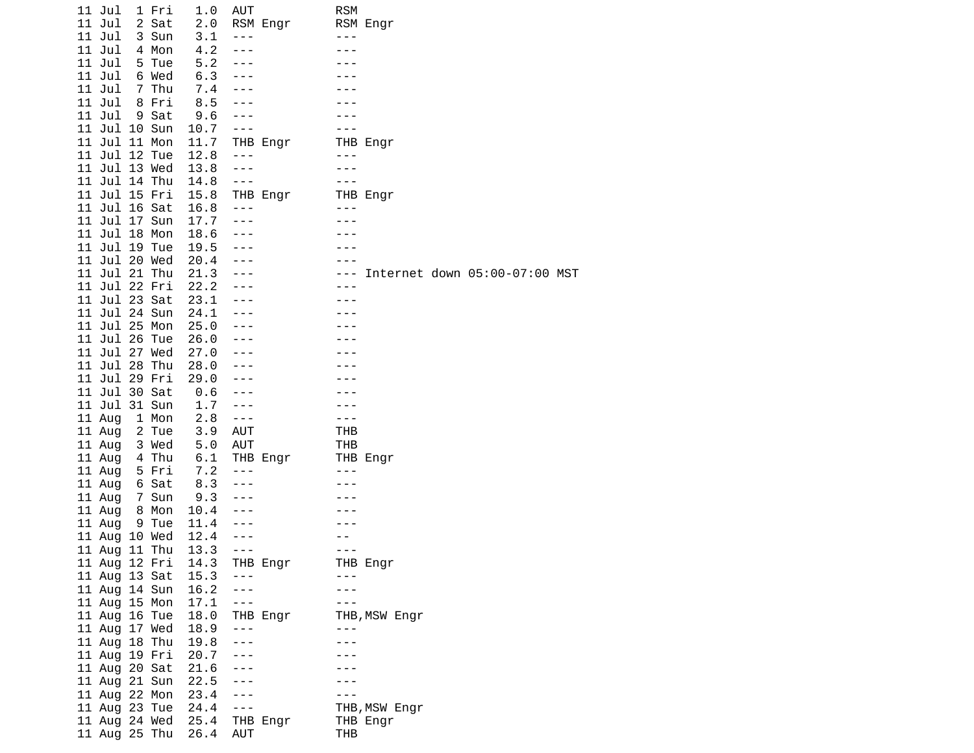| 11 Jul                         | 1 Fri          | 1.0          | AUT          |          | <b>RSM</b> |                          |                               |  |
|--------------------------------|----------------|--------------|--------------|----------|------------|--------------------------|-------------------------------|--|
| 11 Jul                         | 2 Sat          | 2.0          |              | RSM Engr |            | RSM Engr                 |                               |  |
| 11 Jul                         | 3 Sun          | 3.1          | ---          |          | - - -      |                          |                               |  |
| 11 Jul                         | 4 Mon          | 4.2          | $- - -$      |          |            |                          |                               |  |
| 11 Jul                         | 5 Tue          | 5.2          | ---          |          |            |                          |                               |  |
| 11 Jul                         | 6 Wed          | 6.3          | ---          |          |            |                          |                               |  |
| 11 Jul                         | 7 Thu          | 7.4          |              |          |            |                          |                               |  |
| 11 Jul                         | 8 Fri          | 8.5          | ---          |          |            |                          |                               |  |
| 11 Jul                         | 9 Sat          | 9.6          | ---          |          |            |                          |                               |  |
| 11 Jul 10 Sun                  |                | 10.7         | $- - -$      |          |            |                          |                               |  |
| 11 Jul 11 Mon                  |                | 11.7         |              | THB Engr |            | THB Engr                 |                               |  |
| 11 Jul 12 Tue                  |                | 12.8         | $- - -$      |          | - - -      |                          |                               |  |
| 11 Jul 13 Wed                  |                | 13.8         | $- - -$      |          | ---        |                          |                               |  |
| 11 Jul 14 Thu                  |                | 14.8         | $- - -$      |          | - - -      |                          |                               |  |
| 11 Jul 15 Fri                  |                | 15.8         |              | THB Engr |            | THB Engr                 |                               |  |
| 11 Jul 16 Sat                  |                | 16.8         | ---          |          |            |                          |                               |  |
| 11 Jul 17 Sun                  |                | 17.7         | $- - -$      |          |            |                          |                               |  |
| 11 Jul 18 Mon                  |                | 18.6         | ---          |          |            |                          |                               |  |
| 11 Jul 19 Tue                  |                | 19.5         | $- - -$      |          |            |                          |                               |  |
| 11 Jul 20 Wed                  |                | 20.4         | $- - -$      |          |            |                          |                               |  |
| 11 Jul 21 Thu                  |                | 21.3         | ---          |          |            |                          | Internet down 05:00-07:00 MST |  |
| 11 Jul 22 Fri                  |                | 22.2         |              |          | ---        |                          |                               |  |
| 11 Jul 23 Sat                  |                | 23.1         | - - -        |          |            |                          |                               |  |
|                                |                |              |              |          |            |                          |                               |  |
| 11 Jul 24 Sun                  |                | 24.1         | ---          |          |            |                          |                               |  |
| 11 Jul 25 Mon                  |                | 25.0         |              |          |            |                          |                               |  |
| 11 Jul 26 Tue<br>11 Jul 27 Wed |                | 26.0         | $- - -$      |          |            |                          |                               |  |
| 11 Jul 28 Thu                  |                | 27.0<br>28.0 |              |          |            |                          |                               |  |
| 11 Jul 29 Fri                  |                | 29.0         | ---          |          |            |                          |                               |  |
| 11 Jul 30 Sat                  |                | 0.6          | ---          |          |            |                          |                               |  |
| 11 Jul 31 Sun                  |                | 1.7          | $- - -$      |          |            |                          |                               |  |
|                                | 1 Mon          | 2.8          | $- - -$      |          | $ -$       |                          |                               |  |
| 11 Aug                         | 2 Tue          | 3.9          | AUT          |          | THB        |                          |                               |  |
| 11 Aug                         |                | 5.0          | AUT          |          | THB        |                          |                               |  |
| 11 Aug                         | 3 Wed          |              |              |          |            |                          |                               |  |
| 11 Aug                         | 4 Thu<br>5 Fri | 6.1          | $- - -$      | THB Engr | ---        | THB Engr                 |                               |  |
| 11 Aug                         |                | 7.2          | $- - -$      |          |            |                          |                               |  |
| 11 Aug                         | 6 Sat          | 8.3<br>9.3   |              |          |            |                          |                               |  |
| 11 Aug                         | 7 Sun          |              | ---          |          |            |                          |                               |  |
| 11 Aug                         | 8 Mon          | 10.4<br>11.4 |              |          |            |                          |                               |  |
| 11 Aug                         | 9 Tue          |              | - - -<br>--- |          |            |                          |                               |  |
| 11 Aug 10 Wed                  |                | 12.4         | $- - -$      |          | - - -      |                          |                               |  |
| 11 Aug 11 Thu<br>11 Aug 12 Fri |                | 13.3<br>14.3 |              |          |            |                          |                               |  |
|                                |                | 15.3         | $- - -$      | THB Engr | - - -      | THB Engr                 |                               |  |
| 11 Aug 13 Sat                  |                |              | $- - -$      |          | $ -$       |                          |                               |  |
| 11 Aug 14 Sun<br>11 Aug 15 Mon |                | 16.2<br>17.1 | $- - -$      |          | - -        |                          |                               |  |
|                                |                | 18.0         |              |          |            |                          |                               |  |
| 11 Aug 16 Tue<br>11 Aug 17 Wed |                | 18.9         | ---          | THB Engr | $- - -$    | THB, MSW Engr            |                               |  |
| 11 Aug 18 Thu                  |                | 19.8         | ---          |          |            |                          |                               |  |
| 11 Aug 19 Fri                  |                | 20.7         | $- - -$      |          |            |                          |                               |  |
| 11 Aug 20 Sat                  |                | 21.6         | ---          |          |            |                          |                               |  |
| 11 Aug 21 Sun                  |                | 22.5         | ---          |          |            |                          |                               |  |
|                                |                | 23.4         | ---          |          |            |                          |                               |  |
| 11 Aug 22 Mon<br>11 Aug 23 Tue |                | 24.4         | $- - -$      |          |            |                          |                               |  |
| 11 Aug 24 Wed                  |                | 25.4         |              | THB Engr |            | THB,MSW Engr<br>THB Engr |                               |  |
| 11 Aug 25 Thu                  |                | 26.4         | AUT          |          | THB        |                          |                               |  |
|                                |                |              |              |          |            |                          |                               |  |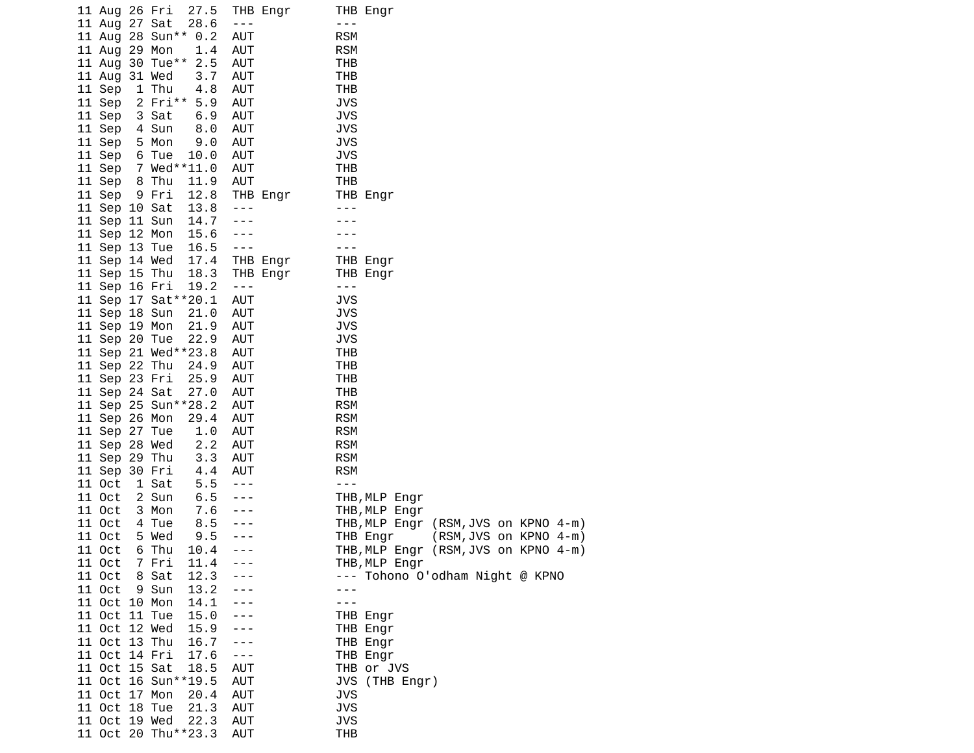| 11 Aug 26 Fri                        |                | 27.5                        |                                 | THB Engr |                          | THB Engr                        |                                                  |  |  |
|--------------------------------------|----------------|-----------------------------|---------------------------------|----------|--------------------------|---------------------------------|--------------------------------------------------|--|--|
| 11 Aug 27 Sat                        |                | 28.6                        | $\sim$ $ \sim$                  |          | - - -                    |                                 |                                                  |  |  |
| 11 Aug 28 Sun** 0.2<br>11 Aug 29 Mon |                | 1.4                         | <b>AUT</b><br><b>AUT</b>        |          | <b>RSM</b><br><b>RSM</b> |                                 |                                                  |  |  |
| 11 Aug 30 Tue** 2.5                  |                |                             | <b>AUT</b>                      |          | THB                      |                                 |                                                  |  |  |
| 11 Aug 31 Wed                        |                | 3.7                         | <b>AUT</b>                      |          | THB                      |                                 |                                                  |  |  |
| 11 Sep                               | 1 Thu          | 4.8                         | <b>AUT</b>                      |          | <b>THB</b>               |                                 |                                                  |  |  |
| 11 Sep                               | 2 Fri** 5.9    |                             | <b>AUT</b>                      |          | <b>JVS</b>               |                                 |                                                  |  |  |
| 11 Sep                               | 3 Sat          | 6.9                         | AUT                             |          | <b>JVS</b>               |                                 |                                                  |  |  |
| 11 Sep                               | 4 Sun          | 8.0                         | AUT                             |          | <b>JVS</b>               |                                 |                                                  |  |  |
| 11 Sep                               | 5 Mon          | 9.0                         | <b>AUT</b>                      |          | <b>JVS</b>               |                                 |                                                  |  |  |
| 11 Sep 6 Tue                         |                | 10.0                        | AUT                             |          | <b>JVS</b>               |                                 |                                                  |  |  |
| 11 Sep 7 Wed**11.0                   |                |                             | AUT                             |          | <b>THB</b>               |                                 |                                                  |  |  |
| 11 Sep 8 Thu                         |                | 11.9                        | AUT                             |          | <b>THB</b>               |                                 |                                                  |  |  |
| 11 Sep 9 Fri                         |                | 12.8                        |                                 | THB Engr |                          | THB Engr                        |                                                  |  |  |
| 11 Sep 10 Sat                        |                | 13.8                        | $\sim$ $\sim$ $\sim$            |          | $\frac{1}{2}$            |                                 |                                                  |  |  |
| 11 Sep 11 Sun                        |                | 14.7                        | $\sim$ $ \sim$                  |          |                          |                                 |                                                  |  |  |
| 11 Sep 12 Mon<br>11 Sep 13 Tue       |                | 15.6<br>16.5                | $- - -$<br>$\sim$ $\sim$ $\sim$ |          |                          |                                 |                                                  |  |  |
| 11 Sep 14 Wed                        |                | 17.4                        |                                 | THB Engr |                          | THB Engr                        |                                                  |  |  |
| 11 Sep 15 Thu                        |                | 18.3                        |                                 | THB Engr |                          | THB Engr                        |                                                  |  |  |
| 11 Sep 16 Fri                        |                | 19.2                        | $\sim$ $\sim$ $\sim$            |          | $\sim$ $\sim$ $\sim$     |                                 |                                                  |  |  |
| 11 Sep 17 Sat**20.1                  |                |                             | <b>AUT</b>                      |          | JVS                      |                                 |                                                  |  |  |
| 11 Sep 18 Sun                        |                | 21.0                        | <b>AUT</b>                      |          | <b>JVS</b>               |                                 |                                                  |  |  |
| 11 Sep 19 Mon                        |                | 21.9                        | AUT                             |          | <b>JVS</b>               |                                 |                                                  |  |  |
| 11 Sep 20 Tue                        |                | 22.9                        | <b>AUT</b>                      |          | <b>JVS</b>               |                                 |                                                  |  |  |
| 11 Sep 21 Wed**23.8                  |                |                             | <b>AUT</b>                      |          | THB                      |                                 |                                                  |  |  |
| 11 Sep 22 Thu                        |                | 24.9                        | AUT                             |          | THB                      |                                 |                                                  |  |  |
| 11 Sep 23 Fri                        |                | 25.9<br>27.0                | AUT<br><b>AUT</b>               |          | <b>THB</b><br><b>THB</b> |                                 |                                                  |  |  |
| 11 Sep 24 Sat<br>11 Sep 25 Sun**28.2 |                |                             | <b>AUT</b>                      |          | <b>RSM</b>               |                                 |                                                  |  |  |
| 11 Sep 26 Mon                        |                | 29.4                        | AUT                             |          | <b>RSM</b>               |                                 |                                                  |  |  |
| 11 Sep 27 Tue                        |                | 1.0                         | <b>AUT</b>                      |          | <b>RSM</b>               |                                 |                                                  |  |  |
| 11 Sep 28 Wed                        |                | $\frac{2}{3}$ $\frac{2}{3}$ | <b>AUT</b>                      |          | <b>RSM</b>               |                                 |                                                  |  |  |
| 11 Sep 29 Thu                        |                | 3.3                         | AUT                             |          | <b>RSM</b>               |                                 |                                                  |  |  |
| 11 Sep 30 Fri                        |                | 4.4                         | AUT                             |          | <b>RSM</b>               |                                 |                                                  |  |  |
| 11 Oct                               | 1 Sat          | 5.5                         | $- - -$                         |          | $- - -$                  |                                 |                                                  |  |  |
| 11 Oct                               | 2 Sun          | 6.5                         | $- - -$                         |          |                          | THB, MLP Engr                   |                                                  |  |  |
| 11 Oct                               | 3 Mon          | 7.6                         | $- - -$                         |          |                          | THB, MLP Engr                   |                                                  |  |  |
| 11 Oct                               | 4 Tue          | 8.5                         | $- - -$                         |          |                          | THB,MLP Engr                    | (RSM, JVS on KPNO 4-m)                           |  |  |
| 11 Oct<br>11 Oct                     | 5 Wed<br>6 Thu | 9.5<br>10.4                 | ---<br>$- - -$                  |          |                          | THB Engr<br>THB,MLP Engr        | (RSM, JVS on KPNO 4-m)<br>(RSM, JVS on KPNO 4-m) |  |  |
| 11 Oct                               | 7 Fri          | 11.4                        |                                 |          |                          | THB, MLP Engr                   |                                                  |  |  |
| 11 Oct                               | 8 Sat          | 12.3                        |                                 |          |                          | --- Tohono O'odham Night @ KPNO |                                                  |  |  |
| 11 Oct                               | 9 Sun          | 13.2                        |                                 |          |                          |                                 |                                                  |  |  |
| 11 Oct 10 Mon                        |                | 14.1                        |                                 |          |                          |                                 |                                                  |  |  |
| 11 Oct 11 Tue                        |                | 15.0                        |                                 |          |                          | THB Engr                        |                                                  |  |  |
| 11 Oct 12 Wed                        |                | 15.9                        | - - -                           |          |                          | THB Engr                        |                                                  |  |  |
| 11 Oct 13 Thu                        |                | 16.7                        | ---                             |          |                          | THB Engr                        |                                                  |  |  |
| 11 Oct 14 Fri                        |                | 17.6                        | $- - -$                         |          |                          | THB Engr                        |                                                  |  |  |
| 11 Oct 15 Sat                        |                | 18.5                        | <b>AUT</b>                      |          |                          | THB or JVS                      |                                                  |  |  |
| 11 Oct 16 Sun**19.5                  |                |                             | <b>AUT</b>                      |          |                          | JVS (THB Engr)                  |                                                  |  |  |
| 11 Oct 17 Mon<br>11 Oct 18 Tue       |                | 20.4<br>21.3                | <b>AUT</b><br><b>AUT</b>        |          | <b>JVS</b><br><b>JVS</b> |                                 |                                                  |  |  |
| 11 Oct 19 Wed                        |                | 22.3                        | <b>AUT</b>                      |          | <b>JVS</b>               |                                 |                                                  |  |  |
| 11 Oct 20 Thu**23.3                  |                |                             | <b>AUT</b>                      |          | <b>THB</b>               |                                 |                                                  |  |  |
|                                      |                |                             |                                 |          |                          |                                 |                                                  |  |  |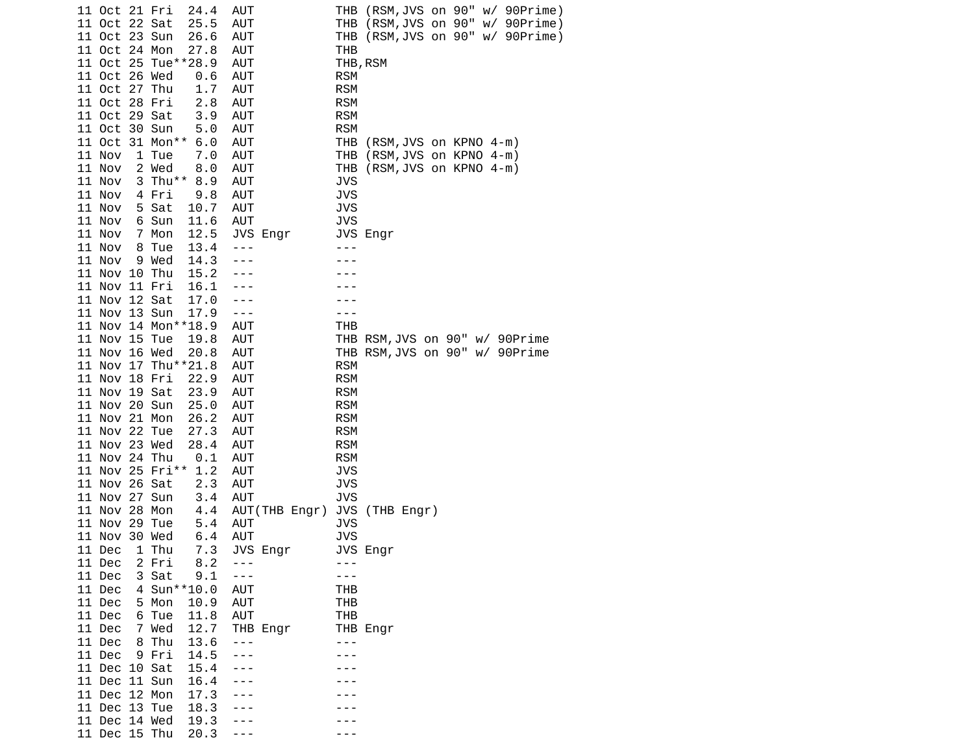|  | 11 Oct 21 Fri |                 | 24.4                | AUT        |                |                          | THB (RSM,JVS on 90" w/ 90Prime)  |
|--|---------------|-----------------|---------------------|------------|----------------|--------------------------|----------------------------------|
|  | 11 Oct 22 Sat |                 | 25.5                | <b>AUT</b> |                |                          | THB (RSM, JVS on 90" w/ 90Prime) |
|  | 11 Oct 23 Sun |                 | 26.6                | AUT        |                |                          | THB (RSM, JVS on 90" w/ 90Prime) |
|  | 11 Oct 24 Mon |                 | 27.8                | AUT        |                | THB                      |                                  |
|  |               |                 | 11 Oct 25 Tue**28.9 | AUT        |                |                          | THB, RSM                         |
|  | 11 Oct 26 Wed |                 | 0.6                 | AUT        |                | <b>RSM</b>               |                                  |
|  | 11 Oct 27 Thu |                 | 1.7                 | AUT        |                | <b>RSM</b>               |                                  |
|  | 11 Oct 28 Fri |                 | 2.8                 | AUT        |                | <b>RSM</b>               |                                  |
|  | 11 Oct 29 Sat |                 | 3.9                 | <b>AUT</b> |                | <b>RSM</b>               |                                  |
|  | 11 Oct 30 Sun |                 | 5.0                 | <b>AUT</b> |                | <b>RSM</b>               |                                  |
|  |               | 11 Oct 31 Mon** | 6.0                 | AUT        |                | THB                      | (RSM, JVS on KPNO 4-m)           |
|  | 11 Nov        | 1 Tue           | 7.0                 | AUT        |                | THB                      | (RSM, JVS on KPNO 4-m)           |
|  | 11 Nov        | 2 Wed           | 8.0                 | AUT        |                | THB                      | (RSM, JVS on KPNO 4-m)           |
|  | 11 Nov        |                 | 3 Thu** 8.9         | AUT        |                | JVS                      |                                  |
|  | 11 Nov        | 4 Fri           | 9.8                 | AUT        |                | <b>JVS</b>               |                                  |
|  | 11 Nov        | 5 Sat           | 10.7                | AUT        |                | JVS                      |                                  |
|  | 11 Nov        | 6 Sun           | 11.6                | <b>AUT</b> |                | <b>JVS</b>               |                                  |
|  | 11 Nov        | 7 Mon           | 12.5                |            | JVS Engr       |                          | JVS Engr                         |
|  | 11 Nov        | 8 Tue           | 13.4                | $- - -$    |                | - - -                    |                                  |
|  | 11 Nov        | 9 Wed           | 14.3                |            |                |                          |                                  |
|  | 11 Nov 10 Thu |                 | 15.2                |            |                |                          |                                  |
|  | 11 Nov 11 Fri |                 | 16.1                |            |                |                          |                                  |
|  | 11 Nov 12 Sat |                 | 17.0                | ---        |                |                          |                                  |
|  | 11 Nov 13 Sun |                 | 17.9                | $- - -$    |                |                          |                                  |
|  |               |                 | 11 Nov 14 Mon**18.9 | AUT        |                | <b>THB</b>               |                                  |
|  | 11 Nov 15 Tue |                 | 19.8                | AUT        |                |                          | THB RSM, JVS on 90" w/ 90Prime   |
|  | 11 Nov 16 Wed |                 | 20.8                | AUT        |                |                          | THB RSM, JVS on 90" w/ 90Prime   |
|  |               |                 | 11 Nov 17 Thu**21.8 | AUT        |                | <b>RSM</b>               |                                  |
|  | 11 Nov 18 Fri |                 | 22.9                | AUT        |                | <b>RSM</b>               |                                  |
|  | 11 Nov 19 Sat |                 | 23.9                | AUT        |                | <b>RSM</b>               |                                  |
|  | 11 Nov 20 Sun |                 | 25.0                | AUT        |                | <b>RSM</b>               |                                  |
|  | 11 Nov 21 Mon |                 | 26.2                | AUT        |                | <b>RSM</b>               |                                  |
|  | 11 Nov 22 Tue |                 | 27.3                | AUT        |                | <b>RSM</b>               |                                  |
|  | 11 Nov 23 Wed |                 | 28.4                | AUT        |                | <b>RSM</b>               |                                  |
|  | 11 Nov 24 Thu |                 |                     |            |                |                          |                                  |
|  |               | 11 Nov 25 Fri** | 0.1<br>1.2          | <b>AUT</b> |                | <b>RSM</b><br><b>JVS</b> |                                  |
|  | 11 Nov 26 Sat |                 | 2.3                 | AUT        |                |                          |                                  |
|  | 11 Nov 27 Sun |                 |                     | AUT        |                | <b>JVS</b><br><b>JVS</b> |                                  |
|  |               |                 | 3.4                 | AUT        |                |                          |                                  |
|  | 11 Nov 28 Mon |                 | 4.4                 |            | AUT (THB Engr) | JVS                      | (THB Engr)                       |
|  | 11 Nov 29 Tue |                 | 5.4                 | <b>AUT</b> |                | JVS                      |                                  |
|  | 11 Nov 30 Wed |                 | 6.4                 | AUT        |                | JVS                      |                                  |
|  | 11 Dec        | 1 Thu           | 7.3                 |            | JVS Engr       |                          | JVS Engr                         |
|  | 11 Dec        | 2 Fri           | 8.2                 | - - -      |                |                          |                                  |
|  | 11 Dec        | 3 Sat           | 9.1                 | $- - -$    |                |                          |                                  |
|  | 11 Dec        |                 | 4 Sun**10.0         | <b>AUT</b> |                | THB                      |                                  |
|  | 11 Dec        | 5 Mon           | 10.9                | AUT        |                | <b>THB</b>               |                                  |
|  | 11 Dec        | 6 Tue           | 11.8                | <b>AUT</b> |                | <b>THB</b>               |                                  |
|  | 11 Dec        | 7 Wed           | 12.7                |            | THB Engr       |                          | THB Engr                         |
|  | 11 Dec        | 8 Thu           | 13.6                | $- - -$    |                |                          |                                  |
|  | 11 Dec        | 9 Fri           | 14.5                |            |                |                          |                                  |
|  | 11 Dec        | 10 Sat          | 15.4                |            |                |                          |                                  |
|  | 11 Dec 11 Sun |                 | 16.4                |            |                |                          |                                  |
|  | 11 Dec 12 Mon |                 | 17.3                |            |                |                          |                                  |
|  | 11 Dec 13 Tue |                 | 18.3                |            |                |                          |                                  |
|  | 11 Dec 14 Wed |                 | 19.3                |            |                |                          |                                  |
|  | 11 Dec 15 Thu |                 | 20.3                |            |                |                          |                                  |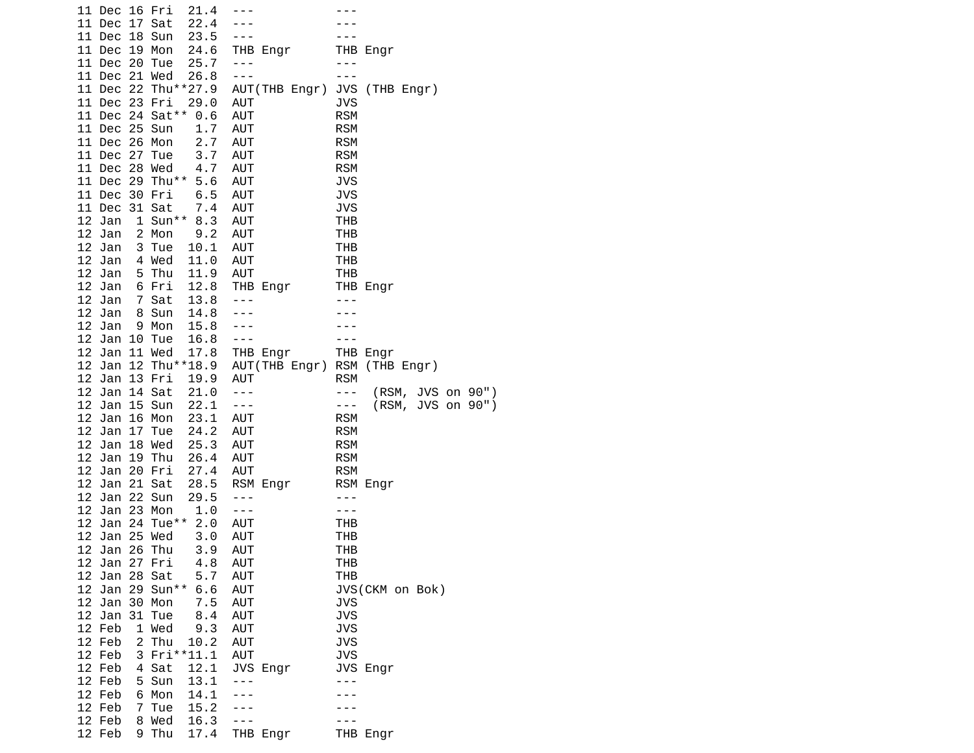| 11 Dec 16 Fri<br>21.4<br>17 Sat<br>22.4<br>11 Dec<br>18 Sun<br>23.5<br>11 Dec | $- - -$                        |                                          |
|-------------------------------------------------------------------------------|--------------------------------|------------------------------------------|
| 11 Dec<br>19 Mon<br>24.6<br>25.7<br>11 Dec<br>20 Tue                          | THB Engr<br>$- - -$            | THB Engr<br>- - -                        |
| 11 Dec 21 Wed<br>26.8                                                         | $- - -$                        | ---                                      |
| 11 Dec 22<br>Thu**27.9                                                        | AUT(THB Engr)                  | JVS (THB Engr)                           |
| 11 Dec 23 Fri<br>29.0                                                         | <b>AUT</b>                     | <b>JVS</b>                               |
| 24 Sat**<br>11 Dec<br>0.6                                                     | <b>AUT</b>                     | <b>RSM</b>                               |
| 25 Sun<br>1.7<br>11 Dec                                                       | <b>AUT</b>                     | <b>RSM</b>                               |
| 2.7<br>11 Dec<br>26 Mon                                                       | <b>AUT</b>                     | <b>RSM</b>                               |
| 27<br>3.7<br>11 Dec<br>Tue                                                    | <b>AUT</b>                     | <b>RSM</b>                               |
| 28<br>4.7<br>11 Dec<br>Wed<br>29 Thu**<br>5.6<br>11 Dec                       | <b>AUT</b><br>AUT              | <b>RSM</b><br><b>JVS</b>                 |
| 6.5<br>30 Fri<br>11 Dec                                                       | <b>AUT</b>                     | <b>JVS</b>                               |
| 31 Sat<br>7.4<br>11 Dec                                                       | <b>AUT</b>                     | <b>JVS</b>                               |
| $1$ Sun**<br>12 Jan<br>8.3                                                    | <b>AUT</b>                     | THB                                      |
| 12<br>2 Mon<br>Jan<br>9.2                                                     | <b>AUT</b>                     | <b>THB</b>                               |
| 12 Jan<br>3 Tue<br>10.1                                                       | AUT                            | <b>THB</b>                               |
| 12 Jan<br>11.0<br>4 Wed                                                       | <b>AUT</b>                     | <b>THB</b>                               |
| 12 Jan<br>5 Thu<br>11.9                                                       | <b>AUT</b>                     | <b>THB</b>                               |
| 12 Jan<br>6 Fri<br>12.8<br>$\overline{7}$<br>12<br>13.8                       | THB Engr<br>$- - -$            | THB Engr<br>- - -                        |
| Jan<br>Sat<br>12 Jan<br>14.8<br>8<br>Sun                                      |                                |                                          |
| 12 Jan<br>15.8<br>9 Mon                                                       |                                |                                          |
| 12 Jan<br>10<br>16.8<br>Tue                                                   | $- - -$                        |                                          |
| 12<br>11 Wed<br>Jan<br>17.8                                                   | THB Engr                       | THB Engr                                 |
| Jan<br>12 Thu**18.9<br>12                                                     |                                | AUT(THB Engr) RSM (THB Engr)             |
| 12 Jan<br>13 Fri<br>19.9                                                      | <b>AUT</b>                     | <b>RSM</b>                               |
| 12 Jan<br>14 Sat<br>21.0                                                      | $\sim$ $ \sim$                 | (RSM, JVS on 90")<br>$\sim$ $ \sim$      |
| 12 Jan<br>15 Sun<br>22.1<br>12<br>Jan<br>16<br>Mon<br>23.1                    | $- - -$<br>AUT                 | $(RSM,$ JVS on 90")<br>---<br><b>RSM</b> |
| 17<br>12 Jan<br>Tue<br>24.2                                                   | <b>AUT</b>                     | <b>RSM</b>                               |
| 12<br>18 Wed<br>25.3<br>Jan                                                   | AUT                            | <b>RSM</b>                               |
| 12 Jan<br>19 Thu<br>26.4                                                      | AUT                            | <b>RSM</b>                               |
| 12 Jan<br>20 Fri<br>27.4                                                      | AUT                            | <b>RSM</b>                               |
| 12<br>Jan<br>21 Sat<br>28.5                                                   | RSM Engr                       | RSM Engr                                 |
| 12<br>22 Sun<br>29.5<br>Jan                                                   | $- - -$                        | $- - -$                                  |
| 12<br>23 Mon<br>$1.0\,$<br>Jan<br>Tue**<br>12 Jan<br>24<br>2.0                | $- - -$<br>AUT                 | - - -<br>THB                             |
| 12<br>25 Wed<br>Jan<br>3.0                                                    | <b>AUT</b>                     | <b>THB</b>                               |
| 12<br>26 Thu<br>Jan<br>3.9                                                    | AUT                            | THB                                      |
| 12 Jan 27 Fri<br>4.8                                                          | <b>AUT</b>                     | THB                                      |
| 28<br>5.7<br>12 Jan<br>Sat                                                    | <b>AUT</b>                     | <b>THB</b>                               |
| 12 Jan<br>29<br>Sun**<br>6.6                                                  | <b>AUT</b>                     | JVS(CKM on Bok)                          |
| 12 Jan<br>30 Mon<br>7.5                                                       | AUT                            | JVS                                      |
| 12 Jan<br>31 Tue<br>8.4                                                       | <b>AUT</b>                     | <b>JVS</b>                               |
| 12 Feb<br>1 Wed<br>9.3<br>12 Feb<br>2<br>Thu                                  | <b>AUT</b><br><b>AUT</b>       | JVS<br><b>JVS</b>                        |
| 10.2<br>12 Feb<br>3<br>Fri**11.1                                              | <b>AUT</b>                     | <b>JVS</b>                               |
| 12 Feb<br>4<br>Sat<br>12.1                                                    | JVS Engr                       | JVS Engr                                 |
| 12 Feb<br>5 Sun<br>13.1                                                       | ۵.<br>$\overline{\phantom{a}}$ | . .                                      |
| 12 Feb<br>6 Mon<br>14.1                                                       |                                |                                          |
| 12 Feb<br>Tue<br>7<br>15.2                                                    |                                |                                          |
| 12 Feb<br>8 Wed<br>16.3                                                       |                                |                                          |
| 12 Feb<br>9 Thu<br>17.4                                                       | THB Engr                       | THB Engr                                 |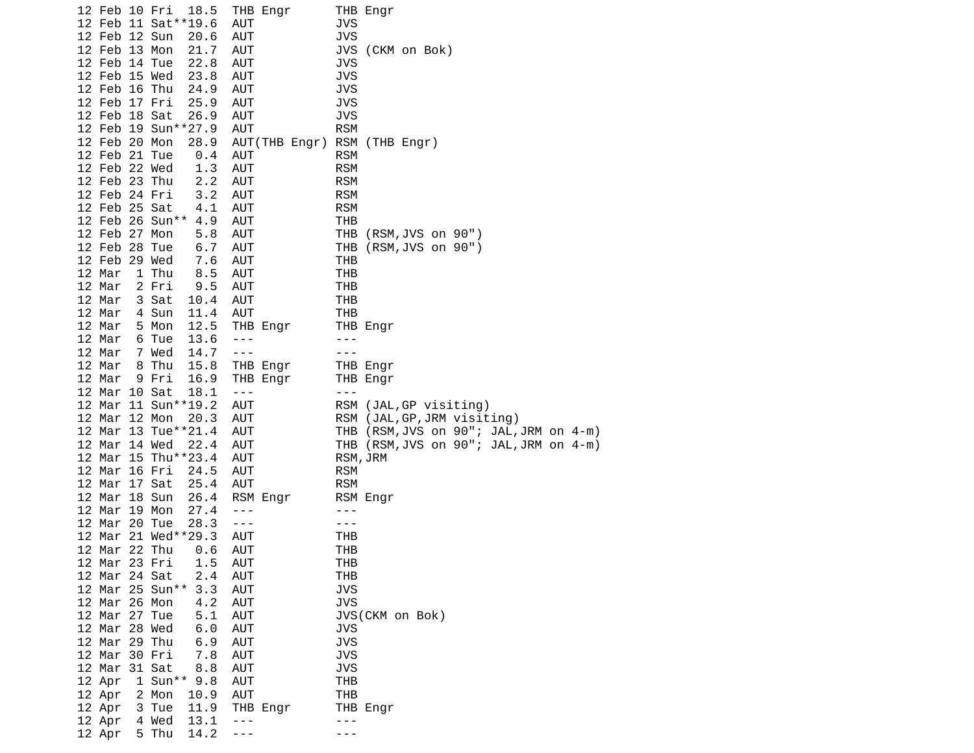| 12 Feb 10 Fri                  | 18.5<br>12 Feb 11 Sat ** 19.6  |            | AUT                  | THB Engr      | JVS               | THB Engr              |  |                             |                                        |  |
|--------------------------------|--------------------------------|------------|----------------------|---------------|-------------------|-----------------------|--|-----------------------------|----------------------------------------|--|
| 12 Feb 12 Sun                  | 20.6                           |            | AUT                  |               | <b>JVS</b>        |                       |  |                             |                                        |  |
| 12 Feb 13 Mon                  | 21.7                           |            | AUT                  |               |                   | JVS (CKM on Bok)      |  |                             |                                        |  |
| 12 Feb 14 Tue                  | 22.8                           |            | AUT                  |               | JVS               |                       |  |                             |                                        |  |
| 12 Feb 15 Wed                  | 23.8                           |            | AUT                  |               | <b>JVS</b>        |                       |  |                             |                                        |  |
| 12 Feb 16 Thu                  | 24.9                           |            | AUT                  |               | <b>JVS</b>        |                       |  |                             |                                        |  |
| 12 Feb 17 Fri                  | 25.9                           |            | AUT                  |               | <b>JVS</b>        |                       |  |                             |                                        |  |
| 12 Feb 18 Sat                  |                                | 26.9       | AUT                  |               | JVS               |                       |  |                             |                                        |  |
|                                | 12 Feb 19 Sun**27.9            |            | AUT                  |               | <b>RSM</b>        |                       |  |                             |                                        |  |
| 12 Feb 20 Mon                  |                                | 28.9       |                      | AUT(THB Engr) | <b>RSM</b>        | (THB Engr)            |  |                             |                                        |  |
| 12 Feb 21 Tue                  |                                | 0.4        | AUT                  |               | <b>RSM</b>        |                       |  |                             |                                        |  |
| 12 Feb 22 Wed                  |                                | 1.3        | AUT                  |               | <b>RSM</b>        |                       |  |                             |                                        |  |
| 12 Feb 23 Thu                  |                                | 2.2        | AUT                  |               | <b>RSM</b>        |                       |  |                             |                                        |  |
| 12 Feb 24 Fri                  |                                | 3.2        | AUT                  |               | <b>RSM</b>        |                       |  |                             |                                        |  |
| 12 Feb 25 Sat                  |                                | 4.1        | AUT                  |               | <b>RSM</b>        |                       |  |                             |                                        |  |
|                                | 12 Feb 26 Sun**                | 4.9        | AUT                  |               | THB               |                       |  |                             |                                        |  |
| 12 Feb 27 Mon                  |                                | 5.8        | AUT                  |               | THB               | (RSM, JVS on 90")     |  |                             |                                        |  |
| 12 Feb 28 Tue                  |                                | 6.7        | AUT                  |               |                   | THB (RSM, JVS on 90") |  |                             |                                        |  |
| 12 Feb 29 Wed                  | 7.6                            |            | AUT                  |               | THB               |                       |  |                             |                                        |  |
| 12 Mar                         | 1 Thu                          | 8.5        | AUT                  |               | THB               |                       |  |                             |                                        |  |
| 12 Mar                         | 2 Fri                          | 9.5        | AUT                  |               | THB               |                       |  |                             |                                        |  |
| 12 Mar<br>12 Mar               | 3 Sat<br>10.4<br>4 Sun<br>11.4 |            | AUT<br>AUT           |               | THB<br>THB        |                       |  |                             |                                        |  |
| 12 Mar                         | 5 Mon<br>12.5                  |            |                      | THB Engr      |                   | THB Engr              |  |                             |                                        |  |
| 12 Mar                         | 6 Tue<br>13.6                  |            | $\sim$ $\sim$ $\sim$ |               | $- - -$           |                       |  |                             |                                        |  |
| 12 Mar                         | 7 Wed<br>14.7                  |            | $\sim$ $\sim$ $\sim$ |               | $- - -$           |                       |  |                             |                                        |  |
| 12 Mar                         | 8 Thu<br>15.8                  |            |                      | THB Engr      |                   | THB Engr              |  |                             |                                        |  |
| 12 Mar                         | 9 Fri<br>16.9                  |            |                      | THB Engr      |                   | THB Engr              |  |                             |                                        |  |
| 12 Mar 10 Sat                  | 18.1                           |            | $\sim$ $ \sim$       |               | $- - -$           |                       |  |                             |                                        |  |
|                                | 12 Mar 11 Sun**19.2            |            | AUT                  |               |                   |                       |  | RSM (JAL, GP visiting)      |                                        |  |
| 12 Mar 12 Mon                  |                                | 20.3       | AUT                  |               |                   |                       |  | RSM (JAL, GP, JRM visiting) |                                        |  |
|                                | 12 Mar 13 Tue**21.4            |            | AUT                  |               |                   |                       |  |                             | THB (RSM, JVS on 90"; JAL, JRM on 4-m) |  |
| 12 Mar 14 Wed                  | 22.4                           |            | AUT                  |               |                   |                       |  |                             | THB (RSM, JVS on 90"; JAL, JRM on 4-m) |  |
|                                | 12 Mar 15 Thu**23.4            |            | AUT                  |               |                   | RSM, JRM              |  |                             |                                        |  |
| 12 Mar 16 Fri                  | 24.5                           |            | AUT                  |               | <b>RSM</b>        |                       |  |                             |                                        |  |
| 12 Mar 17 Sat                  | 25.4                           |            | AUT                  |               | <b>RSM</b>        |                       |  |                             |                                        |  |
| 12 Mar 18 Sun                  | 26.4                           |            |                      | RSM Engr      |                   | RSM Engr              |  |                             |                                        |  |
| 12 Mar 19 Mon                  |                                | 27.4       | $- - -$              |               | $- - -$           |                       |  |                             |                                        |  |
| 12 Mar 20 Tue                  | 28.3                           |            | $  -$                |               | - - -             |                       |  |                             |                                        |  |
|                                | 12 Mar 21 Wed**29.3            |            | AUT                  |               | THB               |                       |  |                             |                                        |  |
| 12 Mar 22 Thu                  |                                | 0.6        | AUT                  |               | THB               |                       |  |                             |                                        |  |
| 12 Mar 23 Fri<br>12 Mar 24 Sat |                                | 1.5<br>2.4 | AUT                  |               | THB               |                       |  |                             |                                        |  |
|                                | 12 Mar 25 Sun**                | 3.3        | AUT<br><b>AUT</b>    |               | THB<br><b>JVS</b> |                       |  |                             |                                        |  |
| 12 Mar 26 Mon                  |                                | 4.2        | AUT                  |               | <b>JVS</b>        |                       |  |                             |                                        |  |
| 12 Mar 27 Tue                  |                                | 5.1        | <b>AUT</b>           |               |                   | JVS(CKM on Bok)       |  |                             |                                        |  |
| 12 Mar 28 Wed                  |                                | 6.0        | <b>AUT</b>           |               | JVS               |                       |  |                             |                                        |  |
| 12 Mar 29 Thu                  |                                | 6.9        | AUT                  |               | <b>JVS</b>        |                       |  |                             |                                        |  |
| 12 Mar 30 Fri                  |                                | 7.8        | AUT                  |               | <b>JVS</b>        |                       |  |                             |                                        |  |
| 12 Mar 31 Sat                  |                                | 8.8        | AUT                  |               | <b>JVS</b>        |                       |  |                             |                                        |  |
| 12 Apr                         | 1 Sun** 9.8                    |            | <b>AUT</b>           |               | <b>THB</b>        |                       |  |                             |                                        |  |
| 12 Apr                         | 2 Mon                          | 10.9       | <b>AUT</b>           |               | <b>THB</b>        |                       |  |                             |                                        |  |
| 12 Apr                         | 11.9<br>3 Tue                  |            |                      | THB Engr      |                   | THB Engr              |  |                             |                                        |  |
| 12 Apr                         | 4 Wed                          | 13.1       | $- - -$              |               | ---               |                       |  |                             |                                        |  |
| 12 Apr                         | 5 Thu<br>14.2                  |            | - - -                |               | - - -             |                       |  |                             |                                        |  |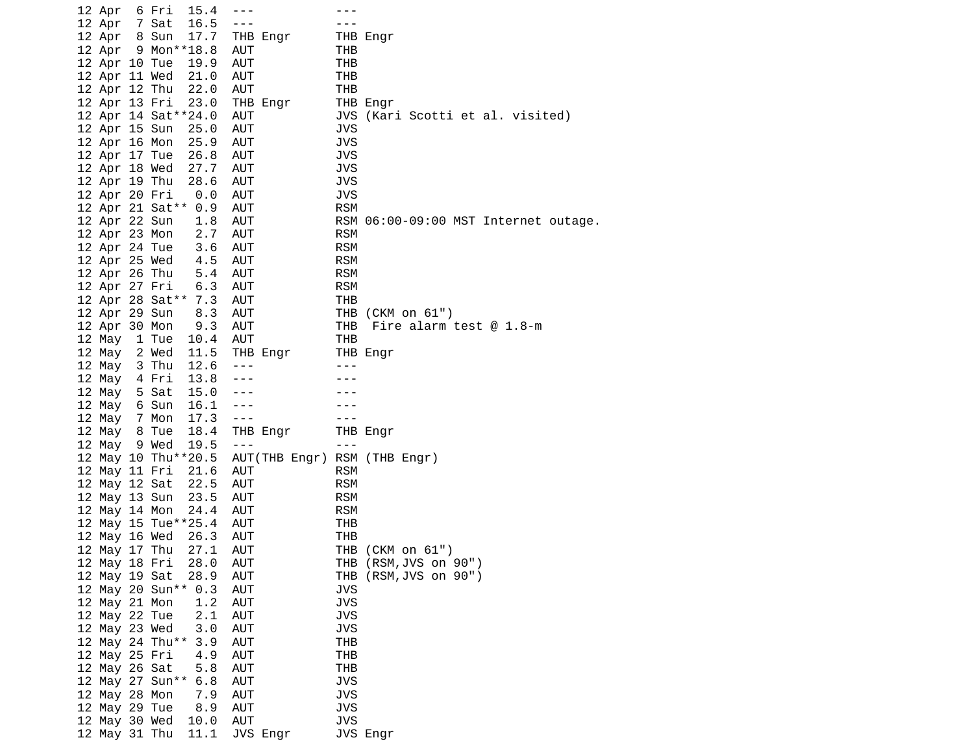|  | 12 Apr                         | 15.4<br>6 Fri                             | $- - - -$                    |                          |                                      |
|--|--------------------------------|-------------------------------------------|------------------------------|--------------------------|--------------------------------------|
|  | 12 Apr 7 Sat                   | 16.5                                      | $- - -$                      |                          |                                      |
|  | 12 Apr 8 Sun                   | 17.7                                      | THB Engr                     |                          | THB Engr                             |
|  |                                | 12 Apr 9 Mon**18.8                        | AUT                          | THB                      |                                      |
|  | 12 Apr 10 Tue                  | 19.9                                      | AUT                          | <b>THB</b>               |                                      |
|  | 12 Apr 11 Wed                  | 21.0                                      | AUT                          | THB                      |                                      |
|  | 12 Apr 12 Thu                  | 22.0                                      | AUT                          | THB                      |                                      |
|  | 12 Apr 13 Fri                  | 23.0                                      | THB Engr                     |                          | THB Engr                             |
|  |                                | 12 Apr 14 Sat ** 24.0                     | AUT                          |                          | JVS (Kari Scotti et al. visited)     |
|  | 12 Apr 15 Sun                  | 25.0                                      | AUT                          | <b>JVS</b>               |                                      |
|  | 12 Apr 16 Mon                  | 25.9                                      | AUT                          | <b>JVS</b>               |                                      |
|  | 12 Apr 17 Tue                  | 26.8                                      | AUT                          | <b>JVS</b>               |                                      |
|  | 12 Apr 18 Wed                  | 27.7                                      | AUT                          | <b>JVS</b>               |                                      |
|  | 12 Apr 19 Thu                  | 28.6                                      | AUT                          | <b>JVS</b>               |                                      |
|  | 12 Apr 20 Fri                  | $\theta$ . $\theta$                       | AUT                          | <b>JVS</b>               |                                      |
|  |                                | 12 Apr 21 Sat** 0.9                       | AUT                          | <b>RSM</b>               |                                      |
|  | 12 Apr 22 Sun                  | 1.8                                       | AUT                          |                          | RSM 06:00-09:00 MST Internet outage. |
|  | 12 Apr 23 Mon                  | 2.7                                       | AUT                          | <b>RSM</b>               |                                      |
|  |                                | 12 Apr 24 Tue                             | AUT                          | <b>RSM</b>               |                                      |
|  | 12 Apr 25 Wed                  | $\begin{array}{c} 3.6 \\ 4.5 \end{array}$ | AUT                          | <b>RSM</b>               |                                      |
|  | 12 Apr 26 Thu                  | 5.4                                       | AUT                          | <b>RSM</b>               |                                      |
|  | 12 Apr 27 Fri                  | 6.3                                       | AUT                          | <b>RSM</b>               |                                      |
|  |                                | 12 Apr 28 Sat** 7.3                       | AUT                          | THB                      |                                      |
|  | 12 Apr 29 Sun                  | 8.3<br>9.3                                | AUT                          |                          | THB (CKM on 61")                     |
|  | 12 Apr 30 Mon                  |                                           | AUT                          | THB                      | Fire alarm test $@$ 1.8-m            |
|  |                                | 12 May 1 Tue<br>10.4                      | AUT                          | THB                      |                                      |
|  | 12 May 2 Wed                   | 11.5                                      | THB Engr                     |                          | THB Engr                             |
|  | 12 May 3 Thu                   | 12.6                                      | $\sim$ $\sim$ $\sim$         | $- - -$                  |                                      |
|  | 12 May 4 Fri                   | 13.8                                      | $- - -$                      |                          |                                      |
|  | 12 May 5 Sat                   | 15.0                                      | $- - -$                      |                          |                                      |
|  | 12 May 6 Sun                   | 16.1                                      |                              |                          |                                      |
|  | 12 May 7 Mon                   | 17.3                                      | $\sim$ $\sim$ $\sim$         | $- - -$                  |                                      |
|  | 12 May 8 Tue                   | 18.4                                      | THB Engr                     |                          | THB Engr                             |
|  | 12 May 9 Wed                   | 19.5                                      | $\sim$ $\sim$ $\sim$         | $- - -$                  |                                      |
|  |                                | 12 May 10 Thu**20.5                       | AUT(THB Engr) RSM (THB Engr) |                          |                                      |
|  | 12 May 11 Fri                  | 21.6                                      | AUT                          | <b>RSM</b>               |                                      |
|  | 12 May 12 Sat                  | 22.5                                      | AUT                          | <b>RSM</b>               |                                      |
|  | 12 May 13 Sun                  | 23.5                                      | AUT                          | <b>RSM</b>               |                                      |
|  | 12 May 14 Mon                  | 24.4                                      | AUT                          | <b>RSM</b>               |                                      |
|  |                                | 12 May 15 Tue**25.4                       | AUT                          | THB                      |                                      |
|  | 12 May 16 Wed                  | 26.3                                      | AUT                          | THB                      |                                      |
|  | 12 May 17 Thu                  | 27.1                                      | AUT                          |                          | THB (CKM on 61")                     |
|  | 12 May 18 Fri                  | 28.0                                      | AUT                          |                          | THB (RSM, JVS on 90")                |
|  | 12 May 19 Sat                  | 28.9                                      | <b>AUT</b>                   | THB                      | (RSM, JVS on 90")                    |
|  |                                | 12 May 20 Sun** 0.3                       | AUT                          | JVS                      |                                      |
|  | 12 May 21 Mon                  | 1.2                                       | AUT                          | <b>JVS</b>               |                                      |
|  | 12 May 22 Tue                  | 2.1                                       | <b>AUT</b>                   | <b>JVS</b>               |                                      |
|  | 12 May 23 Wed                  | 3.0                                       | AUT                          | <b>JVS</b>               |                                      |
|  |                                | 12 May 24 Thu**<br>3.9                    | AUT                          | <b>THB</b>               |                                      |
|  | 12 May 25 Fri                  | 4.9                                       | AUT                          | THB                      |                                      |
|  | 12 May 26 Sat                  | 5.8                                       | <b>AUT</b>                   | <b>THB</b>               |                                      |
|  |                                | 12 May 27 Sun**<br>6.8                    | <b>AUT</b>                   | <b>JVS</b><br><b>JVS</b> |                                      |
|  | 12 May 28 Mon                  | 7.9                                       | <b>AUT</b>                   | <b>JVS</b>               |                                      |
|  | 12 May 29 Tue                  | 8.9                                       | AUT<br>AUT                   | <b>JVS</b>               |                                      |
|  | 12 May 30 Wed<br>12 May 31 Thu | 10.0<br>11.1                              | JVS Engr                     |                          | JVS Engr                             |
|  |                                |                                           |                              |                          |                                      |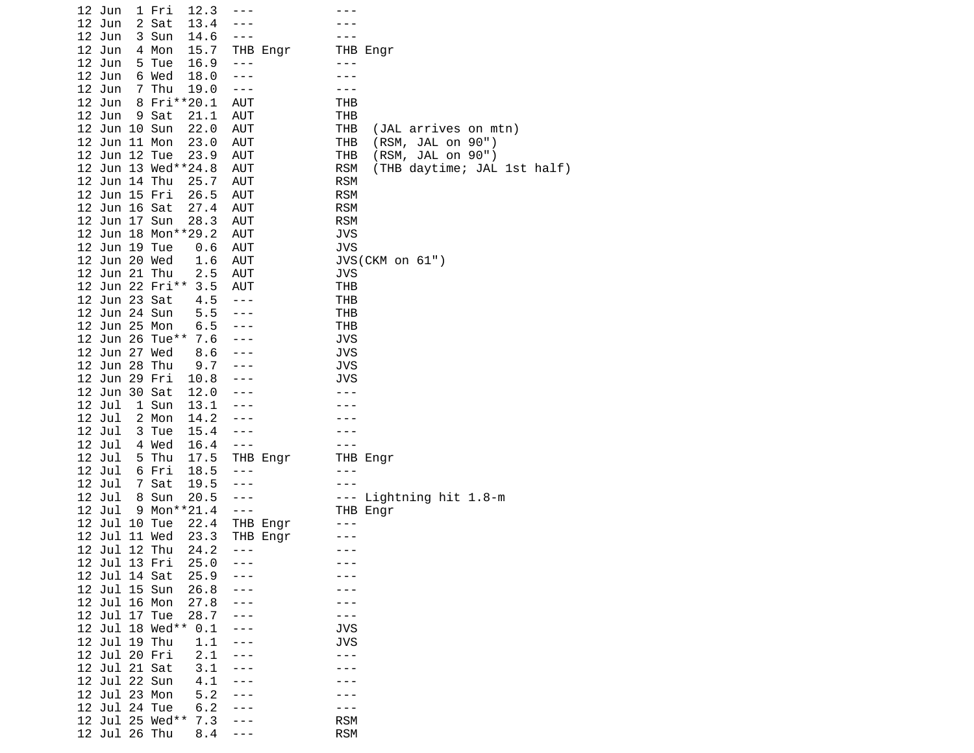| 12.3<br>12 Jun<br>1 Fri |            |                                           |
|-------------------------|------------|-------------------------------------------|
| 12 Jun<br>2 Sat<br>13.4 |            |                                           |
| 12 Jun<br>3 Sun<br>14.6 | ---        |                                           |
| 12 Jun<br>4 Mon<br>15.7 | THB Engr   | THB Engr                                  |
| 12 Jun<br>5 Tue<br>16.9 | $- - -$    |                                           |
|                         |            |                                           |
| 12 Jun<br>6 Wed<br>18.0 | $- - -$    |                                           |
| 12 Jun<br>7 Thu<br>19.0 | $- - -$    |                                           |
| 12 Jun<br>8 Fri**20.1   | <b>AUT</b> | THB                                       |
| 12 Jun<br>9 Sat<br>21.1 | AUT        | THB                                       |
| 12 Jun 10 Sun<br>22.0   | AUT        | THB<br>(JAL arrives on mtn)               |
| 12 Jun 11 Mon<br>23.0   | <b>AUT</b> | THB<br>(RSM, JAL on 90")                  |
| 12 Jun 12 Tue<br>23.9   | <b>AUT</b> | THB<br>(RSM, JAL on 90")                  |
| 12 Jun 13 Wed**24.8     | <b>AUT</b> | <b>RSM</b><br>(THB daytime; JAL 1st half) |
| 12 Jun 14 Thu<br>25.7   | <b>AUT</b> | <b>RSM</b>                                |
| 12 Jun 15 Fri<br>26.5   | <b>AUT</b> | <b>RSM</b>                                |
| 12 Jun 16 Sat<br>27.4   | <b>AUT</b> | <b>RSM</b>                                |
| 12 Jun 17 Sun<br>28.3   | <b>AUT</b> | <b>RSM</b>                                |
| 12 Jun 18 Mon**29.2     | <b>AUT</b> | <b>JVS</b>                                |
|                         |            |                                           |
| 12 Jun 19 Tue<br>0.6    | <b>AUT</b> | <b>JVS</b>                                |
| 12 Jun 20 Wed<br>1.6    | <b>AUT</b> | JVS(CKM on 61")                           |
| 12 Jun 21 Thu<br>2.5    | <b>AUT</b> | JVS                                       |
| 12 Jun 22 Fri**<br>3.5  | AUT        | THB                                       |
| 12 Jun 23 Sat<br>4.5    | $- - -$    | THB                                       |
| 12 Jun 24 Sun<br>5.5    | $- - -$    | THB                                       |
| 12 Jun 25 Mon<br>6.5    |            | <b>THB</b>                                |
| 12 Jun 26 Tue**<br>7.6  |            | JVS                                       |
| 12 Jun 27 Wed<br>8.6    |            | <b>JVS</b>                                |
| 12 Jun 28 Thu<br>9.7    |            | <b>JVS</b>                                |
| 12 Jun 29 Fri<br>10.8   |            | JVS                                       |
| 12 Jun 30 Sat<br>12.0   |            |                                           |
| 12 Jul<br>1 Sun<br>13.1 |            |                                           |
| 12 Jul<br>2 Mon<br>14.2 |            |                                           |
| 12 Jul<br>3 Tue<br>15.4 | ---        |                                           |
| 12 Jul<br>4 Wed<br>16.4 | $- - -$    | - - -                                     |
| 12 Jul<br>5 Thu<br>17.5 | THB Engr   | THB Engr                                  |
| 12 Jul<br>6 Fri<br>18.5 | $- - -$    | - - -                                     |
| 12 Jul<br>7 Sat<br>19.5 |            |                                           |
| 8 Sun<br>20.5<br>12 Jul | $- - -$    | Lightning hit 1.8-m<br>---                |
| 12 Jul<br>9 Mon**21.4   | $- - -$    | THB Engr                                  |
| 12 Jul 10 Tue<br>22.4   | THB Engr   |                                           |
| 12 Jul 11 Wed<br>23.3   | THB Engr   |                                           |
| 12 Jul 12 Thu<br>24.2   | $- - -$    | - - -                                     |
| 12 Jul 13 Fri<br>25.0   |            |                                           |
| 12 Jul 14 Sat<br>25.9   |            |                                           |
| 12 Jul 15 Sun<br>26.8   |            |                                           |
| 12 Jul 16 Mon<br>27.8   |            |                                           |
| 12 Jul 17 Tue<br>28.7   |            |                                           |
| 12 Jul 18 Wed**         |            | <b>JVS</b>                                |
| 0.1                     |            |                                           |
| 12 Jul 19 Thu<br>1.1    |            | <b>JVS</b>                                |
| 12 Jul 20 Fri<br>2.1    |            | - - -                                     |
| 12 Jul 21 Sat<br>3.1    |            |                                           |
| 12 Jul 22 Sun<br>4.1    |            |                                           |
| 12 Jul 23 Mon<br>5.2    |            |                                           |
| 12 Jul 24 Tue<br>6.2    |            |                                           |
| 12 Jul 25 Wed**<br>7.3  |            | <b>RSM</b>                                |
| 12 Jul 26 Thu<br>8.4    |            | <b>RSM</b>                                |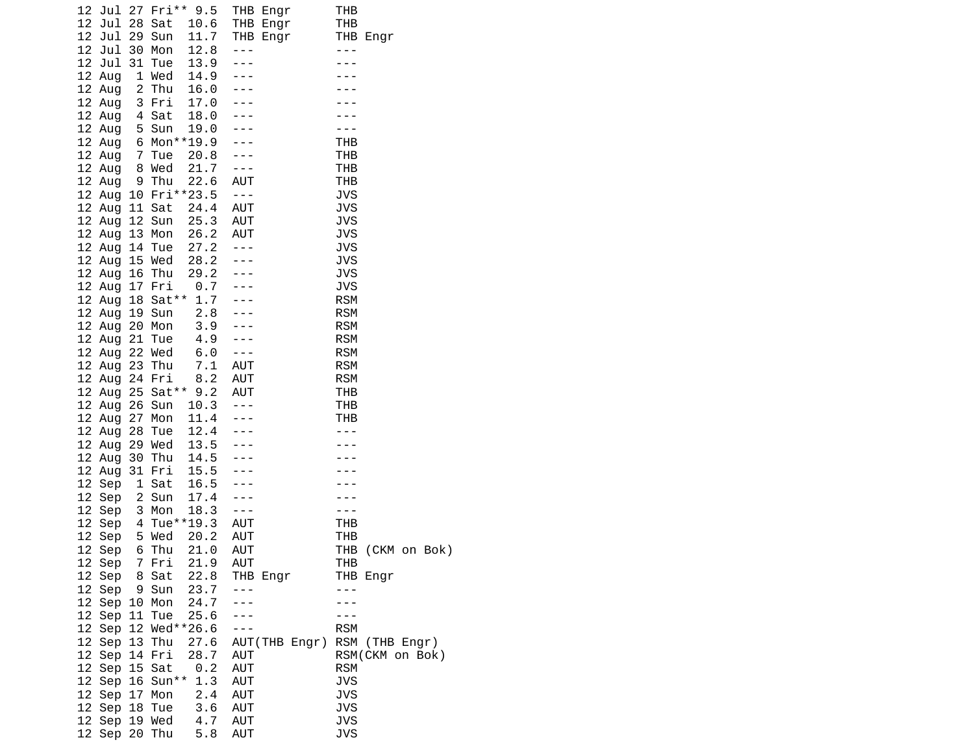| 12 Jul 27 Fri** 9.5                                                 | THB Engr                      | THB                      |
|---------------------------------------------------------------------|-------------------------------|--------------------------|
| 12 Jul 28<br>10.6<br>Sat                                            | THB Engr                      | THB                      |
| 12 <sup>2</sup><br>Jul 29<br>11.7<br>Sun<br>12<br>30<br>12.8<br>Mon | THB Engr                      | THB Engr<br>$- - -$      |
| Jul<br>Jul<br>13.9<br>12<br>31<br>Tue                               | $- - -$<br>$- - -$            |                          |
| 1 Wed<br>14.9<br>12 Aug                                             |                               |                          |
| 12 Aug<br>2 Thu<br>16.0                                             |                               |                          |
| 12 Aug<br>3 Fri<br>17.0                                             |                               |                          |
| 12 Aug<br>18.0<br>4 Sat                                             |                               |                          |
| 5 Sun<br>19.0<br>12 Aug                                             |                               |                          |
| 6 Mon**19.9<br>12 Aug                                               |                               | <b>THB</b>               |
| 12 Aug<br>7 Tue<br>20.8                                             | $\perp$ $\perp$ $\perp$       | <b>THB</b>               |
| 12 Aug<br>8 Wed<br>21.7                                             | $- - -$                       | <b>THB</b>               |
| Thu<br>22.6<br>12 Aug<br>9                                          | <b>AUT</b>                    | <b>THB</b>               |
| 10 Fri**23.5<br>12 Aug                                              | $- - -$                       | <b>JVS</b>               |
| 12 Aug 11 Sat<br>24.4                                               | <b>AUT</b>                    | <b>JVS</b>               |
| 25.3<br>12 Aug 12 Sun                                               | <b>AUT</b>                    | <b>JVS</b>               |
| 12 Aug<br>13<br>Mon<br>26.2                                         | <b>AUT</b>                    | <b>JVS</b>               |
| 27.2<br>12 Aug<br>14 Tue                                            | $- - -$                       | <b>JVS</b>               |
| 28.2<br>15 Wed<br>12 Aug                                            |                               | <b>JVS</b>               |
| 29.2<br>12 Aug<br>16 Thu                                            | $\sim$ $\sim$ $\sim$          | <b>JVS</b>               |
| $\pmb{\circ}$ . 7<br>12 Aug<br>17 Fri<br>18 Sat** 1.7               |                               | <b>JVS</b>               |
| 12 Aug<br>2.8<br>12 Aug                                             | $\frac{1}{2}$ = $\frac{1}{2}$ | <b>RSM</b><br><b>RSM</b> |
| 19 Sun<br>3.9<br>12 Aug 20 Mon                                      | $\omega = \omega$             | <b>RSM</b>               |
| 12 Aug 21 Tue<br>4.9                                                | $\frac{1}{2}$ = $\frac{1}{2}$ | <b>RSM</b>               |
| 22 Wed<br>6.0<br>12 Aug                                             | $\perp$ $\perp$ $\perp$       | <b>RSM</b>               |
| 23 Thu<br>7.1<br>12 Aug                                             | <b>AUT</b>                    | <b>RSM</b>               |
| 24 Fri<br>8.2<br>12 Aug                                             | <b>AUT</b>                    | <b>RSM</b>               |
| 12 Aug 25 Sat** 9.2                                                 | <b>AUT</b>                    | <b>THB</b>               |
| 10.3<br>12 Aug 26 Sun                                               | $\sim$ $\sim$ $\sim$          | THB                      |
| 27<br>Mon<br>11.4<br>12 Aug                                         | $- - -$                       | <b>THB</b>               |
| 28 Tue<br>12.4<br>12 Aug                                            |                               |                          |
| 13.5<br>12 Aug<br>29 Wed                                            |                               |                          |
| 14.5<br>12 Aug<br>30 Thu                                            |                               |                          |
| 12 Aug<br>15.5<br>31 Fri                                            |                               |                          |
| 16.5<br>12 Sep<br>$\mathbf{1}$<br>Sat                               |                               |                          |
| 17.4<br>12 Sep<br>2<br>Sun                                          |                               |                          |
| 12 Sep<br>18.3<br>3<br>Mon                                          | $  -$                         |                          |
| Tue**19.3<br>12 Sep<br>4                                            | <b>AUT</b>                    | THB                      |
| 12 Sep<br>5 Wed<br>20.2                                             | AUT                           | <b>THB</b>               |
| Thu<br>12 Sep<br>6<br>21.0                                          | AUT                           | (CKM on Bok)<br>THB      |
| 7 Fri<br>21.9<br>12 Sep                                             | AUT                           | THB                      |
| 22.8<br>12 Sep<br>8 Sat<br>12 Sep<br>23.7                           | THB Engr                      | THB Engr                 |
| 9 Sun<br>12 Sep 10 Mon<br>24.7                                      |                               | - - -                    |
| 12 Sep 11 Tue<br>25.6                                               |                               |                          |
| 12 Sep 12 Wed**26.6                                                 |                               | <b>RSM</b>               |
| 12 Sep 13 Thu<br>27.6                                               | AUT(THB Engr)                 | RSM (THB Engr)           |
| 12 Sep 14 Fri<br>28.7                                               | <b>AUT</b>                    | RSM(CKM on Bok)          |
| 12 Sep 15 Sat<br>0.2                                                | AUT                           | <b>RSM</b>               |
| 12 Sep 16 Sun**<br>1.3                                              | AUT                           | <b>JVS</b>               |
| 2.4<br>12 Sep 17 Mon                                                | <b>AUT</b>                    | <b>JVS</b>               |
| 12 Sep 18 Tue<br>3.6                                                | <b>AUT</b>                    | <b>JVS</b>               |
| 12 Sep 19 Wed<br>4.7                                                | AUT                           | <b>JVS</b>               |
| 12 Sep 20 Thu<br>5.8                                                | AUT                           | <b>JVS</b>               |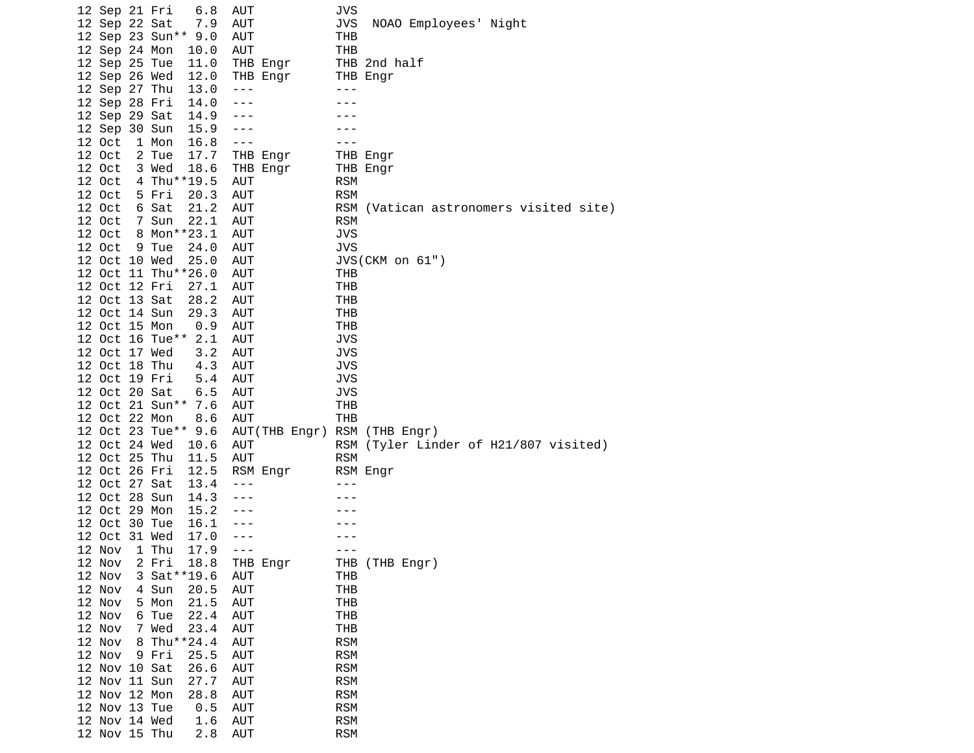| 12 Sep 21 Fri |   |                 | 6.8                 | AUT               | JVS        |                                    |
|---------------|---|-----------------|---------------------|-------------------|------------|------------------------------------|
| 12 Sep 22 Sat |   |                 | 7.9                 | <b>AUT</b>        | <b>JVS</b> | NOAO Employees' Night              |
|               |   | 12 Sep 23 Sun** | 9.0                 | <b>AUT</b>        | THB        |                                    |
| 12 Sep 24 Mon |   |                 | 10.0                | AUT               | <b>THB</b> |                                    |
| 12 Sep 25 Tue |   |                 | 11.0                | THB Engr          |            | THB 2nd half                       |
| 12 Sep 26 Wed |   |                 | 12.0                | THB Engr          |            | THB Engr                           |
| 12 Sep 27 Thu |   |                 | 13.0                | $- - -$           | $- - -$    |                                    |
| 12 Sep 28 Fri |   |                 | 14.0                | ---               |            |                                    |
| 12 Sep 29 Sat |   |                 | 14.9                | ---               |            |                                    |
| 12 Sep 30 Sun |   |                 | 15.9                | $- - -$           |            |                                    |
| 12 Oct        |   | 1 Mon           | 16.8                | $- - -$           |            |                                    |
| 12 Oct        |   | 2 Tue           | 17.7                | THB Engr          |            | THB Engr                           |
| 12 Oct        |   | 3 Wed           | 18.6                | THB Engr          |            | THB Engr                           |
| 12 Oct        |   |                 | 4 Thu**19.5         | AUT               | <b>RSM</b> |                                    |
| 12 Oct        |   | 5 Fri           | 20.3                | <b>AUT</b>        | <b>RSM</b> |                                    |
| 12 Oct        |   | 6 Sat           | 21.2                | AUT               | RSM        | (Vatican astronomers visited site) |
| 12 Oct        |   | 7 Sun           | 22.1                | AUT               | <b>RSM</b> |                                    |
| 12 Oct        |   |                 | 8 Mon**23.1         | <b>AUT</b>        | <b>JVS</b> |                                    |
| 12 Oct        |   | 9 Tue           | 24.0                | AUT               | <b>JVS</b> |                                    |
| 12 Oct 10 Wed |   |                 | 25.0                | <b>AUT</b>        |            | JVS(CKM on 61")                    |
|               |   |                 | 12 Oct 11 Thu**26.0 | AUT               | THB        |                                    |
| 12 Oct 12 Fri |   |                 | 27.1                | <b>AUT</b>        | THB        |                                    |
| 12 Oct 13 Sat |   |                 | 28.2                | AUT               | THB        |                                    |
| 12 Oct 14 Sun |   |                 | 29.3                | <b>AUT</b>        | <b>THB</b> |                                    |
| 12 Oct 15 Mon |   |                 | 0.9                 | <b>AUT</b>        | THB        |                                    |
|               |   | 12 Oct 16 Tue** | 2.1                 | <b>AUT</b>        | <b>JVS</b> |                                    |
| 12 Oct 17 Wed |   |                 | 3.2                 | AUT               | <b>JVS</b> |                                    |
| 12 Oct 18 Thu |   |                 | 4.3                 | <b>AUT</b>        | <b>JVS</b> |                                    |
| 12 Oct 19 Fri |   |                 | 5.4                 | <b>AUT</b>        | <b>JVS</b> |                                    |
| 12 Oct 20 Sat |   |                 | 6.5                 | <b>AUT</b>        | <b>JVS</b> |                                    |
|               |   | 12 Oct 21 Sun** | 7.6                 | AUT               | THB        |                                    |
| 12 Oct 22 Mon |   |                 | 8.6                 | <b>AUT</b>        | <b>THB</b> |                                    |
|               |   |                 | 12 Oct 23 Tue** 9.6 | AUT(THB Engr) RSM |            | (THB Engr)                         |
| 12 Oct 24 Wed |   |                 | 10.6                | AUT               | RSM        | (Tyler Linder of H21/807 visited)  |
| 12 Oct 25 Thu |   |                 | 11.5                | <b>AUT</b>        | <b>RSM</b> |                                    |
| 12 Oct 26 Fri |   |                 | 12.5                | RSM Engr          |            | RSM Engr                           |
| 12 Oct 27 Sat |   |                 | 13.4                | - - -             |            |                                    |
| 12 Oct 28 Sun |   |                 | 14.3                | $- - -$           |            |                                    |
| 12 Oct 29 Mon |   |                 | 15.2                | $- - -$           |            |                                    |
| 12 Oct 30 Tue |   |                 | 16.1                | $- - -$           |            |                                    |
| 12 Oct 31 Wed |   |                 | 17.0                | ---               |            |                                    |
| 12 Nov        |   | 1 Thu           | 17.9                | $- - -$           | $- - -$    |                                    |
| 12 Nov        |   | 2 Fri           | 18.8                | THB Engr          |            | THB (THB Engr)                     |
| 12 Nov        |   |                 | 3 Sat ** 19.6       | AUT               | THB        |                                    |
| 12 Nov        |   | 4 Sun           | 20.5                | AUT               | <b>THB</b> |                                    |
| 12 Nov        |   | 5 Mon           | 21.5                | AUT               | <b>THB</b> |                                    |
| 12 Nov        |   | 6 Tue           | 22.4                | AUT               | <b>THB</b> |                                    |
| 12 Nov        | 7 | Wed             | 23.4                | <b>AUT</b>        | <b>THB</b> |                                    |
| 12 Nov        |   |                 | 8 Thu**24.4         | AUT               | <b>RSM</b> |                                    |
| 12 Nov        |   | 9 Fri           | 25.5                | AUT               | <b>RSM</b> |                                    |
| 12 Nov 10 Sat |   |                 | 26.6                | AUT               | <b>RSM</b> |                                    |
| 12 Nov 11 Sun |   |                 | 27.7                | AUT               | <b>RSM</b> |                                    |
| 12 Nov 12 Mon |   |                 | 28.8                | AUT               | <b>RSM</b> |                                    |
| 12 Nov 13 Tue |   |                 | 0.5                 | <b>AUT</b>        | <b>RSM</b> |                                    |
| 12 Nov 14 Wed |   |                 | 1.6                 | AUT               | <b>RSM</b> |                                    |
| 12 Nov 15 Thu |   |                 | 2.8                 | AUT               | <b>RSM</b> |                                    |
|               |   |                 |                     |                   |            |                                    |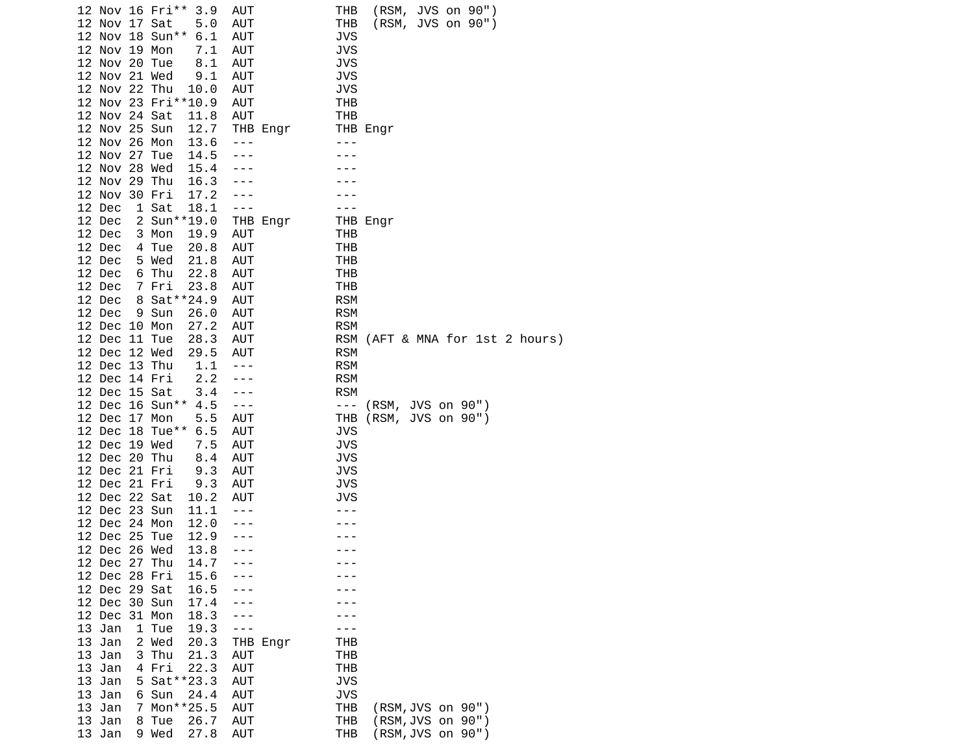|                        | 12 Nov 16 Fri**<br>3.9         | AUT        | (RSM, JVS on 90")<br>THB                                          |
|------------------------|--------------------------------|------------|-------------------------------------------------------------------|
|                        | 12 Nov 17 Sat<br>5.0           | <b>AUT</b> | (RSM, JVS on 90")<br>THB                                          |
|                        | 12 Nov 18 Sun**<br>6.1         | <b>AUT</b> | <b>JVS</b>                                                        |
|                        | 12 Nov 19 Mon<br>7.1           | AUT        | JVS                                                               |
|                        | 12 Nov 20 Tue<br>8.1           | <b>AUT</b> | <b>JVS</b>                                                        |
|                        | 12 Nov 21 Wed<br>9.1           | AUT        | <b>JVS</b>                                                        |
|                        | 12 Nov 22 Thu<br>10.0          | AUT        | JVS                                                               |
|                        | 12 Nov 23 Fri**10.9            | AUT        | THB                                                               |
|                        | 12 Nov 24 Sat<br>11.8          | <b>AUT</b> | <b>THB</b>                                                        |
|                        | 12 Nov 25 Sun<br>12.7          |            | THB Engr                                                          |
|                        |                                | THB Engr   | - - -                                                             |
|                        | 12 Nov 26 Mon<br>13.6          | ---        |                                                                   |
|                        | 12 Nov 27 Tue<br>14.5          |            |                                                                   |
|                        | 12 Nov 28 Wed<br>15.4          |            |                                                                   |
|                        | 12 Nov 29 Thu<br>16.3          |            |                                                                   |
|                        | 12 Nov 30 Fri<br>17.2          |            |                                                                   |
| 12 Dec                 | 1 Sat<br>18.1                  | $- - -$    |                                                                   |
| 12 Dec                 | 2 Sun**19.0                    | THB Engr   | THB Engr                                                          |
| 12 Dec                 | 3 Mon<br>19.9                  | AUT        | THB                                                               |
| 12 Dec                 | 20.8<br>4 Tue                  | <b>AUT</b> | THB                                                               |
| 12 Dec                 | 5 Wed<br>21.8                  | AUT        | THB                                                               |
| 12 Dec                 | 22.8<br>6 Thu                  | <b>AUT</b> | THB                                                               |
| 12 Dec                 | 7 Fri<br>23.8                  | AUT        | THB                                                               |
| 12 Dec                 | 8 Sat ** 24.9                  | <b>AUT</b> | <b>RSM</b>                                                        |
| 12 Dec                 | 9 Sun<br>26.0                  | <b>AUT</b> | <b>RSM</b>                                                        |
|                        | 12 Dec 10 Mon<br>27.2          | <b>AUT</b> | <b>RSM</b>                                                        |
|                        | 12 Dec 11 Tue<br>28.3          | AUT        | RSM<br>(AFT & MNA for 1st 2 hours)                                |
|                        | 12 Dec 12 Wed<br>29.5          | <b>AUT</b> | <b>RSM</b>                                                        |
|                        | 1.1<br>12 Dec 13 Thu           | $- - -$    | <b>RSM</b>                                                        |
|                        | 2.2<br>12 Dec 14 Fri           | ---        | <b>RSM</b>                                                        |
|                        | 3.4<br>12 Dec 15 Sat           | $- - -$    | <b>RSM</b>                                                        |
|                        | 12 Dec 16 Sun**<br>4.5         | $- - -$    | (RSM, JVS on 90")<br>$- - -$                                      |
|                        | 12 Dec 17 Mon<br>5.5           | <b>AUT</b> | (RSM, JVS on 90")<br>THB                                          |
|                        | 12 Dec 18 Tue**<br>6.5         | <b>AUT</b> | <b>JVS</b>                                                        |
|                        | 7.5<br>12 Dec 19 Wed           | AUT        | <b>JVS</b>                                                        |
|                        | 12 Dec 20 Thu<br>8.4           | AUT        | JVS                                                               |
|                        | 12 Dec 21 Fri<br>9.3           | <b>AUT</b> | JVS                                                               |
|                        | 12 Dec 21 Fri<br>9.3           | <b>AUT</b> | <b>JVS</b>                                                        |
|                        | 12 Dec 22 Sat<br>10.2          | AUT        | JVS                                                               |
|                        | 12 Dec 23 Sun<br>11.1          | $- - -$    |                                                                   |
|                        | 12 Dec 24 Mon<br>12.0          |            |                                                                   |
|                        | 12 Dec 25 Tue<br>12.9          |            |                                                                   |
|                        | 13.8<br>12 Dec 26 Wed          | $- - -$    |                                                                   |
|                        | 14.7<br>12 Dec 27 Thu          |            |                                                                   |
|                        | 12 Dec 28 Fri<br>15.6          |            |                                                                   |
|                        | 12 Dec 29 Sat<br>16.5          |            |                                                                   |
|                        | 12 Dec 30 Sun<br>17.4          |            |                                                                   |
|                        | 12 Dec 31 Mon<br>18.3          |            |                                                                   |
| 13 Jan                 | 1 Tue<br>19.3                  | - -        |                                                                   |
| 13 Jan                 | 2 Wed<br>20.3                  | THB Engr   | THB                                                               |
| 13 Jan                 | 3 Thu<br>21.3                  | AUT        | THB                                                               |
| 13<br>Jan              | 4 Fri<br>22.3                  | <b>AUT</b> | THB                                                               |
| 13<br>Jan              | 5 Sat ** 23.3                  | <b>AUT</b> | <b>JVS</b>                                                        |
|                        |                                | <b>AUT</b> | <b>JVS</b>                                                        |
| 13 Jan                 | 6 Sun<br>24.4                  |            |                                                                   |
| 13 Jan                 | 7 Mon**25.5                    | <b>AUT</b> | <b>THB</b><br>(RSM, JVS on 90")                                   |
| 13<br>Jan<br>13<br>Jan | 8 Tue<br>26.7<br>9 Wed<br>27.8 | AUT<br>AUT | <b>THB</b><br>(RSM,JVS on 90")<br><b>THB</b><br>(RSM, JVS on 90") |
|                        |                                |            |                                                                   |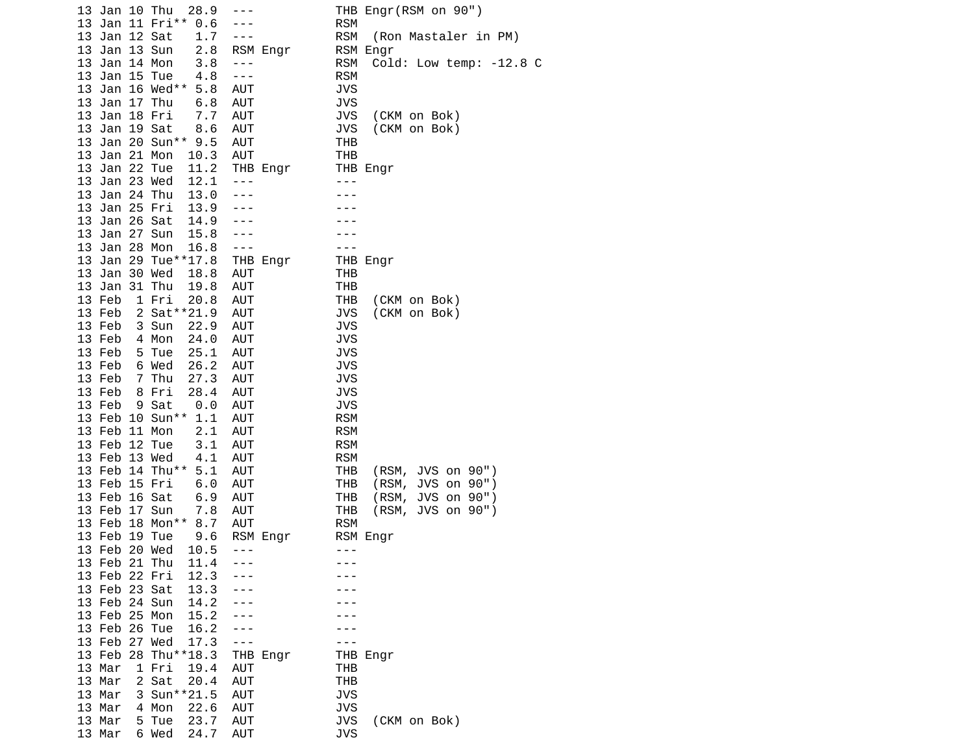| 13 Jan 10 Thu           | 28.9 | ---                     | THB Engr(RSM on 90")               |
|-------------------------|------|-------------------------|------------------------------------|
| 13 Jan 11 Fri**         | 0.6  | $- - -$                 | <b>RSM</b>                         |
| 13 Jan 12 Sat           | 1.7  | $- - -$                 | <b>RSM</b><br>(Ron Mastaler in PM) |
| 13 Jan 13 Sun           | 2.8  | RSM Engr                | RSM Engr                           |
| 13 Jan 14 Mon           | 3.8  | $- - -$                 | RSM<br>Cold: Low temp: -12.8 C     |
| 13 Jan 15 Tue           | 4.8  | $\perp$ $\perp$ $\perp$ | <b>RSM</b>                         |
| 13 Jan 16 Wed**         | 5.8  | <b>AUT</b>              | <b>JVS</b>                         |
| 13 Jan 17 Thu           | 6.8  | <b>AUT</b>              | JVS                                |
| 13 Jan 18 Fri           | 7.7  | AUT                     | <b>JVS</b><br>(CKM on Bok)         |
| 13 Jan 19 Sat           | 8.6  | AUT                     | <b>JVS</b><br>(CKM on Bok)         |
| 13 Jan 20 Sun** 9.5     |      | <b>AUT</b>              | THB                                |
| 13 Jan 21 Mon           | 10.3 | <b>AUT</b>              | THB                                |
| 13 Jan 22 Tue           | 11.2 |                         | THB Engr                           |
| 13 Jan 23 Wed           | 12.1 | THB Engr<br>$- - -$     | $- - -$                            |
| 13 Jan 24 Thu           | 13.0 |                         |                                    |
|                         |      | $- - -$                 |                                    |
| 13 Jan 25 Fri           | 13.9 | $- - -$                 |                                    |
| 13 Jan 26 Sat           | 14.9 |                         |                                    |
| 13 Jan 27 Sun           | 15.8 | ---                     |                                    |
| 13 Jan 28 Mon           | 16.8 | $- - -$                 | $- - -$                            |
| 13 Jan 29 Tue**17.8     |      | THB Engr                | THB Engr                           |
| 13 Jan 30 Wed           | 18.8 | <b>AUT</b>              | THB                                |
| 13 Jan 31 Thu           | 19.8 | <b>AUT</b>              | THB                                |
| 13 Feb<br>1 Fri         | 20.8 | AUT                     | <b>THB</b><br>(CKM on Bok)         |
| 13 Feb<br>2 Sat ** 21.9 |      | <b>AUT</b>              | <b>JVS</b><br>(CKM on Bok)         |
| 13 Feb<br>3 Sun         | 22.9 | AUT                     | JVS                                |
| 13 Feb<br>4 Mon         | 24.0 | AUT                     | <b>JVS</b>                         |
| 13 Feb<br>5 Tue         | 25.1 | <b>AUT</b>              | JVS                                |
| 6 Wed<br>13 Feb         | 26.2 | AUT                     | <b>JVS</b>                         |
| 7 Thu<br>13 Feb         | 27.3 | <b>AUT</b>              | <b>JVS</b>                         |
| 13 Feb<br>8 Fri         | 28.4 | <b>AUT</b>              | <b>JVS</b>                         |
| 13 Feb<br>9 Sat         | 0.0  | <b>AUT</b>              | JVS                                |
| 13 Feb 10 Sun** 1.1     |      | AUT                     | <b>RSM</b>                         |
| 13 Feb 11 Mon           | 2.1  | <b>AUT</b>              | <b>RSM</b>                         |
| 13 Feb 12 Tue           | 3.1  | AUT                     | <b>RSM</b>                         |
| 13 Feb 13 Wed           | 4.1  | <b>AUT</b>              | <b>RSM</b>                         |
| 13 Feb 14 Thu**         | 5.1  | <b>AUT</b>              | <b>THB</b><br>(RSM, JVS on 90")    |
| 13 Feb 15 Fri           | 6.0  | AUT                     | <b>THB</b><br>JVS on 90")<br>(RSM, |
| 13 Feb 16 Sat           | 6.9  | <b>AUT</b>              | <b>THB</b><br>(RSM,<br>JVS on 90") |
| 13 Feb 17 Sun           | 7.8  | <b>AUT</b>              | <b>THB</b><br>(RSM, JVS on 90")    |
| 13 Feb 18 Mon**         | 8.7  | <b>AUT</b>              | <b>RSM</b>                         |
| 13 Feb 19 Tue           | 9.6  | RSM Engr                | RSM Engr                           |
| 13 Feb 20 Wed           | 10.5 | $- - -$                 | $- - -$                            |
| 13 Feb 21 Thu           | 11.4 |                         |                                    |
| 13 Feb 22 Fri           | 12.3 |                         |                                    |
| 13 Feb 23 Sat           | 13.3 |                         |                                    |
| 13 Feb 24 Sun           | 14.2 |                         |                                    |
| 13 Feb 25 Mon           | 15.2 | - - -                   |                                    |
| 13 Feb 26 Tue           | 16.2 | ---                     |                                    |
| 13 Feb 27 Wed           | 17.3 | $- - -$                 |                                    |
| 13 Feb 28 Thu**18.3     |      |                         |                                    |
| 13 Mar<br>1 Fri         |      | THB Engr<br><b>AUT</b>  | THB Engr                           |
|                         | 19.4 |                         | THB                                |
| 2 Sat<br>13 Mar         | 20.4 | <b>AUT</b>              | <b>THB</b>                         |
| 13 Mar<br>3 Sun**21.5   |      | <b>AUT</b>              | <b>JVS</b>                         |
| 13 Mar<br>4 Mon         | 22.6 | <b>AUT</b>              | <b>JVS</b>                         |
| 13 Mar<br>5 Tue         | 23.7 | AUT                     | JVS<br>(CKM on Bok)                |
| 13 Mar<br>6 Wed         | 24.7 | AUT                     | <b>JVS</b>                         |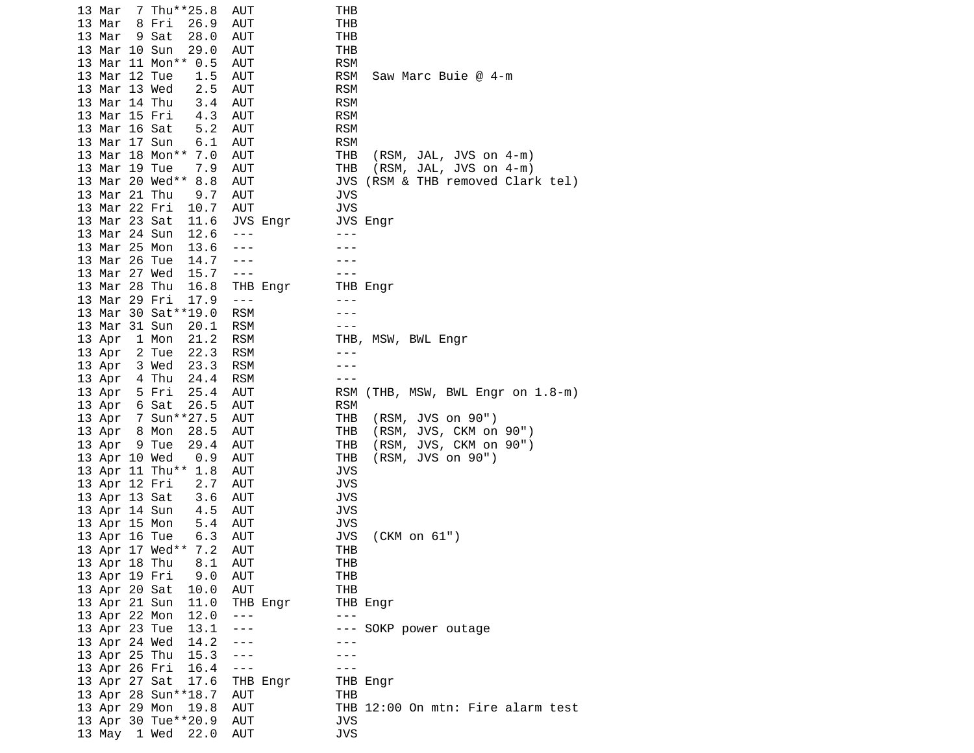| 7 Thu**25.8<br>13 Mar   | AUT            | THB                                         |
|-------------------------|----------------|---------------------------------------------|
| 13 Mar<br>8 Fri<br>26.9 | AUT            | THB                                         |
| 13 Mar<br>9 Sat<br>28.0 | AUT            | <b>THB</b>                                  |
| 13 Mar 10 Sun<br>29.0   | <b>AUT</b>     | THB                                         |
| 13 Mar 11 Mon** 0.5     |                | <b>RSM</b>                                  |
|                         | AUT            |                                             |
| 13 Mar 12 Tue<br>1.5    | AUT            | RSM<br>Saw Marc Buie @ 4-m                  |
| 2.5<br>13 Mar 13 Wed    | AUT            | <b>RSM</b>                                  |
| 13 Mar 14 Thu<br>3.4    | AUT            | <b>RSM</b>                                  |
| 4.3<br>13 Mar 15 Fri    | AUT            | <b>RSM</b>                                  |
| 13 Mar 16 Sat<br>5.2    | AUT            | <b>RSM</b>                                  |
| 13 Mar 17 Sun<br>6.1    | AUT            | <b>RSM</b>                                  |
| 13 Mar 18 Mon** 7.0     | AUT            | THB                                         |
|                         |                | (RSM, JAL, JVS on 4-m)                      |
| 7.9<br>13 Mar 19 Tue    | <b>AUT</b>     | THB<br>(RSM, JAL, JVS on 4-m)               |
| 13 Mar 20 Wed**<br>8.8  | AUT            | JVS (RSM & THB removed Clark tel)           |
| 13 Mar 21 Thu<br>9.7    | AUT            | <b>JVS</b>                                  |
| 13 Mar 22 Fri<br>10.7   | AUT            | <b>JVS</b>                                  |
| 13 Mar 23 Sat<br>11.6   | JVS Engr       | JVS Engr                                    |
| 13 Mar 24 Sun<br>12.6   | $- - -$        | $- - -$                                     |
| 13 Mar 25 Mon<br>13.6   | $- - -$        |                                             |
|                         |                |                                             |
| 13 Mar 26 Tue<br>14.7   | ---            |                                             |
| 13 Mar 27 Wed<br>15.7   | $- - -$        | - - -                                       |
| 13 Mar 28 Thu<br>16.8   | THB Engr       | THB Engr                                    |
| 13 Mar 29 Fri<br>17.9   | $\sim$ $ \sim$ | $- - -$                                     |
| 13 Mar 30 Sat**19.0     | <b>RSM</b>     |                                             |
| 13 Mar 31 Sun<br>20.1   | RSM            | $- - -$                                     |
| 13 Apr<br>1 Mon<br>21.2 | <b>RSM</b>     | THB, MSW, BWL Engr                          |
|                         |                |                                             |
| 13 Apr 2 Tue<br>22.3    | <b>RSM</b>     | $- - -$                                     |
| 23.3<br>13 Apr<br>3 Wed | <b>RSM</b>     |                                             |
| 13 Apr 4 Thu<br>24.4    | <b>RSM</b>     | $- - -$                                     |
| 13 Apr 5 Fri<br>25.4    | AUT            | (THB, MSW, BWL Engr on 1.8-m)<br><b>RSM</b> |
| 13 Apr 6 Sat<br>26.5    | AUT            | <b>RSM</b>                                  |
| 13 Apr 7 Sun**27.5      | AUT            | (RSM, JVS on 90")<br>THB                    |
| 13 Apr 8 Mon<br>28.5    | AUT            | (RSM, JVS, CKM on 90")<br>THB               |
|                         |                |                                             |
| 13 Apr 9 Tue<br>29.4    | AUT            | THB<br>(RSM, JVS, CKM on 90")               |
| 13 Apr 10 Wed<br>0.9    | AUT            | THB<br>(RSM, JVS on 90")                    |
| 13 Apr 11 Thu** 1.8     | AUT            | <b>JVS</b>                                  |
| 2.7<br>13 Apr 12 Fri    | AUT            | <b>JVS</b>                                  |
| 13 Apr 13 Sat<br>3.6    | AUT            | <b>JVS</b>                                  |
| 13 Apr 14 Sun<br>4.5    | AUT            | <b>JVS</b>                                  |
| 13 Apr 15 Mon<br>5.4    | AUT            | <b>JVS</b>                                  |
|                         |                |                                             |
| 6.3<br>13 Apr 16 Tue    | AUT            | JVS<br>(CKM on 61")                         |
| 13 Apr 17 Wed** 7.2     | <b>AUT</b>     | <b>THB</b>                                  |
| 13 Apr 18 Thu<br>8.1    | AUT            | THB                                         |
| 13 Apr 19 Fri<br>9.0    | AUT            | THB                                         |
| 13 Apr 20 Sat<br>10.0   | AUT            | <b>THB</b>                                  |
| 13 Apr 21 Sun<br>11.0   | THB Engr       | THB Engr                                    |
| 13 Apr 22 Mon<br>12.0   |                | $- - -$                                     |
|                         | $- - -$        |                                             |
| 13 Apr 23 Tue<br>13.1   | ---            | --- SOKP power outage                       |
| 14.2<br>13 Apr 24 Wed   |                |                                             |
| 13 Apr 25 Thu<br>15.3   | $- - -$        |                                             |
| 13 Apr 26 Fri<br>16.4   | $- - -$        |                                             |
| 13 Apr 27 Sat<br>17.6   | THB Engr       | THB Engr                                    |
| 13 Apr 28 Sun**18.7     | AUT            | THB                                         |
|                         | AUT            |                                             |
| 13 Apr 29 Mon<br>19.8   |                | THB 12:00 On mtn: Fire alarm test           |
| 13 Apr 30 Tue**20.9     | AUT            | JVS                                         |
| 13 May 1 Wed<br>22.0    | <b>AUT</b>     | <b>JVS</b>                                  |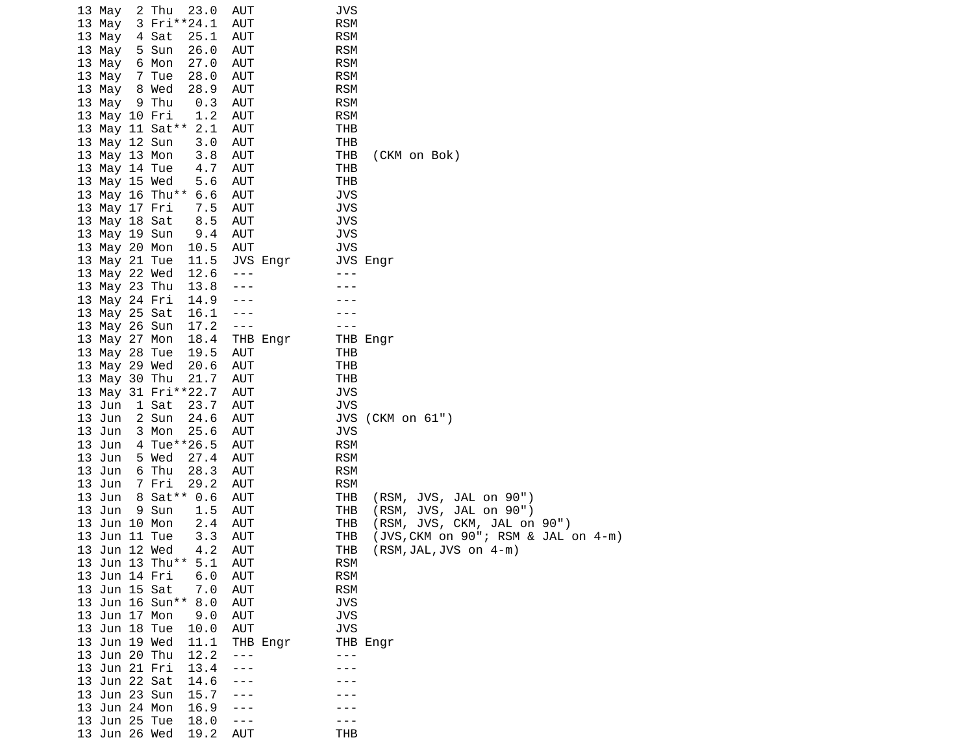|    | 13 May           | 2 Thu           | 23.0<br>3 Fri**24.1 | AUT<br>AUT |          | JVS<br><b>RSM</b> |                                    |
|----|------------------|-----------------|---------------------|------------|----------|-------------------|------------------------------------|
|    | 13 May<br>13 May | 4 Sat           | 25.1                | AUT        |          | <b>RSM</b>        |                                    |
|    | 13 May           | 5 Sun           | 26.0                | AUT        |          | <b>RSM</b>        |                                    |
|    | 13 May           | 6 Mon           | 27.0                | AUT        |          | <b>RSM</b>        |                                    |
|    | 13 May           | 7 Tue           | 28.0                | AUT        |          | <b>RSM</b>        |                                    |
|    | 13 May           | 8 Wed           | 28.9                | <b>AUT</b> |          | <b>RSM</b>        |                                    |
|    | 13 May           | 9 Thu           | 0.3                 | AUT        |          | <b>RSM</b>        |                                    |
|    | 13 May 10 Fri    |                 | 1.2                 | AUT        |          | <b>RSM</b>        |                                    |
|    |                  |                 | 13 May 11 Sat** 2.1 | AUT        |          | <b>THB</b>        |                                    |
|    | 13 May 12 Sun    |                 | 3.0                 | AUT        |          | <b>THB</b>        |                                    |
|    | 13 May 13 Mon    |                 | 3.8                 | AUT        |          | <b>THB</b>        | (CKM on Bok)                       |
|    | 13 May 14 Tue    |                 | 4.7                 | AUT        |          | THB               |                                    |
|    | 13 May 15 Wed    |                 | 5.6                 | AUT        |          | <b>THB</b>        |                                    |
|    |                  |                 | 13 May 16 Thu** 6.6 | <b>AUT</b> |          | <b>JVS</b>        |                                    |
|    | 13 May 17 Fri    |                 | 7.5                 | <b>AUT</b> |          | <b>JVS</b>        |                                    |
|    | 13 May 18 Sat    |                 | 8.5                 | AUT        |          | <b>JVS</b>        |                                    |
|    | 13 May 19 Sun    |                 | 9.4                 | AUT        |          | JVS               |                                    |
|    | 13 May 20 Mon    |                 | 10.5                | AUT        |          | <b>JVS</b>        |                                    |
|    | 13 May 21 Tue    |                 | 11.5                |            | JVS Engr |                   | JVS Engr                           |
|    | 13 May 22 Wed    |                 | 12.6                | - - -      |          | - - -             |                                    |
|    | 13 May 23 Thu    |                 | 13.8                | - - -      |          |                   |                                    |
|    | 13 May 24 Fri    |                 | 14.9                | ---        |          |                   |                                    |
|    | 13 May 25 Sat    |                 | 16.1                | ---        |          |                   |                                    |
|    | 13 May 26 Sun    |                 | 17.2                | $  -$      |          | - - -             |                                    |
|    | 13 May 27 Mon    |                 | 18.4                |            | THB Engr |                   | THB Engr                           |
|    | 13 May 28 Tue    |                 | 19.5                | AUT        |          | THB               |                                    |
|    | 13 May 29 Wed    |                 | 20.6                | AUT        |          | THB               |                                    |
|    | 13 May 30 Thu    |                 | 21.7                | AUT        |          | THB               |                                    |
|    |                  |                 | 13 May 31 Fri**22.7 | <b>AUT</b> |          | <b>JVS</b>        |                                    |
|    | 13 Jun           | 1 Sat           | 23.7                | AUT        |          | JVS               |                                    |
|    | 13 Jun           | 2 Sun           | 24.6                | AUT        |          | JVS               | (CKM on 61")                       |
|    | 13 Jun           | 3 Mon           | 25.6                | AUT        |          | <b>JVS</b>        |                                    |
|    | 13 Jun           |                 | 4 Tue**26.5         | AUT        |          | <b>RSM</b>        |                                    |
|    | 13 Jun           | 5 Wed           | 27.4                | AUT        |          | <b>RSM</b>        |                                    |
|    | 13 Jun           | 6 Thu           | 28.3                | AUT        |          | <b>RSM</b>        |                                    |
|    | 13 Jun           | 7 Fri           | 29.2                | AUT        |          | <b>RSM</b>        |                                    |
|    | 13 Jun           |                 | 8 Sat** 0.6         | AUT        |          | <b>THB</b>        | (RSM, JVS, JAL on 90")             |
|    | 13 Jun           | 9 Sun           | 1.5                 | <b>AUT</b> |          | THB               | (RSM, JVS, JAL on 90")             |
|    | 13 Jun 10 Mon    |                 | 2.4                 | AUT        |          | THB               | (RSM, JVS, CKM, JAL on 90")        |
| 13 | Jun 11 Tue       |                 | 3.3                 | AUT        |          | THB               | JVS, CKM on 90"; RSM & JAL on 4-m) |
|    | 13 Jun 12 Wed    |                 | 4.2                 | AUT        |          | <b>THB</b>        | RSM, JAL, JVS on 4-m)              |
|    |                  |                 | 13 Jun 13 Thu** 5.1 | AUT        |          | <b>RSM</b>        |                                    |
|    | 13 Jun 14 Fri    |                 | 6.0                 | AUT        |          | <b>RSM</b>        |                                    |
|    | 13 Jun 15 Sat    |                 | 7.0                 | <b>AUT</b> |          | <b>RSM</b>        |                                    |
|    |                  | 13 Jun 16 Sun** | 8.0                 | AUT        |          | <b>JVS</b>        |                                    |
|    | 13 Jun 17 Mon    |                 | 9.0                 | AUT        |          | <b>JVS</b>        |                                    |
|    | 13 Jun 18 Tue    |                 | 10.0                | AUT        |          | <b>JVS</b>        |                                    |
|    | 13 Jun 19 Wed    |                 | 11.1                |            | THB Engr |                   | THB Engr                           |
|    | 13 Jun 20 Thu    |                 | 12.2                | - - -      |          |                   |                                    |
|    | 13 Jun 21 Fri    |                 | 13.4                |            |          |                   |                                    |
|    | 13 Jun 22 Sat    |                 | 14.6                |            |          |                   |                                    |
|    | 13 Jun 23 Sun    |                 | 15.7                |            |          |                   |                                    |
|    | 13 Jun 24 Mon    |                 | 16.9                |            |          |                   |                                    |
|    | 13 Jun 25 Tue    |                 | 18.0                | ---        |          |                   |                                    |
|    | 13 Jun 26 Wed    |                 | 19.2                | AUT        |          | THB               |                                    |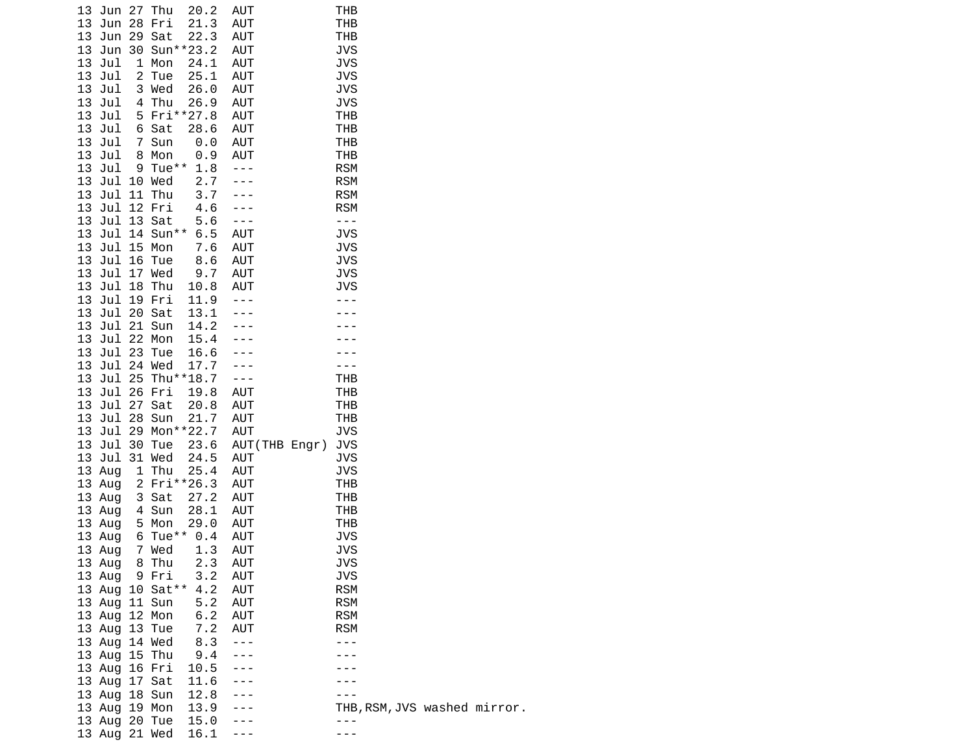| 13 Jun 27 Thu                  |                | 20.2                | AUT                                       | THB                      |                              |  |
|--------------------------------|----------------|---------------------|-------------------------------------------|--------------------------|------------------------------|--|
| 13 Jun 28 Fri<br>13 Jun 29 Sat |                | 21.3<br>22.3        | AUT                                       | <b>THB</b>               |                              |  |
| 13 Jun 30 Sun**23.2            |                |                     | AUT<br>AUT                                | THB<br><b>JVS</b>        |                              |  |
| 13 Jul                         | 1 Mon          | 24.1                | <b>AUT</b>                                | <b>JVS</b>               |                              |  |
| 13 Jul                         | 2 Tue          | 25.1                | AUT                                       | <b>JVS</b>               |                              |  |
| 13 Jul                         | 3 Wed          | 26.0                | AUT                                       | <b>JVS</b>               |                              |  |
| 13 Jul                         | 4 Thu          | 26.9                | AUT                                       | <b>JVS</b>               |                              |  |
| 13 Jul<br>13 Jul               |                | 5 Fri**27.8         | AUT<br><b>AUT</b>                         | <b>THB</b><br><b>THB</b> |                              |  |
| 13 Jul                         | 6 Sat<br>7 Sun | 28.6<br>0.0         | AUT                                       | <b>THB</b>               |                              |  |
| 13 Jul                         | 8 Mon          | 0.9                 | AUT                                       | <b>THB</b>               |                              |  |
| 13 Jul                         |                | 9 Tue** 1.8         | $\sim$ $\sim$ $\sim$                      | <b>RSM</b>               |                              |  |
| 13 Jul 10 Wed                  |                | 2.7                 |                                           | <b>RSM</b>               |                              |  |
| 13 Jul 11 Thu                  |                | 3.7                 |                                           | <b>RSM</b>               |                              |  |
| 13 Jul 12 Fri<br>13 Jul 13 Sat |                | 4.6<br>5.6          | $\sim$ $\sim$ $\sim$<br>$\omega = \omega$ | <b>RSM</b><br>$- - -$    |                              |  |
| 13 Jul 14 Sun** 6.5            |                |                     | AUT                                       | <b>JVS</b>               |                              |  |
| 13 Jul 15 Mon                  |                | 7.6                 | AUT                                       | <b>JVS</b>               |                              |  |
| 13 Jul 16 Tue                  |                | 8.6                 | AUT                                       | <b>JVS</b>               |                              |  |
| 13 Jul 17 Wed                  |                | 9.7                 | AUT                                       | <b>JVS</b>               |                              |  |
| 13 Jul 18 Thu                  |                | 10.8                | AUT                                       | <b>JVS</b>               |                              |  |
| 13 Jul 19 Fri<br>13 Jul 20 Sat |                | 11.9<br>13.1        | $\sim$ $\sim$ $\sim$                      |                          |                              |  |
| 13 Jul 21 Sun                  |                | 14.2                | $\omega \rightarrow \omega$               |                          |                              |  |
| 13 Jul 22 Mon                  |                | 15.4                |                                           |                          |                              |  |
| 13 Jul 23 Tue                  |                | 16.6                | $\omega = \omega$                         |                          |                              |  |
| 13 Jul 24 Wed                  |                | 17.7                | $\sim$ $\sim$ $\sim$                      |                          |                              |  |
| 13 Jul 25 Thu**18.7            |                |                     | $\sim$ $\sim$ $\sim$                      | <b>THB</b>               |                              |  |
| 13 Jul 26 Fri<br>13 Jul 27 Sat |                | 19.8<br>20.8        | AUT<br>AUT                                | <b>THB</b><br><b>THB</b> |                              |  |
| 13 Jul 28 Sun                  |                | 21.7                | <b>AUT</b>                                | <b>THB</b>               |                              |  |
| 13 Jul 29 Mon**22.7            |                |                     | <b>AUT</b>                                | <b>JVS</b>               |                              |  |
| 13 Jul 30 Tue                  |                | 23.6                | AUT (THB Engr)                            | <b>JVS</b>               |                              |  |
| 13 Jul 31 Wed                  |                | 24.5                | <b>AUT</b>                                | <b>JVS</b>               |                              |  |
| 13 Aug                         | 1 Thu          | 25.4<br>2 Fri**26.3 | AUT<br>AUT                                | <b>JVS</b><br><b>THB</b> |                              |  |
| 13 Aug<br>13 Aug               | 3 Sat          | 27.2                | AUT                                       | <b>THB</b>               |                              |  |
| 13 Aug                         | 4 Sun          | 28.1                | AUT                                       | <b>THB</b>               |                              |  |
| 13 Aug                         | 5 Mon          | 29.0                | <b>AUT</b>                                | <b>THB</b>               |                              |  |
| 13 Aug                         |                | 6 Tue** 0.4         | <b>AUT</b>                                | <b>JVS</b>               |                              |  |
| 13 Aug 7 Wed                   |                | 1.3 AUT             |                                           | <b>JVS</b>               |                              |  |
| 13 Aug 8 Thu<br>13 Aug  9 Fri  |                | 2.3<br>3.2          | AUT<br>AUT                                | JVS<br><b>JVS</b>        |                              |  |
| 13 Aug 10 Sat** 4.2            |                |                     | AUT                                       | <b>RSM</b>               |                              |  |
| 13 Aug 11 Sun                  |                | 5.2                 | <b>AUT</b>                                | <b>RSM</b>               |                              |  |
| 13 Aug 12 Mon                  |                | 6.2                 | AUT                                       | <b>RSM</b>               |                              |  |
| 13 Aug 13 Tue                  |                | 7.2                 | <b>AUT</b>                                | <b>RSM</b>               |                              |  |
| 13 Aug 14 Wed                  |                | 8.3 ---<br>9.4 ---  |                                           | ---                      |                              |  |
| 13 Aug 15 Thu<br>13 Aug 16 Fri |                | $10.5 - -$          |                                           |                          |                              |  |
| 13 Aug 17 Sat                  |                | 11.6 ---            |                                           |                          |                              |  |
| 13 Aug 18 Sun                  |                | 12.8                |                                           |                          |                              |  |
| 13 Aug 19 Mon                  |                | 13.9                |                                           |                          | THB, RSM, JVS washed mirror. |  |
| 13 Aug 20 Tue                  |                | 15.0                |                                           | - - -                    |                              |  |
| 13 Aug 21 Wed                  |                | 16.1                | $- - -$                                   | - - -                    |                              |  |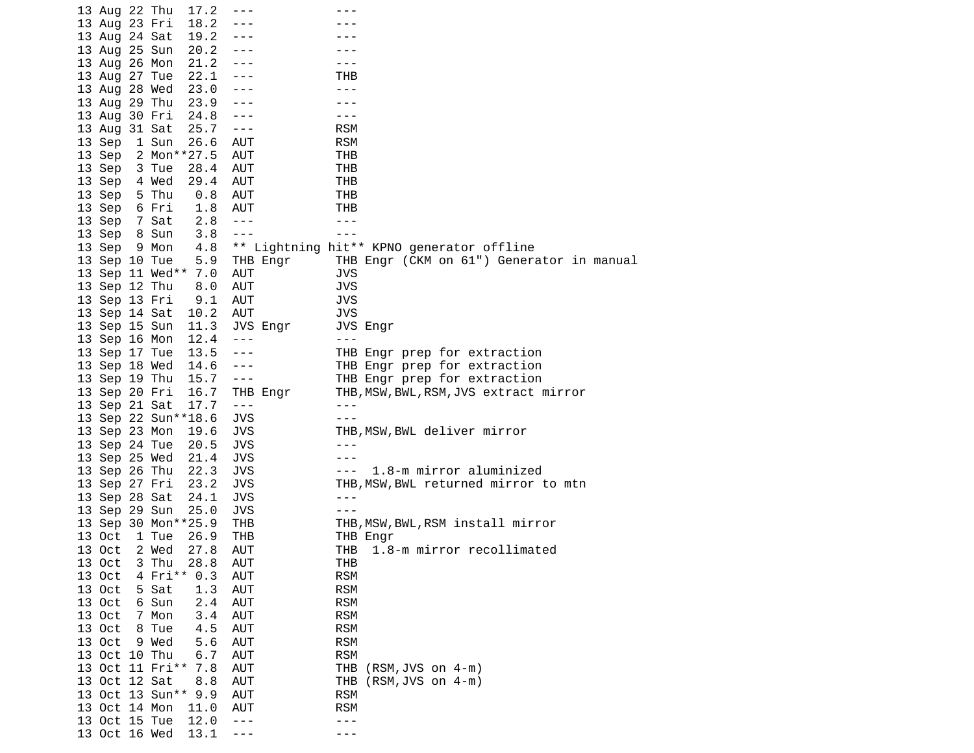| 13 Aug 22 Thu<br>17.2    | ---        | - - -                                     |
|--------------------------|------------|-------------------------------------------|
| 13 Aug 23 Fri<br>18.2    | ---        |                                           |
| 13 Aug 24 Sat<br>19.2    | ---        |                                           |
| 13 Aug 25 Sun<br>20.2    | $- - -$    |                                           |
| 13 Aug 26 Mon<br>21.2    | $- - -$    | ---                                       |
| 13 Aug 27 Tue<br>22.1    | ---        | THB                                       |
| 23.0                     |            | $- - -$                                   |
| 13 Aug 28 Wed            | ---        |                                           |
| 13 Aug 29 Thu<br>23.9    | ---        |                                           |
| 13 Aug 30 Fri<br>24.8    | $- - -$    | ---                                       |
| 13 Aug 31 Sat<br>25.7    | $- - -$    | <b>RSM</b>                                |
| 13 Sep<br>1 Sun<br>26.6  | AUT        | <b>RSM</b>                                |
| 2 Mon**27.5<br>13 Sep    | AUT        | THB                                       |
| 13 Sep<br>3 Tue<br>28.4  | <b>AUT</b> | THB                                       |
| 13 Sep<br>4 Wed<br>29.4  | <b>AUT</b> | THB                                       |
| 13 Sep<br>5 Thu<br>0.8   | AUT        | THB                                       |
| 6 Fri<br>13 Sep<br>1.8   | AUT        | THB                                       |
| 13 Sep<br>7 Sat<br>2.8   | $- - -$    | ---                                       |
| 3.8<br>13 Sep<br>8 Sun   | $- - -$    | $- - -$                                   |
| 4.8<br>13 Sep 9 Mon      |            | ** Lightning hit** KPNO generator offline |
|                          |            |                                           |
| 13 Sep 10 Tue<br>5.9     | THB Engr   | THB Engr (CKM on 61") Generator in manual |
| 13 Sep 11 Wed** 7.0      | AUT        | <b>JVS</b>                                |
| 13 Sep 12 Thu<br>8.0     | AUT        | <b>JVS</b>                                |
| 9.1<br>13 Sep 13 Fri     | AUT        | <b>JVS</b>                                |
| 13 Sep 14 Sat<br>10.2    | <b>AUT</b> | <b>JVS</b>                                |
| 13 Sep 15 Sun<br>11.3    | JVS Engr   | JVS Engr                                  |
| 13 Sep 16 Mon<br>12.4    | $- - -$    | $- - -$                                   |
| 13 Sep 17 Tue<br>13.5    | $- - -$    | THB Engr prep for extraction              |
| 13 Sep 18 Wed<br>14.6    | $- - -$    | THB Engr prep for extraction              |
| 13 Sep 19 Thu<br>15.7    | $- - -$    | THB Engr prep for extraction              |
| 13 Sep 20 Fri<br>16.7    | THB Engr   | THB, MSW, BWL, RSM, JVS extract mirror    |
| 13 Sep 21 Sat<br>17.7    | $- - -$    | $- - -$                                   |
| 13 Sep 22 Sun**18.6      | <b>JVS</b> | $- - -$                                   |
| 13 Sep 23 Mon<br>19.6    | <b>JVS</b> | THB, MSW, BWL deliver mirror              |
| 13 Sep 24 Tue<br>20.5    | <b>JVS</b> | $- - -$                                   |
| 13 Sep 25 Wed<br>21.4    | <b>JVS</b> |                                           |
| 13 Sep 26 Thu<br>22.3    | <b>JVS</b> | 1.8-m mirror aluminized<br>$- - -$        |
| 13 Sep 27 Fri<br>23.2    | <b>JVS</b> | THB, MSW, BWL returned mirror to mtn      |
|                          | <b>JVS</b> | $- - -$                                   |
| 13 Sep 28 Sat<br>24.1    |            |                                           |
| 13 Sep 29 Sun<br>25.0    | <b>JVS</b> | $- - -$                                   |
| 13 Sep 30 Mon**25.9      | THB        | THB, MSW, BWL, RSM install mirror         |
| 13 Oct<br>1 Tue<br>26.9  | THB        | THB Engr                                  |
| 2 Wed<br>13 Oct<br>27.8  | AUT        | THB<br>1.8-m mirror recollimated          |
| 13 Oct<br>28.8<br>3 Thu  | AUT        | THB                                       |
| 4 Fri**<br>13 Oct<br>0.3 | <b>AUT</b> | <b>RSM</b>                                |
| 13 Oct<br>5 Sat<br>1.3   | <b>AUT</b> | <b>RSM</b>                                |
| 13 Oct<br>6 Sun<br>2.4   | <b>AUT</b> | <b>RSM</b>                                |
| 13 Oct<br>7 Mon<br>3.4   | <b>AUT</b> | <b>RSM</b>                                |
| 13 Oct<br>8 Tue<br>4.5   | <b>AUT</b> | <b>RSM</b>                                |
| 13 Oct<br>9 Wed<br>5.6   | AUT        | <b>RSM</b>                                |
| 13 Oct 10 Thu<br>6.7     | <b>AUT</b> | <b>RSM</b>                                |
| 13 Oct 11 Fri**<br>7.8   | <b>AUT</b> | THB (RSM, JVS on 4-m)                     |
| 13 Oct 12 Sat<br>8.8     | <b>AUT</b> | $(RSM, JVS$ on $4-m$ )<br>THB             |
| 13 Oct 13 Sun**<br>9.9   | <b>AUT</b> | <b>RSM</b>                                |
| 13 Oct 14 Mon<br>11.0    | AUT        | <b>RSM</b>                                |
| 13 Oct 15 Tue<br>12.0    |            | ---                                       |
|                          | $- - -$    |                                           |
| 13 Oct 16 Wed<br>13.1    | - - -      | - - -                                     |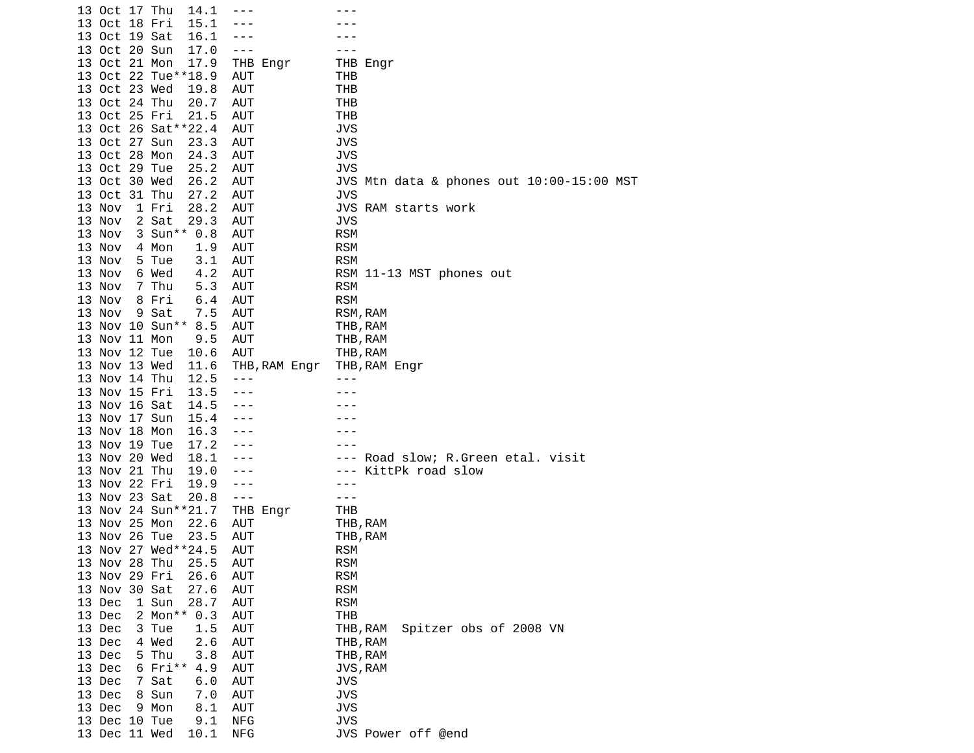|        | 13 Oct 17 Thu | 14.1                |               |                                           |
|--------|---------------|---------------------|---------------|-------------------------------------------|
|        | 13 Oct 18 Fri | 15.1                |               |                                           |
|        | 13 Oct 19 Sat | 16.1                |               |                                           |
|        | 13 Oct 20 Sun | 17.0                | ---           |                                           |
|        | 13 Oct 21 Mon | 17.9                | THB Engr      | THB Engr                                  |
|        |               | 13 Oct 22 Tue**18.9 |               |                                           |
|        |               |                     | AUT           | THB                                       |
|        | 13 Oct 23 Wed | 19.8                | <b>AUT</b>    | THB                                       |
|        | 13 Oct 24 Thu | 20.7                | <b>AUT</b>    | THB                                       |
|        | 13 Oct 25 Fri | 21.5                | <b>AUT</b>    | <b>THB</b>                                |
|        |               | 13 Oct 26 Sat**22.4 | AUT           | <b>JVS</b>                                |
|        | 13 Oct 27 Sun | 23.3                | <b>AUT</b>    | <b>JVS</b>                                |
|        | 13 Oct 28 Mon | 24.3                | <b>AUT</b>    | JVS                                       |
|        | 13 Oct 29 Tue | 25.2                | <b>AUT</b>    | <b>JVS</b>                                |
|        | 13 Oct 30 Wed | 26.2                | <b>AUT</b>    | JVS Mtn data & phones out 10:00-15:00 MST |
|        | 13 Oct 31 Thu | 27.2                | AUT           | <b>JVS</b>                                |
|        |               |                     |               |                                           |
| 13 Nov |               | 1 Fri<br>28.2       | AUT           | JVS RAM starts work                       |
| 13 Nov |               | 2 Sat<br>29.3       | <b>AUT</b>    | <b>JVS</b>                                |
| 13 Nov |               | 3 Sun** 0.8         | <b>AUT</b>    | <b>RSM</b>                                |
| 13 Nov |               | 4 Mon<br>1.9        | AUT           | <b>RSM</b>                                |
| 13 Nov |               | 3.1<br>5 Tue        | <b>AUT</b>    | <b>RSM</b>                                |
| 13 Nov |               | 6 Wed<br>4.2        | <b>AUT</b>    | RSM 11-13 MST phones out                  |
| 13 Nov |               | 7 Thu<br>5.3        | <b>AUT</b>    | <b>RSM</b>                                |
| 13 Nov |               | 8 Fri<br>6.4        | <b>AUT</b>    | <b>RSM</b>                                |
| 13 Nov |               | 9 Sat<br>7.5        | AUT           | RSM, RAM                                  |
|        |               | 13 Nov 10 Sun**     |               |                                           |
|        |               | 8.5                 | <b>AUT</b>    | THB, RAM                                  |
|        | 13 Nov 11 Mon | 9.5                 | <b>AUT</b>    | THB, RAM                                  |
|        | 13 Nov 12 Tue | 10.6                | AUT           | THB, RAM                                  |
|        | 13 Nov 13 Wed | 11.6                | THB, RAM Engr | THB, RAM Engr                             |
|        | 13 Nov 14 Thu | 12.5                | $- - -$       |                                           |
|        | 13 Nov 15 Fri | 13.5                | $- - -$       |                                           |
|        | 13 Nov 16 Sat | 14.5                |               |                                           |
|        | 13 Nov 17 Sun | 15.4                | - - -         |                                           |
|        | 13 Nov 18 Mon | 16.3                |               |                                           |
|        | 13 Nov 19 Tue | 17.2                |               |                                           |
|        | 13 Nov 20 Wed | 18.1                | ---           |                                           |
|        |               |                     |               | Road slow; R.Green etal. visit<br>---     |
|        | 13 Nov 21 Thu | 19.0                | ---           | KittPk road slow<br>- - -                 |
|        | 13 Nov 22 Fri | 19.9                | $- - -$       |                                           |
|        | 13 Nov 23 Sat | 20.8                | $- - -$       |                                           |
|        |               | 13 Nov 24 Sun**21.7 | THB Engr      | THB                                       |
|        | 13 Nov 25 Mon | 22.6                | <b>AUT</b>    | THB, RAM                                  |
|        | 13 Nov 26 Tue | 23.5                | <b>AUT</b>    | THB, RAM                                  |
|        |               | 13 Nov 27 Wed**24.5 | AUT           | <b>RSM</b>                                |
|        | 13 Nov 28 Thu | 25.5                | AUT           | <b>RSM</b>                                |
|        | 13 Nov 29 Fri | 26.6                | <b>AUT</b>    | <b>RSM</b>                                |
|        | 13 Nov 30 Sat | 27.6                | <b>AUT</b>    | <b>RSM</b>                                |
| 13 Dec |               | 1 Sun<br>28.7       | <b>AUT</b>    | <b>RSM</b>                                |
|        |               |                     |               |                                           |
| 13 Dec |               | 2 Mon**<br>0.3      | <b>AUT</b>    | <b>THB</b>                                |
| 13 Dec |               | 3 Tue<br>1.5        | <b>AUT</b>    | Spitzer obs of 2008 VN<br>THB, RAM        |
| 13 Dec |               | 4 Wed<br>2.6        | AUT           | THB, RAM                                  |
| 13 Dec |               | 5 Thu<br>3.8        | <b>AUT</b>    | THB, RAM                                  |
| 13 Dec |               | $6$ Fri**<br>4.9    | AUT           | JVS, RAM                                  |
| 13 Dec |               | 7 Sat<br>6.0        | <b>AUT</b>    | JVS                                       |
| 13 Dec |               | 8 Sun<br>7.0        | <b>AUT</b>    | <b>JVS</b>                                |
| 13 Dec |               | 9 Mon<br>8.1        | AUT           | <b>JVS</b>                                |
|        | 13 Dec 10 Tue | 9.1                 | <b>NFG</b>    | <b>JVS</b>                                |
|        | 13 Dec 11 Wed | 10.1                | <b>NFG</b>    | JVS Power off @end                        |
|        |               |                     |               |                                           |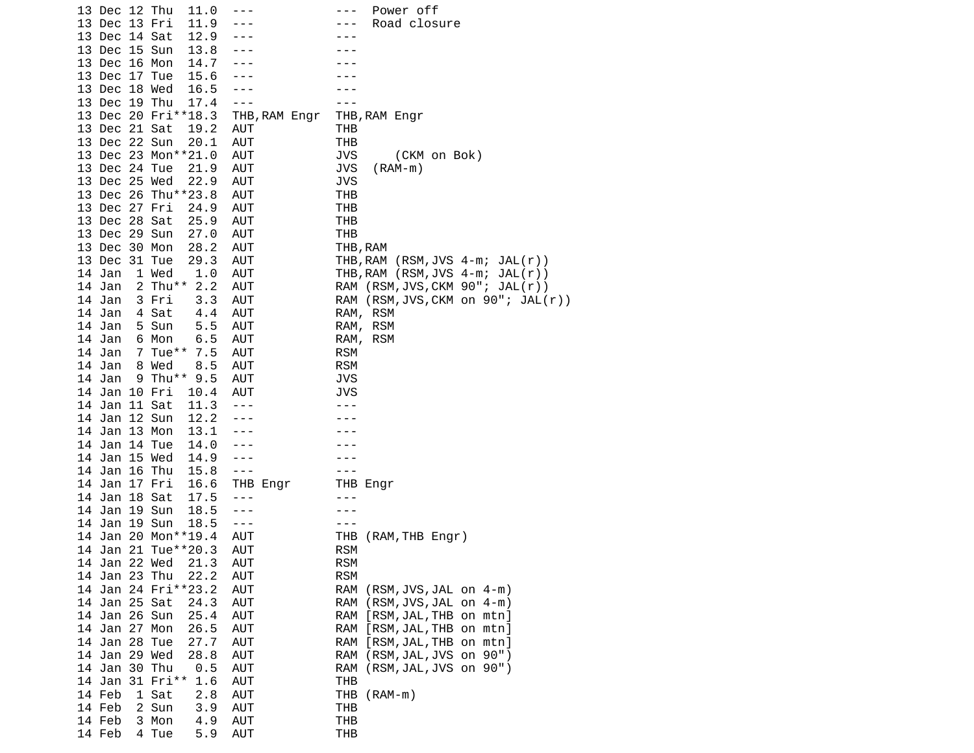| 13 Dec 12 Thu<br>11.0      | ---           | Power off<br>---                     |
|----------------------------|---------------|--------------------------------------|
| 13 Dec 13 Fri<br>11.9      |               | Road closure<br>- - -                |
| 13 Dec 14 Sat<br>12.9      |               |                                      |
| 13 Dec 15 Sun<br>13.8      |               |                                      |
| 14.7<br>13 Dec 16 Mon      |               |                                      |
| 13 Dec 17 Tue<br>15.6      |               |                                      |
| 13 Dec 18 Wed<br>16.5      |               |                                      |
| 13 Dec 19 Thu<br>17.4      | ---           |                                      |
|                            |               |                                      |
| 13 Dec 20 Fri**18.3        | THB, RAM Engr | THB, RAM Engr                        |
| 13 Dec 21 Sat<br>19.2      | AUT           | THB                                  |
| 13 Dec 22 Sun<br>20.1      | <b>AUT</b>    | THB                                  |
| 13 Dec 23 Mon**21.0        | AUT           | JVS<br>(CKM on Bok)                  |
| 13 Dec 24 Tue<br>21.9      | <b>AUT</b>    | JVS<br>$(RAM-m)$                     |
| 13 Dec 25 Wed<br>22.9      | AUT           | JVS                                  |
| 13 Dec 26 Thu**23.8        | AUT           | THB                                  |
| 13 Dec 27 Fri<br>24.9      | AUT           | THB                                  |
| 13 Dec 28 Sat<br>25.9      | AUT           | THB                                  |
| 13 Dec 29 Sun<br>27.0      | <b>AUT</b>    | THB                                  |
| 13 Dec 30 Mon<br>28.2      | <b>AUT</b>    | THB, RAM                             |
| 13 Dec 31 Tue<br>29.3      | <b>AUT</b>    | THB, RAM $(RSM, JVS 4-m; JAL(r))$    |
| 14 Jan<br>1 Wed<br>1.0     | AUT           | THB, RAM $(RSM, JVS 4-m; JAL(r))$    |
| 2 Thu** 2.2<br>14 Jan      | AUT           | RAM (RSM, JVS, CKM 90"; JAL(r))      |
| 14 Jan<br>3.3<br>3 Fri     | AUT           | RAM (RSM, JVS, CKM on 90"; JAL(r))   |
| 4 Sat<br>4.4<br>14 Jan     | AUT           | RAM, RSM                             |
| 5 Sun<br>5.5<br>14 Jan     | AUT           | RAM, RSM                             |
| 14 Jan<br>6 Mon<br>6.5     | AUT           | RAM, RSM                             |
| 7 Tue**<br>14 Jan<br>7.5   | AUT           | <b>RSM</b>                           |
| 8.5<br>14 Jan<br>8 Wed     | <b>AUT</b>    | <b>RSM</b>                           |
| $9$ Thu**<br>14 Jan<br>9.5 | AUT           | <b>JVS</b>                           |
| 14 Jan 10 Fri              | AUT           | JVS                                  |
| 10.4<br>14 Jan 11 Sat      | $- - -$       |                                      |
| 11.3                       |               |                                      |
| 14 Jan 12 Sun<br>12.2      | ---           |                                      |
| 13.1<br>14 Jan 13 Mon      |               |                                      |
| 14 Jan 14 Tue<br>14.0      |               |                                      |
| 14 Jan 15 Wed<br>14.9      |               |                                      |
| 14 Jan 16 Thu<br>15.8      | $- - -$       |                                      |
| 14 Jan 17 Fri<br>16.6      | THB Engr      | THB Engr                             |
| 14 Jan 18 Sat<br>17.5      | $- - -$       | - - -                                |
| 14 Jan 19 Sun<br>18.5      | $- - -$       |                                      |
| 14 Jan 19 Sun<br>18.5      | $- - -$       |                                      |
| 14 Jan 20 Mon**19.4        | AUT           | (RAM, THB Engr)<br>THB               |
| 14 Jan 21 Tue**20.3        | AUT           | <b>RSM</b>                           |
| 21.3<br>14 Jan 22 Wed      | AUT           | <b>RSM</b>                           |
| 14 Jan 23 Thu<br>22.2      | AUT           | <b>RSM</b>                           |
| 14 Jan 24 Fri**23.2        | AUT           | RAM<br>$(RSM, JVS, JAL$ on $4-m)$    |
| 14 Jan 25 Sat<br>24.3      | AUT           | $(RSM, JVS, JAL$ on $4-m)$<br>RAM    |
| 14 Jan 26 Sun<br>25.4      | <b>AUT</b>    | [RSM, JAL, THB on mtn]<br>RAM        |
| 14 Jan 27 Mon<br>26.5      | AUT           | [RSM, JAL, THB on mtn]<br><b>RAM</b> |
| 14 Jan 28 Tue<br>27.7      | AUT           | RAM<br>[RSM, JAL, THB on mtn]        |
| 14 Jan 29 Wed<br>28.8      | AUT           | <b>RAM</b><br>(RSM, JAL, JVS on 90") |
| 14 Jan 30 Thu<br>0.5       | AUT           | <b>RAM</b><br>(RSM, JAL, JVS on 90") |
| 14 Jan 31 Fri**<br>1.6     | <b>AUT</b>    | <b>THB</b>                           |
| 14 Feb<br>1 Sat<br>2.8     | AUT           | THB $(RAM-m)$                        |
| 14 Feb<br>2 Sun<br>3.9     | <b>AUT</b>    | THB                                  |
| 4.9<br>14 Feb<br>3 Mon     | AUT           | THB                                  |
| 14 Feb<br>4 Tue<br>5.9     | AUT           | THB                                  |
|                            |               |                                      |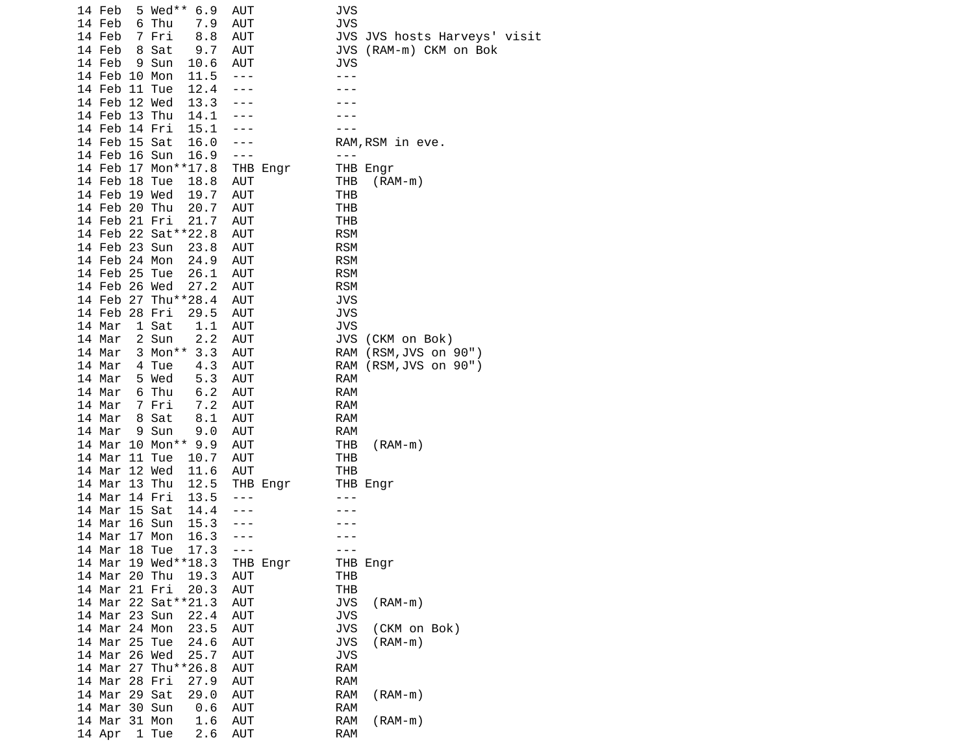|  | 14 Feb                         |         | 5 Wed** 6.9                | AUT        |          | <b>JVS</b> |                              |
|--|--------------------------------|---------|----------------------------|------------|----------|------------|------------------------------|
|  | 14 Feb                         | 6 Thu   | 7.9                        | AUT        |          | <b>JVS</b> |                              |
|  | 14 Feb                         | 7 Fri   | 8.8                        | AUT        |          |            | JVS JVS hosts Harveys' visit |
|  | 14 Feb                         | 8 Sat   | 9.7                        | <b>AUT</b> |          | JVS        | (RAM-m) CKM on Bok           |
|  | 14 Feb                         | 9 Sun   | 10.6                       | AUT        |          | JVS        |                              |
|  | 14 Feb 10 Mon                  |         | 11.5                       | $- - -$    |          | ---        |                              |
|  | 14 Feb 11 Tue                  |         | 12.4                       |            |          |            |                              |
|  | 14 Feb 12 Wed                  |         | 13.3                       |            |          |            |                              |
|  | 14 Feb 13 Thu                  |         | 14.1                       |            |          |            |                              |
|  | 14 Feb 14 Fri                  |         | 15.1                       |            |          |            |                              |
|  | 14 Feb 15 Sat<br>14 Feb 16 Sun |         | 16.0<br>16.9               | $- - -$    |          | $- - -$    | RAM, RSM in eve.             |
|  |                                |         | 14 Feb 17 Mon**17.8        |            | THB Engr |            | THB Engr                     |
|  | 14 Feb 18 Tue                  |         | 18.8                       | AUT        |          | THB        | (RAM-m)                      |
|  | 14 Feb 19 Wed                  |         | 19.7                       | AUT        |          | THB        |                              |
|  | 14 Feb 20 Thu                  |         | 20.7                       | AUT        |          | THB        |                              |
|  | 14 Feb 21 Fri                  |         | 21.7                       | AUT        |          | THB        |                              |
|  |                                |         | 14 Feb 22 Sat**22.8        | AUT        |          | <b>RSM</b> |                              |
|  | 14 Feb 23 Sun                  |         | 23.8                       | AUT        |          | <b>RSM</b> |                              |
|  | 14 Feb 24 Mon                  |         | 24.9                       | AUT        |          | <b>RSM</b> |                              |
|  | 14 Feb 25 Tue                  |         | 26.1                       | AUT        |          | <b>RSM</b> |                              |
|  | 14 Feb 26 Wed                  |         | 27.2                       | AUT        |          | <b>RSM</b> |                              |
|  |                                |         | 14 Feb 27 Thu**28.4        | AUT        |          | <b>JVS</b> |                              |
|  | 14 Feb 28 Fri                  |         | 29.5                       | AUT        |          | <b>JVS</b> |                              |
|  | 14 Mar                         | 1 Sat   | 1.1                        | <b>AUT</b> |          | <b>JVS</b> |                              |
|  | 14 Mar                         | 2 Sun   | 2.2                        | AUT        |          | JVS        | (CKM on Bok)                 |
|  | 14 Mar                         | 3 Mon** | 3.3                        | <b>AUT</b> |          | RAM        | (RSM, JVS on 90")            |
|  | 14 Mar                         | 4 Tue   | 4.3                        | <b>AUT</b> |          | RAM        | (RSM, JVS on 90")            |
|  | 14 Mar                         | 5 Wed   | 5.3                        | <b>AUT</b> |          | <b>RAM</b> |                              |
|  | 14 Mar                         | 6 Thu   | 6.2                        | AUT        |          | <b>RAM</b> |                              |
|  | 14 Mar                         | 7 Fri   | 7.2                        | AUT        |          | <b>RAM</b> |                              |
|  | 14 Mar                         | 8 Sat   | 8.1                        | AUT        |          | <b>RAM</b> |                              |
|  | 14 Mar                         | 9 Sun   | 9.0<br>14 Mar 10 Mon** 9.9 | AUT        |          | RAM        |                              |
|  | 14 Mar                         |         |                            | AUT        |          | THB<br>THB | $(RAM-m)$                    |
|  | 14 Mar 12 Wed                  | 11 Tue  | 10.7<br>11.6               | AUT<br>AUT |          | THB        |                              |
|  | 14 Mar 13 Thu                  |         | 12.5                       |            | THB Engr |            | THB Engr                     |
|  | 14 Mar 14 Fri                  |         | 13.5                       | ---        |          |            |                              |
|  | 14 Mar 15 Sat                  |         | 14.4                       |            |          |            |                              |
|  | 14 Mar 16 Sun                  |         | 15.3                       |            |          |            |                              |
|  | 14 Mar 17 Mon                  |         | 16.3                       |            |          |            |                              |
|  | 14 Mar                         | 18 Tue  | 17.3                       | $- - -$    |          |            |                              |
|  |                                |         | 14 Mar 19 Wed**18.3        |            | THB Engr |            | THB Engr                     |
|  | 14 Mar 20 Thu                  |         | 19.3                       | AUT        |          | THB        |                              |
|  | 14 Mar 21 Fri                  |         | 20.3                       | AUT        |          | THB        |                              |
|  |                                |         | 14 Mar 22 Sat**21.3        | AUT        |          | <b>JVS</b> | $(RAM-m)$                    |
|  | 14 Mar 23 Sun                  |         | 22.4                       | AUT        |          | <b>JVS</b> |                              |
|  | 14 Mar 24 Mon                  |         | 23.5                       | AUT        |          | <b>JVS</b> | (CKM on Bok)                 |
|  | 14 Mar 25 Tue                  |         | 24.6                       | AUT        |          | JVS        | $(RAM-m)$                    |
|  | 14 Mar 26 Wed                  |         | 25.7                       | AUT        |          | <b>JVS</b> |                              |
|  |                                |         | 14 Mar 27 Thu**26.8        | AUT        |          | RAM        |                              |
|  | 14 Mar 28 Fri                  |         | 27.9                       | <b>AUT</b> |          | RAM        |                              |
|  | 14 Mar 29 Sat                  |         | 29.0                       | <b>AUT</b> |          | RAM        | $(RAM-m)$                    |
|  | 14 Mar 30 Sun                  |         | 0.6                        | AUT        |          | <b>RAM</b> |                              |
|  | 14 Mar 31 Mon                  |         | 1.6                        | AUT        |          | RAM        | $(RAM-m)$                    |
|  | 14 Apr                         | 1 Tue   | 2.6                        | AUT        |          | RAM        |                              |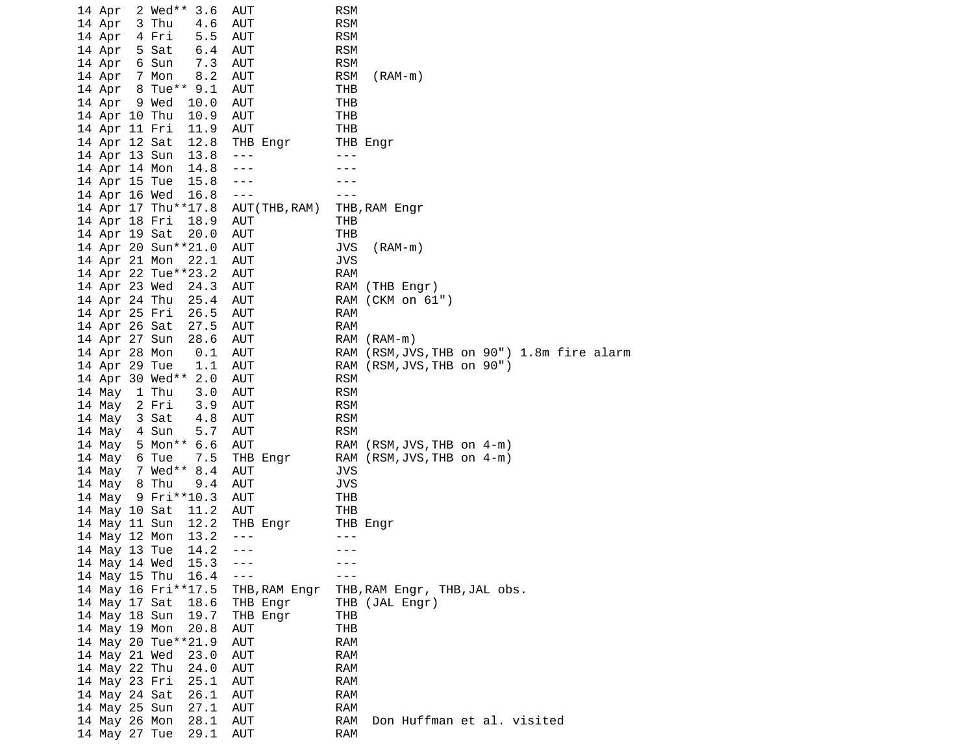| 14 Apr                         | 2 Wed** | 3.6                 | <b>AUT</b>     | <b>RSM</b>                                           |
|--------------------------------|---------|---------------------|----------------|------------------------------------------------------|
| 14 Apr                         | 3 Thu   | 4.6                 | AUT            | <b>RSM</b>                                           |
| 14 Apr                         | 4 Fri   | 5.5                 | AUT            | <b>RSM</b>                                           |
| 14 Apr                         | 5 Sat   | 6.4                 | AUT            | <b>RSM</b>                                           |
| 14 Apr                         | 6 Sun   | 7.3                 | AUT            | <b>RSM</b>                                           |
| 14 Apr                         | 7 Mon   | 8.2                 | AUT            | <b>RSM</b><br>$(RAM-m)$                              |
| 14 Apr                         |         | 8 Tue** 9.1         | <b>AUT</b>     | THB                                                  |
| 14 Apr                         | 9 Wed   | 10.0                | <b>AUT</b>     | THB                                                  |
| 14 Apr 10 Thu                  |         | 10.9                | <b>AUT</b>     | THB                                                  |
|                                |         | 11.9                | <b>AUT</b>     | <b>THB</b>                                           |
| 14 Apr 11 Fri<br>14 Apr 12 Sat |         | 12.8                |                |                                                      |
|                                |         |                     | THB Engr       | THB Engr<br>$- - -$                                  |
| 14 Apr 13 Sun                  |         | 13.8                | $- - -$        |                                                      |
| 14 Apr 14 Mon                  |         | 14.8                | $- - -$        |                                                      |
| 14 Apr 15 Tue                  |         | 15.8                | ---            |                                                      |
| 14 Apr 16 Wed                  |         | 16.8                | $- - -$        |                                                      |
|                                |         | 14 Apr 17 Thu**17.8 | AUT (THB, RAM) | THB, RAM Engr                                        |
| 14 Apr 18 Fri                  |         | 18.9                | AUT            | THB                                                  |
| 14 Apr 19 Sat                  |         | 20.0                | AUT            | <b>THB</b>                                           |
|                                |         | 14 Apr 20 Sun**21.0 | AUT            | <b>JVS</b><br>$(RAM-m)$                              |
| 14 Apr 21 Mon                  |         | 22.1                | <b>AUT</b>     | <b>JVS</b>                                           |
|                                |         | 14 Apr 22 Tue**23.2 | AUT            | <b>RAM</b>                                           |
| 14 Apr 23 Wed                  |         | 24.3                | AUT            | RAM<br>(THB Engr)                                    |
| 14 Apr 24 Thu                  |         | 25.4                | AUT            | RAM (CKM on 61")                                     |
| 14 Apr 25 Fri                  |         | 26.5                | AUT            | <b>RAM</b>                                           |
| 14 Apr 26 Sat                  |         | 27.5                | AUT            | <b>RAM</b>                                           |
| 14 Apr 27 Sun                  |         | 28.6                | AUT            | RAM<br>$(RAM-m)$                                     |
| 14 Apr 28 Mon                  |         | 0.1                 | AUT            | (RSM, JVS, THB on 90") 1.8m fire alarm<br><b>RAM</b> |
| 14 Apr 29 Tue                  |         | 1.1                 | <b>AUT</b>     | RAM<br>$(RSM, JVS, THB$ on $90"$ )                   |
|                                |         | 14 Apr 30 Wed** 2.0 | AUT            | <b>RSM</b>                                           |
| 14 May                         | 1 Thu   | 3.0                 | AUT            | <b>RSM</b>                                           |
| 14 May                         | 2 Fri   | 3.9                 | <b>AUT</b>     | <b>RSM</b>                                           |
| 14 May                         | 3 Sat   | 4.8                 | <b>AUT</b>     | <b>RSM</b>                                           |
| 14 May                         | 4 Sun   | 5.7                 | AUT            | <b>RSM</b>                                           |
| 14 May                         |         | 5 Mon** 6.6         | AUT            | RAM (RSM, JVS, THB on 4-m)                           |
| 14 May                         | 6 Tue   | 7.5                 | THB Engr       | RAM (RSM, JVS, THB on 4-m)                           |
| 14 May                         |         | 7 Wed** 8.4         | AUT            | <b>JVS</b>                                           |
| 14 May                         | 8 Thu   | 9.4                 | <b>AUT</b>     | <b>JVS</b>                                           |
| 14 May                         |         | 9 Fri**10.3         | AUT            | THB                                                  |
| 14 May 10 Sat                  |         | 11.2                | <b>AUT</b>     | <b>THB</b>                                           |
| 14 May 11 Sun                  |         | 12.2                | THB Engr       | THB Engr                                             |
| 14 May 12 Mon                  |         | 13.2                | $- - -$        | ---                                                  |
| 14 May 13 Tue                  |         | 14.2                | $- - -$        | $- - -$                                              |
| 14 May 14 Wed                  |         | 15.3                |                |                                                      |
| 14 May 15 Thu                  |         | 16.4                |                |                                                      |
|                                |         | 14 May 16 Fri**17.5 | THB,RAM Engr   | THB,RAM Engr, THB,JAL obs.                           |
| 14 May 17 Sat                  |         | 18.6                | THB Engr       | THB (JAL Engr)                                       |
| 14 May 18 Sun                  |         | 19.7                | THB Engr       | THB                                                  |
|                                |         | 20.8                |                | <b>THB</b>                                           |
| 14 May 19 Mon                  |         |                     | AUT            |                                                      |
|                                |         | 14 May 20 Tue**21.9 | AUT            | <b>RAM</b>                                           |
| 14 May 21 Wed                  |         | 23.0                | AUT            | <b>RAM</b>                                           |
| 14 May 22 Thu                  |         | 24.0                | AUT            | <b>RAM</b>                                           |
| 14 May 23 Fri                  |         | 25.1                | AUT            | <b>RAM</b>                                           |
| 14 May 24 Sat                  |         | 26.1                | AUT            | <b>RAM</b>                                           |
| 14 May 25 Sun                  |         | 27.1                | AUT            | RAM                                                  |
| 14 May 26 Mon<br>14 May 27 Tue |         | 28.1                | AUT            | <b>RAM</b><br>Don Huffman et al. visited             |
|                                |         | 29.1                | AUT            | <b>RAM</b>                                           |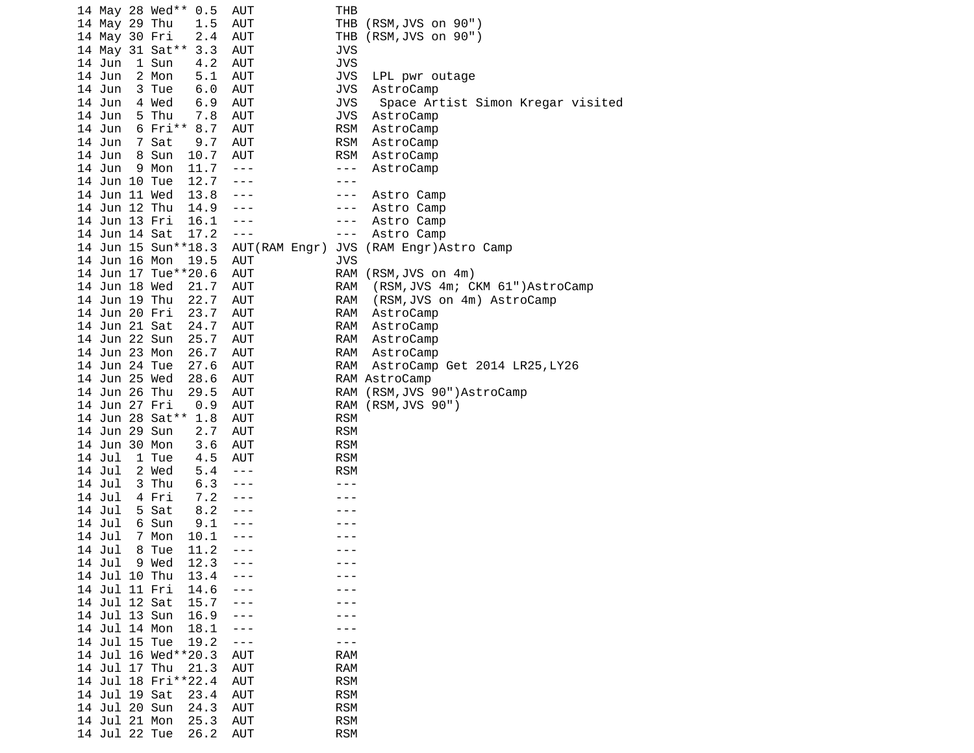| 14 May 28 Wed**<br>0.5                         | <b>AUT</b>     | THB                   |                                   |
|------------------------------------------------|----------------|-----------------------|-----------------------------------|
| 14 May 29 Thu<br>1.5                           | AUT            | THB                   | (RSM, JVS on 90")                 |
| 14 May 30 Fri<br>2.4                           | <b>AUT</b>     | THB                   | (RSM, JVS on 90")                 |
| 14 May 31 Sat**<br>3.3                         | AUT            | <b>JVS</b>            |                                   |
| 14 Jun<br>1 Sun<br>4.2                         | <b>AUT</b>     | <b>JVS</b>            |                                   |
| 14 Jun<br>2 Mon<br>5.1                         | <b>AUT</b>     | <b>JVS</b>            | LPL pwr outage                    |
| 14 Jun<br>3 Tue<br>6.0                         | AUT            | <b>JVS</b>            | AstroCamp                         |
| 4 Wed<br>14 Jun<br>6.9                         | AUT            | <b>JVS</b>            | Space Artist Simon Kregar visited |
| 14 Jun<br>5 Thu<br>7.8                         | <b>AUT</b>     | <b>JVS</b>            | AstroCamp                         |
| $6$ Fri**<br>14 Jun<br>8.7                     | <b>AUT</b>     | <b>RSM</b>            | AstroCamp                         |
| 14 Jun<br>7 Sat<br>9.7                         | <b>AUT</b>     | <b>RSM</b>            | AstroCamp                         |
| 14 Jun<br>Sun<br>10.7<br>8                     | AUT            | <b>RSM</b>            | AstroCamp                         |
| 14 Jun<br>11.7<br>9<br>Mon                     | $- - -$        | $- - -$               | AstroCamp                         |
| 12.7<br>14 Jun 10 Tue                          | $- - -$        | - - -                 |                                   |
| 14 Jun 11 Wed<br>13.8                          | ---            |                       |                                   |
|                                                | ---            | ---                   | Astro Camp                        |
| 14 Jun 12 Thu<br>14.9<br>14 Jun 13 Fri<br>16.1 |                | ---                   | Astro Camp                        |
|                                                | ---<br>$- - -$ | ---                   | Astro Camp                        |
| 14 Jun 14 Sat<br>17.2                          |                | $- - -$<br><b>JVS</b> | Astro Camp                        |
| 14 Jun 15 Sun**18.3                            | AUT (RAM Engr) |                       | (RAM Engr)Astro Camp              |
| 14 Jun 16 Mon<br>19.5                          | <b>AUT</b>     | <b>JVS</b>            |                                   |
| 14 Jun 17 Tue**20.6                            | AUT            | <b>RAM</b>            | (RSM, JVS on 4m)                  |
| 14 Jun 18 Wed<br>21.7                          | <b>AUT</b>     | <b>RAM</b>            | (RSM, JVS 4m; CKM 61")AstroCamp   |
| 14 Jun 19 Thu<br>22.7                          | AUT            | <b>RAM</b>            | (RSM, JVS on 4m) AstroCamp        |
| 14 Jun 20 Fri<br>23.7                          | <b>AUT</b>     | RAM                   | AstroCamp                         |
| 14 Jun 21 Sat<br>24.7                          | AUT            | RAM                   | AstroCamp                         |
| 25.7<br>14 Jun 22 Sun                          | AUT            | <b>RAM</b>            | AstroCamp                         |
| 14 Jun 23 Mon<br>26.7                          | AUT            | <b>RAM</b>            | AstroCamp                         |
| 14 Jun 24 Tue<br>27.6                          | <b>AUT</b>     | <b>RAM</b>            | AstroCamp Get 2014 LR25, LY26     |
| 14 Jun 25 Wed<br>28.6                          | <b>AUT</b>     |                       | RAM AstroCamp                     |
| 14 Jun 26 Thu<br>29.5                          | AUT            | <b>RAM</b>            | (RSM, JVS 90")AstroCamp           |
| 14 Jun 27 Fri<br>0.9                           | AUT            | <b>RAM</b>            | (RSM, JVS 90")                    |
| 14 Jun 28 Sat**<br>1.8                         | <b>AUT</b>     | <b>RSM</b>            |                                   |
| 14 Jun 29 Sun<br>2.7                           | <b>AUT</b>     | <b>RSM</b>            |                                   |
| 14 Jun 30 Mon<br>3.6                           | <b>AUT</b>     | <b>RSM</b>            |                                   |
| 14 Jul<br>1 Tue<br>4.5                         | AUT            | <b>RSM</b>            |                                   |
| 14 Jul<br>2 Wed<br>5.4                         | $- - -$        | <b>RSM</b>            |                                   |
| 14 Jul<br>3 Thu<br>6.3                         | ---            |                       |                                   |
| 7.2<br>14 Jul<br>4 Fri                         | ---            |                       |                                   |
| 5 Sat<br>8.2<br>14 Jul                         | - - -          |                       |                                   |
| 14 Jul<br>6 Sun<br>9.1                         | - - -          |                       |                                   |
| $\overline{7}$<br>14 Jul<br>Mon<br>10.1        | $- - -$        |                       |                                   |
| 11.2<br>14 Jul<br>8 Tue                        | $- - -$        | - - -                 |                                   |
| 12.3<br>14 Jul<br>9 Wed                        |                |                       |                                   |
| 14 Jul 10 Thu<br>13.4                          |                |                       |                                   |
| 14 Jul 11 Fri<br>14.6                          |                |                       |                                   |
| 14 Jul 12 Sat<br>15.7                          |                |                       |                                   |
| 16.9<br>14 Jul 13 Sun                          | - - -          |                       |                                   |
| 14 Jul 14 Mon<br>18.1                          | ---            |                       |                                   |
| 19.2<br>14 Jul 15 Tue                          | - - -          |                       |                                   |
| 14 Jul 16 Wed**20.3                            | <b>AUT</b>     | <b>RAM</b>            |                                   |
| 14 Jul 17 Thu<br>21.3                          | <b>AUT</b>     | <b>RAM</b>            |                                   |
| 14 Jul 18 Fri**22.4                            | <b>AUT</b>     | <b>RSM</b>            |                                   |
| 14 Jul 19 Sat<br>23.4                          | <b>AUT</b>     | <b>RSM</b>            |                                   |
| 14 Jul 20 Sun<br>24.3                          | <b>AUT</b>     | <b>RSM</b>            |                                   |
| 14 Jul 21 Mon<br>25.3                          | <b>AUT</b>     | <b>RSM</b>            |                                   |
| 14 Jul 22 Tue<br>26.2                          | <b>AUT</b>     | <b>RSM</b>            |                                   |
|                                                |                |                       |                                   |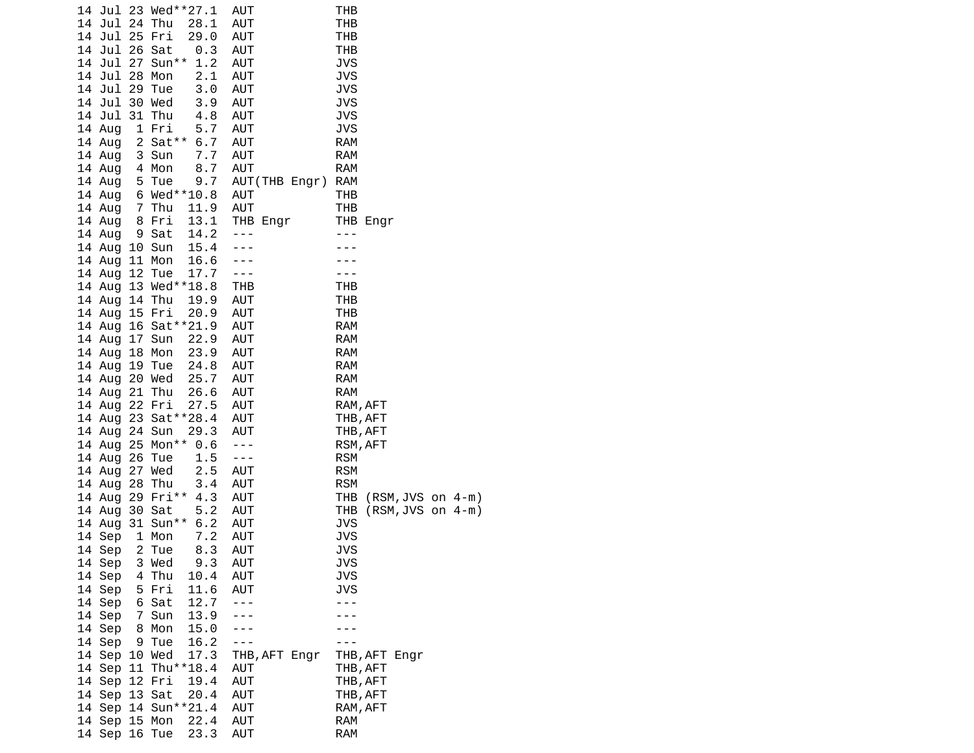|  |               | 14 Jul 23 Wed**27.1      | AUT                  | THB                          |
|--|---------------|--------------------------|----------------------|------------------------------|
|  | 14 Jul 24 Thu | 28.1                     | AUT                  | THB                          |
|  | 14 Jul 25 Fri | 29.0                     | AUT                  | THB                          |
|  | 14 Jul 26 Sat | 0.3                      | AUT                  | THB                          |
|  |               | 14 Jul 27 Sun** 1.2      | AUT                  | <b>JVS</b>                   |
|  | 14 Jul 28 Mon | 2.1                      | AUT                  | <b>JVS</b>                   |
|  | 14 Jul 29 Tue | 3.0                      | AUT                  | <b>JVS</b>                   |
|  | 14 Jul 30 Wed | 3.9                      | AUT                  | <b>JVS</b>                   |
|  | 14 Jul        | ى . 3<br>4 . 8<br>31 Thu | AUT                  | <b>JVS</b>                   |
|  | 14 Aug        | 5.7<br>1 Fri             | AUT                  | <b>JVS</b>                   |
|  | 14 Aug        | 2 Sat** 6.7              | AUT                  | <b>RAM</b>                   |
|  |               |                          |                      | <b>RAM</b>                   |
|  | 14 Aug        | 7.7<br>3 Sun<br>4 Mon    | AUT                  |                              |
|  | 14 Aug        | 8.7<br>9.7               | AUT                  | <b>RAM</b>                   |
|  | 14 Aug        | 5 Tue                    | AUT(THB Engr) RAM    |                              |
|  | 14 Aug        | 6 Wed**10.8              | AUT                  | THB                          |
|  | 14 Aug        | 7 Thu<br>11.9            | AUT                  | THB                          |
|  | 14 Aug        | 8 Fri<br>13.1            | THB Engr             | THB Engr                     |
|  | 14 Aug        | 14.2<br>9 Sat            | $- - -$              |                              |
|  | 14 Aug 10 Sun | 15.4                     | $- - -$              |                              |
|  | 14 Aug 11 Mon | 16.6                     | $- - -$              |                              |
|  | 14 Aug 12 Tue | 17.7                     | $- - -$              |                              |
|  |               | 14 Aug 13 Wed**18.8      | <b>THB</b>           | THB                          |
|  |               | 14 Aug 14 Thu 19.9       | AUT                  | THB                          |
|  |               | 14 Aug 15 Fri<br>20.9    | AUT                  | THB                          |
|  |               | 14 Aug 16 Sat ** 21.9    | AUT                  | <b>RAM</b>                   |
|  | 14 Aug 17 Sun | 22.9                     | AUT                  | <b>RAM</b>                   |
|  | 14 Aug 18 Mon | 23.9                     | AUT                  | <b>RAM</b>                   |
|  | 14 Aug 19 Tue | 24.8                     | AUT                  | <b>RAM</b>                   |
|  |               | 25.7<br>14 Aug 20 Wed    | AUT                  | <b>RAM</b>                   |
|  | 14 Aug 21 Thu | 26.6                     | AUT                  | <b>RAM</b>                   |
|  | 14 Aug 22 Fri | 27.5                     | AUT                  | RAM, AFT                     |
|  |               | 14 Aug 23 Sat ** 28.4    | AUT                  | THB, AFT                     |
|  | 14 Aug 24 Sun | 29.3                     | AUT                  | THB, AFT                     |
|  |               | 14 Aug 25 Mon**          | $\sim$ $\sim$ $\sim$ |                              |
|  |               | 0.6                      |                      | RSM, AFT                     |
|  | 14 Aug 26 Tue | 1.5                      | $\sim$ $\sim$ $\sim$ | <b>RSM</b>                   |
|  | 14 Aug 27 Wed | 2.5                      | AUT                  | <b>RSM</b>                   |
|  | 14 Aug 28 Thu | 3.4                      | AUT                  | <b>RSM</b>                   |
|  |               | 14 Aug 29 Fri**<br>4.3   | AUT                  | THB<br>$(RSM, JVS$ on $4-m)$ |
|  | 14 Aug 30 Sat | 5.2                      | AUT                  | THB<br>$(RSM, JVS$ on $4-m)$ |
|  |               | 14 Aug 31 Sun** 6.2      | AUT                  | <b>JVS</b>                   |
|  | 14 Sep        | 7.2<br>1 Mon             | AUT                  | <b>JVS</b>                   |
|  | 14 Sep        | 2 Tue<br>8.3             | <b>AUT</b>           | <b>JVS</b>                   |
|  | 14 Sep        | 3 Wed<br>9.3             | AUT                  | <b>JVS</b>                   |
|  | 14 Sep        | 4 Thu<br>10.4            | <b>AUT</b>           | JVS                          |
|  | 14 Sep        | 11.6<br>5 Fri            | AUT                  | JVS                          |
|  | 14 Sep        | 12.7<br>6 Sat            |                      |                              |
|  | 14 Sep        | 7 Sun<br>13.9            |                      |                              |
|  | 14 Sep        | 15.0<br>8 Mon            |                      |                              |
|  | 14 Sep        | 9 Tue<br>16.2            |                      |                              |
|  | 14 Sep 10 Wed | 17.3                     | THB, AFT Engr        | THB, AFT Engr                |
|  |               | 14 Sep 11 Thu**18.4      | AUT                  | THB, AFT                     |
|  | 14 Sep 12 Fri | 19.4                     | AUT                  | THB, AFT                     |
|  | 14 Sep 13 Sat | 20.4                     | <b>AUT</b>           | THB, AFT                     |
|  |               | 14 Sep 14 Sun**21.4      | <b>AUT</b>           | RAM, AFT                     |
|  | 14 Sep 15 Mon | 22.4                     | AUT                  | <b>RAM</b>                   |
|  |               | 23.3<br>14 Sep 16 Tue    | <b>AUT</b>           | <b>RAM</b>                   |
|  |               |                          |                      |                              |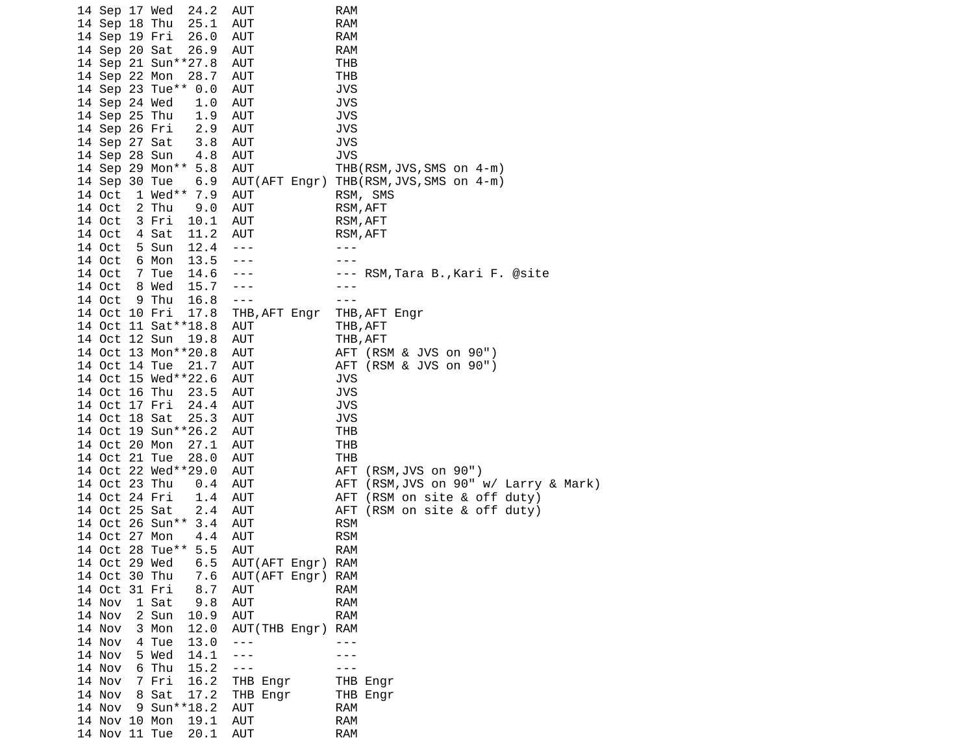|  | 14 Sep 17 Wed |   | 24.2                | AUT           | <b>RAM</b>                              |
|--|---------------|---|---------------------|---------------|-----------------------------------------|
|  | 14 Sep 18 Thu |   | 25.1                | <b>AUT</b>    | <b>RAM</b>                              |
|  | 14 Sep 19 Fri |   | 26.0                | AUT           | <b>RAM</b>                              |
|  | 14 Sep 20 Sat |   | 26.9                | AUT           | <b>RAM</b>                              |
|  |               |   | 14 Sep 21 Sun**27.8 | AUT           | THB                                     |
|  | 14 Sep 22 Mon |   | 28.7                | AUT           | THB                                     |
|  |               |   | 14 Sep 23 Tue** 0.0 | AUT           | JVS                                     |
|  | 14 Sep 24 Wed |   | 1.0                 | AUT           | <b>JVS</b>                              |
|  | 14 Sep 25 Thu |   | 1.9                 | AUT           | <b>JVS</b>                              |
|  | 14 Sep 26 Fri |   | 2.9                 | <b>AUT</b>    | <b>JVS</b>                              |
|  | 14 Sep 27 Sat |   | 3.8                 | AUT           | JVS                                     |
|  | 14 Sep 28 Sun |   | 4.8                 | <b>AUT</b>    | JVS                                     |
|  |               |   | 14 Sep 29 Mon** 5.8 | <b>AUT</b>    | THB(RSM,JVS,SMS on 4-m)                 |
|  | 14 Sep 30 Tue |   | 6.9                 |               | AUT(AFT Engr) THB(RSM, JVS, SMS on 4-m) |
|  | 14 Oct        |   | 1 Wed** 7.9         | AUT           | RSM, SMS                                |
|  | 14 Oct        |   | 2 Thu<br>9.0        | AUT           | RSM, AFT                                |
|  | 14 Oct        |   | 3 Fri<br>10.1       | <b>AUT</b>    | RSM, AFT                                |
|  | 14 Oct        |   | 4 Sat<br>11.2       | AUT           | RSM, AFT                                |
|  | 14 Oct        |   | 12.4<br>5 Sun       | $- - -$       | ---                                     |
|  | 14 Oct        |   | 6 Mon<br>13.5       |               |                                         |
|  | 14 Oct        |   | 7 Tue<br>14.6       |               | --- RSM,Tara B.,Kari F. @site           |
|  | 14 Oct        |   | 8 Wed<br>15.7       |               |                                         |
|  | 14 Oct        |   | 9 Thu<br>16.8       | $- - -$       | - - -                                   |
|  | 14 Oct 10 Fri |   | 17.8                | THB, AFT Engr | THB, AFT Engr                           |
|  |               |   | 14 Oct 11 Sat**18.8 | AUT           | THB, AFT                                |
|  | 14 Oct 12 Sun |   | 19.8                | AUT           | THB, AFT                                |
|  |               |   | 14 Oct 13 Mon**20.8 | AUT           | AFT (RSM & JVS on 90")                  |
|  | 14 Oct 14 Tue |   | 21.7                | AUT           | AFT (RSM & JVS on 90")                  |
|  |               |   | 14 Oct 15 Wed**22.6 | AUT           | JVS                                     |
|  | 14 Oct 16 Thu |   | 23.5                | AUT           | JVS                                     |
|  | 14 Oct 17 Fri |   | 24.4                | <b>AUT</b>    | <b>JVS</b>                              |
|  | 14 Oct 18 Sat |   | 25.3                | AUT           | <b>JVS</b>                              |
|  |               |   | 14 Oct 19 Sun**26.2 | AUT           | THB                                     |
|  | 14 Oct 20 Mon |   | 27.1                | AUT           | THB                                     |
|  | 14 Oct 21 Tue |   | 28.0                | AUT           | THB                                     |
|  |               |   | 14 Oct 22 Wed**29.0 | AUT           | (RSM, JVS on 90")<br>AFT                |
|  | 14 Oct 23 Thu |   | 0.4                 | AUT           | AFT (RSM, JVS on 90" w/ Larry & Mark)   |
|  | 14 Oct 24 Fri |   | 1.4                 | AUT           | (RSM on site & off duty)<br>AFT         |
|  | 14 Oct 25 Sat |   | 2.4                 | AUT           | (RSM on site & off duty)<br>AFT         |
|  |               |   | 14 Oct 26 Sun** 3.4 | <b>AUT</b>    | <b>RSM</b>                              |
|  | 14 Oct 27 Mon |   | 4.4                 | AUT           | <b>RSM</b>                              |
|  |               |   | 14 Oct 28 Tue** 5.5 | AUT           | <b>RAM</b>                              |
|  | 14 Oct 29 Wed |   | 6.5                 | AUT(AFT Engr) | <b>RAM</b>                              |
|  | 14 Oct 30 Thu |   | 7.6                 | AUT(AFT Engr) | <b>RAM</b>                              |
|  | 14 Oct 31 Fri |   | 8.7                 | <b>AUT</b>    | <b>RAM</b>                              |
|  | 14 Nov        |   | 9.8<br>1 Sat        | <b>AUT</b>    | RAM                                     |
|  | 14 Nov        |   | 2 Sun<br>10.9       | <b>AUT</b>    | <b>RAM</b>                              |
|  | 14 Nov        |   | 12.0<br>3 Mon       | AUT(THB Engr) | <b>RAM</b>                              |
|  | 14 Nov        |   | 4 Tue<br>13.0       |               |                                         |
|  | 14 Nov        |   | 5 Wed<br>14.1       |               |                                         |
|  | 14 Nov        |   | 6 Thu<br>15.2       | $- - -$       |                                         |
|  | 14 Nov        |   | 7 Fri<br>16.2       | THB Engr      |                                         |
|  | 14 Nov        | 8 | Sat<br>17.2         |               | THB Engr                                |
|  | 14 Nov        |   | 9 Sun**18.2         | THB Engr      | THB Engr                                |
|  |               |   |                     | AUT           | <b>RAM</b>                              |
|  | 14 Nov 10 Mon |   | 19.1                | AUT           | <b>RAM</b>                              |
|  | 14 Nov 11 Tue |   | 20.1                | <b>AUT</b>    | <b>RAM</b>                              |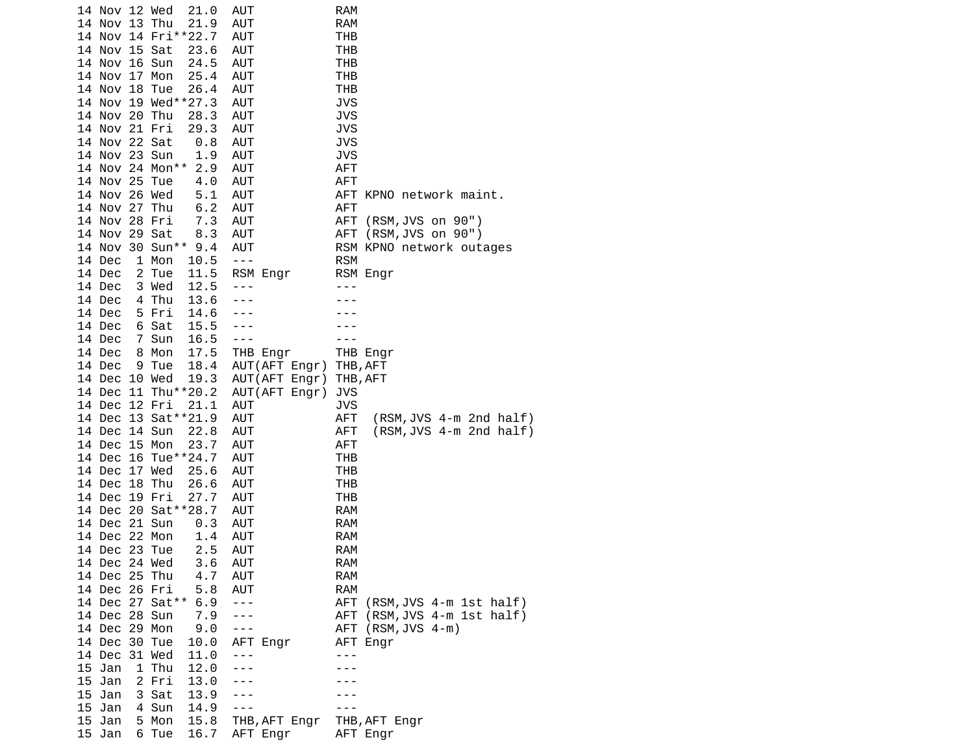|                  | 14 Nov 12 Wed                                                                          | 21.0                                                                                                                                                                                                                                                                                                                                         | AUT                                                                                                                                                                                                                                                   | RAM                                                                                                                                           |
|------------------|----------------------------------------------------------------------------------------|----------------------------------------------------------------------------------------------------------------------------------------------------------------------------------------------------------------------------------------------------------------------------------------------------------------------------------------------|-------------------------------------------------------------------------------------------------------------------------------------------------------------------------------------------------------------------------------------------------------|-----------------------------------------------------------------------------------------------------------------------------------------------|
| 14 Nov 13 Thu    |                                                                                        | 21.9                                                                                                                                                                                                                                                                                                                                         | AUT                                                                                                                                                                                                                                                   | <b>RAM</b>                                                                                                                                    |
|                  | 14 Nov 14 Fri**22.7                                                                    |                                                                                                                                                                                                                                                                                                                                              | AUT                                                                                                                                                                                                                                                   | THB                                                                                                                                           |
|                  |                                                                                        | 23.6                                                                                                                                                                                                                                                                                                                                         | <b>AUT</b>                                                                                                                                                                                                                                            | THB                                                                                                                                           |
|                  |                                                                                        | 24.5                                                                                                                                                                                                                                                                                                                                         | AUT                                                                                                                                                                                                                                                   | THB                                                                                                                                           |
|                  |                                                                                        | 25.4                                                                                                                                                                                                                                                                                                                                         | <b>AUT</b>                                                                                                                                                                                                                                            | THB                                                                                                                                           |
|                  |                                                                                        | 26.4                                                                                                                                                                                                                                                                                                                                         | AUT                                                                                                                                                                                                                                                   | THB                                                                                                                                           |
|                  |                                                                                        |                                                                                                                                                                                                                                                                                                                                              | <b>AUT</b>                                                                                                                                                                                                                                            | JVS                                                                                                                                           |
|                  |                                                                                        | 28.3                                                                                                                                                                                                                                                                                                                                         | <b>AUT</b>                                                                                                                                                                                                                                            | <b>JVS</b>                                                                                                                                    |
|                  |                                                                                        |                                                                                                                                                                                                                                                                                                                                              |                                                                                                                                                                                                                                                       | <b>JVS</b>                                                                                                                                    |
|                  |                                                                                        | 0.8                                                                                                                                                                                                                                                                                                                                          | AUT                                                                                                                                                                                                                                                   | JVS                                                                                                                                           |
|                  |                                                                                        | 1.9                                                                                                                                                                                                                                                                                                                                          | <b>AUT</b>                                                                                                                                                                                                                                            | JVS                                                                                                                                           |
|                  |                                                                                        |                                                                                                                                                                                                                                                                                                                                              | AUT                                                                                                                                                                                                                                                   | <b>AFT</b>                                                                                                                                    |
|                  |                                                                                        |                                                                                                                                                                                                                                                                                                                                              |                                                                                                                                                                                                                                                       | <b>AFT</b>                                                                                                                                    |
|                  |                                                                                        |                                                                                                                                                                                                                                                                                                                                              | AUT                                                                                                                                                                                                                                                   | AFT KPNO network maint.                                                                                                                       |
|                  |                                                                                        |                                                                                                                                                                                                                                                                                                                                              | AUT                                                                                                                                                                                                                                                   | AFT                                                                                                                                           |
|                  |                                                                                        |                                                                                                                                                                                                                                                                                                                                              |                                                                                                                                                                                                                                                       | AFT<br>(RSM, JVS on 90")                                                                                                                      |
|                  |                                                                                        |                                                                                                                                                                                                                                                                                                                                              |                                                                                                                                                                                                                                                       | (RSM, JVS on 90")<br>AFT                                                                                                                      |
|                  |                                                                                        |                                                                                                                                                                                                                                                                                                                                              |                                                                                                                                                                                                                                                       | RSM KPNO network outages                                                                                                                      |
|                  |                                                                                        |                                                                                                                                                                                                                                                                                                                                              | $- - -$                                                                                                                                                                                                                                               | <b>RSM</b>                                                                                                                                    |
|                  |                                                                                        |                                                                                                                                                                                                                                                                                                                                              |                                                                                                                                                                                                                                                       | RSM Engr                                                                                                                                      |
|                  |                                                                                        |                                                                                                                                                                                                                                                                                                                                              | $- - -$                                                                                                                                                                                                                                               |                                                                                                                                               |
|                  |                                                                                        |                                                                                                                                                                                                                                                                                                                                              |                                                                                                                                                                                                                                                       |                                                                                                                                               |
|                  |                                                                                        |                                                                                                                                                                                                                                                                                                                                              |                                                                                                                                                                                                                                                       |                                                                                                                                               |
|                  |                                                                                        |                                                                                                                                                                                                                                                                                                                                              |                                                                                                                                                                                                                                                       |                                                                                                                                               |
|                  |                                                                                        |                                                                                                                                                                                                                                                                                                                                              |                                                                                                                                                                                                                                                       |                                                                                                                                               |
|                  |                                                                                        |                                                                                                                                                                                                                                                                                                                                              |                                                                                                                                                                                                                                                       | THB Engr                                                                                                                                      |
|                  |                                                                                        |                                                                                                                                                                                                                                                                                                                                              |                                                                                                                                                                                                                                                       | THB, AFT                                                                                                                                      |
|                  |                                                                                        |                                                                                                                                                                                                                                                                                                                                              |                                                                                                                                                                                                                                                       | THB, AFT                                                                                                                                      |
|                  |                                                                                        |                                                                                                                                                                                                                                                                                                                                              |                                                                                                                                                                                                                                                       | <b>JVS</b>                                                                                                                                    |
|                  |                                                                                        |                                                                                                                                                                                                                                                                                                                                              |                                                                                                                                                                                                                                                       | JVS                                                                                                                                           |
|                  |                                                                                        |                                                                                                                                                                                                                                                                                                                                              |                                                                                                                                                                                                                                                       | <b>AFT</b><br>(RSM,JVS 4-m 2nd half)                                                                                                          |
|                  |                                                                                        |                                                                                                                                                                                                                                                                                                                                              |                                                                                                                                                                                                                                                       |                                                                                                                                               |
| 14 Dec 14 Sun    |                                                                                        | 22.8                                                                                                                                                                                                                                                                                                                                         | AUT                                                                                                                                                                                                                                                   | <b>AFT</b><br>$(RSM,JVS 4-m 2nd half)$                                                                                                        |
| 14 Dec 15 Mon    |                                                                                        | 23.7                                                                                                                                                                                                                                                                                                                                         | <b>AUT</b>                                                                                                                                                                                                                                            | <b>AFT</b>                                                                                                                                    |
|                  | 14 Dec 16 Tue**24.7                                                                    |                                                                                                                                                                                                                                                                                                                                              | AUT                                                                                                                                                                                                                                                   | THB                                                                                                                                           |
| 14 Dec 17 Wed    |                                                                                        | 25.6                                                                                                                                                                                                                                                                                                                                         | AUT                                                                                                                                                                                                                                                   | THB                                                                                                                                           |
| 14 Dec 18 Thu    |                                                                                        | 26.6                                                                                                                                                                                                                                                                                                                                         | AUT                                                                                                                                                                                                                                                   | THB                                                                                                                                           |
| 14 Dec 19 Fri    |                                                                                        | 27.7                                                                                                                                                                                                                                                                                                                                         | AUT                                                                                                                                                                                                                                                   | THB                                                                                                                                           |
|                  |                                                                                        | 14 Dec 20 Sat ** 28.7                                                                                                                                                                                                                                                                                                                        | AUT                                                                                                                                                                                                                                                   | <b>RAM</b>                                                                                                                                    |
| 14 Dec 21 Sun    |                                                                                        | 0.3                                                                                                                                                                                                                                                                                                                                          | AUT                                                                                                                                                                                                                                                   | <b>RAM</b>                                                                                                                                    |
| 14 Dec 22 Mon    |                                                                                        | 1.4                                                                                                                                                                                                                                                                                                                                          | AUT                                                                                                                                                                                                                                                   | RAM                                                                                                                                           |
| 14 Dec 23 Tue    |                                                                                        | 2.5                                                                                                                                                                                                                                                                                                                                          | <b>AUT</b>                                                                                                                                                                                                                                            | RAM                                                                                                                                           |
| 14 Dec 24 Wed    |                                                                                        | 3.6                                                                                                                                                                                                                                                                                                                                          | <b>AUT</b>                                                                                                                                                                                                                                            | RAM                                                                                                                                           |
| 14 Dec 25 Thu    |                                                                                        | 4.7                                                                                                                                                                                                                                                                                                                                          | AUT                                                                                                                                                                                                                                                   | <b>RAM</b>                                                                                                                                    |
| 14 Dec 26 Fri    |                                                                                        | 5.8                                                                                                                                                                                                                                                                                                                                          | AUT<br>$- - -$                                                                                                                                                                                                                                        | <b>RAM</b>                                                                                                                                    |
|                  | 14 Dec 27 Sat**                                                                        | 6.9                                                                                                                                                                                                                                                                                                                                          | $- - -$                                                                                                                                                                                                                                               | AFT (RSM, JVS 4-m 1st half)                                                                                                                   |
| 14 Dec 28 Sun    |                                                                                        | 7.9                                                                                                                                                                                                                                                                                                                                          | $- - -$                                                                                                                                                                                                                                               | (RSM, JVS 4-m 1st half)<br>AFT                                                                                                                |
| 14 Dec 29 Mon    |                                                                                        | 9.0                                                                                                                                                                                                                                                                                                                                          |                                                                                                                                                                                                                                                       | $(RSM, JVS 4-m)$<br>AFT                                                                                                                       |
| 14 Dec 30 Tue    |                                                                                        | 10.0                                                                                                                                                                                                                                                                                                                                         | AFT Engr<br>---                                                                                                                                                                                                                                       | AFT Engr<br>- - -                                                                                                                             |
| 14 Dec 31 Wed    |                                                                                        | 11.0                                                                                                                                                                                                                                                                                                                                         |                                                                                                                                                                                                                                                       |                                                                                                                                               |
| 15 Jan           | 1 Thu                                                                                  | 12.0                                                                                                                                                                                                                                                                                                                                         | $- - -$                                                                                                                                                                                                                                               |                                                                                                                                               |
| 15 Jan<br>15 Jan | 2 Fri                                                                                  | 13.0<br>13.9                                                                                                                                                                                                                                                                                                                                 | - - -                                                                                                                                                                                                                                                 |                                                                                                                                               |
| 15 Jan           | 3 Sat<br>4 Sun                                                                         | 14.9                                                                                                                                                                                                                                                                                                                                         | $- - -$                                                                                                                                                                                                                                               |                                                                                                                                               |
| 15 Jan           | 5 Mon                                                                                  | 15.8                                                                                                                                                                                                                                                                                                                                         | THB, AFT Engr                                                                                                                                                                                                                                         | THB,AFT Engr                                                                                                                                  |
|                  | 14 Dec<br>14 Dec<br>14 Dec<br>14 Dec<br>14 Dec<br>14 Dec<br>14 Dec<br>14 Dec<br>14 Dec | 14 Nov 15 Sat<br>14 Nov 16 Sun<br>14 Nov 17 Mon<br>14 Nov 18 Tue<br>14 Nov 20 Thu<br>14 Nov 21 Fri<br>14 Nov 22 Sat<br>14 Nov 23 Sun<br>14 Nov 25 Tue<br>14 Nov 26 Wed<br>14 Nov 27 Thu<br>14 Nov 28 Fri<br>14 Nov 29 Sat<br>1 Mon<br>2 Tue<br>3 Wed<br>4 Thu<br>5 Fri<br>6 Sat<br>7 Sun<br>8 Mon<br>9 Tue<br>14 Dec 10 Wed<br>14 Dec 12 Fri | 14 Nov 19 Wed**27.3<br>29.3<br>14 Nov 24 Mon**<br>2.9<br>4.0<br>5.1<br>6.2<br>7.3<br>8.3<br>14 Nov 30 Sun** 9.4<br>10.5<br>11.5<br>12.5<br>13.6<br>14.6<br>15.5<br>16.5<br>17.5<br>18.4<br>19.3<br>14 Dec 11 Thu**20.2<br>21.1<br>14 Dec 13 Sat**21.9 | <b>AUT</b><br>AUT<br><b>AUT</b><br><b>AUT</b><br>AUT<br>RSM Engr<br>THB Engr<br>AUT(AFT Engr)<br>AUT(AFT Engr)<br>AUT(AFT Engr)<br>AUT<br>AUT |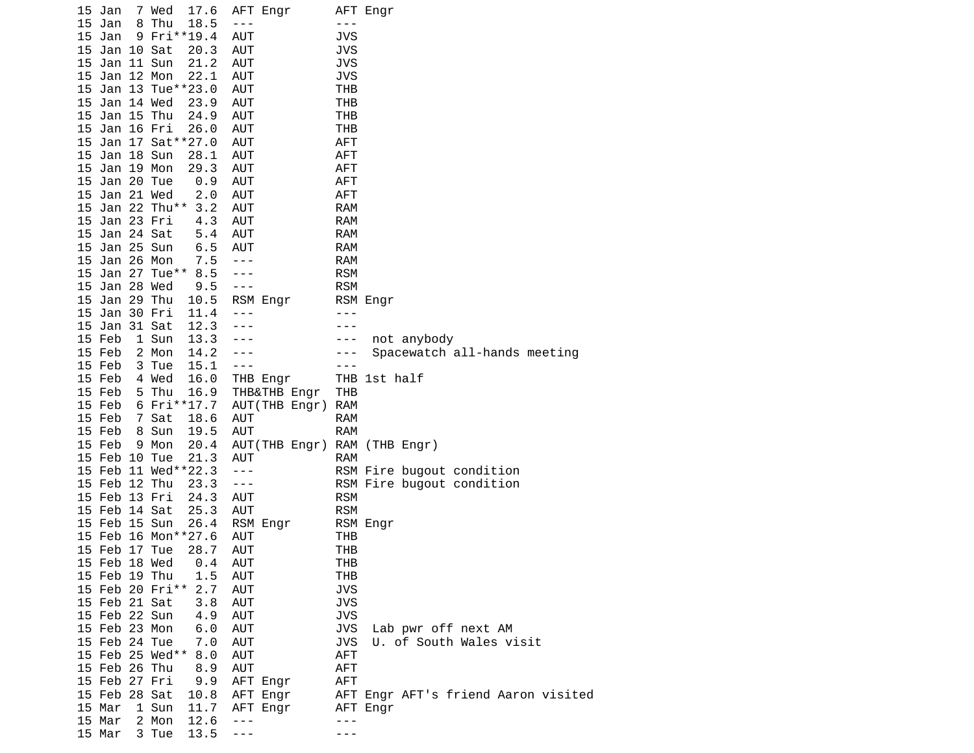|    | 15 Jan        |   | 7 Wed<br>17.6          | AFT Engr                     |            | AFT Engr                            |
|----|---------------|---|------------------------|------------------------------|------------|-------------------------------------|
| 15 | Jan           | 8 | Thu<br>18.5            | $- - -$                      | $- - -$    |                                     |
| 15 | Jan           |   | 9 Fri**19.4            | <b>AUT</b>                   | JVS        |                                     |
| 15 | Jan 10 Sat    |   | 20.3                   | <b>AUT</b>                   | JVS        |                                     |
| 15 | Jan 11 Sun    |   | 21.2                   | AUT                          | JVS        |                                     |
| 15 | Jan 12 Mon    |   | 22.1                   | <b>AUT</b>                   | <b>JVS</b> |                                     |
| 15 |               |   | Jan 13 Tue**23.0       | <b>AUT</b>                   | THB        |                                     |
|    | 15 Jan 14 Wed |   | 23.9                   | AUT                          | THB        |                                     |
| 15 | Jan 15 Thu    |   | 24.9                   | AUT                          | THB        |                                     |
| 15 | Jan 16 Fri    |   | 26.0                   | AUT                          | THB        |                                     |
| 15 |               |   | Jan 17 Sat**27.0       | <b>AUT</b>                   | <b>AFT</b> |                                     |
| 15 | Jan 18 Sun    |   | 28.1                   | AUT                          | <b>AFT</b> |                                     |
|    | 15 Jan 19 Mon |   | 29.3                   | <b>AUT</b>                   | AFT        |                                     |
| 15 | Jan 20 Tue    |   | 0.9                    | <b>AUT</b>                   | <b>AFT</b> |                                     |
| 15 | Jan 21 Wed    |   | 2.0                    | <b>AUT</b>                   | <b>AFT</b> |                                     |
|    |               |   | 15 Jan 22 Thu**<br>3.2 | AUT                          | <b>RAM</b> |                                     |
|    | 15 Jan 23 Fri |   | 4.3                    | <b>AUT</b>                   | <b>RAM</b> |                                     |
| 15 | Jan 24 Sat    |   | 5.4                    | AUT                          | <b>RAM</b> |                                     |
| 15 | Jan 25 Sun    |   | 6.5                    | AUT                          | <b>RAM</b> |                                     |
| 15 | Jan 26 Mon    |   | 7.5                    | $- - -$                      | <b>RAM</b> |                                     |
| 15 |               |   | Jan 27 Tue** 8.5       | $- - -$                      | <b>RSM</b> |                                     |
|    | 15 Jan 28 Wed |   | 9.5                    | $- - -$                      | <b>RSM</b> |                                     |
| 15 | Jan 29 Thu    |   | 10.5                   | RSM Engr                     |            | RSM Engr                            |
| 15 | Jan 30 Fri    |   | 11.4                   | $- - -$                      | - - -      |                                     |
|    | 15 Jan 31 Sat |   | 12.3                   | ---                          | - - -      |                                     |
|    | 15 Feb        |   | 1 Sun<br>13.3          |                              | - - -      | not anybody                         |
|    | 15 Feb        |   | 2 Mon<br>14.2          |                              | ---        | Spacewatch all-hands meeting        |
|    | 15 Feb        |   | 15.1<br>3 Tue          | ---                          |            |                                     |
|    | 15 Feb        |   | 4 Wed<br>16.0          | THB Engr                     |            | THB 1st half                        |
|    | 15 Feb        |   | 5 Thu<br>16.9          | THB&THB Engr                 | THB        |                                     |
|    | 15 Feb        |   | 6 Fri**17.7            | AUT(THB Engr)                | <b>RAM</b> |                                     |
|    | 15 Feb        |   | 7 Sat<br>18.6          | <b>AUT</b>                   | <b>RAM</b> |                                     |
|    | 15 Feb        |   | 8 Sun<br>19.5          | AUT                          | <b>RAM</b> |                                     |
|    | 15 Feb        |   | 9 Mon<br>20.4          | AUT(THB Engr) RAM (THB Engr) |            |                                     |
|    | 15 Feb 10 Tue |   | 21.3                   | <b>AUT</b>                   | <b>RAM</b> |                                     |
|    |               |   | 15 Feb 11 Wed**22.3    | $- - -$                      |            | RSM Fire bugout condition           |
|    | 15 Feb 12 Thu |   | 23.3                   | $- - -$                      |            | RSM Fire bugout condition           |
|    | 15 Feb 13 Fri |   | 24.3                   | AUT                          | <b>RSM</b> |                                     |
|    | 15 Feb 14 Sat |   | 25.3                   | AUT                          | <b>RSM</b> |                                     |
|    | 15 Feb 15 Sun |   | 26.4                   | RSM Engr                     |            | RSM Engr                            |
|    |               |   | 15 Feb 16 Mon**27.6    | AUT                          | THB        |                                     |
|    | 15 Feb 17 Tue |   | 28.7                   | AUT                          | THB        |                                     |
|    | 15 Feb 18 Wed |   | 0.4                    | <b>AUT</b>                   | THB        |                                     |
|    | 15 Feb 19 Thu |   | 1.5                    | <b>AUT</b>                   | THB        |                                     |
|    |               |   | 15 Feb 20 Fri**<br>2.7 | AUT                          | <b>JVS</b> |                                     |
|    | 15 Feb 21 Sat |   | 3.8                    | <b>AUT</b>                   | <b>JVS</b> |                                     |
|    | 15 Feb 22 Sun |   | 4.9                    | <b>AUT</b>                   | <b>JVS</b> |                                     |
|    | 15 Feb 23 Mon |   | 6.0                    | AUT                          | <b>JVS</b> | Lab pwr off next AM                 |
|    | 15 Feb 24 Tue |   | 7.0                    | <b>AUT</b>                   | <b>JVS</b> | U. of South Wales visit             |
|    |               |   | 15 Feb 25 Wed**<br>8.0 | <b>AUT</b>                   | AFT        |                                     |
|    | 15 Feb 26 Thu |   | 8.9                    | AUT                          | <b>AFT</b> |                                     |
|    | 15 Feb 27 Fri |   | 9.9                    | AFT Engr                     | AFT        |                                     |
|    | 15 Feb 28 Sat |   | 10.8                   | AFT Engr                     |            | AFT Engr AFT's friend Aaron visited |
|    | 15 Mar        |   | 11.7<br>1 Sun          | AFT Engr                     |            | AFT Engr                            |
|    | 15 Mar        |   | 2 Mon<br>12.6          | $- - -$                      | $- - -$    |                                     |
|    | 15 Mar        |   | 13.5<br>3 Tue          | ---                          | - - -      |                                     |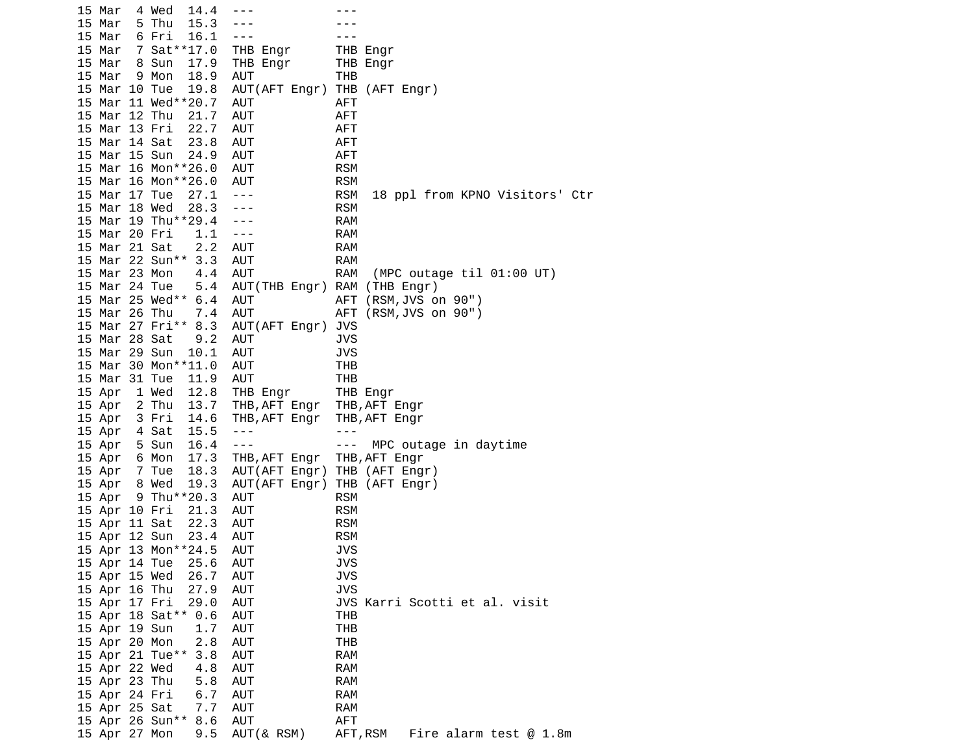15 Mar 4 Wed 14.4 --- -- -- --- 15 Mar 5 Thu 15.3 --- --- 15 Mar 6 Fri 16.1 --- - --- --- 15 Mar 7 Sat\*\*17.0 THB Engr THB Engr 15 Mar 8 Sun 17.9 THB Engr THB Engr 15 Mar 9 Mon 18.9 AUT THB<br>15 Mar 10 Tue 19.8 AUT(AFT Engr) THB AUT(AFT Engr) THB (AFT Engr) 15 Mar 11 Wed\*\*20.7 AUT AFT 15 Mar 12 Thu 21.7 AUT **AFT**  15 Mar 13 Fri 22.7 AUT AFT 15 Mar 14 Sat 23.8 AUT 15 Mar 15 Sun 24.9 AUT AFT 15 Mar 16 Mon\*\*26.0 AUT RSM 15 Mar 16 Mon\*\*26.0 AUT 15 Mar 17 Tue 27.1 --- RSM 18 ppl from KPNO Visitors' Ctr 15 Mar 18 Wed 28.3 --- RSM 15 Mar 19 Thu\*\*29.4 --- RAM 15 Mar 20 Fri 1.1 --- 15 Mar 21 Sat 2.2 AUT RAM 15 Mar 22 Sun\*\* 3.3 AUT RAM 15 Mar 23 Mon 4.4 AUT RAM (MPC outage til 01:00 UT) 15 Mar 24 Tue 5.4 AUT(THB Engr) RAM (THB Engr) 15 Mar 25 Wed\*\* 6.4 AUT AFT (RSM,JVS on 90") 15 Mar 26 Thu 7.4 AUT AFT (RSM,JVS on 90") 15 Mar 27 Fri\*\* 8.3 AUT(AFT Engr) JVS 15 Mar 28 Sat 9.2 AUT JVS 15 Mar 29 Sun 10.1 AUT JVS 15 Mar 30 Mon\*\*11.0 AUT THB 15 Mar 31 Tue 11.9 AUT THB 15 Apr 1 Wed 12.8 THB Engr THB Engr 15 Apr 2 Thu 13.7 THB, AFT Engr 15 Apr 3 Fri 14.6 THB,AFT Engr THB,AFT Engr 15 Apr 4 Sat 15.5 --- - -- ---15 Apr 5 Sun 16.4 --- - - - MPC outage in daytime 15 Apr 6 Mon 17.3 THB,AFT Engr THB,AFT Engr 15 Apr 7 Tue 18.3 AUT(AFT Engr) THB (AFT Engr) 15 Apr 8 Wed 19.3 AUT(AFT Engr) THB (AFT Engr) 15 Apr 9 Thu\*\*20.3 AUT RSM 15 Apr 10 Fri 21.3 AUT 15 Apr 11 Sat 22.3 AUT RSM 15 Apr 12 Sun 23.4 AUT RSM 15 Apr 13 Mon\*\*24.5 AUT JVS 15 Apr 14 Tue 25.6 AUT 15 Apr 15 Wed 26.7 AUT JVS 15 Apr 16 Thu 27.9 AUT JVS 15 Apr 17 Fri 29.0 AUT JVS Karri Scotti et al. visit 15 Apr 18 Sat\*\* 0.6 AUT THB 15 Apr 19 Sun 1.7 AUT THB 15 Apr 20 Mon 2.8 AUT THB 15 Apr 21 Tue\*\* 3.8 AUT RAM 15 Apr 22 Wed 4.8 AUT RAM 15 Apr 23 Thu 5.8 AUT RAM 15 Apr 24 Fri 6.7 AUT RAM 15 Apr 25 Sat 15 Apr 26 Sun\*\* 8.6 AUT AFT 15 Apr 27 Mon 9.5 AUT(& RSM) AFT,RSM Fire alarm test @ 1.8m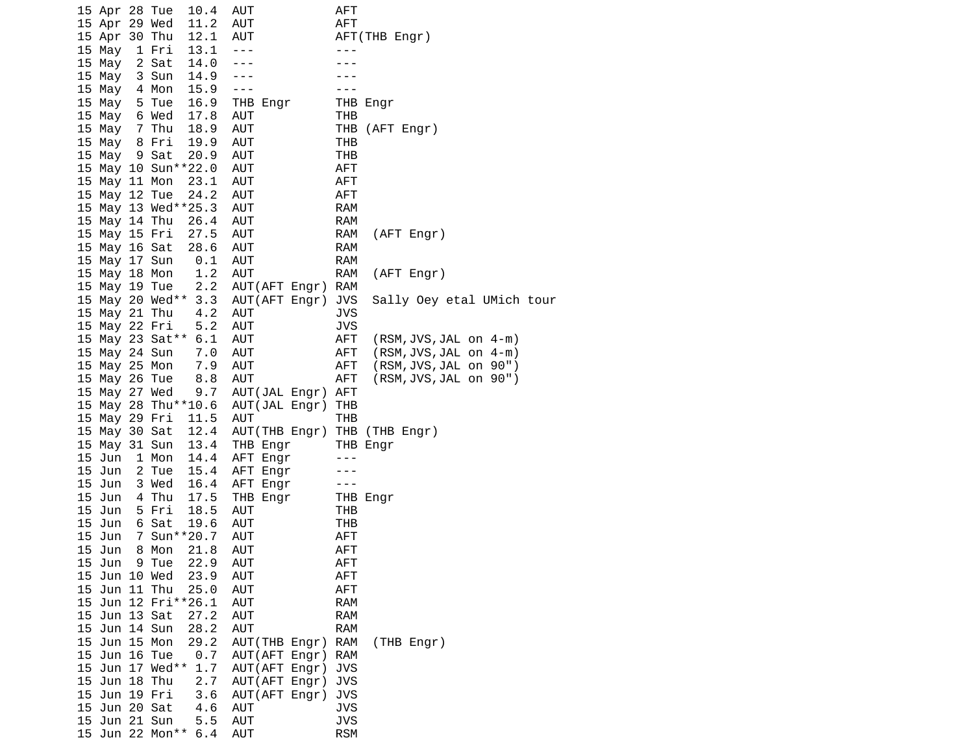| 15 Apr 28 Tue |                 | 10.4                        | AUT                          | AFT        |                            |
|---------------|-----------------|-----------------------------|------------------------------|------------|----------------------------|
| 15 Apr 29 Wed |                 | 11.2                        | AUT                          | AFT        |                            |
| 15 Apr 30 Thu |                 | 12.1                        | AUT                          |            | AFT(THB Engr)              |
| 15 May        | 1 Fri           | 13.1                        | $- - -$                      | $- - -$    |                            |
| 15 May        | 2 Sat           | 14.0                        | ---                          |            |                            |
| 15 May        | 3 Sun           | 14.9                        | $- - -$                      |            |                            |
| 15 May        | 4 Mon           | 15.9                        | $\sim$ $ \sim$               | $- - -$    |                            |
| 15 May        | 5 Tue           | 16.9                        | THB Engr                     |            | THB Engr                   |
| 15 May        | 6 Wed           | 17.8                        | AUT                          | THB        |                            |
| 15 May        | 7 Thu           | 18.9                        | <b>AUT</b>                   |            | THB (AFT Engr)             |
| 15 May        |                 |                             |                              | THB        |                            |
|               | 8 Fri           | 19.9                        | AUT                          |            |                            |
| 15 May        | 9 Sat           | 20.9<br>15 May 10 Sun**22.0 | AUT                          | THB        |                            |
|               |                 |                             | <b>AUT</b>                   | <b>AFT</b> |                            |
| 15 May 11 Mon |                 | 23.1                        | AUT                          | <b>AFT</b> |                            |
| 15 May 12 Tue |                 | 24.2                        | AUT                          | <b>AFT</b> |                            |
|               |                 | 15 May 13 Wed**25.3         | AUT                          | RAM        |                            |
| 15 May 14 Thu |                 | 26.4                        | AUT                          | RAM        |                            |
| 15 May 15 Fri |                 | 27.5                        | AUT                          | RAM        | (AFT Engr)                 |
| 15 May 16 Sat |                 | 28.6                        | AUT                          | RAM        |                            |
| 15 May 17 Sun |                 | 0.1                         | <b>AUT</b>                   | <b>RAM</b> |                            |
| 15 May 18 Mon |                 | 1.2                         | AUT                          | RAM        | (AFT Engr)                 |
| 15 May 19 Tue |                 | 2.2                         | AUT(AFT Engr)                | RAM        |                            |
|               |                 | 15 May 20 Wed** 3.3         | AUT(AFT Engr)                | JVS        | Sally Oey etal UMich tour  |
| 15 May 21 Thu |                 | 4.2                         | AUT                          | JVS        |                            |
| 15 May 22 Fri |                 | 5.2                         | AUT                          | <b>JVS</b> |                            |
|               |                 | 15 May 23 Sat** 6.1         | AUT                          | AFT        | $(RSM, JVS, JAL$ on $4-m)$ |
| 15 May 24 Sun |                 | 7.0                         | AUT                          | AFT        | $(RSM, JVS, JAL$ on $4-m)$ |
| 15 May 25 Mon |                 | 7.9                         | AUT                          | <b>AFT</b> | (RSM, JVS, JAL on 90")     |
| 15 May 26 Tue |                 | 8.8                         | AUT                          | AFT        | (RSM, JVS, JAL on 90")     |
| 15 May 27 Wed |                 | 9.7                         | AUT(JAL Engr)                | AFT        |                            |
|               |                 | 15 May 28 Thu**10.6         | AUT(JAL Engr)                | THB        |                            |
| 15 May 29 Fri |                 | 11.5                        | AUT                          | THB        |                            |
| 15 May 30 Sat |                 | 12.4                        | AUT(THB Engr) THB (THB Engr) |            |                            |
| 15 May 31 Sun |                 | 13.4                        | THB Engr                     |            | THB Engr                   |
| 15 Jun        | 1 Mon           | 14.4                        | AFT Engr                     | ---        |                            |
| 15 Jun        | 2 Tue           | 15.4                        | AFT Engr                     |            |                            |
| 15 Jun        | 3 Wed           | 16.4                        | AFT Engr                     | $- - -$    |                            |
| 15 Jun        | 4 Thu           | 17.5                        | THB Engr                     |            | THB Engr                   |
| 15 Jun        | 5 Fri           | 18.5                        | <b>AUT</b>                   | THB        |                            |
| 15 Jun        | 6 Sat           | 19.6                        | AUT                          | THB        |                            |
| 15 Jun        |                 | 7 Sun**20.7                 | <b>AUT</b>                   | <b>AFT</b> |                            |
| 15 Jun        | 8 Mon           | 21.8                        | AUT                          | <b>AFT</b> |                            |
| 15 Jun        | 9 Tue           | 22.9                        | <b>AUT</b>                   | AFT        |                            |
| 15 Jun 10 Wed |                 | 23.9                        | <b>AUT</b>                   | AFT        |                            |
| 15 Jun 11 Thu |                 | 25.0                        | <b>AUT</b>                   | <b>AFT</b> |                            |
|               |                 | 15 Jun 12 Fri**26.1         | <b>AUT</b>                   | <b>RAM</b> |                            |
| 15 Jun 13 Sat |                 | 27.2                        | <b>AUT</b>                   | <b>RAM</b> |                            |
| 15 Jun 14 Sun |                 | 28.2                        | <b>AUT</b>                   | <b>RAM</b> |                            |
| 15 Jun 15 Mon |                 | 29.2                        | AUT (THB Engr)               | <b>RAM</b> | (THB Engr)                 |
| 15 Jun 16 Tue |                 | 0.7                         | AUT(AFT Engr)                | RAM        |                            |
|               | 15 Jun 17 Wed** | 1.7                         | AUT(AFT Engr)                | JVS        |                            |
| 15 Jun 18 Thu |                 | 2.7                         | AUT(AFT Engr)                | <b>JVS</b> |                            |
| 15 Jun 19 Fri |                 | 3.6                         | AUT(AFT Engr)                | <b>JVS</b> |                            |
| 15 Jun 20 Sat |                 | 4.6                         | AUT                          | <b>JVS</b> |                            |
| 15 Jun 21 Sun |                 | 5.5                         | <b>AUT</b>                   | <b>JVS</b> |                            |
|               | 15 Jun 22 Mon** | 6.4                         | AUT                          | <b>RSM</b> |                            |
|               |                 |                             |                              |            |                            |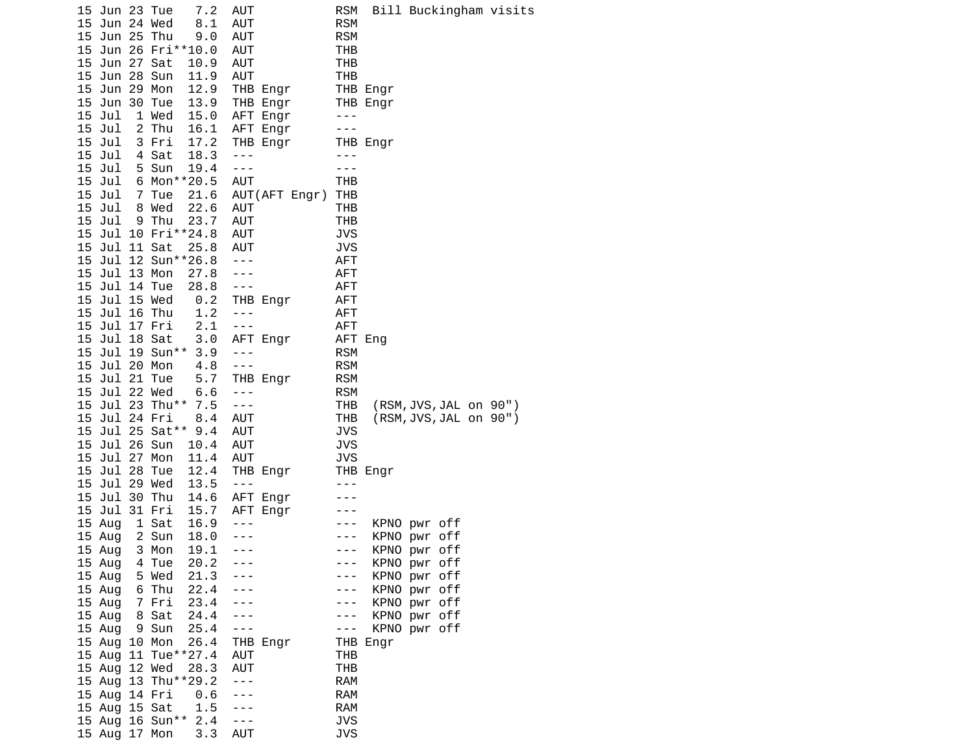|  | 15 Jun 23 Tue<br>15 Jun 24 Wed<br>15 Jun 25 Thu |                                  | 7.2<br>8.1<br>9.0      | AUT<br>AUT<br>AUT       |                      | RSM<br><b>RSM</b><br><b>RSM</b> |                              |                        | Bill Buckingham visits |
|--|-------------------------------------------------|----------------------------------|------------------------|-------------------------|----------------------|---------------------------------|------------------------------|------------------------|------------------------|
|  |                                                 |                                  | 15 Jun 26 Fri**10.0    | AUT                     |                      | THB                             |                              |                        |                        |
|  | 15 Jun 27 Sat                                   |                                  | 10.9                   | AUT                     |                      | THB                             |                              |                        |                        |
|  | 15 Jun 28 Sun                                   |                                  | 11.9                   | AUT                     |                      | THB                             |                              |                        |                        |
|  | 15 Jun 29 Mon                                   |                                  | 12.9                   |                         | THB Engr             |                                 | THB Engr                     |                        |                        |
|  | 15 Jun 30 Tue<br>15 Jul                         | 1 Wed                            | 13.9<br>15.0           |                         | THB Engr             | $  -$                           | THB Engr                     |                        |                        |
|  | 15 Jul                                          | 2 Thu                            | 16.1                   |                         | AFT Engr<br>AFT Engr | $- - -$                         |                              |                        |                        |
|  | 15 Jul                                          | 3 Fri                            | 17.2                   |                         | THB Engr             |                                 | THB Engr                     |                        |                        |
|  | 15 Jul                                          | 4 Sat                            | 18.3                   | $- - -$                 |                      | $- - -$                         |                              |                        |                        |
|  | 15 Jul                                          | 5 Sun                            | 19.4                   | $\sim$ $\sim$ $\sim$    |                      | $- - -$                         |                              |                        |                        |
|  | 15 Jul                                          |                                  | 6 Mon**20.5            | AUT                     |                      | THB                             |                              |                        |                        |
|  | 15 Jul                                          | 7 Tue<br>15 Jul 8 Wed            | 21.6<br>22.6           | AUT                     | AUT(AFT Engr)        | THB<br>THB                      |                              |                        |                        |
|  | 15 Jul                                          | 9 Thu                            | 23.7                   | AUT                     |                      | <b>THB</b>                      |                              |                        |                        |
|  |                                                 |                                  | 15 Jul 10 Fri**24.8    | <b>AUT</b>              |                      | <b>JVS</b>                      |                              |                        |                        |
|  | 15 Jul 11 Sat                                   |                                  | 25.8                   | AUT                     |                      | <b>JVS</b>                      |                              |                        |                        |
|  |                                                 |                                  | 15 Jul 12 Sun**26.8    | $\perp$ $\perp$ $\perp$ |                      | <b>AFT</b>                      |                              |                        |                        |
|  | 15 Jul 13 Mon                                   |                                  | 27.8                   | $\sim$ $\sim$ $\sim$    |                      | <b>AFT</b>                      |                              |                        |                        |
|  |                                                 | 15 Jul 14 Tue<br>15 Jul 15 Wed   | 28.8<br>0.2            | $\sim$ $\sim$ $\sim$    | THB Engr             | AFT<br>AFT                      |                              |                        |                        |
|  | 15 Jul 16 Thu                                   |                                  | 1.2                    | $- - -$                 |                      | AFT                             |                              |                        |                        |
|  |                                                 | 15 Jul 17 Fri                    | 2.1                    | $\sim$ $\sim$ $\sim$    |                      | AFT                             |                              |                        |                        |
|  | 15 Jul 18 Sat                                   |                                  | 3.0                    |                         | AFT Engr             | AFT Eng                         |                              |                        |                        |
|  |                                                 | 15 Jul 19 Sun**                  | 3.9                    | $- - -$                 |                      | <b>RSM</b>                      |                              |                        |                        |
|  | 15 Jul 20 Mon<br>15 Jul 21 Tue                  |                                  | 4.8<br>5.7             | $  -$                   | THB Engr             | <b>RSM</b><br><b>RSM</b>        |                              |                        |                        |
|  | 15 Jul 22 Wed                                   |                                  | 6.6                    | $\sim$ $\sim$ $\sim$    |                      | <b>RSM</b>                      |                              |                        |                        |
|  |                                                 |                                  | 15 Jul 23 Thu** 7.5    | $\sim$ $\sim$ $\sim$    |                      | THB                             |                              | (RSM, JVS, JAL on 90") |                        |
|  | 15 Jul 24 Fri                                   |                                  | 8.4                    | AUT                     |                      | THB                             |                              | (RSM, JVS, JAL on 90") |                        |
|  |                                                 |                                  | 15 Jul 25 Sat** 9.4    | AUT                     |                      | <b>JVS</b>                      |                              |                        |                        |
|  | 15 Jul 26 Sun                                   |                                  | 10.4                   | AUT                     |                      | <b>JVS</b>                      |                              |                        |                        |
|  | 15 Jul 27 Mon<br>15 Jul 28 Tue                  |                                  | 11.4<br>12.4           | AUT                     | THB Engr             | <b>JVS</b>                      | THB Engr                     |                        |                        |
|  | 15 Jul 29 Wed                                   |                                  | 13.5                   | $\sim$ $\sim$ $\sim$    |                      | $- - -$                         |                              |                        |                        |
|  | 15 Jul 30 Thu                                   |                                  | 14.6                   |                         | AFT Engr             |                                 |                              |                        |                        |
|  | 15 Jul 31 Fri                                   |                                  | 15.7                   |                         | AFT Engr             | $\frac{1}{2}$                   |                              |                        |                        |
|  | 15 Aug                                          | 1 Sat                            | 16.9                   | $- - -$                 |                      | $- - -$                         | KPNO pwr off                 |                        |                        |
|  | 15 Aug<br>15 Aug                                | 2 Sun<br>3 Mon                   | 18.0<br>19.1           | $- - -$<br>---          |                      | $- - -$<br>$- - -$              | KPNO pwr off<br>KPNO pwr off |                        |                        |
|  | 15 Aug                                          | 4 Tue                            | 20.2                   |                         |                      | ---                             | KPNO pwr off                 |                        |                        |
|  |                                                 | 15 Aug 5 Wed                     | 21.3                   |                         |                      | $-$                             | KPNO pwr off                 |                        |                        |
|  | 15 Aug                                          | 6 Thu                            | 22.4                   |                         |                      | $- - -$                         | KPNO pwr off                 |                        |                        |
|  |                                                 | 15 Aug 7 Fri                     | 23.4                   |                         |                      | $- - - -$                       | KPNO pwr off                 |                        |                        |
|  | 15 Aug 8 Sat                                    |                                  | 24.4                   | $ -$                    |                      | $- - -$                         | KPNO pwr off                 |                        |                        |
|  | 15 Aug 9 Sun<br>15 Aug 10 Mon                   |                                  | 25.4<br>26.4           | $\sim$ $\sim$ $\sim$    | THB Engr             | $- - -$                         | KPNO pwr off<br>THB Engr     |                        |                        |
|  |                                                 |                                  | 15 Aug 11 Tue**27.4    | <b>AUT</b>              |                      | <b>THB</b>                      |                              |                        |                        |
|  | 15 Aug 12 Wed                                   |                                  | 28.3                   | <b>AUT</b>              |                      | <b>THB</b>                      |                              |                        |                        |
|  |                                                 |                                  | 15 Aug 13 Thu**29.2    | $\sim$ $\sim$ $\sim$    |                      | <b>RAM</b>                      |                              |                        |                        |
|  | 15 Aug 14 Fri                                   |                                  | 0.6                    | $ -$                    |                      | <b>RAM</b>                      |                              |                        |                        |
|  |                                                 | 15 Aug 15 Sat<br>15 Aug 16 Sun** | $1.5 - -$<br>$2.4 - -$ |                         |                      | <b>RAM</b><br><b>JVS</b>        |                              |                        |                        |
|  | 15 Aug 17 Mon                                   |                                  | 3.3                    | <b>AUT</b>              |                      | JVS                             |                              |                        |                        |
|  |                                                 |                                  |                        |                         |                      |                                 |                              |                        |                        |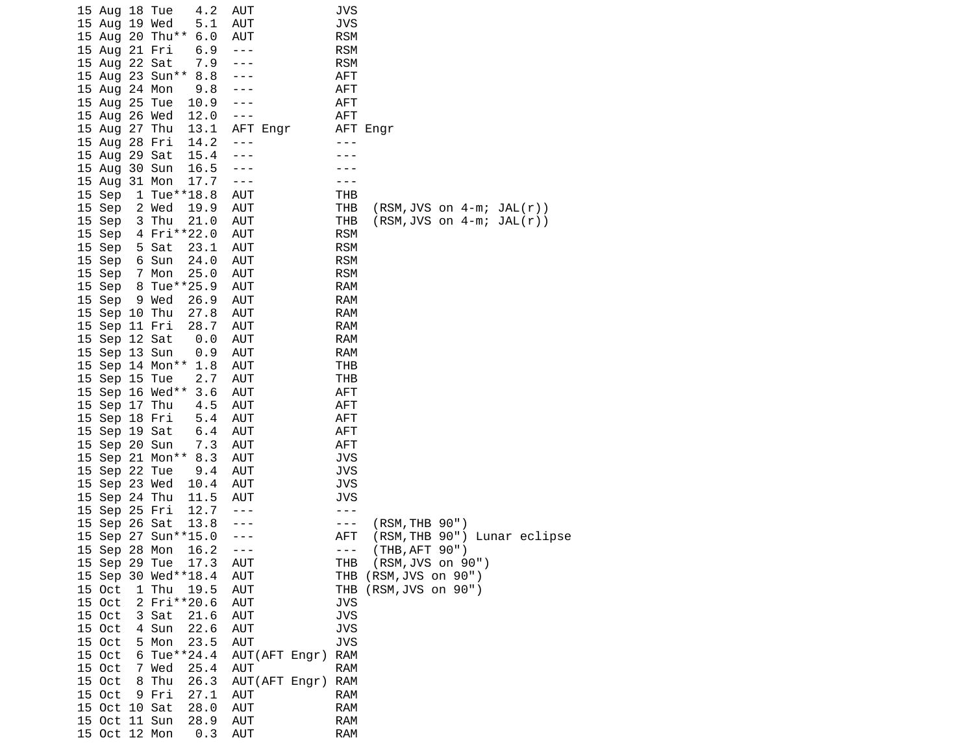| 15 Aug 18 Tue | 4.2                    | <b>AUT</b>     |          |               | JVS        |                                      |
|---------------|------------------------|----------------|----------|---------------|------------|--------------------------------------|
| 15 Aug 19 Wed | 5.1                    | <b>AUT</b>     |          |               | <b>JVS</b> |                                      |
|               | 15 Aug 20 Thu** 6.0    | <b>AUT</b>     |          |               | <b>RSM</b> |                                      |
| 15 Aug 21 Fri | 6.9                    | $- - -$        |          |               | <b>RSM</b> |                                      |
| 15 Aug 22 Sat | 7.9                    | $- - -$        |          |               | <b>RSM</b> |                                      |
|               | 15 Aug 23 Sun**<br>8.8 | ---            |          |               | <b>AFT</b> |                                      |
| 15 Aug 24 Mon | 9.8                    | ---            |          |               | <b>AFT</b> |                                      |
| 15 Aug 25 Tue | 10.9                   |                |          |               | <b>AFT</b> |                                      |
| 15 Aug 26 Wed | 12.0                   | $- - -$        |          |               | <b>AFT</b> |                                      |
| 15 Aug 27 Thu | 13.1                   |                | AFT Engr |               |            | AFT Engr                             |
| 15 Aug 28 Fri | 14.2                   | $- - -$        |          |               | ---        |                                      |
| 15 Aug 29 Sat | 15.4                   | $- - -$        |          |               |            |                                      |
| 15 Aug 30 Sun | 16.5                   | $- - -$        |          |               |            |                                      |
| 15 Aug 31 Mon | 17.7                   | $  -$          |          |               | - - -      |                                      |
| 15 Sep        | 1 Tue**18.8            | <b>AUT</b>     |          |               | THB        |                                      |
| 15 Sep        | 2 Wed<br>19.9          | <b>AUT</b>     |          |               | THB        | $(RSM, JVS \text{ on } 4-m; JAL(r))$ |
| 15 Sep        | 3 Thu<br>21.0          | <b>AUT</b>     |          |               | THB        | $(RSM, JVS \text{ on } 4-m; JAL(r))$ |
| 15 Sep        | 4 Fri**22.0            | <b>AUT</b>     |          |               | <b>RSM</b> |                                      |
| 15 Sep        | 5 Sat<br>23.1          | <b>AUT</b>     |          |               | <b>RSM</b> |                                      |
| 15 Sep        | 24.0<br>6 Sun          | AUT            |          |               | <b>RSM</b> |                                      |
| 15 Sep        | 7 Mon<br>25.0          | <b>AUT</b>     |          |               | <b>RSM</b> |                                      |
| 15 Sep        | 8 Tue**25.9            | <b>AUT</b>     |          |               | <b>RAM</b> |                                      |
| 15 Sep        | 9 Wed<br>26.9          | AUT            |          |               | <b>RAM</b> |                                      |
| 15 Sep 10 Thu | 27.8                   | <b>AUT</b>     |          |               | <b>RAM</b> |                                      |
| 15 Sep 11 Fri | 28.7                   | <b>AUT</b>     |          |               | <b>RAM</b> |                                      |
| 15 Sep 12 Sat | 0.0                    | <b>AUT</b>     |          |               | <b>RAM</b> |                                      |
| 15 Sep 13 Sun | 0.9                    | <b>AUT</b>     |          |               | <b>RAM</b> |                                      |
|               | 15 Sep 14 Mon** 1.8    | <b>AUT</b>     |          |               | THB        |                                      |
| 15 Sep 15 Tue | 2.7                    | <b>AUT</b>     |          |               | THB        |                                      |
|               | 15 Sep 16 Wed** 3.6    | <b>AUT</b>     |          |               | <b>AFT</b> |                                      |
| 15 Sep 17 Thu | 4.5                    | <b>AUT</b>     |          |               | <b>AFT</b> |                                      |
| 15 Sep 18 Fri | 5.4                    | AUT            |          |               | <b>AFT</b> |                                      |
| 15 Sep 19 Sat | 6.4                    | AUT            |          |               | <b>AFT</b> |                                      |
| 15 Sep 20 Sun | 7.3                    | <b>AUT</b>     |          |               | <b>AFT</b> |                                      |
|               | 15 Sep 21 Mon**<br>8.3 | AUT            |          |               | <b>JVS</b> |                                      |
| 15 Sep 22 Tue | 9.4                    | <b>AUT</b>     |          |               | <b>JVS</b> |                                      |
| 15 Sep 23 Wed | 10.4                   | AUT            |          |               | <b>JVS</b> |                                      |
| 15 Sep 24 Thu | 11.5                   | <b>AUT</b>     |          |               | JVS        |                                      |
| 15 Sep 25 Fri | 12.7                   | $\sim$ $ \sim$ |          |               | $- - -$    |                                      |
| 15 Sep 26 Sat | 13.8                   | $- - -$        |          |               | ---        | (RSM, THB 90")                       |
|               | 15 Sep 27 Sun**15.0    | $- - -$        |          |               | AFT        | (RSM, THB 90") Lunar eclipse         |
| 15 Sep 28 Mon | 16.2                   | $- - -$        |          |               | $- - -$    | (THB, AFT 90")                       |
| 15 Sep 29 Tue | 17.3                   | AUT            |          |               | THB        | (RSM, JVS on 90")                    |
|               | 15 Sep 30 Wed**18.4    | AUT            |          |               |            | THB (RSM, JVS on 90")                |
| 15 Oct        | 1 Thu<br>19.5          | AUT            |          |               | THB        | (RSM, JVS on 90")                    |
| 15 Oct        | 2 Fri**20.6            | AUT            |          |               | <b>JVS</b> |                                      |
| 15 Oct        | 3 Sat<br>21.6          | <b>AUT</b>     |          |               | <b>JVS</b> |                                      |
| 15 Oct        | 4 Sun<br>22.6          | <b>AUT</b>     |          |               | <b>JVS</b> |                                      |
| 15 Oct        | 5 Mon<br>23.5          | AUT            |          |               | <b>JVS</b> |                                      |
| 15 Oct        | 6 Tue**24.4            |                |          | AUT(AFT Engr) | <b>RAM</b> |                                      |
| 15 Oct        | 7 Wed<br>25.4          | AUT            |          |               | <b>RAM</b> |                                      |
| 15 Oct        | 8 Thu<br>26.3          |                |          | AUT(AFT Engr) | <b>RAM</b> |                                      |
| 15 Oct        | 9 Fri<br>27.1          | AUT            |          |               | <b>RAM</b> |                                      |
| 15 Oct 10 Sat | 28.0                   | <b>AUT</b>     |          |               | <b>RAM</b> |                                      |
| 15 Oct 11 Sun | 28.9                   | AUT            |          |               | <b>RAM</b> |                                      |
| 15 Oct 12 Mon | 0.3                    | AUT            |          |               | <b>RAM</b> |                                      |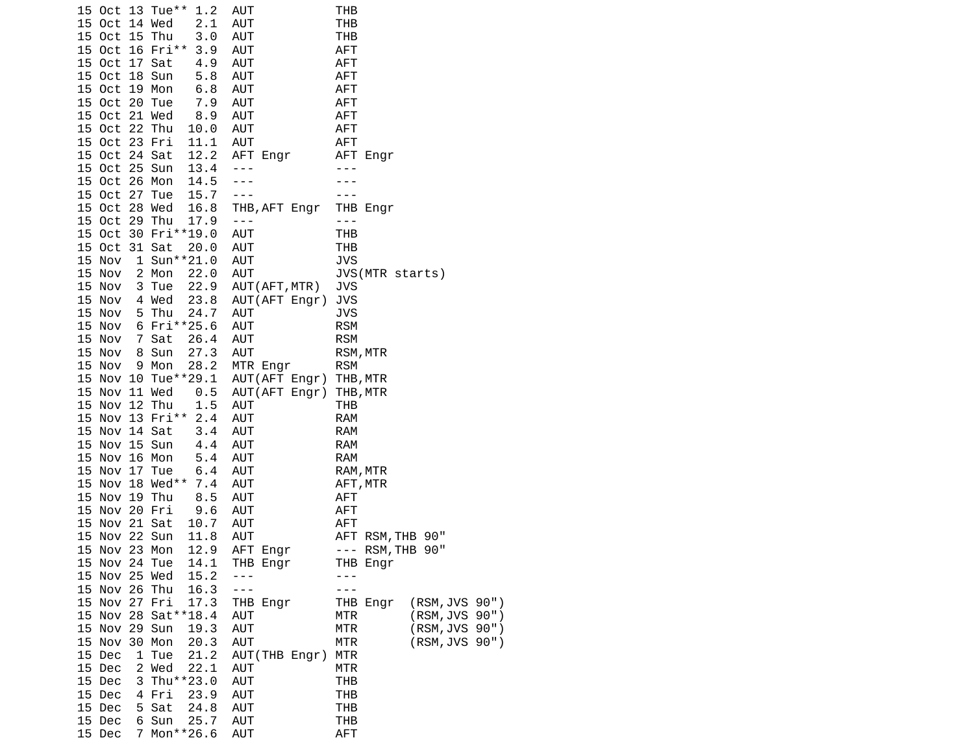|               |   | 15 Oct 13 Tue**<br>1.2 | AUT                    | THB                          |
|---------------|---|------------------------|------------------------|------------------------------|
| 15 Oct 14 Wed |   | 2.1                    | <b>AUT</b>             | THB                          |
| 15 Oct 15 Thu |   | 3.0                    | AUT                    | <b>THB</b>                   |
|               |   | 15 Oct 16 Fri**<br>3.9 | AUT                    | <b>AFT</b>                   |
| 15 Oct 17 Sat |   | 4.9                    | AUT                    | <b>AFT</b>                   |
| 15 Oct 18 Sun |   | 5.8                    | AUT                    | <b>AFT</b>                   |
| 15 Oct 19 Mon |   | 6.8                    |                        | <b>AFT</b>                   |
|               |   |                        | AUT                    |                              |
| 15 Oct 20 Tue |   | 7.9                    | <b>AUT</b>             | <b>AFT</b>                   |
| 15 Oct 21 Wed |   | 8.9                    | <b>AUT</b>             | <b>AFT</b>                   |
| 15 Oct 22 Thu |   | 10.0                   | AUT                    | <b>AFT</b>                   |
| 15 Oct 23 Fri |   | 11.1                   | <b>AUT</b>             | <b>AFT</b>                   |
| 15 Oct 24 Sat |   | 12.2                   | AFT Engr               | AFT Engr                     |
| 15 Oct 25 Sun |   | 13.4                   | $- - -$                |                              |
| 15 Oct 26 Mon |   | 14.5                   | $- - -$                |                              |
| 15 Oct 27 Tue |   | 15.7                   | ---                    |                              |
| 15 Oct 28 Wed |   | 16.8                   | THB, AFT Engr          | THB Engr                     |
| 15 Oct 29 Thu |   | 17.9                   | $- - -$                | ---                          |
|               |   | 15 Oct 30 Fri**19.0    | <b>AUT</b>             | THB                          |
| 15 Oct 31 Sat |   | 20.0                   | AUT                    | <b>THB</b>                   |
|               |   | 1 Sun**21.0            |                        |                              |
| 15 Nov        |   |                        | <b>AUT</b>             | <b>JVS</b>                   |
| 15 Nov        |   | 2 Mon<br>22.0          | AUT                    | JVS(MTR starts)              |
| 15 Nov        |   | 3 Tue<br>22.9          | AUT (AFT, MTR)         | JVS                          |
| 15 Nov        |   | 23.8<br>4 Wed          | AUT(AFT Engr)          | <b>JVS</b>                   |
| 15 Nov        |   | 5 Thu<br>24.7          | AUT                    | <b>JVS</b>                   |
| 15 Nov        |   | 6 Fri**25.6            | AUT                    | <b>RSM</b>                   |
| 15 Nov        |   | 7 Sat<br>26.4          | AUT                    | <b>RSM</b>                   |
| 15 Nov        |   | 8 Sun<br>27.3          | <b>AUT</b>             | RSM, MTR                     |
| 15 Nov        |   | 9 Mon<br>28.2          | MTR Engr               | <b>RSM</b>                   |
|               |   | 15 Nov 10 Tue**29.1    | AUT(AFT Engr) THB, MTR |                              |
| 15 Nov 11 Wed |   | 0.5                    | AUT(AFT Engr)          | THB, MTR                     |
| 15 Nov 12 Thu |   | 1.5                    | AUT                    | <b>THB</b>                   |
|               |   | 15 Nov 13 Fri** 2.4    | AUT                    | <b>RAM</b>                   |
| 15 Nov 14 Sat |   | 3.4                    | AUT                    | <b>RAM</b>                   |
| 15 Nov 15 Sun |   | 4.4                    | AUT                    | <b>RAM</b>                   |
| 15 Nov 16 Mon |   | 5.4                    | AUT                    | <b>RAM</b>                   |
| 15 Nov 17 Tue |   | 6.4                    | AUT                    | RAM, MTR                     |
|               |   | 15 Nov 18 Wed** 7.4    | AUT                    | AFT, MTR                     |
| 15 Nov 19 Thu |   | 8.5                    | AUT                    | <b>AFT</b>                   |
| 15            |   | Nov 20 Fri<br>9.6      | AUT                    | <b>AFT</b>                   |
| 15 Nov 21 Sat |   | 10.7                   | AUT                    | <b>AFT</b>                   |
| 15 Nov 22 Sun |   | 11.8                   | AUT                    | AFT RSM, THB 90"             |
|               |   |                        |                        | --- RSM, THB 90"             |
| 15 Nov 23 Mon |   | 12.9                   | AFT Engr               |                              |
| 15 Nov 24 Tue |   | 14.1                   | THB Engr               | THB Engr                     |
| 15 Nov 25 Wed |   | 15.2                   |                        |                              |
| 15 Nov 26 Thu |   | 16.3                   | - - -                  |                              |
| 15 Nov 27 Fri |   | 17.3                   | THB Engr               | (RSM, JVS 90")<br>THB Engr   |
|               |   | 15 Nov 28 Sat ** 18.4  | <b>AUT</b>             | (RSM, JVS 90")<br>MTR        |
| 15 Nov 29 Sun |   | 19.3                   | <b>AUT</b>             | <b>MTR</b><br>(RSM, JVS 90") |
| 15 Nov 30 Mon |   | 20.3                   | AUT                    | (RSM, JVS 90")<br>MTR        |
| 15 Dec        |   | 1 Tue<br>21.2          | AUT(THB Engr)          | MTR                          |
| 15 Dec        |   | 2 Wed<br>22.1          | AUT                    | <b>MTR</b>                   |
| 15 Dec        | 3 | Thu**23.0              | <b>AUT</b>             | <b>THB</b>                   |
| 15 Dec        |   | 4 Fri<br>23.9          | AUT                    | THB                          |
| 15 Dec        | 5 | Sat<br>24.8            | <b>AUT</b>             | <b>THB</b>                   |
| 15 Dec        | 6 | 25.7<br>Sun            | <b>AUT</b>             | THB                          |
| 15 Dec        | 7 | Mon**26.6              | AUT                    | AFT                          |
|               |   |                        |                        |                              |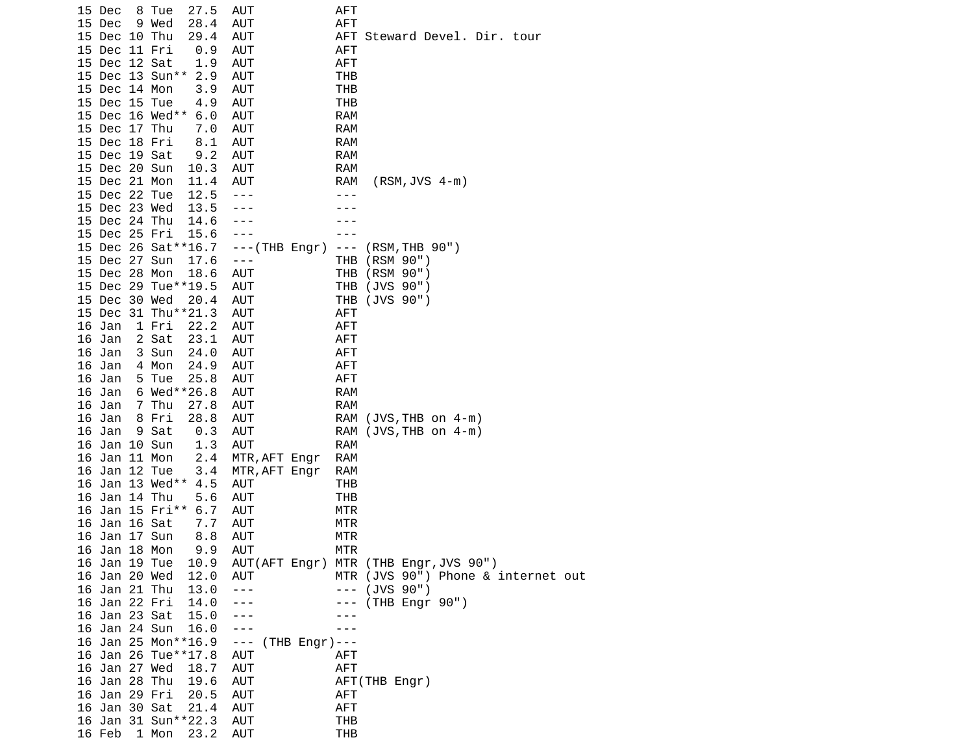| 15 Dec        | 8 Tue<br>27.5          | AUT                               | AFT         |                                       |
|---------------|------------------------|-----------------------------------|-------------|---------------------------------------|
| 15 Dec        | 9 Wed<br>28.4          | AUT                               | AFT         |                                       |
| 15 Dec 10 Thu | 29.4                   | AUT                               |             | AFT Steward Devel. Dir. tour          |
| 15 Dec 11 Fri |                        |                                   | AFT         |                                       |
|               | 0.9                    | AUT                               |             |                                       |
| 15 Dec 12 Sat | 1.9                    | AUT                               | AFT         |                                       |
|               | 15 Dec 13 Sun** 2.9    | AUT                               | THB         |                                       |
| 15 Dec 14 Mon | 3.9                    | AUT                               | <b>THB</b>  |                                       |
| 15 Dec 15 Tue | 4.9                    | AUT                               | THB         |                                       |
|               | 15 Dec 16 Wed**<br>6.0 | AUT                               | <b>RAM</b>  |                                       |
| 15 Dec 17 Thu | 7.0                    | AUT                               | RAM         |                                       |
| 15 Dec 18 Fri | 8.1                    | AUT                               | <b>RAM</b>  |                                       |
| 15 Dec 19 Sat | 9.2                    | AUT                               | RAM         |                                       |
| 15 Dec 20 Sun | 10.3                   | AUT                               | RAM         |                                       |
| 15 Dec 21 Mon | 11.4                   | AUT                               | RAM         | $(RSM, JVS 4-m)$                      |
| 15 Dec 22 Tue | 12.5                   | $- - -$                           |             |                                       |
| 15 Dec 23 Wed | 13.5                   | $- - -$                           |             |                                       |
| 15 Dec 24 Thu | 14.6                   | $- - -$                           |             |                                       |
| 15 Dec 25 Fri | 15.6                   | $- - -$                           |             |                                       |
|               | 15 Dec 26 Sat ** 16.7  | $--(THB$ Engr)                    | $\sim$ $ -$ | (RSM, THB 90")                        |
| 15 Dec 27 Sun | 17.6                   | $  -$                             | THB         | (RSM 90")                             |
| 15 Dec 28 Mon | 18.6                   | AUT                               | THB         | (RSM 90")                             |
|               | 15 Dec 29 Tue**19.5    | AUT                               | THB         | (JVS 90")                             |
| 15 Dec 30 Wed |                        | AUT                               | THB         | (JVS 90")                             |
|               | 20.4                   | <b>AUT</b>                        |             |                                       |
|               | 15 Dec 31 Thu**21.3    |                                   | AFT         |                                       |
| 16 Jan        | 1 Fri<br>22.2          | AUT                               | AFT         |                                       |
| 16 Jan        | 2 Sat<br>23.1          | AUT                               | AFT         |                                       |
| 16 Jan        | 3 Sun<br>24.0          | AUT                               | AFT         |                                       |
| 16 Jan        | 4 Mon<br>24.9          | AUT                               | AFT         |                                       |
| 16 Jan        | 5 Tue<br>25.8          | AUT                               | AFT         |                                       |
| 16 Jan        | 6 Wed**26.8            | AUT                               | <b>RAM</b>  |                                       |
| 16 Jan        | 7 Thu<br>27.8          | AUT                               | RAM         |                                       |
| 16 Jan        | 8 Fri<br>28.8          | AUT                               |             | RAM (JVS, THB on 4-m)                 |
| 16 Jan        | 9 Sat<br>0.3           | AUT                               |             | RAM (JVS, THB on 4-m)                 |
| 16 Jan 10 Sun | 1.3                    | <b>AUT</b>                        | <b>RAM</b>  |                                       |
| 16 Jan 11 Mon | 2.4                    | MTR, AFT Engr                     | RAM         |                                       |
| 16 Jan 12 Tue | 3.4                    | MTR, AFT Engr                     | RAM         |                                       |
|               | 16 Jan 13 Wed**<br>4.5 | AUT                               | THB         |                                       |
| 16 Jan 14 Thu | 5.6                    | AUT                               | THB         |                                       |
|               | 16 Jan 15 Fri** 6.7    | AUT                               | MTR         |                                       |
| 16 Jan 16 Sat | 7.7                    | AUT                               | MTR         |                                       |
| 16 Jan 17 Sun | 8.8                    | <b>AUT</b>                        | MTR         |                                       |
| 16 Jan 18 Mon | 9.9                    | AUT                               | <b>MTR</b>  |                                       |
| 16 Jan 19 Tue | 10.9                   |                                   |             | AUT(AFT Engr) MTR (THB Engr, JVS 90") |
| 16 Jan 20 Wed | 12.0                   | AUT                               |             | MTR (JVS 90") Phone & internet out    |
| 16 Jan 21 Thu | 13.0                   | $  -$                             | $\sim$ $ -$ | (JVS 90")                             |
| 16 Jan 22 Fri | 14.0                   | $- - -$                           | ---         | (THB Engr 90")                        |
| 16 Jan 23 Sat | 15.0                   | $- - -$                           |             |                                       |
| 16 Jan 24 Sun |                        |                                   |             |                                       |
|               | 16.0                   | $- - -$                           |             |                                       |
|               | 16 Jan 25 Mon**16.9    | $\sim$ $ \sim$<br>$(THB$ Engr)--- |             |                                       |
|               | 16 Jan 26 Tue**17.8    | AUT                               | AFT         |                                       |
| 16 Jan 27 Wed | 18.7                   | AUT                               | <b>AFT</b>  |                                       |
| 16 Jan 28 Thu | 19.6                   | AUT                               |             | AFT(THB Engr)                         |
| 16 Jan 29 Fri | 20.5                   | AUT                               | AFT         |                                       |
| 16 Jan 30 Sat | 21.4                   | <b>AUT</b>                        | AFT         |                                       |
|               | 16 Jan 31 Sun**22.3    | AUT                               | <b>THB</b>  |                                       |
| 16 Feb        | 1 Mon<br>23.2          | AUT                               | <b>THB</b>  |                                       |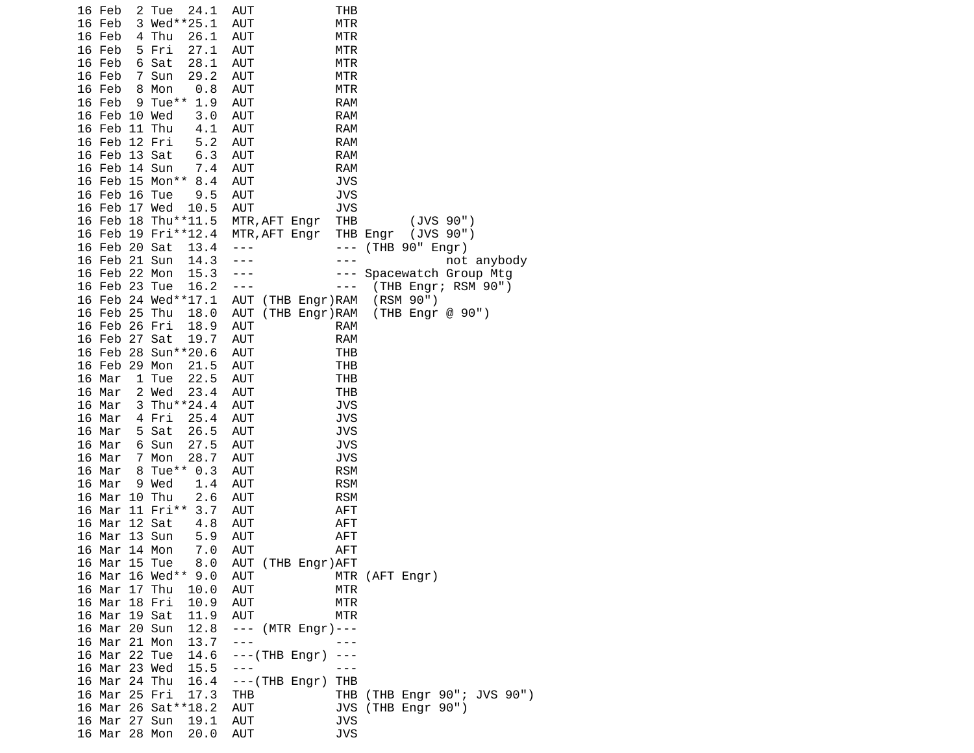| 24.1<br>16 Feb<br>2 Tue                      | AUT<br>THB                                           |
|----------------------------------------------|------------------------------------------------------|
| 3 Wed**25.1<br>16 Feb                        | <b>AUT</b><br><b>MTR</b>                             |
| 4 Thu<br>16 Feb<br>26.1                      | <b>AUT</b><br><b>MTR</b>                             |
| 16 Feb<br>5 Fri<br>27.1                      | <b>AUT</b><br><b>MTR</b>                             |
| 16 Feb<br>6 Sat<br>28.1                      | <b>AUT</b><br>MTR                                    |
| 16 Feb<br>7 Sun<br>29.2                      | <b>AUT</b><br>MTR                                    |
| 16 Feb<br>8<br>Mon<br>0.8<br>9 Tue $**$      | <b>AUT</b><br>MTR                                    |
| 16 Feb<br>1.9<br>16 Feb 10 Wed<br>3.0        | <b>AUT</b><br><b>RAM</b><br><b>AUT</b><br><b>RAM</b> |
| 16 Feb 11 Thu<br>4.1                         | <b>AUT</b><br><b>RAM</b>                             |
| 16 Feb 12 Fri<br>5.2                         | <b>AUT</b><br><b>RAM</b>                             |
| 16 Feb 13 Sat<br>6.3                         | <b>RAM</b><br>AUT                                    |
| 16 Feb 14 Sun<br>7.4                         | <b>RAM</b><br>AUT                                    |
| 16 Feb 15 Mon**<br>8.4                       | <b>AUT</b><br><b>JVS</b>                             |
| 9.5<br>16 Feb 16 Tue                         | <b>AUT</b><br>JVS                                    |
| 16 Feb 17 Wed<br>10.5                        | <b>AUT</b><br><b>JVS</b>                             |
| 16 Feb 18 Thu**11.5                          | (JVS 90")<br>MTR, AFT Engr<br>THB                    |
| 16 Feb 19 Fri**12.4                          | (JVS 90")<br>MTR, AFT Engr<br>THB Engr               |
| 16 Feb 20 Sat<br>13.4                        | (THB 90" Engr)<br>$- - -$<br>$- - -$                 |
| 16 Feb 21 Sun<br>14.3                        | not anybody<br>- - -                                 |
| 16 Feb 22 Mon<br>15.3                        | $- - -$<br>Spacewatch Group Mtg                      |
| 16 Feb 23 Tue<br>16.2                        | (THB Engr; RSM 90")<br>---<br>---                    |
| 16 Feb 24 Wed**17.1                          | (RSM 90")<br>AUT (THB Engr)RAM                       |
| 16 Feb 25 Thu<br>18.0                        | AUT<br>(THB Engr)RAM<br>(THB Engr @ 90")             |
| 16 Feb 26 Fri<br>18.9                        | <b>AUT</b><br><b>RAM</b>                             |
| 16 Feb 27 Sat<br>19.7<br>16 Feb 28 Sun**20.6 | <b>AUT</b><br><b>RAM</b>                             |
| 16 Feb 29 Mon<br>21.5                        | <b>AUT</b><br>THB<br><b>AUT</b><br>THB               |
| 22.5<br>16 Mar<br>1 Tue                      | <b>AUT</b><br><b>THB</b>                             |
| 2 Wed<br>23.4<br>16 Mar                      | <b>AUT</b><br><b>THB</b>                             |
| 3 Thu**24.4<br>16 Mar                        | <b>JVS</b><br>AUT                                    |
| 16 Mar<br>4 Fri<br>25.4                      | <b>AUT</b><br><b>JVS</b>                             |
| 26.5<br>16 Mar<br>5 Sat                      | <b>AUT</b><br>JVS                                    |
| 6 Sun<br>27.5<br>16 Mar                      | <b>AUT</b><br><b>JVS</b>                             |
| 16 Mar<br>$7^{\circ}$<br>Mon<br>28.7         | JVS<br>AUT                                           |
| 8 Tue**<br>16 Mar<br>0.3                     | <b>AUT</b><br><b>RSM</b>                             |
| 16 Mar<br>9 Wed<br>1.4                       | <b>AUT</b><br><b>RSM</b>                             |
| 2.6<br>16 Mar<br>10 Thu                      | <b>AUT</b><br><b>RSM</b>                             |
| 16 Mar 11 Fri**<br>3.7                       | <b>AUT</b><br><b>AFT</b>                             |
| 16 Mar 12 Sat<br>4.8                         | AUT<br><b>AFT</b>                                    |
| 16 Mar 13 Sun<br>5.9                         | <b>AUT</b><br><b>AFT</b>                             |
| 7.0<br>16 Mar<br>14 Mon                      | <b>AFT</b><br><b>AUT</b>                             |
| 16 Mar 15 Tue<br>8.0                         | AUT (THB Engr) AFT                                   |
| 16 Mar 16 Wed**<br>9.0<br>16 Mar 17 Thu      | AUT<br>MTR (AFT Engr)<br><b>AUT</b><br>MTR           |
| 10.0<br>16 Mar 18 Fri<br>10.9                | AUT<br>MTR                                           |
| 16 Mar 19 Sat<br>11.9                        | AUT<br>MTR                                           |
| 16 Mar 20 Sun<br>12.8                        | --- (MTR Engr)---                                    |
| 16 Mar 21 Mon<br>13.7                        | $- - -$                                              |
| 16 Mar 22 Tue<br>14.6                        | $--(THB$ Engr)<br>$- - -$                            |
| 16 Mar 23 Wed<br>15.5                        | $- - -$                                              |
| 16 Mar 24 Thu<br>16.4                        | $--(THE Engr)$<br>THB                                |
| 16 Mar 25 Fri<br>17.3                        | (THB Engr 90"; JVS 90")<br>THB<br>THB                |
| 16 Mar 26 Sat**18.2                          | JVS (THB Engr 90")<br><b>AUT</b>                     |
| 16 Mar 27 Sun<br>19.1                        | <b>JVS</b><br><b>AUT</b>                             |
| 16 Mar 28 Mon<br>20.0                        | <b>JVS</b><br>AUT                                    |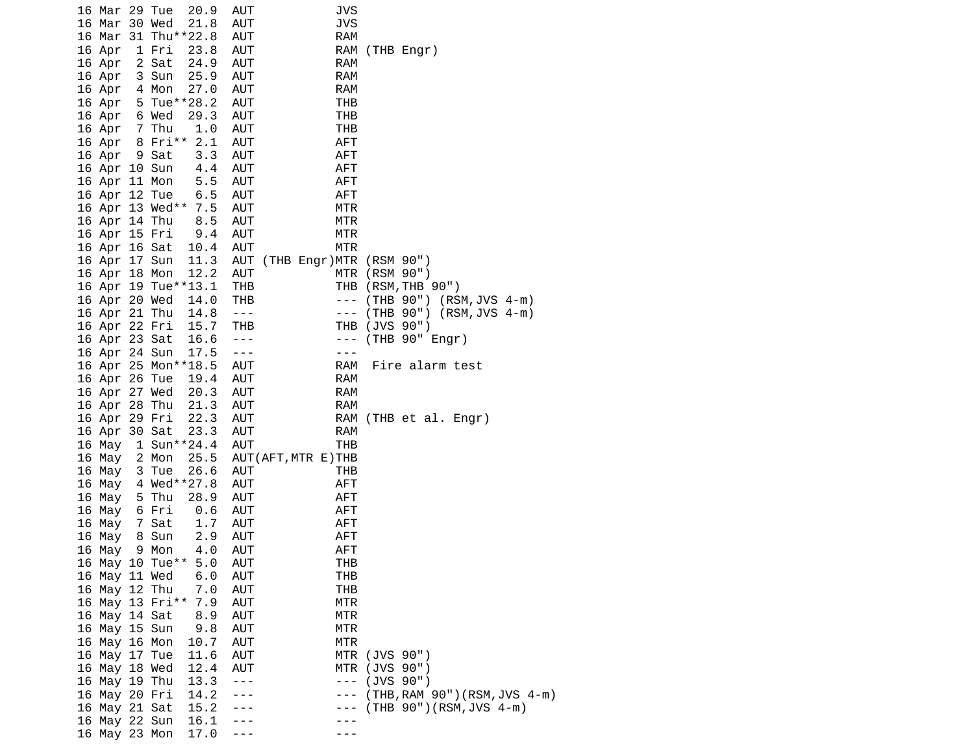|  | 16 Mar 29 Tue |                     | 20.9                | AUT            | JVS                         |               |                              |
|--|---------------|---------------------|---------------------|----------------|-----------------------------|---------------|------------------------------|
|  | 16 Mar 30 Wed |                     | 21.8                | AUT            | <b>JVS</b>                  |               |                              |
|  |               |                     | 16 Mar 31 Thu**22.8 | AUT            | <b>RAM</b>                  |               |                              |
|  | 16 Apr        | 1 Fri               | 23.8                | AUT            |                             |               | RAM (THB Engr)               |
|  | 16 Apr        | 2 Sat               | 24.9                | AUT            | <b>RAM</b>                  |               |                              |
|  | 16 Apr        | 3 Sun               | 25.9                | AUT            | RAM                         |               |                              |
|  | 16 Apr        | 4 Mon               | 27.0                | AUT            | <b>RAM</b>                  |               |                              |
|  |               |                     | 16 Apr 5 Tue**28.2  | AUT            | THB                         |               |                              |
|  | 16 Apr 6 Wed  |                     | 29.3                | AUT            | THB                         |               |                              |
|  | 16 Apr 7 Thu  |                     | 1.0                 | AUT            | THB                         |               |                              |
|  |               |                     | 16 Apr 8 Fri** 2.1  | AUT            | <b>AFT</b>                  |               |                              |
|  | 16 Apr        | 9 Sat               | 3.3                 | AUT            | AFT                         |               |                              |
|  | 16 Apr 10 Sun |                     | 4.4                 | AUT            | AFT                         |               |                              |
|  | 16 Apr 11 Mon |                     | 5.5                 | AUT            | <b>AFT</b>                  |               |                              |
|  | 16 Apr 12 Tue |                     | 6.5                 | AUT            | <b>AFT</b>                  |               |                              |
|  |               |                     | 16 Apr 13 Wed** 7.5 | AUT            | MTR                         |               |                              |
|  | 16 Apr 14 Thu |                     | 8.5                 | AUT            | MTR                         |               |                              |
|  | 16 Apr 15 Fri |                     | 9.4                 | AUT            | MTR                         |               |                              |
|  | 16 Apr 16 Sat |                     | 10.4                | AUT            | MTR                         |               |                              |
|  | 16 Apr 17 Sun |                     | 11.3                |                | AUT (THB Engr)MTR (RSM 90") |               |                              |
|  | 16 Apr 18 Mon |                     | 12.2                | <b>AUT</b>     |                             | MTR (RSM 90") |                              |
|  |               | 16 Apr 19 Tue**13.1 |                     | <b>THB</b>     |                             |               | THB (RSM, THB 90")           |
|  | 16 Apr 20 Wed |                     | 14.0                | THB            | $- - -$                     |               | (THB 90") (RSM, JVS 4-m)     |
|  | 16 Apr 21 Thu |                     | 14.8                | $\sim$ $  -$   | $\sim$ $ -$                 |               | $(THB 90") (RSM, JVS 4-m)$   |
|  | 16 Apr 22 Fri |                     | 15.7                | THB            | THB                         |               | (JVS 90")                    |
|  | 16 Apr 23 Sat |                     | 16.6                | $\sim$ $ \sim$ | $- - -$                     |               | (THB 90" Engr)               |
|  | 16 Apr 24 Sun |                     | 17.5                | $- - -$        | ---                         |               |                              |
|  |               |                     | 16 Apr 25 Mon**18.5 | AUT            | RAM                         |               | Fire alarm test              |
|  | 16 Apr 26 Tue |                     | 19.4                | AUT            | RAM                         |               |                              |
|  | 16 Apr 27 Wed |                     | 20.3                | AUT            | <b>RAM</b>                  |               |                              |
|  | 16 Apr 28 Thu |                     | 21.3                | AUT            | RAM                         |               |                              |
|  | 16 Apr 29 Fri |                     | 22.3                | AUT            |                             |               | RAM (THB et al. Engr)        |
|  | 16 Apr 30 Sat |                     | 23.3                | <b>AUT</b>     | RAM                         |               |                              |
|  | 16 May        |                     | 1 Sun**24.4         | AUT            | THB                         |               |                              |
|  | 16 May        | 2 Mon               | 25.5                |                | AUT (AFT, MTR E) THB        |               |                              |
|  | 16 May        | 3 Tue               | 26.6                | AUT            | THB                         |               |                              |
|  | 16 May        |                     | 4 Wed**27.8         | AUT            | AFT                         |               |                              |
|  | 16 May 5 Thu  |                     | 28.9                | AUT            | <b>AFT</b>                  |               |                              |
|  | 16 May 6 Fri  |                     | 0.6                 | AUT            | AFT                         |               |                              |
|  | 16 May        | 7 Sat               | 1.7                 | AUT            | <b>AFT</b>                  |               |                              |
|  | 16 May        | 8 Sun               | 2.9                 | AUT            | <b>AFT</b>                  |               |                              |
|  | 16 May        | 9 Mon               | 4.0                 | AUT            | <b>AFT</b>                  |               |                              |
|  |               |                     | 16 May 10 Tue** 5.0 | <b>AUT</b>     | THB                         |               |                              |
|  | 16 May 11 Wed |                     | 6.0                 | <b>AUT</b>     | THB                         |               |                              |
|  | 16 May 12 Thu |                     | 7.0                 | AUT            | THB                         |               |                              |
|  |               |                     | 16 May 13 Fri** 7.9 | AUT            | <b>MTR</b>                  |               |                              |
|  | 16 May 14 Sat |                     | 8.9                 | <b>AUT</b>     | MTR                         |               |                              |
|  | 16 May 15 Sun |                     | 9.8                 | AUT            | MTR                         |               |                              |
|  | 16 May 16 Mon |                     | 10.7                | AUT            | MTR                         |               |                              |
|  | 16 May 17 Tue |                     | 11.6                | AUT            |                             | MTR (JVS 90") |                              |
|  | 16 May 18 Wed |                     | 12.4                | AUT            | MTR                         |               | (JVS 90")                    |
|  | 16 May 19 Thu |                     | 13.3                | $- - -$        | $\sim$ $ -$                 |               | (JVS 90")                    |
|  | 16 May 20 Fri |                     | 14.2                | ---            | - -                         |               | (THB, RAM 90")(RSM, JVS 4-m) |
|  | 16 May 21 Sat |                     | 15.2                | ---            |                             |               | $(THB 90") (RSM, JVS 4-m)$   |
|  | 16 May 22 Sun |                     | 16.1                |                |                             |               |                              |
|  | 16 May 23 Mon |                     | 17.0                |                |                             |               |                              |
|  |               |                     |                     |                |                             |               |                              |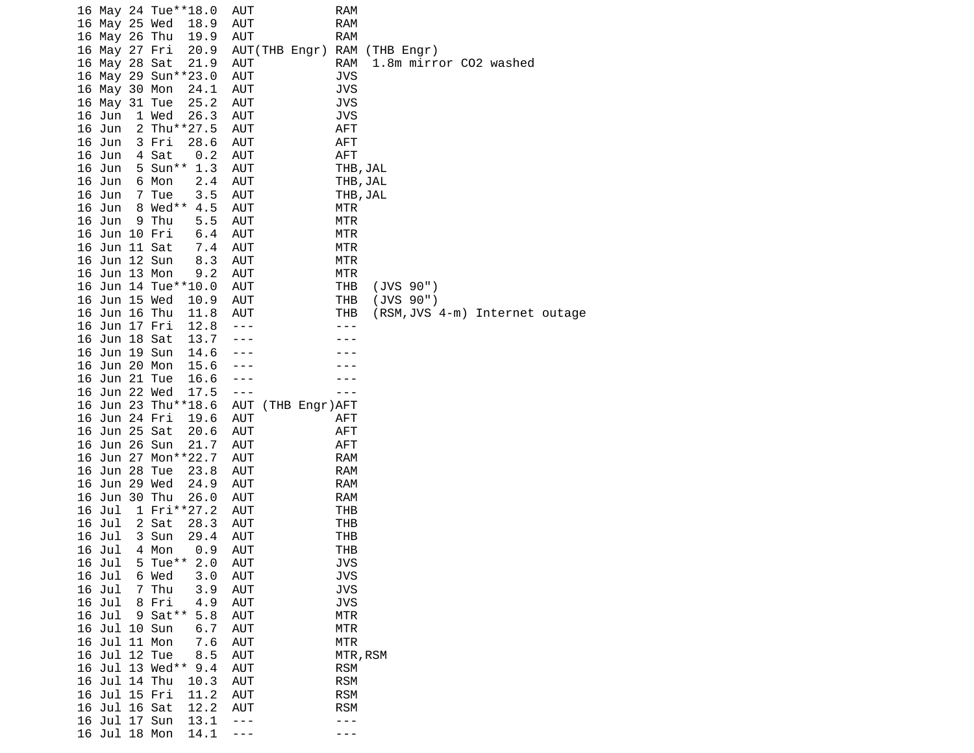|  |               |                 | 16 May 24 Tue**18.0 | AUT        |               | <b>RAM</b> |                |  |                                |  |
|--|---------------|-----------------|---------------------|------------|---------------|------------|----------------|--|--------------------------------|--|
|  | 16 May 25 Wed |                 | 18.9                | <b>AUT</b> |               | <b>RAM</b> |                |  |                                |  |
|  | 16 May 26 Thu |                 | 19.9                | <b>AUT</b> |               | <b>RAM</b> |                |  |                                |  |
|  | 16 May 27 Fri |                 | 20.9                |            | AUT(THB Engr) |            | RAM (THB Engr) |  |                                |  |
|  | 16 May 28 Sat |                 | 21.9                | <b>AUT</b> |               | <b>RAM</b> |                |  | 1.8m mirror CO2 washed         |  |
|  |               |                 | 16 May 29 Sun**23.0 | <b>AUT</b> |               | <b>JVS</b> |                |  |                                |  |
|  | 16 May 30 Mon |                 | 24.1                | AUT        |               | <b>JVS</b> |                |  |                                |  |
|  |               |                 |                     |            |               |            |                |  |                                |  |
|  | 16 May 31 Tue |                 | 25.2                | AUT        |               | JVS        |                |  |                                |  |
|  | 16 Jun        | 1 Wed           | 26.3                | <b>AUT</b> |               | <b>JVS</b> |                |  |                                |  |
|  | 16 Jun        |                 | 2 Thu**27.5         | AUT        |               | AFT        |                |  |                                |  |
|  | 16 Jun        | 3 Fri           | 28.6                | <b>AUT</b> |               | <b>AFT</b> |                |  |                                |  |
|  | 16 Jun        | 4 Sat           | 0.2                 | <b>AUT</b> |               | <b>AFT</b> |                |  |                                |  |
|  | 16 Jun        |                 | 5 Sun** 1.3         | <b>AUT</b> |               | THB, JAL   |                |  |                                |  |
|  | 16 Jun        | 6 Mon           | 2.4                 | <b>AUT</b> |               | THB, JAL   |                |  |                                |  |
|  | 16 Jun        | 7 Tue           | 3.5                 | AUT        |               | THB, JAL   |                |  |                                |  |
|  | 16 Jun        | 8 Wed**         | 4.5                 | <b>AUT</b> |               | MTR        |                |  |                                |  |
|  | 16 Jun        | 9 Thu           | 5.5                 | AUT        |               | MTR        |                |  |                                |  |
|  | 16 Jun 10 Fri |                 | 6.4                 | <b>AUT</b> |               | MTR        |                |  |                                |  |
|  | 16 Jun 11 Sat |                 | 7.4                 | AUT        |               | <b>MTR</b> |                |  |                                |  |
|  | 16 Jun 12 Sun |                 | 8.3                 | <b>AUT</b> |               | <b>MTR</b> |                |  |                                |  |
|  | 16 Jun 13 Mon |                 | 9.2                 | <b>AUT</b> |               | MTR        |                |  |                                |  |
|  |               |                 | 16 Jun 14 Tue**10.0 | AUT        |               | THB        | (JVS 90")      |  |                                |  |
|  | 16 Jun 15 Wed |                 | 10.9                | AUT        |               | THB        | (JVS 90")      |  |                                |  |
|  | 16 Jun 16 Thu |                 | 11.8                | <b>AUT</b> |               | THB        |                |  | (RSM, JVS 4-m) Internet outage |  |
|  | 16 Jun 17 Fri |                 | 12.8                | $- - -$    |               |            |                |  |                                |  |
|  | 16 Jun 18 Sat |                 | 13.7                |            |               |            |                |  |                                |  |
|  | 16 Jun 19 Sun |                 | 14.6                |            |               |            |                |  |                                |  |
|  | 16 Jun 20 Mon |                 | 15.6                |            |               |            |                |  |                                |  |
|  | 16 Jun 21 Tue |                 | 16.6                | ---        |               |            |                |  |                                |  |
|  | 16 Jun 22 Wed |                 | 17.5                | $- - -$    |               |            |                |  |                                |  |
|  |               |                 |                     |            |               |            |                |  |                                |  |
|  |               |                 | 16 Jun 23 Thu**18.6 | <b>AUT</b> | (THB Engr)AFT |            |                |  |                                |  |
|  | 16 Jun 24 Fri |                 | 19.6                | <b>AUT</b> |               | AFT        |                |  |                                |  |
|  | 16 Jun 25 Sat |                 | 20.6                | AUT        |               | <b>AFT</b> |                |  |                                |  |
|  | 16 Jun 26 Sun |                 | 21.7                | <b>AUT</b> |               | AFT        |                |  |                                |  |
|  |               |                 | 16 Jun 27 Mon**22.7 | AUT        |               | <b>RAM</b> |                |  |                                |  |
|  | 16 Jun 28 Tue |                 | 23.8                | AUT        |               | <b>RAM</b> |                |  |                                |  |
|  | 16 Jun 29 Wed |                 | 24.9                | <b>AUT</b> |               | <b>RAM</b> |                |  |                                |  |
|  | 16 Jun 30 Thu |                 | 26.0                | <b>AUT</b> |               | RAM        |                |  |                                |  |
|  | 16 Jul        |                 | 1 Fri**27.2         | AUT        |               | THB        |                |  |                                |  |
|  | 16 Jul        | 2 Sat           | 28.3                | AUT        |               | THB        |                |  |                                |  |
|  | 16 Jul        | 3 Sun           | 29.4                | AUT        |               | THB        |                |  |                                |  |
|  | 16 Jul        | 4 Mon           | 0.9                 | AUT        |               | THB        |                |  |                                |  |
|  | 16 Jul        | 5 Tue $**$      | 2.0                 | <b>AUT</b> |               | <b>JVS</b> |                |  |                                |  |
|  | 16 Jul        | 6 Wed           | 3.0                 | <b>AUT</b> |               | <b>JVS</b> |                |  |                                |  |
|  | 16 Jul        | 7 Thu           | 3.9                 | <b>AUT</b> |               | <b>JVS</b> |                |  |                                |  |
|  | 16 Jul        | 8 Fri           | 4.9                 | <b>AUT</b> |               | <b>JVS</b> |                |  |                                |  |
|  | 16 Jul        | $9$ Sat $**$    | 5.8                 | <b>AUT</b> |               | <b>MTR</b> |                |  |                                |  |
|  | 16 Jul 10 Sun |                 | 6.7                 | <b>AUT</b> |               | <b>MTR</b> |                |  |                                |  |
|  | 16 Jul 11 Mon |                 | 7.6                 | <b>AUT</b> |               | <b>MTR</b> |                |  |                                |  |
|  | 16 Jul 12 Tue |                 | 8.5                 | <b>AUT</b> |               | MTR, RSM   |                |  |                                |  |
|  |               | 16 Jul 13 Wed** | 9.4                 | <b>AUT</b> |               | <b>RSM</b> |                |  |                                |  |
|  | 16 Jul 14 Thu |                 | 10.3                | <b>AUT</b> |               | <b>RSM</b> |                |  |                                |  |
|  | 16 Jul 15 Fri |                 | 11.2                | <b>AUT</b> |               | <b>RSM</b> |                |  |                                |  |
|  | 16 Jul 16 Sat |                 | 12.2                | AUT        |               | <b>RSM</b> |                |  |                                |  |
|  | 16 Jul 17 Sun |                 | 13.1                | $- - -$    |               |            |                |  |                                |  |
|  |               |                 |                     |            |               |            |                |  |                                |  |
|  | 16 Jul 18 Mon |                 | 14.1                | $- - -$    |               |            |                |  |                                |  |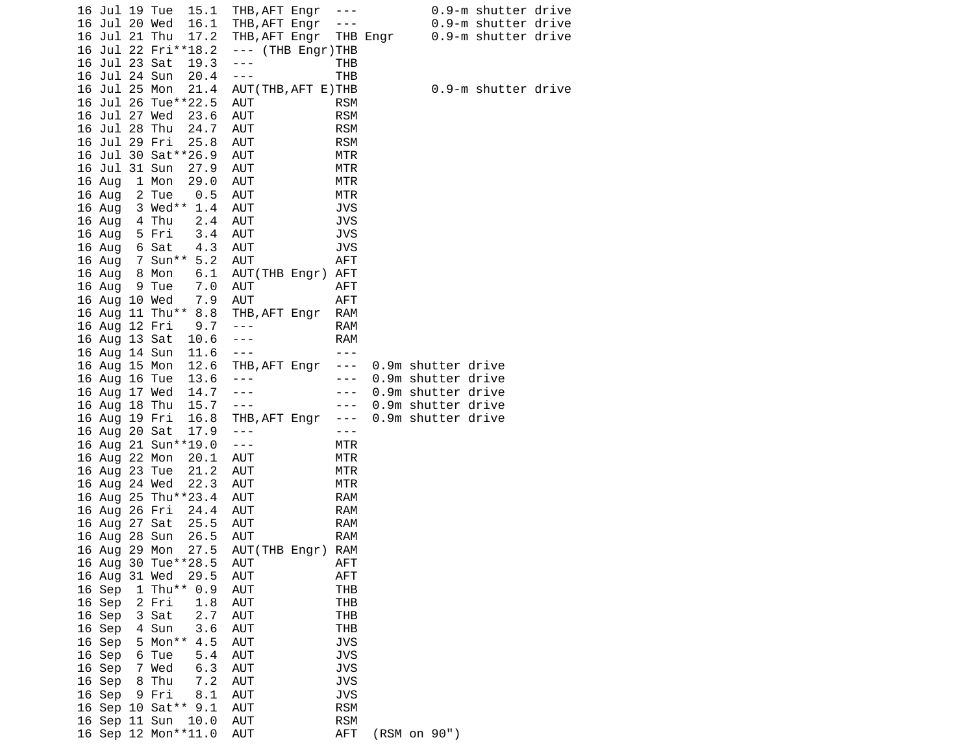|  | 16 Jul 19 Tue |                       | 15.1                | THB, AFT Engr ---      |                      |                                                                                                                                                                                                                                                                                                                                                                                              |                    | 0.9-m shutter drive |  |
|--|---------------|-----------------------|---------------------|------------------------|----------------------|----------------------------------------------------------------------------------------------------------------------------------------------------------------------------------------------------------------------------------------------------------------------------------------------------------------------------------------------------------------------------------------------|--------------------|---------------------|--|
|  | 16 Jul 20 Wed |                       | 16.1                | THB, AFT Engr          |                      | $\frac{1}{2} \frac{1}{2} \frac{1}{2} \frac{1}{2} \frac{1}{2} \frac{1}{2} \frac{1}{2} \frac{1}{2} \frac{1}{2} \frac{1}{2} \frac{1}{2} \frac{1}{2} \frac{1}{2} \frac{1}{2} \frac{1}{2} \frac{1}{2} \frac{1}{2} \frac{1}{2} \frac{1}{2} \frac{1}{2} \frac{1}{2} \frac{1}{2} \frac{1}{2} \frac{1}{2} \frac{1}{2} \frac{1}{2} \frac{1}{2} \frac{1}{2} \frac{1}{2} \frac{1}{2} \frac{1}{2} \frac{$ |                    | 0.9-m shutter drive |  |
|  | 16 Jul 21 Thu |                       | 17.2                | THB, AFT Engr THB Engr |                      |                                                                                                                                                                                                                                                                                                                                                                                              |                    | 0.9-m shutter drive |  |
|  |               |                       | 16 Jul 22 Fri**18.2 | --- (THB Engr)THB      |                      |                                                                                                                                                                                                                                                                                                                                                                                              |                    |                     |  |
|  | 16 Jul 23 Sat |                       | 19.3                | $\sim$ $\sim$ $\sim$   | THB                  |                                                                                                                                                                                                                                                                                                                                                                                              |                    |                     |  |
|  | 16 Jul 24 Sun |                       | 20.4                | $\sim$ $\sim$ $\sim$   | <b>THB</b>           |                                                                                                                                                                                                                                                                                                                                                                                              |                    |                     |  |
|  | 16 Jul 25 Mon |                       | 21.4                | AUT(THB, AFT E)THB     |                      |                                                                                                                                                                                                                                                                                                                                                                                              |                    | 0.9-m shutter drive |  |
|  |               | 16 Jul 26 Tue**22.5   |                     | AUT                    | <b>RSM</b>           |                                                                                                                                                                                                                                                                                                                                                                                              |                    |                     |  |
|  | 16 Jul 27 Wed |                       | 23.6                | AUT                    | <b>RSM</b>           |                                                                                                                                                                                                                                                                                                                                                                                              |                    |                     |  |
|  | 16 Jul 28 Thu |                       | 24.7                | AUT                    | <b>RSM</b>           |                                                                                                                                                                                                                                                                                                                                                                                              |                    |                     |  |
|  | 16 Jul 29 Fri |                       | 25.8                | AUT                    | <b>RSM</b>           |                                                                                                                                                                                                                                                                                                                                                                                              |                    |                     |  |
|  |               | 16 Jul 30 Sat ** 26.9 |                     | AUT                    | MTR                  |                                                                                                                                                                                                                                                                                                                                                                                              |                    |                     |  |
|  | 16 Jul 31 Sun |                       | 27.9                | AUT                    | MTR                  |                                                                                                                                                                                                                                                                                                                                                                                              |                    |                     |  |
|  | 16 Aug        | 1 Mon                 | 29.0                | AUT                    | MTR                  |                                                                                                                                                                                                                                                                                                                                                                                              |                    |                     |  |
|  | 16 Aug 2 Tue  |                       | 0.5                 | AUT                    | MTR                  |                                                                                                                                                                                                                                                                                                                                                                                              |                    |                     |  |
|  |               | 16 Aug 3 Wed** 1.4    |                     | AUT                    | <b>JVS</b>           |                                                                                                                                                                                                                                                                                                                                                                                              |                    |                     |  |
|  | 16 Aug        | 4 Thu                 | 2.4                 | AUT                    | <b>JVS</b>           |                                                                                                                                                                                                                                                                                                                                                                                              |                    |                     |  |
|  | 16 Aug        | 5 Fri                 | 3.4                 | AUT                    | <b>JVS</b>           |                                                                                                                                                                                                                                                                                                                                                                                              |                    |                     |  |
|  | 16 Aug        | 6 Sat                 | 4.3                 | AUT                    | <b>JVS</b>           |                                                                                                                                                                                                                                                                                                                                                                                              |                    |                     |  |
|  |               | 16 Aug 7 Sun** 5.2    |                     | AUT                    | AFT                  |                                                                                                                                                                                                                                                                                                                                                                                              |                    |                     |  |
|  | 16 Aug 8 Mon  |                       | 6.1                 | AUT(THB Engr) AFT      |                      |                                                                                                                                                                                                                                                                                                                                                                                              |                    |                     |  |
|  | 16 Aug 9 Tue  |                       | 7.0                 | AUT                    | AFT                  |                                                                                                                                                                                                                                                                                                                                                                                              |                    |                     |  |
|  | 16 Aug 10 Wed |                       | 7.9                 | AUT                    | <b>AFT</b>           |                                                                                                                                                                                                                                                                                                                                                                                              |                    |                     |  |
|  |               |                       | 16 Aug 11 Thu** 8.8 | THB, AFT Engr          | <b>RAM</b>           |                                                                                                                                                                                                                                                                                                                                                                                              |                    |                     |  |
|  |               | 16 Aug 12 Fri         | 9.7                 | $\sim$ $ \sim$         | RAM                  |                                                                                                                                                                                                                                                                                                                                                                                              |                    |                     |  |
|  |               | 16 Aug 13 Sat 10.6    |                     | $- - -$                | <b>RAM</b>           |                                                                                                                                                                                                                                                                                                                                                                                              |                    |                     |  |
|  |               | 16 Aug 14 Sun 11.6    |                     | $\sim$ $\sim$ $\sim$   | $- - -$              |                                                                                                                                                                                                                                                                                                                                                                                              |                    |                     |  |
|  |               |                       | 16 Aug 15 Mon 12.6  | THB, AFT Engr          | $\sim$ $\sim$ $\sim$ |                                                                                                                                                                                                                                                                                                                                                                                              | 0.9m shutter drive |                     |  |
|  |               |                       | 16 Aug 16 Tue 13.6  | $\sim$ $ -$            | $\sim$ $\sim$ $\sim$ |                                                                                                                                                                                                                                                                                                                                                                                              | 0.9m shutter drive |                     |  |
|  |               | 16 Aug 17 Wed         | 14.7                | $\sim$ $\sim$ $\sim$   | $\sim$ $ -$          |                                                                                                                                                                                                                                                                                                                                                                                              | 0.9m shutter drive |                     |  |
|  |               | 16 Aug 18 Thu         | 15.7                | $\sim$ $\sim$ $\sim$   | $\sim$ $ -$          |                                                                                                                                                                                                                                                                                                                                                                                              | 0.9m shutter drive |                     |  |
|  | 16 Aug 19 Fri |                       | 16.8                | THB, AFT Engr          | $\sim$ $ \sim$       |                                                                                                                                                                                                                                                                                                                                                                                              | 0.9m shutter drive |                     |  |
|  | 16 Aug 20 Sat |                       | 17.9                | $\sim$ $\sim$ $\sim$   | $- - -$              |                                                                                                                                                                                                                                                                                                                                                                                              |                    |                     |  |
|  |               | 16 Aug 21 Sun**19.0   |                     | $\sim$ $ \sim$         | MTR                  |                                                                                                                                                                                                                                                                                                                                                                                              |                    |                     |  |
|  | 16 Aug 22 Mon |                       | 20.1                | AUT                    | MTR                  |                                                                                                                                                                                                                                                                                                                                                                                              |                    |                     |  |
|  | 16 Aug 23 Tue |                       | 21.2                | AUT                    | MTR                  |                                                                                                                                                                                                                                                                                                                                                                                              |                    |                     |  |
|  | 16 Aug 24 Wed |                       | 22.3                | AUT                    | MTR                  |                                                                                                                                                                                                                                                                                                                                                                                              |                    |                     |  |
|  |               | 16 Aug 25 Thu**23.4   |                     | AUT                    | RAM                  |                                                                                                                                                                                                                                                                                                                                                                                              |                    |                     |  |
|  |               | 16 Aug 26 Fri         | 24.4                | AUT                    | RAM                  |                                                                                                                                                                                                                                                                                                                                                                                              |                    |                     |  |
|  | 16 Aug 27 Sat |                       | 25.5                | AUT                    | RAM                  |                                                                                                                                                                                                                                                                                                                                                                                              |                    |                     |  |
|  |               | 16 Aug 28 Sun         | 26.5                | AUT                    | <b>RAM</b>           |                                                                                                                                                                                                                                                                                                                                                                                              |                    |                     |  |
|  | 16 Aug 29 Mon |                       | 27.5                | AUT(THB Engr) RAM      |                      |                                                                                                                                                                                                                                                                                                                                                                                              |                    |                     |  |
|  |               | 16 Aug 30 Tue**28.5   |                     | AUT                    | AFT                  |                                                                                                                                                                                                                                                                                                                                                                                              |                    |                     |  |
|  | 16 Aug 31 Wed |                       | 29.5                | AUT                    | AFT                  |                                                                                                                                                                                                                                                                                                                                                                                              |                    |                     |  |
|  | 16 Sep        | 1 Thu** $0.9$         |                     | AUT                    | THB                  |                                                                                                                                                                                                                                                                                                                                                                                              |                    |                     |  |
|  | 16 Sep        | 2 Fri                 | 1.8                 | <b>AUT</b>             | <b>THB</b>           |                                                                                                                                                                                                                                                                                                                                                                                              |                    |                     |  |
|  | 16 Sep        | 3 Sat                 | 2.7                 | <b>AUT</b>             | <b>THB</b>           |                                                                                                                                                                                                                                                                                                                                                                                              |                    |                     |  |
|  | 16 Sep        | 4 Sun                 | 3.6                 | AUT                    | <b>THB</b>           |                                                                                                                                                                                                                                                                                                                                                                                              |                    |                     |  |
|  | 16 Sep        | $5$ Mon**             | 4.5                 | AUT                    | <b>JVS</b>           |                                                                                                                                                                                                                                                                                                                                                                                              |                    |                     |  |
|  | 16 Sep        | 6 Tue                 | 5.4                 | AUT                    | <b>JVS</b>           |                                                                                                                                                                                                                                                                                                                                                                                              |                    |                     |  |
|  | 16 Sep        | 7 Wed                 | 6.3                 | AUT                    | <b>JVS</b>           |                                                                                                                                                                                                                                                                                                                                                                                              |                    |                     |  |
|  | 16 Sep        | 8 Thu                 | 7.2                 | <b>AUT</b>             | <b>JVS</b>           |                                                                                                                                                                                                                                                                                                                                                                                              |                    |                     |  |
|  | 16 Sep        | 9 Fri                 | 8.1                 | AUT                    | <b>JVS</b>           |                                                                                                                                                                                                                                                                                                                                                                                              |                    |                     |  |
|  |               | 16 Sep 10 Sat**       | 9.1                 | AUT                    | <b>RSM</b>           |                                                                                                                                                                                                                                                                                                                                                                                              |                    |                     |  |
|  | 16 Sep 11 Sun |                       | 10.0                | AUT                    | <b>RSM</b>           |                                                                                                                                                                                                                                                                                                                                                                                              |                    |                     |  |
|  |               | 16 Sep 12 Mon**11.0   |                     | AUT                    | AFT                  |                                                                                                                                                                                                                                                                                                                                                                                              | (RSM on 90")       |                     |  |
|  |               |                       |                     |                        |                      |                                                                                                                                                                                                                                                                                                                                                                                              |                    |                     |  |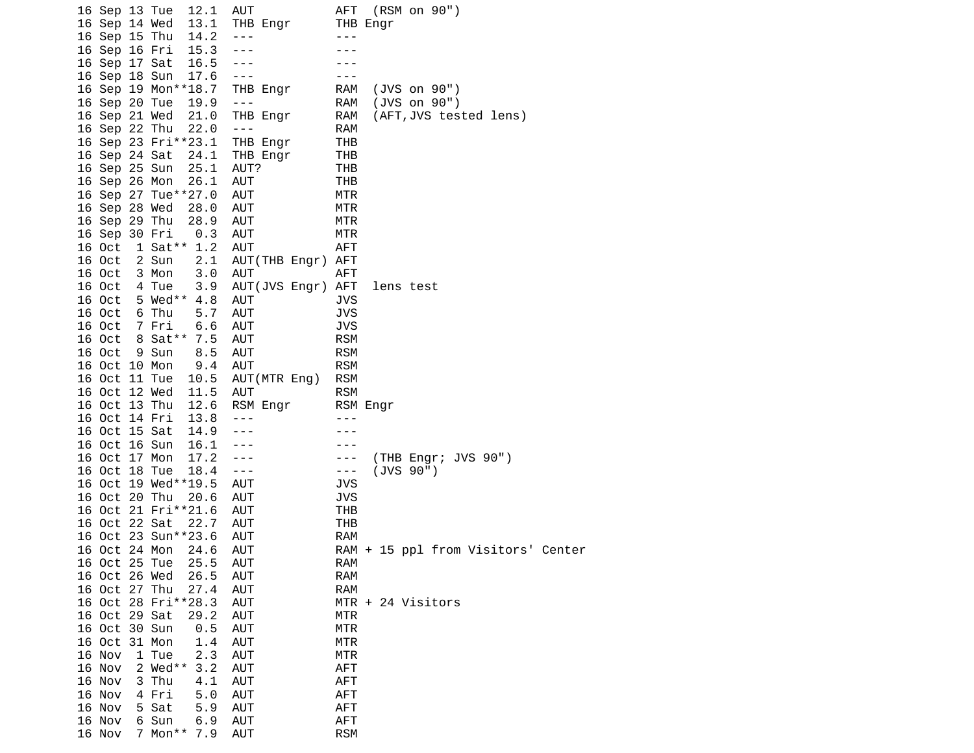|  | 16 Sep 13 Tue | 12.1                |     | AUT               |                | AFT (RSM on 90")                   |  |
|--|---------------|---------------------|-----|-------------------|----------------|------------------------------------|--|
|  | 16 Sep 14 Wed | 13.1                |     | THB Engr          |                | THB Engr                           |  |
|  | 16 Sep 15 Thu | 14.2                |     | $- - -$           | $- - -$        |                                    |  |
|  | 16 Sep 16 Fri | 15.3                |     | $- - -$           |                |                                    |  |
|  | 16 Sep 17 Sat | 16.5                |     | $\sim$ $ \sim$    |                |                                    |  |
|  | 16 Sep 18 Sun | 17.6                |     | $\sim$ $ \sim$    | $- - -$        |                                    |  |
|  |               | 16 Sep 19 Mon**18.7 |     | THB Engr          | RAM            | (JVS on 90")                       |  |
|  | 16 Sep 20 Tue | 19.9                |     | $- - -$           | RAM            | $(JVS \t{on} 90")$                 |  |
|  | 16 Sep 21 Wed | 21.0                |     | THB Engr          | RAM            | (AFT, JVS tested lens)             |  |
|  | 16 Sep 22 Thu | 22.0                |     | $- - -$           | RAM            |                                    |  |
|  |               | 16 Sep 23 Fri**23.1 |     | THB Engr          | THB            |                                    |  |
|  | 16 Sep 24 Sat | 24.1                |     | THB Engr          | THB            |                                    |  |
|  | 16 Sep 25 Sun | 25.1                |     | AUT?              | THB            |                                    |  |
|  | 16 Sep 26 Mon | 26.1                |     | AUT               | THB            |                                    |  |
|  |               | 16 Sep 27 Tue**27.0 |     | AUT               | MTR            |                                    |  |
|  | 16 Sep 28 Wed | 28.0                |     | AUT               | MTR            |                                    |  |
|  | 16 Sep 29 Thu | 28.9                |     | AUT               | MTR            |                                    |  |
|  | 16 Sep 30 Fri |                     | 0.3 | AUT               | MTR            |                                    |  |
|  |               | 16 Oct 1 Sat** 1.2  |     | AUT               | AFT            |                                    |  |
|  | 16 Oct        | 2 Sun               | 2.1 | AUT(THB Engr) AFT |                |                                    |  |
|  | 16 Oct        | 3 Mon               | 3.0 | AUT               | <b>AFT</b>     |                                    |  |
|  | 16 Oct        | 4 Tue               | 3.9 | AUT(JVS Engr) AFT |                | lens test                          |  |
|  | 16 Oct        | 5 Wed** 4.8         |     | AUT               | <b>JVS</b>     |                                    |  |
|  | 16 Oct        | 6 Thu               | 5.7 | AUT               | <b>JVS</b>     |                                    |  |
|  | 16 Oct        | 7 Fri               | 6.6 | AUT               | <b>JVS</b>     |                                    |  |
|  | 16 Oct        | 8 Sat**             | 7.5 | AUT               | <b>RSM</b>     |                                    |  |
|  | 16 Oct        | 9 Sun               | 8.5 | AUT               | <b>RSM</b>     |                                    |  |
|  | 16 Oct 10 Mon | 9.4                 |     | AUT               | <b>RSM</b>     |                                    |  |
|  | 16 Oct 11 Tue | 10.5                |     | AUT (MTR Eng)     | <b>RSM</b>     |                                    |  |
|  | 16 Oct 12 Wed | 11.5                |     | AUT               | <b>RSM</b>     |                                    |  |
|  | 16 Oct 13 Thu | 12.6                |     | RSM Engr          |                | RSM Engr                           |  |
|  | 16 Oct 14 Fri | 13.8                |     | $- - -$           | $- - -$        |                                    |  |
|  | 16 Oct 15 Sat | 14.9                |     | $- - -$           |                |                                    |  |
|  | 16 Oct 16 Sun | 16.1                |     | ---               | $- - -$        |                                    |  |
|  | 16 Oct 17 Mon | 17.2                |     | $- - -$           | $\sim$ $ \sim$ | (THB Engr; JVS 90")                |  |
|  | 16 Oct 18 Tue | 18.4                |     | $\sim$ $ \sim$    | $\sim$ $ \sim$ | (JVS 90")                          |  |
|  |               | 16 Oct 19 Wed**19.5 |     | AUT               | <b>JVS</b>     |                                    |  |
|  | 16 Oct 20 Thu | 20.6                |     | AUT               | <b>JVS</b>     |                                    |  |
|  |               | 16 Oct 21 Fri**21.6 |     | AUT               | THB            |                                    |  |
|  | 16 Oct 22 Sat | 22.7                |     | AUT               | THB            |                                    |  |
|  |               | 16 Oct 23 Sun**23.6 |     | AUT               | RAM            |                                    |  |
|  | 16 Oct 24 Mon | 24.6                |     | AUT               |                | RAM + 15 ppl from Visitors' Center |  |
|  | 16 Oct 25 Tue | 25.5                |     | AUT               | <b>RAM</b>     |                                    |  |
|  | 16 Oct 26 Wed | 26.5                |     | AUT               | <b>RAM</b>     |                                    |  |
|  | 16 Oct 27 Thu | 27.4                |     | AUT               | <b>RAM</b>     |                                    |  |
|  |               | 16 Oct 28 Fri**28.3 |     | <b>AUT</b>        |                | MTR + 24 Visitors                  |  |
|  | 16 Oct 29 Sat | 29.2                |     | <b>AUT</b>        | <b>MTR</b>     |                                    |  |
|  | 16 Oct 30 Sun |                     | 0.5 | <b>AUT</b>        | <b>MTR</b>     |                                    |  |
|  | 16 Oct 31 Mon |                     | 1.4 | AUT               | MTR            |                                    |  |
|  | 16 Nov        | 1 Tue               | 2.3 | <b>AUT</b>        | <b>MTR</b>     |                                    |  |
|  | 16 Nov        | 2 Wed**             | 3.2 | AUT               | AFT            |                                    |  |
|  | 16 Nov        | 3 Thu               | 4.1 | AUT               | <b>AFT</b>     |                                    |  |
|  | 16 Nov        | 4 Fri               | 5.0 | AUT               | <b>AFT</b>     |                                    |  |
|  |               |                     |     |                   |                |                                    |  |
|  | 16 Nov        | 5 Sat               | 5.9 | <b>AUT</b>        | <b>AFT</b>     |                                    |  |
|  | 16 Nov        | 6 Sun               | 6.9 | <b>AUT</b>        | <b>AFT</b>     |                                    |  |
|  | 16 Nov        | 7 Mon**             | 7.9 | AUT               | <b>RSM</b>     |                                    |  |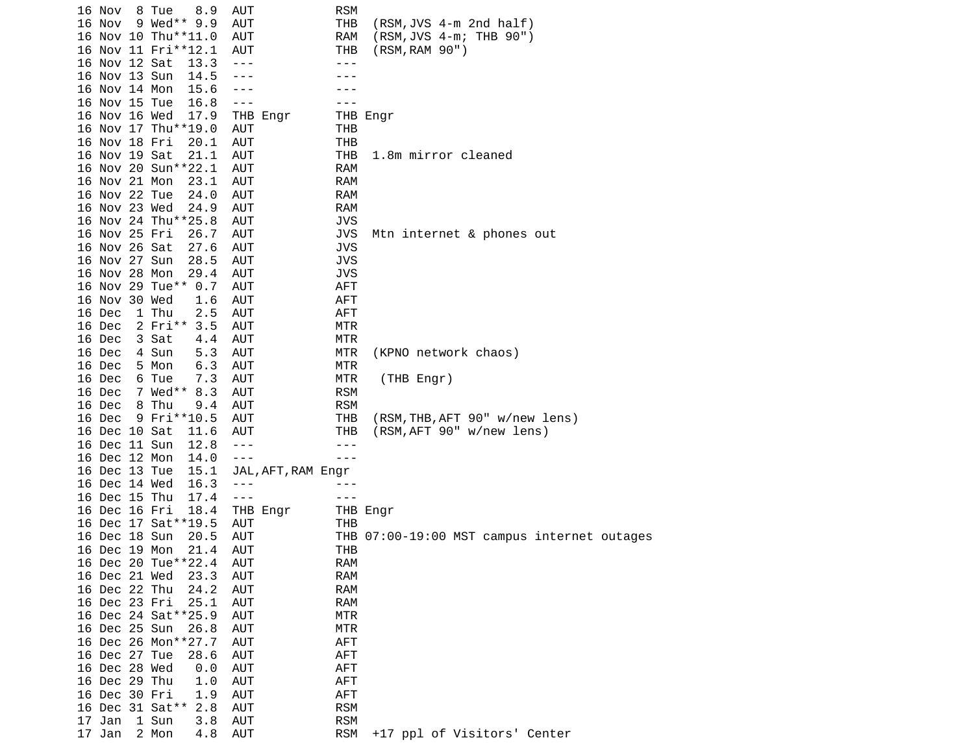| 16 Nov        | 8 Tue<br>8.9        | <b>AUT</b>         | <b>RSM</b> |                                             |
|---------------|---------------------|--------------------|------------|---------------------------------------------|
| 16 Nov        | 9 Wed** 9.9         | <b>AUT</b>         | <b>THB</b> | (RSM,JVS 4-m 2nd half)                      |
|               | 16 Nov 10 Thu**11.0 | <b>AUT</b>         | <b>RAM</b> | (RSM, JVS 4-m; THB 90")                     |
|               | 16 Nov 11 Fri**12.1 | AUT                | THB        | (RSM, RAM 90")                              |
| 16 Nov 12 Sat | 13.3                | $- - -$            | - - -      |                                             |
| 16 Nov 13 Sun | 14.5                | ---                |            |                                             |
| 16 Nov 14 Mon |                     | $- - -$            |            |                                             |
| 16 Nov 15 Tue | 15.6<br>16.8        |                    | - - -      |                                             |
|               |                     | $  -$              |            |                                             |
| 16 Nov 16 Wed | 17.9                | THB Engr           |            | THB Engr                                    |
|               | 16 Nov 17 Thu**19.0 | AUT                | THB        |                                             |
| 16 Nov 18 Fri | 20.1                | <b>AUT</b>         | <b>THB</b> |                                             |
| 16 Nov 19 Sat | 21.1                | <b>AUT</b>         | <b>THB</b> | 1.8m mirror cleaned                         |
|               | 16 Nov 20 Sun**22.1 | <b>AUT</b>         | <b>RAM</b> |                                             |
| 16 Nov 21 Mon | 23.1                | <b>AUT</b>         | <b>RAM</b> |                                             |
| 16 Nov 22 Tue | 24.0                | <b>AUT</b>         | <b>RAM</b> |                                             |
| 16 Nov 23 Wed | 24.9                | AUT                | <b>RAM</b> |                                             |
|               | 16 Nov 24 Thu**25.8 | <b>AUT</b>         | <b>JVS</b> |                                             |
| 16 Nov 25 Fri | 26.7                | <b>AUT</b>         | <b>JVS</b> | Mtn internet & phones out                   |
| 16 Nov 26 Sat | 27.6                | AUT                | <b>JVS</b> |                                             |
| 16 Nov 27 Sun | 28.5                | AUT                | <b>JVS</b> |                                             |
| 16 Nov 28 Mon | 29.4                | AUT                | <b>JVS</b> |                                             |
|               | 16 Nov 29 Tue** 0.7 | <b>AUT</b>         | <b>AFT</b> |                                             |
| 16 Nov 30 Wed | 1.6                 | <b>AUT</b>         | <b>AFT</b> |                                             |
| 16 Dec        | 1 Thu<br>2.5        | <b>AUT</b>         | <b>AFT</b> |                                             |
| 16 Dec        | 3.5<br>$2$ Fri**    | <b>AUT</b>         | MTR        |                                             |
| 16 Dec        | 3 Sat<br>4.4        | <b>AUT</b>         | <b>MTR</b> |                                             |
| 16 Dec        | 4 Sun<br>5.3        | <b>AUT</b>         | MTR        | (KPNO network chaos)                        |
| 16 Dec        | 6.3<br>5 Mon        | <b>AUT</b>         | <b>MTR</b> |                                             |
| 16 Dec        | 6 Tue<br>7.3        | <b>AUT</b>         | <b>MTR</b> | (THB Engr)                                  |
| 16 Dec        | 7 Wed**<br>8.3      | <b>AUT</b>         | <b>RSM</b> |                                             |
| 16 Dec        | 8 Thu<br>9.4        | <b>AUT</b>         | <b>RSM</b> |                                             |
| 16 Dec        | 9 Fri**10.5         | AUT                | THB        | (RSM, THB, AFT 90" w/new lens)              |
| 16 Dec 10 Sat | 11.6                | AUT                | THB        | (RSM, AFT 90" w/new lens)                   |
| 16 Dec 11 Sun | 12.8                | $- - -$            | ---        |                                             |
| 16 Dec 12 Mon | 14.0                | $- - -$            | $- - -$    |                                             |
| 16 Dec 13 Tue | 15.1                | JAL, AFT, RAM Engr |            |                                             |
| 16 Dec 14 Wed | 16.3                | $- - -$            |            |                                             |
| 16 Dec 15 Thu | 17.4                | $- - -$            | - - -      |                                             |
| 16 Dec 16 Fri | 18.4                | THB Engr           |            | THB Engr                                    |
|               | 16 Dec 17 Sat**19.5 | AUT                | THB        |                                             |
| 16 Dec 18 Sun |                     |                    |            | THB 07:00-19:00 MST campus internet outages |
| 16 Dec 19 Mon | 20.5<br>21.4        | AUT                |            |                                             |
|               | 16 Dec 20 Tue**22.4 | AUT                | THB        |                                             |
|               |                     | AUT                | <b>RAM</b> |                                             |
| 16 Dec 21 Wed | 23.3                | <b>AUT</b>         | RAM        |                                             |
| 16 Dec 22 Thu | 24.2                | <b>AUT</b>         | <b>RAM</b> |                                             |
| 16 Dec 23 Fri | 25.1                | <b>AUT</b>         | <b>RAM</b> |                                             |
|               | 16 Dec 24 Sat**25.9 | <b>AUT</b>         | <b>MTR</b> |                                             |
| 16 Dec 25 Sun | 26.8                | <b>AUT</b>         | <b>MTR</b> |                                             |
|               | 16 Dec 26 Mon**27.7 | <b>AUT</b>         | <b>AFT</b> |                                             |
| 16 Dec 27 Tue | 28.6                | <b>AUT</b>         | <b>AFT</b> |                                             |
| 16 Dec 28 Wed | 0.0                 | <b>AUT</b>         | <b>AFT</b> |                                             |
| 16 Dec 29 Thu | 1.0                 | <b>AUT</b>         | <b>AFT</b> |                                             |
| 16 Dec 30 Fri | 1.9                 | <b>AUT</b>         | <b>AFT</b> |                                             |
|               | 16 Dec 31 Sat** 2.8 | <b>AUT</b>         | <b>RSM</b> |                                             |
| 17 Jan        | 3.8<br>1 Sun        | <b>AUT</b>         | <b>RSM</b> |                                             |
| 17 Jan        | 2 Mon<br>4.8        | AUT                | <b>RSM</b> | +17 ppl of Visitors' Center                 |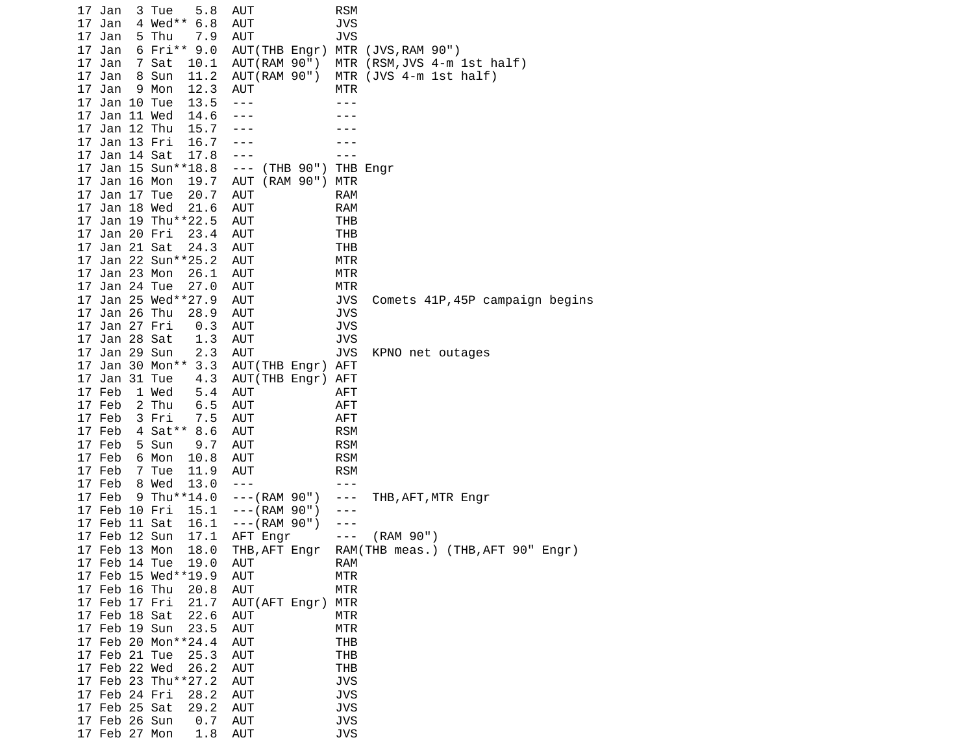17 Jan 3 Tue 5.8 AUT RSM 17 Jan 4 Wed\*\* 6.8 AUT JVS 17 Jan 5 Thu 7.9 AUT JVS 17 Jan 6 Fri\*\* 9.0 AUT(THB Engr) MTR (JVS,RAM 90") 17 Jan 7 Sat 10.1 AUT(RAM 90") MTR (RSM,JVS 4-m 1st half) 17 Jan 8 Sun 11.2 AUT(RAM 90") MTR (JVS 4-m 1st half) 17 Jan 9 Mon 12.3 AUT MTR 17 Jan 10 Tue 13.5 --- -- ---17 Jan 11 Wed 14.6 --- ---<br>17 Jan 12 Thu 15.7 --- ---17 Jan 12 Thu 15.7 ---<br>17 Jan 13 Fri 16.7 --- 17 Jan 13 Fri 16.7 --- --- 17 Jan 14 Sat 17.8 --- - - - -- 17 Jan 15 Sun\*\*18.8 --- (THB 90") THB Engr 17 Jan 16 Mon 19.7 AUT (RAM 90") MTR 17 Jan 17 Tue 20.7 AUT RAM 17 Jan 18 Wed 21.6 AUT RAM 17 Jan 19 Thu\*\*22.5 AUT THB 17 Jan 20 Fri 23.4 AUT THB 17 Jan 21 Sat 24.3 AUT THB 17 Jan 22 Sun\*\*25.2 AUT MTR 17 Jan 23 Mon 26.1 AUT MTR 17 Jan 24 Tue 27.0 AUT MTR 17 Jan 25 Wed\*\*27.9 AUT JVS Comets 41P,45P campaign begins 17 Jan 26 Thu 28.9 AUT JVS 17 Jan 27 Fri 0.3 AUT JVS 17 Jan 28 Sat 1.3 AUT JVS 17 Jan 29 Sun 2.3 AUT JVS KPNO net outages 17 Jan 30 Mon\*\* 3.3 AUT(THB Engr) AFT 17 Jan 31 Tue 4.3 AUT(THB Engr) AFT 17 Feb 1 Wed 5.4 AUT AFT 17 Feb 2 Thu 6.5 AUT AFT 17 Feb 3 Fri 7.5 AUT AFT 17 Feb 4 Sat\*\* 8.6 AUT RSM 17 Feb 5 Sun 9.7 AUT RSM 17 Feb 6 Mon 10.8 AUT RSM 17 Feb 7 Tue 11.9 AUT 17 Feb 8 Wed 13.0 --- - -- -- 17 Feb 9 Thu\*\*14.0 ---(RAM 90") --- THB,AFT,MTR Engr 17 Feb 10 Fri 15.1 ---(RAM 90") --- 17 Feb 11 Sat 16.1 ---(RAM 90") --- 17 Feb 12 Sun 17.1 AFT Engr --- (RAM 90") 17 Feb 13 Mon 18.0 THB,AFT Engr RAM(THB meas.) (THB,AFT 90" Engr) 17 Feb 14 Tue 19.0 AUT RAM 17 Feb 15 Wed\*\*19.9 AUT MTR 17 Feb 16 Thu 20.8 AUT MTR 17 Feb 17 Fri 21.7 AUT(AFT Engr) MTR 17 Feb 18 Sat 22.6 AUT MTR 17 Feb 19 Sun 23.5 AUT MTR 17 Feb 20 Mon\*\*24.4 AUT THB 17 Feb 21 Tue 25.3 AUT THB 17 Feb 22 Wed 26.2 AUT THB 17 Feb 23 Thu\*\*27.2 AUT JVS 17 Feb 24 Fri 28.2 AUT JVS 17 Feb 25 Sat 17 Feb 26 Sun 0.7 AUT JVS 17 Feb 27 Mon 1.8 AUT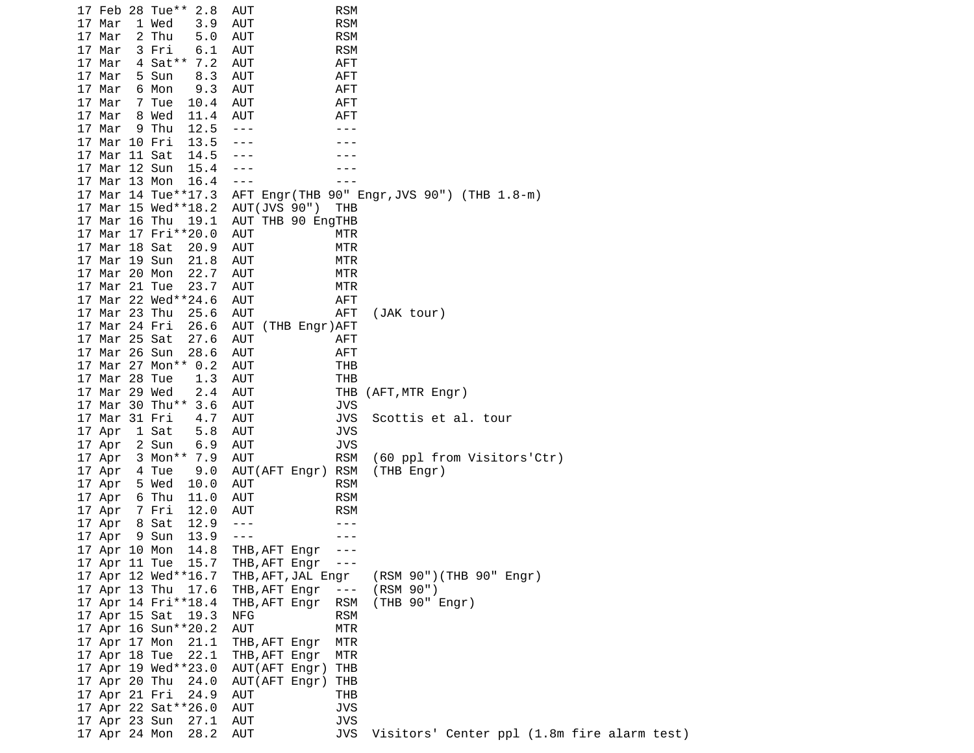17 Feb 28 Tue\*\* 2.8 AUT RSM 17 Mar 1 Wed 3.9 AUT RSM 17 Mar 2 Thu 5.0 AUT RSM 17 Mar 3 Fri 6.1 AUT RSM 17 Mar 4 Sat\*\* 7.2 AUT AFT 17 Mar 5 Sun 8.3 AUT AFT 17 Mar 6 Mon 9.3 AUT AFT 17 Mar 7 Tue 10.4 AUT AFT 17 Mar 8 Wed 11.4 AUT AFT 17 Mar 9 Thu 12.5 ---<br>17 Mar 10 Fri 13.5 --- --- --- ---17 Mar 10 Fri 13.5 --- - -- --- 17 Mar 11 Sat 14.5 --- --- 17 Mar 12 Sun 15.4 --- --- 17 Mar 13 Mon 16.4 --- -- --- 17 Mar 14 Tue\*\*17.3 AFT Engr(THB 90" Engr,JVS 90") (THB 1.8-m) 17 Mar 15 Wed\*\*18.2 AUT(JVS 90") THB 17 Mar 16 Thu 19.1 AUT THB 90 EngTHB 17 Mar 17 Fri\*\*20.0 AUT MTR 17 Mar 18 Sat 20.9 AUT MTR 17 Mar 19 Sun 21.8 AUT MTR 17 Mar 20 Mon 22.7 AUT **MTR** 17 Mar 21 Tue 23.7 AUT MTR 17 Mar 22 Wed\*\*24.6 AUT AFT 17 Mar 23 Thu 25.6 AUT AFT (JAK tour) 17 Mar 24 Fri 26.6 AUT (THB Engr)AFT 17 Mar 25 Sat 27.6 AUT AFT 17 Mar 26 Sun 28.6 AUT AFT 17 Mar 27 Mon\*\* 0.2 AUT 17 Mar 28 Tue 1.3 AUT THB 17 Mar 29 Wed 2.4 AUT THB (AFT,MTR Engr) 17 Mar 30 Thu\*\* 3.6 AUT JVS 17 Mar 31 Fri 4.7 AUT JVS Scottis et al. tour 17 Apr 1 Sat 5.8 AUT JVS 17 Apr 2 Sun 6.9 AUT JVS 17 Apr 3 Mon\*\* 7.9 AUT RSM (60 ppl from Visitors'Ctr) 17 Apr 4 Tue 9.0 AUT(AFT Engr) RSM (THB Engr) 17 Apr 5 Wed 10.0 AUT RSM 17 Apr 6 Thu 11.0 AUT RSM 17 Apr 7 Fri 12.0 AUT RSM 17 Apr 8 Sat 12.9 --- -- ---17 Apr 9 Sun 13.9 --- -- --- 17 Apr 10 Mon 14.8 THB,AFT Engr --- 17 Apr 11 Tue 15.7 THB,AFT Engr --- THB, AFT, JAL Engr (RSM 90")(THB 90" Engr) 17 Apr 13 Thu 17.6 THB,AFT Engr --- (RSM 90") 17 Apr 14 Fri\*\*18.4 17 Apr 15 Sat 19.3 NFG RSM 17 Apr 16 Sun\*\*20.2 AUT MTR 17 Apr 17 Mon 21.1 THB,AFT Engr MTR 17 Apr 18 Tue 22.1 THB,AFT Engr MTR 17 Apr 19 Wed\*\*23.0 17 Apr 20 Thu 24.0 AUT(AFT Engr) THB 17 Apr 21 Fri 24.9 AUT THB 17 Apr 22 Sat\*\*26.0 17 Apr 23 Sun 27.1 AUT JVS 17 Apr 24 Mon 28.2 AUT JVS Visitors' Center ppl (1.8m fire alarm test)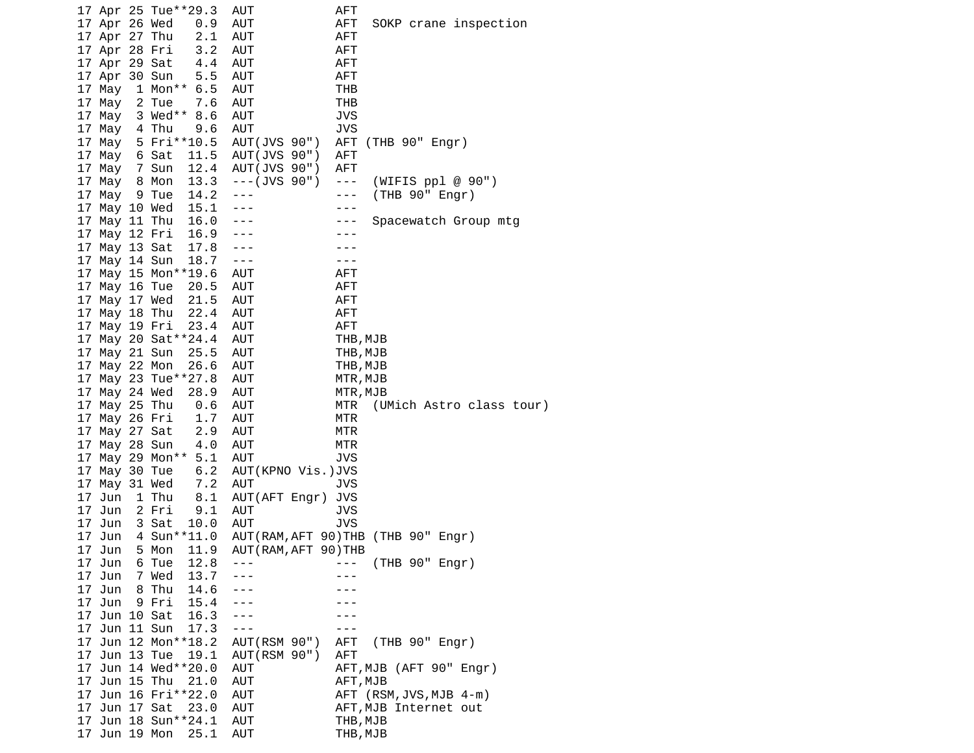|    |                                | 17 Apr 25 Tue**29.3         | AUT                   | AFT                                  |
|----|--------------------------------|-----------------------------|-----------------------|--------------------------------------|
|    | 17 Apr 26 Wed                  | 0.9                         | AUT                   | AFT<br>SOKP crane inspection         |
|    | 17 Apr 27 Thu                  | 2.1                         | AUT                   | <b>AFT</b>                           |
|    | 17 Apr 28 Fri                  | 3.2                         | <b>AUT</b>            | <b>AFT</b>                           |
|    | 17 Apr 29 Sat                  | 4.4                         | AUT                   | <b>AFT</b>                           |
|    | 17 Apr 30 Sun                  | 5.5                         | <b>AUT</b>            | <b>AFT</b>                           |
|    | 17 May                         | 1 Mon** 6.5                 | AUT                   | THB                                  |
|    | 17 May                         | 2 Tue<br>7.6                | AUT                   | THB                                  |
|    | 17 May                         | 3 Wed** 8.6                 | <b>AUT</b>            | <b>JVS</b>                           |
|    | 17 May                         | 4 Thu<br>9.6                | AUT                   | <b>JVS</b>                           |
|    | 17 May                         | 5 Fri**10.5                 | AUT(JVS 90")          | AFT<br>(THB 90" Engr)                |
|    | 17 May                         | 11.5<br>6 Sat               | AUT(JVS 90")          | AFT                                  |
|    | 17 May                         | 7 Sun<br>12.4               | AUT(JVS 90")          | <b>AFT</b>                           |
|    | 17 May                         | 13.3<br>8 Mon               | $--($ JVS $90"$       | (WIFIS $pp1 \ @ \ 90"$ )<br>$  -$    |
|    | 17 May                         | 14.2<br>9 Tue               | $- - -$               | (THB 90" Engr)<br>- - -              |
|    | 17 May 10 Wed                  | 15.1                        | ---                   | - - -                                |
|    | 17 May 11 Thu                  | 16.0                        |                       | Spacewatch Group mtg<br>- - -        |
|    | 17 May 12 Fri                  | 16.9                        |                       |                                      |
|    | 17 May 13 Sat                  | 17.8                        | ---                   |                                      |
|    | 17 May 14 Sun                  | 18.7                        | $- - -$               | - - -                                |
|    |                                | 17 May 15 Mon**19.6         | AUT                   | AFT                                  |
|    | 17 May 16 Tue                  | 20.5                        | AUT                   | <b>AFT</b>                           |
|    | 17 May 17 Wed                  | 21.5                        | AUT                   | <b>AFT</b>                           |
|    | 17 May 18 Thu                  | 22.4                        | AUT                   | <b>AFT</b>                           |
|    | 17 May 19 Fri                  | 23.4                        | <b>AUT</b>            | <b>AFT</b>                           |
|    |                                | 17 May 20 Sat ** 24.4       | AUT                   | THB, MJB                             |
|    | 17 May 21 Sun                  | 25.5                        | <b>AUT</b>            | THB, MJB                             |
|    | 17 May 22 Mon                  | 26.6                        | AUT                   | THB, MJB                             |
|    |                                | 17 May 23 Tue**27.8         | <b>AUT</b>            | MTR, MJB                             |
|    |                                |                             |                       |                                      |
|    |                                |                             |                       |                                      |
|    | 17 May 24 Wed                  | 28.9                        | AUT                   | MTR, MJB<br>MTR                      |
|    | 17 May 25 Thu                  | 0.6                         | <b>AUT</b>            | (UMich Astro class tour)<br>MTR      |
|    | 17 May 26 Fri                  | 1.7                         | <b>AUT</b>            | MTR                                  |
|    | 17 May 27 Sat                  | 2.9<br>4.0                  | AUT<br>AUT            | MTR                                  |
|    | 17 May 28 Sun                  |                             | AUT                   | <b>JVS</b>                           |
|    |                                | 17 May 29 Mon** 5.1<br>6.2  | AUT(KPNO Vis.)JVS     |                                      |
|    | 17 May 30 Tue<br>17 May 31 Wed | 7.2                         | AUT                   | <b>JVS</b>                           |
|    | 17 Jun                         | 1 Thu<br>8.1                | AUT(AFT Engr)         | JVS                                  |
|    | 17 Jun                         | 2 Fri<br>9.1                | AUT                   | <b>JVS</b>                           |
|    | 17 Jun                         | 3 Sat<br>10.0               | AUT                   | JVS                                  |
|    | 17 Jun                         | 4 Sun ** 11.0               |                       | AUT (RAM, AFT 90) THB (THB 90" Engr) |
| 17 | Jun                            | 11.9<br>5 Mon               | AUT (RAM, AFT 90) THB |                                      |
|    |                                | 12.8<br>6 Tue               |                       |                                      |
|    | 17 Jun<br>17 Jun               | 13.7<br>7 Wed               |                       | (THB 90" Engr)                       |
|    | 17 Jun                         | 8 Thu<br>14.6               |                       |                                      |
|    | 17 Jun                         | 9 Fri<br>15.4               |                       |                                      |
|    | 17 Jun 10 Sat                  | 16.3                        |                       |                                      |
|    | 17 Jun 11 Sun                  | 17.3                        | $- - -$               |                                      |
|    |                                | 17 Jun 12 Mon**18.2         | AUT (RSM 90")         | (THB 90" Engr)<br>AFT                |
|    | 17 Jun 13 Tue                  | 19.1                        | AUT (RSM 90")         | <b>AFT</b>                           |
|    |                                | 17 Jun 14 Wed**20.0         | <b>AUT</b>            | AFT, MJB (AFT 90" Engr)              |
|    | 17 Jun 15 Thu                  | 21.0                        | <b>AUT</b>            | AFT, MJB                             |
|    |                                | 17 Jun 16 Fri**22.0         | <b>AUT</b>            | AFT (RSM, JVS, MJB 4-m)              |
|    | 17 Jun 17 Sat                  | 23.0                        | AUT                   | AFT, MJB Internet out                |
|    | Jun 19 Mon                     | 17 Jun 18 Sun**24.1<br>25.1 | AUT<br><b>AUT</b>     | THB, MJB                             |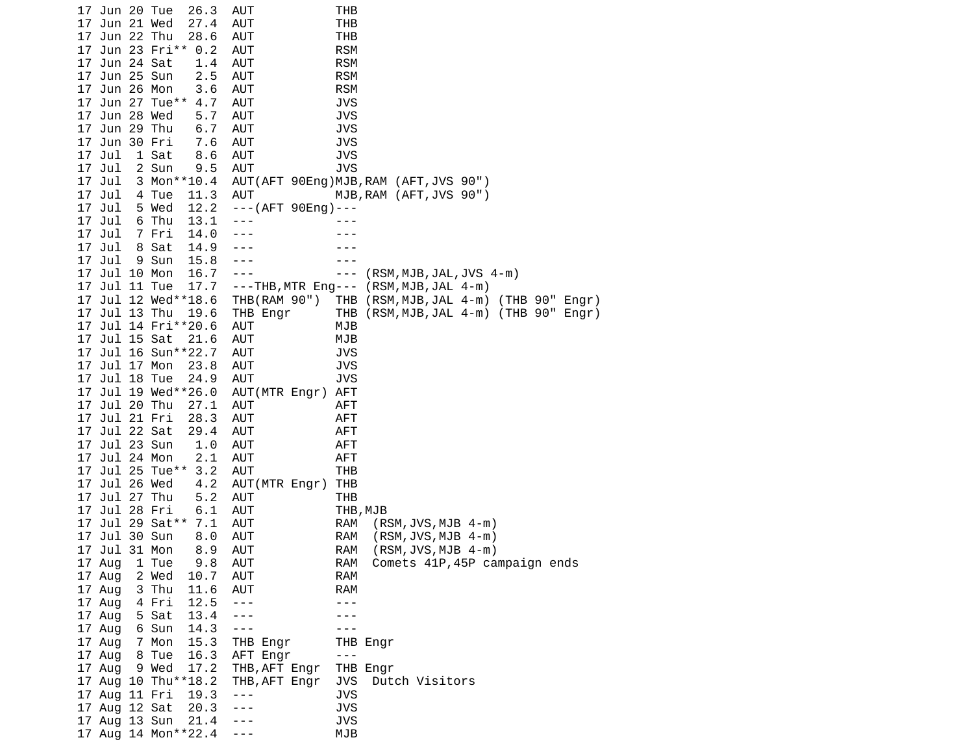| 17 Jun 20 Tue    | 26.3                | AUT               | THB                                         |
|------------------|---------------------|-------------------|---------------------------------------------|
| Jun 21 Wed<br>17 | 27.4                | AUT               | <b>THB</b>                                  |
| 17 Jun 22 Thu    | 28.6                | AUT               | <b>THB</b>                                  |
|                  | 17 Jun 23 Fri** 0.2 | AUT               | <b>RSM</b>                                  |
| 17 Jun 24 Sat    | 1.4                 | AUT               | <b>RSM</b>                                  |
| 17 Jun 25 Sun    | 2.5                 | AUT               | <b>RSM</b>                                  |
| 17 Jun 26 Mon    | 3.6                 | AUT               | <b>RSM</b>                                  |
| 17 Jun 27 Tue**  | 4.7                 | AUT               | JVS                                         |
| 17 Jun 28 Wed    | 5.7                 | AUT               | <b>JVS</b>                                  |
| 17 Jun 29 Thu    | 6.7                 | AUT               | <b>JVS</b>                                  |
| 17 Jun 30 Fri    | 7.6                 | AUT               | <b>JVS</b>                                  |
| 17 Jul           | 1 Sat<br>8.6        | <b>AUT</b>        | <b>JVS</b>                                  |
| 17 Jul           | 2 Sun<br>9.5        | AUT               | <b>JVS</b>                                  |
| 17 Jul           | 3 Mon**10.4         |                   | AUT(AFT 90Eng)MJB, RAM (AFT, JVS 90")       |
| 17 Jul           | 4 Tue<br>11.3       | AUT               | MJB, RAM (AFT, JVS 90")                     |
| 17 Jul           | 12.2<br>5 Wed       | ---(AFT 90Eng)--- |                                             |
| 17 Jul           | 6 Thu<br>13.1       | $- - -$           |                                             |
| 17 Jul           | 7 Fri<br>14.0       |                   |                                             |
| 17 Jul           | 8 Sat<br>14.9       |                   |                                             |
| 17 Jul           | 9 Sun<br>15.8       | $- -$             |                                             |
| 17 Jul 10 Mon    | 16.7                | $- - -$           | $(RSM, MJB, JAL, JVS 4-m)$<br>$- - -$       |
| 17 Jul 11 Tue    | 17.7                |                   | ---THB, MTR Eng--- (RSM, MJB, JAL 4-m)      |
|                  | 17 Jul 12 Wed**18.6 | THB(RAM 90")      | THB (RSM,MJB,JAL 4-m) (THB 90" Engr)        |
| 17 Jul 13 Thu    | 19.6                | THB Engr          | THB (RSM, MJB, JAL 4-m) (THB 90" Engr)      |
|                  | 17 Jul 14 Fri**20.6 | AUT               | MJB                                         |
| 17 Jul 15 Sat    | 21.6                | AUT               | MJB                                         |
|                  | 17 Jul 16 Sun**22.7 | AUT               | JVS                                         |
| 17 Jul 17 Mon    | 23.8                | AUT               | <b>JVS</b>                                  |
| 17 Jul 18 Tue    | 24.9                | <b>AUT</b>        | <b>JVS</b>                                  |
|                  | 17 Jul 19 Wed**26.0 | AUT(MTR Engr)     | AFT                                         |
| 17 Jul 20 Thu    | 27.1                | AUT               | AFT                                         |
| 17 Jul 21 Fri    | 28.3                | AUT               | AFT                                         |
| 17 Jul 22 Sat    | 29.4                | AUT               | <b>AFT</b>                                  |
| 17 Jul 23 Sun    | 1.0                 | AUT               | AFT                                         |
| 17 Jul 24 Mon    | 2.1                 | AUT               | AFT                                         |
| 17 Jul 25 Tue**  | 3.2                 | AUT               | THB                                         |
| 17<br>Jul 26 Wed | 4.2                 | AUT(MTR Engr)     | THB                                         |
| 17 Jul 27 Thu    | 5.2                 | AUT               | THB                                         |
| 17<br>Jul 28 Fri | 6.1                 | AUT               | THB, MJB                                    |
|                  | 17 Jul 29 Sat** 7.1 | AUT               | RAM<br>$(RSM, JVS, MJB 4-m)$                |
| 17 Jul 30 Sun    | 8.0                 | AUT               | <b>RAM</b><br>$(RSM, JVS, MJB 4-m)$         |
| Jul 31 Mon<br>17 | 8.9                 | AUT               | $(RSM, JVS, MJB 4-m)$<br>RAM                |
| 17 Aug           | 1 Tue<br>9.8        | AUT               | Comets 41P, 45P campaign ends<br><b>RAM</b> |
| 17 Aug           | 10.7<br>2 Wed       | AUT               | <b>RAM</b>                                  |
| 17 Aug           | 3 Thu<br>11.6       | AUT               | <b>RAM</b>                                  |
| 17 Aug           | 12.5<br>4 Fri       | $- - -$           | - - -                                       |
| 17 Aug           | 5 Sat<br>13.4       | $- - -$           |                                             |
| 17 Aug           | 6 Sun<br>14.3       | $- - -$           | - - -                                       |
| 17 Aug           | 7 Mon<br>15.3       | THB Engr          | THB Engr                                    |
| 17 Aug 8 Tue     | 16.3                | AFT Engr          | $\frac{1}{2}$                               |
| 17 Aug           | 17.2<br>9 Wed       | THB, AFT Engr     | THB Engr                                    |
|                  | 17 Aug 10 Thu**18.2 | THB, AFT Engr     | JVS<br>Dutch Visitors                       |
| 17 Aug 11 Fri    | 19.3                | $- - -$           | <b>JVS</b>                                  |
| 17 Aug 12 Sat    | 20.3                |                   | <b>JVS</b>                                  |
| 17 Aug 13 Sun    | 21.4                |                   | <b>JVS</b>                                  |
|                  | 17 Aug 14 Mon**22.4 |                   | MJB                                         |
|                  |                     |                   |                                             |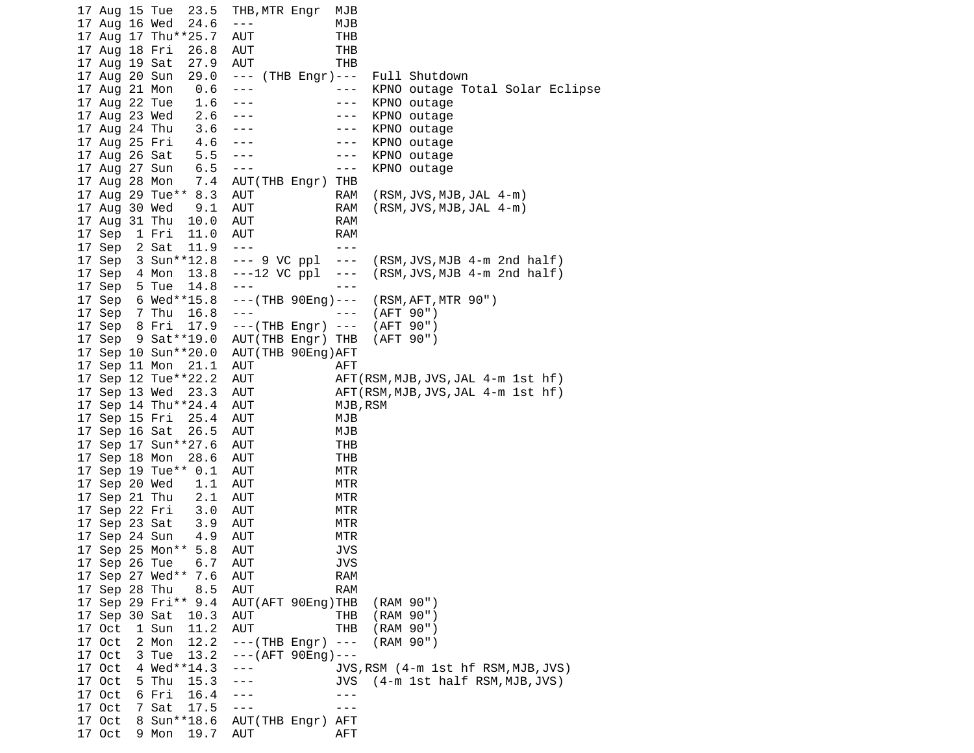17 Aug 15 Tue 23.5 THB,MTR Engr MJB 17 Aug 16 Wed 24.6 --- MJB 17 Aug 17 Thu\*\*25.7 AUT THB 17 Aug 18 Fri 26.8 AUT THB 17 Aug 19 Sat 27.9 AUT THB 17 Aug 20 Sun 29.0 --- (THB Engr)--- Full Shutdown 17 Aug 21 Mon 0.6 --- --- KPNO outage Total Solar Eclipse 17 Aug 22 Tue 1.6 --- -- -- KPNO outage 17 Aug 23 Wed 2.6 --- - - - KPNO outage 17 Aug 24 Thu 3.6 --- - -- -- KPNO outage 17 Aug 25 Fri 4.6 --- - -- -- KPNO outage 17 Aug 26 Sat 5.5 --- --- KPNO outage 17 Aug 27 Sun 6.5 --- -- -- --- 17 Aug 28 Mon 7.4 AUT(THB Engr) THB 17 Aug 29 Tue\*\* 8.3 AUT RAM (RSM,JVS,MJB,JAL 4-m) 17 Aug 30 Wed 9.1 AUT RAM (RSM,JVS,MJB,JAL 4-m) 17 Aug 31 Thu 10.0 AUT RAM 17 Sep 1 Fri 11.0 AUT RAM 17 Sep 2 Sat 11.9 ---<br>17 Sep 3 Sun\*\*12.8 --- 9 VC ppl --- 17 Sep 3 Sun\*\*12.8 --- 9 VC ppl --- (RSM,JVS,MJB 4-m 2nd half) 17 Sep 4 Mon 13.8 ---12 VC ppl --- (RSM,JVS,MJB 4-m 2nd half) 17 Sep 5 Tue 14.8 --- -- --- 17 Sep 6 Wed\*\*15.8 ---(THB 90Eng)--- (RSM,AFT,MTR 90") 17 Sep 7 Thu 16.8 --- - -- -- (AFT 90") 17 Sep 8 Fri 17.9 ---(THB Engr) --- (AFT 90") 17 Sep 9 Sat\*\*19.0 AUT(THB Engr) THB (AFT 90") 17 Sep 10 Sun\*\*20.0 AUT(THB 90Eng)AFT 17 Sep 11 Mon 21.1 AUT AFT 17 Sep 12 Tue\*\*22.2 AUT AFT(RSM,MJB,JVS,JAL 4-m 1st hf) 17 Sep 13 Wed 23.3 AUT AFT(RSM,MJB,JVS,JAL 4-m 1st hf) 17 Sep 14 Thu\*\*24.4 AUT MJB,RSM 17 Sep 15 Fri 25.4 AUT MJB 17 Sep 16 Sat 26.5 AUT MJB 17 Sep 17 Sun\*\*27.6 AUT THB 17 Sep 18 Mon 28.6 AUT THB 17 Sep 19 Tue\*\* 0.1 AUT MTR 17 Sep 20 Wed 1.1 AUT MTR 17 Sep 21 Thu 2.1 AUT MTR 17 Sep 22 Fri 3.0 AUT MTR 17 Sep 23 Sat 3.9 AUT MTR 17 Sep 24 Sun 4.9 AUT MTR 17 Sep 25 Mon\*\* 5.8 AUT JVS 17 Sep 26 Tue 6.7 AUT 17 Sep 27 Wed\*\* 7.6 AUT RAM 17 Sep 28 Thu 8.5 AUT RAM 17 Sep 29 Fri\*\* 9.4 AUT(AFT 90Eng)THB (RAM 90") 17 Sep 30 Sat 10.3 AUT THB (RAM 90") 17 Oct 1 Sun 11.2 AUT THB (RAM 90") 17 Oct 2 Mon 12.2 ---(THB Engr) --- (RAM 90") 17 Oct 3 Tue 13.2 ---(AFT 90Eng)--- 17 Oct 4 Wed\*\*14.3 --- JVS,RSM (4-m 1st hf RSM,MJB,JVS) 17 Oct 5 Thu 15.3 --- JVS (4-m 1st half RSM,MJB,JVS) 17 Oct 6 Fri 16.4 --- ---<br>17 Oct 7 Sat 17.5 --- --- 17 Oct 7 Sat 17.5 --- --- 17 Oct 8 Sun\*\*18.6 AUT(THB Engr) AFT 17 Oct 9 Mon 19.7 AUT AFT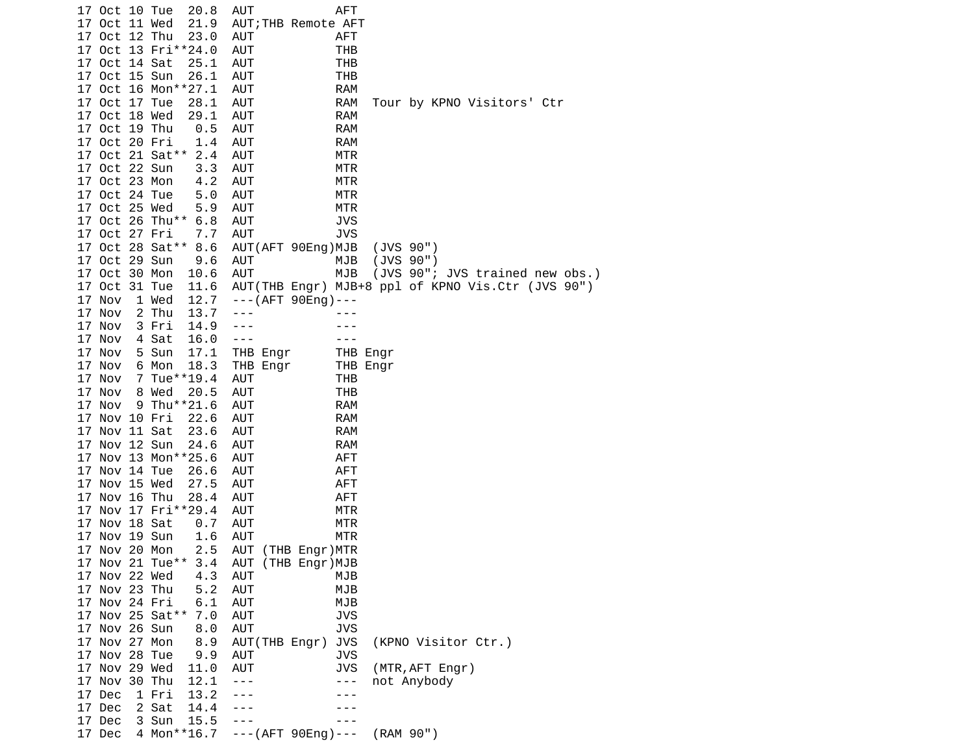17 Oct 10 Tue 20.8 AUT AFT 17 Oct 11 Wed 21.9 AUT;THB Remote AFT 17 Oct 12 Thu 23.0 AUT AFT 17 Oct 13 Fri\*\*24.0 AUT THB 17 Oct 14 Sat 25.1 AUT 17 Oct 15 Sun 26.1 AUT THB 17 Oct 16 Mon\*\*27.1 AUT 17 Oct 17 Tue 28.1 AUT RAM Tour by KPNO Visitors' Ctr 17 Oct 18 Wed 29.1 AUT RAM 17 Oct 19 Thu 0.5 AUT RAM 17 Oct 20 Fri 1.4 AUT 17 Oct 21 Sat\*\* 2.4 AUT MTR 17 Oct 22 Sun 3.3 AUT MTR 17 Oct 23 Mon 4.2 AUT MTR 17 Oct 24 Tue 5.0 AUT MTR 17 Oct 25 Wed 5.9 AUT MTR 17 Oct 26 Thu\*\* 6.8 AUT JVS 17 Oct 27 Fri 7.7 AUT 17 Oct 28 Sat\*\* 8.6 AUT(AFT 90Eng)MJB (JVS 90") 17 Oct 29 Sun 9.6 AUT MJB (JVS 90") 17 Oct 30 Mon 10.6 AUT MJB (JVS 90"; JVS trained new obs.) 17 Oct 31 Tue 11.6 AUT(THB Engr) MJB+8 ppl of KPNO Vis.Ctr (JVS 90") 17 Nov 1 Wed 12.7 ---(AFT 90Eng)--- 17 Nov 2 Thu 13.7 ---17 Nov 3 Fri 14.9 --- -- ---17 Nov 4 Sat 16.0 --- -- --- 17 Nov 5 Sun 17.1 THB Engr THB Engr 6 Mon 18.3 THB Engr THB Engr 17 Nov 7 Tue\*\*19.4 AUT THB 17 Nov 8 Wed 20.5 AUT THB 17 Nov 9 Thu\*\*21.6 AUT RAM 17 Nov 10 Fri 22.6 AUT RAM 17 Nov 11 Sat 23.6 AUT RAM 17 Nov 12 Sun 24.6 AUT RAM 17 Nov 13 Mon\*\*25.6 AUT AFT 17 Nov 14 Tue 26.6 AUT AFT 17 Nov 15 Wed 27.5 AUT AFT 17 Nov 16 Thu 28.4 AUT AFT 17 Nov 17 Fri\*\*29.4 AUT MTR 17 Nov 18 Sat 0.7 AUT MTR 17 Nov 19 Sun 1.6 AUT MTR 17 Nov 20 Mon 2.5 AUT (THB Engr)MTR 17 Nov 21 Tue\*\* 3.4<br>17 Nov 22 Wed 4.3 17 Nov 22 Wed 4.3 AUT MJB 17 Nov 23 Thu 5.2 AUT MJB 17 Nov 24 Fri 6.1 AUT 17 Nov 25 Sat\*\* 7.0 AUT JVS 17 Nov 26 Sun 8.0 AUT JVS 17 Nov 27 Mon 8.9 AUT(THB Engr) JVS (KPNO Visitor Ctr.) 17 Nov 28 Tue 9.9 AUT 17 Nov 29 Wed 11.0 AUT JVS (MTR,AFT Engr) 17 Nov 30 Thu 12.1 --- -- -- -- not Anybody 17 Dec 1 Fri 13.2 ---<br>17 Dec 2 Sat 14.4 --- --- --- ---17 Dec 2 Sat 14.4 --- -- --- 17 Dec 3 Sun 15.5 --- --- 17 Dec 4 Mon\*\*16.7 ---(AFT 90Eng)--- (RAM 90")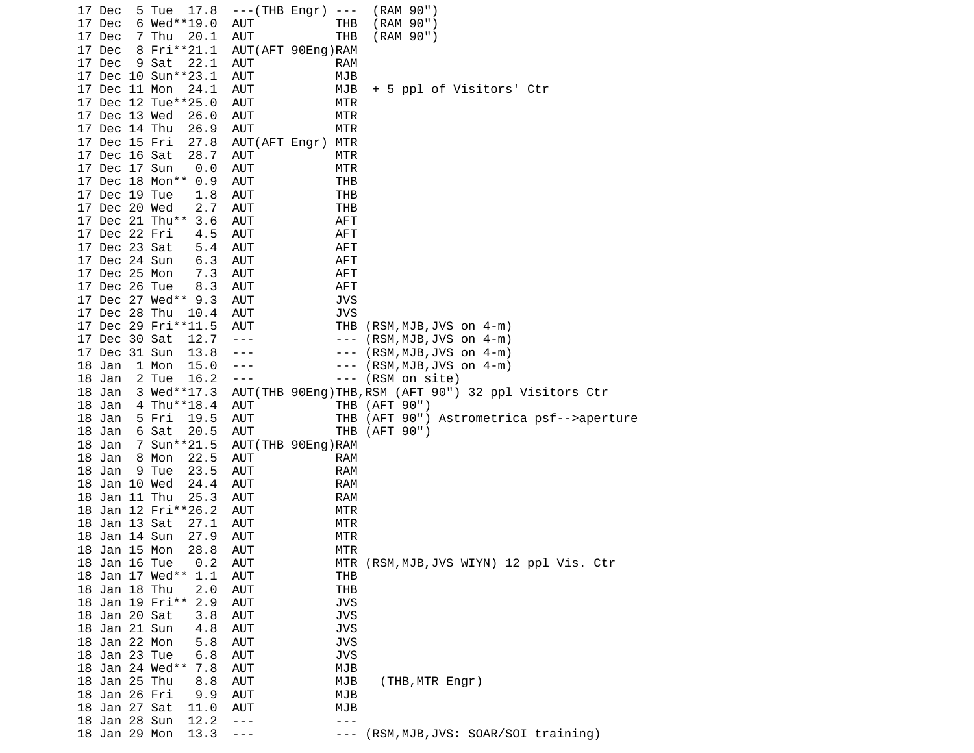| 17 Dec                         | 5 Tue 17.8             | ---(THB Engr)        | $\sim$ $ \sim$      | (RAM 90")                                            |
|--------------------------------|------------------------|----------------------|---------------------|------------------------------------------------------|
| 17 Dec                         | 6 Wed**19.0            | <b>AUT</b>           | THB                 | (RAM 90")                                            |
| 17 Dec                         | 7 Thu<br>20.1          | <b>AUT</b>           | <b>THB</b>          | (RAM 90")                                            |
| 17 Dec                         | 8 Fri**21.1            |                      | AUT (AFT 90Eng) RAM |                                                      |
| 17 Dec                         | 9 Sat<br>22.1          | AUT                  | <b>RAM</b>          |                                                      |
|                                | 17 Dec 10 Sun**23.1    | <b>AUT</b>           | MJB                 |                                                      |
| 17 Dec 11 Mon                  | 24.1                   | AUT                  | MJB                 | + 5 ppl of Visitors' Ctr                             |
|                                | 17 Dec 12 Tue**25.0    | AUT                  | MTR                 |                                                      |
| 17 Dec 13 Wed                  | 26.0                   | AUT                  | MTR                 |                                                      |
| 17 Dec 14 Thu                  | 26.9                   | <b>AUT</b>           | <b>MTR</b>          |                                                      |
| 17 Dec 15 Fri                  |                        |                      |                     |                                                      |
|                                | 27.8                   | AUT(AFT Engr)        | MTR                 |                                                      |
| 17 Dec 16 Sat                  | 28.7                   | AUT                  | MTR                 |                                                      |
| 17 Dec 17 Sun                  | 0.0                    | AUT                  | MTR                 |                                                      |
|                                | 17 Dec 18 Mon**<br>0.9 | <b>AUT</b>           | <b>THB</b>          |                                                      |
| 17 Dec 19 Tue                  | 1.8                    | <b>AUT</b>           | THB                 |                                                      |
| 17 Dec 20 Wed                  | 2.7                    | AUT                  | THB                 |                                                      |
|                                | 17 Dec 21 Thu**<br>3.6 | AUT                  | AFT                 |                                                      |
| 17 Dec 22 Fri                  | 4.5                    | AUT                  | <b>AFT</b>          |                                                      |
| 17 Dec 23 Sat                  | 5.4                    | <b>AUT</b>           | <b>AFT</b>          |                                                      |
| 17 Dec 24 Sun                  | 6.3                    | <b>AUT</b>           | <b>AFT</b>          |                                                      |
| 17 Dec 25 Mon                  | 7.3                    | <b>AUT</b>           | AFT                 |                                                      |
| 17 Dec 26 Tue                  | 8.3                    | AUT                  | <b>AFT</b>          |                                                      |
|                                | 17 Dec 27 Wed** 9.3    | AUT                  | <b>JVS</b>          |                                                      |
| 17 Dec 28 Thu                  | 10.4                   | <b>AUT</b>           | <b>JVS</b>          |                                                      |
|                                | 17 Dec 29 Fri**11.5    | AUT                  |                     | THB (RSM, MJB, JVS on 4-m)                           |
| 17 Dec 30 Sat                  | 12.7                   | $- - -$              | $\sim$ $ -$         | (RSM, MJB, JVS on 4-m)                               |
| 17 Dec 31 Sun                  | 13.8                   |                      | ---                 | (RSM, MJB, JVS on 4-m)                               |
| 18 Jan                         | 15.0<br>1 Mon          | ---                  | $- - -$             | (RSM, MJB, JVS on 4-m)                               |
| 18 Jan                         | 2 Tue<br>16.2          | $\sim$ $\sim$ $\sim$ | $\sim$ $ \sim$      | (RSM on site)                                        |
| 18 Jan                         | 3 Wed**17.3            |                      |                     | AUT(THB 90Eng)THB, RSM (AFT 90") 32 ppl Visitors Ctr |
| 18 Jan                         | 4 Thu**18.4            | AUT                  |                     | THB (AFT 90")                                        |
| 18 Jan                         | 5 Fri<br>19.5          | AUT                  |                     | THB (AFT 90") Astrometrica psf-->aperture            |
| 18 Jan                         | 6 Sat<br>20.5          | AUT                  | THB                 | (AFT 90")                                            |
| 18 Jan                         | 7 Sun**21.5            |                      | AUT (THB 90Eng) RAM |                                                      |
| 18 Jan                         | 22.5<br>8 Mon          | AUT                  | <b>RAM</b>          |                                                      |
| 18 Jan                         | 9 Tue<br>23.5          | AUT                  | <b>RAM</b>          |                                                      |
| 18 Jan 10 Wed                  | 24.4                   | <b>AUT</b>           | <b>RAM</b>          |                                                      |
| 18 Jan 11 Thu                  | 25.3                   | <b>AUT</b>           | <b>RAM</b>          |                                                      |
|                                | 18 Jan 12 Fri**26.2    | <b>AUT</b>           | <b>MTR</b>          |                                                      |
| 18 Jan 13 Sat                  | 27.1                   | <b>AUT</b>           | MTR                 |                                                      |
| 18 Jan 14 Sun                  |                        |                      |                     |                                                      |
|                                | 27.9                   | AUT                  | MTR                 |                                                      |
| 18 Jan 15 Mon                  | 28.8                   | <b>AUT</b>           | <b>MTR</b>          |                                                      |
| 18 Jan 16 Tue                  | 0.2                    | AUT                  |                     | MTR (RSM,MJB,JVS WIYN) 12 ppl Vis. Ctr               |
|                                | 18 Jan 17 Wed**<br>1.1 | <b>AUT</b>           | THB                 |                                                      |
| 18 Jan 18 Thu                  | 2.0                    | <b>AUT</b>           | <b>THB</b>          |                                                      |
|                                | 18 Jan 19 Fri**<br>2.9 | AUT                  | <b>JVS</b>          |                                                      |
| 18 Jan 20 Sat                  | 3.8                    | <b>AUT</b>           | <b>JVS</b>          |                                                      |
| 18 Jan 21 Sun                  | 4.8                    | <b>AUT</b>           | <b>JVS</b>          |                                                      |
| 18 Jan 22 Mon                  | 5.8                    | <b>AUT</b>           | <b>JVS</b>          |                                                      |
| 18 Jan 23 Tue                  | 6.8                    | <b>AUT</b>           | <b>JVS</b>          |                                                      |
|                                | 18 Jan 24 Wed**<br>7.8 | <b>AUT</b>           | MJB                 |                                                      |
| 18 Jan 25 Thu                  | 8.8                    | <b>AUT</b>           | MJB                 | (THB, MTR Engr)                                      |
| 18 Jan 26 Fri                  | 9.9                    | <b>AUT</b>           | MJB                 |                                                      |
|                                |                        |                      |                     |                                                      |
| 18 Jan 27 Sat                  | 11.0                   | <b>AUT</b>           | MJB                 |                                                      |
| 18 Jan 28 Sun<br>18 Jan 29 Mon | 12.2<br>13.3           | - - -                | ---                 | (RSM, MJB, JVS: SOAR/SOI training)                   |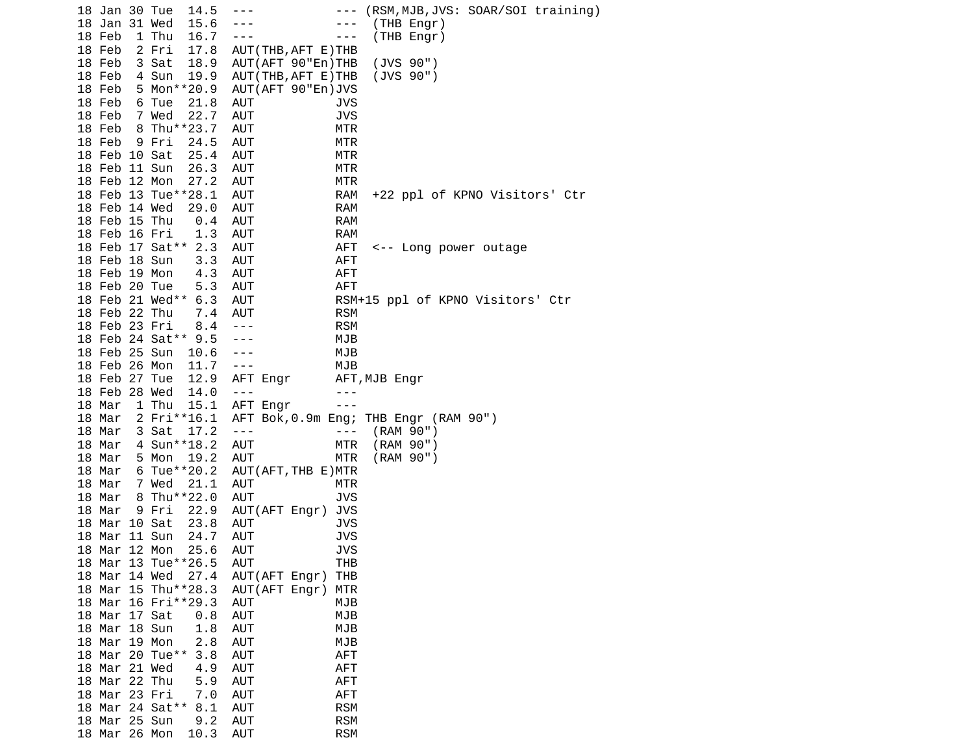|  | 18 Jan 30 Tue | 14.5                   | ---                  | ---        | (RSM,MJB,JVS: SOAR/SOI training)     |
|--|---------------|------------------------|----------------------|------------|--------------------------------------|
|  | 18 Jan 31 Wed | 15.6                   |                      | ---        | (THB Engr)                           |
|  | 18 Feb        | 16.7<br>1 Thu          |                      | ---        | (THB Engr)                           |
|  | 18 Feb        | 17.8<br>2 Fri          | AUT (THB, AFT E) THB |            |                                      |
|  | 18 Feb        | 3 Sat<br>18.9          | AUT (AFT 90"En) THB  |            | (JVS 90")                            |
|  | 18 Feb        | 4 Sun<br>19.9          | AUT (THB, AFT E) THB |            | (JVS 90")                            |
|  | 18 Feb        | 5 Mon**20.9            | AUT (AFT 90"En) JVS  |            |                                      |
|  | 18 Feb        |                        |                      |            |                                      |
|  |               | 6 Tue<br>21.8          | AUT                  | JVS        |                                      |
|  | 18 Feb        | 7 Wed<br>22.7          | AUT                  | <b>JVS</b> |                                      |
|  | 18 Feb        | 8 Thu**23.7            | AUT                  | MTR        |                                      |
|  | 18 Feb        | 9 Fri<br>24.5          | AUT                  | MTR        |                                      |
|  | 18 Feb 10 Sat | 25.4                   | AUT                  | MTR        |                                      |
|  | 18 Feb 11 Sun | 26.3                   | AUT                  | MTR        |                                      |
|  | 18 Feb 12 Mon | 27.2                   | AUT                  | MTR        |                                      |
|  |               | 18 Feb 13 Tue**28.1    | AUT                  | <b>RAM</b> | +22 ppl of KPNO Visitors' Ctr        |
|  | 18 Feb 14 Wed | 29.0                   | AUT                  | <b>RAM</b> |                                      |
|  | 18 Feb 15 Thu | 0.4                    | AUT                  | <b>RAM</b> |                                      |
|  | 18 Feb 16 Fri | 1.3                    | AUT                  | <b>RAM</b> |                                      |
|  |               | 18 Feb 17 Sat** 2.3    | AUT                  | AFT        | <-- Long power outage                |
|  | 18 Feb 18 Sun | 3.3                    | AUT                  | <b>AFT</b> |                                      |
|  | 18 Feb 19 Mon |                        |                      |            |                                      |
|  |               | 4.3                    | AUT                  | AFT        |                                      |
|  | 18 Feb 20 Tue | 5.3                    | AUT                  | <b>AFT</b> |                                      |
|  |               | 18 Feb 21 Wed** 6.3    | AUT                  |            | RSM+15 ppl of KPNO Visitors' Ctr     |
|  | 18 Feb 22 Thu | 7.4                    | AUT                  | <b>RSM</b> |                                      |
|  | 18 Feb 23 Fri | 8.4                    | $- - -$              | <b>RSM</b> |                                      |
|  |               | 18 Feb 24 Sat** 9.5    |                      | MJB        |                                      |
|  | 18 Feb 25 Sun | 10.6                   | ---                  | MJB        |                                      |
|  | 18 Feb 26 Mon | 11.7                   | $- - -$              | MJB        |                                      |
|  | 18 Feb 27 Tue | 12.9                   | AFT Engr             |            | AFT,MJB Engr                         |
|  | 18 Feb 28 Wed | 14.0                   | $- - -$              |            |                                      |
|  | 18 Mar        | 1 Thu<br>15.1          | AFT Engr             |            |                                      |
|  | 18 Mar        | 2 Fri**16.1            |                      |            | AFT Bok,0.9m Eng; THB Engr (RAM 90") |
|  | 18 Mar        | 3 Sat<br>17.2          | $\sim$ $\sim$ $\sim$ | $- - -$    | (RAM 90")                            |
|  | 18 Mar        | 4 Sun**18.2            | AUT                  | MTR        | (RAM 90")                            |
|  |               |                        |                      |            |                                      |
|  | 18 Mar        | 5 Mon<br>19.2          | AUT                  | MTR        | (RAM 90")                            |
|  | 18 Mar        | 6 Tue**20.2            | AUT (AFT, THB E) MTR |            |                                      |
|  | 18 Mar        | 21.1<br>7 Wed          | AUT                  | MTR        |                                      |
|  | 18 Mar        | 8 Thu**22.0            | AUT                  | <b>JVS</b> |                                      |
|  | 18 Mar        | 9 Fri<br>22.9          | AUT(AFT Engr)        | <b>JVS</b> |                                      |
|  | 18 Mar 10 Sat | 23.8                   | AUT                  | JVS        |                                      |
|  | 18 Mar 11 Sun | 24.7                   | AUT                  | <b>JVS</b> |                                      |
|  | 18 Mar 12 Mon | 25.6                   | <b>AUT</b>           | <b>JVS</b> |                                      |
|  |               | 18 Mar 13 Tue**26.5    | <b>AUT</b>           | тнв        |                                      |
|  | 18 Mar 14 Wed | 27.4                   | AUT(AFT Engr)        | THB        |                                      |
|  |               | 18 Mar 15 Thu**28.3    | AUT(AFT Engr)        | MTR        |                                      |
|  |               | 18 Mar 16 Fri**29.3    | AUT                  | MJB        |                                      |
|  | 18 Mar 17 Sat | 0.8                    | <b>AUT</b>           | MJB        |                                      |
|  | 18 Mar 18 Sun | 1.8                    | <b>AUT</b>           | MJB        |                                      |
|  |               |                        |                      |            |                                      |
|  | 18 Mar 19 Mon | 2.8                    | <b>AUT</b>           | MJB        |                                      |
|  |               | 18 Mar 20 Tue**<br>3.8 | <b>AUT</b>           | AFT        |                                      |
|  | 18 Mar 21 Wed | 4.9                    | <b>AUT</b>           | AFT        |                                      |
|  | 18 Mar 22 Thu | 5.9                    | <b>AUT</b>           | AFT        |                                      |
|  | 18 Mar 23 Fri | 7.0                    | <b>AUT</b>           | AFT        |                                      |
|  |               | 18 Mar 24 Sat**<br>8.1 | <b>AUT</b>           | <b>RSM</b> |                                      |
|  | 18 Mar 25 Sun | 9.2                    | <b>AUT</b>           | <b>RSM</b> |                                      |
|  | 18 Mar 26 Mon | 10.3                   | <b>AUT</b>           | <b>RSM</b> |                                      |
|  |               |                        |                      |            |                                      |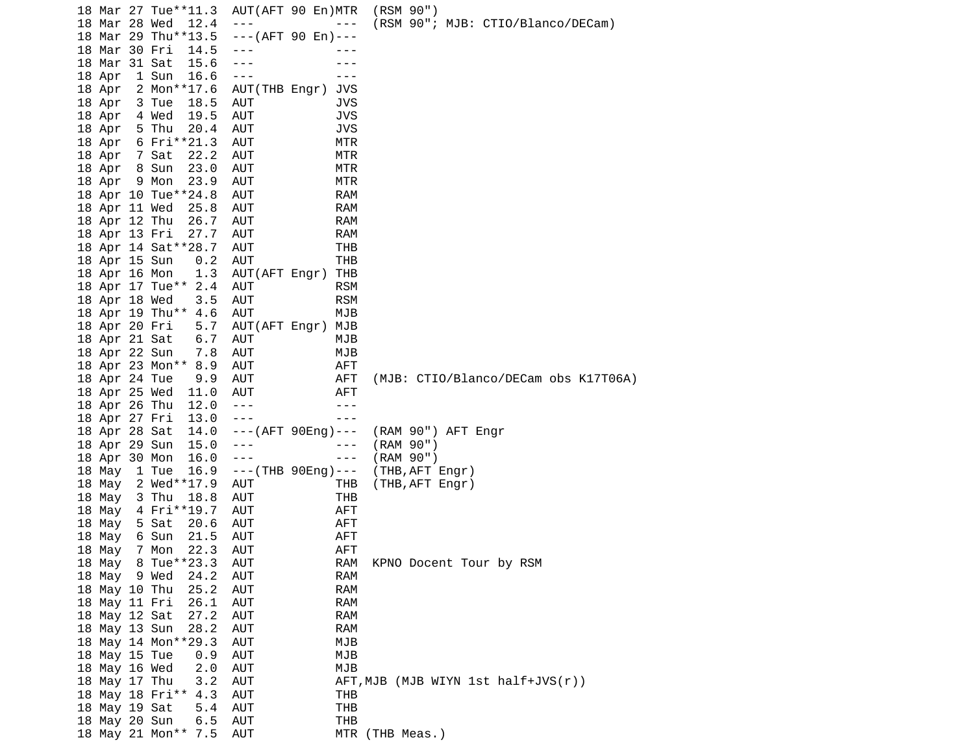18 Mar 27 Tue\*\*11.3 AUT(AFT 90 En)MTR (RSM 90") 18 Mar 28 Wed 12.4 --- --- (RSM 90"; MJB: CTIO/Blanco/DECam) 18 Mar 29 Thu\*\*13.5 18 Mar 30 Fri 14.5 --- -- -- ---18 Mar 31 Sat 15.6 --- - -- ---18 Apr 1 Sun 16.6 --- -- --- 18 Apr 2 Mon\*\*17.6 AUT(THB Engr) JVS 18 Apr 3 Tue 18.5 AUT JVS 18 Apr 4 Wed 19.5 AUT JVS 18 Apr 5 Thu 20.4 AUT JVS 18 Apr 6 Fri\*\*21.3 AUT MTR 18 Apr 7 Sat 22.2 AUT MTR 18 Apr 8 Sun 23.0 AUT MTR 18 Apr 9 Mon 23.9 AUT MTR 18 Apr 10 Tue\*\*24.8 AUT RAM 18 Apr 11 Wed 25.8 AUT RAM 18 Apr 12 Thu 26.7 AUT RAM 18 Apr 13 Fri 27.7 AUT RAM 18 Apr 14 Sat\*\*28.7 AUT THB 18 Apr 15 Sun 0.2 AUT THB 18 Apr 16 Mon 1.3 AUT(AFT Engr) THB 18 Apr 17 Tue\*\* 2.4 AUT RSM 18 Apr 18 Wed 3.5 AUT RSM 18 Apr 19 Thu\*\* 4.6 AUT MJB 5.7 AUT(AFT Engr) MJB 18 Apr 21 Sat 6.7 AUT MJB 18 Apr 22 Sun 7.8 AUT MJB 18 Apr 23 Mon\*\* 8.9 AUT AFT 18 Apr 24 Tue 9.9 AUT AFT (MJB: CTIO/Blanco/DECam obs K17T06A) 18 Apr 25 Wed 11.0 AUT AFT 18 Apr 26 Thu 12.0 --- -- -- ---18 Apr 27 Fri 13.0 --- -- --- --- 18 Apr 28 Sat 14.0 ---(AFT 90Eng)--- (RAM 90") AFT Engr 18 Apr 29 Sun 15.0 --- (RAM 90")<br>18 Apr 30 Mon 16.0 --- (RAM 90") 18 Apr 30 Mon 16.0 ---<br>18 May 1 Tue 16.9 ---(THB 90Eng)--- (THB,AFT Engr) 18 May 1 Tue 16.9 --- (THB 90Eng)--- 18 May 2 Wed\*\*17.9 AUT THB (THB,AFT Engr) 18 May 3 Thu 18.8 AUT THB 18 May 4 Fri\*\*19.7 AUT 18 May 5 Sat 20.6 AUT AFT 18 May 6 Sun 21.5 AUT AFT 18 May 7 Mon 22.3 AUT AFT 18 May 8 Tue\*\*23.3 AUT RAM KPNO Docent Tour by RSM 18 May 9 Wed 24.2 AUT RAM 18 May 10 Thu 25.2 AUT RAM 18 May 11 Fri 26.1 AUT RAM 18 May 12 Sat 27.2 AUT RAM 18 May 13 Sun 28.2 AUT RAM 18 May 14 Mon\*\*29.3 AUT MJB 18 May 15 Tue 0.9 AUT MJB 18 May 16 Wed 2.0 AUT MJB 18 May 17 Thu 3.2 AUT AFT,MJB (MJB WIYN 1st half+JVS(r)) 18 May 18 Fri\*\* 4.3 AUT THB 18 May 19 Sat 18 May 20 Sun 6.5 AUT THB<br>18 May 21 Mon\*\* 7.5 AUT MTR (THB Meas.) 18 May 21 Mon\*\* 7.5 AUT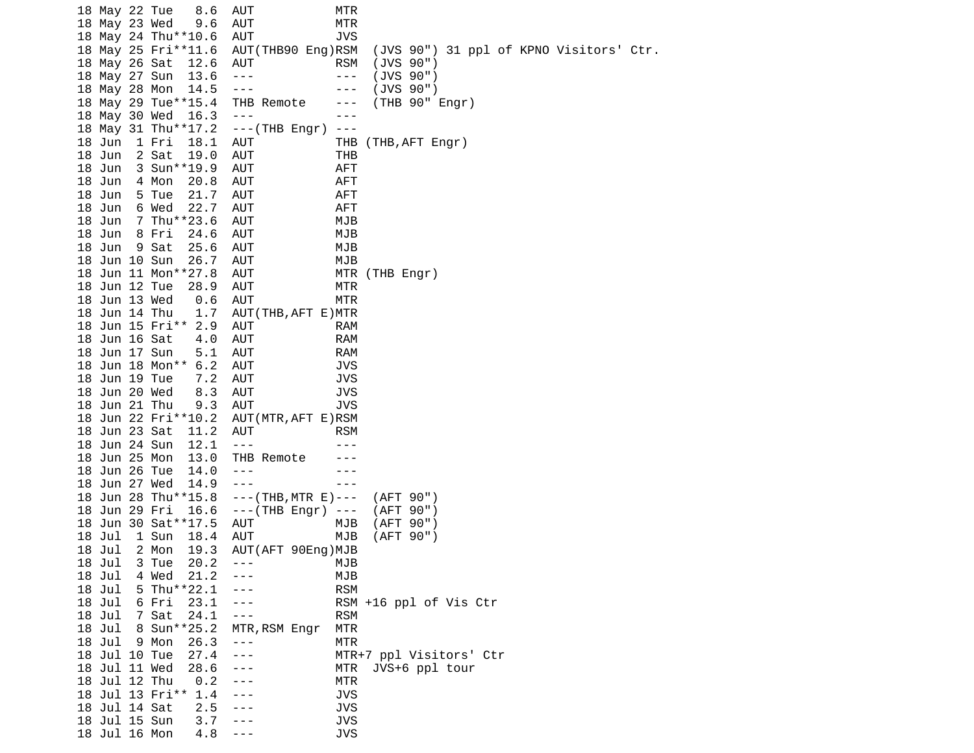18 May 22 Tue 8.6 AUT MTR 18 May 23 Wed 9.6 AUT MTR 18 May 24 Thu\*\*10.6 AUT JVS 18 May 25 Fri\*\*11.6 AUT(THB90 Eng)RSM (JVS 90") 31 ppl of KPNO Visitors' Ctr. 18 May 26 Sat 12.6 AUT RSM (JVS 90") 18 May 27 Sun 13.6 --- (JVS 90")<br>18 May 28 Mon 14.5 --- (JVS 90") 18 May 28 Mon 14.5 --- -- -- --- 18 May 29 Tue\*\*15.4 THB Remote --- (THB 90" Engr) 18 May 30 Wed 16.3 --- 18 May 31 Thu\*\*17.2 ---(THB Engr) --- 18 Jun 1 Fri 18.1 AUT 18 Jun 2 Sat 19.0 AUT THB 18 Jun 3 Sun\*\*19.9 AUT AFT 18 Jun 4 Mon 20.8 AUT AFT 18 Jun 5 Tue 21.7 AUT AFT 18 Jun 6 Wed 22.7 AUT AFT 18 Jun 7 Thu\*\*23.6 AUT MJB 18 Jun 8 Fri 24.6 AUT MJB 18 Jun 9 Sat 25.6 AUT MJB 18 Jun 10 Sun 26.7 AUT MJB 18 Jun 11 Mon\*\*27.8 AUT MTR (THB Engr) 18 Jun 12 Tue 28.9 AUT MTR 18 Jun 13 Wed 0.6 AUT MTR 18 Jun 14 Thu 1.7 AUT(THB,AFT E)MTR 18 Jun 15 Fri\*\* 2.9 AUT RAM 18 Jun 16 Sat 4.0 AUT RAM 18 Jun 17 Sun 5.1 AUT RAM 18 Jun 18 Mon\*\* 6.2 AUT JVS 18 Jun 19 Tue 7.2 AUT JVS 18 Jun 20 Wed 8.3 AUT JVS 18 Jun 21 Thu 9.3 AUT JVS 18 Jun 22 Fri\*\*10.2 AUT(MTR,AFT E)RSM 18 Jun 23 Sat 11.2 AUT RSM 18 Jun 24 Sun 12.1 --- -- --- --- 18 Jun 25 Mon 13.0 THB Remote --- 18 Jun 26 Tue 14.0 --- -- -- ---18 Jun 27 Wed 14.9 --- - -- --- 18 Jun 28 Thu\*\*15.8 ---(THB,MTR E)--- (AFT 90")  $- - -$ (THB Engr)  $- -$  18 Jun 30 Sat\*\*17.5 AUT MJB (AFT 90") 18 Jul 1 Sun 18.4 AUT MJB 18 Jul 2 Mon 19.3 AUT(AFT 90Eng)MJB 3 Tue 20.2 --- MJB 18 Jul 4 Wed 21.2 --- MJB 18 Jul 5 Thu\*\*22.1 --- RSM --- RSM +16 ppl of Vis Ctr 18 Jul 7 Sat 24.1 --- RSM 18 Jul 8 Sun\*\*25.2 MTR,RSM Engr MTR 18 Jul 9 Mon 26.3 --- MTR --- MTR+7 ppl Visitors' Ctr 18 Jul 11 Wed 28.6 --- MTR JVS+6 ppl tour 18 Jul 12 Thu 0.2 --- MTR 18 Jul 13 Fri\*\* 1.4 --- JVS 18 Jul 14 Sat 2.5 --- 18 Jul 15 Sun 3.7 --- JVS 18 Jul 16 Mon 4.8 ---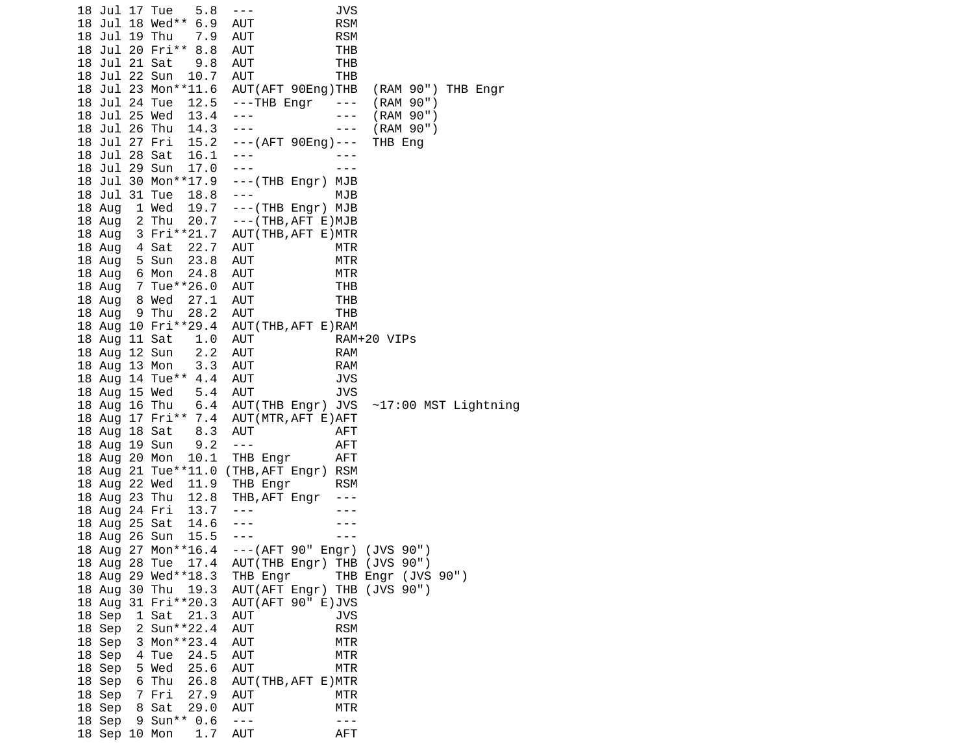18 Jul 17 Tue 5.8 --- JVS 18 Jul 18 Wed\*\* 6.9 AUT RSM 18 Jul 19 Thu 7.9 AUT RSM 18 Jul 20 Fri\*\* 8.8 AUT THB 18 Jul 21 Sat 9.8 AUT 18 Jul 22 Sun 10.7 AUT THB 18 Jul 23 Mon\*\*11.6 AUT(AFT 90Eng)THB (RAM 90") THB Engr 18 Jul 24 Tue 12.5 ---THB Engr --- (RAM 90") 18 Jul 25 Wed 13.4 --- -- -- (RAM 90") 18 Jul 26 Thu 14.3 ---<br>18 Jul 27 Fri 15.2 ---(AFT 90Eng)--- THB Eng ---(AFT 90Eng)--- THB Eng 18 Jul 28 Sat 16.1 --- -- ---18 Jul 29 Sun 17.0 --- -- --- --- 18 Jul 30 Mon\*\*17.9 ---(THB Engr) MJB 18 Jul 31 Tue 18.8 --- MJB 18 Aug 1 Wed 19.7 ---(THB Engr) MJB 18 Aug 2 Thu 20.7 ---(THB,AFT E)MJB 18 Aug 3 Fri\*\*21.7 AUT(THB,AFT E)MTR 18 Aug 4 Sat 22.7 AUT MTR 18 Aug 5 Sun 23.8 AUT MTR 18 Aug 6 Mon 24.8 AUT MTR 18 Aug 7 Tue\*\*26.0 AUT THB 18 Aug 8 Wed 27.1 AUT THB 18 Aug 9 Thu 28.2 AUT THB 18 Aug 10 Fri\*\*29.4 AUT(THB,AFT E)RAM 18 Aug 11 Sat 1.0 AUT RAM+20 VIPs 18 Aug 12 Sun 2.2 AUT RAM 18 Aug 13 Mon 3.3 AUT RAM 18 Aug 14 Tue\*\* 4.4 AUT 18 Aug 15 Wed 5.4 AUT JVS 6.4 AUT(THB Engr) JVS  $~17:00$  MST Lightning 18 Aug 17 Fri\*\* 7.4 AUT(MTR,AFT E)AFT 18 Aug 18 Sat 8.3 AUT AFT 18 Aug 19 Sun 9.2 --- AFT 18 Aug 20 Mon 10.1 THB Engr AFT 18 Aug 21 Tue\*\*11.0 (THB,AFT Engr) RSM 18 Aug 22 Wed 11.9 THB Engr RSM 18 Aug 23 Thu 12.8 THB,AFT Engr --- 18 Aug 24 Fri 13.7 --- -- ---18 Aug 25 Sat 14.6 --- -- -- ---18 Aug 26 Sun 15.5 --- -- -- --- 18 Aug 27 Mon\*\*16.4 ---(AFT 90" Engr) (JVS 90") AUT(THB Engr) THB (JVS 90") 18 Aug 29 Wed\*\*18.3 THB Engr THB Engr (JVS 90") 18 Aug 30 Thu 19.3 AUT(AFT Engr) THB (JVS 90") 18 Aug 31 Fri\*\*20.3 AUT(AFT 90" E)JVS 18 Sep 1 Sat 21.3 AUT JVS 18 Sep 2 Sun<sup>\*\*</sup>22.4 AUT RSM 18 Sep 3 Mon\*\*23.4 AUT MTR 18 Sep 4 Tue 24.5 AUT MTR 18 Sep 5 Wed 25.6 AUT MTR 18 Sep 6 Thu 26.8 AUT(THB,AFT E)MTR 18 Sep 7 Fri 27.9 AUT MTR 18 Sep 8 Sat 29.0 AUT MTR 18 Sep 9 Sun<sup>\*\*</sup> 0.6 --- -- ---18 Sep 10 Mon 1.7 AUT AFT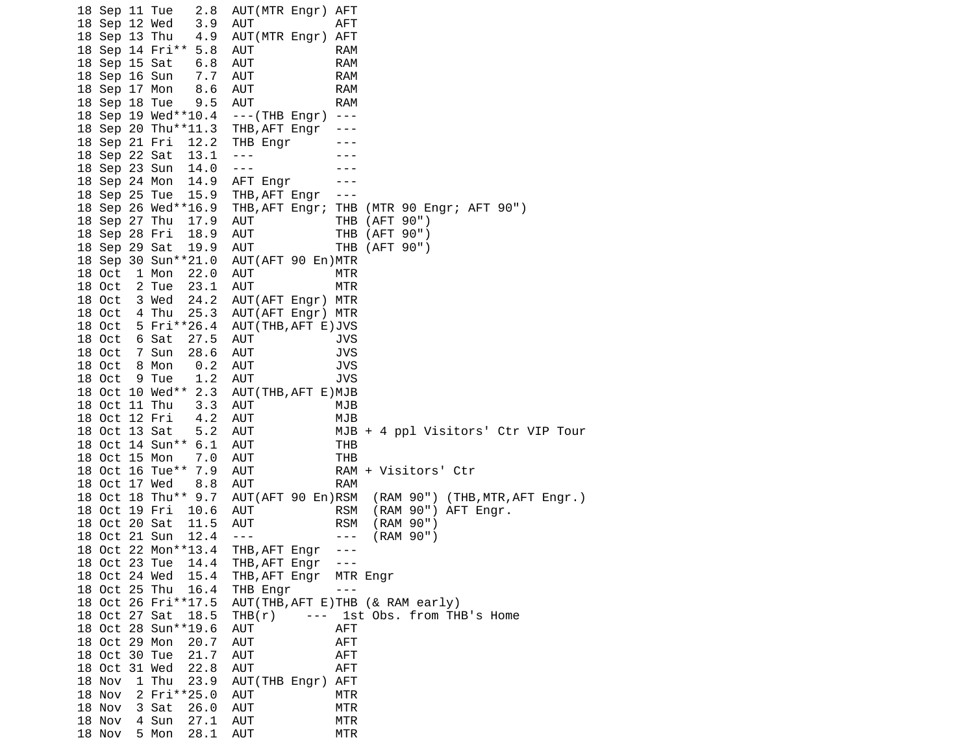18 Sep 11 Tue 2.8 AUT(MTR Engr) AFT 18 Sep 12 Wed 3.9 AUT AFT 18 Sep 13 Thu 4.9 AUT(MTR Engr) AFT 18 Sep 14 Fri\*\* 5.8 AUT RAM 18 Sep 15 Sat 6.8 AUT RAM 18 Sep 16 Sun 7.7 AUT RAM 18 Sep 17 Mon 8.6 AUT RAM 18 Sep 18 Tue 9.5 AUT RAM 18 Sep 19 Wed\*\*10.4 ---(THB Engr) --- 18 Sep 20 Thu\*\*11.3 THB,AFT Engr --- 18 Sep 21 Fri 12.2 THB Engr 18 Sep 22 Sat 13.1 --- -- -- --18 Sep 23 Sun 14.0 --- 18 Sep 24 Mon 14.9 AFT Engr --- 18 Sep 25 Tue 15.9 THB,AFT Engr --- 18 Sep 26 Wed\*\*16.9 THB,AFT Engr; THB (MTR 90 Engr; AFT 90") 18 Sep 27 Thu 17.9 AUT THB (AFT 90") 18 Sep 28 Fri 18.9 AUT 18 Sep 29 Sat 19.9 AUT THB (AFT 90") 18 Sep 30 Sun\*\*21.0 AUT(AFT 90 En)MTR 18 Oct 1 Mon 22.0 AUT MTR 18 Oct 2 Tue 23.1 AUT MTR 18 Oct 3 Wed 24.2 AUT(AFT Engr) MTR 18 Oct 4 Thu 25.3 AUT(AFT Engr) MTR 18 Oct 5 Fri\*\*26.4 AUT(THB,AFT E)JVS 18 Oct 6 Sat 27.5 AUT JVS 18 Oct 7 Sun 28.6 AUT JVS 18 Oct 8 Mon 0.2 AUT JVS 18 Oct 9 Tue 1.2 AUT JVS 18 Oct 10 Wed\*\* 2.3 AUT(THB,AFT E)MJB 18 Oct 11 Thu 3.3 AUT MJB 18 Oct 12 Fri 4.2 AUT MJB 18 Oct 13 Sat 5.2 AUT MJB + 4 ppl Visitors' Ctr VIP Tour 18 Oct 14 Sun\*\* 6.1 AUT THB 18 Oct 15 Mon 7.0 AUT THB 18 Oct 16 Tue\*\* 7.9 AUT 18 Oct 17 Wed 8.8 AUT RAM 18 Oct 18 Thu\*\* 9.7 AUT(AFT 90 En)RSM (RAM 90") (THB,MTR,AFT Engr.) AUT RSM (RAM 90") AFT Engr. 18 Oct 20 Sat 11.5 AUT RSM (RAM 90") 18 Oct 21 Sun 12.4 --- -- -- (RAM 90") 18 Oct 22 Mon\*\*13.4 THB,AFT Engr --- 18 Oct 23 Tue 14.4 THB,AFT Engr --- 18 Oct 24 Wed 15.4 THB,AFT Engr MTR Engr 18 Oct 25 Thu 16.4 THB Engr ---<br>18 Oct 26 Fri\*\*17.5 AUT(THB,AFT E)THB AUT(THB, AFT E)THB (& RAM early) 18 Oct 27 Sat 18.5 THB(r) --- 1st Obs. from THB's Home 18 Oct 28 Sun\*\*19.6 AUT AFT 18 Oct 29 Mon 20.7 AUT AFT 18 Oct 30 Tue 21.7 AUT AFT 18 Oct 31 Wed 22.8 AUT AFT 18 Nov 1 Thu 23.9 AUT(THB Engr) AFT 18 Nov 2 Fri\*\*25.0 AUT MTR 18 Nov 3 Sat 26.0 AUT MTR 18 Nov 4 Sun 27.1 AUT MTR 18 Nov 5 Mon 28.1 AUT MTR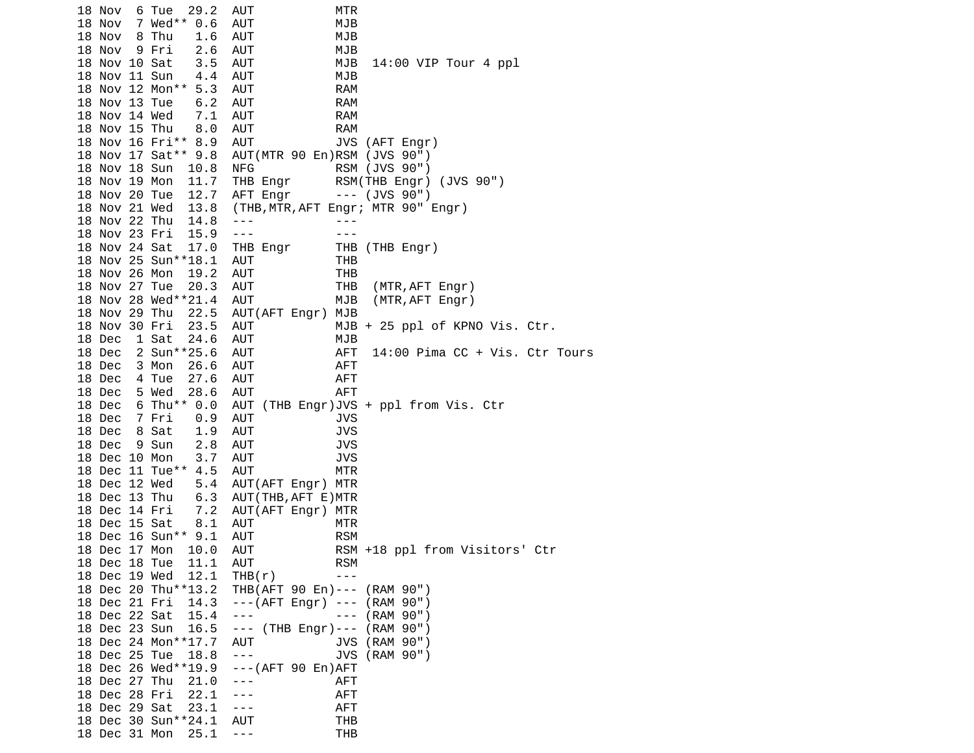18 Nov 6 Tue 29.2 AUT MTR 18 Nov 7 Wed\*\* 0.6 AUT MJB 18 Nov 8 Thu 1.6 AUT MJB 18 Nov 9 Fri 2.6 AUT MJB 3.5 AUT MJB 14:00 VIP Tour 4 ppl 18 Nov 11 Sun 4.4 AUT MJB 18 Nov 12 Mon\*\* 5.3 AUT 18 Nov 13 Tue 6.2 AUT RAM 18 Nov 14 Wed 7.1 AUT RAM 18 Nov 15 Thu 8.0 AUT RAM<br>18 Nov 16 Fri\*\* 8.9 AUT JVS (AFT Engr) 18 Nov 16 Fri\*\* 8.9 AUT 18 Nov 17 Sat\*\* 9.8 AUT(MTR 90 En)RSM (JVS 90") 18 Nov 18 Sun 10.8 NFG RSM (JVS 90")<br>18 Nov 19 Mon 11.7 THB Engr RSM(THB Engr) THB Engr RSM(THB Engr) (JVS 90") 18 Nov 20 Tue 12.7 AFT Engr --- (JVS 90") 18 Nov 21 Wed 13.8 (THB,MTR,AFT Engr; MTR 90" Engr) 18 Nov 22 Thu 14.8 --- -- -- ---18 Nov 23 Fri 15.9 --- - -- --- 18 Nov 24 Sat 17.0 THB Engr THB (THB Engr) 18 Nov 25 Sun\*\*18.1 AUT THB 18 Nov 26 Mon 19.2 AUT THB 18 Nov 27 Tue 20.3 AUT THB (MTR,AFT Engr) 18 Nov 28 Wed\*\*21.4 AUT MJB (MTR, AFT Engr) 18 Nov 29 Thu 22.5 AUT(AFT Engr) MJB 18 Nov 30 Fri 23.5 AUT MJB + 25 ppl of KPNO Vis. Ctr. 18 Dec 1 Sat 24.6 AUT MJB 18 Dec 2 Sun\*\*25.6 AUT AFT 14:00 Pima CC + Vis. Ctr Tours 18 Dec 3 Mon 26.6 AUT AFT 18 Dec 4 Tue 27.6 AUT AFT 18 Dec 5 Wed 28.6 AUT AFT 18 Dec 6 Thu\*\* 0.0 AUT (THB Engr)JVS + ppl from Vis. Ctr 18 Dec 7 Fri 0.9 AUT JVS 18 Dec 8 Sat 1.9 AUT JVS 18 Dec 9 Sun 2.8 AUT JVS 18 Dec 10 Mon 3.7 AUT JVS 18 Dec 11 Tue\*\* 4.5 AUT MTR 5.4 AUT(AFT Engr) MTR 18 Dec 13 Thu 6.3 AUT(THB,AFT E)MTR 18 Dec 14 Fri 7.2 AUT(AFT Engr) MTR 18 Dec 15 Sat 8.1 AUT MTR 18 Dec 16 Sun\*\* 9.1 AUT RSM 18 Dec 17 Mon 10.0 AUT RSM +18 ppl from Visitors' Ctr 18 Dec 18 Tue 11.1 AUT RSM 18 Dec 19 Wed 12.1 THB(r) --- 18 Dec 20 Thu\*\*13.2 THB(AFT 90 En)--- (RAM 90") ("RAM 90) --- (AFT Engr)<br>("RAM 90) ---18 Dec 22 Sat 15.4 --- 18 Dec 23 Sun 16.5 --- (THB Engr)--- (RAM 90") 18 Dec 24 Mon\*\*17.7 AUT JVS (RAM 90") 18 Dec 25 Tue 18.8 --- 18 Dec 26 Wed\*\*19.9 ---(AFT 90 En)AFT 18 Dec 27 Thu 21.0 --- AFT 18 Dec 28 Fri 22.1 --- AFT 18 Dec 29 Sat 23.1 --- AFT 18 Dec 30 Sun\*\*24.1 AUT THB 18 Dec 31 Mon 25.1 --- THB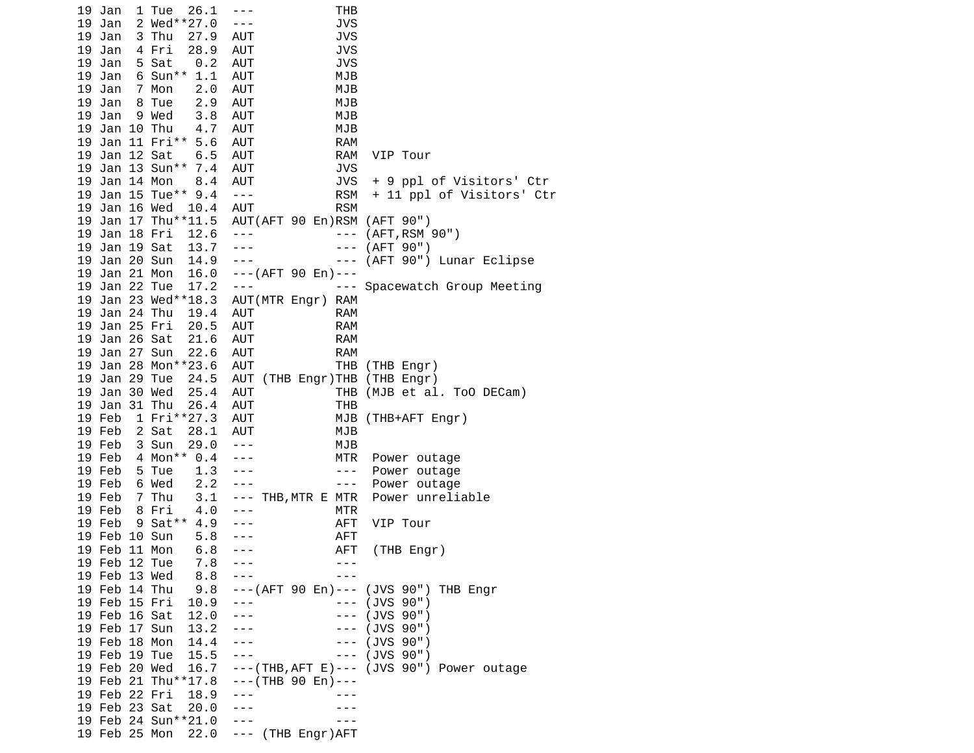|    | 19 Jan        | 26.1<br>1 Tue       | THB<br>$- - -$                                                                                                           |
|----|---------------|---------------------|--------------------------------------------------------------------------------------------------------------------------|
|    | 19 Jan        | 2 Wed**27.0         | <b>JVS</b><br>$- - -$                                                                                                    |
|    | 19 Jan        | 3 Thu<br>27.9       | <b>JVS</b><br>AUT                                                                                                        |
|    | 19 Jan        | 4 Fri<br>28.9       | <b>JVS</b><br>AUT                                                                                                        |
|    | 19 Jan        | 0.2<br>5 Sat        | <b>JVS</b><br>AUT                                                                                                        |
|    | 19 Jan        | 6 Sun** 1.1         | MJB<br>AUT                                                                                                               |
|    | 19 Jan        | 7 Mon<br>2.0        | AUT<br>MJB                                                                                                               |
|    | 19 Jan        | 8 Tue<br>2.9        | AUT<br>MJB                                                                                                               |
| 19 |               | 9 Wed               | MJB<br>AUT                                                                                                               |
|    | Jan           | $3.8$<br>$4.7$      |                                                                                                                          |
|    | 19 Jan 10 Thu |                     | MJB<br>AUT                                                                                                               |
|    |               | 19 Jan 11 Fri** 5.6 | AUT<br><b>RAM</b>                                                                                                        |
|    | 19 Jan 12 Sat | 6.5                 | AUT<br>RAM<br>VIP Tour                                                                                                   |
|    |               | 19 Jan 13 Sun** 7.4 | <b>AUT</b><br><b>JVS</b>                                                                                                 |
|    | 19 Jan 14 Mon | 8.4                 | JVS<br>+ 9 ppl of Visitors' Ctr<br>AUT                                                                                   |
|    |               | 19 Jan 15 Tue** 9.4 | <b>RSM</b><br>+ 11 ppl of Visitors' Ctr<br>$\sim$ $ \sim$                                                                |
|    | 19 Jan 16 Wed | 10.4                | <b>RSM</b><br>AUT                                                                                                        |
|    |               | 19 Jan 17 Thu**11.5 | AUT(AFT 90 En)RSM (AFT 90")                                                                                              |
|    | 19 Jan 18 Fri | 12.6                | (AFT, RSM 90")<br>$\sim$ $  \sim$<br>$\sim$ $ -$                                                                         |
|    | 19 Jan 19 Sat | 13.7                | (AFT 90")<br>$- - -$<br>$\sim$ $\sim$ $\sim$                                                                             |
|    | 19 Jan 20 Sun | 14.9                | $\frac{1}{2}$ , $\frac{1}{2}$ , $\frac{1}{2}$ , $\frac{1}{2}$ , $\frac{1}{2}$<br>(AFT 90") Lunar Eclipse<br>$\sim$ $  -$ |
|    | 19 Jan 21 Mon | 16.0                | $--($ AFT 90 En) ---                                                                                                     |
|    | 19 Jan 22 Tue | 17.2                | $- - -$<br>--- Spacewatch Group Meeting                                                                                  |
|    |               | 19 Jan 23 Wed**18.3 | AUT(MTR Engr) RAM                                                                                                        |
|    | 19 Jan 24 Thu | 19.4                | AUT<br><b>RAM</b>                                                                                                        |
|    | 19 Jan 25 Fri | 20.5                | AUT<br><b>RAM</b>                                                                                                        |
|    | 19 Jan 26 Sat | 21.6                | AUT<br><b>RAM</b>                                                                                                        |
| 19 |               |                     |                                                                                                                          |
|    | Jan 27 Sun    | 22.6                | AUT<br><b>RAM</b>                                                                                                        |
|    |               | 19 Jan 28 Mon**23.6 | THB (THB Engr)<br>AUT                                                                                                    |
|    | 19 Jan 29 Tue | 24.5                | AUT (THB Engr)THB (THB Engr)                                                                                             |
|    | 19 Jan 30 Wed | 25.4                | THB (MJB et al. ToO DECam)<br>AUT                                                                                        |
|    | 19 Jan 31 Thu | 26.4                | AUT<br>THB                                                                                                               |
|    | 19 Feb        | 1 Fri**27.3         | AUT<br>MJB (THB+AFT Engr)                                                                                                |
|    | 19 Feb        | 2 Sat<br>28.1       | MJB<br>AUT                                                                                                               |
|    | 19 Feb        | 3 Sun<br>29.0       | MJB<br>$\sim$ $ \sim$                                                                                                    |
|    | 19 Feb        | 4 Mon** 0.4         | MTR<br>Power outage                                                                                                      |
|    | 19 Feb        | 1.3<br>5 Tue        | Power outage<br>$\sim$ $ \sim$                                                                                           |
|    | 19 Feb        | 2.2<br>6 Wed        | Power outage<br>$\sim$ $ -$<br>$- - -$                                                                                   |
|    | 19 Feb        | 7 Thu<br>3.1        | --- THB, MTR E MTR<br>Power unreliable                                                                                   |
|    | 19 Feb        | 4.0<br>8 Fri        | <b>MTR</b><br>$- - -$                                                                                                    |
|    | 19 Feb        | 9 Sat** 4.9         | AFT<br>VIP Tour                                                                                                          |
|    | 19 Feb 10 Sun | 5.8                 | <b>AFT</b>                                                                                                               |
|    | 19 Feb 11 Mon | 6.8                 | AFT<br>(THB Engr)<br>$- - -$                                                                                             |
|    | 19 Feb 12 Tue | 7.8                 | ---                                                                                                                      |
|    | 19 Feb 13 Wed | 8.8                 | $- - -$                                                                                                                  |
|    | 19 Feb 14 Thu | 9.8                 | ---(AFT 90 En)--- (JVS 90") THB Engr                                                                                     |
|    | 19 Feb 15 Fri | $10.9 - -$          | $--$ (JVS 90")                                                                                                           |
|    | 19 Feb 16 Sat | 12.0                | --- (JVS 90")<br>$- - - -$                                                                                               |
|    |               |                     | $---(JVS 90")$                                                                                                           |
|    | 19 Feb 17 Sun | 13.2                | ---                                                                                                                      |
|    | 19 Feb 18 Mon | 14.4                | --- (JVS 90")                                                                                                            |
|    | 19 Feb 19 Tue | 15.5                | (JVS 90")<br>$- - -$<br>$- - -$                                                                                          |
|    | 19 Feb 20 Wed |                     | $16.7 - -(-$ (THB, AFT E) ---<br>(JVS 90") Power outage                                                                  |
|    |               |                     | 19 Feb 21 Thu**17.8 --- (THB 90 En)---                                                                                   |
|    | 19 Feb 22 Fri | 18.9                |                                                                                                                          |
|    | 19 Feb 23 Sat | 20.0                |                                                                                                                          |
|    |               | 19 Feb 24 Sun**21.0 | $- - -$                                                                                                                  |
|    |               | 19 Feb 25 Mon       | 22.0 --- (THB Engr)AFT                                                                                                   |
|    |               |                     |                                                                                                                          |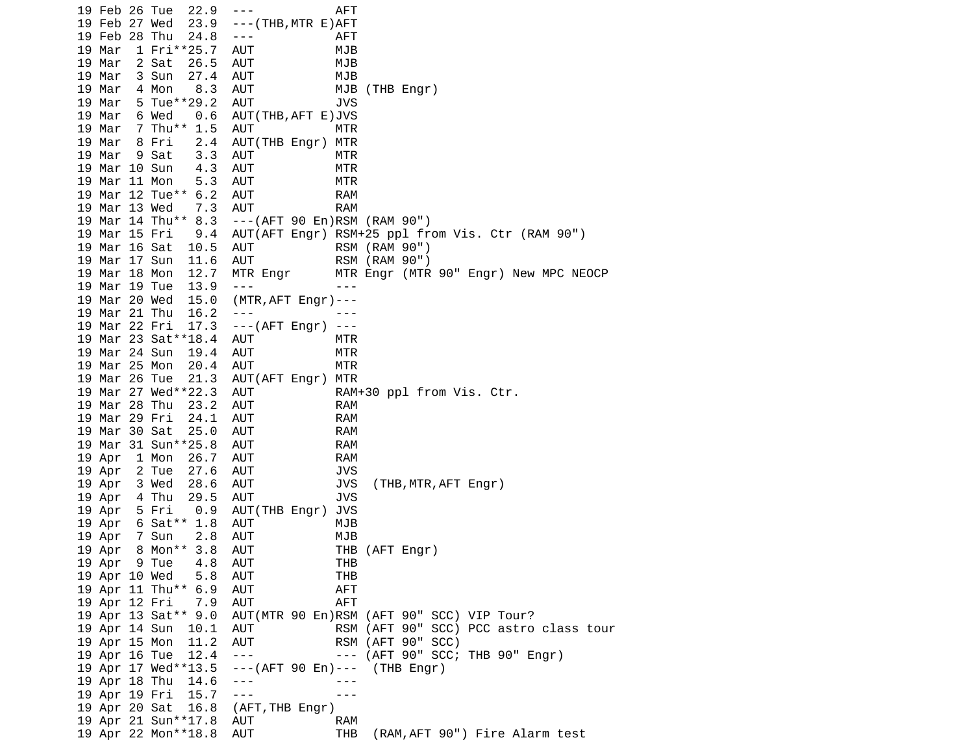19 Feb 26 Tue 22.9 --- AFT 19 Feb 27 Wed 23.9 ---(THB,MTR E)AFT 19 Feb 28 Thu 24.8 --- AFT 19 Mar 1 Fri\*\*25.7 AUT MJB 19 Mar 2 Sat 26.5 AUT MJB 19 Mar 3 Sun 27.4 AUT MJB 19 Mar 4 Mon 8.3 AUT MJB (THB Engr) 19 Mar 5 Tue\*\*29.2 AUT JVS 19 Mar 6 Wed 0.6 AUT(THB,AFT E)JVS 19 Mar 7 Thu<sup>\*</sup>\* 1.5 AUT MTR 19 Mar 8 Fri 2.4 AUT(THB Engr) MTR 19 Mar 9 Sat 3.3 AUT MTR 19 Mar 10 Sun 4.3 AUT MTR 19 Mar 11 Mon 5.3 AUT MTR 19 Mar 12 Tue\*\* 6.2 AUT RAM 19 Mar 13 Wed 7.3 AUT RAM ---(AFT 90 En)RSM (RAM 90") 19 Mar 15 Fri 9.4 AUT(AFT Engr) RSM+25 ppl from Vis. Ctr (RAM 90") 19 Mar 16 Sat 10.5 AUT RSM (RAM 90") 19 Mar 17 Sun 11.6 AUT RSM (RAM 90") 19 Mar 18 Mon 12.7 MTR Engr MTR Engr (MTR 90" Engr) New MPC NEOCP 19 Mar 19 Tue 13.9 --- - - - -- 19 Mar 20 Wed 15.0 (MTR,AFT Engr)--- 19 Mar 21 Thu 16.2 19 Mar 22 Fri 17.3 ---(AFT Engr) --- 19 Mar 23 Sat\*\*18.4 AUT MTR 19 Mar 24 Sun 19.4 AUT MTR 19 Mar 25 Mon 20.4 AUT MTR 19 Mar 26 Tue 21.3 AUT(AFT Engr) MTR 19 Mar 27 Wed\*\*22.3 AUT RAM+30 ppl from Vis. Ctr. 19 Mar 28 Thu 23.2 AUT RAM 19 Mar 29 Fri 24.1 AUT RAM 19 Mar 30 Sat 25.0 AUT RAM 19 Mar 31 Sun\*\*25.8 AUT RAM 19 Apr 1 Mon 26.7 AUT RAM 19 Apr 2 Tue 27.6 AUT 19 Apr 3 Wed 28.6 AUT JVS (THB,MTR,AFT Engr) 19 Apr 4 Thu 29.5 AUT JVS<br>19 Apr 5 Fri 0.9 AUT(THB Engr) JVS 19 Apr 5 Fri 0.9 AUT(THB Engr) JVS 19 Apr 6 Sat\*\* 1.8 AUT MJB 19 Apr 7 Sun 2.8 AUT MJB 19 Apr 8 Mon\*\* 3.8 AUT THB (AFT Engr) 19 Apr 9 Tue 4.8 AUT THB 19 Apr 10 Wed 5.8 AUT THB 19 Apr 11 Thu\*\* 6.9 AUT AFT 19 Apr 12 Fri 7.9 AUT 19 Apr 13 Sat\*\* 9.0 AUT(MTR 90 En)RSM (AFT 90" SCC) VIP Tour? 19 Apr 14 Sun 10.1 AUT RSM (AFT 90" SCC) PCC astro class tour 19 Apr 15 Mon 11.2 AUT RSM (AFT 90" SCC) 19 Apr 16 Tue 12.4 --- --- (AFT 90" SCC; THB 90" Engr) 19 Apr 17 Wed\*\*13.5 ---(AFT 90 En)--- (THB Engr) 19 Apr 18 Thu 14.6 --- -- ---19 Apr 19 Fri 15.7 ---<br>19 Apr 20 Sat 16.8 (AFT,THB Engr) 19 Apr 20 Sat 16.8 19 Apr 21 Sun\*\*17.8 AUT RAM 19 Apr 22 Mon\*\*18.8 AUT THB (RAM,AFT 90") Fire Alarm test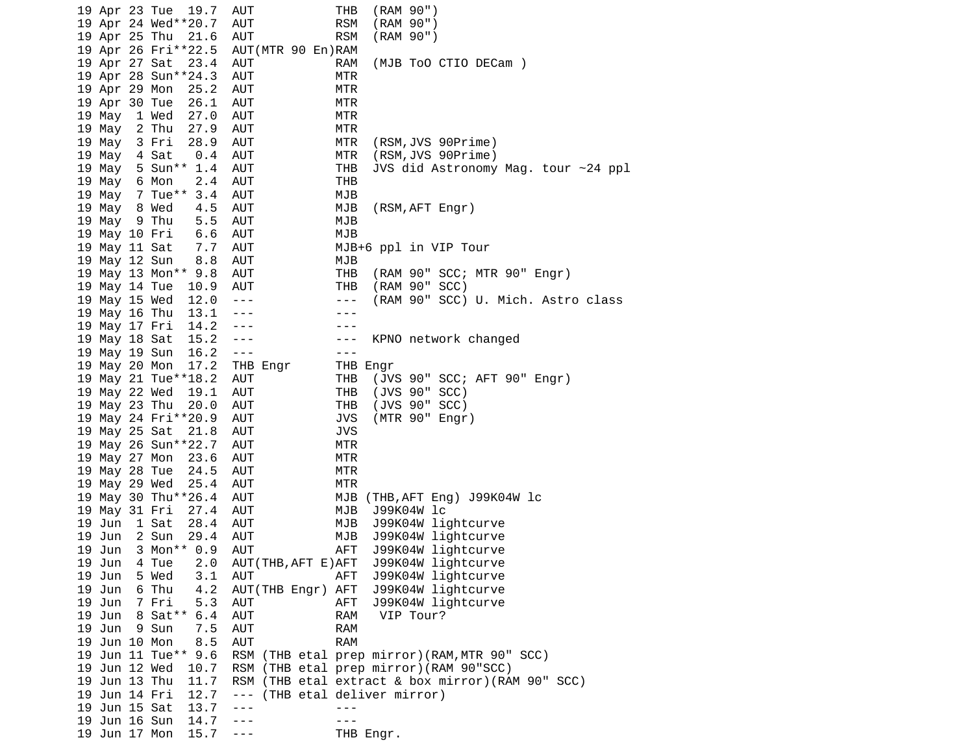| 19 Apr 23 Tue |                     | 19.7 | AUT                  |                                        | THB            | (RAM 90")             |                    |                                               |                                                  |  |
|---------------|---------------------|------|----------------------|----------------------------------------|----------------|-----------------------|--------------------|-----------------------------------------------|--------------------------------------------------|--|
|               | 19 Apr 24 Wed**20.7 |      | AUT                  |                                        | <b>RSM</b>     | (RAM 90")             |                    |                                               |                                                  |  |
| 19 Apr 25 Thu |                     | 21.6 | <b>AUT</b>           |                                        | <b>RSM</b>     | (RAM 90")             |                    |                                               |                                                  |  |
|               | 19 Apr 26 Fri**22.5 |      |                      | AUT (MTR 90 En) RAM                    |                |                       |                    |                                               |                                                  |  |
| 19 Apr 27 Sat |                     | 23.4 | AUT                  |                                        | <b>RAM</b>     |                       |                    | (MJB TOO CTIO DECam)                          |                                                  |  |
|               | 19 Apr 28 Sun**24.3 |      | AUT                  |                                        | MTR            |                       |                    |                                               |                                                  |  |
|               |                     |      |                      |                                        | MTR            |                       |                    |                                               |                                                  |  |
| 19 Apr 29 Mon |                     | 25.2 | AUT                  |                                        |                |                       |                    |                                               |                                                  |  |
| 19 Apr 30 Tue |                     | 26.1 | <b>AUT</b>           |                                        | <b>MTR</b>     |                       |                    |                                               |                                                  |  |
| 19 May        | 1 Wed               | 27.0 | AUT                  |                                        | <b>MTR</b>     |                       |                    |                                               |                                                  |  |
| 19 May        | 2 Thu               | 27.9 | <b>AUT</b>           |                                        | <b>MTR</b>     |                       |                    |                                               |                                                  |  |
| 19 May        | 3 Fri               | 28.9 | AUT                  |                                        | MTR            |                       | (RSM,JVS 90Prime)  |                                               |                                                  |  |
| 19 May        | 4 Sat               | 0.4  | <b>AUT</b>           |                                        | MTR            |                       | (RSM, JVS 90Prime) |                                               |                                                  |  |
| 19 May        | 5 Sun** 1.4         |      | <b>AUT</b>           |                                        | <b>THB</b>     |                       |                    |                                               | JVS did Astronomy Mag. tour ~24 ppl              |  |
| 19 May        | 6 Mon               | 2.4  | AUT                  |                                        | <b>THB</b>     |                       |                    |                                               |                                                  |  |
| 19 May        | 7 Tue** 3.4         |      | AUT                  |                                        | MJB            |                       |                    |                                               |                                                  |  |
| 19 May        | 8 Wed               | 4.5  | AUT                  |                                        | MJB            |                       | (RSM, AFT Engr)    |                                               |                                                  |  |
| 19 May        | 9 Thu               | 5.5  | <b>AUT</b>           |                                        | MJB            |                       |                    |                                               |                                                  |  |
|               |                     |      |                      |                                        |                |                       |                    |                                               |                                                  |  |
| 19 May 10 Fri |                     | 6.6  | AUT                  |                                        | MJB            |                       |                    |                                               |                                                  |  |
| 19 May 11 Sat |                     | 7.7  | AUT                  |                                        |                | MJB+6 ppl in VIP Tour |                    |                                               |                                                  |  |
| 19 May 12 Sun |                     | 8.8  | <b>AUT</b>           |                                        | MJB            |                       |                    |                                               |                                                  |  |
|               | 19 May 13 Mon** 9.8 |      | AUT                  |                                        | <b>THB</b>     |                       |                    |                                               | (RAM 90" SCC; MTR 90" Engr)                      |  |
| 19 May 14 Tue |                     | 10.9 | AUT                  |                                        | <b>THB</b>     |                       | (RAM 90" SCC)      |                                               |                                                  |  |
| 19 May 15 Wed |                     | 12.0 | $\sim$ $ \sim$       |                                        | $\sim$ $ \sim$ |                       |                    |                                               | (RAM 90" SCC) U. Mich. Astro class               |  |
| 19 May 16 Thu |                     | 13.1 | $\sim$ $\sim$ $\sim$ |                                        |                |                       |                    |                                               |                                                  |  |
| 19 May 17 Fri |                     | 14.2 | $- - -$              |                                        |                |                       |                    |                                               |                                                  |  |
| 19 May 18 Sat |                     | 15.2 | $- - -$              |                                        | ---            |                       |                    | KPNO network changed                          |                                                  |  |
| 19 May 19 Sun |                     | 16.2 | $\sim$ $\sim$ $\sim$ |                                        | $- - -$        |                       |                    |                                               |                                                  |  |
| 19 May 20 Mon |                     | 17.2 | THB Engr             |                                        | THB Engr       |                       |                    |                                               |                                                  |  |
|               |                     |      |                      |                                        |                |                       |                    |                                               |                                                  |  |
|               | 19 May 21 Tue**18.2 |      | AUT                  |                                        | THB            |                       |                    |                                               | (JVS 90" SCC; AFT 90" Engr)                      |  |
| 19 May 22 Wed |                     | 19.1 | AUT                  |                                        | <b>THB</b>     | (JVS 90" SCC)         |                    |                                               |                                                  |  |
| 19 May 23 Thu |                     | 20.0 | AUT                  |                                        | <b>THB</b>     |                       | (JVS 90" SCC)      |                                               |                                                  |  |
|               | 19 May 24 Fri**20.9 |      | AUT                  |                                        | <b>JVS</b>     |                       | (MTR 90" Engr)     |                                               |                                                  |  |
| 19 May 25 Sat |                     | 21.8 | AUT                  |                                        | <b>JVS</b>     |                       |                    |                                               |                                                  |  |
|               | 19 May 26 Sun**22.7 |      | AUT                  |                                        | MTR            |                       |                    |                                               |                                                  |  |
| 19 May 27 Mon |                     | 23.6 | AUT                  |                                        | MTR            |                       |                    |                                               |                                                  |  |
| 19 May 28 Tue |                     | 24.5 | AUT                  |                                        | <b>MTR</b>     |                       |                    |                                               |                                                  |  |
| 19 May 29 Wed |                     | 25.4 | AUT                  |                                        | <b>MTR</b>     |                       |                    |                                               |                                                  |  |
|               | 19 May 30 Thu**26.4 |      | <b>AUT</b>           |                                        | MJB            |                       |                    | (THB, AFT Eng) J99K04W lc                     |                                                  |  |
| 19 May 31 Fri |                     | 27.4 | <b>AUT</b>           |                                        | MJB            | J99K04W 1c            |                    |                                               |                                                  |  |
| 19 Jun        | 1 Sat               | 28.4 | AUT                  |                                        | MJB            |                       | J99K04W lightcurve |                                               |                                                  |  |
|               | 2 Sun               | 29.4 |                      |                                        | MJB            |                       | J99K04W lightcurve |                                               |                                                  |  |
| 19 Jun        |                     |      | AUT                  |                                        |                |                       |                    |                                               |                                                  |  |
| 19 Jun        | 3 Mon** 0.9         |      | AUT                  |                                        | AFT            |                       | J99K04W lightcurve |                                               |                                                  |  |
| 19 Jun        | 4 Tue               | 2.0  |                      | AUT (THB, AFT E) AFT                   |                |                       | J99K04W lightcurve |                                               |                                                  |  |
| 19 Jun        | 5 Wed               | 3.1  | AUT                  |                                        | AFT            |                       | J99K04W lightcurve |                                               |                                                  |  |
| 19 Jun        | 6 Thu               | 4.2  |                      | AUT(THB Engr) AFT                      |                |                       | J99K04W lightcurve |                                               |                                                  |  |
| 19 Jun        | 7 Fri               | 5.3  | AUT                  |                                        | AFT            |                       | J99K04W lightcurve |                                               |                                                  |  |
| 19 Jun        | 8 Sat**             | 6.4  | AUT                  |                                        | <b>RAM</b>     | VIP Tour?             |                    |                                               |                                                  |  |
| 19 Jun        | 9 Sun               | 7.5  | <b>AUT</b>           |                                        | <b>RAM</b>     |                       |                    |                                               |                                                  |  |
| 19 Jun 10 Mon |                     | 8.5  | <b>AUT</b>           |                                        | <b>RAM</b>     |                       |                    |                                               |                                                  |  |
|               | 19 Jun 11 Tue** 9.6 |      |                      |                                        |                |                       |                    | RSM (THB etal prep mirror) (RAM, MTR 90" SCC) |                                                  |  |
| 19 Jun 12 Wed |                     | 10.7 |                      | RSM (THB etal prep mirror)(RAM 90"SCC) |                |                       |                    |                                               |                                                  |  |
| 19 Jun 13 Thu |                     | 11.7 |                      |                                        |                |                       |                    |                                               | RSM (THB etal extract & box mirror)(RAM 90" SCC) |  |
| 19 Jun 14 Fri |                     |      |                      |                                        |                |                       |                    |                                               |                                                  |  |
|               |                     | 12.7 | $- - -$              | (THB etal deliver mirror)              |                |                       |                    |                                               |                                                  |  |
| 19 Jun 15 Sat |                     | 13.7 | $- - -$              |                                        |                |                       |                    |                                               |                                                  |  |
| 19 Jun 16 Sun |                     | 14.7 | $- - -$              |                                        |                |                       |                    |                                               |                                                  |  |
| 19 Jun 17 Mon |                     | 15.7 | $- - -$              |                                        |                | THB Engr.             |                    |                                               |                                                  |  |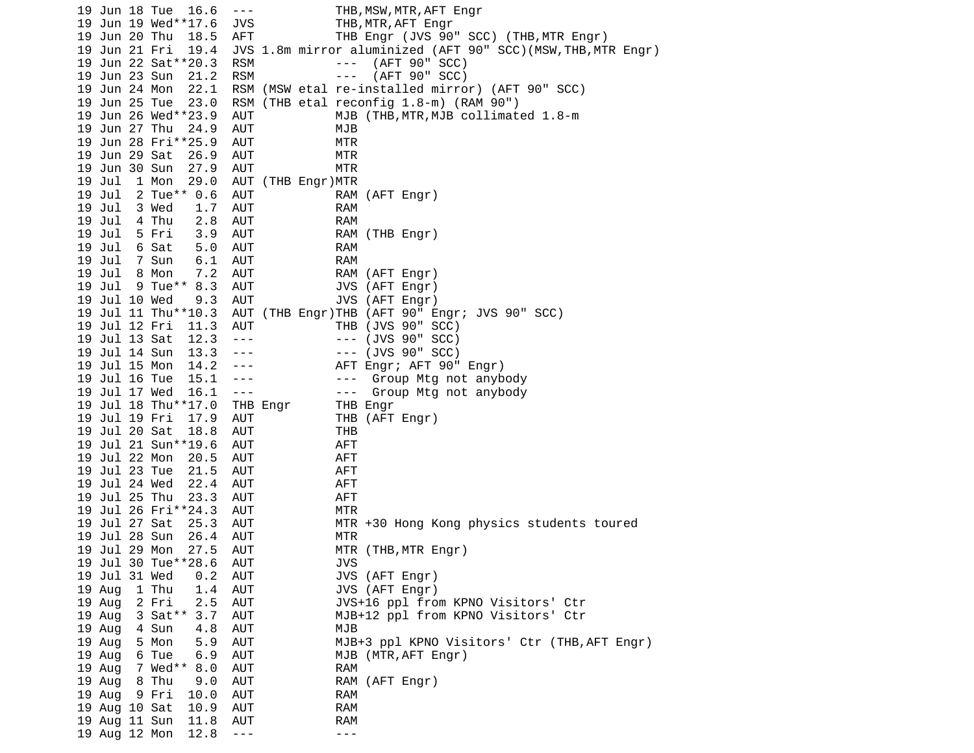19 Jun 18 Tue 16.6 --- THB,MSW,MTR,AFT Engr 19 Jun 19 Wed\*\*17.6 JVS THB,MTR,AFT Engr 19 Jun 20 Thu 18.5 AFT THB Engr (JVS 90" SCC) (THB,MTR Engr) 19 Jun 21 Fri 19.4 JVS 1.8m mirror aluminized (AFT 90" SCC)(MSW,THB,MTR Engr) 19 Jun 22 Sat\*\*20.3 RSM --- (AFT 90" SCC) 19 Jun 23 Sun 21.2 RSM<br>19 Jun 24 Mon 22.1 RSM RSM (MSW etal re-installed mirror) (AFT 90" SCC) 19 Jun 25 Tue 23.0 RSM (THB etal reconfig 1.8-m) (RAM 90") 19 Jun 26 Wed\*\*23.9 AUT MJB (THB,MTR,MJB collimated 1.8-m 19 Jun 27 Thu 24.9 AUT MJB 19 Jun 28 Fri\*\*25.9 AUT MTR 19 Jun 29 Sat 26.9 AUT MTR 19 Jun 30 Sun 27.9 AUT MTR 19 Jul 1 Mon 29.0 AUT (THB Engr)MTR 19 Jul 2 Tue\*\* 0.6 AUT RAM (AFT Engr) 19 Jul 3 Wed 1.7 AUT RAM 19 Jul 4 Thu 2.8 AUT RAM 3.9 AUT RAM (THB Engr) 19 Jul 6 Sat 5.0 AUT RAM 19 Jul 7 Sun 6.1 AUT RAM 19 Jul 8 Mon 7.2 AUT RAM (AFT Engr) 19 Jul 9 Tue\*\* 8.3 AUT JVS (AFT Engr) 19 Jul 10 Wed 9.3 AUT JVS (AFT Engr) 19 Jul 11 Thu\*\*10.3 AUT (THB Engr)THB (AFT 90" Engr; JVS 90" SCC) 19 Jul 12 Fri 11.3 AUT 19 Jul 13 Sat 12.3 --- - -- (JVS 90" SCC) 19 Jul 14 Sun 13.3 --- --- (JVS 90" SCC) AFT Engr; AFT 90" Engr) 19 Jul 16 Tue 15.1 --- - -- Group Mtg not anybody 19 Jul 17 Wed 16.1 --- - -- Group Mtg not anybody 19 Jul 18 Thu\*\*17.0 THB Engr THB Engr 19 Jul 19 Fri 17.9 AUT THB (AFT Engr) 19 Jul 20 Sat 18.8 AUT THB 19 Jul 21 Sun\*\*19.6 AUT AFT 19 Jul 22 Mon 20.5 AUT AFT 19 Jul 23 Tue 21.5 AUT AFT 19 Jul 24 Wed 22.4 AUT AFT 19 Jul 25 Thu 23.3 AUT AFT 19 Jul 26 Fri\*\*24.3 AUT MTR AUT MTR +30 Hong Kong physics students toured 19 Jul 28 Sun 26.4 AUT MTR 19 Jul 29 Mon 27.5 AUT MTR (THB,MTR Engr) 19 Jul 30 Tue\*\*28.6 AUT JVS 19 Jul 31 Wed 0.2 AUT JVS (AFT Engr) 19 Aug 1 Thu 1.4 AUT JVS (AFT Engr) 19 Aug 2 Fri 2.5 AUT JVS+16 ppl from KPNO Visitors' Ctr 19 Aug 3 Sat\*\* 3.7 AUT MJB+12 ppl from KPNO Visitors' Ctr 19 Aug 4 Sun 4.8 AUT MJB 19 Aug 5 Mon 5.9 AUT MJB+3 ppl KPNO Visitors' Ctr (THB,AFT Engr) 19 Aug 6 Tue 6.9 AUT MJB (MTR,AFT Engr) 19 Aug 7 Wed\*\* 8.0 AUT RAM 19 Aug 8 Thu 9.0 AUT RAM (AFT Engr) 19 Aug 9 Fri 10.0 AUT RAM 19 Aug 10 Sat 10.9 AUT RAM 19 Aug 11 Sun 11.8 AUT RAM 19 Aug 12 Mon 12.8 --- -- ---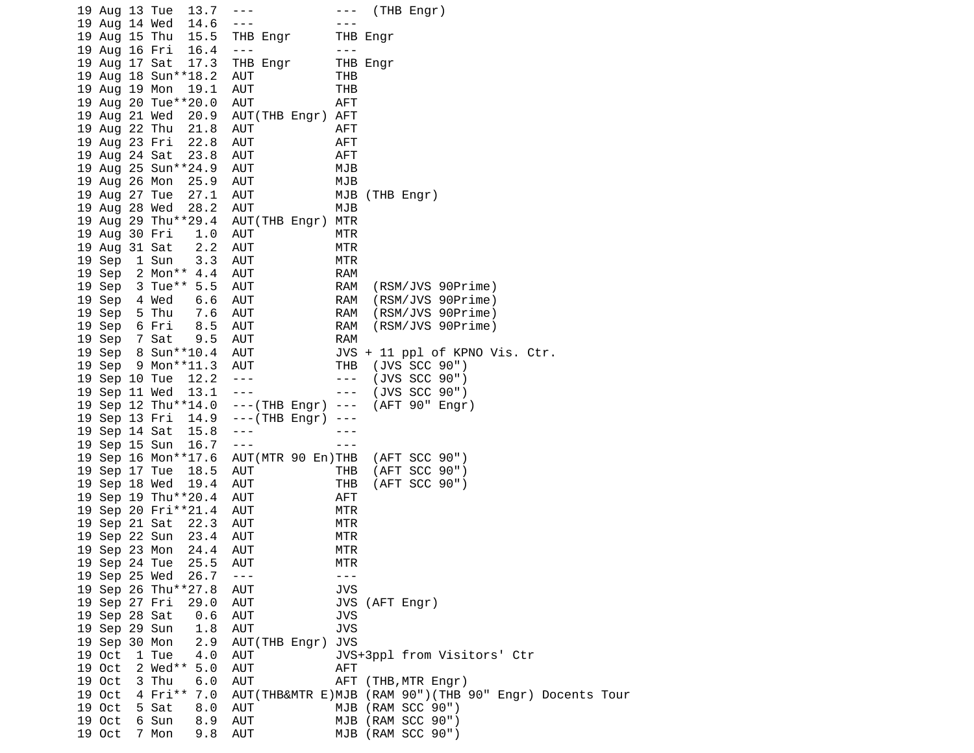| 19 Aug 13 Tue | 13.7                  | $\frac{1}{2} \frac{1}{2} \frac{1}{2} \frac{1}{2} \frac{1}{2} \frac{1}{2} \frac{1}{2} \frac{1}{2} \frac{1}{2} \frac{1}{2} \frac{1}{2} \frac{1}{2} \frac{1}{2} \frac{1}{2} \frac{1}{2} \frac{1}{2} \frac{1}{2} \frac{1}{2} \frac{1}{2} \frac{1}{2} \frac{1}{2} \frac{1}{2} \frac{1}{2} \frac{1}{2} \frac{1}{2} \frac{1}{2} \frac{1}{2} \frac{1}{2} \frac{1}{2} \frac{1}{2} \frac{1}{2} \frac{$ |                      | $---$ (THB Engr)                                       |
|---------------|-----------------------|----------------------------------------------------------------------------------------------------------------------------------------------------------------------------------------------------------------------------------------------------------------------------------------------------------------------------------------------------------------------------------------------|----------------------|--------------------------------------------------------|
| 19 Aug 14 Wed | 14.6                  | $- - -$                                                                                                                                                                                                                                                                                                                                                                                      | - - -                |                                                        |
| 19 Aug 15 Thu | 15.5                  | THB Engr                                                                                                                                                                                                                                                                                                                                                                                     |                      | THB Engr                                               |
| 19 Aug 16 Fri | 16.4                  | $  -$                                                                                                                                                                                                                                                                                                                                                                                        | $\sim$ $\sim$ $\sim$ |                                                        |
| 19 Aug 17 Sat | 17.3                  | THB Engr                                                                                                                                                                                                                                                                                                                                                                                     |                      | THB Engr                                               |
|               | 19 Aug 18 Sun**18.2   | AUT                                                                                                                                                                                                                                                                                                                                                                                          | THB                  |                                                        |
| 19 Aug 19 Mon | 19.1                  | AUT                                                                                                                                                                                                                                                                                                                                                                                          | <b>THB</b>           |                                                        |
|               | 19 Aug 20 Tue**20.0   | AUT                                                                                                                                                                                                                                                                                                                                                                                          | AFT                  |                                                        |
| 19 Aug 21 Wed | 20.9                  | AUT(THB Engr) AFT                                                                                                                                                                                                                                                                                                                                                                            |                      |                                                        |
| 19 Aug 22 Thu | 21.8                  | AUT                                                                                                                                                                                                                                                                                                                                                                                          | <b>AFT</b>           |                                                        |
| 19 Aug 23 Fri | 22.8                  | AUT                                                                                                                                                                                                                                                                                                                                                                                          | <b>AFT</b>           |                                                        |
|               |                       |                                                                                                                                                                                                                                                                                                                                                                                              |                      |                                                        |
| 19 Aug 24 Sat | 23.8                  | AUT                                                                                                                                                                                                                                                                                                                                                                                          | <b>AFT</b>           |                                                        |
|               | 19 Aug 25 Sun**24.9   | AUT                                                                                                                                                                                                                                                                                                                                                                                          | MJB                  |                                                        |
| 19 Aug 26 Mon | 25.9                  | AUT                                                                                                                                                                                                                                                                                                                                                                                          | MJB                  |                                                        |
| 19 Aug 27 Tue | 27.1                  | AUT                                                                                                                                                                                                                                                                                                                                                                                          |                      | MJB (THB Engr)                                         |
| 19 Aug 28 Wed | 28.2                  | AUT                                                                                                                                                                                                                                                                                                                                                                                          | MJB                  |                                                        |
|               | 19 Aug 29 Thu**29.4   | AUT(THB Engr)                                                                                                                                                                                                                                                                                                                                                                                | MTR                  |                                                        |
| 19 Aug 30 Fri | 1.0                   | AUT                                                                                                                                                                                                                                                                                                                                                                                          | MTR                  |                                                        |
| 19 Aug 31 Sat | 2.2                   | AUT                                                                                                                                                                                                                                                                                                                                                                                          | MTR                  |                                                        |
| 19 Sep        | 3.3<br>1 Sun          | AUT                                                                                                                                                                                                                                                                                                                                                                                          | <b>MTR</b>           |                                                        |
| 19 Sep        | 2 Mon** 4.4           | AUT                                                                                                                                                                                                                                                                                                                                                                                          | <b>RAM</b>           |                                                        |
| 19 Sep        | 3 Tue** 5.5           | AUT                                                                                                                                                                                                                                                                                                                                                                                          | RAM                  | (RSM/JVS 90Prime)                                      |
| 19 Sep        | 4 Wed<br>6.6          | AUT                                                                                                                                                                                                                                                                                                                                                                                          | RAM                  | (RSM/JVS 90Prime)                                      |
| 19 Sep        | 5 Thu<br>7.6          | <b>AUT</b>                                                                                                                                                                                                                                                                                                                                                                                   | RAM                  | (RSM/JVS 90Prime)                                      |
| 19 Sep        | 8.5<br>6 Fri          | AUT                                                                                                                                                                                                                                                                                                                                                                                          | RAM                  | (RSM/JVS 90Prime)                                      |
| 19 Sep        | 9.5<br>7 Sat          | <b>AUT</b>                                                                                                                                                                                                                                                                                                                                                                                   | <b>RAM</b>           |                                                        |
| 19 Sep        | 8 Sun**10.4           | AUT                                                                                                                                                                                                                                                                                                                                                                                          |                      | JVS + 11 ppl of KPNO Vis. Ctr.                         |
| 19 Sep        | 9 Mon**11.3           | AUT                                                                                                                                                                                                                                                                                                                                                                                          | THB                  | (JVS SCC 90")                                          |
|               | 19 Sep 10 Tue<br>12.2 | $\perp$ $\perp$ $\perp$                                                                                                                                                                                                                                                                                                                                                                      | $\sim$ $\sim$ $\sim$ | (JVS SCC 90")                                          |
|               | 13.1                  | $\sim$ $\sim$ $\sim$                                                                                                                                                                                                                                                                                                                                                                         |                      | (JVS SCC 90")                                          |
| 19 Sep 11 Wed |                       |                                                                                                                                                                                                                                                                                                                                                                                              | $\sim$ $ \sim$       |                                                        |
|               | 19 Sep 12 Thu**14.0   | $---(THE Engr) ---$                                                                                                                                                                                                                                                                                                                                                                          |                      | (AFT 90" Engr)                                         |
| 19 Sep 13 Fri | 14.9                  | ---(THB Engr)                                                                                                                                                                                                                                                                                                                                                                                | $- - -$              |                                                        |
| 19 Sep 14 Sat | 15.8                  | $- - -$                                                                                                                                                                                                                                                                                                                                                                                      |                      |                                                        |
| 19 Sep 15 Sun | 16.7                  | $\sim$ $\sim$ $\sim$                                                                                                                                                                                                                                                                                                                                                                         | $- - -$              |                                                        |
|               | 19 Sep 16 Mon**17.6   | AUT(MTR 90 En)THB                                                                                                                                                                                                                                                                                                                                                                            |                      | (AFT SCC 90")                                          |
| 19 Sep 17 Tue | 18.5                  | AUT                                                                                                                                                                                                                                                                                                                                                                                          | THB                  | (AFT SCC 90")                                          |
| 19 Sep 18 Wed | 19.4                  | AUT                                                                                                                                                                                                                                                                                                                                                                                          | <b>THB</b>           | (AFT SCC 90")                                          |
|               | 19 Sep 19 Thu**20.4   | AUT                                                                                                                                                                                                                                                                                                                                                                                          | AFT                  |                                                        |
|               | 19 Sep 20 Fri**21.4   | AUT                                                                                                                                                                                                                                                                                                                                                                                          | MTR                  |                                                        |
| 19 Sep 21 Sat | 22.3                  | AUT                                                                                                                                                                                                                                                                                                                                                                                          | MTR                  |                                                        |
| 19 Sep 22 Sun | 23.4                  | AUT                                                                                                                                                                                                                                                                                                                                                                                          | MTR                  |                                                        |
| 19 Sep 23 Mon | 24.4                  | AUT                                                                                                                                                                                                                                                                                                                                                                                          | <b>MTR</b>           |                                                        |
| 19 Sep 24 Tue | 25.5                  | <b>AUT</b>                                                                                                                                                                                                                                                                                                                                                                                   | MTR                  |                                                        |
| 19 Sep 25 Wed | 26.7                  | $- - -$                                                                                                                                                                                                                                                                                                                                                                                      | - - -                |                                                        |
|               | 19 Sep 26 Thu**27.8   | <b>AUT</b>                                                                                                                                                                                                                                                                                                                                                                                   | <b>JVS</b>           |                                                        |
| 19 Sep 27 Fri | 29.0                  | <b>AUT</b>                                                                                                                                                                                                                                                                                                                                                                                   |                      | JVS (AFT Engr)                                         |
| 19 Sep 28 Sat | 0.6                   | <b>AUT</b>                                                                                                                                                                                                                                                                                                                                                                                   | JVS                  |                                                        |
| 19 Sep 29 Sun | 1.8                   | <b>AUT</b>                                                                                                                                                                                                                                                                                                                                                                                   | <b>JVS</b>           |                                                        |
| 19 Sep 30 Mon | 2.9                   | AUT(THB Engr)                                                                                                                                                                                                                                                                                                                                                                                | <b>JVS</b>           |                                                        |
| 19 Oct        | 1 Tue<br>4.0          | AUT                                                                                                                                                                                                                                                                                                                                                                                          |                      | JVS+3ppl from Visitors' Ctr                            |
| 19 Oct        | 2 Wed $**$<br>5.0     | <b>AUT</b>                                                                                                                                                                                                                                                                                                                                                                                   |                      |                                                        |
|               |                       | <b>AUT</b>                                                                                                                                                                                                                                                                                                                                                                                   | AFT                  |                                                        |
| 19 Oct        | 3 Thu<br>6.0          |                                                                                                                                                                                                                                                                                                                                                                                              |                      | AFT (THB, MTR Engr)                                    |
| 19 Oct        | 4 Fri** 7.0           |                                                                                                                                                                                                                                                                                                                                                                                              |                      | AUT(THB&MTR E)MJB (RAM 90")(THB 90" Engr) Docents Tour |
| 19 Oct        | 5 Sat<br>8.0          | <b>AUT</b>                                                                                                                                                                                                                                                                                                                                                                                   |                      | MJB (RAM SCC 90")                                      |
| 19 Oct        | 6 Sun<br>8.9          | AUT                                                                                                                                                                                                                                                                                                                                                                                          |                      | MJB (RAM SCC 90")                                      |
| 19 Oct        | 7 Mon<br>9.8          | AUT                                                                                                                                                                                                                                                                                                                                                                                          |                      | MJB (RAM SCC 90")                                      |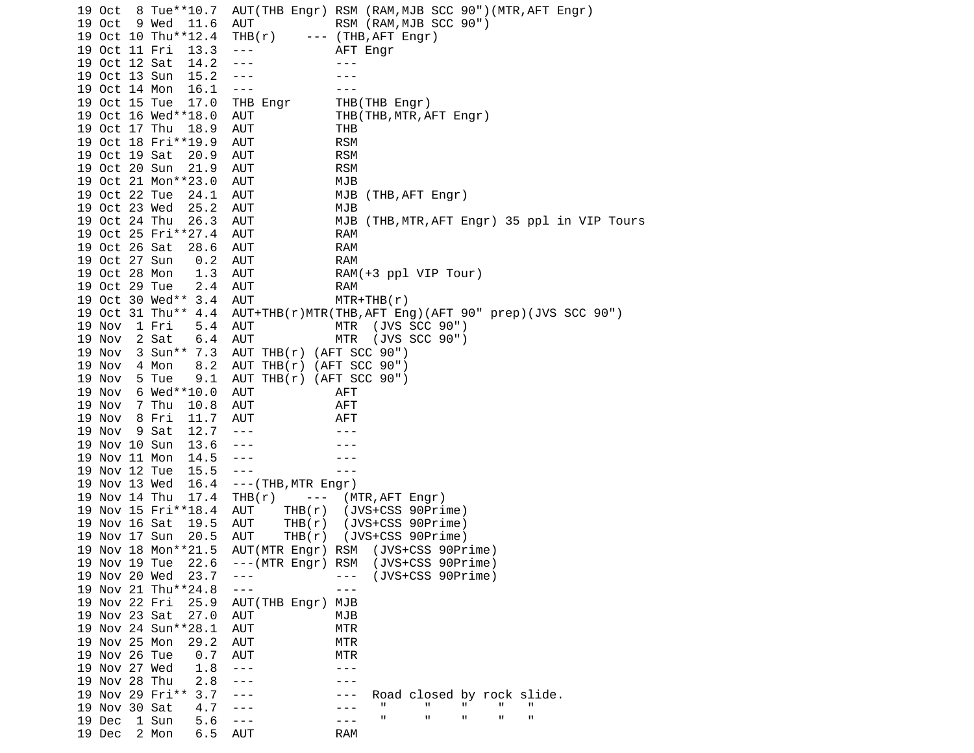19 Oct 8 Tue\*\*10.7 AUT(THB Engr) RSM (RAM,MJB SCC 90")(MTR,AFT Engr) 19 Oct 9 Wed 11.6 AUT RSM (RAM,MJB SCC 90") 19 Oct 10 Thu\*\*12.4 THB(r) --- (THB,AFT Engr) 19 Oct 11 Fri 13.3 --- AFT Engr 19 Oct 12 Sat 14.2 ---19 Oct 13 Sun 15.2 --- -- ---19 Oct 14 Mon 16.1 --- -- --- 19 Oct 15 Tue 17.0 THB Engr THB(THB Engr) 19 Oct 16 Wed\*\*18.0 AUT THB(THB,MTR,AFT Engr) 19 Oct 17 Thu 18.9 AUT THB 19 Oct 18 Fri\*\*19.9 AUT 19 Oct 19 Sat 20.9 AUT RSM 19 Oct 20 Sun 21.9 AUT RSM 19 Oct 21 Mon\*\*23.0 AUT MJB 19 Oct 22 Tue 24.1 AUT MJB (THB, AFT Engr) 19 Oct 23 Wed 25.2 AUT MJB 19 Oct 24 Thu 26.3 AUT MJB (THB,MTR,AFT Engr) 35 ppl in VIP Tours 19 Oct 25 Fri\*\*27.4 AUT RAM 19 Oct 26 Sat 28.6 AUT RAM 19 Oct 27 Sun 0.2 AUT RAM 19 Oct 28 Mon 1.3 AUT RAM(+3 ppl VIP Tour) 19 Oct 29 Tue 2.4 AUT RAM 19 Oct 30 Wed\*\* 3.4 AUT MTR+THB(r) 19 Oct 31 Thu\*\* 4.4 AUT+THB(r)MTR(THB,AFT Eng)(AFT 90" prep)(JVS SCC 90") 19 Nov 1 Fri 5.4 AUT MTR (JVS SCC 90") 19 Nov 2 Sat 6.4 AUT MTR (JVS SCC 90") 19 Nov 3 Sun\*\* 7.3 AUT THB(r) (AFT SCC 90") 19 Nov 4 Mon 8.2 AUT THB(r) (AFT SCC 90") 19 Nov 5 Tue 9.1 AUT THB(r) (AFT SCC 90") 19 Nov 6 Wed\*\*10.0 AUT AFT 19 Nov 7 Thu 10.8 AUT AFT 19 Nov 8 Fri 11.7 AUT AFT 19 Nov 9 Sat 12.7 --- -- --- 19 Nov 10 Sun 13.6 --- --- 19 Nov 11 Mon 14.5 --- -- --- ---19 Nov 12 Tue 15.5 --- 19 Nov 13 Wed 16.4 ---(THB,MTR Engr) 19 Nov 14 Thu 17.4 THB(r) --- (MTR,AFT Engr) 19 Nov 15 Fri\*\*18.4 AUT 19 Nov 16 Sat 19.5 AUT THB(r) (JVS+CSS 90Prime) 19 Nov 17 Sun 20.5 AUT THB(r) (JVS+CSS 90Prime) 19 Nov 18 Mon\*\*21.5 AUT(MTR Engr) RSM (JVS+CSS 90Prime) 19 Nov 19 Tue 22.6 ---(MTR Engr) RSM (JVS+CSS 90Prime) 19 Nov 20 Wed 23.7 --- - - - (JVS+CSS 90Prime) 19 Nov 21 Thu<sup>\*\*</sup>24.8 --- -- -- --- 19 Nov 22 Fri 25.9 AUT(THB Engr) MJB 19 Nov 23 Sat 27.0 AUT MJB 19 Nov 24 Sun\*\*28.1 AUT MTR 19 Nov 25 Mon 29.2 AUT MTR 19 Nov 26 Tue 0.7 AUT MTR 19 Nov 27 Wed 1.8 --- -- -- ---19 Nov 28 Thu 2.8 --- - -- ---19 Nov 29 Fri\*\* 3.7 --- --- Road closed by rock slide.<br>19 Nov 30 Sat 4.7 --- --- " " " " " 19 Nov 30 Sat 4.7 --- --- --- " " " " " "<br>10 Dec 1 Sun 5 6 --- --- --- --- " " " " " " 19 Dec 1 Sun 5.6 --- --- " " " " " 19 Dec 2 Mon 6.5 AUT RAM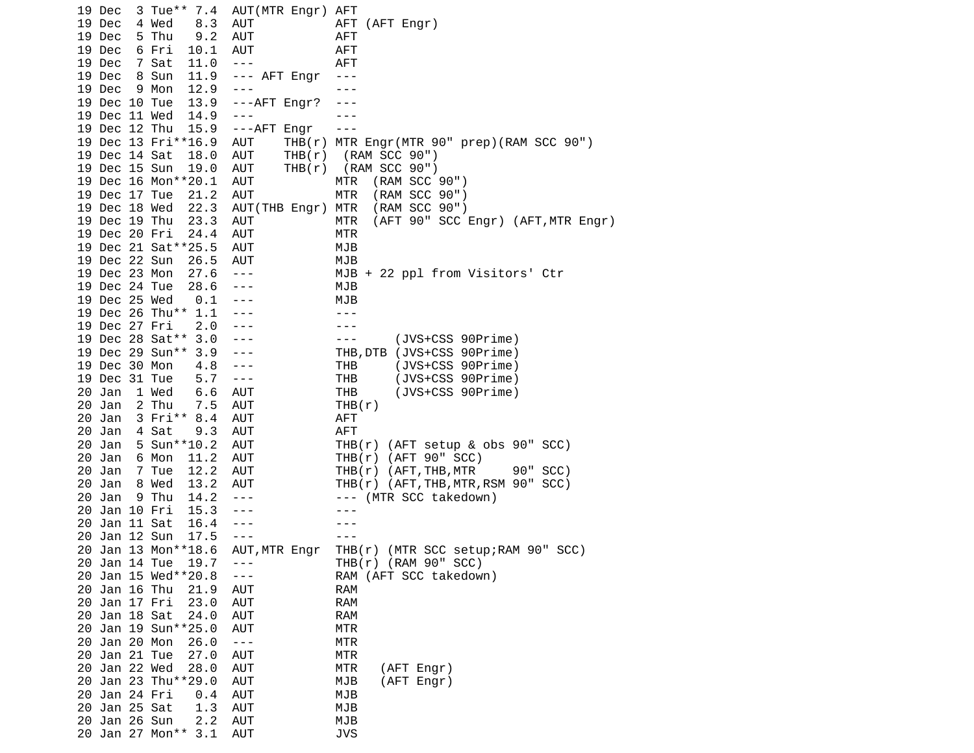19 Dec 3 Tue\*\* 7.4 AUT(MTR Engr) AFT 19 Dec 4 Wed 8.3 AUT AFT (AFT Engr) 19 Dec 5 Thu 9.2 AUT AFT 19 Dec 6 Fri 10.1 AUT AFT 19 Dec 7 Sat 11.0 --- AFT 19 Dec 8 Sun 11.9 --- AFT Engr --- 19 Dec 9 Mon 12.9 --- -- --- 19 Dec 10 Tue 13.9 ---AFT Engr? --- 19 Dec 11 Wed 14.9 --- -- -- --- 19 Dec 12 Thu 15.9 ---AFT Engr --- 19 Dec 13 Fri\*\*16.9 AUT THB(r) MTR Engr(MTR 90" prep)(RAM SCC 90") 19 Dec 14 Sat 18.0 AUT THB(r) (RAM SCC 90") 19 Dec 15 Sun 19.0 AUT THB(r) (RAM SCC 90") 19 Dec 16 Mon\*\*20.1 AUT MTR 19 Dec 17 Tue 21.2 AUT MTR (RAM SCC 90") 19 Dec 18 Wed 22.3 AUT(THB Engr) MTR (RAM SCC 90") 19 Dec 19 Thu 23.3 AUT MTR (AFT 90" SCC Engr) (AFT,MTR Engr) 19 Dec 20 Fri 24.4 AUT MTR 19 Dec 21 Sat\*\*25.5 AUT MJB 19 Dec 22 Sun 26.5 AUT MJB 19 Dec 23 Mon 27.6 --- MJB + 22 ppl from Visitors' Ctr 19 Dec 24 Tue 28.6 --- MJB 19 Dec 25 Wed 0.1 --- MJB 19 Dec 26 Thu<sup>\*\*</sup> 1.1 --- --- ---19 Dec 27 Fri 2.0 --- -- ---19 Dec 28 Sat<sup>\*\*</sup> 3.0 --- - -- -- (JVS+CSS 90Prime) 19 Dec 29 Sun\*\* 3.9 --- THB,DTB (JVS+CSS 90Prime) 19 Dec 30 Mon 4.8 --- THB (JVS+CSS 90Prime) 19 Dec 31 Tue 5.7 --- THB (JVS+CSS 90Prime) 20 Jan 1 Wed 6.6 AUT THB (JVS+CSS 90Prime)<br>20 Jan 2 Thu 7.5 AUT THB(r)  $20$  Jan  $2$  Thu  $7.5$  AUT 20 Jan 3 Fri\*\* 8.4 AUT AFT 20 Jan 4 Sat 9.3 AUT AFT 20 Jan 5 Sun\*\*10.2 AUT THB(r) (AFT setup & obs 90" SCC) 20 Jan 6 Mon 11.2 AUT THB(r) (AFT 90" SCC) 20 Jan 7 Tue 12.2 AUT THB(r) (AFT,THB,MTR 90" SCC) 20 Jan 8 Wed 13.2 AUT THB(r) (AFT,THB,MTR,RSM 90" SCC) 20 Jan 9 Thu 14.2 --- --- --- (MTR SCC takedown) 20 Jan 10 Fri 15.3 ---20 Jan 11 Sat 16.4 --- -- ---20 Jan 12 Sun 17.5 --- -- -- --- 20 Jan 13 Mon\*\*18.6 AUT,MTR Engr THB(r) (MTR SCC setup;RAM 90" SCC) 20 Jan 14 Tue 19.7 --- THB(r) (RAM 90" SCC) 20 Jan 15 Wed\*\*20.8 --- RAM (AFT SCC takedown) 20 Jan 16 Thu 21.9 AUT RAM 20 Jan 17 Fri 23.0 AUT RAM 20 Jan 18 Sat 24.0 AUT RAM 20 Jan 19 Sun\*\*25.0 AUT MTR 20 Jan 20 Mon 26.0 --- MTR 20 Jan 21 Tue 27.0 AUT MTR 20 Jan 22 Wed 28.0 AUT MTR (AFT Engr) 20 Jan 23 Thu\*\*29.0 AUT MJB (AFT Engr) 20 Jan 24 Fri 0.4 AUT MJB 20 Jan 25 Sat 1.3 AUT MJB 20 Jan 26 Sun 2.2 AUT MJB 20 Jan 27 Mon\*\* 3.1 AUT JVS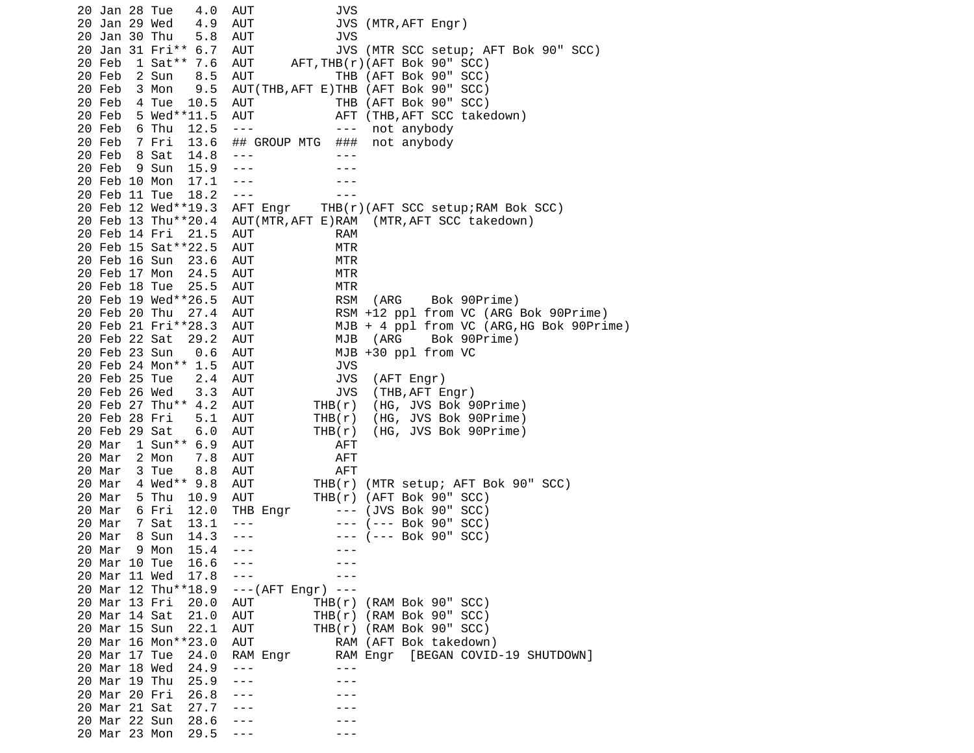20 Jan 28 Tue 4.0 AUT JVS 20 Jan 29 Wed 4.9 AUT JVS (MTR,AFT Engr) 20 Jan 30 Thu 5.8 AUT JVS 20 Jan 31 Fri\*\* 6.7 AUT JVS (MTR SCC setup; AFT Bok 90" SCC)  $AFT, THB(r)$ ( $AFT$  Bok 90" SCC) 20 Feb 2 Sun 8.5 AUT THB (AFT Bok 90" SCC) 20 Feb 3 Mon 9.5 AUT(THB,AFT E)THB (AFT Bok 90" SCC) 20 Feb 4 Tue 10.5 AUT THB (AFT Bok 90" SCC) 20 Feb 5 Wed\*\*11.5 AUT AFT (THB,AFT SCC takedown) 20 Feb 6 Thu 12.5 ---<br>20 Feb 7 Fri 13.6 ## GROUP MTG ### not anybody 20 Feb 7 Fri 13.6 ## GROUP MTG 20 Feb 8 Sat 14.8 --- -- ---20 Feb 9 Sun 15.9 --- -- ---20 Feb 10 Mon 17.1 --- -- ---20 Feb 11 Tue 18.2 --- -- --- 20 Feb 12 Wed\*\*19.3 AFT Engr THB(r)(AFT SCC setup;RAM Bok SCC) 20 Feb 13 Thu\*\*20.4 AUT(MTR,AFT E)RAM (MTR,AFT SCC takedown) 20 Feb 14 Fri 21.5 AUT RAM 20 Feb 15 Sat\*\*22.5 AUT MTR 20 Feb 16 Sun 23.6 AUT MTR 20 Feb 17 Mon 24.5 AUT MTR 20 Feb 18 Tue 25.5 AUT MTR 20 Feb 19 Wed\*\*26.5 AUT RSM (ARG Bok 90Prime) 20 Feb 20 Thu 27.4 AUT RSM +12 ppl from VC (ARG Bok 90Prime)  $MJB + 4$  ppl from VC (ARG, HG Bok 90Prime) 20 Feb 22 Sat 29.2 AUT MJB (ARG Bok 90Prime) 20 Feb 23 Sun 0.6 AUT MJB +30 ppl from VC 20 Feb 24 Mon\*\* 1.5 AUT JVS 20 Feb 25 Tue 2.4 AUT JVS (AFT Engr) 20 Feb 26 Wed 3.3 AUT JVS (THB,AFT Engr) 20 Feb 27 Thu<sup>\*\*</sup> 4.2 AUT THB(r) 20 Feb 28 Fri 5.1 AUT THB(r) (HG, JVS Bok 90Prime) 20 Feb 29 Sat 6.0 AUT THB(r) (HG, JVS Bok 90Prime) 20 Mar 1 Sun\*\* 6.9 AUT AFT 20 Mar 2 Mon 7.8 AUT AFT 20 Mar 3 Tue 8.8 AUT 20 Mar 4 Wed\*\* 9.8 AUT THB(r) (MTR setup; AFT Bok 90" SCC) 20 Mar 5 Thu 10.9 AUT THB(r) (AFT Bok 90" SCC) 20 Mar 6 Fri 12.0 THB Engr 20 Mar 7 Sat 13.1 --- -- -- --- (--- Bok 90" SCC) 20 Mar 8 Sun 14.3 --- -- -- -- (--- Bok 90" SCC) 20 Mar 9 Mon 15.4 ---<br>20 Mar 10 Tue 16.6 --- --- --- ---20 Mar 10 Tue 16.6 --- - -- ---20 Mar 11 Wed 17.8 --- -- -- --- 20 Mar 12 Thu\*\*18.9 ---(AFT Engr) --- 20 Mar 13 Fri 20.0 AUT THB(r) (RAM Bok 90" SCC) 20 Mar 14 Sat 21.0 AUT THB(r) (RAM Bok 90" SCC) 20 Mar 15 Sun 22.1 AUT THB(r) (RAM Bok 90" SCC) 20 Mar 16 Mon\*\*23.0 AUT RAM (AFT Bok takedown) 20 Mar 17 Tue 24.0 RAM Engr RAM Engr [BEGAN COVID-19 SHUTDOWN] 20 Mar 18 Wed 24.9 --- --- 20 Mar 19 Thu 25.9 --- - -- --- 20 Mar 20 Fri 26.8 --- --- 20 Mar 21 Sat 27.7 --- -- -- --- 20 Mar 22 Sun 28.6 --- --- 20 Mar 23 Mon 29.5 --- - - - - --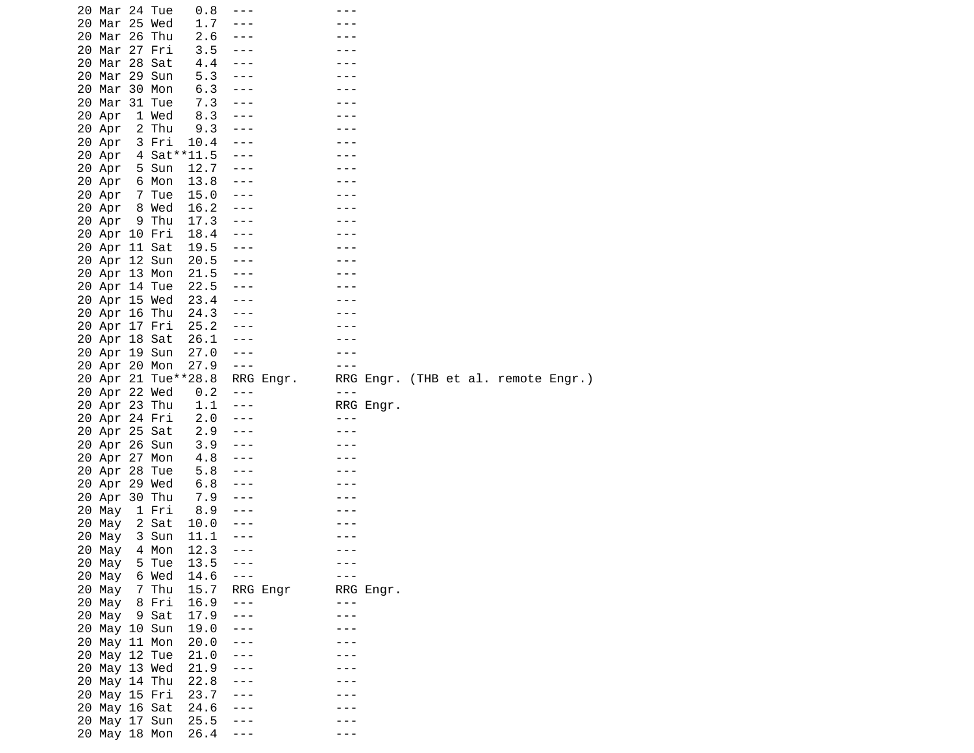|  | 20 Mar 24 Tue |       | 0.8                 | ---                  |           |         |           |  |                                     |  |
|--|---------------|-------|---------------------|----------------------|-----------|---------|-----------|--|-------------------------------------|--|
|  | 20 Mar 25 Wed |       | 1.7                 |                      |           |         |           |  |                                     |  |
|  | 20 Mar 26 Thu |       | 2.6                 | ---                  |           |         |           |  |                                     |  |
|  | 20 Mar 27 Fri |       | 3.5                 | $- - -$              |           |         |           |  |                                     |  |
|  | 20 Mar 28 Sat |       | 4.4                 | $- - -$              |           |         |           |  |                                     |  |
|  |               |       | 5.3                 |                      |           |         |           |  |                                     |  |
|  | 20 Mar 29 Sun |       |                     | ---                  |           |         |           |  |                                     |  |
|  | 20 Mar 30 Mon |       | 6.3                 | ---                  |           |         |           |  |                                     |  |
|  | 20 Mar 31 Tue |       | 7.3                 |                      |           |         |           |  |                                     |  |
|  | 20 Apr        | 1 Wed | 8.3                 | $- - -$              |           |         |           |  |                                     |  |
|  | 20 Apr        | 2 Thu | 9.3                 | ---                  |           |         |           |  |                                     |  |
|  | 20 Apr        | 3 Fri | 10.4                | ---                  |           |         |           |  |                                     |  |
|  | 20 Apr        |       | 4 Sat**11.5         | $- - -$              |           |         |           |  |                                     |  |
|  | 20 Apr        | 5 Sun | 12.7                | $- - -$              |           |         |           |  |                                     |  |
|  | 20 Apr        | 6 Mon | 13.8                | $- - -$              |           |         |           |  |                                     |  |
|  | 20 Apr        | 7 Tue | 15.0                | $- - -$              |           |         |           |  |                                     |  |
|  | 20 Apr 8 Wed  |       | 16.2                | $- - -$              |           |         |           |  |                                     |  |
|  | 20 Apr        | 9 Thu | 17.3                | $- - -$              |           |         |           |  |                                     |  |
|  | 20 Apr 10 Fri |       | 18.4                | $- - -$              |           |         |           |  |                                     |  |
|  | 20 Apr 11 Sat |       | 19.5                | $- - -$              |           |         |           |  |                                     |  |
|  |               |       |                     |                      |           |         |           |  |                                     |  |
|  | 20 Apr 12 Sun |       | 20.5                | $- - -$              |           |         |           |  |                                     |  |
|  | 20 Apr 13 Mon |       | 21.5                | $- - -$              |           |         |           |  |                                     |  |
|  | 20 Apr 14 Tue |       | 22.5                | $- - -$              |           |         |           |  |                                     |  |
|  | 20 Apr 15 Wed |       | 23.4                | $- - -$              |           |         |           |  |                                     |  |
|  | 20 Apr 16 Thu |       | 24.3                | $\sim$ $\sim$ $\sim$ |           |         |           |  |                                     |  |
|  | 20 Apr 17 Fri |       | 25.2                | $- - -$              |           |         |           |  |                                     |  |
|  | 20 Apr 18 Sat |       | 26.1                | $- - -$              |           |         |           |  |                                     |  |
|  | 20 Apr 19 Sun |       | 27.0                | ---                  |           |         |           |  |                                     |  |
|  | 20 Apr 20 Mon |       | 27.9                | $- - -$              |           | $- - -$ |           |  |                                     |  |
|  |               |       | 20 Apr 21 Tue**28.8 |                      | RRG Engr. |         |           |  | RRG Engr. (THB et al. remote Engr.) |  |
|  | 20 Apr 22 Wed |       | 0.2                 | $- - -$              |           | $- - -$ |           |  |                                     |  |
|  | 20 Apr 23 Thu |       | 1.1                 | $- - -$              |           |         | RRG Engr. |  |                                     |  |
|  |               |       |                     |                      |           |         |           |  |                                     |  |
|  |               |       |                     |                      |           |         |           |  |                                     |  |
|  | 20 Apr 24 Fri |       | 2.0                 | $- - -$              |           | ---     |           |  |                                     |  |
|  | 20 Apr 25 Sat |       | 2.9                 | $- - -$              |           |         |           |  |                                     |  |
|  | 20 Apr 26 Sun |       | 3.9                 | $- - -$              |           |         |           |  |                                     |  |
|  | 20 Apr 27 Mon |       | 4.8                 | $- - -$              |           |         |           |  |                                     |  |
|  | 20 Apr 28 Tue |       | 5.8                 | $- - -$              |           |         |           |  |                                     |  |
|  | 20 Apr 29 Wed |       | 6.8                 | $- - -$              |           |         |           |  |                                     |  |
|  | 20 Apr 30 Thu |       | 7.9                 | ---                  |           |         |           |  |                                     |  |
|  | 20 May        | 1 Fri | 8.9                 | $- - -$              |           |         |           |  |                                     |  |
|  | 20 Мау        | 2 Sat | 10.0                | ---                  |           |         |           |  |                                     |  |
|  | 20 May        | 3 Sun | 11.1                | $- - -$              |           |         |           |  |                                     |  |
|  |               |       |                     | $- - -$              |           |         |           |  |                                     |  |
|  | 20 May        | 4 Mon | 12.3                | $- - -$              |           |         |           |  |                                     |  |
|  | 20 May        | 5 Tue | 13.5                | $- - -$              |           |         |           |  |                                     |  |
|  | 20 May        | 6 Wed | 14.6                |                      |           |         |           |  |                                     |  |
|  | 20 May        | 7 Thu | 15.7                |                      | RRG Engr  |         | RRG Engr. |  |                                     |  |
|  | 20 May        | 8 Fri | 16.9                | ---                  |           | $- - -$ |           |  |                                     |  |
|  | 20 May 9 Sat  |       | 17.9                | ---                  |           |         |           |  |                                     |  |
|  | 20 May 10 Sun |       | 19.0                | $- - -$              |           |         |           |  |                                     |  |
|  | 20 May 11 Mon |       | 20.0                | $- - -$              |           |         |           |  |                                     |  |
|  | 20 May 12 Tue |       | 21.0                | ---                  |           |         |           |  |                                     |  |
|  | 20 May 13 Wed |       | 21.9                | ---                  |           |         |           |  |                                     |  |
|  | 20 May 14 Thu |       | 22.8                |                      |           |         |           |  |                                     |  |
|  | 20 May 15 Fri |       | 23.7                | ---                  |           |         |           |  |                                     |  |
|  | 20 May 16 Sat |       | 24.6                | ---                  |           |         |           |  |                                     |  |
|  | 20 May 17 Sun |       | 25.5                | ---                  |           |         |           |  |                                     |  |
|  | 20 May 18 Mon |       | 26.4                | ---                  |           |         |           |  |                                     |  |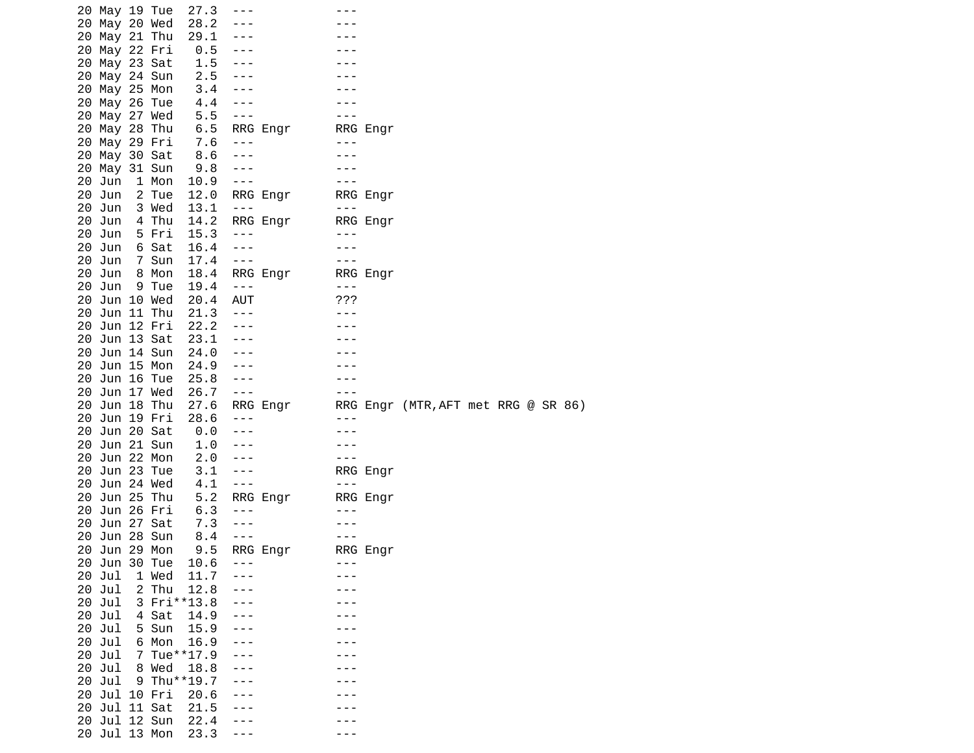|    | 20 May 19 Tue |       | 27.3        | $- - -$              |          |                                                                                                                                                                                                                                                                                                                                                                                              |          |                                     |  |  |  |
|----|---------------|-------|-------------|----------------------|----------|----------------------------------------------------------------------------------------------------------------------------------------------------------------------------------------------------------------------------------------------------------------------------------------------------------------------------------------------------------------------------------------------|----------|-------------------------------------|--|--|--|
|    | 20 May 20 Wed |       | 28.2        |                      |          |                                                                                                                                                                                                                                                                                                                                                                                              |          |                                     |  |  |  |
|    | 20 May 21 Thu |       | 29.1        | $- - -$              |          |                                                                                                                                                                                                                                                                                                                                                                                              |          |                                     |  |  |  |
|    | 20 May 22 Fri |       | 0.5         |                      |          |                                                                                                                                                                                                                                                                                                                                                                                              |          |                                     |  |  |  |
|    | 20 May 23 Sat |       | 1.5         | $- - -$              |          |                                                                                                                                                                                                                                                                                                                                                                                              |          |                                     |  |  |  |
|    | 20 May 24 Sun |       | 2.5         | $- - -$              |          |                                                                                                                                                                                                                                                                                                                                                                                              |          |                                     |  |  |  |
|    | 20 May 25 Mon |       | 3.4         | $- - -$              |          |                                                                                                                                                                                                                                                                                                                                                                                              |          |                                     |  |  |  |
|    | 20 May 26 Tue |       | 4.4         | $- - -$              |          |                                                                                                                                                                                                                                                                                                                                                                                              |          |                                     |  |  |  |
|    | 20 May 27 Wed |       | 5.5         | $- - -$              |          |                                                                                                                                                                                                                                                                                                                                                                                              |          |                                     |  |  |  |
|    | 20 May 28 Thu |       | 6.5         |                      |          |                                                                                                                                                                                                                                                                                                                                                                                              | RRG Engr |                                     |  |  |  |
|    |               |       |             |                      | RRG Engr |                                                                                                                                                                                                                                                                                                                                                                                              |          |                                     |  |  |  |
|    | 20 May 29 Fri |       | 7.6         | $- - -$              |          |                                                                                                                                                                                                                                                                                                                                                                                              |          |                                     |  |  |  |
|    | 20 May 30 Sat |       | 8.6         | $- - -$              |          |                                                                                                                                                                                                                                                                                                                                                                                              |          |                                     |  |  |  |
|    | 20 May 31 Sun |       | 9.8         | $- - -$              |          |                                                                                                                                                                                                                                                                                                                                                                                              |          |                                     |  |  |  |
|    | 20 Jun        | 1 Mon | 10.9        | $- - -$              |          |                                                                                                                                                                                                                                                                                                                                                                                              |          |                                     |  |  |  |
|    | 20 Jun        | 2 Tue | 12.0        |                      | RRG Engr |                                                                                                                                                                                                                                                                                                                                                                                              | RRG Engr |                                     |  |  |  |
|    | 20 Jun        | 3 Wed | 13.1        | $- - -$              |          | $\frac{1}{2} \frac{1}{2} \frac{1}{2} \frac{1}{2} \frac{1}{2} \frac{1}{2} \frac{1}{2} \frac{1}{2} \frac{1}{2} \frac{1}{2} \frac{1}{2} \frac{1}{2} \frac{1}{2} \frac{1}{2} \frac{1}{2} \frac{1}{2} \frac{1}{2} \frac{1}{2} \frac{1}{2} \frac{1}{2} \frac{1}{2} \frac{1}{2} \frac{1}{2} \frac{1}{2} \frac{1}{2} \frac{1}{2} \frac{1}{2} \frac{1}{2} \frac{1}{2} \frac{1}{2} \frac{1}{2} \frac{$ |          |                                     |  |  |  |
|    | 20 Jun        | 4 Thu | 14.2        |                      | RRG Engr |                                                                                                                                                                                                                                                                                                                                                                                              | RRG Engr |                                     |  |  |  |
|    | 20 Jun        | 5 Fri | 15.3        | $- - -$              |          | ---                                                                                                                                                                                                                                                                                                                                                                                          |          |                                     |  |  |  |
|    | 20 Jun        | 6 Sat | 16.4        | $- - -$              |          |                                                                                                                                                                                                                                                                                                                                                                                              |          |                                     |  |  |  |
|    | 20 Jun        | 7 Sun | 17.4        | $- - -$              |          |                                                                                                                                                                                                                                                                                                                                                                                              |          |                                     |  |  |  |
|    | 20 Jun        | 8 Mon | 18.4        |                      | RRG Engr |                                                                                                                                                                                                                                                                                                                                                                                              | RRG Engr |                                     |  |  |  |
|    | 20 Jun        | 9 Tue | 19.4        | $- - -$              |          | $- - -$                                                                                                                                                                                                                                                                                                                                                                                      |          |                                     |  |  |  |
|    | 20 Jun 10 Wed |       | 20.4        | AUT                  |          | ???                                                                                                                                                                                                                                                                                                                                                                                          |          |                                     |  |  |  |
|    | 20 Jun 11 Thu |       | 21.3        | $- - -$              |          |                                                                                                                                                                                                                                                                                                                                                                                              |          |                                     |  |  |  |
|    | 20 Jun 12 Fri |       | 22.2        | $- - -$              |          |                                                                                                                                                                                                                                                                                                                                                                                              |          |                                     |  |  |  |
|    | 20 Jun 13 Sat |       | 23.1        | $- - -$              |          |                                                                                                                                                                                                                                                                                                                                                                                              |          |                                     |  |  |  |
| 20 | Jun 14 Sun    |       | 24.0        | ---                  |          |                                                                                                                                                                                                                                                                                                                                                                                              |          |                                     |  |  |  |
|    |               |       |             |                      |          |                                                                                                                                                                                                                                                                                                                                                                                              |          |                                     |  |  |  |
|    | 20 Jun 15 Mon |       | 24.9        | $- - -$              |          |                                                                                                                                                                                                                                                                                                                                                                                              |          |                                     |  |  |  |
|    | 20 Jun 16 Tue |       | 25.8        | $- - -$              |          |                                                                                                                                                                                                                                                                                                                                                                                              |          |                                     |  |  |  |
|    | 20 Jun 17 Wed |       | 26.7        | $- - -$              |          |                                                                                                                                                                                                                                                                                                                                                                                              |          |                                     |  |  |  |
|    | 20 Jun 18 Thu |       | 27.6        |                      | RRG Engr |                                                                                                                                                                                                                                                                                                                                                                                              |          | RRG Engr (MTR, AFT met RRG @ SR 86) |  |  |  |
|    | 20 Jun 19 Fri |       | 28.6        | $- - -$              |          |                                                                                                                                                                                                                                                                                                                                                                                              |          |                                     |  |  |  |
|    | 20 Jun 20 Sat |       | 0.0         | $- - -$              |          |                                                                                                                                                                                                                                                                                                                                                                                              |          |                                     |  |  |  |
|    | 20 Jun 21 Sun |       | 1.0         | $- - -$              |          |                                                                                                                                                                                                                                                                                                                                                                                              |          |                                     |  |  |  |
|    | 20 Jun 22 Mon |       | 2.0         | $- - -$              |          | ---                                                                                                                                                                                                                                                                                                                                                                                          |          |                                     |  |  |  |
| 20 | Jun 23 Tue    |       | 3.1         | $- - -$              |          |                                                                                                                                                                                                                                                                                                                                                                                              | RRG Engr |                                     |  |  |  |
|    | 20 Jun 24 Wed |       | 4.1         | $\sim$ $\sim$ $\sim$ |          | $- - -$                                                                                                                                                                                                                                                                                                                                                                                      |          |                                     |  |  |  |
|    | 20 Jun 25 Thu |       | 5.2         |                      | RRG Engr |                                                                                                                                                                                                                                                                                                                                                                                              | RRG Engr |                                     |  |  |  |
|    | 20 Jun 26 Fri |       | 6.3         | $- - -$              |          |                                                                                                                                                                                                                                                                                                                                                                                              |          |                                     |  |  |  |
|    | 20 Jun 27 Sat |       | 7.3         | $- - -$              |          |                                                                                                                                                                                                                                                                                                                                                                                              |          |                                     |  |  |  |
| 20 | Jun 28 Sun    |       | 8.4         | $- - -$              |          |                                                                                                                                                                                                                                                                                                                                                                                              |          |                                     |  |  |  |
|    | 20 Jun 29 Mon |       | 9.5         |                      | RRG Engr |                                                                                                                                                                                                                                                                                                                                                                                              | RRG Engr |                                     |  |  |  |
|    | 20 Jun 30 Tue |       | 10.6        |                      |          |                                                                                                                                                                                                                                                                                                                                                                                              |          |                                     |  |  |  |
|    | 20 Jul        | 1 Wed | 11.7        |                      |          |                                                                                                                                                                                                                                                                                                                                                                                              |          |                                     |  |  |  |
|    | 20 Jul        | 2 Thu | 12.8        |                      |          |                                                                                                                                                                                                                                                                                                                                                                                              |          |                                     |  |  |  |
|    | 20 Jul        |       | 3 Fri**13.8 |                      |          |                                                                                                                                                                                                                                                                                                                                                                                              |          |                                     |  |  |  |
|    | 20 Jul        | 4 Sat | 14.9        |                      |          |                                                                                                                                                                                                                                                                                                                                                                                              |          |                                     |  |  |  |
|    |               |       | 15.9        |                      |          |                                                                                                                                                                                                                                                                                                                                                                                              |          |                                     |  |  |  |
|    | 20 Jul        | 5 Sun |             |                      |          |                                                                                                                                                                                                                                                                                                                                                                                              |          |                                     |  |  |  |
|    | 20 Jul        | 6 Mon | 16.9        |                      |          |                                                                                                                                                                                                                                                                                                                                                                                              |          |                                     |  |  |  |
| 20 | Jul           |       | 7 Tue**17.9 |                      |          |                                                                                                                                                                                                                                                                                                                                                                                              |          |                                     |  |  |  |
|    | 20 Jul        | 8 Wed | 18.8        |                      |          |                                                                                                                                                                                                                                                                                                                                                                                              |          |                                     |  |  |  |
|    | 20 Jul        |       | 9 Thu**19.7 |                      |          |                                                                                                                                                                                                                                                                                                                                                                                              |          |                                     |  |  |  |
|    | 20 Jul 10 Fri |       | 20.6        |                      |          |                                                                                                                                                                                                                                                                                                                                                                                              |          |                                     |  |  |  |
|    | 20 Jul 11 Sat |       | 21.5        |                      |          |                                                                                                                                                                                                                                                                                                                                                                                              |          |                                     |  |  |  |
| 20 | Jul 12 Sun    |       | 22.4        |                      |          |                                                                                                                                                                                                                                                                                                                                                                                              |          |                                     |  |  |  |
|    | 20 Jul 13 Mon |       | 23.3        |                      |          |                                                                                                                                                                                                                                                                                                                                                                                              |          |                                     |  |  |  |
|    |               |       |             |                      |          |                                                                                                                                                                                                                                                                                                                                                                                              |          |                                     |  |  |  |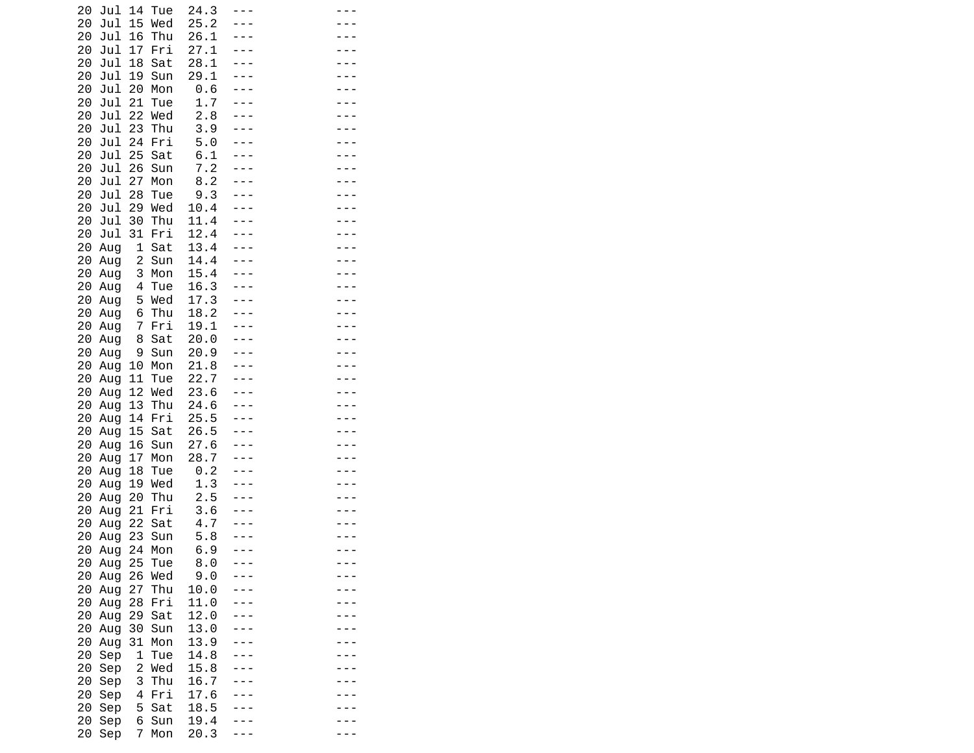| 20 | Jul        | 14                      | Tue | 24.3 |  |  |
|----|------------|-------------------------|-----|------|--|--|
| 20 | Jul        | 15                      | Wed | 25.2 |  |  |
| 20 | Jul        | 16                      | Thu | 26.1 |  |  |
| 20 | Jul        | 17                      | Fri | 27.1 |  |  |
| 20 | Jul        | 18                      | Sat | 28.1 |  |  |
| 20 | Jul        | 19                      | Sun | 29.1 |  |  |
| 20 | Jul        | 20                      | Mon | 0.6  |  |  |
| 20 | Jul        | 21                      | Tue | 1.7  |  |  |
| 20 | Jul        | 22                      | Wed | 2.8  |  |  |
| 20 | Jul        | 23                      | Thu | 3.9  |  |  |
| 20 | Jul        | 24                      | Fri | 5.0  |  |  |
| 20 | Jul        | 25                      | Sat | 6.1  |  |  |
| 20 | Jul        | 26                      | Sun | 7.2  |  |  |
| 20 | Jul        | 27                      | Mon | 8.2  |  |  |
| 20 | Jul        | 28                      | Tue | 9.3  |  |  |
| 20 | Jul        | 29                      | Wed | 10.4 |  |  |
| 20 | Jul        | 30                      | Thu | 11.4 |  |  |
| 20 | Jul        | 31                      | Fri | 12.4 |  |  |
| 20 | Aug        | 1                       | Sat | 13.4 |  |  |
| 20 |            | $\overline{\mathbf{c}}$ | Sun | 14.4 |  |  |
| 20 | Aug<br>Aug | 3                       | Mon | 15.4 |  |  |
| 20 |            | 4                       | Tue | 16.3 |  |  |
| 20 | Aug        | 5                       | Wed | 17.3 |  |  |
| 20 | Aug<br>Aug | 6                       | Thu | 18.2 |  |  |
| 20 | Aug        | 7                       | Fri | 19.1 |  |  |
| 20 |            | 8                       | Sat | 20.0 |  |  |
| 20 | Aug<br>Aug | 9                       | Sun | 20.9 |  |  |
| 20 | Aug        | 10                      | Mon | 21.8 |  |  |
| 20 | Aug        | 11                      | Tue | 22.7 |  |  |
| 20 | Aug        | 12                      | Wed | 23.6 |  |  |
| 20 | Aug        | 13                      | Thu | 24.6 |  |  |
| 20 | Aug        | 14                      | Fri | 25.5 |  |  |
| 20 | Aug        | 15                      | Sat | 26.5 |  |  |
| 20 | Aug        | 16                      | Sun | 27.6 |  |  |
| 20 | Aug        | 17                      | Mon | 28.7 |  |  |
| 20 | Aug        | 18                      | Tue | 0.2  |  |  |
| 20 | Aug        | 19                      | Wed | 1.3  |  |  |
| 20 | Aug        | 20                      | Thu | 2.5  |  |  |
| 20 | Aug        | 21                      | Fri | 3.6  |  |  |
| 20 | Aug        | 22                      | Sat | 4.7  |  |  |
| 20 | Aug        | 23                      | Sun | 5.8  |  |  |
| 20 | Aug        | 24                      | Mon | 6.9  |  |  |
| 20 | Aug        | 25                      | Tue | 8.0  |  |  |
| 20 | Aug        | 26                      | Wed | 9.0  |  |  |
| 20 | Aug        | 27                      | Thu | 10.0 |  |  |
| 20 | Aug        | 28                      | Fri | 11.0 |  |  |
| 20 | Aug        | 29                      | Sat | 12.0 |  |  |
| 20 | Aug        | 30                      | Sun | 13.0 |  |  |
| 20 | Aug        | 31                      | Mon | 13.9 |  |  |
| 20 | Sep        | $\mathbf{1}$            | Tue | 14.8 |  |  |
| 20 | Sep        | 2                       | Wed | 15.8 |  |  |
| 20 | Sep        | 3                       | Thu | 16.7 |  |  |
| 20 | Sep        | 4                       | Fri | 17.6 |  |  |
| 20 | Sep        | 5                       | Sat | 18.5 |  |  |
| 20 | Sep        | 6                       | Sun | 19.4 |  |  |
| 20 | Sep        | 7                       | Mon | 20.3 |  |  |
|    |            |                         |     |      |  |  |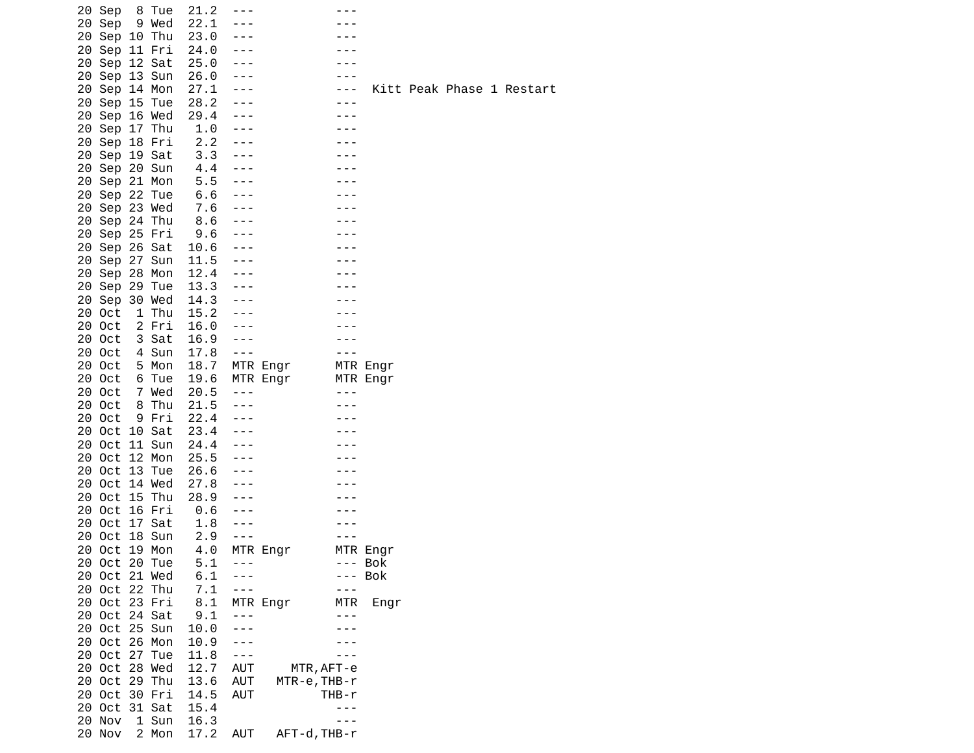| 20 Sep                         |    | 8 Tue  | 21.2       |                    |          |              |          |                 |
|--------------------------------|----|--------|------------|--------------------|----------|--------------|----------|-----------------|
| 20 Sep                         |    | 9 Wed  | 22.1       |                    |          |              |          |                 |
| 20 Sep                         |    | 10 Thu | 23.0       |                    |          |              |          |                 |
| 20 Sep                         |    | 11 Fri | 24.0       |                    |          |              |          |                 |
| 20 Sep                         |    | 12 Sat | 25.0       |                    |          |              |          |                 |
| 20 Sep 13 Sun                  |    |        | 26.0       | $- - -$            |          |              |          |                 |
| 20 Sep 14 Mon                  |    |        | 27.1       |                    |          |              |          | Kitt Peak Phase |
| 20 Sep 15 Tue                  |    |        | 28.2       | $- - -$            |          |              |          |                 |
| 20 Sep                         |    | 16 Wed | 29.4       | ---                |          |              |          |                 |
| 20 Sep                         |    | 17 Thu | 1.0        | $- - -$            |          |              |          |                 |
| 20 Sep 18 Fri                  |    |        | 2.2<br>3.3 | $- - -$<br>$- - -$ |          |              |          |                 |
| 20 Sep 19 Sat                  |    |        | 4.4        |                    |          |              |          |                 |
| 20 Sep 20 Sun                  |    |        | 5.5        | $- - -$<br>$- - -$ |          |              |          |                 |
| 20 Sep 21 Mon                  |    |        | 6.6        | $- - -$            |          |              |          |                 |
| 20 Sep 22 Tue<br>20 Sep 23 Wed |    |        | 7.6        | $- - -$            |          |              |          |                 |
| 20 Sep 24 Thu                  |    |        | 8.6        | $- - -$            |          |              |          |                 |
| 20 Sep 25 Fri                  |    |        | 9.6        | $- - -$            |          |              |          |                 |
| 20 Sep 26 Sat                  |    |        | 10.6       | $- - -$            |          |              |          |                 |
| 20 Sep                         |    | 27 Sun | 11.5       | $- - -$            |          |              |          |                 |
| 20 Sep 28 Mon                  |    |        | 12.4       | $- - -$            |          |              |          |                 |
| 20 Sep 29 Tue                  |    |        | 13.3       |                    |          |              |          |                 |
| 20 Sep 30 Wed                  |    |        | 14.3       |                    |          |              |          |                 |
| 20 Oct                         | 1  | Thu    | 15.2       | $- - -$            |          |              |          |                 |
| 20 Oct                         |    | 2 Fri  | 16.0       | $- - -$            |          |              |          |                 |
| 20 Oct                         |    | 3 Sat  | 16.9       | $- - -$            |          |              |          |                 |
| 20 Oct                         |    | 4 Sun  | 17.8       | $- - -$            |          |              |          |                 |
| 20 Oct                         |    | 5 Mon  | 18.7       |                    | MTR Engr |              | MTR Engr |                 |
| 20 Oct                         |    | 6 Tue  | 19.6       |                    | MTR Engr |              | MTR Engr |                 |
| 20 Oct                         |    | 7 Wed  | 20.5       | $- - -$            |          |              |          |                 |
| 20 Oct                         |    | 8 Thu  | 21.5       | $- - -$            |          |              |          |                 |
| 20 Oct                         |    | 9 Fri  | 22.4       |                    |          |              |          |                 |
| 20<br>Oct                      |    | 10 Sat | 23.4       |                    |          |              |          |                 |
| 20 Oct                         |    | 11 Sun | 24.4       | $- - -$            |          |              |          |                 |
| 20 Oct                         |    | 12 Mon | 25.5       | $- - -$            |          |              |          |                 |
| 20<br>Oct                      | 13 | Tue    | 26.6       | $- - -$            |          |              |          |                 |
| 20<br>Oct                      |    | 14 Wed | 27.8       |                    |          |              |          |                 |
| 20<br>Oct                      |    | 15 Thu | 28.9       |                    |          |              |          |                 |
| 20 Oct                         |    | 16 Fri | 0.6        |                    |          |              |          |                 |
| 20<br>Oct                      |    | 17 Sat | 1.8        |                    |          |              |          |                 |
| Oct<br>20                      |    | 18 Sun | 2.9        |                    |          |              |          |                 |
| 0ct<br>20                      |    | 19 Mon | 4.0        |                    | MTR Engr |              | MTR Engr |                 |
| 20 Oct 20 Tue                  |    |        | 5.1        |                    |          |              | --- Bok  |                 |
| 20 Oct 21 Wed                  |    |        | 6.1        |                    |          |              | Bok      |                 |
| 20 Oct 22 Thu                  |    |        | 7.1        | $- - -$            |          |              |          |                 |
| 20 Oct 23 Fri                  |    |        | 8.1        |                    | MTR Engr | MTR          | Engr     |                 |
| 20 Oct                         |    | 24 Sat | 9.1        | ---                |          |              |          |                 |
| 20 Oct                         |    | 25 Sun | 10.0       | - - -              |          |              |          |                 |
| 20 Oct                         |    | 26 Mon | 10.9       | - - -              |          |              |          |                 |
| 20 Oct                         | 27 | Tue    | 11.8       | $- - -$            |          |              |          |                 |
| 20<br>Oct                      |    | 28 Wed | 12.7       | <b>AUT</b>         |          | MTR, AFT-e   |          |                 |
| Oct<br>20                      |    | 29 Thu | 13.6       | AUT                |          | MTR-e, THB-r |          |                 |
| 20 Oct 30 Fri                  |    |        | 14.5       | AUT                |          | THB-r        |          |                 |
| 20 Oct                         |    | 31 Sat | 15.4       |                    |          |              |          |                 |
| 20<br>Nov                      |    | 1 Sun  | 16.3       |                    |          |              |          |                 |
| 20 Nov                         |    | 2 Mon  | 17.2       | AUT                |          | AFT-d, THB-r |          |                 |

1 Restart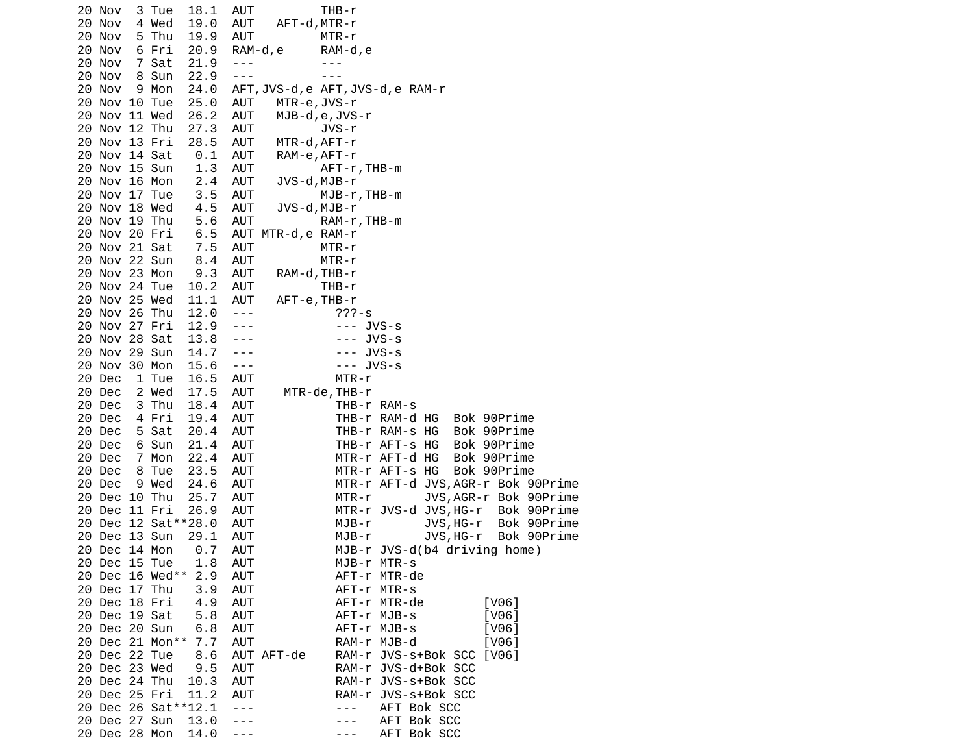| 20 Nov | 3 Tue                 | 18.1<br>AUT             |                    | THB-r                                                                                                                                                                                                                                                                                                                                                                                                       |
|--------|-----------------------|-------------------------|--------------------|-------------------------------------------------------------------------------------------------------------------------------------------------------------------------------------------------------------------------------------------------------------------------------------------------------------------------------------------------------------------------------------------------------------|
| 20 Nov | 4 Wed                 | AUT<br>19.0             | AFT-d,MTR-r        |                                                                                                                                                                                                                                                                                                                                                                                                             |
| 20 Nov | 5 Thu                 | AUT<br>19.9             |                    | MTR-r                                                                                                                                                                                                                                                                                                                                                                                                       |
| 20 Nov | 6 Fri                 | 20.9                    | RAM-d, e           | RAM-d, e                                                                                                                                                                                                                                                                                                                                                                                                    |
| 20 Nov | 7 Sat                 | 21.9<br>$- - -$         |                    | $- - -$                                                                                                                                                                                                                                                                                                                                                                                                     |
| 20 Nov | 8 Sun                 | 22.9<br>$- - -$         |                    | $- - -$                                                                                                                                                                                                                                                                                                                                                                                                     |
| 20 Nov | 9 Mon                 | 24.0                    |                    | AFT, JVS-d, e AFT, JVS-d, e RAM-r                                                                                                                                                                                                                                                                                                                                                                           |
|        | 20 Nov 10 Tue         | 25.0<br><b>AUT</b>      | MTR-e, JVS-r       |                                                                                                                                                                                                                                                                                                                                                                                                             |
|        | 20 Nov 11 Wed         | 26.2<br>AUT             |                    | MJB-d,e,JVS-r                                                                                                                                                                                                                                                                                                                                                                                               |
|        | 20 Nov 12 Thu         | 27.3<br>AUT             |                    | JVS-r                                                                                                                                                                                                                                                                                                                                                                                                       |
|        | 20 Nov 13 Fri         | 28.5<br>AUT             | MTR-d,AFT-r        |                                                                                                                                                                                                                                                                                                                                                                                                             |
|        | 20 Nov 14 Sat         | 0.1<br>AUT              | RAM-e,AFT-r        |                                                                                                                                                                                                                                                                                                                                                                                                             |
|        | 20 Nov 15 Sun         | 1.3<br>AUT              |                    | AFT-r, THB-m                                                                                                                                                                                                                                                                                                                                                                                                |
|        | 20 Nov 16 Mon         | 2.4<br>AUT              |                    | JVS-d, MJB-r                                                                                                                                                                                                                                                                                                                                                                                                |
|        | 20 Nov 17 Tue         | 3.5<br>AUT              |                    | MJB-r, THB-m                                                                                                                                                                                                                                                                                                                                                                                                |
|        | 20 Nov 18 Wed         | 4.5<br>AUT              | JVS-d,MJB-r        |                                                                                                                                                                                                                                                                                                                                                                                                             |
|        | 20 Nov 19 Thu         | 5.6<br>AUT              |                    | RAM-r, THB-m                                                                                                                                                                                                                                                                                                                                                                                                |
|        | 20 Nov 20 Fri         | 6.5                     | AUT MTR-d, e RAM-r |                                                                                                                                                                                                                                                                                                                                                                                                             |
|        | 20 Nov 21 Sat         | 7.5<br>AUT              |                    | MTR-r                                                                                                                                                                                                                                                                                                                                                                                                       |
|        | 20 Nov 22 Sun         | 8.4<br>AUT              |                    | MTR-r                                                                                                                                                                                                                                                                                                                                                                                                       |
|        | 20 Nov 23 Mon         | 9.3<br>AUT              | RAM-d, THB-r       |                                                                                                                                                                                                                                                                                                                                                                                                             |
|        | 20 Nov 24 Tue         | 10.2<br>AUT             |                    | THB-r                                                                                                                                                                                                                                                                                                                                                                                                       |
|        | 20 Nov 25 Wed         | 11.1<br>AUT             | AFT-e, THB-r       |                                                                                                                                                                                                                                                                                                                                                                                                             |
|        | 20 Nov 26 Thu         | 12.0<br>$\sim$ $ \sim$  |                    | $777 - S$                                                                                                                                                                                                                                                                                                                                                                                                   |
|        | 20 Nov 27 Fri         | 12.9<br>$  -$           |                    | --- JVS-s                                                                                                                                                                                                                                                                                                                                                                                                   |
|        | 20 Nov 28 Sat         | 13.8<br>$\sim$ $ \sim$  |                    | $---$ JVS-s                                                                                                                                                                                                                                                                                                                                                                                                 |
|        | 20 Nov 29 Sun         | 14.7<br>$\sim$ $ \sim$  |                    | $---$ JVS-S                                                                                                                                                                                                                                                                                                                                                                                                 |
|        | 20 Nov 30 Mon         | 15.6<br>$\sim$ $ \sim$  |                    | $--$ JVS-s                                                                                                                                                                                                                                                                                                                                                                                                  |
| 20 Dec | 1 Tue                 | AUT<br>16.5             |                    | MTR-r                                                                                                                                                                                                                                                                                                                                                                                                       |
| 20 Dec | 2 Wed                 | 17.5<br>AUT             |                    | MTR-de, THB-r                                                                                                                                                                                                                                                                                                                                                                                               |
| 20 Dec | 3 Thu                 | 18.4<br>AUT             |                    | THB-r RAM-s                                                                                                                                                                                                                                                                                                                                                                                                 |
| 20 Dec | 4 Fri                 | 19.4<br>AUT             |                    | THB-r RAM-d HG<br>Bok 90Prime                                                                                                                                                                                                                                                                                                                                                                               |
| 20 Dec | 5 Sat                 | 20.4<br>AUT             |                    | THB-r RAM-s HG<br>Bok 90Prime                                                                                                                                                                                                                                                                                                                                                                               |
| 20 Dec | 6 Sun                 | 21.4<br>AUT             |                    | THB-r AFT-s HG<br>Bok 90Prime                                                                                                                                                                                                                                                                                                                                                                               |
| 20 Dec | 7 Mon                 | 22.4<br>AUT             |                    | MTR-r AFT-d HG<br>Bok 90Prime                                                                                                                                                                                                                                                                                                                                                                               |
| 20 Dec | 8 Tue                 | 23.5<br>AUT             |                    | MTR-r AFT-s HG<br>Bok 90Prime                                                                                                                                                                                                                                                                                                                                                                               |
| 20 Dec | 9 Wed                 | 24.6<br>AUT             |                    | MTR-r AFT-d JVS, AGR-r Bok 90Prime                                                                                                                                                                                                                                                                                                                                                                          |
|        | 20 Dec 10 Thu         | 25.7<br>AUT             |                    | JVS, AGR-r Bok 90Prime<br>MTR-r                                                                                                                                                                                                                                                                                                                                                                             |
|        | 20 Dec 11 Fri         | 26.9<br>AUT             |                    | MTR-r JVS-d JVS, HG-r<br>Bok 90Prime                                                                                                                                                                                                                                                                                                                                                                        |
|        | 20 Dec 12 Sat ** 28.0 | AUT                     |                    | JVS, HG-r Bok 90Prime<br>MJB-r                                                                                                                                                                                                                                                                                                                                                                              |
|        | 20 Dec 13 Sun         | 29.1<br>AUT             |                    | MJB-r<br>JVS, HG-r Bok 90Prime                                                                                                                                                                                                                                                                                                                                                                              |
|        |                       | 20 Dec 14 Mon 0.7 AUT   |                    | MJB-r JVS-d(b4 driving home)                                                                                                                                                                                                                                                                                                                                                                                |
|        | 20 Dec 15 Tue         | 1.8 AUT                 |                    | MJB-r MTR-s                                                                                                                                                                                                                                                                                                                                                                                                 |
|        |                       | 20 Dec 16 Wed** 2.9 AUT |                    | AFT-r MTR-de                                                                                                                                                                                                                                                                                                                                                                                                |
|        | 20 Dec 17 Thu         | 3.9 AUT                 |                    | AFT-r MTR-s                                                                                                                                                                                                                                                                                                                                                                                                 |
|        | 20 Dec 18 Fri         | 4.9<br>AUT              |                    | [V06]<br>AFT-r MTR-de                                                                                                                                                                                                                                                                                                                                                                                       |
|        | 20 Dec 19 Sat         | 5.8<br><b>AUT</b>       |                    | AFT-r MJB-s<br>[V06]                                                                                                                                                                                                                                                                                                                                                                                        |
|        | 20 Dec 20 Sun         | 6.8<br>AUT              |                    | AFT-r MJB-s<br>[V06]                                                                                                                                                                                                                                                                                                                                                                                        |
|        | 20 Dec 21 Mon** 7.7   | AUT                     |                    | RAM-r MJB-d<br>[V06]                                                                                                                                                                                                                                                                                                                                                                                        |
|        | 20 Dec 22 Tue         | 8.6                     | AUT AFT-de         | RAM-r JVS-s+Bok SCC [V06]                                                                                                                                                                                                                                                                                                                                                                                   |
|        | 20 Dec 23 Wed         | 9.5<br>AUT              |                    | RAM-r JVS-d+Bok SCC                                                                                                                                                                                                                                                                                                                                                                                         |
|        | 20 Dec 24 Thu         | AUT<br>10.3             |                    | RAM-r JVS-s+Bok SCC                                                                                                                                                                                                                                                                                                                                                                                         |
|        | 20 Dec 25 Fri         | AUT<br>11.2             |                    | RAM-r JVS-s+Bok SCC                                                                                                                                                                                                                                                                                                                                                                                         |
|        | 20 Dec 26 Sat ** 12.1 | $\perp$ $\perp$ $\perp$ |                    | AFT Bok SCC<br>$\frac{1}{2} \frac{1}{2} \frac{1}{2} \frac{1}{2} \frac{1}{2} \frac{1}{2} \frac{1}{2} \frac{1}{2} \frac{1}{2} \frac{1}{2} \frac{1}{2} \frac{1}{2} \frac{1}{2} \frac{1}{2} \frac{1}{2} \frac{1}{2} \frac{1}{2} \frac{1}{2} \frac{1}{2} \frac{1}{2} \frac{1}{2} \frac{1}{2} \frac{1}{2} \frac{1}{2} \frac{1}{2} \frac{1}{2} \frac{1}{2} \frac{1}{2} \frac{1}{2} \frac{1}{2} \frac{1}{2} \frac{$ |
|        | 20 Dec 27 Sun         | 13.0<br>$- - -$         |                    | AFT Bok SCC<br>$- - -$                                                                                                                                                                                                                                                                                                                                                                                      |
|        | 20 Dec 28 Mon 14.0    | $  -$                   |                    | AFT Bok SCC<br>$- - -$                                                                                                                                                                                                                                                                                                                                                                                      |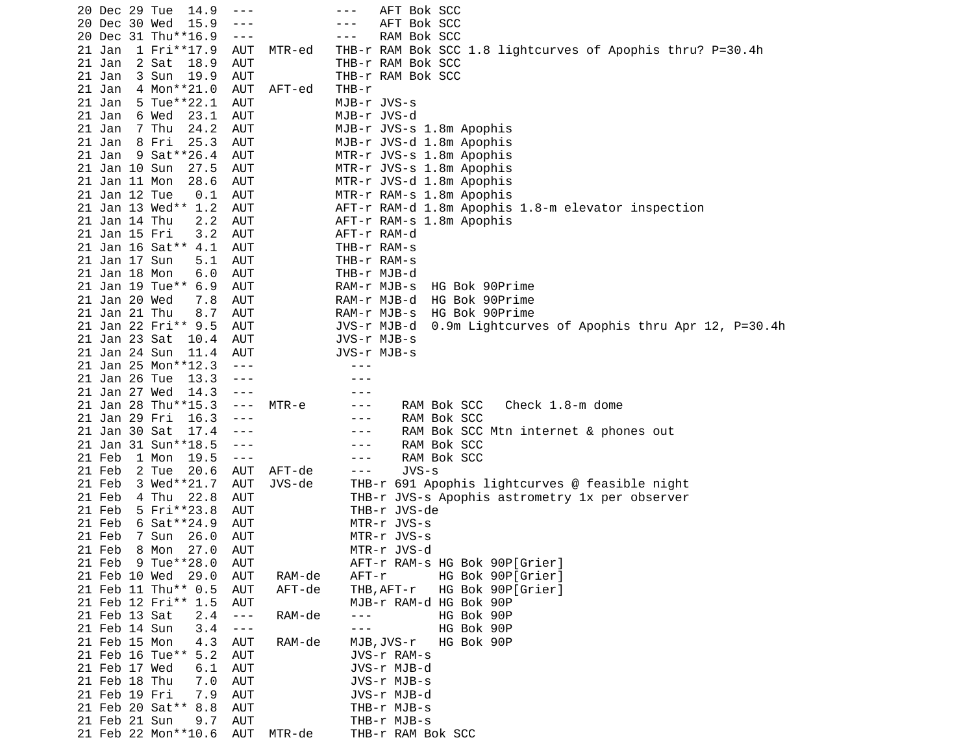|        | 20 Dec 29 Tue                  | 14.9                                      | $- - -$                  |        | AFT Bok SCC<br>- - -                                            |
|--------|--------------------------------|-------------------------------------------|--------------------------|--------|-----------------------------------------------------------------|
|        | 20 Dec 30 Wed                  | 15.9                                      | $- - -$                  |        | AFT Bok SCC<br>- - -                                            |
|        |                                | 20 Dec 31 Thu**16.9                       | $\sim$ $\sim$ $\sim$     |        | RAM Bok SCC<br>---                                              |
| 21 Jan |                                | 1 Fri**17.9                               | <b>AUT</b>               | MTR-ed | THB-r RAM Bok SCC 1.8 lightcurves of Apophis thru? P=30.4h      |
| 21 Jan |                                | 2 Sat<br>18.9                             | AUT                      |        | THB-r RAM Bok SCC                                               |
| 21 Jan |                                | 3 Sun<br>19.9                             | <b>AUT</b>               |        | THB-r RAM Bok SCC                                               |
| 21 Jan |                                | 4 Mon**21.0                               | AUT                      | AFT-ed | THB-r                                                           |
| 21 Jan |                                | 5 Tue**22.1                               | AUT                      |        | MJB-r JVS-s                                                     |
| 21 Jan |                                | 6 Wed<br>23.1                             | <b>AUT</b>               |        | MJB-r JVS-d                                                     |
| 21 Jan |                                | 7 Thu<br>24.2                             | AUT                      |        | MJB-r JVS-s 1.8m Apophis                                        |
| 21 Jan |                                | 8 Fri<br>25.3                             | <b>AUT</b>               |        | MJB-r JVS-d 1.8m Apophis                                        |
| 21 Jan |                                | 9 Sat**26.4                               | AUT                      |        | MTR-r JVS-s 1.8m Apophis                                        |
|        | 21 Jan 10 Sun                  | 27.5                                      | AUT                      |        | MTR-r JVS-s 1.8m Apophis                                        |
|        | 21 Jan 11 Mon                  | 28.6                                      | AUT                      |        | MTR-r JVS-d 1.8m Apophis                                        |
|        | 21 Jan 12 Tue                  | 0.1                                       | AUT                      |        | MTR-r RAM-s 1.8m Apophis                                        |
|        |                                | 21 Jan 13 Wed** 1.2                       | AUT                      |        | AFT-r RAM-d 1.8m Apophis 1.8-m elevator inspection              |
|        | 21 Jan 14 Thu                  | 2.2                                       | AUT                      |        | AFT-r RAM-s 1.8m Apophis                                        |
|        | 21 Jan 15 Fri                  | 3.2                                       | <b>AUT</b>               |        | AFT-r RAM-d                                                     |
|        |                                | 21 Jan 16 Sat** 4.1                       | AUT                      |        | THB-r RAM-s                                                     |
|        | 21 Jan 17 Sun                  | 5.1                                       | <b>AUT</b>               |        | THB-r RAM-s                                                     |
|        | 21 Jan 18 Mon                  | 6.0                                       | AUT                      |        | THB-r MJB-d                                                     |
|        |                                | 21 Jan 19 Tue** 6.9                       | AUT                      |        | RAM-r MJB-s<br>HG Bok 90Prime                                   |
|        | 21 Jan 20 Wed                  | 7.8                                       | AUT                      |        | RAM-r MJB-d<br>HG Bok 90Prime                                   |
|        | 21 Jan 21 Thu                  | 8.7                                       | AUT                      |        | RAM-r MJB-s<br>HG Bok 90Prime                                   |
|        |                                | 21 Jan 22 Fri** 9.5                       | AUT                      |        | 0.9m Lightcurves of Apophis thru Apr 12, P=30.4h<br>JVS-r MJB-d |
|        | 21 Jan 23 Sat                  | 10.4                                      | AUT                      |        | JVS-r MJB-s                                                     |
|        | 21 Jan 24 Sun                  | 11.4                                      | <b>AUT</b>               |        | JVS-r MJB-s                                                     |
|        |                                | 21 Jan 25 Mon**12.3                       | $- - -$                  |        |                                                                 |
|        | 21 Jan 26 Tue                  | 13.3                                      | $- - -$                  |        |                                                                 |
|        | 21 Jan 27 Wed                  | 14.3                                      | $- - -$                  |        |                                                                 |
|        |                                | 21 Jan 28 Thu**15.3                       | $- - -$                  | MTR-e  | RAM Bok SCC<br>Check 1.8-m dome<br>---                          |
|        | 21 Jan 29 Fri                  | 16.3                                      | $- - -$                  |        | RAM Bok SCC<br>$- - -$                                          |
|        | 21 Jan 30 Sat                  | 17.4                                      | $- - -$                  |        | RAM Bok SCC Mtn internet & phones out<br>$- - -$                |
|        |                                | 21 Jan 31 Sun**18.5                       | $- - -$                  |        | RAM Bok SCC<br>---                                              |
| 21 Feb |                                | 1 Mon<br>19.5                             | $  -$                    |        | RAM Bok SCC<br>---                                              |
| 21 Feb |                                | 2 Tue<br>20.6                             | AUT                      | AFT-de | $JVS-S$<br>$- - -$                                              |
| 21 Feb |                                | 3 Wed**21.7                               | <b>AUT</b>               | JVS-de | THB-r 691 Apophis lightcurves @ feasible night                  |
| 21 Feb |                                | 22.8<br>4 Thu                             | <b>AUT</b>               |        | THB-r JVS-s Apophis astrometry 1x per observer                  |
| 21 Feb |                                | 5 Fri**23.8                               | AUT                      |        | THB-r JVS-de                                                    |
| 21 Feb |                                | 6 Sat ** 24.9                             | AUT                      |        | MTR-r JVS-s                                                     |
| 21 Feb |                                | 7 Sun<br>26.0                             | <b>AUT</b>               |        | MTR-r JVS-s                                                     |
| 21 Feb |                                | 8 Mon<br>27.0                             | <b>AUT</b>               |        | MTR-r JVS-d                                                     |
|        |                                | 21 Feb 9 Tue**28.0                        | AUT                      |        | AFT-r RAM-s HG Bok 90P[Grier]                                   |
|        |                                | 21 Feb 10 Wed 29.0<br>21 Feb 11 Thu** 0.5 | <b>AUT</b>               | RAM-de | HG Bok 90P[Grier]<br>AFT-r                                      |
|        |                                | 21 Feb 12 Fri** 1.5                       | <b>AUT</b>               | AFT-de | HG Bok 90P[Grier]<br>THB, AFT-r                                 |
|        |                                |                                           | <b>AUT</b>               |        | MJB-r RAM-d HG Bok 90P<br>$- - -$                               |
|        | 21 Feb 13 Sat                  | 2.4                                       | $\sim$ $ \sim$           | RAM-de | HG Bok 90P                                                      |
|        | 21 Feb 14 Sun<br>21 Feb 15 Mon | 3.4                                       | $\sim$ $ \sim$           |        | HG Bok 90P<br>$- - -$                                           |
|        |                                | 4.3                                       | <b>AUT</b>               | RAM-de | MJB, JVS-r<br>HG Bok 90P                                        |
|        | 21 Feb 17 Wed                  | 21 Feb 16 Tue** 5.2<br>6.1                | <b>AUT</b><br><b>AUT</b> |        | JVS-r RAM-s<br>JVS-r MJB-d                                      |
|        | 21 Feb 18 Thu                  | 7.0                                       | <b>AUT</b>               |        | JVS-r MJB-s                                                     |
|        | 21 Feb 19 Fri                  | 7.9                                       | AUT                      |        | JVS-r MJB-d                                                     |
|        |                                | 21 Feb 20 Sat** 8.8                       | AUT                      |        | THB-r MJB-s                                                     |
|        | 21 Feb 21 Sun                  | 9.7                                       | <b>AUT</b>               |        | THB-r MJB-s                                                     |
|        |                                | 21 Feb 22 Mon**10.6                       | <b>AUT</b>               | MTR-de | THB-r RAM Bok SCC                                               |
|        |                                |                                           |                          |        |                                                                 |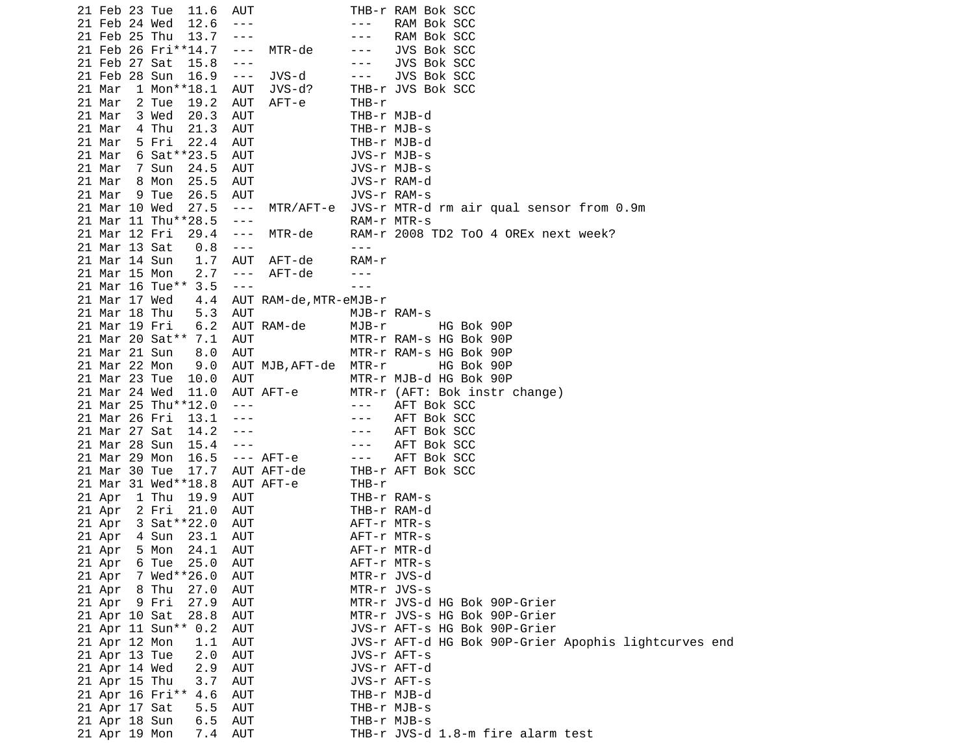|        | 21 Feb 23 Tue<br>11.6  | AUT                         | THB-r RAM Bok SCC                                    |
|--------|------------------------|-----------------------------|------------------------------------------------------|
|        | 12.6<br>21 Feb 24 Wed  | $- - -$                     | RAM Bok SCC<br>- - -                                 |
|        | 21 Feb 25 Thu<br>13.7  | $- - -$                     | RAM Bok SCC<br>- - -                                 |
|        | 21 Feb 26 Fri**14.7    | MTR-de<br>$- - -$           | JVS Bok SCC<br>- - -                                 |
|        | 21 Feb 27 Sat<br>15.8  | $- - -$                     | JVS Bok SCC<br>---                                   |
|        | 21 Feb 28 Sun<br>16.9  | JVS-d<br>$\sim$ $ -$        | JVS Bok SCC<br>$- - -$                               |
| 21 Mar |                        |                             | THB-r JVS Bok SCC                                    |
|        | $1$ Mon $*$ *18.1      | AUT<br>JVS-d?               |                                                      |
| 21 Mar | 2 Tue<br>19.2          | AUT<br>AFT-e                | THB-r                                                |
| 21 Mar | 3 Wed<br>20.3          | <b>AUT</b>                  | THB-r MJB-d                                          |
| 21 Mar | 21.3<br>4 Thu          | AUT                         | THB-r MJB-s                                          |
| 21 Mar | 5 Fri<br>22.4          | <b>AUT</b>                  | THB-r MJB-d                                          |
| 21 Mar | 6 Sat ** 23.5          | AUT                         | JVS-r MJB-s                                          |
| 21 Mar | 24.5<br>7 Sun          | <b>AUT</b>                  | JVS-r MJB-s                                          |
| 21 Mar | 25.5<br>8 Mon          | <b>AUT</b>                  | JVS-r RAM-d                                          |
| 21 Mar | 9 Tue<br>26.5          | AUT                         | JVS-r RAM-s                                          |
|        | 21 Mar 10 Wed<br>27.5  | MTR/AFT-e<br>$\sim$ $ \sim$ | JVS-r MTR-d rm air qual sensor from 0.9m             |
|        | 21 Mar 11 Thu**28.5    | $- - -$                     | RAM-r MTR-s                                          |
|        |                        |                             |                                                      |
|        | 21 Mar 12 Fri<br>29.4  | MTR-de<br>$  -$             | RAM-r 2008 TD2 ToO 4 OREx next week?                 |
|        | 21 Mar 13 Sat<br>0.8   | $- - -$                     | ---                                                  |
|        | 21 Mar 14 Sun<br>1.7   | AUT<br>AFT-de               | RAM-r                                                |
|        | 21 Mar 15 Mon<br>2.7   | AFT-de<br>$\sim$ $ \sim$    |                                                      |
|        | 3.5<br>21 Mar 16 Tue** | $- - -$                     | $- - -$                                              |
|        | 21 Mar 17 Wed<br>4.4   | AUT RAM-de, MTR-eMJB-r      |                                                      |
|        | 21 Mar 18 Thu<br>5.3   | <b>AUT</b>                  | MJB-r RAM-s                                          |
|        | 21 Mar 19 Fri<br>6.2   | AUT RAM-de                  | MJB-r<br>HG Bok 90P                                  |
|        | 21 Mar 20 Sat** 7.1    | AUT                         | MTR-r RAM-s HG Bok 90P                               |
|        | 21 Mar 21 Sun<br>8.0   | <b>AUT</b>                  | MTR-r RAM-s HG Bok 90P                               |
|        | 21 Mar 22 Mon<br>9.0   | AUT MJB, AFT-de             | MTR-r<br>HG Bok 90P                                  |
|        |                        |                             |                                                      |
|        | 21 Mar 23 Tue<br>10.0  | <b>AUT</b>                  | MTR-r MJB-d HG Bok 90P                               |
|        | 21 Mar 24 Wed<br>11.0  | AUT AFT-e                   | MTR-r (AFT: Bok instr change)                        |
|        | 21 Mar 25 Thu**12.0    | $- - -$                     | AFT Bok SCC<br>$- - -$                               |
|        | 21 Mar 26 Fri<br>13.1  | $- - -$                     | AFT Bok SCC<br>$- - -$                               |
|        | 21 Mar 27 Sat<br>14.2  | $- - -$                     | AFT Bok SCC<br>- - -                                 |
|        | 21 Mar 28 Sun<br>15.4  | $- - -$                     | AFT Bok SCC<br>$- - -$                               |
|        | 21 Mar 29 Mon<br>16.5  | $---$ AFT-e                 | AFT Bok SCC<br>$\sim$ $ -$                           |
|        | 17.7<br>21 Mar 30 Tue  | AUT AFT-de                  | THB-r AFT Bok SCC                                    |
|        | 21 Mar 31 Wed**18.8    | AUT AFT-e                   | THB-r                                                |
| 21 Apr | 1 Thu<br>19.9          | AUT                         | THB-r RAM-s                                          |
| 21 Apr | 2 Fri<br>21.0          | AUT                         | THB-r RAM-d                                          |
| 21 Apr | 3 Sat ** 22.0          | AUT                         | AFT-r MTR-s                                          |
|        | 23.1                   | <b>AUT</b>                  |                                                      |
| 21 Apr | 4 Sun                  |                             | AFT-r MTR-s                                          |
| 21 Apr | 24.1<br>5 Mon          | <b>AUT</b>                  | AFT-r MTR-d                                          |
| 21 Apr | 6 Tue 25.0             | AUT                         | AFT-r MTR-s                                          |
| 21 Apr | 7 Wed**26.0            | AUT                         | MTR-r JVS-d                                          |
| 21 Apr | 8 Thu<br>27.0          | AUT                         | MTR-r JVS-s                                          |
|        | 27.9<br>21 Apr 9 Fri   | <b>AUT</b>                  | MTR-r JVS-d HG Bok 90P-Grier                         |
|        | 21 Apr 10 Sat<br>28.8  | <b>AUT</b>                  | MTR-r JVS-s HG Bok 90P-Grier                         |
|        | 21 Apr 11 Sun** 0.2    | <b>AUT</b>                  | JVS-r AFT-s HG Bok 90P-Grier                         |
|        | 21 Apr 12 Mon<br>1.1   | AUT                         | JVS-r AFT-d HG Bok 90P-Grier Apophis lightcurves end |
|        | 21 Apr 13 Tue<br>2.0   | <b>AUT</b>                  | JVS-r AFT-s                                          |
|        | 21 Apr 14 Wed<br>2.9   | AUT                         | JVS-r AFT-d                                          |
|        | 21 Apr 15 Thu<br>3.7   | <b>AUT</b>                  | JVS-r AFT-s                                          |
|        | 21 Apr 16 Fri**<br>4.6 | AUT                         | THB-r MJB-d                                          |
|        |                        |                             |                                                      |
|        | 21 Apr 17 Sat<br>5.5   | <b>AUT</b>                  | THB-r MJB-s                                          |
|        | 21 Apr 18 Sun<br>6.5   | AUT                         | THB-r MJB-s                                          |
|        | 21 Apr 19 Mon<br>7.4   | <b>AUT</b>                  | THB-r JVS-d 1.8-m fire alarm test                    |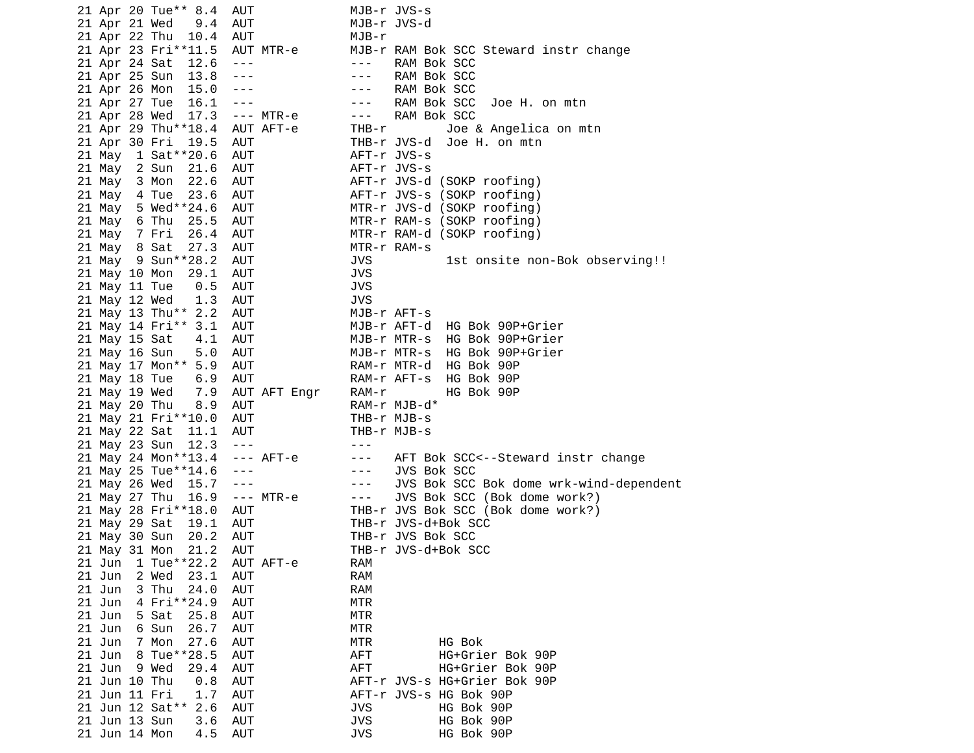| 21 Apr 20 Tue** 8.4   | AUT                          |                                                                                                                                                                                                                                                                                                                                                                                              | MJB-r JVS-s                             |
|-----------------------|------------------------------|----------------------------------------------------------------------------------------------------------------------------------------------------------------------------------------------------------------------------------------------------------------------------------------------------------------------------------------------------------------------------------------------|-----------------------------------------|
| 21 Apr 21 Wed         | 9.4<br>AUT                   |                                                                                                                                                                                                                                                                                                                                                                                              | MJB-r JVS-d                             |
| 21 Apr 22 Thu         | 10.4<br>AUT                  | MJB-r                                                                                                                                                                                                                                                                                                                                                                                        |                                         |
| 21 Apr 23 Fri**11.5   |                              | AUT MTR-e                                                                                                                                                                                                                                                                                                                                                                                    | MJB-r RAM Bok SCC Steward instr change  |
|                       |                              | $- - - -$                                                                                                                                                                                                                                                                                                                                                                                    |                                         |
| 21 Apr 24 Sat         | 12.6<br>$\sim$ $ \sim$       |                                                                                                                                                                                                                                                                                                                                                                                              | RAM Bok SCC                             |
| 21 Apr 25 Sun         | 13.8<br>$\sim$ $\sim$ $\sim$ | $\sim$ $ \sim$                                                                                                                                                                                                                                                                                                                                                                               | RAM Bok SCC                             |
| 21 Apr 26 Mon         | 15.0<br>$\sim$ $ -$          | $- - -$                                                                                                                                                                                                                                                                                                                                                                                      | RAM Bok SCC                             |
| 21 Apr 27 Tue         | 16.1<br>$\sim$ $ \sim$       | $\sim$ $ -$                                                                                                                                                                                                                                                                                                                                                                                  | RAM Bok SCC<br>Joe H. on mtn            |
| 21 Apr 28 Wed         | 17.3                         | --- MTR-e<br>$- - - -$                                                                                                                                                                                                                                                                                                                                                                       | RAM Bok SCC                             |
| 21 Apr 29 Thu**18.4   |                              | AUT AFT-e<br>THB-r                                                                                                                                                                                                                                                                                                                                                                           | Joe & Angelica on mtn                   |
| 21 Apr 30 Fri         | 19.5<br>AUT                  |                                                                                                                                                                                                                                                                                                                                                                                              | THB-r JVS-d<br>Joe H. on mtn            |
| 21 May 1 Sat ** 20.6  | AUT                          |                                                                                                                                                                                                                                                                                                                                                                                              | AFT-r JVS-s                             |
| 21 May 2 Sun          | AUT<br>21.6                  |                                                                                                                                                                                                                                                                                                                                                                                              | AFT-r JVS-s                             |
|                       |                              |                                                                                                                                                                                                                                                                                                                                                                                              |                                         |
| 21 May 3 Mon          | 22.6<br>AUT                  |                                                                                                                                                                                                                                                                                                                                                                                              | AFT-r JVS-d (SOKP roofing)              |
| 21 May 4 Tue          | 23.6<br>AUT                  |                                                                                                                                                                                                                                                                                                                                                                                              | AFT-r JVS-s (SOKP roofing)              |
| 5 Wed**24.6<br>21 May | AUT                          |                                                                                                                                                                                                                                                                                                                                                                                              | MTR-r JVS-d (SOKP roofing)              |
| 6 Thu<br>21 May       | 25.5<br>AUT                  |                                                                                                                                                                                                                                                                                                                                                                                              | MTR-r RAM-s (SOKP roofing)              |
| 21 May 7 Fri          | 26.4<br>AUT                  |                                                                                                                                                                                                                                                                                                                                                                                              | MTR-r RAM-d (SOKP roofing)              |
| 21 May 8 Sat          | 27.3<br>AUT                  |                                                                                                                                                                                                                                                                                                                                                                                              | MTR-r RAM-s                             |
| 21 May 9 Sun**28.2    | AUT                          | <b>JVS</b>                                                                                                                                                                                                                                                                                                                                                                                   | 1st onsite non-Bok observing!!          |
| 21 May 10 Mon         | 29.1<br>AUT                  | <b>JVS</b>                                                                                                                                                                                                                                                                                                                                                                                   |                                         |
| 21 May 11 Tue         | AUT<br>0.5                   | <b>JVS</b>                                                                                                                                                                                                                                                                                                                                                                                   |                                         |
|                       |                              |                                                                                                                                                                                                                                                                                                                                                                                              |                                         |
| 21 May 12 Wed         | 1.3<br>AUT                   | <b>JVS</b>                                                                                                                                                                                                                                                                                                                                                                                   |                                         |
| 21 May 13 Thu** 2.2   | AUT                          |                                                                                                                                                                                                                                                                                                                                                                                              | MJB-r AFT-s                             |
| 21 May 14 Fri** 3.1   | AUT                          |                                                                                                                                                                                                                                                                                                                                                                                              | MJB-r AFT-d HG Bok 90P+Grier            |
| 21 May 15 Sat         | 4.1<br>AUT                   |                                                                                                                                                                                                                                                                                                                                                                                              | MJB-r MTR-s HG Bok 90P+Grier            |
| 21 May 16 Sun         | 5.0<br>AUT                   |                                                                                                                                                                                                                                                                                                                                                                                              | MJB-r MTR-s HG Bok 90P+Grier            |
| 21 May 17 Mon** 5.9   | AUT                          |                                                                                                                                                                                                                                                                                                                                                                                              | RAM-r MTR-d HG Bok 90P                  |
| 21 May 18 Tue         | AUT<br>6.9                   |                                                                                                                                                                                                                                                                                                                                                                                              | RAM-r AFT-s<br>HG Bok 90P               |
| 21 May 19 Wed         | 7.9                          | AUT AFT Engr<br>RAM-r                                                                                                                                                                                                                                                                                                                                                                        | HG Bok 90P                              |
| 21 May 20 Thu         | 8.9<br>AUT                   |                                                                                                                                                                                                                                                                                                                                                                                              | RAM-r MJB-d*                            |
| 21 May 21 Fri**10.0   |                              |                                                                                                                                                                                                                                                                                                                                                                                              |                                         |
|                       | AUT                          |                                                                                                                                                                                                                                                                                                                                                                                              | THB-r MJB-s                             |
| 21 May 22 Sat         | 11.1<br>AUT                  |                                                                                                                                                                                                                                                                                                                                                                                              | THB-r MJB-s                             |
| 21 May 23 Sun         | 12.3<br>$\sim$ $\sim$ $\sim$ | $\frac{1}{2} \frac{1}{2} \frac{1}{2} \frac{1}{2} \frac{1}{2} \frac{1}{2} \frac{1}{2} \frac{1}{2} \frac{1}{2} \frac{1}{2} \frac{1}{2} \frac{1}{2} \frac{1}{2} \frac{1}{2} \frac{1}{2} \frac{1}{2} \frac{1}{2} \frac{1}{2} \frac{1}{2} \frac{1}{2} \frac{1}{2} \frac{1}{2} \frac{1}{2} \frac{1}{2} \frac{1}{2} \frac{1}{2} \frac{1}{2} \frac{1}{2} \frac{1}{2} \frac{1}{2} \frac{1}{2} \frac{$ |                                         |
| 21 May 24 Mon**13.4   |                              | $---$ AFT-e<br>$- - -$                                                                                                                                                                                                                                                                                                                                                                       | AFT Bok SCC<--Steward instr change      |
| 21 May 25 Tue**14.6   | $  -$                        | $\sim$ $ -$                                                                                                                                                                                                                                                                                                                                                                                  | JVS Bok SCC                             |
| 21 May 26 Wed         | 15.7<br>$\sim$ $ \sim$       | $\sim$ $\sim$ $\sim$                                                                                                                                                                                                                                                                                                                                                                         | JVS Bok SCC Bok dome wrk-wind-dependent |
| 21 May 27 Thu         | 16.9                         | --- MTR-e<br>$\sim$ $ -$                                                                                                                                                                                                                                                                                                                                                                     | JVS Bok SCC (Bok dome work?)            |
| 21 May 28 Fri**18.0   | AUT                          |                                                                                                                                                                                                                                                                                                                                                                                              | THB-r JVS Bok SCC (Bok dome work?)      |
| 21 May 29 Sat         | 19.1<br>AUT                  |                                                                                                                                                                                                                                                                                                                                                                                              | THB-r JVS-d+Bok SCC                     |
| 21 May 30 Sun         | 20.2<br>AUT                  |                                                                                                                                                                                                                                                                                                                                                                                              | THB-r JVS Bok SCC                       |
|                       |                              |                                                                                                                                                                                                                                                                                                                                                                                              |                                         |
| 21 May 31 Mon         | 21.2<br>AUT                  |                                                                                                                                                                                                                                                                                                                                                                                              | THB-r JVS-d+Bok SCC                     |
| 1 Tue**22.2<br>21 Jun |                              | RAM<br>AUT AFT-e                                                                                                                                                                                                                                                                                                                                                                             |                                         |
| 21 Jun<br>2 Wed       | 23.1<br><b>AUT</b>           | <b>RAM</b>                                                                                                                                                                                                                                                                                                                                                                                   |                                         |
| 3 Thu<br>21 Jun       | <b>AUT</b><br>24.0           | RAM                                                                                                                                                                                                                                                                                                                                                                                          |                                         |
| 21 Jun<br>4 Fri**24.9 | AUT                          | <b>MTR</b>                                                                                                                                                                                                                                                                                                                                                                                   |                                         |
| 21 Jun<br>5 Sat       | 25.8<br><b>AUT</b>           | <b>MTR</b>                                                                                                                                                                                                                                                                                                                                                                                   |                                         |
| 21 Jun<br>6 Sun       | 26.7<br><b>AUT</b>           | <b>MTR</b>                                                                                                                                                                                                                                                                                                                                                                                   |                                         |
| 21 Jun<br>7 Mon       | 27.6<br><b>AUT</b>           | <b>MTR</b>                                                                                                                                                                                                                                                                                                                                                                                   | HG Bok                                  |
| 8 Tue**28.5<br>21 Jun | <b>AUT</b>                   | <b>AFT</b>                                                                                                                                                                                                                                                                                                                                                                                   | HG+Grier Bok 90P                        |
| 21 Jun<br>9 Wed       | AUT                          | <b>AFT</b>                                                                                                                                                                                                                                                                                                                                                                                   |                                         |
|                       | 29.4                         |                                                                                                                                                                                                                                                                                                                                                                                              | HG+Grier Bok 90P                        |
| 21 Jun 10 Thu         | AUT<br>0.8                   |                                                                                                                                                                                                                                                                                                                                                                                              | AFT-r JVS-s HG+Grier Bok 90P            |
| 21 Jun 11 Fri         | 1.7<br>AUT                   |                                                                                                                                                                                                                                                                                                                                                                                              | AFT-r JVS-s HG Bok 90P                  |
| 21 Jun 12 Sat** 2.6   | AUT                          | <b>JVS</b>                                                                                                                                                                                                                                                                                                                                                                                   | HG Bok 90P                              |
| 21 Jun 13 Sun         | 3.6<br>AUT                   | <b>JVS</b>                                                                                                                                                                                                                                                                                                                                                                                   | HG Bok 90P                              |
| 21 Jun 14 Mon         | 4.5<br>AUT                   | <b>JVS</b>                                                                                                                                                                                                                                                                                                                                                                                   | HG Bok 90P                              |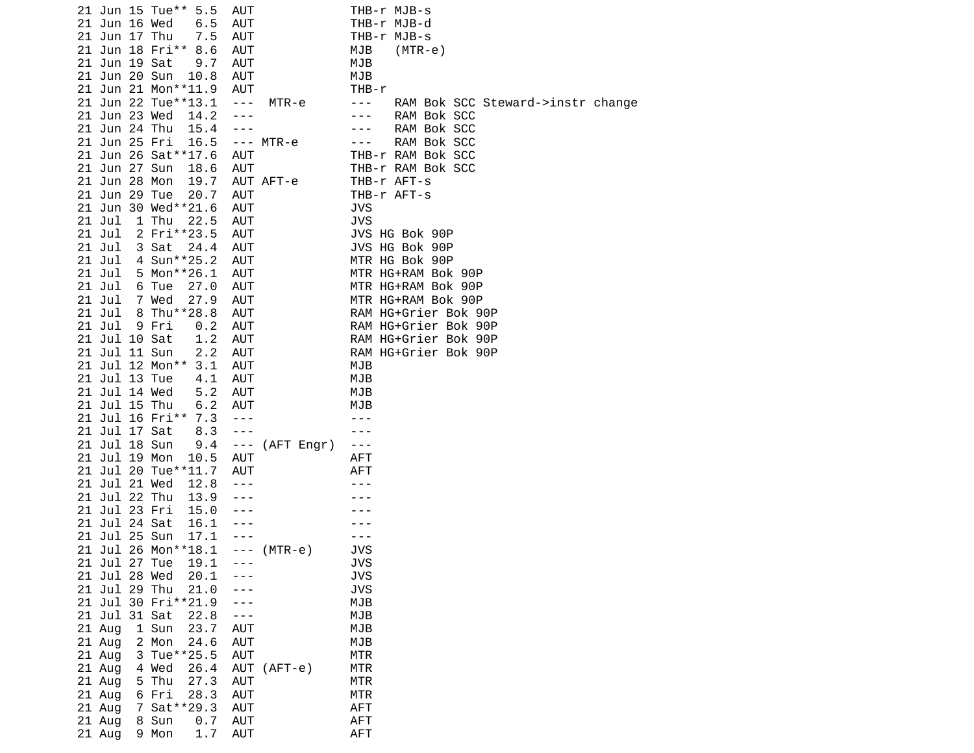| 21 Jun 15 Tue** 5.5       | AUT                     | THB-r MJB-s                                  |
|---------------------------|-------------------------|----------------------------------------------|
| 21 Jun 16 Wed<br>6.5      | AUT                     | THB-r MJB-d                                  |
| 21 Jun 17 Thu<br>7.5      | <b>AUT</b>              | THB-r MJB-s                                  |
| 21 Jun 18 Fri** 8.6       | <b>AUT</b>              | MJB<br>$(MTR-e)$                             |
| 21 Jun 19 Sat<br>9.7      | <b>AUT</b>              | MJB                                          |
| 21 Jun 20 Sun<br>10.8     | <b>AUT</b>              | MJB                                          |
| 21 Jun 21 Mon**11.9       | AUT                     | THB-r                                        |
|                           |                         |                                              |
| 21 Jun 22 Tue**13.1       | $\sim$ $ \sim$<br>MTR-e | RAM Bok SCC Steward->instr change<br>$- - -$ |
| 21 Jun 23 Wed<br>14.2     | $- - -$                 | RAM Bok SCC<br>$- - -$                       |
| 21 Jun 24 Thu<br>15.4     | $- - -$                 | RAM Bok SCC<br>- - -                         |
| 21 Jun 25 Fri<br>16.5     | $--- MTR-e$             | RAM Bok SCC<br>$- - -$                       |
| 21 Jun 26 Sat ** 17.6     | AUT                     | THB-r RAM Bok SCC                            |
| 21 Jun 27 Sun<br>18.6     | <b>AUT</b>              | THB-r RAM Bok SCC                            |
| 21 Jun 28 Mon<br>19.7     | AUT AFT-e               | THB-r AFT-s                                  |
| 21 Jun 29 Tue<br>20.7     | <b>AUT</b>              | THB-r AFT-s                                  |
| 21 Jun 30 Wed**21.6       | AUT                     | JVS                                          |
| $21$ Jul<br>1 Thu<br>22.5 | <b>AUT</b>              | <b>JVS</b>                                   |
| 2 Fri**23.5<br>$21$ Jul   | <b>AUT</b>              | JVS HG Bok 90P                               |
| $21$ Jul<br>3 Sat<br>24.4 | <b>AUT</b>              | JVS HG Bok 90P                               |
| 4 Sun**25.2<br>21 Jul     | <b>AUT</b>              | MTR HG Bok 90P                               |
| 5 Mon**26.1<br>$21$ Jul   | AUT                     | MTR HG+RAM Bok 90P                           |
| $21$ Jul<br>6 Tue<br>27.0 | <b>AUT</b>              | MTR HG+RAM Bok 90P                           |
| $21$ Jul<br>7 Wed<br>27.9 | AUT                     | MTR HG+RAM Bok 90P                           |
| $21$ Jul<br>8 Thu**28.8   | <b>AUT</b>              | RAM HG+Grier Bok 90P                         |
|                           |                         |                                              |
| $21$ Jul<br>9 Fri<br>0.2  | AUT                     | RAM HG+Grier Bok 90P                         |
| 21 Jul 10 Sat<br>1.2      | AUT                     | RAM HG+Grier Bok 90P                         |
| 21 Jul 11 Sun<br>2.2      | <b>AUT</b>              | RAM HG+Grier Bok 90P                         |
| 21 Jul 12 Mon** 3.1       | <b>AUT</b>              | MJB                                          |
| 21 Jul 13 Tue<br>4.1      | <b>AUT</b>              | MJB                                          |
| 21 Jul 14 Wed<br>5.2      | AUT                     | MJB                                          |
| 21 Jul 15 Thu<br>6.2      | <b>AUT</b>              | MJB                                          |
| 21 Jul 16 Fri** 7.3       | $\sim$ $\sim$ $\sim$    |                                              |
| 21 Jul 17 Sat<br>8.3      | $\sim$ $ \sim$          |                                              |
| 21 Jul 18 Sun<br>9.4      | $--- (AFT Engr)$        | ---                                          |
| 21 Jul 19 Mon<br>10.5     | AUT                     | AFT                                          |
| 21 Jul 20 Tue**11.7       | <b>AUT</b>              | <b>AFT</b>                                   |
| 21 Jul 21 Wed<br>12.8     | $- - -$                 |                                              |
| 21 Jul 22 Thu<br>13.9     | $- - -$                 |                                              |
| 21 Jul 23 Fri<br>15.0     | $- - -$                 |                                              |
| 21 Jul 24 Sat<br>16.1     | $- - -$                 |                                              |
| 21 Jul 25 Sun<br>17.1     | $- - -$                 |                                              |
| 21 Jul 26 Mon**18.1       | $--- (MTR-e)$           | JVS                                          |
| 21 Jul 27 Tue<br>19.1     |                         | <b>JVS</b>                                   |
| 21 Jul 28 Wed             |                         |                                              |
| 20.1                      |                         | <b>JVS</b>                                   |
| 21 Jul 29 Thu<br>21.0     |                         | <b>JVS</b>                                   |
| 21 Jul 30 Fri**21.9       |                         | MJB                                          |
| 21 Jul 31 Sat<br>22.8     | - - -                   | MJB                                          |
| 1 Sun<br>23.7<br>21 Aug   | <b>AUT</b>              | <b>MJB</b>                                   |
| 21 Aug<br>2 Mon<br>24.6   | AUT                     | MJB                                          |
| 3 Tue**25.5<br>21 Aug     | <b>AUT</b>              | <b>MTR</b>                                   |
| 21 Aug<br>4 Wed<br>26.4   | AUT<br>$(AFT-e)$        | <b>MTR</b>                                   |
| 5 Thu<br>21 Aug<br>27.3   | <b>AUT</b>              | <b>MTR</b>                                   |
| 6 Fri<br>21 Aug<br>28.3   | <b>AUT</b>              | MTR                                          |
| 7 Sat * * 29.3<br>21 Aug  | <b>AUT</b>              | <b>AFT</b>                                   |
| 21 Aug<br>8 Sun<br>0.7    | <b>AUT</b>              | <b>AFT</b>                                   |
| 21 Aug<br>1.7<br>9 Mon    | AUT                     | <b>AFT</b>                                   |
|                           |                         |                                              |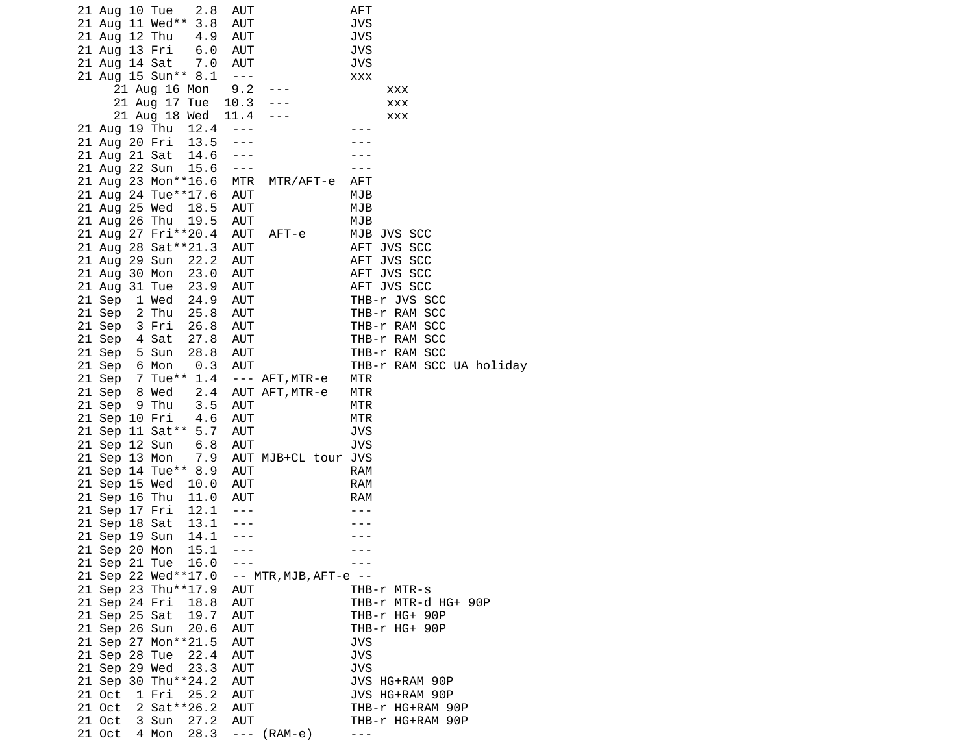| 2.8<br>21 Aug 10 Tue                           | AUT                      |                           | AFT                                  |
|------------------------------------------------|--------------------------|---------------------------|--------------------------------------|
| 21 Aug 11 Wed** 3.8                            | <b>AUT</b>               |                           | <b>JVS</b>                           |
| 21 Aug 12 Thu<br>4.9                           | AUT                      |                           | JVS                                  |
| 6.0<br>21 Aug 13 Fri                           | <b>AUT</b>               |                           | JVS                                  |
| 21 Aug 14 Sat<br>7.0                           | <b>AUT</b>               |                           | JVS                                  |
| 21 Aug 15 Sun** 8.1                            | $\sim$ $ \sim$           |                           | <b>XXX</b>                           |
| 21 Aug 16 Mon                                  | 9.2                      |                           | XXX                                  |
| 21 Aug 17 Tue                                  | 10.3                     |                           | XXX                                  |
| 21 Aug 18 Wed                                  | 11.4                     |                           | XXX                                  |
| 21 Aug 19 Thu 12.4                             | $- - -$                  |                           |                                      |
| 13.5<br>21 Aug 20 Fri                          | $- - -$                  |                           |                                      |
| 21 Aug 21 Sat<br>14.6                          |                          |                           |                                      |
| 15.6<br>21 Aug 22 Sun                          | $\sim$ $\sim$ $\sim$     |                           |                                      |
| 21 Aug 23 Mon**16.6                            | MTR                      | MTR/AFT-e                 | <b>AFT</b>                           |
| 21 Aug 24 Tue**17.6                            | AUT                      |                           | MJB                                  |
| 21 Aug 25 Wed<br>18.5                          | AUT                      |                           | MJB                                  |
| 21 Aug 26 Thu<br>19.5                          | AUT                      |                           | MJB                                  |
| 21 Aug 27 Fri**20.4                            | AUT                      | AFT-e                     | MJB JVS SCC                          |
| 21 Aug 28 Sat**21.3                            | AUT                      |                           | AFT JVS SCC                          |
| 22.2<br>21 Aug 29 Sun                          | <b>AUT</b>               |                           | AFT JVS SCC                          |
| 21 Aug 30 Mon<br>23.0                          | <b>AUT</b>               |                           | AFT JVS SCC                          |
| 21 Aug 31 Tue<br>23.9                          | <b>AUT</b>               |                           | AFT JVS SCC                          |
| 21 Sep<br>1 Wed<br>24.9                        | <b>AUT</b>               |                           | THB-r JVS SCC                        |
| 2 Thu<br>21 Sep<br>25.8                        | AUT                      |                           | THB-r RAM SCC                        |
| 21 Sep<br>3 Fri<br>26.8                        | AUT                      |                           | THB-r RAM SCC                        |
| 21 Sep<br>4 Sat<br>27.8                        | AUT                      |                           | THB-r RAM SCC                        |
| 21 Sep<br>5 Sun<br>28.8                        | <b>AUT</b>               |                           | THB-r RAM SCC                        |
| 0.3<br>21 Sep<br>6 Mon                         | <b>AUT</b>               |                           | THB-r RAM SCC UA holiday             |
| 7 Tue** 1.4<br>21 Sep                          |                          | --- AFT,MTR-e             | MTR                                  |
| 2.4<br>21 Sep<br>8 Wed                         |                          | AUT AFT, MTR-e            | MTR                                  |
| 9 Thu<br>3.5<br>21 Sep                         | <b>AUT</b>               |                           | MTR                                  |
| 4.6<br>21 Sep 10 Fri                           | <b>AUT</b>               |                           | MTR                                  |
| 21 Sep 11 Sat** 5.7                            | AUT                      |                           | JVS                                  |
| 21 Sep 12 Sun<br>6.8                           | <b>AUT</b>               |                           | JVS                                  |
| 21 Sep 13 Mon<br>7.9                           |                          | AUT MJB+CL tour           | JVS                                  |
| 21 Sep 14 Tue** 8.9                            | <b>AUT</b>               |                           | <b>RAM</b>                           |
| 21 Sep 15 Wed<br>10.0                          | AUT                      |                           | <b>RAM</b>                           |
| 21 Sep 16 Thu<br>11.0                          | AUT                      |                           | <b>RAM</b>                           |
| 12.1<br>21 Sep 17 Fri                          | $  -$                    |                           |                                      |
| 13.1<br>21 Sep 18 Sat                          |                          |                           |                                      |
| 14.1<br>21 Sep 19 Sun                          |                          |                           |                                      |
| 15.1<br>21 Sep 20 Mon                          | $- - -$                  |                           |                                      |
| 21 Sep 21 Tue<br>16.0                          | $  -$                    |                           |                                      |
| 21 Sep 22 Wed**17.0                            |                          | $--$ MTR, MJB, AFT-e $--$ |                                      |
| 21 Sep 23 Thu**17.9                            | AUT                      |                           | THB-r MTR-s                          |
| 21 Sep 24 Fri<br>18.8                          | AUT                      |                           | THB-r MTR-d HG+ 90P                  |
| 21 Sep 25 Sat<br>19.7                          | AUT                      |                           | THB-r HG+ 90P                        |
| 21 Sep 26 Sun<br>20.6                          | <b>AUT</b>               |                           | THB-r HG+ 90P                        |
| 21 Sep 27 Mon**21.5                            | AUT                      |                           | JVS                                  |
| 21 Sep 28 Tue<br>22.4<br>21 Sep 29 Wed<br>23.3 | <b>AUT</b><br><b>AUT</b> |                           | <b>JVS</b><br><b>JVS</b>             |
| 21 Sep 30 Thu**24.2                            | <b>AUT</b>               |                           | JVS HG+RAM 90P                       |
| 21 Oct<br>1 Fri<br>25.2                        | <b>AUT</b>               |                           |                                      |
| 21 Oct 2 Sat ** 26.2                           | <b>AUT</b>               |                           | JVS HG+RAM 90P                       |
| 21 Oct<br>3 Sun<br>27.2                        | <b>AUT</b>               |                           | THB-r HG+RAM 90P<br>THB-r HG+RAM 90P |
| 21 Oct<br>4 Mon<br>28.3                        | $\sim$ $ -$              | $(RAM-e)$                 | - - -                                |
|                                                |                          |                           |                                      |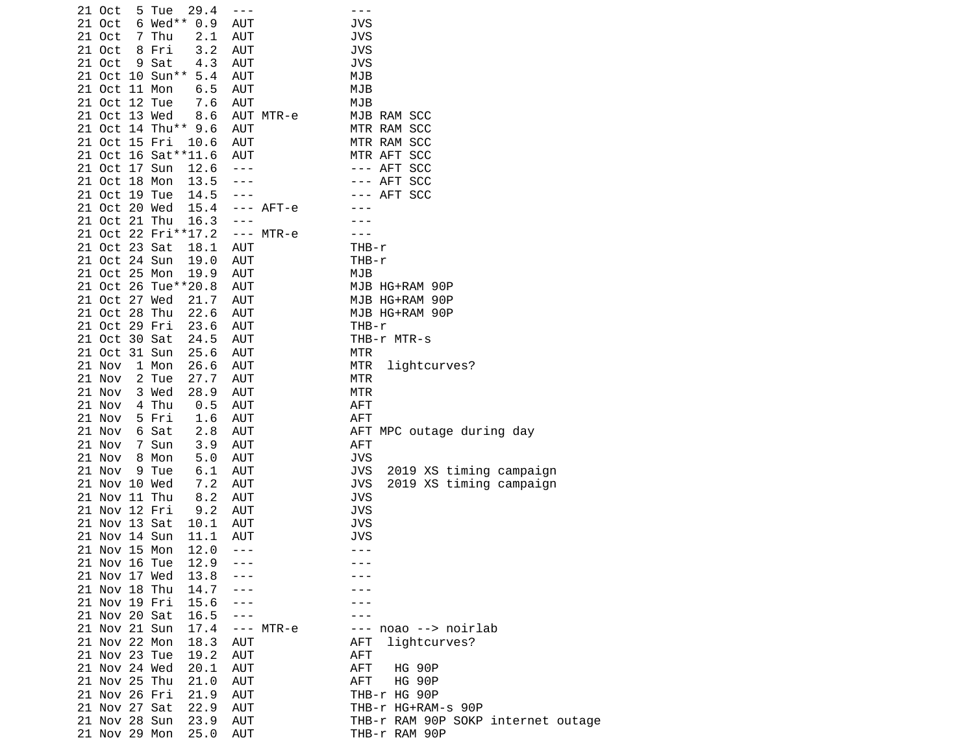| 21 Oct        | 5 Tue | 29.4                  | $- - -$       |             | ---                                   |
|---------------|-------|-----------------------|---------------|-------------|---------------------------------------|
| 21 Oct        |       | 6 Wed** 0.9           | <b>AUT</b>    |             | JVS                                   |
| 21 Oct        | 7 Thu | 2.1                   | <b>AUT</b>    |             | <b>JVS</b>                            |
| 21 Oct        | 8 Fri | 3.2                   | <b>AUT</b>    |             | <b>JVS</b>                            |
| 21 Oct        | 9 Sat | 4.3                   | AUT           |             | <b>JVS</b>                            |
|               |       |                       |               |             |                                       |
|               |       | 21 Oct 10 Sun** 5.4   | <b>AUT</b>    |             | MJB                                   |
| 21 Oct 11 Mon |       | 6.5                   | <b>AUT</b>    |             | MJB                                   |
| 21 Oct 12 Tue |       | 7.6                   | <b>AUT</b>    |             | MJB                                   |
| 21 Oct 13 Wed |       | 8.6                   |               | AUT MTR-e   | MJB RAM SCC                           |
|               |       | 21 Oct 14 Thu** 9.6   | <b>AUT</b>    |             | MTR RAM SCC                           |
| 21 Oct 15 Fri |       | 10.6                  | <b>AUT</b>    |             | MTR RAM SCC                           |
|               |       | 21 Oct 16 Sat ** 11.6 | AUT           |             | MTR AFT SCC                           |
| 21 Oct 17 Sun |       | 12.6                  | $  -$         |             | --- AFT SCC                           |
| 21 Oct 18 Mon |       | 13.5                  |               |             | --- AFT SCC                           |
|               |       |                       |               |             |                                       |
| 21 Oct 19 Tue |       | 14.5                  |               |             | --- AFT SCC                           |
| 21 Oct 20 Wed |       | 15.4                  |               | $---$ AFT-e |                                       |
| 21 Oct 21 Thu |       | 16.3                  | $\frac{1}{2}$ |             |                                       |
|               |       | 21 Oct 22 Fri**17.2   |               | $--- MTR-e$ |                                       |
| 21 Oct 23 Sat |       | 18.1                  | AUT           |             | THB-r                                 |
| 21 Oct 24 Sun |       | 19.0                  | <b>AUT</b>    |             | $THB-r$                               |
| 21 Oct 25 Mon |       | 19.9                  | AUT           |             | MJB                                   |
|               |       | 21 Oct 26 Tue**20.8   | <b>AUT</b>    |             | MJB HG+RAM 90P                        |
| 21 Oct 27 Wed |       | 21.7                  | AUT           |             | MJB HG+RAM 90P                        |
|               |       |                       |               |             |                                       |
| 21 Oct 28 Thu |       | 22.6                  | AUT           |             | MJB HG+RAM 90P                        |
| 21 Oct 29 Fri |       | 23.6                  | <b>AUT</b>    |             | $THB-r$                               |
| 21 Oct 30 Sat |       | 24.5                  | AUT           |             | THB-r MTR-s                           |
| 21 Oct 31 Sun |       | 25.6                  | AUT           |             | MTR                                   |
| 21 Nov        | 1 Mon | 26.6                  | AUT           |             | MTR<br>lightcurves?                   |
| 21 Nov        | 2 Tue | 27.7                  | <b>AUT</b>    |             | MTR                                   |
| 21 Nov        | 3 Wed | 28.9                  | <b>AUT</b>    |             | <b>MTR</b>                            |
| 21 Nov        | 4 Thu | 0.5                   | <b>AUT</b>    |             | <b>AFT</b>                            |
| 21 Nov        | 5 Fri | 1.6                   | <b>AUT</b>    |             | <b>AFT</b>                            |
| 21 Nov        | 6 Sat | 2.8                   | <b>AUT</b>    |             | AFT MPC outage during day             |
| 21 Nov        |       | 3.9                   | <b>AUT</b>    |             | <b>AFT</b>                            |
|               | 7 Sun |                       |               |             |                                       |
| 21 Nov        | 8 Mon | 5.0                   | AUT           |             | <b>JVS</b>                            |
| 21 Nov        | 9 Tue | 6.1                   | AUT           |             | <b>JVS</b><br>2019 XS timing campaign |
| 21 Nov 10 Wed |       | 7.2                   | AUT           |             | <b>JVS</b><br>2019 XS timing campaign |
| 21 Nov 11 Thu |       | 8.2                   | AUT           |             | <b>JVS</b>                            |
| 21 Nov 12 Fri |       | 9.2                   | <b>AUT</b>    |             | <b>JVS</b>                            |
| 21 Nov 13 Sat |       | 10.1                  | AUT           |             | <b>JVS</b>                            |
| 21 Nov 14 Sun |       | 11.1                  | <b>AUT</b>    |             | <b>JVS</b>                            |
| 21 Nov 15 Mon |       | 12.0                  | $- - -$       |             | $- - -$                               |
| 21 Nov 16 Tue |       | 12.9                  |               |             |                                       |
| 21 Nov 17 Wed |       | 13.8                  |               |             |                                       |
|               |       |                       |               |             |                                       |
| 21 Nov 18 Thu |       | 14.7                  |               |             |                                       |
| 21 Nov 19 Fri |       | 15.6                  |               |             |                                       |
| 21 Nov 20 Sat |       | 16.5                  |               |             |                                       |
| 21 Nov 21 Sun |       | 17.4                  |               | $--- MTR-e$ | --- noao --> noirlab                  |
| 21 Nov 22 Mon |       | 18.3                  | AUT           |             | AFT<br>lightcurves?                   |
| 21 Nov 23 Tue |       | 19.2                  | AUT           |             | <b>AFT</b>                            |
| 21 Nov 24 Wed |       | 20.1                  | AUT           |             | AFT<br><b>HG 90P</b>                  |
| 21 Nov 25 Thu |       | 21.0                  | <b>AUT</b>    |             | AFT<br><b>HG 90P</b>                  |
| 21 Nov 26 Fri |       |                       |               |             |                                       |
|               |       | 21.9                  | AUT           |             | THB-r HG 90P                          |
| 21 Nov 27 Sat |       | 22.9                  | AUT           |             | THB-r HG+RAM-s 90P                    |
| 21 Nov 28 Sun |       | 23.9                  | AUT           |             | THB-r RAM 90P SOKP internet outage    |
| 21 Nov 29 Mon |       | 25.0                  | AUT           |             | THB-r RAM 90P                         |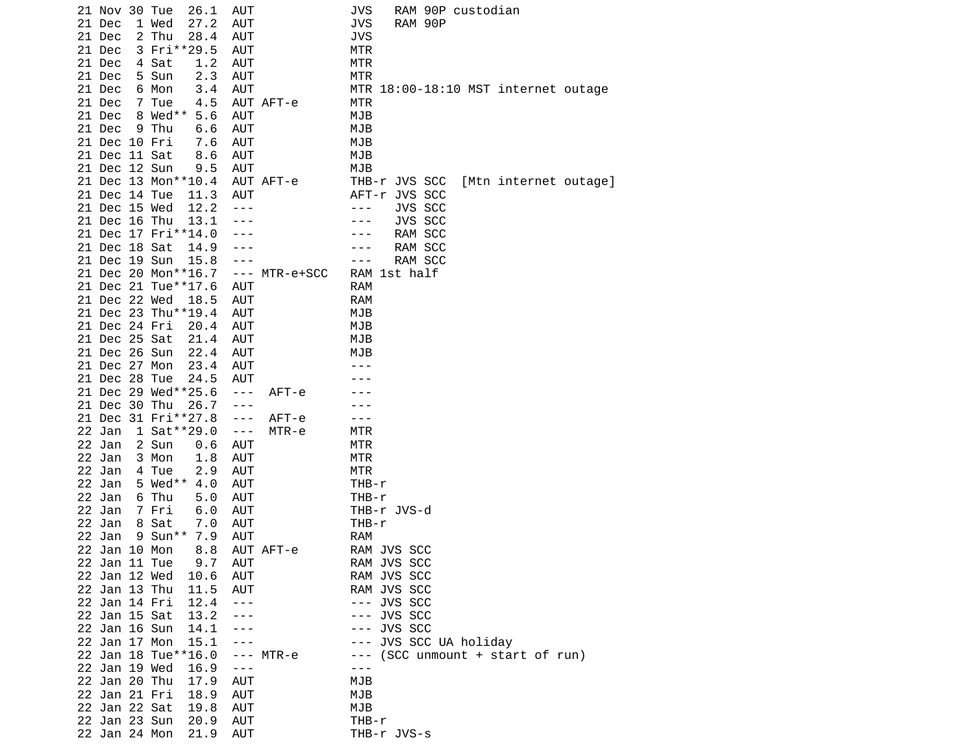| 26.1<br>AUT<br>21 Nov 30 Tue                         | JVS<br>RAM 90P custodian                |
|------------------------------------------------------|-----------------------------------------|
| 21 Dec<br>1 Wed<br>27.2<br>AUT                       | <b>JVS</b><br>RAM 90P                   |
| 21 Dec<br>28.4<br><b>AUT</b><br>2 Thu                | <b>JVS</b>                              |
| 21 Dec<br>3 Fri**29.5<br><b>AUT</b>                  | <b>MTR</b>                              |
| 1.2<br>21 Dec<br><b>AUT</b><br>4 Sat                 | <b>MTR</b>                              |
| 5 Sun<br>2.3<br><b>AUT</b><br>21 Dec                 | <b>MTR</b>                              |
| 21 Dec<br><b>AUT</b><br>6 Mon<br>3.4                 | MTR 18:00-18:10 MST internet outage     |
| 21 Dec<br>AUT AFT-e<br>7 Tue<br>4.5                  | MTR                                     |
| 8 Wed** 5.6<br>21 Dec<br><b>AUT</b>                  | MJB                                     |
|                                                      |                                         |
| 21 Dec<br>9 Thu<br><b>AUT</b><br>6.6                 | MJB                                     |
| 21 Dec 10 Fri<br><b>AUT</b><br>7.6                   | MJB                                     |
| 21 Dec 11 Sat<br>8.6<br>AUT                          | MJB                                     |
| 21 Dec 12 Sun<br><b>AUT</b><br>9.5                   | MJB                                     |
| 21 Dec 13 Mon**10.4<br>AUT AFT-e                     | THB-r JVS SCC<br>[Mtn internet outage]  |
| 21 Dec 14 Tue<br><b>AUT</b><br>11.3                  | AFT-r JVS SCC                           |
| 21 Dec 15 Wed<br>12.2<br>$- - -$                     | JVS SCC<br>$- - -$                      |
| 21 Dec 16 Thu<br>13.1                                | JVS SCC                                 |
| 21 Dec 17 Fri**14.0<br>- - -                         | RAM SCC                                 |
| 21 Dec 18 Sat<br>14.9                                | RAM SCC<br>$- -$                        |
| 21 Dec 19 Sun<br>15.8<br>---                         | RAM SCC<br>- - -                        |
| 21 Dec 20 Mon**16.7<br>MTR-e+SCC<br>$\sim$ $ \sim$   | RAM<br>1st half                         |
| 21 Dec 21 Tue**17.6<br><b>AUT</b>                    | <b>RAM</b>                              |
| 21 Dec 22 Wed<br><b>AUT</b><br>18.5                  | <b>RAM</b>                              |
| 21 Dec 23 Thu**19.4<br><b>AUT</b>                    | MJB                                     |
|                                                      |                                         |
| 21 Dec 24 Fri<br>20.4<br>AUT                         | MJB                                     |
| 21 Dec 25 Sat<br>21.4<br><b>AUT</b>                  | MJB                                     |
| 21 Dec 26 Sun<br>22.4<br><b>AUT</b>                  | MJB                                     |
| 21 Dec 27 Mon<br>23.4<br><b>AUT</b>                  |                                         |
| 21 Dec 28 Tue<br><b>AUT</b><br>24.5                  |                                         |
| 21 Dec 29 Wed**25.6<br>$- - -$<br>$AFT - e$          |                                         |
| 21 Dec 30 Thu<br>26.7<br>$- - -$                     |                                         |
| 21 Dec<br>31 Fri**27.8<br>$- - -$<br>$AFT - e$       | $- - -$                                 |
| 22 Jan<br>1 Sat**29.0<br>$\sim$ $ \sim$<br>$MTR - e$ | MTR                                     |
| 22 Jan<br>2 Sun<br>0.6<br>AUT                        | MTR                                     |
| 22 Jan<br>3 Mon<br>1.8<br>AUT                        | <b>MTR</b>                              |
| 22<br>AUT<br>Jan<br>4 Tue<br>2.9                     | <b>MTR</b>                              |
| 22 Jan<br>5 Wed $**$<br>4.0<br><b>AUT</b>            | THB-r                                   |
| 22<br>6 Thu<br><b>AUT</b><br>Jan<br>5.0              | THB-r                                   |
| 22 Jan<br><b>AUT</b><br>7 Fri<br>6.0                 | THB-r JVS-d                             |
| 22<br>AUT                                            |                                         |
| Jan<br>8 Sat<br>7.0                                  | THB-r                                   |
| 22 Jan<br>$9$ Sun**<br><b>AUT</b><br>7.9             | <b>RAM</b>                              |
| 22 Jan 10 Mon<br>8.8<br>AUT AFT-e                    | RAM JVS SCC                             |
| 22 Jan 11 Tue<br>AUT<br>9.7                          | RAM JVS SCC                             |
| 22 Jan 12 Wed<br>10.6<br>AUT                         | RAM JVS SCC                             |
| 22 Jan 13 Thu<br>11.5<br>AUT                         | RAM JVS SCC                             |
| 22 Jan 14 Fri<br>12.4<br>$- - -$                     | JVS SCC<br>$- - -$                      |
| 22 Jan 15 Sat<br>13.2<br>---                         | JVS SCC<br>$- - -$                      |
| 22 Jan 16 Sun<br>14.1<br>---                         | JVS SCC<br>$- - -$                      |
| 22 Jan 17 Mon<br>15.1<br>---                         | JVS SCC UA holiday<br>$- - -$           |
| 22 Jan 18 Tue**16.0<br>MTR-e<br>$- - -$              | (SCC unmount + start of run)<br>$- - -$ |
| 22 Jan 19 Wed<br>16.9<br>$- - -$                     |                                         |
| 22 Jan 20 Thu<br>17.9<br><b>AUT</b>                  | MJB                                     |
| 22 Jan 21 Fri<br>18.9<br>AUT                         | MJB                                     |
| 22 Jan 22 Sat<br>19.8<br>AUT                         | MJB                                     |
| 22 Jan 23 Sun<br>20.9<br>AUT                         | THB-r                                   |
| 22 Jan 24 Mon<br>21.9<br>AUT                         | THB-r JVS-s                             |
|                                                      |                                         |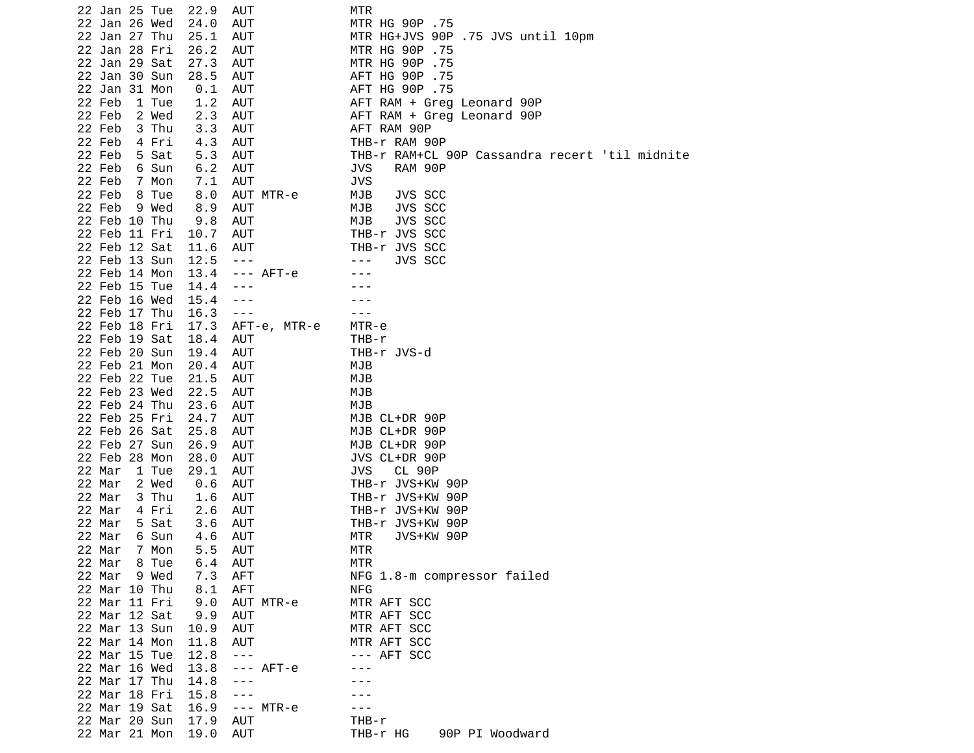| 22 Jan 25 Tue   | 22.9 | AUT                  | MTR                                            |
|-----------------|------|----------------------|------------------------------------------------|
| 22 Jan 26 Wed   | 24.0 | AUT                  | MTR HG 90P .75                                 |
| 22 Jan 27 Thu   | 25.1 | AUT                  | MTR HG+JVS 90P .75 JVS until 10pm              |
| 22 Jan 28 Fri   | 26.2 | <b>AUT</b>           | MTR HG 90P .75                                 |
| 22 Jan 29 Sat   | 27.3 | AUT                  | MTR HG 90P .75                                 |
| 22 Jan 30 Sun   | 28.5 | <b>AUT</b>           | AFT HG 90P .75                                 |
| 22 Jan 31 Mon   |      |                      | AFT HG 90P .75                                 |
|                 | 0.1  | AUT                  |                                                |
| 22 Feb<br>1 Tue | 1.2  | <b>AUT</b>           | AFT RAM + Greg Leonard 90P                     |
| 22 Feb<br>2 Wed | 2.3  | AUT                  | AFT RAM + Greg Leonard 90P                     |
| 22 Feb<br>3 Thu | 3.3  | <b>AUT</b>           | AFT RAM 90P                                    |
| 22 Feb<br>4 Fri | 4.3  | AUT                  | THB-r RAM 90P                                  |
| 22 Feb<br>5 Sat | 5.3  | <b>AUT</b>           | THB-r RAM+CL 90P Cassandra recert 'til midnite |
| 22 Feb<br>6 Sun | 6.2  | <b>AUT</b>           | <b>JVS</b><br>RAM 90P                          |
| 22 Feb<br>7 Mon | 7.1  | AUT                  | <b>JVS</b>                                     |
| 22 Feb<br>8 Tue | 8.0  | AUT MTR-e            | MJB<br>JVS SCC                                 |
| 22 Feb<br>9 Wed | 8.9  | AUT                  | JVS SCC<br>MJB                                 |
| 22 Feb 10 Thu   | 9.8  | AUT                  | JVS SCC<br>MJB                                 |
| 22 Feb 11 Fri   | 10.7 | <b>AUT</b>           | THB-r JVS SCC                                  |
|                 |      |                      |                                                |
| 22 Feb 12 Sat   | 11.6 | <b>AUT</b>           | THB-r JVS SCC                                  |
| 22 Feb 13 Sun   | 12.5 | $\sim$ $ \sim$       | JVS SCC<br>- - -                               |
| 22 Feb 14 Mon   | 13.4 | $---$ AFT-e          |                                                |
| 22 Feb 15 Tue   | 14.4 | - - -                |                                                |
| 22 Feb 16 Wed   | 15.4 | ---                  |                                                |
| 22 Feb 17 Thu   | 16.3 | $\sim$ $ \sim$       |                                                |
| 22 Feb 18 Fri   | 17.3 | AFT-e, MTR-e         | MTR-e                                          |
| 22 Feb 19 Sat   | 18.4 | AUT                  | THB-r                                          |
| 22 Feb 20 Sun   | 19.4 | <b>AUT</b>           | THB-r JVS-d                                    |
| 22 Feb 21 Mon   | 20.4 | AUT                  | MJB                                            |
| 22 Feb 22 Tue   | 21.5 | AUT                  | MJB                                            |
| 22 Feb 23 Wed   | 22.5 | AUT                  | MJB                                            |
| 22 Feb 24 Thu   | 23.6 | AUT                  | MJB                                            |
| 22 Feb 25 Fri   | 24.7 | AUT                  | MJB CL+DR 90P                                  |
|                 |      |                      |                                                |
| 22 Feb 26 Sat   | 25.8 | AUT                  | MJB CL+DR 90P                                  |
| 22 Feb 27 Sun   | 26.9 | AUT                  | MJB CL+DR 90P                                  |
| 22 Feb 28 Mon   | 28.0 | AUT                  | JVS CL+DR 90P                                  |
| 22 Mar<br>1 Tue | 29.1 | AUT                  | <b>JVS</b><br><b>CL 90P</b>                    |
| 22 Mar<br>2 Wed | 0.6  | AUT                  | THB-r JVS+KW 90P                               |
| 22 Mar<br>3 Thu | 1.6  | AUT                  | THB-r JVS+KW 90P                               |
| 22 Mar<br>4 Fri | 2.6  | <b>AUT</b>           | THB-r JVS+KW 90P                               |
| 22 Mar<br>5 Sat | 3.6  | AUT                  | THB-r JVS+KW 90P                               |
| 22 Mar<br>6 Sun | 4.6  | AUT                  | MTR<br>JVS+KW 90P                              |
| 22 Mar<br>7 Mon | 5.5  | AUT                  | <b>MTR</b>                                     |
| 22 Mar<br>8 Tue | 6.4  | AUT                  | MTR                                            |
| 22 Mar<br>9 Wed | 7.3  | <b>AFT</b>           | NFG 1.8-m compressor failed                    |
| 22 Mar 10 Thu   | 8.1  | <b>AFT</b>           | <b>NFG</b>                                     |
| 22 Mar 11 Fri   |      |                      | MTR AFT SCC                                    |
|                 | 9.0  | AUT MTR-e            |                                                |
| 22 Mar 12 Sat   | 9.9  | AUT                  | MTR AFT SCC                                    |
| 22 Mar 13 Sun   | 10.9 | AUT                  | MTR AFT SCC                                    |
| 22 Mar 14 Mon   | 11.8 | AUT                  | MTR AFT SCC                                    |
| 22 Mar 15 Tue   | 12.8 | $\sim$ $\sim$ $\sim$ | --- AFT SCC                                    |
| 22 Mar 16 Wed   | 13.8 | $---$ AFT-e          | - - -                                          |
| 22 Mar 17 Thu   | 14.8 | $\frac{1}{2}$        |                                                |
| 22 Mar 18 Fri   | 15.8 | $- - -$              |                                                |
| 22 Mar 19 Sat   | 16.9 | $--- MTR-e$          |                                                |
| 22 Mar 20 Sun   | 17.9 | AUT                  | THB-r                                          |
| 22 Mar 21 Mon   | 19.0 | <b>AUT</b>           | 90P PI Woodward<br>THB-r HG                    |
|                 |      |                      |                                                |